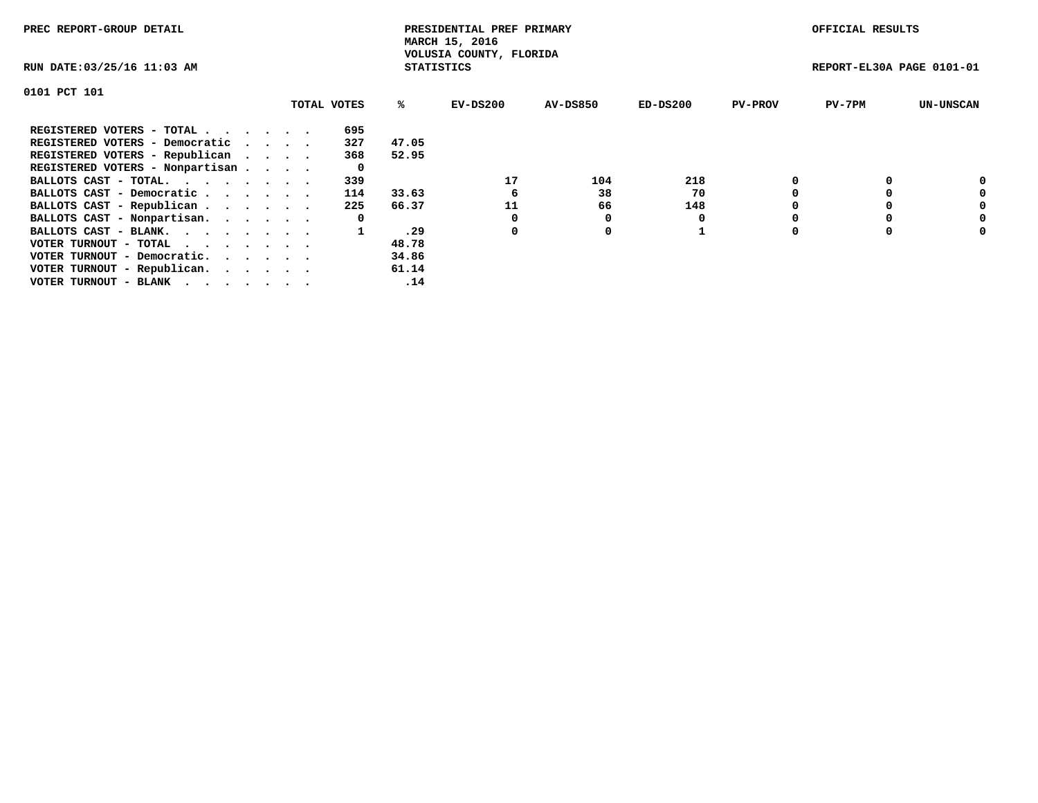| PREC REPORT-GROUP DETAIL        |             |                   | PRESIDENTIAL PREF PRIMARY<br>MARCH 15, 2016 |                 |          |                | OFFICIAL RESULTS          |                  |
|---------------------------------|-------------|-------------------|---------------------------------------------|-----------------|----------|----------------|---------------------------|------------------|
| RUN DATE: 03/25/16 11:03 AM     |             | <b>STATISTICS</b> | VOLUSIA COUNTY, FLORIDA                     |                 |          |                | REPORT-EL30A PAGE 0101-01 |                  |
| 0101 PCT 101                    |             |                   |                                             |                 |          |                |                           |                  |
|                                 | TOTAL VOTES | %ະ                | EV-DS200                                    | <b>AV-DS850</b> | ED-DS200 | <b>PV-PROV</b> | $PV-7PM$                  | <b>UN-UNSCAN</b> |
| REGISTERED VOTERS - TOTAL       | 695         |                   |                                             |                 |          |                |                           |                  |
| REGISTERED VOTERS - Democratic  | 327         | 47.05             |                                             |                 |          |                |                           |                  |
| REGISTERED VOTERS - Republican  | 368         | 52.95             |                                             |                 |          |                |                           |                  |
| REGISTERED VOTERS - Nonpartisan | 0           |                   |                                             |                 |          |                |                           |                  |
| BALLOTS CAST - TOTAL.           | 339         |                   | 17                                          | 104             | 218      |                |                           | 0                |
| BALLOTS CAST - Democratic       | 114         | 33.63             | 6                                           | 38              | 70       |                |                           | 0                |
| BALLOTS CAST - Republican       | 225         | 66.37             | 11                                          | 66              | 148      |                |                           | 0                |
| BALLOTS CAST - Nonpartisan.     | 0           |                   |                                             |                 |          |                |                           | 0                |
| BALLOTS CAST - BLANK.           |             | 29.               | 0                                           | 0               |          |                |                           | 0                |
| VOTER TURNOUT - TOTAL           |             | 48.78             |                                             |                 |          |                |                           |                  |
| VOTER TURNOUT - Democratic.     |             | 34.86             |                                             |                 |          |                |                           |                  |
| VOTER TURNOUT - Republican.     |             | 61.14             |                                             |                 |          |                |                           |                  |
| VOTER TURNOUT - BLANK           |             | .14               |                                             |                 |          |                |                           |                  |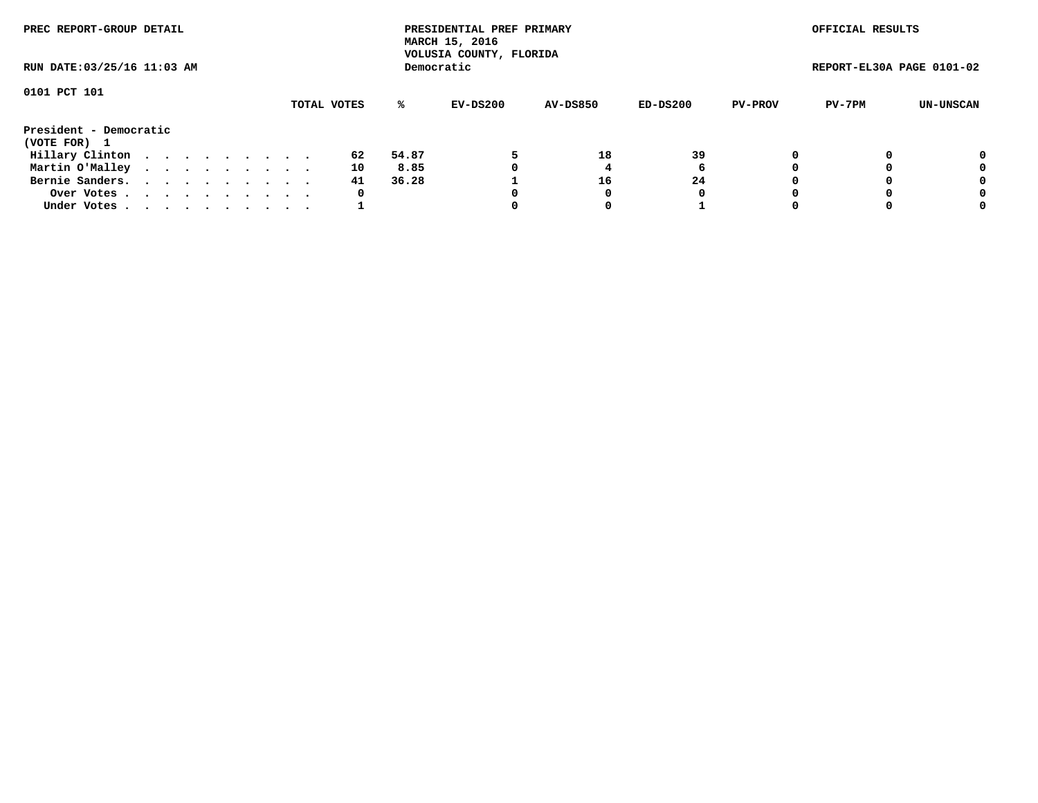| PREC REPORT-GROUP DETAIL               |  |  |  |  |             |       | PRESIDENTIAL PREF PRIMARY<br>MARCH 15, 2016<br>VOLUSIA COUNTY, FLORIDA |                 |          |                | OFFICIAL RESULTS          |           |
|----------------------------------------|--|--|--|--|-------------|-------|------------------------------------------------------------------------|-----------------|----------|----------------|---------------------------|-----------|
| RUN DATE: 03/25/16 11:03 AM            |  |  |  |  |             |       | Democratic                                                             |                 |          |                | REPORT-EL30A PAGE 0101-02 |           |
| 0101 PCT 101                           |  |  |  |  | TOTAL VOTES | %ะ    | EV-DS200                                                               | <b>AV-DS850</b> | ED-DS200 | <b>PV-PROV</b> | PV-7PM                    | UN-UNSCAN |
| President - Democratic<br>(VOTE FOR) 1 |  |  |  |  |             |       |                                                                        |                 |          |                |                           |           |
| Hillary Clinton                        |  |  |  |  | 62          | 54.87 |                                                                        | 18              | 39       |                |                           | 0         |
| Martin O'Malley                        |  |  |  |  | 10          | 8.85  |                                                                        |                 | 6        |                |                           | 0         |
| Bernie Sanders.                        |  |  |  |  | 41          | 36.28 |                                                                        | 16              | 24       |                |                           | 0         |
| Over Votes.                            |  |  |  |  | 0           |       |                                                                        |                 | 0        |                |                           | 0         |
| Under Votes.                           |  |  |  |  |             |       |                                                                        |                 |          |                |                           | 0         |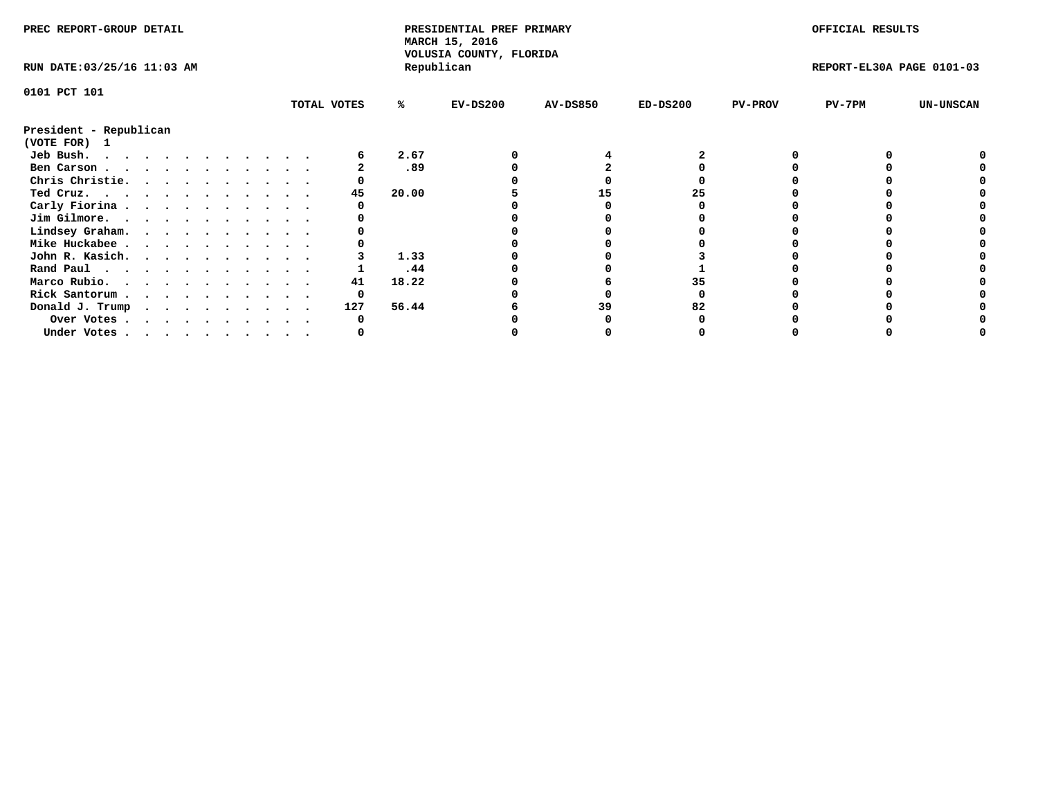| PREC REPORT-GROUP DETAIL               |  |   |  |  |  |             |       | PRESIDENTIAL PREF PRIMARY<br>MARCH 15, 2016 |                 |            |                | OFFICIAL RESULTS          |                  |
|----------------------------------------|--|---|--|--|--|-------------|-------|---------------------------------------------|-----------------|------------|----------------|---------------------------|------------------|
| RUN DATE: 03/25/16 11:03 AM            |  |   |  |  |  |             |       | VOLUSIA COUNTY, FLORIDA<br>Republican       |                 |            |                | REPORT-EL30A PAGE 0101-03 |                  |
| 0101 PCT 101                           |  |   |  |  |  |             |       |                                             |                 |            |                |                           |                  |
|                                        |  |   |  |  |  | TOTAL VOTES | %ะ    | $EV-DS200$                                  | <b>AV-DS850</b> | $ED-DS200$ | <b>PV-PROV</b> | $PV-7PM$                  | <b>UN-UNSCAN</b> |
| President - Republican<br>(VOTE FOR) 1 |  |   |  |  |  |             |       |                                             |                 |            |                |                           |                  |
| Jeb Bush.                              |  |   |  |  |  |             | 2.67  |                                             |                 |            |                |                           |                  |
| Ben Carson                             |  |   |  |  |  |             | .89   |                                             |                 |            |                |                           |                  |
| Chris Christie.                        |  |   |  |  |  |             |       |                                             |                 |            |                |                           |                  |
| Ted Cruz.                              |  |   |  |  |  | 45          | 20.00 |                                             | 15              | 25         |                |                           |                  |
| Carly Fiorina                          |  |   |  |  |  |             |       |                                             |                 |            |                |                           |                  |
| Jim Gilmore.                           |  |   |  |  |  |             |       |                                             |                 |            |                |                           |                  |
| Lindsey Graham.                        |  |   |  |  |  |             |       |                                             |                 |            |                |                           |                  |
| Mike Huckabee                          |  |   |  |  |  |             |       |                                             |                 |            |                |                           |                  |
| John R. Kasich.                        |  |   |  |  |  |             | 1.33  |                                             |                 |            |                |                           |                  |
| Rand Paul                              |  |   |  |  |  |             | .44   |                                             |                 |            |                |                           |                  |
| Marco Rubio.                           |  |   |  |  |  | 41          | 18.22 |                                             |                 |            |                |                           |                  |
|                                        |  |   |  |  |  | 0           |       |                                             |                 |            |                |                           |                  |
| Rick Santorum                          |  |   |  |  |  |             |       |                                             |                 |            |                |                           |                  |
| Donald J. Trump                        |  | . |  |  |  | 127         | 56.44 |                                             | 39              |            |                |                           |                  |
| Over Votes                             |  |   |  |  |  |             |       |                                             |                 |            |                |                           |                  |
| Under Votes                            |  |   |  |  |  |             |       |                                             |                 |            |                |                           |                  |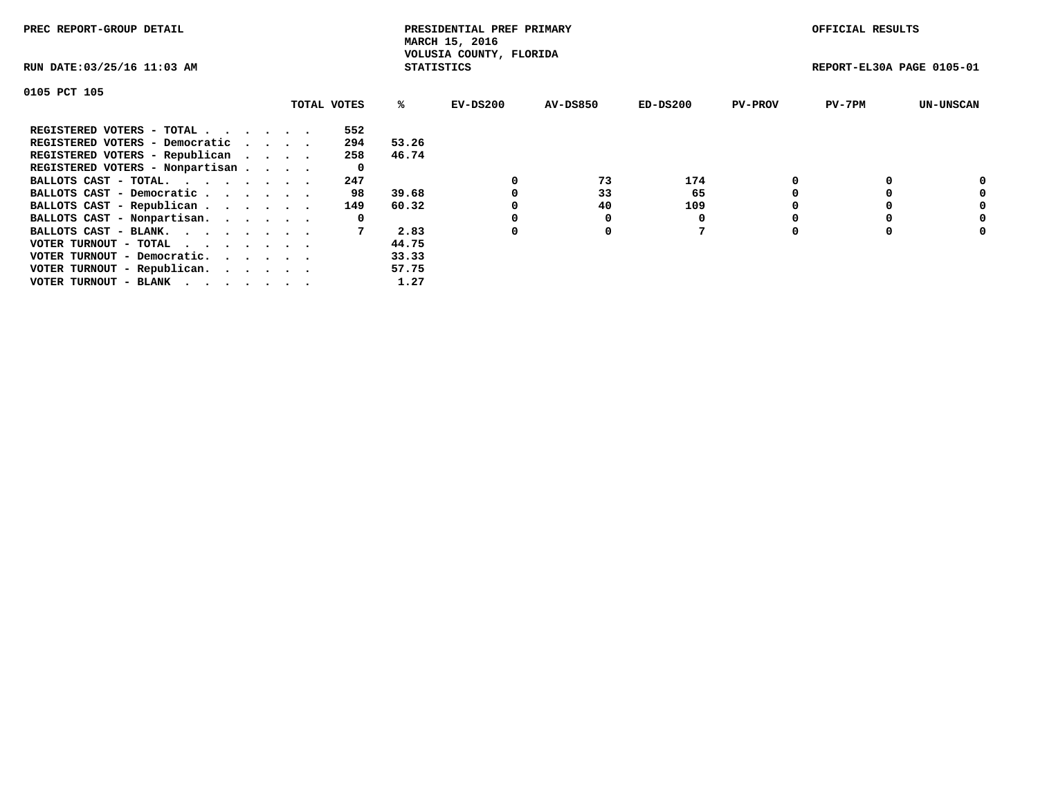| PREC REPORT-GROUP DETAIL        |             |                   | PRESIDENTIAL PREF PRIMARY<br>MARCH 15, 2016 |                 |            |                | OFFICIAL RESULTS          |                  |
|---------------------------------|-------------|-------------------|---------------------------------------------|-----------------|------------|----------------|---------------------------|------------------|
| RUN DATE: 03/25/16 11:03 AM     |             | <b>STATISTICS</b> | VOLUSIA COUNTY, FLORIDA                     |                 |            |                | REPORT-EL30A PAGE 0105-01 |                  |
| 0105 PCT 105                    |             |                   |                                             |                 |            |                |                           |                  |
|                                 | TOTAL VOTES | ℁                 | EV-DS200                                    | <b>AV-DS850</b> | $ED-DS200$ | <b>PV-PROV</b> | $PV-7PM$                  | <b>UN-UNSCAN</b> |
| REGISTERED VOTERS - TOTAL       | 552         |                   |                                             |                 |            |                |                           |                  |
| REGISTERED VOTERS - Democratic  | 294         | 53.26             |                                             |                 |            |                |                           |                  |
| REGISTERED VOTERS - Republican  | 258         | 46.74             |                                             |                 |            |                |                           |                  |
| REGISTERED VOTERS - Nonpartisan | 0           |                   |                                             |                 |            |                |                           |                  |
| BALLOTS CAST - TOTAL.           | 247         |                   |                                             | 73              | 174        |                |                           | 0                |
| BALLOTS CAST - Democratic       | 98          | 39.68             |                                             | 33              | 65         |                |                           | 0                |
| BALLOTS CAST - Republican       | 149         | 60.32             |                                             | 40              | 109        |                |                           | 0                |
| BALLOTS CAST - Nonpartisan.     | 0           |                   |                                             |                 |            |                |                           | 0                |
| BALLOTS CAST - BLANK.           |             | 2.83              | 0                                           | 0               |            |                |                           | 0                |
| VOTER TURNOUT - TOTAL           |             | 44.75             |                                             |                 |            |                |                           |                  |
| VOTER TURNOUT - Democratic.     |             | 33.33             |                                             |                 |            |                |                           |                  |
| VOTER TURNOUT - Republican.     |             | 57.75             |                                             |                 |            |                |                           |                  |
| VOTER TURNOUT - BLANK           |             | 1.27              |                                             |                 |            |                |                           |                  |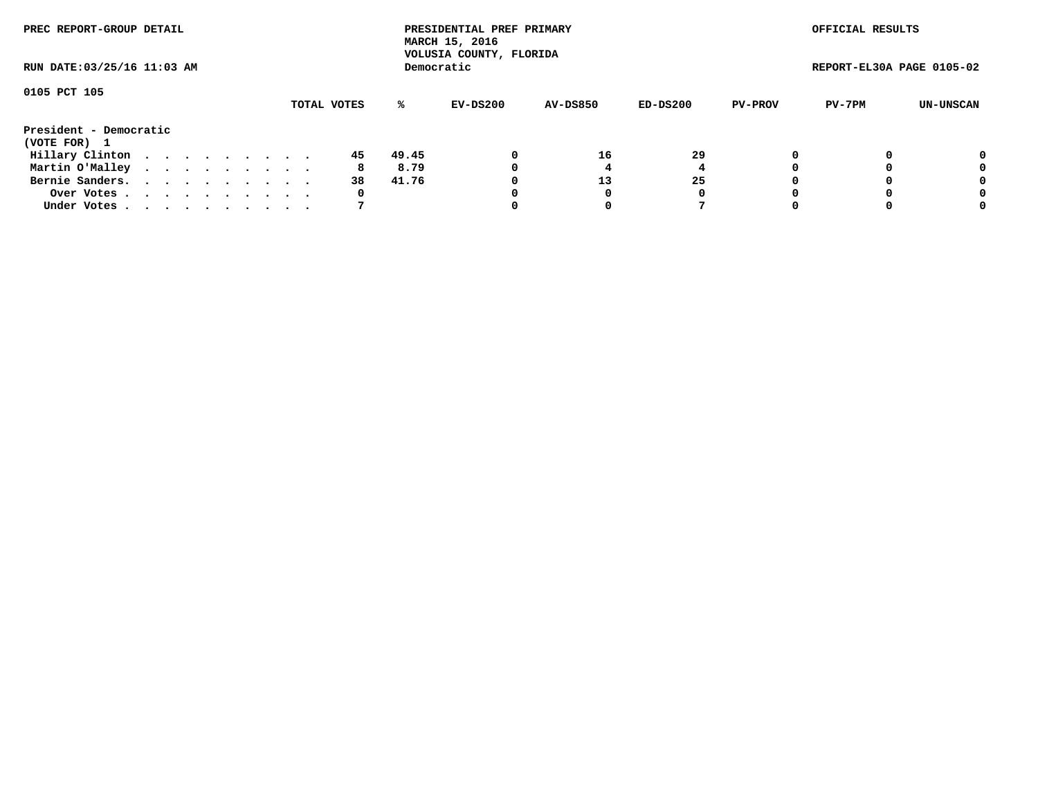| PREC REPORT-GROUP DETAIL    |  |  |  |  |  |             |       | PRESIDENTIAL PREF PRIMARY<br>MARCH 15, 2016<br>VOLUSIA COUNTY, FLORIDA |                 |          |                | OFFICIAL RESULTS          |           |
|-----------------------------|--|--|--|--|--|-------------|-------|------------------------------------------------------------------------|-----------------|----------|----------------|---------------------------|-----------|
| RUN DATE: 03/25/16 11:03 AM |  |  |  |  |  |             |       | Democratic                                                             |                 |          |                | REPORT-EL30A PAGE 0105-02 |           |
| 0105 PCT 105                |  |  |  |  |  | TOTAL VOTES | %ะ    | EV-DS200                                                               | <b>AV-DS850</b> | ED-DS200 | <b>PV-PROV</b> | PV-7PM                    | UN-UNSCAN |
| President - Democratic      |  |  |  |  |  |             |       |                                                                        |                 |          |                |                           |           |
| (VOTE FOR) 1                |  |  |  |  |  |             |       |                                                                        |                 |          |                |                           |           |
| Hillary Clinton             |  |  |  |  |  | 45          | 49.45 | 0                                                                      | 16              | 29       |                |                           | 0         |
| Martin O'Malley             |  |  |  |  |  | 8           | 8.79  | 0                                                                      |                 |          |                |                           | 0         |
| Bernie Sanders.             |  |  |  |  |  | 38          | 41.76 |                                                                        | 13              | 25       |                |                           | 0         |
| Over Votes.                 |  |  |  |  |  | 0           |       |                                                                        |                 | 0        |                |                           | 0         |
| Under Votes.                |  |  |  |  |  |             |       |                                                                        |                 |          |                |                           | 0         |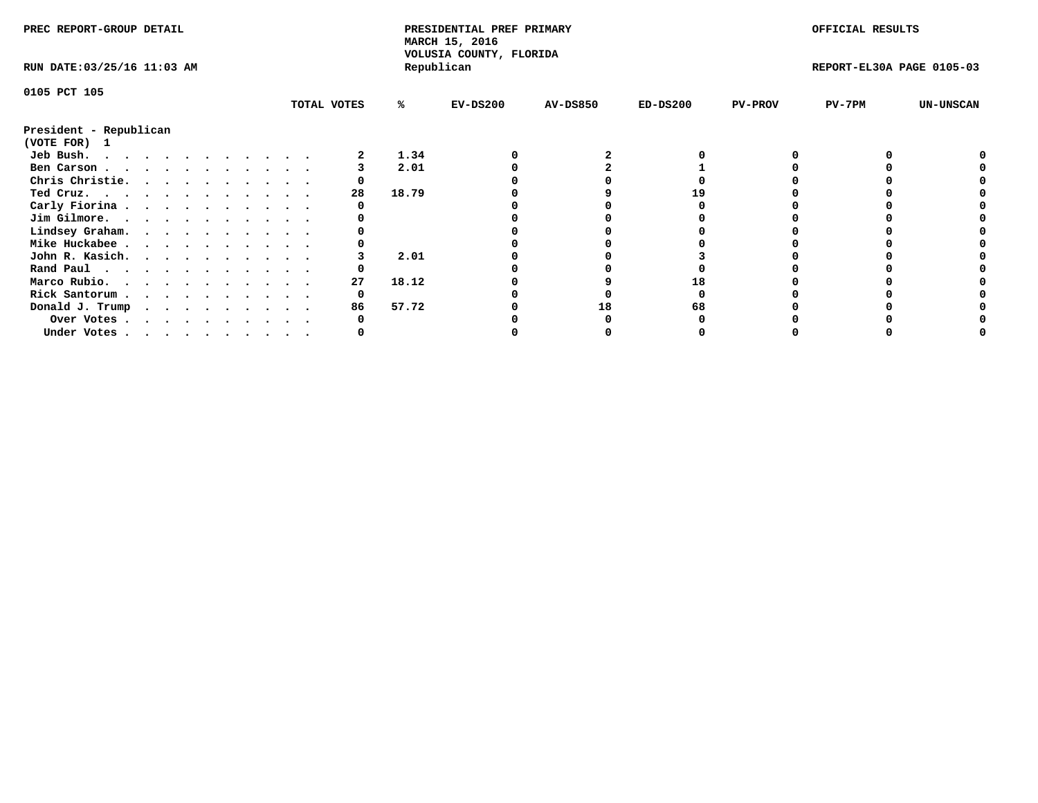| PREC REPORT-GROUP DETAIL               |  |  |  |  |  |             |       | PRESIDENTIAL PREF PRIMARY<br>MARCH 15, 2016 |                 |            |                | OFFICIAL RESULTS          |                  |
|----------------------------------------|--|--|--|--|--|-------------|-------|---------------------------------------------|-----------------|------------|----------------|---------------------------|------------------|
| RUN DATE: 03/25/16 11:03 AM            |  |  |  |  |  |             |       | VOLUSIA COUNTY, FLORIDA<br>Republican       |                 |            |                | REPORT-EL30A PAGE 0105-03 |                  |
| 0105 PCT 105                           |  |  |  |  |  |             |       |                                             |                 |            |                |                           |                  |
|                                        |  |  |  |  |  | TOTAL VOTES | ℁     | $EV-DS200$                                  | <b>AV-DS850</b> | $ED-DS200$ | <b>PV-PROV</b> | $PV-7PM$                  | <b>UN-UNSCAN</b> |
| President - Republican<br>(VOTE FOR) 1 |  |  |  |  |  |             |       |                                             |                 |            |                |                           |                  |
| Jeb Bush.                              |  |  |  |  |  |             | 1.34  |                                             |                 |            |                |                           |                  |
| Ben Carson                             |  |  |  |  |  |             | 2.01  |                                             |                 |            |                |                           |                  |
| Chris Christie.                        |  |  |  |  |  |             |       |                                             |                 |            |                |                           |                  |
| Ted Cruz.                              |  |  |  |  |  | 28          | 18.79 |                                             |                 |            |                |                           |                  |
| Carly Fiorina                          |  |  |  |  |  |             |       |                                             |                 |            |                |                           |                  |
| Jim Gilmore.                           |  |  |  |  |  |             |       |                                             |                 |            |                |                           |                  |
| Lindsey Graham.                        |  |  |  |  |  |             |       |                                             |                 |            |                |                           |                  |
| Mike Huckabee                          |  |  |  |  |  |             |       |                                             |                 |            |                |                           |                  |
| John R. Kasich.                        |  |  |  |  |  |             | 2.01  |                                             |                 |            |                |                           |                  |
| Rand Paul                              |  |  |  |  |  |             |       |                                             |                 |            |                |                           |                  |
| Marco Rubio.                           |  |  |  |  |  | 27          | 18.12 |                                             |                 |            |                |                           |                  |
|                                        |  |  |  |  |  |             |       |                                             |                 |            |                |                           |                  |
| Rick Santorum                          |  |  |  |  |  |             |       |                                             |                 |            |                |                           |                  |
| Donald J. Trump                        |  |  |  |  |  | 86          | 57.72 |                                             | 18              |            |                |                           |                  |
| Over Votes                             |  |  |  |  |  |             |       |                                             |                 |            |                |                           |                  |
| Under Votes, , , , , , , , , , ,       |  |  |  |  |  |             |       |                                             |                 |            |                |                           |                  |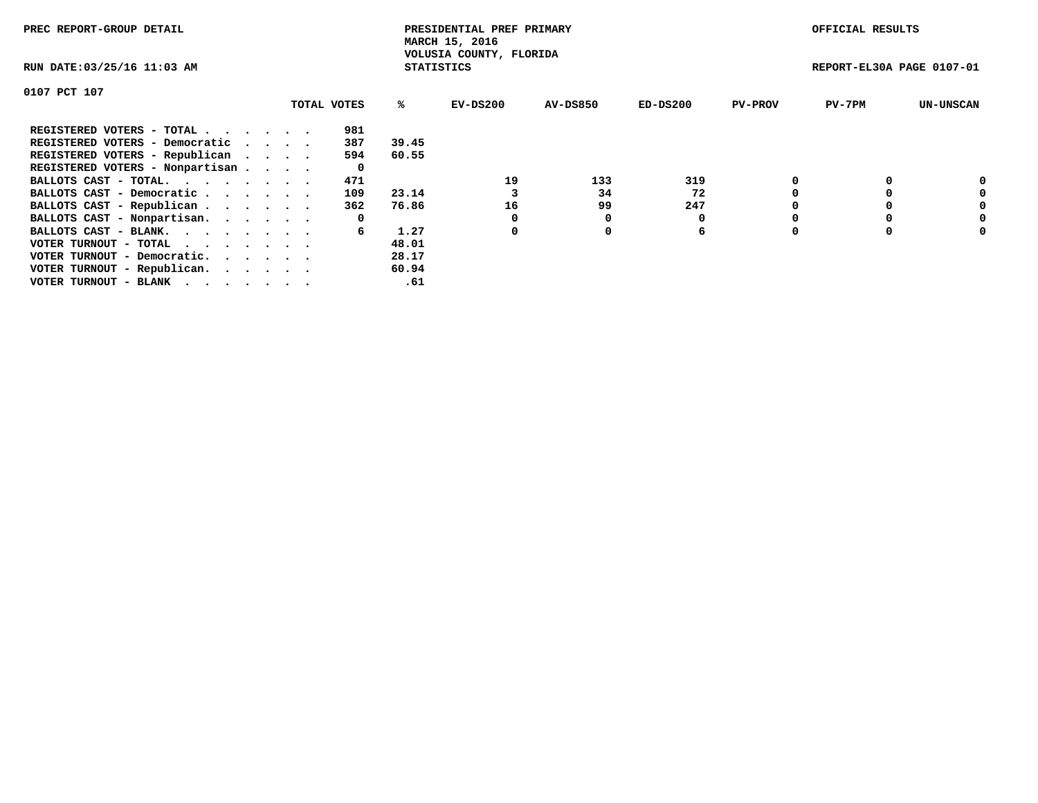| PREC REPORT-GROUP DETAIL                                    |  |             |                   | PRESIDENTIAL PREF PRIMARY<br>MARCH 15, 2016 |                 |            |                | OFFICIAL RESULTS          |                  |
|-------------------------------------------------------------|--|-------------|-------------------|---------------------------------------------|-----------------|------------|----------------|---------------------------|------------------|
| RUN DATE: 03/25/16 11:03 AM                                 |  |             | <b>STATISTICS</b> | VOLUSIA COUNTY, FLORIDA                     |                 |            |                | REPORT-EL30A PAGE 0107-01 |                  |
| 0107 PCT 107                                                |  |             |                   |                                             |                 |            |                |                           |                  |
|                                                             |  | TOTAL VOTES | ℁                 | EV-DS200                                    | <b>AV-DS850</b> | $ED-DS200$ | <b>PV-PROV</b> | $PV-7PM$                  | <b>UN-UNSCAN</b> |
| REGISTERED VOTERS - TOTAL                                   |  | 981         |                   |                                             |                 |            |                |                           |                  |
| REGISTERED VOTERS - Democratic                              |  | 387         | 39.45             |                                             |                 |            |                |                           |                  |
| REGISTERED VOTERS - Republican                              |  | 594         | 60.55             |                                             |                 |            |                |                           |                  |
| REGISTERED VOTERS - Nonpartisan                             |  | 0           |                   |                                             |                 |            |                |                           |                  |
| BALLOTS CAST - TOTAL.                                       |  | 471         |                   | 19                                          | 133             | 319        |                |                           | 0                |
| BALLOTS CAST - Democratic                                   |  | 109         | 23.14             |                                             | 34              | 72         |                |                           | 0                |
| BALLOTS CAST - Republican                                   |  | 362         | 76.86             | 16                                          | 99              | 247        |                |                           | 0                |
| BALLOTS CAST - Nonpartisan.                                 |  | 0           |                   |                                             |                 |            |                |                           | 0                |
| BALLOTS CAST - BLANK.                                       |  | 6           | 1.27              | 0                                           | 0               | 6          |                |                           | 0                |
| VOTER TURNOUT - TOTAL $\cdot \cdot \cdot \cdot \cdot \cdot$ |  |             | 48.01             |                                             |                 |            |                |                           |                  |
| VOTER TURNOUT - Democratic.                                 |  |             | 28.17             |                                             |                 |            |                |                           |                  |
| VOTER TURNOUT - Republican.                                 |  |             | 60.94             |                                             |                 |            |                |                           |                  |
| VOTER TURNOUT - BLANK                                       |  |             | .61               |                                             |                 |            |                |                           |                  |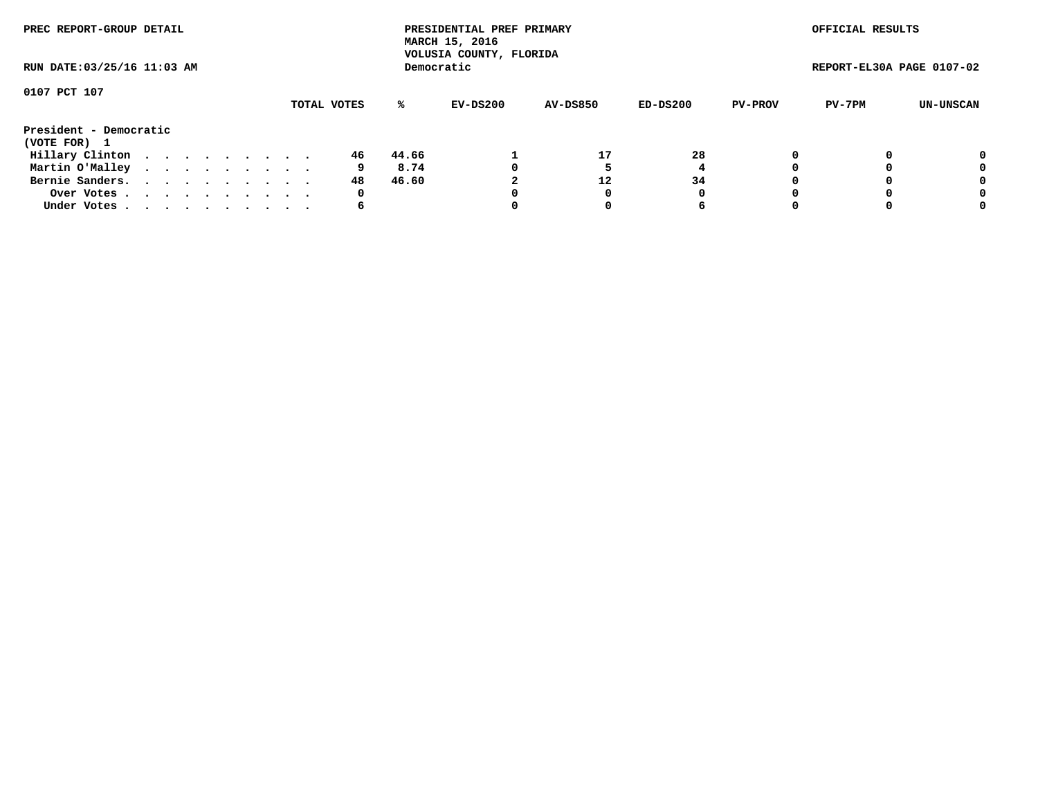| PREC REPORT-GROUP DETAIL               |  |  |  |  |             |       | PRESIDENTIAL PREF PRIMARY<br>MARCH 15, 2016<br>VOLUSIA COUNTY, FLORIDA |                 |          |                | OFFICIAL RESULTS          |           |
|----------------------------------------|--|--|--|--|-------------|-------|------------------------------------------------------------------------|-----------------|----------|----------------|---------------------------|-----------|
| RUN DATE: 03/25/16 11:03 AM            |  |  |  |  |             |       | Democratic                                                             |                 |          |                | REPORT-EL30A PAGE 0107-02 |           |
| 0107 PCT 107                           |  |  |  |  | TOTAL VOTES | %ะ    | EV-DS200                                                               | <b>AV-DS850</b> | ED-DS200 | <b>PV-PROV</b> | PV-7PM                    | UN-UNSCAN |
|                                        |  |  |  |  |             |       |                                                                        |                 |          |                |                           |           |
| President - Democratic<br>(VOTE FOR) 1 |  |  |  |  |             |       |                                                                        |                 |          |                |                           |           |
| Hillary Clinton                        |  |  |  |  | 46          | 44.66 |                                                                        | 17              | 28       | $\Omega$       |                           | 0         |
| Martin O'Malley                        |  |  |  |  | 9           | 8.74  |                                                                        |                 |          |                |                           | 0         |
| Bernie Sanders.                        |  |  |  |  | 48          | 46.60 |                                                                        | 12              | 34       |                |                           | 0         |
| Over Votes.                            |  |  |  |  | 0           |       |                                                                        |                 | 0        |                |                           | 0         |
| Under Votes.                           |  |  |  |  | 6           |       |                                                                        |                 | 6        |                |                           | 0         |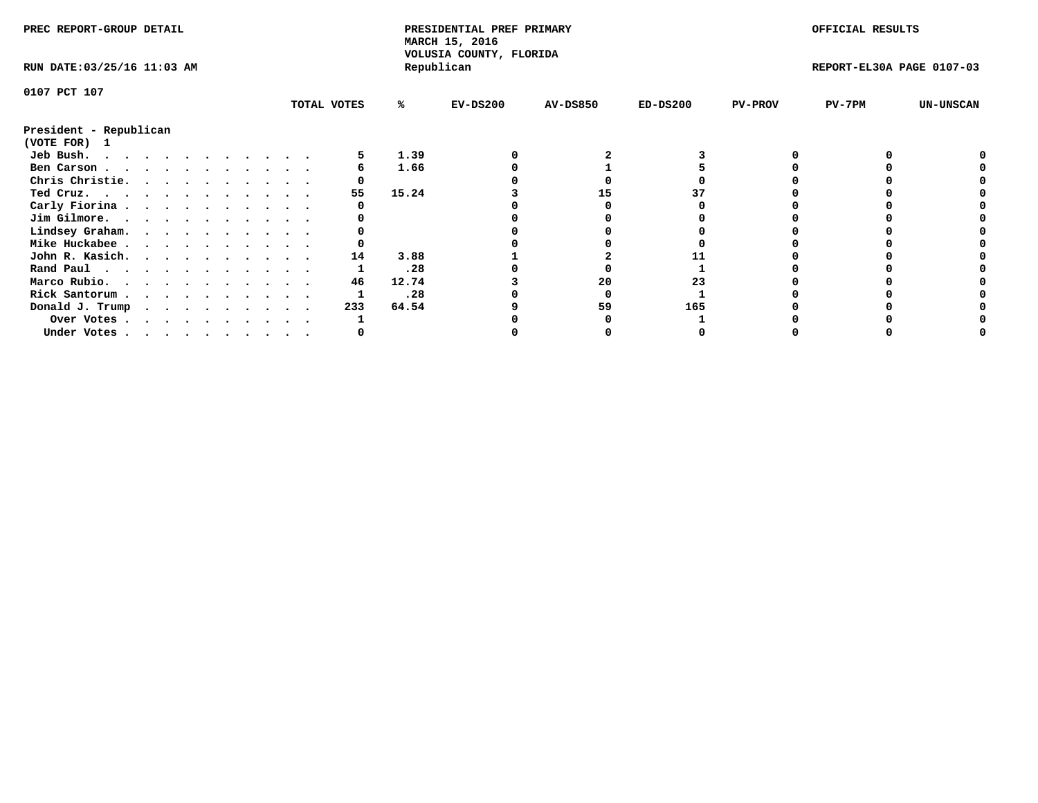| TOTAL VOTES | %ะ                                                                                                                                                                                                                                                  | $EV-DS200$                                    | <b>AV-DS850</b>              | $ED-DS200$                                                       | <b>PV-PROV</b> | $PV-7PM$ | <b>UN-UNSCAN</b>                              |
|-------------|-----------------------------------------------------------------------------------------------------------------------------------------------------------------------------------------------------------------------------------------------------|-----------------------------------------------|------------------------------|------------------------------------------------------------------|----------------|----------|-----------------------------------------------|
|             |                                                                                                                                                                                                                                                     |                                               |                              |                                                                  |                |          |                                               |
|             | 1.39                                                                                                                                                                                                                                                |                                               |                              |                                                                  |                |          |                                               |
|             | 1.66                                                                                                                                                                                                                                                |                                               |                              |                                                                  |                |          |                                               |
|             |                                                                                                                                                                                                                                                     |                                               |                              |                                                                  |                |          |                                               |
| 55          |                                                                                                                                                                                                                                                     |                                               | 15                           |                                                                  |                |          |                                               |
|             |                                                                                                                                                                                                                                                     |                                               |                              |                                                                  |                |          |                                               |
|             |                                                                                                                                                                                                                                                     |                                               |                              |                                                                  |                |          |                                               |
|             |                                                                                                                                                                                                                                                     |                                               |                              |                                                                  |                |          |                                               |
|             |                                                                                                                                                                                                                                                     |                                               |                              |                                                                  |                |          |                                               |
|             |                                                                                                                                                                                                                                                     |                                               |                              |                                                                  |                |          |                                               |
|             |                                                                                                                                                                                                                                                     |                                               |                              |                                                                  |                |          |                                               |
|             |                                                                                                                                                                                                                                                     |                                               |                              |                                                                  |                |          |                                               |
|             |                                                                                                                                                                                                                                                     |                                               |                              |                                                                  |                |          |                                               |
|             |                                                                                                                                                                                                                                                     |                                               |                              |                                                                  |                |          |                                               |
|             |                                                                                                                                                                                                                                                     |                                               |                              |                                                                  |                |          |                                               |
|             |                                                                                                                                                                                                                                                     |                                               |                              |                                                                  |                |          |                                               |
|             | Ben Carson<br>Chris Christie.<br>Ted Cruz.<br>Carly Fiorina<br>Jim Gilmore.<br>Lindsey Graham.<br>Mike Huckabee<br>John R. Kasich.<br>14<br>Rand Paul<br>Marco Rubio.<br>46<br>Rick Santorum<br>Donald J. Trump<br>233<br>Over Votes<br>Under Votes | 15.24<br>3.88<br>.28<br>12.74<br>.28<br>64.54 | MARCH 15, 2016<br>Republican | PRESIDENTIAL PREF PRIMARY<br>VOLUSIA COUNTY, FLORIDA<br>20<br>59 | 23<br>165      |          | OFFICIAL RESULTS<br>REPORT-EL30A PAGE 0107-03 |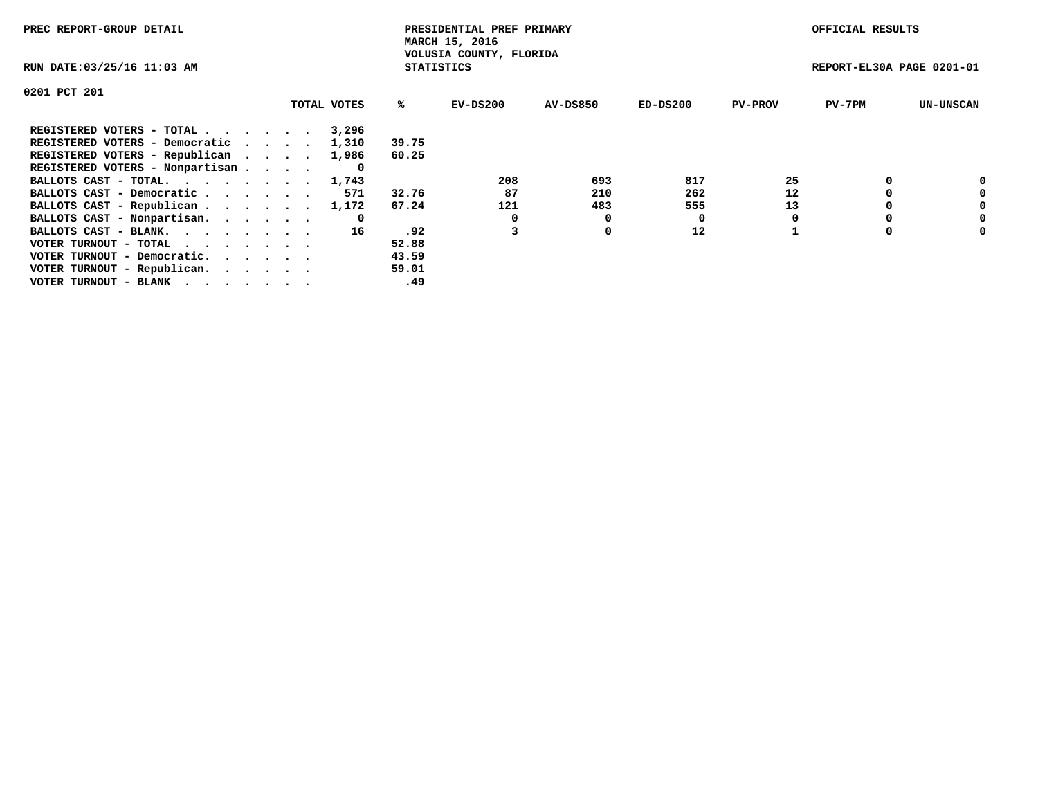| PREC REPORT-GROUP DETAIL                                    |             |                   | PRESIDENTIAL PREF PRIMARY<br>MARCH 15, 2016 |                 |            |                | OFFICIAL RESULTS          |                  |
|-------------------------------------------------------------|-------------|-------------------|---------------------------------------------|-----------------|------------|----------------|---------------------------|------------------|
| RUN DATE: 03/25/16 11:03 AM                                 |             | <b>STATISTICS</b> | VOLUSIA COUNTY, FLORIDA                     |                 |            |                | REPORT-EL30A PAGE 0201-01 |                  |
| 0201 PCT 201                                                |             |                   |                                             |                 |            |                |                           |                  |
|                                                             | TOTAL VOTES | ℁                 | EV-DS200                                    | <b>AV-DS850</b> | $ED-DS200$ | <b>PV-PROV</b> | $PV-7PM$                  | <b>UN-UNSCAN</b> |
| REGISTERED VOTERS - TOTAL                                   | 3,296       |                   |                                             |                 |            |                |                           |                  |
| REGISTERED VOTERS - Democratic                              | 1,310       | 39.75             |                                             |                 |            |                |                           |                  |
| REGISTERED VOTERS - Republican                              | 1,986       | 60.25             |                                             |                 |            |                |                           |                  |
| REGISTERED VOTERS - Nonpartisan                             |             |                   |                                             |                 |            |                |                           |                  |
| BALLOTS CAST - TOTAL. 1,743                                 |             |                   | 208                                         | 693             | 817        | 25             |                           | 0                |
| BALLOTS CAST - Democratic                                   | 571         | 32.76             | 87                                          | 210             | 262        | 12             |                           | 0                |
| BALLOTS CAST - Republican                                   | 1,172       | 67.24             | 121                                         | 483             | 555        | 13             |                           | 0                |
| BALLOTS CAST - Nonpartisan.                                 | 0           |                   |                                             | 0               |            |                |                           | 0                |
| BALLOTS CAST - BLANK.                                       | 16          | .92               |                                             | 0               | 12         |                |                           | 0                |
| VOTER TURNOUT - TOTAL $\cdot \cdot \cdot \cdot \cdot \cdot$ |             | 52.88             |                                             |                 |            |                |                           |                  |
| VOTER TURNOUT - Democratic.                                 |             | 43.59             |                                             |                 |            |                |                           |                  |
| VOTER TURNOUT - Republican.                                 |             | 59.01             |                                             |                 |            |                |                           |                  |
| VOTER TURNOUT - BLANK                                       |             | .49               |                                             |                 |            |                |                           |                  |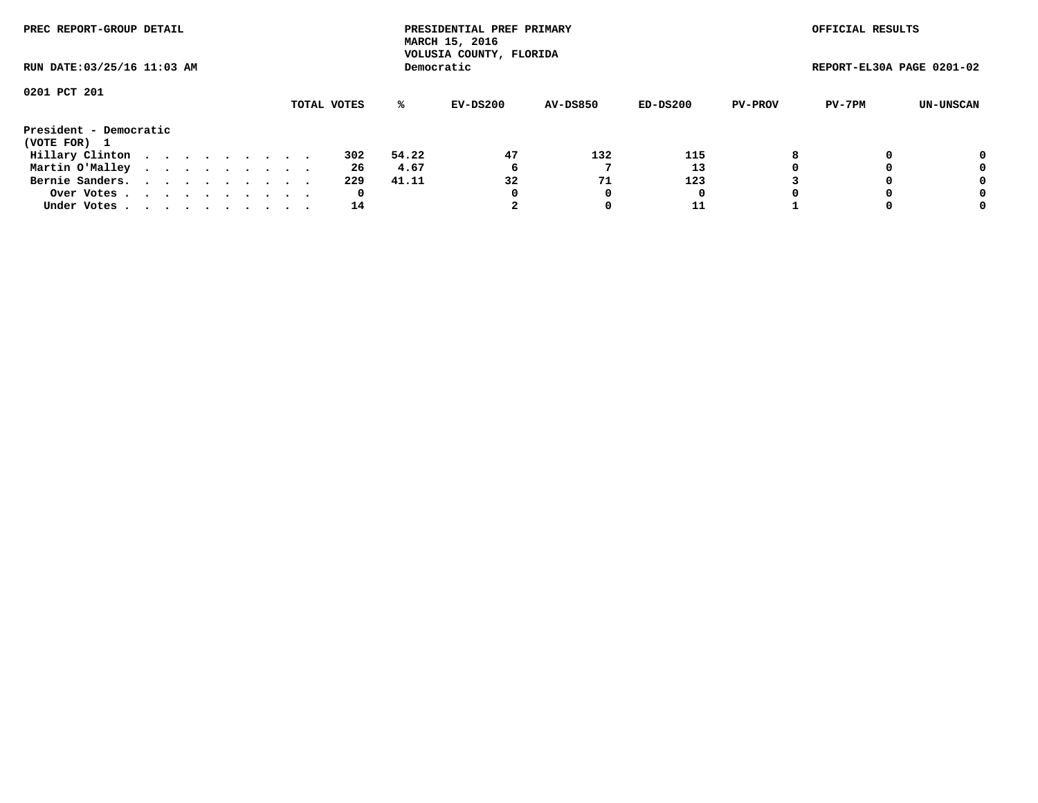| PREC REPORT-GROUP DETAIL               |  |  |  |  |             |       | PRESIDENTIAL PREF PRIMARY<br>MARCH 15, 2016<br>VOLUSIA COUNTY, FLORIDA |                 |            |                | OFFICIAL RESULTS          |           |
|----------------------------------------|--|--|--|--|-------------|-------|------------------------------------------------------------------------|-----------------|------------|----------------|---------------------------|-----------|
| RUN DATE: 03/25/16 11:03 AM            |  |  |  |  |             |       | Democratic                                                             |                 |            |                | REPORT-EL30A PAGE 0201-02 |           |
| 0201 PCT 201                           |  |  |  |  | TOTAL VOTES | %ะ    | EV-DS200                                                               | <b>AV-DS850</b> | $ED-DS200$ | <b>PV-PROV</b> | PV-7PM                    | UN-UNSCAN |
| President - Democratic<br>(VOTE FOR) 1 |  |  |  |  |             |       |                                                                        |                 |            |                |                           |           |
| Hillary Clinton                        |  |  |  |  | 302         | 54.22 | 47                                                                     | 132             | 115        | 8              |                           | 0         |
| Martin O'Malley                        |  |  |  |  | 26          | 4.67  | 6                                                                      |                 | 13         |                |                           | 0         |
| Bernie Sanders.                        |  |  |  |  | 229         | 41.11 | 32                                                                     | 71              | 123        |                |                           | 0         |
| Over Votes                             |  |  |  |  | 0           |       | O                                                                      |                 | 0          |                |                           | 0         |
| Under Votes                            |  |  |  |  | 14          |       |                                                                        |                 | 11         |                |                           | 0         |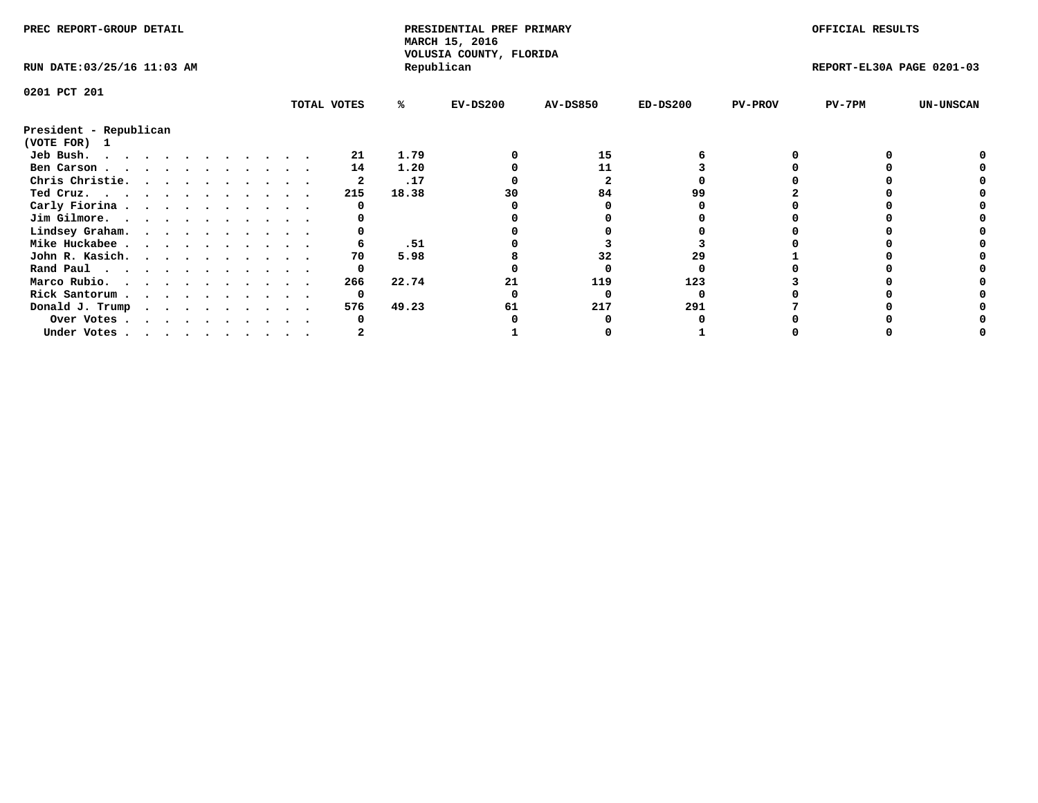|                        | PREC REPORT-GROUP DETAIL<br>RUN DATE: 03/25/16 11:03 AM |  |  |  |  |  |  |  |             | PRESIDENTIAL PREF PRIMARY<br>MARCH 15, 2016<br>VOLUSIA COUNTY, FLORIDA |            |                 |            | OFFICIAL RESULTS |                           |                  |
|------------------------|---------------------------------------------------------|--|--|--|--|--|--|--|-------------|------------------------------------------------------------------------|------------|-----------------|------------|------------------|---------------------------|------------------|
|                        |                                                         |  |  |  |  |  |  |  |             |                                                                        | Republican |                 |            |                  | REPORT-EL30A PAGE 0201-03 |                  |
| 0201 PCT 201           |                                                         |  |  |  |  |  |  |  |             |                                                                        |            |                 |            |                  |                           |                  |
|                        |                                                         |  |  |  |  |  |  |  | TOTAL VOTES | %ะ                                                                     | $EV-DS200$ | <b>AV-DS850</b> | $ED-DS200$ | <b>PV-PROV</b>   | $PV-7PM$                  | <b>UN-UNSCAN</b> |
| President - Republican |                                                         |  |  |  |  |  |  |  |             |                                                                        |            |                 |            |                  |                           |                  |
| (VOTE FOR) 1           |                                                         |  |  |  |  |  |  |  |             |                                                                        |            |                 |            |                  |                           |                  |
| Jeb Bush.              |                                                         |  |  |  |  |  |  |  | 21          | 1.79                                                                   |            | 15              |            |                  |                           |                  |
| Ben Carson             |                                                         |  |  |  |  |  |  |  | 14          | 1.20                                                                   |            | 11              |            |                  |                           |                  |
| Chris Christie.        |                                                         |  |  |  |  |  |  |  |             | .17                                                                    |            |                 |            |                  |                           |                  |
| Ted Cruz.              |                                                         |  |  |  |  |  |  |  | 215         | 18.38                                                                  | 30         | 84              | 99         |                  |                           |                  |
| Carly Fiorina          |                                                         |  |  |  |  |  |  |  |             |                                                                        |            |                 |            |                  |                           |                  |
| Jim Gilmore.           |                                                         |  |  |  |  |  |  |  |             |                                                                        |            |                 |            |                  |                           |                  |
| Lindsey Graham.        |                                                         |  |  |  |  |  |  |  |             |                                                                        |            |                 |            |                  |                           |                  |
| Mike Huckabee          |                                                         |  |  |  |  |  |  |  |             | .51                                                                    |            |                 |            |                  |                           |                  |
| John R. Kasich.        |                                                         |  |  |  |  |  |  |  | 70          | 5.98                                                                   |            | 32              | 29         |                  |                           |                  |
| Rand Paul              |                                                         |  |  |  |  |  |  |  | 0           |                                                                        |            |                 |            |                  |                           |                  |
| Marco Rubio.           |                                                         |  |  |  |  |  |  |  | 266         | 22.74                                                                  | 21         | 119             | 123        |                  |                           |                  |
| Rick Santorum          |                                                         |  |  |  |  |  |  |  | 0           |                                                                        |            |                 |            |                  |                           |                  |
| Donald J. Trump        |                                                         |  |  |  |  |  |  |  | 576         | 49.23                                                                  | 61         | 217             | 291        |                  |                           |                  |
| Over Votes             |                                                         |  |  |  |  |  |  |  |             |                                                                        |            |                 |            |                  |                           |                  |
| Under Votes            |                                                         |  |  |  |  |  |  |  |             |                                                                        |            |                 |            |                  |                           |                  |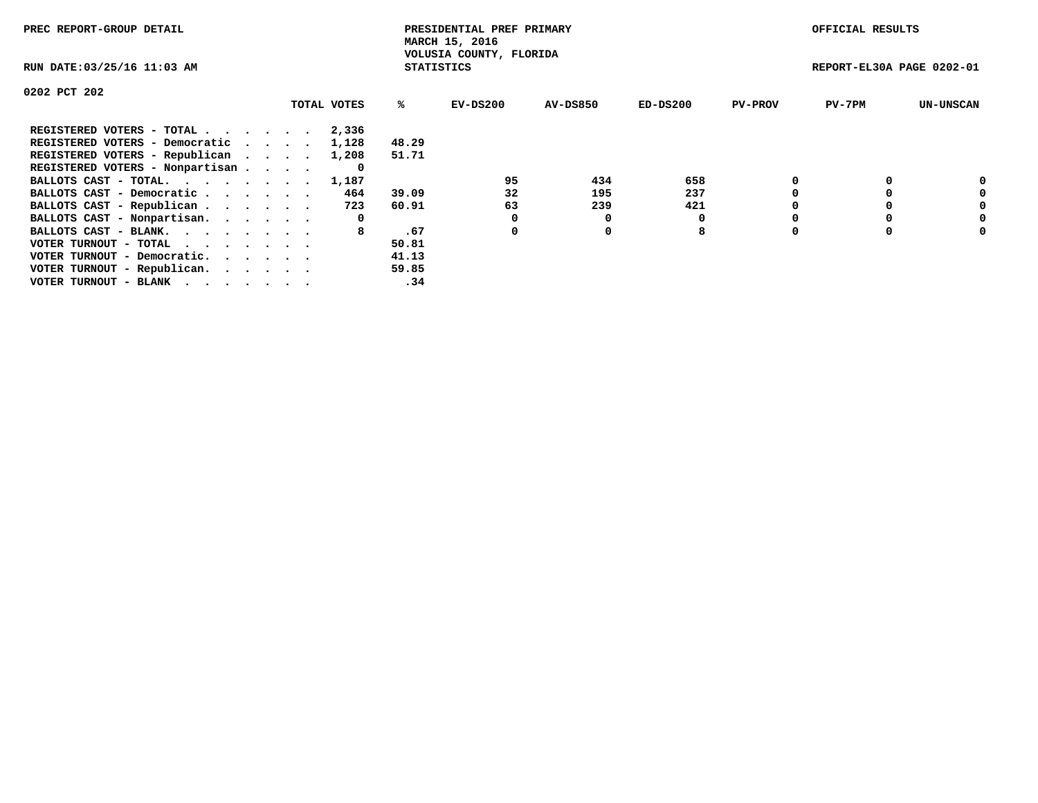| PREC REPORT-GROUP DETAIL                                    |             |                   | PRESIDENTIAL PREF PRIMARY<br>MARCH 15, 2016 |                 |          |                | OFFICIAL RESULTS          |                  |
|-------------------------------------------------------------|-------------|-------------------|---------------------------------------------|-----------------|----------|----------------|---------------------------|------------------|
| RUN DATE: 03/25/16 11:03 AM                                 |             | <b>STATISTICS</b> | VOLUSIA COUNTY, FLORIDA                     |                 |          |                | REPORT-EL30A PAGE 0202-01 |                  |
| 0202 PCT 202                                                |             |                   |                                             |                 |          |                |                           |                  |
|                                                             | TOTAL VOTES | %ະ                | EV-DS200                                    | <b>AV-DS850</b> | ED-DS200 | <b>PV-PROV</b> | $PV-7PM$                  | <b>UN-UNSCAN</b> |
| REGISTERED VOTERS - TOTAL                                   | 2,336       |                   |                                             |                 |          |                |                           |                  |
| REGISTERED VOTERS - Democratic                              | 1,128       | 48.29             |                                             |                 |          |                |                           |                  |
| REGISTERED VOTERS - Republican                              | 1,208       | 51.71             |                                             |                 |          |                |                           |                  |
| REGISTERED VOTERS - Nonpartisan                             |             |                   |                                             |                 |          |                |                           |                  |
| BALLOTS CAST - TOTAL. 1,187                                 |             |                   | 95                                          | 434             | 658      |                |                           |                  |
| BALLOTS CAST - Democratic                                   | 464         | 39.09             | 32                                          | 195             | 237      |                |                           | 0                |
| BALLOTS CAST - Republican                                   | 723         | 60.91             | 63                                          | 239             | 421      |                |                           | 0                |
| BALLOTS CAST - Nonpartisan.                                 | 0           |                   |                                             |                 |          |                |                           | 0                |
| BALLOTS CAST - BLANK.                                       | 8           | .67               | 0                                           | 0               | 8        |                |                           | 0                |
| VOTER TURNOUT - TOTAL $\cdot \cdot \cdot \cdot \cdot \cdot$ |             | 50.81             |                                             |                 |          |                |                           |                  |
| VOTER TURNOUT - Democratic.                                 |             | 41.13             |                                             |                 |          |                |                           |                  |
| VOTER TURNOUT - Republican.                                 |             | 59.85             |                                             |                 |          |                |                           |                  |
| VOTER TURNOUT - BLANK                                       |             | .34               |                                             |                 |          |                |                           |                  |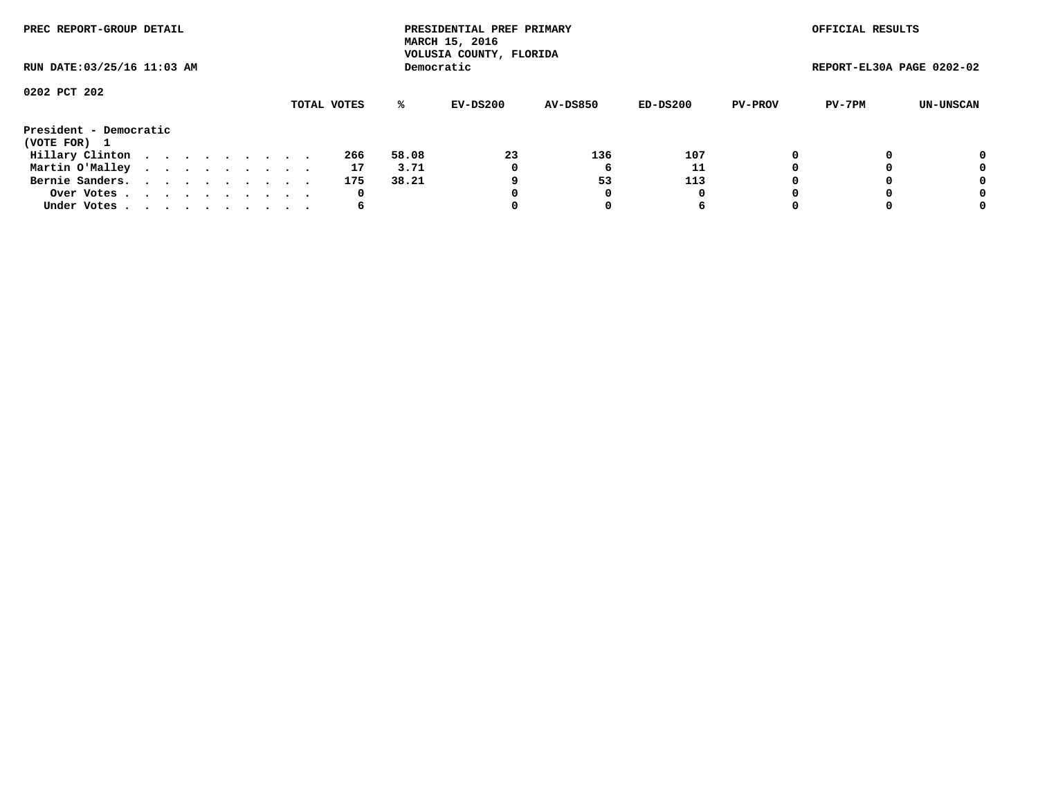| PREC REPORT-GROUP DETAIL               |  |  |  |  |             |       | PRESIDENTIAL PREF PRIMARY<br>MARCH 15, 2016<br>VOLUSIA COUNTY, FLORIDA |                 |          |                | OFFICIAL RESULTS          |           |
|----------------------------------------|--|--|--|--|-------------|-------|------------------------------------------------------------------------|-----------------|----------|----------------|---------------------------|-----------|
| RUN DATE: 03/25/16 11:03 AM            |  |  |  |  |             |       | Democratic                                                             |                 |          |                | REPORT-EL30A PAGE 0202-02 |           |
| 0202 PCT 202                           |  |  |  |  |             |       |                                                                        |                 |          |                |                           |           |
|                                        |  |  |  |  | TOTAL VOTES | %ะ    | EV-DS200                                                               | <b>AV-DS850</b> | ED-DS200 | <b>PV-PROV</b> | PV-7PM                    | UN-UNSCAN |
| President - Democratic<br>(VOTE FOR) 1 |  |  |  |  |             |       |                                                                        |                 |          |                |                           |           |
| Hillary Clinton                        |  |  |  |  | 266         | 58.08 | 23                                                                     | 136             | 107      | 0              |                           | 0         |
| Martin O'Malley                        |  |  |  |  | 17          | 3.71  | 0                                                                      |                 | 11       |                |                           | 0         |
| Bernie Sanders.                        |  |  |  |  | 175         | 38.21 |                                                                        | 53              | 113      |                |                           | 0         |
| Over Votes                             |  |  |  |  | 0           |       | 0                                                                      |                 | 0        |                |                           | 0         |
| Under Votes.                           |  |  |  |  | 6           |       |                                                                        |                 | 6        |                |                           | 0         |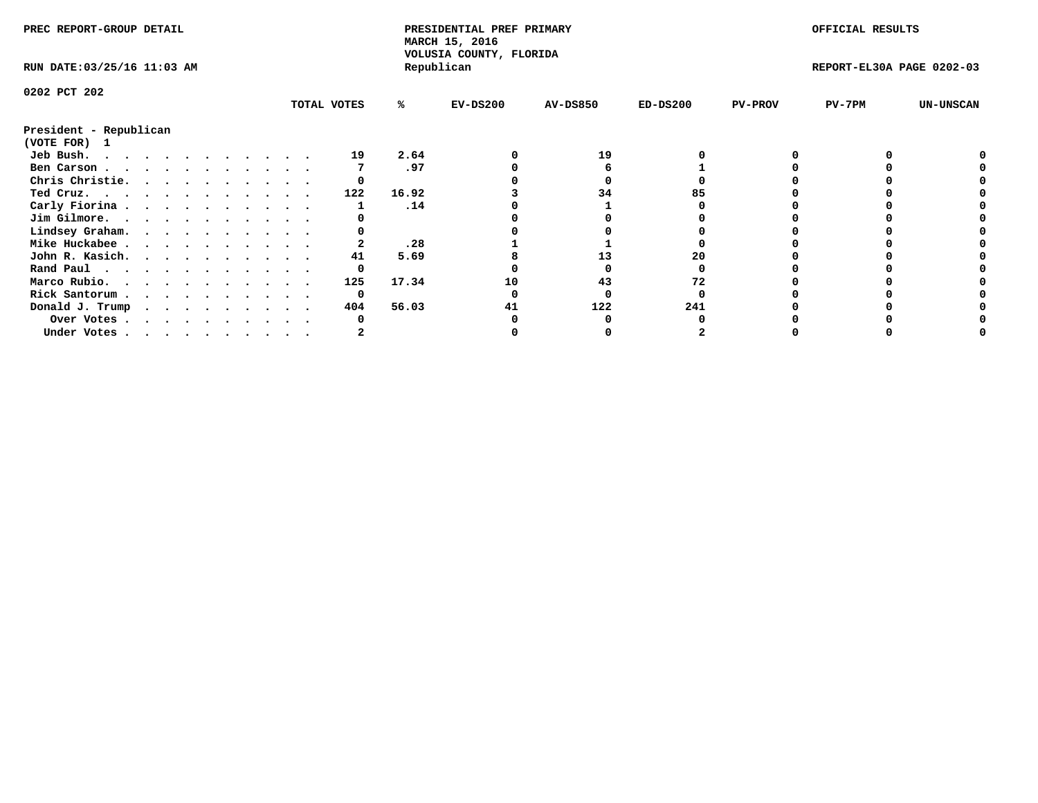| PREC REPORT-GROUP DETAIL    |  |  |  |  |  |  |             | PRESIDENTIAL PREF PRIMARY<br>MARCH 15, 2016<br>VOLUSIA COUNTY, FLORIDA |            |                 |            | OFFICIAL RESULTS |                           |                  |
|-----------------------------|--|--|--|--|--|--|-------------|------------------------------------------------------------------------|------------|-----------------|------------|------------------|---------------------------|------------------|
| RUN DATE: 03/25/16 11:03 AM |  |  |  |  |  |  |             |                                                                        | Republican |                 |            |                  | REPORT-EL30A PAGE 0202-03 |                  |
| 0202 PCT 202                |  |  |  |  |  |  |             |                                                                        |            |                 |            |                  |                           |                  |
|                             |  |  |  |  |  |  | TOTAL VOTES | %ะ                                                                     | $EV-DS200$ | <b>AV-DS850</b> | $ED-DS200$ | <b>PV-PROV</b>   | PV-7PM                    | <b>UN-UNSCAN</b> |
| President - Republican      |  |  |  |  |  |  |             |                                                                        |            |                 |            |                  |                           |                  |
| (VOTE FOR) 1                |  |  |  |  |  |  |             |                                                                        |            |                 |            |                  |                           |                  |
| Jeb Bush.                   |  |  |  |  |  |  | 19          | 2.64                                                                   |            | 19              |            |                  |                           |                  |
| Ben Carson                  |  |  |  |  |  |  |             | .97                                                                    |            |                 |            |                  |                           |                  |
| Chris Christie.             |  |  |  |  |  |  |             |                                                                        |            |                 |            |                  |                           |                  |
| Ted Cruz.                   |  |  |  |  |  |  | 122         | 16.92                                                                  |            | 34              |            |                  |                           |                  |
| Carly Fiorina               |  |  |  |  |  |  |             | .14                                                                    |            |                 |            |                  |                           |                  |
| Jim Gilmore.                |  |  |  |  |  |  |             |                                                                        |            |                 |            |                  |                           |                  |
| Lindsey Graham.             |  |  |  |  |  |  |             |                                                                        |            |                 |            |                  |                           |                  |
| Mike Huckabee               |  |  |  |  |  |  |             | .28                                                                    |            |                 |            |                  |                           |                  |
| John R. Kasich.             |  |  |  |  |  |  | 41          | 5.69                                                                   |            | 13              | 20         |                  |                           |                  |
|                             |  |  |  |  |  |  |             |                                                                        |            |                 |            |                  |                           |                  |
| Rand Paul                   |  |  |  |  |  |  |             |                                                                        |            |                 |            |                  |                           |                  |
| Marco Rubio.                |  |  |  |  |  |  | 125         | 17.34                                                                  | 10         | 43              |            |                  |                           |                  |
| Rick Santorum               |  |  |  |  |  |  | 0           |                                                                        |            |                 |            |                  |                           |                  |
| Donald J. Trump             |  |  |  |  |  |  | 404         | 56.03                                                                  |            | 122             | 241        |                  |                           |                  |
| Over Votes                  |  |  |  |  |  |  |             |                                                                        |            |                 |            |                  |                           |                  |
| Under Votes                 |  |  |  |  |  |  |             |                                                                        |            |                 |            |                  |                           |                  |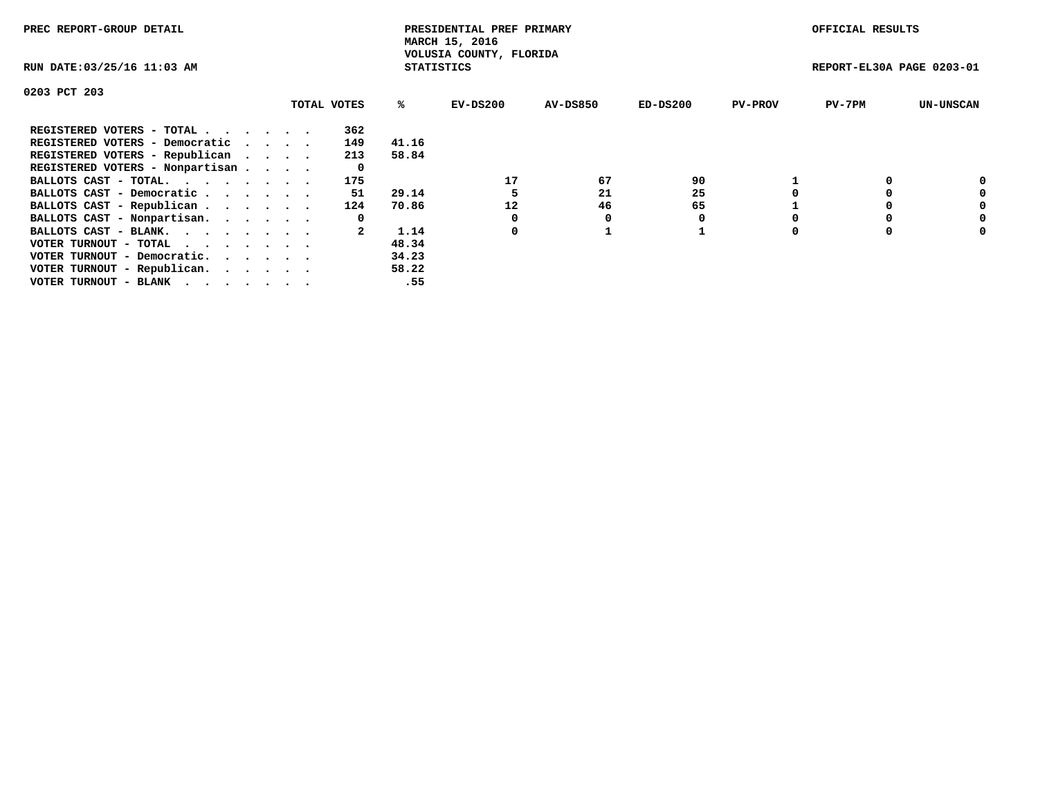| PREC REPORT-GROUP DETAIL        |  |             |                   | PRESIDENTIAL PREF PRIMARY<br>MARCH 15, 2016 |                 |          |                | OFFICIAL RESULTS          |                  |
|---------------------------------|--|-------------|-------------------|---------------------------------------------|-----------------|----------|----------------|---------------------------|------------------|
| RUN DATE: 03/25/16 11:03 AM     |  |             | <b>STATISTICS</b> | VOLUSIA COUNTY, FLORIDA                     |                 |          |                | REPORT-EL30A PAGE 0203-01 |                  |
| 0203 PCT 203                    |  |             |                   |                                             |                 |          |                |                           |                  |
|                                 |  | TOTAL VOTES | %ະ                | EV-DS200                                    | <b>AV-DS850</b> | ED-DS200 | <b>PV-PROV</b> | $PV-7PM$                  | <b>UN-UNSCAN</b> |
| REGISTERED VOTERS - TOTAL       |  | 362         |                   |                                             |                 |          |                |                           |                  |
| REGISTERED VOTERS - Democratic  |  | 149         | 41.16             |                                             |                 |          |                |                           |                  |
| REGISTERED VOTERS - Republican  |  | 213         | 58.84             |                                             |                 |          |                |                           |                  |
| REGISTERED VOTERS - Nonpartisan |  | 0           |                   |                                             |                 |          |                |                           |                  |
| BALLOTS CAST - TOTAL.           |  | 175         |                   | 17                                          | 67              | 90       |                |                           |                  |
| BALLOTS CAST - Democratic       |  | 51          | 29.14             |                                             | 21              | 25       |                |                           | 0                |
| BALLOTS CAST - Republican       |  | 124         | 70.86             | 12                                          | 46              | 65       |                |                           | 0                |
| BALLOTS CAST - Nonpartisan.     |  | 0           |                   |                                             |                 |          |                |                           | 0                |
| BALLOTS CAST - BLANK.           |  |             | 1.14              | 0                                           |                 |          |                |                           | 0                |
| VOTER TURNOUT - TOTAL           |  |             | 48.34             |                                             |                 |          |                |                           |                  |
| VOTER TURNOUT - Democratic.     |  |             | 34.23             |                                             |                 |          |                |                           |                  |
| VOTER TURNOUT - Republican.     |  |             | 58.22             |                                             |                 |          |                |                           |                  |
| VOTER TURNOUT - BLANK           |  |             | .55               |                                             |                 |          |                |                           |                  |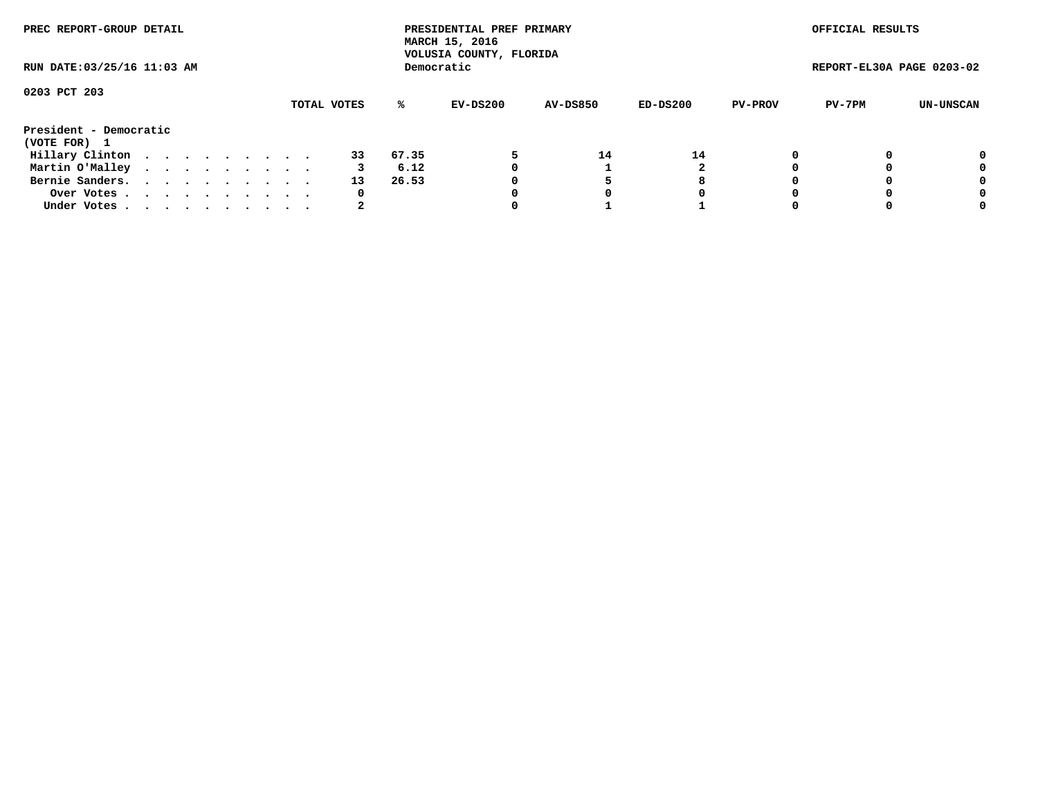| PREC REPORT-GROUP DETAIL    |  |  |  |  |             |       | PRESIDENTIAL PREF PRIMARY<br>MARCH 15, 2016<br>VOLUSIA COUNTY, FLORIDA |                 |          |                | OFFICIAL RESULTS          |           |
|-----------------------------|--|--|--|--|-------------|-------|------------------------------------------------------------------------|-----------------|----------|----------------|---------------------------|-----------|
| RUN DATE: 03/25/16 11:03 AM |  |  |  |  |             |       | Democratic                                                             |                 |          |                | REPORT-EL30A PAGE 0203-02 |           |
| 0203 PCT 203                |  |  |  |  | TOTAL VOTES | %ะ    | EV-DS200                                                               | <b>AV-DS850</b> | ED-DS200 | <b>PV-PROV</b> | PV-7PM                    | UN-UNSCAN |
|                             |  |  |  |  |             |       |                                                                        |                 |          |                |                           |           |
| President - Democratic      |  |  |  |  |             |       |                                                                        |                 |          |                |                           |           |
| (VOTE FOR) 1                |  |  |  |  |             |       |                                                                        |                 |          |                |                           |           |
| Hillary Clinton             |  |  |  |  | 33          | 67.35 |                                                                        | 14              | 14       | 0              |                           | 0         |
| Martin O'Malley             |  |  |  |  |             | 6.12  |                                                                        |                 |          |                |                           | 0         |
| Bernie Sanders.             |  |  |  |  | 13          | 26.53 |                                                                        |                 | 8        |                |                           | 0         |
| Over Votes.                 |  |  |  |  | 0           |       |                                                                        |                 | O        |                |                           | 0         |
| Under Votes                 |  |  |  |  |             |       |                                                                        |                 |          |                |                           | 0         |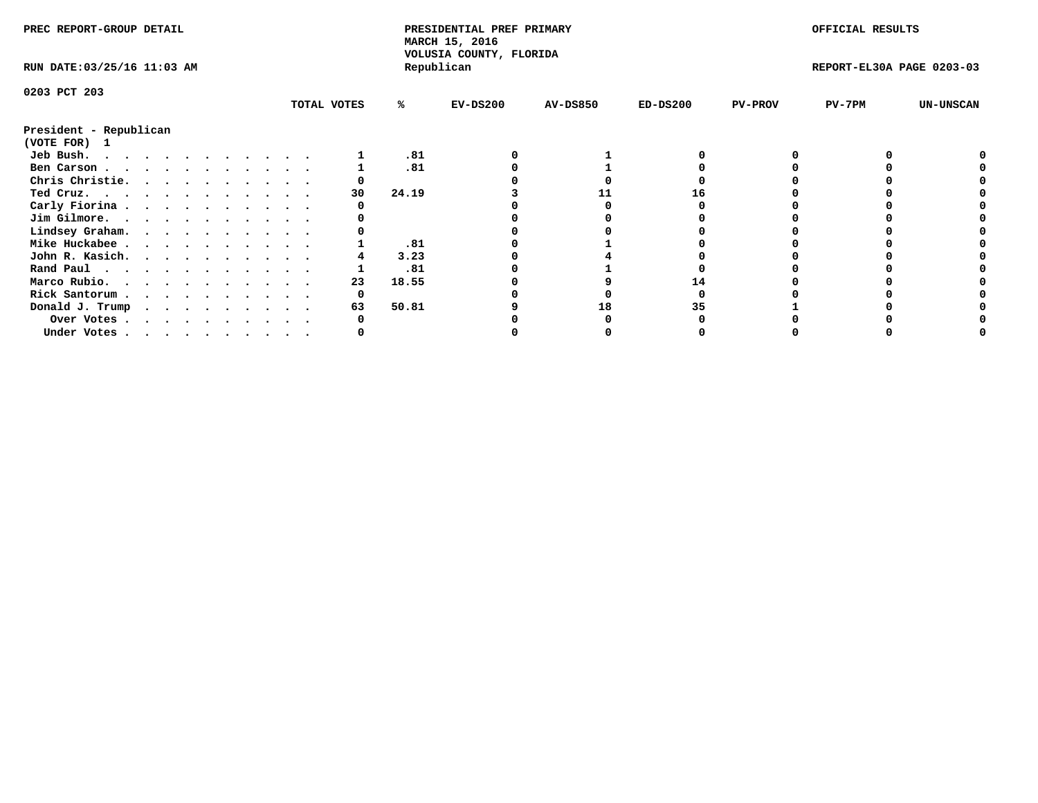| PREC REPORT-GROUP DETAIL               |  |  |  |  |  |  |  | PRESIDENTIAL PREF PRIMARY<br>MARCH 15, 2016<br>VOLUSIA COUNTY, FLORIDA |       |            |                 | OFFICIAL RESULTS |                |                           |                  |
|----------------------------------------|--|--|--|--|--|--|--|------------------------------------------------------------------------|-------|------------|-----------------|------------------|----------------|---------------------------|------------------|
| RUN DATE: 03/25/16 11:03 AM            |  |  |  |  |  |  |  |                                                                        |       | Republican |                 |                  |                | REPORT-EL30A PAGE 0203-03 |                  |
| 0203 PCT 203                           |  |  |  |  |  |  |  |                                                                        |       |            |                 |                  |                |                           |                  |
|                                        |  |  |  |  |  |  |  | TOTAL VOTES                                                            | ℁     | $EV-DS200$ | <b>AV-DS850</b> | $ED-DS200$       | <b>PV-PROV</b> | PV-7PM                    | <b>UN-UNSCAN</b> |
| President - Republican<br>(VOTE FOR) 1 |  |  |  |  |  |  |  |                                                                        |       |            |                 |                  |                |                           |                  |
| Jeb Bush.                              |  |  |  |  |  |  |  |                                                                        | .81   |            |                 |                  |                |                           |                  |
| Ben Carson                             |  |  |  |  |  |  |  |                                                                        | .81   |            |                 |                  |                |                           |                  |
| Chris Christie.                        |  |  |  |  |  |  |  |                                                                        |       |            |                 |                  |                |                           |                  |
| Ted Cruz.                              |  |  |  |  |  |  |  | 30                                                                     | 24.19 |            |                 | 16               |                |                           |                  |
| Carly Fiorina                          |  |  |  |  |  |  |  |                                                                        |       |            |                 |                  |                |                           |                  |
| Jim Gilmore.                           |  |  |  |  |  |  |  |                                                                        |       |            |                 |                  |                |                           |                  |
| Lindsey Graham.                        |  |  |  |  |  |  |  |                                                                        |       |            |                 |                  |                |                           |                  |
| Mike Huckabee                          |  |  |  |  |  |  |  |                                                                        | .81   |            |                 |                  |                |                           |                  |
| John R. Kasich.                        |  |  |  |  |  |  |  |                                                                        | 3.23  |            |                 |                  |                |                           |                  |
| Rand Paul                              |  |  |  |  |  |  |  |                                                                        | .81   |            |                 |                  |                |                           |                  |
| Marco Rubio.                           |  |  |  |  |  |  |  | 23                                                                     | 18.55 |            |                 |                  |                |                           |                  |
| Rick Santorum                          |  |  |  |  |  |  |  | 0                                                                      |       |            |                 |                  |                |                           |                  |
| Donald J. Trump                        |  |  |  |  |  |  |  | 63                                                                     | 50.81 |            | 18              |                  |                |                           |                  |
| Over Votes                             |  |  |  |  |  |  |  |                                                                        |       |            |                 |                  |                |                           |                  |
| Under Votes                            |  |  |  |  |  |  |  |                                                                        |       |            |                 |                  |                |                           |                  |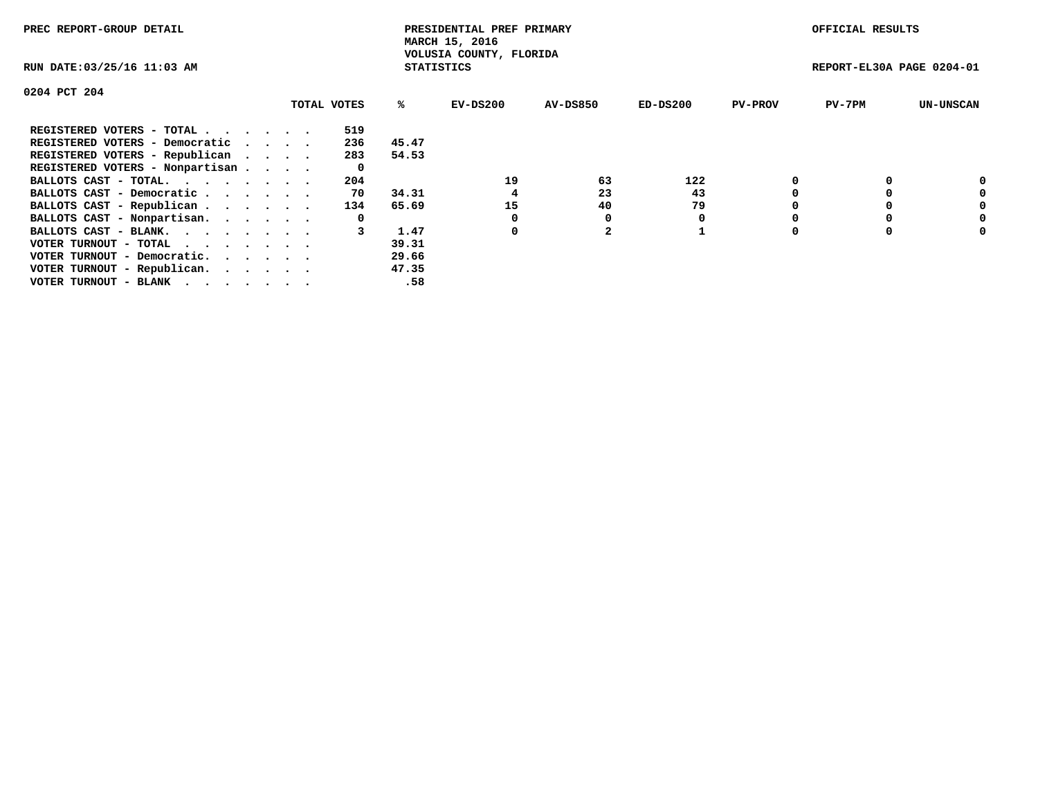| PREC REPORT-GROUP DETAIL                                    |             |                   | PRESIDENTIAL PREF PRIMARY<br>MARCH 15, 2016 |                 |            |                | OFFICIAL RESULTS          |                  |
|-------------------------------------------------------------|-------------|-------------------|---------------------------------------------|-----------------|------------|----------------|---------------------------|------------------|
| RUN DATE: 03/25/16 11:03 AM                                 |             | <b>STATISTICS</b> | VOLUSIA COUNTY, FLORIDA                     |                 |            |                | REPORT-EL30A PAGE 0204-01 |                  |
| 0204 PCT 204                                                |             |                   |                                             |                 |            |                |                           |                  |
|                                                             | TOTAL VOTES | ℁                 | EV-DS200                                    | <b>AV-DS850</b> | $ED-DS200$ | <b>PV-PROV</b> | $PV-7PM$                  | <b>UN-UNSCAN</b> |
| REGISTERED VOTERS - TOTAL                                   | 519         |                   |                                             |                 |            |                |                           |                  |
| REGISTERED VOTERS - Democratic                              | 236         | 45.47             |                                             |                 |            |                |                           |                  |
| REGISTERED VOTERS - Republican                              | 283         | 54.53             |                                             |                 |            |                |                           |                  |
| REGISTERED VOTERS - Nonpartisan                             | 0           |                   |                                             |                 |            |                |                           |                  |
| BALLOTS CAST - TOTAL.                                       | 204         |                   | 19                                          | 63              | 122        |                |                           |                  |
| BALLOTS CAST - Democratic                                   | 70          | 34.31             |                                             | 23              | 43         |                |                           | 0                |
| BALLOTS CAST - Republican                                   | 134         | 65.69             | 15                                          | 40              | 79         |                |                           | 0                |
| BALLOTS CAST - Nonpartisan.                                 | 0           |                   |                                             |                 |            |                |                           | 0                |
| BALLOTS CAST - BLANK.                                       |             | 1.47              | 0                                           |                 |            |                |                           | 0                |
| VOTER TURNOUT - TOTAL $\cdot \cdot \cdot \cdot \cdot \cdot$ |             | 39.31             |                                             |                 |            |                |                           |                  |
| VOTER TURNOUT - Democratic.                                 |             | 29.66             |                                             |                 |            |                |                           |                  |
| VOTER TURNOUT - Republican.                                 |             | 47.35             |                                             |                 |            |                |                           |                  |
| VOTER TURNOUT - BLANK                                       |             | .58               |                                             |                 |            |                |                           |                  |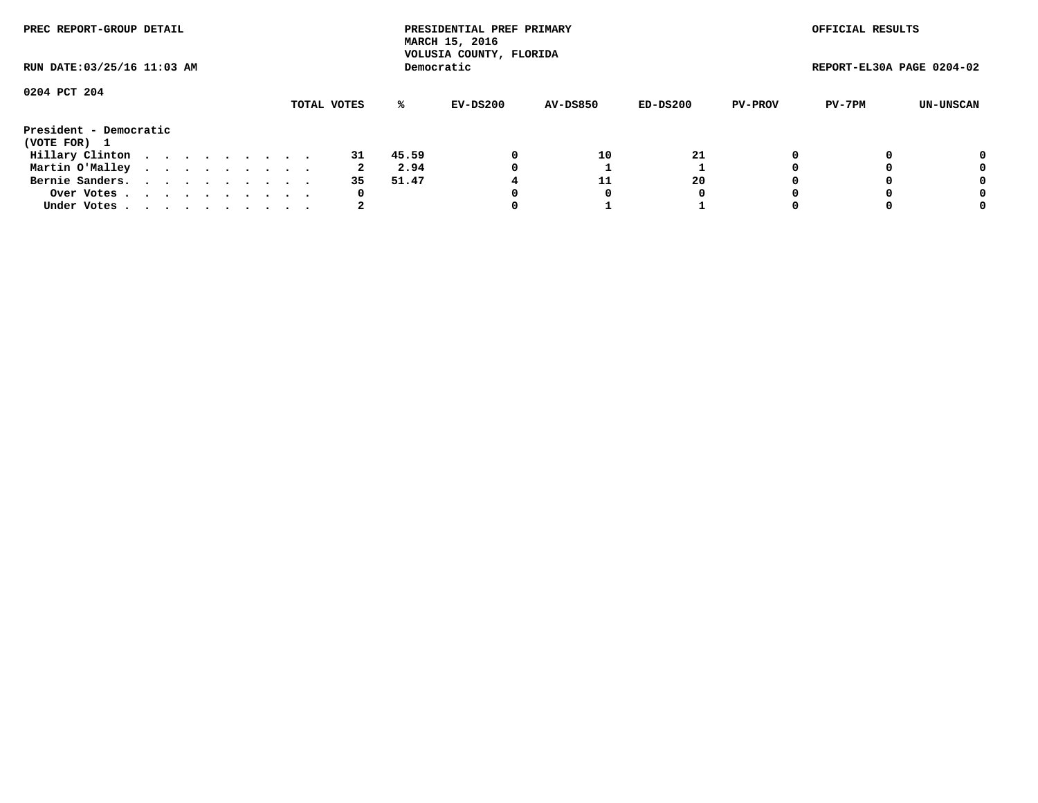| PREC REPORT-GROUP DETAIL               |             | PRESIDENTIAL PREF PRIMARY<br>MARCH 15, 2016<br>VOLUSIA COUNTY, FLORIDA |                 |          |                | OFFICIAL RESULTS          |           |
|----------------------------------------|-------------|------------------------------------------------------------------------|-----------------|----------|----------------|---------------------------|-----------|
| RUN DATE: 03/25/16 11:03 AM            |             | Democratic                                                             |                 |          |                | REPORT-EL30A PAGE 0204-02 |           |
| 0204 PCT 204                           | TOTAL VOTES | %ะ<br>EV-DS200                                                         | <b>AV-DS850</b> | ED-DS200 | <b>PV-PROV</b> | PV-7PM                    | UN-UNSCAN |
| President - Democratic<br>(VOTE FOR) 1 |             |                                                                        |                 |          |                |                           |           |
| Hillary Clinton                        | 31          | 45.59<br>0                                                             | 10              | 21       | 0              |                           | 0         |
| Martin O'Malley                        |             | 2.94                                                                   |                 |          |                |                           | 0         |
| Bernie Sanders.                        | 35          | 51.47                                                                  | 11              | 20       |                |                           | 0         |
| Over Votes.                            | 0           |                                                                        |                 | 0        |                |                           | 0         |
| Under Votes                            |             |                                                                        |                 |          |                |                           | 0         |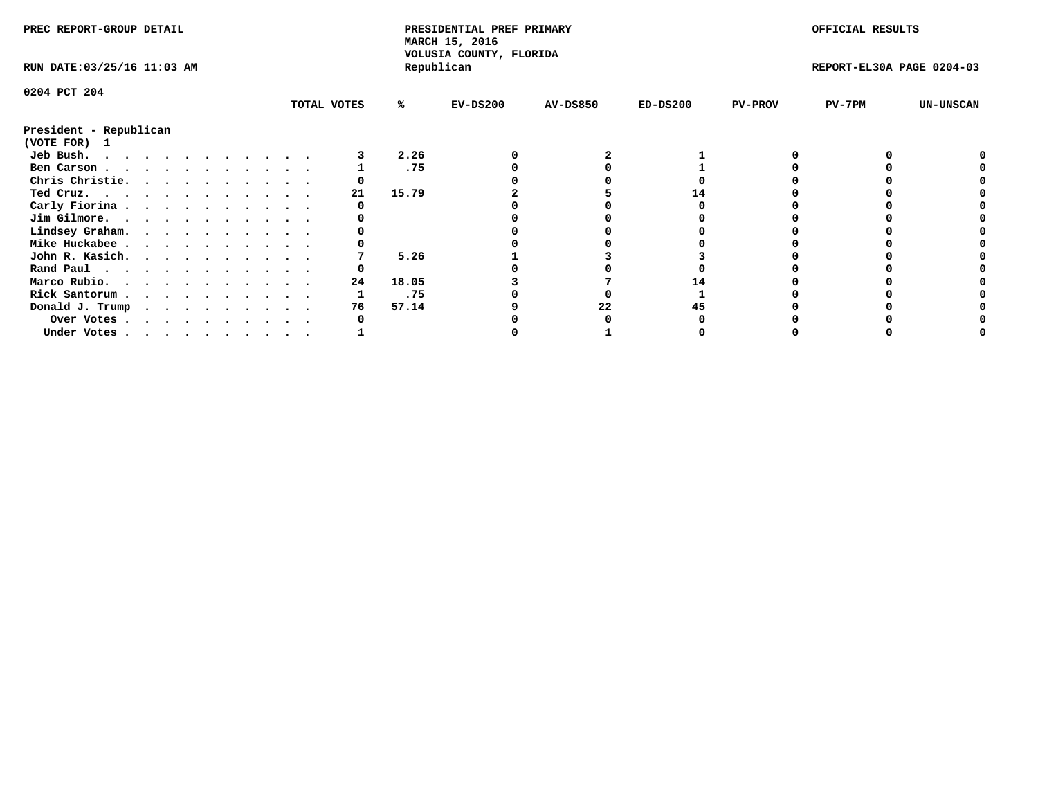| PREC REPORT-GROUP DETAIL               |             |       | PRESIDENTIAL PREF PRIMARY<br>MARCH 15, 2016<br>VOLUSIA COUNTY, FLORIDA |                 |            |                | OFFICIAL RESULTS          |                  |
|----------------------------------------|-------------|-------|------------------------------------------------------------------------|-----------------|------------|----------------|---------------------------|------------------|
| RUN DATE: 03/25/16 11:03 AM            |             |       | Republican                                                             |                 |            |                | REPORT-EL30A PAGE 0204-03 |                  |
| 0204 PCT 204                           |             |       |                                                                        |                 |            |                |                           |                  |
|                                        | TOTAL VOTES | %ะ    | $EV-DS200$                                                             | <b>AV-DS850</b> | $ED-DS200$ | <b>PV-PROV</b> | $PV-7PM$                  | <b>UN-UNSCAN</b> |
| President - Republican<br>(VOTE FOR) 1 |             |       |                                                                        |                 |            |                |                           |                  |
| Jeb Bush.                              |             | 2.26  |                                                                        |                 |            |                |                           |                  |
| Ben Carson                             |             | .75   |                                                                        |                 |            |                |                           |                  |
| Chris Christie.                        |             |       |                                                                        |                 |            |                |                           |                  |
| Ted Cruz.                              | 21          | 15.79 |                                                                        |                 |            |                |                           |                  |
| Carly Fiorina                          |             |       |                                                                        |                 |            |                |                           |                  |
| Jim Gilmore.                           |             |       |                                                                        |                 |            |                |                           |                  |
| Lindsey Graham.                        |             |       |                                                                        |                 |            |                |                           |                  |
| Mike Huckabee                          |             |       |                                                                        |                 |            |                |                           |                  |
| John R. Kasich.                        |             | 5.26  |                                                                        |                 |            |                |                           |                  |
| Rand Paul                              |             |       |                                                                        |                 |            |                |                           |                  |
| Marco Rubio.                           | 24          | 18.05 |                                                                        |                 |            |                |                           |                  |
| Rick Santorum                          |             | .75   |                                                                        |                 |            |                |                           |                  |
| Donald J. Trump                        | 76          | 57.14 |                                                                        | 22              |            |                |                           |                  |
| Over Votes                             |             |       |                                                                        |                 |            |                |                           |                  |
| Under Votes.                           |             |       |                                                                        |                 |            |                |                           |                  |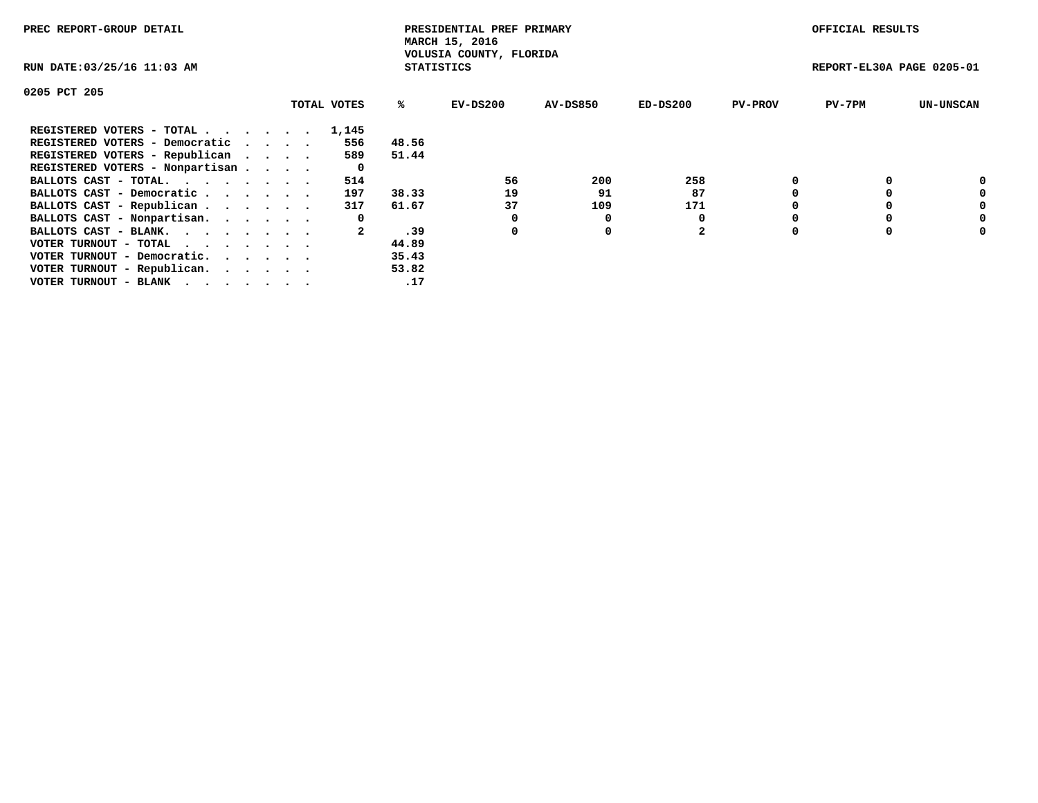| PREC REPORT-GROUP DETAIL        |             |                   | PRESIDENTIAL PREF PRIMARY<br>MARCH 15, 2016 |                 |          |                | OFFICIAL RESULTS          |                  |
|---------------------------------|-------------|-------------------|---------------------------------------------|-----------------|----------|----------------|---------------------------|------------------|
| RUN DATE: 03/25/16 11:03 AM     |             | <b>STATISTICS</b> | VOLUSIA COUNTY, FLORIDA                     |                 |          |                | REPORT-EL30A PAGE 0205-01 |                  |
| 0205 PCT 205                    |             |                   |                                             |                 |          |                |                           |                  |
|                                 | TOTAL VOTES | %ະ                | EV-DS200                                    | <b>AV-DS850</b> | ED-DS200 | <b>PV-PROV</b> | $PV-7PM$                  | <b>UN-UNSCAN</b> |
| REGISTERED VOTERS - TOTAL       | 1,145       |                   |                                             |                 |          |                |                           |                  |
| REGISTERED VOTERS - Democratic  | 556         | 48.56             |                                             |                 |          |                |                           |                  |
| REGISTERED VOTERS - Republican  | 589         | 51.44             |                                             |                 |          |                |                           |                  |
| REGISTERED VOTERS - Nonpartisan | 0           |                   |                                             |                 |          |                |                           |                  |
| BALLOTS CAST - TOTAL.           | 514         |                   | 56                                          | 200             | 258      |                |                           | 0                |
| BALLOTS CAST - Democratic       | 197         | 38.33             | 19                                          | 91              | 87       |                |                           | 0                |
| BALLOTS CAST - Republican       | 317         | 61.67             | 37                                          | 109             | 171      |                |                           | 0                |
| BALLOTS CAST - Nonpartisan.     | 0           |                   |                                             |                 |          |                |                           | 0                |
| BALLOTS CAST - BLANK.           |             | .39               | 0                                           | 0               | 2        |                |                           | 0                |
| VOTER TURNOUT - TOTAL           |             | 44.89             |                                             |                 |          |                |                           |                  |
| VOTER TURNOUT - Democratic.     |             | 35.43             |                                             |                 |          |                |                           |                  |
| VOTER TURNOUT - Republican.     |             | 53.82             |                                             |                 |          |                |                           |                  |
| VOTER TURNOUT - BLANK           |             | .17               |                                             |                 |          |                |                           |                  |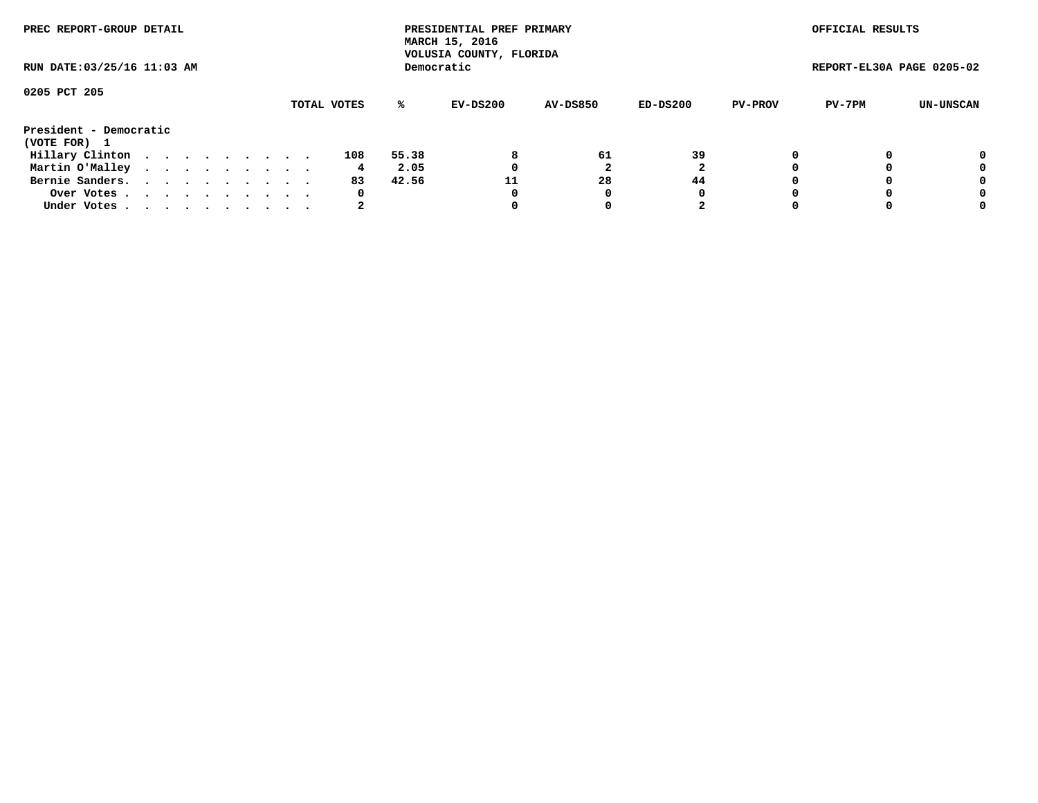| PREC REPORT-GROUP DETAIL               |  |  |  |  |             |       | PRESIDENTIAL PREF PRIMARY<br>MARCH 15, 2016<br>VOLUSIA COUNTY, FLORIDA |                 |          |                | OFFICIAL RESULTS          |           |
|----------------------------------------|--|--|--|--|-------------|-------|------------------------------------------------------------------------|-----------------|----------|----------------|---------------------------|-----------|
| RUN DATE: 03/25/16 11:03 AM            |  |  |  |  |             |       | Democratic                                                             |                 |          |                | REPORT-EL30A PAGE 0205-02 |           |
| 0205 PCT 205                           |  |  |  |  | TOTAL VOTES | %ะ    | EV-DS200                                                               | <b>AV-DS850</b> | ED-DS200 | <b>PV-PROV</b> | PV-7PM                    | UN-UNSCAN |
| President - Democratic<br>(VOTE FOR) 1 |  |  |  |  |             |       |                                                                        |                 |          |                |                           |           |
| Hillary Clinton                        |  |  |  |  | 108         | 55.38 | 8                                                                      | 61              | 39       |                |                           | 0         |
| Martin O'Malley                        |  |  |  |  | 4.          | 2.05  |                                                                        |                 |          |                |                           | 0         |
| Bernie Sanders.                        |  |  |  |  | 83          | 42.56 | 11                                                                     | 28              | 44       |                |                           | 0         |
| Over Votes.                            |  |  |  |  | 0           |       | 0                                                                      |                 | 0        |                |                           | 0         |
| Under Votes.                           |  |  |  |  |             |       |                                                                        |                 |          |                |                           | 0         |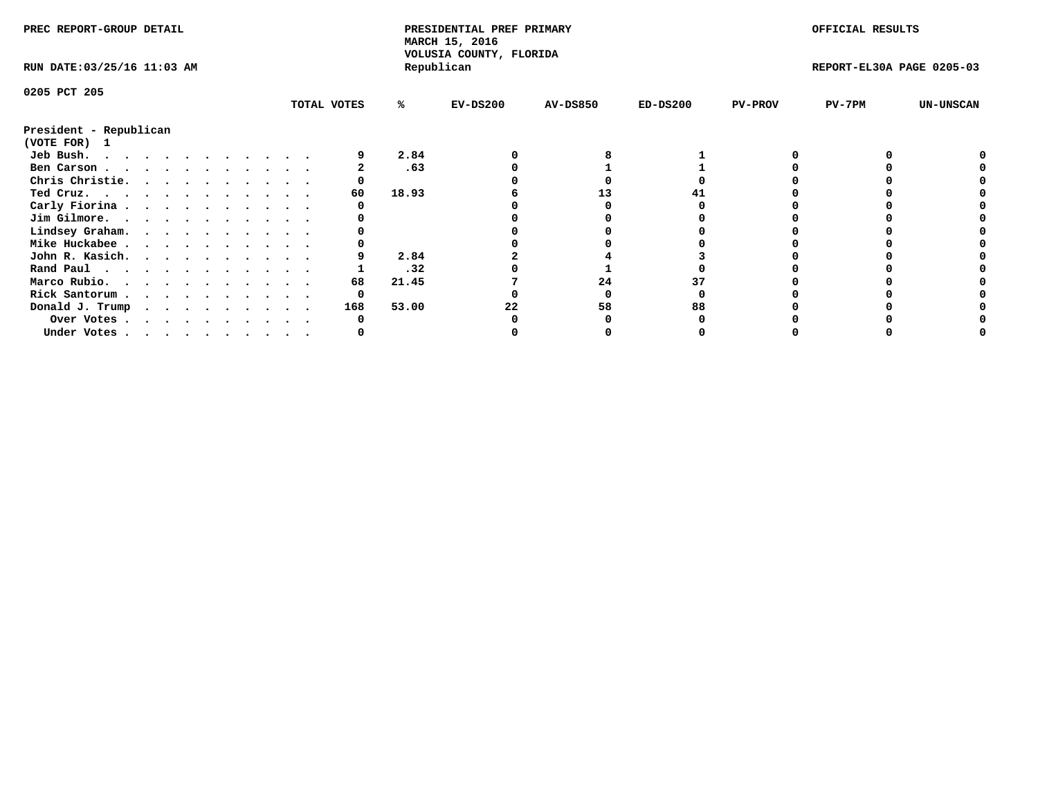| PREC REPORT-GROUP DETAIL               |  |  |  |  |  |  |             | PRESIDENTIAL PREF PRIMARY<br>MARCH 15, 2016 |                                       |                 |            | OFFICIAL RESULTS |                           |                  |
|----------------------------------------|--|--|--|--|--|--|-------------|---------------------------------------------|---------------------------------------|-----------------|------------|------------------|---------------------------|------------------|
| RUN DATE: 03/25/16 11:03 AM            |  |  |  |  |  |  |             |                                             | VOLUSIA COUNTY, FLORIDA<br>Republican |                 |            |                  | REPORT-EL30A PAGE 0205-03 |                  |
| 0205 PCT 205                           |  |  |  |  |  |  |             |                                             |                                       |                 |            |                  |                           |                  |
|                                        |  |  |  |  |  |  | TOTAL VOTES | %ะ                                          | $EV-DS200$                            | <b>AV-DS850</b> | $ED-DS200$ | <b>PV-PROV</b>   | $PV-7PM$                  | <b>UN-UNSCAN</b> |
| President - Republican<br>(VOTE FOR) 1 |  |  |  |  |  |  |             |                                             |                                       |                 |            |                  |                           |                  |
| Jeb Bush.                              |  |  |  |  |  |  |             | 2.84                                        |                                       |                 |            |                  |                           |                  |
| Ben Carson                             |  |  |  |  |  |  |             | .63                                         |                                       |                 |            |                  |                           |                  |
| Chris Christie.                        |  |  |  |  |  |  |             |                                             |                                       |                 |            |                  |                           |                  |
| Ted Cruz.                              |  |  |  |  |  |  | 60          | 18.93                                       |                                       | 13              |            |                  |                           |                  |
| Carly Fiorina                          |  |  |  |  |  |  |             |                                             |                                       |                 |            |                  |                           |                  |
| Jim Gilmore.                           |  |  |  |  |  |  |             |                                             |                                       |                 |            |                  |                           |                  |
| Lindsey Graham.                        |  |  |  |  |  |  |             |                                             |                                       |                 |            |                  |                           |                  |
| Mike Huckabee                          |  |  |  |  |  |  |             |                                             |                                       |                 |            |                  |                           |                  |
| John R. Kasich.                        |  |  |  |  |  |  |             | 2.84                                        |                                       |                 |            |                  |                           |                  |
| Rand Paul                              |  |  |  |  |  |  |             | .32                                         |                                       |                 |            |                  |                           |                  |
| Marco Rubio.                           |  |  |  |  |  |  | 68          | 21.45                                       |                                       | 24              |            |                  |                           |                  |
| Rick Santorum                          |  |  |  |  |  |  | 0           |                                             |                                       |                 |            |                  |                           |                  |
| Donald J. Trump                        |  |  |  |  |  |  | 168         | 53.00                                       | 22                                    | 58              |            |                  |                           |                  |
| Over Votes                             |  |  |  |  |  |  |             |                                             |                                       |                 |            |                  |                           |                  |
| Under Votes                            |  |  |  |  |  |  |             |                                             |                                       |                 |            |                  |                           |                  |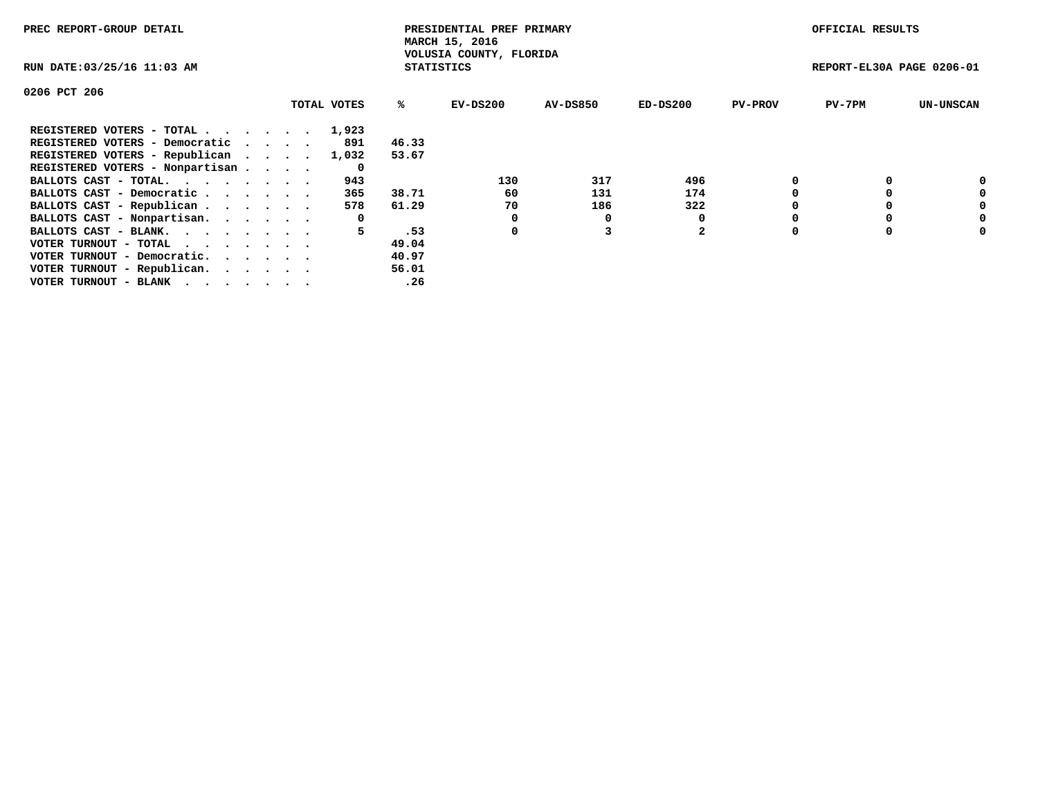| PREC REPORT-GROUP DETAIL        |             |                   | PRESIDENTIAL PREF PRIMARY<br>MARCH 15, 2016 |          |                |                | OFFICIAL RESULTS          |                  |
|---------------------------------|-------------|-------------------|---------------------------------------------|----------|----------------|----------------|---------------------------|------------------|
| RUN DATE: 03/25/16 11:03 AM     |             | <b>STATISTICS</b> | VOLUSIA COUNTY, FLORIDA                     |          |                |                | REPORT-EL30A PAGE 0206-01 |                  |
| 0206 PCT 206                    |             |                   |                                             |          |                |                |                           |                  |
|                                 | TOTAL VOTES | ℁                 | EV-DS200                                    | AV-DS850 | $ED-DS200$     | <b>PV-PROV</b> | $PV-7PM$                  | <b>UN-UNSCAN</b> |
| REGISTERED VOTERS - TOTAL       | 1,923       |                   |                                             |          |                |                |                           |                  |
| REGISTERED VOTERS - Democratic  | 891         | 46.33             |                                             |          |                |                |                           |                  |
| REGISTERED VOTERS - Republican  | 1,032       | 53.67             |                                             |          |                |                |                           |                  |
| REGISTERED VOTERS - Nonpartisan | 0           |                   |                                             |          |                |                |                           |                  |
| BALLOTS CAST - TOTAL.           | 943         |                   | 130                                         | 317      | 496            |                |                           | 0                |
| BALLOTS CAST - Democratic       | 365         | 38.71             | 60                                          | 131      | 174            |                |                           | 0                |
| BALLOTS CAST - Republican       | 578         | 61.29             | 70                                          | 186      | 322            |                |                           | 0                |
| BALLOTS CAST - Nonpartisan.     | 0           |                   | 0                                           | 0        |                |                |                           | 0                |
| BALLOTS CAST - BLANK.           | 5           | .53               | 0                                           |          | $\overline{2}$ |                |                           | 0                |
| VOTER TURNOUT - TOTAL           |             | 49.04             |                                             |          |                |                |                           |                  |
| VOTER TURNOUT - Democratic.     |             | 40.97             |                                             |          |                |                |                           |                  |
| VOTER TURNOUT - Republican.     |             | 56.01             |                                             |          |                |                |                           |                  |
| VOTER TURNOUT - BLANK           |             | .26               |                                             |          |                |                |                           |                  |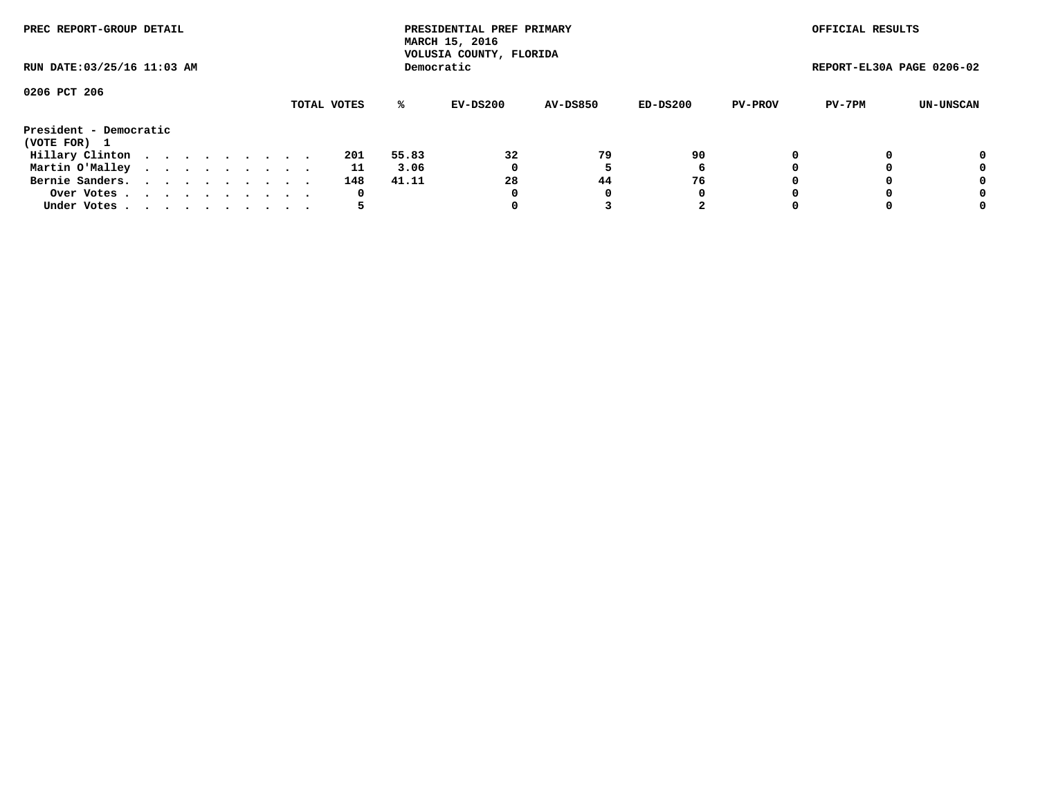| PREC REPORT-GROUP DETAIL<br>RUN DATE: 03/25/16 11:03 AM |  |  |  |  |  |  |  |  |             |       | PRESIDENTIAL PREF PRIMARY<br>MARCH 15, 2016<br>VOLUSIA COUNTY, FLORIDA |                 |          |                | OFFICIAL RESULTS          |           |
|---------------------------------------------------------|--|--|--|--|--|--|--|--|-------------|-------|------------------------------------------------------------------------|-----------------|----------|----------------|---------------------------|-----------|
|                                                         |  |  |  |  |  |  |  |  |             |       | Democratic                                                             |                 |          |                | REPORT-EL30A PAGE 0206-02 |           |
| 0206 PCT 206                                            |  |  |  |  |  |  |  |  | TOTAL VOTES | %ะ    | EV-DS200                                                               | <b>AV-DS850</b> | ED-DS200 | <b>PV-PROV</b> | PV-7PM                    | UN-UNSCAN |
| President - Democratic                                  |  |  |  |  |  |  |  |  |             |       |                                                                        |                 |          |                |                           |           |
| (VOTE FOR) 1                                            |  |  |  |  |  |  |  |  |             |       |                                                                        |                 |          |                |                           |           |
| Hillary Clinton                                         |  |  |  |  |  |  |  |  | 201         | 55.83 | 32                                                                     | 79              | 90       |                |                           | 0         |
| Martin O'Malley                                         |  |  |  |  |  |  |  |  | 11          | 3.06  | 0                                                                      |                 | 6        |                |                           | 0         |
| Bernie Sanders.                                         |  |  |  |  |  |  |  |  | 148         | 41.11 | 28                                                                     | 44              | 76       |                |                           | 0         |
| Over Votes.                                             |  |  |  |  |  |  |  |  | 0           |       | 0                                                                      | 0               | 0        |                |                           | 0         |
| Under Votes.                                            |  |  |  |  |  |  |  |  |             |       |                                                                        |                 | 2        |                |                           | 0         |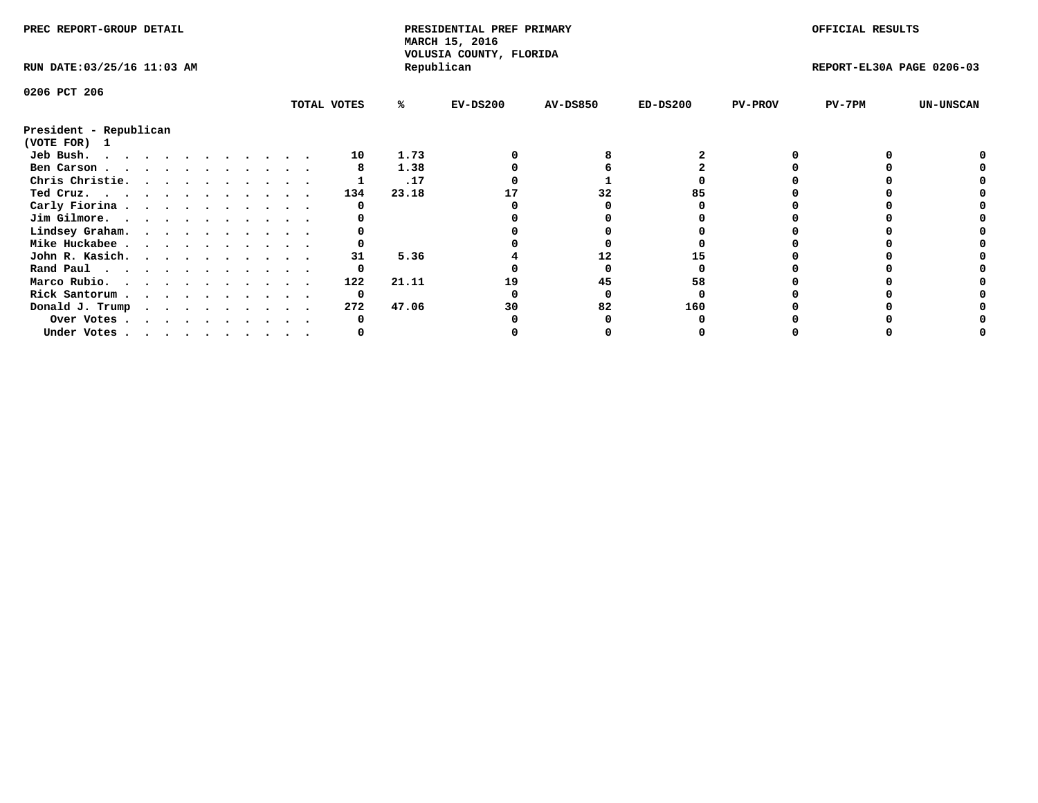| PREC REPORT-GROUP DETAIL               |  |  |  |  |  |  |  |  |             | PRESIDENTIAL PREF PRIMARY<br>MARCH 15, 2016<br>VOLUSIA COUNTY, FLORIDA |            |                 |            | OFFICIAL RESULTS |                           |                  |
|----------------------------------------|--|--|--|--|--|--|--|--|-------------|------------------------------------------------------------------------|------------|-----------------|------------|------------------|---------------------------|------------------|
| RUN DATE: 03/25/16 11:03 AM            |  |  |  |  |  |  |  |  |             |                                                                        | Republican |                 |            |                  | REPORT-EL30A PAGE 0206-03 |                  |
| 0206 PCT 206                           |  |  |  |  |  |  |  |  |             |                                                                        |            |                 |            |                  |                           |                  |
|                                        |  |  |  |  |  |  |  |  | TOTAL VOTES | %ะ                                                                     | $EV-DS200$ | <b>AV-DS850</b> | $ED-DS200$ | <b>PV-PROV</b>   | PV-7PM                    | <b>UN-UNSCAN</b> |
| President - Republican<br>(VOTE FOR) 1 |  |  |  |  |  |  |  |  |             |                                                                        |            |                 |            |                  |                           |                  |
| Jeb Bush.                              |  |  |  |  |  |  |  |  | 10          | 1.73                                                                   |            |                 |            |                  |                           |                  |
| Ben Carson                             |  |  |  |  |  |  |  |  |             | 1.38                                                                   |            |                 |            |                  |                           |                  |
| Chris Christie.                        |  |  |  |  |  |  |  |  |             | .17                                                                    |            |                 |            |                  |                           |                  |
| Ted Cruz.                              |  |  |  |  |  |  |  |  | 134         | 23.18                                                                  |            | 32              |            |                  |                           |                  |
| Carly Fiorina                          |  |  |  |  |  |  |  |  |             |                                                                        |            |                 |            |                  |                           |                  |
| Jim Gilmore.                           |  |  |  |  |  |  |  |  |             |                                                                        |            |                 |            |                  |                           |                  |
| Lindsey Graham.                        |  |  |  |  |  |  |  |  |             |                                                                        |            |                 |            |                  |                           |                  |
| Mike Huckabee                          |  |  |  |  |  |  |  |  |             |                                                                        |            |                 |            |                  |                           |                  |
| John R. Kasich.                        |  |  |  |  |  |  |  |  | 31          | 5.36                                                                   |            | 12              |            |                  |                           |                  |
| Rand Paul                              |  |  |  |  |  |  |  |  | 0           |                                                                        |            |                 |            |                  |                           |                  |
| Marco Rubio.                           |  |  |  |  |  |  |  |  | 122         | 21.11                                                                  | 19         | 45              | 58         |                  |                           |                  |
| Rick Santorum                          |  |  |  |  |  |  |  |  | 0           |                                                                        |            |                 |            |                  |                           |                  |
| Donald J. Trump                        |  |  |  |  |  |  |  |  | 272         | 47.06                                                                  | 30         | 82              | 160        |                  |                           |                  |
|                                        |  |  |  |  |  |  |  |  |             |                                                                        |            |                 |            |                  |                           |                  |
| Over Votes                             |  |  |  |  |  |  |  |  |             |                                                                        |            |                 |            |                  |                           |                  |
| Under Votes                            |  |  |  |  |  |  |  |  |             |                                                                        |            |                 |            |                  |                           |                  |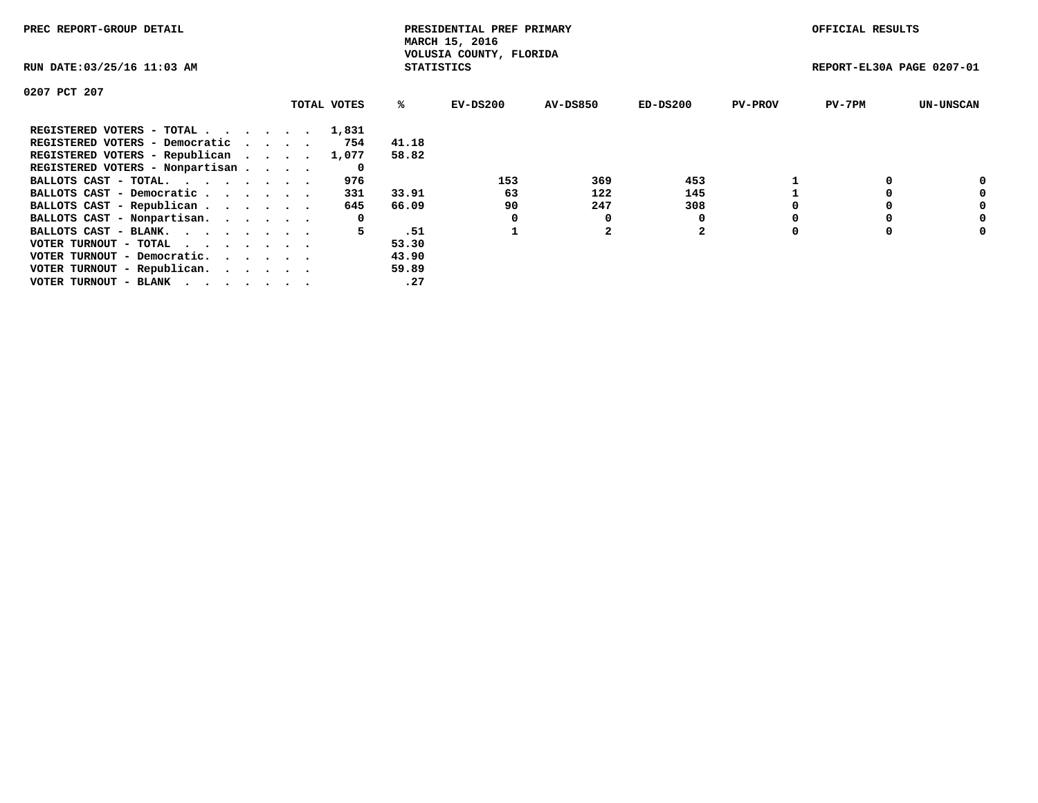| PREC REPORT-GROUP DETAIL                                    |             |                   | PRESIDENTIAL PREF PRIMARY<br>MARCH 15, 2016 |          |                |                | OFFICIAL RESULTS          |                  |
|-------------------------------------------------------------|-------------|-------------------|---------------------------------------------|----------|----------------|----------------|---------------------------|------------------|
| RUN DATE: 03/25/16 11:03 AM                                 |             | <b>STATISTICS</b> | VOLUSIA COUNTY, FLORIDA                     |          |                |                | REPORT-EL30A PAGE 0207-01 |                  |
| 0207 PCT 207                                                |             |                   |                                             |          |                |                |                           |                  |
|                                                             | TOTAL VOTES | ℁                 | $EV-DS200$                                  | AV-DS850 | $ED-DS200$     | <b>PV-PROV</b> | $PV-7PM$                  | <b>UN-UNSCAN</b> |
| REGISTERED VOTERS - TOTAL                                   | 1,831       |                   |                                             |          |                |                |                           |                  |
| REGISTERED VOTERS - Democratic                              | 754         | 41.18             |                                             |          |                |                |                           |                  |
| REGISTERED VOTERS - Republican                              | 1,077       | 58.82             |                                             |          |                |                |                           |                  |
| REGISTERED VOTERS - Nonpartisan                             | 0           |                   |                                             |          |                |                |                           |                  |
| BALLOTS CAST - TOTAL.                                       | 976         |                   | 153                                         | 369      | 453            |                |                           | 0                |
| BALLOTS CAST - Democratic                                   | 331         | 33.91             | 63                                          | 122      | 145            |                |                           | 0                |
| BALLOTS CAST - Republican                                   | 645         | 66.09             | 90                                          | 247      | 308            |                |                           | 0                |
| BALLOTS CAST - Nonpartisan.                                 | 0           |                   |                                             | 0        |                |                |                           | 0                |
| BALLOTS CAST - BLANK.                                       | 5.          | .51               |                                             |          | $\overline{2}$ |                |                           | 0                |
| VOTER TURNOUT - TOTAL $\cdot \cdot \cdot \cdot \cdot \cdot$ |             | 53.30             |                                             |          |                |                |                           |                  |
| VOTER TURNOUT - Democratic.                                 |             | 43.90             |                                             |          |                |                |                           |                  |
| VOTER TURNOUT - Republican.                                 |             | 59.89             |                                             |          |                |                |                           |                  |
| VOTER TURNOUT - BLANK                                       |             | .27               |                                             |          |                |                |                           |                  |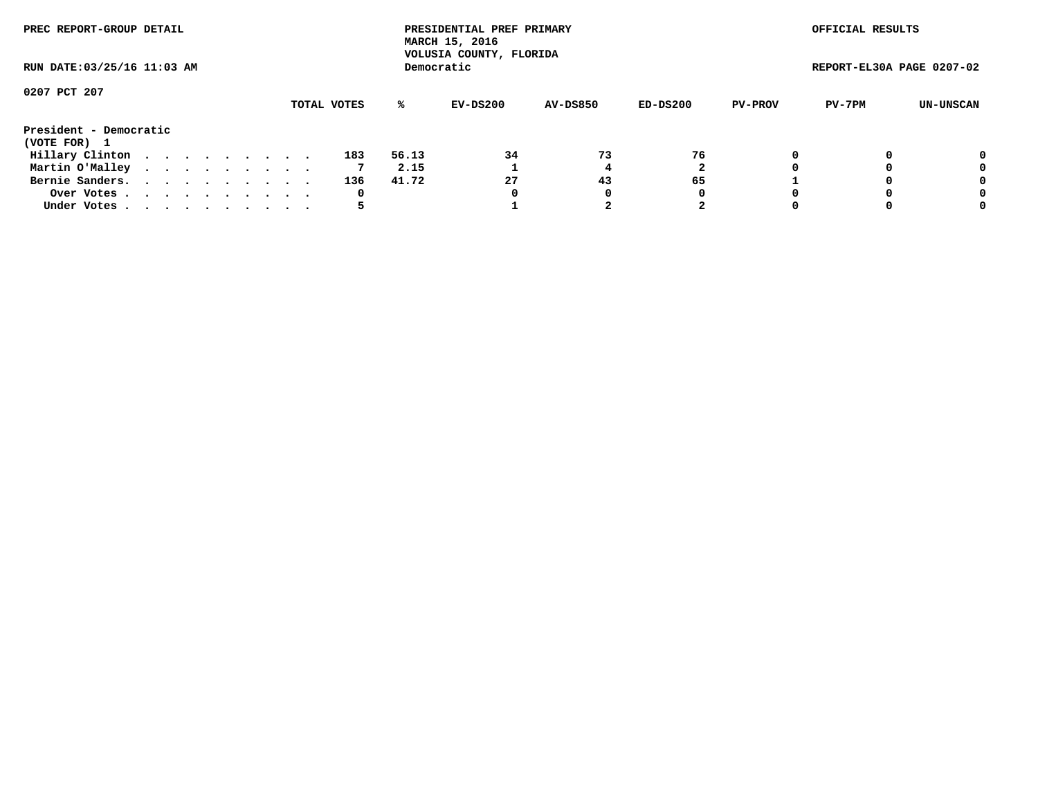| PREC REPORT-GROUP DETAIL<br>RUN DATE: 03/25/16 11:03 AM |  |  |  |  |  |  |  |  |             |       | PRESIDENTIAL PREF PRIMARY<br>MARCH 15, 2016<br>VOLUSIA COUNTY, FLORIDA |                 |          |                | OFFICIAL RESULTS          |           |
|---------------------------------------------------------|--|--|--|--|--|--|--|--|-------------|-------|------------------------------------------------------------------------|-----------------|----------|----------------|---------------------------|-----------|
|                                                         |  |  |  |  |  |  |  |  |             |       | Democratic                                                             |                 |          |                | REPORT-EL30A PAGE 0207-02 |           |
| 0207 PCT 207                                            |  |  |  |  |  |  |  |  |             |       |                                                                        |                 |          |                |                           |           |
|                                                         |  |  |  |  |  |  |  |  | TOTAL VOTES | %ะ    | EV-DS200                                                               | <b>AV-DS850</b> | ED-DS200 | <b>PV-PROV</b> | PV-7PM                    | UN-UNSCAN |
| President - Democratic                                  |  |  |  |  |  |  |  |  |             |       |                                                                        |                 |          |                |                           |           |
| (VOTE FOR) 1                                            |  |  |  |  |  |  |  |  |             |       |                                                                        |                 |          |                |                           |           |
| Hillary Clinton                                         |  |  |  |  |  |  |  |  | 183         | 56.13 | 34                                                                     | 73              | 76       |                |                           | 0         |
| Martin O'Malley                                         |  |  |  |  |  |  |  |  |             | 2.15  |                                                                        |                 |          |                |                           | 0         |
| Bernie Sanders.                                         |  |  |  |  |  |  |  |  | 136         | 41.72 | 27                                                                     | 43              | 65       |                |                           | 0         |
| Over Votes.                                             |  |  |  |  |  |  |  |  | 0           |       | 0                                                                      |                 | 0        |                |                           | 0         |
| Under Votes.                                            |  |  |  |  |  |  |  |  |             |       |                                                                        |                 | 2        |                |                           | 0         |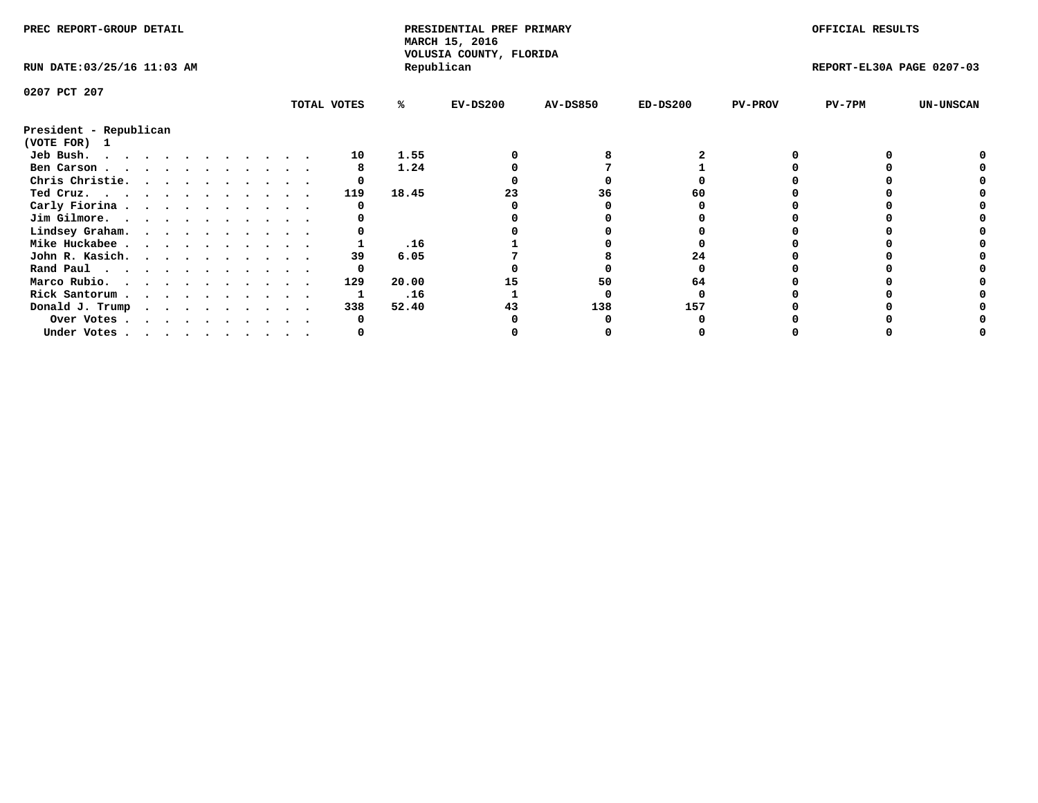| PREC REPORT-GROUP DETAIL               |  |  |  |  |  |  |  |             | PRESIDENTIAL PREF PRIMARY<br>MARCH 15, 2016<br>VOLUSIA COUNTY, FLORIDA |            |                 |            | OFFICIAL RESULTS |                           |                  |
|----------------------------------------|--|--|--|--|--|--|--|-------------|------------------------------------------------------------------------|------------|-----------------|------------|------------------|---------------------------|------------------|
| RUN DATE: 03/25/16 11:03 AM            |  |  |  |  |  |  |  |             |                                                                        | Republican |                 |            |                  | REPORT-EL30A PAGE 0207-03 |                  |
| 0207 PCT 207                           |  |  |  |  |  |  |  |             |                                                                        |            |                 |            |                  |                           |                  |
|                                        |  |  |  |  |  |  |  | TOTAL VOTES | ℁                                                                      | $EV-DS200$ | <b>AV-DS850</b> | $ED-DS200$ | <b>PV-PROV</b>   | $PV-7PM$                  | <b>UN-UNSCAN</b> |
| President - Republican<br>(VOTE FOR) 1 |  |  |  |  |  |  |  |             |                                                                        |            |                 |            |                  |                           |                  |
| Jeb Bush.<br>.                         |  |  |  |  |  |  |  | 10          | 1.55                                                                   |            |                 |            |                  |                           |                  |
| Ben Carson                             |  |  |  |  |  |  |  |             | 1.24                                                                   |            |                 |            |                  |                           |                  |
| Chris Christie.                        |  |  |  |  |  |  |  |             |                                                                        |            |                 |            |                  |                           |                  |
| Ted Cruz.                              |  |  |  |  |  |  |  | 119         | 18.45                                                                  |            | 36              |            |                  |                           |                  |
| Carly Fiorina                          |  |  |  |  |  |  |  |             |                                                                        |            |                 |            |                  |                           |                  |
| Jim Gilmore.                           |  |  |  |  |  |  |  |             |                                                                        |            |                 |            |                  |                           |                  |
| Lindsey Graham.                        |  |  |  |  |  |  |  |             |                                                                        |            |                 |            |                  |                           |                  |
| Mike Huckabee                          |  |  |  |  |  |  |  |             | .16                                                                    |            |                 |            |                  |                           |                  |
| John R. Kasich.                        |  |  |  |  |  |  |  | 39          | 6.05                                                                   |            |                 | 24         |                  |                           |                  |
| Rand Paul                              |  |  |  |  |  |  |  | 0           |                                                                        |            |                 |            |                  |                           |                  |
| Marco Rubio.                           |  |  |  |  |  |  |  | 129         | 20.00                                                                  | 15         | 50              | 64         |                  |                           |                  |
| Rick Santorum                          |  |  |  |  |  |  |  |             | .16                                                                    |            |                 |            |                  |                           |                  |
| Donald J. Trump                        |  |  |  |  |  |  |  | 338         | 52.40                                                                  |            | 138             | 157        |                  |                           |                  |
|                                        |  |  |  |  |  |  |  |             |                                                                        |            |                 |            |                  |                           |                  |
| Over Votes                             |  |  |  |  |  |  |  |             |                                                                        |            |                 |            |                  |                           |                  |
| Under Votes                            |  |  |  |  |  |  |  |             |                                                                        |            |                 |            |                  |                           |                  |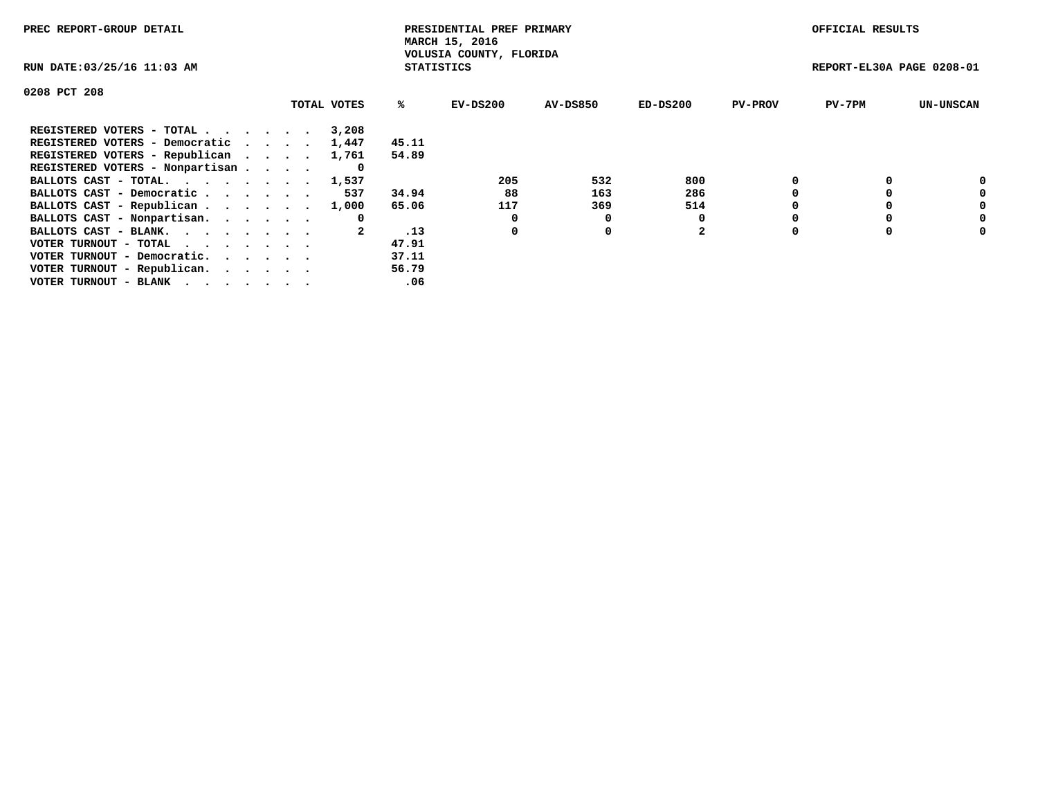| PREC REPORT-GROUP DETAIL                                    |             |                   | PRESIDENTIAL PREF PRIMARY<br>MARCH 15, 2016 |          |                |                | OFFICIAL RESULTS          |                  |
|-------------------------------------------------------------|-------------|-------------------|---------------------------------------------|----------|----------------|----------------|---------------------------|------------------|
| RUN DATE: 03/25/16 11:03 AM                                 |             | <b>STATISTICS</b> | VOLUSIA COUNTY, FLORIDA                     |          |                |                | REPORT-EL30A PAGE 0208-01 |                  |
| 0208 PCT 208                                                |             |                   |                                             |          |                |                |                           |                  |
|                                                             | TOTAL VOTES | ℁                 | $EV-DS200$                                  | AV-DS850 | $ED-DS200$     | <b>PV-PROV</b> | $PV-7PM$                  | <b>UN-UNSCAN</b> |
| REGISTERED VOTERS - TOTAL                                   | 3,208       |                   |                                             |          |                |                |                           |                  |
| REGISTERED VOTERS - Democratic                              | 1,447       | 45.11             |                                             |          |                |                |                           |                  |
| REGISTERED VOTERS - Republican                              | 1,761       | 54.89             |                                             |          |                |                |                           |                  |
| REGISTERED VOTERS - Nonpartisan                             | O           |                   |                                             |          |                |                |                           |                  |
| BALLOTS CAST - TOTAL. 1,537                                 |             |                   | 205                                         | 532      | 800            |                |                           | 0                |
| BALLOTS CAST - Democratic                                   | 537         | 34.94             | 88                                          | 163      | 286            |                |                           | 0                |
| BALLOTS CAST - Republican                                   | 1,000       | 65.06             | 117                                         | 369      | 514            |                |                           | 0                |
| BALLOTS CAST - Nonpartisan.                                 | 0           |                   | 0                                           | 0        |                |                |                           | 0                |
| BALLOTS CAST - BLANK.                                       |             | .13               | 0                                           | 0        | $\overline{2}$ |                |                           | 0                |
| VOTER TURNOUT - TOTAL $\cdot \cdot \cdot \cdot \cdot \cdot$ |             | 47.91             |                                             |          |                |                |                           |                  |
| VOTER TURNOUT - Democratic.                                 |             | 37.11             |                                             |          |                |                |                           |                  |
| VOTER TURNOUT - Republican.                                 |             | 56.79             |                                             |          |                |                |                           |                  |
| VOTER TURNOUT - BLANK                                       |             | .06               |                                             |          |                |                |                           |                  |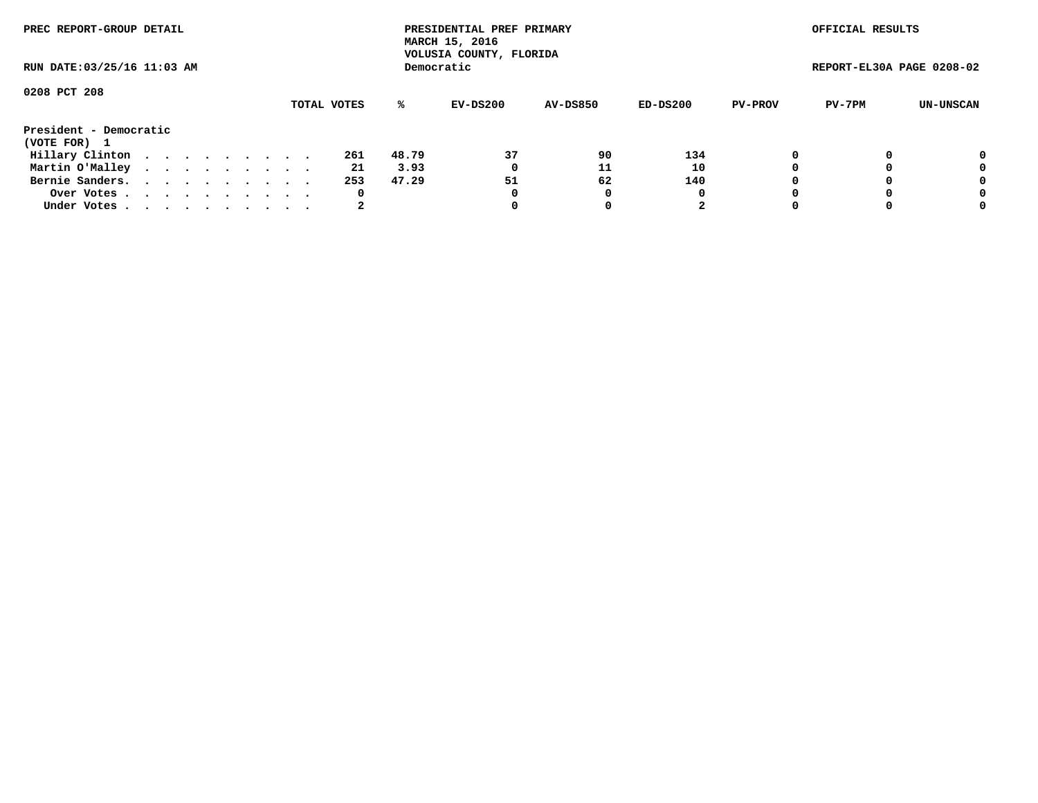| PREC REPORT-GROUP DETAIL<br>RUN DATE: 03/25/16 11:03 AM |  |  |  |  |  |  |  |  |             |       | PRESIDENTIAL PREF PRIMARY<br>MARCH 15, 2016<br>VOLUSIA COUNTY, FLORIDA |                 |          |                | OFFICIAL RESULTS          |           |
|---------------------------------------------------------|--|--|--|--|--|--|--|--|-------------|-------|------------------------------------------------------------------------|-----------------|----------|----------------|---------------------------|-----------|
|                                                         |  |  |  |  |  |  |  |  |             |       | Democratic                                                             |                 |          |                | REPORT-EL30A PAGE 0208-02 |           |
| 0208 PCT 208                                            |  |  |  |  |  |  |  |  |             |       |                                                                        |                 |          |                |                           |           |
|                                                         |  |  |  |  |  |  |  |  | TOTAL VOTES | ℁     | EV-DS200                                                               | <b>AV-DS850</b> | ED-DS200 | <b>PV-PROV</b> | PV-7PM                    | UN-UNSCAN |
| President - Democratic                                  |  |  |  |  |  |  |  |  |             |       |                                                                        |                 |          |                |                           |           |
| (VOTE FOR) 1                                            |  |  |  |  |  |  |  |  |             |       |                                                                        |                 |          |                |                           |           |
| Hillary Clinton                                         |  |  |  |  |  |  |  |  | 261         | 48.79 | 37                                                                     | 90              | 134      |                |                           | 0         |
| Martin O'Malley                                         |  |  |  |  |  |  |  |  | -21         | 3.93  | 0                                                                      | 11              | 10       |                |                           | 0         |
| Bernie Sanders.                                         |  |  |  |  |  |  |  |  | 253         | 47.29 | 51                                                                     | 62              | 140      |                |                           | 0         |
| Over Votes.                                             |  |  |  |  |  |  |  |  | 0           |       | 0                                                                      | 0               | 0        |                |                           | 0         |
| Under Votes                                             |  |  |  |  |  |  |  |  | 2           |       |                                                                        |                 | 2        |                |                           | 0         |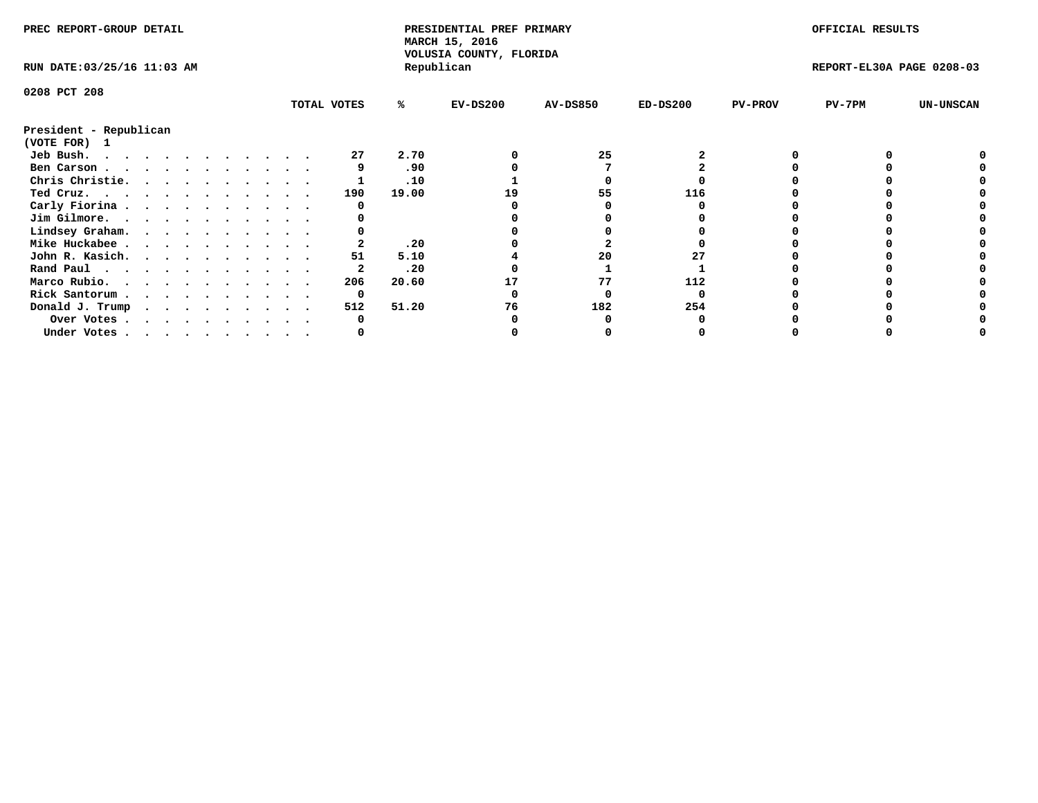| PREC REPORT-GROUP DETAIL               |  |  |  |  |  |  |  |  |             | PRESIDENTIAL PREF PRIMARY<br>MARCH 15, 2016<br>VOLUSIA COUNTY, FLORIDA |            |                 |            | OFFICIAL RESULTS |                           |                  |
|----------------------------------------|--|--|--|--|--|--|--|--|-------------|------------------------------------------------------------------------|------------|-----------------|------------|------------------|---------------------------|------------------|
| RUN DATE: 03/25/16 11:03 AM            |  |  |  |  |  |  |  |  |             |                                                                        | Republican |                 |            |                  | REPORT-EL30A PAGE 0208-03 |                  |
| 0208 PCT 208                           |  |  |  |  |  |  |  |  |             |                                                                        |            |                 |            |                  |                           |                  |
|                                        |  |  |  |  |  |  |  |  | TOTAL VOTES | ℁                                                                      | $EV-DS200$ | <b>AV-DS850</b> | $ED-DS200$ | <b>PV-PROV</b>   | $PV-7PM$                  | <b>UN-UNSCAN</b> |
| President - Republican<br>(VOTE FOR) 1 |  |  |  |  |  |  |  |  |             |                                                                        |            |                 |            |                  |                           |                  |
| Jeb Bush.                              |  |  |  |  |  |  |  |  | 27          | 2.70                                                                   |            | 25              |            |                  |                           |                  |
| Ben Carson                             |  |  |  |  |  |  |  |  |             | .90                                                                    |            |                 |            |                  |                           |                  |
| Chris Christie.                        |  |  |  |  |  |  |  |  |             | .10                                                                    |            |                 |            |                  |                           |                  |
| Ted Cruz.                              |  |  |  |  |  |  |  |  | 190         | 19.00                                                                  | 19         | 55              | 116        |                  |                           |                  |
| Carly Fiorina                          |  |  |  |  |  |  |  |  |             |                                                                        |            |                 |            |                  |                           |                  |
| Jim Gilmore.                           |  |  |  |  |  |  |  |  |             |                                                                        |            |                 |            |                  |                           |                  |
| Lindsey Graham.                        |  |  |  |  |  |  |  |  |             |                                                                        |            |                 |            |                  |                           |                  |
| Mike Huckabee                          |  |  |  |  |  |  |  |  |             | .20                                                                    |            |                 |            |                  |                           |                  |
| John R. Kasich.                        |  |  |  |  |  |  |  |  | 51          | 5.10                                                                   |            | 20              |            |                  |                           |                  |
| Rand Paul                              |  |  |  |  |  |  |  |  |             | .20                                                                    |            |                 |            |                  |                           |                  |
| Marco Rubio.                           |  |  |  |  |  |  |  |  | 206         | 20.60                                                                  |            | 77              | 112        |                  |                           |                  |
| Rick Santorum                          |  |  |  |  |  |  |  |  | 0           |                                                                        |            |                 |            |                  |                           |                  |
|                                        |  |  |  |  |  |  |  |  | 512         | 51.20                                                                  | 76         | 182             | 254        |                  |                           |                  |
| Donald J. Trump                        |  |  |  |  |  |  |  |  |             |                                                                        |            |                 |            |                  |                           |                  |
| Over Votes                             |  |  |  |  |  |  |  |  |             |                                                                        |            |                 |            |                  |                           |                  |
| Under Votes                            |  |  |  |  |  |  |  |  |             |                                                                        |            |                 |            |                  |                           |                  |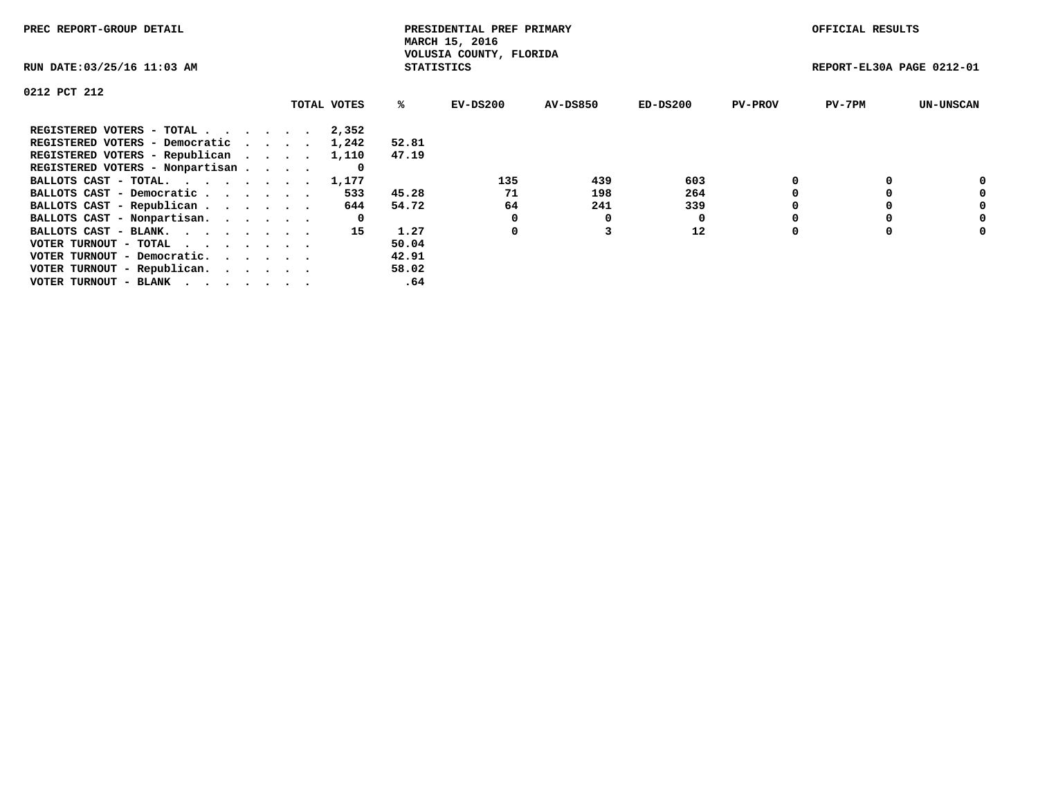| PREC REPORT-GROUP DETAIL          |             |                   | PRESIDENTIAL PREF PRIMARY<br>MARCH 15, 2016 |                 |            |                | OFFICIAL RESULTS          |                  |
|-----------------------------------|-------------|-------------------|---------------------------------------------|-----------------|------------|----------------|---------------------------|------------------|
| RUN DATE: 03/25/16 11:03 AM       |             | <b>STATISTICS</b> | VOLUSIA COUNTY, FLORIDA                     |                 |            |                | REPORT-EL30A PAGE 0212-01 |                  |
| 0212 PCT 212                      |             |                   |                                             |                 |            |                |                           |                  |
|                                   | TOTAL VOTES | %ະ                | EV-DS200                                    | <b>AV-DS850</b> | $ED-DS200$ | <b>PV-PROV</b> | $PV-7PM$                  | <b>UN-UNSCAN</b> |
| REGISTERED VOTERS - TOTAL         | 2,352       |                   |                                             |                 |            |                |                           |                  |
| REGISTERED VOTERS - Democratic    | 1,242       | 52.81             |                                             |                 |            |                |                           |                  |
| REGISTERED VOTERS - Republican    | 1,110       | 47.19             |                                             |                 |            |                |                           |                  |
| REGISTERED VOTERS - Nonpartisan   |             |                   |                                             |                 |            |                |                           |                  |
| BALLOTS CAST - TOTAL.             | 1,177       |                   | 135                                         | 439             | 603        |                |                           |                  |
| BALLOTS CAST - Democratic         | 533         | 45.28             | 71                                          | 198             | 264        |                |                           | 0                |
| BALLOTS CAST - Republican         | 644         | 54.72             | 64                                          | 241             | 339        |                |                           | 0                |
| BALLOTS CAST - Nonpartisan.       | 0           |                   |                                             | 0               | 0          |                |                           | 0                |
| BALLOTS CAST - BLANK.             | 15          | 1.27              | 0                                           |                 | 12         | $\Omega$       |                           | 0                |
| VOTER TURNOUT - TOTAL<br>$\cdots$ |             | 50.04             |                                             |                 |            |                |                           |                  |
| VOTER TURNOUT - Democratic.       |             | 42.91             |                                             |                 |            |                |                           |                  |
| VOTER TURNOUT - Republican.       |             | 58.02             |                                             |                 |            |                |                           |                  |
| VOTER TURNOUT - BLANK             |             | .64               |                                             |                 |            |                |                           |                  |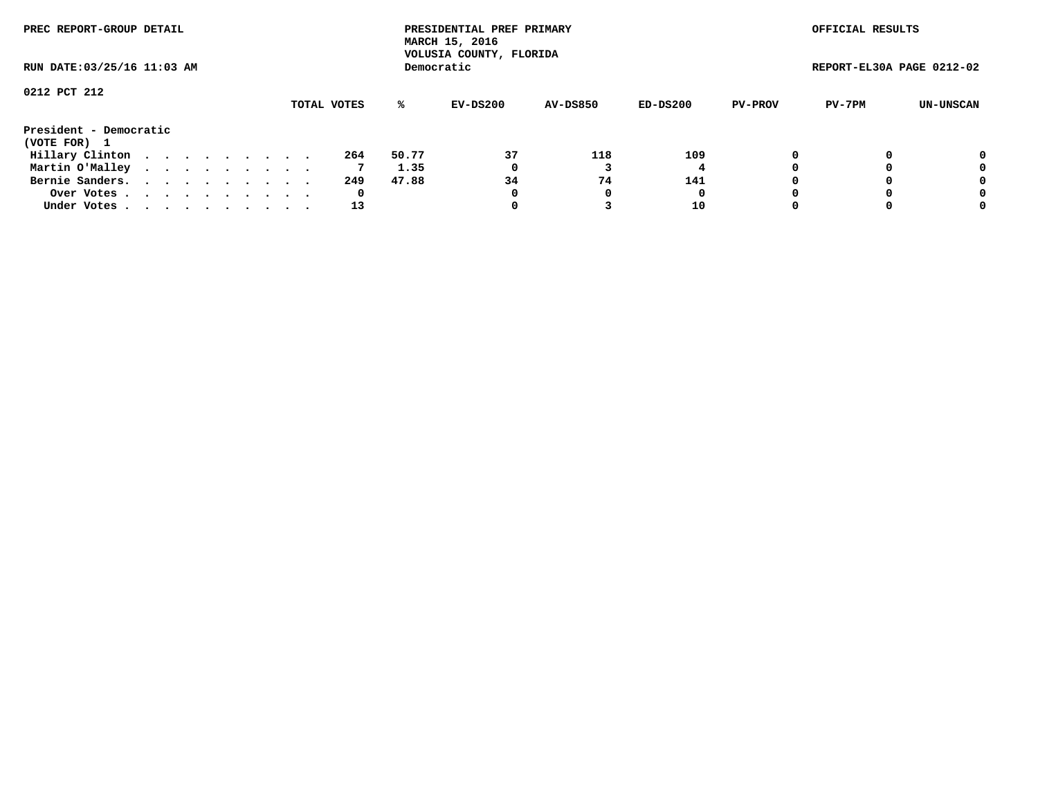| PREC REPORT-GROUP DETAIL<br>RUN DATE: 03/25/16 11:03 AM |  |  |  |  |  |  |  |  |             |       | PRESIDENTIAL PREF PRIMARY<br>MARCH 15, 2016<br>VOLUSIA COUNTY, FLORIDA |                 |          |                | OFFICIAL RESULTS          |           |
|---------------------------------------------------------|--|--|--|--|--|--|--|--|-------------|-------|------------------------------------------------------------------------|-----------------|----------|----------------|---------------------------|-----------|
|                                                         |  |  |  |  |  |  |  |  |             |       | Democratic                                                             |                 |          |                | REPORT-EL30A PAGE 0212-02 |           |
| 0212 PCT 212                                            |  |  |  |  |  |  |  |  |             |       |                                                                        |                 |          |                |                           |           |
|                                                         |  |  |  |  |  |  |  |  | TOTAL VOTES | ℁     | EV-DS200                                                               | <b>AV-DS850</b> | ED-DS200 | <b>PV-PROV</b> | PV-7PM                    | UN-UNSCAN |
| President - Democratic                                  |  |  |  |  |  |  |  |  |             |       |                                                                        |                 |          |                |                           |           |
| (VOTE FOR) 1                                            |  |  |  |  |  |  |  |  |             |       |                                                                        |                 |          |                |                           |           |
| Hillary Clinton                                         |  |  |  |  |  |  |  |  | 264         | 50.77 | 37                                                                     | 118             | 109      | 0              |                           | 0         |
| Martin O'Malley                                         |  |  |  |  |  |  |  |  |             | 1.35  | 0                                                                      |                 |          |                |                           | 0         |
| Bernie Sanders.                                         |  |  |  |  |  |  |  |  | 249         | 47.88 | 34                                                                     | 74              | 141      |                |                           | 0         |
| Over Votes.                                             |  |  |  |  |  |  |  |  | 0           |       | 0                                                                      |                 | 0        |                |                           | 0         |
| Under Votes.                                            |  |  |  |  |  |  |  |  | 13          |       |                                                                        |                 | 10       |                |                           | 0         |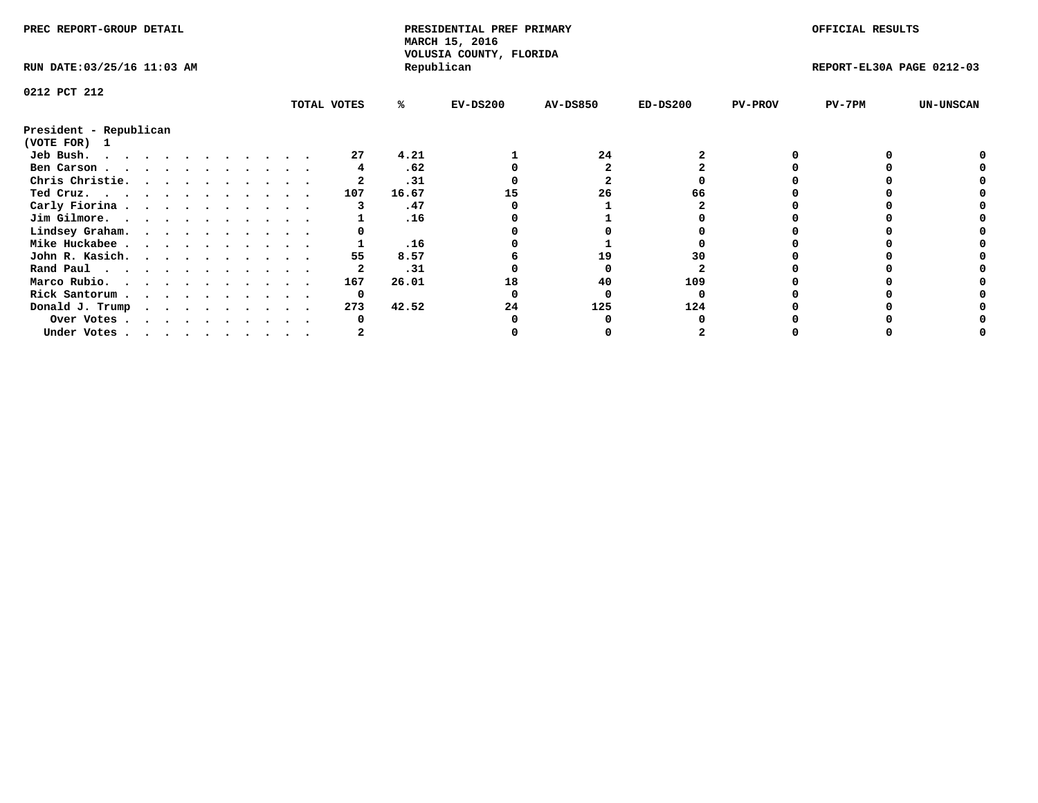| PREC REPORT-GROUP DETAIL    |  |  |   |  |  |  |  |             | PRESIDENTIAL PREF PRIMARY<br>MARCH 15, 2016<br>VOLUSIA COUNTY, FLORIDA |            |                 |            | OFFICIAL RESULTS |                           |                  |
|-----------------------------|--|--|---|--|--|--|--|-------------|------------------------------------------------------------------------|------------|-----------------|------------|------------------|---------------------------|------------------|
| RUN DATE: 03/25/16 11:03 AM |  |  |   |  |  |  |  |             |                                                                        | Republican |                 |            |                  | REPORT-EL30A PAGE 0212-03 |                  |
| 0212 PCT 212                |  |  |   |  |  |  |  |             |                                                                        |            |                 |            |                  |                           |                  |
|                             |  |  |   |  |  |  |  | TOTAL VOTES | ℁                                                                      | $EV-DS200$ | <b>AV-DS850</b> | $ED-DS200$ | <b>PV-PROV</b>   | PV-7PM                    | <b>UN-UNSCAN</b> |
| President - Republican      |  |  |   |  |  |  |  |             |                                                                        |            |                 |            |                  |                           |                  |
| (VOTE FOR)<br>$\mathbf{1}$  |  |  |   |  |  |  |  |             |                                                                        |            |                 |            |                  |                           |                  |
| Jeb Bush.                   |  |  |   |  |  |  |  | 27          | 4.21                                                                   |            | 24              |            |                  |                           |                  |
| Ben Carson                  |  |  |   |  |  |  |  |             | .62                                                                    |            |                 |            |                  |                           |                  |
| Chris Christie.             |  |  |   |  |  |  |  |             | .31                                                                    |            |                 |            |                  |                           |                  |
| Ted Cruz.                   |  |  |   |  |  |  |  | 107         | 16.67                                                                  |            | 26              |            |                  |                           |                  |
| Carly Fiorina               |  |  |   |  |  |  |  |             | .47                                                                    |            |                 |            |                  |                           |                  |
| Jim Gilmore.                |  |  |   |  |  |  |  |             | .16                                                                    |            |                 |            |                  |                           |                  |
| Lindsey Graham.             |  |  |   |  |  |  |  |             |                                                                        |            |                 |            |                  |                           |                  |
| Mike Huckabee               |  |  |   |  |  |  |  |             | .16                                                                    |            |                 |            |                  |                           |                  |
| John R. Kasich.             |  |  |   |  |  |  |  | 55          | 8.57                                                                   |            | 19              | 30         |                  |                           |                  |
| Rand Paul                   |  |  |   |  |  |  |  |             | .31                                                                    |            |                 |            |                  |                           |                  |
| Marco Rubio.                |  |  |   |  |  |  |  | 167         | 26.01                                                                  | 18         | 40              | 109        |                  |                           |                  |
| Rick Santorum               |  |  |   |  |  |  |  | 0           |                                                                        |            |                 |            |                  |                           |                  |
| Donald J. Trump             |  |  | . |  |  |  |  | 273         | 42.52                                                                  | 24         | 125             | 124        |                  |                           |                  |
| Over Votes                  |  |  |   |  |  |  |  |             |                                                                        |            |                 |            |                  |                           |                  |
| Under Votes                 |  |  |   |  |  |  |  |             |                                                                        |            |                 |            |                  |                           |                  |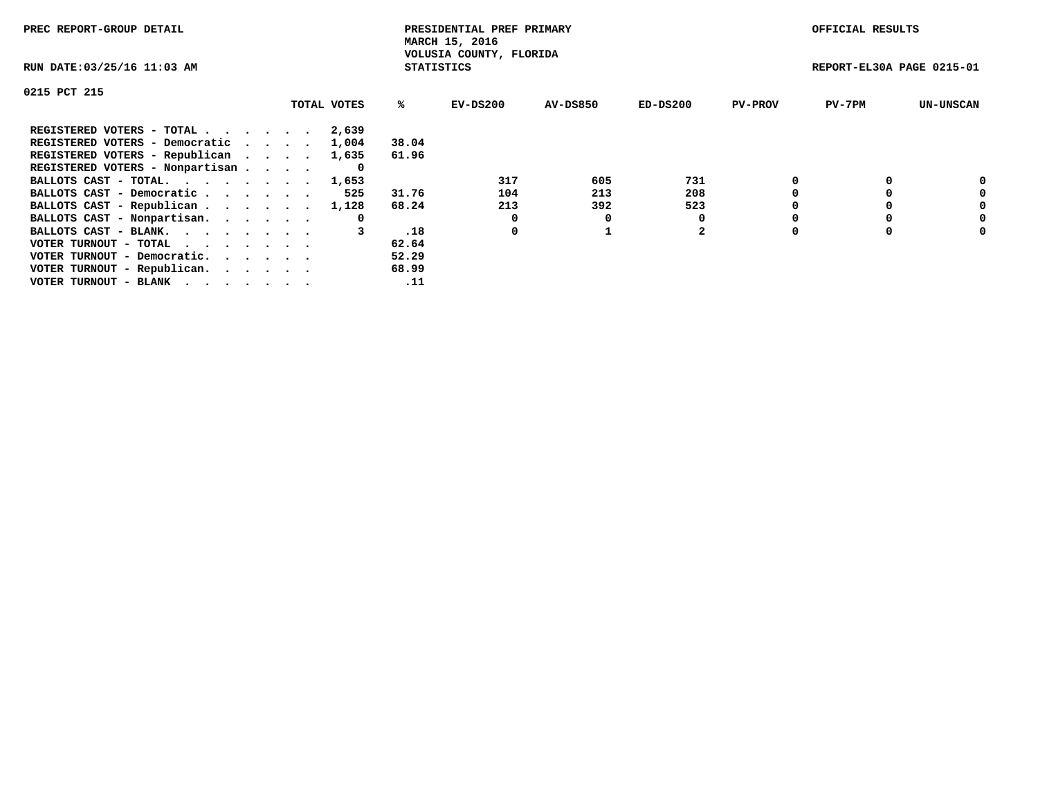| PREC REPORT-GROUP DETAIL                                    |             |                   | PRESIDENTIAL PREF PRIMARY<br>MARCH 15, 2016 |          |                |                | OFFICIAL RESULTS          |                  |
|-------------------------------------------------------------|-------------|-------------------|---------------------------------------------|----------|----------------|----------------|---------------------------|------------------|
| RUN DATE: 03/25/16 11:03 AM                                 |             | <b>STATISTICS</b> | VOLUSIA COUNTY, FLORIDA                     |          |                |                | REPORT-EL30A PAGE 0215-01 |                  |
| 0215 PCT 215                                                |             |                   |                                             |          |                |                |                           |                  |
|                                                             | TOTAL VOTES | ℁                 | $EV-DS200$                                  | AV-DS850 | $ED-DS200$     | <b>PV-PROV</b> | $PV-7PM$                  | <b>UN-UNSCAN</b> |
| REGISTERED VOTERS - TOTAL                                   | 2,639       |                   |                                             |          |                |                |                           |                  |
| REGISTERED VOTERS - Democratic                              | 1,004       | 38.04             |                                             |          |                |                |                           |                  |
| REGISTERED VOTERS - Republican                              | 1,635       | 61.96             |                                             |          |                |                |                           |                  |
| REGISTERED VOTERS - Nonpartisan                             |             |                   |                                             |          |                |                |                           |                  |
| BALLOTS CAST - TOTAL. 1,653                                 |             |                   | 317                                         | 605      | 731            |                |                           | 0                |
| BALLOTS CAST - Democratic                                   | 525         | 31.76             | 104                                         | 213      | 208            |                |                           | 0                |
| BALLOTS CAST - Republican                                   | 1,128       | 68.24             | 213                                         | 392      | 523            |                |                           | 0                |
| BALLOTS CAST - Nonpartisan.                                 | 0           |                   | 0                                           | 0        |                |                |                           | 0                |
| BALLOTS CAST - BLANK.                                       |             | .18               | 0                                           |          | $\overline{2}$ |                |                           | 0                |
| VOTER TURNOUT - TOTAL $\cdot \cdot \cdot \cdot \cdot \cdot$ |             | 62.64             |                                             |          |                |                |                           |                  |
| VOTER TURNOUT - Democratic.                                 |             | 52.29             |                                             |          |                |                |                           |                  |
| VOTER TURNOUT - Republican.                                 |             | 68.99             |                                             |          |                |                |                           |                  |
| VOTER TURNOUT - BLANK                                       |             | .11               |                                             |          |                |                |                           |                  |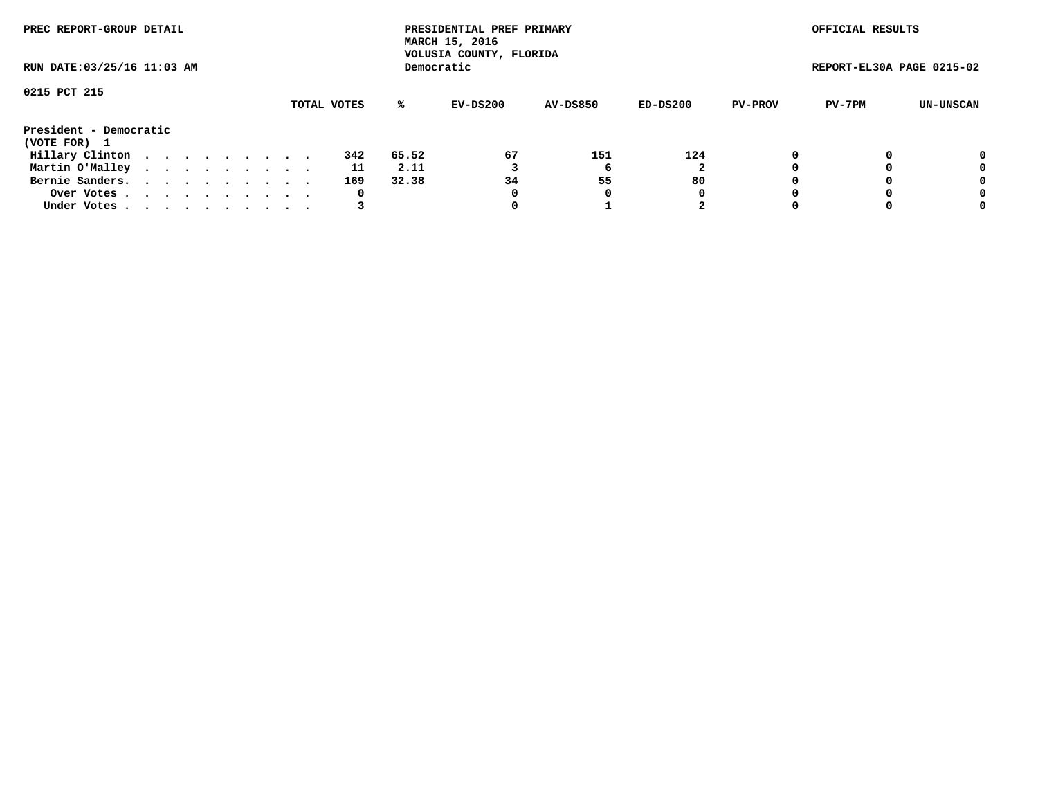| PREC REPORT-GROUP DETAIL<br>RUN DATE: 03/25/16 11:03 AM |  |  |  |  |  |  |  |  |             |       | PRESIDENTIAL PREF PRIMARY<br>MARCH 15, 2016<br>VOLUSIA COUNTY, FLORIDA |                 |            |                | OFFICIAL RESULTS          |           |
|---------------------------------------------------------|--|--|--|--|--|--|--|--|-------------|-------|------------------------------------------------------------------------|-----------------|------------|----------------|---------------------------|-----------|
|                                                         |  |  |  |  |  |  |  |  |             |       | Democratic                                                             |                 |            |                | REPORT-EL30A PAGE 0215-02 |           |
| 0215 PCT 215                                            |  |  |  |  |  |  |  |  | TOTAL VOTES | %ะ    | EV-DS200                                                               | <b>AV-DS850</b> | $ED-DS200$ | <b>PV-PROV</b> | PV-7PM                    | UN-UNSCAN |
| President - Democratic<br>(VOTE FOR) 1                  |  |  |  |  |  |  |  |  |             |       |                                                                        |                 |            |                |                           |           |
| Hillary Clinton                                         |  |  |  |  |  |  |  |  | 342         | 65.52 | 67                                                                     | 151             | 124        | 0              |                           | 0         |
| Martin O'Malley                                         |  |  |  |  |  |  |  |  | 11          | 2.11  |                                                                        |                 |            |                |                           | 0         |
| Bernie Sanders.                                         |  |  |  |  |  |  |  |  | 169         | 32.38 | 34                                                                     | 55              | 80         |                |                           | 0         |
| Over Votes                                              |  |  |  |  |  |  |  |  | 0           |       | 0                                                                      | 0               | 0          |                |                           | 0         |
| Under Votes.                                            |  |  |  |  |  |  |  |  |             |       |                                                                        |                 | 2          |                |                           | 0         |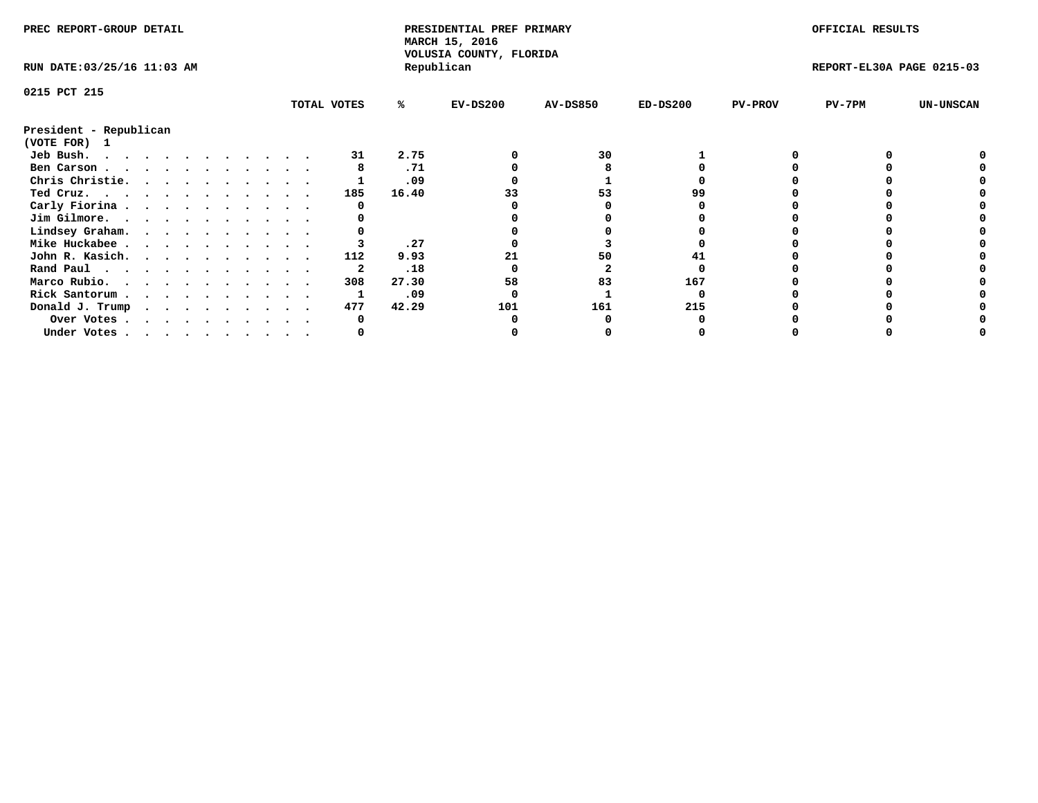| PREC REPORT-GROUP DETAIL    |  |  |  |  |  |  |  |             | PRESIDENTIAL PREF PRIMARY<br>MARCH 15, 2016<br>VOLUSIA COUNTY, FLORIDA |            |                 |            | OFFICIAL RESULTS |                           |                  |
|-----------------------------|--|--|--|--|--|--|--|-------------|------------------------------------------------------------------------|------------|-----------------|------------|------------------|---------------------------|------------------|
| RUN DATE: 03/25/16 11:03 AM |  |  |  |  |  |  |  |             |                                                                        | Republican |                 |            |                  | REPORT-EL30A PAGE 0215-03 |                  |
| 0215 PCT 215                |  |  |  |  |  |  |  |             |                                                                        |            |                 |            |                  |                           |                  |
|                             |  |  |  |  |  |  |  | TOTAL VOTES | %ะ                                                                     | $EV-DS200$ | <b>AV-DS850</b> | $ED-DS200$ | <b>PV-PROV</b>   | $PV-7PM$                  | <b>UN-UNSCAN</b> |
| President - Republican      |  |  |  |  |  |  |  |             |                                                                        |            |                 |            |                  |                           |                  |
| (VOTE FOR)<br>$\mathbf{1}$  |  |  |  |  |  |  |  |             |                                                                        |            |                 |            |                  |                           |                  |
| Jeb Bush.                   |  |  |  |  |  |  |  | 31          | 2.75                                                                   |            | 30              |            |                  |                           |                  |
| Ben Carson                  |  |  |  |  |  |  |  |             | .71                                                                    |            |                 |            |                  |                           |                  |
| Chris Christie.             |  |  |  |  |  |  |  |             | .09                                                                    |            |                 |            |                  |                           |                  |
| Ted Cruz.                   |  |  |  |  |  |  |  | 185         | 16.40                                                                  |            | 53              |            |                  |                           |                  |
| Carly Fiorina               |  |  |  |  |  |  |  |             |                                                                        |            |                 |            |                  |                           |                  |
| Jim Gilmore.                |  |  |  |  |  |  |  |             |                                                                        |            |                 |            |                  |                           |                  |
| Lindsey Graham.             |  |  |  |  |  |  |  |             |                                                                        |            |                 |            |                  |                           |                  |
| Mike Huckabee               |  |  |  |  |  |  |  |             | .27                                                                    |            |                 |            |                  |                           |                  |
| John R. Kasich.             |  |  |  |  |  |  |  | 112         | 9.93                                                                   |            | 50              |            |                  |                           |                  |
| Rand Paul                   |  |  |  |  |  |  |  |             | .18                                                                    |            |                 |            |                  |                           |                  |
| Marco Rubio.                |  |  |  |  |  |  |  | 308         | 27.30                                                                  | 58         | 83              | 167        |                  |                           |                  |
| Rick Santorum               |  |  |  |  |  |  |  |             | .09                                                                    |            |                 |            |                  |                           |                  |
| Donald J. Trump             |  |  |  |  |  |  |  | 477         | 42.29                                                                  | 101        | 161             | 215        |                  |                           |                  |
| Over Votes                  |  |  |  |  |  |  |  |             |                                                                        |            |                 |            |                  |                           |                  |
| Under Votes                 |  |  |  |  |  |  |  |             |                                                                        |            |                 |            |                  |                           |                  |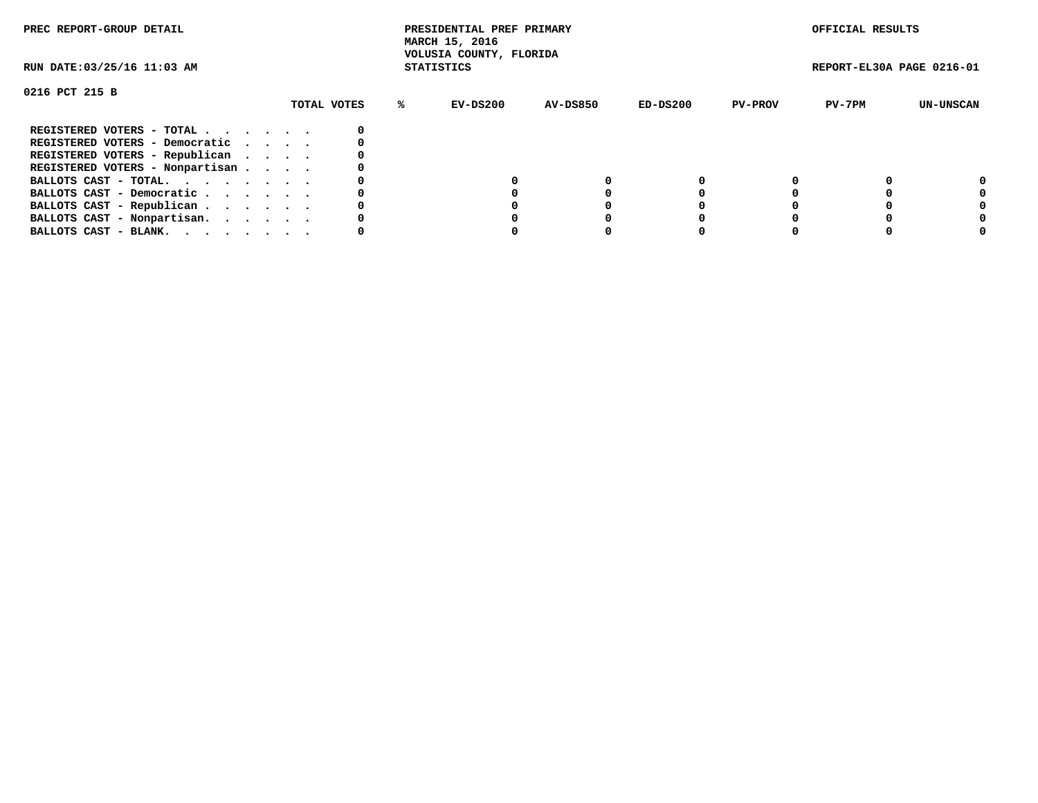| PREC REPORT-GROUP DETAIL        |             | PRESIDENTIAL PREF PRIMARY<br>MARCH 15, 2016<br>VOLUSIA COUNTY, FLORIDA |          |            |                | OFFICIAL RESULTS          |           |
|---------------------------------|-------------|------------------------------------------------------------------------|----------|------------|----------------|---------------------------|-----------|
| RUN DATE: 03/25/16 11:03 AM     |             | <b>STATISTICS</b>                                                      |          |            |                | REPORT-EL30A PAGE 0216-01 |           |
| 0216 PCT 215 B                  |             |                                                                        |          |            |                |                           |           |
|                                 | TOTAL VOTES | EV-DS200<br>℁                                                          | AV-DS850 | $ED-DS200$ | <b>PV-PROV</b> | PV-7PM                    | UN-UNSCAN |
| REGISTERED VOTERS - TOTAL       |             |                                                                        |          |            |                |                           |           |
| REGISTERED VOTERS - Democratic  |             |                                                                        |          |            |                |                           |           |
| REGISTERED VOTERS - Republican  |             |                                                                        |          |            |                |                           |           |
| REGISTERED VOTERS - Nonpartisan |             |                                                                        |          |            |                |                           |           |
| BALLOTS CAST - TOTAL.           |             |                                                                        |          |            |                |                           | 0         |
| BALLOTS CAST - Democratic       |             |                                                                        |          |            |                |                           |           |
| BALLOTS CAST - Republican       |             |                                                                        |          |            |                |                           |           |
| BALLOTS CAST - Nonpartisan.     |             |                                                                        |          |            |                |                           |           |
| BALLOTS CAST - BLANK.           |             |                                                                        |          |            |                |                           |           |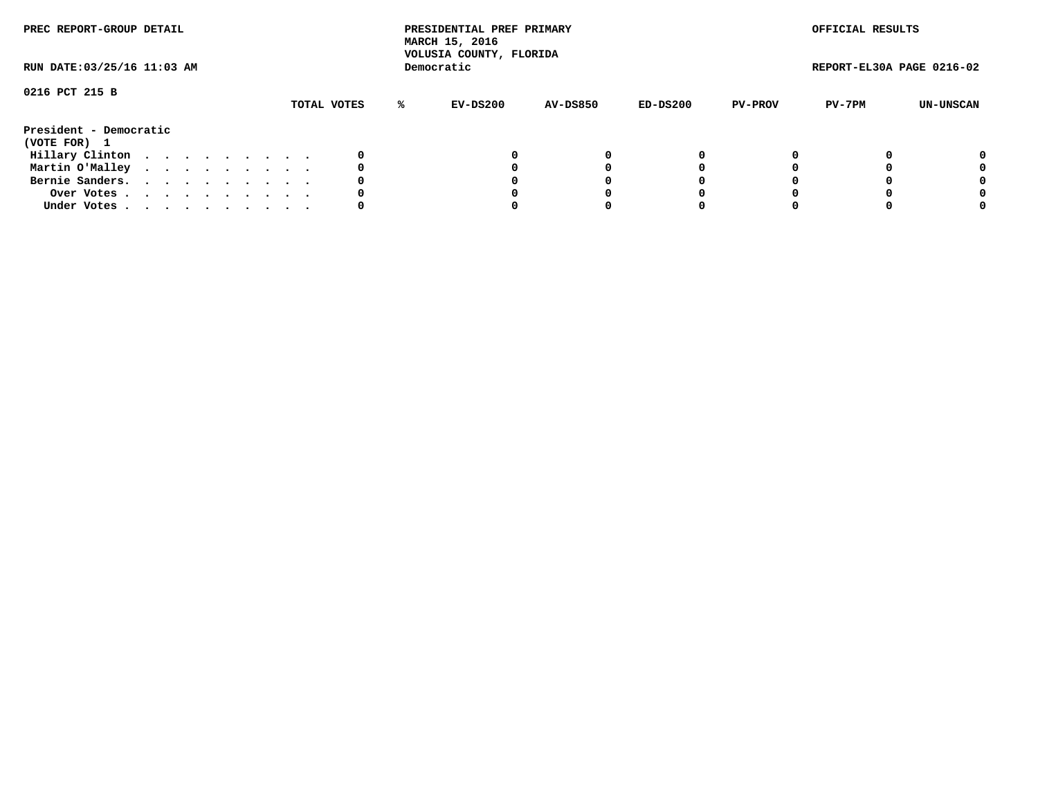| PREC REPORT-GROUP DETAIL<br>RUN DATE: 03/25/16 11:03 AM |  |  |  |  |  |  |  |  |             |    | PRESIDENTIAL PREF PRIMARY<br>MARCH 15, 2016<br>VOLUSIA COUNTY, FLORIDA |                 |          |                | OFFICIAL RESULTS |                           |
|---------------------------------------------------------|--|--|--|--|--|--|--|--|-------------|----|------------------------------------------------------------------------|-----------------|----------|----------------|------------------|---------------------------|
|                                                         |  |  |  |  |  |  |  |  |             |    | Democratic                                                             |                 |          |                |                  | REPORT-EL30A PAGE 0216-02 |
| 0216 PCT 215 B                                          |  |  |  |  |  |  |  |  | TOTAL VOTES | %ะ | EV-DS200                                                               | <b>AV-DS850</b> | ED-DS200 | <b>PV-PROV</b> | PV-7PM           | UN-UNSCAN                 |
| President - Democratic<br>(VOTE FOR) 1                  |  |  |  |  |  |  |  |  |             |    |                                                                        |                 |          |                |                  |                           |
| Hillary Clinton                                         |  |  |  |  |  |  |  |  | 0           |    |                                                                        |                 | O        |                |                  | 0                         |
| Martin O'Malley                                         |  |  |  |  |  |  |  |  |             |    |                                                                        |                 |          |                |                  | 0                         |
| Bernie Sanders.                                         |  |  |  |  |  |  |  |  |             |    |                                                                        |                 |          |                |                  | 0                         |
| Over Votes.                                             |  |  |  |  |  |  |  |  |             |    |                                                                        |                 | O        |                |                  | 0                         |
| Under Votes                                             |  |  |  |  |  |  |  |  |             |    |                                                                        |                 |          |                |                  | 0                         |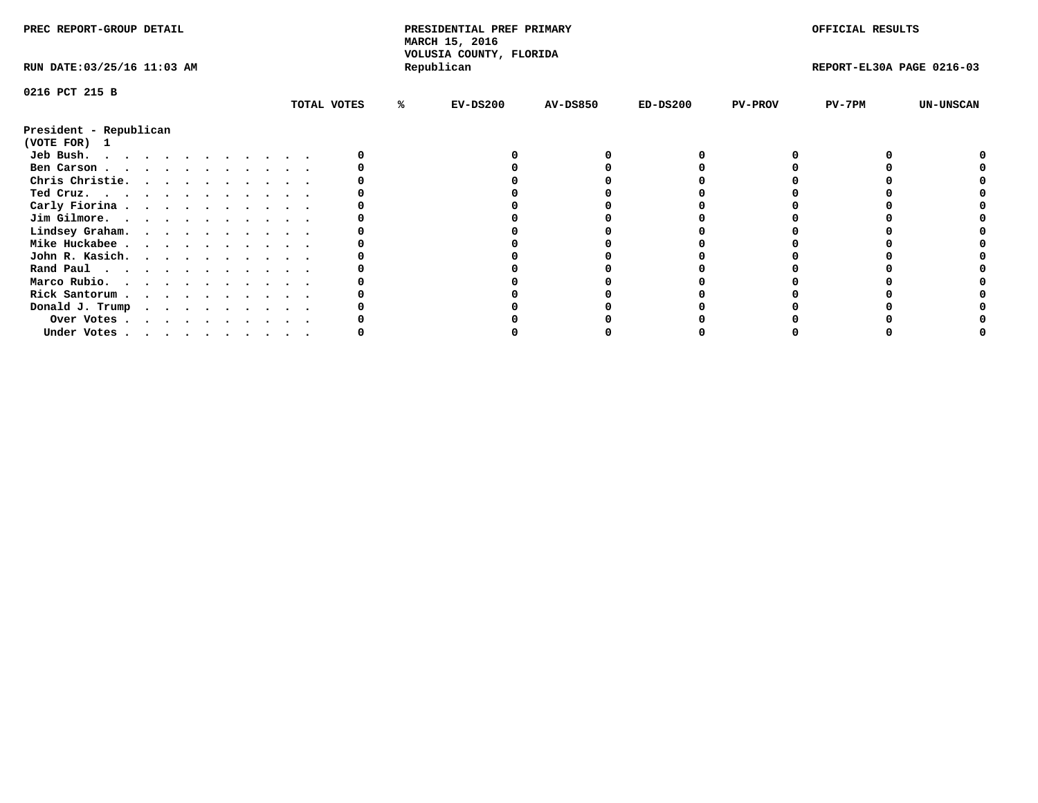| PREC REPORT-GROUP DETAIL    |  |  |  |  |  |  |  | PRESIDENTIAL PREF PRIMARY<br>MARCH 15, 2016<br>VOLUSIA COUNTY, FLORIDA |   |            |                 | OFFICIAL RESULTS |                |                           |                  |
|-----------------------------|--|--|--|--|--|--|--|------------------------------------------------------------------------|---|------------|-----------------|------------------|----------------|---------------------------|------------------|
| RUN DATE: 03/25/16 11:03 AM |  |  |  |  |  |  |  |                                                                        |   | Republican |                 |                  |                | REPORT-EL30A PAGE 0216-03 |                  |
| 0216 PCT 215 B              |  |  |  |  |  |  |  |                                                                        |   |            |                 |                  |                |                           |                  |
|                             |  |  |  |  |  |  |  | TOTAL VOTES                                                            | ℁ | $EV-DS200$ | <b>AV-DS850</b> | $ED-DS200$       | <b>PV-PROV</b> | $PV-7PM$                  | <b>UN-UNSCAN</b> |
| President - Republican      |  |  |  |  |  |  |  |                                                                        |   |            |                 |                  |                |                           |                  |
| (VOTE FOR)<br>$\mathbf{1}$  |  |  |  |  |  |  |  |                                                                        |   |            |                 |                  |                |                           |                  |
| Jeb Bush.                   |  |  |  |  |  |  |  |                                                                        |   |            |                 |                  |                |                           |                  |
| Ben Carson                  |  |  |  |  |  |  |  |                                                                        |   |            |                 |                  |                |                           |                  |
| Chris Christie.             |  |  |  |  |  |  |  |                                                                        |   |            |                 |                  |                |                           |                  |
| Ted Cruz.<br>.              |  |  |  |  |  |  |  |                                                                        |   |            |                 |                  |                |                           |                  |
| Carly Fiorina               |  |  |  |  |  |  |  |                                                                        |   |            |                 |                  |                |                           |                  |
| Jim Gilmore.                |  |  |  |  |  |  |  |                                                                        |   |            |                 |                  |                |                           |                  |
| Lindsey Graham.             |  |  |  |  |  |  |  |                                                                        |   |            |                 |                  |                |                           |                  |
| Mike Huckabee               |  |  |  |  |  |  |  |                                                                        |   |            |                 |                  |                |                           |                  |
| John R. Kasich.             |  |  |  |  |  |  |  |                                                                        |   |            |                 |                  |                |                           |                  |
| Rand Paul                   |  |  |  |  |  |  |  |                                                                        |   |            |                 |                  |                |                           |                  |
| Marco Rubio.                |  |  |  |  |  |  |  |                                                                        |   |            |                 |                  |                |                           |                  |
| Rick Santorum               |  |  |  |  |  |  |  |                                                                        |   |            |                 |                  |                |                           |                  |
| Donald J. Trump             |  |  |  |  |  |  |  |                                                                        |   |            |                 |                  |                |                           |                  |
| Over Votes                  |  |  |  |  |  |  |  |                                                                        |   |            |                 |                  |                |                           |                  |
| Under Votes                 |  |  |  |  |  |  |  |                                                                        |   |            |                 |                  |                |                           |                  |
|                             |  |  |  |  |  |  |  |                                                                        |   |            |                 |                  |                |                           |                  |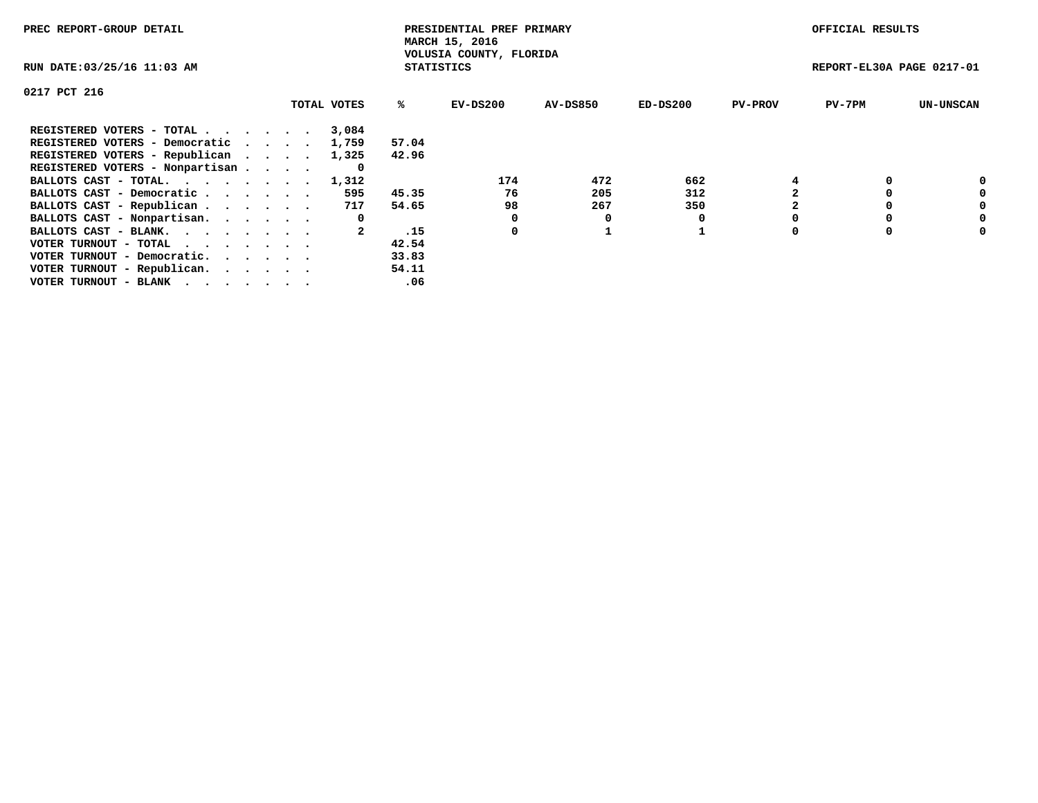| PREC REPORT-GROUP DETAIL        |             |                   | PRESIDENTIAL PREF PRIMARY<br>MARCH 15, 2016 |                 |          |                | OFFICIAL RESULTS          |                  |
|---------------------------------|-------------|-------------------|---------------------------------------------|-----------------|----------|----------------|---------------------------|------------------|
| RUN DATE: 03/25/16 11:03 AM     |             | <b>STATISTICS</b> | VOLUSIA COUNTY, FLORIDA                     |                 |          |                | REPORT-EL30A PAGE 0217-01 |                  |
| 0217 PCT 216                    |             |                   |                                             |                 |          |                |                           |                  |
|                                 | TOTAL VOTES | %ະ                | EV-DS200                                    | <b>AV-DS850</b> | ED-DS200 | <b>PV-PROV</b> | $PV-7PM$                  | <b>UN-UNSCAN</b> |
| REGISTERED VOTERS - TOTAL       | 3,084       |                   |                                             |                 |          |                |                           |                  |
| REGISTERED VOTERS - Democratic  | 1,759       | 57.04             |                                             |                 |          |                |                           |                  |
| REGISTERED VOTERS - Republican  | 1,325       | 42.96             |                                             |                 |          |                |                           |                  |
| REGISTERED VOTERS - Nonpartisan |             |                   |                                             |                 |          |                |                           |                  |
| BALLOTS CAST - TOTAL. 1,312     |             |                   | 174                                         | 472             | 662      |                |                           |                  |
| BALLOTS CAST - Democratic       | 595         | 45.35             | 76                                          | 205             | 312      |                |                           | 0                |
| BALLOTS CAST - Republican       | 717         | 54.65             | 98                                          | 267             | 350      |                |                           | 0                |
| BALLOTS CAST - Nonpartisan.     | 0           |                   |                                             |                 |          |                |                           | 0                |
| BALLOTS CAST - BLANK.           |             | .15               | 0                                           |                 |          |                |                           | 0                |
| VOTER TURNOUT - TOTAL           |             | 42.54             |                                             |                 |          |                |                           |                  |
| VOTER TURNOUT - Democratic.     |             | 33.83             |                                             |                 |          |                |                           |                  |
| VOTER TURNOUT - Republican.     |             | 54.11             |                                             |                 |          |                |                           |                  |
| VOTER TURNOUT - BLANK           |             | .06               |                                             |                 |          |                |                           |                  |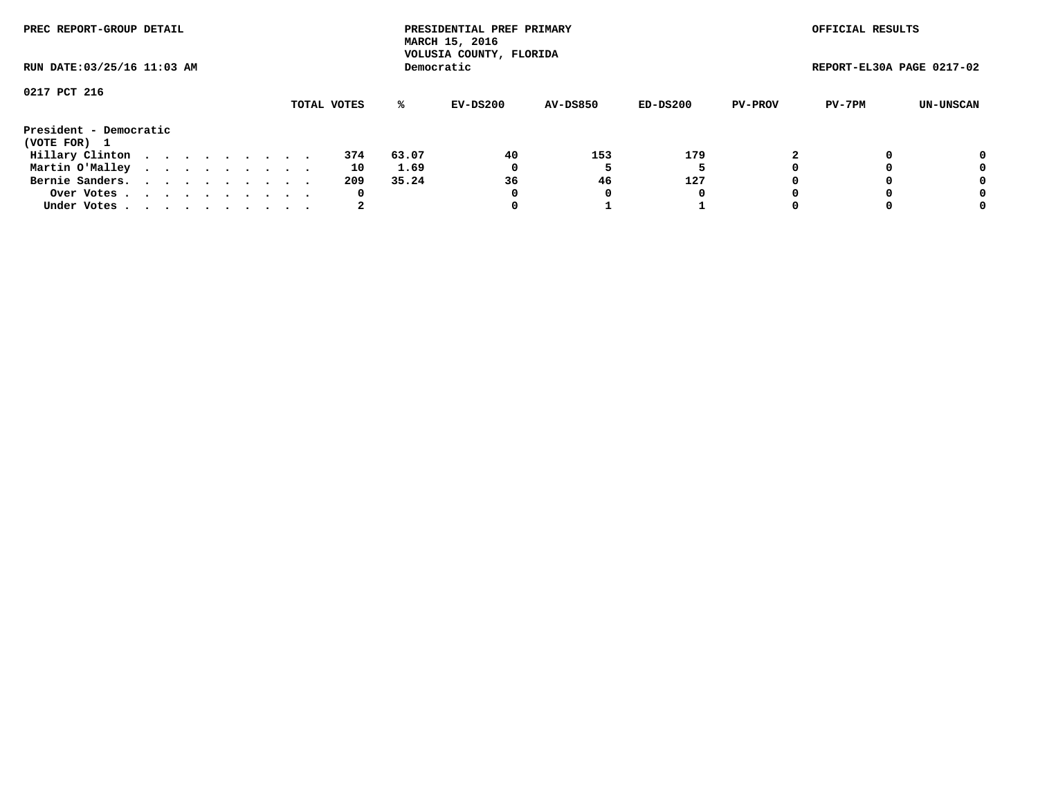| PREC REPORT-GROUP DETAIL<br>RUN DATE: 03/25/16 11:03 AM |  |  |  |  |  |  |  |  |             |       | PRESIDENTIAL PREF PRIMARY<br>MARCH 15, 2016<br>VOLUSIA COUNTY, FLORIDA |                 |          |                | OFFICIAL RESULTS          |           |
|---------------------------------------------------------|--|--|--|--|--|--|--|--|-------------|-------|------------------------------------------------------------------------|-----------------|----------|----------------|---------------------------|-----------|
|                                                         |  |  |  |  |  |  |  |  |             |       | Democratic                                                             |                 |          |                | REPORT-EL30A PAGE 0217-02 |           |
| 0217 PCT 216                                            |  |  |  |  |  |  |  |  |             |       |                                                                        |                 |          |                |                           |           |
|                                                         |  |  |  |  |  |  |  |  | TOTAL VOTES | ℁     | EV-DS200                                                               | <b>AV-DS850</b> | ED-DS200 | <b>PV-PROV</b> | PV-7PM                    | UN-UNSCAN |
| President - Democratic<br>(VOTE FOR) 1                  |  |  |  |  |  |  |  |  |             |       |                                                                        |                 |          |                |                           |           |
| Hillary Clinton                                         |  |  |  |  |  |  |  |  | 374         | 63.07 | 40                                                                     | 153             | 179      |                |                           | 0         |
| Martin O'Malley                                         |  |  |  |  |  |  |  |  | 10          | 1.69  | 0                                                                      |                 |          |                |                           | 0         |
| Bernie Sanders.                                         |  |  |  |  |  |  |  |  | 209         | 35.24 | 36                                                                     | 46              | 127      |                |                           | 0         |
| Over Votes.                                             |  |  |  |  |  |  |  |  | 0           |       | 0                                                                      | 0               | 0        |                |                           | 0         |
| Under Votes                                             |  |  |  |  |  |  |  |  | 2           |       |                                                                        |                 |          |                |                           | 0         |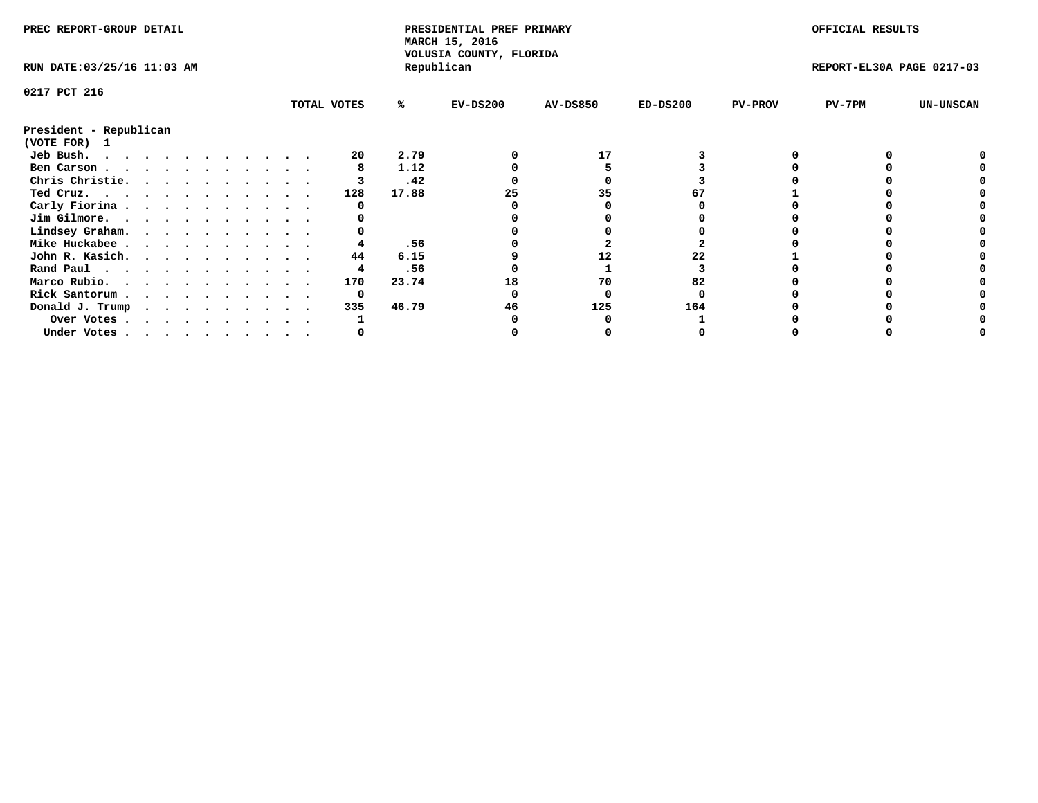| PREC REPORT-GROUP DETAIL    |  |  |  |  |  |  |  |  |             | PRESIDENTIAL PREF PRIMARY<br>MARCH 15, 2016<br>VOLUSIA COUNTY, FLORIDA |            |                 |            | OFFICIAL RESULTS |                           |                  |
|-----------------------------|--|--|--|--|--|--|--|--|-------------|------------------------------------------------------------------------|------------|-----------------|------------|------------------|---------------------------|------------------|
| RUN DATE: 03/25/16 11:03 AM |  |  |  |  |  |  |  |  |             |                                                                        | Republican |                 |            |                  | REPORT-EL30A PAGE 0217-03 |                  |
| 0217 PCT 216                |  |  |  |  |  |  |  |  |             |                                                                        |            |                 |            |                  |                           |                  |
|                             |  |  |  |  |  |  |  |  | TOTAL VOTES | %ะ                                                                     | $EV-DS200$ | <b>AV-DS850</b> | $ED-DS200$ | <b>PV-PROV</b>   | $PV-7PM$                  | <b>UN-UNSCAN</b> |
| President - Republican      |  |  |  |  |  |  |  |  |             |                                                                        |            |                 |            |                  |                           |                  |
| (VOTE FOR) 1                |  |  |  |  |  |  |  |  |             |                                                                        |            |                 |            |                  |                           |                  |
| Jeb Bush.                   |  |  |  |  |  |  |  |  | 20          | 2.79                                                                   |            | 17              |            |                  |                           |                  |
| Ben Carson                  |  |  |  |  |  |  |  |  |             | 1.12                                                                   |            |                 |            |                  |                           |                  |
| Chris Christie.             |  |  |  |  |  |  |  |  |             | .42                                                                    |            |                 |            |                  |                           |                  |
| Ted Cruz.                   |  |  |  |  |  |  |  |  | 128         | 17.88                                                                  |            |                 |            |                  |                           |                  |
| Carly Fiorina               |  |  |  |  |  |  |  |  |             |                                                                        |            |                 |            |                  |                           |                  |
| Jim Gilmore.                |  |  |  |  |  |  |  |  |             |                                                                        |            |                 |            |                  |                           |                  |
| Lindsey Graham.             |  |  |  |  |  |  |  |  |             |                                                                        |            |                 |            |                  |                           |                  |
| Mike Huckabee               |  |  |  |  |  |  |  |  |             | .56                                                                    |            |                 |            |                  |                           |                  |
| John R. Kasich.             |  |  |  |  |  |  |  |  | 44          | 6.15                                                                   |            | 12              |            |                  |                           |                  |
| Rand Paul                   |  |  |  |  |  |  |  |  |             | .56                                                                    |            |                 |            |                  |                           |                  |
| Marco Rubio.                |  |  |  |  |  |  |  |  | 170         | 23.74                                                                  | 18         | 70              | 82         |                  |                           |                  |
| Rick Santorum               |  |  |  |  |  |  |  |  | 0           |                                                                        |            |                 |            |                  |                           |                  |
| Donald J. Trump             |  |  |  |  |  |  |  |  | 335         | 46.79                                                                  | 46         | 125             | 164        |                  |                           |                  |
| Over Votes                  |  |  |  |  |  |  |  |  |             |                                                                        |            |                 |            |                  |                           |                  |
| Under Votes                 |  |  |  |  |  |  |  |  |             |                                                                        |            |                 |            |                  |                           |                  |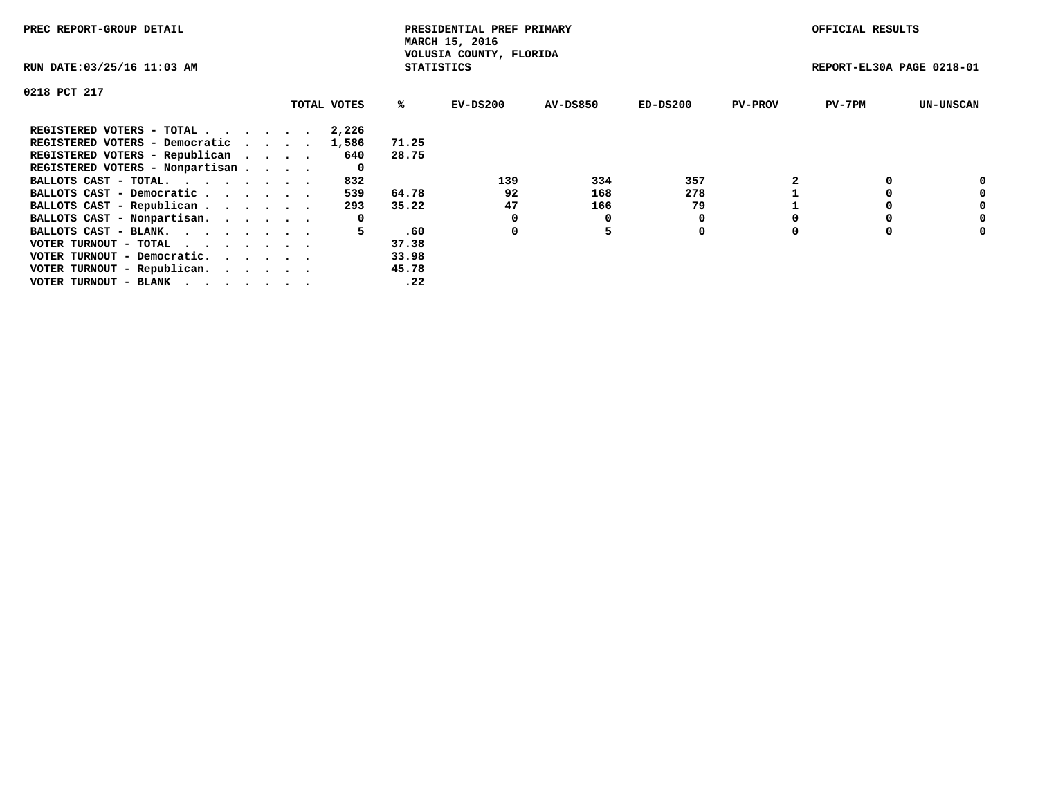| PREC REPORT-GROUP DETAIL                                    |             |                   | PRESIDENTIAL PREF PRIMARY<br>MARCH 15, 2016 |                 |            |                | OFFICIAL RESULTS          |                  |
|-------------------------------------------------------------|-------------|-------------------|---------------------------------------------|-----------------|------------|----------------|---------------------------|------------------|
| RUN DATE: 03/25/16 11:03 AM                                 |             | <b>STATISTICS</b> | VOLUSIA COUNTY, FLORIDA                     |                 |            |                | REPORT-EL30A PAGE 0218-01 |                  |
| 0218 PCT 217                                                |             |                   |                                             |                 |            |                |                           |                  |
|                                                             | TOTAL VOTES | ℁                 | EV-DS200                                    | <b>AV-DS850</b> | $ED-DS200$ | <b>PV-PROV</b> | $PV-7PM$                  | <b>UN-UNSCAN</b> |
| REGISTERED VOTERS - TOTAL                                   | 2,226       |                   |                                             |                 |            |                |                           |                  |
| REGISTERED VOTERS - Democratic                              | 1,586       | 71.25             |                                             |                 |            |                |                           |                  |
| REGISTERED VOTERS - Republican                              | 640         | 28.75             |                                             |                 |            |                |                           |                  |
| REGISTERED VOTERS - Nonpartisan                             | 0           |                   |                                             |                 |            |                |                           |                  |
| BALLOTS CAST - TOTAL.                                       | 832         |                   | 139                                         | 334             | 357        |                |                           | 0                |
| BALLOTS CAST - Democratic                                   | 539         | 64.78             | 92                                          | 168             | 278        |                |                           | 0                |
| BALLOTS CAST - Republican                                   | 293         | 35.22             | 47                                          | 166             | 79         |                |                           | 0                |
| BALLOTS CAST - Nonpartisan.                                 | 0           |                   |                                             | 0               |            |                |                           | 0                |
| BALLOTS CAST - BLANK.                                       | 5.          | .60               | 0                                           |                 | 0          |                |                           | 0                |
| VOTER TURNOUT - TOTAL $\cdot \cdot \cdot \cdot \cdot \cdot$ |             | 37.38             |                                             |                 |            |                |                           |                  |
| VOTER TURNOUT - Democratic.                                 |             | 33.98             |                                             |                 |            |                |                           |                  |
| VOTER TURNOUT - Republican.                                 |             | 45.78             |                                             |                 |            |                |                           |                  |
| VOTER TURNOUT - BLANK                                       |             | .22               |                                             |                 |            |                |                           |                  |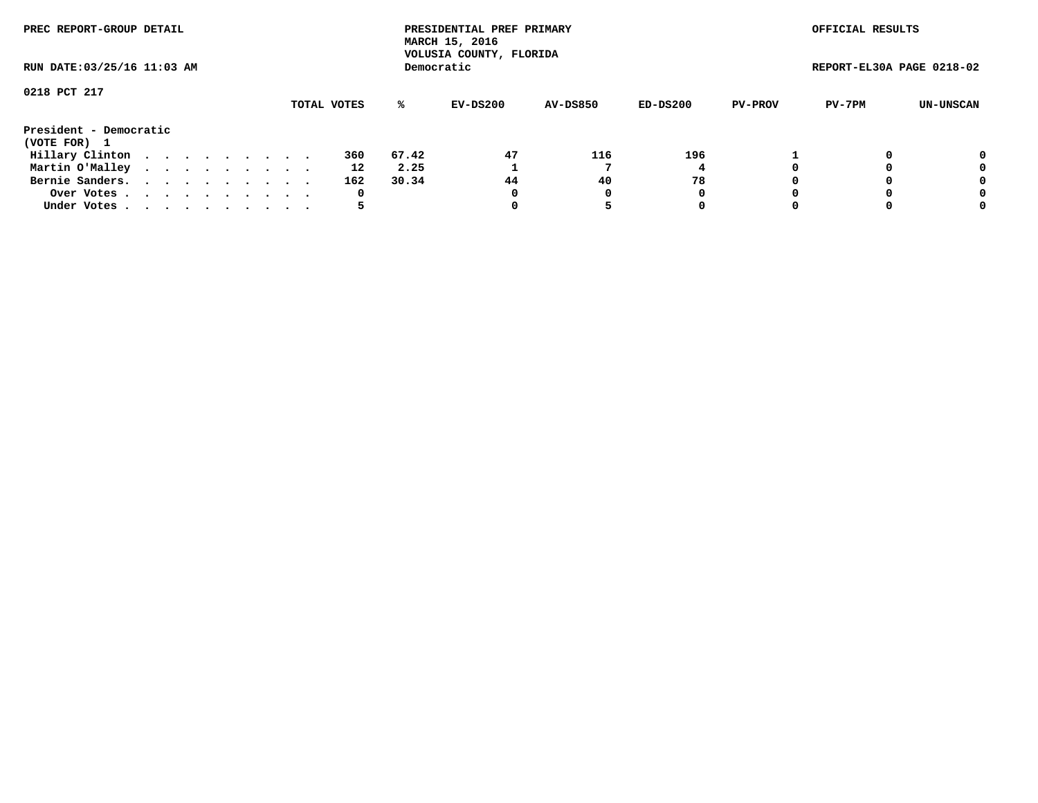| PREC REPORT-GROUP DETAIL<br>RUN DATE: 03/25/16 11:03 AM |  |  |  |  |  |  |  |  |     |       | PRESIDENTIAL PREF PRIMARY<br>MARCH 15, 2016<br>VOLUSIA COUNTY, FLORIDA |                 |          |                | OFFICIAL RESULTS          |           |
|---------------------------------------------------------|--|--|--|--|--|--|--|--|-----|-------|------------------------------------------------------------------------|-----------------|----------|----------------|---------------------------|-----------|
|                                                         |  |  |  |  |  |  |  |  |     |       | Democratic                                                             |                 |          |                | REPORT-EL30A PAGE 0218-02 |           |
| 0218 PCT 217                                            |  |  |  |  |  |  |  |  |     | %ะ    | EV-DS200                                                               | <b>AV-DS850</b> | ED-DS200 | <b>PV-PROV</b> | PV-7PM                    | UN-UNSCAN |
| TOTAL VOTES<br>President - Democratic<br>(VOTE FOR) 1   |  |  |  |  |  |  |  |  |     |       |                                                                        |                 |          |                |                           |           |
| Hillary Clinton                                         |  |  |  |  |  |  |  |  | 360 | 67.42 | 47                                                                     | 116             | 196      |                |                           | 0         |
| Martin O'Malley                                         |  |  |  |  |  |  |  |  | 12  | 2.25  |                                                                        |                 |          |                |                           | 0         |
| Bernie Sanders.                                         |  |  |  |  |  |  |  |  | 162 | 30.34 | 44                                                                     | 40              | 78       |                |                           | 0         |
| Over Votes                                              |  |  |  |  |  |  |  |  | 0   |       | 0                                                                      | 0               | 0        |                |                           | 0         |
| Under Votes.                                            |  |  |  |  |  |  |  |  |     |       |                                                                        |                 | 0        |                |                           | 0         |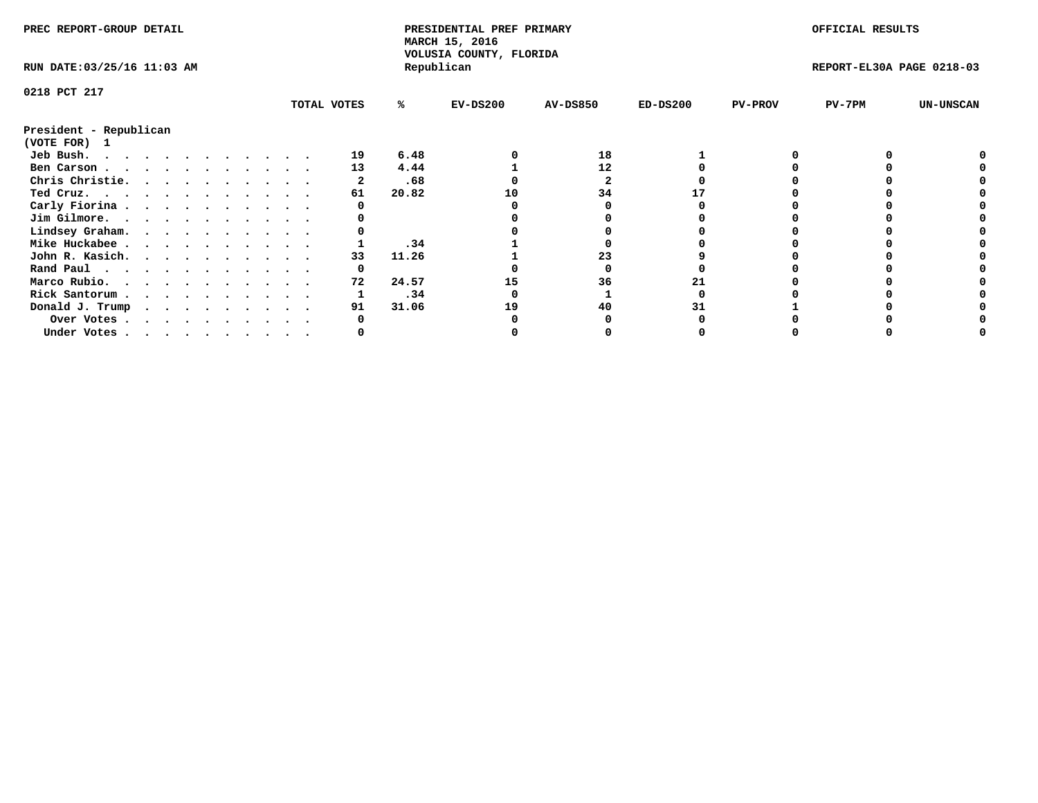| PREC REPORT-GROUP DETAIL    |  |  |  |  |  |  |  |  |             | PRESIDENTIAL PREF PRIMARY<br>MARCH 15, 2016<br>VOLUSIA COUNTY, FLORIDA |            |                 |            | OFFICIAL RESULTS |                           |                  |
|-----------------------------|--|--|--|--|--|--|--|--|-------------|------------------------------------------------------------------------|------------|-----------------|------------|------------------|---------------------------|------------------|
| RUN DATE: 03/25/16 11:03 AM |  |  |  |  |  |  |  |  |             |                                                                        | Republican |                 |            |                  | REPORT-EL30A PAGE 0218-03 |                  |
| 0218 PCT 217                |  |  |  |  |  |  |  |  |             |                                                                        |            |                 |            |                  |                           |                  |
|                             |  |  |  |  |  |  |  |  | TOTAL VOTES | ℁                                                                      | $EV-DS200$ | <b>AV-DS850</b> | $ED-DS200$ | <b>PV-PROV</b>   | PV-7PM                    | <b>UN-UNSCAN</b> |
| President - Republican      |  |  |  |  |  |  |  |  |             |                                                                        |            |                 |            |                  |                           |                  |
| (VOTE FOR) 1                |  |  |  |  |  |  |  |  |             |                                                                        |            |                 |            |                  |                           |                  |
| Jeb Bush.                   |  |  |  |  |  |  |  |  | 19          | 6.48                                                                   |            | 18              |            |                  |                           |                  |
| Ben Carson                  |  |  |  |  |  |  |  |  | 13          | 4.44                                                                   |            | 12              |            |                  |                           |                  |
| Chris Christie.             |  |  |  |  |  |  |  |  |             | .68                                                                    |            |                 |            |                  |                           |                  |
| Ted Cruz.                   |  |  |  |  |  |  |  |  | 61          | 20.82                                                                  | 10         | 34              |            |                  |                           |                  |
| Carly Fiorina               |  |  |  |  |  |  |  |  |             |                                                                        |            |                 |            |                  |                           |                  |
| Jim Gilmore.                |  |  |  |  |  |  |  |  |             |                                                                        |            |                 |            |                  |                           |                  |
| Lindsey Graham.             |  |  |  |  |  |  |  |  |             |                                                                        |            |                 |            |                  |                           |                  |
| Mike Huckabee               |  |  |  |  |  |  |  |  |             | .34                                                                    |            |                 |            |                  |                           |                  |
| John R. Kasich.             |  |  |  |  |  |  |  |  | 33          | 11.26                                                                  |            | 23              |            |                  |                           |                  |
| Rand Paul                   |  |  |  |  |  |  |  |  |             |                                                                        |            |                 |            |                  |                           |                  |
| Marco Rubio.                |  |  |  |  |  |  |  |  | 72          | 24.57                                                                  |            | 36              |            |                  |                           |                  |
| Rick Santorum               |  |  |  |  |  |  |  |  |             | .34                                                                    |            |                 |            |                  |                           |                  |
| Donald J. Trump             |  |  |  |  |  |  |  |  | 91          | 31.06                                                                  | 19         | 40              |            |                  |                           |                  |
| Over Votes                  |  |  |  |  |  |  |  |  |             |                                                                        |            |                 |            |                  |                           |                  |
| Under Votes                 |  |  |  |  |  |  |  |  |             |                                                                        |            |                 |            |                  |                           |                  |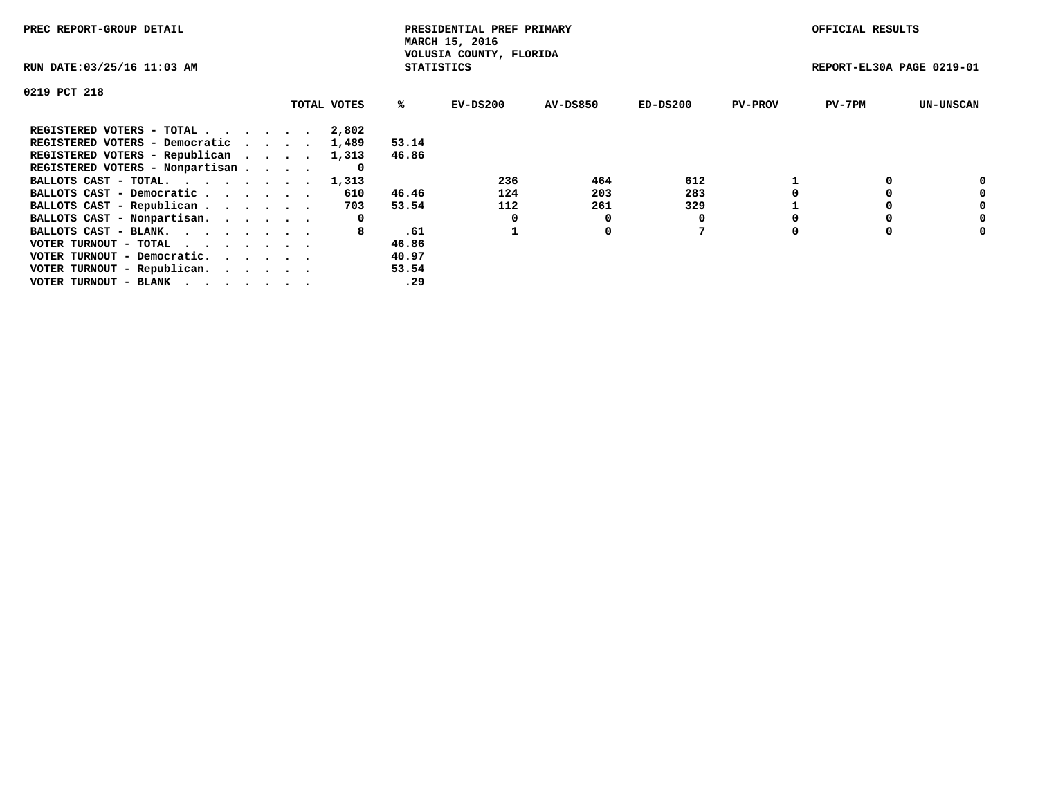| PREC REPORT-GROUP DETAIL                                    |             |                   | PRESIDENTIAL PREF PRIMARY<br>MARCH 15, 2016 |                 |            |                | OFFICIAL RESULTS          |                  |
|-------------------------------------------------------------|-------------|-------------------|---------------------------------------------|-----------------|------------|----------------|---------------------------|------------------|
| RUN DATE: 03/25/16 11:03 AM                                 |             | <b>STATISTICS</b> | VOLUSIA COUNTY, FLORIDA                     |                 |            |                | REPORT-EL30A PAGE 0219-01 |                  |
| 0219 PCT 218                                                |             |                   |                                             |                 |            |                |                           |                  |
|                                                             | TOTAL VOTES | ℁                 | EV-DS200                                    | <b>AV-DS850</b> | $ED-DS200$ | <b>PV-PROV</b> | $PV-7PM$                  | <b>UN-UNSCAN</b> |
| REGISTERED VOTERS - TOTAL                                   | 2,802       |                   |                                             |                 |            |                |                           |                  |
| REGISTERED VOTERS - Democratic                              | 1,489       | 53.14             |                                             |                 |            |                |                           |                  |
| REGISTERED VOTERS - Republican                              | 1,313       | 46.86             |                                             |                 |            |                |                           |                  |
| REGISTERED VOTERS - Nonpartisan                             |             |                   |                                             |                 |            |                |                           |                  |
| BALLOTS CAST - TOTAL. 1,313                                 |             |                   | 236                                         | 464             | 612        |                |                           | 0                |
| BALLOTS CAST - Democratic                                   | 610         | 46.46             | 124                                         | 203             | 283        |                |                           | 0                |
| BALLOTS CAST - Republican                                   | 703         | 53.54             | 112                                         | 261             | 329        |                |                           | 0                |
| BALLOTS CAST - Nonpartisan.                                 | 0           |                   |                                             | 0               |            |                |                           | 0                |
| BALLOTS CAST - BLANK.                                       | 8           | .61               |                                             | 0               |            |                |                           | 0                |
| VOTER TURNOUT - TOTAL $\cdot \cdot \cdot \cdot \cdot \cdot$ |             | 46.86             |                                             |                 |            |                |                           |                  |
| VOTER TURNOUT - Democratic.                                 |             | 40.97             |                                             |                 |            |                |                           |                  |
| VOTER TURNOUT - Republican.                                 |             | 53.54             |                                             |                 |            |                |                           |                  |
| VOTER TURNOUT - BLANK                                       |             | .29               |                                             |                 |            |                |                           |                  |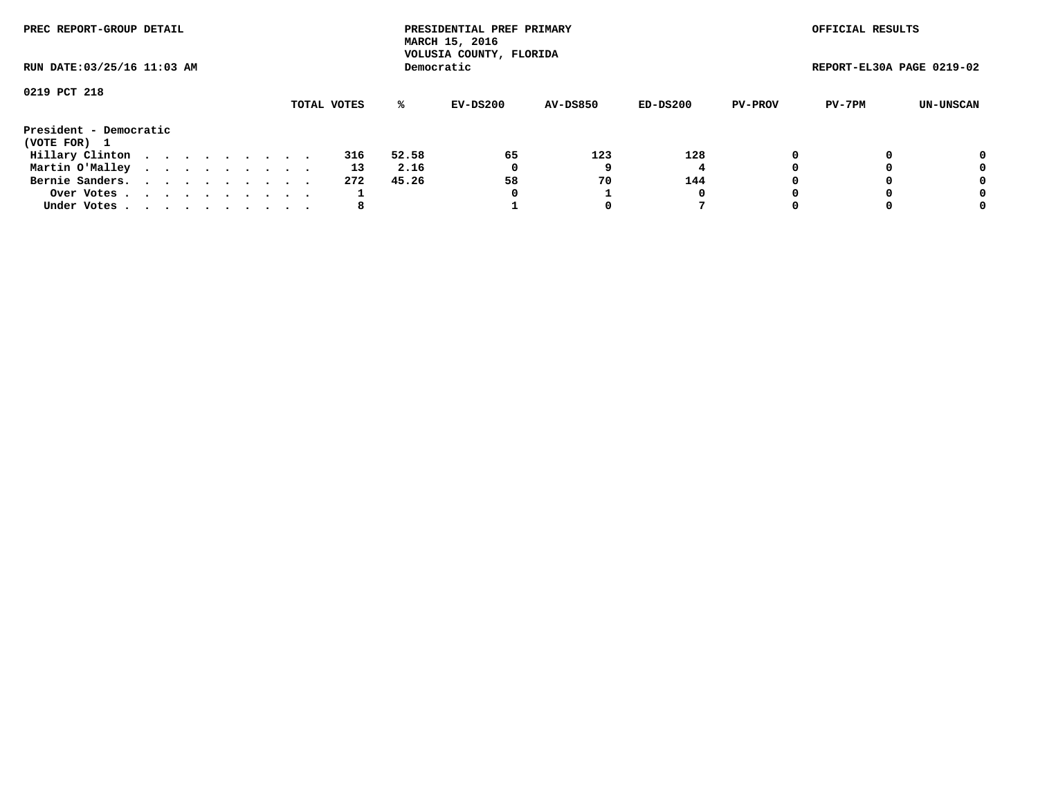| PREC REPORT-GROUP DETAIL               |  |  |  |  |             |       | PRESIDENTIAL PREF PRIMARY<br>MARCH 15, 2016<br>VOLUSIA COUNTY, FLORIDA |                 |          |                | OFFICIAL RESULTS          |           |
|----------------------------------------|--|--|--|--|-------------|-------|------------------------------------------------------------------------|-----------------|----------|----------------|---------------------------|-----------|
| RUN DATE: 03/25/16 11:03 AM            |  |  |  |  |             |       | Democratic                                                             |                 |          |                | REPORT-EL30A PAGE 0219-02 |           |
| 0219 PCT 218                           |  |  |  |  | TOTAL VOTES | ℁     | EV-DS200                                                               | <b>AV-DS850</b> | ED-DS200 | <b>PV-PROV</b> | PV-7PM                    | UN-UNSCAN |
| President - Democratic<br>(VOTE FOR) 1 |  |  |  |  |             |       |                                                                        |                 |          |                |                           |           |
| Hillary Clinton                        |  |  |  |  | 316         | 52.58 | 65                                                                     | 123             | 128      |                |                           | 0         |
| Martin O'Malley                        |  |  |  |  | 13          | 2.16  | 0                                                                      |                 |          |                |                           | 0         |
| Bernie Sanders.                        |  |  |  |  | 272         | 45.26 | 58                                                                     | 70              | 144      |                |                           | 0         |
| Over Votes.                            |  |  |  |  |             |       | 0                                                                      |                 | 0        |                |                           | 0         |
| Under Votes                            |  |  |  |  | 8           |       |                                                                        |                 |          |                |                           | 0         |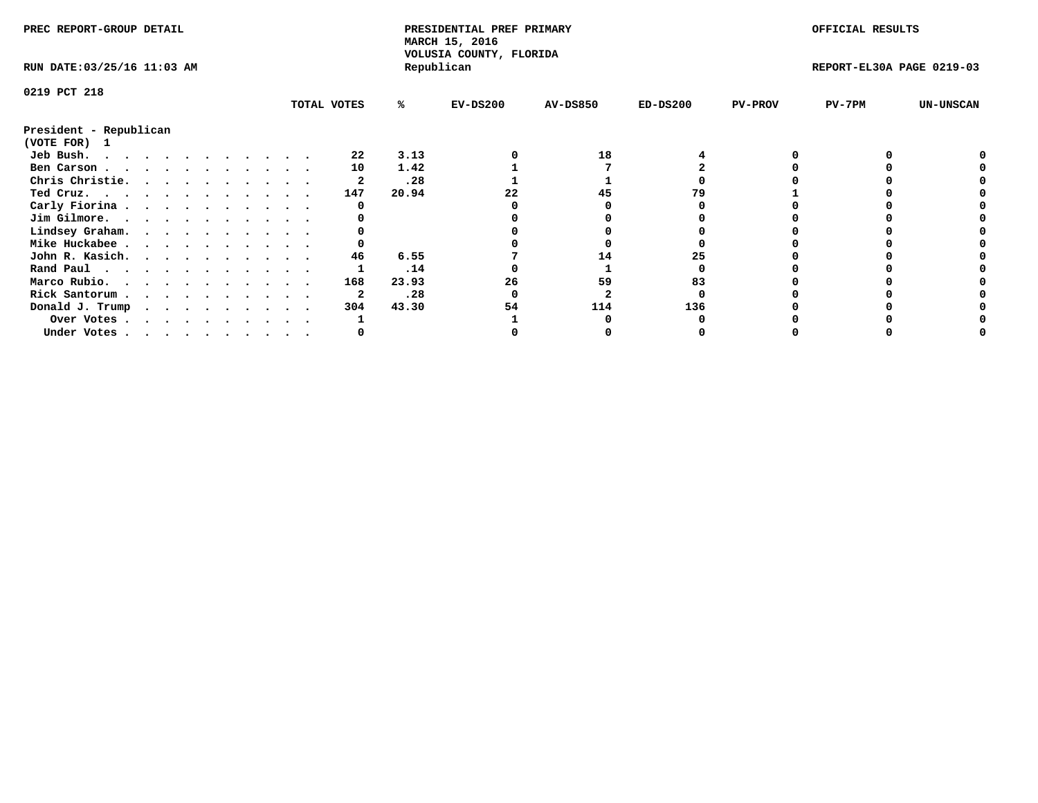| PREC REPORT-GROUP DETAIL<br>RUN DATE: 03/25/16 11:03 AM |  |  |  |  |  |  |  |  |             | PRESIDENTIAL PREF PRIMARY<br>MARCH 15, 2016<br>VOLUSIA COUNTY, FLORIDA |            |                 |            | OFFICIAL RESULTS |                           |                  |
|---------------------------------------------------------|--|--|--|--|--|--|--|--|-------------|------------------------------------------------------------------------|------------|-----------------|------------|------------------|---------------------------|------------------|
|                                                         |  |  |  |  |  |  |  |  |             |                                                                        | Republican |                 |            |                  | REPORT-EL30A PAGE 0219-03 |                  |
| 0219 PCT 218                                            |  |  |  |  |  |  |  |  |             |                                                                        |            |                 |            |                  |                           |                  |
|                                                         |  |  |  |  |  |  |  |  | TOTAL VOTES | ℁                                                                      | $EV-DS200$ | <b>AV-DS850</b> | $ED-DS200$ | <b>PV-PROV</b>   | $PV-7PM$                  | <b>UN-UNSCAN</b> |
| President - Republican                                  |  |  |  |  |  |  |  |  |             |                                                                        |            |                 |            |                  |                           |                  |
| (VOTE FOR) 1                                            |  |  |  |  |  |  |  |  |             |                                                                        |            |                 |            |                  |                           |                  |
| Jeb Bush.                                               |  |  |  |  |  |  |  |  | 22          | 3.13                                                                   |            | 18              |            |                  |                           |                  |
| Ben Carson                                              |  |  |  |  |  |  |  |  | 10          | 1.42                                                                   |            |                 |            |                  |                           |                  |
| Chris Christie.                                         |  |  |  |  |  |  |  |  |             | .28                                                                    |            |                 |            |                  |                           |                  |
| Ted Cruz.                                               |  |  |  |  |  |  |  |  | 147         | 20.94                                                                  |            | 45              |            |                  |                           |                  |
| Carly Fiorina                                           |  |  |  |  |  |  |  |  |             |                                                                        |            |                 |            |                  |                           |                  |
| Jim Gilmore.                                            |  |  |  |  |  |  |  |  |             |                                                                        |            |                 |            |                  |                           |                  |
| Lindsey Graham.                                         |  |  |  |  |  |  |  |  |             |                                                                        |            |                 |            |                  |                           |                  |
| Mike Huckabee                                           |  |  |  |  |  |  |  |  |             |                                                                        |            |                 |            |                  |                           |                  |
| John R. Kasich.                                         |  |  |  |  |  |  |  |  | 46          | 6.55                                                                   |            | 14              | 25         |                  |                           |                  |
| Rand Paul                                               |  |  |  |  |  |  |  |  |             | .14                                                                    |            |                 |            |                  |                           |                  |
| Marco Rubio.                                            |  |  |  |  |  |  |  |  | 168         | 23.93                                                                  | 26         | 59              |            |                  |                           |                  |
| Rick Santorum                                           |  |  |  |  |  |  |  |  |             | .28                                                                    |            |                 |            |                  |                           |                  |
| Donald J. Trump                                         |  |  |  |  |  |  |  |  | 304         | 43.30                                                                  | 54         | 114             | 136        |                  |                           |                  |
| Over Votes                                              |  |  |  |  |  |  |  |  |             |                                                                        |            |                 |            |                  |                           |                  |
| Under Votes                                             |  |  |  |  |  |  |  |  |             |                                                                        |            |                 |            |                  |                           |                  |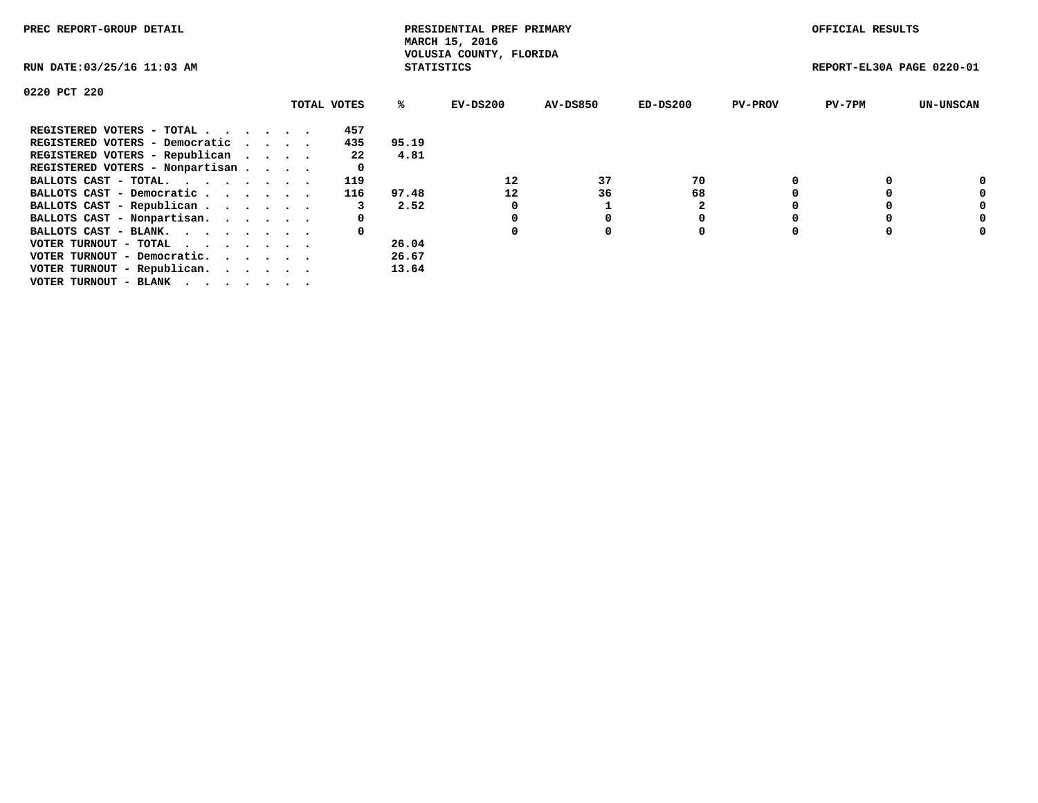| PREC REPORT-GROUP DETAIL                                    |  |             |                   | PRESIDENTIAL PREF PRIMARY<br>MARCH 15, 2016<br>VOLUSIA COUNTY, FLORIDA |                 |            |                | OFFICIAL RESULTS          |                  |
|-------------------------------------------------------------|--|-------------|-------------------|------------------------------------------------------------------------|-----------------|------------|----------------|---------------------------|------------------|
| RUN DATE: 03/25/16 11:03 AM                                 |  |             | <b>STATISTICS</b> |                                                                        |                 |            |                | REPORT-EL30A PAGE 0220-01 |                  |
| 0220 PCT 220                                                |  |             |                   |                                                                        |                 |            |                |                           |                  |
|                                                             |  | TOTAL VOTES | %ະ                | EV-DS200                                                               | <b>AV-DS850</b> | $ED-DS200$ | <b>PV-PROV</b> | $PV-7PM$                  | <b>UN-UNSCAN</b> |
| REGISTERED VOTERS - TOTAL                                   |  | 457         |                   |                                                                        |                 |            |                |                           |                  |
| REGISTERED VOTERS - Democratic                              |  | 435         | 95.19             |                                                                        |                 |            |                |                           |                  |
| REGISTERED VOTERS - Republican                              |  | 22          | 4.81              |                                                                        |                 |            |                |                           |                  |
| REGISTERED VOTERS - Nonpartisan                             |  |             |                   |                                                                        |                 |            |                |                           |                  |
| BALLOTS CAST - TOTAL.                                       |  | 119         |                   | 12                                                                     | 37              | 70         |                |                           |                  |
| BALLOTS CAST - Democratic                                   |  | 116         | 97.48             | 12                                                                     | 36              | 68         |                |                           |                  |
| BALLOTS CAST - Republican                                   |  |             | 2.52              | 0                                                                      |                 |            |                |                           |                  |
| BALLOTS CAST - Nonpartisan.                                 |  | 0           |                   |                                                                        |                 |            |                |                           | 0                |
| BALLOTS CAST - BLANK.                                       |  | 0           |                   | 0                                                                      | 0               | 0          |                |                           | 0                |
| VOTER TURNOUT - TOTAL $\cdot \cdot \cdot \cdot \cdot \cdot$ |  |             | 26.04             |                                                                        |                 |            |                |                           |                  |
| VOTER TURNOUT - Democratic.                                 |  |             | 26.67             |                                                                        |                 |            |                |                           |                  |
| VOTER TURNOUT - Republican.                                 |  |             | 13.64             |                                                                        |                 |            |                |                           |                  |
| VOTER TURNOUT - BLANK                                       |  |             |                   |                                                                        |                 |            |                |                           |                  |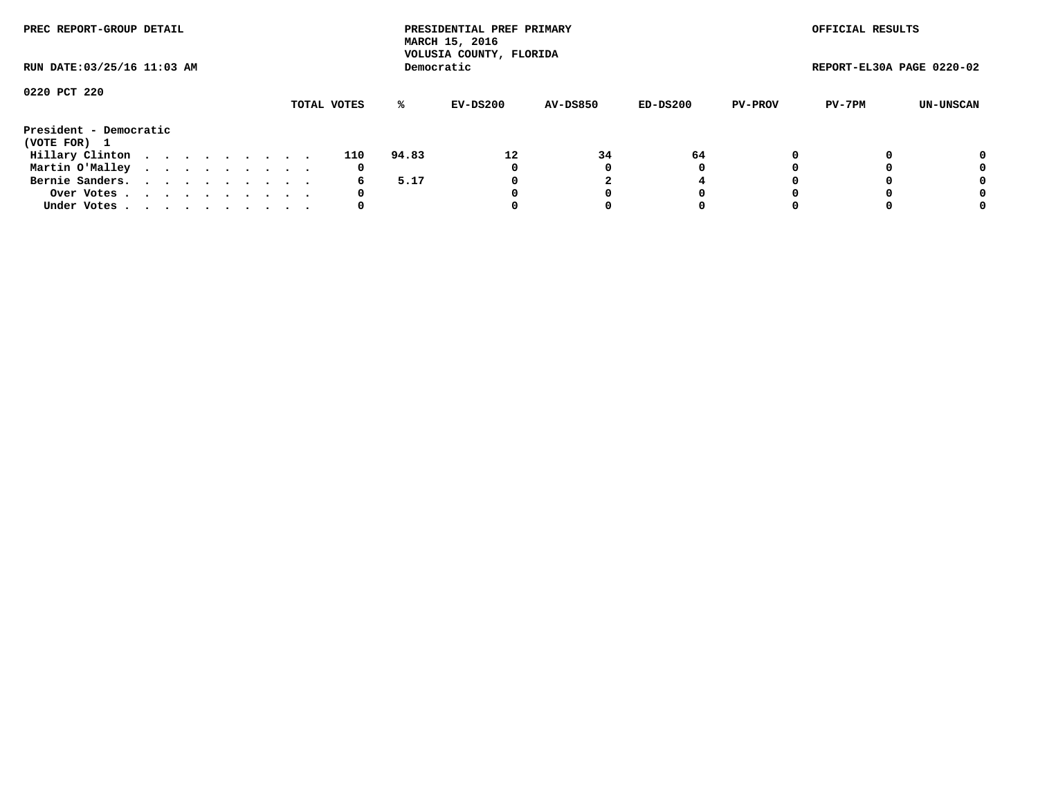| PREC REPORT-GROUP DETAIL               |  |  |  |  |             |       | PRESIDENTIAL PREF PRIMARY<br>MARCH 15, 2016<br>VOLUSIA COUNTY, FLORIDA |                 |            |                | OFFICIAL RESULTS          |           |
|----------------------------------------|--|--|--|--|-------------|-------|------------------------------------------------------------------------|-----------------|------------|----------------|---------------------------|-----------|
| RUN DATE: 03/25/16 11:03 AM            |  |  |  |  |             |       | Democratic                                                             |                 |            |                | REPORT-EL30A PAGE 0220-02 |           |
| 0220 PCT 220                           |  |  |  |  | TOTAL VOTES | %ะ    | EV-DS200                                                               | <b>AV-DS850</b> | $ED-DS200$ | <b>PV-PROV</b> | PV-7PM                    | UN-UNSCAN |
| President - Democratic<br>(VOTE FOR) 1 |  |  |  |  |             |       |                                                                        |                 |            |                |                           |           |
| Hillary Clinton                        |  |  |  |  | 110         | 94.83 | 12                                                                     | 34              | 64         | 0              |                           | 0         |
| Martin O'Malley                        |  |  |  |  | 0           |       | 0                                                                      |                 | 0          |                |                           | 0         |
| Bernie Sanders.                        |  |  |  |  | 6           | 5.17  |                                                                        |                 |            |                |                           | 0         |
| Over Votes                             |  |  |  |  | 0           |       |                                                                        |                 | 0          |                |                           | 0         |
| Under Votes.                           |  |  |  |  |             |       |                                                                        |                 | 0          |                |                           | 0         |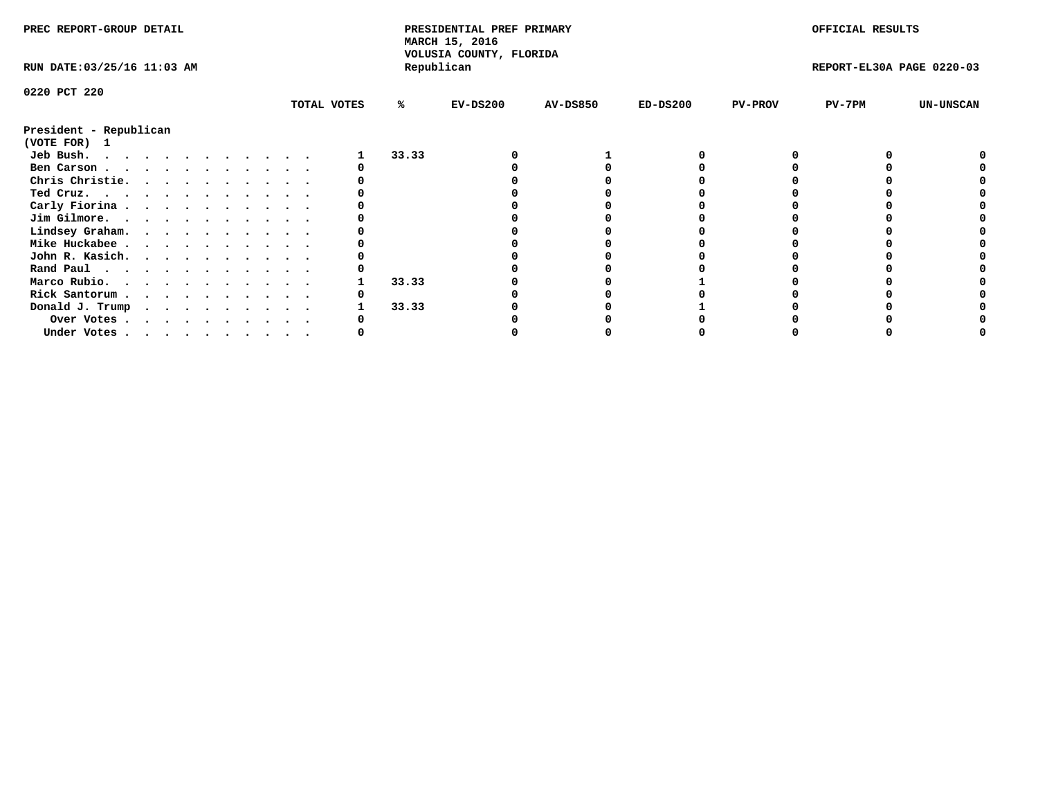| PREC REPORT-GROUP DETAIL                       |             |       | PRESIDENTIAL PREF PRIMARY<br>MARCH 15, 2016<br>VOLUSIA COUNTY, FLORIDA |                 |            |                | OFFICIAL RESULTS          |                  |
|------------------------------------------------|-------------|-------|------------------------------------------------------------------------|-----------------|------------|----------------|---------------------------|------------------|
| RUN DATE: 03/25/16 11:03 AM                    |             |       | Republican                                                             |                 |            |                | REPORT-EL30A PAGE 0220-03 |                  |
| 0220 PCT 220                                   |             |       |                                                                        |                 |            |                |                           |                  |
|                                                | TOTAL VOTES | %ะ    | $EV-DS200$                                                             | <b>AV-DS850</b> | $ED-DS200$ | <b>PV-PROV</b> | $PV-7PM$                  | <b>UN-UNSCAN</b> |
| President - Republican<br>(VOTE FOR) 1         |             |       |                                                                        |                 |            |                |                           |                  |
| Jeb Bush.                                      |             | 33.33 |                                                                        |                 |            |                |                           |                  |
| Ben Carson                                     |             |       |                                                                        |                 |            |                |                           |                  |
| Chris Christie.                                |             |       |                                                                        |                 |            |                |                           |                  |
| Ted Cruz.                                      |             |       |                                                                        |                 |            |                |                           |                  |
| Carly Fiorina                                  |             |       |                                                                        |                 |            |                |                           |                  |
| Jim Gilmore.                                   |             |       |                                                                        |                 |            |                |                           |                  |
| Lindsey Graham.                                |             |       |                                                                        |                 |            |                |                           |                  |
| Mike Huckabee                                  |             |       |                                                                        |                 |            |                |                           |                  |
| John R. Kasich.                                |             |       |                                                                        |                 |            |                |                           |                  |
| Rand Paul                                      |             |       |                                                                        |                 |            |                |                           |                  |
| Marco Rubio.                                   |             | 33.33 |                                                                        |                 |            |                |                           |                  |
| Rick Santorum                                  |             |       |                                                                        |                 |            |                |                           |                  |
| Donald J. Trump                                |             | 33.33 |                                                                        |                 |            |                |                           |                  |
|                                                |             |       |                                                                        |                 |            |                |                           |                  |
| Over Votes<br>Under Votes, , , , , , , , , , , |             |       |                                                                        |                 |            |                |                           |                  |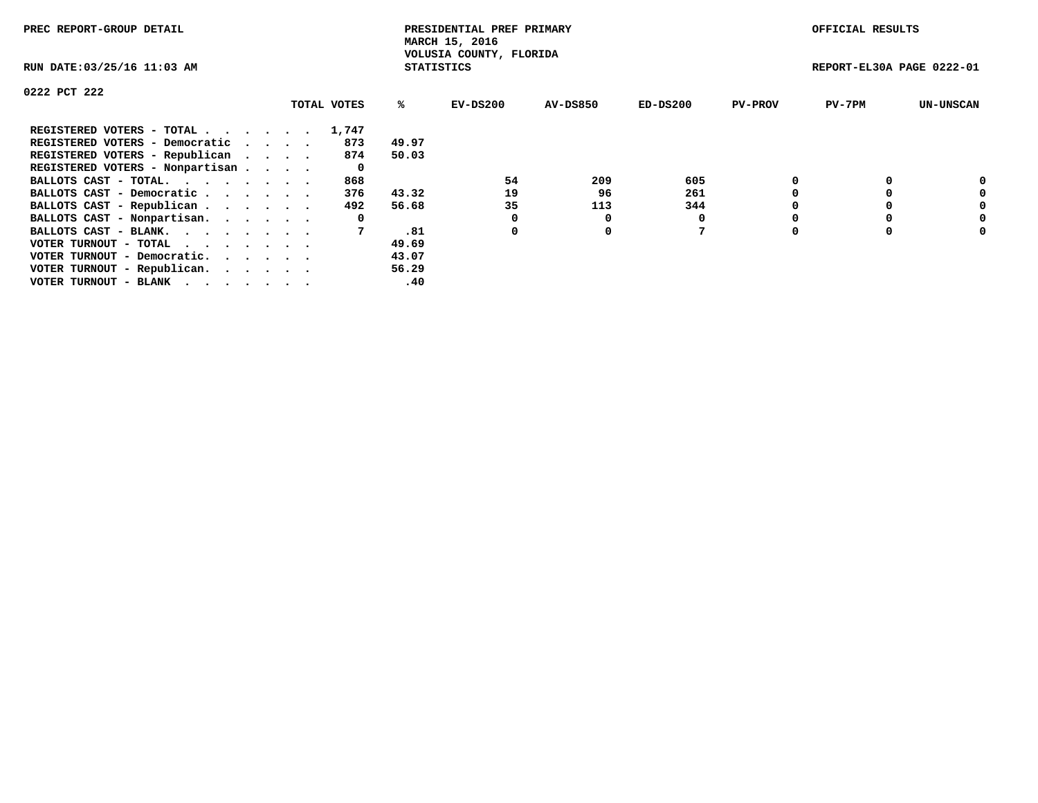| PREC REPORT-GROUP DETAIL                                    |  |             |                   | PRESIDENTIAL PREF PRIMARY<br>MARCH 15, 2016 |          |            |                | OFFICIAL RESULTS          |                  |
|-------------------------------------------------------------|--|-------------|-------------------|---------------------------------------------|----------|------------|----------------|---------------------------|------------------|
| RUN DATE: 03/25/16 11:03 AM                                 |  |             | <b>STATISTICS</b> | VOLUSIA COUNTY, FLORIDA                     |          |            |                | REPORT-EL30A PAGE 0222-01 |                  |
| 0222 PCT 222                                                |  |             |                   |                                             |          |            |                |                           |                  |
|                                                             |  | TOTAL VOTES | ℁                 | $EV-DS200$                                  | AV-DS850 | $ED-DS200$ | <b>PV-PROV</b> | $PV-7PM$                  | <b>UN-UNSCAN</b> |
| REGISTERED VOTERS - TOTAL                                   |  | 1,747       |                   |                                             |          |            |                |                           |                  |
| REGISTERED VOTERS - Democratic                              |  | 873         | 49.97             |                                             |          |            |                |                           |                  |
| REGISTERED VOTERS - Republican                              |  | 874         | 50.03             |                                             |          |            |                |                           |                  |
| REGISTERED VOTERS - Nonpartisan                             |  | 0           |                   |                                             |          |            |                |                           |                  |
| BALLOTS CAST - TOTAL.                                       |  | 868         |                   | 54                                          | 209      | 605        |                |                           | 0                |
| BALLOTS CAST - Democratic                                   |  | 376         | 43.32             | 19                                          | 96       | 261        |                |                           | 0                |
| BALLOTS CAST - Republican                                   |  | 492         | 56.68             | 35                                          | 113      | 344        |                |                           | 0                |
| BALLOTS CAST - Nonpartisan.                                 |  | 0           |                   |                                             | 0        |            |                |                           | 0                |
| BALLOTS CAST - BLANK.                                       |  |             | .81               | 0                                           | 0        | 7          |                |                           | 0                |
| VOTER TURNOUT - TOTAL $\cdot \cdot \cdot \cdot \cdot \cdot$ |  |             | 49.69             |                                             |          |            |                |                           |                  |
| VOTER TURNOUT - Democratic.                                 |  |             | 43.07             |                                             |          |            |                |                           |                  |
| VOTER TURNOUT - Republican.                                 |  |             | 56.29             |                                             |          |            |                |                           |                  |
| VOTER TURNOUT - BLANK                                       |  |             | .40               |                                             |          |            |                |                           |                  |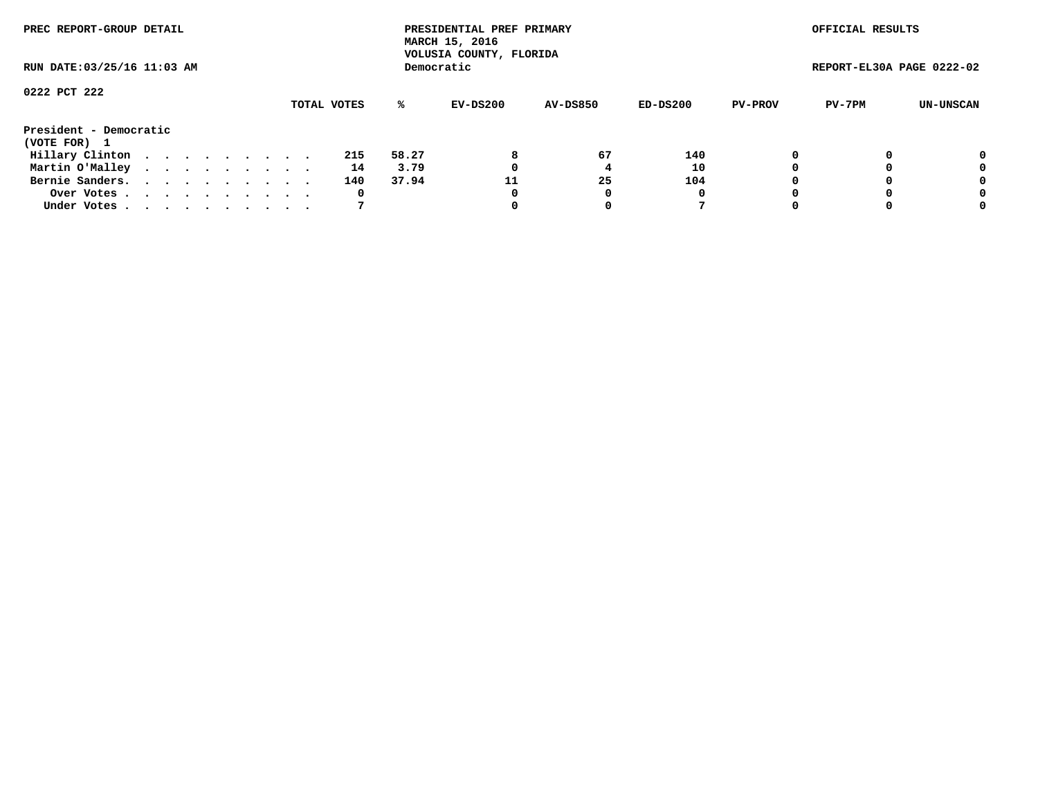| PREC REPORT-GROUP DETAIL               |  |  |  |  |             |       | PRESIDENTIAL PREF PRIMARY<br>MARCH 15, 2016<br>VOLUSIA COUNTY, FLORIDA |                 |          |                | OFFICIAL RESULTS          |           |
|----------------------------------------|--|--|--|--|-------------|-------|------------------------------------------------------------------------|-----------------|----------|----------------|---------------------------|-----------|
| RUN DATE: 03/25/16 11:03 AM            |  |  |  |  |             |       | Democratic                                                             |                 |          |                | REPORT-EL30A PAGE 0222-02 |           |
| 0222 PCT 222                           |  |  |  |  |             |       |                                                                        |                 |          |                |                           |           |
|                                        |  |  |  |  | TOTAL VOTES | ℁     | EV-DS200                                                               | <b>AV-DS850</b> | ED-DS200 | <b>PV-PROV</b> | PV-7PM                    | UN-UNSCAN |
| President - Democratic<br>(VOTE FOR) 1 |  |  |  |  |             |       |                                                                        |                 |          |                |                           |           |
| Hillary Clinton                        |  |  |  |  | 215         | 58.27 | 8                                                                      | 67              | 140      |                |                           | 0         |
| Martin O'Malley                        |  |  |  |  | 14          | 3.79  |                                                                        |                 | 10       |                |                           | 0         |
| Bernie Sanders.                        |  |  |  |  | 140         | 37.94 | 11                                                                     | 25              | 104      |                |                           | 0         |
| Over Votes.                            |  |  |  |  | 0           |       | 0                                                                      | 0               | 0        |                |                           | 0         |
| Under Votes                            |  |  |  |  |             |       |                                                                        |                 |          |                |                           | 0         |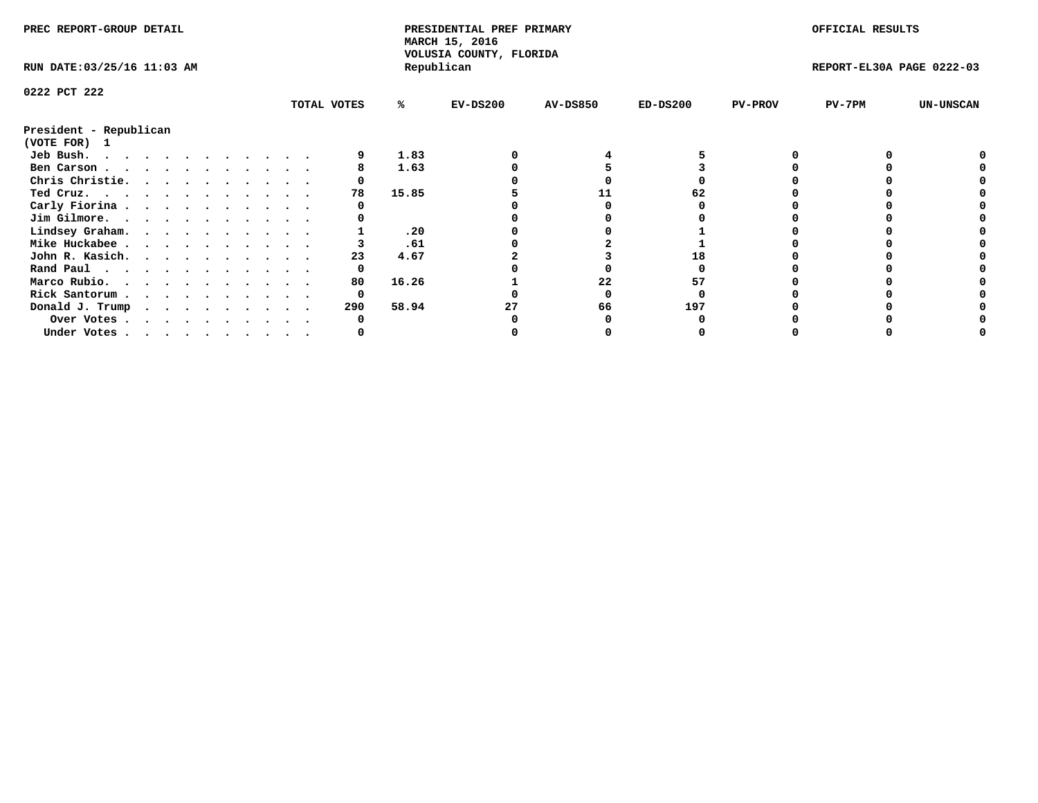| PREC REPORT-GROUP DETAIL<br>RUN DATE: 03/25/16 11:03 AM |  |  |  |  |  |  |  |  |             | PRESIDENTIAL PREF PRIMARY<br>MARCH 15, 2016<br>VOLUSIA COUNTY, FLORIDA |            |                 |            | OFFICIAL RESULTS |                           |                  |
|---------------------------------------------------------|--|--|--|--|--|--|--|--|-------------|------------------------------------------------------------------------|------------|-----------------|------------|------------------|---------------------------|------------------|
|                                                         |  |  |  |  |  |  |  |  |             |                                                                        | Republican |                 |            |                  | REPORT-EL30A PAGE 0222-03 |                  |
| 0222 PCT 222                                            |  |  |  |  |  |  |  |  |             |                                                                        |            |                 |            |                  |                           |                  |
|                                                         |  |  |  |  |  |  |  |  | TOTAL VOTES | %ะ                                                                     | EV-DS200   | <b>AV-DS850</b> | $ED-DS200$ | <b>PV-PROV</b>   | $PV-7PM$                  | <b>UN-UNSCAN</b> |
| President - Republican<br>(VOTE FOR) 1                  |  |  |  |  |  |  |  |  |             |                                                                        |            |                 |            |                  |                           |                  |
| Jeb Bush.                                               |  |  |  |  |  |  |  |  |             | 1.83                                                                   |            |                 |            |                  |                           |                  |
| Ben Carson                                              |  |  |  |  |  |  |  |  |             | 1.63                                                                   |            |                 |            |                  |                           |                  |
| Chris Christie.                                         |  |  |  |  |  |  |  |  |             |                                                                        |            |                 |            |                  |                           |                  |
| Ted Cruz.                                               |  |  |  |  |  |  |  |  | 78          | 15.85                                                                  |            |                 |            |                  |                           |                  |
| Carly Fiorina                                           |  |  |  |  |  |  |  |  |             |                                                                        |            |                 |            |                  |                           |                  |
| Jim Gilmore.                                            |  |  |  |  |  |  |  |  |             |                                                                        |            |                 |            |                  |                           |                  |
| Lindsey Graham.                                         |  |  |  |  |  |  |  |  |             | .20                                                                    |            |                 |            |                  |                           |                  |
| Mike Huckabee                                           |  |  |  |  |  |  |  |  |             | .61                                                                    |            |                 |            |                  |                           |                  |
| John R. Kasich.                                         |  |  |  |  |  |  |  |  | 23          | 4.67                                                                   |            |                 |            |                  |                           |                  |
| Rand Paul                                               |  |  |  |  |  |  |  |  | 0           |                                                                        |            |                 |            |                  |                           |                  |
| Marco Rubio.                                            |  |  |  |  |  |  |  |  | 80          | 16.26                                                                  |            | 22              | 57         |                  |                           |                  |
| Rick Santorum                                           |  |  |  |  |  |  |  |  | 0           |                                                                        |            |                 |            |                  |                           |                  |
| Donald J. Trump                                         |  |  |  |  |  |  |  |  | 290         | 58.94                                                                  |            | 66              | 197        |                  |                           |                  |
| Over Votes                                              |  |  |  |  |  |  |  |  |             |                                                                        |            |                 |            |                  |                           |                  |
| Under Votes                                             |  |  |  |  |  |  |  |  |             |                                                                        |            |                 |            |                  |                           |                  |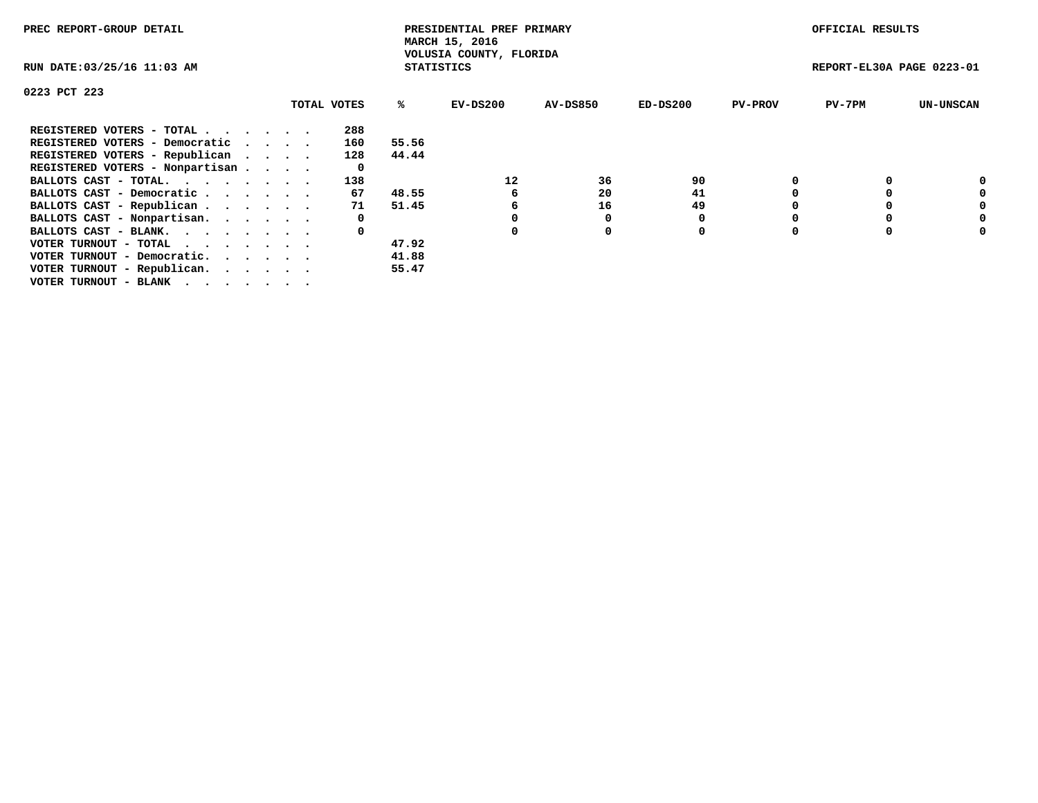| PREC REPORT-GROUP DETAIL                                    |  |             |                   | PRESIDENTIAL PREF PRIMARY<br>MARCH 15, 2016 |                 |            |                | OFFICIAL RESULTS          |                  |
|-------------------------------------------------------------|--|-------------|-------------------|---------------------------------------------|-----------------|------------|----------------|---------------------------|------------------|
| RUN DATE: 03/25/16 11:03 AM                                 |  |             | <b>STATISTICS</b> | VOLUSIA COUNTY, FLORIDA                     |                 |            |                | REPORT-EL30A PAGE 0223-01 |                  |
| 0223 PCT 223                                                |  |             |                   |                                             |                 |            |                |                           |                  |
|                                                             |  | TOTAL VOTES | ℁                 | EV-DS200                                    | <b>AV-DS850</b> | $ED-DS200$ | <b>PV-PROV</b> | $PV-7PM$                  | <b>UN-UNSCAN</b> |
| REGISTERED VOTERS - TOTAL                                   |  | 288         |                   |                                             |                 |            |                |                           |                  |
| REGISTERED VOTERS - Democratic                              |  | 160         | 55.56             |                                             |                 |            |                |                           |                  |
| REGISTERED VOTERS - Republican                              |  | 128         | 44.44             |                                             |                 |            |                |                           |                  |
| REGISTERED VOTERS - Nonpartisan                             |  | 0           |                   |                                             |                 |            |                |                           |                  |
| BALLOTS CAST - TOTAL.                                       |  | 138         |                   | 12                                          | 36              | 90         |                |                           |                  |
| BALLOTS CAST - Democratic                                   |  | 67          | 48.55             | 6                                           | 20              | 41         |                |                           | 0                |
| BALLOTS CAST - Republican                                   |  | 71          | 51.45             | 6                                           | 16              | 49         |                |                           | 0                |
| BALLOTS CAST - Nonpartisan.                                 |  | 0           |                   |                                             |                 |            |                |                           | 0                |
| BALLOTS CAST - BLANK.                                       |  | 0           |                   |                                             | $\Omega$        | 0          |                |                           | 0                |
| VOTER TURNOUT - TOTAL $\cdot \cdot \cdot \cdot \cdot \cdot$ |  |             | 47.92             |                                             |                 |            |                |                           |                  |
| VOTER TURNOUT - Democratic.                                 |  |             | 41.88             |                                             |                 |            |                |                           |                  |
| VOTER TURNOUT - Republican.                                 |  |             | 55.47             |                                             |                 |            |                |                           |                  |
| VOTER TURNOUT - BLANK                                       |  |             |                   |                                             |                 |            |                |                           |                  |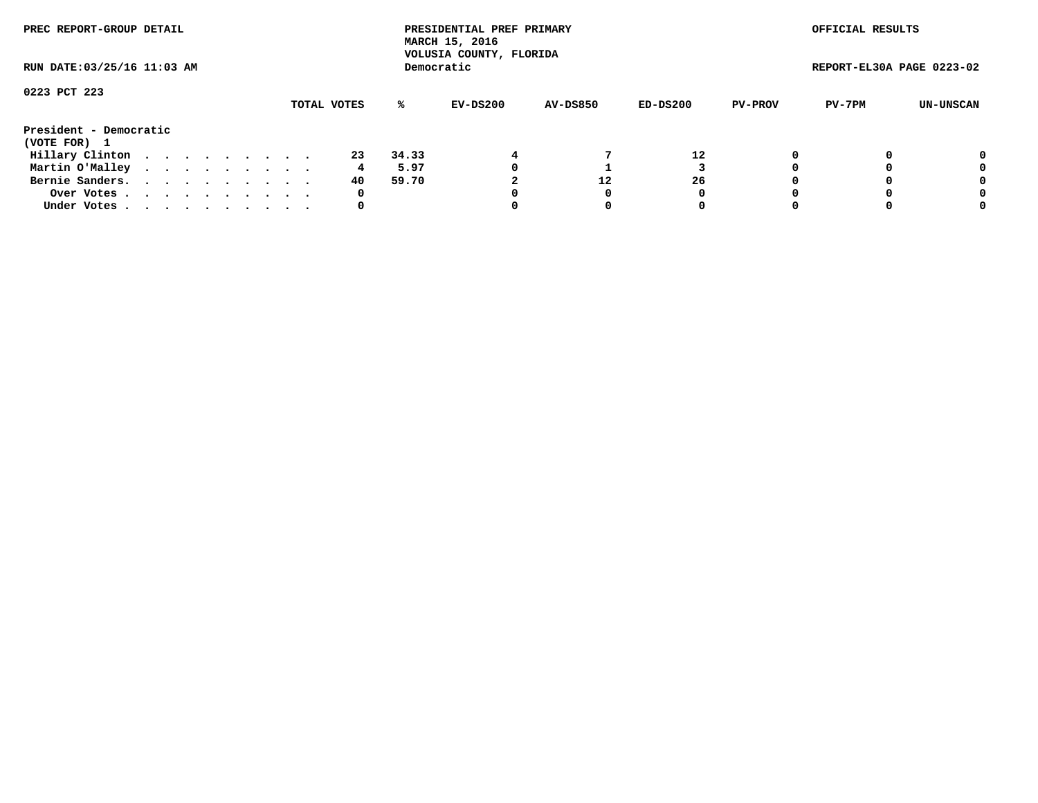| PREC REPORT-GROUP DETAIL               |  |  |  |  |             |       | PRESIDENTIAL PREF PRIMARY<br>MARCH 15, 2016<br>VOLUSIA COUNTY, FLORIDA |                 |          |                | OFFICIAL RESULTS          |           |
|----------------------------------------|--|--|--|--|-------------|-------|------------------------------------------------------------------------|-----------------|----------|----------------|---------------------------|-----------|
| RUN DATE: 03/25/16 11:03 AM            |  |  |  |  |             |       | Democratic                                                             |                 |          |                | REPORT-EL30A PAGE 0223-02 |           |
| 0223 PCT 223                           |  |  |  |  | TOTAL VOTES | %ะ    | EV-DS200                                                               | <b>AV-DS850</b> | ED-DS200 | <b>PV-PROV</b> | PV-7PM                    | UN-UNSCAN |
| President - Democratic<br>(VOTE FOR) 1 |  |  |  |  |             |       |                                                                        |                 |          |                |                           |           |
| Hillary Clinton                        |  |  |  |  | 23          | 34.33 |                                                                        |                 | 12       | 0              |                           | 0         |
| Martin O'Malley                        |  |  |  |  | 4           | 5.97  |                                                                        |                 |          |                |                           | 0         |
| Bernie Sanders.                        |  |  |  |  | 40          | 59.70 |                                                                        | 12              | 26       |                |                           | 0         |
| Over Votes.                            |  |  |  |  | 0           |       |                                                                        |                 | 0        |                |                           | 0         |
| Under Votes                            |  |  |  |  | 0           |       |                                                                        |                 | 0        |                |                           | 0         |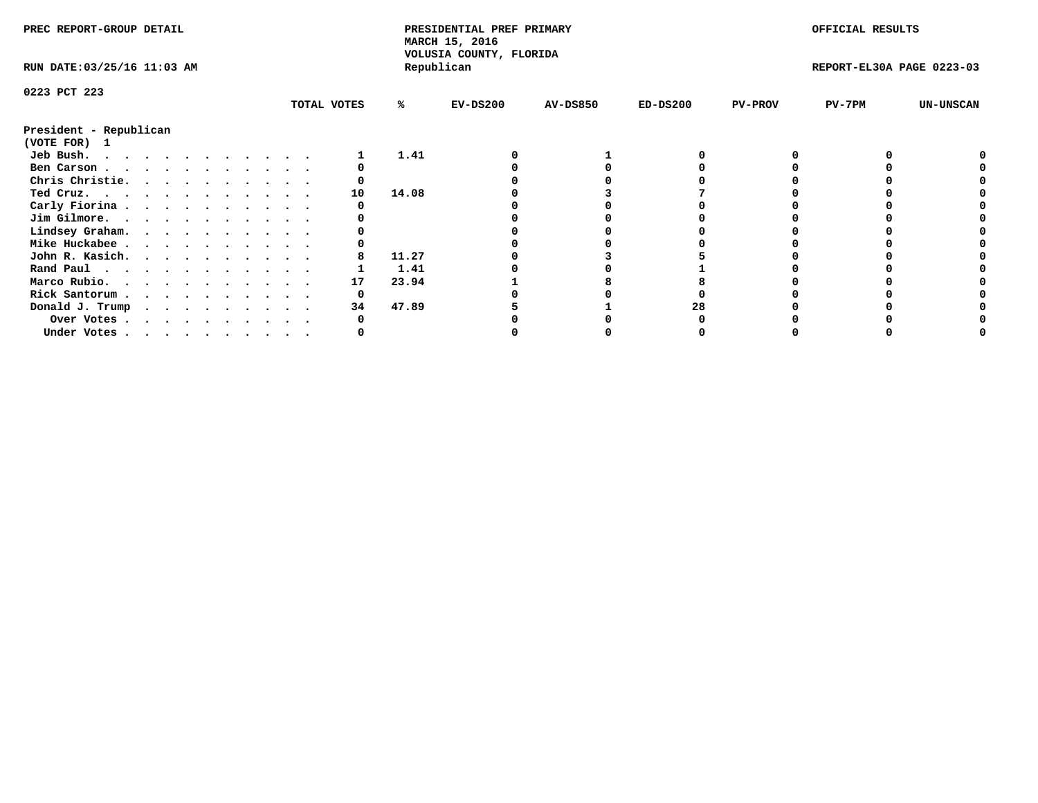| PREC REPORT-GROUP DETAIL<br>RUN DATE: 03/25/16 11:03 AM |  |  |  |  |  |  |  |             |            | PRESIDENTIAL PREF PRIMARY<br>MARCH 15, 2016<br>VOLUSIA COUNTY, FLORIDA |                 |            |                | OFFICIAL RESULTS          |                  |
|---------------------------------------------------------|--|--|--|--|--|--|--|-------------|------------|------------------------------------------------------------------------|-----------------|------------|----------------|---------------------------|------------------|
|                                                         |  |  |  |  |  |  |  |             | Republican |                                                                        |                 |            |                | REPORT-EL30A PAGE 0223-03 |                  |
| 0223 PCT 223                                            |  |  |  |  |  |  |  |             |            |                                                                        |                 |            |                |                           |                  |
|                                                         |  |  |  |  |  |  |  | TOTAL VOTES | %          | $EV-DS200$                                                             | <b>AV-DS850</b> | $ED-DS200$ | <b>PV-PROV</b> | PV-7PM                    | <b>UN-UNSCAN</b> |
| President - Republican                                  |  |  |  |  |  |  |  |             |            |                                                                        |                 |            |                |                           |                  |
| (VOTE FOR) 1                                            |  |  |  |  |  |  |  |             |            |                                                                        |                 |            |                |                           |                  |
| Jeb Bush.                                               |  |  |  |  |  |  |  |             | 1.41       |                                                                        |                 |            |                |                           |                  |
| Ben Carson                                              |  |  |  |  |  |  |  |             |            |                                                                        |                 |            |                |                           |                  |
| Chris Christie.                                         |  |  |  |  |  |  |  |             |            |                                                                        |                 |            |                |                           |                  |
| $Ted$ Cruz.                                             |  |  |  |  |  |  |  | 10          | 14.08      |                                                                        |                 |            |                |                           |                  |
| Carly Fiorina                                           |  |  |  |  |  |  |  |             |            |                                                                        |                 |            |                |                           |                  |
| Jim Gilmore.                                            |  |  |  |  |  |  |  |             |            |                                                                        |                 |            |                |                           |                  |
| Lindsey Graham.                                         |  |  |  |  |  |  |  |             |            |                                                                        |                 |            |                |                           |                  |
| Mike Huckabee                                           |  |  |  |  |  |  |  |             |            |                                                                        |                 |            |                |                           |                  |
| John R. Kasich.                                         |  |  |  |  |  |  |  |             | 11.27      |                                                                        |                 |            |                |                           |                  |
| Rand Paul                                               |  |  |  |  |  |  |  |             | 1.41       |                                                                        |                 |            |                |                           |                  |
| Marco Rubio.                                            |  |  |  |  |  |  |  | 17          | 23.94      |                                                                        |                 |            |                |                           |                  |
| Rick Santorum                                           |  |  |  |  |  |  |  | 0           |            |                                                                        |                 |            |                |                           |                  |
| Donald J. Trump                                         |  |  |  |  |  |  |  | 34          | 47.89      |                                                                        |                 | 28         |                |                           |                  |
| Over Votes                                              |  |  |  |  |  |  |  |             |            |                                                                        |                 |            |                |                           |                  |
| Under Votes                                             |  |  |  |  |  |  |  |             |            |                                                                        |                 |            |                |                           |                  |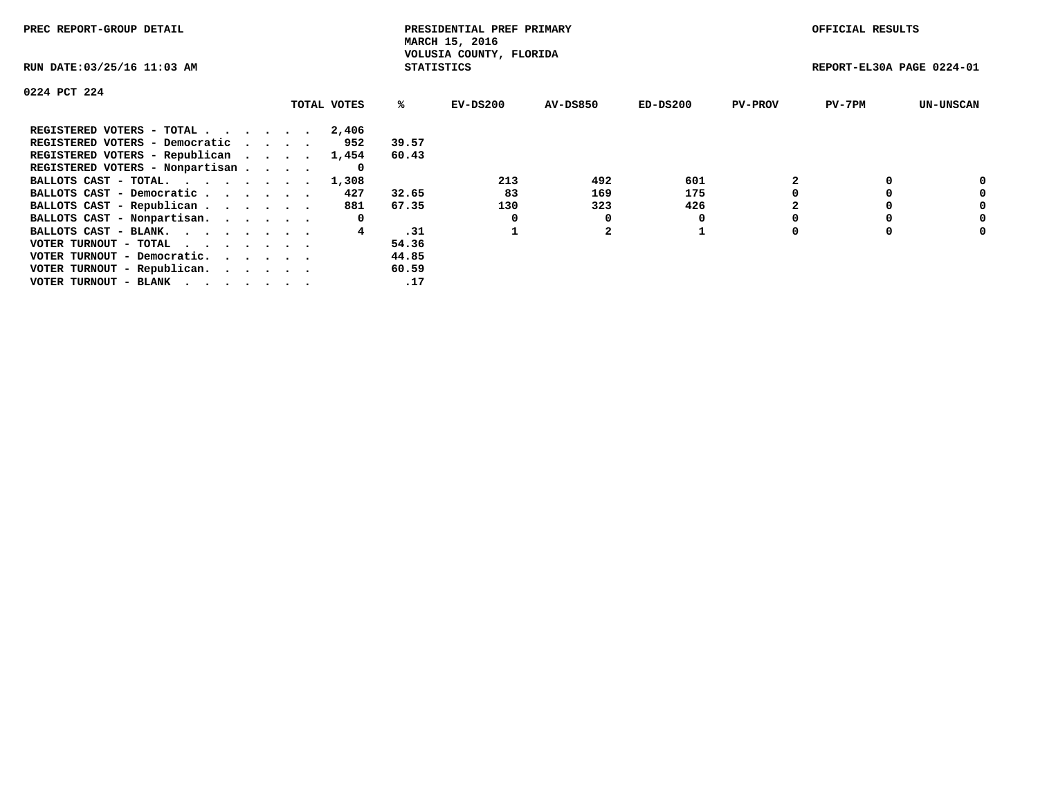| PREC REPORT-GROUP DETAIL                                    |             |                   | PRESIDENTIAL PREF PRIMARY<br>MARCH 15, 2016 |          |            |                | OFFICIAL RESULTS          |                  |
|-------------------------------------------------------------|-------------|-------------------|---------------------------------------------|----------|------------|----------------|---------------------------|------------------|
| RUN DATE: 03/25/16 11:03 AM                                 |             | <b>STATISTICS</b> | VOLUSIA COUNTY, FLORIDA                     |          |            |                | REPORT-EL30A PAGE 0224-01 |                  |
| 0224 PCT 224                                                |             |                   |                                             |          |            |                |                           |                  |
|                                                             | TOTAL VOTES | ℁                 | EV-DS200                                    | AV-DS850 | $ED-DS200$ | <b>PV-PROV</b> | $PV-7PM$                  | <b>UN-UNSCAN</b> |
| REGISTERED VOTERS - TOTAL                                   | 2,406       |                   |                                             |          |            |                |                           |                  |
| REGISTERED VOTERS - Democratic                              | 952         | 39.57             |                                             |          |            |                |                           |                  |
| REGISTERED VOTERS - Republican                              | 1,454       | 60.43             |                                             |          |            |                |                           |                  |
| REGISTERED VOTERS - Nonpartisan                             | 0           |                   |                                             |          |            |                |                           |                  |
| BALLOTS CAST - TOTAL.                                       | 1,308       |                   | 213                                         | 492      | 601        |                |                           | 0                |
| BALLOTS CAST - Democratic                                   | 427         | 32.65             | 83                                          | 169      | 175        |                |                           | 0                |
| BALLOTS CAST - Republican                                   | 881         | 67.35             | 130                                         | 323      | 426        |                |                           | 0                |
| BALLOTS CAST - Nonpartisan.                                 | 0           |                   | 0                                           | 0        |            |                |                           | 0                |
| BALLOTS CAST - BLANK.                                       | 4           | .31               |                                             |          |            |                |                           | 0                |
| VOTER TURNOUT - TOTAL $\cdot \cdot \cdot \cdot \cdot \cdot$ |             | 54.36             |                                             |          |            |                |                           |                  |
| VOTER TURNOUT - Democratic.                                 |             | 44.85             |                                             |          |            |                |                           |                  |
| VOTER TURNOUT - Republican.                                 |             | 60.59             |                                             |          |            |                |                           |                  |
| VOTER TURNOUT - BLANK                                       |             | .17               |                                             |          |            |                |                           |                  |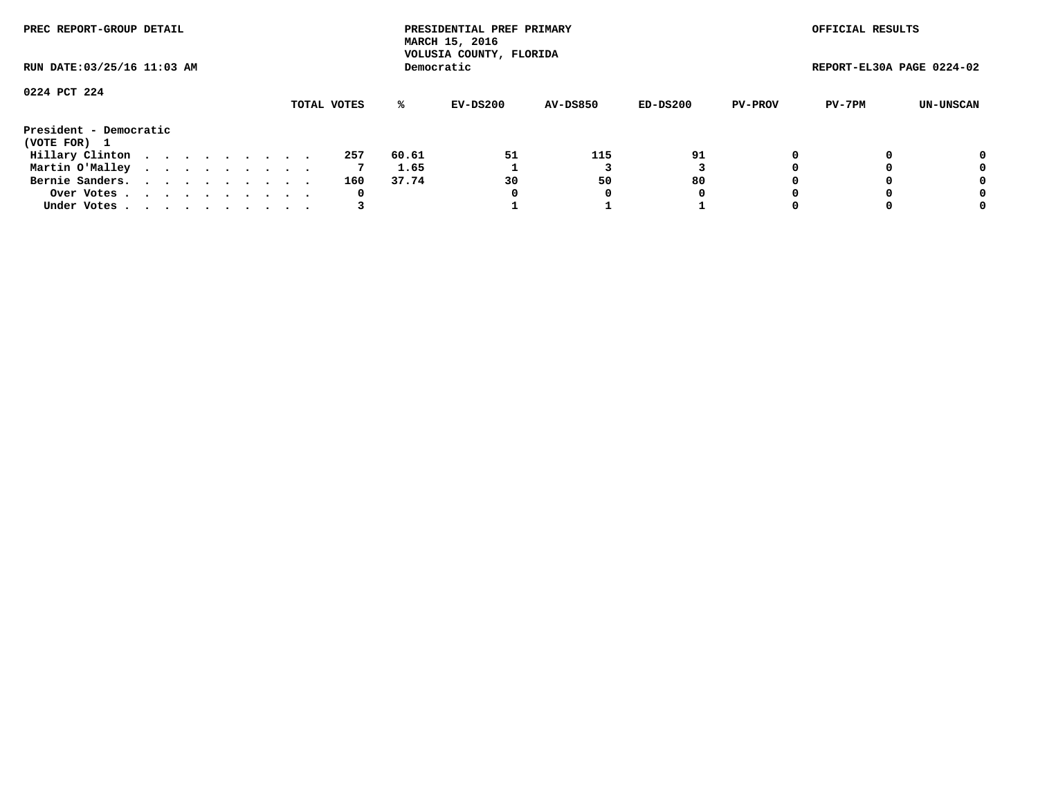| PREC REPORT-GROUP DETAIL               |  |  |  |  |             |       | PRESIDENTIAL PREF PRIMARY<br>MARCH 15, 2016<br>VOLUSIA COUNTY, FLORIDA |                 |          |                | OFFICIAL RESULTS          |           |
|----------------------------------------|--|--|--|--|-------------|-------|------------------------------------------------------------------------|-----------------|----------|----------------|---------------------------|-----------|
| RUN DATE: 03/25/16 11:03 AM            |  |  |  |  |             |       | Democratic                                                             |                 |          |                | REPORT-EL30A PAGE 0224-02 |           |
| 0224 PCT 224                           |  |  |  |  |             |       |                                                                        |                 |          |                |                           |           |
|                                        |  |  |  |  | TOTAL VOTES | ℁     | EV-DS200                                                               | <b>AV-DS850</b> | ED-DS200 | <b>PV-PROV</b> | PV-7PM                    | UN-UNSCAN |
| President - Democratic<br>(VOTE FOR) 1 |  |  |  |  |             |       |                                                                        |                 |          |                |                           |           |
| Hillary Clinton                        |  |  |  |  | 257         | 60.61 | 51                                                                     | 115             | 91       |                |                           | 0         |
| Martin O'Malley                        |  |  |  |  | 7           | 1.65  |                                                                        |                 |          |                |                           | 0         |
| Bernie Sanders.                        |  |  |  |  | 160         | 37.74 | 30                                                                     | 50              | 80       |                |                           | 0         |
| Over Votes.                            |  |  |  |  | 0           |       |                                                                        | 0               | 0        |                |                           | 0         |
| Under Votes                            |  |  |  |  |             |       |                                                                        |                 |          |                |                           | 0         |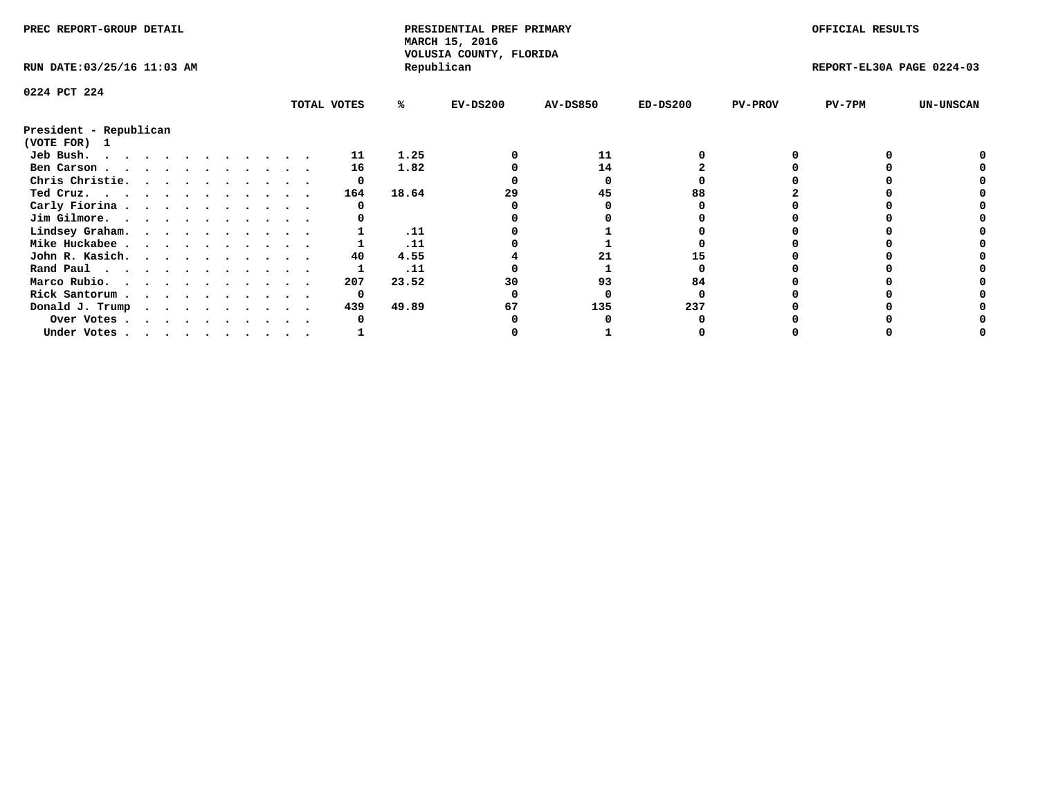|                        | PREC REPORT-GROUP DETAIL<br>RUN DATE: 03/25/16 11:03 AM |  |  |  |  |  |  |             | PRESIDENTIAL PREF PRIMARY<br>MARCH 15, 2016<br>VOLUSIA COUNTY, FLORIDA |            |                 |            | OFFICIAL RESULTS |                           |                  |
|------------------------|---------------------------------------------------------|--|--|--|--|--|--|-------------|------------------------------------------------------------------------|------------|-----------------|------------|------------------|---------------------------|------------------|
|                        |                                                         |  |  |  |  |  |  |             |                                                                        | Republican |                 |            |                  | REPORT-EL30A PAGE 0224-03 |                  |
| 0224 PCT 224           |                                                         |  |  |  |  |  |  |             |                                                                        |            |                 |            |                  |                           |                  |
|                        |                                                         |  |  |  |  |  |  | TOTAL VOTES | %ะ                                                                     | $EV-DS200$ | <b>AV-DS850</b> | $ED-DS200$ | <b>PV-PROV</b>   | $PV-7PM$                  | <b>UN-UNSCAN</b> |
| President - Republican |                                                         |  |  |  |  |  |  |             |                                                                        |            |                 |            |                  |                           |                  |
| (VOTE FOR) 1           |                                                         |  |  |  |  |  |  |             |                                                                        |            |                 |            |                  |                           |                  |
| Jeb Bush.              |                                                         |  |  |  |  |  |  | 11          | 1.25                                                                   |            | 11              |            |                  |                           |                  |
| Ben Carson             |                                                         |  |  |  |  |  |  | 16          | 1.82                                                                   |            | 14              |            |                  |                           |                  |
| Chris Christie.        |                                                         |  |  |  |  |  |  | 0           |                                                                        |            |                 |            |                  |                           |                  |
| Ted Cruz.              |                                                         |  |  |  |  |  |  | 164         | 18.64                                                                  | 29         | 45              | 88         |                  |                           |                  |
| Carly Fiorina          |                                                         |  |  |  |  |  |  |             |                                                                        |            |                 |            |                  |                           |                  |
| Jim Gilmore.           |                                                         |  |  |  |  |  |  |             |                                                                        |            |                 |            |                  |                           |                  |
| Lindsey Graham.        |                                                         |  |  |  |  |  |  |             | .11                                                                    |            |                 |            |                  |                           |                  |
| Mike Huckabee          |                                                         |  |  |  |  |  |  |             | .11                                                                    |            |                 |            |                  |                           |                  |
| John R. Kasich.        |                                                         |  |  |  |  |  |  | 40          | 4.55                                                                   |            |                 |            |                  |                           |                  |
| Rand Paul              |                                                         |  |  |  |  |  |  |             | .11                                                                    |            |                 |            |                  |                           |                  |
| Marco Rubio.           |                                                         |  |  |  |  |  |  | 207         | 23.52                                                                  | 30         | 93              | 84         |                  |                           |                  |
| Rick Santorum          |                                                         |  |  |  |  |  |  | 0           |                                                                        |            |                 |            |                  |                           |                  |
| Donald J. Trump        |                                                         |  |  |  |  |  |  | 439         | 49.89                                                                  | 67         | 135             | 237        |                  |                           |                  |
| Over Votes             |                                                         |  |  |  |  |  |  |             |                                                                        |            |                 |            |                  |                           |                  |
| Under Votes            |                                                         |  |  |  |  |  |  |             |                                                                        |            |                 |            |                  |                           |                  |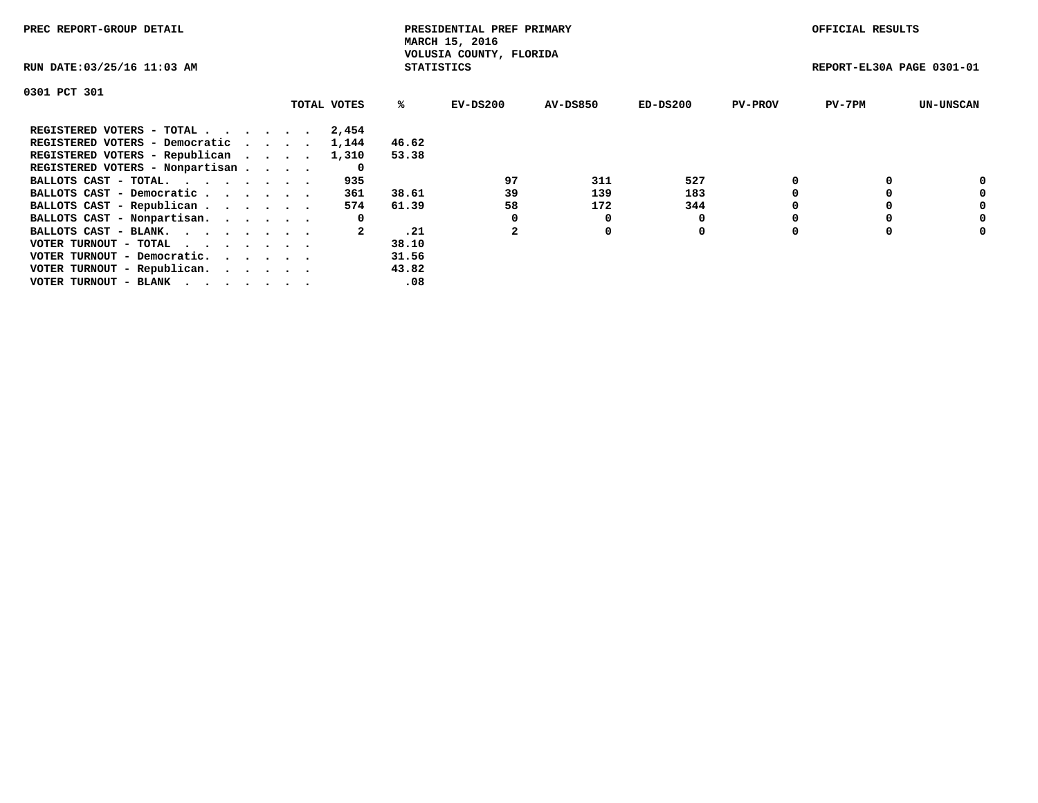| PREC REPORT-GROUP DETAIL                                    |             |                   | PRESIDENTIAL PREF PRIMARY<br>MARCH 15, 2016 |                 |            |                | OFFICIAL RESULTS          |                  |
|-------------------------------------------------------------|-------------|-------------------|---------------------------------------------|-----------------|------------|----------------|---------------------------|------------------|
| RUN DATE: 03/25/16 11:03 AM                                 |             | <b>STATISTICS</b> | VOLUSIA COUNTY, FLORIDA                     |                 |            |                | REPORT-EL30A PAGE 0301-01 |                  |
| 0301 PCT 301                                                |             |                   |                                             |                 |            |                |                           |                  |
|                                                             | TOTAL VOTES | ℁                 | EV-DS200                                    | <b>AV-DS850</b> | $ED-DS200$ | <b>PV-PROV</b> | $PV-7PM$                  | <b>UN-UNSCAN</b> |
| REGISTERED VOTERS - TOTAL                                   | 2,454       |                   |                                             |                 |            |                |                           |                  |
| REGISTERED VOTERS - Democratic                              | 1,144       | 46.62             |                                             |                 |            |                |                           |                  |
| REGISTERED VOTERS - Republican                              | 1,310       | 53.38             |                                             |                 |            |                |                           |                  |
| REGISTERED VOTERS - Nonpartisan                             | 0           |                   |                                             |                 |            |                |                           |                  |
| BALLOTS CAST - TOTAL.                                       | 935         |                   | 97                                          | 311             | 527        |                |                           | 0                |
| BALLOTS CAST - Democratic                                   | 361         | 38.61             | 39                                          | 139             | 183        |                |                           | 0                |
| BALLOTS CAST - Republican                                   | 574         | 61.39             | 58                                          | 172             | 344        |                |                           | 0                |
| BALLOTS CAST - Nonpartisan.                                 | 0           |                   |                                             | 0               |            |                |                           | 0                |
| BALLOTS CAST - BLANK.                                       |             | .21               |                                             | 0               | 0          |                |                           | 0                |
| VOTER TURNOUT - TOTAL $\cdot \cdot \cdot \cdot \cdot \cdot$ |             | 38.10             |                                             |                 |            |                |                           |                  |
| VOTER TURNOUT - Democratic.                                 |             | 31.56             |                                             |                 |            |                |                           |                  |
| VOTER TURNOUT - Republican.                                 |             | 43.82             |                                             |                 |            |                |                           |                  |
| VOTER TURNOUT - BLANK                                       |             | .08               |                                             |                 |            |                |                           |                  |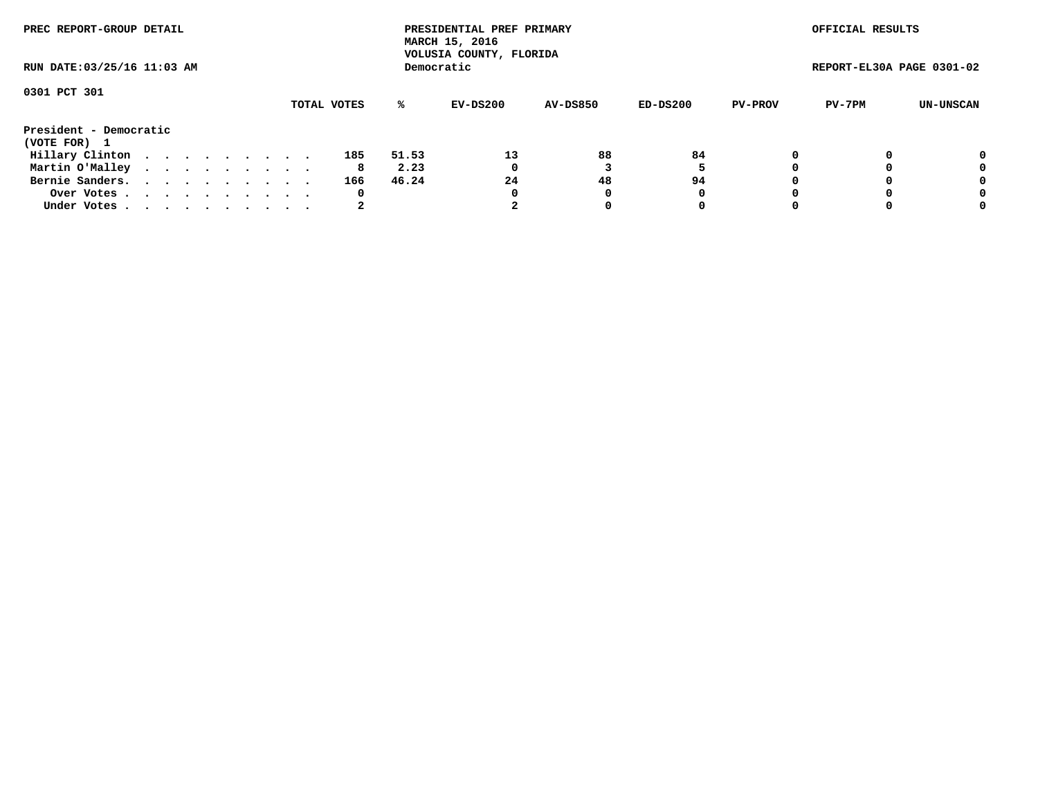| PREC REPORT-GROUP DETAIL               |  |  |  |  |             |       | PRESIDENTIAL PREF PRIMARY<br>MARCH 15, 2016<br>VOLUSIA COUNTY, FLORIDA |                 |          |                | OFFICIAL RESULTS          |           |
|----------------------------------------|--|--|--|--|-------------|-------|------------------------------------------------------------------------|-----------------|----------|----------------|---------------------------|-----------|
| RUN DATE: 03/25/16 11:03 AM            |  |  |  |  |             |       | Democratic                                                             |                 |          |                | REPORT-EL30A PAGE 0301-02 |           |
| 0301 PCT 301                           |  |  |  |  |             |       |                                                                        |                 |          |                |                           |           |
|                                        |  |  |  |  | TOTAL VOTES | ℁     | EV-DS200                                                               | <b>AV-DS850</b> | ED-DS200 | <b>PV-PROV</b> | PV-7PM                    | UN-UNSCAN |
| President - Democratic<br>(VOTE FOR) 1 |  |  |  |  |             |       |                                                                        |                 |          |                |                           |           |
| Hillary Clinton                        |  |  |  |  | 185         | 51.53 | 13                                                                     | 88              | 84       |                |                           | 0         |
| Martin O'Malley                        |  |  |  |  | 8           | 2.23  | 0                                                                      |                 |          |                |                           | 0         |
| Bernie Sanders.                        |  |  |  |  | 166         | 46.24 | 24                                                                     | 48              | 94       |                |                           | 0         |
| Over Votes.                            |  |  |  |  | 0           |       | 0                                                                      | 0               | 0        |                |                           | 0         |
| Under Votes                            |  |  |  |  | 2           |       |                                                                        |                 | 0        |                |                           | 0         |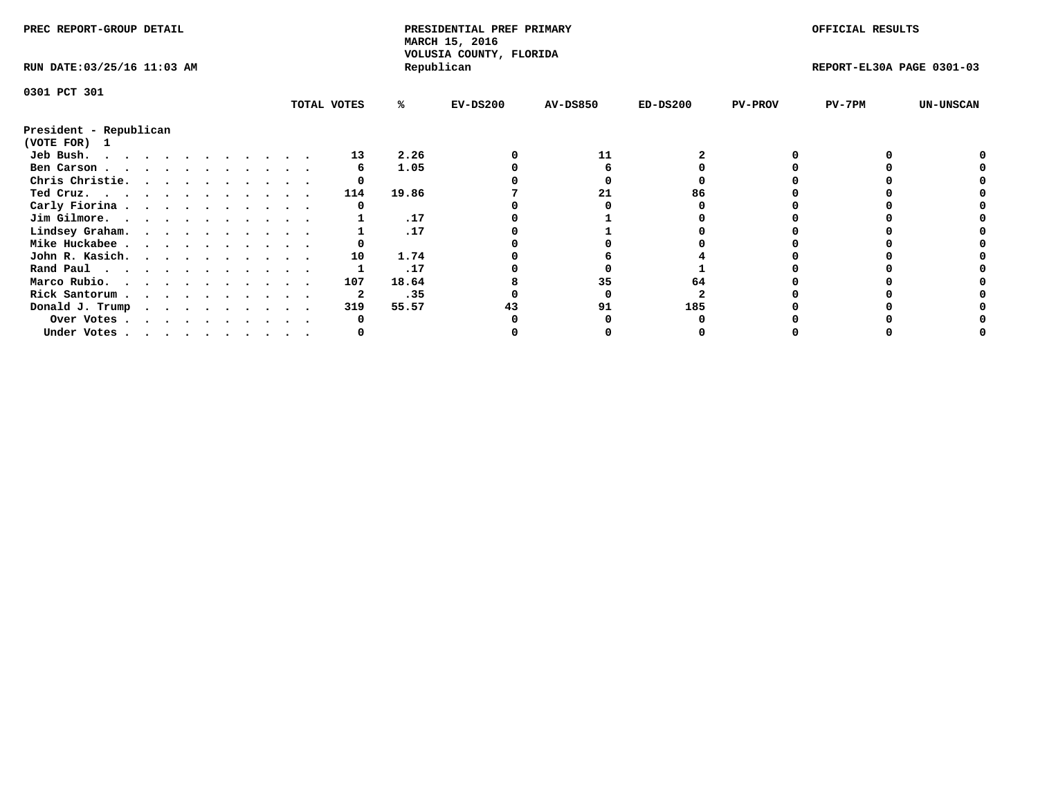| PREC REPORT-GROUP DETAIL    |             |       | PRESIDENTIAL PREF PRIMARY<br>MARCH 15, 2016<br>VOLUSIA COUNTY, FLORIDA |                 |            |                | OFFICIAL RESULTS          |                  |
|-----------------------------|-------------|-------|------------------------------------------------------------------------|-----------------|------------|----------------|---------------------------|------------------|
| RUN DATE: 03/25/16 11:03 AM |             |       | Republican                                                             |                 |            |                | REPORT-EL30A PAGE 0301-03 |                  |
| 0301 PCT 301                |             |       |                                                                        |                 |            |                |                           |                  |
|                             | TOTAL VOTES | %ะ    | $EV-DS200$                                                             | <b>AV-DS850</b> | $ED-DS200$ | <b>PV-PROV</b> | PV-7PM                    | <b>UN-UNSCAN</b> |
| President - Republican      |             |       |                                                                        |                 |            |                |                           |                  |
| (VOTE FOR) 1                |             |       |                                                                        |                 |            |                |                           |                  |
| Jeb Bush.                   | 13          | 2.26  |                                                                        | 11              |            |                |                           |                  |
| Ben Carson                  |             | 1.05  |                                                                        |                 |            |                |                           |                  |
| Chris Christie.             |             |       |                                                                        |                 |            |                |                           |                  |
| Ted Cruz.                   | 114         | 19.86 |                                                                        |                 | 86         |                |                           |                  |
| Carly Fiorina               |             |       |                                                                        |                 |            |                |                           |                  |
| Jim Gilmore.                |             | .17   |                                                                        |                 |            |                |                           |                  |
| Lindsey Graham.             |             | .17   |                                                                        |                 |            |                |                           |                  |
| Mike Huckabee               |             |       |                                                                        |                 |            |                |                           |                  |
| John R. Kasich.             | 10          | 1.74  |                                                                        |                 |            |                |                           |                  |
| Rand Paul                   |             | .17   |                                                                        |                 |            |                |                           |                  |
| Marco Rubio.                | 107         | 18.64 |                                                                        | 35              | 64         |                |                           |                  |
| Rick Santorum               |             | .35   |                                                                        |                 |            |                |                           |                  |
| Donald J. Trump             | 319         | 55.57 |                                                                        | 91              | 185        |                |                           |                  |
| Over Votes                  |             |       |                                                                        |                 |            |                |                           |                  |
| Under Votes                 |             |       |                                                                        |                 |            |                |                           |                  |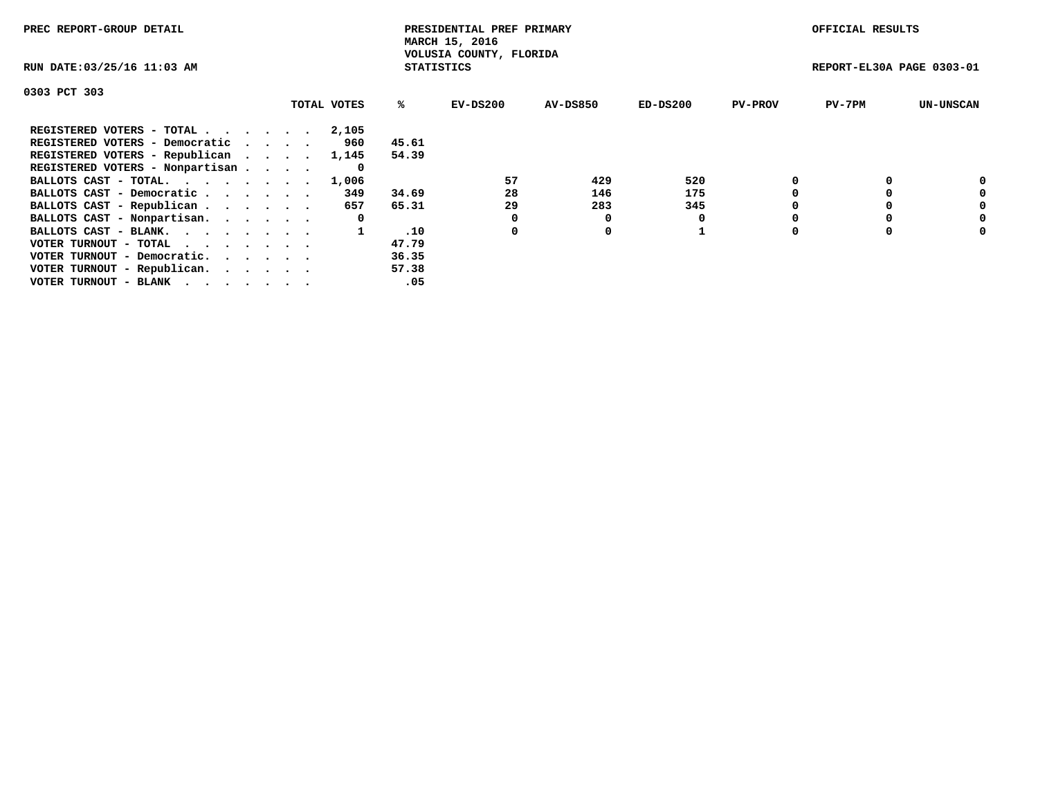| PREC REPORT-GROUP DETAIL        |             |                   | PRESIDENTIAL PREF PRIMARY<br>MARCH 15, 2016 |                 |          |                | OFFICIAL RESULTS          |                  |
|---------------------------------|-------------|-------------------|---------------------------------------------|-----------------|----------|----------------|---------------------------|------------------|
| RUN DATE: 03/25/16 11:03 AM     |             | <b>STATISTICS</b> | VOLUSIA COUNTY, FLORIDA                     |                 |          |                | REPORT-EL30A PAGE 0303-01 |                  |
| 0303 PCT 303                    |             |                   |                                             |                 |          |                |                           |                  |
|                                 | TOTAL VOTES | %ະ                | EV-DS200                                    | <b>AV-DS850</b> | ED-DS200 | <b>PV-PROV</b> | $PV-7PM$                  | <b>UN-UNSCAN</b> |
| REGISTERED VOTERS - TOTAL       | 2,105       |                   |                                             |                 |          |                |                           |                  |
| REGISTERED VOTERS - Democratic  | 960         | 45.61             |                                             |                 |          |                |                           |                  |
| REGISTERED VOTERS - Republican  | 1,145       | 54.39             |                                             |                 |          |                |                           |                  |
| REGISTERED VOTERS - Nonpartisan | 0           |                   |                                             |                 |          |                |                           |                  |
| BALLOTS CAST - TOTAL. 1,006     |             |                   | 57                                          | 429             | 520      |                |                           |                  |
| BALLOTS CAST - Democratic       | 349         | 34.69             | 28                                          | 146             | 175      |                |                           | 0                |
| BALLOTS CAST - Republican       | 657         | 65.31             | 29                                          | 283             | 345      |                |                           | 0                |
| BALLOTS CAST - Nonpartisan.     | 0           |                   |                                             |                 |          |                |                           | 0                |
| BALLOTS CAST - BLANK.           |             | .10               | 0                                           | 0               |          |                |                           | 0                |
| VOTER TURNOUT - TOTAL           |             | 47.79             |                                             |                 |          |                |                           |                  |
| VOTER TURNOUT - Democratic.     |             | 36.35             |                                             |                 |          |                |                           |                  |
| VOTER TURNOUT - Republican.     |             | 57.38             |                                             |                 |          |                |                           |                  |
| VOTER TURNOUT - BLANK           |             | .05               |                                             |                 |          |                |                           |                  |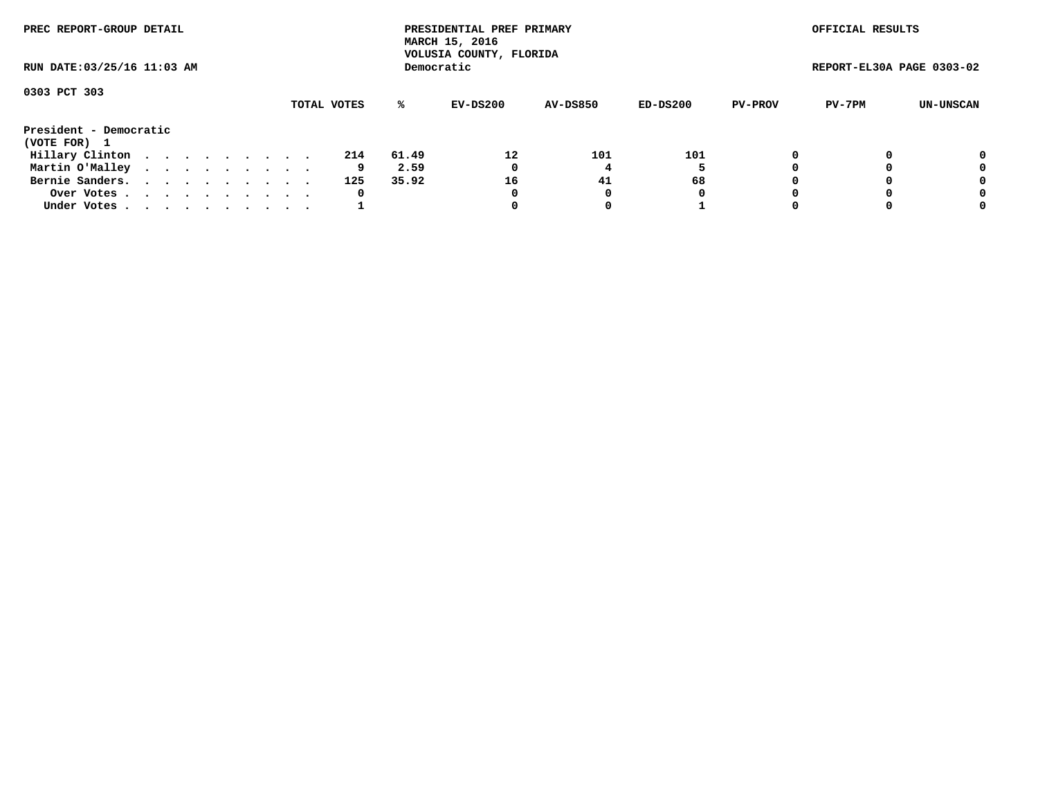| PREC REPORT-GROUP DETAIL               |  |  |  |  |             |       | PRESIDENTIAL PREF PRIMARY<br>MARCH 15, 2016<br>VOLUSIA COUNTY, FLORIDA |                 |          |                | OFFICIAL RESULTS          |           |
|----------------------------------------|--|--|--|--|-------------|-------|------------------------------------------------------------------------|-----------------|----------|----------------|---------------------------|-----------|
| RUN DATE: 03/25/16 11:03 AM            |  |  |  |  |             |       | Democratic                                                             |                 |          |                | REPORT-EL30A PAGE 0303-02 |           |
| 0303 PCT 303                           |  |  |  |  |             |       |                                                                        |                 |          |                |                           |           |
|                                        |  |  |  |  | TOTAL VOTES | ℁     | EV-DS200                                                               | <b>AV-DS850</b> | ED-DS200 | <b>PV-PROV</b> | PV-7PM                    | UN-UNSCAN |
| President - Democratic<br>(VOTE FOR) 1 |  |  |  |  |             |       |                                                                        |                 |          |                |                           |           |
| Hillary Clinton                        |  |  |  |  | 214         | 61.49 | 12                                                                     | 101             | 101      | 0              |                           | 0         |
| Martin O'Malley                        |  |  |  |  | 9           | 2.59  | 0                                                                      |                 |          |                |                           | 0         |
| Bernie Sanders.                        |  |  |  |  | 125         | 35.92 | 16                                                                     | 41              | 68       |                |                           | 0         |
| Over Votes                             |  |  |  |  | 0           |       | 0                                                                      | 0               | 0        |                |                           | 0         |
| Under Votes.                           |  |  |  |  |             |       |                                                                        |                 |          |                |                           | 0         |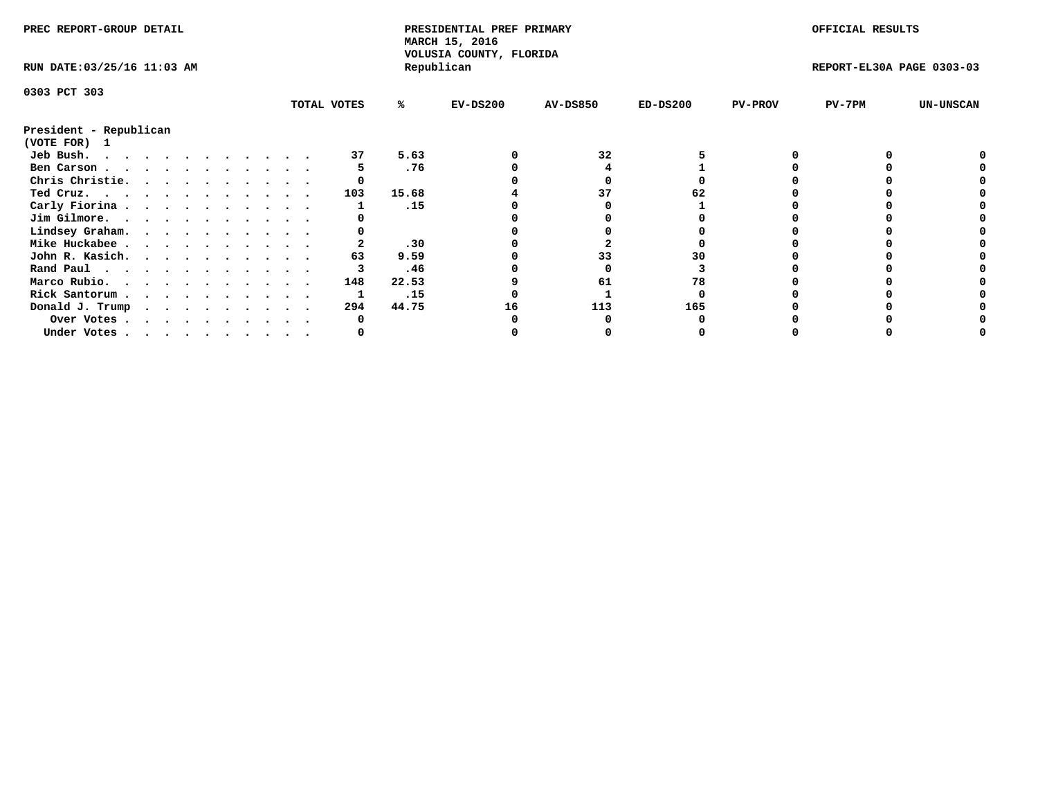| PREC REPORT-GROUP DETAIL    |  |  |  |  |  |             |       | PRESIDENTIAL PREF PRIMARY<br>MARCH 15, 2016<br>VOLUSIA COUNTY, FLORIDA |                 |            |                | OFFICIAL RESULTS          |                  |
|-----------------------------|--|--|--|--|--|-------------|-------|------------------------------------------------------------------------|-----------------|------------|----------------|---------------------------|------------------|
| RUN DATE: 03/25/16 11:03 AM |  |  |  |  |  |             |       | Republican                                                             |                 |            |                | REPORT-EL30A PAGE 0303-03 |                  |
| 0303 PCT 303                |  |  |  |  |  |             |       |                                                                        |                 |            |                |                           |                  |
|                             |  |  |  |  |  | TOTAL VOTES | %ะ    | $EV-DS200$                                                             | <b>AV-DS850</b> | $ED-DS200$ | <b>PV-PROV</b> | PV-7PM                    | <b>UN-UNSCAN</b> |
| President - Republican      |  |  |  |  |  |             |       |                                                                        |                 |            |                |                           |                  |
| (VOTE FOR) 1                |  |  |  |  |  |             |       |                                                                        |                 |            |                |                           |                  |
| Jeb Bush.                   |  |  |  |  |  | 37          | 5.63  |                                                                        | 32              |            |                |                           |                  |
| Ben Carson                  |  |  |  |  |  |             | .76   |                                                                        |                 |            |                |                           |                  |
| Chris Christie.             |  |  |  |  |  |             |       |                                                                        |                 |            |                |                           |                  |
| Ted Cruz.                   |  |  |  |  |  | 103         | 15.68 |                                                                        |                 |            |                |                           |                  |
| Carly Fiorina               |  |  |  |  |  |             | .15   |                                                                        |                 |            |                |                           |                  |
| Jim Gilmore.                |  |  |  |  |  |             |       |                                                                        |                 |            |                |                           |                  |
| Lindsey Graham.             |  |  |  |  |  |             |       |                                                                        |                 |            |                |                           |                  |
| Mike Huckabee               |  |  |  |  |  |             | .30   |                                                                        |                 |            |                |                           |                  |
| John R. Kasich.             |  |  |  |  |  | 63          | 9.59  |                                                                        | 33              |            |                |                           |                  |
| Rand Paul                   |  |  |  |  |  |             | .46   |                                                                        |                 |            |                |                           |                  |
| Marco Rubio.                |  |  |  |  |  | 148         | 22.53 |                                                                        | 61              | 78         |                |                           |                  |
| Rick Santorum               |  |  |  |  |  |             | .15   |                                                                        |                 |            |                |                           |                  |
| Donald J. Trump             |  |  |  |  |  | 294         | 44.75 | 16                                                                     | 113             | 165        |                |                           |                  |
| Over Votes                  |  |  |  |  |  |             |       |                                                                        |                 |            |                |                           |                  |
| Under Votes                 |  |  |  |  |  |             |       |                                                                        |                 |            |                |                           |                  |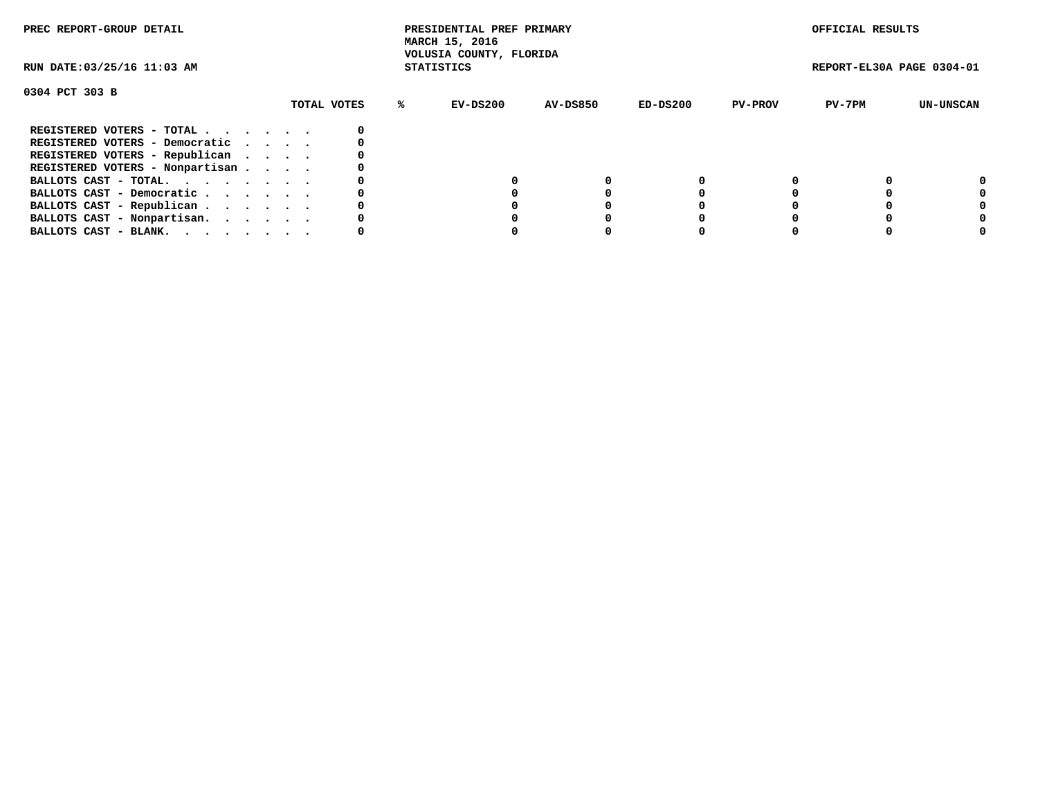| PREC REPORT-GROUP DETAIL        |             | PRESIDENTIAL PREF PRIMARY<br>MARCH 15, 2016<br>VOLUSIA COUNTY, FLORIDA |          |            |                | OFFICIAL RESULTS          |           |
|---------------------------------|-------------|------------------------------------------------------------------------|----------|------------|----------------|---------------------------|-----------|
| RUN DATE: 03/25/16 11:03 AM     |             | <b>STATISTICS</b>                                                      |          |            |                | REPORT-EL30A PAGE 0304-01 |           |
| 0304 PCT 303 B                  |             |                                                                        |          |            |                |                           |           |
|                                 | TOTAL VOTES | EV-DS200<br>℁                                                          | AV-DS850 | $ED-DS200$ | <b>PV-PROV</b> | PV-7PM                    | UN-UNSCAN |
| REGISTERED VOTERS - TOTAL       |             |                                                                        |          |            |                |                           |           |
| REGISTERED VOTERS - Democratic  |             |                                                                        |          |            |                |                           |           |
| REGISTERED VOTERS - Republican  |             |                                                                        |          |            |                |                           |           |
| REGISTERED VOTERS - Nonpartisan |             |                                                                        |          |            |                |                           |           |
| BALLOTS CAST - TOTAL.           |             |                                                                        |          |            |                |                           | 0         |
| BALLOTS CAST - Democratic       |             |                                                                        |          |            |                |                           |           |
| BALLOTS CAST - Republican       |             |                                                                        |          |            |                |                           |           |
| BALLOTS CAST - Nonpartisan.     |             |                                                                        |          |            |                |                           |           |
| BALLOTS CAST - BLANK.           |             |                                                                        |          |            |                |                           |           |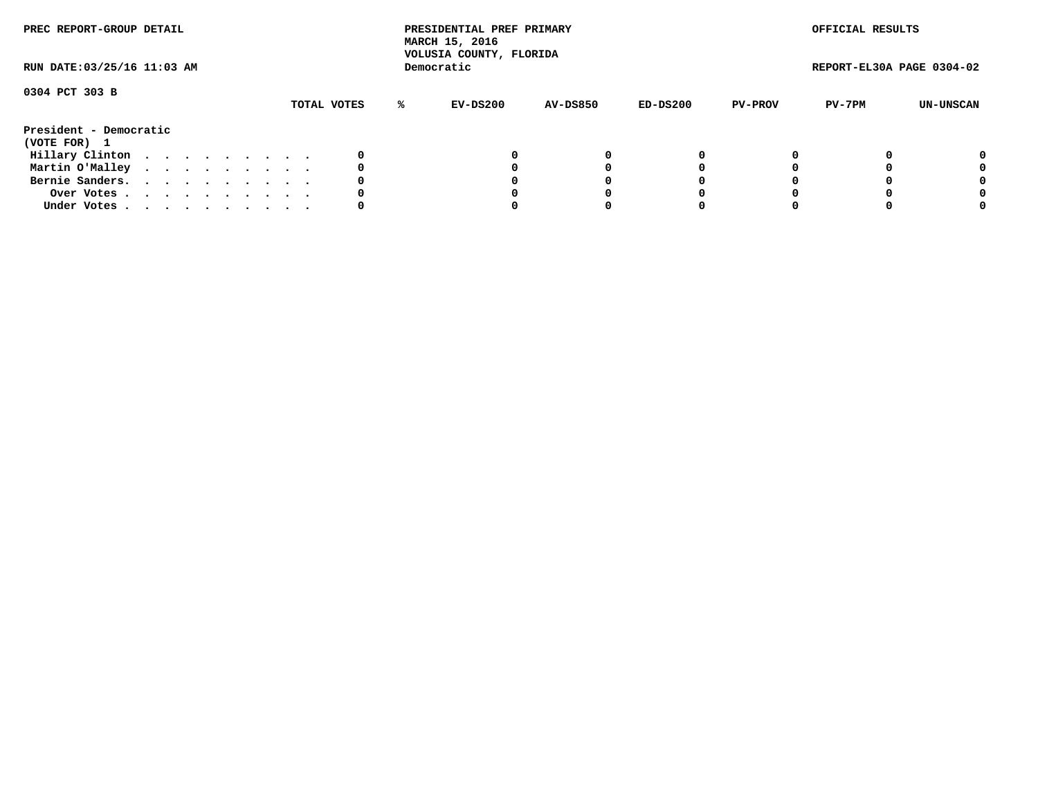| PREC REPORT-GROUP DETAIL               |  |  |  |  |             |    | PRESIDENTIAL PREF PRIMARY<br>MARCH 15, 2016<br>VOLUSIA COUNTY, FLORIDA |                 |          |                | OFFICIAL RESULTS          |           |
|----------------------------------------|--|--|--|--|-------------|----|------------------------------------------------------------------------|-----------------|----------|----------------|---------------------------|-----------|
| RUN DATE: 03/25/16 11:03 AM            |  |  |  |  |             |    | Democratic                                                             |                 |          |                | REPORT-EL30A PAGE 0304-02 |           |
| 0304 PCT 303 B                         |  |  |  |  | TOTAL VOTES | %ะ | EV-DS200                                                               | <b>AV-DS850</b> | ED-DS200 | <b>PV-PROV</b> | PV-7PM                    | UN-UNSCAN |
| President - Democratic<br>(VOTE FOR) 1 |  |  |  |  |             |    |                                                                        |                 |          |                |                           |           |
| Hillary Clinton                        |  |  |  |  | 0           |    |                                                                        | 0               | 0        |                |                           | 0         |
| Martin O'Malley                        |  |  |  |  | 0           |    |                                                                        |                 |          |                |                           | 0         |
| Bernie Sanders.                        |  |  |  |  | 0           |    |                                                                        |                 |          |                |                           | 0         |
| Over Votes                             |  |  |  |  |             |    |                                                                        |                 |          |                |                           | 0         |
| Under Votes                            |  |  |  |  |             |    |                                                                        |                 |          |                |                           | 0         |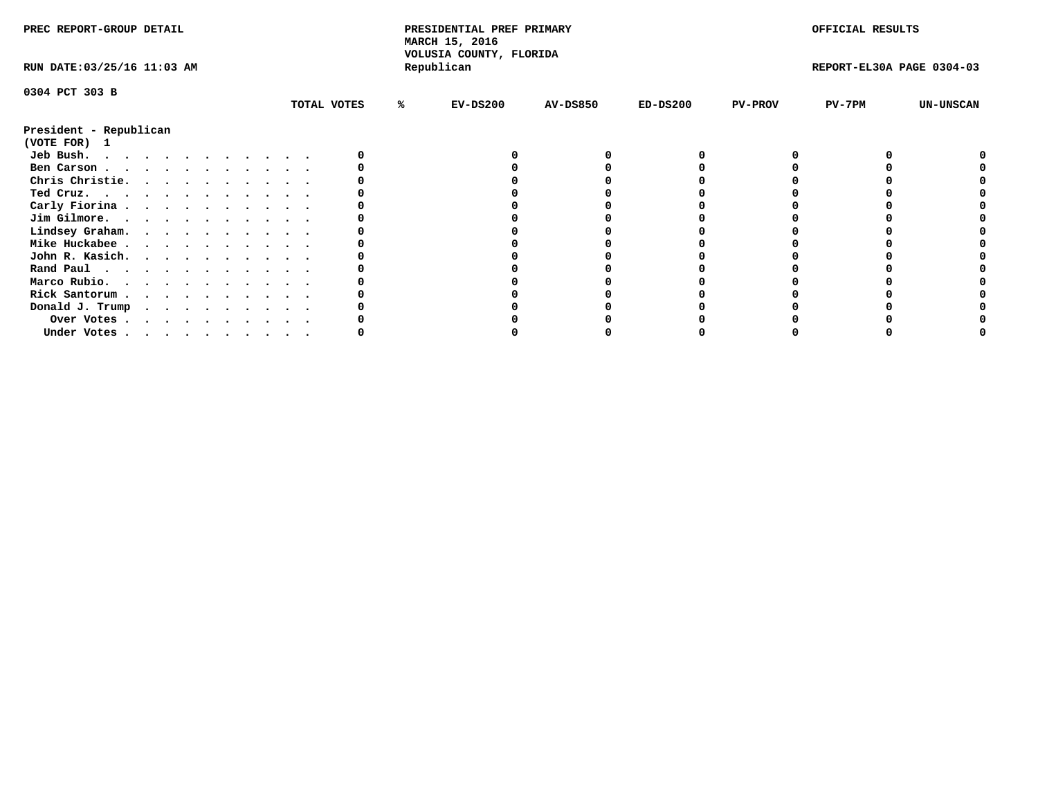| PREC REPORT-GROUP DETAIL    |                  | PRESIDENTIAL PREF PRIMARY<br>MARCH 15, 2016<br>VOLUSIA COUNTY, FLORIDA |                 |            |                            | OFFICIAL RESULTS          |                  |
|-----------------------------|------------------|------------------------------------------------------------------------|-----------------|------------|----------------------------|---------------------------|------------------|
| RUN DATE: 03/25/16 11:03 AM |                  | Republican                                                             |                 |            |                            | REPORT-EL30A PAGE 0304-03 |                  |
| 0304 PCT 303 B              |                  |                                                                        |                 |            |                            |                           |                  |
|                             | TOTAL VOTES<br>℁ | $EV-DS200$                                                             | <b>AV-DS850</b> | $ED-DS200$ | <b>PV-PROV</b><br>$PV-7PM$ |                           | <b>UN-UNSCAN</b> |
| President - Republican      |                  |                                                                        |                 |            |                            |                           |                  |
| (VOTE FOR)<br>$\mathbf{1}$  |                  |                                                                        |                 |            |                            |                           |                  |
| Jeb Bush.                   |                  |                                                                        |                 |            |                            |                           |                  |
| Ben Carson                  |                  |                                                                        |                 |            |                            |                           |                  |
| Chris Christie.             |                  |                                                                        |                 |            |                            |                           |                  |
| Ted Cruz.<br>.              |                  |                                                                        |                 |            |                            |                           |                  |
| Carly Fiorina               |                  |                                                                        |                 |            |                            |                           |                  |
| Jim Gilmore.                |                  |                                                                        |                 |            |                            |                           |                  |
| Lindsey Graham.             |                  |                                                                        |                 |            |                            |                           |                  |
| Mike Huckabee               |                  |                                                                        |                 |            |                            |                           |                  |
| John R. Kasich.             |                  |                                                                        |                 |            |                            |                           |                  |
| Rand Paul                   |                  |                                                                        |                 |            |                            |                           |                  |
| Marco Rubio.                |                  |                                                                        |                 |            |                            |                           |                  |
| Rick Santorum.<br>.         |                  |                                                                        |                 |            |                            |                           |                  |
| Donald J. Trump             |                  |                                                                        |                 |            |                            |                           |                  |
| Over Votes                  |                  |                                                                        |                 |            |                            |                           |                  |
| Under Votes                 |                  |                                                                        |                 |            |                            |                           |                  |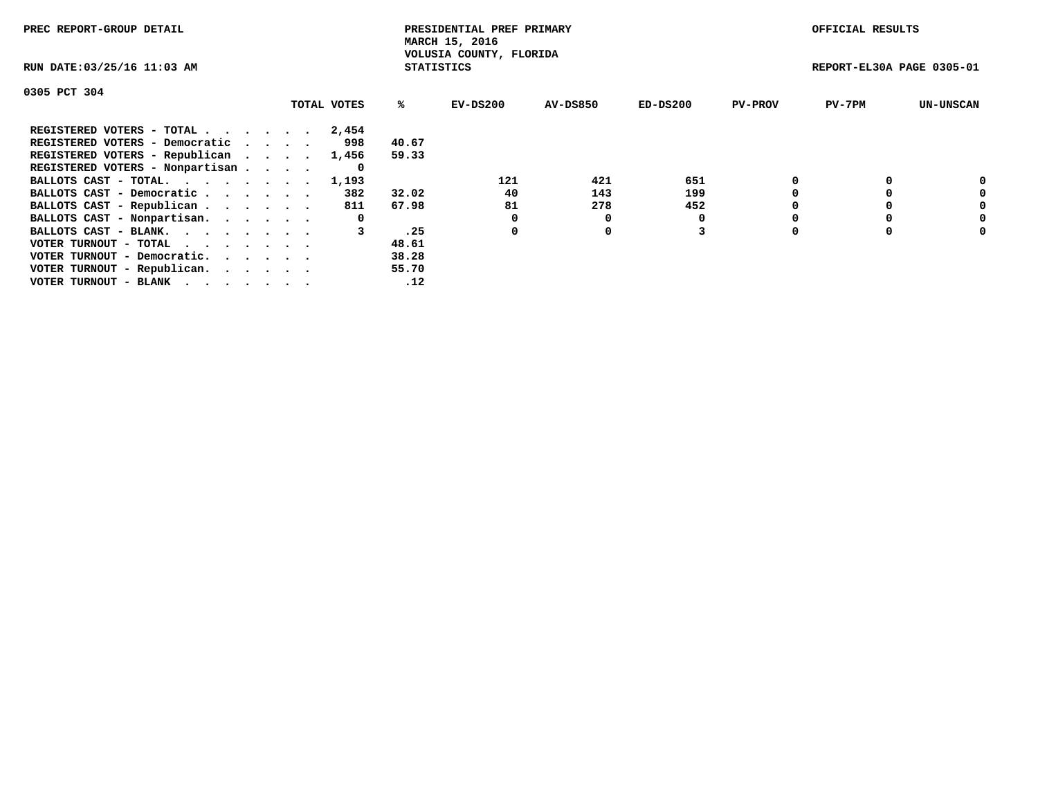| PREC REPORT-GROUP DETAIL                                    |             |                   | PRESIDENTIAL PREF PRIMARY<br>MARCH 15, 2016 |          |            |                | OFFICIAL RESULTS          |                  |
|-------------------------------------------------------------|-------------|-------------------|---------------------------------------------|----------|------------|----------------|---------------------------|------------------|
| RUN DATE: 03/25/16 11:03 AM                                 |             | <b>STATISTICS</b> | VOLUSIA COUNTY, FLORIDA                     |          |            |                | REPORT-EL30A PAGE 0305-01 |                  |
| 0305 PCT 304                                                |             |                   |                                             |          |            |                |                           |                  |
|                                                             | TOTAL VOTES | %ร                | EV-DS200                                    | AV-DS850 | $ED-DS200$ | <b>PV-PROV</b> | $PV-7PM$                  | <b>UN-UNSCAN</b> |
| REGISTERED VOTERS - TOTAL                                   | 2,454       |                   |                                             |          |            |                |                           |                  |
| REGISTERED VOTERS - Democratic                              | 998         | 40.67             |                                             |          |            |                |                           |                  |
| REGISTERED VOTERS - Republican                              | 1,456       | 59.33             |                                             |          |            |                |                           |                  |
| REGISTERED VOTERS - Nonpartisan                             | 0           |                   |                                             |          |            |                |                           |                  |
| BALLOTS CAST - TOTAL.                                       | 1,193       |                   | 121                                         | 421      | 651        |                |                           | 0                |
| BALLOTS CAST - Democratic                                   | 382         | 32.02             | 40                                          | 143      | 199        |                |                           | 0                |
| BALLOTS CAST - Republican                                   | 811         | 67.98             | 81                                          | 278      | 452        |                |                           | 0                |
| BALLOTS CAST - Nonpartisan.                                 | 0           |                   | 0                                           | 0        |            |                |                           | 0                |
| BALLOTS CAST - BLANK.                                       |             | .25               | 0                                           | 0        |            |                |                           | 0                |
| VOTER TURNOUT - TOTAL $\cdot \cdot \cdot \cdot \cdot \cdot$ |             | 48.61             |                                             |          |            |                |                           |                  |
| VOTER TURNOUT - Democratic.                                 |             | 38.28             |                                             |          |            |                |                           |                  |
| VOTER TURNOUT - Republican.                                 |             | 55.70             |                                             |          |            |                |                           |                  |
| VOTER TURNOUT - BLANK                                       |             | .12               |                                             |          |            |                |                           |                  |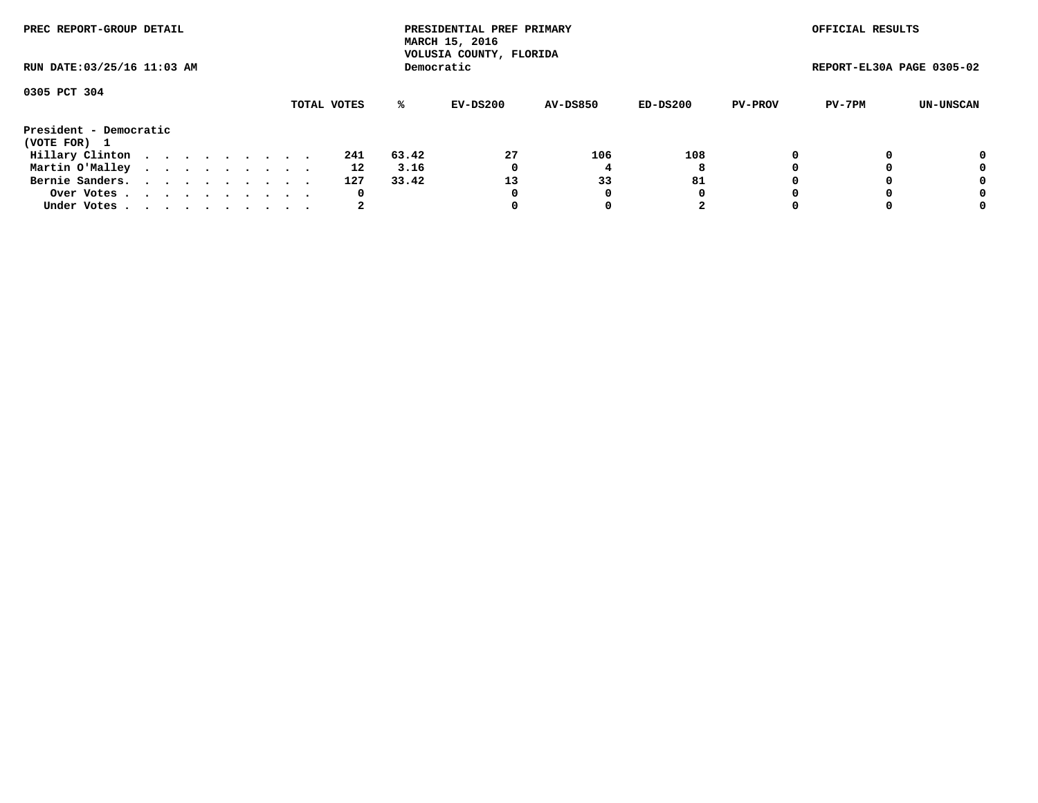| PREC REPORT-GROUP DETAIL<br>RUN DATE: 03/25/16 11:03 AM |  |  |  |  |  |  |  |  |             |     |       | PRESIDENTIAL PREF PRIMARY<br>MARCH 15, 2016<br>VOLUSIA COUNTY, FLORIDA |                 |            |                | OFFICIAL RESULTS          |           |
|---------------------------------------------------------|--|--|--|--|--|--|--|--|-------------|-----|-------|------------------------------------------------------------------------|-----------------|------------|----------------|---------------------------|-----------|
|                                                         |  |  |  |  |  |  |  |  |             |     |       | Democratic                                                             |                 |            |                | REPORT-EL30A PAGE 0305-02 |           |
| 0305 PCT 304                                            |  |  |  |  |  |  |  |  | TOTAL VOTES |     | ℁     | EV-DS200                                                               | <b>AV-DS850</b> | $ED-DS200$ | <b>PV-PROV</b> | PV-7PM                    | UN-UNSCAN |
| President - Democratic<br>(VOTE FOR) 1                  |  |  |  |  |  |  |  |  |             |     |       |                                                                        |                 |            |                |                           |           |
| Hillary Clinton                                         |  |  |  |  |  |  |  |  |             | 241 | 63.42 | 27                                                                     | 106             | 108        |                |                           | 0         |
| Martin O'Malley                                         |  |  |  |  |  |  |  |  |             | 12  | 3.16  |                                                                        |                 | 8          |                |                           | 0         |
| Bernie Sanders.                                         |  |  |  |  |  |  |  |  |             | 127 | 33.42 | 13                                                                     | 33              | 81         |                |                           | 0         |
| Over Votes                                              |  |  |  |  |  |  |  |  |             | 0   |       |                                                                        |                 | 0          |                |                           | 0         |
| Under Votes                                             |  |  |  |  |  |  |  |  |             |     |       |                                                                        |                 | 2          |                |                           | 0         |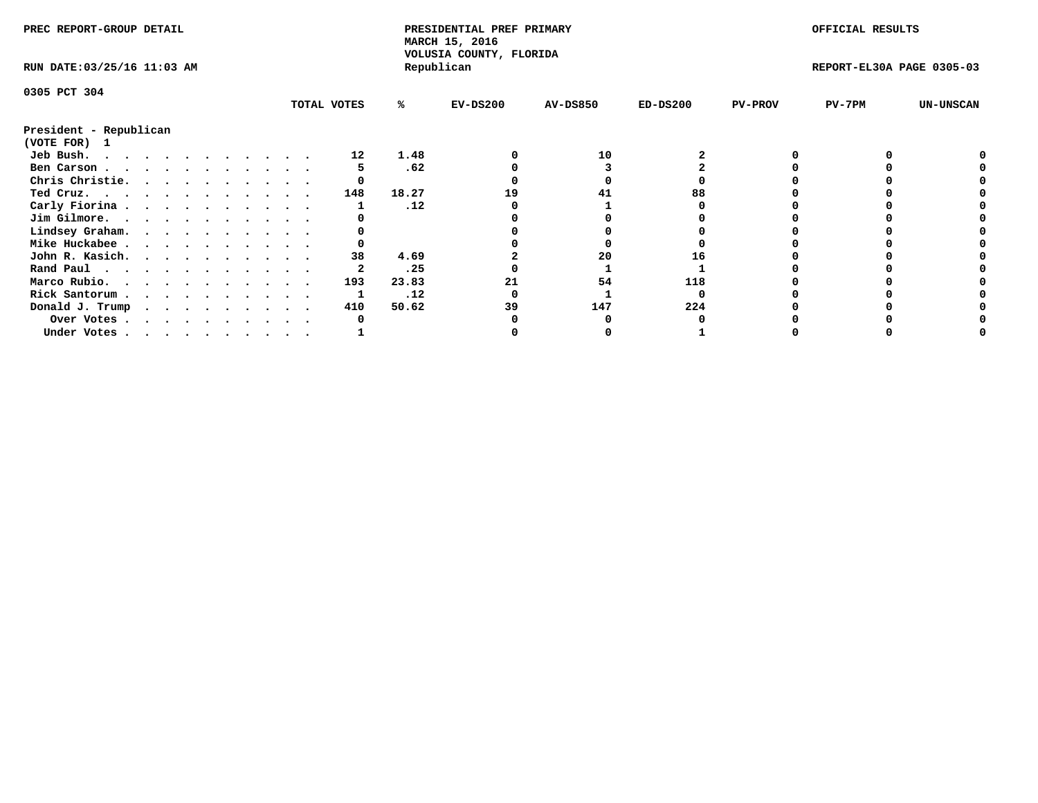| PREC REPORT-GROUP DETAIL    |  |  |  |  |  |  |  |             | PRESIDENTIAL PREF PRIMARY<br>MARCH 15, 2016<br>VOLUSIA COUNTY, FLORIDA |            |                 |            | OFFICIAL RESULTS |                           |                  |
|-----------------------------|--|--|--|--|--|--|--|-------------|------------------------------------------------------------------------|------------|-----------------|------------|------------------|---------------------------|------------------|
| RUN DATE: 03/25/16 11:03 AM |  |  |  |  |  |  |  |             |                                                                        | Republican |                 |            |                  | REPORT-EL30A PAGE 0305-03 |                  |
| 0305 PCT 304                |  |  |  |  |  |  |  |             |                                                                        |            |                 |            |                  |                           |                  |
|                             |  |  |  |  |  |  |  | TOTAL VOTES | %ะ                                                                     | $EV-DS200$ | <b>AV-DS850</b> | $ED-DS200$ | <b>PV-PROV</b>   | $PV-7PM$                  | <b>UN-UNSCAN</b> |
| President - Republican      |  |  |  |  |  |  |  |             |                                                                        |            |                 |            |                  |                           |                  |
| (VOTE FOR) 1                |  |  |  |  |  |  |  |             |                                                                        |            |                 |            |                  |                           |                  |
| Jeb Bush.                   |  |  |  |  |  |  |  | 12          | 1.48                                                                   |            | 10              |            |                  |                           |                  |
| Ben Carson                  |  |  |  |  |  |  |  |             | .62                                                                    |            |                 |            |                  |                           |                  |
| Chris Christie.             |  |  |  |  |  |  |  |             |                                                                        |            |                 |            |                  |                           |                  |
| Ted Cruz.                   |  |  |  |  |  |  |  | 148         | 18.27                                                                  | 19         |                 |            |                  |                           |                  |
| Carly Fiorina               |  |  |  |  |  |  |  |             | .12                                                                    |            |                 |            |                  |                           |                  |
| Jim Gilmore.                |  |  |  |  |  |  |  |             |                                                                        |            |                 |            |                  |                           |                  |
| Lindsey Graham.             |  |  |  |  |  |  |  |             |                                                                        |            |                 |            |                  |                           |                  |
| Mike Huckabee               |  |  |  |  |  |  |  |             |                                                                        |            |                 |            |                  |                           |                  |
| John R. Kasich.             |  |  |  |  |  |  |  | 38          | 4.69                                                                   |            | 20              |            |                  |                           |                  |
| Rand Paul                   |  |  |  |  |  |  |  |             | .25                                                                    |            |                 |            |                  |                           |                  |
| Marco Rubio.                |  |  |  |  |  |  |  | 193         | 23.83                                                                  |            | 54              | 118        |                  |                           |                  |
| Rick Santorum               |  |  |  |  |  |  |  |             | .12                                                                    |            |                 |            |                  |                           |                  |
| Donald J. Trump             |  |  |  |  |  |  |  | 410         | 50.62                                                                  | 39         | 147             | 224        |                  |                           |                  |
| Over Votes                  |  |  |  |  |  |  |  |             |                                                                        |            |                 |            |                  |                           |                  |
| Under Votes                 |  |  |  |  |  |  |  |             |                                                                        |            |                 |            |                  |                           |                  |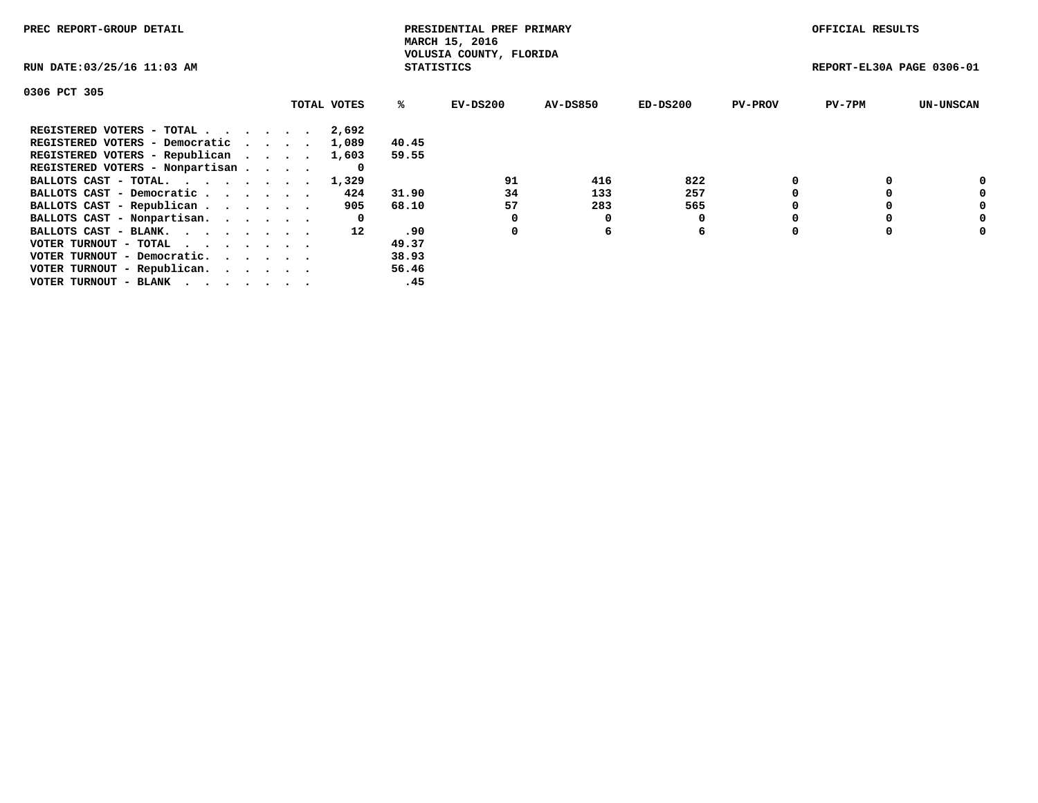| PREC REPORT-GROUP DETAIL                                    |             |                   | PRESIDENTIAL PREF PRIMARY<br>MARCH 15, 2016 |          |            |                | OFFICIAL RESULTS          |                  |
|-------------------------------------------------------------|-------------|-------------------|---------------------------------------------|----------|------------|----------------|---------------------------|------------------|
| RUN DATE: 03/25/16 11:03 AM                                 |             | <b>STATISTICS</b> | VOLUSIA COUNTY, FLORIDA                     |          |            |                | REPORT-EL30A PAGE 0306-01 |                  |
| 0306 PCT 305                                                |             |                   |                                             |          |            |                |                           |                  |
|                                                             | TOTAL VOTES | %ะ                | EV-DS200                                    | AV-DS850 | $ED-DS200$ | <b>PV-PROV</b> | $PV-7PM$                  | <b>UN-UNSCAN</b> |
| REGISTERED VOTERS - TOTAL                                   | 2,692       |                   |                                             |          |            |                |                           |                  |
| REGISTERED VOTERS - Democratic                              | 1,089       | 40.45             |                                             |          |            |                |                           |                  |
| REGISTERED VOTERS - Republican                              | 1,603       | 59.55             |                                             |          |            |                |                           |                  |
| REGISTERED VOTERS - Nonpartisan                             | 0           |                   |                                             |          |            |                |                           |                  |
| BALLOTS CAST - TOTAL.                                       | 1,329       |                   | 91                                          | 416      | 822        |                |                           | 0                |
| BALLOTS CAST - Democratic                                   | 424         | 31.90             | 34                                          | 133      | 257        |                |                           | 0                |
| BALLOTS CAST - Republican                                   | 905         | 68.10             | 57                                          | 283      | 565        |                |                           | 0                |
| BALLOTS CAST - Nonpartisan.                                 | 0           |                   | 0                                           | O        |            |                |                           | 0                |
| BALLOTS CAST - BLANK.                                       | 12          | .90               | 0                                           | 6        | 6          |                |                           | 0                |
| VOTER TURNOUT - TOTAL $\cdot \cdot \cdot \cdot \cdot \cdot$ |             | 49.37             |                                             |          |            |                |                           |                  |
| VOTER TURNOUT - Democratic.                                 |             | 38.93             |                                             |          |            |                |                           |                  |
| VOTER TURNOUT - Republican.                                 |             | 56.46             |                                             |          |            |                |                           |                  |
| VOTER TURNOUT - BLANK                                       |             | .45               |                                             |          |            |                |                           |                  |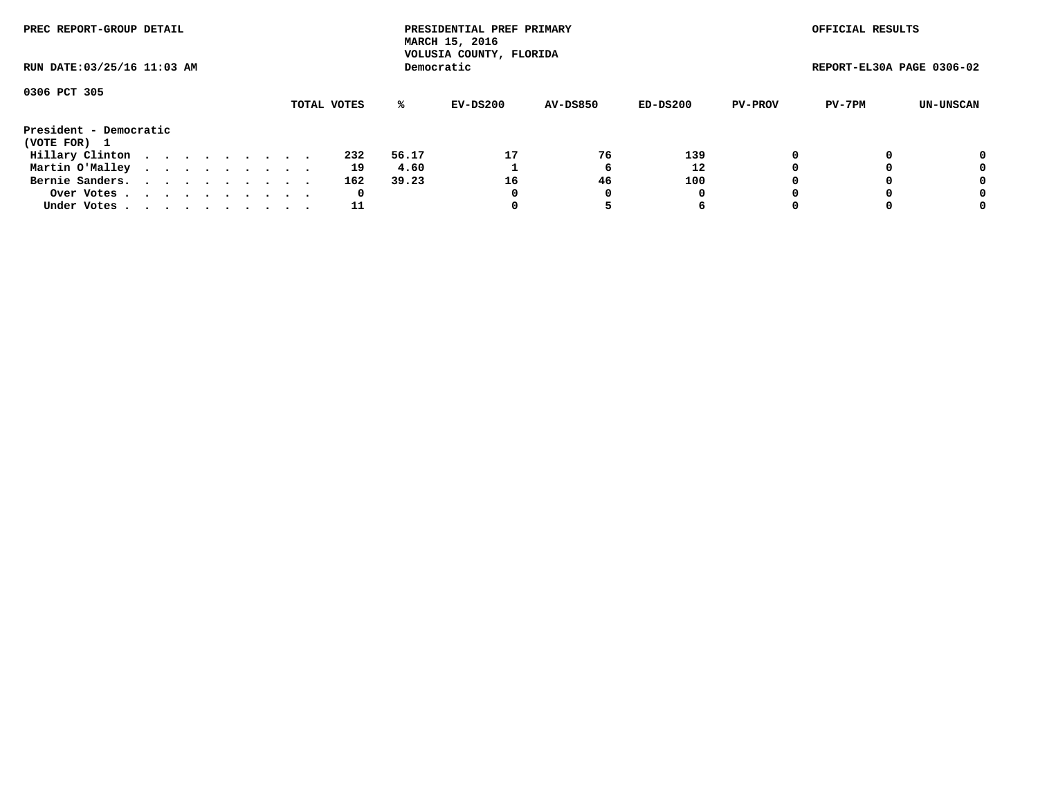| PREC REPORT-GROUP DETAIL<br>RUN DATE: 03/25/16 11:03 AM |  |  |  |  |  |  |  |  |             |       | PRESIDENTIAL PREF PRIMARY<br>MARCH 15, 2016<br>VOLUSIA COUNTY, FLORIDA |                 |          |                | OFFICIAL RESULTS          |           |
|---------------------------------------------------------|--|--|--|--|--|--|--|--|-------------|-------|------------------------------------------------------------------------|-----------------|----------|----------------|---------------------------|-----------|
|                                                         |  |  |  |  |  |  |  |  |             |       | Democratic                                                             |                 |          |                | REPORT-EL30A PAGE 0306-02 |           |
| 0306 PCT 305                                            |  |  |  |  |  |  |  |  |             |       |                                                                        |                 |          |                |                           |           |
|                                                         |  |  |  |  |  |  |  |  | TOTAL VOTES | ℁     | EV-DS200                                                               | <b>AV-DS850</b> | ED-DS200 | <b>PV-PROV</b> | PV-7PM                    | UN-UNSCAN |
| President - Democratic                                  |  |  |  |  |  |  |  |  |             |       |                                                                        |                 |          |                |                           |           |
| (VOTE FOR) 1                                            |  |  |  |  |  |  |  |  |             |       |                                                                        |                 |          |                |                           |           |
| Hillary Clinton                                         |  |  |  |  |  |  |  |  | 232         | 56.17 | 17                                                                     | 76              | 139      | 0              |                           | 0         |
| Martin O'Malley                                         |  |  |  |  |  |  |  |  | 19          | 4.60  |                                                                        |                 | 12       |                |                           | 0         |
| Bernie Sanders.                                         |  |  |  |  |  |  |  |  | 162         | 39.23 | 16                                                                     | 46              | 100      |                |                           | 0         |
| Over Votes.                                             |  |  |  |  |  |  |  |  | 0           |       | 0                                                                      | 0               | 0        |                |                           | 0         |
| Under Votes.                                            |  |  |  |  |  |  |  |  | 11          |       | 0                                                                      |                 | 6        |                |                           | 0         |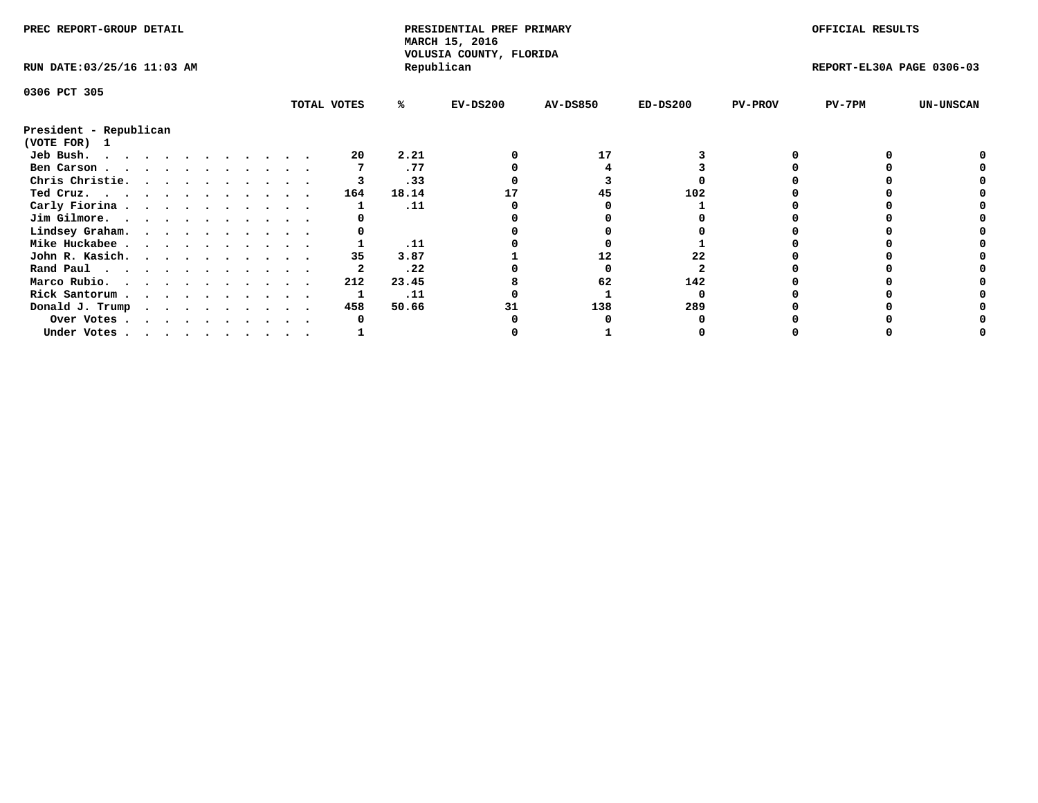| PREC REPORT-GROUP DETAIL    |  |  |  |  |  |  |  |             | PRESIDENTIAL PREF PRIMARY<br>MARCH 15, 2016<br>VOLUSIA COUNTY, FLORIDA |            |                 |            | OFFICIAL RESULTS |                           |                  |
|-----------------------------|--|--|--|--|--|--|--|-------------|------------------------------------------------------------------------|------------|-----------------|------------|------------------|---------------------------|------------------|
| RUN DATE: 03/25/16 11:03 AM |  |  |  |  |  |  |  |             |                                                                        | Republican |                 |            |                  | REPORT-EL30A PAGE 0306-03 |                  |
| 0306 PCT 305                |  |  |  |  |  |  |  |             |                                                                        |            |                 |            |                  |                           |                  |
|                             |  |  |  |  |  |  |  | TOTAL VOTES | ℁                                                                      | $EV-DS200$ | <b>AV-DS850</b> | $ED-DS200$ | <b>PV-PROV</b>   | $PV-7PM$                  | <b>UN-UNSCAN</b> |
| President - Republican      |  |  |  |  |  |  |  |             |                                                                        |            |                 |            |                  |                           |                  |
| (VOTE FOR)<br>$\mathbf{1}$  |  |  |  |  |  |  |  |             |                                                                        |            |                 |            |                  |                           |                  |
| Jeb Bush.                   |  |  |  |  |  |  |  | 20          | 2.21                                                                   |            | 17              |            |                  |                           |                  |
| Ben Carson                  |  |  |  |  |  |  |  |             | .77                                                                    |            |                 |            |                  |                           |                  |
| Chris Christie.             |  |  |  |  |  |  |  |             | .33                                                                    |            |                 |            |                  |                           |                  |
| Ted Cruz.                   |  |  |  |  |  |  |  | 164         | 18.14                                                                  |            | 45              | 102        |                  |                           |                  |
| Carly Fiorina               |  |  |  |  |  |  |  |             | .11                                                                    |            |                 |            |                  |                           |                  |
| Jim Gilmore.                |  |  |  |  |  |  |  |             |                                                                        |            |                 |            |                  |                           |                  |
| Lindsey Graham.             |  |  |  |  |  |  |  |             |                                                                        |            |                 |            |                  |                           |                  |
| Mike Huckabee               |  |  |  |  |  |  |  |             | .11                                                                    |            |                 |            |                  |                           |                  |
| John R. Kasich.             |  |  |  |  |  |  |  | 35          | 3.87                                                                   |            | 12              | 22         |                  |                           |                  |
| Rand Paul                   |  |  |  |  |  |  |  |             | .22                                                                    |            |                 |            |                  |                           |                  |
| Marco Rubio.                |  |  |  |  |  |  |  | 212         | 23.45                                                                  |            | 62              | 142        |                  |                           |                  |
| Rick Santorum               |  |  |  |  |  |  |  |             | .11                                                                    |            |                 |            |                  |                           |                  |
| Donald J. Trump             |  |  |  |  |  |  |  | 458         | 50.66                                                                  |            | 138             | 289        |                  |                           |                  |
| Over Votes                  |  |  |  |  |  |  |  |             |                                                                        |            |                 |            |                  |                           |                  |
| Under Votes                 |  |  |  |  |  |  |  |             |                                                                        |            |                 |            |                  |                           |                  |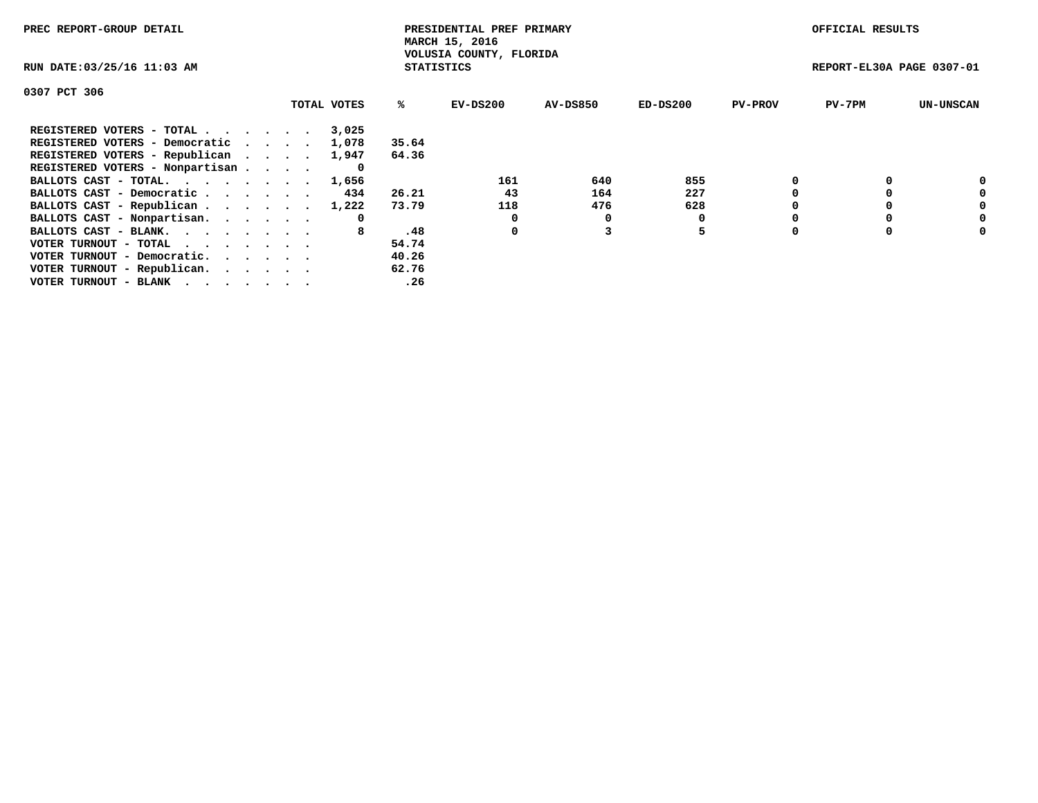| PREC REPORT-GROUP DETAIL                                    |             |                   | PRESIDENTIAL PREF PRIMARY<br>MARCH 15, 2016 |          |            |                | OFFICIAL RESULTS          |                  |
|-------------------------------------------------------------|-------------|-------------------|---------------------------------------------|----------|------------|----------------|---------------------------|------------------|
| RUN DATE: 03/25/16 11:03 AM                                 |             | <b>STATISTICS</b> | VOLUSIA COUNTY, FLORIDA                     |          |            |                | REPORT-EL30A PAGE 0307-01 |                  |
| 0307 PCT 306                                                |             |                   |                                             |          |            |                |                           |                  |
|                                                             | TOTAL VOTES | ℁                 | $EV-DS200$                                  | AV-DS850 | $ED-DS200$ | <b>PV-PROV</b> | $PV-7PM$                  | <b>UN-UNSCAN</b> |
| REGISTERED VOTERS - TOTAL                                   | 3,025       |                   |                                             |          |            |                |                           |                  |
| REGISTERED VOTERS - Democratic                              | 1,078       | 35.64             |                                             |          |            |                |                           |                  |
| REGISTERED VOTERS - Republican                              | 1,947       | 64.36             |                                             |          |            |                |                           |                  |
| REGISTERED VOTERS - Nonpartisan                             | O           |                   |                                             |          |            |                |                           |                  |
| BALLOTS CAST - TOTAL.                                       | 1,656       |                   | 161                                         | 640      | 855        |                |                           | 0                |
| BALLOTS CAST - Democratic                                   | 434         | 26.21             | 43                                          | 164      | 227        |                |                           | 0                |
| BALLOTS CAST - Republican                                   | 1,222       | 73.79             | 118                                         | 476      | 628        |                |                           | 0                |
| BALLOTS CAST - Nonpartisan.                                 | 0           |                   | 0                                           | 0        |            |                |                           | 0                |
| BALLOTS CAST - BLANK.                                       |             | .48               | 0                                           |          | 5          |                |                           | 0                |
| VOTER TURNOUT - TOTAL $\cdot \cdot \cdot \cdot \cdot \cdot$ |             | 54.74             |                                             |          |            |                |                           |                  |
| VOTER TURNOUT - Democratic.                                 |             | 40.26             |                                             |          |            |                |                           |                  |
| VOTER TURNOUT - Republican.                                 |             | 62.76             |                                             |          |            |                |                           |                  |
| VOTER TURNOUT - BLANK                                       |             | .26               |                                             |          |            |                |                           |                  |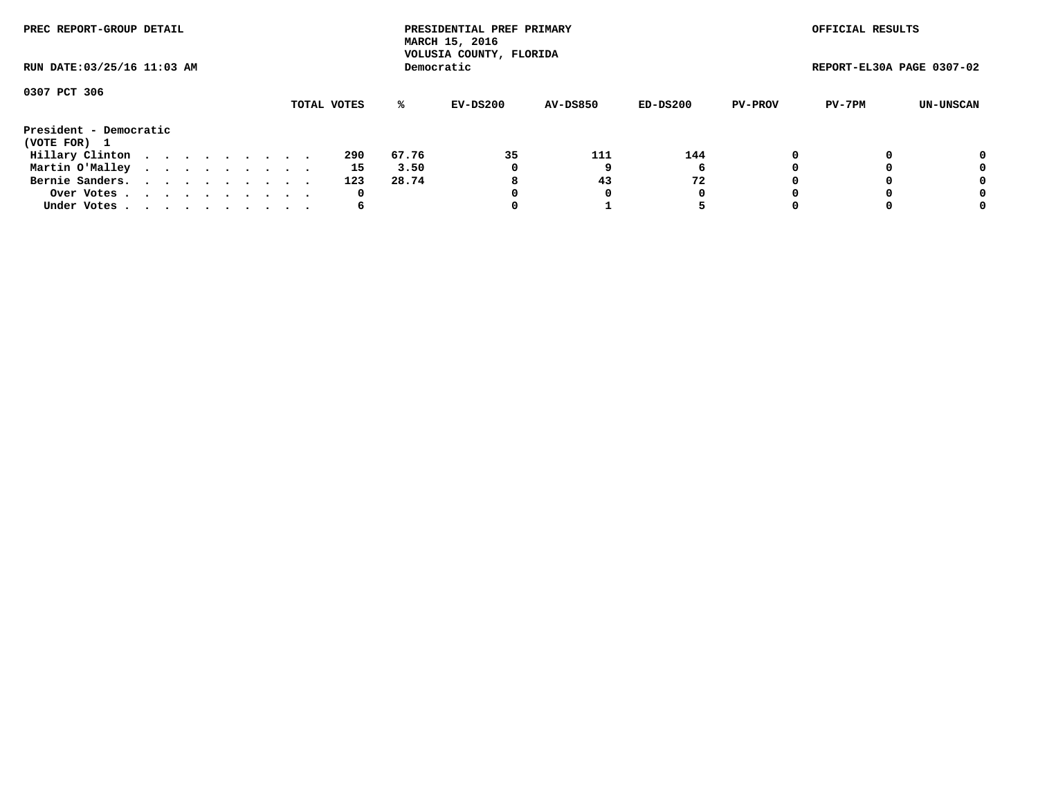| PREC REPORT-GROUP DETAIL<br>RUN DATE: 03/25/16 11:03 AM |  |  |  |  |  |  |  |  |             |       | PRESIDENTIAL PREF PRIMARY<br>MARCH 15, 2016<br>VOLUSIA COUNTY, FLORIDA |                 |            |                | OFFICIAL RESULTS          |           |
|---------------------------------------------------------|--|--|--|--|--|--|--|--|-------------|-------|------------------------------------------------------------------------|-----------------|------------|----------------|---------------------------|-----------|
|                                                         |  |  |  |  |  |  |  |  |             |       | Democratic                                                             |                 |            |                | REPORT-EL30A PAGE 0307-02 |           |
| 0307 PCT 306                                            |  |  |  |  |  |  |  |  | TOTAL VOTES | %ะ    | EV-DS200                                                               | <b>AV-DS850</b> | $ED-DS200$ | <b>PV-PROV</b> | PV-7PM                    | UN-UNSCAN |
| President - Democratic<br>(VOTE FOR) 1                  |  |  |  |  |  |  |  |  |             |       |                                                                        |                 |            |                |                           |           |
| Hillary Clinton                                         |  |  |  |  |  |  |  |  | 290         | 67.76 | 35                                                                     | 111             | 144        | 0              |                           | 0         |
| Martin O'Malley                                         |  |  |  |  |  |  |  |  | 15          | 3.50  | 0                                                                      |                 | 6          |                |                           | 0         |
| Bernie Sanders.                                         |  |  |  |  |  |  |  |  | 123         | 28.74 | 8                                                                      | 43              | 72         |                |                           | 0         |
| Over Votes                                              |  |  |  |  |  |  |  |  | 0           |       | 0                                                                      | 0               | 0          |                |                           | 0         |
| Under Votes.                                            |  |  |  |  |  |  |  |  | 6           |       |                                                                        |                 |            |                |                           | 0         |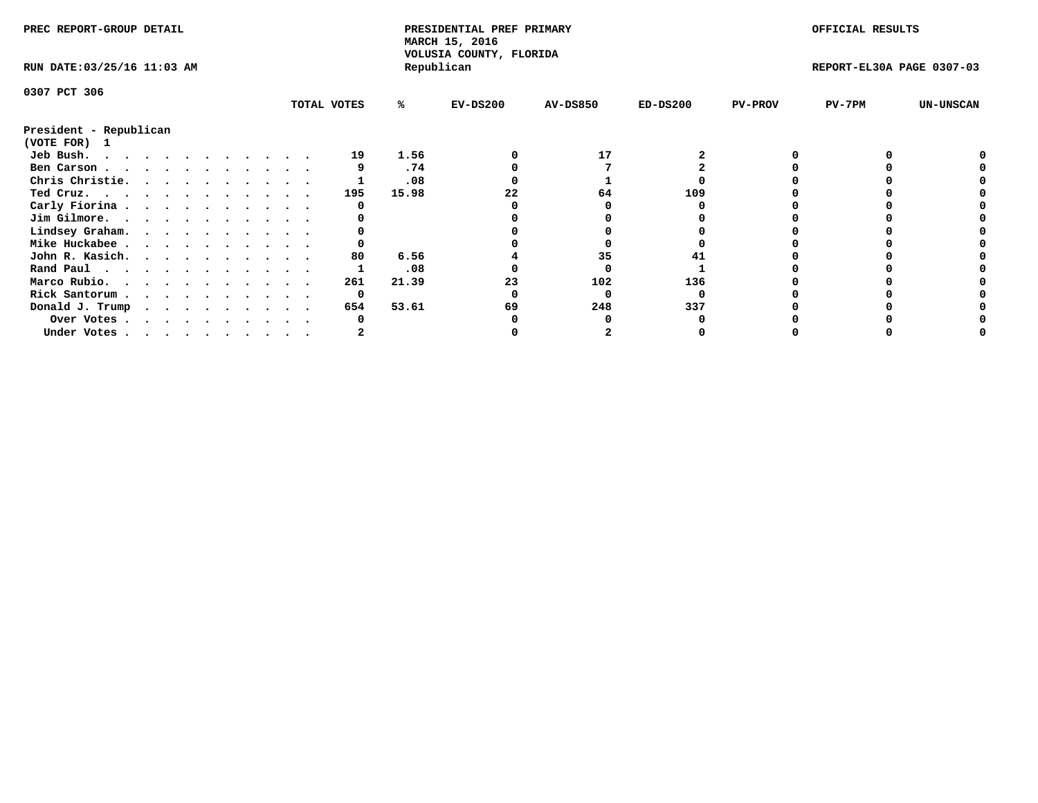| PREC REPORT-GROUP DETAIL    |  |  |  |  |  |  |  |  |             | PRESIDENTIAL PREF PRIMARY<br>MARCH 15, 2016<br>VOLUSIA COUNTY, FLORIDA |            |                 |            | OFFICIAL RESULTS |                           |                  |
|-----------------------------|--|--|--|--|--|--|--|--|-------------|------------------------------------------------------------------------|------------|-----------------|------------|------------------|---------------------------|------------------|
| RUN DATE: 03/25/16 11:03 AM |  |  |  |  |  |  |  |  |             |                                                                        | Republican |                 |            |                  | REPORT-EL30A PAGE 0307-03 |                  |
| 0307 PCT 306                |  |  |  |  |  |  |  |  |             |                                                                        |            |                 |            |                  |                           |                  |
|                             |  |  |  |  |  |  |  |  | TOTAL VOTES | %ะ                                                                     | $EV-DS200$ | <b>AV-DS850</b> | $ED-DS200$ | <b>PV-PROV</b>   | PV-7PM                    | <b>UN-UNSCAN</b> |
| President - Republican      |  |  |  |  |  |  |  |  |             |                                                                        |            |                 |            |                  |                           |                  |
| (VOTE FOR) 1                |  |  |  |  |  |  |  |  |             |                                                                        |            |                 |            |                  |                           |                  |
| Jeb Bush.                   |  |  |  |  |  |  |  |  | 19          | 1.56                                                                   |            | 17              |            |                  |                           |                  |
| Ben Carson                  |  |  |  |  |  |  |  |  |             | .74                                                                    |            |                 |            |                  |                           |                  |
| Chris Christie.             |  |  |  |  |  |  |  |  |             | .08                                                                    |            |                 |            |                  |                           |                  |
| Ted Cruz.                   |  |  |  |  |  |  |  |  | 195         | 15.98                                                                  |            | 64              | 109        |                  |                           |                  |
| Carly Fiorina               |  |  |  |  |  |  |  |  |             |                                                                        |            |                 |            |                  |                           |                  |
| Jim Gilmore.                |  |  |  |  |  |  |  |  |             |                                                                        |            |                 |            |                  |                           |                  |
| Lindsey Graham.             |  |  |  |  |  |  |  |  |             |                                                                        |            |                 |            |                  |                           |                  |
| Mike Huckabee               |  |  |  |  |  |  |  |  |             |                                                                        |            |                 |            |                  |                           |                  |
| John R. Kasich.             |  |  |  |  |  |  |  |  | 80          | 6.56                                                                   |            | 35              |            |                  |                           |                  |
| Rand Paul                   |  |  |  |  |  |  |  |  |             | .08                                                                    |            |                 |            |                  |                           |                  |
|                             |  |  |  |  |  |  |  |  |             |                                                                        |            | 102             | 136        |                  |                           |                  |
| Marco Rubio.                |  |  |  |  |  |  |  |  | 261         | 21.39                                                                  | 23         |                 |            |                  |                           |                  |
| Rick Santorum               |  |  |  |  |  |  |  |  | 0           |                                                                        |            |                 |            |                  |                           |                  |
| Donald J. Trump             |  |  |  |  |  |  |  |  | 654         | 53.61                                                                  | 69         | 248             | 337        |                  |                           |                  |
| Over Votes                  |  |  |  |  |  |  |  |  |             |                                                                        |            |                 |            |                  |                           |                  |
| Under Votes                 |  |  |  |  |  |  |  |  |             |                                                                        |            |                 |            |                  |                           |                  |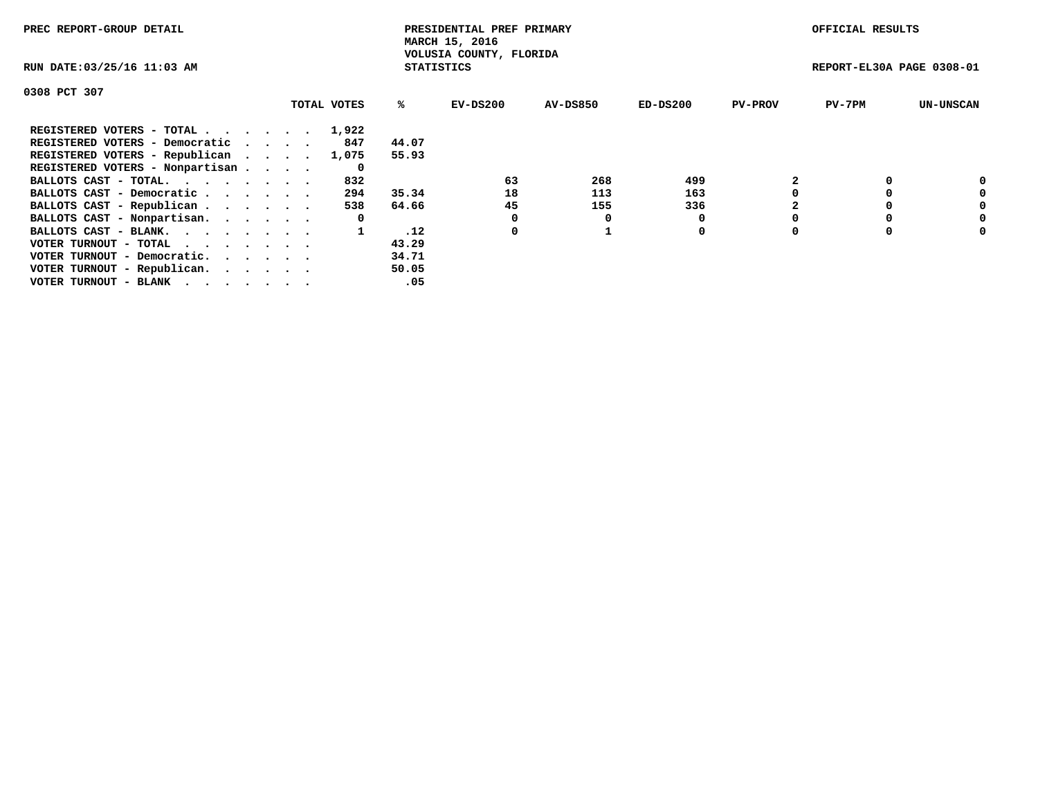| PREC REPORT-GROUP DETAIL                                    |             |                   | PRESIDENTIAL PREF PRIMARY<br>MARCH 15, 2016 |                 |            |                | OFFICIAL RESULTS          |                  |
|-------------------------------------------------------------|-------------|-------------------|---------------------------------------------|-----------------|------------|----------------|---------------------------|------------------|
| RUN DATE: 03/25/16 11:03 AM                                 |             | <b>STATISTICS</b> | VOLUSIA COUNTY, FLORIDA                     |                 |            |                | REPORT-EL30A PAGE 0308-01 |                  |
| 0308 PCT 307                                                |             |                   |                                             |                 |            |                |                           |                  |
|                                                             | TOTAL VOTES | %ະ                | EV-DS200                                    | <b>AV-DS850</b> | $ED-DS200$ | <b>PV-PROV</b> | $PV-7PM$                  | <b>UN-UNSCAN</b> |
| REGISTERED VOTERS - TOTAL                                   | 1,922       |                   |                                             |                 |            |                |                           |                  |
| REGISTERED VOTERS - Democratic                              | 847         | 44.07             |                                             |                 |            |                |                           |                  |
| REGISTERED VOTERS - Republican                              | 1,075       | 55.93             |                                             |                 |            |                |                           |                  |
| REGISTERED VOTERS - Nonpartisan                             | 0           |                   |                                             |                 |            |                |                           |                  |
| BALLOTS CAST - TOTAL.                                       | 832         |                   | 63                                          | 268             | 499        |                |                           | 0                |
| BALLOTS CAST - Democratic                                   | 294         | 35.34             | 18                                          | 113             | 163        |                |                           | 0                |
| BALLOTS CAST - Republican                                   | 538         | 64.66             | 45                                          | 155             | 336        |                |                           | 0                |
| BALLOTS CAST - Nonpartisan.                                 | 0           |                   |                                             |                 |            |                |                           | 0                |
| BALLOTS CAST - BLANK.                                       |             | .12               | 0                                           |                 | 0          |                |                           | 0                |
| VOTER TURNOUT - TOTAL $\cdot \cdot \cdot \cdot \cdot \cdot$ |             | 43.29             |                                             |                 |            |                |                           |                  |
| VOTER TURNOUT - Democratic.                                 |             | 34.71             |                                             |                 |            |                |                           |                  |
| VOTER TURNOUT - Republican.                                 |             | 50.05             |                                             |                 |            |                |                           |                  |
| VOTER TURNOUT - BLANK                                       |             | .05               |                                             |                 |            |                |                           |                  |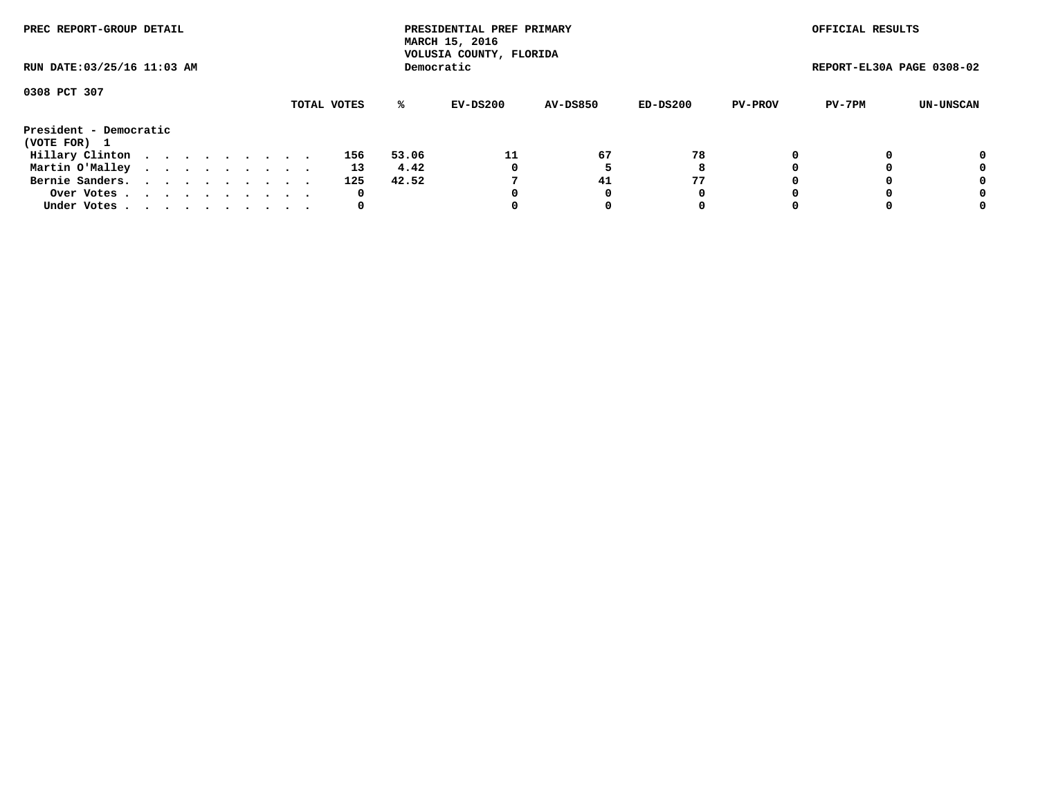| PREC REPORT-GROUP DETAIL<br>RUN DATE: 03/25/16 11:03 AM |  |  |  |  |  |  |  |  |  |     |       | PRESIDENTIAL PREF PRIMARY<br>MARCH 15, 2016<br>VOLUSIA COUNTY, FLORIDA |                 |          |                | OFFICIAL RESULTS          |           |
|---------------------------------------------------------|--|--|--|--|--|--|--|--|--|-----|-------|------------------------------------------------------------------------|-----------------|----------|----------------|---------------------------|-----------|
|                                                         |  |  |  |  |  |  |  |  |  |     |       | Democratic                                                             |                 |          |                | REPORT-EL30A PAGE 0308-02 |           |
| 0308 PCT 307<br>TOTAL VOTES                             |  |  |  |  |  |  |  |  |  |     |       |                                                                        |                 |          |                |                           |           |
|                                                         |  |  |  |  |  |  |  |  |  |     | %ะ    | EV-DS200                                                               | <b>AV-DS850</b> | ED-DS200 | <b>PV-PROV</b> | PV-7PM                    | UN-UNSCAN |
| President - Democratic<br>(VOTE FOR) 1                  |  |  |  |  |  |  |  |  |  |     |       |                                                                        |                 |          |                |                           |           |
| Hillary Clinton                                         |  |  |  |  |  |  |  |  |  | 156 | 53.06 | 11                                                                     | 67              | 78       |                |                           | 0         |
| Martin O'Malley                                         |  |  |  |  |  |  |  |  |  | 13  | 4.42  | 0                                                                      |                 | 8        |                |                           | 0         |
| Bernie Sanders.                                         |  |  |  |  |  |  |  |  |  | 125 | 42.52 |                                                                        | 41              | 77       |                |                           | 0         |
| Over Votes.                                             |  |  |  |  |  |  |  |  |  | 0   |       | 0                                                                      | 0               | 0        |                |                           | 0         |
| Under Votes.                                            |  |  |  |  |  |  |  |  |  | 0   |       |                                                                        |                 | 0        |                |                           | 0         |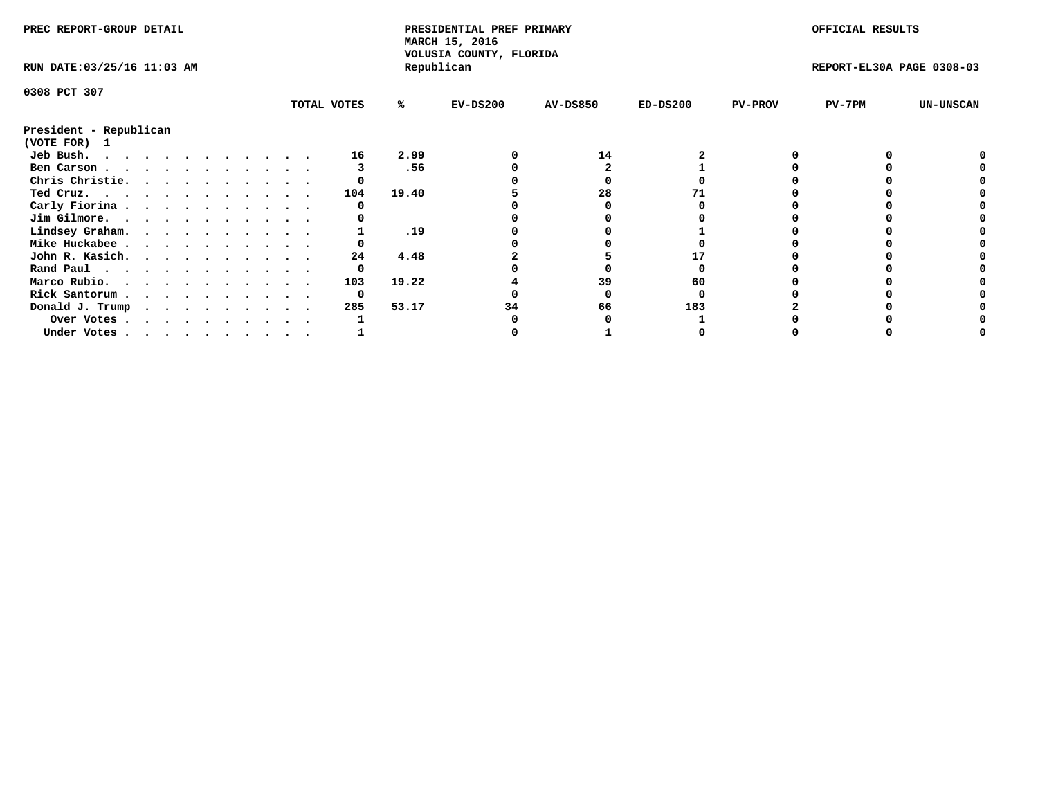| PREC REPORT-GROUP DETAIL               |  |  |  |  |  |  |  |             | PRESIDENTIAL PREF PRIMARY<br>MARCH 15, 2016<br>VOLUSIA COUNTY, FLORIDA |            |                 |            | OFFICIAL RESULTS |                           |                  |
|----------------------------------------|--|--|--|--|--|--|--|-------------|------------------------------------------------------------------------|------------|-----------------|------------|------------------|---------------------------|------------------|
| RUN DATE: 03/25/16 11:03 AM            |  |  |  |  |  |  |  |             |                                                                        | Republican |                 |            |                  | REPORT-EL30A PAGE 0308-03 |                  |
| 0308 PCT 307                           |  |  |  |  |  |  |  |             |                                                                        |            |                 |            |                  |                           |                  |
|                                        |  |  |  |  |  |  |  | TOTAL VOTES | %ะ                                                                     | $EV-DS200$ | <b>AV-DS850</b> | $ED-DS200$ | <b>PV-PROV</b>   | PV-7PM                    | <b>UN-UNSCAN</b> |
| President - Republican<br>(VOTE FOR) 1 |  |  |  |  |  |  |  |             |                                                                        |            |                 |            |                  |                           |                  |
| Jeb Bush.                              |  |  |  |  |  |  |  | 16          | 2.99                                                                   |            | 14              |            |                  |                           |                  |
| Ben Carson                             |  |  |  |  |  |  |  |             | .56                                                                    |            |                 |            |                  |                           |                  |
| Chris Christie.                        |  |  |  |  |  |  |  |             |                                                                        |            |                 |            |                  |                           |                  |
| Ted Cruz.                              |  |  |  |  |  |  |  | 104         | 19.40                                                                  |            | 28              |            |                  |                           |                  |
| Carly Fiorina                          |  |  |  |  |  |  |  |             |                                                                        |            |                 |            |                  |                           |                  |
| Jim Gilmore.                           |  |  |  |  |  |  |  |             |                                                                        |            |                 |            |                  |                           |                  |
|                                        |  |  |  |  |  |  |  |             | .19                                                                    |            |                 |            |                  |                           |                  |
| Lindsey Graham.                        |  |  |  |  |  |  |  |             |                                                                        |            |                 |            |                  |                           |                  |
| Mike Huckabee                          |  |  |  |  |  |  |  |             |                                                                        |            |                 |            |                  |                           |                  |
| John R. Kasich.                        |  |  |  |  |  |  |  | 24          | 4.48                                                                   |            |                 |            |                  |                           |                  |
| Rand Paul                              |  |  |  |  |  |  |  |             |                                                                        |            |                 |            |                  |                           |                  |
| Marco Rubio.                           |  |  |  |  |  |  |  | 103         | 19.22                                                                  |            | 39              | 60         |                  |                           |                  |
| Rick Santorum                          |  |  |  |  |  |  |  | 0           |                                                                        |            |                 |            |                  |                           |                  |
| Donald J. Trump                        |  |  |  |  |  |  |  | 285         | 53.17                                                                  |            | 66              | 183        |                  |                           |                  |
| Over Votes                             |  |  |  |  |  |  |  |             |                                                                        |            |                 |            |                  |                           |                  |
| Under Votes                            |  |  |  |  |  |  |  |             |                                                                        |            |                 |            |                  |                           |                  |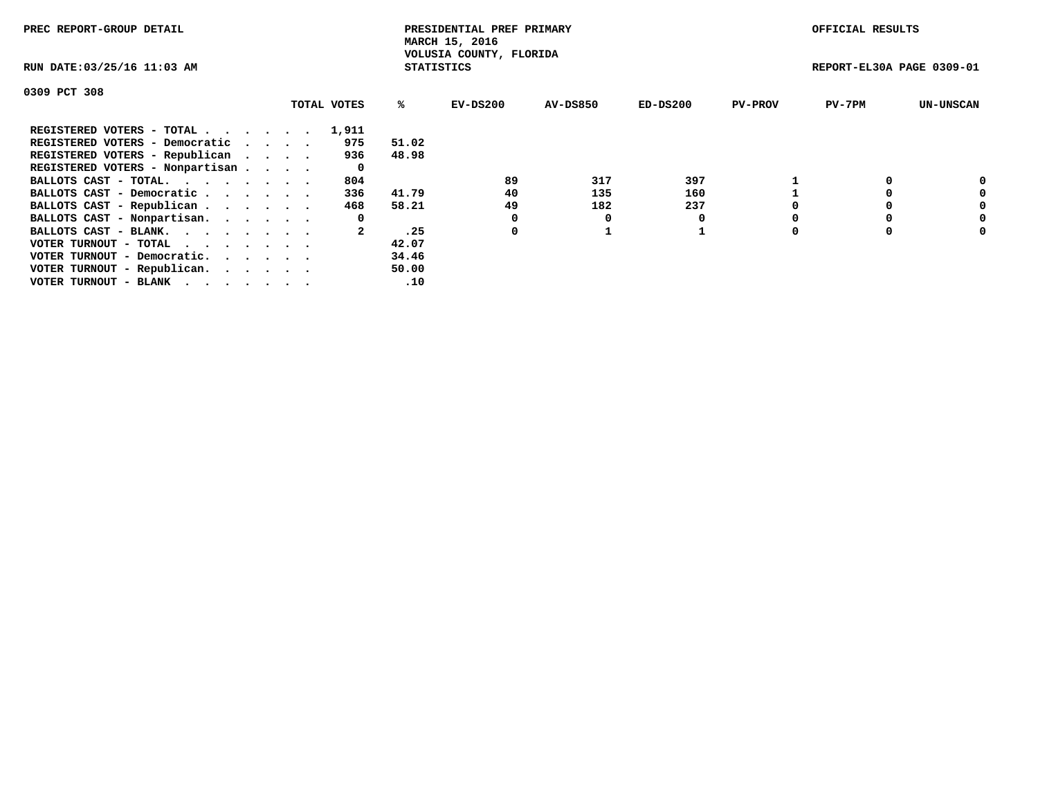| PREC REPORT-GROUP DETAIL                                    |  |             |       | PRESIDENTIAL PREF PRIMARY<br>MARCH 15, 2016  |          |            |                | OFFICIAL RESULTS          |                  |
|-------------------------------------------------------------|--|-------------|-------|----------------------------------------------|----------|------------|----------------|---------------------------|------------------|
| RUN DATE: 03/25/16 11:03 AM                                 |  |             |       | VOLUSIA COUNTY, FLORIDA<br><b>STATISTICS</b> |          |            |                | REPORT-EL30A PAGE 0309-01 |                  |
| 0309 PCT 308                                                |  |             |       |                                              |          |            |                |                           |                  |
|                                                             |  | TOTAL VOTES | %ะ    | EV-DS200                                     | AV-DS850 | $ED-DS200$ | <b>PV-PROV</b> | $PV-7PM$                  | <b>UN-UNSCAN</b> |
| REGISTERED VOTERS - TOTAL                                   |  | 1,911       |       |                                              |          |            |                |                           |                  |
| REGISTERED VOTERS - Democratic                              |  | 975         | 51.02 |                                              |          |            |                |                           |                  |
| REGISTERED VOTERS - Republican                              |  | 936         | 48.98 |                                              |          |            |                |                           |                  |
| REGISTERED VOTERS - Nonpartisan                             |  | 0           |       |                                              |          |            |                |                           |                  |
| BALLOTS CAST - TOTAL.                                       |  | 804         |       | 89                                           | 317      | 397        |                |                           | 0                |
| BALLOTS CAST - Democratic                                   |  | 336         | 41.79 | 40                                           | 135      | 160        |                |                           | 0                |
| BALLOTS CAST - Republican                                   |  | 468         | 58.21 | 49                                           | 182      | 237        |                |                           | 0                |
| BALLOTS CAST - Nonpartisan.                                 |  | 0           |       |                                              | O        |            |                |                           | 0                |
| BALLOTS CAST - BLANK.                                       |  |             | .25   | 0                                            |          |            |                |                           | 0                |
| VOTER TURNOUT - TOTAL $\cdot \cdot \cdot \cdot \cdot \cdot$ |  |             | 42.07 |                                              |          |            |                |                           |                  |
| VOTER TURNOUT - Democratic.                                 |  |             | 34.46 |                                              |          |            |                |                           |                  |
| VOTER TURNOUT - Republican.                                 |  |             | 50.00 |                                              |          |            |                |                           |                  |
| VOTER TURNOUT - BLANK                                       |  |             | .10   |                                              |          |            |                |                           |                  |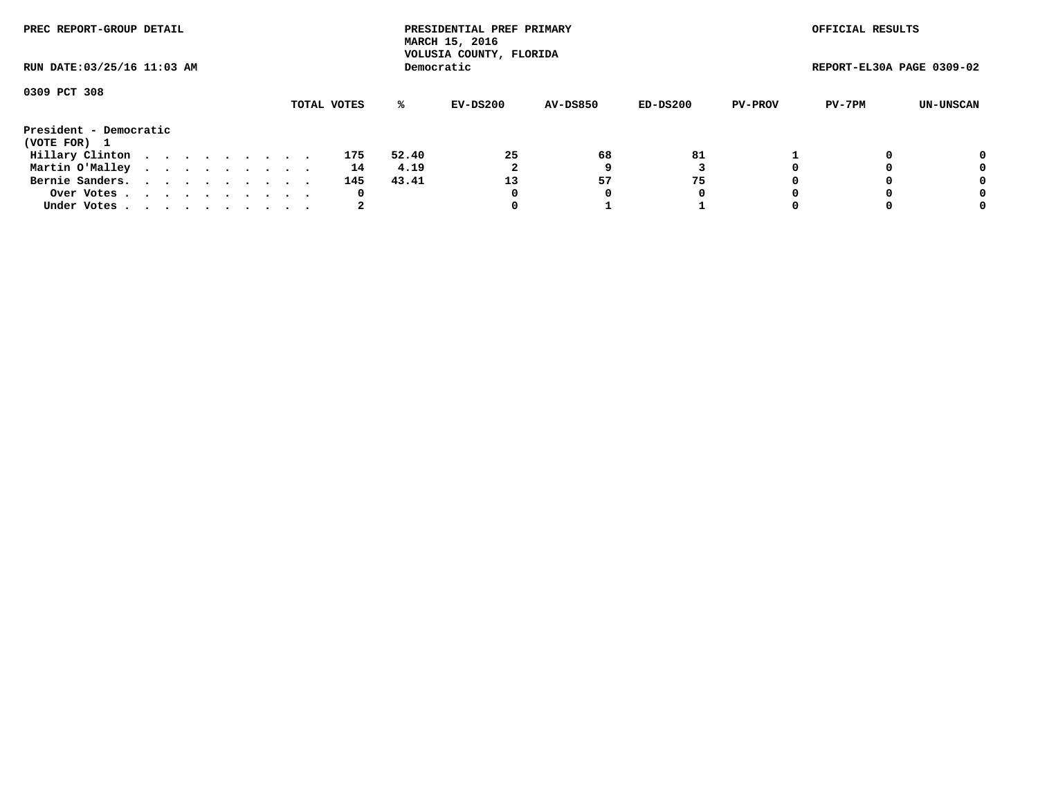| PREC REPORT-GROUP DETAIL    |  |  |  |  |             |       | PRESIDENTIAL PREF PRIMARY<br>MARCH 15, 2016<br>VOLUSIA COUNTY, FLORIDA |                 |          |                | OFFICIAL RESULTS          |           |
|-----------------------------|--|--|--|--|-------------|-------|------------------------------------------------------------------------|-----------------|----------|----------------|---------------------------|-----------|
| RUN DATE: 03/25/16 11:03 AM |  |  |  |  |             |       | Democratic                                                             |                 |          |                | REPORT-EL30A PAGE 0309-02 |           |
| 0309 PCT 308                |  |  |  |  |             |       |                                                                        |                 |          |                |                           |           |
|                             |  |  |  |  | TOTAL VOTES | ℁     | EV-DS200                                                               | <b>AV-DS850</b> | ED-DS200 | <b>PV-PROV</b> | PV-7PM                    | UN-UNSCAN |
| President - Democratic      |  |  |  |  |             |       |                                                                        |                 |          |                |                           |           |
| (VOTE FOR) 1                |  |  |  |  |             |       |                                                                        |                 |          |                |                           |           |
| Hillary Clinton             |  |  |  |  | 175         | 52.40 | 25                                                                     | 68              | 81       |                |                           | 0         |
| Martin O'Malley             |  |  |  |  | 14          | 4.19  |                                                                        |                 |          |                |                           | 0         |
| Bernie Sanders.             |  |  |  |  | 145         | 43.41 | 13                                                                     | 57              | 75       |                |                           | 0         |
| Over Votes.                 |  |  |  |  | 0           |       | 0                                                                      | 0               | 0        |                |                           | 0         |
| Under Votes.                |  |  |  |  | 2           |       |                                                                        |                 |          |                |                           | 0         |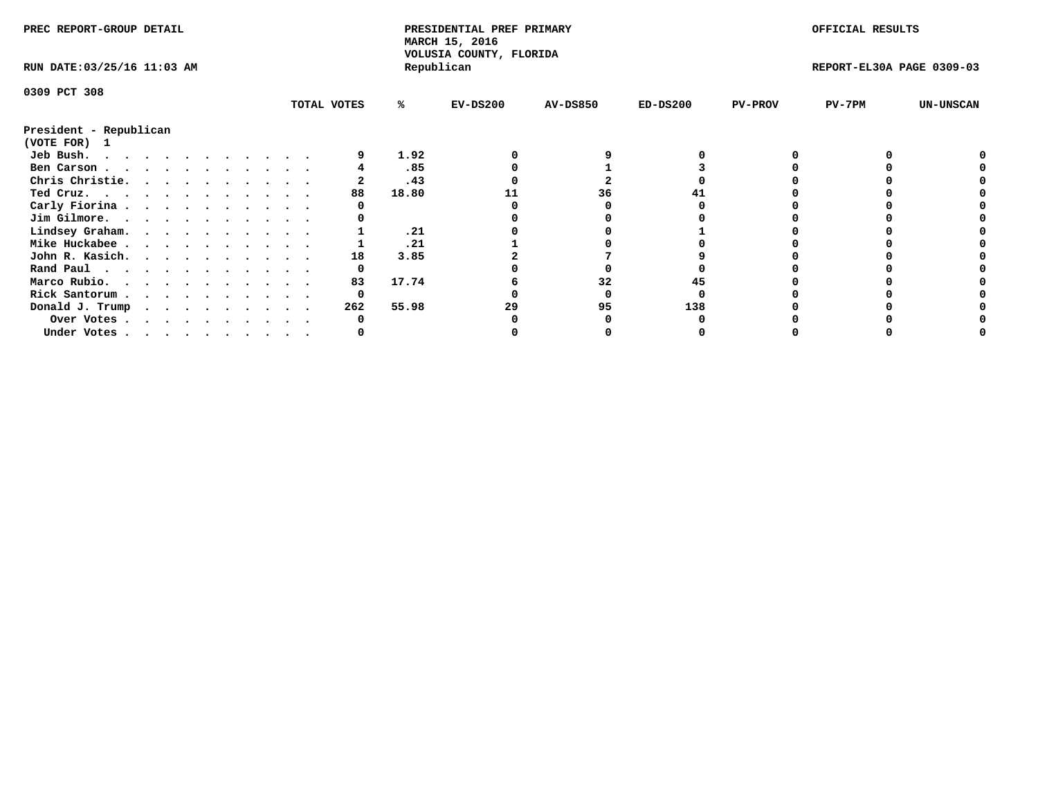| PREC REPORT-GROUP DETAIL                                                                                                                                                                                                                   |  |  |  |  |  |             |       | PRESIDENTIAL PREF PRIMARY<br>MARCH 15, 2016<br>VOLUSIA COUNTY, FLORIDA |                 |            |                | OFFICIAL RESULTS          |                  |
|--------------------------------------------------------------------------------------------------------------------------------------------------------------------------------------------------------------------------------------------|--|--|--|--|--|-------------|-------|------------------------------------------------------------------------|-----------------|------------|----------------|---------------------------|------------------|
| RUN DATE: 03/25/16 11:03 AM                                                                                                                                                                                                                |  |  |  |  |  |             |       | Republican                                                             |                 |            |                | REPORT-EL30A PAGE 0309-03 |                  |
| 0309 PCT 308                                                                                                                                                                                                                               |  |  |  |  |  |             |       |                                                                        |                 |            |                |                           |                  |
|                                                                                                                                                                                                                                            |  |  |  |  |  | TOTAL VOTES | ℁     | $EV-DS200$                                                             | <b>AV-DS850</b> | $ED-DS200$ | <b>PV-PROV</b> | $PV-7PM$                  | <b>UN-UNSCAN</b> |
| President - Republican                                                                                                                                                                                                                     |  |  |  |  |  |             |       |                                                                        |                 |            |                |                           |                  |
| (VOTE FOR) 1                                                                                                                                                                                                                               |  |  |  |  |  |             |       |                                                                        |                 |            |                |                           |                  |
| Jeb Bush.<br>. As the contract of the contract of the contract of the contract of the contract of the contract of the contract of the contract of the contract of the contract of the contract of the contract of the contract of the cont |  |  |  |  |  |             | 1.92  |                                                                        |                 |            |                |                           |                  |
| Ben Carson                                                                                                                                                                                                                                 |  |  |  |  |  |             | .85   |                                                                        |                 |            |                |                           |                  |
| Chris Christie.                                                                                                                                                                                                                            |  |  |  |  |  |             | .43   |                                                                        |                 |            |                |                           |                  |
| Ted Cruz.                                                                                                                                                                                                                                  |  |  |  |  |  | 88          | 18.80 |                                                                        | 36              |            |                |                           |                  |
| Carly Fiorina                                                                                                                                                                                                                              |  |  |  |  |  |             |       |                                                                        |                 |            |                |                           |                  |
| Jim Gilmore.                                                                                                                                                                                                                               |  |  |  |  |  |             |       |                                                                        |                 |            |                |                           |                  |
| Lindsey Graham.                                                                                                                                                                                                                            |  |  |  |  |  |             | .21   |                                                                        |                 |            |                |                           |                  |
| Mike Huckabee                                                                                                                                                                                                                              |  |  |  |  |  |             | .21   |                                                                        |                 |            |                |                           |                  |
| John R. Kasich.                                                                                                                                                                                                                            |  |  |  |  |  | 18          | 3.85  |                                                                        |                 |            |                |                           |                  |
| Rand Paul                                                                                                                                                                                                                                  |  |  |  |  |  | 0           |       |                                                                        |                 |            |                |                           |                  |
| Marco Rubio.                                                                                                                                                                                                                               |  |  |  |  |  | 83          | 17.74 |                                                                        | 32              |            |                |                           |                  |
| Rick Santorum                                                                                                                                                                                                                              |  |  |  |  |  | 0           |       |                                                                        |                 |            |                |                           |                  |
| Donald J. Trump                                                                                                                                                                                                                            |  |  |  |  |  | 262         | 55.98 | 29                                                                     | 95              | 138        |                |                           |                  |
| Over Votes                                                                                                                                                                                                                                 |  |  |  |  |  |             |       |                                                                        |                 |            |                |                           |                  |
| Under Votes                                                                                                                                                                                                                                |  |  |  |  |  |             |       |                                                                        |                 |            |                |                           |                  |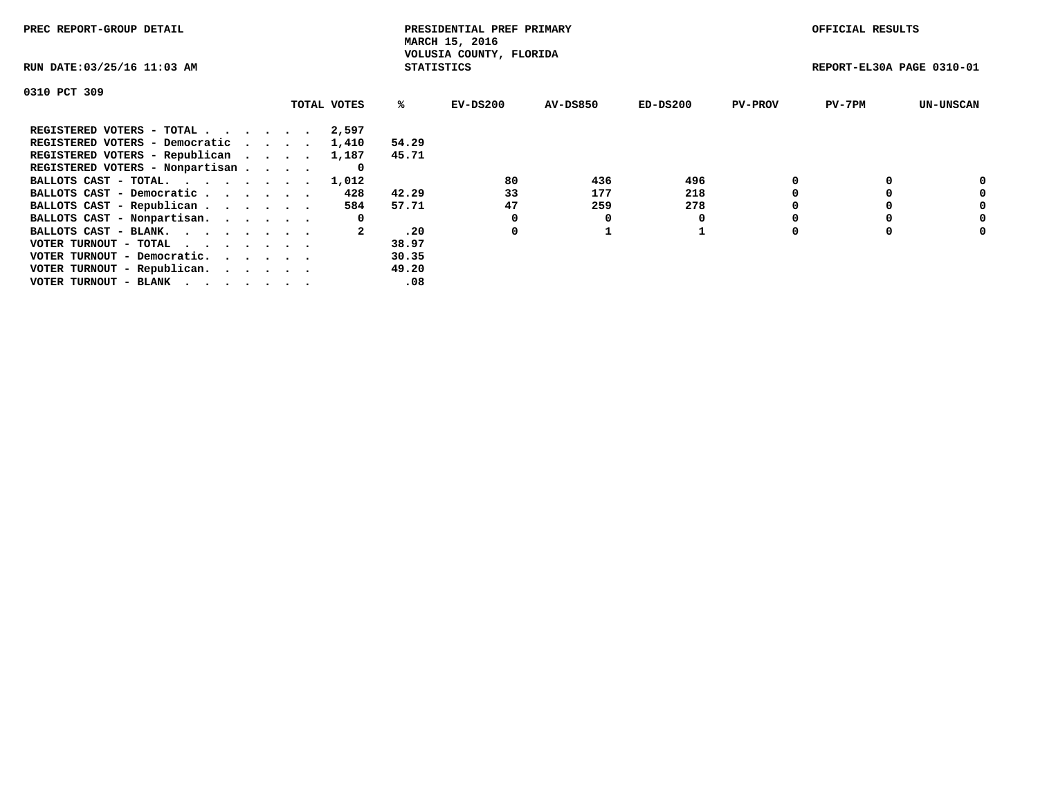| PREC REPORT-GROUP DETAIL                                    |             |                   | PRESIDENTIAL PREF PRIMARY<br>MARCH 15, 2016 |          |            |                | OFFICIAL RESULTS          |                  |
|-------------------------------------------------------------|-------------|-------------------|---------------------------------------------|----------|------------|----------------|---------------------------|------------------|
| RUN DATE: 03/25/16 11:03 AM                                 |             | <b>STATISTICS</b> | VOLUSIA COUNTY, FLORIDA                     |          |            |                | REPORT-EL30A PAGE 0310-01 |                  |
| 0310 PCT 309                                                |             |                   |                                             |          |            |                |                           |                  |
|                                                             | TOTAL VOTES | ℁                 | $EV-DS200$                                  | AV-DS850 | $ED-DS200$ | <b>PV-PROV</b> | $PV-7PM$                  | <b>UN-UNSCAN</b> |
| REGISTERED VOTERS - TOTAL                                   | 2,597       |                   |                                             |          |            |                |                           |                  |
| REGISTERED VOTERS - Democratic                              | 1,410       | 54.29             |                                             |          |            |                |                           |                  |
| REGISTERED VOTERS - Republican                              | 1,187       | 45.71             |                                             |          |            |                |                           |                  |
| REGISTERED VOTERS - Nonpartisan                             | 0           |                   |                                             |          |            |                |                           |                  |
| BALLOTS CAST - TOTAL.                                       | 1,012       |                   | 80                                          | 436      | 496        |                |                           | 0                |
| BALLOTS CAST - Democratic                                   | 428         | 42.29             | 33                                          | 177      | 218        |                |                           | 0                |
| BALLOTS CAST - Republican                                   | 584         | 57.71             | 47                                          | 259      | 278        |                |                           | 0                |
| BALLOTS CAST - Nonpartisan.                                 | 0           |                   |                                             | 0        |            |                |                           | 0                |
| BALLOTS CAST - BLANK.                                       |             | .20               | 0                                           |          |            |                |                           | 0                |
| VOTER TURNOUT - TOTAL $\cdot \cdot \cdot \cdot \cdot \cdot$ |             | 38.97             |                                             |          |            |                |                           |                  |
| VOTER TURNOUT - Democratic.                                 |             | 30.35             |                                             |          |            |                |                           |                  |
| VOTER TURNOUT - Republican.                                 |             | 49.20             |                                             |          |            |                |                           |                  |
| VOTER TURNOUT - BLANK                                       |             | .08               |                                             |          |            |                |                           |                  |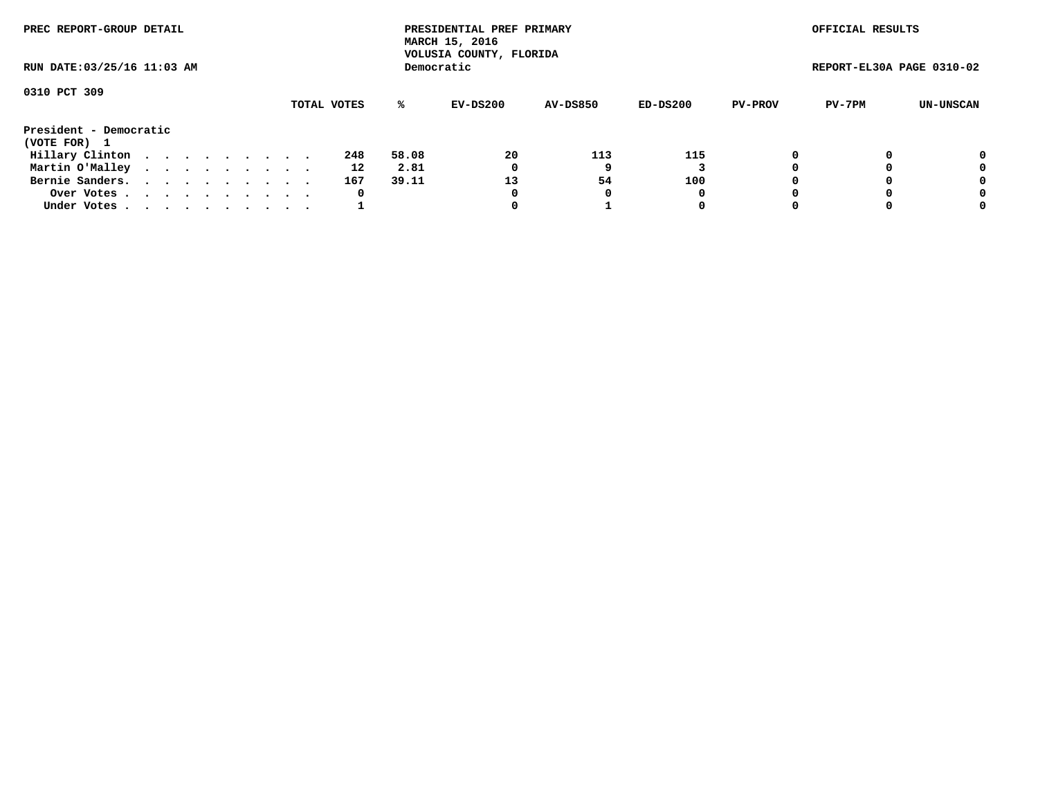| PREC REPORT-GROUP DETAIL               |  |  |  |  |             |       | PRESIDENTIAL PREF PRIMARY<br>MARCH 15, 2016<br>VOLUSIA COUNTY, FLORIDA |                 |          |                | OFFICIAL RESULTS          |           |
|----------------------------------------|--|--|--|--|-------------|-------|------------------------------------------------------------------------|-----------------|----------|----------------|---------------------------|-----------|
| RUN DATE: 03/25/16 11:03 AM            |  |  |  |  |             |       | Democratic                                                             |                 |          |                | REPORT-EL30A PAGE 0310-02 |           |
| 0310 PCT 309                           |  |  |  |  |             |       |                                                                        |                 |          |                |                           |           |
|                                        |  |  |  |  | TOTAL VOTES | ℁     | EV-DS200                                                               | <b>AV-DS850</b> | ED-DS200 | <b>PV-PROV</b> | PV-7PM                    | UN-UNSCAN |
| President - Democratic<br>(VOTE FOR) 1 |  |  |  |  |             |       |                                                                        |                 |          |                |                           |           |
| Hillary Clinton                        |  |  |  |  | 248         | 58.08 | 20                                                                     | 113             | 115      | 0              |                           | 0         |
| Martin O'Malley                        |  |  |  |  | 12          | 2.81  | 0                                                                      |                 |          |                |                           | 0         |
| Bernie Sanders.                        |  |  |  |  | 167         | 39.11 | 13                                                                     | 54              | 100      |                |                           | 0         |
| Over Votes.                            |  |  |  |  | 0           |       | 0                                                                      | 0               | 0        |                |                           | 0         |
| Under Votes.                           |  |  |  |  |             |       |                                                                        |                 | 0        |                |                           | 0         |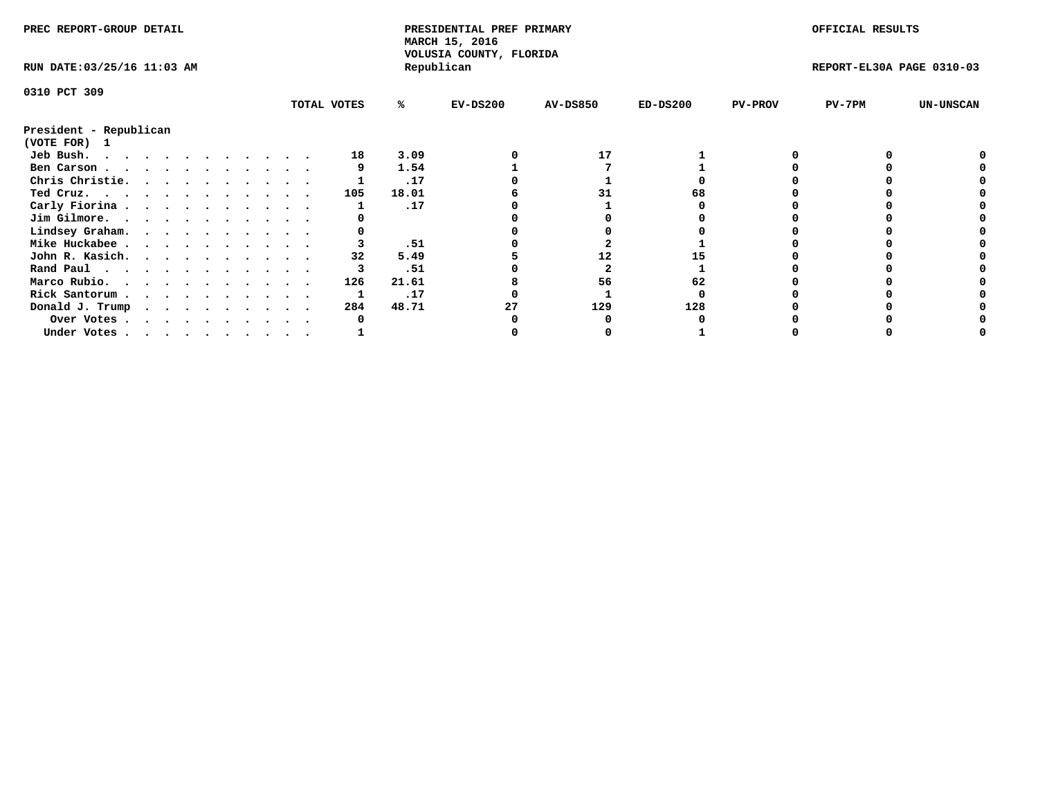| PREC REPORT-GROUP DETAIL    |             |       | PRESIDENTIAL PREF PRIMARY<br>MARCH 15, 2016<br>VOLUSIA COUNTY, FLORIDA |                 |            |                | OFFICIAL RESULTS          |                  |
|-----------------------------|-------------|-------|------------------------------------------------------------------------|-----------------|------------|----------------|---------------------------|------------------|
| RUN DATE: 03/25/16 11:03 AM |             |       | Republican                                                             |                 |            |                | REPORT-EL30A PAGE 0310-03 |                  |
| 0310 PCT 309                |             |       |                                                                        |                 |            |                |                           |                  |
|                             | TOTAL VOTES | ℁     | $EV-DS200$                                                             | <b>AV-DS850</b> | $ED-DS200$ | <b>PV-PROV</b> | $PV-7PM$                  | <b>UN-UNSCAN</b> |
| President - Republican      |             |       |                                                                        |                 |            |                |                           |                  |
| (VOTE FOR) 1                |             |       |                                                                        |                 |            |                |                           |                  |
| Jeb Bush.                   | 18          | 3.09  |                                                                        | 17              |            |                |                           |                  |
| Ben Carson                  |             | 1.54  |                                                                        |                 |            |                |                           |                  |
| Chris Christie.             |             | .17   |                                                                        |                 |            |                |                           |                  |
| Ted Cruz.                   | 105         | 18.01 |                                                                        |                 |            |                |                           |                  |
| Carly Fiorina               |             | .17   |                                                                        |                 |            |                |                           |                  |
| Jim Gilmore.                |             |       |                                                                        |                 |            |                |                           |                  |
| Lindsey Graham.             |             |       |                                                                        |                 |            |                |                           |                  |
| Mike Huckabee               |             | .51   |                                                                        |                 |            |                |                           |                  |
| John R. Kasich.             |             | 5.49  |                                                                        | 12              |            |                |                           |                  |
| Rand Paul                   |             | .51   |                                                                        |                 |            |                |                           |                  |
| Marco Rubio.                | 126         | 21.61 |                                                                        | 56              | 62         |                |                           |                  |
| Rick Santorum               |             | .17   |                                                                        |                 |            |                |                           |                  |
| Donald J. Trump             | 284         | 48.71 | 27                                                                     | 129             | 128        |                |                           |                  |
| Over Votes                  |             |       |                                                                        |                 |            |                |                           |                  |
| Under Votes                 |             |       |                                                                        |                 |            |                |                           |                  |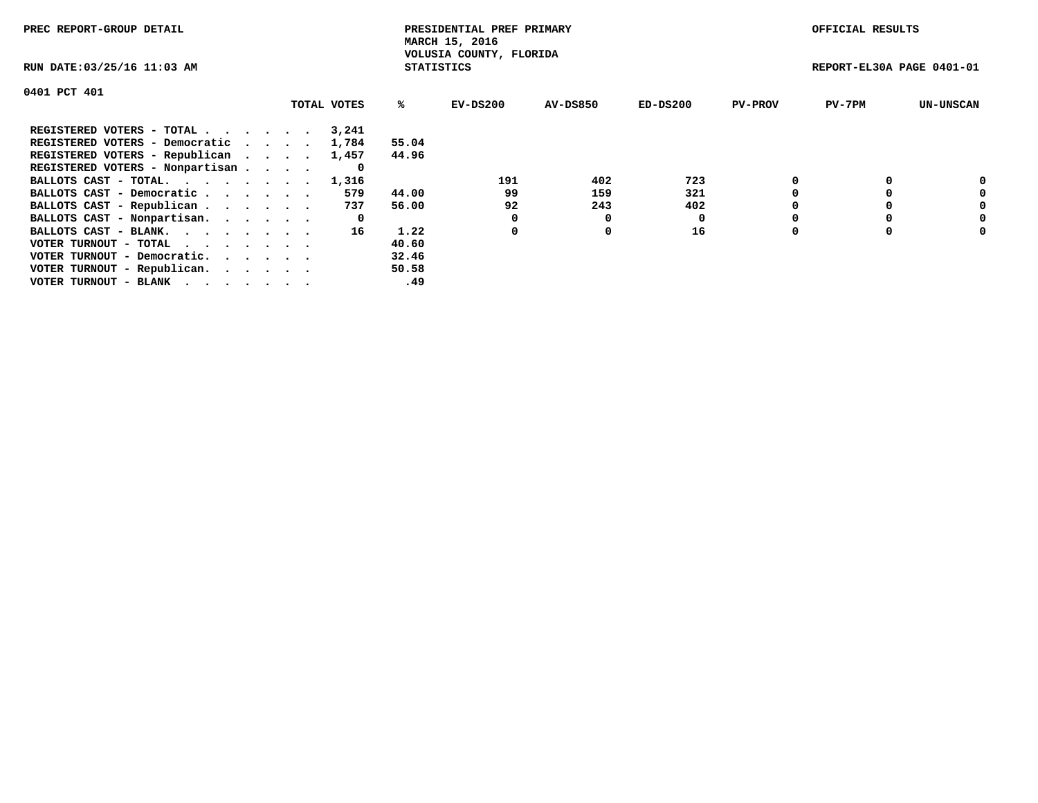| PREC REPORT-GROUP DETAIL                                    |             |                   | PRESIDENTIAL PREF PRIMARY<br>MARCH 15, 2016 |                 |            |                | OFFICIAL RESULTS          |                  |
|-------------------------------------------------------------|-------------|-------------------|---------------------------------------------|-----------------|------------|----------------|---------------------------|------------------|
| RUN DATE: 03/25/16 11:03 AM                                 |             | <b>STATISTICS</b> | VOLUSIA COUNTY, FLORIDA                     |                 |            |                | REPORT-EL30A PAGE 0401-01 |                  |
| 0401 PCT 401                                                |             |                   |                                             |                 |            |                |                           |                  |
|                                                             | TOTAL VOTES | ℁                 | EV-DS200                                    | <b>AV-DS850</b> | $ED-DS200$ | <b>PV-PROV</b> | $PV-7PM$                  | <b>UN-UNSCAN</b> |
| REGISTERED VOTERS - TOTAL                                   | 3,241       |                   |                                             |                 |            |                |                           |                  |
| REGISTERED VOTERS - Democratic                              | 1,784       | 55.04             |                                             |                 |            |                |                           |                  |
| REGISTERED VOTERS - Republican                              | 1,457       | 44.96             |                                             |                 |            |                |                           |                  |
| REGISTERED VOTERS - Nonpartisan                             | 0           |                   |                                             |                 |            |                |                           |                  |
| BALLOTS CAST - TOTAL. 1,316                                 |             |                   | 191                                         | 402             | 723        |                |                           | 0                |
| BALLOTS CAST - Democratic                                   | 579         | 44.00             | 99                                          | 159             | 321        |                |                           | 0                |
| BALLOTS CAST - Republican                                   | 737         | 56.00             | 92                                          | 243             | 402        |                |                           | 0                |
| BALLOTS CAST - Nonpartisan.                                 | 0           |                   |                                             | 0               | 0          |                |                           | 0                |
| BALLOTS CAST - BLANK.                                       | 16          | 1.22              | 0                                           | 0               | 16         |                |                           | 0                |
| VOTER TURNOUT - TOTAL $\cdot \cdot \cdot \cdot \cdot \cdot$ |             | 40.60             |                                             |                 |            |                |                           |                  |
| VOTER TURNOUT - Democratic.                                 |             | 32.46             |                                             |                 |            |                |                           |                  |
| VOTER TURNOUT - Republican.                                 |             | 50.58             |                                             |                 |            |                |                           |                  |
| VOTER TURNOUT - BLANK                                       |             | .49               |                                             |                 |            |                |                           |                  |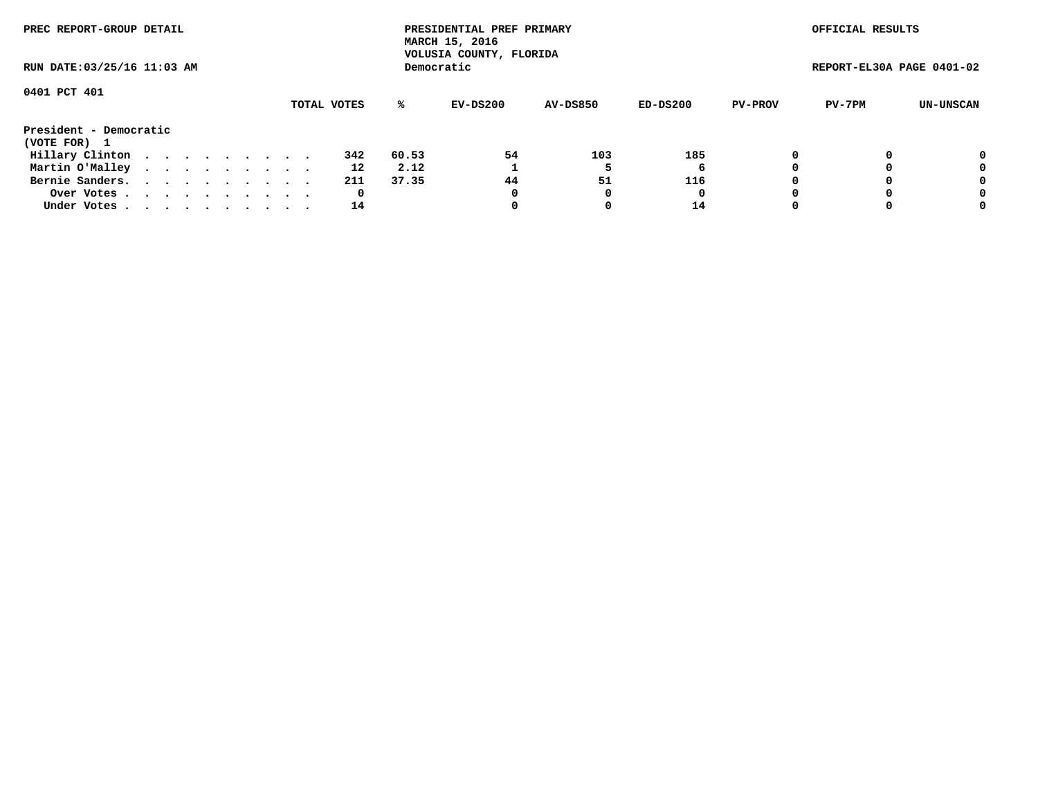| PREC REPORT-GROUP DETAIL               |  |  |  |  |             |       | PRESIDENTIAL PREF PRIMARY<br>MARCH 15, 2016<br>VOLUSIA COUNTY, FLORIDA |                 |            |                | OFFICIAL RESULTS          |           |
|----------------------------------------|--|--|--|--|-------------|-------|------------------------------------------------------------------------|-----------------|------------|----------------|---------------------------|-----------|
| RUN DATE: 03/25/16 11:03 AM            |  |  |  |  |             |       | Democratic                                                             |                 |            |                | REPORT-EL30A PAGE 0401-02 |           |
| 0401 PCT 401                           |  |  |  |  | TOTAL VOTES | ℁     | EV-DS200                                                               | <b>AV-DS850</b> | $ED-DS200$ | <b>PV-PROV</b> | PV-7PM                    | UN-UNSCAN |
| President - Democratic<br>(VOTE FOR) 1 |  |  |  |  |             |       |                                                                        |                 |            |                |                           |           |
| Hillary Clinton                        |  |  |  |  | 342         | 60.53 | 54                                                                     | 103             | 185        |                |                           | 0         |
| Martin O'Malley                        |  |  |  |  | 12          | 2.12  |                                                                        |                 | 6          |                |                           | 0         |
| Bernie Sanders.                        |  |  |  |  | 211         | 37.35 | 44                                                                     | 51              | 116        |                |                           | 0         |
| Over Votes                             |  |  |  |  | 0           |       | 0                                                                      |                 | 0          |                |                           | 0         |
| Under Votes                            |  |  |  |  | 14          |       |                                                                        |                 | 14         |                |                           | 0         |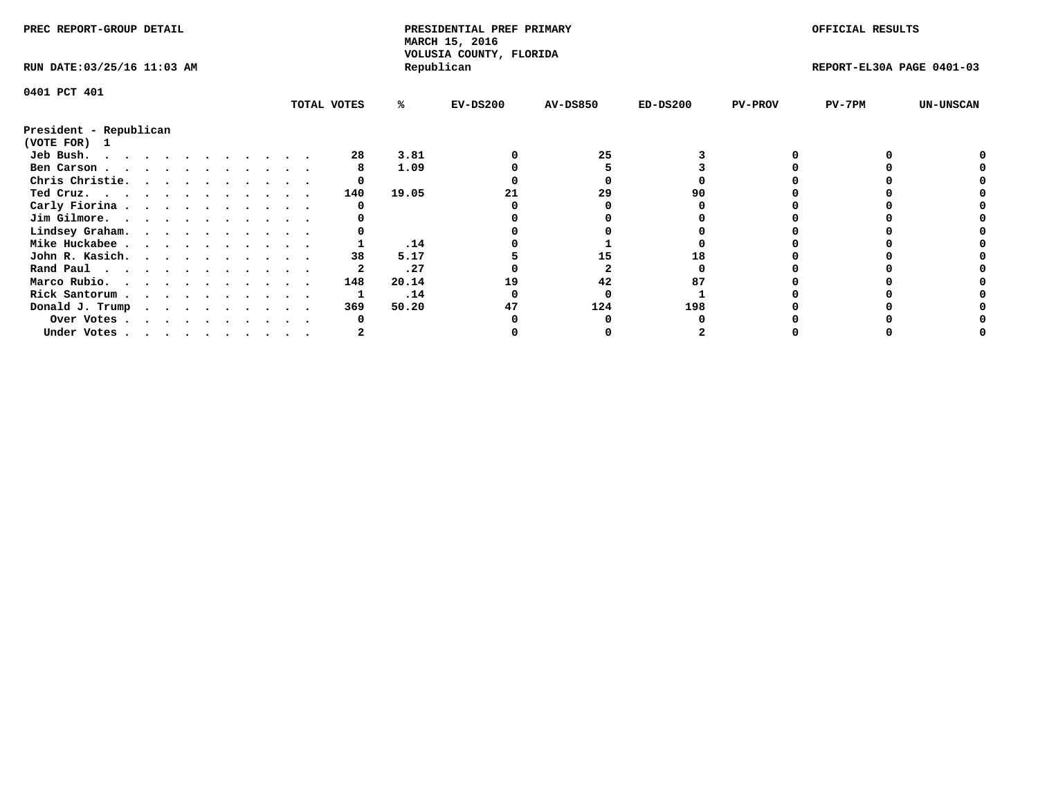| PREC REPORT-GROUP DETAIL    |  |  |  |  |             |       | PRESIDENTIAL PREF PRIMARY<br>MARCH 15, 2016<br>VOLUSIA COUNTY, FLORIDA |                 |            |                | OFFICIAL RESULTS          |                  |
|-----------------------------|--|--|--|--|-------------|-------|------------------------------------------------------------------------|-----------------|------------|----------------|---------------------------|------------------|
| RUN DATE: 03/25/16 11:03 AM |  |  |  |  |             |       | Republican                                                             |                 |            |                | REPORT-EL30A PAGE 0401-03 |                  |
| 0401 PCT 401                |  |  |  |  |             |       |                                                                        |                 |            |                |                           |                  |
|                             |  |  |  |  | TOTAL VOTES | %ะ    | $EV-DS200$                                                             | <b>AV-DS850</b> | $ED-DS200$ | <b>PV-PROV</b> | PV-7PM                    | <b>UN-UNSCAN</b> |
| President - Republican      |  |  |  |  |             |       |                                                                        |                 |            |                |                           |                  |
| (VOTE FOR) 1                |  |  |  |  |             |       |                                                                        |                 |            |                |                           |                  |
| Jeb Bush.                   |  |  |  |  | 28          | 3.81  |                                                                        | 25              |            |                |                           |                  |
| Ben Carson                  |  |  |  |  |             | 1.09  |                                                                        |                 |            |                |                           |                  |
| Chris Christie.             |  |  |  |  |             |       |                                                                        |                 |            |                |                           |                  |
| Ted Cruz.                   |  |  |  |  | 140         | 19.05 |                                                                        | 29              | 90         |                |                           |                  |
| Carly Fiorina               |  |  |  |  |             |       |                                                                        |                 |            |                |                           |                  |
| Jim Gilmore.                |  |  |  |  |             |       |                                                                        |                 |            |                |                           |                  |
| Lindsey Graham.             |  |  |  |  |             |       |                                                                        |                 |            |                |                           |                  |
| Mike Huckabee               |  |  |  |  |             | .14   |                                                                        |                 |            |                |                           |                  |
| John R. Kasich.             |  |  |  |  | 38          | 5.17  |                                                                        | 15              |            |                |                           |                  |
| Rand Paul                   |  |  |  |  |             | .27   |                                                                        |                 |            |                |                           |                  |
| Marco Rubio.                |  |  |  |  | 148         | 20.14 | 19                                                                     | 42              |            |                |                           |                  |
|                             |  |  |  |  |             | .14   |                                                                        |                 |            |                |                           |                  |
| Rick Santorum               |  |  |  |  |             |       |                                                                        |                 |            |                |                           |                  |
| Donald J. Trump             |  |  |  |  | 369         | 50.20 | 47                                                                     | 124             | 198        |                |                           |                  |
| Over Votes                  |  |  |  |  |             |       |                                                                        |                 |            |                |                           |                  |
| Under Votes                 |  |  |  |  |             |       |                                                                        |                 |            |                |                           |                  |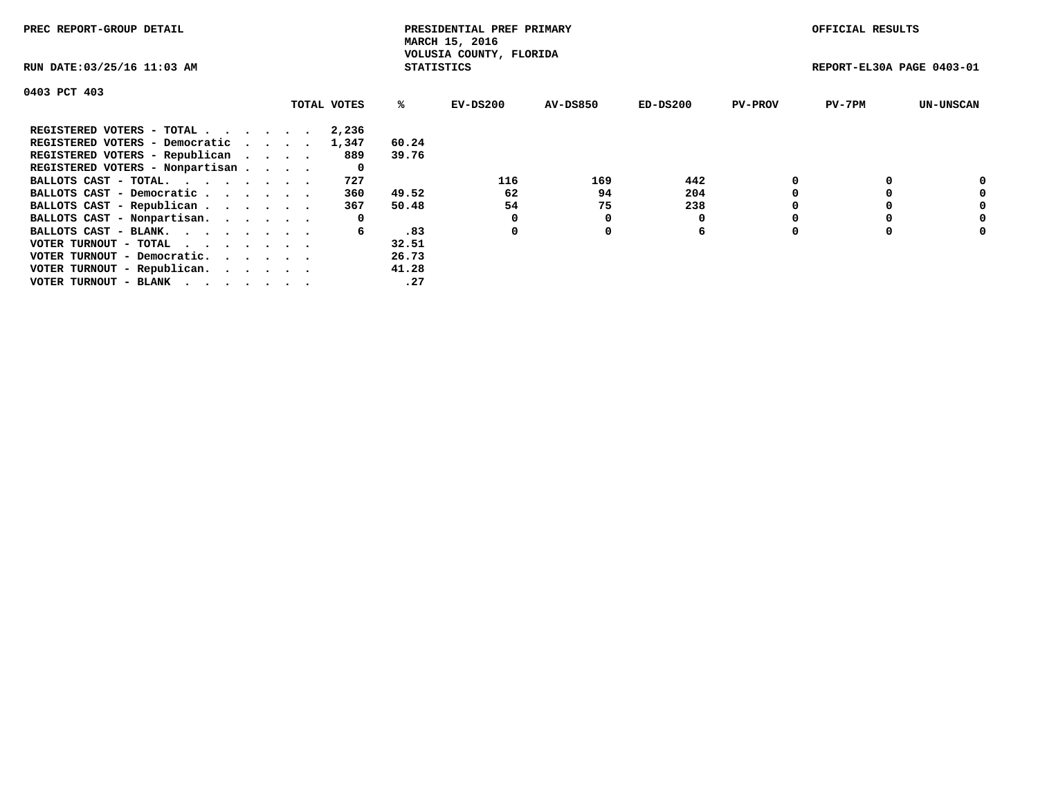| PREC REPORT-GROUP DETAIL                                    |             |                   | PRESIDENTIAL PREF PRIMARY<br>MARCH 15, 2016 |                 |            |                | OFFICIAL RESULTS          |                  |
|-------------------------------------------------------------|-------------|-------------------|---------------------------------------------|-----------------|------------|----------------|---------------------------|------------------|
| RUN DATE: 03/25/16 11:03 AM                                 |             | <b>STATISTICS</b> | VOLUSIA COUNTY, FLORIDA                     |                 |            |                | REPORT-EL30A PAGE 0403-01 |                  |
| 0403 PCT 403                                                |             |                   |                                             |                 |            |                |                           |                  |
|                                                             | TOTAL VOTES | ℁                 | EV-DS200                                    | <b>AV-DS850</b> | $ED-DS200$ | <b>PV-PROV</b> | $PV-7PM$                  | <b>UN-UNSCAN</b> |
| REGISTERED VOTERS - TOTAL                                   | 2,236       |                   |                                             |                 |            |                |                           |                  |
| REGISTERED VOTERS - Democratic                              | 1,347       | 60.24             |                                             |                 |            |                |                           |                  |
| REGISTERED VOTERS - Republican                              | 889         | 39.76             |                                             |                 |            |                |                           |                  |
| REGISTERED VOTERS - Nonpartisan                             | 0           |                   |                                             |                 |            |                |                           |                  |
| BALLOTS CAST - TOTAL.                                       | 727         |                   | 116                                         | 169             | 442        |                |                           | 0                |
| BALLOTS CAST - Democratic                                   | 360         | 49.52             | 62                                          | 94              | 204        |                |                           | 0                |
| BALLOTS CAST - Republican                                   | 367         | 50.48             | 54                                          | 75              | 238        |                |                           | 0                |
| BALLOTS CAST - Nonpartisan.                                 | 0           |                   |                                             |                 |            |                |                           | 0                |
| BALLOTS CAST - BLANK.                                       | 6           | .83               | 0                                           | 0               | 6          |                |                           | 0                |
| VOTER TURNOUT - TOTAL $\cdot \cdot \cdot \cdot \cdot \cdot$ |             | 32.51             |                                             |                 |            |                |                           |                  |
| VOTER TURNOUT - Democratic.                                 |             | 26.73             |                                             |                 |            |                |                           |                  |
| VOTER TURNOUT - Republican.                                 |             | 41.28             |                                             |                 |            |                |                           |                  |
| VOTER TURNOUT - BLANK                                       |             | .27               |                                             |                 |            |                |                           |                  |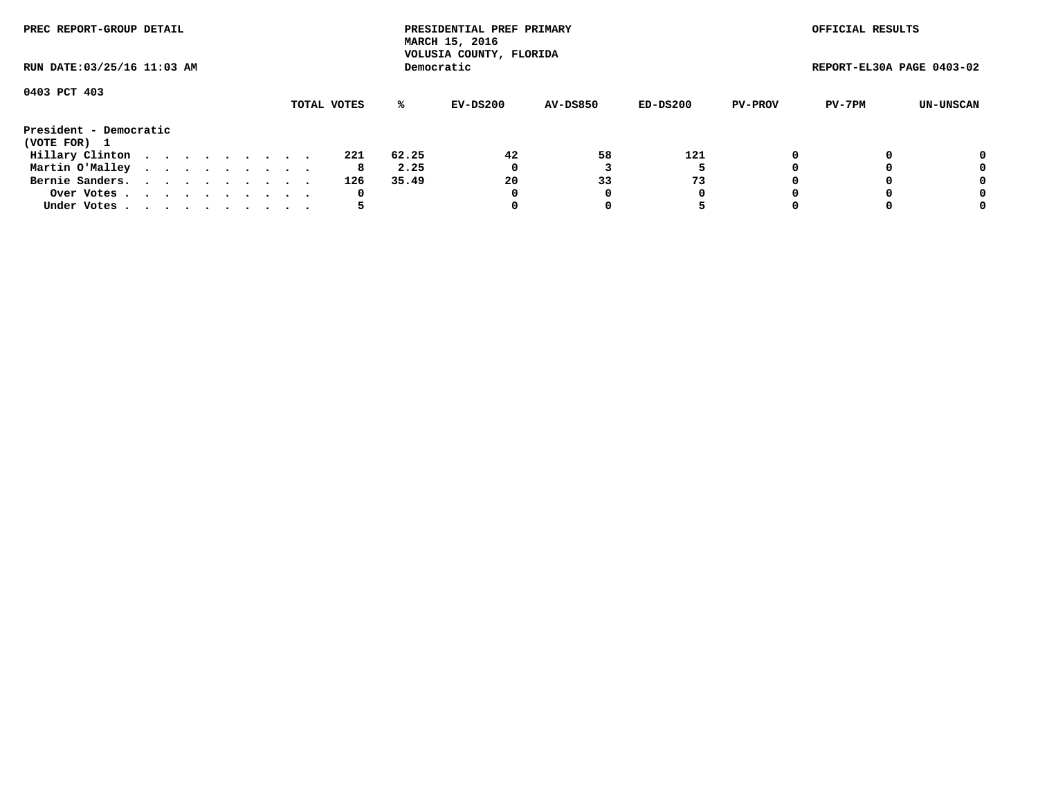| PREC REPORT-GROUP DETAIL               |  |  |  |  |             |           | PRESIDENTIAL PREF PRIMARY<br>MARCH 15, 2016<br>VOLUSIA COUNTY, FLORIDA |                 |            |                | OFFICIAL RESULTS          |           |
|----------------------------------------|--|--|--|--|-------------|-----------|------------------------------------------------------------------------|-----------------|------------|----------------|---------------------------|-----------|
| RUN DATE: 03/25/16 11:03 AM            |  |  |  |  |             |           | Democratic                                                             |                 |            |                | REPORT-EL30A PAGE 0403-02 |           |
| 0403 PCT 403                           |  |  |  |  | TOTAL VOTES | %ะ        | EV-DS200                                                               | <b>AV-DS850</b> | $ED-DS200$ | <b>PV-PROV</b> | PV-7PM                    | UN-UNSCAN |
| President - Democratic<br>(VOTE FOR) 1 |  |  |  |  |             |           |                                                                        |                 |            |                |                           |           |
| Hillary Clinton                        |  |  |  |  | 221         | 62.25     | 42                                                                     | 58              | 121        | 0              |                           | 0         |
| Martin O'Malley                        |  |  |  |  |             | 2.25<br>8 | 0                                                                      |                 |            |                |                           | 0         |
| Bernie Sanders.                        |  |  |  |  | 126         | 35.49     | 20                                                                     | 33              | 73         |                |                           | 0         |
| Over Votes                             |  |  |  |  |             | 0         | 0                                                                      | 0               | 0          |                |                           | 0         |
| Under Votes.                           |  |  |  |  |             |           |                                                                        |                 |            |                |                           | 0         |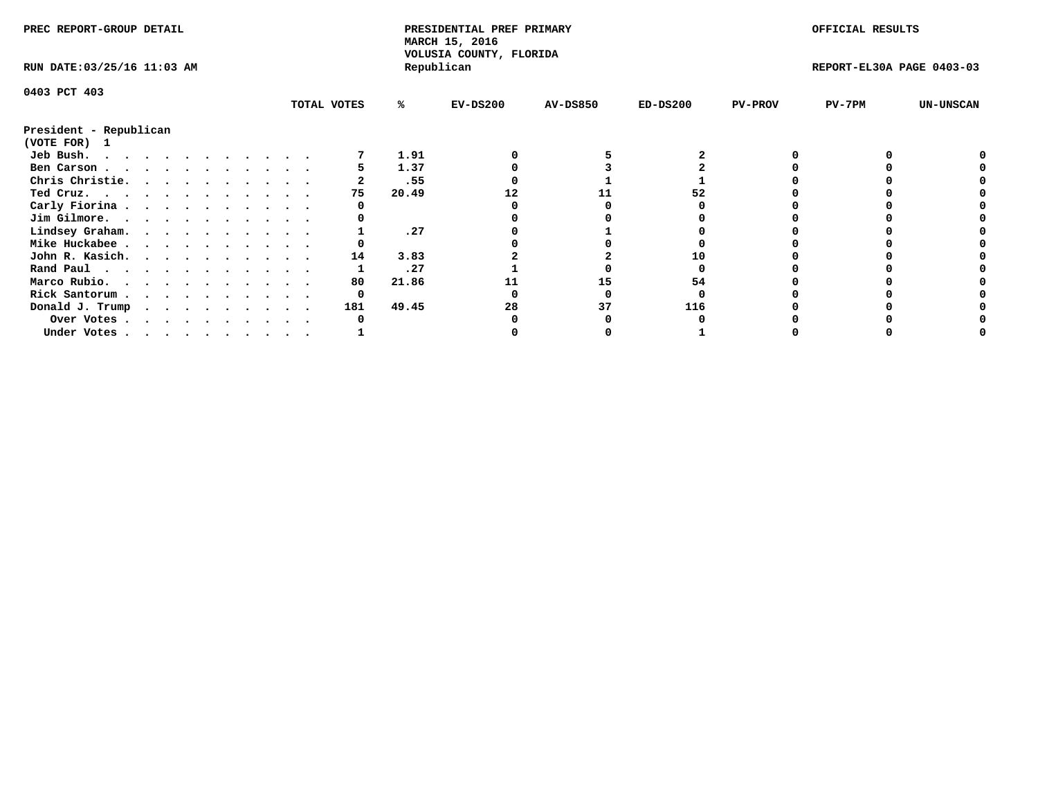| PREC REPORT-GROUP DETAIL    |  |  |  |  |  |             |       | PRESIDENTIAL PREF PRIMARY<br>MARCH 15, 2016<br>VOLUSIA COUNTY, FLORIDA |                 |            |                | OFFICIAL RESULTS          |                  |
|-----------------------------|--|--|--|--|--|-------------|-------|------------------------------------------------------------------------|-----------------|------------|----------------|---------------------------|------------------|
| RUN DATE: 03/25/16 11:03 AM |  |  |  |  |  |             |       | Republican                                                             |                 |            |                | REPORT-EL30A PAGE 0403-03 |                  |
| 0403 PCT 403                |  |  |  |  |  |             |       |                                                                        |                 |            |                |                           |                  |
|                             |  |  |  |  |  | TOTAL VOTES | %ะ    | $EV-DS200$                                                             | <b>AV-DS850</b> | $ED-DS200$ | <b>PV-PROV</b> | PV-7PM                    | <b>UN-UNSCAN</b> |
| President - Republican      |  |  |  |  |  |             |       |                                                                        |                 |            |                |                           |                  |
| (VOTE FOR) 1                |  |  |  |  |  |             |       |                                                                        |                 |            |                |                           |                  |
| Jeb Bush.                   |  |  |  |  |  |             | 1.91  |                                                                        |                 |            |                |                           |                  |
| Ben Carson                  |  |  |  |  |  |             | 1.37  |                                                                        |                 |            |                |                           |                  |
| Chris Christie.             |  |  |  |  |  |             | .55   |                                                                        |                 |            |                |                           |                  |
| Ted Cruz.                   |  |  |  |  |  | 75          | 20.49 |                                                                        |                 |            |                |                           |                  |
| Carly Fiorina               |  |  |  |  |  |             |       |                                                                        |                 |            |                |                           |                  |
| Jim Gilmore.                |  |  |  |  |  |             |       |                                                                        |                 |            |                |                           |                  |
| Lindsey Graham.             |  |  |  |  |  |             | .27   |                                                                        |                 |            |                |                           |                  |
| Mike Huckabee               |  |  |  |  |  |             |       |                                                                        |                 |            |                |                           |                  |
| John R. Kasich.             |  |  |  |  |  | 14          | 3.83  |                                                                        |                 |            |                |                           |                  |
| Rand Paul                   |  |  |  |  |  |             | .27   |                                                                        |                 |            |                |                           |                  |
| Marco Rubio.                |  |  |  |  |  | 80          | 21.86 |                                                                        | 15              | 54         |                |                           |                  |
| Rick Santorum               |  |  |  |  |  | 0           |       |                                                                        |                 |            |                |                           |                  |
| Donald J. Trump             |  |  |  |  |  | 181         | 49.45 | 28                                                                     | 37              | 116        |                |                           |                  |
| Over Votes                  |  |  |  |  |  |             |       |                                                                        |                 |            |                |                           |                  |
| Under Votes                 |  |  |  |  |  |             |       |                                                                        |                 |            |                |                           |                  |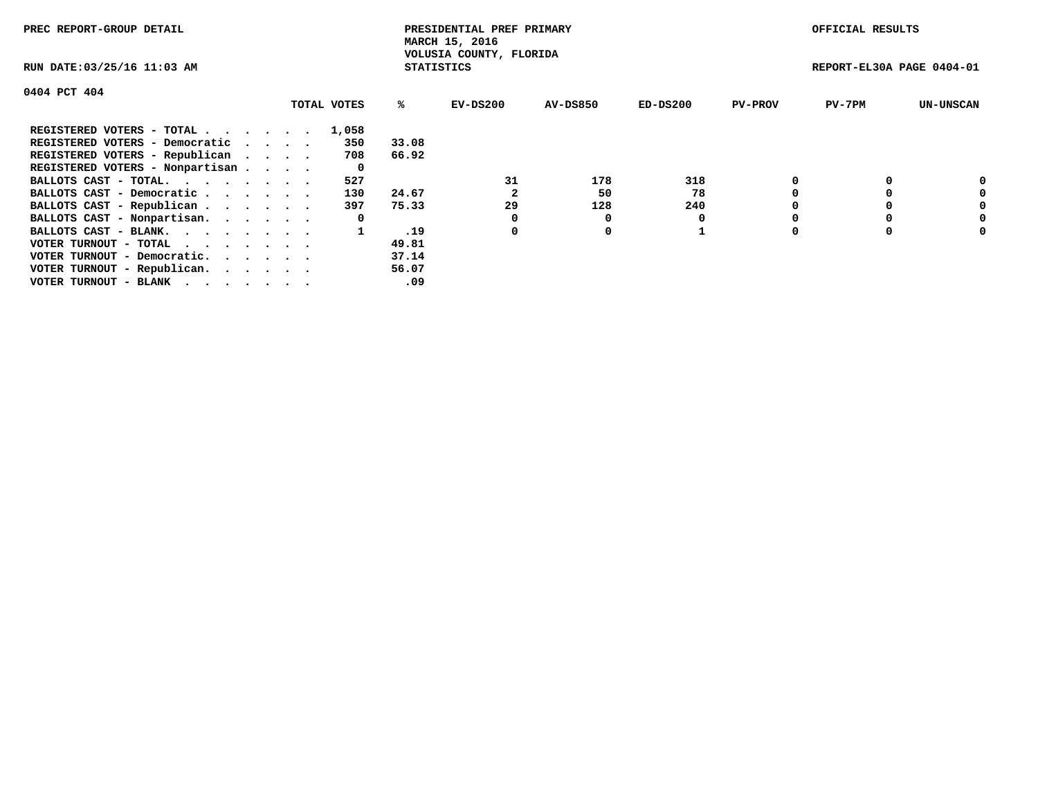| PREC REPORT-GROUP DETAIL                                    |             |                   | PRESIDENTIAL PREF PRIMARY<br>MARCH 15, 2016 |          |            |                | OFFICIAL RESULTS          |                  |
|-------------------------------------------------------------|-------------|-------------------|---------------------------------------------|----------|------------|----------------|---------------------------|------------------|
| RUN DATE: 03/25/16 11:03 AM                                 |             | <b>STATISTICS</b> | VOLUSIA COUNTY, FLORIDA                     |          |            |                | REPORT-EL30A PAGE 0404-01 |                  |
| 0404 PCT 404                                                |             |                   |                                             |          |            |                |                           |                  |
|                                                             | TOTAL VOTES | %ะ                | EV-DS200                                    | AV-DS850 | $ED-DS200$ | <b>PV-PROV</b> | $PV-7PM$                  | <b>UN-UNSCAN</b> |
| REGISTERED VOTERS - TOTAL                                   | 1,058       |                   |                                             |          |            |                |                           |                  |
| REGISTERED VOTERS - Democratic                              | 350         | 33.08             |                                             |          |            |                |                           |                  |
| REGISTERED VOTERS - Republican                              | 708         | 66.92             |                                             |          |            |                |                           |                  |
| REGISTERED VOTERS - Nonpartisan                             | 0           |                   |                                             |          |            |                |                           |                  |
| BALLOTS CAST - TOTAL.                                       | 527         |                   | 31                                          | 178      | 318        |                |                           | 0                |
| BALLOTS CAST - Democratic                                   | 130         | 24.67             |                                             | 50       | 78         |                |                           | 0                |
| BALLOTS CAST - Republican                                   | 397         | 75.33             | 29                                          | 128      | 240        |                |                           | 0                |
| BALLOTS CAST - Nonpartisan.                                 | 0           |                   |                                             | O        |            |                |                           | 0                |
| BALLOTS CAST - BLANK.                                       |             | .19               | 0                                           | 0        |            |                |                           | 0                |
| VOTER TURNOUT - TOTAL $\cdot \cdot \cdot \cdot \cdot \cdot$ |             | 49.81             |                                             |          |            |                |                           |                  |
| VOTER TURNOUT - Democratic.                                 |             | 37.14             |                                             |          |            |                |                           |                  |
| VOTER TURNOUT - Republican.                                 |             | 56.07             |                                             |          |            |                |                           |                  |
| VOTER TURNOUT - BLANK                                       |             | .09               |                                             |          |            |                |                           |                  |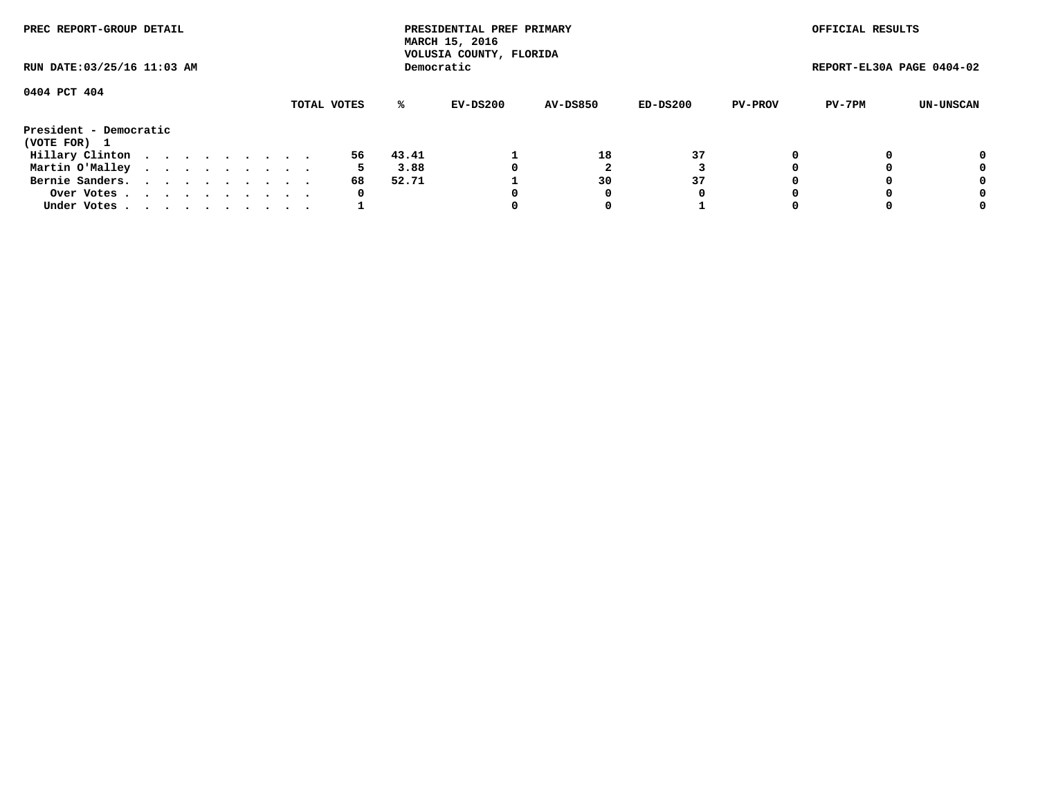| PREC REPORT-GROUP DETAIL<br>RUN DATE: 03/25/16 11:03 AM |             |  |  |  |  |  |  |  |  |    |       | PRESIDENTIAL PREF PRIMARY<br>MARCH 15, 2016<br>VOLUSIA COUNTY, FLORIDA |                 |          |                | OFFICIAL RESULTS          |           |
|---------------------------------------------------------|-------------|--|--|--|--|--|--|--|--|----|-------|------------------------------------------------------------------------|-----------------|----------|----------------|---------------------------|-----------|
|                                                         |             |  |  |  |  |  |  |  |  |    |       | Democratic                                                             |                 |          |                | REPORT-EL30A PAGE 0404-02 |           |
| 0404 PCT 404                                            | TOTAL VOTES |  |  |  |  |  |  |  |  |    |       |                                                                        |                 |          |                |                           |           |
|                                                         |             |  |  |  |  |  |  |  |  |    | %ะ    | EV-DS200                                                               | <b>AV-DS850</b> | ED-DS200 | <b>PV-PROV</b> | PV-7PM                    | UN-UNSCAN |
| President - Democratic<br>(VOTE FOR) 1                  |             |  |  |  |  |  |  |  |  |    |       |                                                                        |                 |          |                |                           |           |
| Hillary Clinton                                         |             |  |  |  |  |  |  |  |  | 56 | 43.41 |                                                                        | 18              | 37       |                |                           | 0         |
| Martin O'Malley                                         |             |  |  |  |  |  |  |  |  | 5. | 3.88  | 0                                                                      |                 |          |                |                           | 0         |
| Bernie Sanders.                                         |             |  |  |  |  |  |  |  |  | 68 | 52.71 |                                                                        | 30              | 37       |                |                           | 0         |
| Over Votes.                                             |             |  |  |  |  |  |  |  |  | 0  |       |                                                                        | 0               | 0        |                |                           | 0         |
| Under Votes.                                            |             |  |  |  |  |  |  |  |  |    |       |                                                                        |                 |          |                |                           | 0         |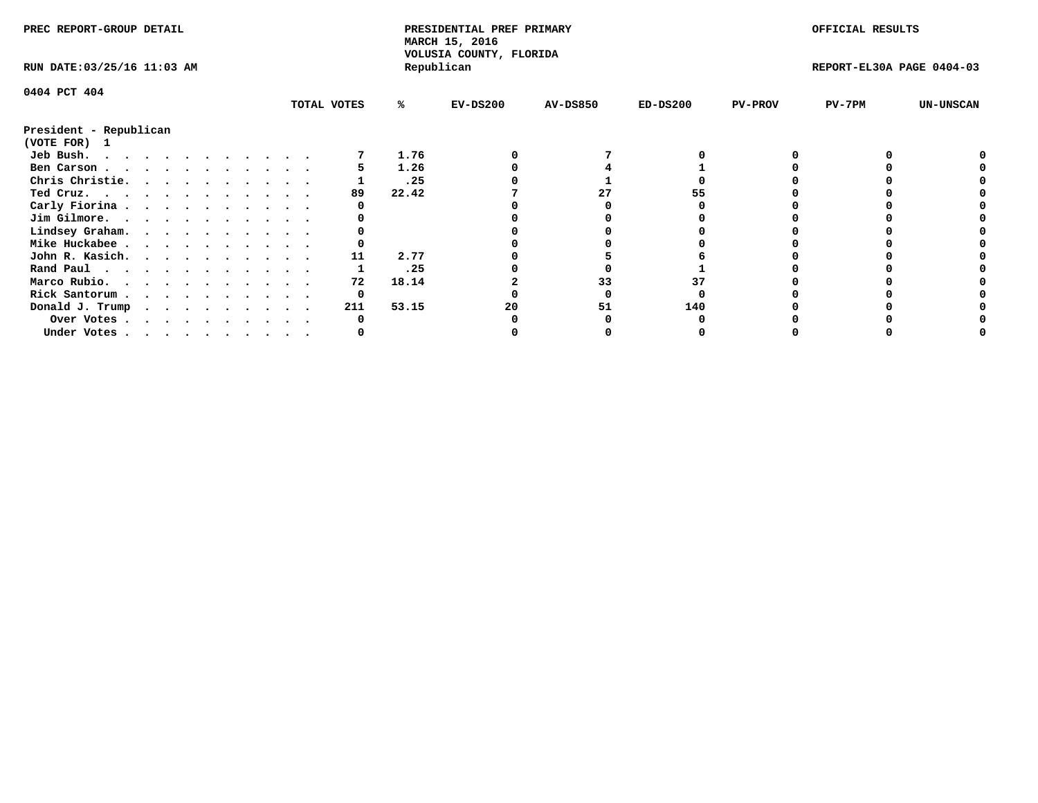| PREC REPORT-GROUP DETAIL                                                                                                                                                                                                                       |  |  |  |  |  |  |  |             | PRESIDENTIAL PREF PRIMARY<br>MARCH 15, 2016<br>VOLUSIA COUNTY, FLORIDA |            |                 |            | OFFICIAL RESULTS |                           |                  |
|------------------------------------------------------------------------------------------------------------------------------------------------------------------------------------------------------------------------------------------------|--|--|--|--|--|--|--|-------------|------------------------------------------------------------------------|------------|-----------------|------------|------------------|---------------------------|------------------|
| RUN DATE: 03/25/16 11:03 AM                                                                                                                                                                                                                    |  |  |  |  |  |  |  |             |                                                                        | Republican |                 |            |                  | REPORT-EL30A PAGE 0404-03 |                  |
| 0404 PCT 404                                                                                                                                                                                                                                   |  |  |  |  |  |  |  |             |                                                                        |            |                 |            |                  |                           |                  |
|                                                                                                                                                                                                                                                |  |  |  |  |  |  |  | TOTAL VOTES | %ะ                                                                     | $EV-DS200$ | <b>AV-DS850</b> | $ED-DS200$ | <b>PV-PROV</b>   | $PV-7PM$                  | <b>UN-UNSCAN</b> |
| President - Republican                                                                                                                                                                                                                         |  |  |  |  |  |  |  |             |                                                                        |            |                 |            |                  |                           |                  |
| (VOTE FOR) 1                                                                                                                                                                                                                                   |  |  |  |  |  |  |  |             |                                                                        |            |                 |            |                  |                           |                  |
| Jeb Bush.<br>$\mathbf{r}$ . The contract of the contract of the contract of the contract of the contract of the contract of the contract of the contract of the contract of the contract of the contract of the contract of the contract of th |  |  |  |  |  |  |  |             | 1.76                                                                   |            |                 |            |                  |                           |                  |
| Ben Carson                                                                                                                                                                                                                                     |  |  |  |  |  |  |  |             | 1.26                                                                   |            |                 |            |                  |                           |                  |
| Chris Christie.                                                                                                                                                                                                                                |  |  |  |  |  |  |  |             | .25                                                                    |            |                 |            |                  |                           |                  |
| Ted Cruz.                                                                                                                                                                                                                                      |  |  |  |  |  |  |  | 89          | 22.42                                                                  |            |                 |            |                  |                           |                  |
| Carly Fiorina                                                                                                                                                                                                                                  |  |  |  |  |  |  |  |             |                                                                        |            |                 |            |                  |                           |                  |
| Jim Gilmore.                                                                                                                                                                                                                                   |  |  |  |  |  |  |  |             |                                                                        |            |                 |            |                  |                           |                  |
| Lindsey Graham.                                                                                                                                                                                                                                |  |  |  |  |  |  |  |             |                                                                        |            |                 |            |                  |                           |                  |
| Mike Huckabee                                                                                                                                                                                                                                  |  |  |  |  |  |  |  |             |                                                                        |            |                 |            |                  |                           |                  |
| John R. Kasich.                                                                                                                                                                                                                                |  |  |  |  |  |  |  | 11          | 2.77                                                                   |            |                 |            |                  |                           |                  |
| Rand Paul                                                                                                                                                                                                                                      |  |  |  |  |  |  |  |             | .25                                                                    |            |                 |            |                  |                           |                  |
| Marco Rubio.                                                                                                                                                                                                                                   |  |  |  |  |  |  |  | 72          | 18.14                                                                  |            |                 |            |                  |                           |                  |
| Rick Santorum                                                                                                                                                                                                                                  |  |  |  |  |  |  |  | 0           |                                                                        |            |                 |            |                  |                           |                  |
| Donald J. Trump                                                                                                                                                                                                                                |  |  |  |  |  |  |  | 211         | 53.15                                                                  |            |                 | 140        |                  |                           |                  |
| Over Votes                                                                                                                                                                                                                                     |  |  |  |  |  |  |  |             |                                                                        |            |                 |            |                  |                           |                  |
| Under Votes                                                                                                                                                                                                                                    |  |  |  |  |  |  |  |             |                                                                        |            |                 |            |                  |                           |                  |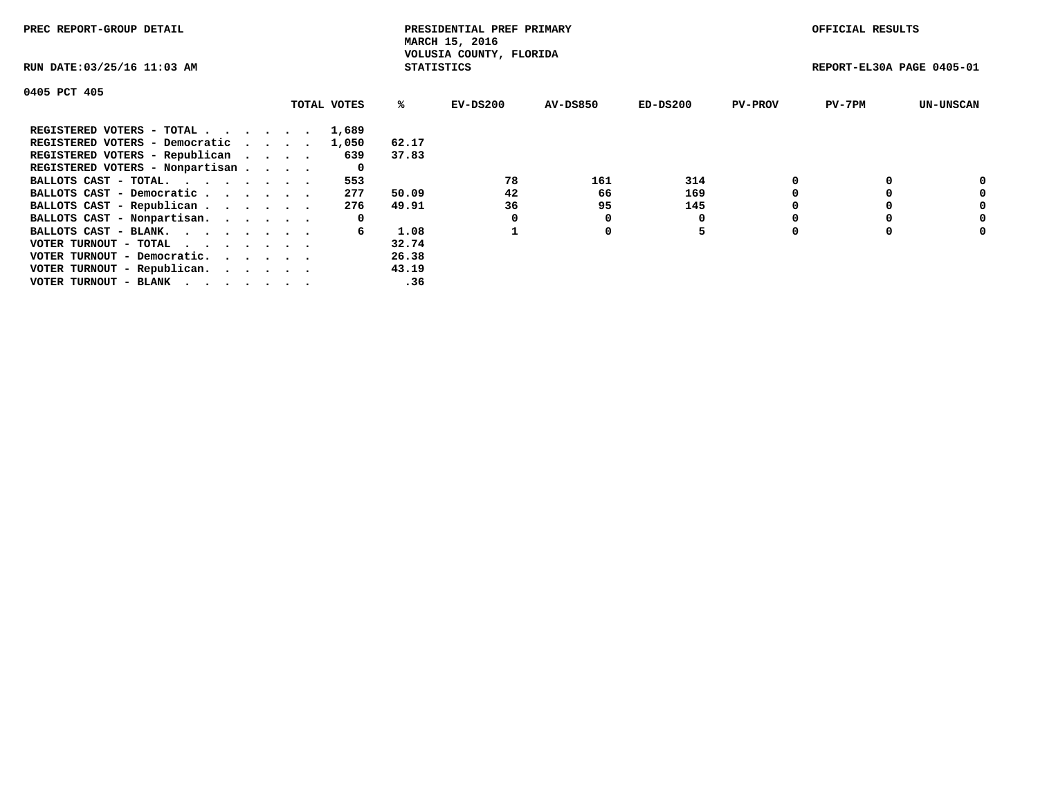| PREC REPORT-GROUP DETAIL        |             |                   | PRESIDENTIAL PREF PRIMARY<br>MARCH 15, 2016 |                 |          |                | OFFICIAL RESULTS          |                  |
|---------------------------------|-------------|-------------------|---------------------------------------------|-----------------|----------|----------------|---------------------------|------------------|
| RUN DATE: 03/25/16 11:03 AM     |             | <b>STATISTICS</b> | VOLUSIA COUNTY, FLORIDA                     |                 |          |                | REPORT-EL30A PAGE 0405-01 |                  |
| 0405 PCT 405                    |             |                   |                                             |                 |          |                |                           |                  |
|                                 | TOTAL VOTES | %ະ                | EV-DS200                                    | <b>AV-DS850</b> | ED-DS200 | <b>PV-PROV</b> | $PV-7PM$                  | <b>UN-UNSCAN</b> |
| REGISTERED VOTERS - TOTAL       | 1,689       |                   |                                             |                 |          |                |                           |                  |
| REGISTERED VOTERS - Democratic  | 1,050       | 62.17             |                                             |                 |          |                |                           |                  |
| REGISTERED VOTERS - Republican  | 639         | 37.83             |                                             |                 |          |                |                           |                  |
| REGISTERED VOTERS - Nonpartisan | 0           |                   |                                             |                 |          |                |                           |                  |
| BALLOTS CAST - TOTAL.           | 553         |                   | 78                                          | 161             | 314      |                |                           | 0                |
| BALLOTS CAST - Democratic       | 277         | 50.09             | 42                                          | 66              | 169      |                |                           | 0                |
| BALLOTS CAST - Republican       | 276         | 49.91             | 36                                          | 95              | 145      |                |                           | 0                |
| BALLOTS CAST - Nonpartisan.     | 0           |                   |                                             |                 | 0        |                |                           | 0                |
| BALLOTS CAST - BLANK.           | 6           | 1.08              |                                             | 0               | 5        |                |                           | 0                |
| VOTER TURNOUT - TOTAL           |             | 32.74             |                                             |                 |          |                |                           |                  |
| VOTER TURNOUT - Democratic.     |             | 26.38             |                                             |                 |          |                |                           |                  |
| VOTER TURNOUT - Republican.     |             | 43.19             |                                             |                 |          |                |                           |                  |
| VOTER TURNOUT - BLANK           |             | .36               |                                             |                 |          |                |                           |                  |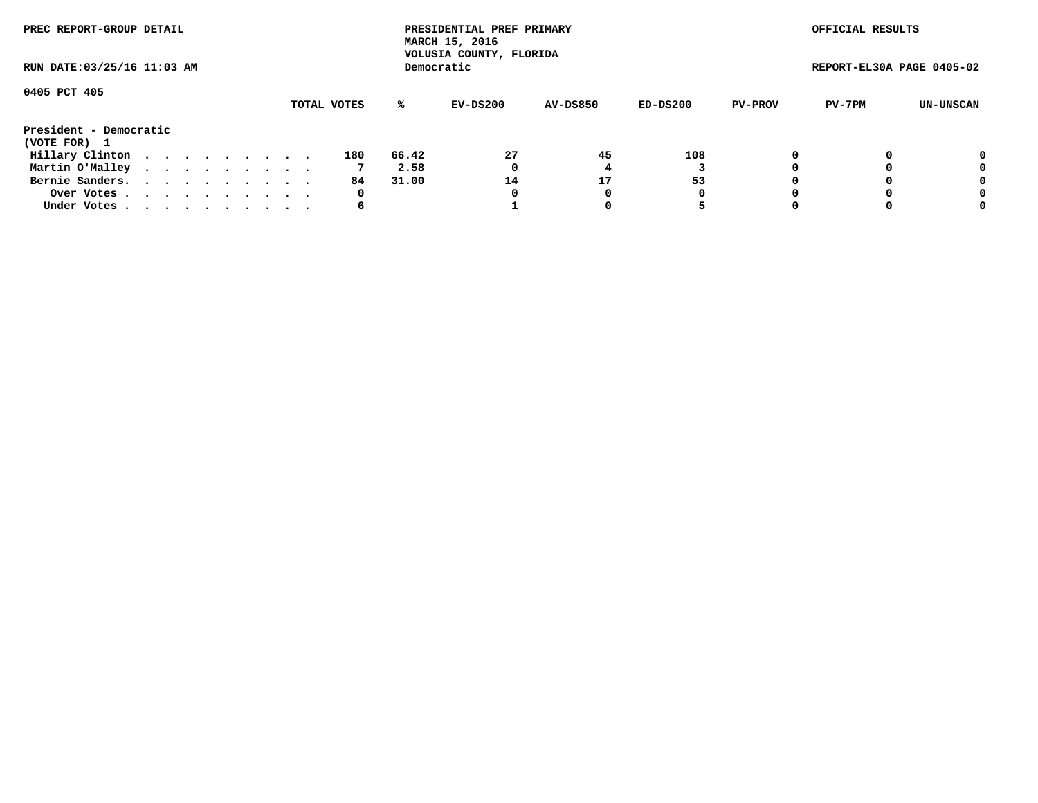| PREC REPORT-GROUP DETAIL<br>RUN DATE: 03/25/16 11:03 AM |             |  |  |  |  |  |  |  |  |     |       | PRESIDENTIAL PREF PRIMARY<br>MARCH 15, 2016<br>VOLUSIA COUNTY, FLORIDA |                 |          |                | OFFICIAL RESULTS          |           |
|---------------------------------------------------------|-------------|--|--|--|--|--|--|--|--|-----|-------|------------------------------------------------------------------------|-----------------|----------|----------------|---------------------------|-----------|
|                                                         |             |  |  |  |  |  |  |  |  |     |       | Democratic                                                             |                 |          |                | REPORT-EL30A PAGE 0405-02 |           |
| 0405 PCT 405                                            | TOTAL VOTES |  |  |  |  |  |  |  |  |     | %ะ    | EV-DS200                                                               | <b>AV-DS850</b> | ED-DS200 | <b>PV-PROV</b> | PV-7PM                    | UN-UNSCAN |
| President - Democratic                                  |             |  |  |  |  |  |  |  |  |     |       |                                                                        |                 |          |                |                           |           |
| (VOTE FOR) 1                                            |             |  |  |  |  |  |  |  |  |     |       |                                                                        |                 |          |                |                           |           |
| Hillary Clinton                                         |             |  |  |  |  |  |  |  |  | 180 | 66.42 | 27                                                                     | 45              | 108      | $\Omega$       |                           | 0         |
| Martin O'Malley                                         |             |  |  |  |  |  |  |  |  |     | 2.58  | 0                                                                      |                 |          |                |                           | 0         |
| Bernie Sanders.                                         |             |  |  |  |  |  |  |  |  | 84. | 31.00 | 14                                                                     | 17              | 53       |                |                           | 0         |
| Over Votes                                              |             |  |  |  |  |  |  |  |  | 0   |       | 0                                                                      | 0               | 0        |                |                           | 0         |
| Under Votes.                                            |             |  |  |  |  |  |  |  |  | 6   |       |                                                                        |                 |          |                |                           | 0         |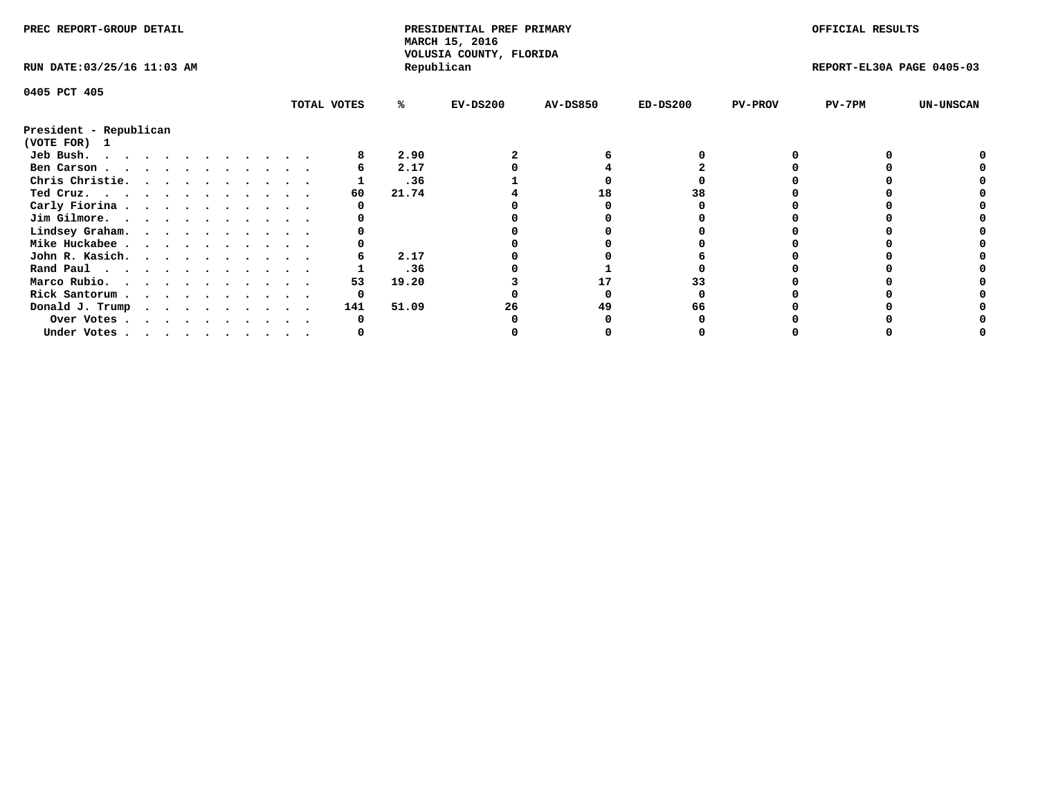| PREC REPORT-GROUP DETAIL               |  |  |  |  |  |  |                        |             | PRESIDENTIAL PREF PRIMARY<br>MARCH 15, 2016 |                                       |                 |            | OFFICIAL RESULTS |                           |                  |
|----------------------------------------|--|--|--|--|--|--|------------------------|-------------|---------------------------------------------|---------------------------------------|-----------------|------------|------------------|---------------------------|------------------|
| RUN DATE: 03/25/16 11:03 AM            |  |  |  |  |  |  |                        |             |                                             | VOLUSIA COUNTY, FLORIDA<br>Republican |                 |            |                  | REPORT-EL30A PAGE 0405-03 |                  |
| 0405 PCT 405                           |  |  |  |  |  |  |                        |             |                                             |                                       |                 |            |                  |                           |                  |
|                                        |  |  |  |  |  |  |                        | TOTAL VOTES | %ะ                                          | $EV-DS200$                            | <b>AV-DS850</b> | $ED-DS200$ | <b>PV-PROV</b>   | $PV-7PM$                  | <b>UN-UNSCAN</b> |
| President - Republican<br>(VOTE FOR) 1 |  |  |  |  |  |  |                        |             |                                             |                                       |                 |            |                  |                           |                  |
| Jeb Bush.                              |  |  |  |  |  |  |                        |             | 2.90                                        |                                       |                 |            |                  |                           |                  |
| Ben Carson                             |  |  |  |  |  |  |                        |             | 2.17                                        |                                       |                 |            |                  |                           |                  |
| Chris Christie.                        |  |  |  |  |  |  | $\ddot{\phantom{1}}$ . |             | .36                                         |                                       |                 |            |                  |                           |                  |
| Ted Cruz.                              |  |  |  |  |  |  |                        | 60          | 21.74                                       |                                       | 18              | 38         |                  |                           |                  |
| Carly Fiorina                          |  |  |  |  |  |  |                        |             |                                             |                                       |                 |            |                  |                           |                  |
| Jim Gilmore.                           |  |  |  |  |  |  |                        |             |                                             |                                       |                 |            |                  |                           |                  |
| Lindsey Graham.                        |  |  |  |  |  |  |                        |             |                                             |                                       |                 |            |                  |                           |                  |
| Mike Huckabee                          |  |  |  |  |  |  |                        |             |                                             |                                       |                 |            |                  |                           |                  |
| John R. Kasich.                        |  |  |  |  |  |  |                        |             | 2.17                                        |                                       |                 |            |                  |                           |                  |
| Rand Paul                              |  |  |  |  |  |  |                        |             | .36                                         |                                       |                 |            |                  |                           |                  |
| Marco Rubio.                           |  |  |  |  |  |  |                        | 53          | 19.20                                       |                                       | 17              |            |                  |                           |                  |
|                                        |  |  |  |  |  |  |                        | 0           |                                             |                                       |                 |            |                  |                           |                  |
| Rick Santorum                          |  |  |  |  |  |  |                        |             |                                             |                                       |                 |            |                  |                           |                  |
| Donald J. Trump                        |  |  |  |  |  |  |                        | 141         | 51.09                                       | 26                                    | 49              |            |                  |                           |                  |
| Over Votes                             |  |  |  |  |  |  |                        |             |                                             |                                       |                 |            |                  |                           |                  |
| Under Votes.                           |  |  |  |  |  |  |                        |             |                                             |                                       |                 |            |                  |                           |                  |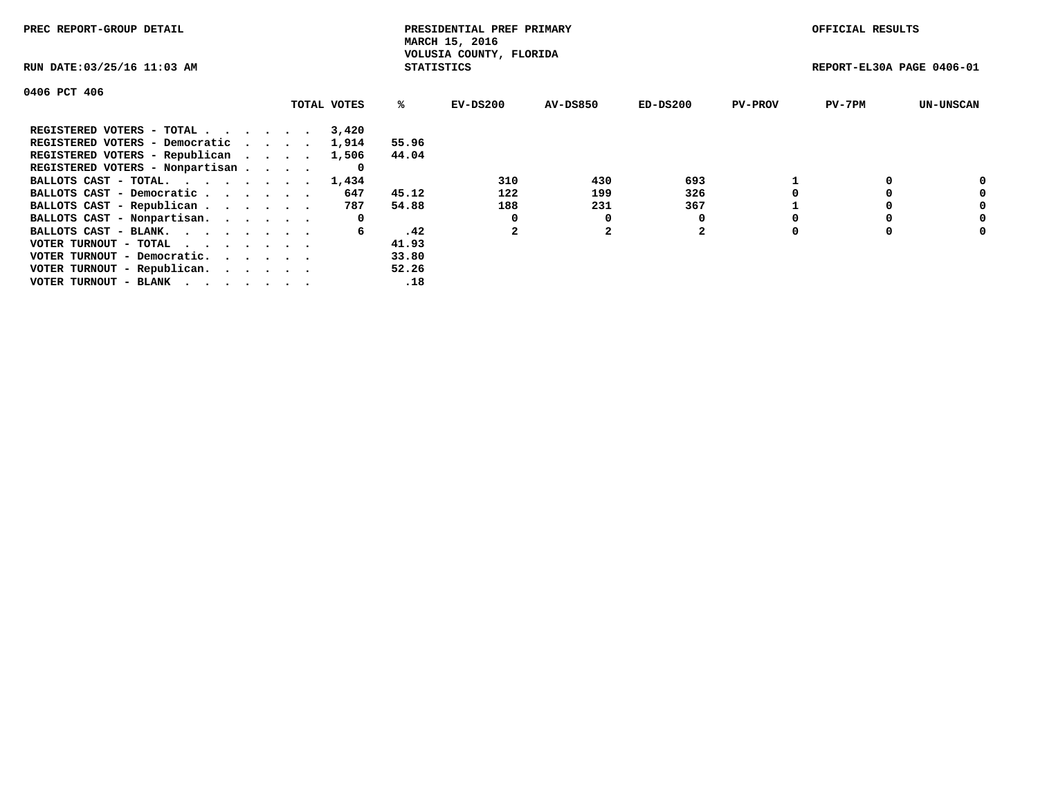| PREC REPORT-GROUP DETAIL                                    |             |                   | PRESIDENTIAL PREF PRIMARY<br>MARCH 15, 2016 |          |                |                | OFFICIAL RESULTS          |                  |
|-------------------------------------------------------------|-------------|-------------------|---------------------------------------------|----------|----------------|----------------|---------------------------|------------------|
| RUN DATE: 03/25/16 11:03 AM                                 |             | <b>STATISTICS</b> | VOLUSIA COUNTY, FLORIDA                     |          |                |                | REPORT-EL30A PAGE 0406-01 |                  |
| 0406 PCT 406                                                |             |                   |                                             |          |                |                |                           |                  |
|                                                             | TOTAL VOTES | ℁                 | EV-DS200                                    | AV-DS850 | $ED-DS200$     | <b>PV-PROV</b> | $PV-7PM$                  | <b>UN-UNSCAN</b> |
| REGISTERED VOTERS - TOTAL                                   | 3,420       |                   |                                             |          |                |                |                           |                  |
| REGISTERED VOTERS - Democratic                              | 1,914       | 55.96             |                                             |          |                |                |                           |                  |
| REGISTERED VOTERS - Republican                              | 1,506       | 44.04             |                                             |          |                |                |                           |                  |
| REGISTERED VOTERS - Nonpartisan                             | 0           |                   |                                             |          |                |                |                           |                  |
| BALLOTS CAST - TOTAL.                                       | 1,434       |                   | 310                                         | 430      | 693            |                |                           | 0                |
| BALLOTS CAST - Democratic                                   | 647         | 45.12             | 122                                         | 199      | 326            |                |                           | 0                |
| BALLOTS CAST - Republican                                   | 787         | 54.88             | 188                                         | 231      | 367            |                |                           | 0                |
| BALLOTS CAST - Nonpartisan.                                 | 0           |                   | 0                                           | 0        |                |                |                           | 0                |
| BALLOTS CAST - BLANK.                                       | 6           | .42               |                                             |          | $\overline{2}$ |                |                           | 0                |
| VOTER TURNOUT - TOTAL $\cdot \cdot \cdot \cdot \cdot \cdot$ |             | 41.93             |                                             |          |                |                |                           |                  |
| VOTER TURNOUT - Democratic.                                 |             | 33.80             |                                             |          |                |                |                           |                  |
| VOTER TURNOUT - Republican.                                 |             | 52.26             |                                             |          |                |                |                           |                  |
| VOTER TURNOUT - BLANK                                       |             | .18               |                                             |          |                |                |                           |                  |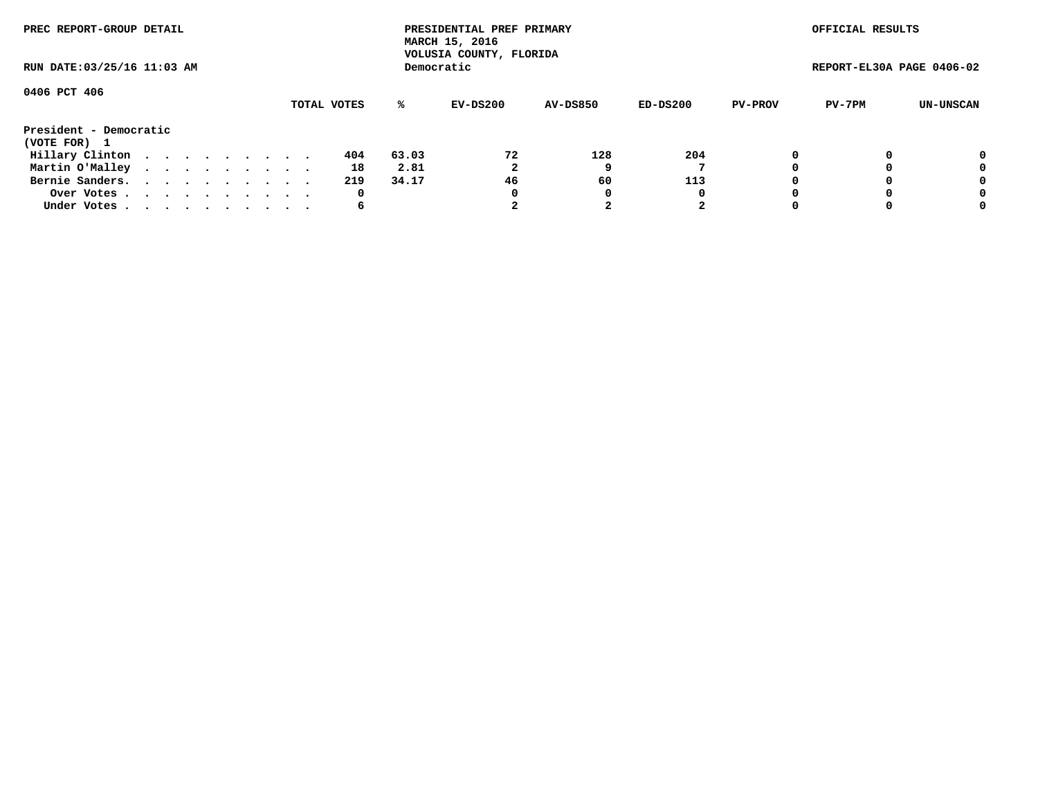| PREC REPORT-GROUP DETAIL<br>RUN DATE: 03/25/16 11:03 AM |  |  |  |  |  |  |  |  |             |       | PRESIDENTIAL PREF PRIMARY<br>MARCH 15, 2016<br>VOLUSIA COUNTY, FLORIDA |                 |          |                | OFFICIAL RESULTS          |           |
|---------------------------------------------------------|--|--|--|--|--|--|--|--|-------------|-------|------------------------------------------------------------------------|-----------------|----------|----------------|---------------------------|-----------|
|                                                         |  |  |  |  |  |  |  |  |             |       | Democratic                                                             |                 |          |                | REPORT-EL30A PAGE 0406-02 |           |
| 0406 PCT 406                                            |  |  |  |  |  |  |  |  |             |       |                                                                        |                 |          |                |                           |           |
|                                                         |  |  |  |  |  |  |  |  | TOTAL VOTES | ℁     | EV-DS200                                                               | <b>AV-DS850</b> | ED-DS200 | <b>PV-PROV</b> | PV-7PM                    | UN-UNSCAN |
| President - Democratic                                  |  |  |  |  |  |  |  |  |             |       |                                                                        |                 |          |                |                           |           |
| (VOTE FOR) 1                                            |  |  |  |  |  |  |  |  |             |       |                                                                        |                 |          |                |                           |           |
| Hillary Clinton                                         |  |  |  |  |  |  |  |  | 404         | 63.03 | 72                                                                     | 128             | 204      |                |                           | 0         |
| Martin O'Malley                                         |  |  |  |  |  |  |  |  | 18          | 2.81  | 2                                                                      |                 |          |                |                           | 0         |
| Bernie Sanders.                                         |  |  |  |  |  |  |  |  | 219         | 34.17 | 46                                                                     | 60              | 113      |                |                           | 0         |
| Over Votes.                                             |  |  |  |  |  |  |  |  | 0           |       | 0                                                                      | 0               | 0        |                |                           | 0         |
| Under Votes                                             |  |  |  |  |  |  |  |  | 6           |       |                                                                        |                 | 2        |                |                           | 0         |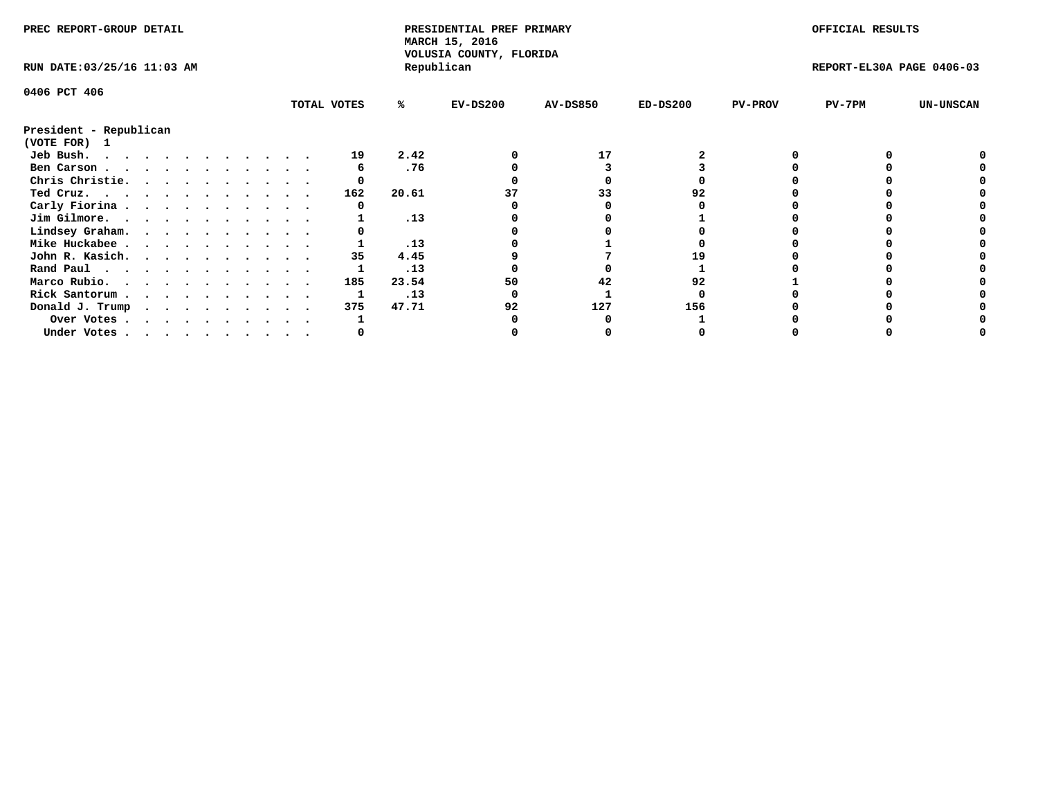| PREC REPORT-GROUP DETAIL               |  |  |  |  |  |  |  |             | PRESIDENTIAL PREF PRIMARY<br>MARCH 15, 2016<br>VOLUSIA COUNTY, FLORIDA |            |                 |            | OFFICIAL RESULTS |                           |                  |
|----------------------------------------|--|--|--|--|--|--|--|-------------|------------------------------------------------------------------------|------------|-----------------|------------|------------------|---------------------------|------------------|
| RUN DATE: 03/25/16 11:03 AM            |  |  |  |  |  |  |  |             |                                                                        | Republican |                 |            |                  | REPORT-EL30A PAGE 0406-03 |                  |
| 0406 PCT 406                           |  |  |  |  |  |  |  |             |                                                                        |            |                 |            |                  |                           |                  |
|                                        |  |  |  |  |  |  |  | TOTAL VOTES | ℁                                                                      | $EV-DS200$ | <b>AV-DS850</b> | $ED-DS200$ | <b>PV-PROV</b>   | $PV-7PM$                  | <b>UN-UNSCAN</b> |
| President - Republican<br>(VOTE FOR) 1 |  |  |  |  |  |  |  |             |                                                                        |            |                 |            |                  |                           |                  |
| Jeb Bush.                              |  |  |  |  |  |  |  | 19          | 2.42                                                                   |            | 17              |            |                  |                           |                  |
| Ben Carson                             |  |  |  |  |  |  |  |             | .76                                                                    |            |                 |            |                  |                           |                  |
| Chris Christie.                        |  |  |  |  |  |  |  |             |                                                                        |            |                 |            |                  |                           |                  |
| Ted Cruz.                              |  |  |  |  |  |  |  | 162         | 20.61                                                                  |            | 33              | 92         |                  |                           |                  |
| Carly Fiorina                          |  |  |  |  |  |  |  |             |                                                                        |            |                 |            |                  |                           |                  |
| Jim Gilmore.                           |  |  |  |  |  |  |  |             | .13                                                                    |            |                 |            |                  |                           |                  |
| Lindsey Graham.                        |  |  |  |  |  |  |  |             |                                                                        |            |                 |            |                  |                           |                  |
| Mike Huckabee                          |  |  |  |  |  |  |  |             | .13                                                                    |            |                 |            |                  |                           |                  |
| John R. Kasich.                        |  |  |  |  |  |  |  | 35          | 4.45                                                                   |            |                 |            |                  |                           |                  |
| Rand Paul                              |  |  |  |  |  |  |  |             | .13                                                                    |            |                 |            |                  |                           |                  |
| Marco Rubio.                           |  |  |  |  |  |  |  | 185         | 23.54                                                                  | 50         | 42              | 92         |                  |                           |                  |
| Rick Santorum                          |  |  |  |  |  |  |  |             | .13                                                                    |            |                 |            |                  |                           |                  |
|                                        |  |  |  |  |  |  |  | 375         | 47.71                                                                  | 92         | 127             | 156        |                  |                           |                  |
| Donald J. Trump                        |  |  |  |  |  |  |  |             |                                                                        |            |                 |            |                  |                           |                  |
| Over Votes                             |  |  |  |  |  |  |  |             |                                                                        |            |                 |            |                  |                           |                  |
| Under Votes                            |  |  |  |  |  |  |  |             |                                                                        |            |                 |            |                  |                           |                  |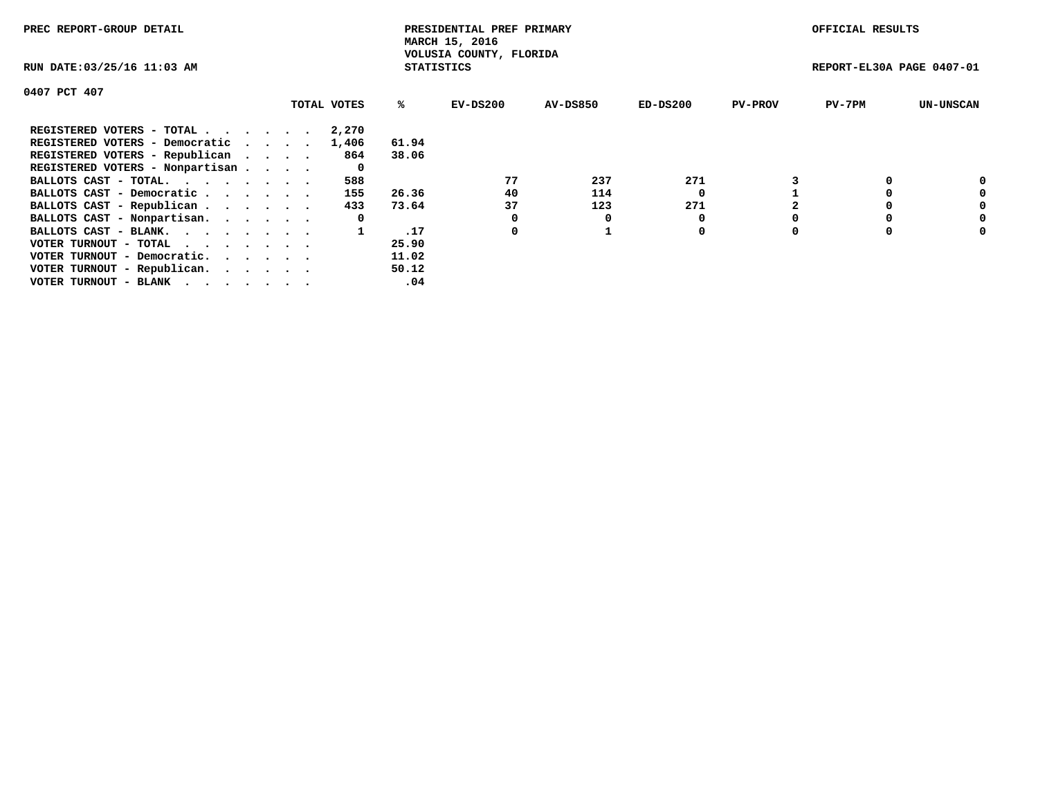| PREC REPORT-GROUP DETAIL        |             |                   | PRESIDENTIAL PREF PRIMARY<br>MARCH 15, 2016 |                 |          |                | OFFICIAL RESULTS          |                  |
|---------------------------------|-------------|-------------------|---------------------------------------------|-----------------|----------|----------------|---------------------------|------------------|
| RUN DATE: 03/25/16 11:03 AM     |             | <b>STATISTICS</b> | VOLUSIA COUNTY, FLORIDA                     |                 |          |                | REPORT-EL30A PAGE 0407-01 |                  |
| 0407 PCT 407                    |             |                   |                                             |                 |          |                |                           |                  |
|                                 | TOTAL VOTES | %ະ                | EV-DS200                                    | <b>AV-DS850</b> | ED-DS200 | <b>PV-PROV</b> | $PV-7PM$                  | <b>UN-UNSCAN</b> |
| REGISTERED VOTERS - TOTAL       | 2,270       |                   |                                             |                 |          |                |                           |                  |
| REGISTERED VOTERS - Democratic  | 1,406       | 61.94             |                                             |                 |          |                |                           |                  |
| REGISTERED VOTERS - Republican  | 864         | 38.06             |                                             |                 |          |                |                           |                  |
| REGISTERED VOTERS - Nonpartisan | 0           |                   |                                             |                 |          |                |                           |                  |
| BALLOTS CAST - TOTAL.           | 588         |                   | 77                                          | 237             | 271      |                |                           |                  |
| BALLOTS CAST - Democratic       | 155         | 26.36             | 40                                          | 114             |          |                |                           | 0                |
| BALLOTS CAST - Republican       | 433         | 73.64             | 37                                          | 123             | 271      |                |                           | 0                |
| BALLOTS CAST - Nonpartisan.     | 0           |                   |                                             |                 |          |                |                           | 0                |
| BALLOTS CAST - BLANK.           |             | .17               | 0                                           |                 | 0        |                |                           | 0                |
| VOTER TURNOUT - TOTAL           |             | 25.90             |                                             |                 |          |                |                           |                  |
| VOTER TURNOUT - Democratic.     |             | 11.02             |                                             |                 |          |                |                           |                  |
| VOTER TURNOUT - Republican.     |             | 50.12             |                                             |                 |          |                |                           |                  |
| VOTER TURNOUT - BLANK           |             | .04               |                                             |                 |          |                |                           |                  |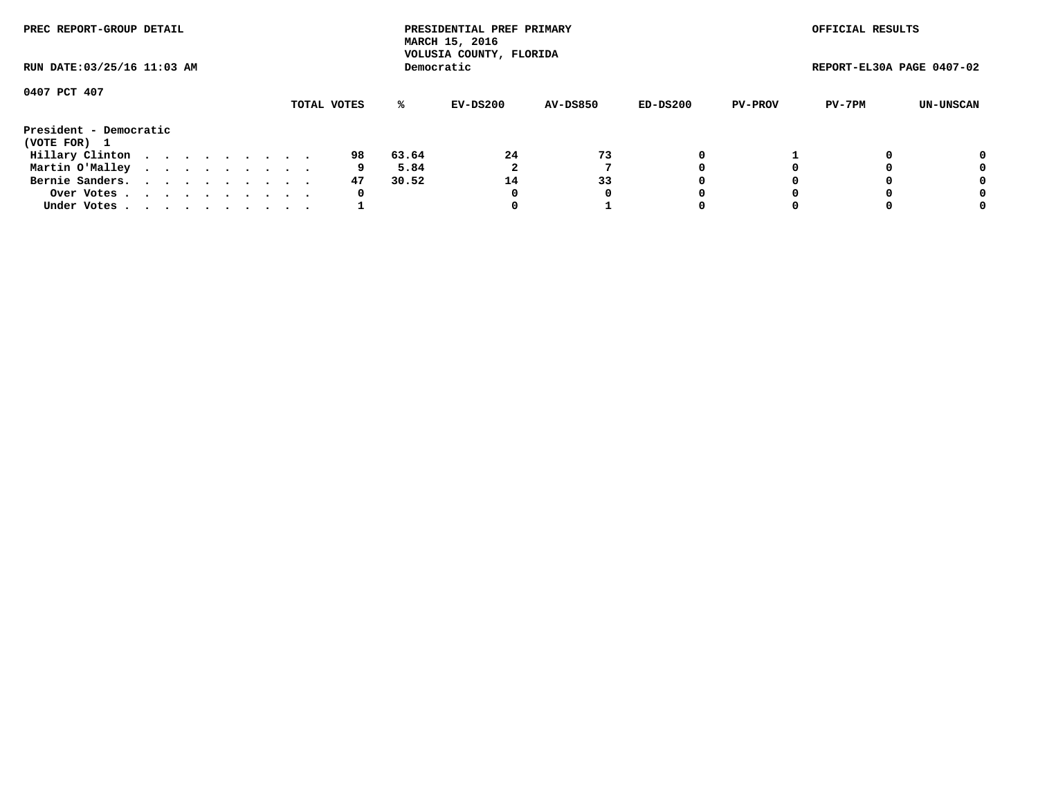| PREC REPORT-GROUP DETAIL<br>RUN DATE: 03/25/16 11:03 AM |             |  |  |  |  |  |  |  |  |    |       | PRESIDENTIAL PREF PRIMARY<br>MARCH 15, 2016<br>VOLUSIA COUNTY, FLORIDA |                 |          |                | OFFICIAL RESULTS          |           |
|---------------------------------------------------------|-------------|--|--|--|--|--|--|--|--|----|-------|------------------------------------------------------------------------|-----------------|----------|----------------|---------------------------|-----------|
|                                                         |             |  |  |  |  |  |  |  |  |    |       | Democratic                                                             |                 |          |                | REPORT-EL30A PAGE 0407-02 |           |
| 0407 PCT 407                                            | TOTAL VOTES |  |  |  |  |  |  |  |  |    |       |                                                                        |                 |          |                |                           |           |
|                                                         |             |  |  |  |  |  |  |  |  |    | ℁     | EV-DS200                                                               | <b>AV-DS850</b> | ED-DS200 | <b>PV-PROV</b> | PV-7PM                    | UN-UNSCAN |
| President - Democratic                                  |             |  |  |  |  |  |  |  |  |    |       |                                                                        |                 |          |                |                           |           |
| (VOTE FOR) 1                                            |             |  |  |  |  |  |  |  |  |    |       |                                                                        |                 |          |                |                           |           |
| Hillary Clinton                                         |             |  |  |  |  |  |  |  |  | 98 | 63.64 | 24                                                                     | 73              |          |                |                           | 0         |
| Martin O'Malley                                         |             |  |  |  |  |  |  |  |  | 9  | 5.84  |                                                                        |                 |          |                |                           | 0         |
| Bernie Sanders.                                         |             |  |  |  |  |  |  |  |  | 47 | 30.52 | 14                                                                     | 33              |          |                |                           | 0         |
| Over Votes                                              |             |  |  |  |  |  |  |  |  | 0  |       | 0                                                                      | 0               |          |                |                           | 0         |
| Under Votes.                                            |             |  |  |  |  |  |  |  |  |    |       |                                                                        |                 |          |                |                           | 0         |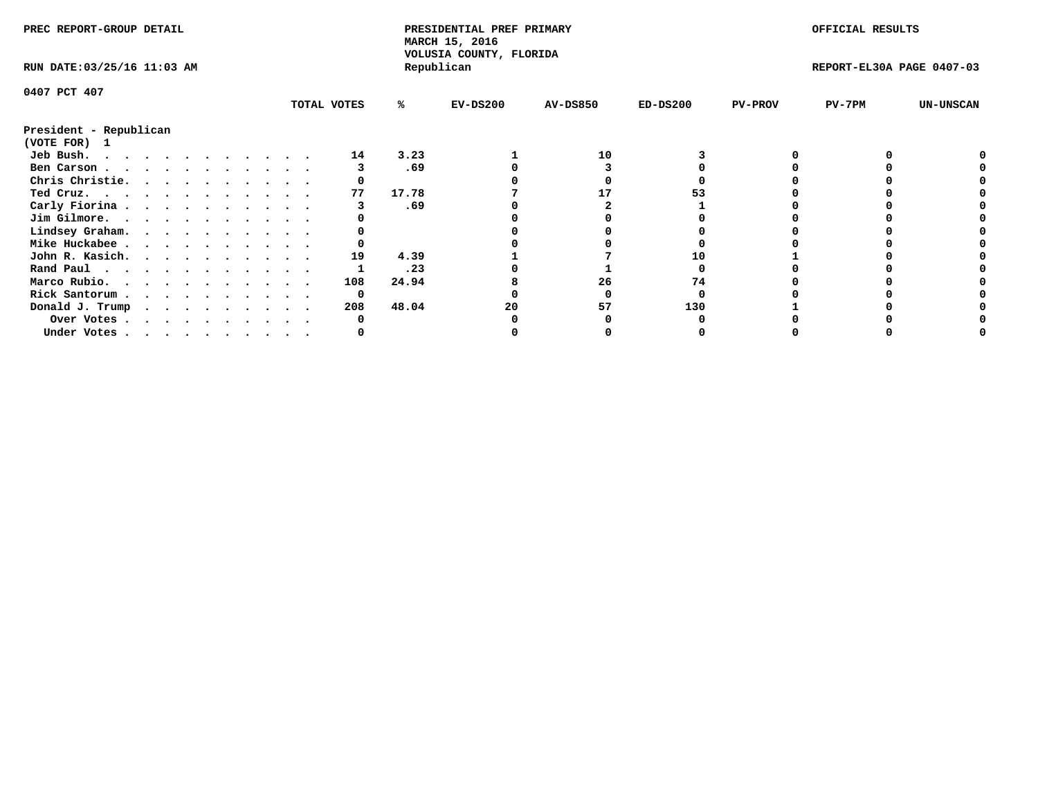| PREC REPORT-GROUP DETAIL                            |  |  |  |  |  |  |  |             | PRESIDENTIAL PREF PRIMARY<br>MARCH 15, 2016<br>VOLUSIA COUNTY, FLORIDA |            |                 |            | OFFICIAL RESULTS |                           |                  |
|-----------------------------------------------------|--|--|--|--|--|--|--|-------------|------------------------------------------------------------------------|------------|-----------------|------------|------------------|---------------------------|------------------|
| RUN DATE: 03/25/16 11:03 AM                         |  |  |  |  |  |  |  |             |                                                                        | Republican |                 |            |                  | REPORT-EL30A PAGE 0407-03 |                  |
| 0407 PCT 407                                        |  |  |  |  |  |  |  |             |                                                                        |            |                 |            |                  |                           |                  |
|                                                     |  |  |  |  |  |  |  | TOTAL VOTES | ℁                                                                      | $EV-DS200$ | <b>AV-DS850</b> | $ED-DS200$ | <b>PV-PROV</b>   | $PV-7PM$                  | <b>UN-UNSCAN</b> |
| President - Republican<br>(VOTE FOR) 1              |  |  |  |  |  |  |  |             |                                                                        |            |                 |            |                  |                           |                  |
| Jeb Bush.                                           |  |  |  |  |  |  |  | 14          | 3.23                                                                   |            | 10              |            |                  |                           |                  |
| Ben Carson                                          |  |  |  |  |  |  |  |             | .69                                                                    |            |                 |            |                  |                           |                  |
| Chris Christie.                                     |  |  |  |  |  |  |  |             |                                                                        |            |                 |            |                  |                           |                  |
| Ted Cruz.                                           |  |  |  |  |  |  |  | 77          | 17.78                                                                  |            |                 |            |                  |                           |                  |
| Carly Fiorina                                       |  |  |  |  |  |  |  |             | .69                                                                    |            |                 |            |                  |                           |                  |
| Jim Gilmore.                                        |  |  |  |  |  |  |  |             |                                                                        |            |                 |            |                  |                           |                  |
| Lindsey Graham.                                     |  |  |  |  |  |  |  |             |                                                                        |            |                 |            |                  |                           |                  |
| Mike Huckabee                                       |  |  |  |  |  |  |  |             |                                                                        |            |                 |            |                  |                           |                  |
| John R. Kasich.                                     |  |  |  |  |  |  |  | 19          | 4.39                                                                   |            |                 |            |                  |                           |                  |
| Rand Paul                                           |  |  |  |  |  |  |  |             | .23                                                                    |            |                 |            |                  |                           |                  |
| Marco Rubio.                                        |  |  |  |  |  |  |  | 108         | 24.94                                                                  |            | 26              | 74         |                  |                           |                  |
|                                                     |  |  |  |  |  |  |  |             |                                                                        |            |                 |            |                  |                           |                  |
| Rick Santorum                                       |  |  |  |  |  |  |  | 0           |                                                                        |            |                 |            |                  |                           |                  |
| Donald J. Trump $\cdots$ $\cdots$ $\cdots$ $\cdots$ |  |  |  |  |  |  |  | 208         | 48.04                                                                  | 20         | 57              | 130        |                  |                           |                  |
| Over Votes                                          |  |  |  |  |  |  |  |             |                                                                        |            |                 |            |                  |                           |                  |
| Under Votes                                         |  |  |  |  |  |  |  |             |                                                                        |            |                 |            |                  |                           |                  |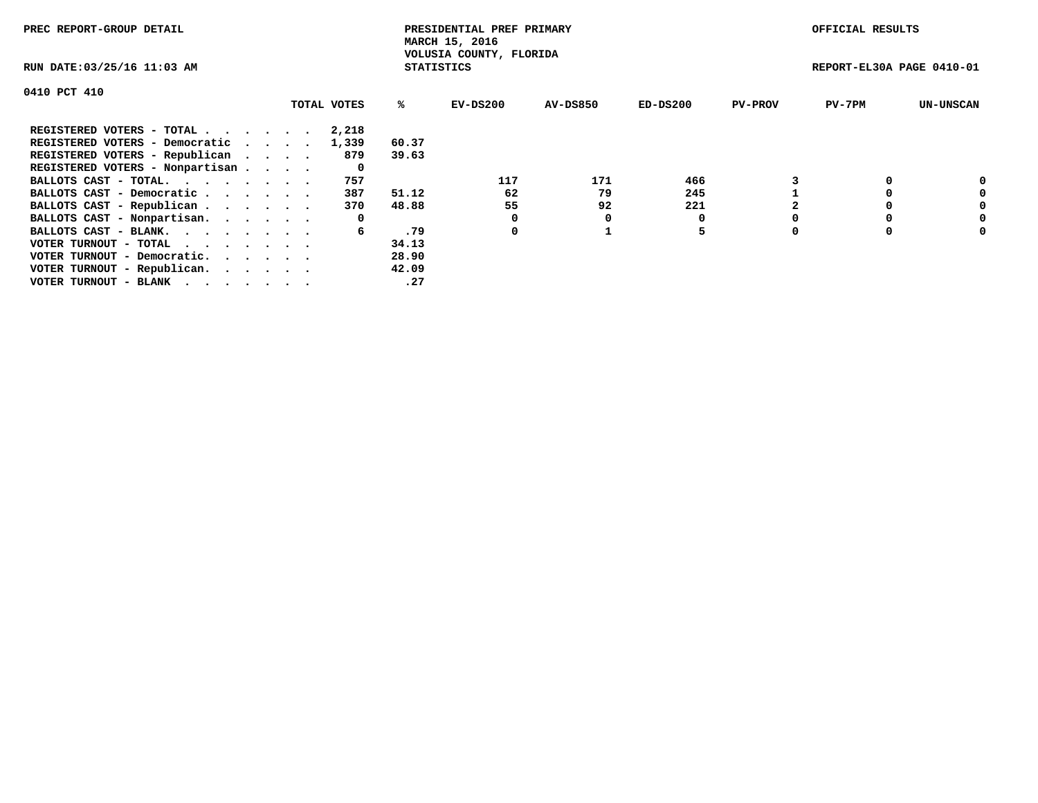| PREC REPORT-GROUP DETAIL                                    |             |                   | PRESIDENTIAL PREF PRIMARY<br>MARCH 15, 2016 |          |            |                | OFFICIAL RESULTS          |                  |
|-------------------------------------------------------------|-------------|-------------------|---------------------------------------------|----------|------------|----------------|---------------------------|------------------|
| RUN DATE: 03/25/16 11:03 AM                                 |             | <b>STATISTICS</b> | VOLUSIA COUNTY, FLORIDA                     |          |            |                | REPORT-EL30A PAGE 0410-01 |                  |
| 0410 PCT 410                                                |             |                   |                                             |          |            |                |                           |                  |
|                                                             | TOTAL VOTES | ℁                 | EV-DS200                                    | AV-DS850 | $ED-DS200$ | <b>PV-PROV</b> | $PV-7PM$                  | <b>UN-UNSCAN</b> |
| REGISTERED VOTERS - TOTAL                                   | 2,218       |                   |                                             |          |            |                |                           |                  |
| REGISTERED VOTERS - Democratic                              | 1,339       | 60.37             |                                             |          |            |                |                           |                  |
| REGISTERED VOTERS - Republican                              | 879         | 39.63             |                                             |          |            |                |                           |                  |
| REGISTERED VOTERS - Nonpartisan                             | 0           |                   |                                             |          |            |                |                           |                  |
| BALLOTS CAST - TOTAL.                                       | 757         |                   | 117                                         | 171      | 466        |                |                           | 0                |
| BALLOTS CAST - Democratic                                   | 387         | 51.12             | 62                                          | 79       | 245        |                |                           | 0                |
| BALLOTS CAST - Republican                                   | 370         | 48.88             | 55                                          | 92       | 221        |                |                           | 0                |
| BALLOTS CAST - Nonpartisan.                                 | 0           |                   |                                             | 0        |            |                |                           | 0                |
| BALLOTS CAST - BLANK.                                       | 6           | .79               | 0                                           |          | 5          |                |                           | 0                |
| VOTER TURNOUT - TOTAL $\cdot \cdot \cdot \cdot \cdot \cdot$ |             | 34.13             |                                             |          |            |                |                           |                  |
| VOTER TURNOUT - Democratic.                                 |             | 28.90             |                                             |          |            |                |                           |                  |
| VOTER TURNOUT - Republican.                                 |             | 42.09             |                                             |          |            |                |                           |                  |
| VOTER TURNOUT - BLANK                                       |             | .27               |                                             |          |            |                |                           |                  |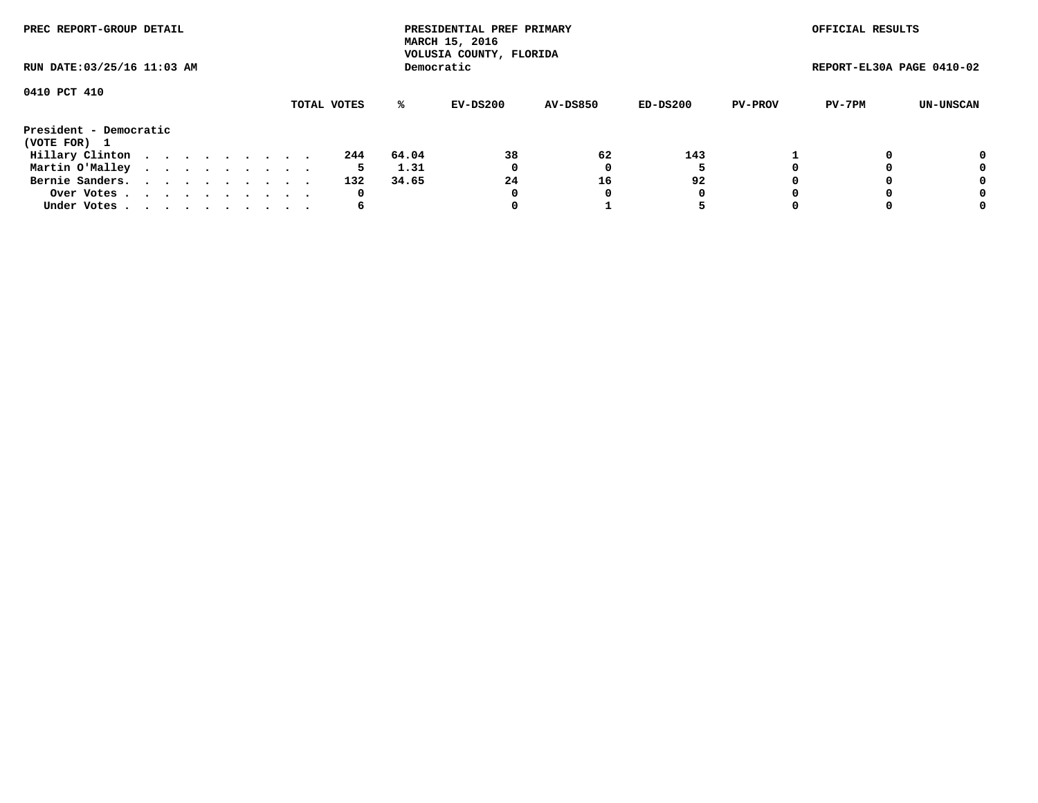| PREC REPORT-GROUP DETAIL<br>RUN DATE: 03/25/16 11:03 AM |  |  |  |  |  |  |  |  |             |       | PRESIDENTIAL PREF PRIMARY<br>MARCH 15, 2016<br>VOLUSIA COUNTY, FLORIDA |                 |          |                | OFFICIAL RESULTS          |           |
|---------------------------------------------------------|--|--|--|--|--|--|--|--|-------------|-------|------------------------------------------------------------------------|-----------------|----------|----------------|---------------------------|-----------|
|                                                         |  |  |  |  |  |  |  |  |             |       | Democratic                                                             |                 |          |                | REPORT-EL30A PAGE 0410-02 |           |
| 0410 PCT 410                                            |  |  |  |  |  |  |  |  | TOTAL VOTES | ℁     | EV-DS200                                                               | <b>AV-DS850</b> | ED-DS200 | <b>PV-PROV</b> | PV-7PM                    | UN-UNSCAN |
| President - Democratic<br>(VOTE FOR) 1                  |  |  |  |  |  |  |  |  |             |       |                                                                        |                 |          |                |                           |           |
| Hillary Clinton                                         |  |  |  |  |  |  |  |  | 244         | 64.04 | 38                                                                     | 62              | 143      |                |                           | 0         |
| Martin O'Malley                                         |  |  |  |  |  |  |  |  | 5           | 1.31  | 0                                                                      |                 |          |                |                           | 0         |
| Bernie Sanders.                                         |  |  |  |  |  |  |  |  | 132         | 34.65 | 24                                                                     | 16              | 92       |                |                           | 0         |
| Over Votes                                              |  |  |  |  |  |  |  |  | 0           |       | 0                                                                      | 0               | 0        |                |                           | 0         |
| Under Votes.                                            |  |  |  |  |  |  |  |  | 6           |       |                                                                        |                 |          |                |                           | 0         |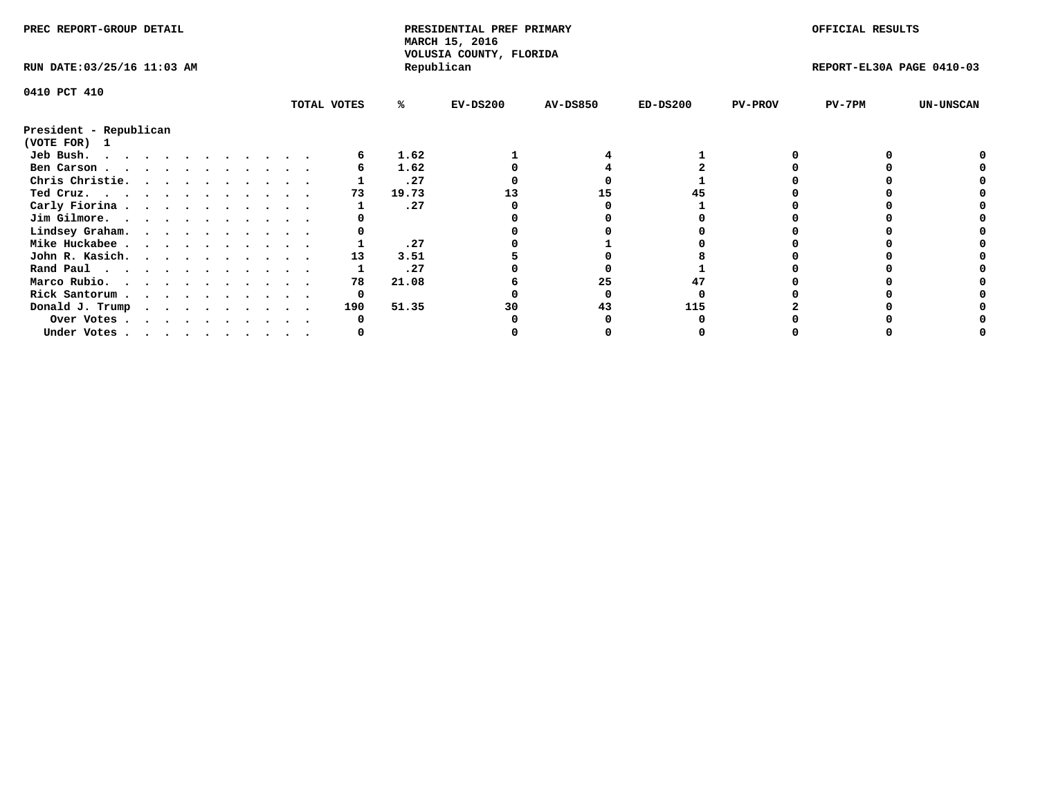| PREC REPORT-GROUP DETAIL                                                                                                                                                                                                                   |  |  |  |  |  |  |  | PRESIDENTIAL PREF PRIMARY<br>MARCH 15, 2016<br>VOLUSIA COUNTY, FLORIDA |       |            |                 | OFFICIAL RESULTS |                |                           |                  |
|--------------------------------------------------------------------------------------------------------------------------------------------------------------------------------------------------------------------------------------------|--|--|--|--|--|--|--|------------------------------------------------------------------------|-------|------------|-----------------|------------------|----------------|---------------------------|------------------|
| RUN DATE: 03/25/16 11:03 AM                                                                                                                                                                                                                |  |  |  |  |  |  |  |                                                                        |       | Republican |                 |                  |                | REPORT-EL30A PAGE 0410-03 |                  |
| 0410 PCT 410                                                                                                                                                                                                                               |  |  |  |  |  |  |  |                                                                        |       |            |                 |                  |                |                           |                  |
|                                                                                                                                                                                                                                            |  |  |  |  |  |  |  | TOTAL VOTES                                                            | ℁     | $EV-DS200$ | <b>AV-DS850</b> | $ED-DS200$       | <b>PV-PROV</b> | $PV-7PM$                  | <b>UN-UNSCAN</b> |
| President - Republican                                                                                                                                                                                                                     |  |  |  |  |  |  |  |                                                                        |       |            |                 |                  |                |                           |                  |
| (VOTE FOR)<br>$\mathbf{1}$                                                                                                                                                                                                                 |  |  |  |  |  |  |  |                                                                        |       |            |                 |                  |                |                           |                  |
| Jeb Bush.<br>. The contract of the contract of the contract of the contract of the contract of the contract of the contract of the contract of the contract of the contract of the contract of the contract of the contract of the contrac |  |  |  |  |  |  |  |                                                                        | 1.62  |            |                 |                  |                |                           |                  |
| Ben Carson                                                                                                                                                                                                                                 |  |  |  |  |  |  |  |                                                                        | 1.62  |            |                 |                  |                |                           |                  |
| Chris Christie.                                                                                                                                                                                                                            |  |  |  |  |  |  |  |                                                                        | .27   |            |                 |                  |                |                           |                  |
| Ted Cruz.                                                                                                                                                                                                                                  |  |  |  |  |  |  |  | 73                                                                     | 19.73 |            |                 |                  |                |                           |                  |
| Carly Fiorina                                                                                                                                                                                                                              |  |  |  |  |  |  |  |                                                                        | .27   |            |                 |                  |                |                           |                  |
| Jim Gilmore.                                                                                                                                                                                                                               |  |  |  |  |  |  |  |                                                                        |       |            |                 |                  |                |                           |                  |
| Lindsey Graham.                                                                                                                                                                                                                            |  |  |  |  |  |  |  |                                                                        |       |            |                 |                  |                |                           |                  |
| Mike Huckabee                                                                                                                                                                                                                              |  |  |  |  |  |  |  |                                                                        | .27   |            |                 |                  |                |                           |                  |
| John R. Kasich.                                                                                                                                                                                                                            |  |  |  |  |  |  |  | 13                                                                     | 3.51  |            |                 |                  |                |                           |                  |
| Rand Paul                                                                                                                                                                                                                                  |  |  |  |  |  |  |  |                                                                        | .27   |            |                 |                  |                |                           |                  |
| Marco Rubio.                                                                                                                                                                                                                               |  |  |  |  |  |  |  | 78                                                                     | 21.08 |            | 25              |                  |                |                           |                  |
| Rick Santorum                                                                                                                                                                                                                              |  |  |  |  |  |  |  | 0                                                                      |       |            |                 |                  |                |                           |                  |
| Donald J. Trump                                                                                                                                                                                                                            |  |  |  |  |  |  |  | 190                                                                    | 51.35 | 30         | 43              | 115              |                |                           |                  |
| Over Votes                                                                                                                                                                                                                                 |  |  |  |  |  |  |  |                                                                        |       |            |                 |                  |                |                           |                  |
| Under Votes                                                                                                                                                                                                                                |  |  |  |  |  |  |  |                                                                        |       |            |                 |                  |                |                           |                  |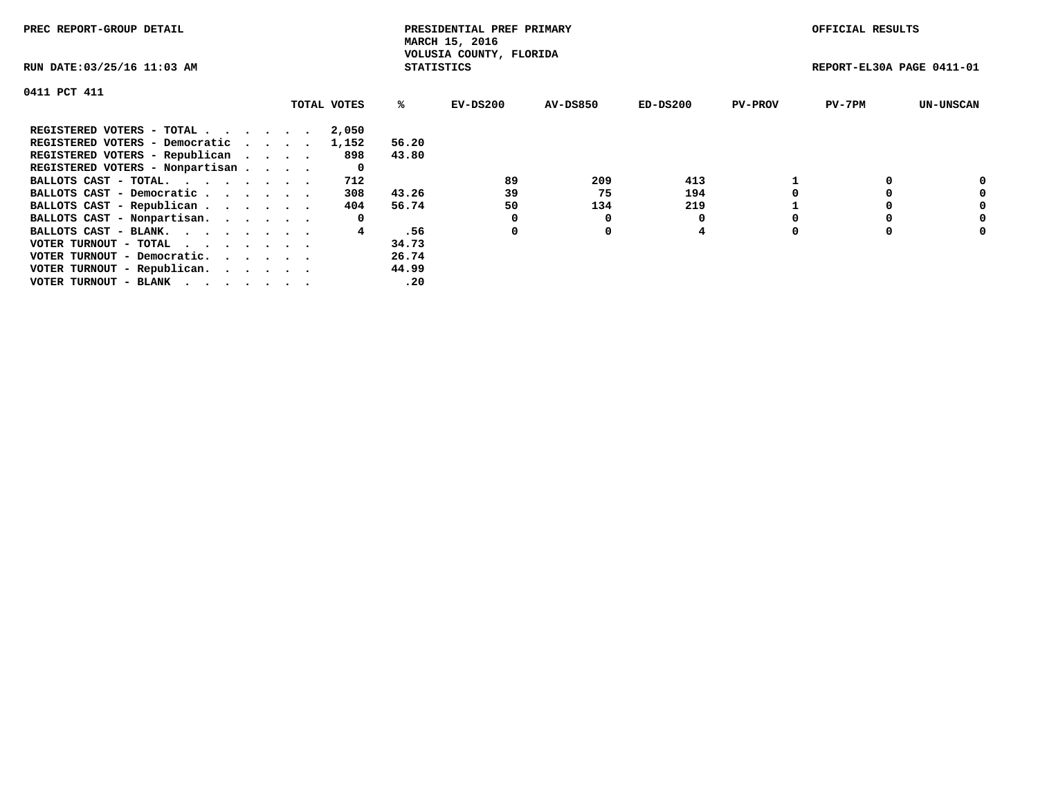| PREC REPORT-GROUP DETAIL                                    |             |                   | PRESIDENTIAL PREF PRIMARY<br>MARCH 15, 2016 |                 |            |                | OFFICIAL RESULTS          |                  |
|-------------------------------------------------------------|-------------|-------------------|---------------------------------------------|-----------------|------------|----------------|---------------------------|------------------|
| RUN DATE: 03/25/16 11:03 AM                                 |             | <b>STATISTICS</b> | VOLUSIA COUNTY, FLORIDA                     |                 |            |                | REPORT-EL30A PAGE 0411-01 |                  |
| 0411 PCT 411                                                |             |                   |                                             |                 |            |                |                           |                  |
|                                                             | TOTAL VOTES | ℁                 | EV-DS200                                    | <b>AV-DS850</b> | $ED-DS200$ | <b>PV-PROV</b> | $PV-7PM$                  | <b>UN-UNSCAN</b> |
| REGISTERED VOTERS - TOTAL                                   | 2,050       |                   |                                             |                 |            |                |                           |                  |
| REGISTERED VOTERS - Democratic                              | 1,152       | 56.20             |                                             |                 |            |                |                           |                  |
| REGISTERED VOTERS - Republican                              | 898         | 43.80             |                                             |                 |            |                |                           |                  |
| REGISTERED VOTERS - Nonpartisan                             | 0           |                   |                                             |                 |            |                |                           |                  |
| BALLOTS CAST - TOTAL.                                       | 712         |                   | 89                                          | 209             | 413        |                |                           | 0                |
| BALLOTS CAST - Democratic                                   | 308         | 43.26             | 39                                          | 75              | 194        |                |                           | 0                |
| BALLOTS CAST - Republican                                   | 404         | 56.74             | 50                                          | 134             | 219        |                |                           | 0                |
| BALLOTS CAST - Nonpartisan.                                 | 0           |                   |                                             | O               |            |                |                           | 0                |
| BALLOTS CAST - BLANK.                                       |             | .56               | 0                                           | 0               | 4          |                |                           | 0                |
| VOTER TURNOUT - TOTAL $\cdot \cdot \cdot \cdot \cdot \cdot$ |             | 34.73             |                                             |                 |            |                |                           |                  |
| VOTER TURNOUT - Democratic.                                 |             | 26.74             |                                             |                 |            |                |                           |                  |
| VOTER TURNOUT - Republican.                                 |             | 44.99             |                                             |                 |            |                |                           |                  |
| VOTER TURNOUT - BLANK                                       |             | .20               |                                             |                 |            |                |                           |                  |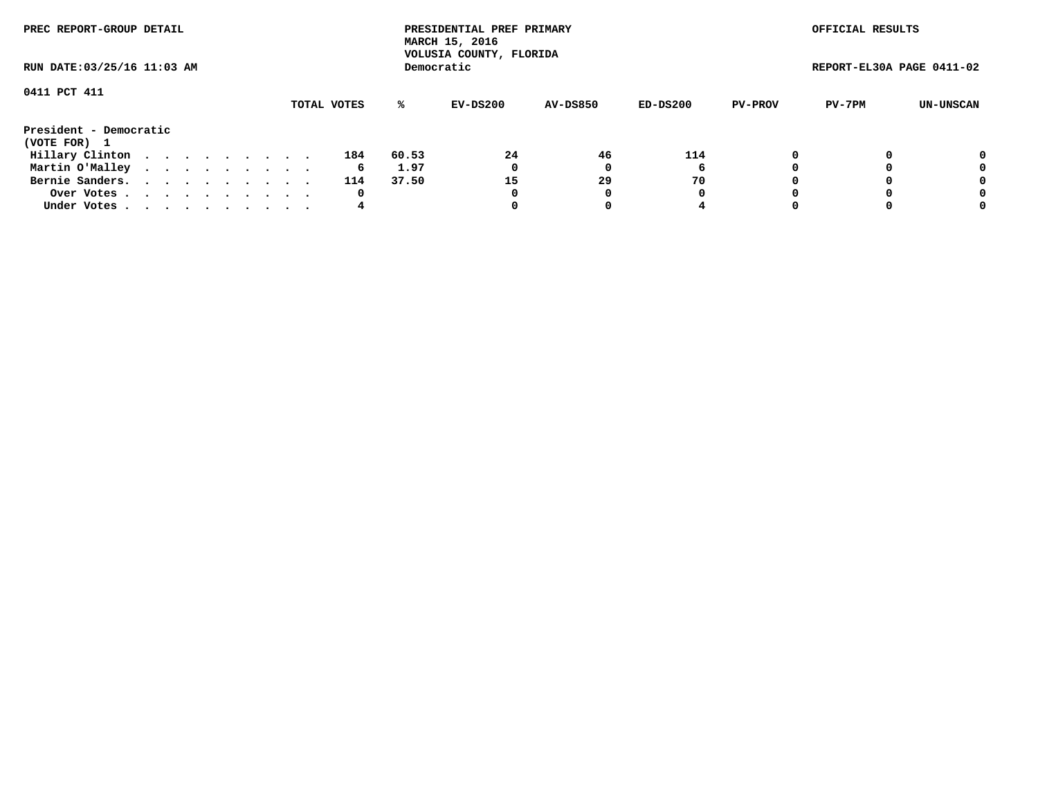| PREC REPORT-GROUP DETAIL<br>RUN DATE: 03/25/16 11:03 AM |  |  |  |  |  |  |  |  |             | PRESIDENTIAL PREF PRIMARY<br>MARCH 15, 2016<br>VOLUSIA COUNTY, FLORIDA |            |                 |          | OFFICIAL RESULTS |                           |           |
|---------------------------------------------------------|--|--|--|--|--|--|--|--|-------------|------------------------------------------------------------------------|------------|-----------------|----------|------------------|---------------------------|-----------|
|                                                         |  |  |  |  |  |  |  |  |             |                                                                        | Democratic |                 |          |                  | REPORT-EL30A PAGE 0411-02 |           |
| 0411 PCT 411                                            |  |  |  |  |  |  |  |  |             |                                                                        |            |                 |          |                  |                           |           |
|                                                         |  |  |  |  |  |  |  |  | TOTAL VOTES | ℁                                                                      | EV-DS200   | <b>AV-DS850</b> | ED-DS200 | <b>PV-PROV</b>   | PV-7PM                    | UN-UNSCAN |
| President - Democratic<br>(VOTE FOR) 1                  |  |  |  |  |  |  |  |  |             |                                                                        |            |                 |          |                  |                           |           |
| Hillary Clinton                                         |  |  |  |  |  |  |  |  | 184         | 60.53                                                                  | 24         | 46              | 114      |                  |                           | 0         |
| Martin O'Malley                                         |  |  |  |  |  |  |  |  | 6           | 1.97                                                                   | 0          |                 | 6        |                  |                           | 0         |
| Bernie Sanders.                                         |  |  |  |  |  |  |  |  | 114         | 37.50                                                                  | 15         | 29              | 70       |                  |                           | 0         |
| Over Votes.                                             |  |  |  |  |  |  |  |  | 0           |                                                                        | 0          | 0               | 0        |                  |                           | 0         |
| Under Votes                                             |  |  |  |  |  |  |  |  | 4           |                                                                        |            |                 |          |                  |                           | 0         |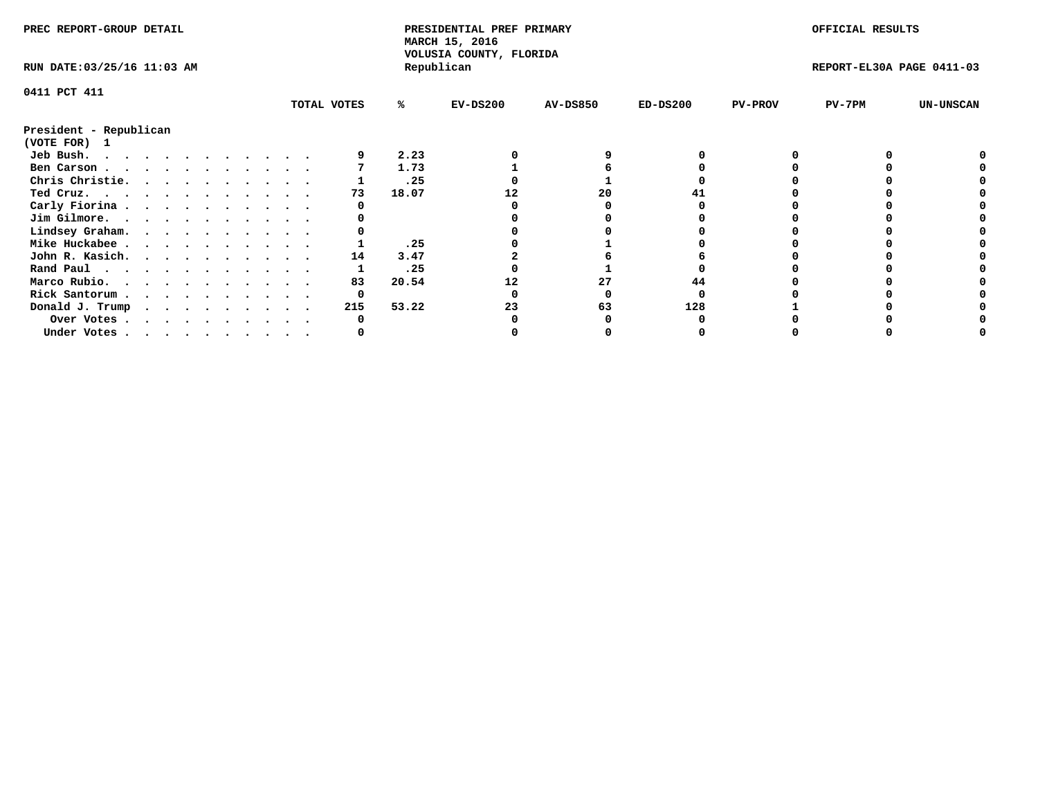| PREC REPORT-GROUP DETAIL    |  |  |  |  |  |  |  |             | PRESIDENTIAL PREF PRIMARY<br>MARCH 15, 2016<br>VOLUSIA COUNTY, FLORIDA |            |                 |            | OFFICIAL RESULTS |                           |                  |
|-----------------------------|--|--|--|--|--|--|--|-------------|------------------------------------------------------------------------|------------|-----------------|------------|------------------|---------------------------|------------------|
| RUN DATE: 03/25/16 11:03 AM |  |  |  |  |  |  |  |             |                                                                        | Republican |                 |            |                  | REPORT-EL30A PAGE 0411-03 |                  |
| 0411 PCT 411                |  |  |  |  |  |  |  |             |                                                                        |            |                 |            |                  |                           |                  |
|                             |  |  |  |  |  |  |  | TOTAL VOTES | ℁                                                                      | $EV-DS200$ | <b>AV-DS850</b> | $ED-DS200$ | <b>PV-PROV</b>   | $PV-7PM$                  | <b>UN-UNSCAN</b> |
| President - Republican      |  |  |  |  |  |  |  |             |                                                                        |            |                 |            |                  |                           |                  |
| (VOTE FOR) 1                |  |  |  |  |  |  |  |             |                                                                        |            |                 |            |                  |                           |                  |
| Jeb Bush.                   |  |  |  |  |  |  |  |             | 2.23                                                                   |            |                 |            |                  |                           |                  |
| Ben Carson                  |  |  |  |  |  |  |  |             | 1.73                                                                   |            |                 |            |                  |                           |                  |
| Chris Christie.             |  |  |  |  |  |  |  |             | .25                                                                    |            |                 |            |                  |                           |                  |
| Ted Cruz.                   |  |  |  |  |  |  |  | 73          | 18.07                                                                  |            | 20              |            |                  |                           |                  |
| Carly Fiorina               |  |  |  |  |  |  |  |             |                                                                        |            |                 |            |                  |                           |                  |
| Jim Gilmore.                |  |  |  |  |  |  |  |             |                                                                        |            |                 |            |                  |                           |                  |
| Lindsey Graham.             |  |  |  |  |  |  |  |             |                                                                        |            |                 |            |                  |                           |                  |
| Mike Huckabee               |  |  |  |  |  |  |  |             | .25                                                                    |            |                 |            |                  |                           |                  |
| John R. Kasich.             |  |  |  |  |  |  |  | 14          | 3.47                                                                   |            |                 |            |                  |                           |                  |
| Rand Paul                   |  |  |  |  |  |  |  |             | .25                                                                    |            |                 |            |                  |                           |                  |
| Marco Rubio.                |  |  |  |  |  |  |  | 83          | 20.54                                                                  |            |                 | 44         |                  |                           |                  |
| Rick Santorum               |  |  |  |  |  |  |  | 0           |                                                                        |            |                 |            |                  |                           |                  |
| Donald J. Trump             |  |  |  |  |  |  |  | 215         | 53.22                                                                  | 23         | 63              | 128        |                  |                           |                  |
| Over Votes                  |  |  |  |  |  |  |  |             |                                                                        |            |                 |            |                  |                           |                  |
| Under Votes                 |  |  |  |  |  |  |  |             |                                                                        |            |                 |            |                  |                           |                  |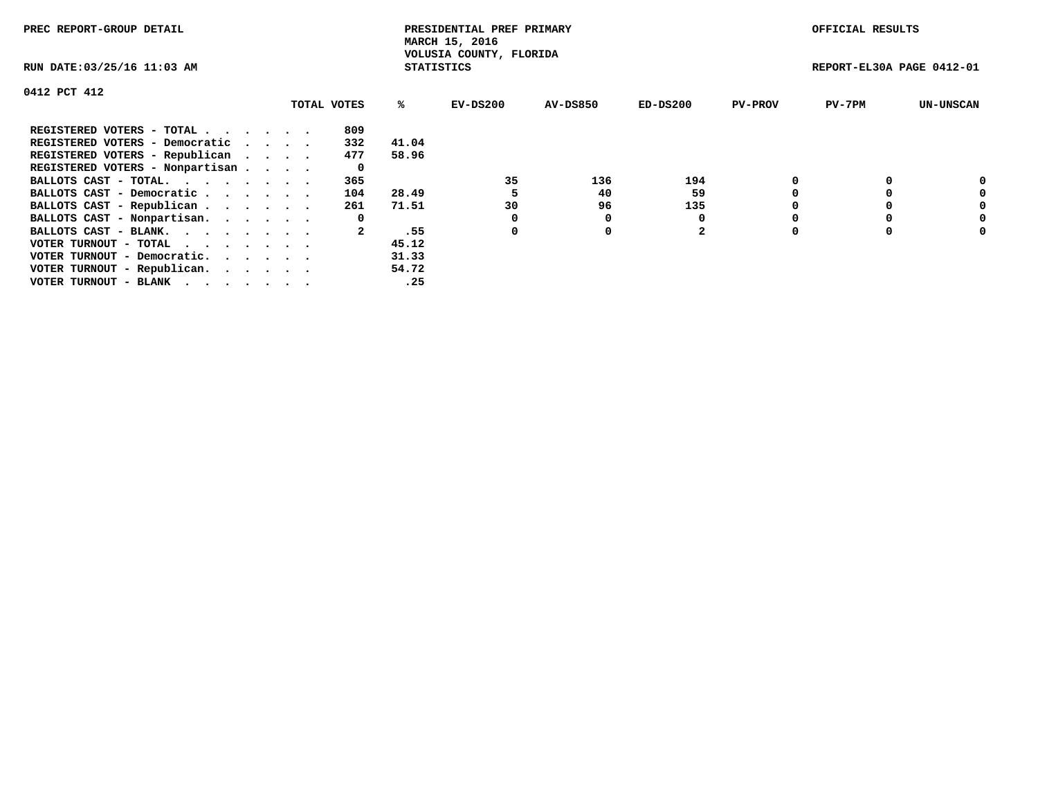| PREC REPORT-GROUP DETAIL                                    |             |                   | PRESIDENTIAL PREF PRIMARY<br>MARCH 15, 2016 |          |                |                | OFFICIAL RESULTS          |                  |
|-------------------------------------------------------------|-------------|-------------------|---------------------------------------------|----------|----------------|----------------|---------------------------|------------------|
| RUN DATE: 03/25/16 11:03 AM                                 |             | <b>STATISTICS</b> | VOLUSIA COUNTY, FLORIDA                     |          |                |                | REPORT-EL30A PAGE 0412-01 |                  |
| 0412 PCT 412                                                |             |                   |                                             |          |                |                |                           |                  |
|                                                             | TOTAL VOTES | %ร                | EV-DS200                                    | AV-DS850 | $ED-DS200$     | <b>PV-PROV</b> | $PV-7PM$                  | <b>UN-UNSCAN</b> |
| REGISTERED VOTERS - TOTAL                                   | 809         |                   |                                             |          |                |                |                           |                  |
| REGISTERED VOTERS - Democratic                              | 332         | 41.04             |                                             |          |                |                |                           |                  |
| REGISTERED VOTERS - Republican                              | 477         | 58.96             |                                             |          |                |                |                           |                  |
| REGISTERED VOTERS - Nonpartisan                             | 0           |                   |                                             |          |                |                |                           |                  |
| BALLOTS CAST - TOTAL.                                       | 365         |                   | 35                                          | 136      | 194            |                |                           | 0                |
| BALLOTS CAST - Democratic                                   | 104         | 28.49             |                                             | 40       | 59             |                |                           | 0                |
| BALLOTS CAST - Republican                                   | 261         | 71.51             | 30                                          | 96       | 135            |                |                           | 0                |
| BALLOTS CAST - Nonpartisan.                                 | 0           |                   |                                             | 0        |                |                |                           | 0                |
| BALLOTS CAST - BLANK.                                       |             | .55               | 0                                           | 0        | $\overline{2}$ |                |                           | 0                |
| VOTER TURNOUT - TOTAL $\cdot \cdot \cdot \cdot \cdot \cdot$ |             | 45.12             |                                             |          |                |                |                           |                  |
| VOTER TURNOUT - Democratic.                                 |             | 31.33             |                                             |          |                |                |                           |                  |
| VOTER TURNOUT - Republican.                                 |             | 54.72             |                                             |          |                |                |                           |                  |
| VOTER TURNOUT - BLANK                                       |             | .25               |                                             |          |                |                |                           |                  |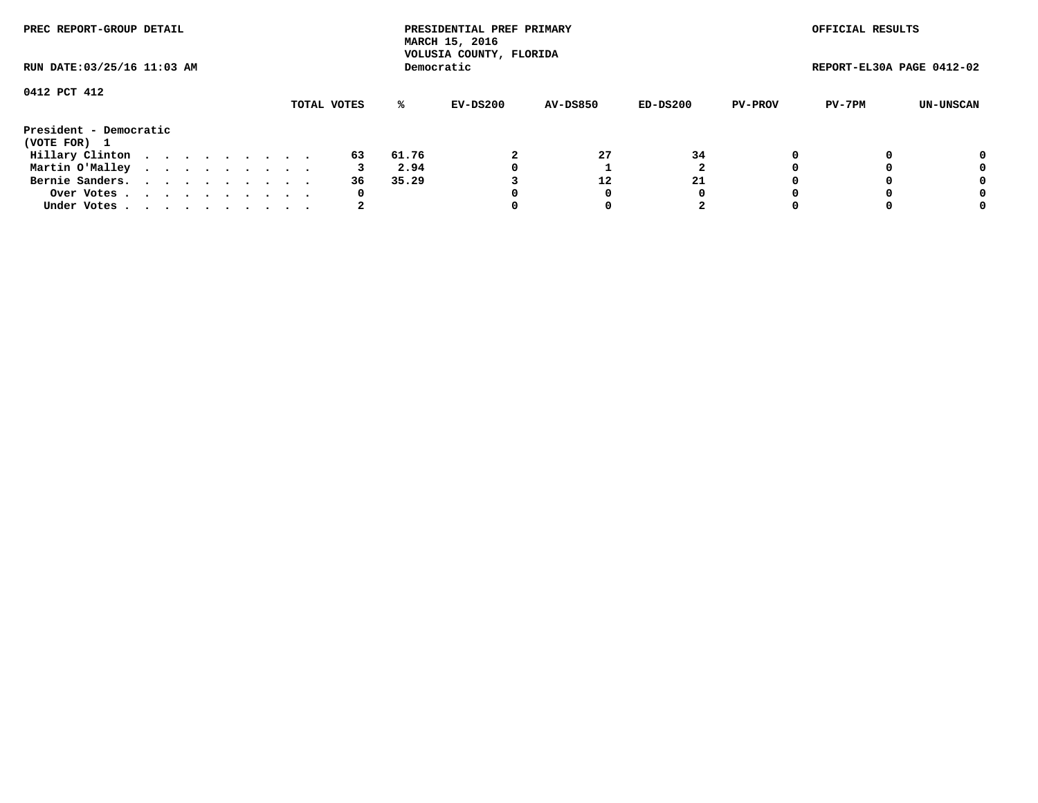| PREC REPORT-GROUP DETAIL<br>RUN DATE: 03/25/16 11:03 AM |  |  |  |  |  |  |  |  |             |       | PRESIDENTIAL PREF PRIMARY<br>MARCH 15, 2016<br>VOLUSIA COUNTY, FLORIDA |                 |          |                | OFFICIAL RESULTS          |           |
|---------------------------------------------------------|--|--|--|--|--|--|--|--|-------------|-------|------------------------------------------------------------------------|-----------------|----------|----------------|---------------------------|-----------|
|                                                         |  |  |  |  |  |  |  |  |             |       | Democratic                                                             |                 |          |                | REPORT-EL30A PAGE 0412-02 |           |
| 0412 PCT 412                                            |  |  |  |  |  |  |  |  | TOTAL VOTES | %ะ    | EV-DS200                                                               | <b>AV-DS850</b> | ED-DS200 | <b>PV-PROV</b> | PV-7PM                    | UN-UNSCAN |
| President - Democratic<br>(VOTE FOR) 1                  |  |  |  |  |  |  |  |  |             |       |                                                                        |                 |          |                |                           |           |
| Hillary Clinton                                         |  |  |  |  |  |  |  |  | 63          | 61.76 |                                                                        | 27              | 34       |                |                           | 0         |
| Martin O'Malley                                         |  |  |  |  |  |  |  |  |             | 2.94  |                                                                        |                 |          |                |                           | 0         |
| Bernie Sanders.                                         |  |  |  |  |  |  |  |  | 36          | 35.29 |                                                                        | 12              | 21       |                |                           | 0         |
| Over Votes.                                             |  |  |  |  |  |  |  |  | 0           |       |                                                                        | 0               | 0        |                |                           | 0         |
| Under Votes.                                            |  |  |  |  |  |  |  |  |             |       |                                                                        |                 |          |                |                           | 0         |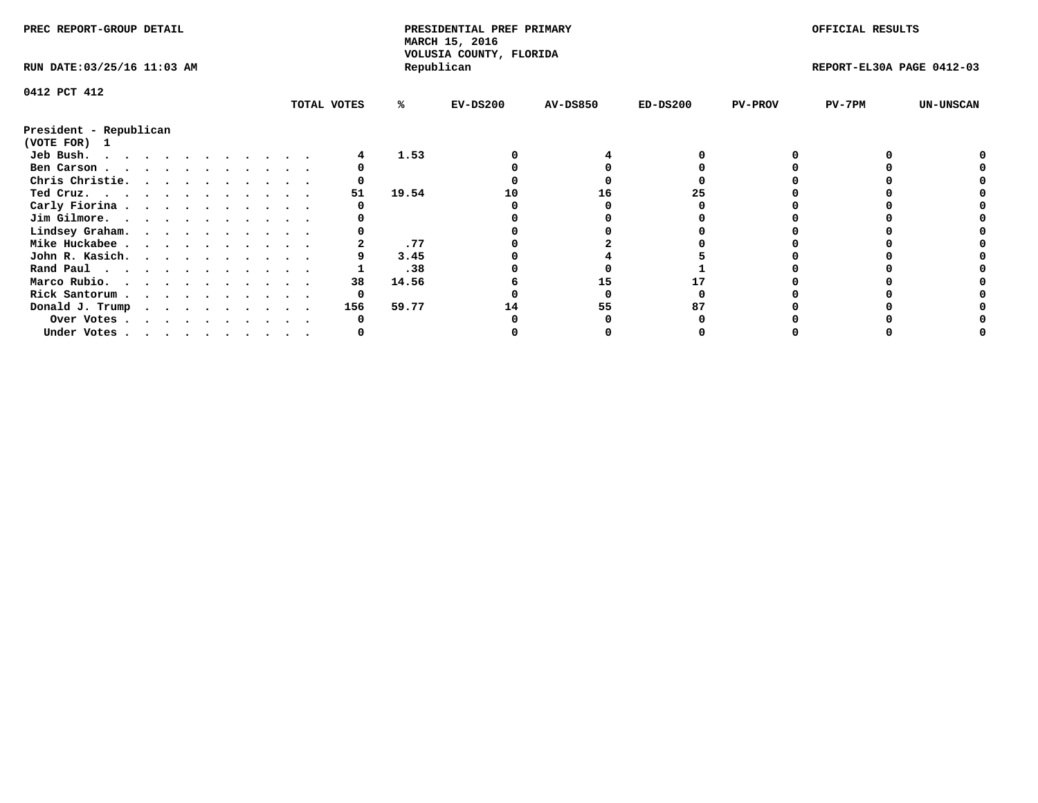| PREC REPORT-GROUP DETAIL               |  |  |  |  |  |  |             |       | PRESIDENTIAL PREF PRIMARY<br>MARCH 15, 2016 |                 |            |                | OFFICIAL RESULTS          |                  |
|----------------------------------------|--|--|--|--|--|--|-------------|-------|---------------------------------------------|-----------------|------------|----------------|---------------------------|------------------|
| RUN DATE: 03/25/16 11:03 AM            |  |  |  |  |  |  |             |       | VOLUSIA COUNTY, FLORIDA<br>Republican       |                 |            |                | REPORT-EL30A PAGE 0412-03 |                  |
| 0412 PCT 412                           |  |  |  |  |  |  |             |       |                                             |                 |            |                |                           |                  |
|                                        |  |  |  |  |  |  | TOTAL VOTES | ℁     | $EV-DS200$                                  | <b>AV-DS850</b> | $ED-DS200$ | <b>PV-PROV</b> | $PV-7PM$                  | <b>UN-UNSCAN</b> |
| President - Republican<br>(VOTE FOR) 1 |  |  |  |  |  |  |             |       |                                             |                 |            |                |                           |                  |
| Jeb Bush.                              |  |  |  |  |  |  |             | 1.53  |                                             |                 |            |                |                           |                  |
| Ben Carson                             |  |  |  |  |  |  |             |       |                                             |                 |            |                |                           |                  |
| Chris Christie.                        |  |  |  |  |  |  |             |       |                                             |                 |            |                |                           |                  |
| Ted Cruz.                              |  |  |  |  |  |  | 51          | 19.54 | 10                                          | 16              | 25         |                |                           |                  |
| Carly Fiorina                          |  |  |  |  |  |  |             |       |                                             |                 |            |                |                           |                  |
| Jim Gilmore.                           |  |  |  |  |  |  |             |       |                                             |                 |            |                |                           |                  |
| Lindsey Graham.                        |  |  |  |  |  |  |             |       |                                             |                 |            |                |                           |                  |
| Mike Huckabee                          |  |  |  |  |  |  |             | .77   |                                             |                 |            |                |                           |                  |
| John R. Kasich.                        |  |  |  |  |  |  |             | 3.45  |                                             |                 |            |                |                           |                  |
| Rand Paul                              |  |  |  |  |  |  |             | .38   |                                             |                 |            |                |                           |                  |
| Marco Rubio.                           |  |  |  |  |  |  | 38          | 14.56 |                                             | 15              |            |                |                           |                  |
| Rick Santorum                          |  |  |  |  |  |  | 0           |       |                                             |                 |            |                |                           |                  |
| Donald J. Trump                        |  |  |  |  |  |  | 156         | 59.77 | 14                                          | 55              |            |                |                           |                  |
| Over Votes                             |  |  |  |  |  |  |             |       |                                             |                 |            |                |                           |                  |
| Under Votes                            |  |  |  |  |  |  |             |       |                                             |                 |            |                |                           |                  |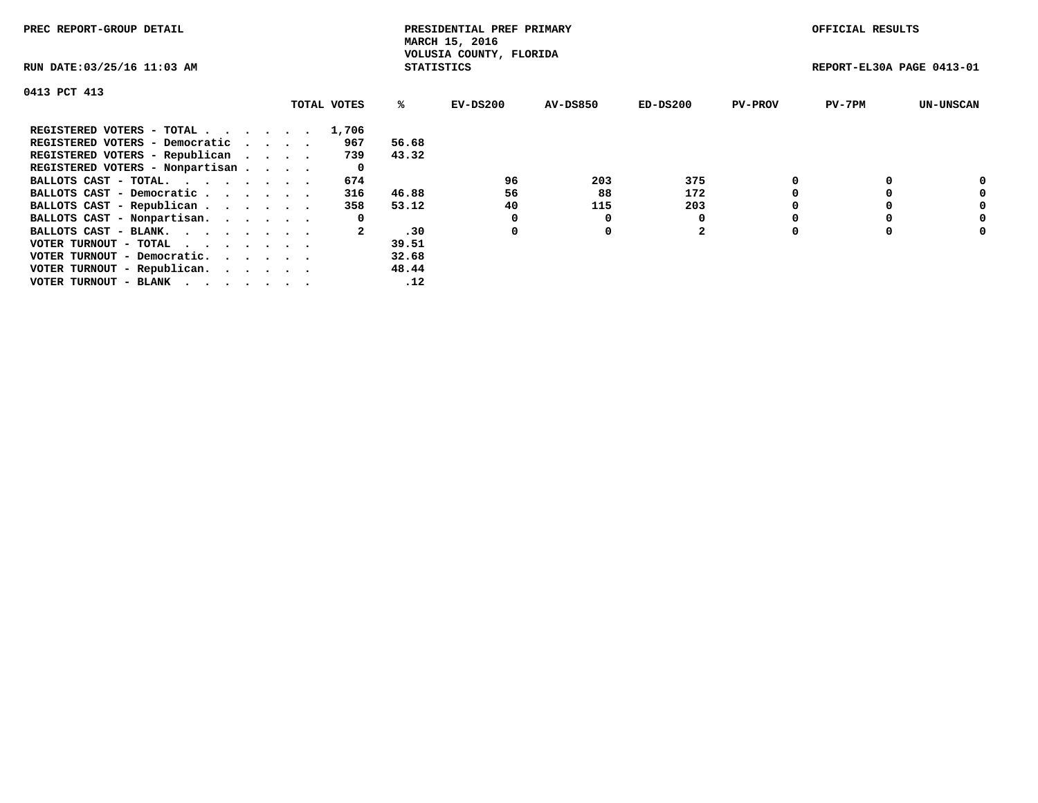| PREC REPORT-GROUP DETAIL                                    |  |             |       | PRESIDENTIAL PREF PRIMARY<br>MARCH 15, 2016  |          |                |                | OFFICIAL RESULTS          |                  |
|-------------------------------------------------------------|--|-------------|-------|----------------------------------------------|----------|----------------|----------------|---------------------------|------------------|
| RUN DATE: 03/25/16 11:03 AM                                 |  |             |       | VOLUSIA COUNTY, FLORIDA<br><b>STATISTICS</b> |          |                |                | REPORT-EL30A PAGE 0413-01 |                  |
| 0413 PCT 413                                                |  |             |       |                                              |          |                |                |                           |                  |
|                                                             |  | TOTAL VOTES | ℁     | $EV-DS200$                                   | AV-DS850 | $ED-DS200$     | <b>PV-PROV</b> | $PV-7PM$                  | <b>UN-UNSCAN</b> |
| REGISTERED VOTERS - TOTAL                                   |  | 1,706       |       |                                              |          |                |                |                           |                  |
| REGISTERED VOTERS - Democratic                              |  | 967         | 56.68 |                                              |          |                |                |                           |                  |
| REGISTERED VOTERS - Republican                              |  | 739         | 43.32 |                                              |          |                |                |                           |                  |
| REGISTERED VOTERS - Nonpartisan                             |  | 0           |       |                                              |          |                |                |                           |                  |
| BALLOTS CAST - TOTAL.                                       |  | 674         |       | 96                                           | 203      | 375            |                |                           | 0                |
| BALLOTS CAST - Democratic                                   |  | 316         | 46.88 | 56                                           | 88       | 172            |                |                           | 0                |
| BALLOTS CAST - Republican                                   |  | 358         | 53.12 | 40                                           | 115      | 203            |                |                           | 0                |
| BALLOTS CAST - Nonpartisan.                                 |  | 0           |       | 0                                            | 0        |                |                |                           | 0                |
| BALLOTS CAST - BLANK.                                       |  |             | .30   | 0                                            | 0        | $\overline{2}$ |                |                           | 0                |
| VOTER TURNOUT - TOTAL $\cdot \cdot \cdot \cdot \cdot \cdot$ |  |             | 39.51 |                                              |          |                |                |                           |                  |
| VOTER TURNOUT - Democratic.                                 |  |             | 32.68 |                                              |          |                |                |                           |                  |
| VOTER TURNOUT - Republican.                                 |  |             | 48.44 |                                              |          |                |                |                           |                  |
| VOTER TURNOUT - BLANK                                       |  |             | .12   |                                              |          |                |                |                           |                  |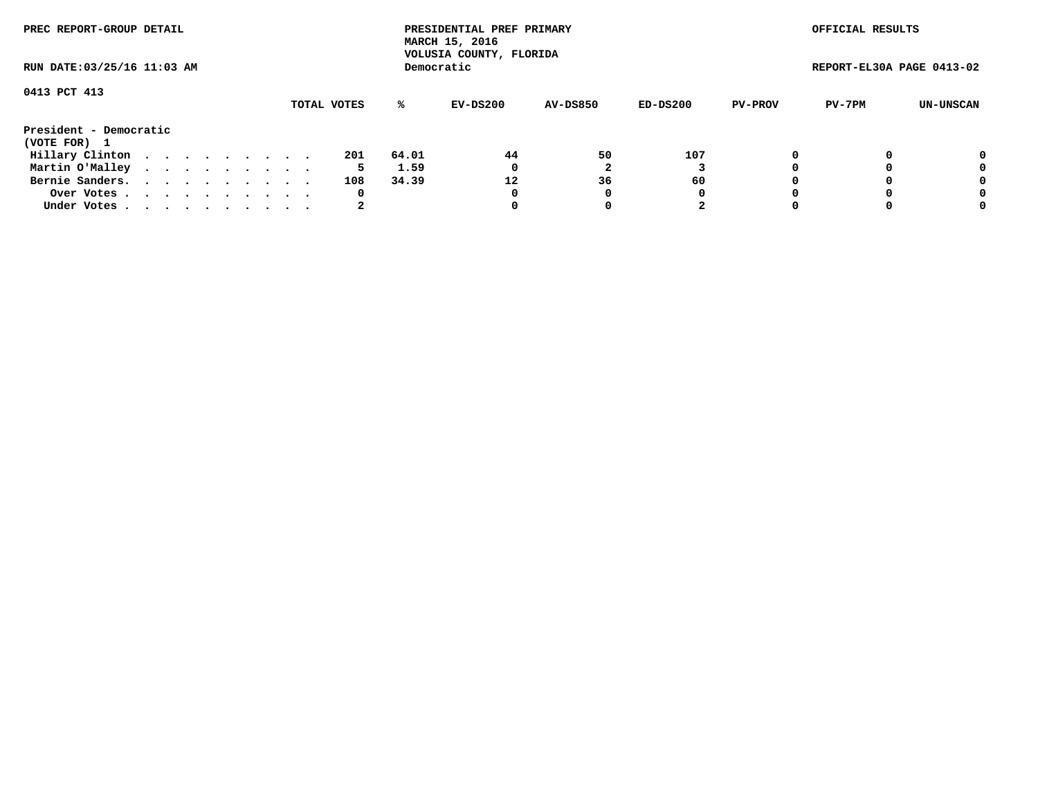| PREC REPORT-GROUP DETAIL<br>RUN DATE: 03/25/16 11:03 AM |  |  |  |  |  |  |  |  |             | PRESIDENTIAL PREF PRIMARY<br>MARCH 15, 2016<br>VOLUSIA COUNTY, FLORIDA |            |                 |          | OFFICIAL RESULTS |                           |           |
|---------------------------------------------------------|--|--|--|--|--|--|--|--|-------------|------------------------------------------------------------------------|------------|-----------------|----------|------------------|---------------------------|-----------|
|                                                         |  |  |  |  |  |  |  |  |             |                                                                        | Democratic |                 |          |                  | REPORT-EL30A PAGE 0413-02 |           |
| 0413 PCT 413                                            |  |  |  |  |  |  |  |  |             |                                                                        |            |                 |          |                  |                           |           |
|                                                         |  |  |  |  |  |  |  |  | TOTAL VOTES | ℁                                                                      | EV-DS200   | <b>AV-DS850</b> | ED-DS200 | <b>PV-PROV</b>   | PV-7PM                    | UN-UNSCAN |
| President - Democratic                                  |  |  |  |  |  |  |  |  |             |                                                                        |            |                 |          |                  |                           |           |
| (VOTE FOR) 1                                            |  |  |  |  |  |  |  |  |             |                                                                        |            |                 |          |                  |                           |           |
| Hillary Clinton                                         |  |  |  |  |  |  |  |  | 201         | 64.01                                                                  | 44         | 50              | 107      |                  |                           | 0         |
| Martin O'Malley                                         |  |  |  |  |  |  |  |  | 5.          | 1.59                                                                   | 0          |                 |          |                  |                           | 0         |
| Bernie Sanders.                                         |  |  |  |  |  |  |  |  | 108         | 34.39                                                                  | 12         | 36              | 60       |                  |                           | 0         |
| Over Votes.                                             |  |  |  |  |  |  |  |  | 0           |                                                                        | 0          | 0               | 0        |                  |                           | 0         |
| Under Votes                                             |  |  |  |  |  |  |  |  | 2           |                                                                        |            |                 | 2        |                  |                           | 0         |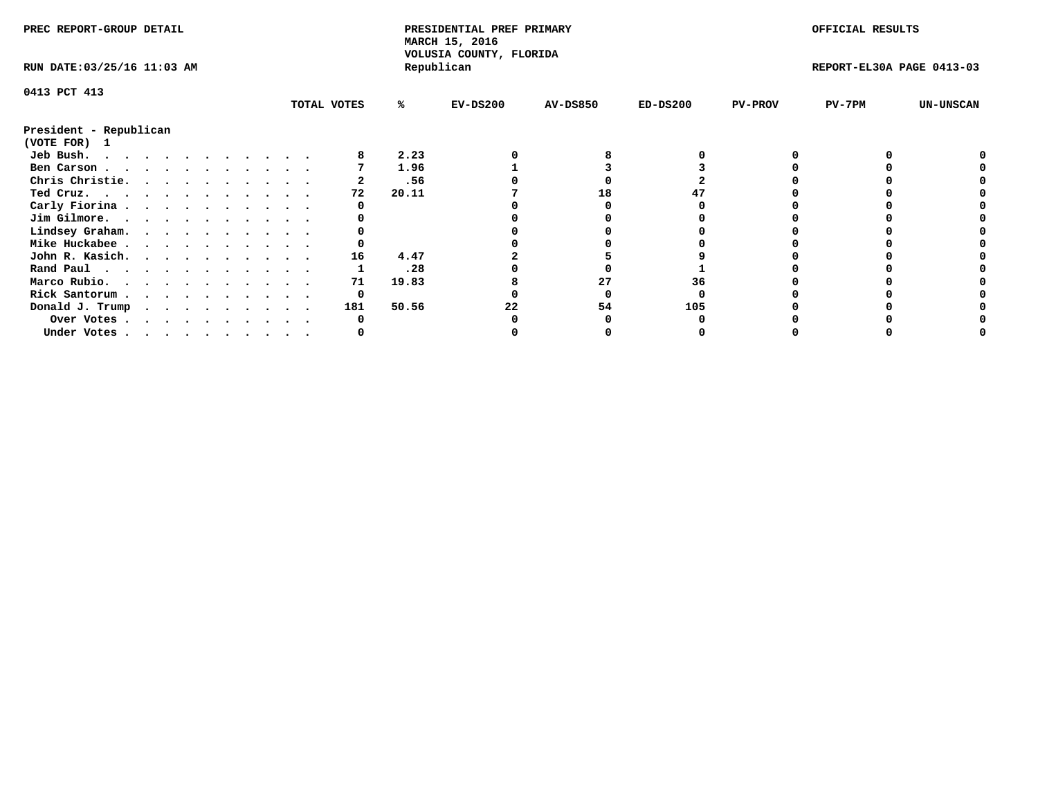| PREC REPORT-GROUP DETAIL    |  |  |  |  |  |  |  |  |             | PRESIDENTIAL PREF PRIMARY<br>MARCH 15, 2016<br>VOLUSIA COUNTY, FLORIDA |            |                 |            | OFFICIAL RESULTS |                           |                  |
|-----------------------------|--|--|--|--|--|--|--|--|-------------|------------------------------------------------------------------------|------------|-----------------|------------|------------------|---------------------------|------------------|
| RUN DATE: 03/25/16 11:03 AM |  |  |  |  |  |  |  |  |             |                                                                        | Republican |                 |            |                  | REPORT-EL30A PAGE 0413-03 |                  |
| 0413 PCT 413                |  |  |  |  |  |  |  |  |             |                                                                        |            |                 |            |                  |                           |                  |
|                             |  |  |  |  |  |  |  |  | TOTAL VOTES | %ะ                                                                     | $EV-DS200$ | <b>AV-DS850</b> | $ED-DS200$ | <b>PV-PROV</b>   | PV-7PM                    | <b>UN-UNSCAN</b> |
| President - Republican      |  |  |  |  |  |  |  |  |             |                                                                        |            |                 |            |                  |                           |                  |
| (VOTE FOR) 1                |  |  |  |  |  |  |  |  |             |                                                                        |            |                 |            |                  |                           |                  |
| Jeb Bush.                   |  |  |  |  |  |  |  |  |             | 2.23                                                                   |            |                 |            |                  |                           |                  |
| Ben Carson                  |  |  |  |  |  |  |  |  |             | 1.96                                                                   |            |                 |            |                  |                           |                  |
| Chris Christie.             |  |  |  |  |  |  |  |  |             | .56                                                                    |            |                 |            |                  |                           |                  |
| Ted Cruz.                   |  |  |  |  |  |  |  |  | 72          | 20.11                                                                  |            | 18              |            |                  |                           |                  |
| Carly Fiorina               |  |  |  |  |  |  |  |  |             |                                                                        |            |                 |            |                  |                           |                  |
| Jim Gilmore.                |  |  |  |  |  |  |  |  |             |                                                                        |            |                 |            |                  |                           |                  |
| Lindsey Graham.             |  |  |  |  |  |  |  |  |             |                                                                        |            |                 |            |                  |                           |                  |
| Mike Huckabee               |  |  |  |  |  |  |  |  |             |                                                                        |            |                 |            |                  |                           |                  |
|                             |  |  |  |  |  |  |  |  | 16          | 4.47                                                                   |            |                 |            |                  |                           |                  |
| John R. Kasich.             |  |  |  |  |  |  |  |  |             |                                                                        |            |                 |            |                  |                           |                  |
| Rand Paul                   |  |  |  |  |  |  |  |  |             | .28                                                                    |            |                 |            |                  |                           |                  |
| Marco Rubio.                |  |  |  |  |  |  |  |  | 71          | 19.83                                                                  |            |                 | 36         |                  |                           |                  |
| Rick Santorum               |  |  |  |  |  |  |  |  | 0           |                                                                        |            |                 |            |                  |                           |                  |
| Donald J. Trump             |  |  |  |  |  |  |  |  | 181         | 50.56                                                                  |            | 54              | 105        |                  |                           |                  |
| Over Votes                  |  |  |  |  |  |  |  |  |             |                                                                        |            |                 |            |                  |                           |                  |
| Under Votes                 |  |  |  |  |  |  |  |  |             |                                                                        |            |                 |            |                  |                           |                  |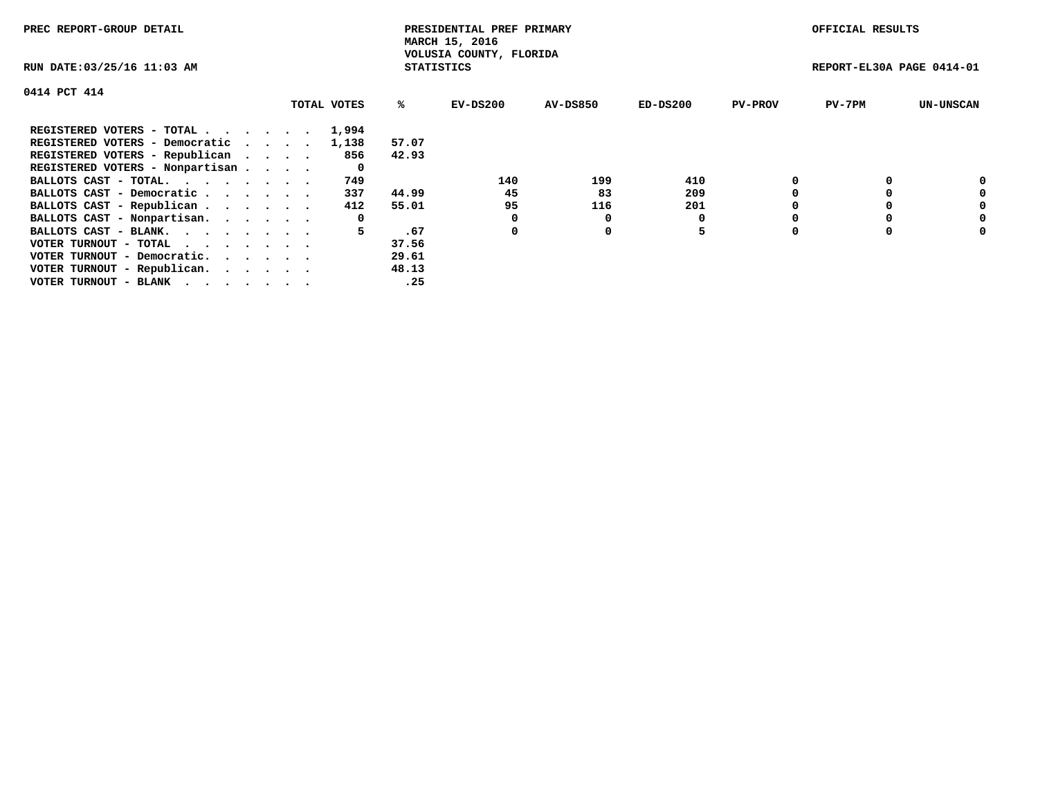| PREC REPORT-GROUP DETAIL                                    |             |                   | PRESIDENTIAL PREF PRIMARY<br>MARCH 15, 2016 |                 |            |                | OFFICIAL RESULTS          |                  |
|-------------------------------------------------------------|-------------|-------------------|---------------------------------------------|-----------------|------------|----------------|---------------------------|------------------|
| RUN DATE: 03/25/16 11:03 AM                                 |             | <b>STATISTICS</b> | VOLUSIA COUNTY, FLORIDA                     |                 |            |                | REPORT-EL30A PAGE 0414-01 |                  |
| 0414 PCT 414                                                |             |                   |                                             |                 |            |                |                           |                  |
|                                                             | TOTAL VOTES | ℁                 | EV-DS200                                    | <b>AV-DS850</b> | $ED-DS200$ | <b>PV-PROV</b> | $PV-7PM$                  | <b>UN-UNSCAN</b> |
| REGISTERED VOTERS - TOTAL                                   | 1,994       |                   |                                             |                 |            |                |                           |                  |
| REGISTERED VOTERS - Democratic                              | 1,138       | 57.07             |                                             |                 |            |                |                           |                  |
| REGISTERED VOTERS - Republican                              | 856         | 42.93             |                                             |                 |            |                |                           |                  |
| REGISTERED VOTERS - Nonpartisan                             | 0           |                   |                                             |                 |            |                |                           |                  |
| BALLOTS CAST - TOTAL.                                       | 749         |                   | 140                                         | 199             | 410        |                |                           | 0                |
| BALLOTS CAST - Democratic                                   | 337         | 44.99             | 45                                          | 83              | 209        |                |                           | 0                |
| BALLOTS CAST - Republican                                   | 412         | 55.01             | 95                                          | 116             | 201        |                |                           | 0                |
| BALLOTS CAST - Nonpartisan.                                 | 0           |                   |                                             | 0               |            |                |                           | 0                |
| BALLOTS CAST - BLANK.                                       | 5           | .67               | 0                                           | 0               | 5          |                |                           | 0                |
| VOTER TURNOUT - TOTAL $\cdot \cdot \cdot \cdot \cdot \cdot$ |             | 37.56             |                                             |                 |            |                |                           |                  |
| VOTER TURNOUT - Democratic.                                 |             | 29.61             |                                             |                 |            |                |                           |                  |
| VOTER TURNOUT - Republican.                                 |             | 48.13             |                                             |                 |            |                |                           |                  |
| VOTER TURNOUT - BLANK                                       |             | .25               |                                             |                 |            |                |                           |                  |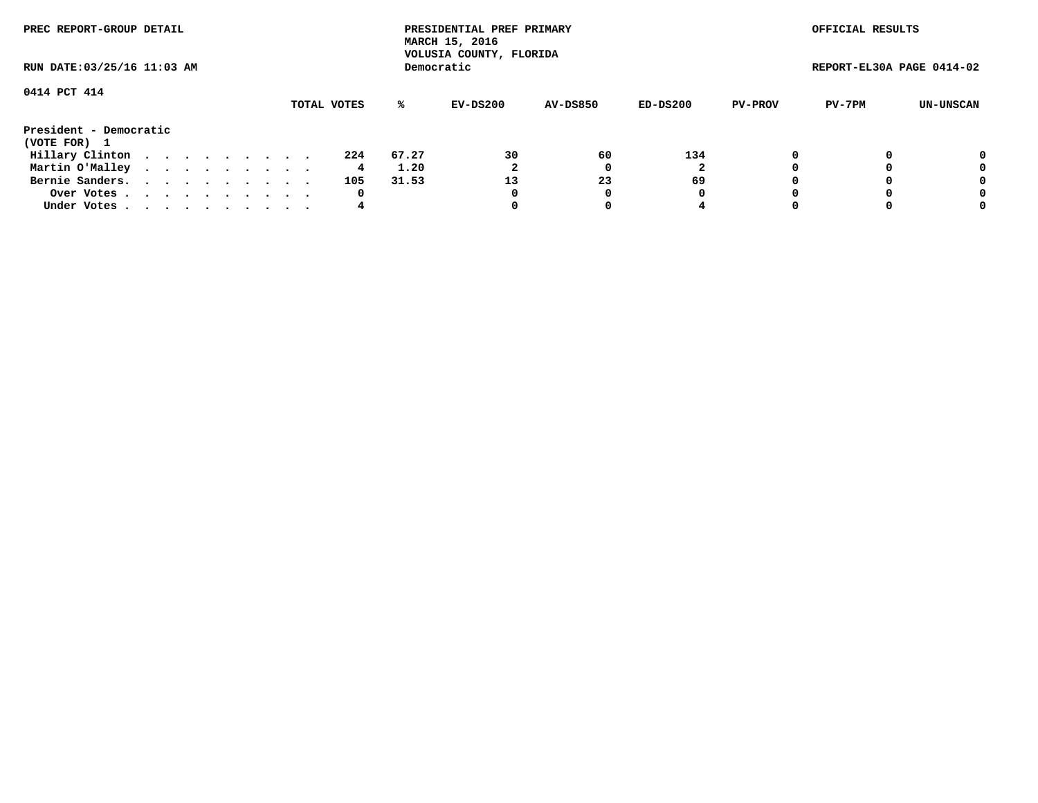| PREC REPORT-GROUP DETAIL<br>RUN DATE: 03/25/16 11:03 AM |  |  |  |  |  |  |             |            | PRESIDENTIAL PREF PRIMARY<br>MARCH 15, 2016<br>VOLUSIA COUNTY, FLORIDA |                 |          |                | OFFICIAL RESULTS          |           |
|---------------------------------------------------------|--|--|--|--|--|--|-------------|------------|------------------------------------------------------------------------|-----------------|----------|----------------|---------------------------|-----------|
|                                                         |  |  |  |  |  |  |             | Democratic |                                                                        |                 |          |                | REPORT-EL30A PAGE 0414-02 |           |
| 0414 PCT 414                                            |  |  |  |  |  |  |             |            |                                                                        |                 |          |                |                           |           |
|                                                         |  |  |  |  |  |  | TOTAL VOTES | ℁          | EV-DS200                                                               | <b>AV-DS850</b> | ED-DS200 | <b>PV-PROV</b> | PV-7PM                    | UN-UNSCAN |
| President - Democratic<br>(VOTE FOR) 1                  |  |  |  |  |  |  |             |            |                                                                        |                 |          |                |                           |           |
| Hillary Clinton                                         |  |  |  |  |  |  | 224         | 67.27      | 30                                                                     | 60              | 134      |                |                           | 0         |
| Martin O'Malley                                         |  |  |  |  |  |  | 4           | 1.20       | 2                                                                      |                 |          |                |                           | 0         |
| Bernie Sanders.                                         |  |  |  |  |  |  | 105         | 31.53      | 13                                                                     | 23              | 69       |                |                           | 0         |
| Over Votes.                                             |  |  |  |  |  |  | 0           |            |                                                                        |                 | 0        |                |                           | 0         |
| Under Votes                                             |  |  |  |  |  |  | 4           |            |                                                                        |                 |          |                |                           | 0         |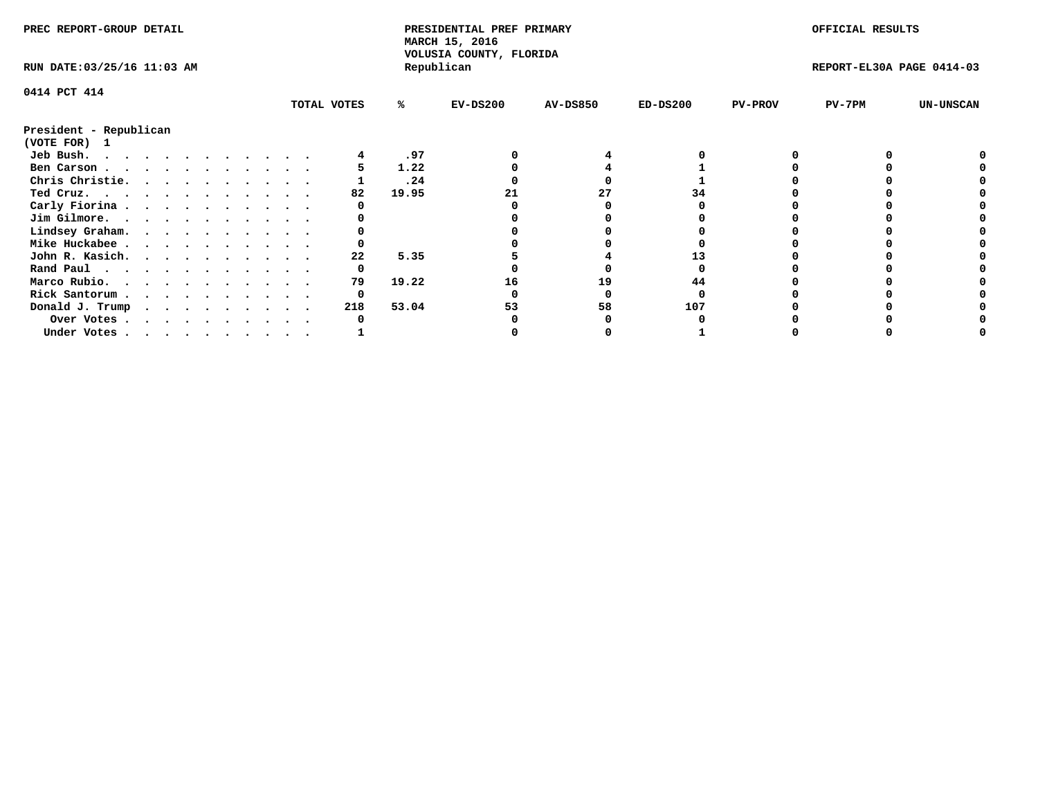| PREC REPORT-GROUP DETAIL    |  |  |  |  |  |  |  | PRESIDENTIAL PREF PRIMARY<br>MARCH 15, 2016<br>VOLUSIA COUNTY, FLORIDA |       |            |                 | OFFICIAL RESULTS |                |                           |                  |
|-----------------------------|--|--|--|--|--|--|--|------------------------------------------------------------------------|-------|------------|-----------------|------------------|----------------|---------------------------|------------------|
| RUN DATE: 03/25/16 11:03 AM |  |  |  |  |  |  |  |                                                                        |       | Republican |                 |                  |                | REPORT-EL30A PAGE 0414-03 |                  |
| 0414 PCT 414                |  |  |  |  |  |  |  |                                                                        |       |            |                 |                  |                |                           |                  |
|                             |  |  |  |  |  |  |  | TOTAL VOTES                                                            | ℁     | $EV-DS200$ | <b>AV-DS850</b> | $ED-DS200$       | <b>PV-PROV</b> | $PV-7PM$                  | <b>UN-UNSCAN</b> |
| President - Republican      |  |  |  |  |  |  |  |                                                                        |       |            |                 |                  |                |                           |                  |
| (VOTE FOR) 1                |  |  |  |  |  |  |  |                                                                        |       |            |                 |                  |                |                           |                  |
| Jeb Bush.                   |  |  |  |  |  |  |  |                                                                        | .97   |            |                 |                  |                |                           |                  |
| Ben Carson                  |  |  |  |  |  |  |  |                                                                        | 1.22  |            |                 |                  |                |                           |                  |
| Chris Christie.             |  |  |  |  |  |  |  |                                                                        | .24   |            |                 |                  |                |                           |                  |
| Ted Cruz.                   |  |  |  |  |  |  |  | 82                                                                     | 19.95 |            | 27              | 34               |                |                           |                  |
| Carly Fiorina               |  |  |  |  |  |  |  |                                                                        |       |            |                 |                  |                |                           |                  |
| Jim Gilmore.                |  |  |  |  |  |  |  |                                                                        |       |            |                 |                  |                |                           |                  |
| Lindsey Graham.             |  |  |  |  |  |  |  |                                                                        |       |            |                 |                  |                |                           |                  |
| Mike Huckabee               |  |  |  |  |  |  |  |                                                                        |       |            |                 |                  |                |                           |                  |
| John R. Kasich.             |  |  |  |  |  |  |  | 22                                                                     | 5.35  |            |                 |                  |                |                           |                  |
| Rand Paul                   |  |  |  |  |  |  |  |                                                                        |       |            |                 |                  |                |                           |                  |
| Marco Rubio.                |  |  |  |  |  |  |  | 79                                                                     | 19.22 | 16         | 19              | 44               |                |                           |                  |
| Rick Santorum               |  |  |  |  |  |  |  | 0                                                                      |       |            |                 |                  |                |                           |                  |
| Donald J. Trump             |  |  |  |  |  |  |  | 218                                                                    | 53.04 |            | 58              | 107              |                |                           |                  |
| Over Votes                  |  |  |  |  |  |  |  |                                                                        |       |            |                 |                  |                |                           |                  |
| Under Votes                 |  |  |  |  |  |  |  |                                                                        |       |            |                 |                  |                |                           |                  |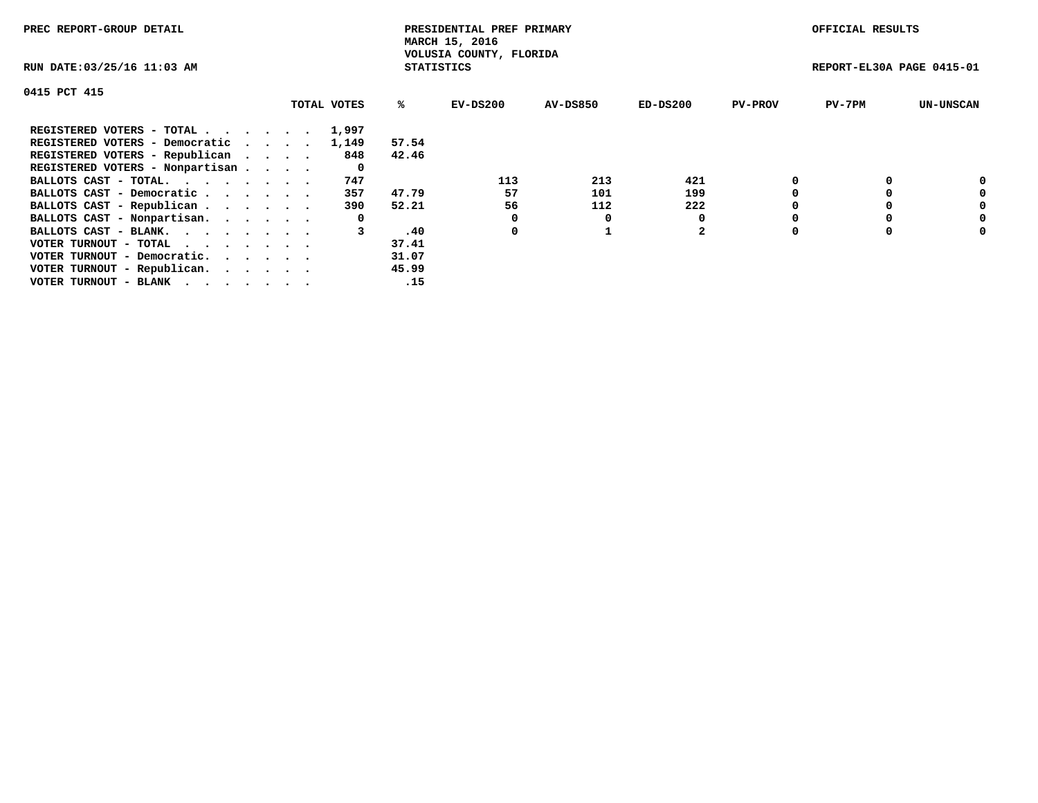| PREC REPORT-GROUP DETAIL                                    |             |                   | PRESIDENTIAL PREF PRIMARY<br>MARCH 15, 2016 |          |                |                | OFFICIAL RESULTS          |                  |
|-------------------------------------------------------------|-------------|-------------------|---------------------------------------------|----------|----------------|----------------|---------------------------|------------------|
| RUN DATE: 03/25/16 11:03 AM                                 |             | <b>STATISTICS</b> | VOLUSIA COUNTY, FLORIDA                     |          |                |                | REPORT-EL30A PAGE 0415-01 |                  |
| 0415 PCT 415                                                |             |                   |                                             |          |                |                |                           |                  |
|                                                             | TOTAL VOTES | ℁                 | $EV-DS200$                                  | AV-DS850 | $ED-DS200$     | <b>PV-PROV</b> | $PV-7PM$                  | <b>UN-UNSCAN</b> |
| REGISTERED VOTERS - TOTAL                                   | 1,997       |                   |                                             |          |                |                |                           |                  |
| REGISTERED VOTERS - Democratic                              | 1,149       | 57.54             |                                             |          |                |                |                           |                  |
| REGISTERED VOTERS - Republican                              | 848         | 42.46             |                                             |          |                |                |                           |                  |
| REGISTERED VOTERS - Nonpartisan                             | 0           |                   |                                             |          |                |                |                           |                  |
| BALLOTS CAST - TOTAL.                                       | 747         |                   | 113                                         | 213      | 421            |                |                           | 0                |
| BALLOTS CAST - Democratic                                   | 357         | 47.79             | 57                                          | 101      | 199            |                |                           | 0                |
| BALLOTS CAST - Republican                                   | 390         | 52.21             | 56                                          | 112      | 222            |                |                           | 0                |
| BALLOTS CAST - Nonpartisan.                                 | 0           |                   |                                             | 0        |                |                |                           | 0                |
| BALLOTS CAST - BLANK.                                       | 3           | .40               | 0                                           |          | $\overline{2}$ |                |                           | 0                |
| VOTER TURNOUT - TOTAL $\cdot \cdot \cdot \cdot \cdot \cdot$ |             | 37.41             |                                             |          |                |                |                           |                  |
| VOTER TURNOUT - Democratic.                                 |             | 31.07             |                                             |          |                |                |                           |                  |
| VOTER TURNOUT - Republican.                                 |             | 45.99             |                                             |          |                |                |                           |                  |
| VOTER TURNOUT - BLANK                                       |             | .15               |                                             |          |                |                |                           |                  |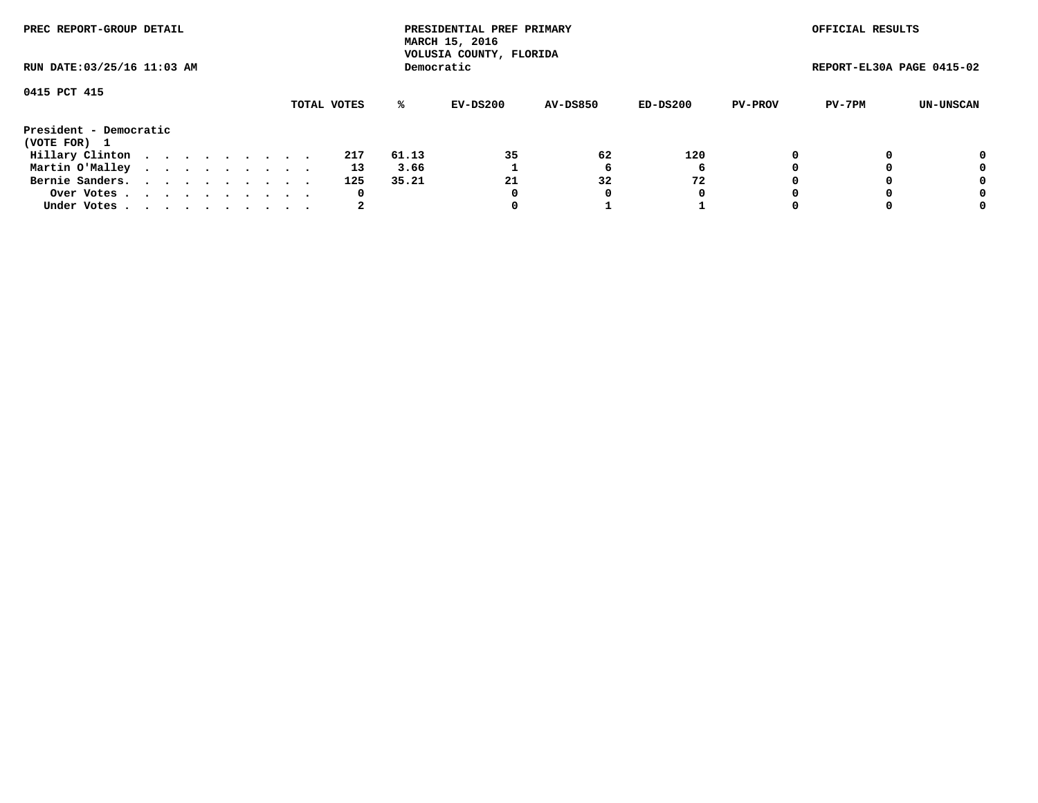| PREC REPORT-GROUP DETAIL<br>RUN DATE: 03/25/16 11:03 AM |  |  |  |  |  |  |  |  |             |       | PRESIDENTIAL PREF PRIMARY<br>MARCH 15, 2016<br>VOLUSIA COUNTY, FLORIDA |                 |          |                | OFFICIAL RESULTS          |           |
|---------------------------------------------------------|--|--|--|--|--|--|--|--|-------------|-------|------------------------------------------------------------------------|-----------------|----------|----------------|---------------------------|-----------|
|                                                         |  |  |  |  |  |  |  |  |             |       | Democratic                                                             |                 |          |                | REPORT-EL30A PAGE 0415-02 |           |
| 0415 PCT 415                                            |  |  |  |  |  |  |  |  | TOTAL VOTES | ℁     | EV-DS200                                                               | <b>AV-DS850</b> | ED-DS200 | <b>PV-PROV</b> | PV-7PM                    | UN-UNSCAN |
| President - Democratic<br>(VOTE FOR) 1                  |  |  |  |  |  |  |  |  |             |       |                                                                        |                 |          |                |                           |           |
| Hillary Clinton                                         |  |  |  |  |  |  |  |  | 217         | 61.13 | 35                                                                     | 62              | 120      |                |                           | 0         |
| Martin O'Malley                                         |  |  |  |  |  |  |  |  | 13          | 3.66  |                                                                        | b               | 6        |                |                           | 0         |
| Bernie Sanders.                                         |  |  |  |  |  |  |  |  | 125         | 35.21 | 21                                                                     | 32              | 72       |                |                           | 0         |
| Over Votes.                                             |  |  |  |  |  |  |  |  | 0           |       | 0                                                                      | 0               | 0        |                |                           | 0         |
| Under Votes                                             |  |  |  |  |  |  |  |  | 2           |       |                                                                        |                 |          |                |                           | 0         |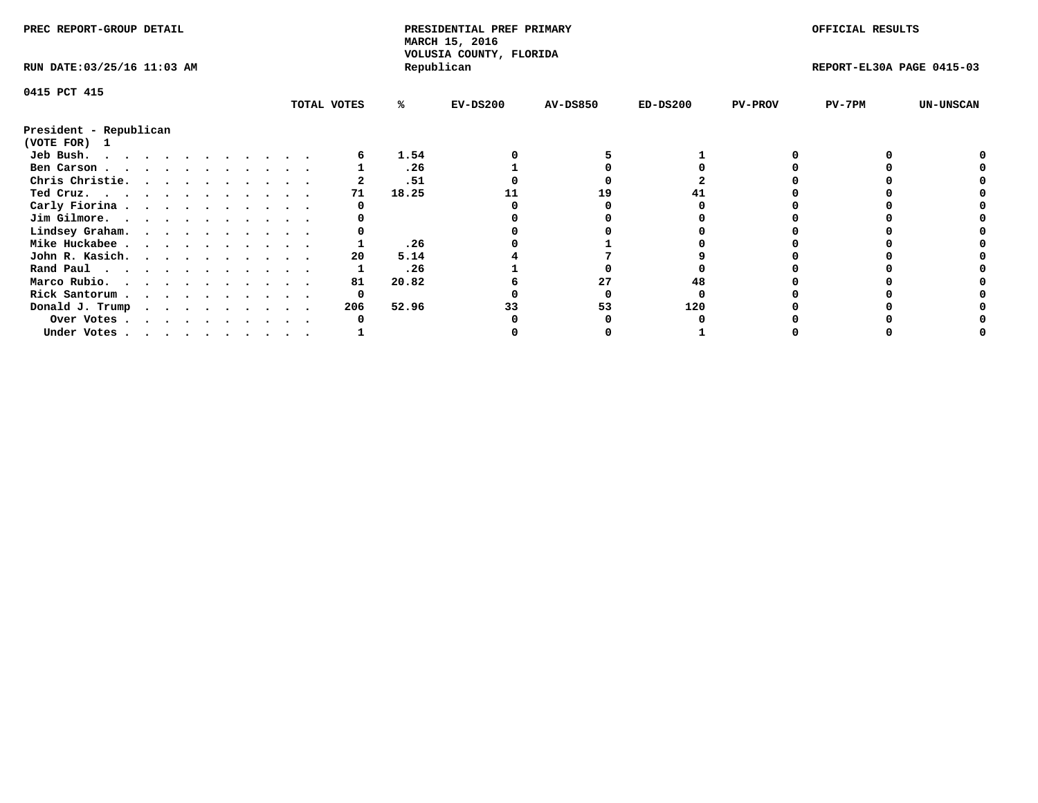| PREC REPORT-GROUP DETAIL    |  |  |  |  |  |  |  |  | PRESIDENTIAL PREF PRIMARY<br>MARCH 15, 2016<br>VOLUSIA COUNTY, FLORIDA |       |            |                 | OFFICIAL RESULTS |                |                           |                  |
|-----------------------------|--|--|--|--|--|--|--|--|------------------------------------------------------------------------|-------|------------|-----------------|------------------|----------------|---------------------------|------------------|
| RUN DATE: 03/25/16 11:03 AM |  |  |  |  |  |  |  |  |                                                                        |       | Republican |                 |                  |                | REPORT-EL30A PAGE 0415-03 |                  |
| 0415 PCT 415                |  |  |  |  |  |  |  |  |                                                                        |       |            |                 |                  |                |                           |                  |
|                             |  |  |  |  |  |  |  |  | TOTAL VOTES                                                            | ℁     | $EV-DS200$ | <b>AV-DS850</b> | $ED-DS200$       | <b>PV-PROV</b> | $PV-7PM$                  | <b>UN-UNSCAN</b> |
| President - Republican      |  |  |  |  |  |  |  |  |                                                                        |       |            |                 |                  |                |                           |                  |
| (VOTE FOR) 1                |  |  |  |  |  |  |  |  |                                                                        |       |            |                 |                  |                |                           |                  |
| Jeb Bush.                   |  |  |  |  |  |  |  |  |                                                                        | 1.54  |            |                 |                  |                |                           |                  |
| Ben Carson                  |  |  |  |  |  |  |  |  |                                                                        | .26   |            |                 |                  |                |                           |                  |
| Chris Christie.             |  |  |  |  |  |  |  |  |                                                                        | .51   |            |                 |                  |                |                           |                  |
| Ted Cruz.                   |  |  |  |  |  |  |  |  | 71                                                                     | 18.25 |            | 19              |                  |                |                           |                  |
| Carly Fiorina               |  |  |  |  |  |  |  |  |                                                                        |       |            |                 |                  |                |                           |                  |
| Jim Gilmore.                |  |  |  |  |  |  |  |  |                                                                        |       |            |                 |                  |                |                           |                  |
| Lindsey Graham.             |  |  |  |  |  |  |  |  |                                                                        |       |            |                 |                  |                |                           |                  |
| Mike Huckabee               |  |  |  |  |  |  |  |  |                                                                        | .26   |            |                 |                  |                |                           |                  |
| John R. Kasich.             |  |  |  |  |  |  |  |  | 20                                                                     | 5.14  |            |                 |                  |                |                           |                  |
| Rand Paul                   |  |  |  |  |  |  |  |  |                                                                        | .26   |            |                 |                  |                |                           |                  |
| Marco Rubio.                |  |  |  |  |  |  |  |  | 81                                                                     | 20.82 |            | 27              |                  |                |                           |                  |
| Rick Santorum               |  |  |  |  |  |  |  |  | 0                                                                      |       |            |                 |                  |                |                           |                  |
| Donald J. Trump             |  |  |  |  |  |  |  |  | 206                                                                    | 52.96 |            | 53              | 120              |                |                           |                  |
| Over Votes                  |  |  |  |  |  |  |  |  |                                                                        |       |            |                 |                  |                |                           |                  |
| Under Votes                 |  |  |  |  |  |  |  |  |                                                                        |       |            |                 |                  |                |                           |                  |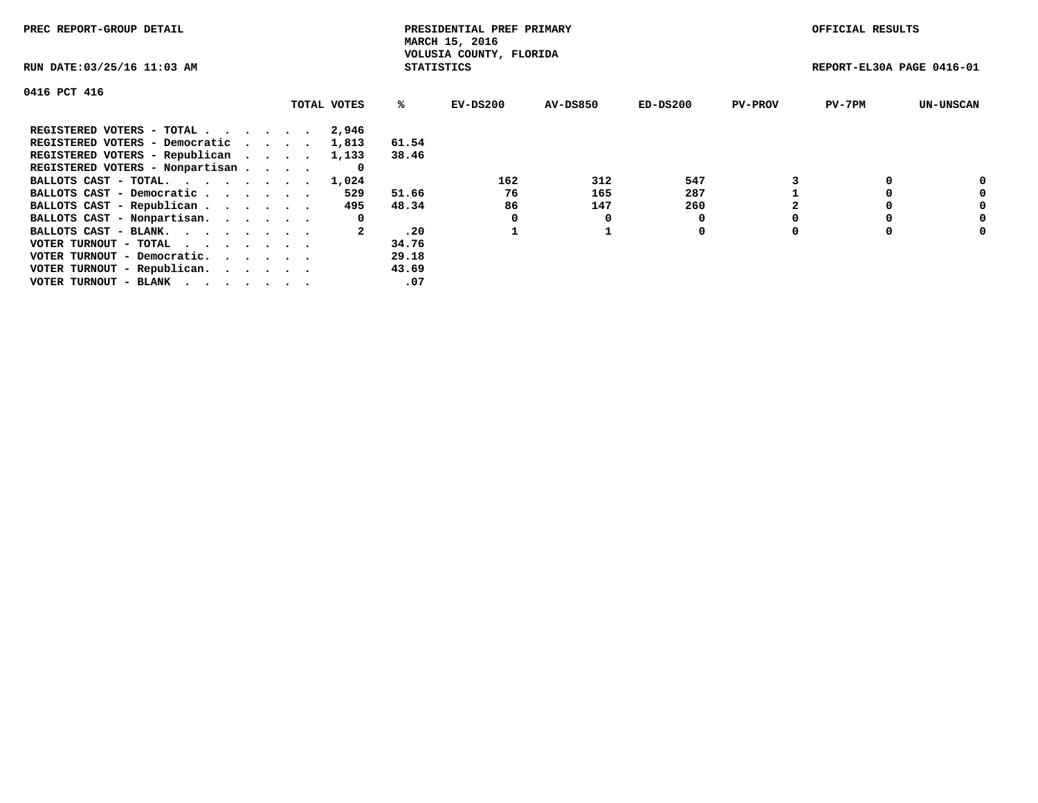| PREC REPORT-GROUP DETAIL                                    |             |                   | PRESIDENTIAL PREF PRIMARY<br>MARCH 15, 2016 |          |            |                | OFFICIAL RESULTS          |                  |
|-------------------------------------------------------------|-------------|-------------------|---------------------------------------------|----------|------------|----------------|---------------------------|------------------|
| RUN DATE: 03/25/16 11:03 AM                                 |             | <b>STATISTICS</b> | VOLUSIA COUNTY, FLORIDA                     |          |            |                | REPORT-EL30A PAGE 0416-01 |                  |
| 0416 PCT 416                                                |             |                   |                                             |          |            |                |                           |                  |
|                                                             | TOTAL VOTES | ℁                 | $EV-DS200$                                  | AV-DS850 | $ED-DS200$ | <b>PV-PROV</b> | $PV-7PM$                  | <b>UN-UNSCAN</b> |
| REGISTERED VOTERS - TOTAL                                   | 2,946       |                   |                                             |          |            |                |                           |                  |
| REGISTERED VOTERS - Democratic                              | 1,813       | 61.54             |                                             |          |            |                |                           |                  |
| REGISTERED VOTERS - Republican                              | 1,133       | 38.46             |                                             |          |            |                |                           |                  |
| REGISTERED VOTERS - Nonpartisan                             | 0           |                   |                                             |          |            |                |                           |                  |
| BALLOTS CAST - TOTAL.                                       | 1,024       |                   | 162                                         | 312      | 547        |                |                           | 0                |
| BALLOTS CAST - Democratic                                   | 529         | 51.66             | 76                                          | 165      | 287        |                |                           | 0                |
| BALLOTS CAST - Republican                                   | 495         | 48.34             | 86                                          | 147      | 260        |                |                           | 0                |
| BALLOTS CAST - Nonpartisan.                                 | 0           |                   |                                             | 0        |            |                |                           | 0                |
| BALLOTS CAST - BLANK.                                       |             | .20               |                                             |          | 0          |                |                           | 0                |
| VOTER TURNOUT - TOTAL $\cdot \cdot \cdot \cdot \cdot \cdot$ |             | 34.76             |                                             |          |            |                |                           |                  |
| VOTER TURNOUT - Democratic.                                 |             | 29.18             |                                             |          |            |                |                           |                  |
| VOTER TURNOUT - Republican.                                 |             | 43.69             |                                             |          |            |                |                           |                  |
| VOTER TURNOUT - BLANK                                       |             | .07               |                                             |          |            |                |                           |                  |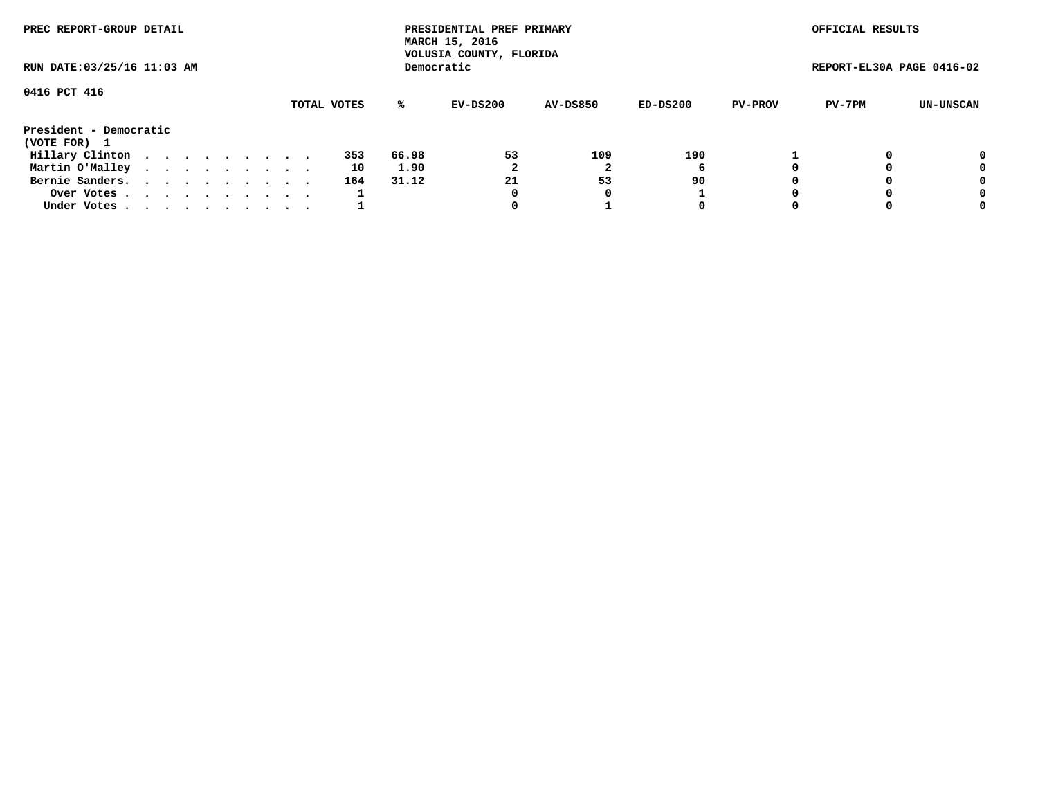| PREC REPORT-GROUP DETAIL<br>RUN DATE: 03/25/16 11:03 AM |  |  |  |  |  |  |  |  |             | PRESIDENTIAL PREF PRIMARY<br>MARCH 15, 2016<br>VOLUSIA COUNTY, FLORIDA |            |                 |          | OFFICIAL RESULTS |                           |           |
|---------------------------------------------------------|--|--|--|--|--|--|--|--|-------------|------------------------------------------------------------------------|------------|-----------------|----------|------------------|---------------------------|-----------|
|                                                         |  |  |  |  |  |  |  |  |             |                                                                        | Democratic |                 |          |                  | REPORT-EL30A PAGE 0416-02 |           |
| 0416 PCT 416                                            |  |  |  |  |  |  |  |  |             |                                                                        |            |                 |          |                  |                           |           |
|                                                         |  |  |  |  |  |  |  |  | TOTAL VOTES | ℁                                                                      | EV-DS200   | <b>AV-DS850</b> | ED-DS200 | <b>PV-PROV</b>   | PV-7PM                    | UN-UNSCAN |
| President - Democratic<br>(VOTE FOR) 1                  |  |  |  |  |  |  |  |  |             |                                                                        |            |                 |          |                  |                           |           |
| Hillary Clinton                                         |  |  |  |  |  |  |  |  | 353         | 66.98                                                                  | 53         | 109             | 190      |                  |                           | 0         |
| Martin O'Malley                                         |  |  |  |  |  |  |  |  | 10          | 1.90                                                                   |            |                 | 6        |                  |                           | 0         |
| Bernie Sanders.                                         |  |  |  |  |  |  |  |  | 164         | 31.12                                                                  | 21         | 53              | 90       |                  |                           | 0         |
| Over Votes.                                             |  |  |  |  |  |  |  |  |             |                                                                        | 0          | 0               |          |                  |                           | 0         |
| Under Votes                                             |  |  |  |  |  |  |  |  |             |                                                                        |            |                 | 0        |                  |                           | 0         |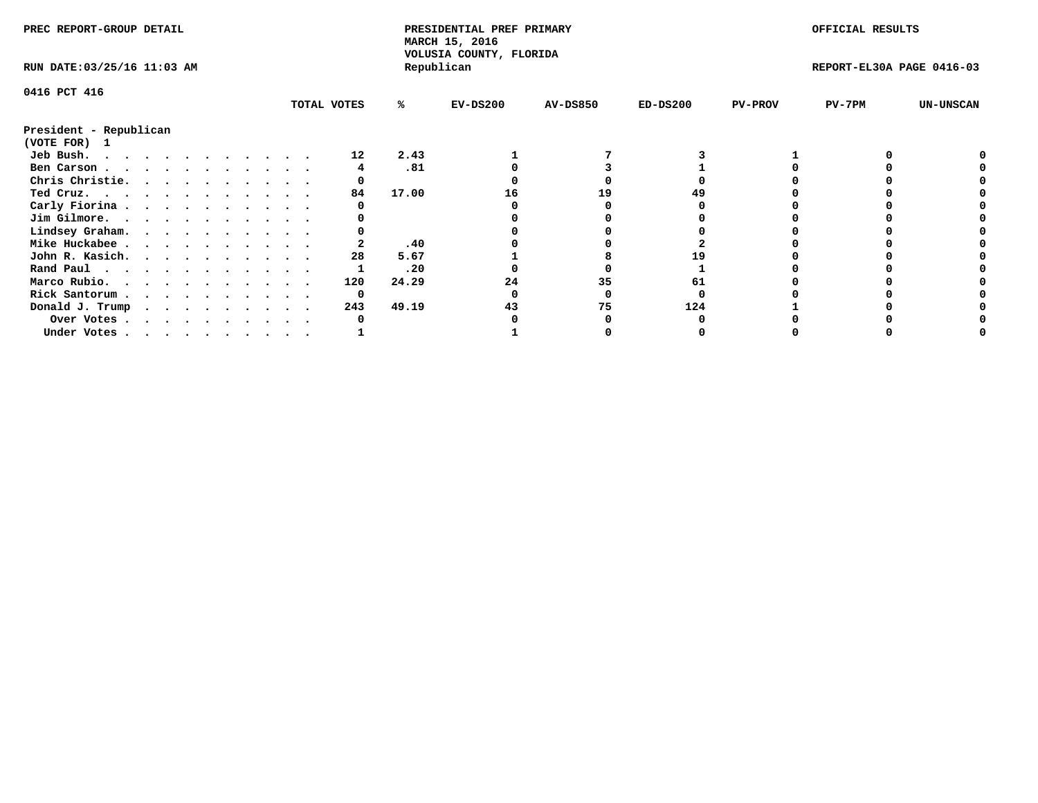| PREC REPORT-GROUP DETAIL    |  |  |  |  |  |  |  |             | PRESIDENTIAL PREF PRIMARY<br>MARCH 15, 2016<br>VOLUSIA COUNTY, FLORIDA |            |                 |            | OFFICIAL RESULTS |                           |                  |
|-----------------------------|--|--|--|--|--|--|--|-------------|------------------------------------------------------------------------|------------|-----------------|------------|------------------|---------------------------|------------------|
| RUN DATE: 03/25/16 11:03 AM |  |  |  |  |  |  |  |             |                                                                        | Republican |                 |            |                  | REPORT-EL30A PAGE 0416-03 |                  |
| 0416 PCT 416                |  |  |  |  |  |  |  |             |                                                                        |            |                 |            |                  |                           |                  |
|                             |  |  |  |  |  |  |  | TOTAL VOTES | %ะ                                                                     | $EV-DS200$ | <b>AV-DS850</b> | $ED-DS200$ | <b>PV-PROV</b>   | PV-7PM                    | <b>UN-UNSCAN</b> |
| President - Republican      |  |  |  |  |  |  |  |             |                                                                        |            |                 |            |                  |                           |                  |
| (VOTE FOR) 1                |  |  |  |  |  |  |  |             |                                                                        |            |                 |            |                  |                           |                  |
| Jeb Bush.                   |  |  |  |  |  |  |  | 12          | 2.43                                                                   |            |                 |            |                  |                           |                  |
| Ben Carson                  |  |  |  |  |  |  |  |             | .81                                                                    |            |                 |            |                  |                           |                  |
| Chris Christie.             |  |  |  |  |  |  |  |             |                                                                        |            |                 |            |                  |                           |                  |
| Ted Cruz.                   |  |  |  |  |  |  |  | 84          | 17.00                                                                  | 16         | 19              |            |                  |                           |                  |
| Carly Fiorina               |  |  |  |  |  |  |  |             |                                                                        |            |                 |            |                  |                           |                  |
| Jim Gilmore.                |  |  |  |  |  |  |  |             |                                                                        |            |                 |            |                  |                           |                  |
| Lindsey Graham.             |  |  |  |  |  |  |  |             |                                                                        |            |                 |            |                  |                           |                  |
| Mike Huckabee               |  |  |  |  |  |  |  |             | .40                                                                    |            |                 |            |                  |                           |                  |
| John R. Kasich.             |  |  |  |  |  |  |  | 28          | 5.67                                                                   |            |                 |            |                  |                           |                  |
| Rand Paul                   |  |  |  |  |  |  |  |             | .20                                                                    |            |                 |            |                  |                           |                  |
| Marco Rubio.                |  |  |  |  |  |  |  | 120         | 24.29                                                                  |            | 35              |            |                  |                           |                  |
| Rick Santorum               |  |  |  |  |  |  |  | 0           |                                                                        |            |                 |            |                  |                           |                  |
|                             |  |  |  |  |  |  |  | 243         | 49.19                                                                  |            | 75              | 124        |                  |                           |                  |
| Donald J. Trump             |  |  |  |  |  |  |  |             |                                                                        |            |                 |            |                  |                           |                  |
| Over Votes                  |  |  |  |  |  |  |  |             |                                                                        |            |                 |            |                  |                           |                  |
| Under Votes                 |  |  |  |  |  |  |  |             |                                                                        |            |                 |            |                  |                           |                  |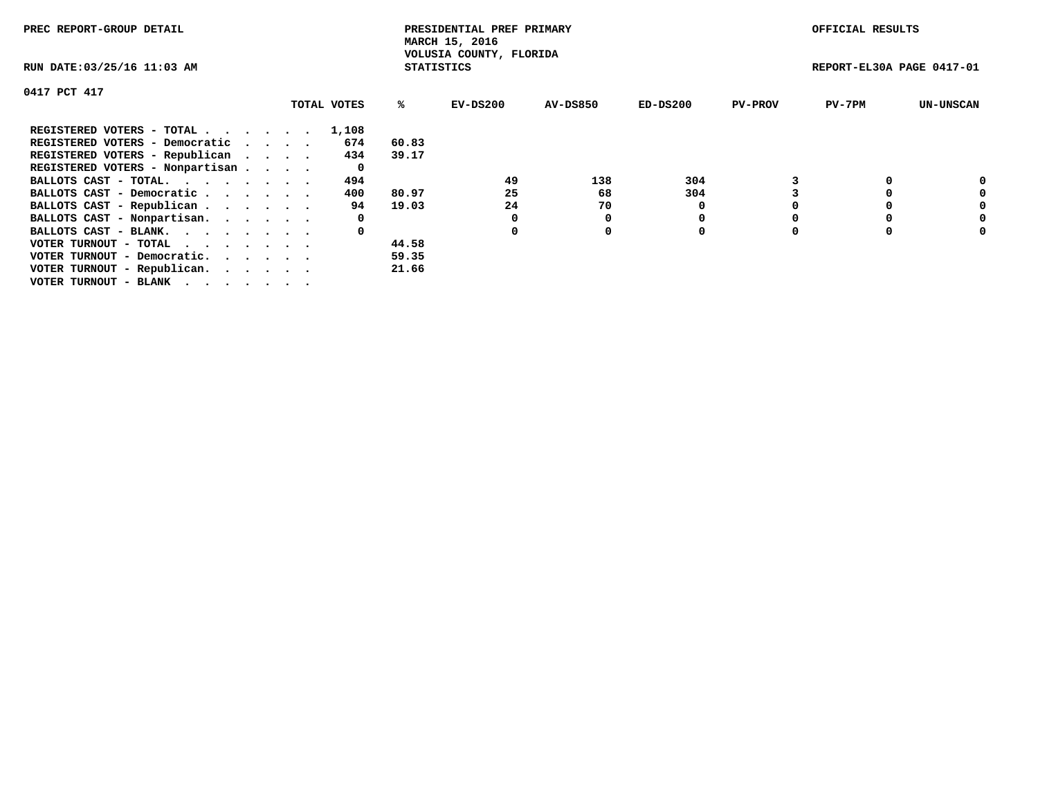| PREC REPORT-GROUP DETAIL        |             |                   | PRESIDENTIAL PREF PRIMARY<br>MARCH 15, 2016 |                 |            |                | OFFICIAL RESULTS          |                  |
|---------------------------------|-------------|-------------------|---------------------------------------------|-----------------|------------|----------------|---------------------------|------------------|
| RUN DATE: 03/25/16 11:03 AM     |             | <b>STATISTICS</b> | VOLUSIA COUNTY, FLORIDA                     |                 |            |                | REPORT-EL30A PAGE 0417-01 |                  |
| 0417 PCT 417                    |             |                   |                                             |                 |            |                |                           |                  |
|                                 | TOTAL VOTES | %ร                | EV-DS200                                    | <b>AV-DS850</b> | $ED-DS200$ | <b>PV-PROV</b> | $PV-7PM$                  | <b>UN-UNSCAN</b> |
| REGISTERED VOTERS - TOTAL       | 1,108       |                   |                                             |                 |            |                |                           |                  |
| REGISTERED VOTERS - Democratic  | 674         | 60.83             |                                             |                 |            |                |                           |                  |
| REGISTERED VOTERS - Republican  | 434         | 39.17             |                                             |                 |            |                |                           |                  |
| REGISTERED VOTERS - Nonpartisan | 0           |                   |                                             |                 |            |                |                           |                  |
| BALLOTS CAST - TOTAL.           | 494         |                   | 49                                          | 138             | 304        |                |                           | 0                |
| BALLOTS CAST - Democratic       | 400         | 80.97             | 25                                          | 68              | 304        |                |                           | 0                |
| BALLOTS CAST - Republican       | 94          | 19.03             | 24                                          | 70              |            |                |                           | 0                |
| BALLOTS CAST - Nonpartisan.     | 0           |                   | 0                                           |                 |            |                |                           | 0                |
| BALLOTS CAST - BLANK.           | 0           |                   | 0                                           | 0               | 0          |                |                           | 0                |
| VOTER TURNOUT - TOTAL           |             | 44.58             |                                             |                 |            |                |                           |                  |
| VOTER TURNOUT - Democratic.     |             | 59.35             |                                             |                 |            |                |                           |                  |
| VOTER TURNOUT - Republican.     |             | 21.66             |                                             |                 |            |                |                           |                  |
| VOTER TURNOUT - BLANK           |             |                   |                                             |                 |            |                |                           |                  |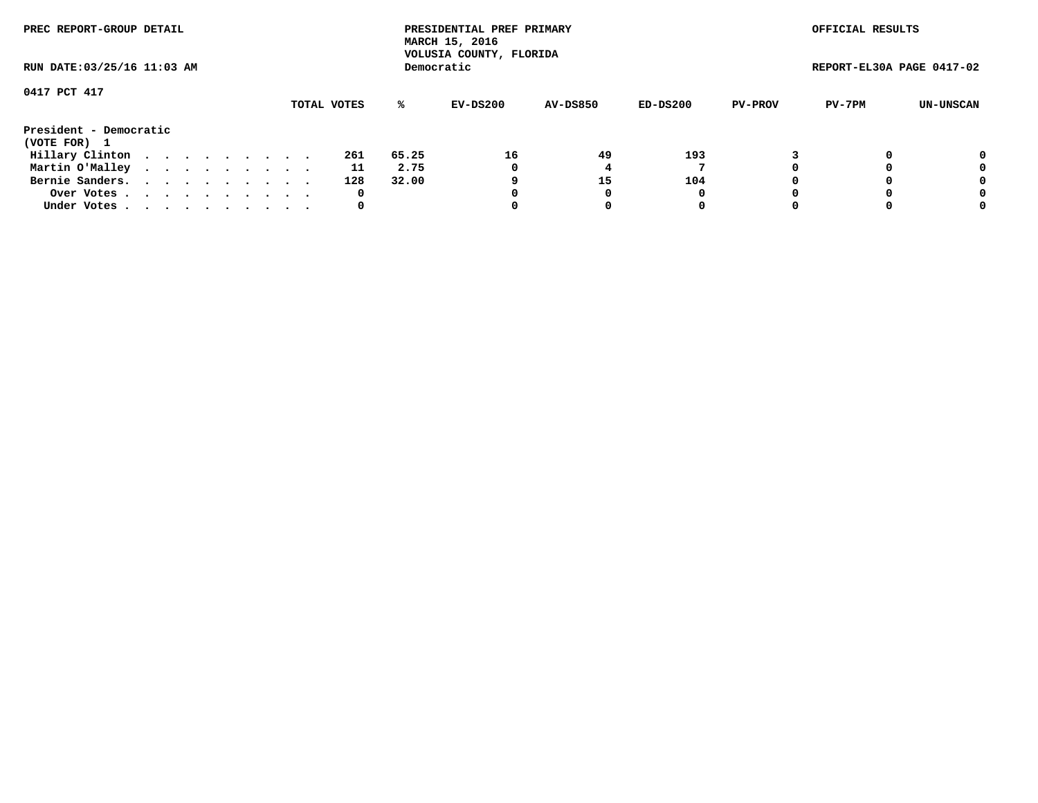| PREC REPORT-GROUP DETAIL<br>RUN DATE: 03/25/16 11:03 AM |  |  |  |  |  |  |  |  |             |       | PRESIDENTIAL PREF PRIMARY<br>MARCH 15, 2016<br>VOLUSIA COUNTY, FLORIDA |                 |          |                | OFFICIAL RESULTS          |           |
|---------------------------------------------------------|--|--|--|--|--|--|--|--|-------------|-------|------------------------------------------------------------------------|-----------------|----------|----------------|---------------------------|-----------|
|                                                         |  |  |  |  |  |  |  |  |             |       | Democratic                                                             |                 |          |                | REPORT-EL30A PAGE 0417-02 |           |
| 0417 PCT 417                                            |  |  |  |  |  |  |  |  |             |       |                                                                        |                 |          |                |                           |           |
|                                                         |  |  |  |  |  |  |  |  | TOTAL VOTES | %ะ    | EV-DS200                                                               | <b>AV-DS850</b> | ED-DS200 | <b>PV-PROV</b> | PV-7PM                    | UN-UNSCAN |
| President - Democratic                                  |  |  |  |  |  |  |  |  |             |       |                                                                        |                 |          |                |                           |           |
| (VOTE FOR) 1                                            |  |  |  |  |  |  |  |  |             |       |                                                                        |                 |          |                |                           |           |
| Hillary Clinton                                         |  |  |  |  |  |  |  |  | 261         | 65.25 | 16                                                                     | 49              | 193      |                |                           | 0         |
| Martin O'Malley                                         |  |  |  |  |  |  |  |  | 11          | 2.75  | 0                                                                      |                 |          |                |                           | 0         |
| Bernie Sanders.                                         |  |  |  |  |  |  |  |  | 128         | 32.00 | 9                                                                      | 15              | 104      |                |                           | 0         |
| Over Votes.                                             |  |  |  |  |  |  |  |  | 0           |       |                                                                        |                 | 0        |                |                           | 0         |
| Under Votes.                                            |  |  |  |  |  |  |  |  | 0           |       |                                                                        |                 | 0        |                |                           | 0         |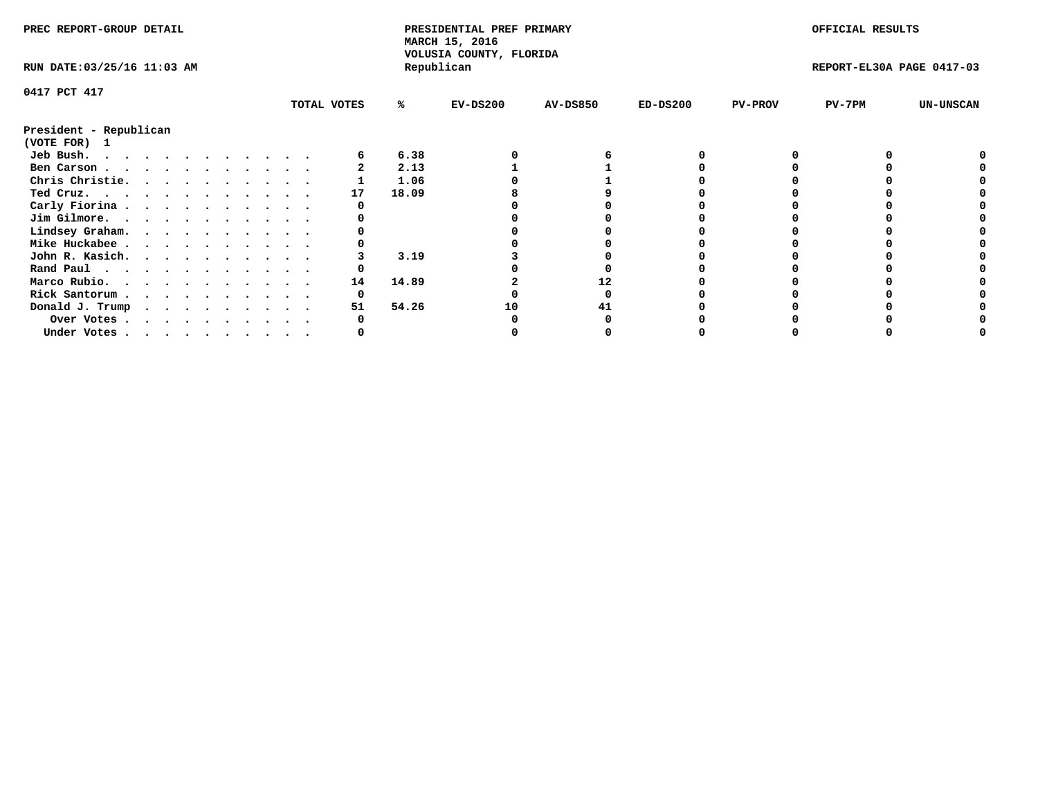| PREC REPORT-GROUP DETAIL                                                                                                                                                                                                                   |  |  |  |  |  |  |  |  | PRESIDENTIAL PREF PRIMARY<br>MARCH 15, 2016<br>VOLUSIA COUNTY, FLORIDA |       |            |                 | OFFICIAL RESULTS |                |                           |                  |
|--------------------------------------------------------------------------------------------------------------------------------------------------------------------------------------------------------------------------------------------|--|--|--|--|--|--|--|--|------------------------------------------------------------------------|-------|------------|-----------------|------------------|----------------|---------------------------|------------------|
| RUN DATE: 03/25/16 11:03 AM                                                                                                                                                                                                                |  |  |  |  |  |  |  |  |                                                                        |       | Republican |                 |                  |                | REPORT-EL30A PAGE 0417-03 |                  |
| 0417 PCT 417                                                                                                                                                                                                                               |  |  |  |  |  |  |  |  |                                                                        |       |            |                 |                  |                |                           |                  |
|                                                                                                                                                                                                                                            |  |  |  |  |  |  |  |  | TOTAL VOTES                                                            | %ะ    | $EV-DS200$ | <b>AV-DS850</b> | $ED-DS200$       | <b>PV-PROV</b> | $PV-7PM$                  | <b>UN-UNSCAN</b> |
| President - Republican<br>(VOTE FOR) 1                                                                                                                                                                                                     |  |  |  |  |  |  |  |  |                                                                        |       |            |                 |                  |                |                           |                  |
| Jeb Bush.<br>. The contract of the contract of the contract of the contract of the contract of the contract of the contract of the contract of the contract of the contract of the contract of the contract of the contract of the contrac |  |  |  |  |  |  |  |  |                                                                        | 6.38  |            |                 |                  |                |                           |                  |
| Ben Carson                                                                                                                                                                                                                                 |  |  |  |  |  |  |  |  |                                                                        | 2.13  |            |                 |                  |                |                           |                  |
| Chris Christie.                                                                                                                                                                                                                            |  |  |  |  |  |  |  |  |                                                                        | 1.06  |            |                 |                  |                |                           |                  |
| Ted Cruz.                                                                                                                                                                                                                                  |  |  |  |  |  |  |  |  | 17                                                                     | 18.09 |            |                 |                  |                |                           |                  |
| Carly Fiorina                                                                                                                                                                                                                              |  |  |  |  |  |  |  |  |                                                                        |       |            |                 |                  |                |                           |                  |
| Jim Gilmore.                                                                                                                                                                                                                               |  |  |  |  |  |  |  |  |                                                                        |       |            |                 |                  |                |                           |                  |
| Lindsey Graham.                                                                                                                                                                                                                            |  |  |  |  |  |  |  |  |                                                                        |       |            |                 |                  |                |                           |                  |
| Mike Huckabee                                                                                                                                                                                                                              |  |  |  |  |  |  |  |  |                                                                        |       |            |                 |                  |                |                           |                  |
|                                                                                                                                                                                                                                            |  |  |  |  |  |  |  |  |                                                                        | 3.19  |            |                 |                  |                |                           |                  |
| John R. Kasich.                                                                                                                                                                                                                            |  |  |  |  |  |  |  |  |                                                                        |       |            |                 |                  |                |                           |                  |
| Rand Paul                                                                                                                                                                                                                                  |  |  |  |  |  |  |  |  |                                                                        |       |            |                 |                  |                |                           |                  |
| Marco Rubio.                                                                                                                                                                                                                               |  |  |  |  |  |  |  |  | 14                                                                     | 14.89 |            | 12              |                  |                |                           |                  |
| Rick Santorum                                                                                                                                                                                                                              |  |  |  |  |  |  |  |  |                                                                        |       |            |                 |                  |                |                           |                  |
| Donald J. Trump $\cdots$ $\cdots$ $\cdots$ $\cdots$                                                                                                                                                                                        |  |  |  |  |  |  |  |  | 51                                                                     | 54.26 | 10         |                 |                  |                |                           |                  |
| Over Votes                                                                                                                                                                                                                                 |  |  |  |  |  |  |  |  |                                                                        |       |            |                 |                  |                |                           |                  |
| Under Votes, , , , , , , , , , ,                                                                                                                                                                                                           |  |  |  |  |  |  |  |  |                                                                        |       |            |                 |                  |                |                           |                  |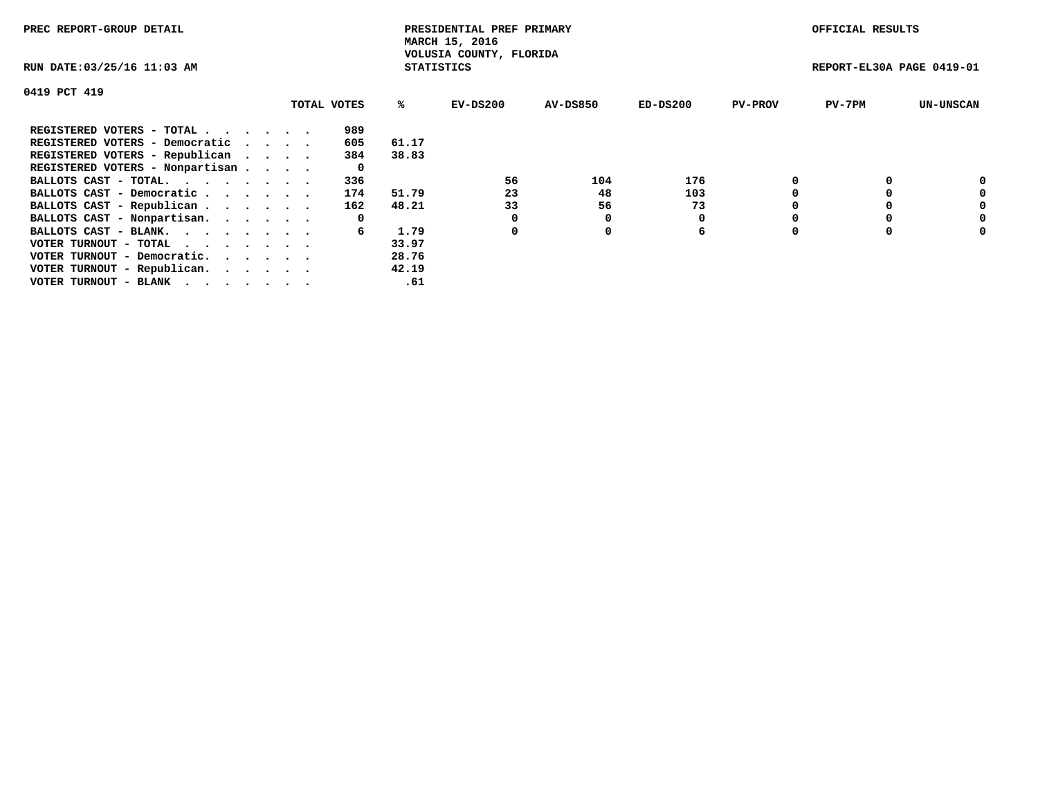| PREC REPORT-GROUP DETAIL                                    |             |       | PRESIDENTIAL PREF PRIMARY<br>MARCH 15, 2016  |          |            |                | OFFICIAL RESULTS          |                  |
|-------------------------------------------------------------|-------------|-------|----------------------------------------------|----------|------------|----------------|---------------------------|------------------|
| RUN DATE: 03/25/16 11:03 AM                                 |             |       | VOLUSIA COUNTY, FLORIDA<br><b>STATISTICS</b> |          |            |                | REPORT-EL30A PAGE 0419-01 |                  |
| 0419 PCT 419                                                |             |       |                                              |          |            |                |                           |                  |
|                                                             | TOTAL VOTES | %ร    | EV-DS200                                     | AV-DS850 | $ED-DS200$ | <b>PV-PROV</b> | $PV-7PM$                  | <b>UN-UNSCAN</b> |
| REGISTERED VOTERS - TOTAL                                   | 989         |       |                                              |          |            |                |                           |                  |
| REGISTERED VOTERS - Democratic                              | 605         | 61.17 |                                              |          |            |                |                           |                  |
| REGISTERED VOTERS - Republican                              | 384         | 38.83 |                                              |          |            |                |                           |                  |
| REGISTERED VOTERS - Nonpartisan                             | 0           |       |                                              |          |            |                |                           |                  |
| BALLOTS CAST - TOTAL.                                       | 336         |       | 56                                           | 104      | 176        |                |                           | 0                |
| BALLOTS CAST - Democratic                                   | 174         | 51.79 | 23                                           | 48       | 103        |                |                           | 0                |
| BALLOTS CAST - Republican                                   | 162         | 48.21 | 33                                           | 56       | 73         |                |                           | 0                |
| BALLOTS CAST - Nonpartisan.                                 | 0           |       |                                              | 0        |            |                |                           | 0                |
| BALLOTS CAST - BLANK.                                       | б.          | 1.79  | 0                                            | 0        | 6          | $\Omega$       |                           | 0                |
| VOTER TURNOUT - TOTAL $\cdot \cdot \cdot \cdot \cdot \cdot$ |             | 33.97 |                                              |          |            |                |                           |                  |
| VOTER TURNOUT - Democratic.                                 |             | 28.76 |                                              |          |            |                |                           |                  |
| VOTER TURNOUT - Republican.                                 |             | 42.19 |                                              |          |            |                |                           |                  |
| VOTER TURNOUT - BLANK                                       |             | .61   |                                              |          |            |                |                           |                  |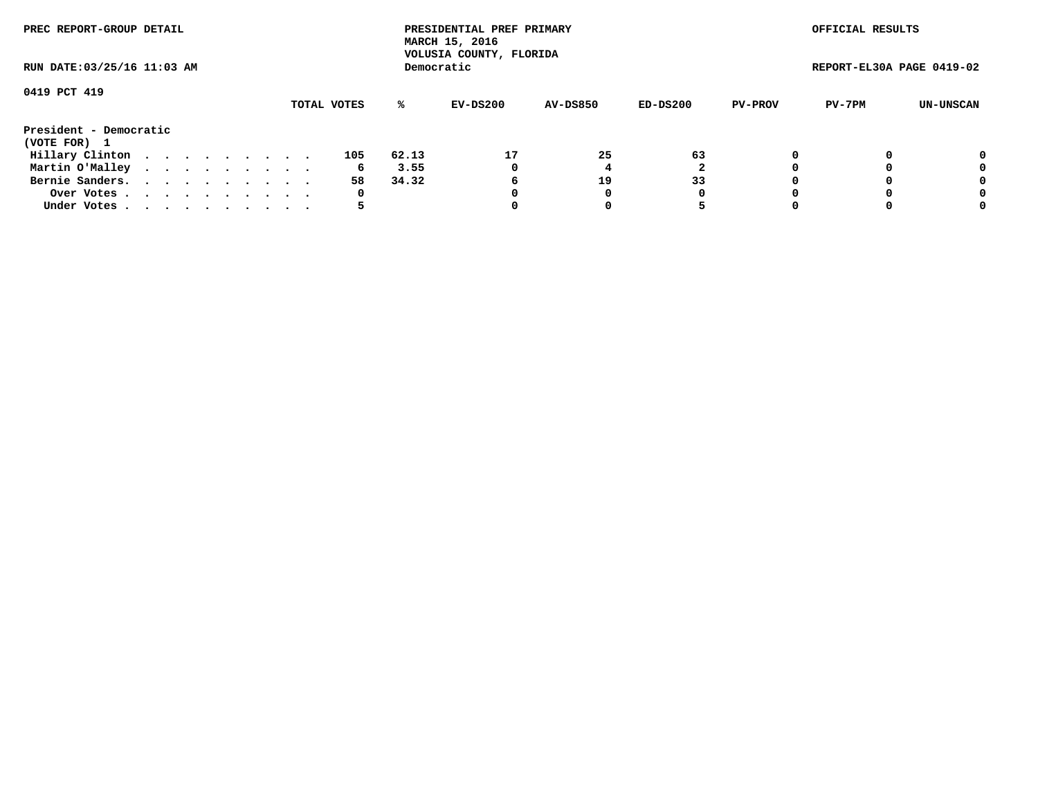| PREC REPORT-GROUP DETAIL<br>RUN DATE: 03/25/16 11:03 AM |  |  |  |  |  |  |  |  |             |       | PRESIDENTIAL PREF PRIMARY<br>MARCH 15, 2016<br>VOLUSIA COUNTY, FLORIDA |                 |          |                | OFFICIAL RESULTS          |           |
|---------------------------------------------------------|--|--|--|--|--|--|--|--|-------------|-------|------------------------------------------------------------------------|-----------------|----------|----------------|---------------------------|-----------|
|                                                         |  |  |  |  |  |  |  |  |             |       | Democratic                                                             |                 |          |                | REPORT-EL30A PAGE 0419-02 |           |
| 0419 PCT 419                                            |  |  |  |  |  |  |  |  |             |       |                                                                        |                 |          |                |                           |           |
|                                                         |  |  |  |  |  |  |  |  | TOTAL VOTES | %ะ    | EV-DS200                                                               | <b>AV-DS850</b> | ED-DS200 | <b>PV-PROV</b> | PV-7PM                    | UN-UNSCAN |
| President - Democratic                                  |  |  |  |  |  |  |  |  |             |       |                                                                        |                 |          |                |                           |           |
| (VOTE FOR) 1                                            |  |  |  |  |  |  |  |  |             |       |                                                                        |                 |          |                |                           |           |
| Hillary Clinton                                         |  |  |  |  |  |  |  |  | 105         | 62.13 | 17                                                                     | 25              | 63       |                |                           | 0         |
| Martin O'Malley                                         |  |  |  |  |  |  |  |  | 6           | 3.55  | 0                                                                      |                 |          |                |                           | 0         |
| Bernie Sanders.                                         |  |  |  |  |  |  |  |  | 58          | 34.32 | 6                                                                      | 19              | 33       |                |                           | 0         |
| Over Votes                                              |  |  |  |  |  |  |  |  | 0           |       |                                                                        |                 | 0        |                |                           | 0         |
| Under Votes.                                            |  |  |  |  |  |  |  |  |             |       |                                                                        |                 |          |                |                           | 0         |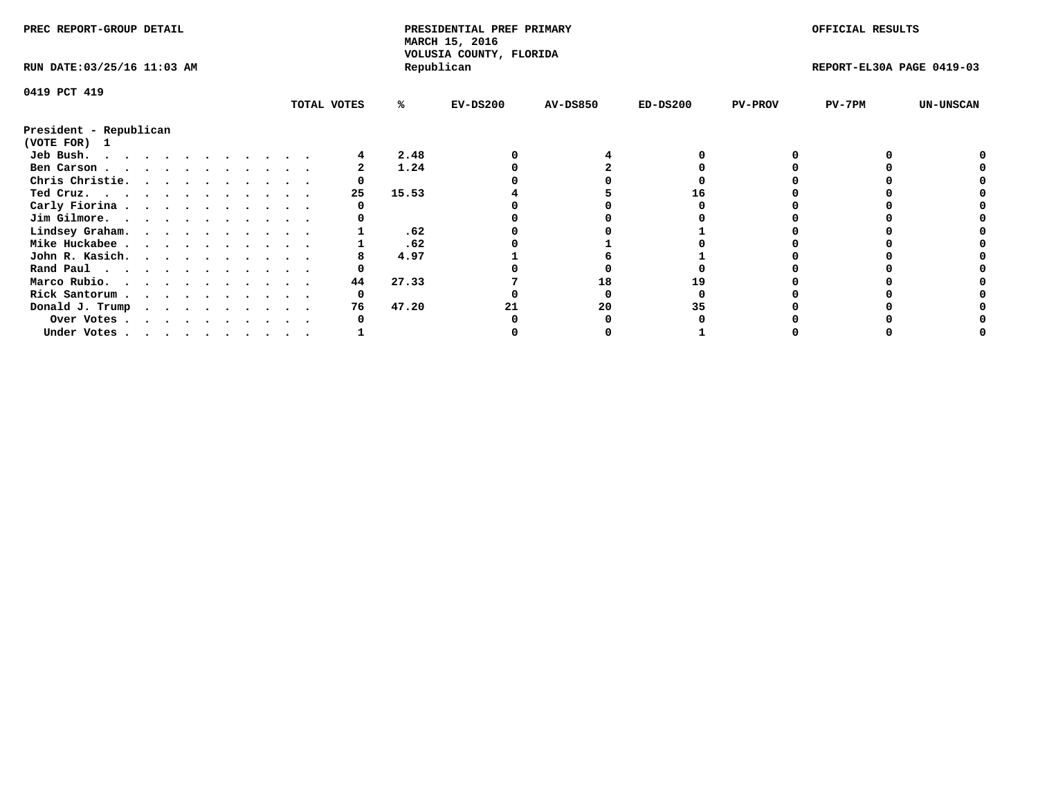| PREC REPORT-GROUP DETAIL                                                                                                                                                                                                                    |  |  |  |  |  |  |  |             | PRESIDENTIAL PREF PRIMARY<br>MARCH 15, 2016<br>VOLUSIA COUNTY, FLORIDA |            |                 |            | OFFICIAL RESULTS |                           |                  |
|---------------------------------------------------------------------------------------------------------------------------------------------------------------------------------------------------------------------------------------------|--|--|--|--|--|--|--|-------------|------------------------------------------------------------------------|------------|-----------------|------------|------------------|---------------------------|------------------|
| RUN DATE: 03/25/16 11:03 AM                                                                                                                                                                                                                 |  |  |  |  |  |  |  |             |                                                                        | Republican |                 |            |                  | REPORT-EL30A PAGE 0419-03 |                  |
| 0419 PCT 419                                                                                                                                                                                                                                |  |  |  |  |  |  |  |             |                                                                        |            |                 |            |                  |                           |                  |
|                                                                                                                                                                                                                                             |  |  |  |  |  |  |  | TOTAL VOTES | ℁                                                                      | $EV-DS200$ | <b>AV-DS850</b> | $ED-DS200$ | <b>PV-PROV</b>   | PV-7PM                    | <b>UN-UNSCAN</b> |
| President - Republican<br>(VOTE FOR) 1                                                                                                                                                                                                      |  |  |  |  |  |  |  |             |                                                                        |            |                 |            |                  |                           |                  |
| Jeb Bush.<br>the contract of the contract of the contract of the contract of the contract of the contract of the contract of the contract of the contract of the contract of the contract of the contract of the contract of the contract o |  |  |  |  |  |  |  |             | 2.48                                                                   |            |                 |            |                  |                           |                  |
| Ben Carson                                                                                                                                                                                                                                  |  |  |  |  |  |  |  |             | 1.24                                                                   |            |                 |            |                  |                           |                  |
| Chris Christie.                                                                                                                                                                                                                             |  |  |  |  |  |  |  |             |                                                                        |            |                 |            |                  |                           |                  |
| Ted Cruz.                                                                                                                                                                                                                                   |  |  |  |  |  |  |  | 25          | 15.53                                                                  |            |                 |            |                  |                           |                  |
| Carly Fiorina                                                                                                                                                                                                                               |  |  |  |  |  |  |  |             |                                                                        |            |                 |            |                  |                           |                  |
| Jim Gilmore.                                                                                                                                                                                                                                |  |  |  |  |  |  |  |             |                                                                        |            |                 |            |                  |                           |                  |
| Lindsey Graham.                                                                                                                                                                                                                             |  |  |  |  |  |  |  |             | .62                                                                    |            |                 |            |                  |                           |                  |
| Mike Huckabee                                                                                                                                                                                                                               |  |  |  |  |  |  |  |             | .62                                                                    |            |                 |            |                  |                           |                  |
| John R. Kasich.                                                                                                                                                                                                                             |  |  |  |  |  |  |  |             | 4.97                                                                   |            |                 |            |                  |                           |                  |
| Rand Paul                                                                                                                                                                                                                                   |  |  |  |  |  |  |  |             |                                                                        |            |                 |            |                  |                           |                  |
| Marco Rubio.                                                                                                                                                                                                                                |  |  |  |  |  |  |  | 44          | 27.33                                                                  |            | 18              |            |                  |                           |                  |
|                                                                                                                                                                                                                                             |  |  |  |  |  |  |  | 0           |                                                                        |            |                 |            |                  |                           |                  |
| Rick Santorum                                                                                                                                                                                                                               |  |  |  |  |  |  |  |             |                                                                        |            |                 |            |                  |                           |                  |
| Donald J. Trump                                                                                                                                                                                                                             |  |  |  |  |  |  |  | 76          | 47.20                                                                  |            | 20              | 35         |                  |                           |                  |
| Over Votes                                                                                                                                                                                                                                  |  |  |  |  |  |  |  |             |                                                                        |            |                 |            |                  |                           |                  |
| Under Votes                                                                                                                                                                                                                                 |  |  |  |  |  |  |  |             |                                                                        |            |                 |            |                  |                           |                  |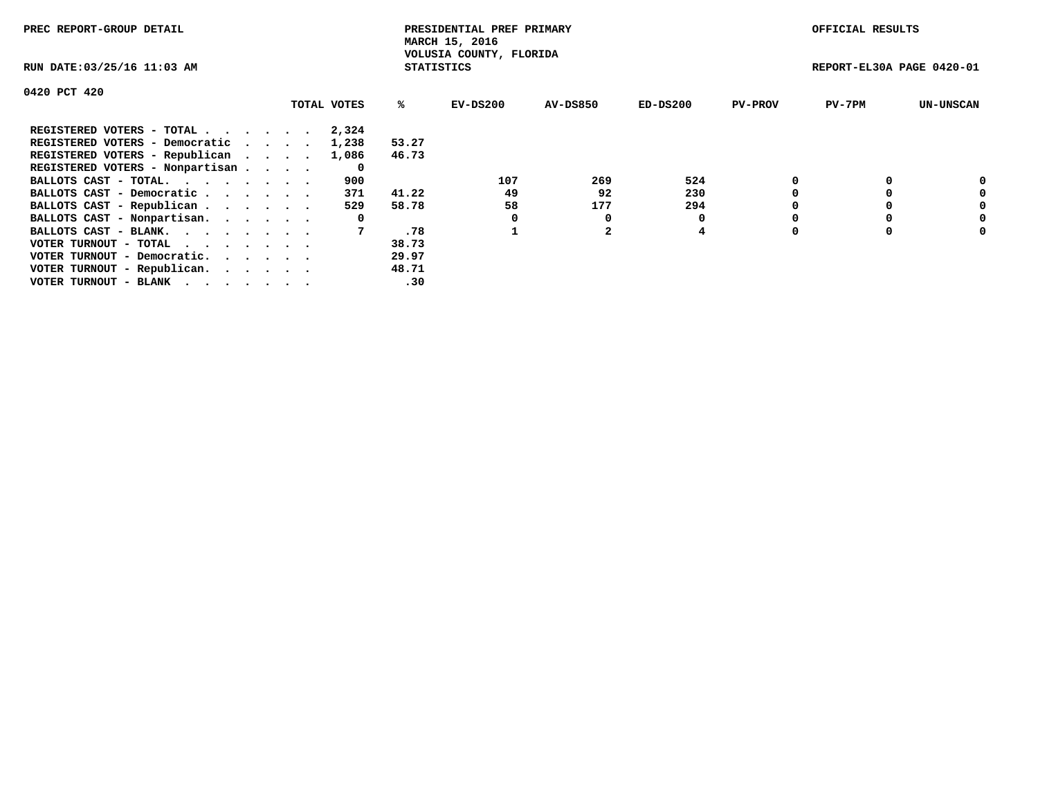| PREC REPORT-GROUP DETAIL                                    |             |                   | PRESIDENTIAL PREF PRIMARY<br>MARCH 15, 2016 |          |            |                | OFFICIAL RESULTS          |                  |
|-------------------------------------------------------------|-------------|-------------------|---------------------------------------------|----------|------------|----------------|---------------------------|------------------|
| RUN DATE: 03/25/16 11:03 AM                                 |             | <b>STATISTICS</b> | VOLUSIA COUNTY, FLORIDA                     |          |            |                | REPORT-EL30A PAGE 0420-01 |                  |
| 0420 PCT 420                                                |             |                   |                                             |          |            |                |                           |                  |
|                                                             | TOTAL VOTES | ℁                 | EV-DS200                                    | AV-DS850 | $ED-DS200$ | <b>PV-PROV</b> | $PV-7PM$                  | <b>UN-UNSCAN</b> |
| REGISTERED VOTERS - TOTAL                                   | 2,324       |                   |                                             |          |            |                |                           |                  |
| REGISTERED VOTERS - Democratic                              | 1,238       | 53.27             |                                             |          |            |                |                           |                  |
| REGISTERED VOTERS - Republican                              | 1,086       | 46.73             |                                             |          |            |                |                           |                  |
| REGISTERED VOTERS - Nonpartisan                             | 0           |                   |                                             |          |            |                |                           |                  |
| BALLOTS CAST - TOTAL.                                       | 900         |                   | 107                                         | 269      | 524        |                |                           | 0                |
| BALLOTS CAST - Democratic                                   | 371         | 41.22             | 49                                          | 92       | 230        |                |                           | 0                |
| BALLOTS CAST - Republican                                   | 529         | 58.78             | 58                                          | 177      | 294        |                |                           | 0                |
| BALLOTS CAST - Nonpartisan.                                 | 0           |                   |                                             | 0        |            |                |                           | 0                |
| BALLOTS CAST - BLANK.                                       |             | .78               |                                             |          | 4          |                |                           | 0                |
| VOTER TURNOUT - TOTAL $\cdot \cdot \cdot \cdot \cdot \cdot$ |             | 38.73             |                                             |          |            |                |                           |                  |
| VOTER TURNOUT - Democratic.                                 |             | 29.97             |                                             |          |            |                |                           |                  |
| VOTER TURNOUT - Republican.                                 |             | 48.71             |                                             |          |            |                |                           |                  |
| VOTER TURNOUT - BLANK                                       |             | .30               |                                             |          |            |                |                           |                  |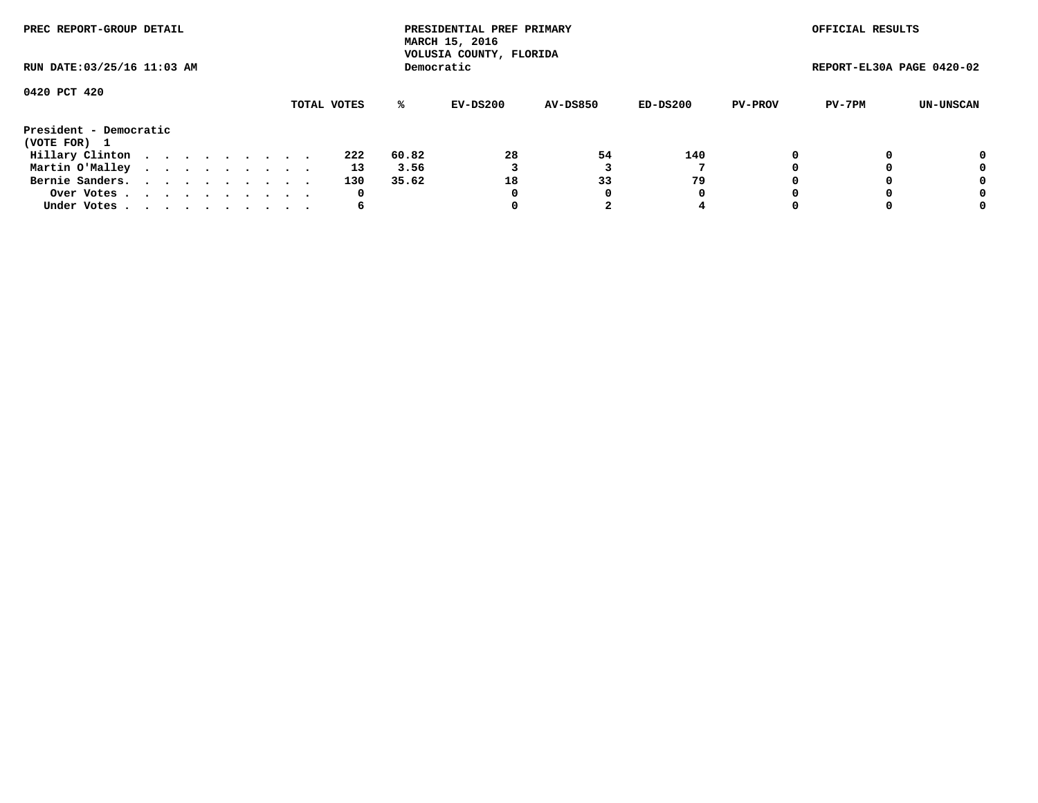| PREC REPORT-GROUP DETAIL<br>RUN DATE: 03/25/16 11:03 AM |  |  |  |  |  |  |  |  |             |       | PRESIDENTIAL PREF PRIMARY<br>MARCH 15, 2016<br>VOLUSIA COUNTY, FLORIDA |                 |          |                | OFFICIAL RESULTS          |           |
|---------------------------------------------------------|--|--|--|--|--|--|--|--|-------------|-------|------------------------------------------------------------------------|-----------------|----------|----------------|---------------------------|-----------|
|                                                         |  |  |  |  |  |  |  |  |             |       | Democratic                                                             |                 |          |                | REPORT-EL30A PAGE 0420-02 |           |
| 0420 PCT 420                                            |  |  |  |  |  |  |  |  | TOTAL VOTES | ℁     | EV-DS200                                                               | <b>AV-DS850</b> | ED-DS200 | <b>PV-PROV</b> | PV-7PM                    | UN-UNSCAN |
| President - Democratic<br>(VOTE FOR) 1                  |  |  |  |  |  |  |  |  |             |       |                                                                        |                 |          |                |                           |           |
| Hillary Clinton                                         |  |  |  |  |  |  |  |  | 222         | 60.82 | 28                                                                     | 54              | 140      |                |                           | 0         |
| Martin O'Malley                                         |  |  |  |  |  |  |  |  | 13          | 3.56  |                                                                        |                 |          |                |                           | 0         |
| Bernie Sanders.                                         |  |  |  |  |  |  |  |  | 130         | 35.62 | 18                                                                     | 33              | 79       |                |                           | 0         |
| Over Votes.                                             |  |  |  |  |  |  |  |  | 0           |       | 0                                                                      | 0               | 0        |                |                           | 0         |
| Under Votes                                             |  |  |  |  |  |  |  |  | 6           |       |                                                                        |                 |          |                |                           | 0         |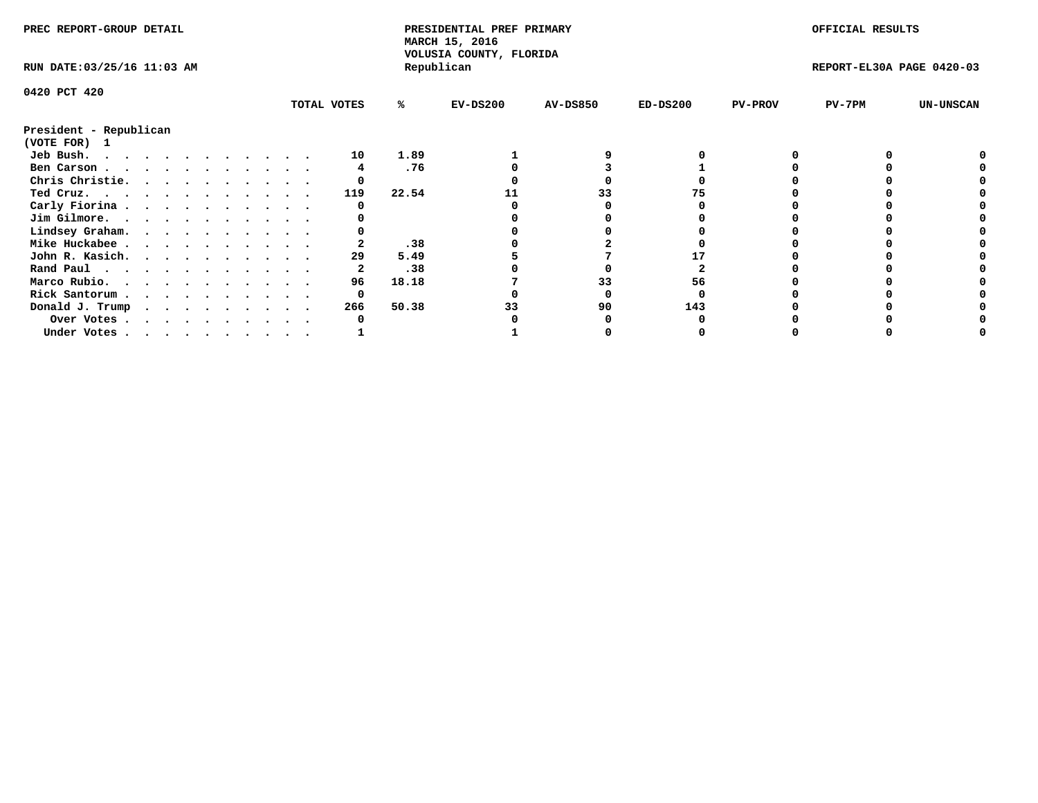| PREC REPORT-GROUP DETAIL               |  |  |  |  |  |  |  |             | PRESIDENTIAL PREF PRIMARY<br>MARCH 15, 2016<br>VOLUSIA COUNTY, FLORIDA |            |                 |            | OFFICIAL RESULTS |                           |                  |
|----------------------------------------|--|--|--|--|--|--|--|-------------|------------------------------------------------------------------------|------------|-----------------|------------|------------------|---------------------------|------------------|
| RUN DATE: 03/25/16 11:03 AM            |  |  |  |  |  |  |  |             |                                                                        | Republican |                 |            |                  | REPORT-EL30A PAGE 0420-03 |                  |
| 0420 PCT 420                           |  |  |  |  |  |  |  |             |                                                                        |            |                 |            |                  |                           |                  |
|                                        |  |  |  |  |  |  |  | TOTAL VOTES | %ะ                                                                     | $EV-DS200$ | <b>AV-DS850</b> | $ED-DS200$ | <b>PV-PROV</b>   | PV-7PM                    | <b>UN-UNSCAN</b> |
| President - Republican<br>(VOTE FOR) 1 |  |  |  |  |  |  |  |             |                                                                        |            |                 |            |                  |                           |                  |
| Jeb Bush.                              |  |  |  |  |  |  |  | 10          | 1.89                                                                   |            |                 |            |                  |                           |                  |
| Ben Carson                             |  |  |  |  |  |  |  |             | .76                                                                    |            |                 |            |                  |                           |                  |
| Chris Christie.                        |  |  |  |  |  |  |  |             |                                                                        |            |                 |            |                  |                           |                  |
| Ted Cruz.                              |  |  |  |  |  |  |  | 119         | 22.54                                                                  |            |                 |            |                  |                           |                  |
| Carly Fiorina                          |  |  |  |  |  |  |  |             |                                                                        |            |                 |            |                  |                           |                  |
| Jim Gilmore.                           |  |  |  |  |  |  |  |             |                                                                        |            |                 |            |                  |                           |                  |
| Lindsey Graham.                        |  |  |  |  |  |  |  |             |                                                                        |            |                 |            |                  |                           |                  |
| Mike Huckabee                          |  |  |  |  |  |  |  |             | .38                                                                    |            |                 |            |                  |                           |                  |
|                                        |  |  |  |  |  |  |  | 29          | 5.49                                                                   |            |                 |            |                  |                           |                  |
| John R. Kasich.                        |  |  |  |  |  |  |  |             |                                                                        |            |                 |            |                  |                           |                  |
| Rand Paul                              |  |  |  |  |  |  |  |             | .38                                                                    |            |                 |            |                  |                           |                  |
| Marco Rubio.                           |  |  |  |  |  |  |  | 96          | 18.18                                                                  |            | 33              | 56         |                  |                           |                  |
| Rick Santorum                          |  |  |  |  |  |  |  |             |                                                                        |            |                 |            |                  |                           |                  |
| Donald J. Trump                        |  |  |  |  |  |  |  | 266         | 50.38                                                                  |            | 90              | 143        |                  |                           |                  |
| Over Votes                             |  |  |  |  |  |  |  |             |                                                                        |            |                 |            |                  |                           |                  |
| Under Votes                            |  |  |  |  |  |  |  |             |                                                                        |            |                 |            |                  |                           |                  |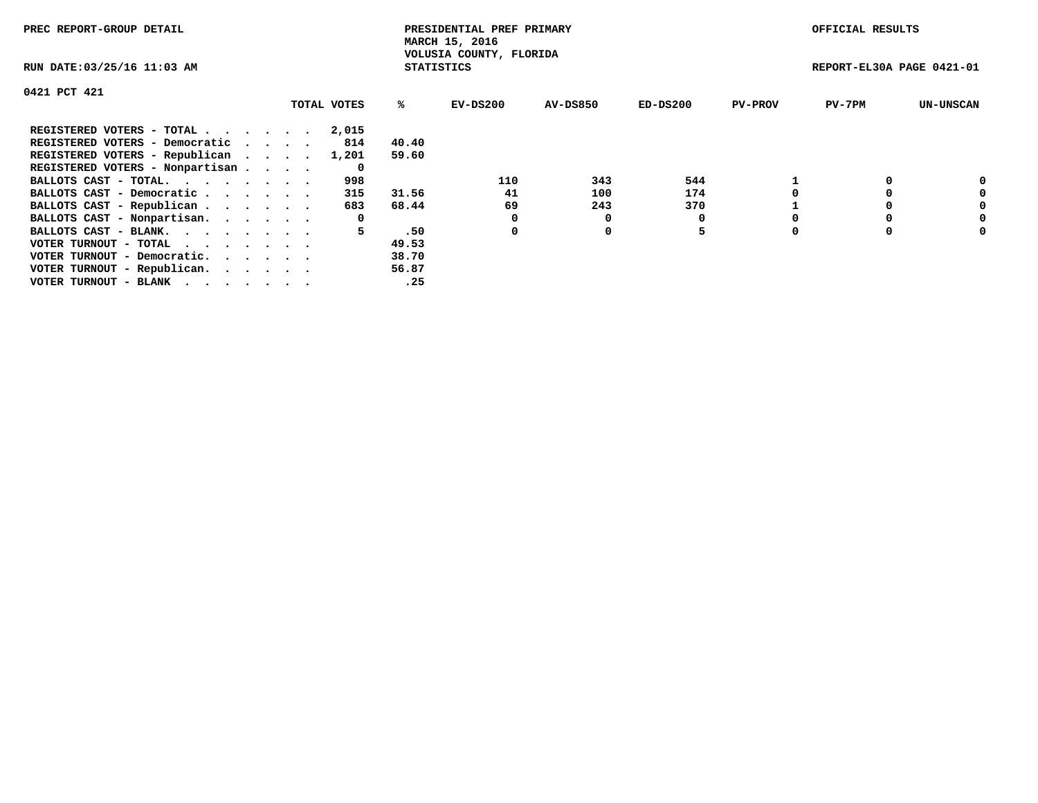| PREC REPORT-GROUP DETAIL        |             |                   | PRESIDENTIAL PREF PRIMARY<br>MARCH 15, 2016 |                 |          |                | OFFICIAL RESULTS          |                  |
|---------------------------------|-------------|-------------------|---------------------------------------------|-----------------|----------|----------------|---------------------------|------------------|
| RUN DATE: 03/25/16 11:03 AM     |             | <b>STATISTICS</b> | VOLUSIA COUNTY, FLORIDA                     |                 |          |                | REPORT-EL30A PAGE 0421-01 |                  |
| 0421 PCT 421                    |             |                   |                                             |                 |          |                |                           |                  |
|                                 | TOTAL VOTES | %ະ                | EV-DS200                                    | <b>AV-DS850</b> | ED-DS200 | <b>PV-PROV</b> | $PV-7PM$                  | <b>UN-UNSCAN</b> |
| REGISTERED VOTERS - TOTAL       | 2,015       |                   |                                             |                 |          |                |                           |                  |
| REGISTERED VOTERS - Democratic  | 814         | 40.40             |                                             |                 |          |                |                           |                  |
| REGISTERED VOTERS - Republican  | 1,201       | 59.60             |                                             |                 |          |                |                           |                  |
| REGISTERED VOTERS - Nonpartisan | 0           |                   |                                             |                 |          |                |                           |                  |
| BALLOTS CAST - TOTAL.           | 998         |                   | 110                                         | 343             | 544      |                |                           |                  |
| BALLOTS CAST - Democratic       | 315         | 31.56             | 41                                          | 100             | 174      |                |                           | 0                |
| BALLOTS CAST - Republican       | 683         | 68.44             | 69                                          | 243             | 370      |                |                           | 0                |
| BALLOTS CAST - Nonpartisan.     | 0           |                   |                                             |                 | 0        |                |                           | 0                |
| BALLOTS CAST - BLANK.           | 5           | .50               | 0                                           | 0               | 5        |                |                           | 0                |
| VOTER TURNOUT - TOTAL           |             | 49.53             |                                             |                 |          |                |                           |                  |
| VOTER TURNOUT - Democratic.     |             | 38.70             |                                             |                 |          |                |                           |                  |
| VOTER TURNOUT - Republican.     |             | 56.87             |                                             |                 |          |                |                           |                  |
| VOTER TURNOUT - BLANK           |             | .25               |                                             |                 |          |                |                           |                  |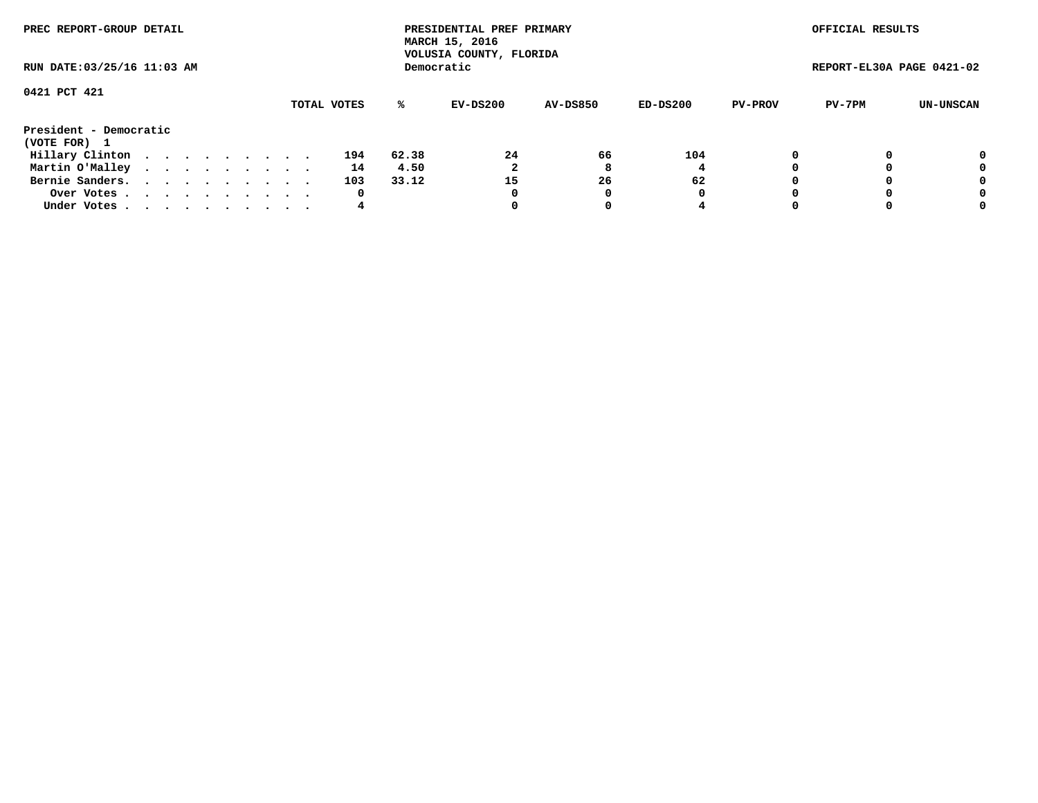| PREC REPORT-GROUP DETAIL<br>RUN DATE: 03/25/16 11:03 AM |  |  |  |  |  |  |  |  |             |       | PRESIDENTIAL PREF PRIMARY<br>MARCH 15, 2016<br>VOLUSIA COUNTY, FLORIDA |                 |          |                | OFFICIAL RESULTS          |           |
|---------------------------------------------------------|--|--|--|--|--|--|--|--|-------------|-------|------------------------------------------------------------------------|-----------------|----------|----------------|---------------------------|-----------|
|                                                         |  |  |  |  |  |  |  |  |             |       | Democratic                                                             |                 |          |                | REPORT-EL30A PAGE 0421-02 |           |
| 0421 PCT 421                                            |  |  |  |  |  |  |  |  |             |       |                                                                        |                 |          |                |                           |           |
|                                                         |  |  |  |  |  |  |  |  | TOTAL VOTES | ℁     | EV-DS200                                                               | <b>AV-DS850</b> | ED-DS200 | <b>PV-PROV</b> | PV-7PM                    | UN-UNSCAN |
| President - Democratic<br>(VOTE FOR) 1                  |  |  |  |  |  |  |  |  |             |       |                                                                        |                 |          |                |                           |           |
| Hillary Clinton                                         |  |  |  |  |  |  |  |  | 194         | 62.38 | 24                                                                     | 66              | 104      |                |                           | 0         |
| Martin O'Malley                                         |  |  |  |  |  |  |  |  | 14          | 4.50  |                                                                        | 8               |          |                |                           | 0         |
| Bernie Sanders.                                         |  |  |  |  |  |  |  |  | 103         | 33.12 | 15                                                                     | 26              | 62       |                |                           | 0         |
| Over Votes.                                             |  |  |  |  |  |  |  |  | 0           |       | 0                                                                      | 0               | 0        |                |                           | 0         |
| Under Votes                                             |  |  |  |  |  |  |  |  | 4           |       |                                                                        |                 |          |                |                           | 0         |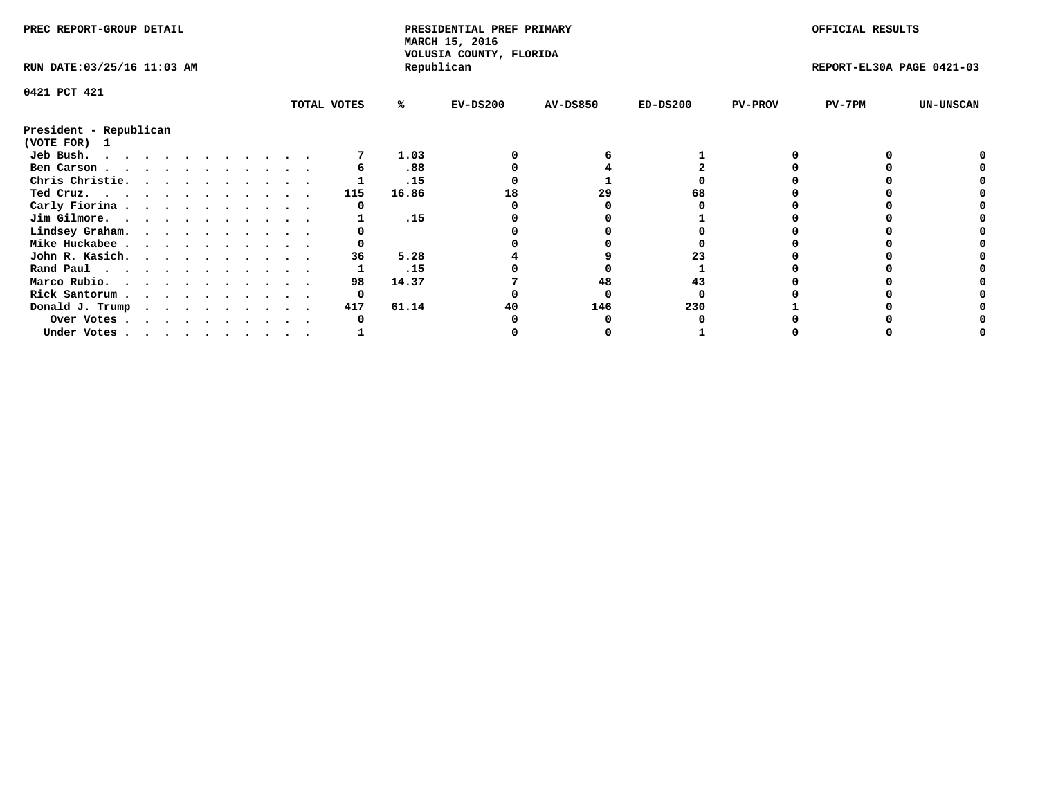| PREC REPORT-GROUP DETAIL    |  |  |  |  |  |  |  |             | PRESIDENTIAL PREF PRIMARY<br>MARCH 15, 2016<br>VOLUSIA COUNTY, FLORIDA |            |                 |            | OFFICIAL RESULTS |                           |                  |
|-----------------------------|--|--|--|--|--|--|--|-------------|------------------------------------------------------------------------|------------|-----------------|------------|------------------|---------------------------|------------------|
| RUN DATE: 03/25/16 11:03 AM |  |  |  |  |  |  |  |             |                                                                        | Republican |                 |            |                  | REPORT-EL30A PAGE 0421-03 |                  |
| 0421 PCT 421                |  |  |  |  |  |  |  |             |                                                                        |            |                 |            |                  |                           |                  |
|                             |  |  |  |  |  |  |  | TOTAL VOTES | ℁                                                                      | $EV-DS200$ | <b>AV-DS850</b> | $ED-DS200$ | <b>PV-PROV</b>   | $PV-7PM$                  | <b>UN-UNSCAN</b> |
| President - Republican      |  |  |  |  |  |  |  |             |                                                                        |            |                 |            |                  |                           |                  |
| (VOTE FOR) 1                |  |  |  |  |  |  |  |             |                                                                        |            |                 |            |                  |                           |                  |
| Jeb Bush.                   |  |  |  |  |  |  |  |             | 1.03                                                                   |            |                 |            |                  |                           |                  |
| Ben Carson                  |  |  |  |  |  |  |  |             | .88                                                                    |            |                 |            |                  |                           |                  |
| Chris Christie.             |  |  |  |  |  |  |  |             | .15                                                                    |            |                 |            |                  |                           |                  |
| Ted Cruz.                   |  |  |  |  |  |  |  | 115         | 16.86                                                                  | 18         | 29              |            |                  |                           |                  |
| Carly Fiorina               |  |  |  |  |  |  |  |             |                                                                        |            |                 |            |                  |                           |                  |
| Jim Gilmore.                |  |  |  |  |  |  |  |             | .15                                                                    |            |                 |            |                  |                           |                  |
| Lindsey Graham.             |  |  |  |  |  |  |  |             |                                                                        |            |                 |            |                  |                           |                  |
| Mike Huckabee               |  |  |  |  |  |  |  |             |                                                                        |            |                 |            |                  |                           |                  |
| John R. Kasich.             |  |  |  |  |  |  |  | 36          | 5.28                                                                   |            |                 |            |                  |                           |                  |
| Rand Paul                   |  |  |  |  |  |  |  |             | .15                                                                    |            |                 |            |                  |                           |                  |
| Marco Rubio.                |  |  |  |  |  |  |  | 98          | 14.37                                                                  |            | 48              |            |                  |                           |                  |
| Rick Santorum               |  |  |  |  |  |  |  | 0           |                                                                        |            |                 |            |                  |                           |                  |
| Donald J. Trump             |  |  |  |  |  |  |  | 417         | 61.14                                                                  | 40         | 146             | 230        |                  |                           |                  |
| Over Votes                  |  |  |  |  |  |  |  |             |                                                                        |            |                 |            |                  |                           |                  |
| Under Votes                 |  |  |  |  |  |  |  |             |                                                                        |            |                 |            |                  |                           |                  |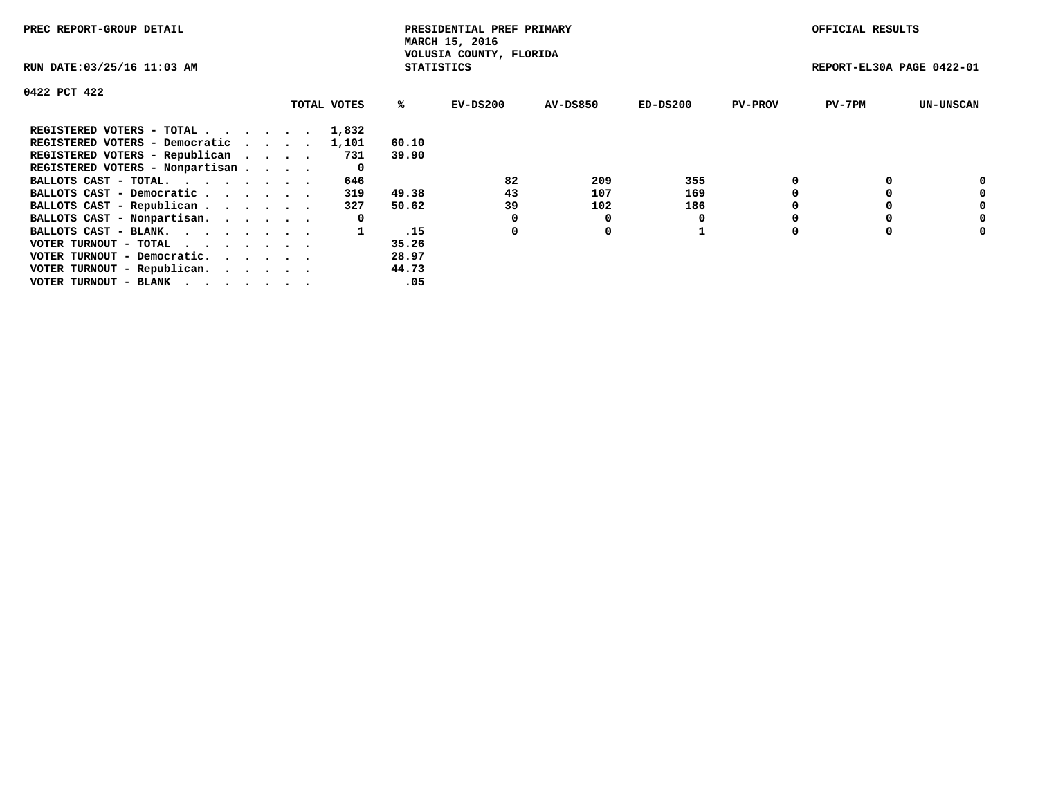| PREC REPORT-GROUP DETAIL                                    |             |                   | PRESIDENTIAL PREF PRIMARY<br>MARCH 15, 2016 |          |            |                | OFFICIAL RESULTS          |                  |
|-------------------------------------------------------------|-------------|-------------------|---------------------------------------------|----------|------------|----------------|---------------------------|------------------|
| RUN DATE: 03/25/16 11:03 AM                                 |             | <b>STATISTICS</b> | VOLUSIA COUNTY, FLORIDA                     |          |            |                | REPORT-EL30A PAGE 0422-01 |                  |
| 0422 PCT 422                                                |             |                   |                                             |          |            |                |                           |                  |
|                                                             | TOTAL VOTES | ℁                 | $EV-DS200$                                  | AV-DS850 | $ED-DS200$ | <b>PV-PROV</b> | $PV-7PM$                  | <b>UN-UNSCAN</b> |
| REGISTERED VOTERS - TOTAL                                   | 1,832       |                   |                                             |          |            |                |                           |                  |
| REGISTERED VOTERS - Democratic                              | 1,101       | 60.10             |                                             |          |            |                |                           |                  |
| REGISTERED VOTERS - Republican                              | 731         | 39.90             |                                             |          |            |                |                           |                  |
| REGISTERED VOTERS - Nonpartisan                             | 0           |                   |                                             |          |            |                |                           |                  |
| BALLOTS CAST - TOTAL.                                       | 646         |                   | 82                                          | 209      | 355        |                |                           | 0                |
| BALLOTS CAST - Democratic                                   | 319         | 49.38             | 43                                          | 107      | 169        |                |                           | 0                |
| BALLOTS CAST - Republican                                   | 327         | 50.62             | 39                                          | 102      | 186        |                |                           | 0                |
| BALLOTS CAST - Nonpartisan.                                 | 0           |                   |                                             | 0        |            |                |                           | 0                |
| BALLOTS CAST - BLANK.                                       |             | .15               | 0                                           | 0        |            |                |                           | 0                |
| VOTER TURNOUT - TOTAL $\cdot \cdot \cdot \cdot \cdot \cdot$ |             | 35.26             |                                             |          |            |                |                           |                  |
| VOTER TURNOUT - Democratic.                                 |             | 28.97             |                                             |          |            |                |                           |                  |
| VOTER TURNOUT - Republican.                                 |             | 44.73             |                                             |          |            |                |                           |                  |
| VOTER TURNOUT - BLANK                                       |             | .05               |                                             |          |            |                |                           |                  |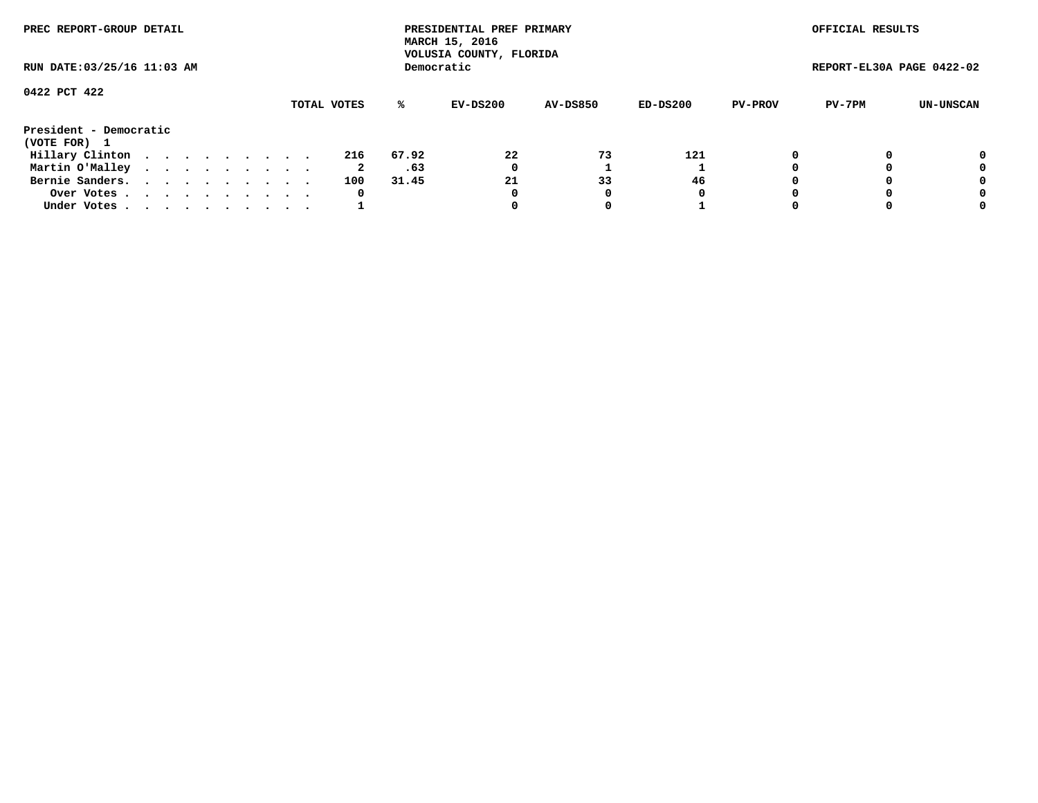| PREC REPORT-GROUP DETAIL<br>RUN DATE: 03/25/16 11:03 AM |  |  |  |  |  |  |  |  |             | PRESIDENTIAL PREF PRIMARY<br>MARCH 15, 2016<br>VOLUSIA COUNTY, FLORIDA |            |                 |          | OFFICIAL RESULTS |                           |           |
|---------------------------------------------------------|--|--|--|--|--|--|--|--|-------------|------------------------------------------------------------------------|------------|-----------------|----------|------------------|---------------------------|-----------|
|                                                         |  |  |  |  |  |  |  |  |             |                                                                        | Democratic |                 |          |                  | REPORT-EL30A PAGE 0422-02 |           |
| 0422 PCT 422                                            |  |  |  |  |  |  |  |  |             |                                                                        |            |                 |          |                  |                           |           |
|                                                         |  |  |  |  |  |  |  |  | TOTAL VOTES | ℁                                                                      | EV-DS200   | <b>AV-DS850</b> | ED-DS200 | <b>PV-PROV</b>   | PV-7PM                    | UN-UNSCAN |
| President - Democratic<br>(VOTE FOR) 1                  |  |  |  |  |  |  |  |  |             |                                                                        |            |                 |          |                  |                           |           |
| Hillary Clinton                                         |  |  |  |  |  |  |  |  | 216         | 67.92                                                                  | 22         | 73              | 121      |                  |                           | 0         |
| Martin O'Malley                                         |  |  |  |  |  |  |  |  | 2           | .63                                                                    | 0          |                 |          |                  |                           | 0         |
| Bernie Sanders.                                         |  |  |  |  |  |  |  |  | 100         | 31.45                                                                  | 21         | 33              | 46       |                  |                           | 0         |
| Over Votes.                                             |  |  |  |  |  |  |  |  | 0           |                                                                        | 0          | 0               | 0        |                  |                           | 0         |
| Under Votes                                             |  |  |  |  |  |  |  |  |             |                                                                        |            |                 |          |                  |                           | 0         |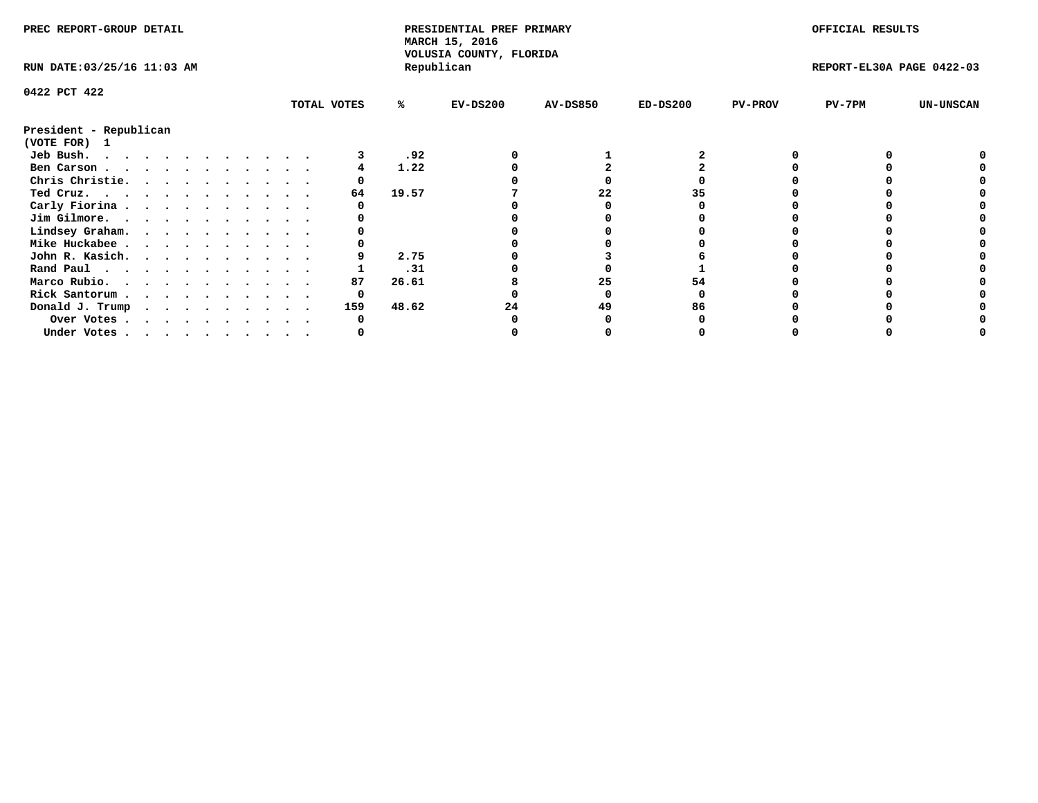| PREC REPORT-GROUP DETAIL               |  |  |  |  |  |  |  |  |             | PRESIDENTIAL PREF PRIMARY<br>MARCH 15, 2016<br>VOLUSIA COUNTY, FLORIDA |            |                 |            | OFFICIAL RESULTS |                           |                  |
|----------------------------------------|--|--|--|--|--|--|--|--|-------------|------------------------------------------------------------------------|------------|-----------------|------------|------------------|---------------------------|------------------|
| RUN DATE: 03/25/16 11:03 AM            |  |  |  |  |  |  |  |  |             |                                                                        | Republican |                 |            |                  | REPORT-EL30A PAGE 0422-03 |                  |
| 0422 PCT 422                           |  |  |  |  |  |  |  |  |             |                                                                        |            |                 |            |                  |                           |                  |
|                                        |  |  |  |  |  |  |  |  | TOTAL VOTES | %ะ                                                                     | EV-DS200   | <b>AV-DS850</b> | $ED-DS200$ | <b>PV-PROV</b>   | $PV-7PM$                  | <b>UN-UNSCAN</b> |
| President - Republican<br>(VOTE FOR) 1 |  |  |  |  |  |  |  |  |             |                                                                        |            |                 |            |                  |                           |                  |
| Jeb Bush.                              |  |  |  |  |  |  |  |  |             | .92                                                                    |            |                 |            |                  |                           |                  |
| Ben Carson                             |  |  |  |  |  |  |  |  |             | 1.22                                                                   |            |                 |            |                  |                           |                  |
| Chris Christie.                        |  |  |  |  |  |  |  |  |             |                                                                        |            |                 |            |                  |                           |                  |
| Ted Cruz.                              |  |  |  |  |  |  |  |  | 64          | 19.57                                                                  |            | 22              |            |                  |                           |                  |
| Carly Fiorina                          |  |  |  |  |  |  |  |  |             |                                                                        |            |                 |            |                  |                           |                  |
| Jim Gilmore.                           |  |  |  |  |  |  |  |  |             |                                                                        |            |                 |            |                  |                           |                  |
| Lindsey Graham.                        |  |  |  |  |  |  |  |  |             |                                                                        |            |                 |            |                  |                           |                  |
| Mike Huckabee                          |  |  |  |  |  |  |  |  |             |                                                                        |            |                 |            |                  |                           |                  |
| John R. Kasich.                        |  |  |  |  |  |  |  |  |             | 2.75                                                                   |            |                 |            |                  |                           |                  |
|                                        |  |  |  |  |  |  |  |  |             | .31                                                                    |            |                 |            |                  |                           |                  |
| Rand Paul<br>Marco Rubio.              |  |  |  |  |  |  |  |  | 87          | 26.61                                                                  |            | 25              | 54         |                  |                           |                  |
|                                        |  |  |  |  |  |  |  |  |             |                                                                        |            |                 |            |                  |                           |                  |
| Rick Santorum                          |  |  |  |  |  |  |  |  | 0           |                                                                        |            |                 |            |                  |                           |                  |
| Donald J. Trump                        |  |  |  |  |  |  |  |  | 159         | 48.62                                                                  | 24         | 49              | 86         |                  |                           |                  |
| Over Votes                             |  |  |  |  |  |  |  |  |             |                                                                        |            |                 |            |                  |                           |                  |
| Under Votes                            |  |  |  |  |  |  |  |  |             |                                                                        |            |                 |            |                  |                           |                  |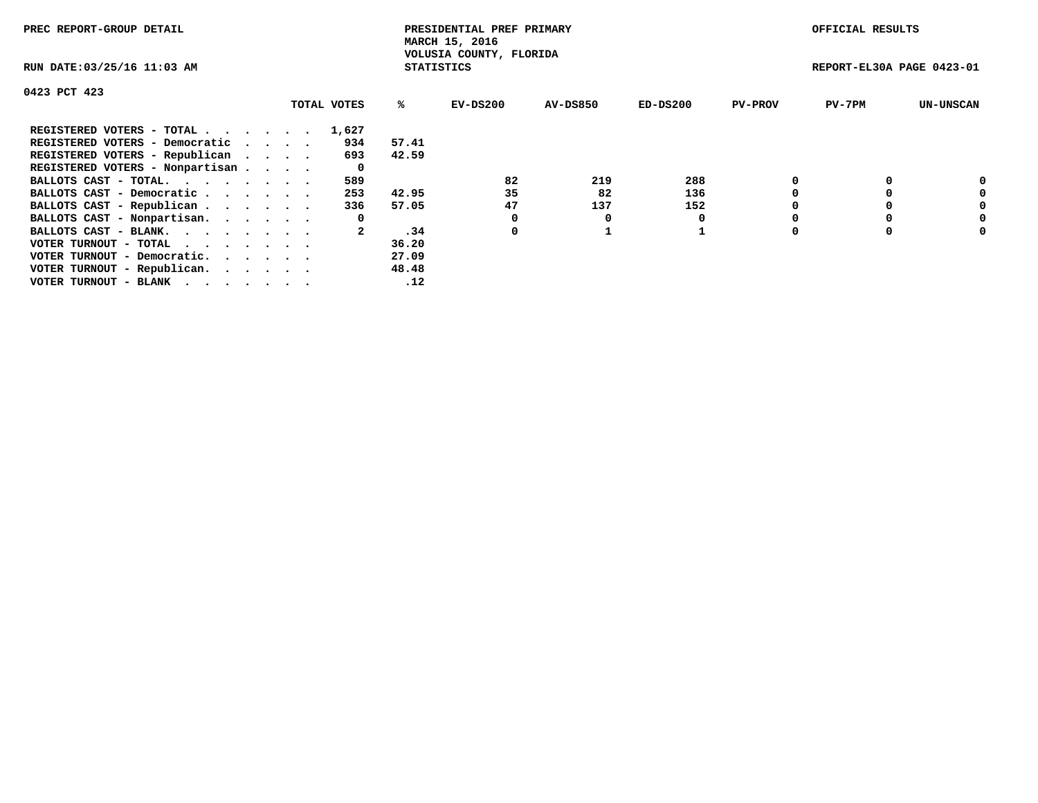| PREC REPORT-GROUP DETAIL                                    |  |             |                   | PRESIDENTIAL PREF PRIMARY<br>MARCH 15, 2016 |          |            |                | OFFICIAL RESULTS          |                  |
|-------------------------------------------------------------|--|-------------|-------------------|---------------------------------------------|----------|------------|----------------|---------------------------|------------------|
| RUN DATE: 03/25/16 11:03 AM                                 |  |             | <b>STATISTICS</b> | VOLUSIA COUNTY, FLORIDA                     |          |            |                | REPORT-EL30A PAGE 0423-01 |                  |
| 0423 PCT 423                                                |  |             |                   |                                             |          |            |                |                           |                  |
|                                                             |  | TOTAL VOTES | ℁                 | EV-DS200                                    | AV-DS850 | $ED-DS200$ | <b>PV-PROV</b> | $PV-7PM$                  | <b>UN-UNSCAN</b> |
| REGISTERED VOTERS - TOTAL                                   |  | 1,627       |                   |                                             |          |            |                |                           |                  |
| REGISTERED VOTERS - Democratic                              |  | 934         | 57.41             |                                             |          |            |                |                           |                  |
| REGISTERED VOTERS - Republican                              |  | 693         | 42.59             |                                             |          |            |                |                           |                  |
| REGISTERED VOTERS - Nonpartisan                             |  | 0           |                   |                                             |          |            |                |                           |                  |
| BALLOTS CAST - TOTAL.                                       |  | 589         |                   | 82                                          | 219      | 288        |                |                           | 0                |
| BALLOTS CAST - Democratic                                   |  | 253         | 42.95             | 35                                          | 82       | 136        |                |                           | 0                |
| BALLOTS CAST - Republican                                   |  | 336         | 57.05             | 47                                          | 137      | 152        |                |                           | 0                |
| BALLOTS CAST - Nonpartisan.                                 |  | 0           |                   | 0                                           | 0        |            |                |                           | 0                |
| BALLOTS CAST - BLANK.                                       |  |             | .34               | 0                                           |          |            |                |                           | 0                |
| VOTER TURNOUT - TOTAL $\cdot \cdot \cdot \cdot \cdot \cdot$ |  |             | 36.20             |                                             |          |            |                |                           |                  |
| VOTER TURNOUT - Democratic.                                 |  |             | 27.09             |                                             |          |            |                |                           |                  |
| VOTER TURNOUT - Republican.                                 |  |             | 48.48             |                                             |          |            |                |                           |                  |
| VOTER TURNOUT - BLANK                                       |  |             | .12               |                                             |          |            |                |                           |                  |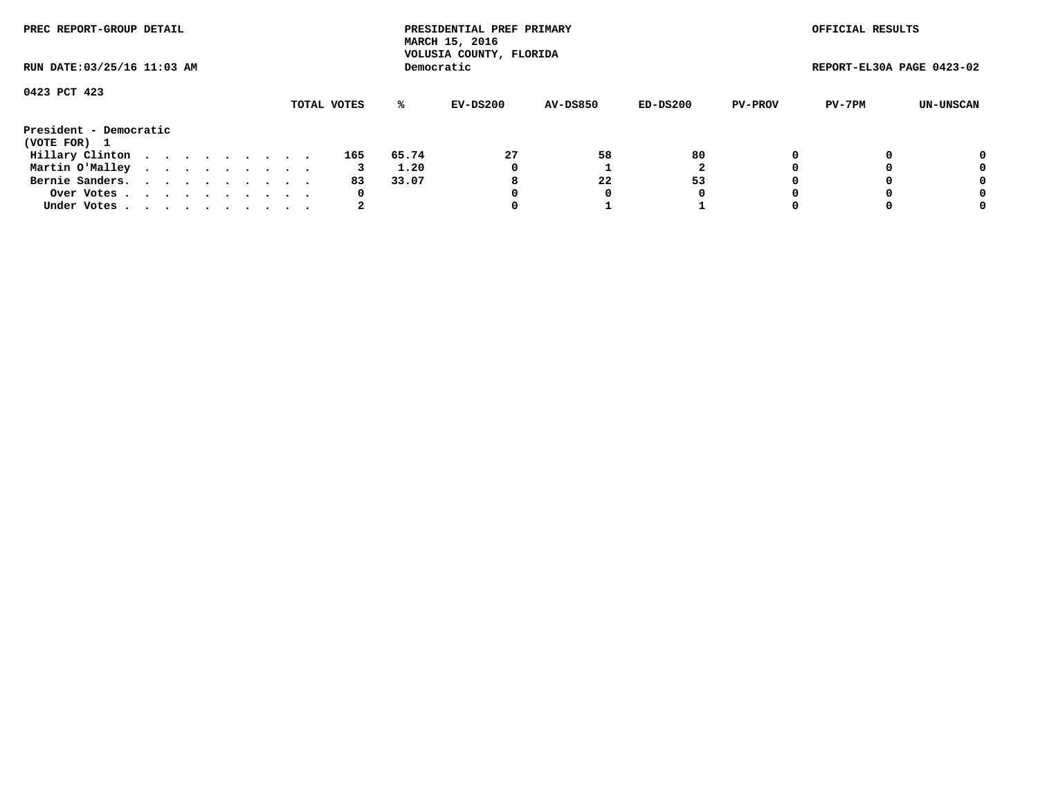| PREC REPORT-GROUP DETAIL<br>RUN DATE: 03/25/16 11:03 AM |  |  |  |  |  |  |  |  |             |       | PRESIDENTIAL PREF PRIMARY<br>MARCH 15, 2016<br>VOLUSIA COUNTY, FLORIDA |                 |          |                | OFFICIAL RESULTS          |           |
|---------------------------------------------------------|--|--|--|--|--|--|--|--|-------------|-------|------------------------------------------------------------------------|-----------------|----------|----------------|---------------------------|-----------|
|                                                         |  |  |  |  |  |  |  |  |             |       | Democratic                                                             |                 |          |                | REPORT-EL30A PAGE 0423-02 |           |
| 0423 PCT 423                                            |  |  |  |  |  |  |  |  | TOTAL VOTES | %ะ    | EV-DS200                                                               | <b>AV-DS850</b> | ED-DS200 | <b>PV-PROV</b> | PV-7PM                    | UN-UNSCAN |
| President - Democratic<br>(VOTE FOR) 1                  |  |  |  |  |  |  |  |  |             |       |                                                                        |                 |          |                |                           |           |
| Hillary Clinton                                         |  |  |  |  |  |  |  |  | 165         | 65.74 | 27                                                                     | 58              | 80       |                |                           | 0         |
| Martin O'Malley                                         |  |  |  |  |  |  |  |  |             | 1.20  | 0                                                                      |                 |          |                |                           | 0         |
| Bernie Sanders.                                         |  |  |  |  |  |  |  |  | 83          | 33.07 | 8                                                                      | 22              | 53       |                |                           | 0         |
| Over Votes                                              |  |  |  |  |  |  |  |  | 0           |       |                                                                        | 0               | 0        |                |                           | 0         |
| Under Votes.                                            |  |  |  |  |  |  |  |  |             |       |                                                                        |                 |          |                |                           | 0         |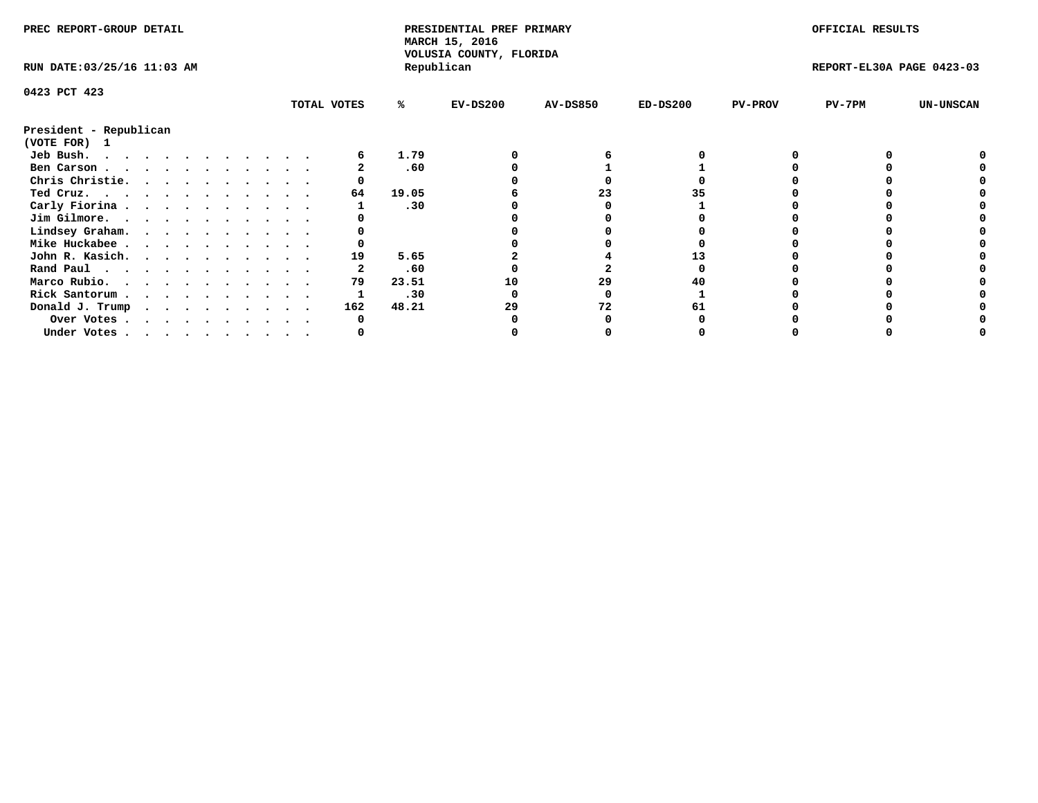| PREC REPORT-GROUP DETAIL               |  |  |  |  |  |             |       | PRESIDENTIAL PREF PRIMARY<br>MARCH 15, 2016<br>VOLUSIA COUNTY, FLORIDA |                 |            |                | OFFICIAL RESULTS          |                  |
|----------------------------------------|--|--|--|--|--|-------------|-------|------------------------------------------------------------------------|-----------------|------------|----------------|---------------------------|------------------|
| RUN DATE: 03/25/16 11:03 AM            |  |  |  |  |  |             |       | Republican                                                             |                 |            |                | REPORT-EL30A PAGE 0423-03 |                  |
| 0423 PCT 423                           |  |  |  |  |  |             |       |                                                                        |                 |            |                |                           |                  |
|                                        |  |  |  |  |  | TOTAL VOTES | %ะ    | $EV-DS200$                                                             | <b>AV-DS850</b> | $ED-DS200$ | <b>PV-PROV</b> | PV-7PM                    | <b>UN-UNSCAN</b> |
| President - Republican<br>(VOTE FOR) 1 |  |  |  |  |  |             |       |                                                                        |                 |            |                |                           |                  |
| Jeb Bush.                              |  |  |  |  |  |             | 1.79  |                                                                        |                 |            |                |                           |                  |
| Ben Carson                             |  |  |  |  |  |             | .60   |                                                                        |                 |            |                |                           |                  |
| Chris Christie.                        |  |  |  |  |  |             |       |                                                                        |                 |            |                |                           |                  |
| Ted Cruz.                              |  |  |  |  |  | 64          | 19.05 |                                                                        | 23              |            |                |                           |                  |
| Carly Fiorina                          |  |  |  |  |  |             | .30   |                                                                        |                 |            |                |                           |                  |
| Jim Gilmore.                           |  |  |  |  |  |             |       |                                                                        |                 |            |                |                           |                  |
| Lindsey Graham.                        |  |  |  |  |  |             |       |                                                                        |                 |            |                |                           |                  |
| Mike Huckabee                          |  |  |  |  |  |             |       |                                                                        |                 |            |                |                           |                  |
|                                        |  |  |  |  |  | 19          | 5.65  |                                                                        |                 |            |                |                           |                  |
| John R. Kasich.                        |  |  |  |  |  |             |       |                                                                        |                 |            |                |                           |                  |
| Rand Paul                              |  |  |  |  |  |             | .60   |                                                                        |                 |            |                |                           |                  |
| Marco Rubio.                           |  |  |  |  |  | 79          | 23.51 | 10                                                                     | 29              |            |                |                           |                  |
| Rick Santorum                          |  |  |  |  |  |             | .30   |                                                                        |                 |            |                |                           |                  |
| Donald J. Trump                        |  |  |  |  |  | 162         | 48.21 | 29                                                                     | 72              |            |                |                           |                  |
| Over Votes                             |  |  |  |  |  |             |       |                                                                        |                 |            |                |                           |                  |
| Under Votes                            |  |  |  |  |  |             |       |                                                                        |                 |            |                |                           |                  |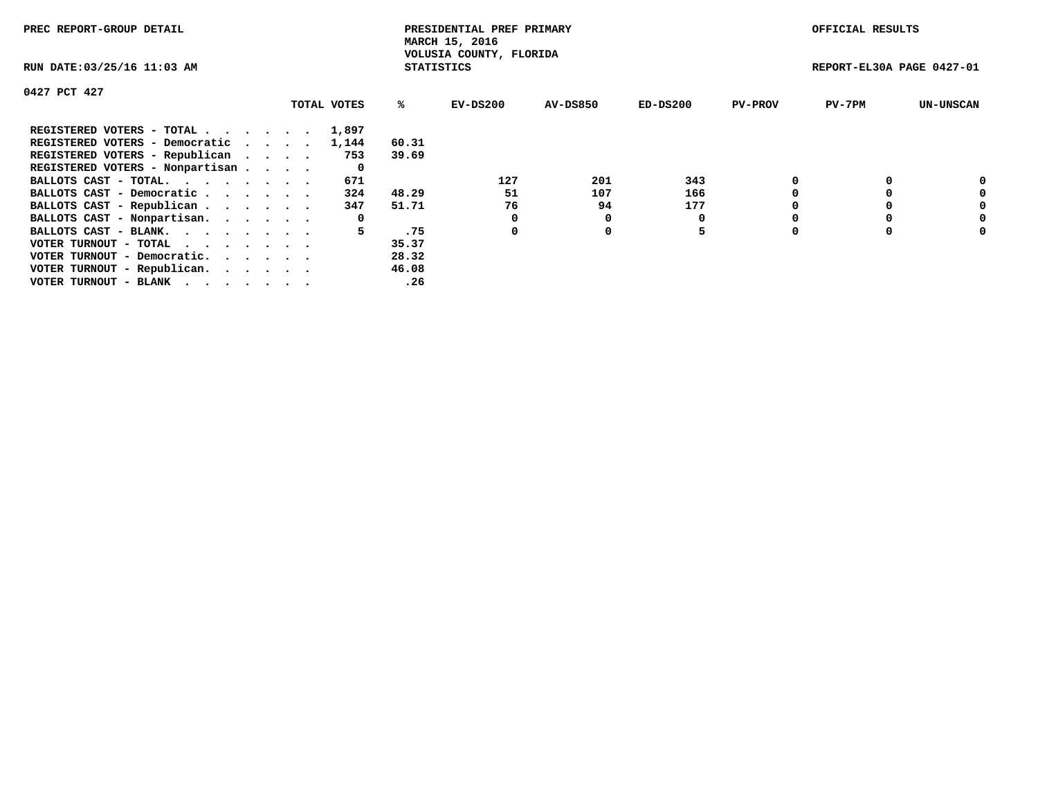| PREC REPORT-GROUP DETAIL                                    |             |                   | PRESIDENTIAL PREF PRIMARY<br>MARCH 15, 2016 |                 |            |                | OFFICIAL RESULTS          |                  |
|-------------------------------------------------------------|-------------|-------------------|---------------------------------------------|-----------------|------------|----------------|---------------------------|------------------|
| RUN DATE: 03/25/16 11:03 AM                                 |             | <b>STATISTICS</b> | VOLUSIA COUNTY, FLORIDA                     |                 |            |                | REPORT-EL30A PAGE 0427-01 |                  |
| 0427 PCT 427                                                |             |                   |                                             |                 |            |                |                           |                  |
|                                                             | TOTAL VOTES | ℁                 | EV-DS200                                    | <b>AV-DS850</b> | $ED-DS200$ | <b>PV-PROV</b> | $PV-7PM$                  | <b>UN-UNSCAN</b> |
| REGISTERED VOTERS - TOTAL                                   | 1,897       |                   |                                             |                 |            |                |                           |                  |
| REGISTERED VOTERS - Democratic                              | 1,144       | 60.31             |                                             |                 |            |                |                           |                  |
| REGISTERED VOTERS - Republican                              | 753         | 39.69             |                                             |                 |            |                |                           |                  |
| REGISTERED VOTERS - Nonpartisan                             | 0           |                   |                                             |                 |            |                |                           |                  |
| BALLOTS CAST - TOTAL.                                       | 671         |                   | 127                                         | 201             | 343        |                |                           | 0                |
| BALLOTS CAST - Democratic                                   | 324         | 48.29             | 51                                          | 107             | 166        |                |                           | 0                |
| BALLOTS CAST - Republican                                   | 347         | 51.71             | 76                                          | 94              | 177        |                |                           | 0                |
| BALLOTS CAST - Nonpartisan.                                 | 0           |                   |                                             | 0               |            |                |                           | 0                |
| BALLOTS CAST - BLANK.                                       | 5           | .75               | 0                                           | 0               | 5          |                |                           | 0                |
| VOTER TURNOUT - TOTAL $\cdot \cdot \cdot \cdot \cdot \cdot$ |             | 35.37             |                                             |                 |            |                |                           |                  |
| VOTER TURNOUT - Democratic.                                 |             | 28.32             |                                             |                 |            |                |                           |                  |
| VOTER TURNOUT - Republican.                                 |             | 46.08             |                                             |                 |            |                |                           |                  |
| VOTER TURNOUT - BLANK                                       |             | .26               |                                             |                 |            |                |                           |                  |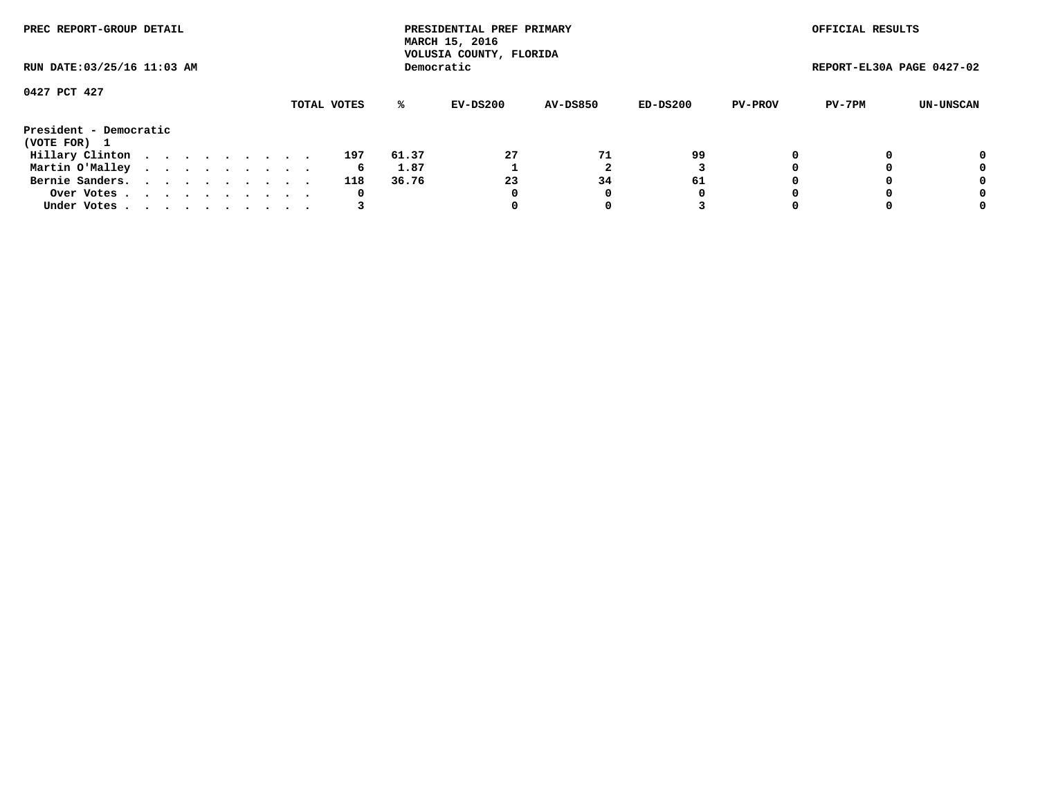| PREC REPORT-GROUP DETAIL<br>RUN DATE: 03/25/16 11:03 AM |  |  |  |  |  |  |  |  |             |       | PRESIDENTIAL PREF PRIMARY<br>MARCH 15, 2016<br>VOLUSIA COUNTY, FLORIDA |                 |          |                | OFFICIAL RESULTS          |           |
|---------------------------------------------------------|--|--|--|--|--|--|--|--|-------------|-------|------------------------------------------------------------------------|-----------------|----------|----------------|---------------------------|-----------|
|                                                         |  |  |  |  |  |  |  |  |             |       | Democratic                                                             |                 |          |                | REPORT-EL30A PAGE 0427-02 |           |
| 0427 PCT 427                                            |  |  |  |  |  |  |  |  |             |       |                                                                        |                 |          |                |                           |           |
|                                                         |  |  |  |  |  |  |  |  | TOTAL VOTES | ℁     | EV-DS200                                                               | <b>AV-DS850</b> | ED-DS200 | <b>PV-PROV</b> | PV-7PM                    | UN-UNSCAN |
| President - Democratic<br>(VOTE FOR) 1                  |  |  |  |  |  |  |  |  |             |       |                                                                        |                 |          |                |                           |           |
| Hillary Clinton                                         |  |  |  |  |  |  |  |  | 197         | 61.37 | 27                                                                     | 71              | 99       |                |                           | 0         |
| Martin O'Malley                                         |  |  |  |  |  |  |  |  | 6           | 1.87  |                                                                        |                 |          |                |                           | 0         |
| Bernie Sanders.                                         |  |  |  |  |  |  |  |  | 118         | 36.76 | 23                                                                     | 34              | 61       |                |                           | 0         |
| Over Votes.                                             |  |  |  |  |  |  |  |  | 0           |       | 0                                                                      | 0               | 0        |                |                           | 0         |
| Under Votes                                             |  |  |  |  |  |  |  |  |             |       |                                                                        |                 |          |                |                           | 0         |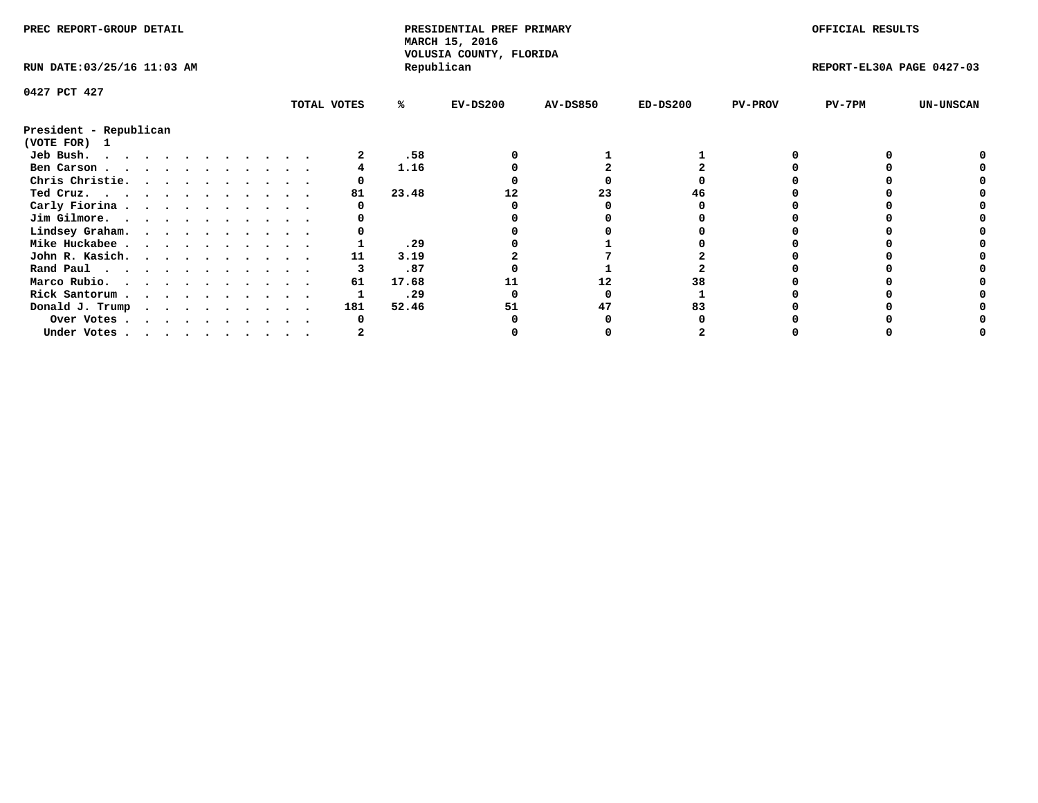| PREC REPORT-GROUP DETAIL               |  |   |  |  |  |             |       | PRESIDENTIAL PREF PRIMARY<br>MARCH 15, 2016<br>VOLUSIA COUNTY, FLORIDA |                 |            |                | OFFICIAL RESULTS          |                  |
|----------------------------------------|--|---|--|--|--|-------------|-------|------------------------------------------------------------------------|-----------------|------------|----------------|---------------------------|------------------|
| RUN DATE: 03/25/16 11:03 AM            |  |   |  |  |  |             |       | Republican                                                             |                 |            |                | REPORT-EL30A PAGE 0427-03 |                  |
| 0427 PCT 427                           |  |   |  |  |  |             |       |                                                                        |                 |            |                |                           |                  |
|                                        |  |   |  |  |  | TOTAL VOTES | ℁     | $EV-DS200$                                                             | <b>AV-DS850</b> | $ED-DS200$ | <b>PV-PROV</b> | $PV-7PM$                  | <b>UN-UNSCAN</b> |
| President - Republican<br>(VOTE FOR) 1 |  |   |  |  |  |             |       |                                                                        |                 |            |                |                           |                  |
| Jeb Bush.                              |  |   |  |  |  |             | .58   |                                                                        |                 |            |                |                           |                  |
| Ben Carson                             |  |   |  |  |  |             | 1.16  |                                                                        |                 |            |                |                           |                  |
| Chris Christie.                        |  |   |  |  |  |             |       |                                                                        |                 |            |                |                           |                  |
| Ted Cruz.                              |  |   |  |  |  | 81          | 23.48 |                                                                        | 23              |            |                |                           |                  |
| Carly Fiorina                          |  |   |  |  |  |             |       |                                                                        |                 |            |                |                           |                  |
| Jim Gilmore.                           |  |   |  |  |  |             |       |                                                                        |                 |            |                |                           |                  |
| Lindsey Graham.                        |  |   |  |  |  |             |       |                                                                        |                 |            |                |                           |                  |
| Mike Huckabee                          |  |   |  |  |  |             | .29   |                                                                        |                 |            |                |                           |                  |
| John R. Kasich.                        |  |   |  |  |  | 11          | 3.19  |                                                                        |                 |            |                |                           |                  |
| Rand Paul                              |  |   |  |  |  |             | .87   |                                                                        |                 |            |                |                           |                  |
| Marco Rubio.                           |  |   |  |  |  | 61          | 17.68 |                                                                        | 12              |            |                |                           |                  |
| Rick Santorum                          |  |   |  |  |  |             | .29   |                                                                        |                 |            |                |                           |                  |
| Donald J. Trump                        |  | . |  |  |  | 181         | 52.46 | 51                                                                     | 47              |            |                |                           |                  |
| Over Votes                             |  |   |  |  |  |             |       |                                                                        |                 |            |                |                           |                  |
| Under Votes                            |  |   |  |  |  |             |       |                                                                        |                 |            |                |                           |                  |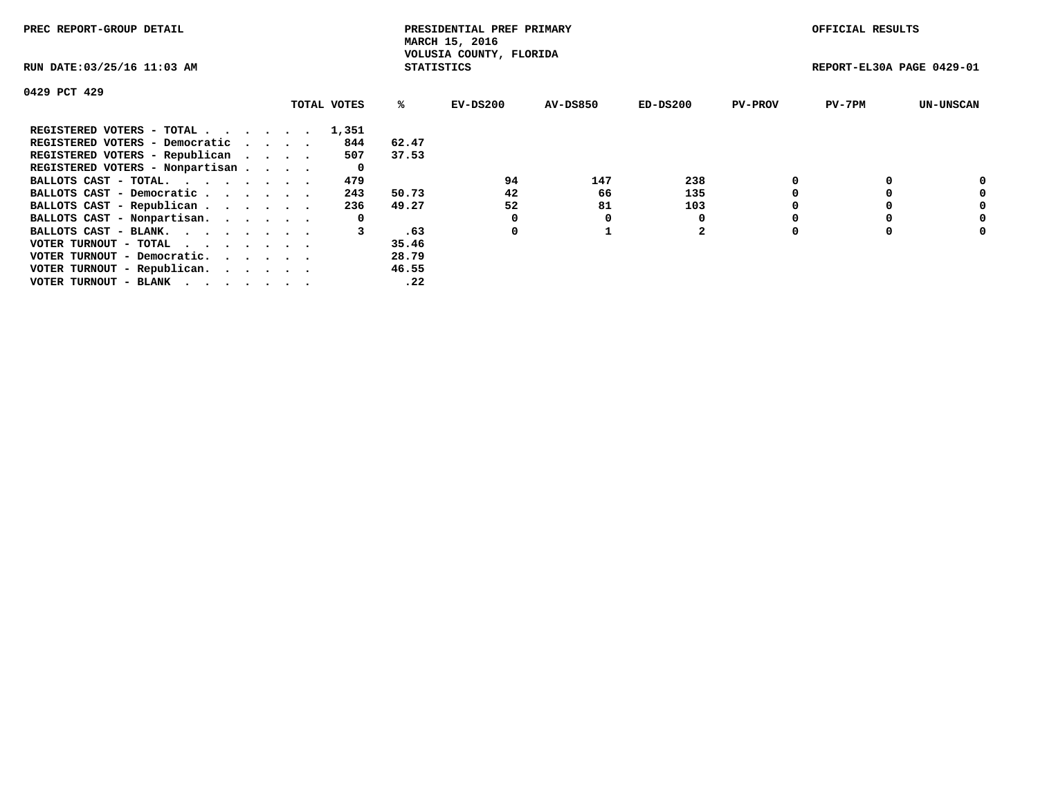| PREC REPORT-GROUP DETAIL                                    |  |             |                   | PRESIDENTIAL PREF PRIMARY<br>MARCH 15, 2016 |          |                |                | OFFICIAL RESULTS          |                  |
|-------------------------------------------------------------|--|-------------|-------------------|---------------------------------------------|----------|----------------|----------------|---------------------------|------------------|
| RUN DATE: 03/25/16 11:03 AM                                 |  |             | <b>STATISTICS</b> | VOLUSIA COUNTY, FLORIDA                     |          |                |                | REPORT-EL30A PAGE 0429-01 |                  |
| 0429 PCT 429                                                |  |             |                   |                                             |          |                |                |                           |                  |
|                                                             |  | TOTAL VOTES | %ะ                | EV-DS200                                    | AV-DS850 | $ED-DS200$     | <b>PV-PROV</b> | $PV-7PM$                  | <b>UN-UNSCAN</b> |
| REGISTERED VOTERS - TOTAL                                   |  | 1,351       |                   |                                             |          |                |                |                           |                  |
| REGISTERED VOTERS - Democratic                              |  | 844         | 62.47             |                                             |          |                |                |                           |                  |
| REGISTERED VOTERS - Republican                              |  | 507         | 37.53             |                                             |          |                |                |                           |                  |
| REGISTERED VOTERS - Nonpartisan                             |  | 0           |                   |                                             |          |                |                |                           |                  |
| BALLOTS CAST - TOTAL.                                       |  | 479         |                   | 94                                          | 147      | 238            |                |                           | 0                |
| BALLOTS CAST - Democratic                                   |  | 243         | 50.73             | 42                                          | 66       | 135            |                |                           | 0                |
| BALLOTS CAST - Republican                                   |  | 236         | 49.27             | 52                                          | 81       | 103            |                |                           | 0                |
| BALLOTS CAST - Nonpartisan.                                 |  | 0           |                   | 0                                           | O        |                |                |                           | 0                |
| BALLOTS CAST - BLANK.                                       |  |             | .63               | 0                                           |          | $\overline{2}$ |                |                           | 0                |
| VOTER TURNOUT - TOTAL $\cdot \cdot \cdot \cdot \cdot \cdot$ |  |             | 35.46             |                                             |          |                |                |                           |                  |
| VOTER TURNOUT - Democratic.                                 |  |             | 28.79             |                                             |          |                |                |                           |                  |
| VOTER TURNOUT - Republican.                                 |  |             | 46.55             |                                             |          |                |                |                           |                  |
| VOTER TURNOUT - BLANK                                       |  |             | .22               |                                             |          |                |                |                           |                  |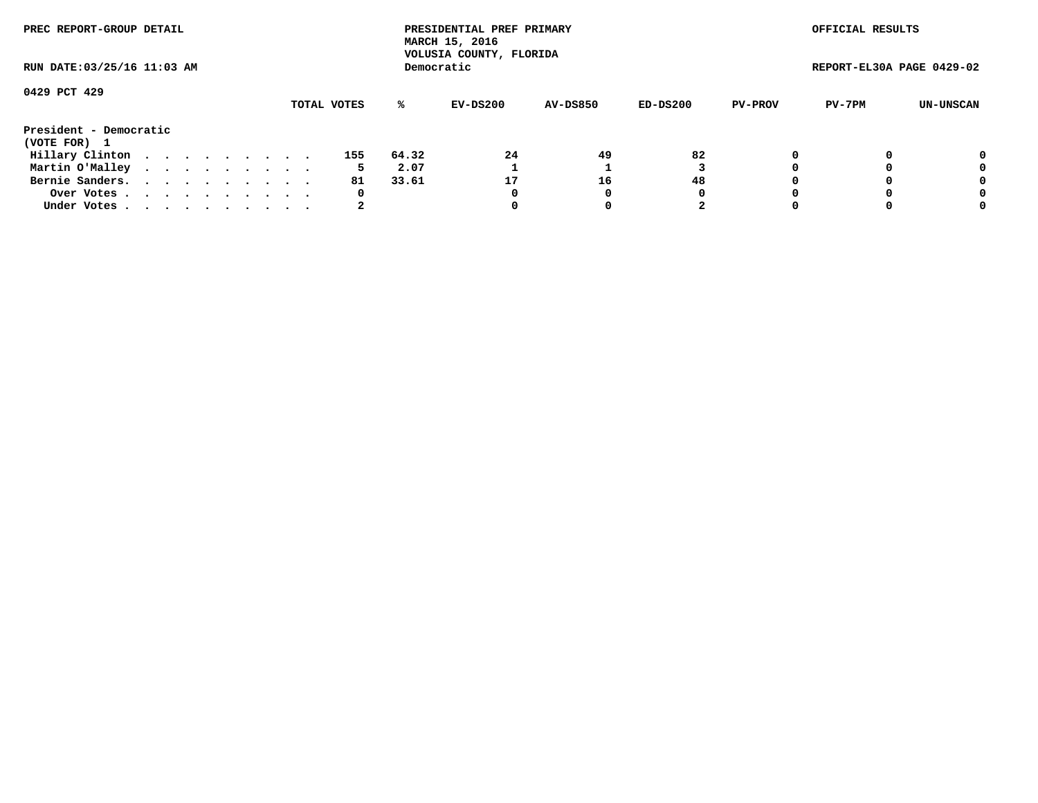| PREC REPORT-GROUP DETAIL<br>RUN DATE: 03/25/16 11:03 AM |  |  |  |  |  |  |  |  |             |       | PRESIDENTIAL PREF PRIMARY<br>MARCH 15, 2016<br>VOLUSIA COUNTY, FLORIDA |                 |          |                | OFFICIAL RESULTS          |           |
|---------------------------------------------------------|--|--|--|--|--|--|--|--|-------------|-------|------------------------------------------------------------------------|-----------------|----------|----------------|---------------------------|-----------|
|                                                         |  |  |  |  |  |  |  |  |             |       | Democratic                                                             |                 |          |                | REPORT-EL30A PAGE 0429-02 |           |
| 0429 PCT 429                                            |  |  |  |  |  |  |  |  | TOTAL VOTES | %ะ    | EV-DS200                                                               | <b>AV-DS850</b> | ED-DS200 | <b>PV-PROV</b> | PV-7PM                    | UN-UNSCAN |
| President - Democratic<br>(VOTE FOR) 1                  |  |  |  |  |  |  |  |  |             |       |                                                                        |                 |          |                |                           |           |
| Hillary Clinton                                         |  |  |  |  |  |  |  |  | 155         | 64.32 | 24                                                                     | 49              | 82       | 0              |                           | 0         |
| Martin O'Malley                                         |  |  |  |  |  |  |  |  | 5           | 2.07  |                                                                        |                 |          |                |                           | 0         |
| Bernie Sanders.                                         |  |  |  |  |  |  |  |  | 81          | 33.61 | 17                                                                     | 16              | 48       |                |                           | 0         |
| Over Votes.                                             |  |  |  |  |  |  |  |  | 0           |       | 0                                                                      |                 | 0        |                |                           | 0         |
| Under Votes.                                            |  |  |  |  |  |  |  |  |             |       |                                                                        |                 |          |                |                           | 0         |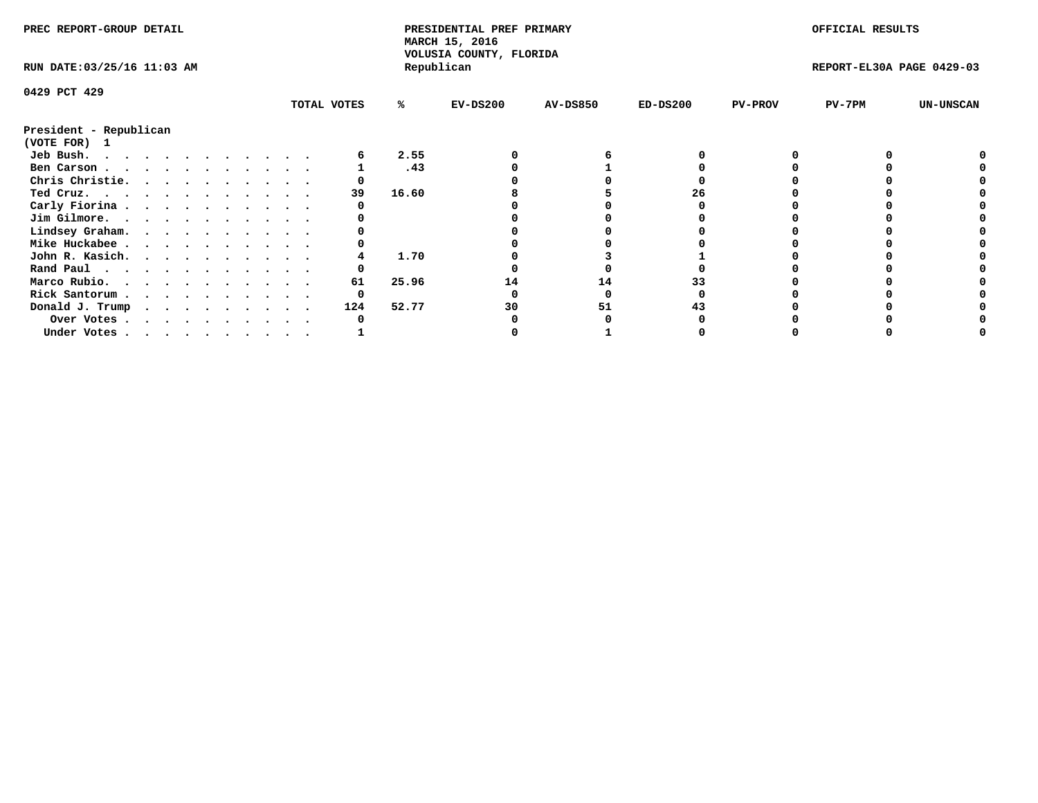| PREC REPORT-GROUP DETAIL               |  |  |  |  |  |             |       | PRESIDENTIAL PREF PRIMARY<br>MARCH 15, 2016 |                 |            |                | OFFICIAL RESULTS          |                  |
|----------------------------------------|--|--|--|--|--|-------------|-------|---------------------------------------------|-----------------|------------|----------------|---------------------------|------------------|
| RUN DATE: 03/25/16 11:03 AM            |  |  |  |  |  |             |       | VOLUSIA COUNTY, FLORIDA<br>Republican       |                 |            |                | REPORT-EL30A PAGE 0429-03 |                  |
| 0429 PCT 429                           |  |  |  |  |  |             |       |                                             |                 |            |                |                           |                  |
|                                        |  |  |  |  |  | TOTAL VOTES | %ะ    | $EV-DS200$                                  | <b>AV-DS850</b> | $ED-DS200$ | <b>PV-PROV</b> | $PV-7PM$                  | <b>UN-UNSCAN</b> |
| President - Republican<br>(VOTE FOR) 1 |  |  |  |  |  |             |       |                                             |                 |            |                |                           |                  |
| Jeb Bush.                              |  |  |  |  |  |             | 2.55  |                                             |                 |            |                |                           |                  |
| Ben Carson                             |  |  |  |  |  |             | .43   |                                             |                 |            |                |                           |                  |
| Chris Christie.                        |  |  |  |  |  |             |       |                                             |                 |            |                |                           |                  |
| Ted Cruz.                              |  |  |  |  |  | 39          | 16.60 |                                             |                 | 26         |                |                           |                  |
| Carly Fiorina                          |  |  |  |  |  |             |       |                                             |                 |            |                |                           |                  |
| Jim Gilmore.                           |  |  |  |  |  |             |       |                                             |                 |            |                |                           |                  |
| Lindsey Graham.                        |  |  |  |  |  |             |       |                                             |                 |            |                |                           |                  |
| Mike Huckabee                          |  |  |  |  |  |             |       |                                             |                 |            |                |                           |                  |
| John R. Kasich.                        |  |  |  |  |  |             | 1.70  |                                             |                 |            |                |                           |                  |
| Rand Paul                              |  |  |  |  |  |             |       |                                             |                 |            |                |                           |                  |
| Marco Rubio.                           |  |  |  |  |  | 61          | 25.96 | 14                                          | 14              |            |                |                           |                  |
| Rick Santorum                          |  |  |  |  |  |             |       |                                             |                 |            |                |                           |                  |
| Donald J. Trump                        |  |  |  |  |  | 124         | 52.77 | 30                                          | 51              |            |                |                           |                  |
|                                        |  |  |  |  |  |             |       |                                             |                 |            |                |                           |                  |
| Over Votes<br>Under Votes              |  |  |  |  |  |             |       |                                             |                 |            |                |                           |                  |
|                                        |  |  |  |  |  |             |       |                                             |                 |            |                |                           |                  |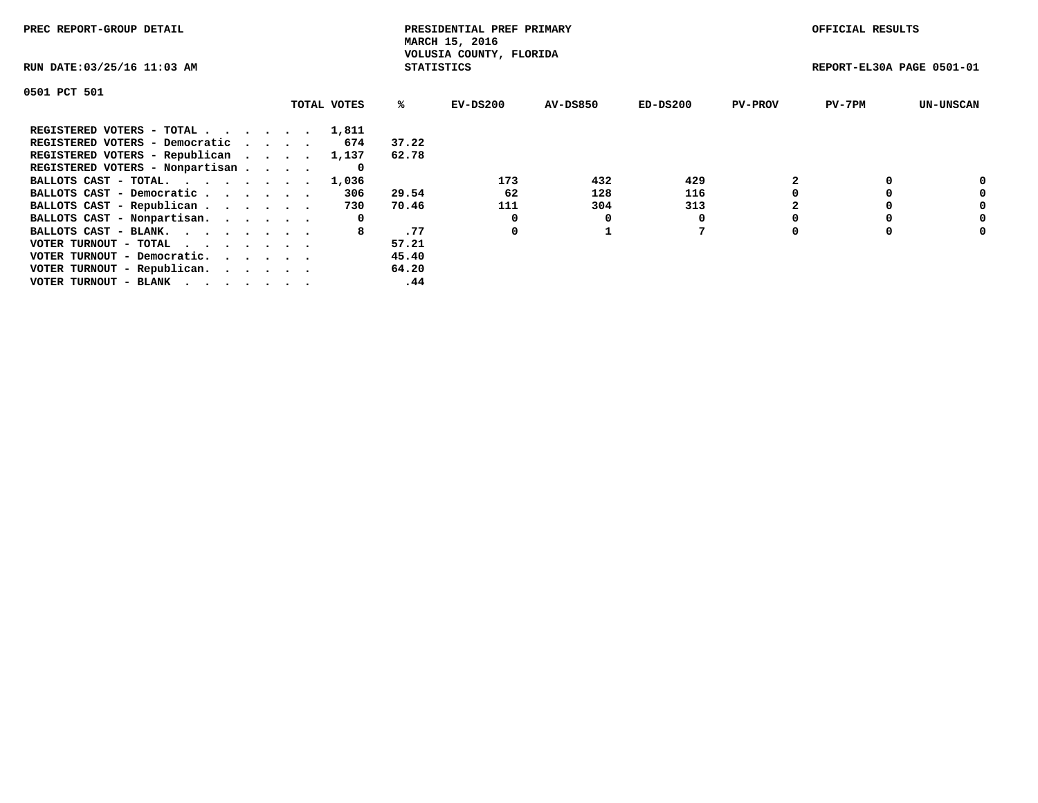| PREC REPORT-GROUP DETAIL                                    |             |                   | PRESIDENTIAL PREF PRIMARY<br>MARCH 15, 2016 |                 |          |                | OFFICIAL RESULTS          |                  |
|-------------------------------------------------------------|-------------|-------------------|---------------------------------------------|-----------------|----------|----------------|---------------------------|------------------|
| RUN DATE: 03/25/16 11:03 AM                                 |             | <b>STATISTICS</b> | VOLUSIA COUNTY, FLORIDA                     |                 |          |                | REPORT-EL30A PAGE 0501-01 |                  |
| 0501 PCT 501                                                |             |                   |                                             |                 |          |                |                           |                  |
|                                                             | TOTAL VOTES | %ະ                | EV-DS200                                    | <b>AV-DS850</b> | ED-DS200 | <b>PV-PROV</b> | $PV-7PM$                  | <b>UN-UNSCAN</b> |
| REGISTERED VOTERS - TOTAL                                   | 1,811       |                   |                                             |                 |          |                |                           |                  |
| REGISTERED VOTERS - Democratic                              | 674         | 37.22             |                                             |                 |          |                |                           |                  |
| REGISTERED VOTERS - Republican                              | 1,137       | 62.78             |                                             |                 |          |                |                           |                  |
| REGISTERED VOTERS - Nonpartisan                             | 0           |                   |                                             |                 |          |                |                           |                  |
| BALLOTS CAST - TOTAL. 1,036                                 |             |                   | 173                                         | 432             | 429      |                |                           | 0                |
| BALLOTS CAST - Democratic                                   | 306         | 29.54             | 62                                          | 128             | 116      |                |                           | 0                |
| BALLOTS CAST - Republican                                   | 730         | 70.46             | 111                                         | 304             | 313      |                |                           | 0                |
| BALLOTS CAST - Nonpartisan.                                 | 0           |                   | 0                                           |                 |          |                |                           | 0                |
| BALLOTS CAST - BLANK.                                       |             | .77               | 0                                           |                 |          |                |                           | 0                |
| VOTER TURNOUT - TOTAL $\cdot \cdot \cdot \cdot \cdot \cdot$ |             | 57.21             |                                             |                 |          |                |                           |                  |
| VOTER TURNOUT - Democratic.                                 |             | 45.40             |                                             |                 |          |                |                           |                  |
| VOTER TURNOUT - Republican.                                 |             | 64.20             |                                             |                 |          |                |                           |                  |
| VOTER TURNOUT - BLANK                                       |             | .44               |                                             |                 |          |                |                           |                  |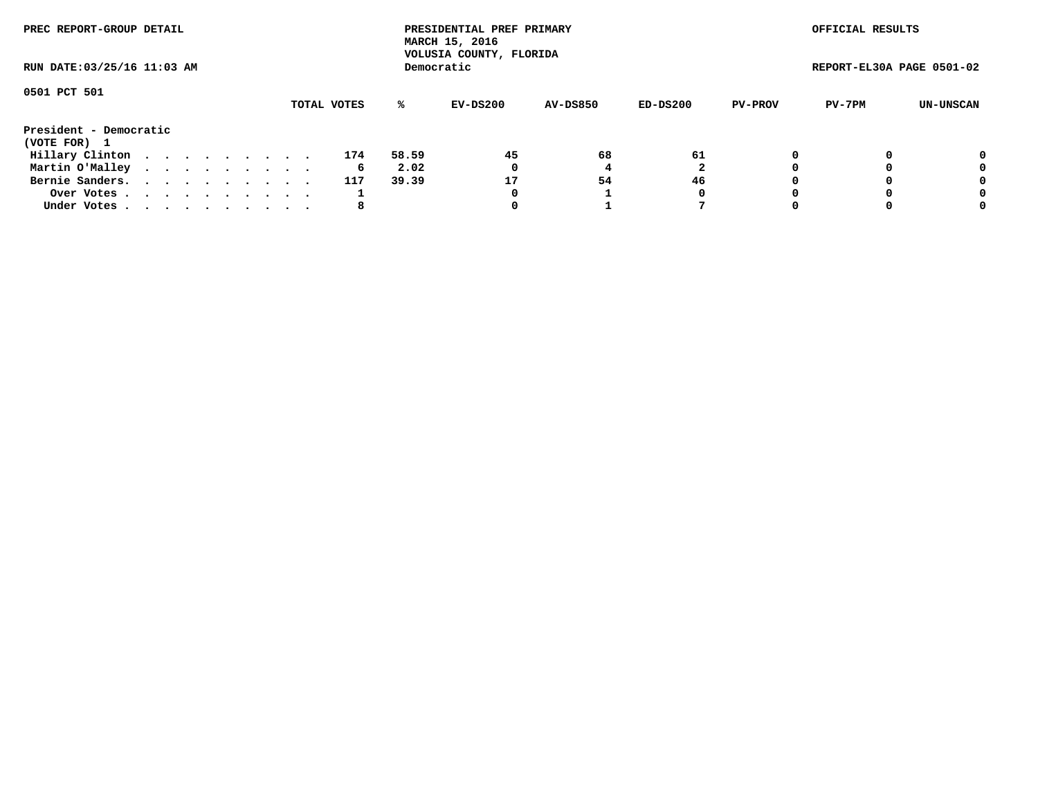| PREC REPORT-GROUP DETAIL<br>RUN DATE: 03/25/16 11:03 AM |  |  |  |  |  |  |  |  |             |       | PRESIDENTIAL PREF PRIMARY<br>MARCH 15, 2016<br>VOLUSIA COUNTY, FLORIDA |                 |          |                | OFFICIAL RESULTS          |           |
|---------------------------------------------------------|--|--|--|--|--|--|--|--|-------------|-------|------------------------------------------------------------------------|-----------------|----------|----------------|---------------------------|-----------|
|                                                         |  |  |  |  |  |  |  |  |             |       | Democratic                                                             |                 |          |                | REPORT-EL30A PAGE 0501-02 |           |
| 0501 PCT 501                                            |  |  |  |  |  |  |  |  | TOTAL VOTES | %ะ    | EV-DS200                                                               | <b>AV-DS850</b> | ED-DS200 | <b>PV-PROV</b> | PV-7PM                    | UN-UNSCAN |
| President - Democratic<br>(VOTE FOR) 1                  |  |  |  |  |  |  |  |  |             |       |                                                                        |                 |          |                |                           |           |
| Hillary Clinton                                         |  |  |  |  |  |  |  |  | 174         | 58.59 | 45                                                                     | 68              | 61       | 0              |                           | 0         |
| Martin O'Malley                                         |  |  |  |  |  |  |  |  | 6           | 2.02  | 0                                                                      |                 |          |                |                           | 0         |
| Bernie Sanders.                                         |  |  |  |  |  |  |  |  | 117         | 39.39 | 17                                                                     | 54              | 46       |                |                           | 0         |
| Over Votes                                              |  |  |  |  |  |  |  |  |             |       | 0                                                                      |                 | 0        |                |                           | 0         |
| Under Votes.                                            |  |  |  |  |  |  |  |  | 8           |       |                                                                        |                 |          |                |                           | 0         |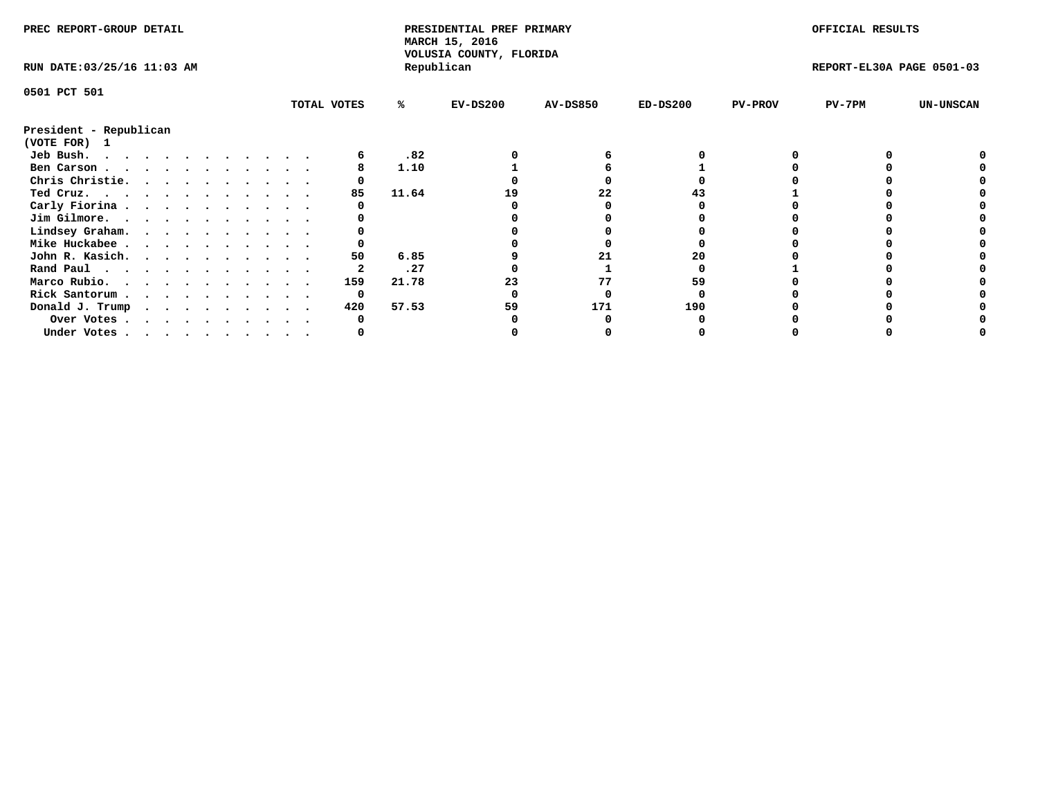| PREC REPORT-GROUP DETAIL               |  |  |  |  |  |             |       | PRESIDENTIAL PREF PRIMARY<br>MARCH 15, 2016<br>VOLUSIA COUNTY, FLORIDA |                 |            |                | OFFICIAL RESULTS          |                  |
|----------------------------------------|--|--|--|--|--|-------------|-------|------------------------------------------------------------------------|-----------------|------------|----------------|---------------------------|------------------|
| RUN DATE: 03/25/16 11:03 AM            |  |  |  |  |  |             |       | Republican                                                             |                 |            |                | REPORT-EL30A PAGE 0501-03 |                  |
| 0501 PCT 501                           |  |  |  |  |  |             |       |                                                                        |                 |            |                |                           |                  |
|                                        |  |  |  |  |  | TOTAL VOTES | %ะ    | EV-DS200                                                               | <b>AV-DS850</b> | $ED-DS200$ | <b>PV-PROV</b> | $PV-7PM$                  | <b>UN-UNSCAN</b> |
| President - Republican<br>(VOTE FOR) 1 |  |  |  |  |  |             |       |                                                                        |                 |            |                |                           |                  |
| Jeb Bush.                              |  |  |  |  |  |             | .82   |                                                                        |                 |            |                |                           |                  |
| Ben Carson                             |  |  |  |  |  |             | 1.10  |                                                                        |                 |            |                |                           |                  |
| Chris Christie.                        |  |  |  |  |  |             |       |                                                                        |                 |            |                |                           |                  |
| Ted Cruz.                              |  |  |  |  |  | 85          | 11.64 |                                                                        | 22              |            |                |                           |                  |
| Carly Fiorina                          |  |  |  |  |  |             |       |                                                                        |                 |            |                |                           |                  |
| Jim Gilmore.                           |  |  |  |  |  |             |       |                                                                        |                 |            |                |                           |                  |
| Lindsey Graham.                        |  |  |  |  |  |             |       |                                                                        |                 |            |                |                           |                  |
| Mike Huckabee                          |  |  |  |  |  |             |       |                                                                        |                 |            |                |                           |                  |
| John R. Kasich.                        |  |  |  |  |  | 50          | 6.85  |                                                                        | 21              | 20         |                |                           |                  |
| Rand Paul                              |  |  |  |  |  |             | .27   |                                                                        |                 |            |                |                           |                  |
| Marco Rubio.                           |  |  |  |  |  | 159         | 21.78 | 23                                                                     | 77              | 59         |                |                           |                  |
| Rick Santorum                          |  |  |  |  |  | 0           |       |                                                                        |                 |            |                |                           |                  |
| Donald J. Trump                        |  |  |  |  |  | 420         | 57.53 | 59                                                                     | 171             | 190        |                |                           |                  |
| Over Votes                             |  |  |  |  |  |             |       |                                                                        |                 |            |                |                           |                  |
| Under Votes                            |  |  |  |  |  |             |       |                                                                        |                 |            |                |                           |                  |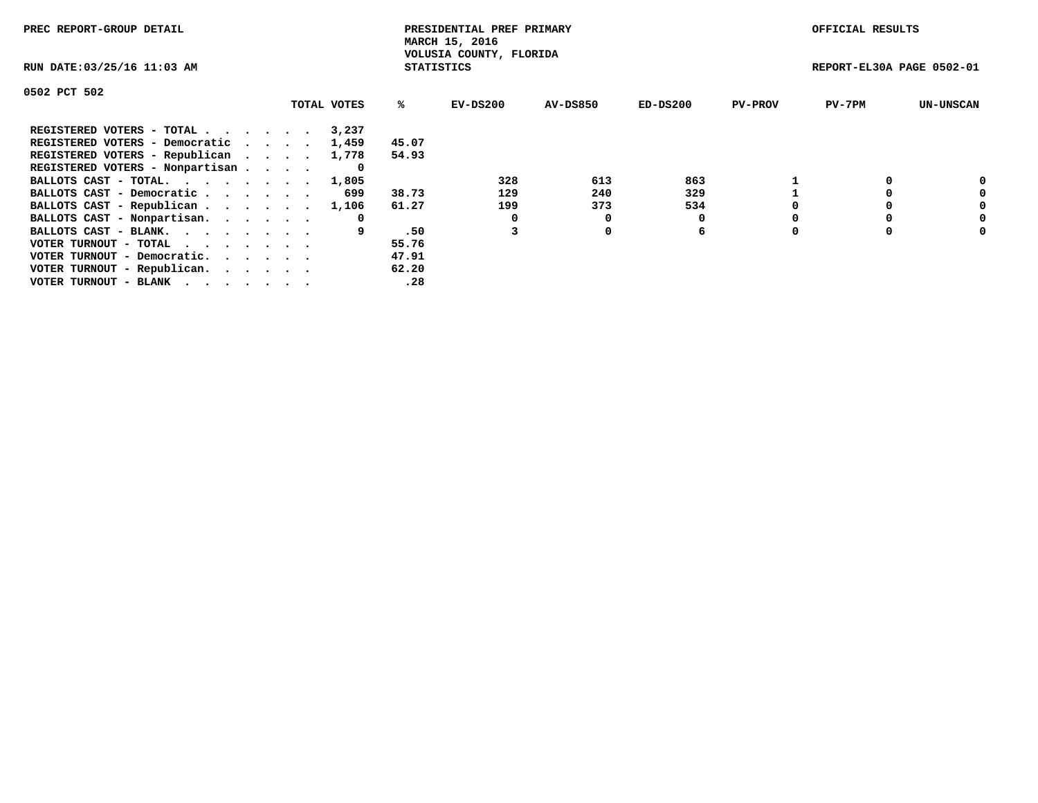| PREC REPORT-GROUP DETAIL                                    |  |             |                   | PRESIDENTIAL PREF PRIMARY<br>MARCH 15, 2016 |          |            |                | OFFICIAL RESULTS          |                  |
|-------------------------------------------------------------|--|-------------|-------------------|---------------------------------------------|----------|------------|----------------|---------------------------|------------------|
| RUN DATE: 03/25/16 11:03 AM                                 |  |             | <b>STATISTICS</b> | VOLUSIA COUNTY, FLORIDA                     |          |            |                | REPORT-EL30A PAGE 0502-01 |                  |
| 0502 PCT 502                                                |  |             |                   |                                             |          |            |                |                           |                  |
|                                                             |  | TOTAL VOTES | ℁                 | $EV-DS200$                                  | AV-DS850 | $ED-DS200$ | <b>PV-PROV</b> | $PV-7PM$                  | <b>UN-UNSCAN</b> |
| REGISTERED VOTERS - TOTAL                                   |  | 3,237       |                   |                                             |          |            |                |                           |                  |
| REGISTERED VOTERS - Democratic                              |  | 1,459       | 45.07             |                                             |          |            |                |                           |                  |
| REGISTERED VOTERS - Republican                              |  | 1,778       | 54.93             |                                             |          |            |                |                           |                  |
| REGISTERED VOTERS - Nonpartisan                             |  |             |                   |                                             |          |            |                |                           |                  |
| BALLOTS CAST - TOTAL.                                       |  | 1,805       |                   | 328                                         | 613      | 863        |                |                           | 0                |
| BALLOTS CAST - Democratic                                   |  | 699         | 38.73             | 129                                         | 240      | 329        |                |                           | 0                |
| BALLOTS CAST - Republican                                   |  | 1,106       | 61.27             | 199                                         | 373      | 534        |                |                           | 0                |
| BALLOTS CAST - Nonpartisan.                                 |  | 0           |                   |                                             | 0        |            |                |                           | 0                |
| BALLOTS CAST - BLANK.                                       |  |             | .50               |                                             | 0        | 6          |                |                           | 0                |
| VOTER TURNOUT - TOTAL $\cdot \cdot \cdot \cdot \cdot \cdot$ |  |             | 55.76             |                                             |          |            |                |                           |                  |
| VOTER TURNOUT - Democratic.                                 |  |             | 47.91             |                                             |          |            |                |                           |                  |
| VOTER TURNOUT - Republican.                                 |  |             | 62.20             |                                             |          |            |                |                           |                  |
| VOTER TURNOUT - BLANK                                       |  |             | .28               |                                             |          |            |                |                           |                  |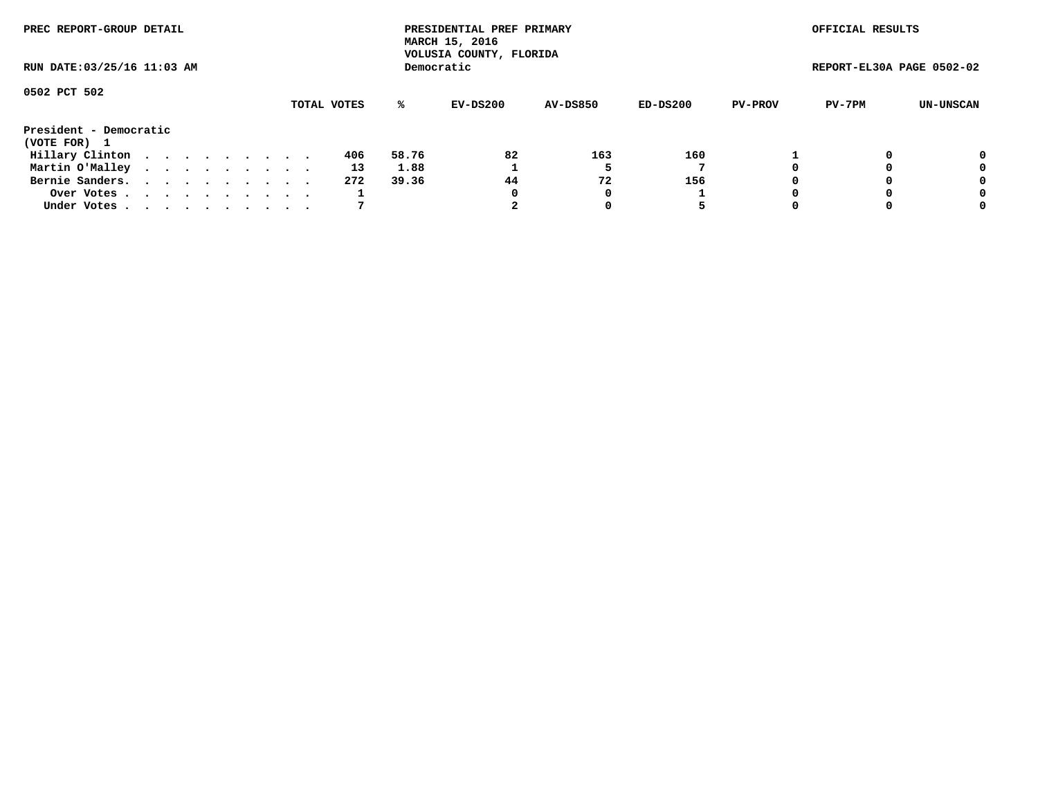| PREC REPORT-GROUP DETAIL<br>RUN DATE: 03/25/16 11:03 AM |  |  |  |  |  |  |  |  |             |       | PRESIDENTIAL PREF PRIMARY<br>MARCH 15, 2016<br>VOLUSIA COUNTY, FLORIDA |                 |          |                | OFFICIAL RESULTS          |           |
|---------------------------------------------------------|--|--|--|--|--|--|--|--|-------------|-------|------------------------------------------------------------------------|-----------------|----------|----------------|---------------------------|-----------|
|                                                         |  |  |  |  |  |  |  |  |             |       | Democratic                                                             |                 |          |                | REPORT-EL30A PAGE 0502-02 |           |
| 0502 PCT 502                                            |  |  |  |  |  |  |  |  | TOTAL VOTES | %ะ    | EV-DS200                                                               | <b>AV-DS850</b> | ED-DS200 | <b>PV-PROV</b> | PV-7PM                    | UN-UNSCAN |
| President - Democratic<br>(VOTE FOR) 1                  |  |  |  |  |  |  |  |  |             |       |                                                                        |                 |          |                |                           |           |
| Hillary Clinton                                         |  |  |  |  |  |  |  |  | 406         | 58.76 | 82                                                                     | 163             | 160      |                |                           | 0         |
| Martin O'Malley                                         |  |  |  |  |  |  |  |  | 13          | 1.88  |                                                                        |                 |          |                |                           | 0         |
| Bernie Sanders.                                         |  |  |  |  |  |  |  |  | 272         | 39.36 | 44                                                                     | 72              | 156      |                |                           | 0         |
| Over Votes                                              |  |  |  |  |  |  |  |  |             |       | 0                                                                      | 0               |          |                |                           | 0         |
| Under Votes.                                            |  |  |  |  |  |  |  |  |             |       |                                                                        |                 | 5        |                |                           | 0         |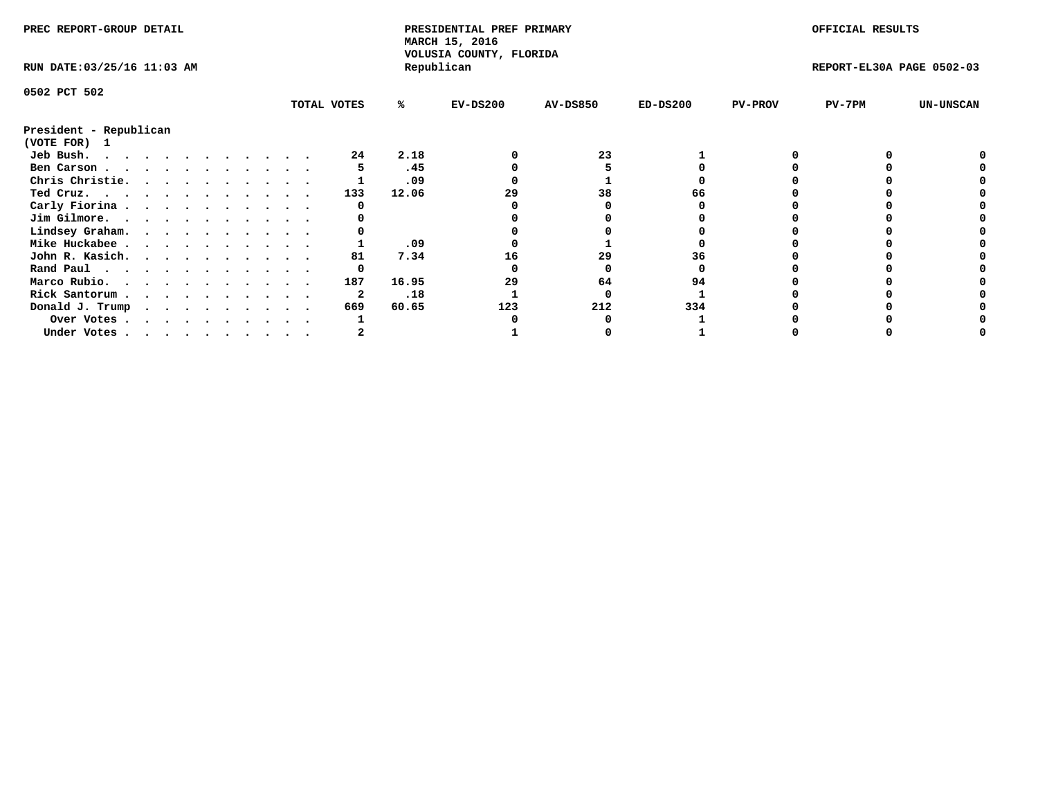| PREC REPORT-GROUP DETAIL    |  |  |  |  |  |  |  |  |             | PRESIDENTIAL PREF PRIMARY<br>MARCH 15, 2016<br>VOLUSIA COUNTY, FLORIDA |            |                 |            | OFFICIAL RESULTS |                           |                  |
|-----------------------------|--|--|--|--|--|--|--|--|-------------|------------------------------------------------------------------------|------------|-----------------|------------|------------------|---------------------------|------------------|
| RUN DATE: 03/25/16 11:03 AM |  |  |  |  |  |  |  |  |             |                                                                        | Republican |                 |            |                  | REPORT-EL30A PAGE 0502-03 |                  |
| 0502 PCT 502                |  |  |  |  |  |  |  |  |             |                                                                        |            |                 |            |                  |                           |                  |
|                             |  |  |  |  |  |  |  |  | TOTAL VOTES | ℁                                                                      | $EV-DS200$ | <b>AV-DS850</b> | $ED-DS200$ | <b>PV-PROV</b>   | $PV-7PM$                  | <b>UN-UNSCAN</b> |
| President - Republican      |  |  |  |  |  |  |  |  |             |                                                                        |            |                 |            |                  |                           |                  |
| (VOTE FOR)<br>$\mathbf{1}$  |  |  |  |  |  |  |  |  |             |                                                                        |            |                 |            |                  |                           |                  |
| Jeb Bush.                   |  |  |  |  |  |  |  |  | 24          | 2.18                                                                   |            | 23              |            |                  |                           |                  |
| Ben Carson                  |  |  |  |  |  |  |  |  |             | .45                                                                    |            |                 |            |                  |                           |                  |
| Chris Christie.             |  |  |  |  |  |  |  |  |             | .09                                                                    |            |                 |            |                  |                           |                  |
| Ted Cruz.                   |  |  |  |  |  |  |  |  | 133         | 12.06                                                                  | 29         | 38              |            |                  |                           |                  |
| Carly Fiorina               |  |  |  |  |  |  |  |  |             |                                                                        |            |                 |            |                  |                           |                  |
| Jim Gilmore.                |  |  |  |  |  |  |  |  |             |                                                                        |            |                 |            |                  |                           |                  |
| Lindsey Graham.             |  |  |  |  |  |  |  |  |             |                                                                        |            |                 |            |                  |                           |                  |
| Mike Huckabee               |  |  |  |  |  |  |  |  |             | .09                                                                    |            |                 |            |                  |                           |                  |
| John R. Kasich.             |  |  |  |  |  |  |  |  | 81          | 7.34                                                                   | 16         | 29              | 36         |                  |                           |                  |
| Rand Paul                   |  |  |  |  |  |  |  |  | 0           |                                                                        |            |                 |            |                  |                           |                  |
| Marco Rubio.                |  |  |  |  |  |  |  |  | 187         | 16.95                                                                  | 29         | 64              | 94         |                  |                           |                  |
| Rick Santorum               |  |  |  |  |  |  |  |  |             | .18                                                                    |            |                 |            |                  |                           |                  |
| Donald J. Trump             |  |  |  |  |  |  |  |  | 669         | 60.65                                                                  | 123        | 212             | 334        |                  |                           |                  |
| Over Votes                  |  |  |  |  |  |  |  |  |             |                                                                        |            |                 |            |                  |                           |                  |
| Under Votes                 |  |  |  |  |  |  |  |  |             |                                                                        |            |                 |            |                  |                           |                  |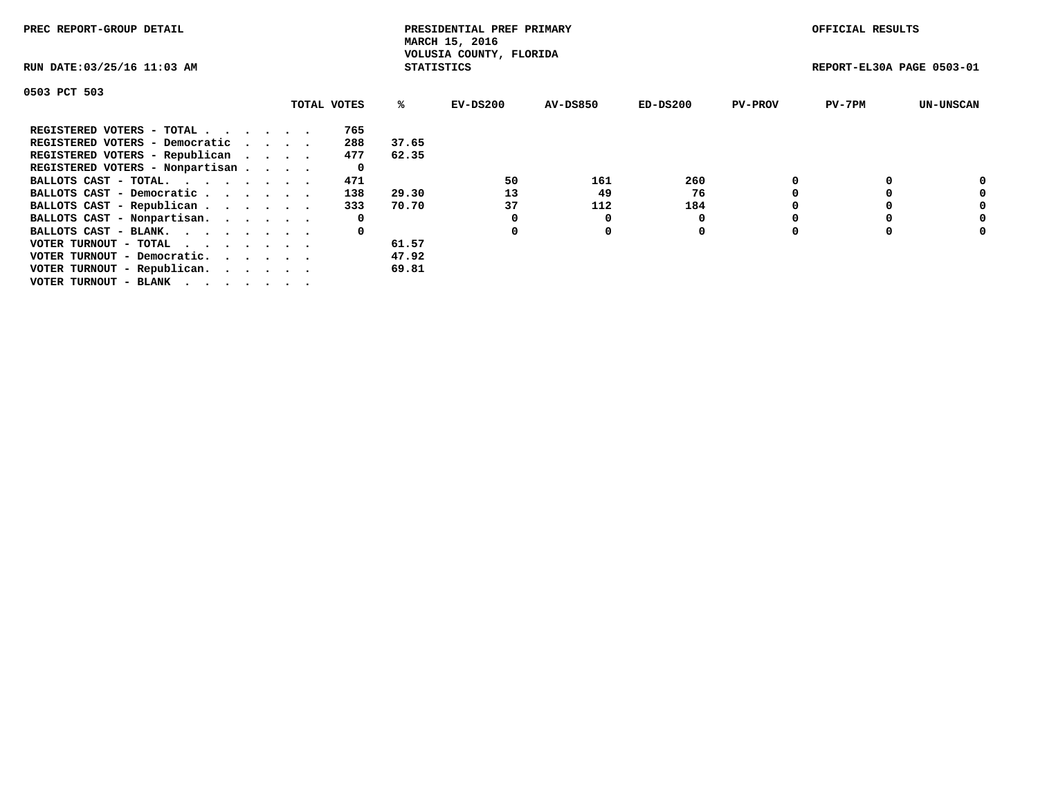| PREC REPORT-GROUP DETAIL                                    |             |                   | PRESIDENTIAL PREF PRIMARY<br>MARCH 15, 2016 |                 |            |                | OFFICIAL RESULTS          |                  |
|-------------------------------------------------------------|-------------|-------------------|---------------------------------------------|-----------------|------------|----------------|---------------------------|------------------|
| RUN DATE: 03/25/16 11:03 AM                                 |             | <b>STATISTICS</b> | VOLUSIA COUNTY, FLORIDA                     |                 |            |                | REPORT-EL30A PAGE 0503-01 |                  |
| 0503 PCT 503                                                |             |                   |                                             |                 |            |                |                           |                  |
|                                                             | TOTAL VOTES | ℁                 | EV-DS200                                    | <b>AV-DS850</b> | $ED-DS200$ | <b>PV-PROV</b> | $PV-7PM$                  | <b>UN-UNSCAN</b> |
| REGISTERED VOTERS - TOTAL                                   | 765         |                   |                                             |                 |            |                |                           |                  |
| REGISTERED VOTERS - Democratic                              | 288         | 37.65             |                                             |                 |            |                |                           |                  |
| REGISTERED VOTERS - Republican                              | 477         | 62.35             |                                             |                 |            |                |                           |                  |
| REGISTERED VOTERS - Nonpartisan                             | 0           |                   |                                             |                 |            |                |                           |                  |
| BALLOTS CAST - TOTAL.                                       | 471         |                   | 50                                          | 161             | 260        |                |                           | 0                |
| BALLOTS CAST - Democratic                                   | 138         | 29.30             | 13                                          | 49              | 76         |                |                           | 0                |
| BALLOTS CAST - Republican                                   | 333         | 70.70             | 37                                          | 112             | 184        |                |                           | 0                |
| BALLOTS CAST - Nonpartisan.                                 | 0           |                   |                                             | 0               |            |                |                           | 0                |
| BALLOTS CAST - BLANK.                                       | 0           |                   |                                             | $\Omega$        | 0          |                |                           | 0                |
| VOTER TURNOUT - TOTAL $\cdot \cdot \cdot \cdot \cdot \cdot$ |             | 61.57             |                                             |                 |            |                |                           |                  |
| VOTER TURNOUT - Democratic.                                 |             | 47.92             |                                             |                 |            |                |                           |                  |
| VOTER TURNOUT - Republican.                                 |             | 69.81             |                                             |                 |            |                |                           |                  |
| VOTER TURNOUT - BLANK                                       |             |                   |                                             |                 |            |                |                           |                  |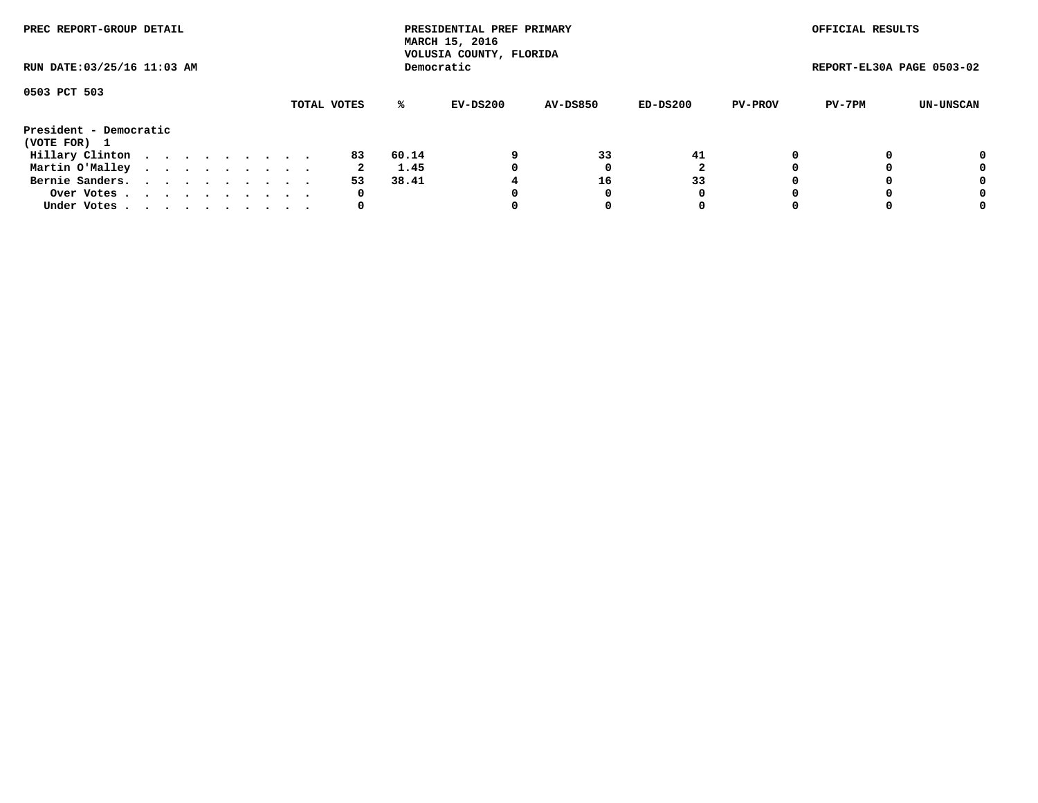| PREC REPORT-GROUP DETAIL<br>RUN DATE: 03/25/16 11:03 AM |  |  |  |  |  |  |  |  |             |       | PRESIDENTIAL PREF PRIMARY<br>MARCH 15, 2016<br>VOLUSIA COUNTY, FLORIDA |                 |          |                | OFFICIAL RESULTS          |           |
|---------------------------------------------------------|--|--|--|--|--|--|--|--|-------------|-------|------------------------------------------------------------------------|-----------------|----------|----------------|---------------------------|-----------|
|                                                         |  |  |  |  |  |  |  |  |             |       | Democratic                                                             |                 |          |                | REPORT-EL30A PAGE 0503-02 |           |
| 0503 PCT 503                                            |  |  |  |  |  |  |  |  |             |       |                                                                        |                 |          |                |                           |           |
|                                                         |  |  |  |  |  |  |  |  | TOTAL VOTES | %ะ    | EV-DS200                                                               | <b>AV-DS850</b> | ED-DS200 | <b>PV-PROV</b> | PV-7PM                    | UN-UNSCAN |
| President - Democratic                                  |  |  |  |  |  |  |  |  |             |       |                                                                        |                 |          |                |                           |           |
| (VOTE FOR) 1                                            |  |  |  |  |  |  |  |  |             |       |                                                                        |                 |          |                |                           |           |
| Hillary Clinton                                         |  |  |  |  |  |  |  |  | 83          | 60.14 |                                                                        | 33              | 41       |                |                           | 0         |
| Martin O'Malley                                         |  |  |  |  |  |  |  |  | 2           | 1.45  |                                                                        |                 |          |                |                           | 0         |
| Bernie Sanders.                                         |  |  |  |  |  |  |  |  | 53          | 38.41 |                                                                        | 16              | 33       |                |                           | 0         |
| Over Votes                                              |  |  |  |  |  |  |  |  | 0           |       |                                                                        |                 | 0        |                |                           | 0         |
| Under Votes.                                            |  |  |  |  |  |  |  |  | 0           |       |                                                                        |                 | 0        |                |                           | 0         |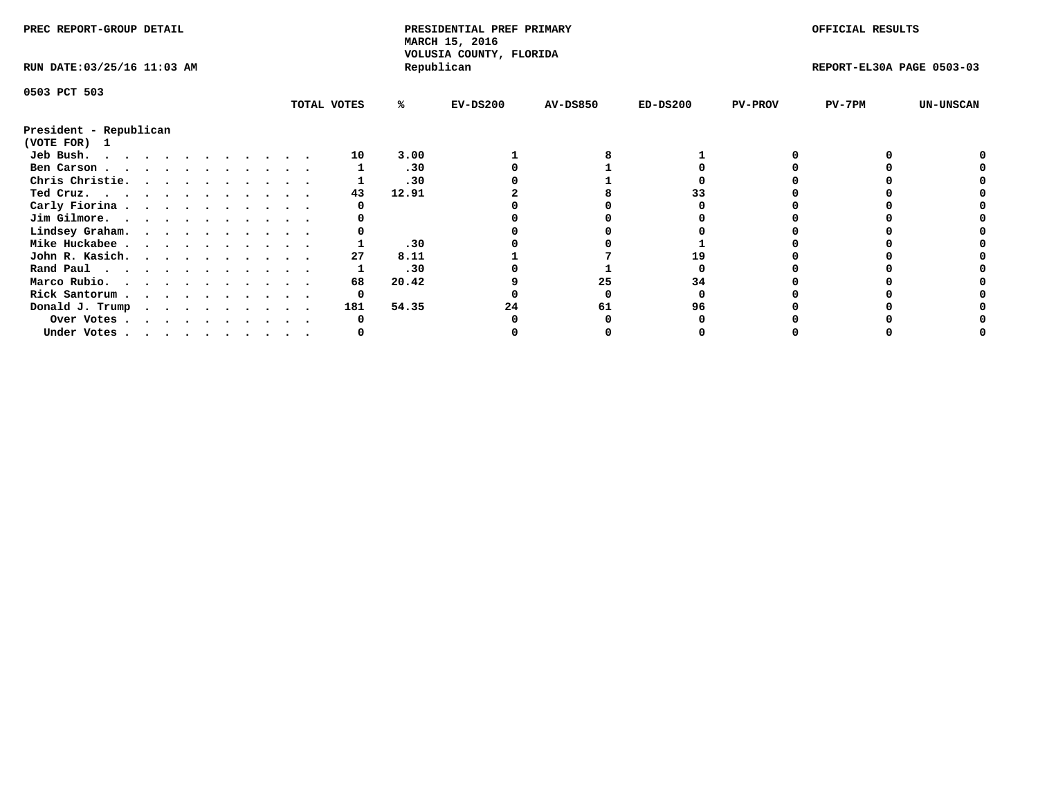| PREC REPORT-GROUP DETAIL                                                                                                                                                                                                                       |  |  |  |  |  |  |  |  | PRESIDENTIAL PREF PRIMARY<br>MARCH 15, 2016<br>VOLUSIA COUNTY, FLORIDA |       |            |                 | OFFICIAL RESULTS |                |                           |                  |
|------------------------------------------------------------------------------------------------------------------------------------------------------------------------------------------------------------------------------------------------|--|--|--|--|--|--|--|--|------------------------------------------------------------------------|-------|------------|-----------------|------------------|----------------|---------------------------|------------------|
| RUN DATE: 03/25/16 11:03 AM                                                                                                                                                                                                                    |  |  |  |  |  |  |  |  |                                                                        |       | Republican |                 |                  |                | REPORT-EL30A PAGE 0503-03 |                  |
| 0503 PCT 503                                                                                                                                                                                                                                   |  |  |  |  |  |  |  |  |                                                                        |       |            |                 |                  |                |                           |                  |
|                                                                                                                                                                                                                                                |  |  |  |  |  |  |  |  | TOTAL VOTES                                                            | %ะ    | EV-DS200   | <b>AV-DS850</b> | $ED-DS200$       | <b>PV-PROV</b> | $PV-7PM$                  | <b>UN-UNSCAN</b> |
| President - Republican                                                                                                                                                                                                                         |  |  |  |  |  |  |  |  |                                                                        |       |            |                 |                  |                |                           |                  |
| (VOTE FOR) 1                                                                                                                                                                                                                                   |  |  |  |  |  |  |  |  |                                                                        |       |            |                 |                  |                |                           |                  |
| Jeb Bush.<br>$\mathbf{a}$ . The contribution of the contribution of the contribution of the contribution of the contribution of the contribution of the contribution of the contribution of the contribution of the contribution of the contri |  |  |  |  |  |  |  |  | 10                                                                     | 3.00  |            |                 |                  |                |                           |                  |
| Ben Carson                                                                                                                                                                                                                                     |  |  |  |  |  |  |  |  |                                                                        | .30   |            |                 |                  |                |                           |                  |
| Chris Christie.                                                                                                                                                                                                                                |  |  |  |  |  |  |  |  |                                                                        | .30   |            |                 |                  |                |                           |                  |
| Ted Cruz.                                                                                                                                                                                                                                      |  |  |  |  |  |  |  |  | 43                                                                     | 12.91 |            |                 |                  |                |                           |                  |
| Carly Fiorina                                                                                                                                                                                                                                  |  |  |  |  |  |  |  |  |                                                                        |       |            |                 |                  |                |                           |                  |
| Jim Gilmore.                                                                                                                                                                                                                                   |  |  |  |  |  |  |  |  |                                                                        |       |            |                 |                  |                |                           |                  |
| Lindsey Graham.                                                                                                                                                                                                                                |  |  |  |  |  |  |  |  |                                                                        |       |            |                 |                  |                |                           |                  |
| Mike Huckabee                                                                                                                                                                                                                                  |  |  |  |  |  |  |  |  |                                                                        | .30   |            |                 |                  |                |                           |                  |
| John R. Kasich.                                                                                                                                                                                                                                |  |  |  |  |  |  |  |  | 27                                                                     | 8.11  |            |                 |                  |                |                           |                  |
| Rand Paul                                                                                                                                                                                                                                      |  |  |  |  |  |  |  |  |                                                                        | .30   |            |                 |                  |                |                           |                  |
| Marco Rubio.                                                                                                                                                                                                                                   |  |  |  |  |  |  |  |  | 68                                                                     | 20.42 |            | 25              | 34               |                |                           |                  |
| Rick Santorum                                                                                                                                                                                                                                  |  |  |  |  |  |  |  |  | 0                                                                      |       |            |                 |                  |                |                           |                  |
| Donald J. Trump                                                                                                                                                                                                                                |  |  |  |  |  |  |  |  | 181                                                                    | 54.35 | 24         | 61              | 96               |                |                           |                  |
| Over Votes                                                                                                                                                                                                                                     |  |  |  |  |  |  |  |  |                                                                        |       |            |                 |                  |                |                           |                  |
| Under Votes                                                                                                                                                                                                                                    |  |  |  |  |  |  |  |  |                                                                        |       |            |                 |                  |                |                           |                  |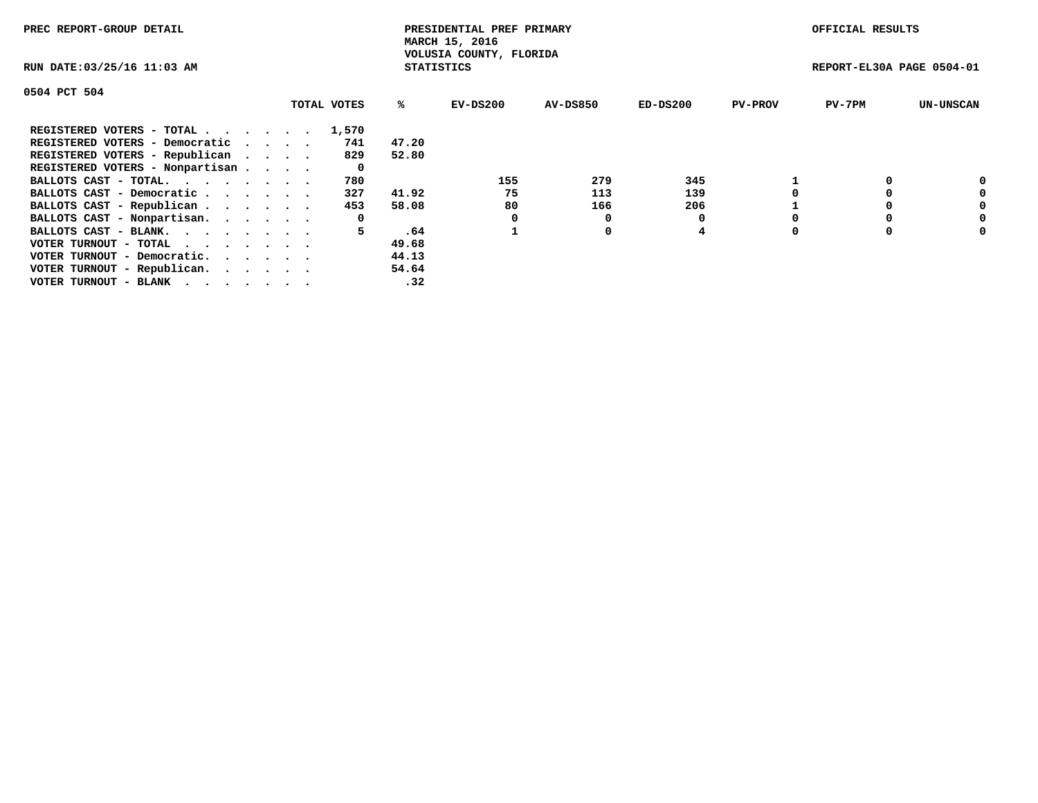| PREC REPORT-GROUP DETAIL        |             |                   | PRESIDENTIAL PREF PRIMARY<br>MARCH 15, 2016 |                 |            |                | OFFICIAL RESULTS          |                  |
|---------------------------------|-------------|-------------------|---------------------------------------------|-----------------|------------|----------------|---------------------------|------------------|
| RUN DATE: 03/25/16 11:03 AM     |             | <b>STATISTICS</b> | VOLUSIA COUNTY, FLORIDA                     |                 |            |                | REPORT-EL30A PAGE 0504-01 |                  |
| 0504 PCT 504                    |             |                   |                                             |                 |            |                |                           |                  |
|                                 | TOTAL VOTES | %ร                | EV-DS200                                    | <b>AV-DS850</b> | $ED-DS200$ | <b>PV-PROV</b> | $PV-7PM$                  | <b>UN-UNSCAN</b> |
| REGISTERED VOTERS - TOTAL 1,570 |             |                   |                                             |                 |            |                |                           |                  |
| REGISTERED VOTERS - Democratic  | 741         | 47.20             |                                             |                 |            |                |                           |                  |
| REGISTERED VOTERS - Republican  | 829         | 52.80             |                                             |                 |            |                |                           |                  |
| REGISTERED VOTERS - Nonpartisan | 0           |                   |                                             |                 |            |                |                           |                  |
| BALLOTS CAST - TOTAL.           | 780         |                   | 155                                         | 279             | 345        |                |                           | 0                |
| BALLOTS CAST - Democratic       | 327         | 41.92             | 75                                          | 113             | 139        |                |                           | 0                |
| BALLOTS CAST - Republican       | 453         | 58.08             | 80                                          | 166             | 206        |                |                           | 0                |
| BALLOTS CAST - Nonpartisan.     | 0           |                   | 0                                           |                 |            |                |                           | 0                |
| BALLOTS CAST - BLANK.           | 5           | .64               |                                             | 0               | 4          |                |                           | 0                |
| VOTER TURNOUT - TOTAL<br>.      |             | 49.68             |                                             |                 |            |                |                           |                  |
| VOTER TURNOUT - Democratic.     |             | 44.13             |                                             |                 |            |                |                           |                  |
| VOTER TURNOUT - Republican.     |             | 54.64             |                                             |                 |            |                |                           |                  |
| VOTER TURNOUT - BLANK           |             | .32               |                                             |                 |            |                |                           |                  |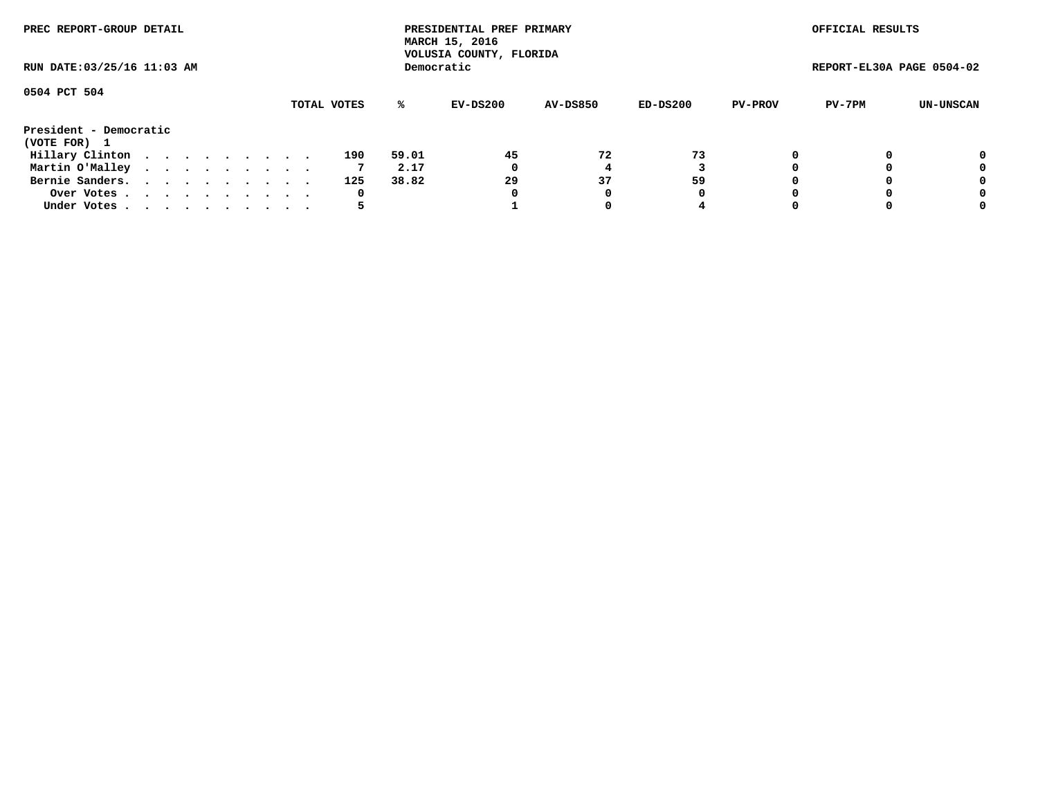| PREC REPORT-GROUP DETAIL<br>RUN DATE: 03/25/16 11:03 AM |  |  |  |  |  |  |  |  |             |       | PRESIDENTIAL PREF PRIMARY<br>MARCH 15, 2016<br>VOLUSIA COUNTY, FLORIDA |                 |          |                | OFFICIAL RESULTS          |           |
|---------------------------------------------------------|--|--|--|--|--|--|--|--|-------------|-------|------------------------------------------------------------------------|-----------------|----------|----------------|---------------------------|-----------|
|                                                         |  |  |  |  |  |  |  |  |             |       | Democratic                                                             |                 |          |                | REPORT-EL30A PAGE 0504-02 |           |
| 0504 PCT 504                                            |  |  |  |  |  |  |  |  | TOTAL VOTES | %ะ    | EV-DS200                                                               | <b>AV-DS850</b> | ED-DS200 | <b>PV-PROV</b> | PV-7PM                    | UN-UNSCAN |
| President - Democratic                                  |  |  |  |  |  |  |  |  |             |       |                                                                        |                 |          |                |                           |           |
| (VOTE FOR) 1                                            |  |  |  |  |  |  |  |  |             |       |                                                                        |                 |          |                |                           |           |
| Hillary Clinton                                         |  |  |  |  |  |  |  |  | 190         | 59.01 | 45                                                                     | 72              | 73       |                |                           | 0         |
| Martin O'Malley                                         |  |  |  |  |  |  |  |  |             | 2.17  | 0                                                                      |                 |          |                |                           | 0         |
| Bernie Sanders.                                         |  |  |  |  |  |  |  |  | 125         | 38.82 | 29                                                                     | 37              | 59       |                |                           | 0         |
| Over Votes                                              |  |  |  |  |  |  |  |  | 0           |       | 0                                                                      | 0               | 0        |                |                           | 0         |
| Under Votes.                                            |  |  |  |  |  |  |  |  |             |       |                                                                        |                 | 4        |                |                           | 0         |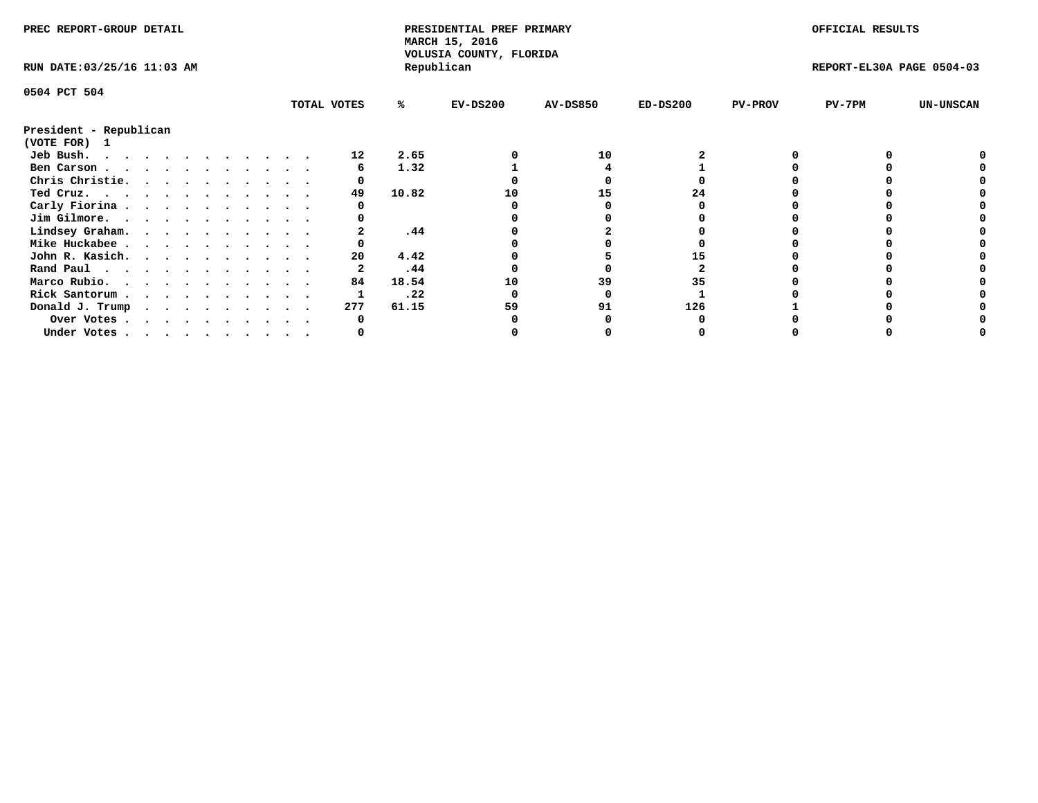| PREC REPORT-GROUP DETAIL    |  |  |  |  |  |  |  |  |             | PRESIDENTIAL PREF PRIMARY<br>MARCH 15, 2016<br>VOLUSIA COUNTY, FLORIDA |            |                 |            | OFFICIAL RESULTS |                           |                  |
|-----------------------------|--|--|--|--|--|--|--|--|-------------|------------------------------------------------------------------------|------------|-----------------|------------|------------------|---------------------------|------------------|
| RUN DATE: 03/25/16 11:03 AM |  |  |  |  |  |  |  |  |             |                                                                        | Republican |                 |            |                  | REPORT-EL30A PAGE 0504-03 |                  |
| 0504 PCT 504                |  |  |  |  |  |  |  |  |             |                                                                        |            |                 |            |                  |                           |                  |
|                             |  |  |  |  |  |  |  |  | TOTAL VOTES | %ะ                                                                     | $EV-DS200$ | <b>AV-DS850</b> | $ED-DS200$ | <b>PV-PROV</b>   | PV-7PM                    | <b>UN-UNSCAN</b> |
| President - Republican      |  |  |  |  |  |  |  |  |             |                                                                        |            |                 |            |                  |                           |                  |
| (VOTE FOR) 1                |  |  |  |  |  |  |  |  |             |                                                                        |            |                 |            |                  |                           |                  |
| Jeb Bush.                   |  |  |  |  |  |  |  |  | 12          | 2.65                                                                   |            | 10              |            |                  |                           |                  |
| Ben Carson                  |  |  |  |  |  |  |  |  |             | 1.32                                                                   |            |                 |            |                  |                           |                  |
| Chris Christie.             |  |  |  |  |  |  |  |  |             |                                                                        |            |                 |            |                  |                           |                  |
| Ted Cruz.                   |  |  |  |  |  |  |  |  | 49          | 10.82                                                                  | 10         | 15              | 24         |                  |                           |                  |
| Carly Fiorina               |  |  |  |  |  |  |  |  |             |                                                                        |            |                 |            |                  |                           |                  |
| Jim Gilmore.                |  |  |  |  |  |  |  |  |             |                                                                        |            |                 |            |                  |                           |                  |
| Lindsey Graham.             |  |  |  |  |  |  |  |  |             | .44                                                                    |            |                 |            |                  |                           |                  |
| Mike Huckabee               |  |  |  |  |  |  |  |  |             |                                                                        |            |                 |            |                  |                           |                  |
| John R. Kasich.             |  |  |  |  |  |  |  |  | 20          | 4.42                                                                   |            |                 |            |                  |                           |                  |
| Rand Paul                   |  |  |  |  |  |  |  |  |             | .44                                                                    |            |                 |            |                  |                           |                  |
| Marco Rubio.                |  |  |  |  |  |  |  |  | 84          | 18.54                                                                  | 10         | 39              | 35         |                  |                           |                  |
| Rick Santorum               |  |  |  |  |  |  |  |  |             | .22                                                                    |            |                 |            |                  |                           |                  |
| Donald J. Trump             |  |  |  |  |  |  |  |  | 277         | 61.15                                                                  | 59         | 91              | 126        |                  |                           |                  |
| Over Votes                  |  |  |  |  |  |  |  |  |             |                                                                        |            |                 |            |                  |                           |                  |
| Under Votes                 |  |  |  |  |  |  |  |  |             |                                                                        |            |                 |            |                  |                           |                  |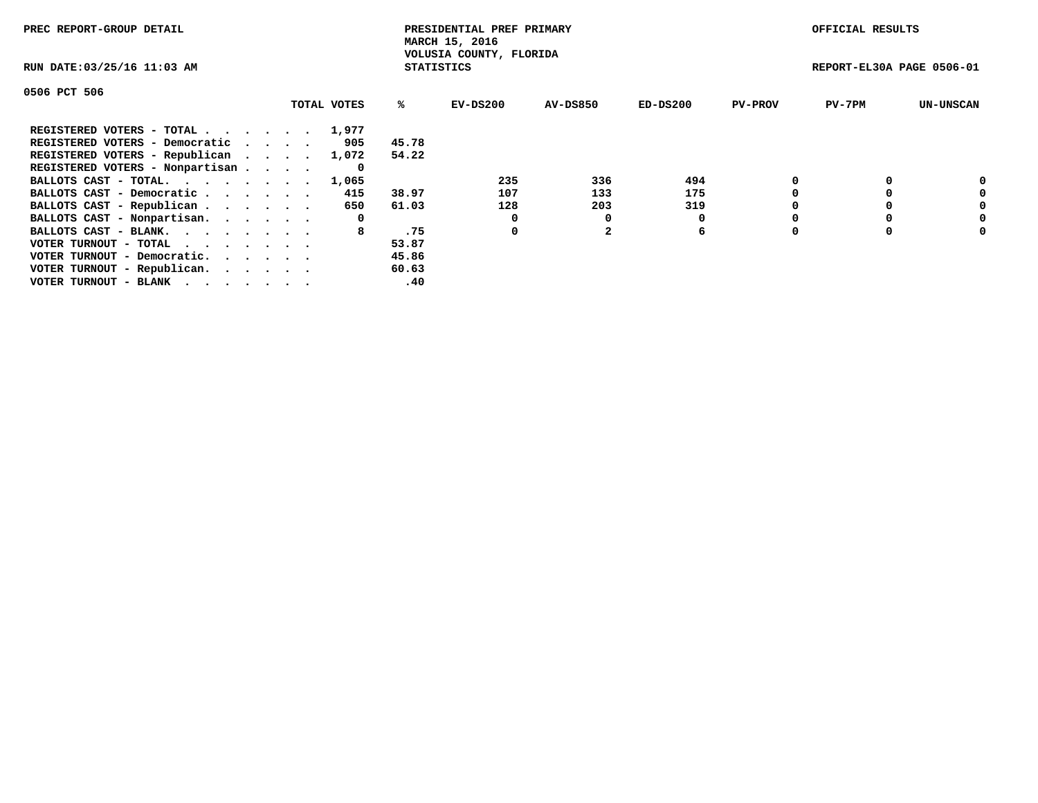| PREC REPORT-GROUP DETAIL                                    |  |             |                   | PRESIDENTIAL PREF PRIMARY<br>MARCH 15, 2016 |              |            |                | OFFICIAL RESULTS          |                  |
|-------------------------------------------------------------|--|-------------|-------------------|---------------------------------------------|--------------|------------|----------------|---------------------------|------------------|
| RUN DATE: 03/25/16 11:03 AM                                 |  |             | <b>STATISTICS</b> | VOLUSIA COUNTY, FLORIDA                     |              |            |                | REPORT-EL30A PAGE 0506-01 |                  |
| 0506 PCT 506                                                |  |             |                   |                                             |              |            |                |                           |                  |
|                                                             |  | TOTAL VOTES | ℁                 | $EV-DS200$                                  | AV-DS850     | $ED-DS200$ | <b>PV-PROV</b> | $PV-7PM$                  | <b>UN-UNSCAN</b> |
| REGISTERED VOTERS - TOTAL                                   |  | 1,977       |                   |                                             |              |            |                |                           |                  |
| REGISTERED VOTERS - Democratic                              |  | 905         | 45.78             |                                             |              |            |                |                           |                  |
| REGISTERED VOTERS - Republican                              |  | 1,072       | 54.22             |                                             |              |            |                |                           |                  |
| REGISTERED VOTERS - Nonpartisan                             |  | 0           |                   |                                             |              |            |                |                           |                  |
| BALLOTS CAST - TOTAL.                                       |  | 1,065       |                   | 235                                         | 336          | 494        |                |                           | 0                |
| BALLOTS CAST - Democratic                                   |  | 415         | 38.97             | 107                                         | 133          | 175        |                |                           | 0                |
| BALLOTS CAST - Republican                                   |  | 650         | 61.03             | 128                                         | 203          | 319        |                |                           | 0                |
| BALLOTS CAST - Nonpartisan.                                 |  | 0           |                   | 0                                           | 0            |            |                |                           | 0                |
| BALLOTS CAST - BLANK.                                       |  | 8           | .75               | 0                                           | $\mathbf{2}$ | 6          |                |                           | 0                |
| VOTER TURNOUT - TOTAL $\cdot \cdot \cdot \cdot \cdot \cdot$ |  |             | 53.87             |                                             |              |            |                |                           |                  |
| VOTER TURNOUT - Democratic.                                 |  |             | 45.86             |                                             |              |            |                |                           |                  |
| VOTER TURNOUT - Republican.                                 |  |             | 60.63             |                                             |              |            |                |                           |                  |
| VOTER TURNOUT - BLANK                                       |  |             | .40               |                                             |              |            |                |                           |                  |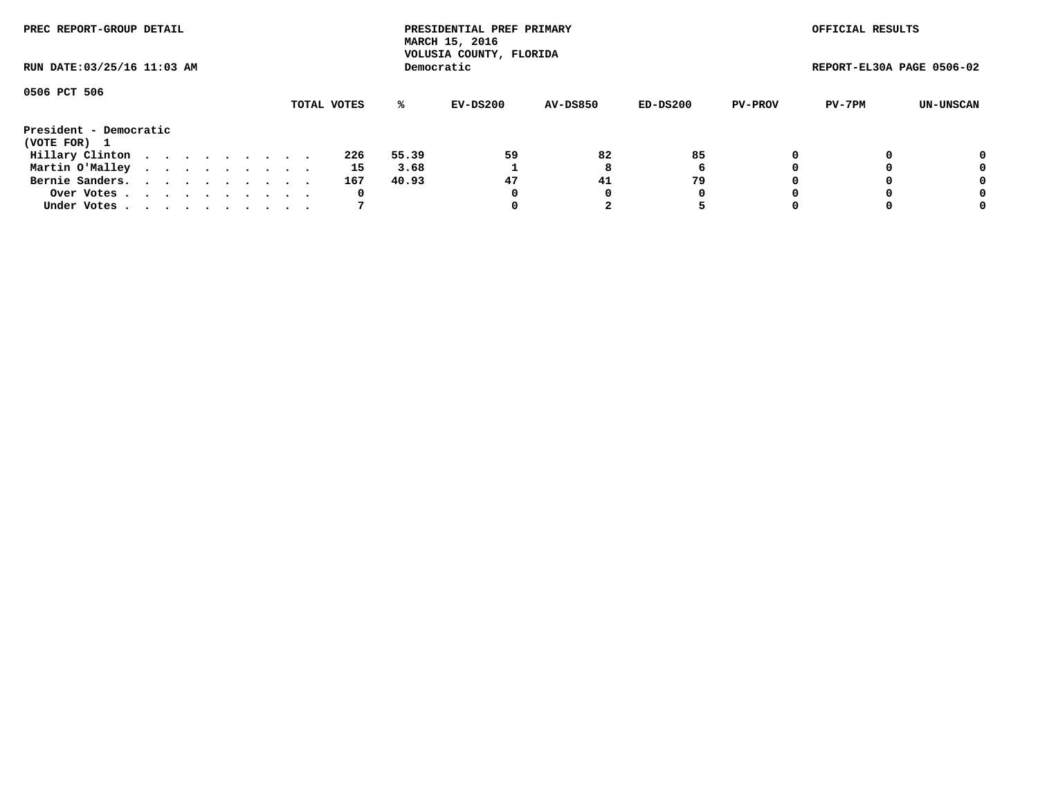| PREC REPORT-GROUP DETAIL<br>RUN DATE: 03/25/16 11:03 AM |  |  |  |  |  |  |  |  |             |       | PRESIDENTIAL PREF PRIMARY<br>MARCH 15, 2016<br>VOLUSIA COUNTY, FLORIDA |                 |          |                | OFFICIAL RESULTS          |           |
|---------------------------------------------------------|--|--|--|--|--|--|--|--|-------------|-------|------------------------------------------------------------------------|-----------------|----------|----------------|---------------------------|-----------|
|                                                         |  |  |  |  |  |  |  |  |             |       | Democratic                                                             |                 |          |                | REPORT-EL30A PAGE 0506-02 |           |
| 0506 PCT 506                                            |  |  |  |  |  |  |  |  | TOTAL VOTES | %ะ    | EV-DS200                                                               | <b>AV-DS850</b> | ED-DS200 | <b>PV-PROV</b> | PV-7PM                    | UN-UNSCAN |
|                                                         |  |  |  |  |  |  |  |  |             |       |                                                                        |                 |          |                |                           |           |
| President - Democratic<br>(VOTE FOR) 1                  |  |  |  |  |  |  |  |  |             |       |                                                                        |                 |          |                |                           |           |
| Hillary Clinton                                         |  |  |  |  |  |  |  |  | 226         | 55.39 | 59                                                                     | 82              | 85       | 0              |                           | 0         |
| Martin O'Malley                                         |  |  |  |  |  |  |  |  | 15          | 3.68  |                                                                        | 8               | 6        |                |                           | 0         |
| Bernie Sanders.                                         |  |  |  |  |  |  |  |  | 167         | 40.93 | 47                                                                     | 41              | 79       |                |                           | 0         |
| Over Votes.                                             |  |  |  |  |  |  |  |  | 0           |       | 0                                                                      | 0               | 0        |                |                           | 0         |
| Under Votes.                                            |  |  |  |  |  |  |  |  |             |       |                                                                        |                 |          |                |                           | 0         |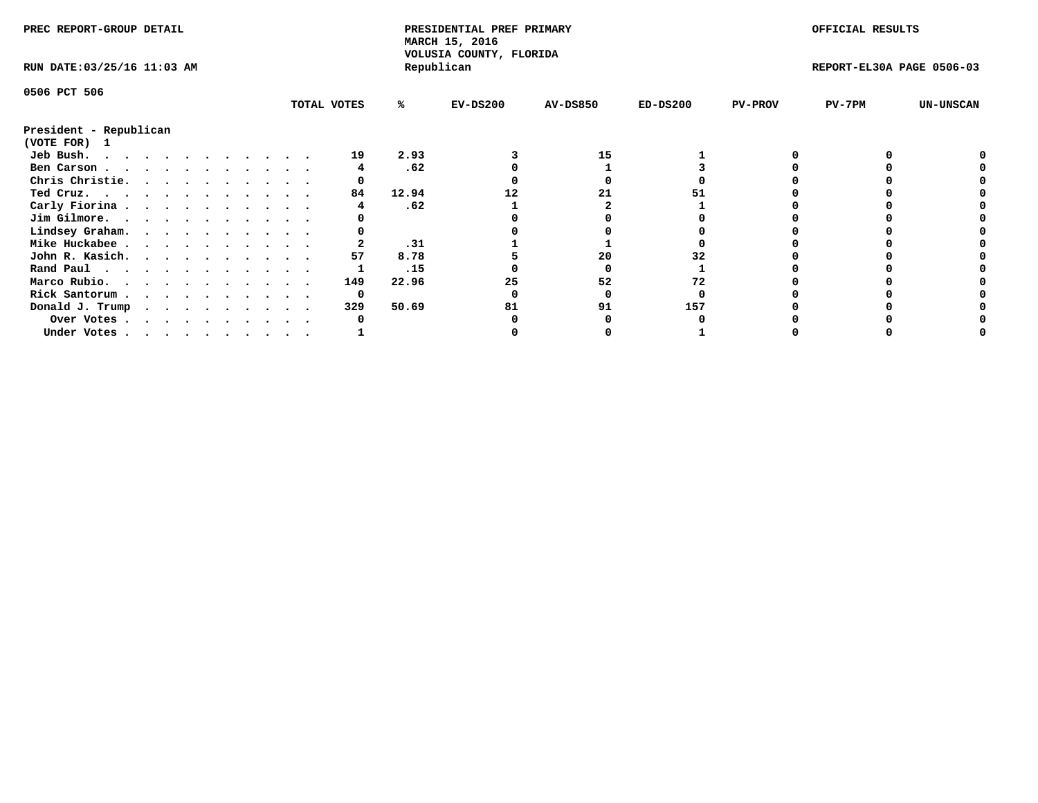| PREC REPORT-GROUP DETAIL    |  |  |  |  |  |  |  |             | PRESIDENTIAL PREF PRIMARY<br>MARCH 15, 2016<br>VOLUSIA COUNTY, FLORIDA |            |                 |            | OFFICIAL RESULTS |                           |                  |
|-----------------------------|--|--|--|--|--|--|--|-------------|------------------------------------------------------------------------|------------|-----------------|------------|------------------|---------------------------|------------------|
| RUN DATE: 03/25/16 11:03 AM |  |  |  |  |  |  |  |             |                                                                        | Republican |                 |            |                  | REPORT-EL30A PAGE 0506-03 |                  |
| 0506 PCT 506                |  |  |  |  |  |  |  |             |                                                                        |            |                 |            |                  |                           |                  |
|                             |  |  |  |  |  |  |  | TOTAL VOTES | ℁                                                                      | $EV-DS200$ | <b>AV-DS850</b> | $ED-DS200$ | <b>PV-PROV</b>   | $PV-7PM$                  | <b>UN-UNSCAN</b> |
| President - Republican      |  |  |  |  |  |  |  |             |                                                                        |            |                 |            |                  |                           |                  |
| (VOTE FOR) 1                |  |  |  |  |  |  |  |             |                                                                        |            |                 |            |                  |                           |                  |
| Jeb Bush.                   |  |  |  |  |  |  |  | 19          | 2.93                                                                   |            | 15              |            |                  |                           |                  |
| Ben Carson                  |  |  |  |  |  |  |  |             | .62                                                                    |            |                 |            |                  |                           |                  |
| Chris Christie.             |  |  |  |  |  |  |  |             |                                                                        |            |                 |            |                  |                           |                  |
| Ted Cruz.                   |  |  |  |  |  |  |  | 84          | 12.94                                                                  |            |                 |            |                  |                           |                  |
| Carly Fiorina               |  |  |  |  |  |  |  |             | .62                                                                    |            |                 |            |                  |                           |                  |
| Jim Gilmore.                |  |  |  |  |  |  |  |             |                                                                        |            |                 |            |                  |                           |                  |
| Lindsey Graham.             |  |  |  |  |  |  |  |             |                                                                        |            |                 |            |                  |                           |                  |
| Mike Huckabee               |  |  |  |  |  |  |  |             | .31                                                                    |            |                 |            |                  |                           |                  |
| John R. Kasich.             |  |  |  |  |  |  |  | 57          | 8.78                                                                   |            | 20              |            |                  |                           |                  |
| Rand Paul                   |  |  |  |  |  |  |  |             | .15                                                                    |            |                 |            |                  |                           |                  |
| Marco Rubio.                |  |  |  |  |  |  |  | 149         | 22.96                                                                  |            | 52              |            |                  |                           |                  |
| Rick Santorum               |  |  |  |  |  |  |  | 0           |                                                                        |            |                 |            |                  |                           |                  |
| Donald J. Trump             |  |  |  |  |  |  |  | 329         | 50.69                                                                  | 81         | 91              | 157        |                  |                           |                  |
| Over Votes                  |  |  |  |  |  |  |  |             |                                                                        |            |                 |            |                  |                           |                  |
| Under Votes                 |  |  |  |  |  |  |  |             |                                                                        |            |                 |            |                  |                           |                  |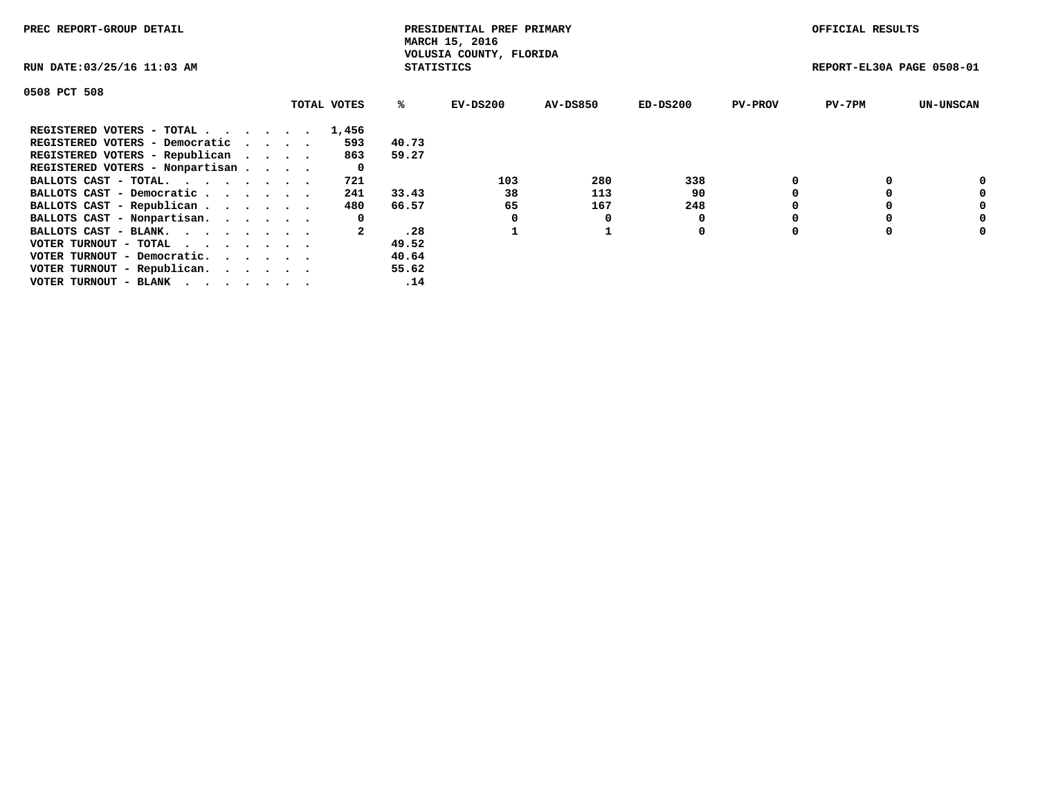| PREC REPORT-GROUP DETAIL                                                                                                                 |             |                   | PRESIDENTIAL PREF PRIMARY<br>MARCH 15, 2016 |          |            |                | OFFICIAL RESULTS          |                  |
|------------------------------------------------------------------------------------------------------------------------------------------|-------------|-------------------|---------------------------------------------|----------|------------|----------------|---------------------------|------------------|
| RUN DATE: 03/25/16 11:03 AM                                                                                                              |             | <b>STATISTICS</b> | VOLUSIA COUNTY, FLORIDA                     |          |            |                | REPORT-EL30A PAGE 0508-01 |                  |
| 0508 PCT 508                                                                                                                             |             |                   |                                             |          |            |                |                           |                  |
|                                                                                                                                          | TOTAL VOTES | %ร                | EV-DS200                                    | AV-DS850 | $ED-DS200$ | <b>PV-PROV</b> | $PV-7PM$                  | <b>UN-UNSCAN</b> |
| REGISTERED VOTERS - TOTAL                                                                                                                | 1,456       |                   |                                             |          |            |                |                           |                  |
| REGISTERED VOTERS - Democratic                                                                                                           | 593         | 40.73             |                                             |          |            |                |                           |                  |
| REGISTERED VOTERS - Republican                                                                                                           | 863         | 59.27             |                                             |          |            |                |                           |                  |
| REGISTERED VOTERS - Nonpartisan                                                                                                          | 0           |                   |                                             |          |            |                |                           |                  |
| BALLOTS CAST - TOTAL.                                                                                                                    | 721         |                   | 103                                         | 280      | 338        |                |                           | 0                |
| BALLOTS CAST - Democratic                                                                                                                | 241         | 33.43             | 38                                          | 113      | 90         |                |                           | 0                |
| BALLOTS CAST - Republican                                                                                                                | 480         | 66.57             | 65                                          | 167      | 248        |                |                           | 0                |
| BALLOTS CAST - Nonpartisan.                                                                                                              | 0           |                   | 0                                           | 0        |            |                |                           | 0                |
| BALLOTS CAST - BLANK.                                                                                                                    |             | .28               |                                             |          | 0          |                |                           | 0                |
| VOTER TURNOUT - TOTAL $\cdot \cdot \cdot \cdot \cdot \cdot$                                                                              |             | 49.52             |                                             |          |            |                |                           |                  |
| VOTER TURNOUT - Democratic.                                                                                                              |             | 40.64             |                                             |          |            |                |                           |                  |
| VOTER TURNOUT - Republican.                                                                                                              |             | 55.62             |                                             |          |            |                |                           |                  |
| VOTER TURNOUT - BLANK<br>the contract of the contract of the contract of the contract of the contract of the contract of the contract of |             | .14               |                                             |          |            |                |                           |                  |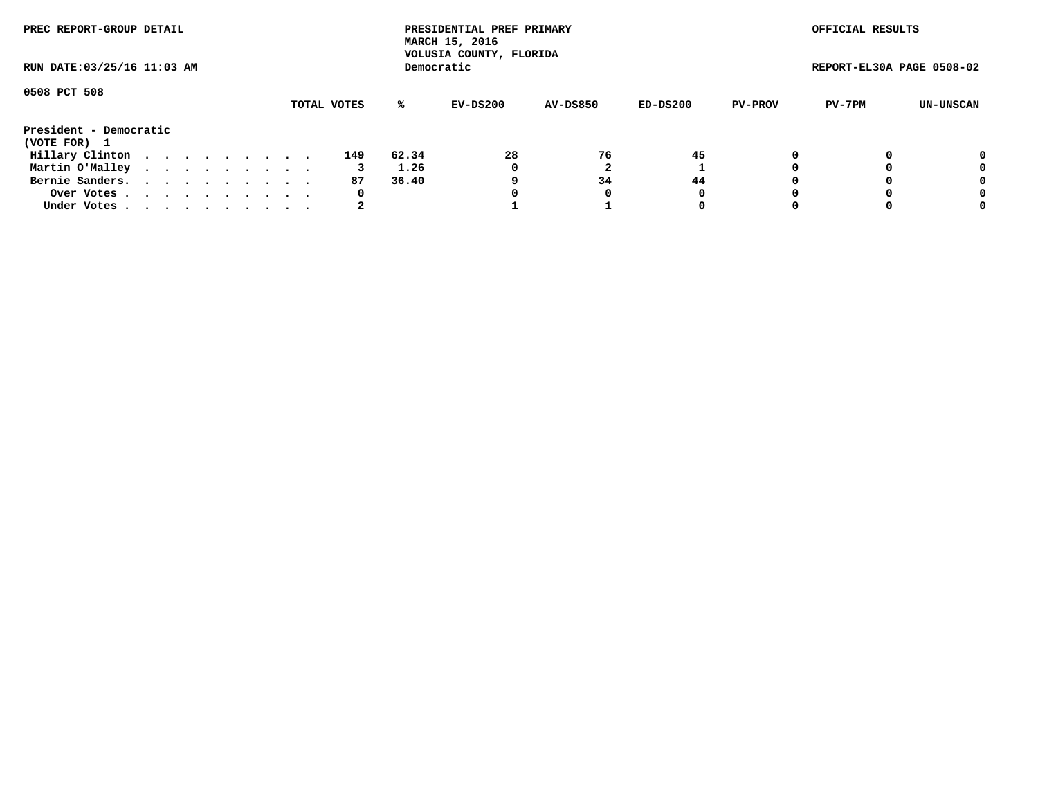| PREC REPORT-GROUP DETAIL<br>RUN DATE: 03/25/16 11:03 AM |  |  |  |  |  |  |  |  |             |       | PRESIDENTIAL PREF PRIMARY<br>MARCH 15, 2016<br>VOLUSIA COUNTY, FLORIDA |                 |          |                | OFFICIAL RESULTS          |           |
|---------------------------------------------------------|--|--|--|--|--|--|--|--|-------------|-------|------------------------------------------------------------------------|-----------------|----------|----------------|---------------------------|-----------|
|                                                         |  |  |  |  |  |  |  |  |             |       | Democratic                                                             |                 |          |                | REPORT-EL30A PAGE 0508-02 |           |
| 0508 PCT 508                                            |  |  |  |  |  |  |  |  | TOTAL VOTES | %ะ    | EV-DS200                                                               | <b>AV-DS850</b> | ED-DS200 | <b>PV-PROV</b> | PV-7PM                    | UN-UNSCAN |
| President - Democratic<br>(VOTE FOR) 1                  |  |  |  |  |  |  |  |  |             |       |                                                                        |                 |          |                |                           |           |
| Hillary Clinton                                         |  |  |  |  |  |  |  |  | 149         | 62.34 | 28                                                                     | 76              | 45       |                |                           | 0         |
| Martin O'Malley                                         |  |  |  |  |  |  |  |  |             | 1.26  | 0                                                                      |                 |          |                |                           | 0         |
| Bernie Sanders.                                         |  |  |  |  |  |  |  |  | 87          | 36.40 | 9                                                                      | 34              | 44       |                |                           | 0         |
| Over Votes.                                             |  |  |  |  |  |  |  |  | 0           |       | 0                                                                      | 0               | 0        |                |                           | 0         |
| Under Votes.                                            |  |  |  |  |  |  |  |  |             |       |                                                                        |                 | 0        |                |                           | 0         |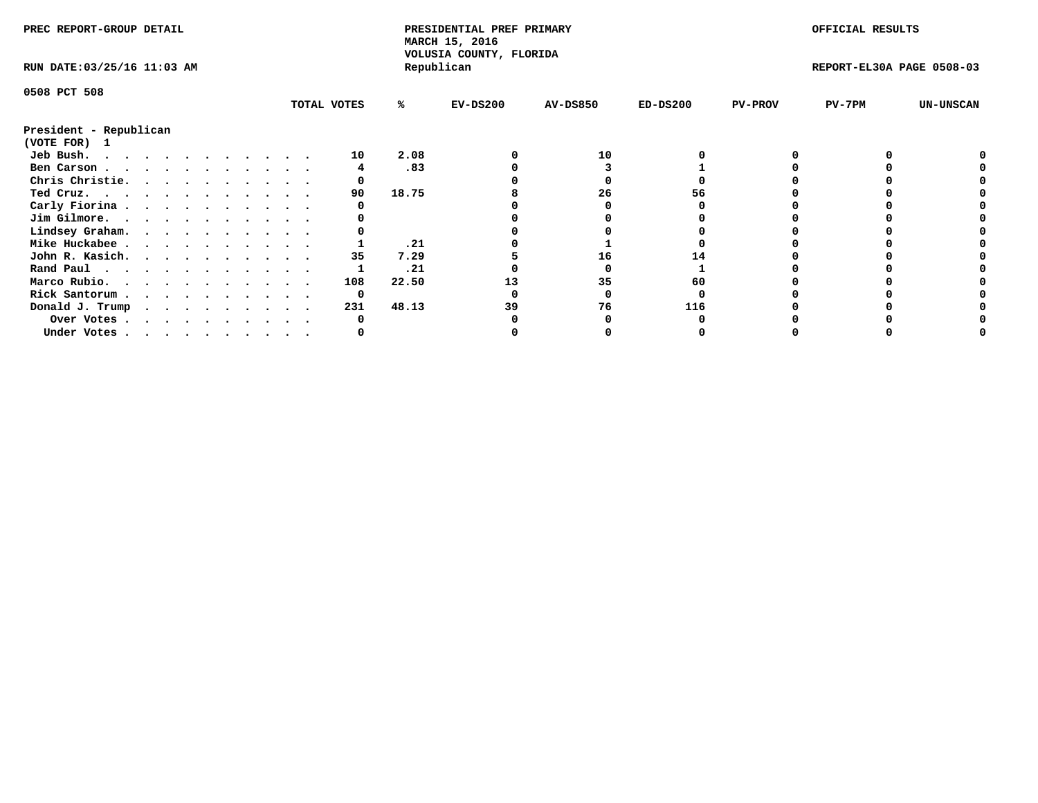| PREC REPORT-GROUP DETAIL               |  |  |  |  |  |  |  |  |             | PRESIDENTIAL PREF PRIMARY<br>MARCH 15, 2016<br>VOLUSIA COUNTY, FLORIDA |            |                 |            | OFFICIAL RESULTS |                           |                  |
|----------------------------------------|--|--|--|--|--|--|--|--|-------------|------------------------------------------------------------------------|------------|-----------------|------------|------------------|---------------------------|------------------|
| RUN DATE: 03/25/16 11:03 AM            |  |  |  |  |  |  |  |  |             |                                                                        | Republican |                 |            |                  | REPORT-EL30A PAGE 0508-03 |                  |
| 0508 PCT 508                           |  |  |  |  |  |  |  |  |             |                                                                        |            |                 |            |                  |                           |                  |
|                                        |  |  |  |  |  |  |  |  | TOTAL VOTES | ℁                                                                      | $EV-DS200$ | <b>AV-DS850</b> | $ED-DS200$ | <b>PV-PROV</b>   | $PV-7PM$                  | <b>UN-UNSCAN</b> |
| President - Republican<br>(VOTE FOR) 1 |  |  |  |  |  |  |  |  |             |                                                                        |            |                 |            |                  |                           |                  |
| Jeb Bush.                              |  |  |  |  |  |  |  |  | 10          | 2.08                                                                   |            | 10              |            |                  |                           |                  |
| Ben Carson                             |  |  |  |  |  |  |  |  |             | .83                                                                    |            |                 |            |                  |                           |                  |
| Chris Christie.                        |  |  |  |  |  |  |  |  |             |                                                                        |            |                 |            |                  |                           |                  |
| Ted Cruz.                              |  |  |  |  |  |  |  |  | 90          | 18.75                                                                  |            | 26              | 56         |                  |                           |                  |
| Carly Fiorina                          |  |  |  |  |  |  |  |  |             |                                                                        |            |                 |            |                  |                           |                  |
| Jim Gilmore.                           |  |  |  |  |  |  |  |  |             |                                                                        |            |                 |            |                  |                           |                  |
| Lindsey Graham.                        |  |  |  |  |  |  |  |  |             |                                                                        |            |                 |            |                  |                           |                  |
| Mike Huckabee                          |  |  |  |  |  |  |  |  |             | .21                                                                    |            |                 |            |                  |                           |                  |
| John R. Kasich.                        |  |  |  |  |  |  |  |  | 35          | 7.29                                                                   |            | 16              |            |                  |                           |                  |
| Rand Paul                              |  |  |  |  |  |  |  |  |             | .21                                                                    |            |                 |            |                  |                           |                  |
| Marco Rubio.                           |  |  |  |  |  |  |  |  | 108         | 22.50                                                                  |            | 35              | 60         |                  |                           |                  |
| Rick Santorum                          |  |  |  |  |  |  |  |  | 0           |                                                                        |            |                 |            |                  |                           |                  |
|                                        |  |  |  |  |  |  |  |  | 231         | 48.13                                                                  | 39         | 76              | 116        |                  |                           |                  |
| Donald J. Trump                        |  |  |  |  |  |  |  |  |             |                                                                        |            |                 |            |                  |                           |                  |
| Over Votes                             |  |  |  |  |  |  |  |  |             |                                                                        |            |                 |            |                  |                           |                  |
| Under Votes                            |  |  |  |  |  |  |  |  |             |                                                                        |            |                 |            |                  |                           |                  |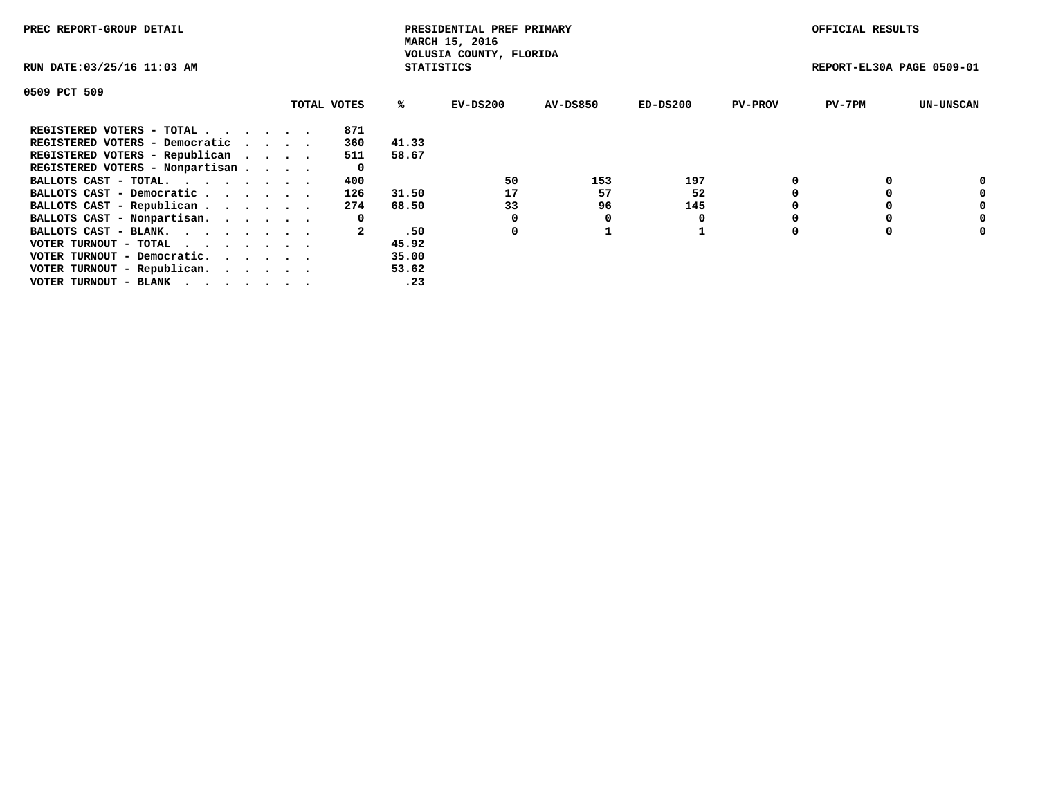| PREC REPORT-GROUP DETAIL                                    |             |       | PRESIDENTIAL PREF PRIMARY<br>MARCH 15, 2016  |          |            |                | OFFICIAL RESULTS          |                  |
|-------------------------------------------------------------|-------------|-------|----------------------------------------------|----------|------------|----------------|---------------------------|------------------|
| RUN DATE: 03/25/16 11:03 AM                                 |             |       | VOLUSIA COUNTY, FLORIDA<br><b>STATISTICS</b> |          |            |                | REPORT-EL30A PAGE 0509-01 |                  |
| 0509 PCT 509                                                |             |       |                                              |          |            |                |                           |                  |
|                                                             | TOTAL VOTES | ℁     | $EV-DS200$                                   | AV-DS850 | $ED-DS200$ | <b>PV-PROV</b> | $PV-7PM$                  | <b>UN-UNSCAN</b> |
| REGISTERED VOTERS - TOTAL                                   | 871         |       |                                              |          |            |                |                           |                  |
| REGISTERED VOTERS - Democratic                              | 360         | 41.33 |                                              |          |            |                |                           |                  |
| REGISTERED VOTERS - Republican                              | 511         | 58.67 |                                              |          |            |                |                           |                  |
| REGISTERED VOTERS - Nonpartisan                             | 0           |       |                                              |          |            |                |                           |                  |
| BALLOTS CAST - TOTAL.                                       | 400         |       | 50                                           | 153      | 197        |                |                           | 0                |
| BALLOTS CAST - Democratic                                   | 126         | 31.50 | 17                                           | 57       | 52         |                |                           | 0                |
| BALLOTS CAST - Republican                                   | 274         | 68.50 | 33                                           | 96       | 145        |                |                           | 0                |
| BALLOTS CAST - Nonpartisan.                                 | 0           |       |                                              | 0        |            |                |                           | 0                |
| BALLOTS CAST - BLANK.                                       |             | .50   | 0                                            |          |            |                |                           | 0                |
| VOTER TURNOUT - TOTAL $\cdot \cdot \cdot \cdot \cdot \cdot$ |             | 45.92 |                                              |          |            |                |                           |                  |
| VOTER TURNOUT - Democratic.                                 |             | 35.00 |                                              |          |            |                |                           |                  |
| VOTER TURNOUT - Republican.                                 |             | 53.62 |                                              |          |            |                |                           |                  |
| VOTER TURNOUT - BLANK                                       |             | .23   |                                              |          |            |                |                           |                  |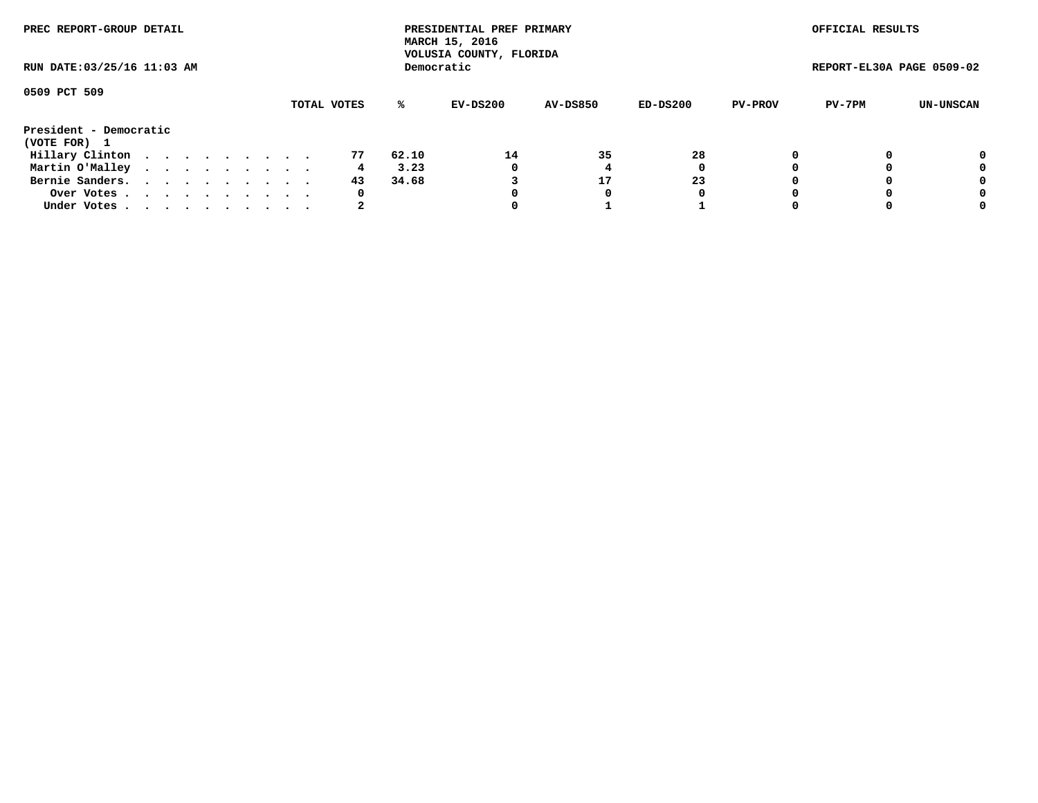| PREC REPORT-GROUP DETAIL<br>RUN DATE: 03/25/16 11:03 AM |  |  |  |  |  |  |  |  |             |       | PRESIDENTIAL PREF PRIMARY<br>MARCH 15, 2016<br>VOLUSIA COUNTY, FLORIDA |                 |          |                | OFFICIAL RESULTS          |           |
|---------------------------------------------------------|--|--|--|--|--|--|--|--|-------------|-------|------------------------------------------------------------------------|-----------------|----------|----------------|---------------------------|-----------|
|                                                         |  |  |  |  |  |  |  |  |             |       | Democratic                                                             |                 |          |                | REPORT-EL30A PAGE 0509-02 |           |
| 0509 PCT 509                                            |  |  |  |  |  |  |  |  | TOTAL VOTES | %ะ    | EV-DS200                                                               | <b>AV-DS850</b> | ED-DS200 | <b>PV-PROV</b> | PV-7PM                    | UN-UNSCAN |
| President - Democratic<br>(VOTE FOR) 1                  |  |  |  |  |  |  |  |  |             |       |                                                                        |                 |          |                |                           |           |
| Hillary Clinton                                         |  |  |  |  |  |  |  |  | 77          | 62.10 | 14                                                                     | 35              | 28       |                |                           | 0         |
| Martin O'Malley                                         |  |  |  |  |  |  |  |  | 4           | 3.23  | 0                                                                      |                 | 0        |                |                           | 0         |
| Bernie Sanders.                                         |  |  |  |  |  |  |  |  | 43          | 34.68 |                                                                        | 17              | 23       |                |                           | 0         |
| Over Votes                                              |  |  |  |  |  |  |  |  | 0           |       |                                                                        | 0               | 0        |                |                           | 0         |
| Under Votes.                                            |  |  |  |  |  |  |  |  |             |       |                                                                        |                 |          |                |                           | 0         |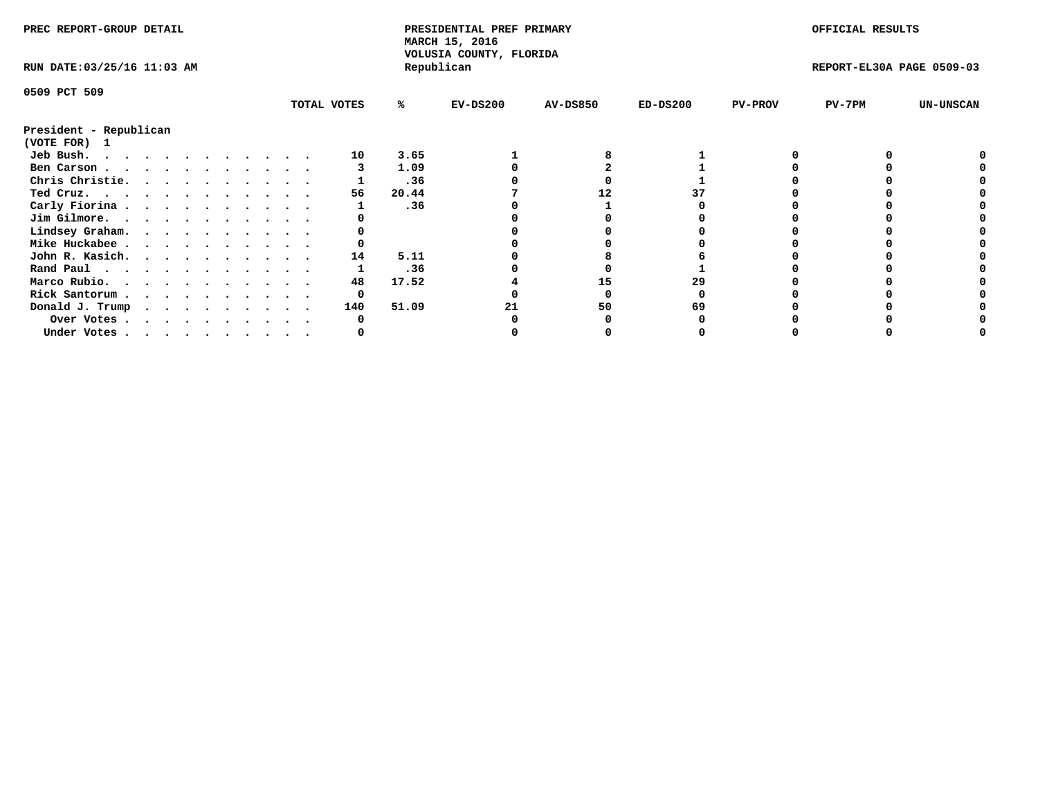| PREC REPORT-GROUP DETAIL    |  |  |  |  |  |  |  | PRESIDENTIAL PREF PRIMARY<br>MARCH 15, 2016<br>VOLUSIA COUNTY, FLORIDA |       |            |                 | OFFICIAL RESULTS |                |                           |                  |
|-----------------------------|--|--|--|--|--|--|--|------------------------------------------------------------------------|-------|------------|-----------------|------------------|----------------|---------------------------|------------------|
| RUN DATE: 03/25/16 11:03 AM |  |  |  |  |  |  |  |                                                                        |       | Republican |                 |                  |                | REPORT-EL30A PAGE 0509-03 |                  |
| 0509 PCT 509                |  |  |  |  |  |  |  |                                                                        |       |            |                 |                  |                |                           |                  |
|                             |  |  |  |  |  |  |  | TOTAL VOTES                                                            | ℁     | $EV-DS200$ | <b>AV-DS850</b> | $ED-DS200$       | <b>PV-PROV</b> | PV-7PM                    | <b>UN-UNSCAN</b> |
| President - Republican      |  |  |  |  |  |  |  |                                                                        |       |            |                 |                  |                |                           |                  |
| (VOTE FOR) 1                |  |  |  |  |  |  |  |                                                                        |       |            |                 |                  |                |                           |                  |
| Jeb Bush.                   |  |  |  |  |  |  |  | 10                                                                     | 3.65  |            |                 |                  |                |                           |                  |
| Ben Carson                  |  |  |  |  |  |  |  |                                                                        | 1.09  |            |                 |                  |                |                           |                  |
| Chris Christie.             |  |  |  |  |  |  |  |                                                                        | .36   |            |                 |                  |                |                           |                  |
| Ted Cruz.                   |  |  |  |  |  |  |  | 56                                                                     | 20.44 |            | 12              |                  |                |                           |                  |
| Carly Fiorina               |  |  |  |  |  |  |  |                                                                        | .36   |            |                 |                  |                |                           |                  |
| Jim Gilmore.                |  |  |  |  |  |  |  |                                                                        |       |            |                 |                  |                |                           |                  |
| Lindsey Graham.             |  |  |  |  |  |  |  |                                                                        |       |            |                 |                  |                |                           |                  |
| Mike Huckabee               |  |  |  |  |  |  |  |                                                                        |       |            |                 |                  |                |                           |                  |
| John R. Kasich.             |  |  |  |  |  |  |  | 14                                                                     | 5.11  |            |                 |                  |                |                           |                  |
| Rand Paul                   |  |  |  |  |  |  |  |                                                                        | .36   |            |                 |                  |                |                           |                  |
| Marco Rubio.                |  |  |  |  |  |  |  | 48                                                                     | 17.52 |            | 15              | 29               |                |                           |                  |
| Rick Santorum               |  |  |  |  |  |  |  | 0                                                                      |       |            |                 |                  |                |                           |                  |
| Donald J. Trump             |  |  |  |  |  |  |  | 140                                                                    | 51.09 |            | 50              |                  |                |                           |                  |
| Over Votes                  |  |  |  |  |  |  |  |                                                                        |       |            |                 |                  |                |                           |                  |
| Under Votes                 |  |  |  |  |  |  |  |                                                                        |       |            |                 |                  |                |                           |                  |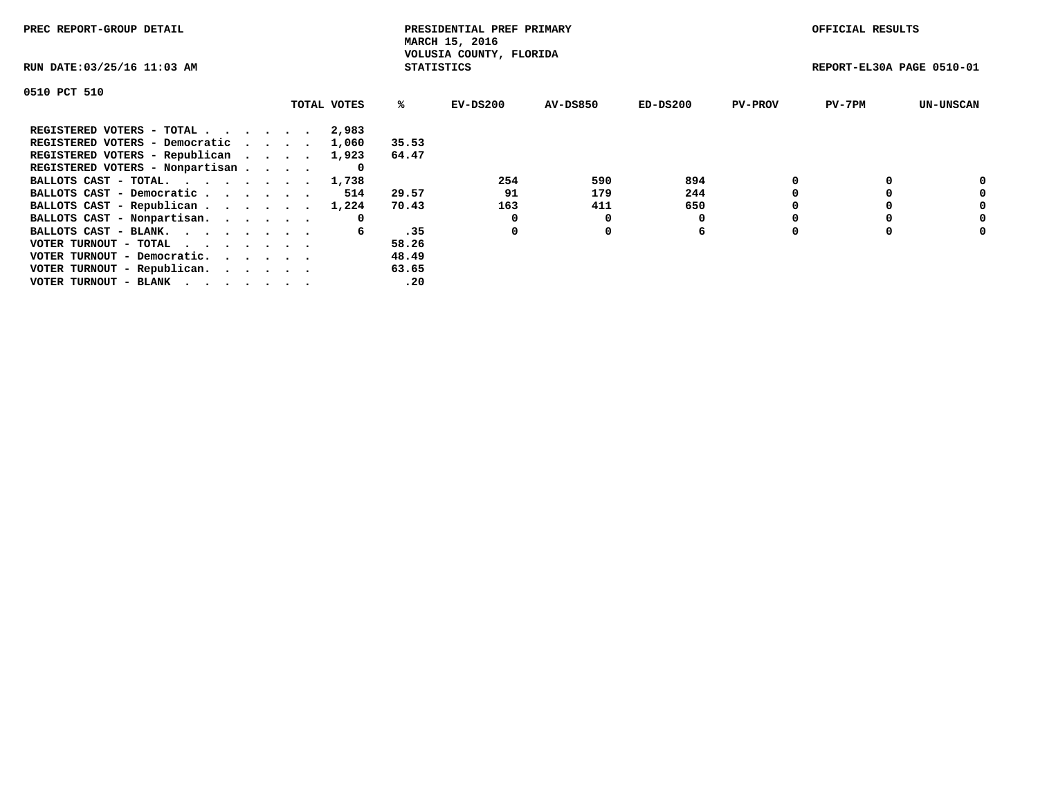| PREC REPORT-GROUP DETAIL                                    |             |                   | PRESIDENTIAL PREF PRIMARY<br>MARCH 15, 2016 |                 |            |                | OFFICIAL RESULTS          |                  |
|-------------------------------------------------------------|-------------|-------------------|---------------------------------------------|-----------------|------------|----------------|---------------------------|------------------|
| RUN DATE: 03/25/16 11:03 AM                                 |             | <b>STATISTICS</b> | VOLUSIA COUNTY, FLORIDA                     |                 |            |                | REPORT-EL30A PAGE 0510-01 |                  |
| 0510 PCT 510                                                |             |                   |                                             |                 |            |                |                           |                  |
|                                                             | TOTAL VOTES | ℁                 | EV-DS200                                    | <b>AV-DS850</b> | $ED-DS200$ | <b>PV-PROV</b> | $PV-7PM$                  | <b>UN-UNSCAN</b> |
| REGISTERED VOTERS - TOTAL                                   | 2,983       |                   |                                             |                 |            |                |                           |                  |
| REGISTERED VOTERS - Democratic                              | 1,060       | 35.53             |                                             |                 |            |                |                           |                  |
| REGISTERED VOTERS - Republican                              | 1,923       | 64.47             |                                             |                 |            |                |                           |                  |
| REGISTERED VOTERS - Nonpartisan                             |             |                   |                                             |                 |            |                |                           |                  |
| BALLOTS CAST - TOTAL. 1,738                                 |             |                   | 254                                         | 590             | 894        |                |                           |                  |
| BALLOTS CAST - Democratic                                   | 514         | 29.57             | 91                                          | 179             | 244        |                |                           | 0                |
| BALLOTS CAST - Republican 1,224                             |             | 70.43             | 163                                         | 411             | 650        |                |                           | 0                |
| BALLOTS CAST - Nonpartisan.                                 | 0           |                   |                                             | 0               |            |                |                           | 0                |
| BALLOTS CAST - BLANK.                                       | 6           | .35               | 0                                           | 0               | 6          |                |                           | 0                |
| VOTER TURNOUT - TOTAL $\cdot \cdot \cdot \cdot \cdot \cdot$ |             | 58.26             |                                             |                 |            |                |                           |                  |
| VOTER TURNOUT - Democratic.                                 |             | 48.49             |                                             |                 |            |                |                           |                  |
| VOTER TURNOUT - Republican.                                 |             | 63.65             |                                             |                 |            |                |                           |                  |
| VOTER TURNOUT - BLANK                                       |             | .20               |                                             |                 |            |                |                           |                  |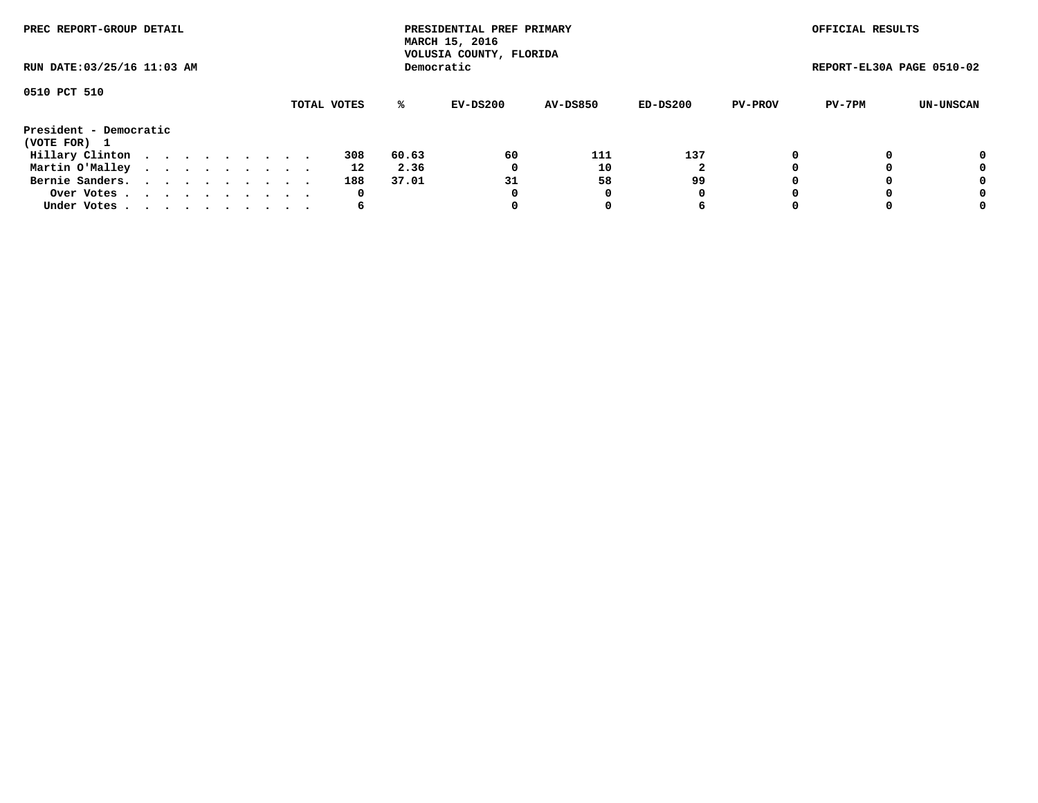| PREC REPORT-GROUP DETAIL<br>RUN DATE: 03/25/16 11:03 AM |  |  |  |  |  |  |  |  |             |       | PRESIDENTIAL PREF PRIMARY<br>MARCH 15, 2016<br>VOLUSIA COUNTY, FLORIDA |                 |          |                | OFFICIAL RESULTS          |           |
|---------------------------------------------------------|--|--|--|--|--|--|--|--|-------------|-------|------------------------------------------------------------------------|-----------------|----------|----------------|---------------------------|-----------|
|                                                         |  |  |  |  |  |  |  |  |             |       | Democratic                                                             |                 |          |                | REPORT-EL30A PAGE 0510-02 |           |
| 0510 PCT 510                                            |  |  |  |  |  |  |  |  | TOTAL VOTES | ℁     | EV-DS200                                                               | <b>AV-DS850</b> | ED-DS200 | <b>PV-PROV</b> | PV-7PM                    | UN-UNSCAN |
| President - Democratic<br>(VOTE FOR) 1                  |  |  |  |  |  |  |  |  |             |       |                                                                        |                 |          |                |                           |           |
| Hillary Clinton                                         |  |  |  |  |  |  |  |  | 308         | 60.63 | 60                                                                     | 111             | 137      |                |                           | 0         |
| Martin O'Malley                                         |  |  |  |  |  |  |  |  | 12          | 2.36  | 0                                                                      | 10              |          |                |                           | 0         |
| Bernie Sanders.                                         |  |  |  |  |  |  |  |  | 188         | 37.01 | 31                                                                     | 58              | 99       |                |                           | 0         |
| Over Votes.                                             |  |  |  |  |  |  |  |  | 0           |       | 0                                                                      | 0               | 0        |                |                           | 0         |
| Under Votes                                             |  |  |  |  |  |  |  |  | 6           |       | 0                                                                      |                 | 6        | $\Omega$       |                           | 0         |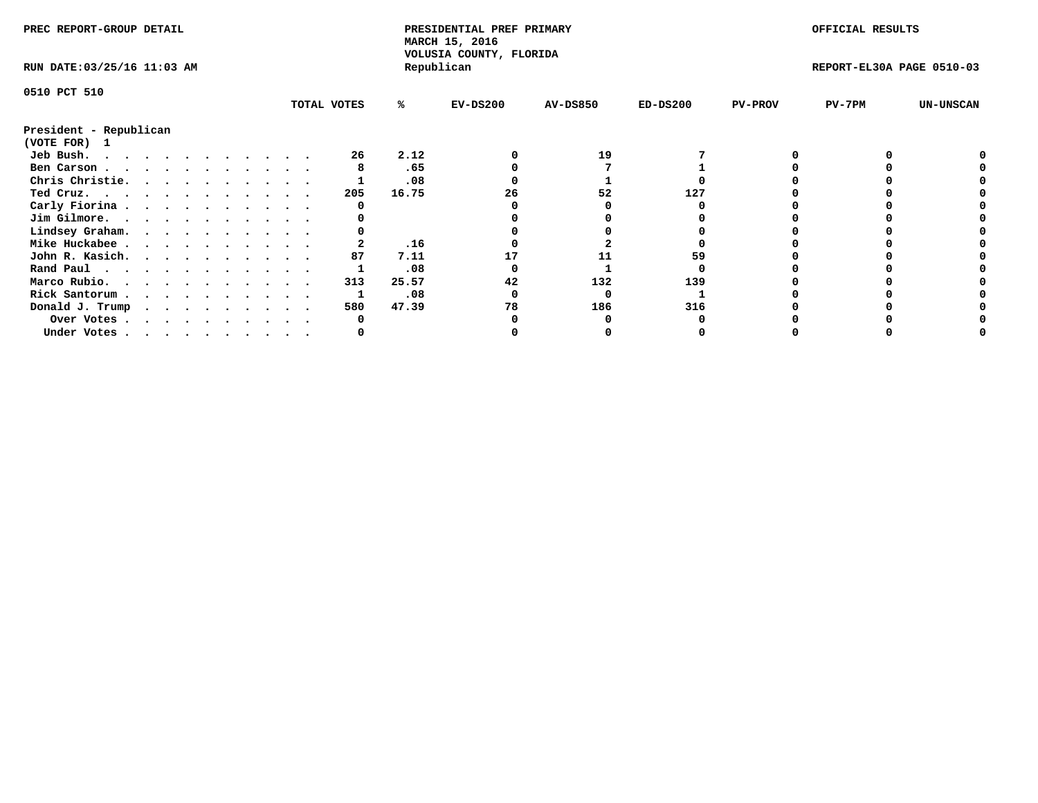| PREC REPORT-GROUP DETAIL    |  |  |  |  |  |  |  |             | PRESIDENTIAL PREF PRIMARY<br>MARCH 15, 2016<br>VOLUSIA COUNTY, FLORIDA |            |                 |            | OFFICIAL RESULTS |                           |                  |
|-----------------------------|--|--|--|--|--|--|--|-------------|------------------------------------------------------------------------|------------|-----------------|------------|------------------|---------------------------|------------------|
| RUN DATE: 03/25/16 11:03 AM |  |  |  |  |  |  |  |             |                                                                        | Republican |                 |            |                  | REPORT-EL30A PAGE 0510-03 |                  |
| 0510 PCT 510                |  |  |  |  |  |  |  |             |                                                                        |            |                 |            |                  |                           |                  |
|                             |  |  |  |  |  |  |  | TOTAL VOTES | ℁                                                                      | $EV-DS200$ | <b>AV-DS850</b> | $ED-DS200$ | <b>PV-PROV</b>   | $PV-7PM$                  | <b>UN-UNSCAN</b> |
| President - Republican      |  |  |  |  |  |  |  |             |                                                                        |            |                 |            |                  |                           |                  |
| (VOTE FOR)<br>$\mathbf{1}$  |  |  |  |  |  |  |  |             |                                                                        |            |                 |            |                  |                           |                  |
| Jeb Bush.<br>.              |  |  |  |  |  |  |  | 26          | 2.12                                                                   |            | 19              |            |                  |                           |                  |
| Ben Carson                  |  |  |  |  |  |  |  |             | .65                                                                    |            |                 |            |                  |                           |                  |
| Chris Christie.             |  |  |  |  |  |  |  |             | .08                                                                    |            |                 |            |                  |                           |                  |
| Ted Cruz.                   |  |  |  |  |  |  |  | 205         | 16.75                                                                  | 26         | 52              | 127        |                  |                           |                  |
| Carly Fiorina               |  |  |  |  |  |  |  |             |                                                                        |            |                 |            |                  |                           |                  |
| Jim Gilmore.                |  |  |  |  |  |  |  |             |                                                                        |            |                 |            |                  |                           |                  |
| Lindsey Graham.             |  |  |  |  |  |  |  |             |                                                                        |            |                 |            |                  |                           |                  |
| Mike Huckabee               |  |  |  |  |  |  |  |             | .16                                                                    |            |                 |            |                  |                           |                  |
| John R. Kasich.             |  |  |  |  |  |  |  | 87          | 7.11                                                                   |            | 11              |            |                  |                           |                  |
| Rand Paul                   |  |  |  |  |  |  |  |             | .08                                                                    |            |                 |            |                  |                           |                  |
| Marco Rubio.                |  |  |  |  |  |  |  | 313         | 25.57                                                                  | 42         | 132             | 139        |                  |                           |                  |
| Rick Santorum               |  |  |  |  |  |  |  |             | .08                                                                    |            |                 |            |                  |                           |                  |
| Donald J. Trump             |  |  |  |  |  |  |  | 580         | 47.39                                                                  | 78         | 186             | 316        |                  |                           |                  |
| Over Votes                  |  |  |  |  |  |  |  |             |                                                                        |            |                 |            |                  |                           |                  |
| Under Votes                 |  |  |  |  |  |  |  |             |                                                                        |            |                 |            |                  |                           |                  |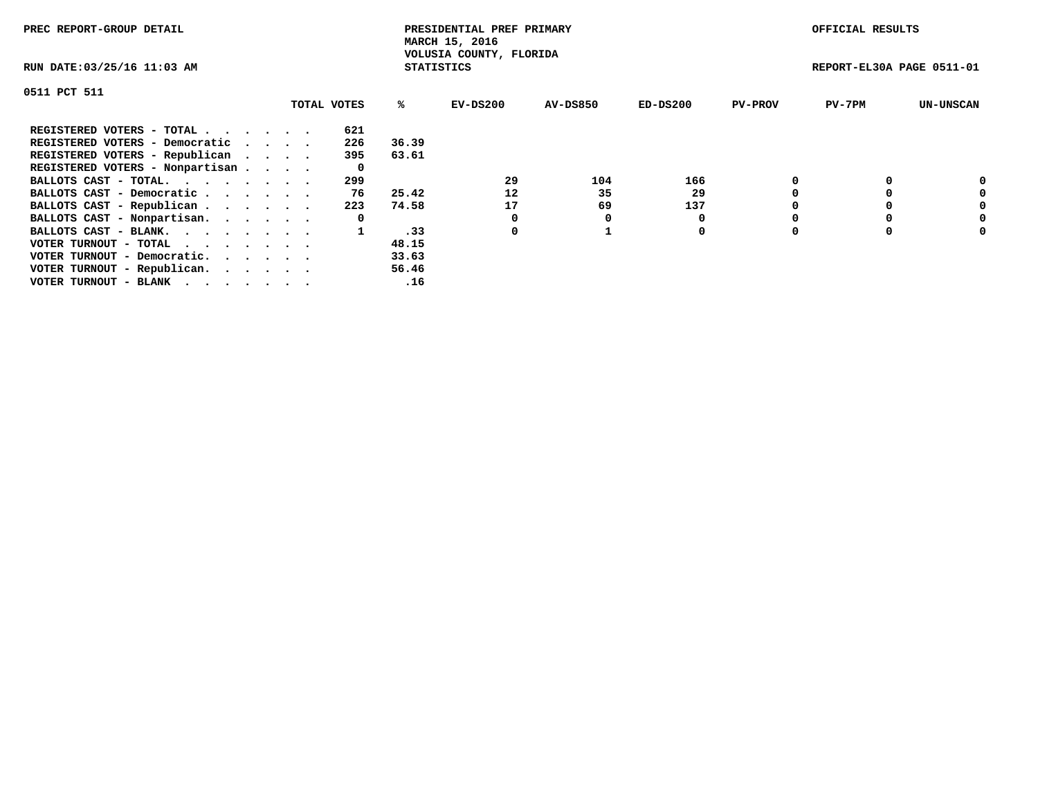| PREC REPORT-GROUP DETAIL        |  |             |                   | PRESIDENTIAL PREF PRIMARY<br>MARCH 15, 2016 |                 |          |                | OFFICIAL RESULTS          |                  |
|---------------------------------|--|-------------|-------------------|---------------------------------------------|-----------------|----------|----------------|---------------------------|------------------|
| RUN DATE: 03/25/16 11:03 AM     |  |             | <b>STATISTICS</b> | VOLUSIA COUNTY, FLORIDA                     |                 |          |                | REPORT-EL30A PAGE 0511-01 |                  |
| 0511 PCT 511                    |  |             |                   |                                             |                 |          |                |                           |                  |
|                                 |  | TOTAL VOTES | %ະ                | EV-DS200                                    | <b>AV-DS850</b> | ED-DS200 | <b>PV-PROV</b> | $PV-7PM$                  | <b>UN-UNSCAN</b> |
| REGISTERED VOTERS - TOTAL       |  | 621         |                   |                                             |                 |          |                |                           |                  |
| REGISTERED VOTERS - Democratic  |  | 226         | 36.39             |                                             |                 |          |                |                           |                  |
| REGISTERED VOTERS - Republican  |  | 395         | 63.61             |                                             |                 |          |                |                           |                  |
| REGISTERED VOTERS - Nonpartisan |  | 0           |                   |                                             |                 |          |                |                           |                  |
| BALLOTS CAST - TOTAL.           |  | 299         |                   | 29                                          | 104             | 166      |                |                           | 0                |
| BALLOTS CAST - Democratic       |  | 76          | 25.42             | 12                                          | 35              | 29       |                |                           | 0                |
| BALLOTS CAST - Republican       |  | 223         | 74.58             | 17                                          | 69              | 137      |                |                           | 0                |
| BALLOTS CAST - Nonpartisan.     |  | 0           |                   |                                             |                 |          |                |                           | 0                |
| BALLOTS CAST - BLANK.           |  |             | .33               | 0                                           |                 | 0        |                |                           | 0                |
| VOTER TURNOUT - TOTAL           |  |             | 48.15             |                                             |                 |          |                |                           |                  |
| VOTER TURNOUT - Democratic.     |  |             | 33.63             |                                             |                 |          |                |                           |                  |
| VOTER TURNOUT - Republican.     |  |             | 56.46             |                                             |                 |          |                |                           |                  |
| VOTER TURNOUT - BLANK           |  |             | .16               |                                             |                 |          |                |                           |                  |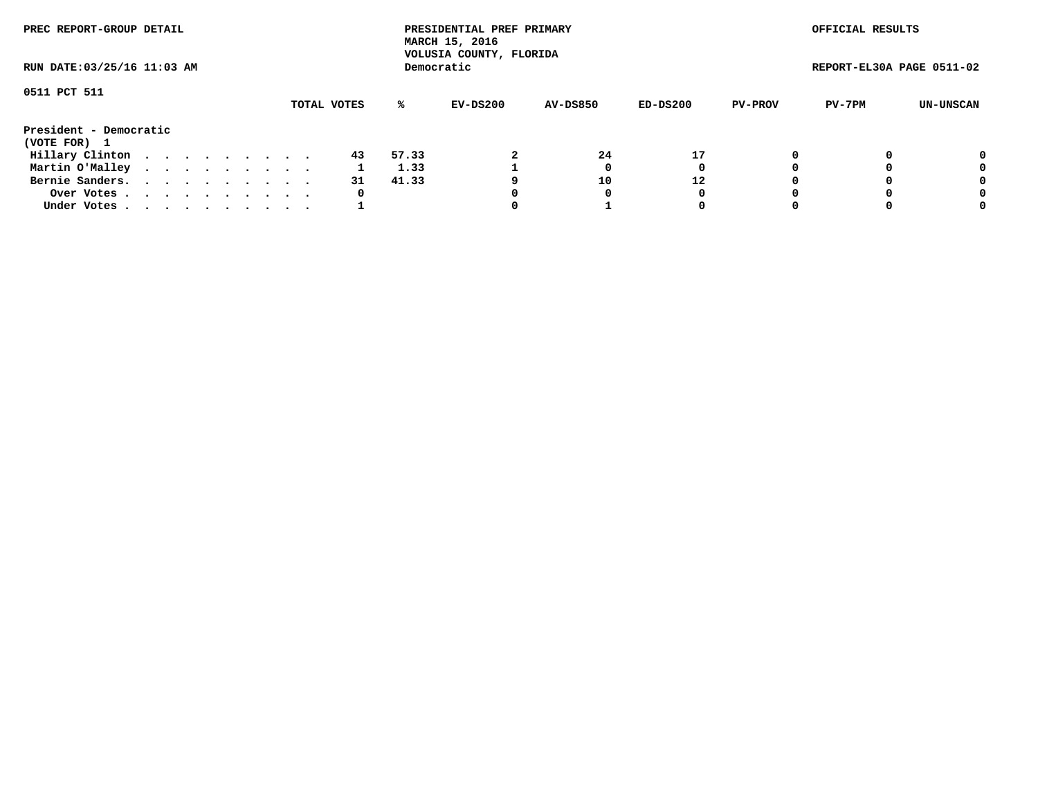| PREC REPORT-GROUP DETAIL<br>RUN DATE: 03/25/16 11:03 AM |  |  |  |  |  |  |  |  |    |       | PRESIDENTIAL PREF PRIMARY<br>MARCH 15, 2016<br>VOLUSIA COUNTY, FLORIDA |                 |          |                | OFFICIAL RESULTS          |           |
|---------------------------------------------------------|--|--|--|--|--|--|--|--|----|-------|------------------------------------------------------------------------|-----------------|----------|----------------|---------------------------|-----------|
|                                                         |  |  |  |  |  |  |  |  |    |       | Democratic                                                             |                 |          |                | REPORT-EL30A PAGE 0511-02 |           |
| 0511 PCT 511<br>TOTAL VOTES                             |  |  |  |  |  |  |  |  |    | %ะ    | EV-DS200                                                               | <b>AV-DS850</b> | ED-DS200 | <b>PV-PROV</b> | PV-7PM                    | UN-UNSCAN |
| President - Democratic<br>(VOTE FOR) 1                  |  |  |  |  |  |  |  |  |    |       |                                                                        |                 |          |                |                           |           |
| Hillary Clinton                                         |  |  |  |  |  |  |  |  | 43 | 57.33 |                                                                        | 24              | 17       |                |                           | 0         |
| Martin O'Malley                                         |  |  |  |  |  |  |  |  |    | 1.33  |                                                                        |                 | 0        |                |                           | 0         |
| Bernie Sanders.                                         |  |  |  |  |  |  |  |  | 31 | 41.33 |                                                                        | 10              | 12       |                |                           | 0         |
| Over Votes.                                             |  |  |  |  |  |  |  |  | 0  |       |                                                                        | 0               | 0        |                |                           | 0         |
| Under Votes.                                            |  |  |  |  |  |  |  |  |    |       |                                                                        |                 | 0        |                |                           | 0         |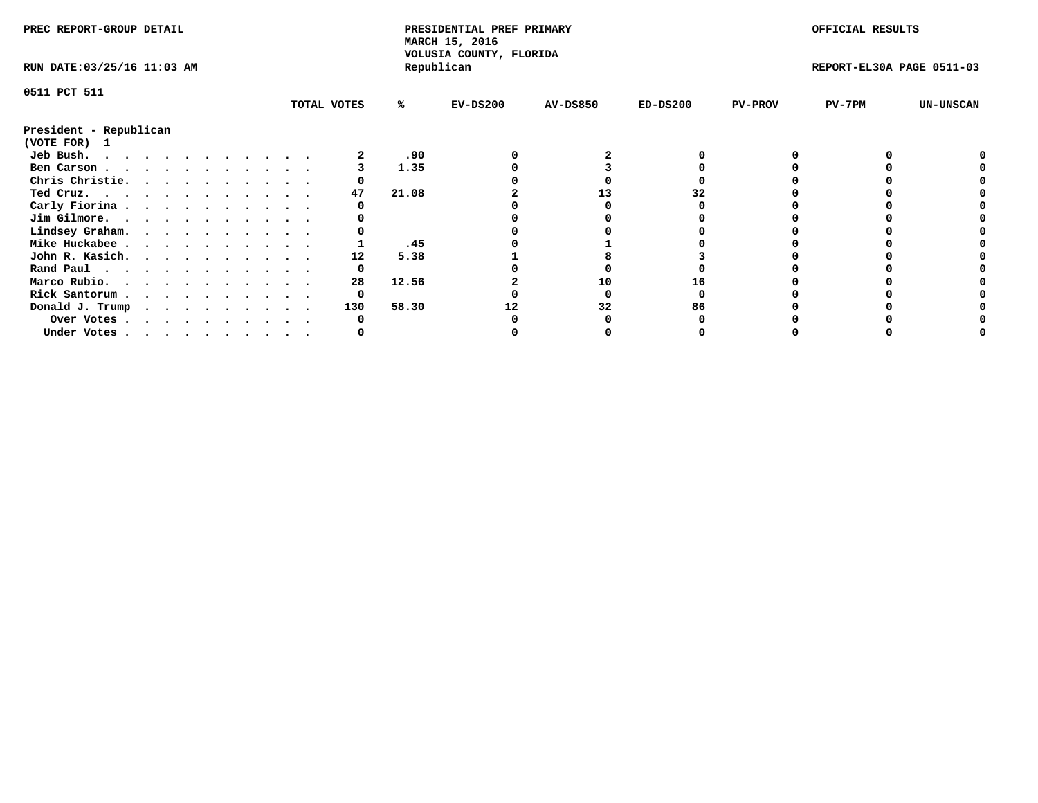| PREC REPORT-GROUP DETAIL    |  |  |  |  |  |  |  |             | PRESIDENTIAL PREF PRIMARY<br>MARCH 15, 2016<br>VOLUSIA COUNTY, FLORIDA |            |                 |            | OFFICIAL RESULTS |                           |                  |
|-----------------------------|--|--|--|--|--|--|--|-------------|------------------------------------------------------------------------|------------|-----------------|------------|------------------|---------------------------|------------------|
| RUN DATE: 03/25/16 11:03 AM |  |  |  |  |  |  |  |             |                                                                        | Republican |                 |            |                  | REPORT-EL30A PAGE 0511-03 |                  |
| 0511 PCT 511                |  |  |  |  |  |  |  |             |                                                                        |            |                 |            |                  |                           |                  |
|                             |  |  |  |  |  |  |  | TOTAL VOTES | %ะ                                                                     | EV-DS200   | <b>AV-DS850</b> | $ED-DS200$ | <b>PV-PROV</b>   | $PV-7PM$                  | <b>UN-UNSCAN</b> |
| President - Republican      |  |  |  |  |  |  |  |             |                                                                        |            |                 |            |                  |                           |                  |
| (VOTE FOR) 1                |  |  |  |  |  |  |  |             |                                                                        |            |                 |            |                  |                           |                  |
| Jeb Bush.                   |  |  |  |  |  |  |  |             | .90                                                                    |            |                 |            |                  |                           |                  |
| Ben Carson                  |  |  |  |  |  |  |  |             | 1.35                                                                   |            |                 |            |                  |                           |                  |
| Chris Christie.             |  |  |  |  |  |  |  |             |                                                                        |            |                 |            |                  |                           |                  |
| Ted Cruz.                   |  |  |  |  |  |  |  | 47          | 21.08                                                                  |            |                 |            |                  |                           |                  |
| Carly Fiorina               |  |  |  |  |  |  |  |             |                                                                        |            |                 |            |                  |                           |                  |
| Jim Gilmore.                |  |  |  |  |  |  |  |             |                                                                        |            |                 |            |                  |                           |                  |
| Lindsey Graham.             |  |  |  |  |  |  |  |             |                                                                        |            |                 |            |                  |                           |                  |
| Mike Huckabee               |  |  |  |  |  |  |  |             | .45                                                                    |            |                 |            |                  |                           |                  |
| John R. Kasich.             |  |  |  |  |  |  |  | 12          | 5.38                                                                   |            |                 |            |                  |                           |                  |
| Rand Paul                   |  |  |  |  |  |  |  | 0           |                                                                        |            |                 |            |                  |                           |                  |
| Marco Rubio.                |  |  |  |  |  |  |  | 28          | 12.56                                                                  |            | 10              |            |                  |                           |                  |
|                             |  |  |  |  |  |  |  |             |                                                                        |            |                 |            |                  |                           |                  |
| Rick Santorum               |  |  |  |  |  |  |  | 0           |                                                                        |            |                 |            |                  |                           |                  |
| Donald J. Trump             |  |  |  |  |  |  |  | 130         | 58.30                                                                  |            | 32              | 86         |                  |                           |                  |
| Over Votes                  |  |  |  |  |  |  |  |             |                                                                        |            |                 |            |                  |                           |                  |
| Under Votes                 |  |  |  |  |  |  |  |             |                                                                        |            |                 |            |                  |                           |                  |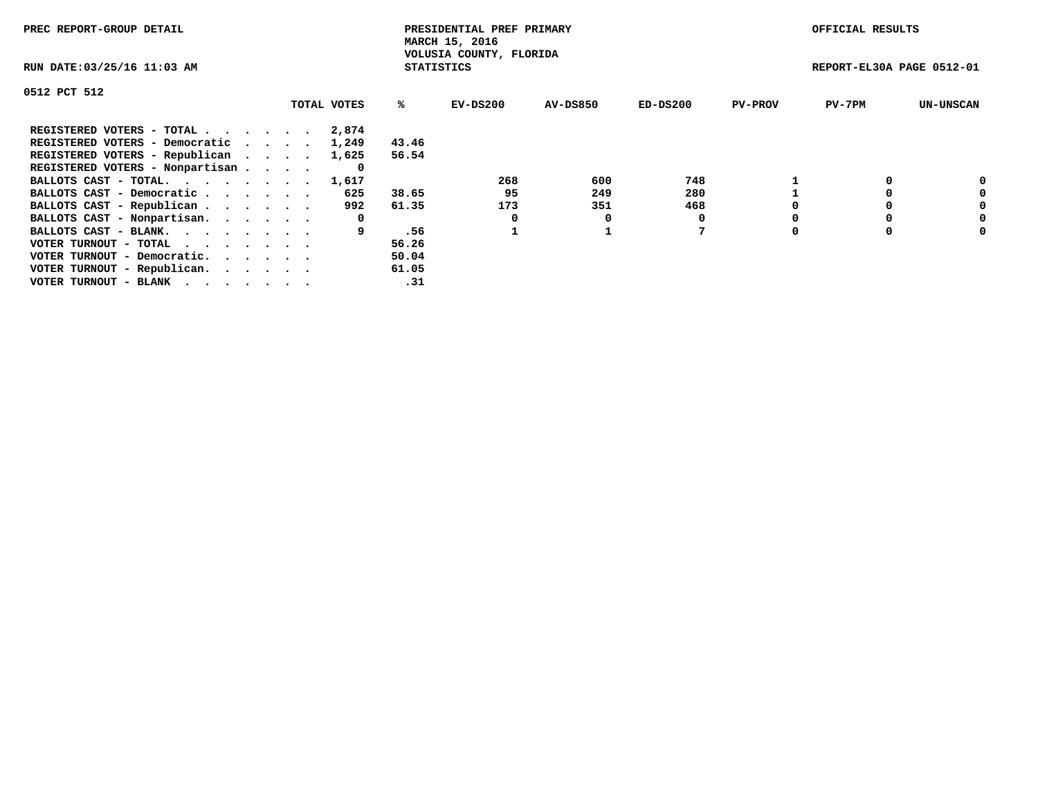| PREC REPORT-GROUP DETAIL                                    |             |                   | PRESIDENTIAL PREF PRIMARY<br>MARCH 15, 2016 |          |            |                | OFFICIAL RESULTS          |                  |
|-------------------------------------------------------------|-------------|-------------------|---------------------------------------------|----------|------------|----------------|---------------------------|------------------|
| RUN DATE: 03/25/16 11:03 AM                                 |             | <b>STATISTICS</b> | VOLUSIA COUNTY, FLORIDA                     |          |            |                | REPORT-EL30A PAGE 0512-01 |                  |
| 0512 PCT 512                                                |             |                   |                                             |          |            |                |                           |                  |
|                                                             | TOTAL VOTES | ℁                 | $EV-DS200$                                  | AV-DS850 | $ED-DS200$ | <b>PV-PROV</b> | $PV-7PM$                  | <b>UN-UNSCAN</b> |
| REGISTERED VOTERS - TOTAL                                   | 2,874       |                   |                                             |          |            |                |                           |                  |
| REGISTERED VOTERS - Democratic                              | 1,249       | 43.46             |                                             |          |            |                |                           |                  |
| REGISTERED VOTERS - Republican                              | 1,625       | 56.54             |                                             |          |            |                |                           |                  |
| REGISTERED VOTERS - Nonpartisan                             | 0           |                   |                                             |          |            |                |                           |                  |
| BALLOTS CAST - TOTAL.                                       | 1,617       |                   | 268                                         | 600      | 748        |                |                           | 0                |
| BALLOTS CAST - Democratic                                   | 625         | 38.65             | 95                                          | 249      | 280        |                |                           | 0                |
| BALLOTS CAST - Republican                                   | 992         | 61.35             | 173                                         | 351      | 468        |                |                           | 0                |
| BALLOTS CAST - Nonpartisan.                                 | 0           |                   | 0                                           | 0        |            |                |                           | 0                |
| BALLOTS CAST - BLANK.                                       |             | .56               |                                             |          |            |                |                           | 0                |
| VOTER TURNOUT - TOTAL $\cdot \cdot \cdot \cdot \cdot \cdot$ |             | 56.26             |                                             |          |            |                |                           |                  |
| VOTER TURNOUT - Democratic.                                 |             | 50.04             |                                             |          |            |                |                           |                  |
| VOTER TURNOUT - Republican.                                 |             | 61.05             |                                             |          |            |                |                           |                  |
| VOTER TURNOUT - BLANK                                       |             | .31               |                                             |          |            |                |                           |                  |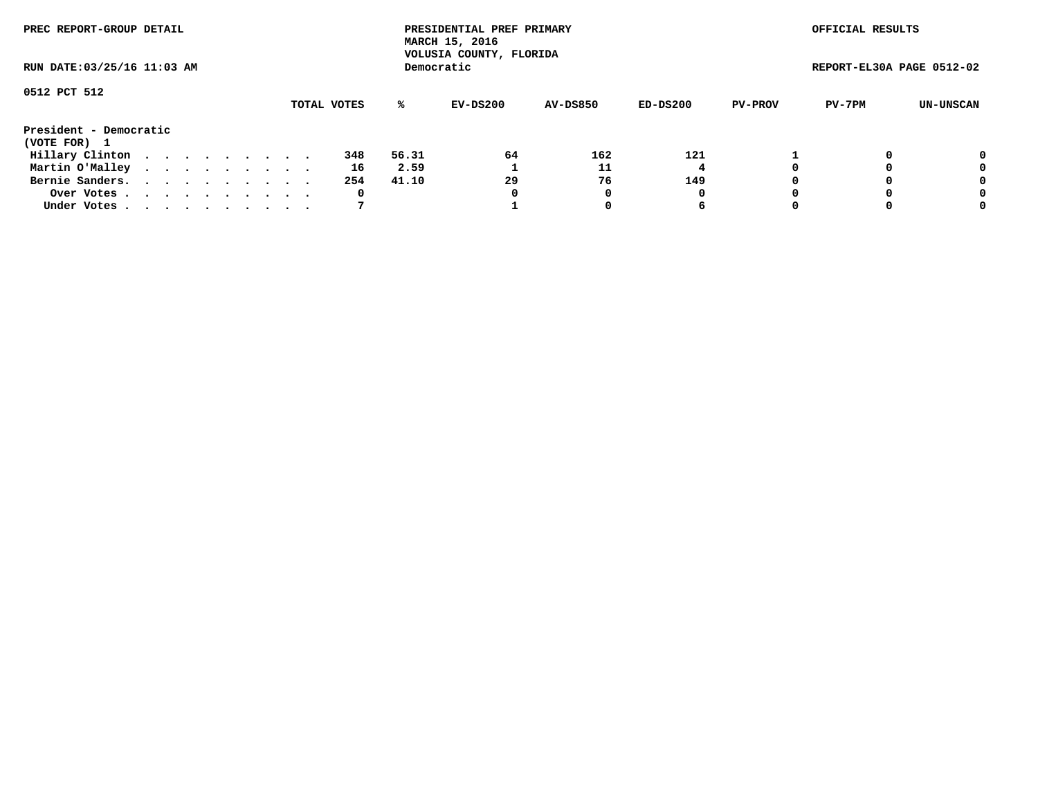| PREC REPORT-GROUP DETAIL<br>RUN DATE: 03/25/16 11:03 AM |  |  |  |  |  |  |  |  |             | PRESIDENTIAL PREF PRIMARY<br>MARCH 15, 2016<br>VOLUSIA COUNTY, FLORIDA |            |                 |            | OFFICIAL RESULTS |                           |           |
|---------------------------------------------------------|--|--|--|--|--|--|--|--|-------------|------------------------------------------------------------------------|------------|-----------------|------------|------------------|---------------------------|-----------|
|                                                         |  |  |  |  |  |  |  |  |             |                                                                        | Democratic |                 |            |                  | REPORT-EL30A PAGE 0512-02 |           |
| 0512 PCT 512                                            |  |  |  |  |  |  |  |  |             |                                                                        |            |                 |            |                  |                           |           |
|                                                         |  |  |  |  |  |  |  |  | TOTAL VOTES | ℁                                                                      | $EV-DS200$ | <b>AV-DS850</b> | $ED-DS200$ | <b>PV-PROV</b>   | PV-7PM                    | UN-UNSCAN |
| President - Democratic<br>(VOTE FOR) 1                  |  |  |  |  |  |  |  |  |             |                                                                        |            |                 |            |                  |                           |           |
| Hillary Clinton                                         |  |  |  |  |  |  |  |  | 348         | 56.31                                                                  | 64         | 162             | 121        |                  |                           | 0         |
| Martin O'Malley                                         |  |  |  |  |  |  |  |  | 16          | 2.59                                                                   |            | 11              | 4          |                  |                           | 0         |
| Bernie Sanders.                                         |  |  |  |  |  |  |  |  | 254         | 41.10                                                                  | 29         | 76              | 149        |                  |                           | 0         |
| Over Votes                                              |  |  |  |  |  |  |  |  | 0           |                                                                        | 0          | 0               | 0          |                  |                           | 0         |
| Under Votes                                             |  |  |  |  |  |  |  |  | 7           |                                                                        |            |                 | 6          |                  |                           | 0         |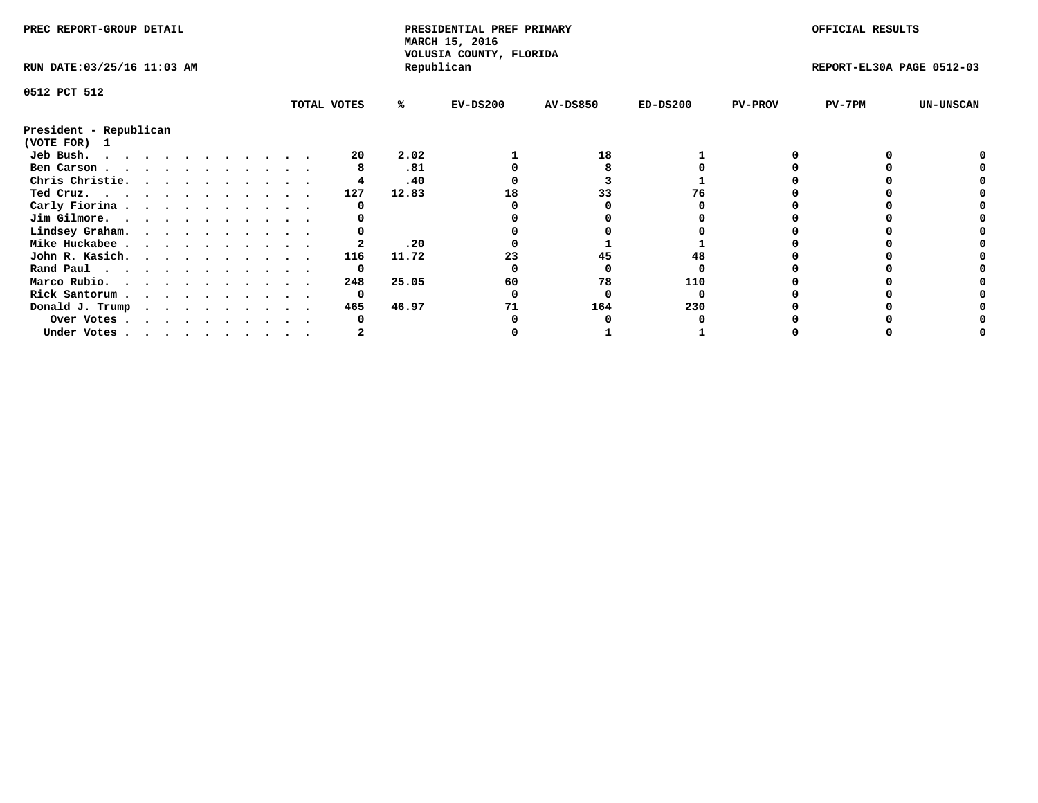| PREC REPORT-GROUP DETAIL    |  |  |  |  |  |  |  | PRESIDENTIAL PREF PRIMARY<br>MARCH 15, 2016<br>VOLUSIA COUNTY, FLORIDA |       |            |                 | OFFICIAL RESULTS |                |                           |                  |
|-----------------------------|--|--|--|--|--|--|--|------------------------------------------------------------------------|-------|------------|-----------------|------------------|----------------|---------------------------|------------------|
| RUN DATE: 03/25/16 11:03 AM |  |  |  |  |  |  |  |                                                                        |       | Republican |                 |                  |                | REPORT-EL30A PAGE 0512-03 |                  |
| 0512 PCT 512                |  |  |  |  |  |  |  |                                                                        |       |            |                 |                  |                |                           |                  |
|                             |  |  |  |  |  |  |  | TOTAL VOTES                                                            | ℁     | $EV-DS200$ | <b>AV-DS850</b> | $ED-DS200$       | <b>PV-PROV</b> | $PV-7PM$                  | <b>UN-UNSCAN</b> |
| President - Republican      |  |  |  |  |  |  |  |                                                                        |       |            |                 |                  |                |                           |                  |
| (VOTE FOR)<br>$\mathbf{1}$  |  |  |  |  |  |  |  |                                                                        |       |            |                 |                  |                |                           |                  |
| Jeb Bush.                   |  |  |  |  |  |  |  | 20                                                                     | 2.02  |            | 18              |                  |                |                           |                  |
| Ben Carson                  |  |  |  |  |  |  |  |                                                                        | .81   |            |                 |                  |                |                           |                  |
| Chris Christie.             |  |  |  |  |  |  |  |                                                                        | .40   |            |                 |                  |                |                           |                  |
| Ted Cruz.                   |  |  |  |  |  |  |  | 127                                                                    | 12.83 | 18         |                 |                  |                |                           |                  |
| Carly Fiorina               |  |  |  |  |  |  |  |                                                                        |       |            |                 |                  |                |                           |                  |
| Jim Gilmore.                |  |  |  |  |  |  |  |                                                                        |       |            |                 |                  |                |                           |                  |
| Lindsey Graham.             |  |  |  |  |  |  |  |                                                                        |       |            |                 |                  |                |                           |                  |
| Mike Huckabee               |  |  |  |  |  |  |  |                                                                        | .20   |            |                 |                  |                |                           |                  |
| John R. Kasich.             |  |  |  |  |  |  |  | 116                                                                    | 11.72 |            | 45              |                  |                |                           |                  |
| Rand Paul                   |  |  |  |  |  |  |  | 0                                                                      |       |            |                 |                  |                |                           |                  |
| Marco Rubio.                |  |  |  |  |  |  |  | 248                                                                    | 25.05 | 60         | 78              | 110              |                |                           |                  |
| Rick Santorum               |  |  |  |  |  |  |  | 0                                                                      |       |            |                 |                  |                |                           |                  |
| Donald J. Trump             |  |  |  |  |  |  |  | 465                                                                    | 46.97 |            | 164             | 230              |                |                           |                  |
| Over Votes                  |  |  |  |  |  |  |  |                                                                        |       |            |                 |                  |                |                           |                  |
| Under Votes                 |  |  |  |  |  |  |  |                                                                        |       |            |                 |                  |                |                           |                  |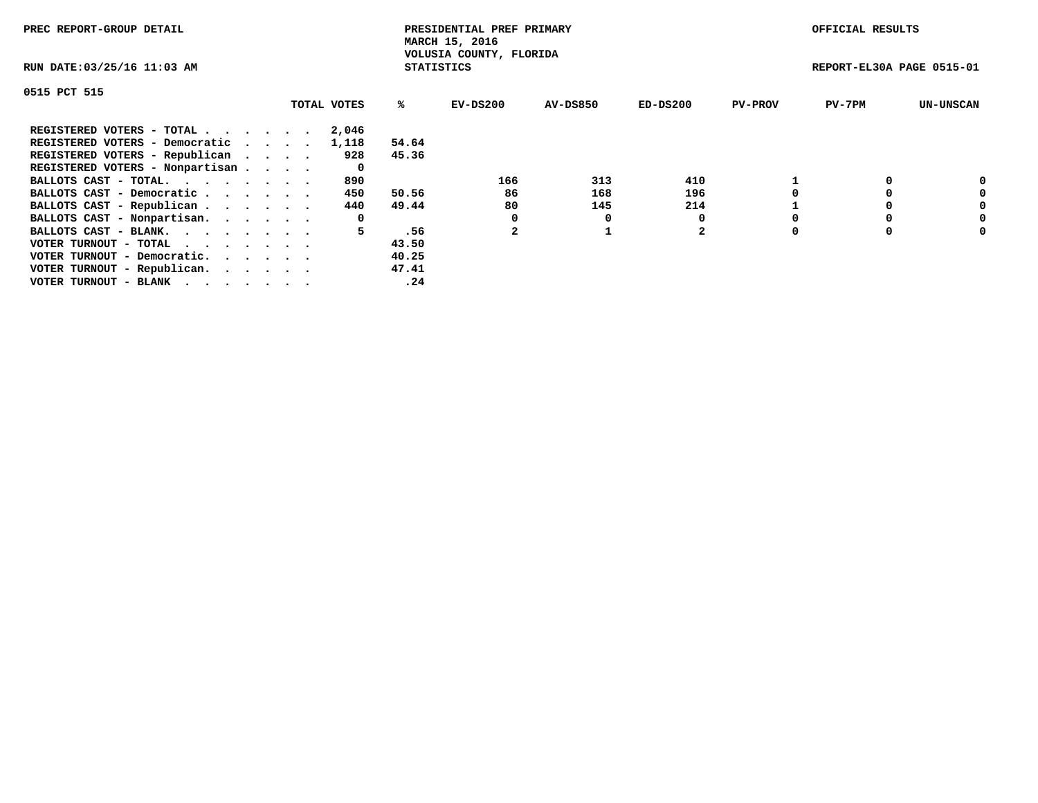| PREC REPORT-GROUP DETAIL        |             |                   | PRESIDENTIAL PREF PRIMARY<br>MARCH 15, 2016 |                 |          |                | OFFICIAL RESULTS          |                  |
|---------------------------------|-------------|-------------------|---------------------------------------------|-----------------|----------|----------------|---------------------------|------------------|
| RUN DATE: 03/25/16 11:03 AM     |             | <b>STATISTICS</b> | VOLUSIA COUNTY, FLORIDA                     |                 |          |                | REPORT-EL30A PAGE 0515-01 |                  |
| 0515 PCT 515                    |             |                   |                                             |                 |          |                |                           |                  |
|                                 | TOTAL VOTES | %ະ                | EV-DS200                                    | <b>AV-DS850</b> | ED-DS200 | <b>PV-PROV</b> | $PV-7PM$                  | <b>UN-UNSCAN</b> |
| REGISTERED VOTERS - TOTAL       | 2,046       |                   |                                             |                 |          |                |                           |                  |
| REGISTERED VOTERS - Democratic  | 1,118       | 54.64             |                                             |                 |          |                |                           |                  |
| REGISTERED VOTERS - Republican  | 928         | 45.36             |                                             |                 |          |                |                           |                  |
| REGISTERED VOTERS - Nonpartisan | 0           |                   |                                             |                 |          |                |                           |                  |
| BALLOTS CAST - TOTAL.           | 890         |                   | 166                                         | 313             | 410      |                |                           | 0                |
| BALLOTS CAST - Democratic       | 450         | 50.56             | 86                                          | 168             | 196      |                |                           | 0                |
| BALLOTS CAST - Republican       | 440         | 49.44             | 80                                          | 145             | 214      |                |                           | 0                |
| BALLOTS CAST - Nonpartisan.     | 0           |                   |                                             |                 |          |                |                           | 0                |
| BALLOTS CAST - BLANK.           | 5           | .56               | $\mathbf{2}$                                |                 | 2        |                |                           | 0                |
| VOTER TURNOUT - TOTAL           |             | 43.50             |                                             |                 |          |                |                           |                  |
| VOTER TURNOUT - Democratic.     |             | 40.25             |                                             |                 |          |                |                           |                  |
| VOTER TURNOUT - Republican.     |             | 47.41             |                                             |                 |          |                |                           |                  |
| VOTER TURNOUT - BLANK           |             | .24               |                                             |                 |          |                |                           |                  |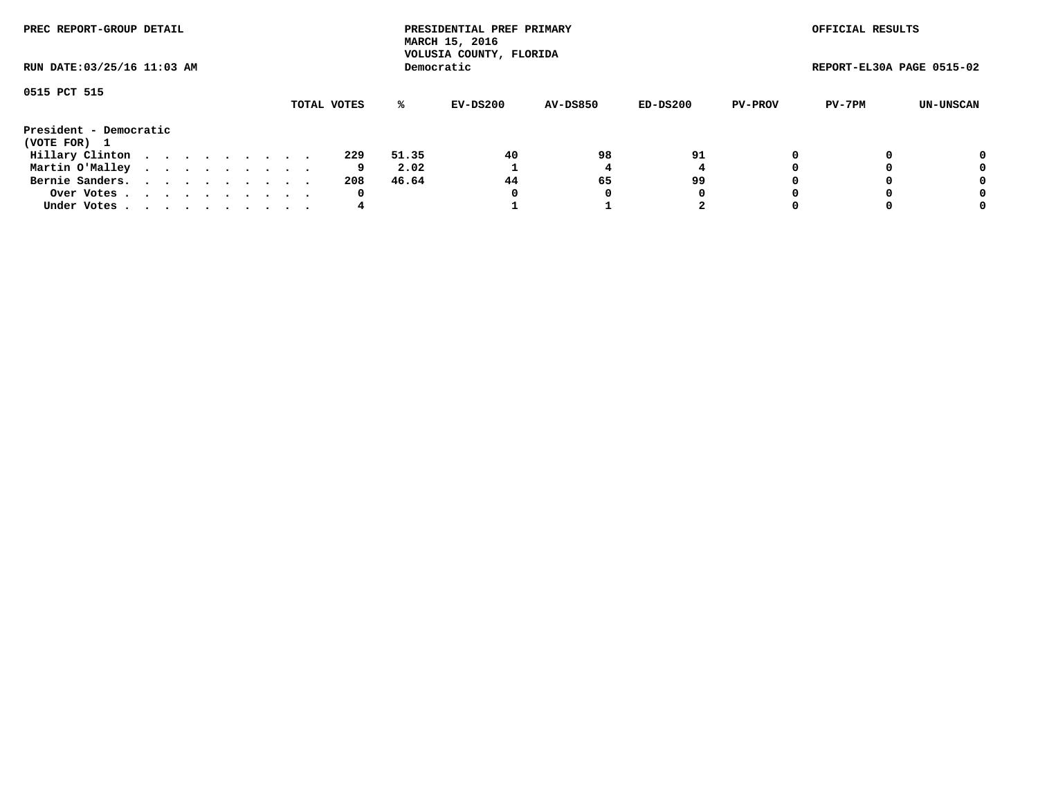| PREC REPORT-GROUP DETAIL<br>RUN DATE: 03/25/16 11:03 AM |  |  |  |  |  |  |  |  |             |       | PRESIDENTIAL PREF PRIMARY<br>MARCH 15, 2016<br>VOLUSIA COUNTY, FLORIDA |                 |          |                | OFFICIAL RESULTS          |           |
|---------------------------------------------------------|--|--|--|--|--|--|--|--|-------------|-------|------------------------------------------------------------------------|-----------------|----------|----------------|---------------------------|-----------|
|                                                         |  |  |  |  |  |  |  |  |             |       | Democratic                                                             |                 |          |                | REPORT-EL30A PAGE 0515-02 |           |
| 0515 PCT 515                                            |  |  |  |  |  |  |  |  | TOTAL VOTES | %ะ    | EV-DS200                                                               | <b>AV-DS850</b> | ED-DS200 | <b>PV-PROV</b> | PV-7PM                    | UN-UNSCAN |
| President - Democratic<br>(VOTE FOR) 1                  |  |  |  |  |  |  |  |  |             |       |                                                                        |                 |          |                |                           |           |
| Hillary Clinton                                         |  |  |  |  |  |  |  |  | 229         | 51.35 | 40                                                                     | 98              | 91       | 0              |                           | 0         |
| Martin O'Malley                                         |  |  |  |  |  |  |  |  | 9           | 2.02  |                                                                        |                 |          |                |                           | 0         |
| Bernie Sanders.                                         |  |  |  |  |  |  |  |  | 208         | 46.64 | 44                                                                     | 65              | 99       |                |                           | 0         |
| Over Votes                                              |  |  |  |  |  |  |  |  | 0           |       | 0                                                                      | 0               | 0        |                |                           | 0         |
| Under Votes.                                            |  |  |  |  |  |  |  |  | 4           |       |                                                                        |                 | 2        |                |                           | 0         |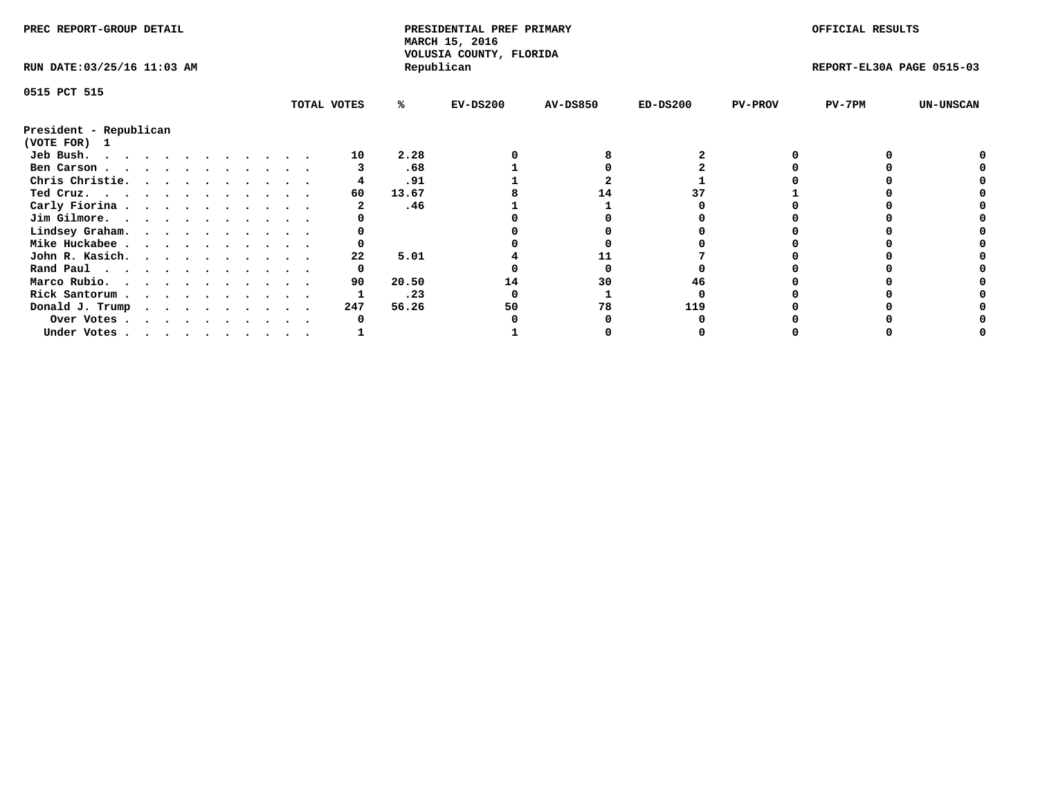| PREC REPORT-GROUP DETAIL    |  |  |  |  |  |  |  |  | PRESIDENTIAL PREF PRIMARY<br>MARCH 15, 2016<br>VOLUSIA COUNTY, FLORIDA |       |            |                 | OFFICIAL RESULTS |                |                           |                  |
|-----------------------------|--|--|--|--|--|--|--|--|------------------------------------------------------------------------|-------|------------|-----------------|------------------|----------------|---------------------------|------------------|
| RUN DATE: 03/25/16 11:03 AM |  |  |  |  |  |  |  |  |                                                                        |       | Republican |                 |                  |                | REPORT-EL30A PAGE 0515-03 |                  |
| 0515 PCT 515                |  |  |  |  |  |  |  |  |                                                                        |       |            |                 |                  |                |                           |                  |
|                             |  |  |  |  |  |  |  |  | TOTAL VOTES                                                            | ℁     | $EV-DS200$ | <b>AV-DS850</b> | $ED-DS200$       | <b>PV-PROV</b> | $PV-7PM$                  | <b>UN-UNSCAN</b> |
| President - Republican      |  |  |  |  |  |  |  |  |                                                                        |       |            |                 |                  |                |                           |                  |
| (VOTE FOR) 1                |  |  |  |  |  |  |  |  |                                                                        |       |            |                 |                  |                |                           |                  |
| Jeb Bush.                   |  |  |  |  |  |  |  |  | 10                                                                     | 2.28  |            |                 |                  |                |                           |                  |
| Ben Carson                  |  |  |  |  |  |  |  |  |                                                                        | .68   |            |                 |                  |                |                           |                  |
| Chris Christie.             |  |  |  |  |  |  |  |  |                                                                        | .91   |            |                 |                  |                |                           |                  |
| Ted Cruz.                   |  |  |  |  |  |  |  |  | 60                                                                     | 13.67 |            | 14              |                  |                |                           |                  |
| Carly Fiorina               |  |  |  |  |  |  |  |  |                                                                        | .46   |            |                 |                  |                |                           |                  |
| Jim Gilmore.                |  |  |  |  |  |  |  |  |                                                                        |       |            |                 |                  |                |                           |                  |
| Lindsey Graham.             |  |  |  |  |  |  |  |  |                                                                        |       |            |                 |                  |                |                           |                  |
| Mike Huckabee               |  |  |  |  |  |  |  |  |                                                                        |       |            |                 |                  |                |                           |                  |
| John R. Kasich.             |  |  |  |  |  |  |  |  | 22                                                                     | 5.01  |            |                 |                  |                |                           |                  |
| Rand Paul                   |  |  |  |  |  |  |  |  | 0                                                                      |       |            |                 |                  |                |                           |                  |
| Marco Rubio.                |  |  |  |  |  |  |  |  | 90                                                                     | 20.50 | 14         | 30              | 46               |                |                           |                  |
| Rick Santorum               |  |  |  |  |  |  |  |  |                                                                        | .23   |            |                 |                  |                |                           |                  |
| Donald J. Trump             |  |  |  |  |  |  |  |  | 247                                                                    | 56.26 | 50         | 78              | 119              |                |                           |                  |
| Over Votes                  |  |  |  |  |  |  |  |  |                                                                        |       |            |                 |                  |                |                           |                  |
| Under Votes                 |  |  |  |  |  |  |  |  |                                                                        |       |            |                 |                  |                |                           |                  |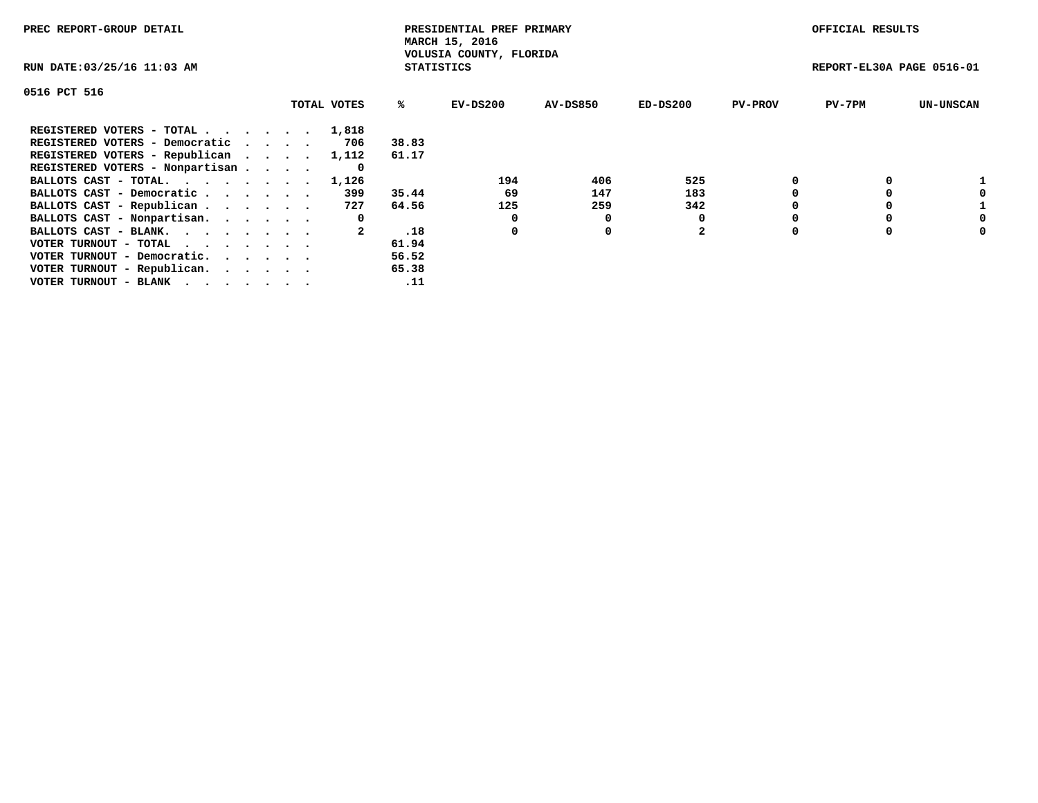| PREC REPORT-GROUP DETAIL                                    |             |                   | PRESIDENTIAL PREF PRIMARY<br>MARCH 15, 2016 |          |                |                | OFFICIAL RESULTS          |                  |
|-------------------------------------------------------------|-------------|-------------------|---------------------------------------------|----------|----------------|----------------|---------------------------|------------------|
| RUN DATE: 03/25/16 11:03 AM                                 |             | <b>STATISTICS</b> | VOLUSIA COUNTY, FLORIDA                     |          |                |                | REPORT-EL30A PAGE 0516-01 |                  |
| 0516 PCT 516                                                |             |                   |                                             |          |                |                |                           |                  |
|                                                             | TOTAL VOTES | %ะ                | EV-DS200                                    | AV-DS850 | $ED-DS200$     | <b>PV-PROV</b> | $PV-7PM$                  | <b>UN-UNSCAN</b> |
| REGISTERED VOTERS - TOTAL                                   | 1,818       |                   |                                             |          |                |                |                           |                  |
| REGISTERED VOTERS - Democratic                              | 706         | 38.83             |                                             |          |                |                |                           |                  |
| REGISTERED VOTERS - Republican                              | 1,112       | 61.17             |                                             |          |                |                |                           |                  |
| REGISTERED VOTERS - Nonpartisan                             | 0           |                   |                                             |          |                |                |                           |                  |
| BALLOTS CAST - TOTAL.                                       | 1,126       |                   | 194                                         | 406      | 525            |                |                           |                  |
| BALLOTS CAST - Democratic                                   | 399         | 35.44             | 69                                          | 147      | 183            |                |                           |                  |
| BALLOTS CAST - Republican                                   | 727         | 64.56             | 125                                         | 259      | 342            |                |                           |                  |
| BALLOTS CAST - Nonpartisan.                                 | 0           |                   | 0                                           | O        |                |                |                           | 0                |
| BALLOTS CAST - BLANK.                                       |             | .18               | 0                                           | 0        | $\overline{2}$ |                |                           | 0                |
| VOTER TURNOUT - TOTAL $\cdot \cdot \cdot \cdot \cdot \cdot$ |             | 61.94             |                                             |          |                |                |                           |                  |
| VOTER TURNOUT - Democratic.                                 |             | 56.52             |                                             |          |                |                |                           |                  |
| VOTER TURNOUT - Republican.                                 |             | 65.38             |                                             |          |                |                |                           |                  |
| VOTER TURNOUT - BLANK                                       |             | .11               |                                             |          |                |                |                           |                  |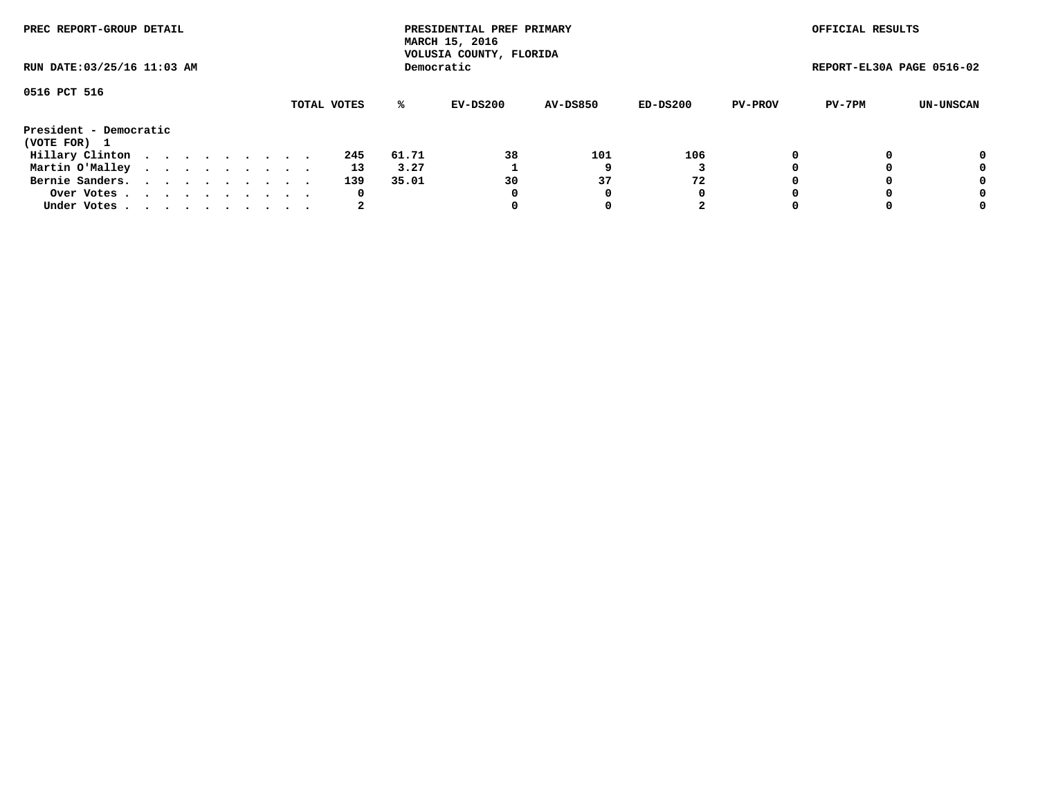| PREC REPORT-GROUP DETAIL<br>RUN DATE: 03/25/16 11:03 AM |  |  |  |  |  |  |  |  |             | PRESIDENTIAL PREF PRIMARY<br>MARCH 15, 2016<br>VOLUSIA COUNTY, FLORIDA |            |                 |          | OFFICIAL RESULTS |                           |           |
|---------------------------------------------------------|--|--|--|--|--|--|--|--|-------------|------------------------------------------------------------------------|------------|-----------------|----------|------------------|---------------------------|-----------|
|                                                         |  |  |  |  |  |  |  |  |             |                                                                        | Democratic |                 |          |                  | REPORT-EL30A PAGE 0516-02 |           |
| 0516 PCT 516                                            |  |  |  |  |  |  |  |  | TOTAL VOTES | ℁                                                                      | EV-DS200   | <b>AV-DS850</b> | ED-DS200 | <b>PV-PROV</b>   | PV-7PM                    | UN-UNSCAN |
| President - Democratic<br>(VOTE FOR) 1                  |  |  |  |  |  |  |  |  |             |                                                                        |            |                 |          |                  |                           |           |
| Hillary Clinton                                         |  |  |  |  |  |  |  |  | 245         | 61.71                                                                  | 38         | 101             | 106      |                  |                           | 0         |
| Martin O'Malley                                         |  |  |  |  |  |  |  |  | 13          | 3.27                                                                   |            |                 |          |                  |                           | 0         |
| Bernie Sanders.                                         |  |  |  |  |  |  |  |  | 139         | 35.01                                                                  | 30         | 37              | 72       |                  |                           | 0         |
| Over Votes.                                             |  |  |  |  |  |  |  |  | 0           |                                                                        | 0          | 0               | 0        |                  |                           | 0         |
| Under Votes                                             |  |  |  |  |  |  |  |  | 2           |                                                                        |            |                 | 2        |                  |                           | 0         |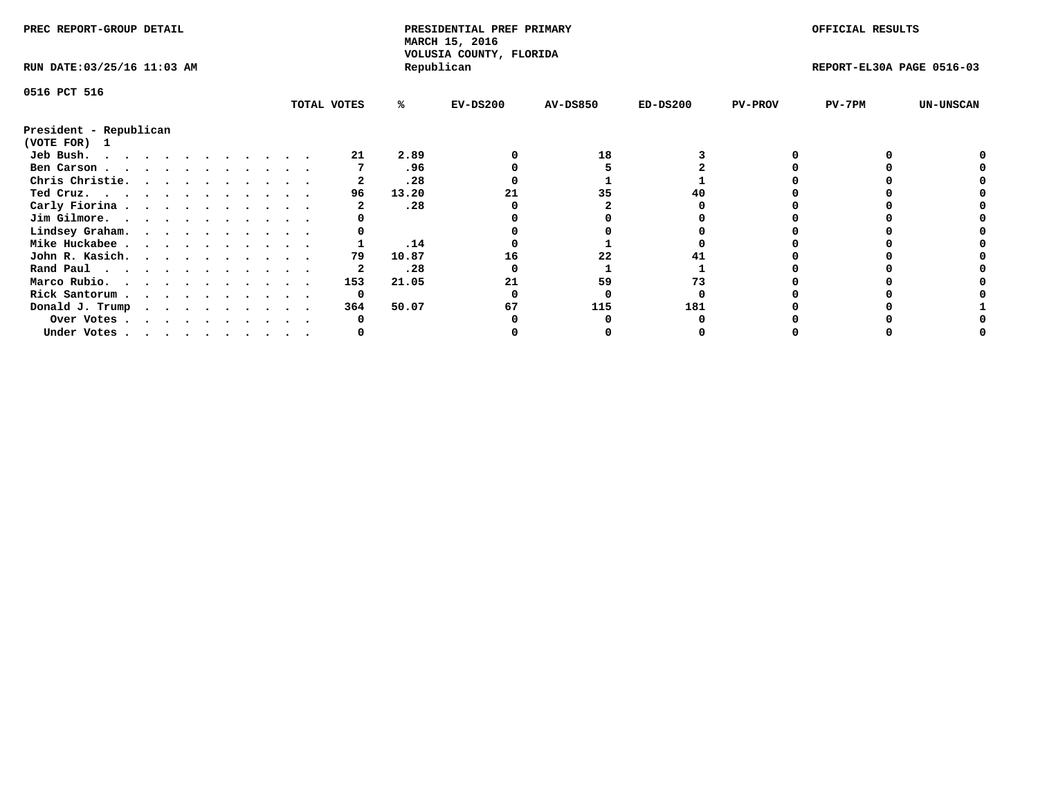| PREC REPORT-GROUP DETAIL    |  |  |  |  |  |  |  |  |             | PRESIDENTIAL PREF PRIMARY<br>MARCH 15, 2016<br>VOLUSIA COUNTY, FLORIDA |            |                 |            | OFFICIAL RESULTS |                           |                  |
|-----------------------------|--|--|--|--|--|--|--|--|-------------|------------------------------------------------------------------------|------------|-----------------|------------|------------------|---------------------------|------------------|
| RUN DATE: 03/25/16 11:03 AM |  |  |  |  |  |  |  |  |             |                                                                        | Republican |                 |            |                  | REPORT-EL30A PAGE 0516-03 |                  |
| 0516 PCT 516                |  |  |  |  |  |  |  |  |             |                                                                        |            |                 |            |                  |                           |                  |
|                             |  |  |  |  |  |  |  |  | TOTAL VOTES | %ะ                                                                     | $EV-DS200$ | <b>AV-DS850</b> | $ED-DS200$ | <b>PV-PROV</b>   | PV-7PM                    | <b>UN-UNSCAN</b> |
| President - Republican      |  |  |  |  |  |  |  |  |             |                                                                        |            |                 |            |                  |                           |                  |
| (VOTE FOR)<br>$\mathbf{1}$  |  |  |  |  |  |  |  |  |             |                                                                        |            |                 |            |                  |                           |                  |
| Jeb Bush.                   |  |  |  |  |  |  |  |  |             | 2.89                                                                   |            | 18              |            |                  |                           |                  |
| Ben Carson                  |  |  |  |  |  |  |  |  |             | .96                                                                    |            |                 |            |                  |                           |                  |
| Chris Christie.             |  |  |  |  |  |  |  |  |             | .28                                                                    |            |                 |            |                  |                           |                  |
| Ted Cruz.                   |  |  |  |  |  |  |  |  | 96          | 13.20                                                                  |            | 35              |            |                  |                           |                  |
| Carly Fiorina               |  |  |  |  |  |  |  |  |             | .28                                                                    |            |                 |            |                  |                           |                  |
| Jim Gilmore.                |  |  |  |  |  |  |  |  |             |                                                                        |            |                 |            |                  |                           |                  |
| Lindsey Graham.             |  |  |  |  |  |  |  |  |             |                                                                        |            |                 |            |                  |                           |                  |
| Mike Huckabee               |  |  |  |  |  |  |  |  |             | .14                                                                    |            |                 |            |                  |                           |                  |
| John R. Kasich.             |  |  |  |  |  |  |  |  | 79          | 10.87                                                                  | 16         | 22              |            |                  |                           |                  |
| Rand Paul                   |  |  |  |  |  |  |  |  |             | .28                                                                    |            |                 |            |                  |                           |                  |
| Marco Rubio.                |  |  |  |  |  |  |  |  | 153         | 21.05                                                                  |            | 59              |            |                  |                           |                  |
| Rick Santorum               |  |  |  |  |  |  |  |  | 0           |                                                                        |            |                 |            |                  |                           |                  |
| Donald J. Trump             |  |  |  |  |  |  |  |  | 364         | 50.07                                                                  | 67         | 115             | 181        |                  |                           |                  |
| Over Votes                  |  |  |  |  |  |  |  |  |             |                                                                        |            |                 |            |                  |                           |                  |
| Under Votes                 |  |  |  |  |  |  |  |  |             |                                                                        |            |                 |            |                  |                           |                  |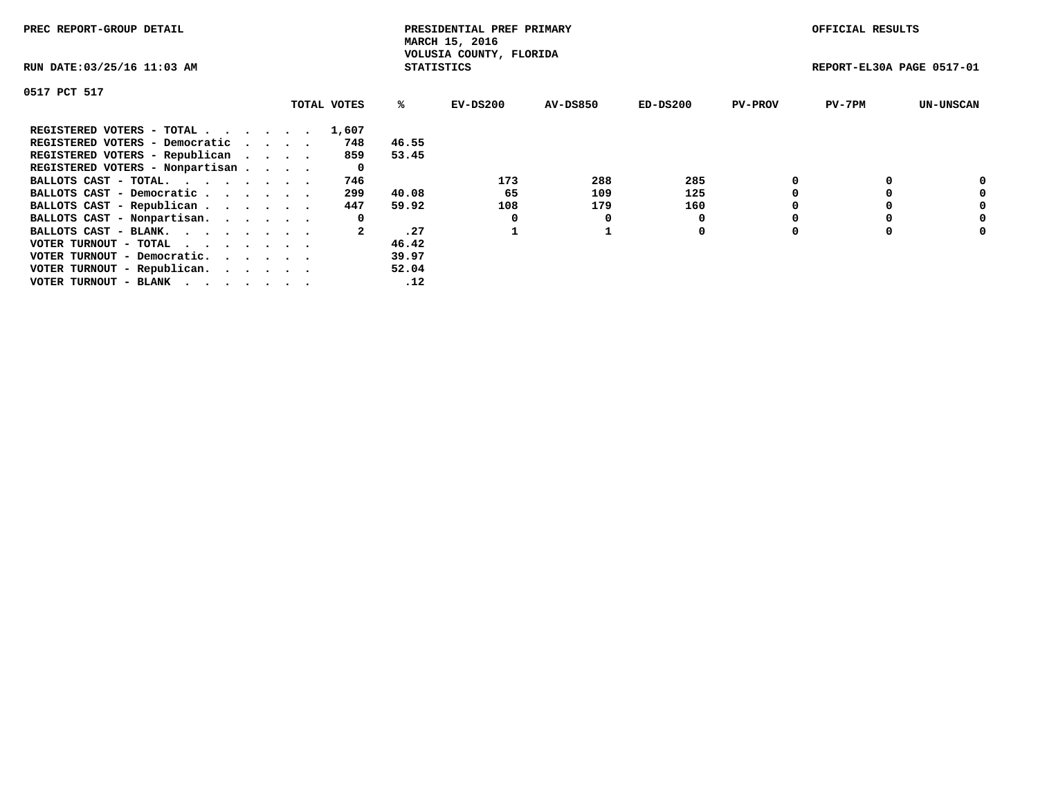| PREC REPORT-GROUP DETAIL                                    |             |                   | PRESIDENTIAL PREF PRIMARY<br>MARCH 15, 2016 |                 |            |                | OFFICIAL RESULTS          |                  |
|-------------------------------------------------------------|-------------|-------------------|---------------------------------------------|-----------------|------------|----------------|---------------------------|------------------|
| RUN DATE: 03/25/16 11:03 AM                                 |             | <b>STATISTICS</b> | VOLUSIA COUNTY, FLORIDA                     |                 |            |                | REPORT-EL30A PAGE 0517-01 |                  |
| 0517 PCT 517                                                |             |                   |                                             |                 |            |                |                           |                  |
|                                                             | TOTAL VOTES | ℁                 | EV-DS200                                    | <b>AV-DS850</b> | $ED-DS200$ | <b>PV-PROV</b> | $PV-7PM$                  | <b>UN-UNSCAN</b> |
| REGISTERED VOTERS - TOTAL                                   | 1,607       |                   |                                             |                 |            |                |                           |                  |
| REGISTERED VOTERS - Democratic                              | 748         | 46.55             |                                             |                 |            |                |                           |                  |
| REGISTERED VOTERS - Republican                              | 859         | 53.45             |                                             |                 |            |                |                           |                  |
| REGISTERED VOTERS - Nonpartisan                             | 0           |                   |                                             |                 |            |                |                           |                  |
| BALLOTS CAST - TOTAL.                                       | 746         |                   | 173                                         | 288             | 285        |                |                           | 0                |
| BALLOTS CAST - Democratic                                   | 299         | 40.08             | 65                                          | 109             | 125        |                |                           | 0                |
| BALLOTS CAST - Republican                                   | 447         | 59.92             | 108                                         | 179             | 160        |                |                           | 0                |
| BALLOTS CAST - Nonpartisan.                                 | 0           |                   |                                             | O               |            |                |                           | 0                |
| BALLOTS CAST - BLANK.                                       |             | .27               |                                             |                 | 0          |                |                           | 0                |
| VOTER TURNOUT - TOTAL $\cdot \cdot \cdot \cdot \cdot \cdot$ |             | 46.42             |                                             |                 |            |                |                           |                  |
| VOTER TURNOUT - Democratic.                                 |             | 39.97             |                                             |                 |            |                |                           |                  |
| VOTER TURNOUT - Republican.                                 |             | 52.04             |                                             |                 |            |                |                           |                  |
| VOTER TURNOUT - BLANK                                       |             | .12               |                                             |                 |            |                |                           |                  |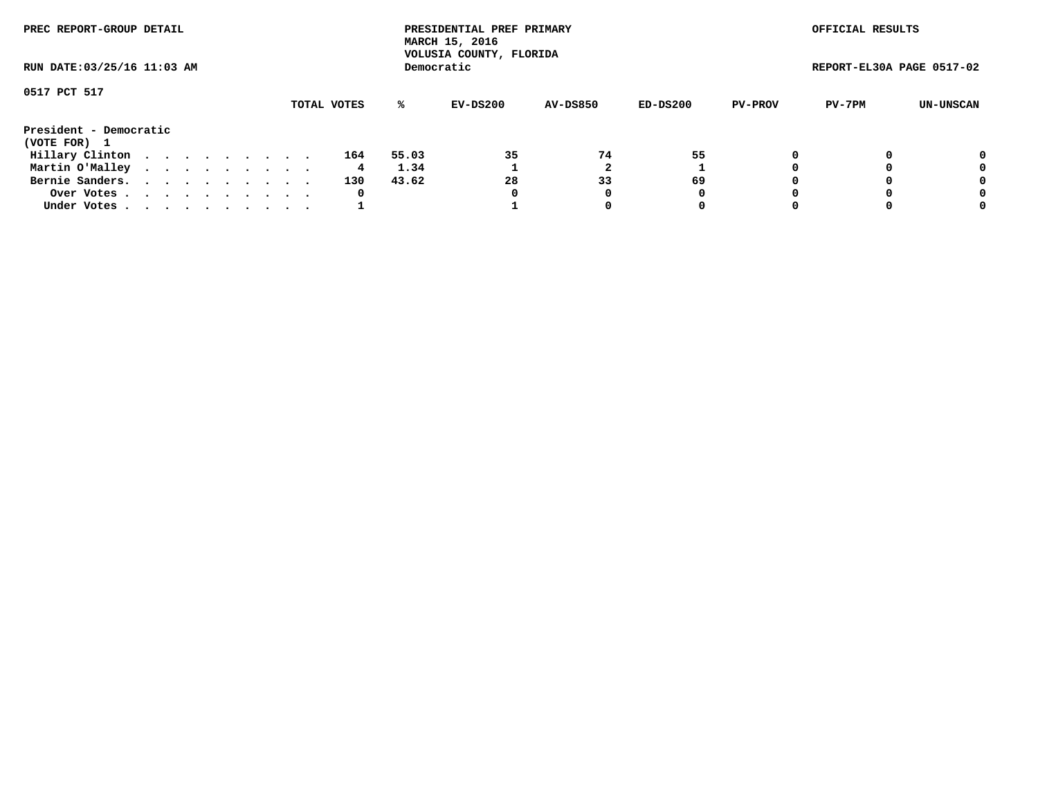| PREC REPORT-GROUP DETAIL<br>RUN DATE: 03/25/16 11:03 AM |             |  |  |  |  |  |  |  |  |     | PRESIDENTIAL PREF PRIMARY<br>MARCH 15, 2016<br>VOLUSIA COUNTY, FLORIDA |            |                 |          | OFFICIAL RESULTS |                           |           |
|---------------------------------------------------------|-------------|--|--|--|--|--|--|--|--|-----|------------------------------------------------------------------------|------------|-----------------|----------|------------------|---------------------------|-----------|
|                                                         |             |  |  |  |  |  |  |  |  |     |                                                                        | Democratic |                 |          |                  | REPORT-EL30A PAGE 0517-02 |           |
| 0517 PCT 517                                            | TOTAL VOTES |  |  |  |  |  |  |  |  |     |                                                                        |            |                 |          |                  |                           |           |
|                                                         |             |  |  |  |  |  |  |  |  |     | %ะ                                                                     | EV-DS200   | <b>AV-DS850</b> | ED-DS200 | <b>PV-PROV</b>   | PV-7PM                    | UN-UNSCAN |
| President - Democratic<br>(VOTE FOR) 1                  |             |  |  |  |  |  |  |  |  |     |                                                                        |            |                 |          |                  |                           |           |
| Hillary Clinton                                         |             |  |  |  |  |  |  |  |  | 164 | 55.03                                                                  | 35         | 74              | 55       |                  |                           | 0         |
| Martin O'Malley                                         |             |  |  |  |  |  |  |  |  | 4   | 1.34                                                                   |            |                 |          |                  |                           | 0         |
| Bernie Sanders.                                         |             |  |  |  |  |  |  |  |  | 130 | 43.62                                                                  | 28         | 33              | 69       |                  |                           | 0         |
| Over Votes.                                             |             |  |  |  |  |  |  |  |  | 0   |                                                                        | 0          | 0               | 0        | $\Omega$         |                           | 0         |
| Under Votes                                             |             |  |  |  |  |  |  |  |  |     |                                                                        |            | 0               | 0        |                  |                           | 0         |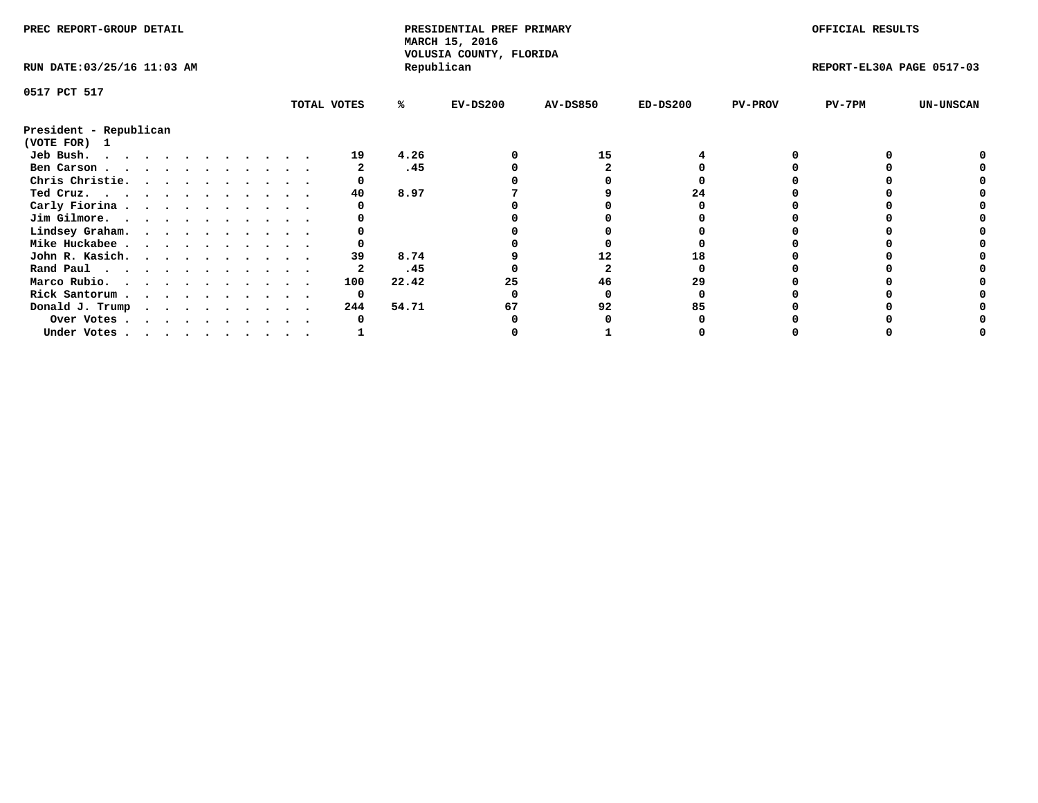| PREC REPORT-GROUP DETAIL                            |  |  |  |  |  |  |  | PRESIDENTIAL PREF PRIMARY<br>MARCH 15, 2016<br>VOLUSIA COUNTY, FLORIDA |       |            |                 | OFFICIAL RESULTS |                |                           |                  |
|-----------------------------------------------------|--|--|--|--|--|--|--|------------------------------------------------------------------------|-------|------------|-----------------|------------------|----------------|---------------------------|------------------|
| RUN DATE: 03/25/16 11:03 AM                         |  |  |  |  |  |  |  |                                                                        |       | Republican |                 |                  |                | REPORT-EL30A PAGE 0517-03 |                  |
| 0517 PCT 517                                        |  |  |  |  |  |  |  |                                                                        |       |            |                 |                  |                |                           |                  |
|                                                     |  |  |  |  |  |  |  | TOTAL VOTES                                                            | %ะ    | $EV-DS200$ | <b>AV-DS850</b> | $ED-DS200$       | <b>PV-PROV</b> | PV-7PM                    | <b>UN-UNSCAN</b> |
| President - Republican<br>(VOTE FOR) 1              |  |  |  |  |  |  |  |                                                                        |       |            |                 |                  |                |                           |                  |
| Jeb Bush.                                           |  |  |  |  |  |  |  | 19                                                                     | 4.26  |            | 15              |                  |                |                           |                  |
| Ben Carson                                          |  |  |  |  |  |  |  |                                                                        | .45   |            |                 |                  |                |                           |                  |
| Chris Christie.                                     |  |  |  |  |  |  |  |                                                                        |       |            |                 |                  |                |                           |                  |
| Ted Cruz.                                           |  |  |  |  |  |  |  | 40                                                                     | 8.97  |            |                 | 24               |                |                           |                  |
| Carly Fiorina                                       |  |  |  |  |  |  |  |                                                                        |       |            |                 |                  |                |                           |                  |
| Jim Gilmore.                                        |  |  |  |  |  |  |  |                                                                        |       |            |                 |                  |                |                           |                  |
| Lindsey Graham.                                     |  |  |  |  |  |  |  |                                                                        |       |            |                 |                  |                |                           |                  |
| Mike Huckabee                                       |  |  |  |  |  |  |  |                                                                        |       |            |                 |                  |                |                           |                  |
| John R. Kasich.                                     |  |  |  |  |  |  |  | 39                                                                     | 8.74  |            | 12              |                  |                |                           |                  |
|                                                     |  |  |  |  |  |  |  | 2                                                                      | .45   |            |                 |                  |                |                           |                  |
| Rand Paul                                           |  |  |  |  |  |  |  |                                                                        |       |            |                 |                  |                |                           |                  |
| Marco Rubio.                                        |  |  |  |  |  |  |  | 100                                                                    | 22.42 | 25         | 46              | 29               |                |                           |                  |
| Rick Santorum                                       |  |  |  |  |  |  |  | 0                                                                      |       |            |                 |                  |                |                           |                  |
| Donald J. Trump $\cdots$ $\cdots$ $\cdots$ $\cdots$ |  |  |  |  |  |  |  | 244                                                                    | 54.71 | 67         | 92              | 85               |                |                           |                  |
| Over Votes                                          |  |  |  |  |  |  |  |                                                                        |       |            |                 |                  |                |                           |                  |
| Under Votes                                         |  |  |  |  |  |  |  |                                                                        |       |            |                 |                  |                |                           |                  |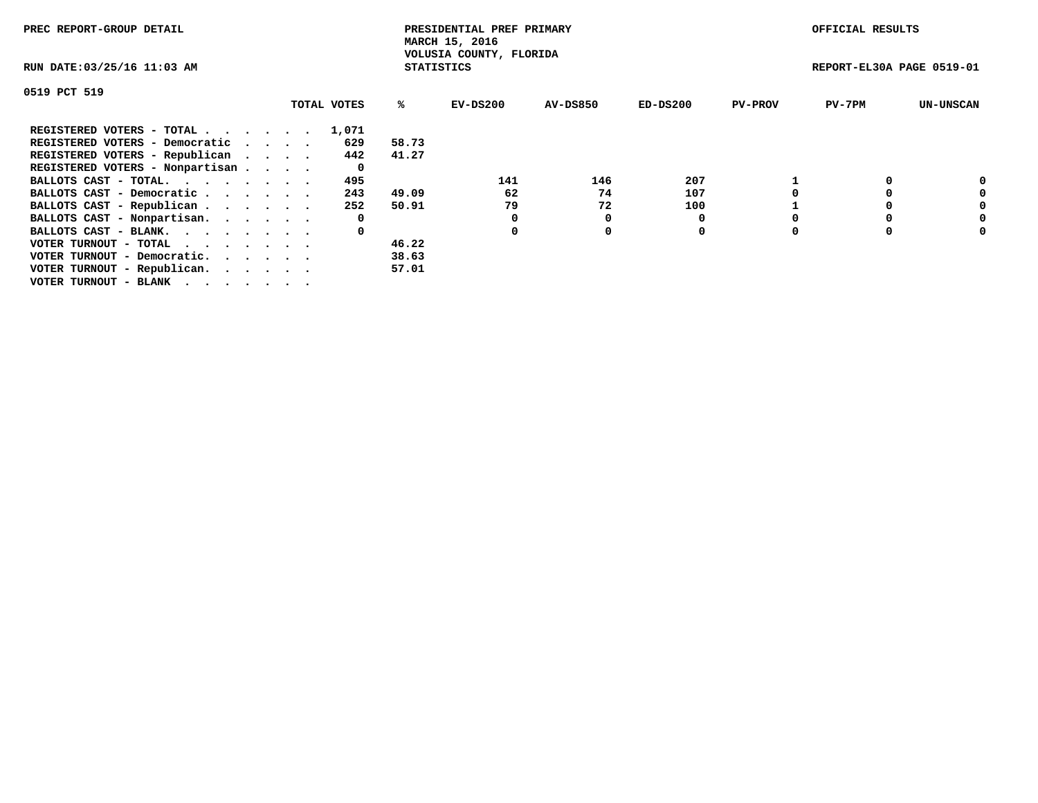| PREC REPORT-GROUP DETAIL                                    |             |                   | PRESIDENTIAL PREF PRIMARY<br>MARCH 15, 2016 |                 |            |                | OFFICIAL RESULTS          |                  |
|-------------------------------------------------------------|-------------|-------------------|---------------------------------------------|-----------------|------------|----------------|---------------------------|------------------|
| RUN DATE: 03/25/16 11:03 AM                                 |             | <b>STATISTICS</b> | VOLUSIA COUNTY, FLORIDA                     |                 |            |                | REPORT-EL30A PAGE 0519-01 |                  |
| 0519 PCT 519                                                |             |                   |                                             |                 |            |                |                           |                  |
|                                                             | TOTAL VOTES | ℁                 | EV-DS200                                    | <b>AV-DS850</b> | $ED-DS200$ | <b>PV-PROV</b> | $PV-7PM$                  | <b>UN-UNSCAN</b> |
| REGISTERED VOTERS - TOTAL                                   | 1,071       |                   |                                             |                 |            |                |                           |                  |
| REGISTERED VOTERS - Democratic                              | 629         | 58.73             |                                             |                 |            |                |                           |                  |
| REGISTERED VOTERS - Republican                              | 442         | 41.27             |                                             |                 |            |                |                           |                  |
| REGISTERED VOTERS - Nonpartisan                             | 0           |                   |                                             |                 |            |                |                           |                  |
| BALLOTS CAST - TOTAL.                                       | 495         |                   | 141                                         | 146             | 207        |                |                           | 0                |
| BALLOTS CAST - Democratic                                   | 243         | 49.09             | 62                                          | 74              | 107        |                |                           | 0                |
| BALLOTS CAST - Republican                                   | 252         | 50.91             | 79                                          | 72              | 100        |                |                           | 0                |
| BALLOTS CAST - Nonpartisan.                                 | 0           |                   |                                             |                 |            |                |                           | 0                |
| BALLOTS CAST - BLANK.                                       | 0           |                   |                                             | $\Omega$        | 0          |                |                           | 0                |
| VOTER TURNOUT - TOTAL $\cdot \cdot \cdot \cdot \cdot \cdot$ |             | 46.22             |                                             |                 |            |                |                           |                  |
| VOTER TURNOUT - Democratic.                                 |             | 38.63             |                                             |                 |            |                |                           |                  |
| VOTER TURNOUT - Republican.                                 |             | 57.01             |                                             |                 |            |                |                           |                  |
| VOTER TURNOUT - BLANK                                       |             |                   |                                             |                 |            |                |                           |                  |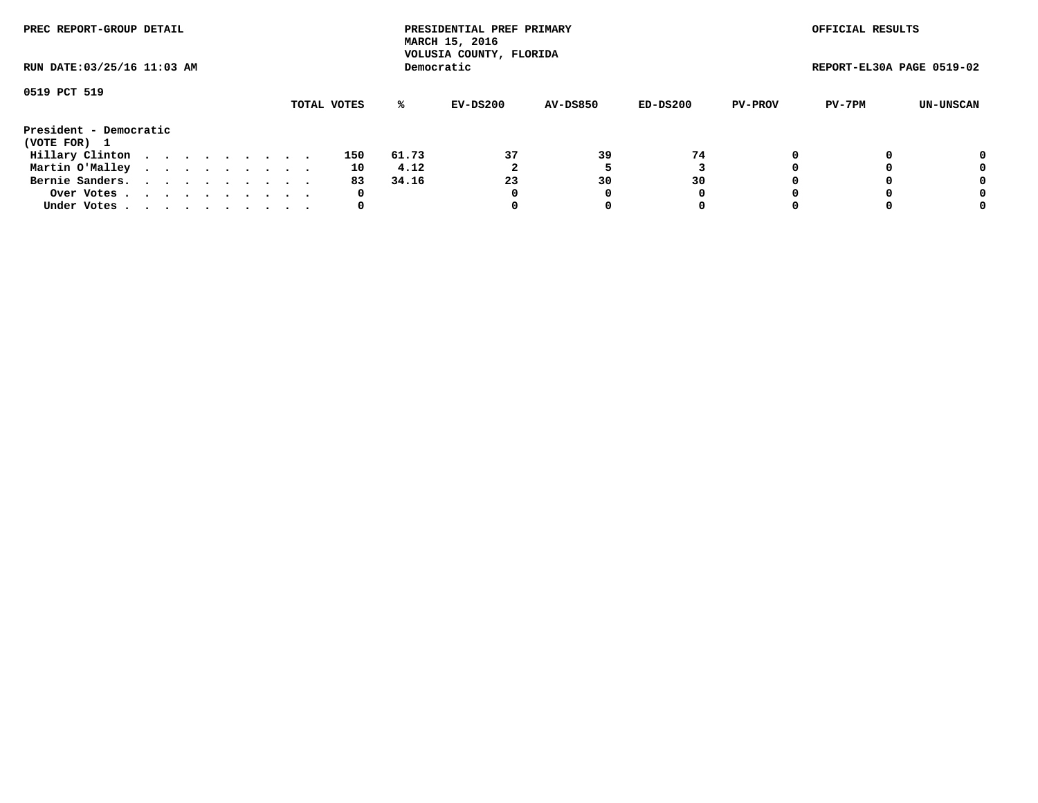| PREC REPORT-GROUP DETAIL<br>RUN DATE: 03/25/16 11:03 AM |             |  |  |  |  |  |  |  |  |     |       | PRESIDENTIAL PREF PRIMARY<br>MARCH 15, 2016<br>VOLUSIA COUNTY, FLORIDA |                 |          |                | OFFICIAL RESULTS          |           |
|---------------------------------------------------------|-------------|--|--|--|--|--|--|--|--|-----|-------|------------------------------------------------------------------------|-----------------|----------|----------------|---------------------------|-----------|
|                                                         |             |  |  |  |  |  |  |  |  |     |       | Democratic                                                             |                 |          |                | REPORT-EL30A PAGE 0519-02 |           |
| 0519 PCT 519                                            | TOTAL VOTES |  |  |  |  |  |  |  |  |     |       |                                                                        |                 |          |                |                           |           |
|                                                         |             |  |  |  |  |  |  |  |  |     | %ะ    | EV-DS200                                                               | <b>AV-DS850</b> | ED-DS200 | <b>PV-PROV</b> | PV-7PM                    | UN-UNSCAN |
| President - Democratic                                  |             |  |  |  |  |  |  |  |  |     |       |                                                                        |                 |          |                |                           |           |
| (VOTE FOR) 1                                            |             |  |  |  |  |  |  |  |  |     |       |                                                                        |                 |          |                |                           |           |
| Hillary Clinton                                         |             |  |  |  |  |  |  |  |  | 150 | 61.73 | 37                                                                     | 39              | 74       |                |                           | 0         |
| Martin O'Malley                                         |             |  |  |  |  |  |  |  |  | 10  | 4.12  |                                                                        |                 |          |                |                           | 0         |
| Bernie Sanders.                                         |             |  |  |  |  |  |  |  |  | 83  | 34.16 | 23                                                                     | 30              | 30       |                |                           | 0         |
| Over Votes.                                             |             |  |  |  |  |  |  |  |  | 0   |       | 0                                                                      |                 | 0        |                |                           | 0         |
| Under Votes.                                            |             |  |  |  |  |  |  |  |  | 0   |       |                                                                        |                 | 0        |                |                           | 0         |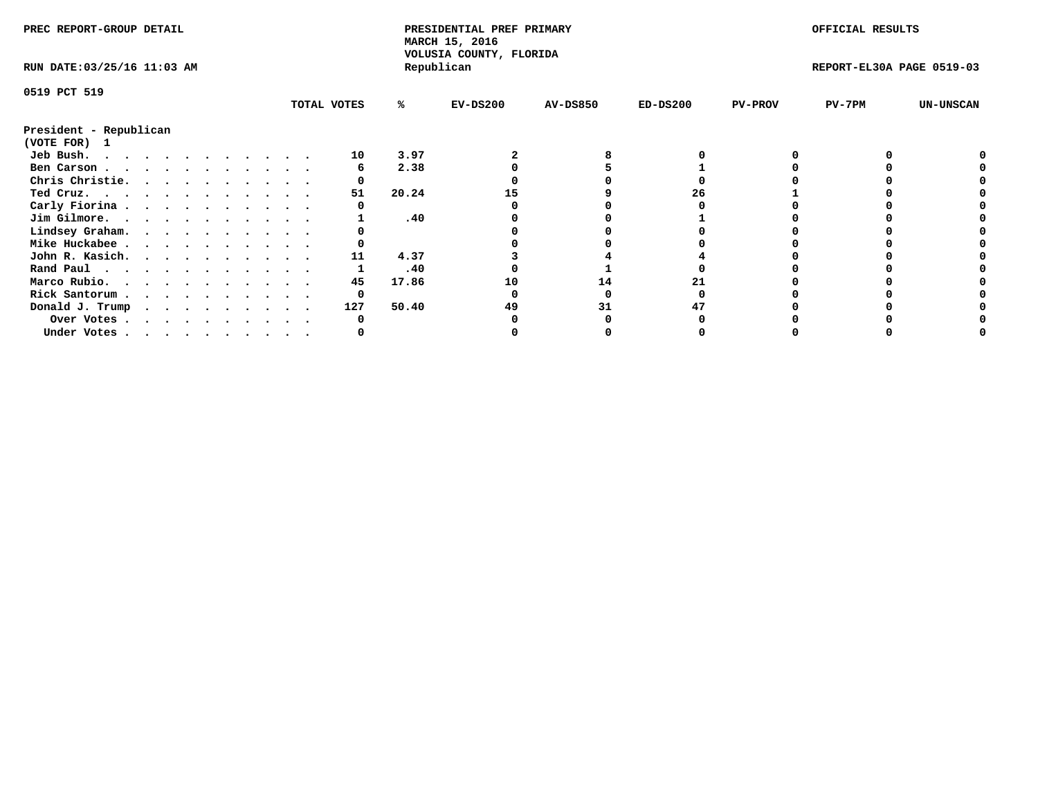| PREC REPORT-GROUP DETAIL               |  |  |  |  |  |  |  |             | PRESIDENTIAL PREF PRIMARY<br>MARCH 15, 2016<br>VOLUSIA COUNTY, FLORIDA |            |                 |            | OFFICIAL RESULTS |                           |                  |
|----------------------------------------|--|--|--|--|--|--|--|-------------|------------------------------------------------------------------------|------------|-----------------|------------|------------------|---------------------------|------------------|
| RUN DATE: 03/25/16 11:03 AM            |  |  |  |  |  |  |  |             |                                                                        | Republican |                 |            |                  | REPORT-EL30A PAGE 0519-03 |                  |
| 0519 PCT 519                           |  |  |  |  |  |  |  |             |                                                                        |            |                 |            |                  |                           |                  |
|                                        |  |  |  |  |  |  |  | TOTAL VOTES | %ะ                                                                     | $EV-DS200$ | <b>AV-DS850</b> | $ED-DS200$ | <b>PV-PROV</b>   | PV-7PM                    | <b>UN-UNSCAN</b> |
| President - Republican<br>(VOTE FOR) 1 |  |  |  |  |  |  |  |             |                                                                        |            |                 |            |                  |                           |                  |
| Jeb Bush.                              |  |  |  |  |  |  |  | 10          | 3.97                                                                   |            |                 |            |                  |                           |                  |
| Ben Carson                             |  |  |  |  |  |  |  |             | 2.38                                                                   |            |                 |            |                  |                           |                  |
| Chris Christie.                        |  |  |  |  |  |  |  |             |                                                                        |            |                 |            |                  |                           |                  |
| Ted Cruz.                              |  |  |  |  |  |  |  | 51          | 20.24                                                                  | 15         |                 | 26         |                  |                           |                  |
| Carly Fiorina                          |  |  |  |  |  |  |  |             |                                                                        |            |                 |            |                  |                           |                  |
| Jim Gilmore.                           |  |  |  |  |  |  |  |             | .40                                                                    |            |                 |            |                  |                           |                  |
| Lindsey Graham.                        |  |  |  |  |  |  |  |             |                                                                        |            |                 |            |                  |                           |                  |
| Mike Huckabee                          |  |  |  |  |  |  |  |             |                                                                        |            |                 |            |                  |                           |                  |
|                                        |  |  |  |  |  |  |  | 11          | 4.37                                                                   |            |                 |            |                  |                           |                  |
| John R. Kasich.                        |  |  |  |  |  |  |  |             |                                                                        |            |                 |            |                  |                           |                  |
| Rand Paul                              |  |  |  |  |  |  |  |             | .40                                                                    |            |                 |            |                  |                           |                  |
| Marco Rubio.                           |  |  |  |  |  |  |  | 45          | 17.86                                                                  | 10         | 14              |            |                  |                           |                  |
| Rick Santorum                          |  |  |  |  |  |  |  |             |                                                                        |            |                 |            |                  |                           |                  |
| Donald J. Trump                        |  |  |  |  |  |  |  | 127         | 50.40                                                                  |            |                 |            |                  |                           |                  |
| Over Votes                             |  |  |  |  |  |  |  |             |                                                                        |            |                 |            |                  |                           |                  |
| Under Votes                            |  |  |  |  |  |  |  |             |                                                                        |            |                 |            |                  |                           |                  |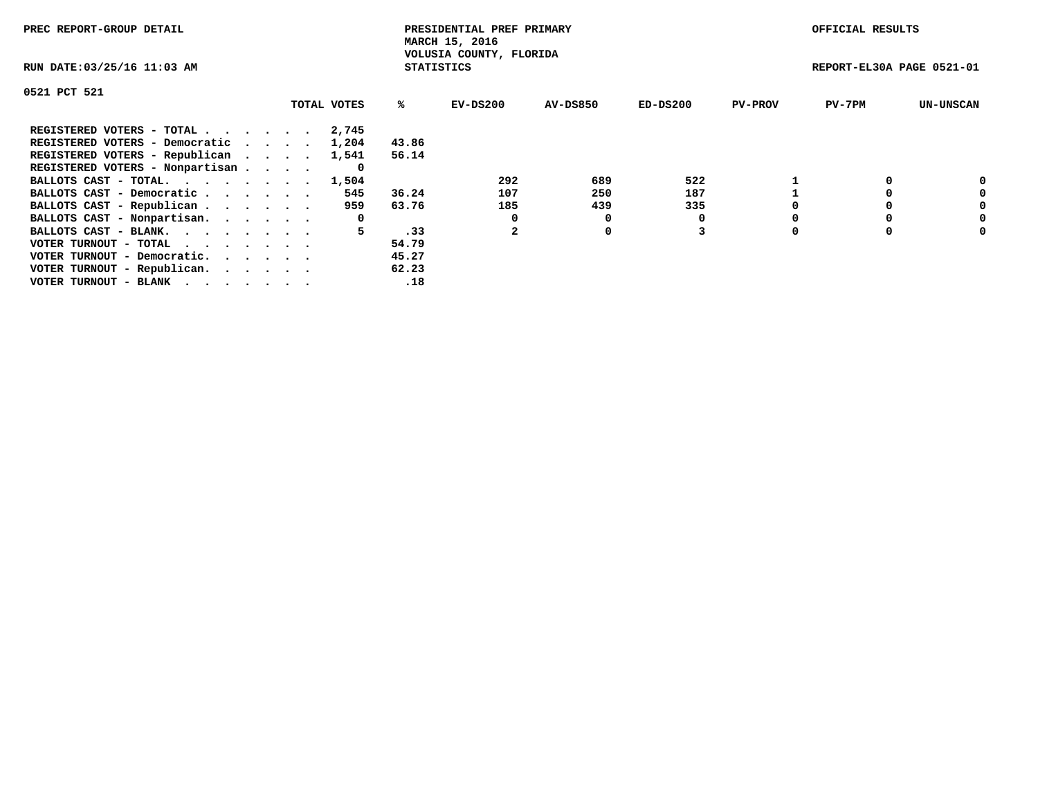| PREC REPORT-GROUP DETAIL                                    |             |                   | PRESIDENTIAL PREF PRIMARY<br>MARCH 15, 2016 |          |            |                | OFFICIAL RESULTS          |                  |
|-------------------------------------------------------------|-------------|-------------------|---------------------------------------------|----------|------------|----------------|---------------------------|------------------|
| RUN DATE: 03/25/16 11:03 AM                                 |             | <b>STATISTICS</b> | VOLUSIA COUNTY, FLORIDA                     |          |            |                | REPORT-EL30A PAGE 0521-01 |                  |
| 0521 PCT 521                                                |             |                   |                                             |          |            |                |                           |                  |
|                                                             | TOTAL VOTES | ℁                 | $EV-DS200$                                  | AV-DS850 | $ED-DS200$ | <b>PV-PROV</b> | $PV-7PM$                  | <b>UN-UNSCAN</b> |
| REGISTERED VOTERS - TOTAL                                   | 2,745       |                   |                                             |          |            |                |                           |                  |
| REGISTERED VOTERS - Democratic                              | 1,204       | 43.86             |                                             |          |            |                |                           |                  |
| REGISTERED VOTERS - Republican                              | 1,541       | 56.14             |                                             |          |            |                |                           |                  |
| REGISTERED VOTERS - Nonpartisan                             | O           |                   |                                             |          |            |                |                           |                  |
| BALLOTS CAST - TOTAL. 1,504                                 |             |                   | 292                                         | 689      | 522        |                |                           | 0                |
| BALLOTS CAST - Democratic                                   | 545         | 36.24             | 107                                         | 250      | 187        |                |                           | 0                |
| BALLOTS CAST - Republican                                   | 959         | 63.76             | 185                                         | 439      | 335        |                |                           | 0                |
| BALLOTS CAST - Nonpartisan.                                 | 0           |                   |                                             | 0        |            |                |                           | 0                |
| BALLOTS CAST - BLANK.                                       | 5.          | .33               |                                             | 0        |            |                |                           | 0                |
| VOTER TURNOUT - TOTAL $\cdot \cdot \cdot \cdot \cdot \cdot$ |             | 54.79             |                                             |          |            |                |                           |                  |
| VOTER TURNOUT - Democratic.                                 |             | 45.27             |                                             |          |            |                |                           |                  |
| VOTER TURNOUT - Republican.                                 |             | 62.23             |                                             |          |            |                |                           |                  |
| VOTER TURNOUT - BLANK                                       |             | .18               |                                             |          |            |                |                           |                  |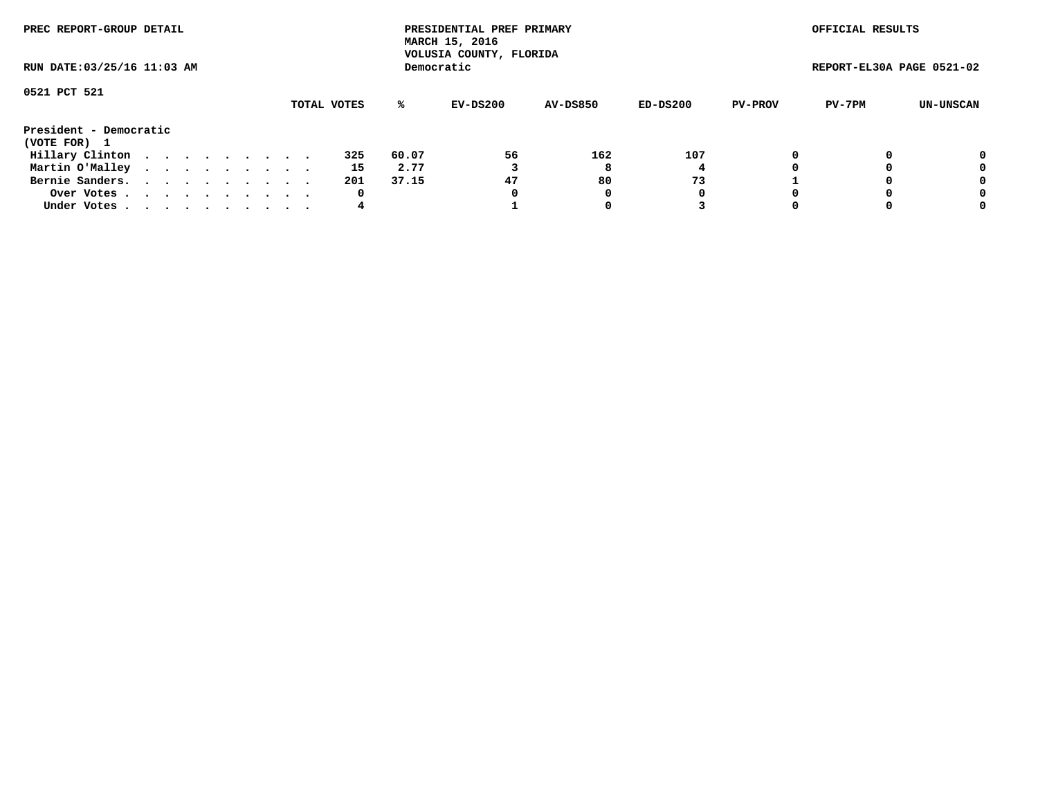| PREC REPORT-GROUP DETAIL<br>RUN DATE: 03/25/16 11:03 AM |  |  |  |  |  |  |  |  |             | PRESIDENTIAL PREF PRIMARY<br>MARCH 15, 2016<br>VOLUSIA COUNTY, FLORIDA |            |                 |          | OFFICIAL RESULTS |                           |           |
|---------------------------------------------------------|--|--|--|--|--|--|--|--|-------------|------------------------------------------------------------------------|------------|-----------------|----------|------------------|---------------------------|-----------|
|                                                         |  |  |  |  |  |  |  |  |             |                                                                        | Democratic |                 |          |                  | REPORT-EL30A PAGE 0521-02 |           |
| 0521 PCT 521                                            |  |  |  |  |  |  |  |  |             |                                                                        |            |                 |          |                  |                           |           |
|                                                         |  |  |  |  |  |  |  |  | TOTAL VOTES | ℁                                                                      | EV-DS200   | <b>AV-DS850</b> | ED-DS200 | <b>PV-PROV</b>   | PV-7PM                    | UN-UNSCAN |
| President - Democratic<br>(VOTE FOR) 1                  |  |  |  |  |  |  |  |  |             |                                                                        |            |                 |          |                  |                           |           |
| Hillary Clinton                                         |  |  |  |  |  |  |  |  | 325         | 60.07                                                                  | 56         | 162             | 107      |                  |                           | 0         |
| Martin O'Malley                                         |  |  |  |  |  |  |  |  | 15          | 2.77                                                                   |            | 8               |          |                  |                           | 0         |
| Bernie Sanders.                                         |  |  |  |  |  |  |  |  | 201         | 37.15                                                                  | 47         | 80              | 73       |                  |                           | 0         |
| Over Votes.                                             |  |  |  |  |  |  |  |  | 0           |                                                                        | 0          | 0               | 0        |                  |                           | 0         |
| Under Votes                                             |  |  |  |  |  |  |  |  | 4           |                                                                        |            |                 |          |                  |                           | 0         |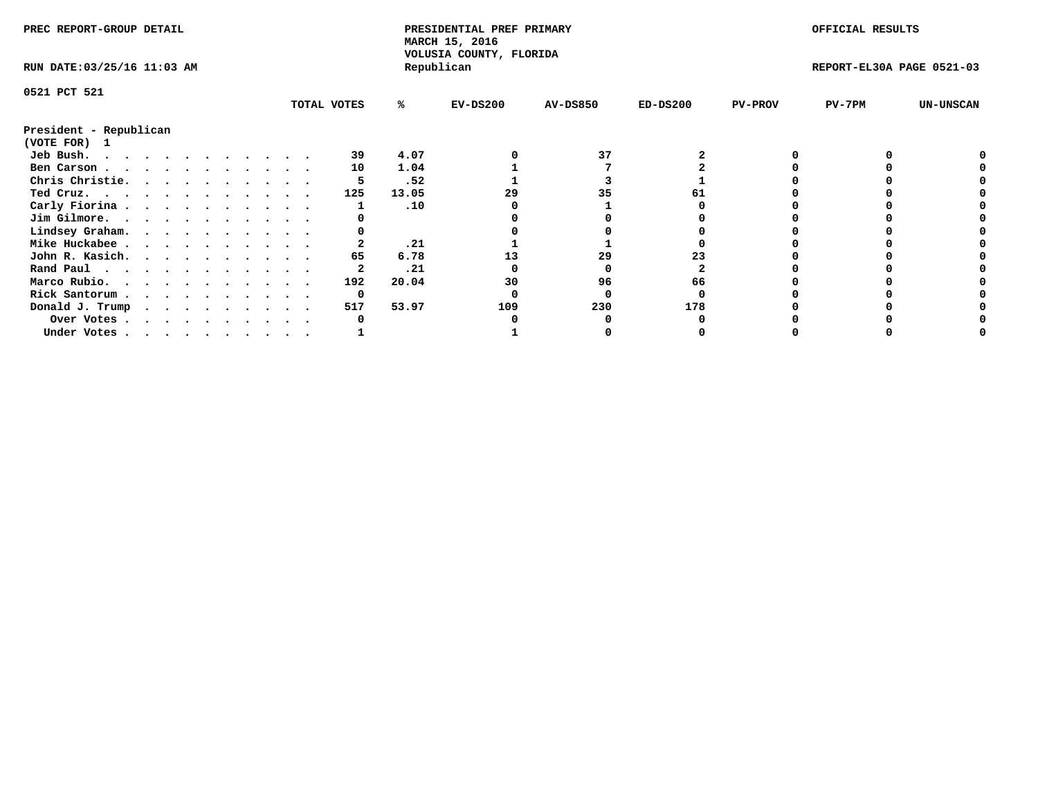| PREC REPORT-GROUP DETAIL                            |  |  |  |  |  |  |  | PRESIDENTIAL PREF PRIMARY<br>MARCH 15, 2016<br>VOLUSIA COUNTY, FLORIDA |       |            |                 | OFFICIAL RESULTS |                |                           |                  |
|-----------------------------------------------------|--|--|--|--|--|--|--|------------------------------------------------------------------------|-------|------------|-----------------|------------------|----------------|---------------------------|------------------|
| RUN DATE: 03/25/16 11:03 AM                         |  |  |  |  |  |  |  |                                                                        |       | Republican |                 |                  |                | REPORT-EL30A PAGE 0521-03 |                  |
| 0521 PCT 521                                        |  |  |  |  |  |  |  |                                                                        |       |            |                 |                  |                |                           |                  |
|                                                     |  |  |  |  |  |  |  | TOTAL VOTES                                                            | %ะ    | $EV-DS200$ | <b>AV-DS850</b> | $ED-DS200$       | <b>PV-PROV</b> | PV-7PM                    | <b>UN-UNSCAN</b> |
| President - Republican                              |  |  |  |  |  |  |  |                                                                        |       |            |                 |                  |                |                           |                  |
| (VOTE FOR) 1                                        |  |  |  |  |  |  |  |                                                                        |       |            |                 |                  |                |                           |                  |
| Jeb Bush.                                           |  |  |  |  |  |  |  | 39                                                                     | 4.07  |            | 37              |                  |                |                           |                  |
| Ben Carson                                          |  |  |  |  |  |  |  | 10                                                                     | 1.04  |            |                 |                  |                |                           |                  |
| Chris Christie.                                     |  |  |  |  |  |  |  |                                                                        | .52   |            |                 |                  |                |                           |                  |
| Ted Cruz.                                           |  |  |  |  |  |  |  | 125                                                                    | 13.05 |            | 35              |                  |                |                           |                  |
| Carly Fiorina                                       |  |  |  |  |  |  |  |                                                                        | .10   |            |                 |                  |                |                           |                  |
| Jim Gilmore.                                        |  |  |  |  |  |  |  |                                                                        |       |            |                 |                  |                |                           |                  |
| Lindsey Graham.                                     |  |  |  |  |  |  |  |                                                                        |       |            |                 |                  |                |                           |                  |
| Mike Huckabee                                       |  |  |  |  |  |  |  |                                                                        | .21   |            |                 |                  |                |                           |                  |
| John R. Kasich.                                     |  |  |  |  |  |  |  | 65                                                                     | 6.78  |            | 29              |                  |                |                           |                  |
| Rand Paul                                           |  |  |  |  |  |  |  |                                                                        | .21   |            |                 |                  |                |                           |                  |
| Marco Rubio.                                        |  |  |  |  |  |  |  | 192                                                                    | 20.04 | 30         | 96              | 66               |                |                           |                  |
| Rick Santorum                                       |  |  |  |  |  |  |  | 0                                                                      |       |            |                 |                  |                |                           |                  |
| Donald J. Trump $\cdots$ $\cdots$ $\cdots$ $\cdots$ |  |  |  |  |  |  |  | 517                                                                    | 53.97 | 109        | 230             | 178              |                |                           |                  |
| Over Votes                                          |  |  |  |  |  |  |  |                                                                        |       |            |                 |                  |                |                           |                  |
| Under Votes                                         |  |  |  |  |  |  |  |                                                                        |       |            |                 |                  |                |                           |                  |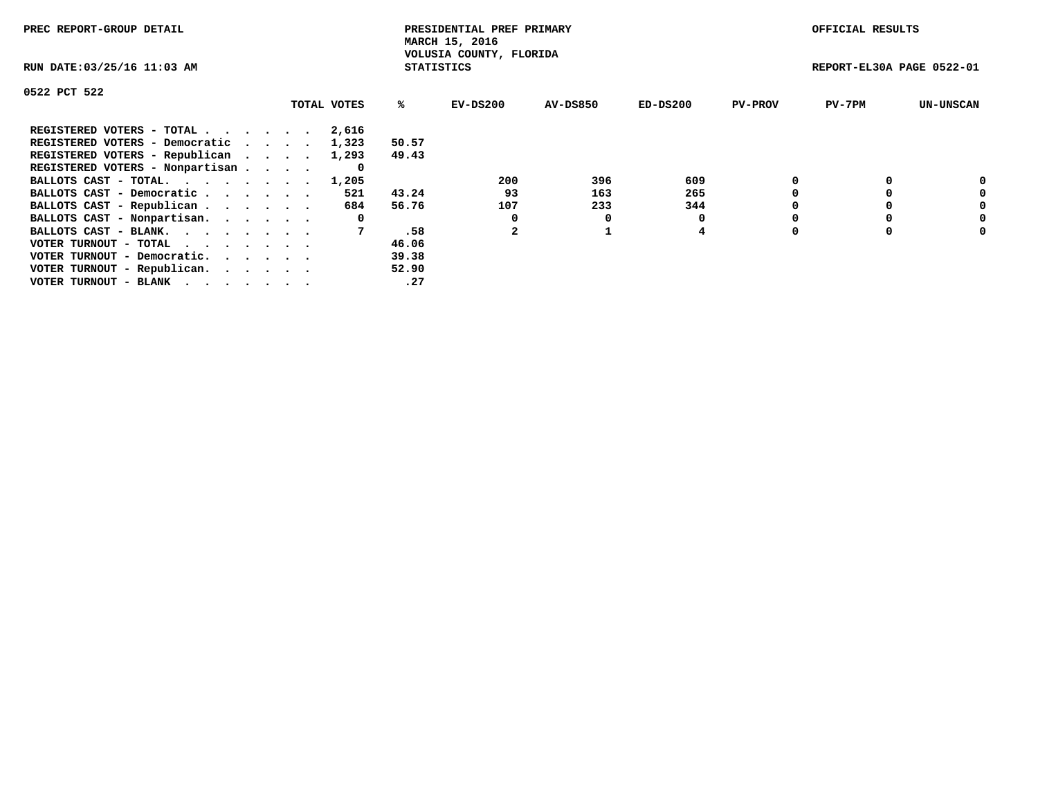| PREC REPORT-GROUP DETAIL                                    |             |                   | PRESIDENTIAL PREF PRIMARY<br>MARCH 15, 2016 |          |            |                | OFFICIAL RESULTS          |                  |
|-------------------------------------------------------------|-------------|-------------------|---------------------------------------------|----------|------------|----------------|---------------------------|------------------|
| RUN DATE: 03/25/16 11:03 AM                                 |             | <b>STATISTICS</b> | VOLUSIA COUNTY, FLORIDA                     |          |            |                | REPORT-EL30A PAGE 0522-01 |                  |
| 0522 PCT 522                                                |             |                   |                                             |          |            |                |                           |                  |
|                                                             | TOTAL VOTES | ℁                 | $EV-DS200$                                  | AV-DS850 | $ED-DS200$ | <b>PV-PROV</b> | $PV-7PM$                  | <b>UN-UNSCAN</b> |
| REGISTERED VOTERS - TOTAL                                   | 2,616       |                   |                                             |          |            |                |                           |                  |
| REGISTERED VOTERS - Democratic                              | 1,323       | 50.57             |                                             |          |            |                |                           |                  |
| REGISTERED VOTERS - Republican                              | 1,293       | 49.43             |                                             |          |            |                |                           |                  |
| REGISTERED VOTERS - Nonpartisan                             | 0           |                   |                                             |          |            |                |                           |                  |
| BALLOTS CAST - TOTAL. 1,205                                 |             |                   | 200                                         | 396      | 609        |                |                           | 0                |
| BALLOTS CAST - Democratic                                   | 521         | 43.24             | 93                                          | 163      | 265        |                |                           | 0                |
| BALLOTS CAST - Republican                                   | 684         | 56.76             | 107                                         | 233      | 344        |                |                           | 0                |
| BALLOTS CAST - Nonpartisan.                                 | 0           |                   | 0                                           | 0        |            |                |                           | 0                |
| BALLOTS CAST - BLANK.                                       |             | .58               |                                             |          | 4          |                |                           | 0                |
| VOTER TURNOUT - TOTAL $\cdot \cdot \cdot \cdot \cdot \cdot$ |             | 46.06             |                                             |          |            |                |                           |                  |
| VOTER TURNOUT - Democratic.                                 |             | 39.38             |                                             |          |            |                |                           |                  |
| VOTER TURNOUT - Republican.                                 |             | 52.90             |                                             |          |            |                |                           |                  |
| VOTER TURNOUT - BLANK                                       |             | .27               |                                             |          |            |                |                           |                  |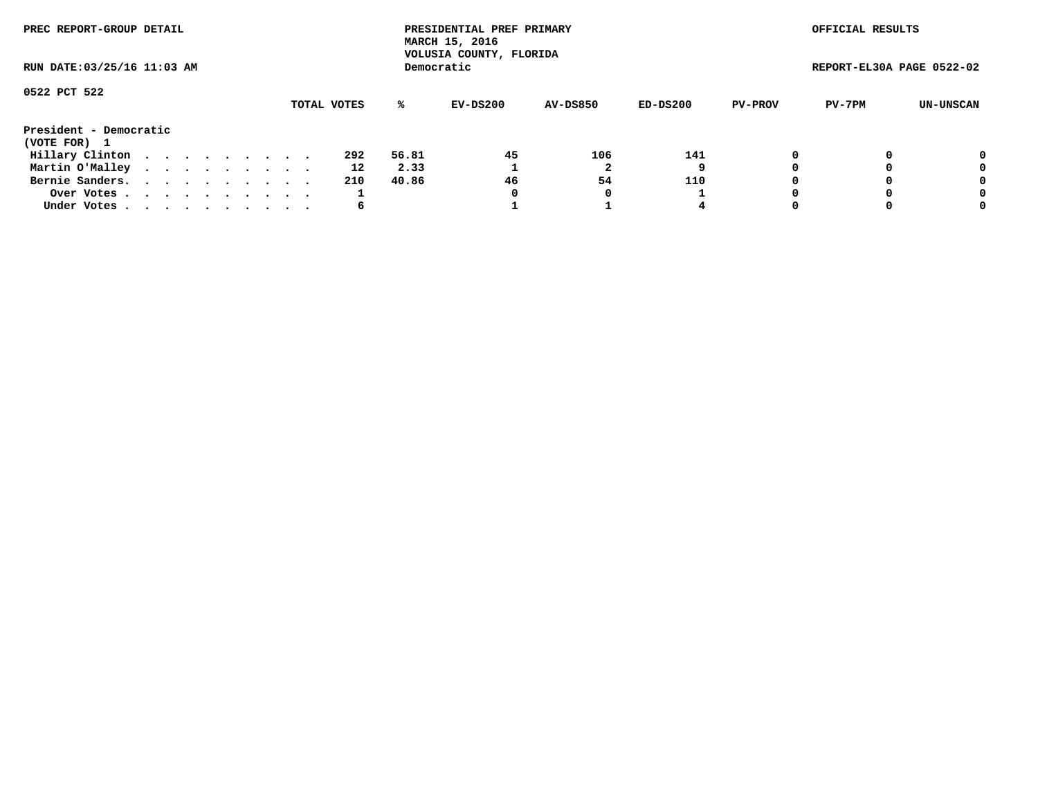| PREC REPORT-GROUP DETAIL<br>RUN DATE: 03/25/16 11:03 AM |  |  |  |  |  |  |  |  |             |       | PRESIDENTIAL PREF PRIMARY<br>MARCH 15, 2016<br>VOLUSIA COUNTY, FLORIDA |                 |            |                | OFFICIAL RESULTS          |           |
|---------------------------------------------------------|--|--|--|--|--|--|--|--|-------------|-------|------------------------------------------------------------------------|-----------------|------------|----------------|---------------------------|-----------|
|                                                         |  |  |  |  |  |  |  |  |             |       | Democratic                                                             |                 |            |                | REPORT-EL30A PAGE 0522-02 |           |
| 0522 PCT 522                                            |  |  |  |  |  |  |  |  | TOTAL VOTES | %ะ    | EV-DS200                                                               | <b>AV-DS850</b> | $ED-DS200$ | <b>PV-PROV</b> | PV-7PM                    | UN-UNSCAN |
| President - Democratic<br>(VOTE FOR) 1                  |  |  |  |  |  |  |  |  |             |       |                                                                        |                 |            |                |                           |           |
| Hillary Clinton                                         |  |  |  |  |  |  |  |  | 292         | 56.81 | 45                                                                     | 106             | 141        | 0              |                           | 0         |
| Martin O'Malley                                         |  |  |  |  |  |  |  |  | 12          | 2.33  |                                                                        |                 |            |                |                           | 0         |
| Bernie Sanders.                                         |  |  |  |  |  |  |  |  | 210         | 40.86 | 46                                                                     | 54              | 110        |                |                           | 0         |
| Over Votes                                              |  |  |  |  |  |  |  |  |             |       | 0                                                                      | 0               |            |                |                           | 0         |
| Under Votes.                                            |  |  |  |  |  |  |  |  | 6           |       |                                                                        |                 | 4          |                |                           | 0         |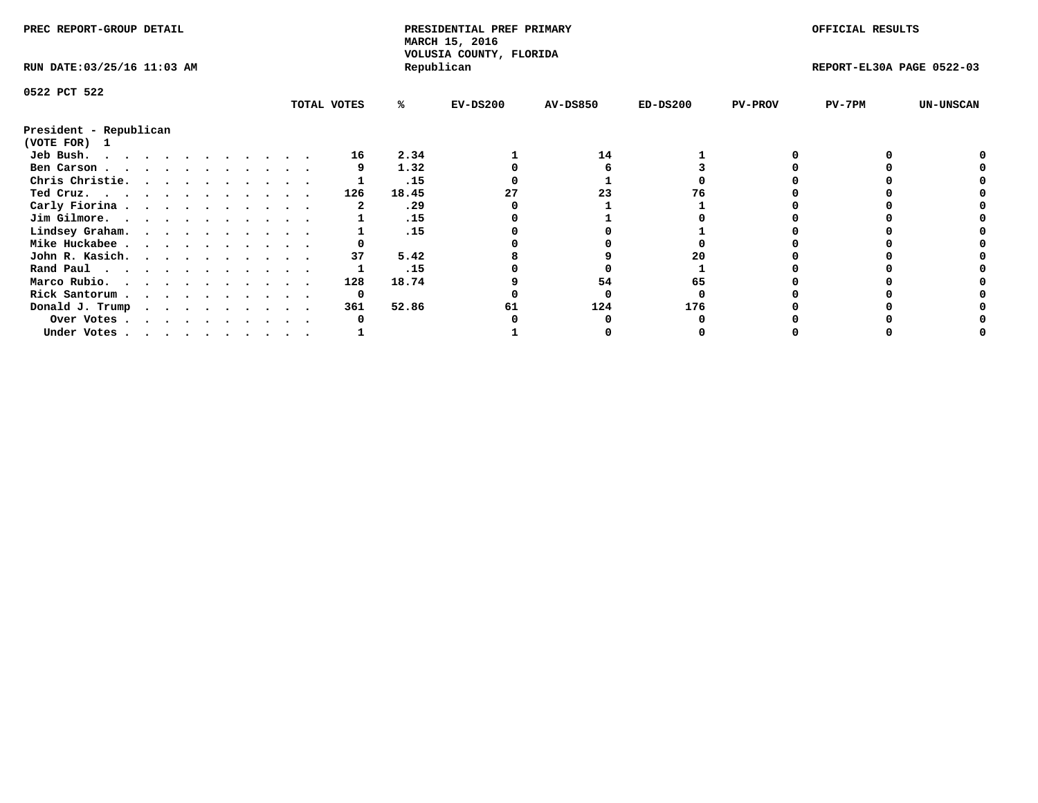| PREC REPORT-GROUP DETAIL                            |  |  |  |  |  |  |  |             | PRESIDENTIAL PREF PRIMARY<br>MARCH 15, 2016<br>VOLUSIA COUNTY, FLORIDA |       |            |                 | OFFICIAL RESULTS |                |                           |                  |
|-----------------------------------------------------|--|--|--|--|--|--|--|-------------|------------------------------------------------------------------------|-------|------------|-----------------|------------------|----------------|---------------------------|------------------|
| RUN DATE: 03/25/16 11:03 AM                         |  |  |  |  |  |  |  |             |                                                                        |       | Republican |                 |                  |                | REPORT-EL30A PAGE 0522-03 |                  |
| 0522 PCT 522                                        |  |  |  |  |  |  |  |             |                                                                        |       |            |                 |                  |                |                           |                  |
|                                                     |  |  |  |  |  |  |  | TOTAL VOTES |                                                                        | %ะ    | $EV-DS200$ | <b>AV-DS850</b> | $ED-DS200$       | <b>PV-PROV</b> | PV-7PM                    | <b>UN-UNSCAN</b> |
| President - Republican                              |  |  |  |  |  |  |  |             |                                                                        |       |            |                 |                  |                |                           |                  |
| (VOTE FOR) 1                                        |  |  |  |  |  |  |  |             |                                                                        |       |            |                 |                  |                |                           |                  |
| Jeb Bush.                                           |  |  |  |  |  |  |  |             | 16                                                                     | 2.34  |            | 14              |                  |                |                           |                  |
| Ben Carson                                          |  |  |  |  |  |  |  |             |                                                                        | 1.32  |            |                 |                  |                |                           |                  |
| Chris Christie.                                     |  |  |  |  |  |  |  |             |                                                                        | .15   |            |                 |                  |                |                           |                  |
| Ted Cruz.                                           |  |  |  |  |  |  |  |             | 126                                                                    | 18.45 |            | 23              |                  |                |                           |                  |
| Carly Fiorina                                       |  |  |  |  |  |  |  |             |                                                                        | .29   |            |                 |                  |                |                           |                  |
| Jim Gilmore.                                        |  |  |  |  |  |  |  |             |                                                                        | .15   |            |                 |                  |                |                           |                  |
| Lindsey Graham.                                     |  |  |  |  |  |  |  |             |                                                                        | .15   |            |                 |                  |                |                           |                  |
| Mike Huckabee                                       |  |  |  |  |  |  |  |             |                                                                        |       |            |                 |                  |                |                           |                  |
| John R. Kasich.                                     |  |  |  |  |  |  |  |             | 37                                                                     | 5.42  |            |                 |                  |                |                           |                  |
| Rand Paul                                           |  |  |  |  |  |  |  |             |                                                                        | .15   |            |                 |                  |                |                           |                  |
| Marco Rubio.                                        |  |  |  |  |  |  |  |             | 128                                                                    | 18.74 |            | 54              |                  |                |                           |                  |
| Rick Santorum                                       |  |  |  |  |  |  |  |             | 0                                                                      |       |            |                 |                  |                |                           |                  |
| Donald J. Trump $\cdots$ $\cdots$ $\cdots$ $\cdots$ |  |  |  |  |  |  |  |             | 361                                                                    | 52.86 | 61         | 124             | 176              |                |                           |                  |
| Over Votes                                          |  |  |  |  |  |  |  |             |                                                                        |       |            |                 |                  |                |                           |                  |
| Under Votes                                         |  |  |  |  |  |  |  |             |                                                                        |       |            |                 |                  |                |                           |                  |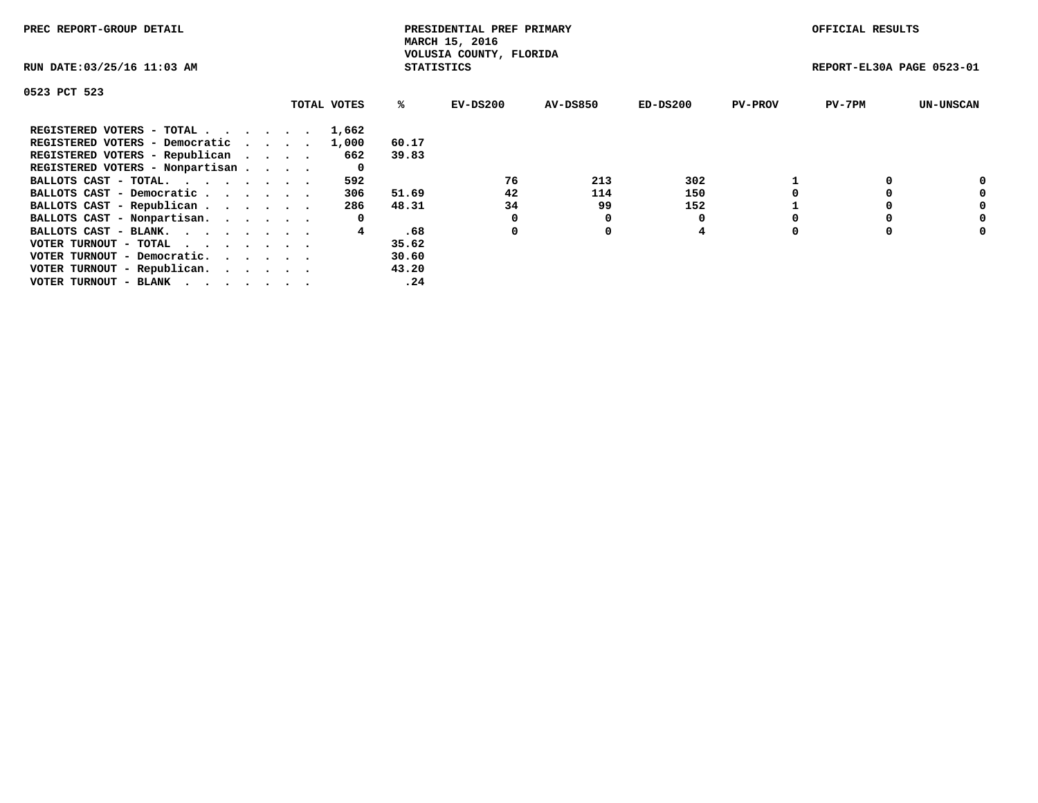| PREC REPORT-GROUP DETAIL                                    |             |                   | PRESIDENTIAL PREF PRIMARY<br>MARCH 15, 2016 |          |            |                | OFFICIAL RESULTS          |                  |
|-------------------------------------------------------------|-------------|-------------------|---------------------------------------------|----------|------------|----------------|---------------------------|------------------|
| RUN DATE: 03/25/16 11:03 AM                                 |             | <b>STATISTICS</b> | VOLUSIA COUNTY, FLORIDA                     |          |            |                | REPORT-EL30A PAGE 0523-01 |                  |
| 0523 PCT 523                                                |             |                   |                                             |          |            |                |                           |                  |
|                                                             | TOTAL VOTES | ℁                 | $EV-DS200$                                  | AV-DS850 | $ED-DS200$ | <b>PV-PROV</b> | $PV-7PM$                  | <b>UN-UNSCAN</b> |
| REGISTERED VOTERS - TOTAL                                   | 1,662       |                   |                                             |          |            |                |                           |                  |
| REGISTERED VOTERS - Democratic                              | 1,000       | 60.17             |                                             |          |            |                |                           |                  |
| REGISTERED VOTERS - Republican                              | 662         | 39.83             |                                             |          |            |                |                           |                  |
| REGISTERED VOTERS - Nonpartisan                             | 0           |                   |                                             |          |            |                |                           |                  |
| BALLOTS CAST - TOTAL.                                       | 592         |                   | 76                                          | 213      | 302        |                |                           | 0                |
| BALLOTS CAST - Democratic                                   | 306         | 51.69             | 42                                          | 114      | 150        |                |                           | 0                |
| BALLOTS CAST - Republican                                   | 286         | 48.31             | 34                                          | 99       | 152        |                |                           | 0                |
| BALLOTS CAST - Nonpartisan.                                 | 0           |                   |                                             | 0        |            |                |                           | 0                |
| BALLOTS CAST - BLANK.                                       |             | .68               | 0                                           | 0        | 4          |                |                           | 0                |
| VOTER TURNOUT - TOTAL $\cdot \cdot \cdot \cdot \cdot \cdot$ |             | 35.62             |                                             |          |            |                |                           |                  |
| VOTER TURNOUT - Democratic.                                 |             | 30.60             |                                             |          |            |                |                           |                  |
| VOTER TURNOUT - Republican.                                 |             | 43.20             |                                             |          |            |                |                           |                  |
| VOTER TURNOUT - BLANK                                       |             | .24               |                                             |          |            |                |                           |                  |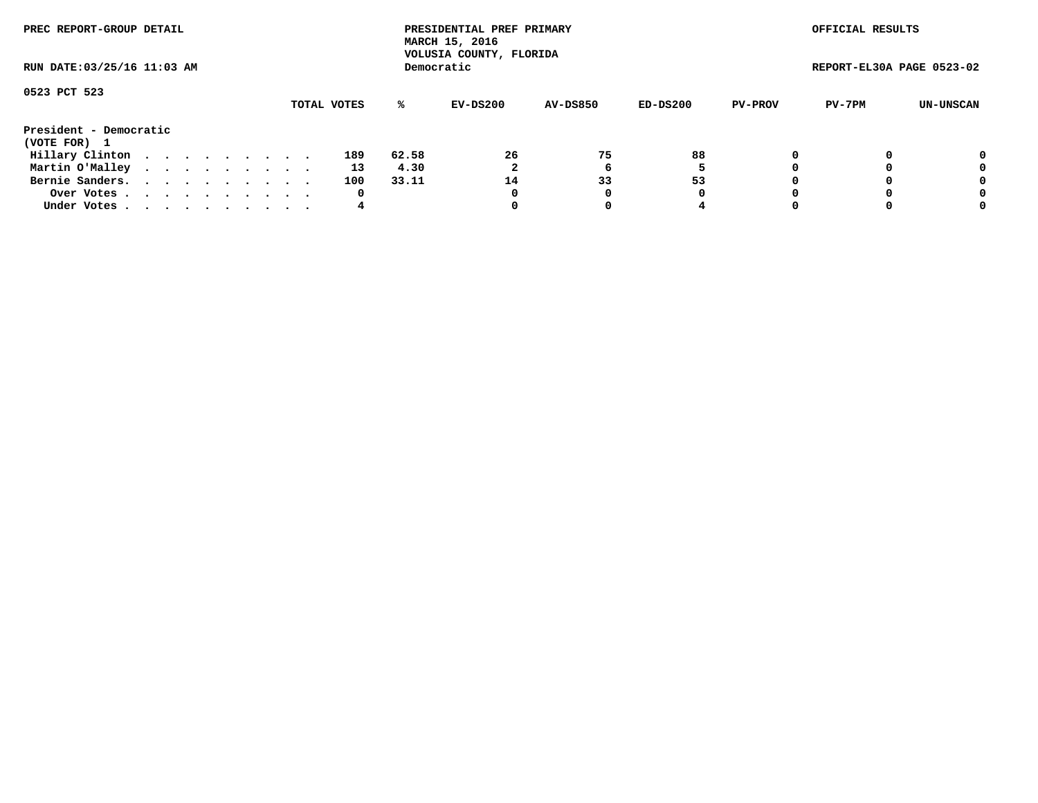| PREC REPORT-GROUP DETAIL<br>RUN DATE: 03/25/16 11:03 AM |  |  |  |  |  |  |  |  |             |       | PRESIDENTIAL PREF PRIMARY<br>MARCH 15, 2016<br>VOLUSIA COUNTY, FLORIDA |                 |          |                | OFFICIAL RESULTS          |           |
|---------------------------------------------------------|--|--|--|--|--|--|--|--|-------------|-------|------------------------------------------------------------------------|-----------------|----------|----------------|---------------------------|-----------|
|                                                         |  |  |  |  |  |  |  |  |             |       | Democratic                                                             |                 |          |                | REPORT-EL30A PAGE 0523-02 |           |
| 0523 PCT 523                                            |  |  |  |  |  |  |  |  | TOTAL VOTES | ℁     | EV-DS200                                                               | <b>AV-DS850</b> | ED-DS200 | <b>PV-PROV</b> | PV-7PM                    | UN-UNSCAN |
| President - Democratic                                  |  |  |  |  |  |  |  |  |             |       |                                                                        |                 |          |                |                           |           |
| (VOTE FOR) 1                                            |  |  |  |  |  |  |  |  |             |       |                                                                        |                 |          |                |                           |           |
| Hillary Clinton                                         |  |  |  |  |  |  |  |  | 189         | 62.58 | 26                                                                     | 75              | 88       |                |                           | 0         |
| Martin O'Malley                                         |  |  |  |  |  |  |  |  | 13          | 4.30  |                                                                        | ь               | 5        |                |                           | 0         |
| Bernie Sanders.                                         |  |  |  |  |  |  |  |  | 100         | 33.11 | 14                                                                     | 33              | 53       |                |                           | 0         |
| Over Votes.                                             |  |  |  |  |  |  |  |  | 0           |       | 0                                                                      | 0               | 0        |                |                           | 0         |
| Under Votes                                             |  |  |  |  |  |  |  |  | 4           |       |                                                                        |                 |          |                |                           | 0         |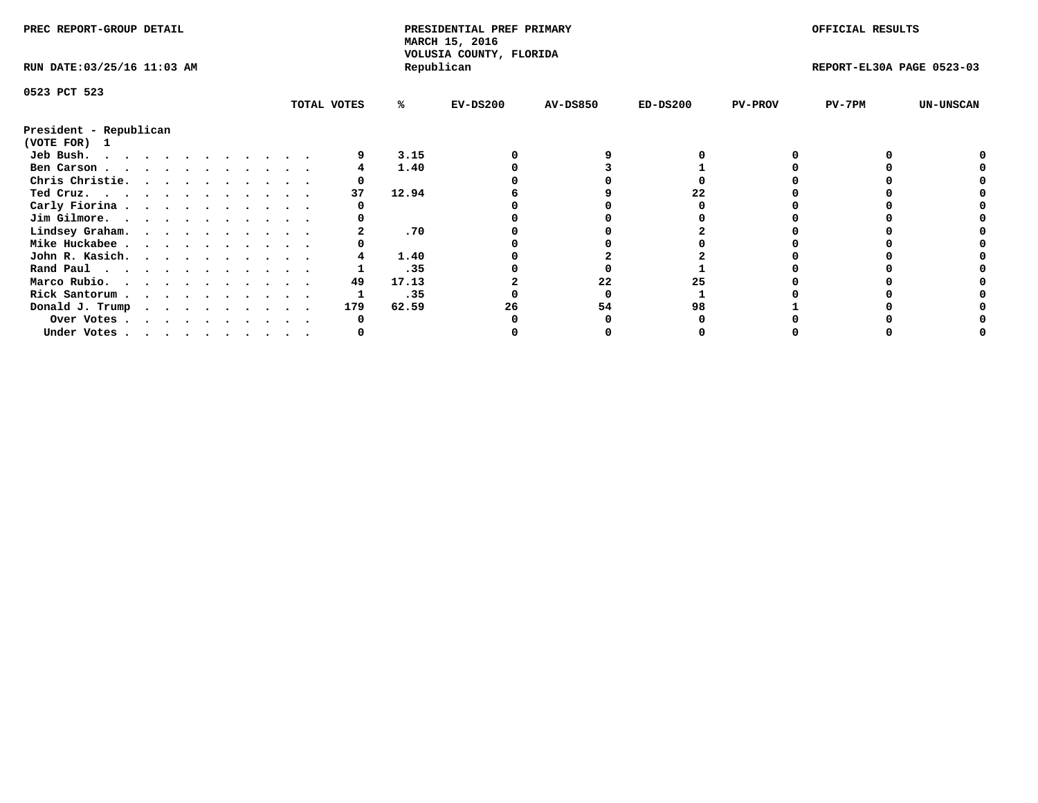| PREC REPORT-GROUP DETAIL               |  |  |  |  |  |  |  |             | PRESIDENTIAL PREF PRIMARY<br>MARCH 15, 2016<br>VOLUSIA COUNTY, FLORIDA |            |                 |            | OFFICIAL RESULTS |                           |                  |
|----------------------------------------|--|--|--|--|--|--|--|-------------|------------------------------------------------------------------------|------------|-----------------|------------|------------------|---------------------------|------------------|
| RUN DATE: 03/25/16 11:03 AM            |  |  |  |  |  |  |  |             |                                                                        | Republican |                 |            |                  | REPORT-EL30A PAGE 0523-03 |                  |
| 0523 PCT 523                           |  |  |  |  |  |  |  |             |                                                                        |            |                 |            |                  |                           |                  |
|                                        |  |  |  |  |  |  |  | TOTAL VOTES | %ะ                                                                     | $EV-DS200$ | <b>AV-DS850</b> | $ED-DS200$ | <b>PV-PROV</b>   | PV-7PM                    | <b>UN-UNSCAN</b> |
| President - Republican<br>(VOTE FOR) 1 |  |  |  |  |  |  |  |             |                                                                        |            |                 |            |                  |                           |                  |
| Jeb Bush.                              |  |  |  |  |  |  |  |             | 3.15                                                                   |            |                 |            |                  |                           |                  |
| Ben Carson                             |  |  |  |  |  |  |  |             | 1.40                                                                   |            |                 |            |                  |                           |                  |
| Chris Christie.                        |  |  |  |  |  |  |  |             |                                                                        |            |                 |            |                  |                           |                  |
| Ted Cruz.                              |  |  |  |  |  |  |  | 37          | 12.94                                                                  |            |                 |            |                  |                           |                  |
| Carly Fiorina                          |  |  |  |  |  |  |  |             |                                                                        |            |                 |            |                  |                           |                  |
| Jim Gilmore.                           |  |  |  |  |  |  |  |             |                                                                        |            |                 |            |                  |                           |                  |
| Lindsey Graham.                        |  |  |  |  |  |  |  |             | .70                                                                    |            |                 |            |                  |                           |                  |
| Mike Huckabee                          |  |  |  |  |  |  |  |             |                                                                        |            |                 |            |                  |                           |                  |
| John R. Kasich.                        |  |  |  |  |  |  |  |             | 1.40                                                                   |            |                 |            |                  |                           |                  |
| Rand Paul                              |  |  |  |  |  |  |  |             | .35                                                                    |            |                 |            |                  |                           |                  |
|                                        |  |  |  |  |  |  |  | 49          | 17.13                                                                  |            | 22              |            |                  |                           |                  |
| Marco Rubio.                           |  |  |  |  |  |  |  |             |                                                                        |            |                 |            |                  |                           |                  |
| Rick Santorum                          |  |  |  |  |  |  |  |             | .35                                                                    |            |                 |            |                  |                           |                  |
| Donald J. Trump                        |  |  |  |  |  |  |  | 179         | 62.59                                                                  | 26         | 54              | 98         |                  |                           |                  |
| Over Votes                             |  |  |  |  |  |  |  |             |                                                                        |            |                 |            |                  |                           |                  |
| Under Votes                            |  |  |  |  |  |  |  |             |                                                                        |            |                 |            |                  |                           |                  |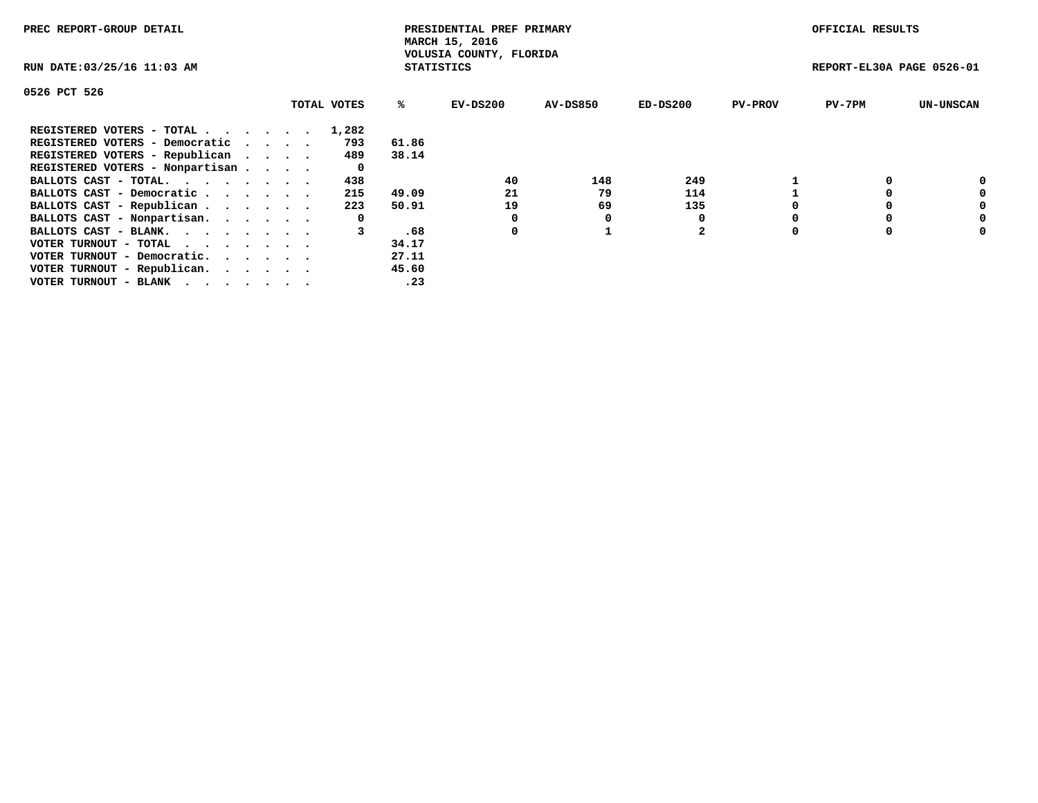| PREC REPORT-GROUP DETAIL                                    |             |                   | PRESIDENTIAL PREF PRIMARY<br>MARCH 15, 2016 |                 |              |                | OFFICIAL RESULTS          |                  |
|-------------------------------------------------------------|-------------|-------------------|---------------------------------------------|-----------------|--------------|----------------|---------------------------|------------------|
| RUN DATE: 03/25/16 11:03 AM                                 |             | <b>STATISTICS</b> | VOLUSIA COUNTY, FLORIDA                     |                 |              |                | REPORT-EL30A PAGE 0526-01 |                  |
| 0526 PCT 526                                                |             |                   |                                             |                 |              |                |                           |                  |
|                                                             | TOTAL VOTES | %ร                | EV-DS200                                    | <b>AV-DS850</b> | $ED-DS200$   | <b>PV-PROV</b> | $PV-7PM$                  | <b>UN-UNSCAN</b> |
| REGISTERED VOTERS - TOTAL                                   | 1,282       |                   |                                             |                 |              |                |                           |                  |
| REGISTERED VOTERS - Democratic                              | 793         | 61.86             |                                             |                 |              |                |                           |                  |
| REGISTERED VOTERS - Republican                              | 489         | 38.14             |                                             |                 |              |                |                           |                  |
| REGISTERED VOTERS - Nonpartisan                             | 0           |                   |                                             |                 |              |                |                           |                  |
| BALLOTS CAST - TOTAL.                                       | 438         |                   | 40                                          | 148             | 249          |                |                           | 0                |
| BALLOTS CAST - Democratic                                   | 215         | 49.09             | 21                                          | 79              | 114          |                |                           | 0                |
| BALLOTS CAST - Republican                                   | 223         | 50.91             | 19                                          | 69              | 135          |                |                           | 0                |
| BALLOTS CAST - Nonpartisan.                                 | 0           |                   |                                             | 0               |              |                |                           | 0                |
| BALLOTS CAST - BLANK.                                       | 3           | .68               | 0                                           |                 | $\mathbf{2}$ | O              |                           | 0                |
| VOTER TURNOUT - TOTAL $\cdot \cdot \cdot \cdot \cdot \cdot$ |             | 34.17             |                                             |                 |              |                |                           |                  |
| VOTER TURNOUT - Democratic.                                 |             | 27.11             |                                             |                 |              |                |                           |                  |
| VOTER TURNOUT - Republican.                                 |             | 45.60             |                                             |                 |              |                |                           |                  |
| VOTER TURNOUT - BLANK                                       |             | .23               |                                             |                 |              |                |                           |                  |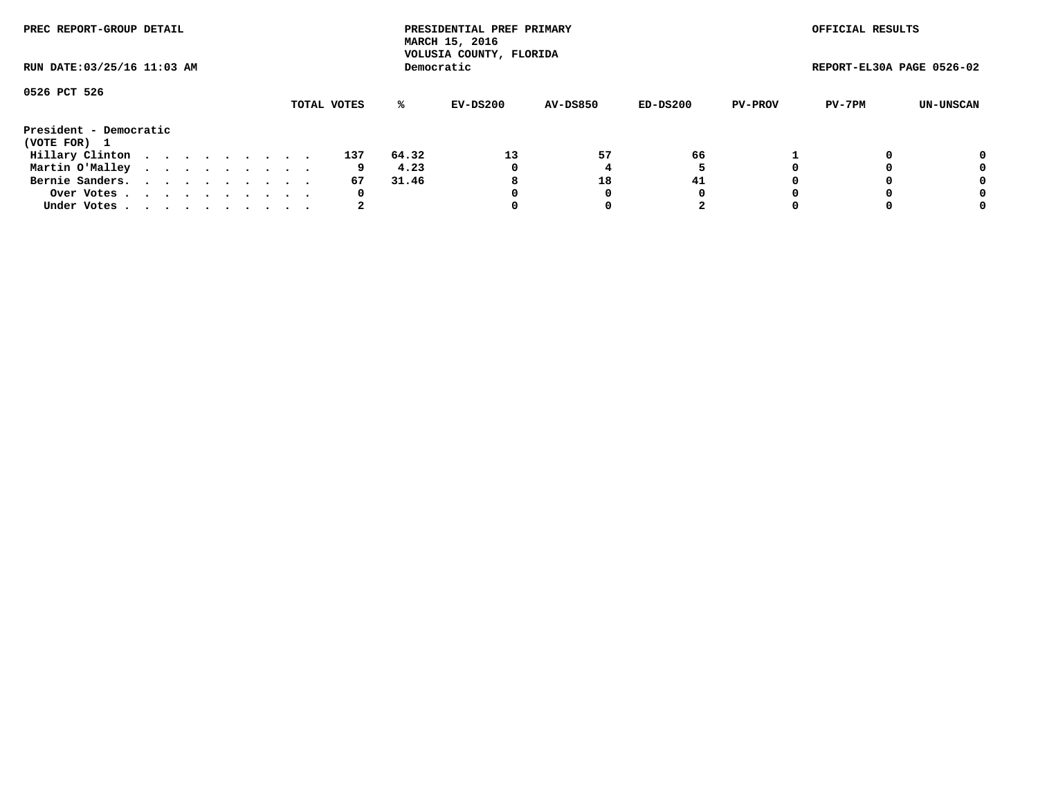| PREC REPORT-GROUP DETAIL<br>RUN DATE: 03/25/16 11:03 AM |  |  |  |  |  |  |  |  |             |       | PRESIDENTIAL PREF PRIMARY<br>MARCH 15, 2016<br>VOLUSIA COUNTY, FLORIDA |                 |          |                | OFFICIAL RESULTS          |           |
|---------------------------------------------------------|--|--|--|--|--|--|--|--|-------------|-------|------------------------------------------------------------------------|-----------------|----------|----------------|---------------------------|-----------|
|                                                         |  |  |  |  |  |  |  |  |             |       | Democratic                                                             |                 |          |                | REPORT-EL30A PAGE 0526-02 |           |
| 0526 PCT 526                                            |  |  |  |  |  |  |  |  |             |       |                                                                        |                 |          |                |                           |           |
|                                                         |  |  |  |  |  |  |  |  | TOTAL VOTES | ℁     | EV-DS200                                                               | <b>AV-DS850</b> | ED-DS200 | <b>PV-PROV</b> | PV-7PM                    | UN-UNSCAN |
| President - Democratic<br>(VOTE FOR) 1                  |  |  |  |  |  |  |  |  |             |       |                                                                        |                 |          |                |                           |           |
| Hillary Clinton                                         |  |  |  |  |  |  |  |  | 137         | 64.32 | 13                                                                     | 57              | 66       |                |                           | 0         |
| Martin O'Malley                                         |  |  |  |  |  |  |  |  | 9           | 4.23  | 0                                                                      |                 |          |                |                           | 0         |
| Bernie Sanders.                                         |  |  |  |  |  |  |  |  | 67          | 31.46 | 8                                                                      | 18              | 41       |                |                           | 0         |
| Over Votes.                                             |  |  |  |  |  |  |  |  | 0           |       | 0                                                                      | 0               | 0        |                |                           | 0         |
| Under Votes                                             |  |  |  |  |  |  |  |  | 2           |       |                                                                        |                 |          |                |                           | 0         |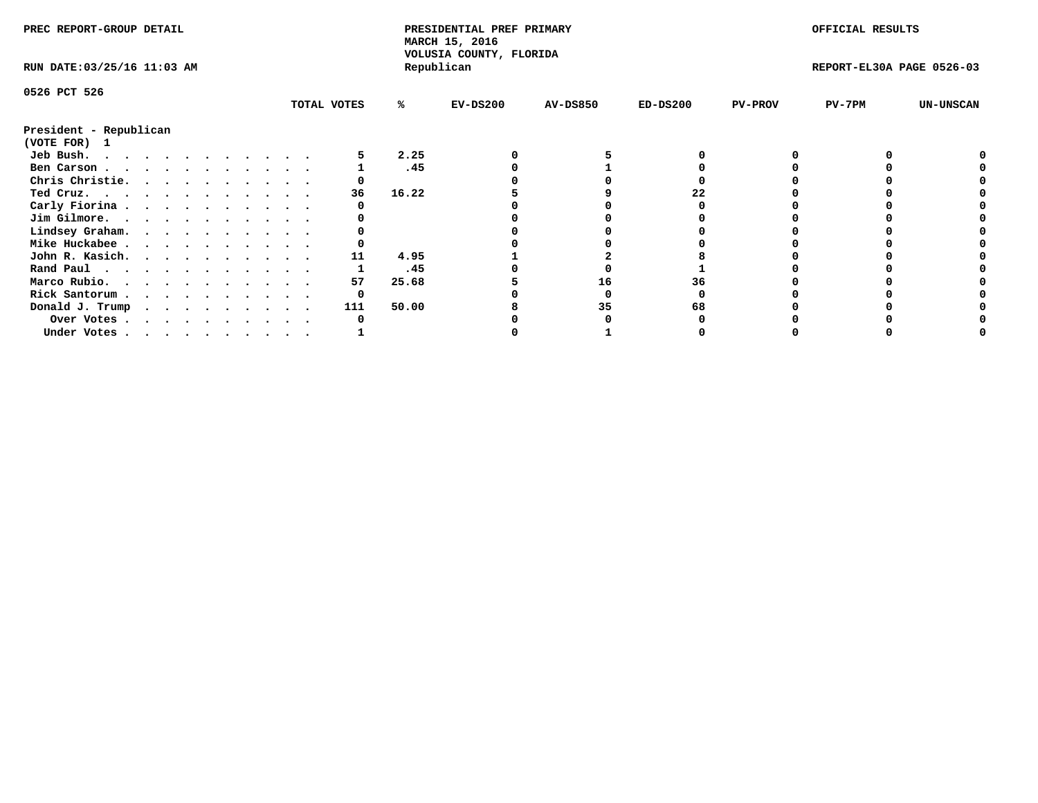| PREC REPORT-GROUP DETAIL               |  |   |  |  |  |             |       | PRESIDENTIAL PREF PRIMARY<br>MARCH 15, 2016<br>VOLUSIA COUNTY, FLORIDA |                 |            |                | OFFICIAL RESULTS          |                  |
|----------------------------------------|--|---|--|--|--|-------------|-------|------------------------------------------------------------------------|-----------------|------------|----------------|---------------------------|------------------|
| RUN DATE: 03/25/16 11:03 AM            |  |   |  |  |  |             |       | Republican                                                             |                 |            |                | REPORT-EL30A PAGE 0526-03 |                  |
| 0526 PCT 526                           |  |   |  |  |  |             |       |                                                                        |                 |            |                |                           |                  |
|                                        |  |   |  |  |  | TOTAL VOTES | %ะ    | $EV-DS200$                                                             | <b>AV-DS850</b> | $ED-DS200$ | <b>PV-PROV</b> | $PV-7PM$                  | <b>UN-UNSCAN</b> |
| President - Republican<br>(VOTE FOR) 1 |  |   |  |  |  |             |       |                                                                        |                 |            |                |                           |                  |
| Jeb Bush.                              |  |   |  |  |  |             | 2.25  |                                                                        |                 |            |                |                           |                  |
| Ben Carson                             |  |   |  |  |  |             | .45   |                                                                        |                 |            |                |                           |                  |
| Chris Christie.                        |  |   |  |  |  |             |       |                                                                        |                 |            |                |                           |                  |
| Ted Cruz.                              |  |   |  |  |  | 36          | 16.22 |                                                                        |                 | 22         |                |                           |                  |
| Carly Fiorina                          |  |   |  |  |  |             |       |                                                                        |                 |            |                |                           |                  |
| Jim Gilmore.                           |  |   |  |  |  |             |       |                                                                        |                 |            |                |                           |                  |
| Lindsey Graham.                        |  |   |  |  |  |             |       |                                                                        |                 |            |                |                           |                  |
| Mike Huckabee                          |  |   |  |  |  |             |       |                                                                        |                 |            |                |                           |                  |
| John R. Kasich.                        |  |   |  |  |  | 11          | 4.95  |                                                                        |                 |            |                |                           |                  |
| Rand Paul                              |  |   |  |  |  |             | .45   |                                                                        |                 |            |                |                           |                  |
| Marco Rubio.                           |  |   |  |  |  | 57          | 25.68 |                                                                        | 16              | 36         |                |                           |                  |
|                                        |  |   |  |  |  | 0           |       |                                                                        |                 |            |                |                           |                  |
| Rick Santorum                          |  |   |  |  |  |             |       |                                                                        |                 |            |                |                           |                  |
| Donald J. Trump                        |  | . |  |  |  | 111         | 50.00 |                                                                        | 35              |            |                |                           |                  |
| Over Votes                             |  |   |  |  |  |             |       |                                                                        |                 |            |                |                           |                  |
| Under Votes                            |  |   |  |  |  |             |       |                                                                        |                 |            |                |                           |                  |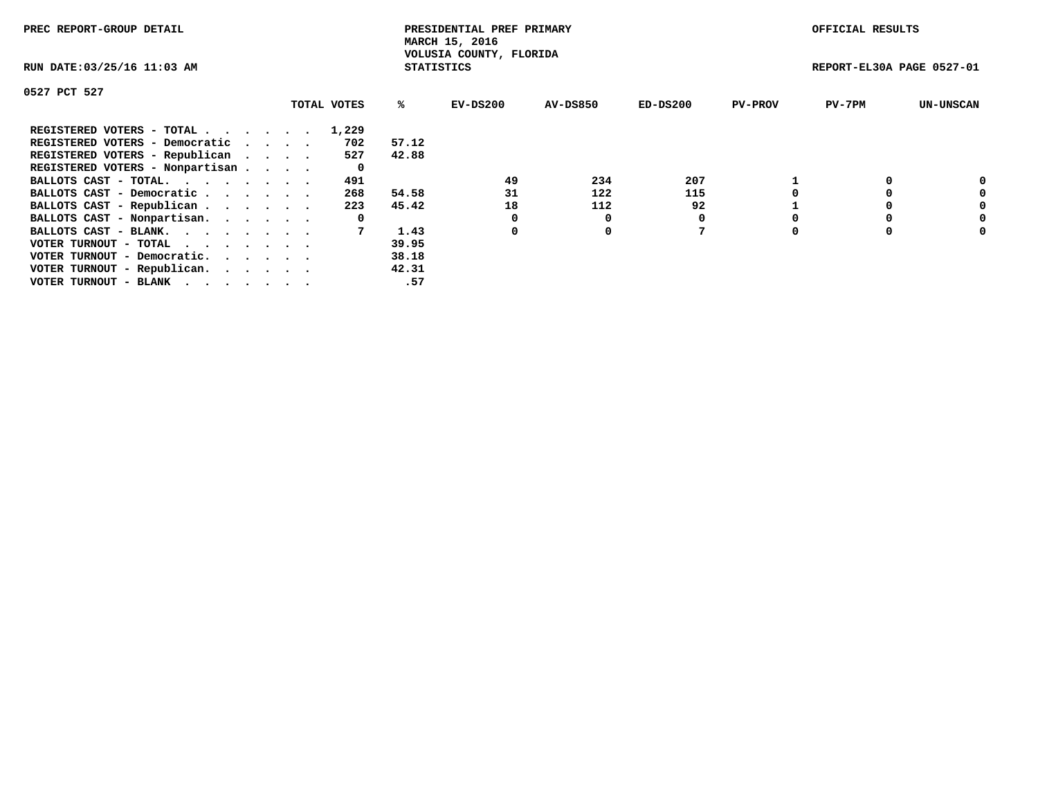| PREC REPORT-GROUP DETAIL        |             |                   | PRESIDENTIAL PREF PRIMARY<br>MARCH 15, 2016 |                 |          |                | OFFICIAL RESULTS          |                  |
|---------------------------------|-------------|-------------------|---------------------------------------------|-----------------|----------|----------------|---------------------------|------------------|
| RUN DATE: 03/25/16 11:03 AM     |             | <b>STATISTICS</b> | VOLUSIA COUNTY, FLORIDA                     |                 |          |                | REPORT-EL30A PAGE 0527-01 |                  |
| 0527 PCT 527                    |             |                   |                                             |                 |          |                |                           |                  |
|                                 | TOTAL VOTES | %ະ                | EV-DS200                                    | <b>AV-DS850</b> | ED-DS200 | <b>PV-PROV</b> | $PV-7PM$                  | <b>UN-UNSCAN</b> |
| REGISTERED VOTERS - TOTAL       | 1,229       |                   |                                             |                 |          |                |                           |                  |
| REGISTERED VOTERS - Democratic  | 702         | 57.12             |                                             |                 |          |                |                           |                  |
| REGISTERED VOTERS - Republican  | 527         | 42.88             |                                             |                 |          |                |                           |                  |
| REGISTERED VOTERS - Nonpartisan | 0           |                   |                                             |                 |          |                |                           |                  |
| BALLOTS CAST - TOTAL.           | 491         |                   | 49                                          | 234             | 207      |                |                           |                  |
| BALLOTS CAST - Democratic       | 268         | 54.58             | 31                                          | 122             | 115      |                |                           | 0                |
| BALLOTS CAST - Republican       | 223         | 45.42             | 18                                          | 112             | 92       |                |                           | 0                |
| BALLOTS CAST - Nonpartisan.     | 0           |                   |                                             |                 | 0        |                |                           | 0                |
| BALLOTS CAST - BLANK.           |             | 1.43              | 0                                           | 0               |          |                |                           | 0                |
| VOTER TURNOUT - TOTAL           |             | 39.95             |                                             |                 |          |                |                           |                  |
| VOTER TURNOUT - Democratic.     |             | 38.18             |                                             |                 |          |                |                           |                  |
| VOTER TURNOUT - Republican.     |             | 42.31             |                                             |                 |          |                |                           |                  |
| VOTER TURNOUT - BLANK           |             | .57               |                                             |                 |          |                |                           |                  |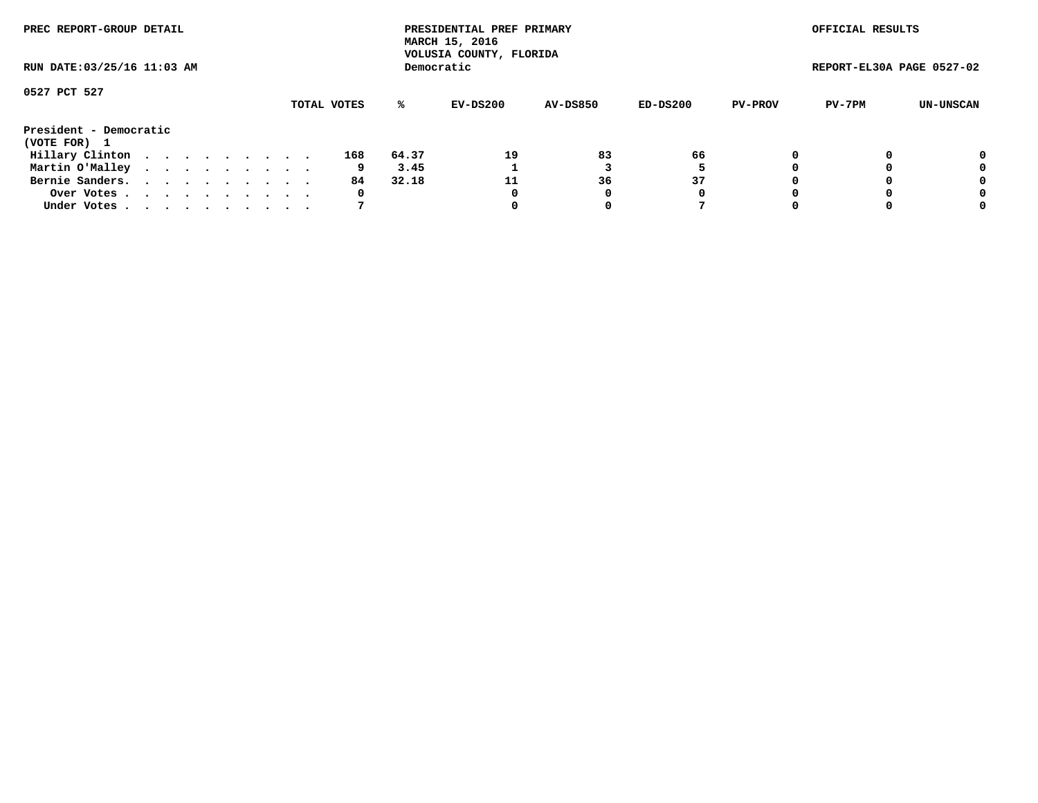| PREC REPORT-GROUP DETAIL<br>RUN DATE: 03/25/16 11:03 AM |  |  |  |  |  |  |  |  |             |       | PRESIDENTIAL PREF PRIMARY<br>MARCH 15, 2016<br>VOLUSIA COUNTY, FLORIDA |                 |          |                | OFFICIAL RESULTS          |                  |
|---------------------------------------------------------|--|--|--|--|--|--|--|--|-------------|-------|------------------------------------------------------------------------|-----------------|----------|----------------|---------------------------|------------------|
|                                                         |  |  |  |  |  |  |  |  |             |       | Democratic                                                             |                 |          |                | REPORT-EL30A PAGE 0527-02 |                  |
| 0527 PCT 527                                            |  |  |  |  |  |  |  |  |             |       |                                                                        |                 |          |                |                           |                  |
|                                                         |  |  |  |  |  |  |  |  | TOTAL VOTES | ℁     | EV-DS200                                                               | <b>AV-DS850</b> | ED-DS200 | <b>PV-PROV</b> | PV-7PM                    | <b>UN-UNSCAN</b> |
| President - Democratic<br>(VOTE FOR) 1                  |  |  |  |  |  |  |  |  |             |       |                                                                        |                 |          |                |                           |                  |
| Hillary Clinton                                         |  |  |  |  |  |  |  |  | 168         | 64.37 | 19                                                                     | 83              | 66       | 0              |                           | 0                |
| Martin O'Malley                                         |  |  |  |  |  |  |  |  | 9           | 3.45  |                                                                        |                 |          |                |                           | 0                |
| Bernie Sanders.                                         |  |  |  |  |  |  |  |  | 84          | 32.18 | 11                                                                     | 36              | 37       |                |                           | 0                |
| Over Votes                                              |  |  |  |  |  |  |  |  | 0           |       | 0                                                                      | 0               | 0        |                |                           | 0                |
| Under Votes.                                            |  |  |  |  |  |  |  |  |             |       |                                                                        | 0               |          |                |                           | 0                |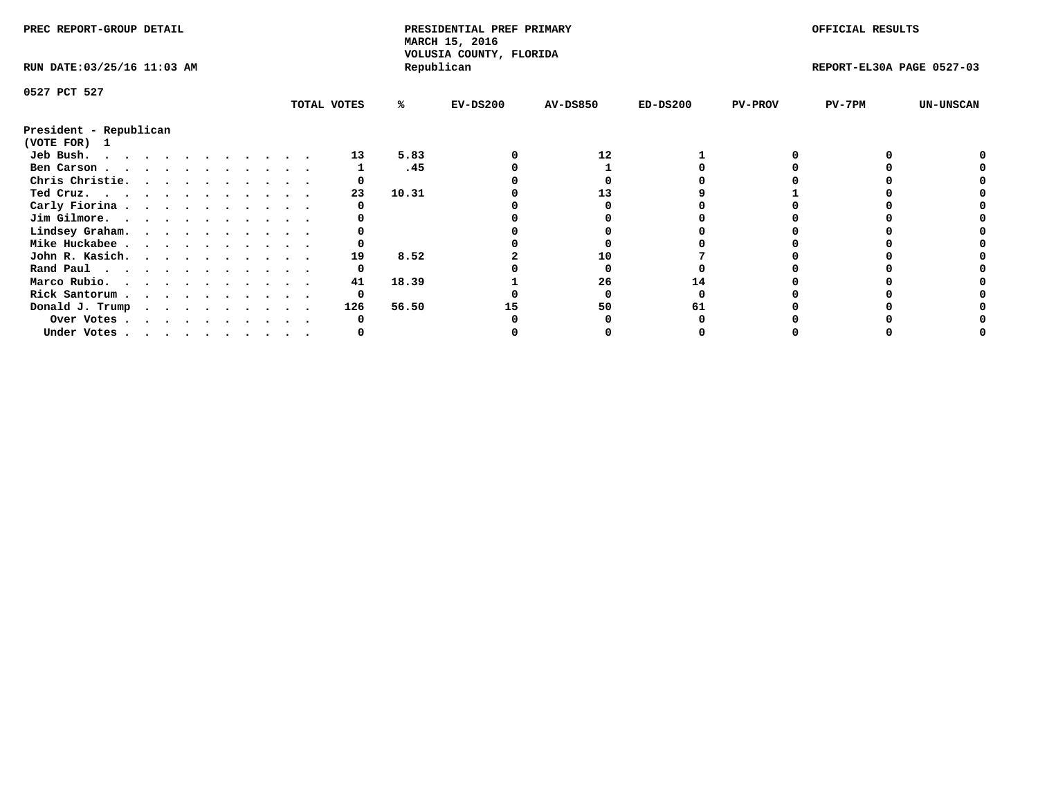| PREC REPORT-GROUP DETAIL               |  |  |  |  |  |  |  |             | PRESIDENTIAL PREF PRIMARY<br>MARCH 15, 2016<br>VOLUSIA COUNTY, FLORIDA |            |                 |            | OFFICIAL RESULTS |                           |                  |
|----------------------------------------|--|--|--|--|--|--|--|-------------|------------------------------------------------------------------------|------------|-----------------|------------|------------------|---------------------------|------------------|
| RUN DATE: 03/25/16 11:03 AM            |  |  |  |  |  |  |  |             |                                                                        | Republican |                 |            |                  | REPORT-EL30A PAGE 0527-03 |                  |
| 0527 PCT 527                           |  |  |  |  |  |  |  |             |                                                                        |            |                 |            |                  |                           |                  |
|                                        |  |  |  |  |  |  |  | TOTAL VOTES | %ะ                                                                     | $EV-DS200$ | <b>AV-DS850</b> | $ED-DS200$ | <b>PV-PROV</b>   | $PV-7PM$                  | <b>UN-UNSCAN</b> |
| President - Republican<br>(VOTE FOR) 1 |  |  |  |  |  |  |  |             |                                                                        |            |                 |            |                  |                           |                  |
| Jeb Bush.<br>.                         |  |  |  |  |  |  |  | 13          | 5.83                                                                   |            | 12              |            |                  |                           |                  |
| Ben Carson                             |  |  |  |  |  |  |  |             | .45                                                                    |            |                 |            |                  |                           |                  |
| Chris Christie.                        |  |  |  |  |  |  |  |             |                                                                        |            |                 |            |                  |                           |                  |
| Ted Cruz.                              |  |  |  |  |  |  |  | 23          | 10.31                                                                  |            | 13              |            |                  |                           |                  |
| Carly Fiorina                          |  |  |  |  |  |  |  |             |                                                                        |            |                 |            |                  |                           |                  |
| Jim Gilmore.                           |  |  |  |  |  |  |  |             |                                                                        |            |                 |            |                  |                           |                  |
| Lindsey Graham.                        |  |  |  |  |  |  |  |             |                                                                        |            |                 |            |                  |                           |                  |
| Mike Huckabee                          |  |  |  |  |  |  |  |             |                                                                        |            |                 |            |                  |                           |                  |
| John R. Kasich.                        |  |  |  |  |  |  |  | 19          | 8.52                                                                   |            | 10              |            |                  |                           |                  |
|                                        |  |  |  |  |  |  |  |             |                                                                        |            |                 |            |                  |                           |                  |
| Rand Paul<br>Marco Rubio.              |  |  |  |  |  |  |  | 41          | 18.39                                                                  |            | 26              |            |                  |                           |                  |
|                                        |  |  |  |  |  |  |  |             |                                                                        |            |                 |            |                  |                           |                  |
| Rick Santorum                          |  |  |  |  |  |  |  | 0           |                                                                        |            |                 |            |                  |                           |                  |
| Donald J. Trump                        |  |  |  |  |  |  |  | 126         | 56.50                                                                  |            | 50              |            |                  |                           |                  |
| Over Votes                             |  |  |  |  |  |  |  |             |                                                                        |            |                 |            |                  |                           |                  |
| Under Votes                            |  |  |  |  |  |  |  |             |                                                                        |            |                 |            |                  |                           |                  |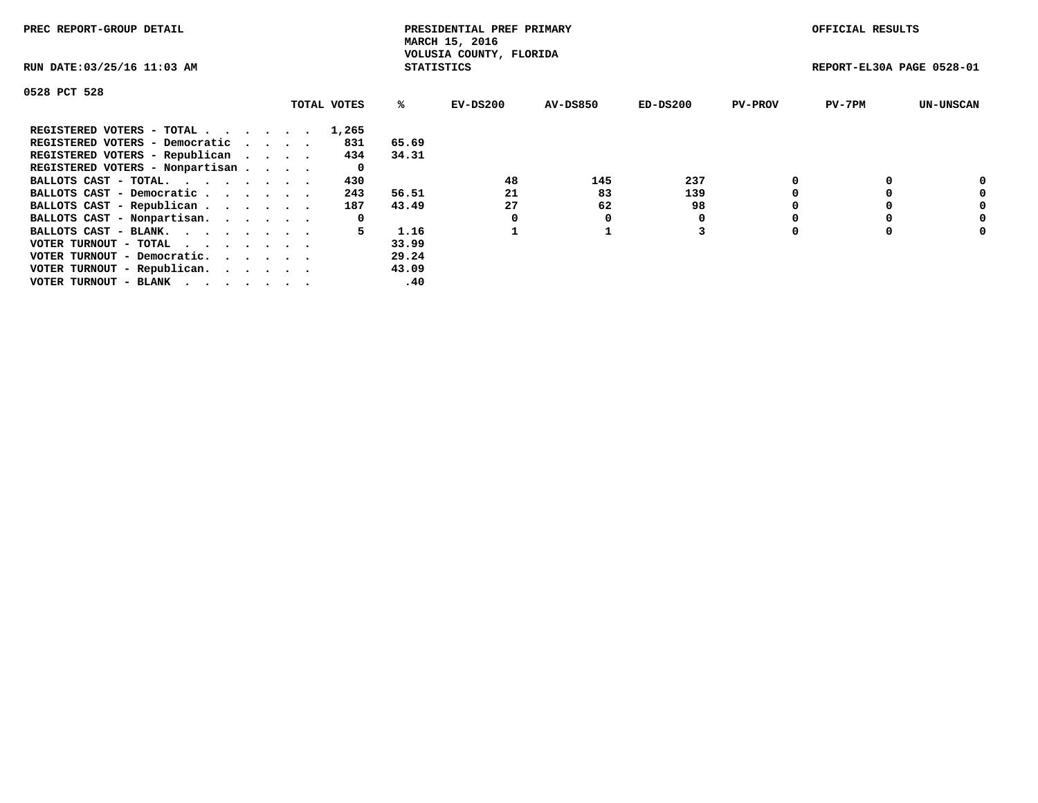| PREC REPORT-GROUP DETAIL                                    |             |                   | PRESIDENTIAL PREF PRIMARY<br>MARCH 15, 2016 |          |            |                | OFFICIAL RESULTS          |                  |
|-------------------------------------------------------------|-------------|-------------------|---------------------------------------------|----------|------------|----------------|---------------------------|------------------|
| RUN DATE: 03/25/16 11:03 AM                                 |             | <b>STATISTICS</b> | VOLUSIA COUNTY, FLORIDA                     |          |            |                | REPORT-EL30A PAGE 0528-01 |                  |
| 0528 PCT 528                                                |             |                   |                                             |          |            |                |                           |                  |
|                                                             | TOTAL VOTES | %ะ                | EV-DS200                                    | AV-DS850 | $ED-DS200$ | <b>PV-PROV</b> | $PV-7PM$                  | <b>UN-UNSCAN</b> |
| REGISTERED VOTERS - TOTAL                                   | 1,265       |                   |                                             |          |            |                |                           |                  |
| REGISTERED VOTERS - Democratic                              | 831         | 65.69             |                                             |          |            |                |                           |                  |
| REGISTERED VOTERS - Republican                              | 434         | 34.31             |                                             |          |            |                |                           |                  |
| REGISTERED VOTERS - Nonpartisan                             | 0           |                   |                                             |          |            |                |                           |                  |
| BALLOTS CAST - TOTAL.                                       | 430         |                   | 48                                          | 145      | 237        |                |                           | 0                |
| BALLOTS CAST - Democratic                                   | 243         | 56.51             | 21                                          | 83       | 139        |                |                           | 0                |
| BALLOTS CAST - Republican                                   | 187         | 43.49             | 27                                          | 62       | 98         |                |                           | 0                |
| BALLOTS CAST - Nonpartisan.                                 | 0           |                   |                                             | 0        |            |                |                           | 0                |
| BALLOTS CAST - BLANK.                                       |             | 1.16              |                                             |          |            |                |                           | 0                |
| VOTER TURNOUT - TOTAL $\cdot \cdot \cdot \cdot \cdot \cdot$ |             | 33.99             |                                             |          |            |                |                           |                  |
| VOTER TURNOUT - Democratic.                                 |             | 29.24             |                                             |          |            |                |                           |                  |
| VOTER TURNOUT - Republican.                                 |             | 43.09             |                                             |          |            |                |                           |                  |
| VOTER TURNOUT - BLANK                                       |             | .40               |                                             |          |            |                |                           |                  |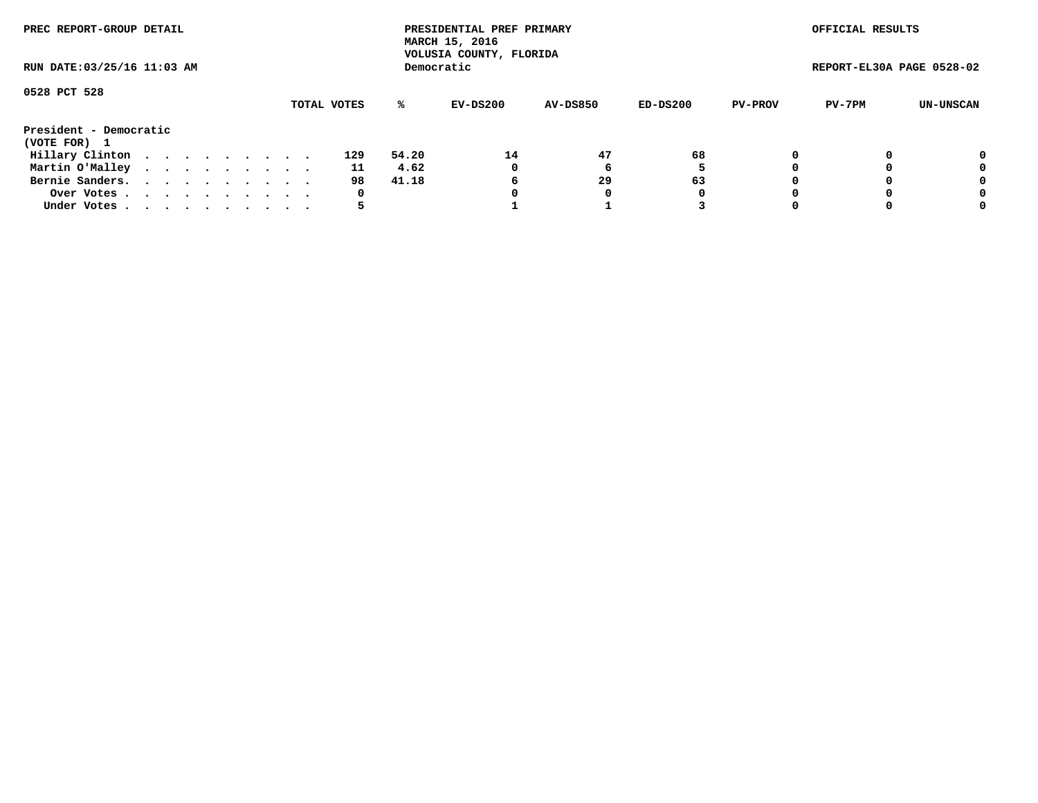| PREC REPORT-GROUP DETAIL<br>RUN DATE: 03/25/16 11:03 AM |  |  |  |  |  |  |  |  |             |       | PRESIDENTIAL PREF PRIMARY<br>MARCH 15, 2016<br>VOLUSIA COUNTY, FLORIDA |                 |          |                | OFFICIAL RESULTS          |           |
|---------------------------------------------------------|--|--|--|--|--|--|--|--|-------------|-------|------------------------------------------------------------------------|-----------------|----------|----------------|---------------------------|-----------|
|                                                         |  |  |  |  |  |  |  |  |             |       | Democratic                                                             |                 |          |                | REPORT-EL30A PAGE 0528-02 |           |
| 0528 PCT 528                                            |  |  |  |  |  |  |  |  | TOTAL VOTES | %ะ    | EV-DS200                                                               | <b>AV-DS850</b> | ED-DS200 | <b>PV-PROV</b> | PV-7PM                    | UN-UNSCAN |
| President - Democratic<br>(VOTE FOR) 1                  |  |  |  |  |  |  |  |  |             |       |                                                                        |                 |          |                |                           |           |
| Hillary Clinton                                         |  |  |  |  |  |  |  |  | 129         | 54.20 | 14                                                                     | 47              | 68       |                |                           | 0         |
| Martin O'Malley                                         |  |  |  |  |  |  |  |  | 11          | 4.62  | 0                                                                      |                 |          |                |                           | 0         |
| Bernie Sanders.                                         |  |  |  |  |  |  |  |  | 98          | 41.18 | 6                                                                      | 29              | 63       |                |                           | 0         |
| Over Votes                                              |  |  |  |  |  |  |  |  | 0           |       |                                                                        | 0               | 0        |                |                           | 0         |
| Under Votes.                                            |  |  |  |  |  |  |  |  |             |       |                                                                        |                 |          |                |                           | 0         |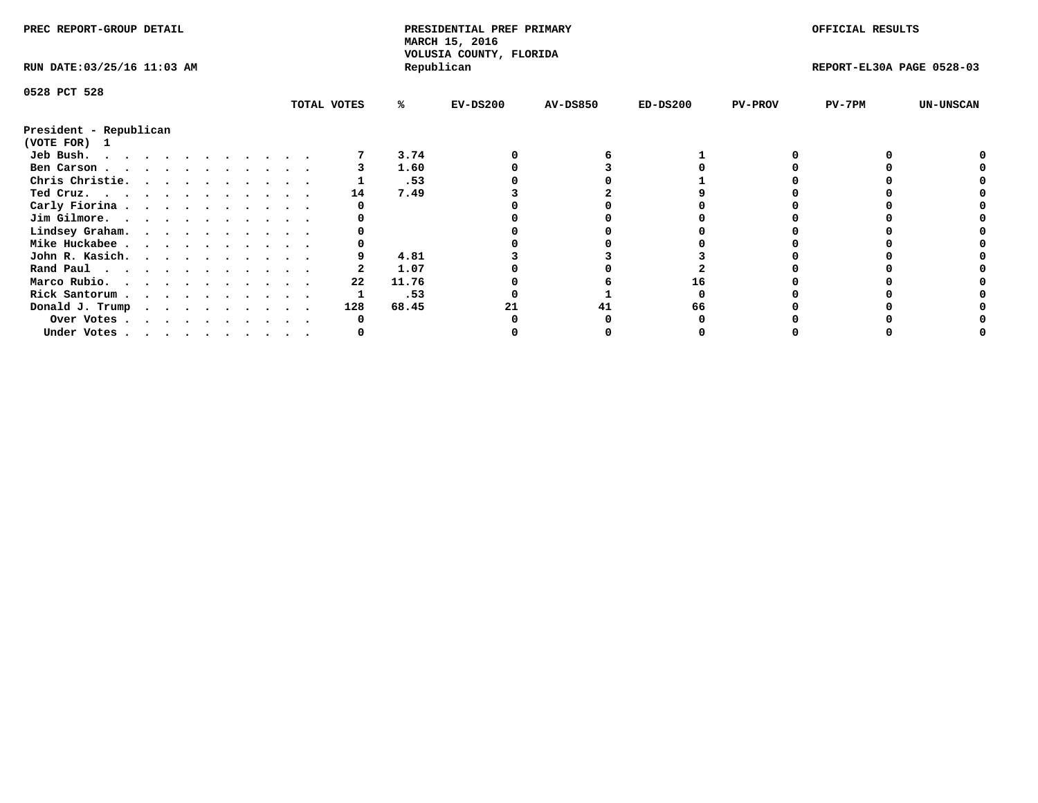| PREC REPORT-GROUP DETAIL               |  |  |  |  |  |  |  | PRESIDENTIAL PREF PRIMARY<br>MARCH 15, 2016<br>VOLUSIA COUNTY, FLORIDA |       |            |                 | OFFICIAL RESULTS |                |                           |                  |
|----------------------------------------|--|--|--|--|--|--|--|------------------------------------------------------------------------|-------|------------|-----------------|------------------|----------------|---------------------------|------------------|
| RUN DATE: 03/25/16 11:03 AM            |  |  |  |  |  |  |  |                                                                        |       | Republican |                 |                  |                | REPORT-EL30A PAGE 0528-03 |                  |
| 0528 PCT 528                           |  |  |  |  |  |  |  |                                                                        |       |            |                 |                  |                |                           |                  |
|                                        |  |  |  |  |  |  |  | TOTAL VOTES                                                            | %ะ    | $EV-DS200$ | <b>AV-DS850</b> | $ED-DS200$       | <b>PV-PROV</b> | PV-7PM                    | <b>UN-UNSCAN</b> |
| President - Republican<br>(VOTE FOR) 1 |  |  |  |  |  |  |  |                                                                        |       |            |                 |                  |                |                           |                  |
| Jeb Bush.                              |  |  |  |  |  |  |  |                                                                        | 3.74  |            |                 |                  |                |                           |                  |
| Ben Carson                             |  |  |  |  |  |  |  |                                                                        | 1.60  |            |                 |                  |                |                           |                  |
| Chris Christie.                        |  |  |  |  |  |  |  |                                                                        | .53   |            |                 |                  |                |                           |                  |
| Ted Cruz.                              |  |  |  |  |  |  |  | 14                                                                     | 7.49  |            |                 |                  |                |                           |                  |
| Carly Fiorina                          |  |  |  |  |  |  |  |                                                                        |       |            |                 |                  |                |                           |                  |
| Jim Gilmore.                           |  |  |  |  |  |  |  |                                                                        |       |            |                 |                  |                |                           |                  |
| Lindsey Graham.                        |  |  |  |  |  |  |  |                                                                        |       |            |                 |                  |                |                           |                  |
| Mike Huckabee                          |  |  |  |  |  |  |  |                                                                        |       |            |                 |                  |                |                           |                  |
| John R. Kasich.                        |  |  |  |  |  |  |  |                                                                        | 4.81  |            |                 |                  |                |                           |                  |
| Rand Paul                              |  |  |  |  |  |  |  |                                                                        | 1.07  |            |                 |                  |                |                           |                  |
|                                        |  |  |  |  |  |  |  | 22                                                                     | 11.76 |            |                 | 16               |                |                           |                  |
| Marco Rubio.                           |  |  |  |  |  |  |  |                                                                        |       |            |                 |                  |                |                           |                  |
| Rick Santorum                          |  |  |  |  |  |  |  |                                                                        | .53   |            |                 |                  |                |                           |                  |
| Donald J. Trump                        |  |  |  |  |  |  |  | 128                                                                    | 68.45 |            |                 | 66               |                |                           |                  |
| Over Votes                             |  |  |  |  |  |  |  |                                                                        |       |            |                 |                  |                |                           |                  |
| Under Votes                            |  |  |  |  |  |  |  |                                                                        |       |            |                 |                  |                |                           |                  |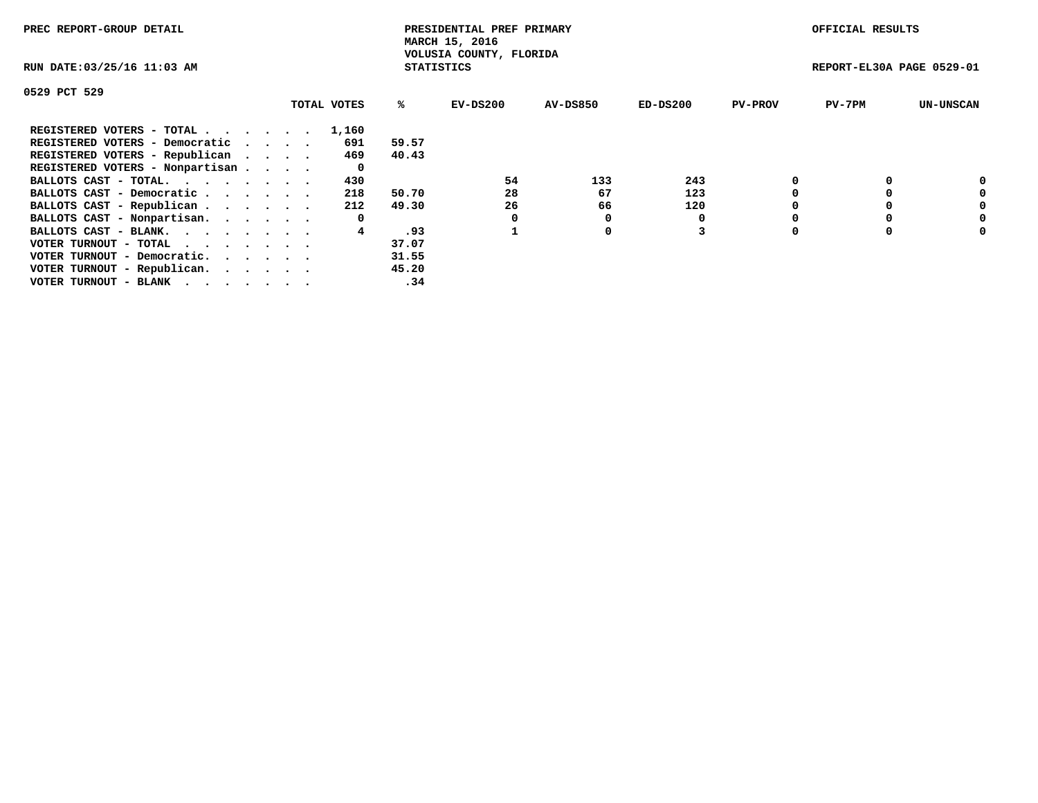| PREC REPORT-GROUP DETAIL                                    |  |             |                   | PRESIDENTIAL PREF PRIMARY<br>MARCH 15, 2016 |          |            |                | OFFICIAL RESULTS          |                  |
|-------------------------------------------------------------|--|-------------|-------------------|---------------------------------------------|----------|------------|----------------|---------------------------|------------------|
| RUN DATE: 03/25/16 11:03 AM                                 |  |             | <b>STATISTICS</b> | VOLUSIA COUNTY, FLORIDA                     |          |            |                | REPORT-EL30A PAGE 0529-01 |                  |
| 0529 PCT 529                                                |  |             |                   |                                             |          |            |                |                           |                  |
|                                                             |  | TOTAL VOTES | %ะ                | EV-DS200                                    | AV-DS850 | $ED-DS200$ | <b>PV-PROV</b> | $PV-7PM$                  | <b>UN-UNSCAN</b> |
| REGISTERED VOTERS - TOTAL                                   |  | 1,160       |                   |                                             |          |            |                |                           |                  |
| REGISTERED VOTERS - Democratic                              |  | 691         | 59.57             |                                             |          |            |                |                           |                  |
| REGISTERED VOTERS - Republican                              |  | 469         | 40.43             |                                             |          |            |                |                           |                  |
| REGISTERED VOTERS - Nonpartisan                             |  | 0           |                   |                                             |          |            |                |                           |                  |
| BALLOTS CAST - TOTAL.                                       |  | 430         |                   | 54                                          | 133      | 243        |                |                           | 0                |
| BALLOTS CAST - Democratic                                   |  | 218         | 50.70             | 28                                          | 67       | 123        |                |                           | 0                |
| BALLOTS CAST - Republican                                   |  | 212         | 49.30             | 26                                          | 66       | 120        |                |                           | 0                |
| BALLOTS CAST - Nonpartisan.                                 |  | 0           |                   |                                             | 0        |            |                |                           | 0                |
| BALLOTS CAST - BLANK.                                       |  | 4           | .93               |                                             | 0        |            |                |                           | 0                |
| VOTER TURNOUT - TOTAL $\cdot \cdot \cdot \cdot \cdot \cdot$ |  |             | 37.07             |                                             |          |            |                |                           |                  |
| VOTER TURNOUT - Democratic.                                 |  |             | 31.55             |                                             |          |            |                |                           |                  |
| VOTER TURNOUT - Republican.                                 |  |             | 45.20             |                                             |          |            |                |                           |                  |
| VOTER TURNOUT - BLANK                                       |  |             | .34               |                                             |          |            |                |                           |                  |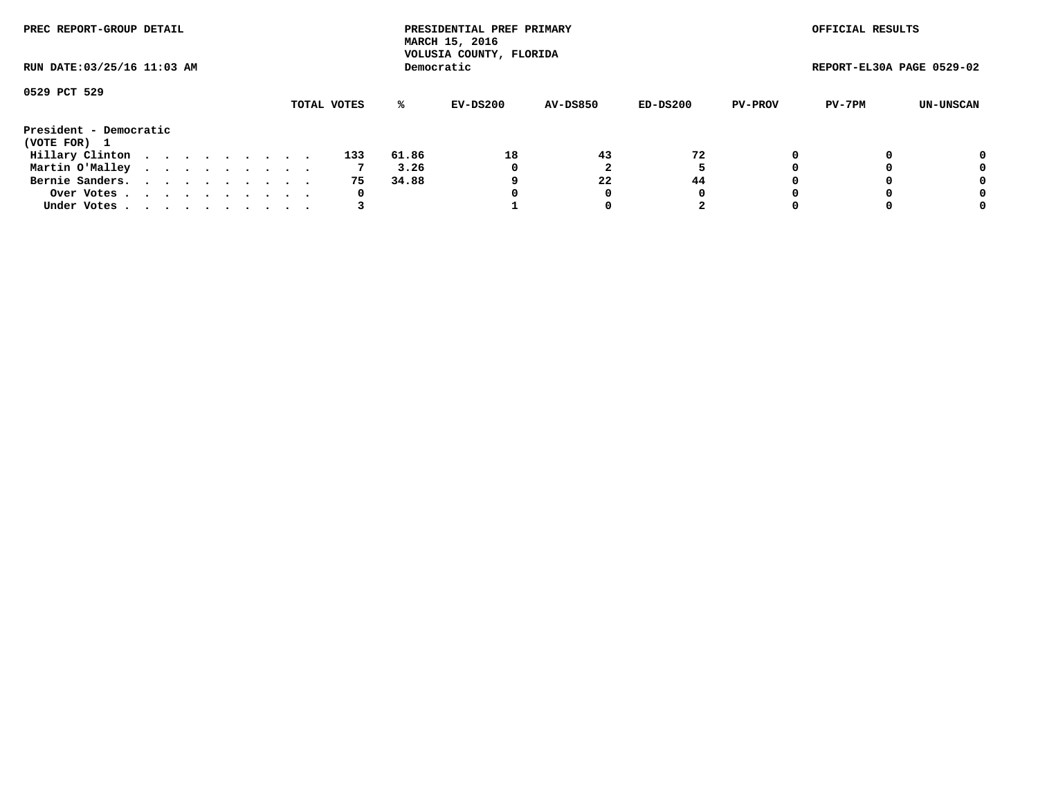| PREC REPORT-GROUP DETAIL<br>RUN DATE: 03/25/16 11:03 AM |  |  |  |  |  |  |  |  |             |       | PRESIDENTIAL PREF PRIMARY<br>MARCH 15, 2016<br>VOLUSIA COUNTY, FLORIDA |                 |          |                | OFFICIAL RESULTS          |                  |
|---------------------------------------------------------|--|--|--|--|--|--|--|--|-------------|-------|------------------------------------------------------------------------|-----------------|----------|----------------|---------------------------|------------------|
|                                                         |  |  |  |  |  |  |  |  |             |       | Democratic                                                             |                 |          |                | REPORT-EL30A PAGE 0529-02 |                  |
| 0529 PCT 529                                            |  |  |  |  |  |  |  |  | TOTAL VOTES | ℁     | EV-DS200                                                               | <b>AV-DS850</b> | ED-DS200 | <b>PV-PROV</b> | PV-7PM                    | <b>UN-UNSCAN</b> |
| President - Democratic<br>(VOTE FOR) 1                  |  |  |  |  |  |  |  |  |             |       |                                                                        |                 |          |                |                           |                  |
| Hillary Clinton                                         |  |  |  |  |  |  |  |  | 133         | 61.86 | 18                                                                     | 43              | 72       |                |                           | 0                |
| Martin O'Malley                                         |  |  |  |  |  |  |  |  |             | 3.26  | 0                                                                      |                 |          |                |                           | 0                |
| Bernie Sanders.                                         |  |  |  |  |  |  |  |  | 75          | 34.88 |                                                                        | 22              | 44       |                |                           | 0                |
| Over Votes.                                             |  |  |  |  |  |  |  |  | 0           |       |                                                                        | 0               | 0        |                |                           | 0                |
| Under Votes.                                            |  |  |  |  |  |  |  |  |             |       |                                                                        |                 |          |                |                           | 0                |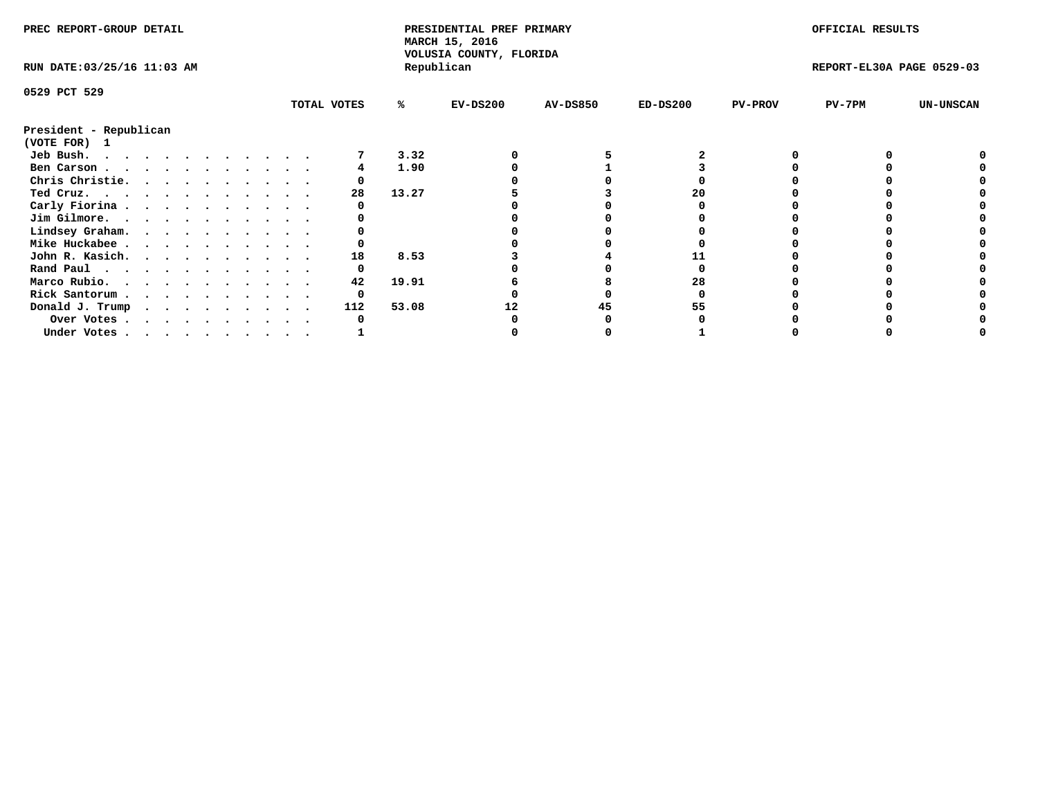| PREC REPORT-GROUP DETAIL                                                                                                                                                                                                                   |   |  |  |  |  |             |       | PRESIDENTIAL PREF PRIMARY<br>MARCH 15, 2016<br>VOLUSIA COUNTY, FLORIDA |                 |            |                | OFFICIAL RESULTS          |                  |
|--------------------------------------------------------------------------------------------------------------------------------------------------------------------------------------------------------------------------------------------|---|--|--|--|--|-------------|-------|------------------------------------------------------------------------|-----------------|------------|----------------|---------------------------|------------------|
| RUN DATE: 03/25/16 11:03 AM                                                                                                                                                                                                                |   |  |  |  |  |             |       | Republican                                                             |                 |            |                | REPORT-EL30A PAGE 0529-03 |                  |
| 0529 PCT 529                                                                                                                                                                                                                               |   |  |  |  |  |             |       |                                                                        |                 |            |                |                           |                  |
|                                                                                                                                                                                                                                            |   |  |  |  |  | TOTAL VOTES | ℁     | $EV-DS200$                                                             | <b>AV-DS850</b> | $ED-DS200$ | <b>PV-PROV</b> | PV-7PM                    | <b>UN-UNSCAN</b> |
| President - Republican<br>(VOTE FOR) 1                                                                                                                                                                                                     |   |  |  |  |  |             |       |                                                                        |                 |            |                |                           |                  |
| Jeb Bush.<br>. The contract of the contract of the contract of the contract of the contract of the contract of the contract of the contract of the contract of the contract of the contract of the contract of the contract of the contrac |   |  |  |  |  |             | 3.32  |                                                                        |                 |            |                |                           |                  |
| Ben Carson                                                                                                                                                                                                                                 |   |  |  |  |  |             | 1.90  |                                                                        |                 |            |                |                           |                  |
| Chris Christie.                                                                                                                                                                                                                            |   |  |  |  |  |             |       |                                                                        |                 |            |                |                           |                  |
| Ted Cruz.                                                                                                                                                                                                                                  |   |  |  |  |  | 28          | 13.27 |                                                                        |                 | 20         |                |                           |                  |
| Carly Fiorina                                                                                                                                                                                                                              |   |  |  |  |  |             |       |                                                                        |                 |            |                |                           |                  |
| Jim Gilmore.                                                                                                                                                                                                                               |   |  |  |  |  |             |       |                                                                        |                 |            |                |                           |                  |
| Lindsey Graham.                                                                                                                                                                                                                            |   |  |  |  |  |             |       |                                                                        |                 |            |                |                           |                  |
| Mike Huckabee                                                                                                                                                                                                                              |   |  |  |  |  |             |       |                                                                        |                 |            |                |                           |                  |
| John R. Kasich.                                                                                                                                                                                                                            |   |  |  |  |  | 18          | 8.53  |                                                                        |                 |            |                |                           |                  |
| Rand Paul                                                                                                                                                                                                                                  |   |  |  |  |  |             |       |                                                                        |                 |            |                |                           |                  |
| Marco Rubio.                                                                                                                                                                                                                               |   |  |  |  |  | 42          | 19.91 |                                                                        |                 | 28         |                |                           |                  |
|                                                                                                                                                                                                                                            | . |  |  |  |  |             |       |                                                                        |                 |            |                |                           |                  |
| Rick Santorum                                                                                                                                                                                                                              |   |  |  |  |  |             |       |                                                                        |                 |            |                |                           |                  |
| Donald J. Trump                                                                                                                                                                                                                            |   |  |  |  |  | 112         | 53.08 |                                                                        | 45              | 55         |                |                           |                  |
| Over Votes                                                                                                                                                                                                                                 |   |  |  |  |  |             |       |                                                                        |                 |            |                |                           |                  |
| Under Votes, , , , , , , , , , ,                                                                                                                                                                                                           |   |  |  |  |  |             |       |                                                                        |                 |            |                |                           |                  |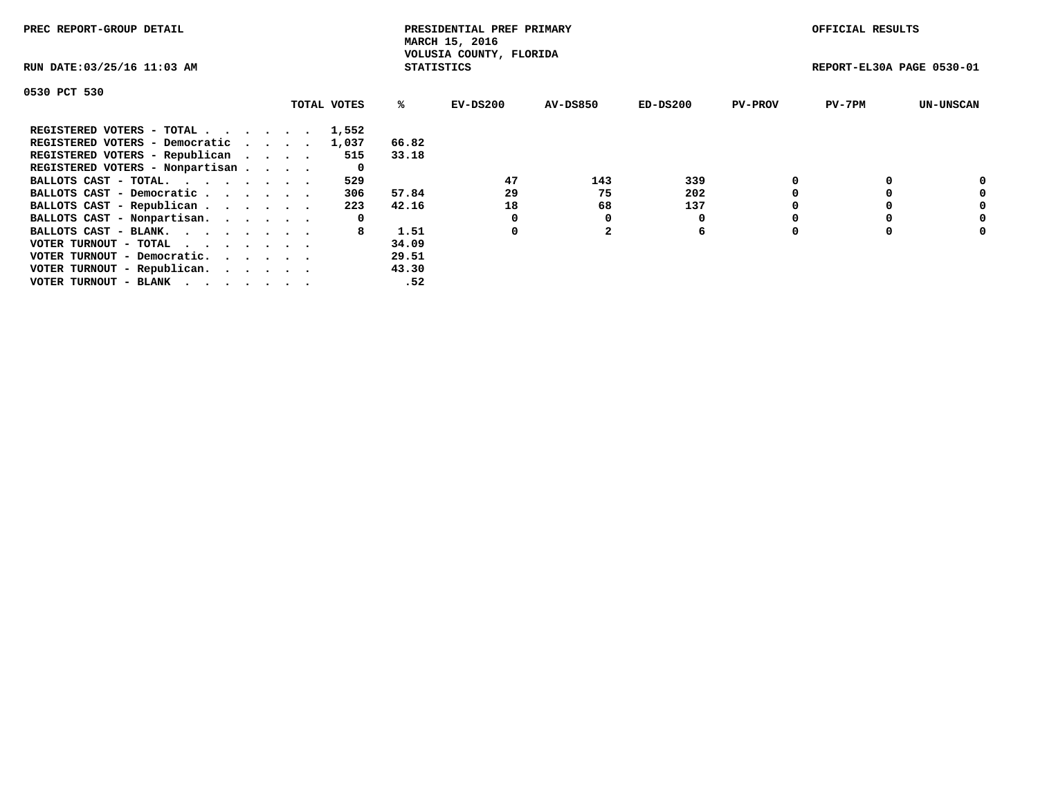| PREC REPORT-GROUP DETAIL                                    |             |                   | PRESIDENTIAL PREF PRIMARY<br>MARCH 15, 2016 |          |            |                | OFFICIAL RESULTS          |                  |
|-------------------------------------------------------------|-------------|-------------------|---------------------------------------------|----------|------------|----------------|---------------------------|------------------|
| RUN DATE: 03/25/16 11:03 AM                                 |             | <b>STATISTICS</b> | VOLUSIA COUNTY, FLORIDA                     |          |            |                | REPORT-EL30A PAGE 0530-01 |                  |
| 0530 PCT 530                                                |             |                   |                                             |          |            |                |                           |                  |
|                                                             | TOTAL VOTES | ℁                 | $EV-DS200$                                  | AV-DS850 | $ED-DS200$ | <b>PV-PROV</b> | $PV-7PM$                  | <b>UN-UNSCAN</b> |
| REGISTERED VOTERS - TOTAL                                   | 1,552       |                   |                                             |          |            |                |                           |                  |
| REGISTERED VOTERS - Democratic                              | 1,037       | 66.82             |                                             |          |            |                |                           |                  |
| REGISTERED VOTERS - Republican                              | 515         | 33.18             |                                             |          |            |                |                           |                  |
| REGISTERED VOTERS - Nonpartisan                             | 0           |                   |                                             |          |            |                |                           |                  |
| BALLOTS CAST - TOTAL.                                       | 529         |                   | 47                                          | 143      | 339        |                |                           | 0                |
| BALLOTS CAST - Democratic                                   | 306         | 57.84             | 29                                          | 75       | 202        |                |                           | 0                |
| BALLOTS CAST - Republican                                   | 223         | 42.16             | 18                                          | 68       | 137        |                |                           | 0                |
| BALLOTS CAST - Nonpartisan.                                 | 0           |                   |                                             | 0        |            |                |                           | 0                |
| BALLOTS CAST - BLANK.                                       | 8           | 1.51              | 0                                           |          | 6          |                |                           | 0                |
| VOTER TURNOUT - TOTAL $\cdot \cdot \cdot \cdot \cdot \cdot$ |             | 34.09             |                                             |          |            |                |                           |                  |
| VOTER TURNOUT - Democratic.                                 |             | 29.51             |                                             |          |            |                |                           |                  |
| VOTER TURNOUT - Republican.                                 |             | 43.30             |                                             |          |            |                |                           |                  |
| VOTER TURNOUT - BLANK                                       |             | .52               |                                             |          |            |                |                           |                  |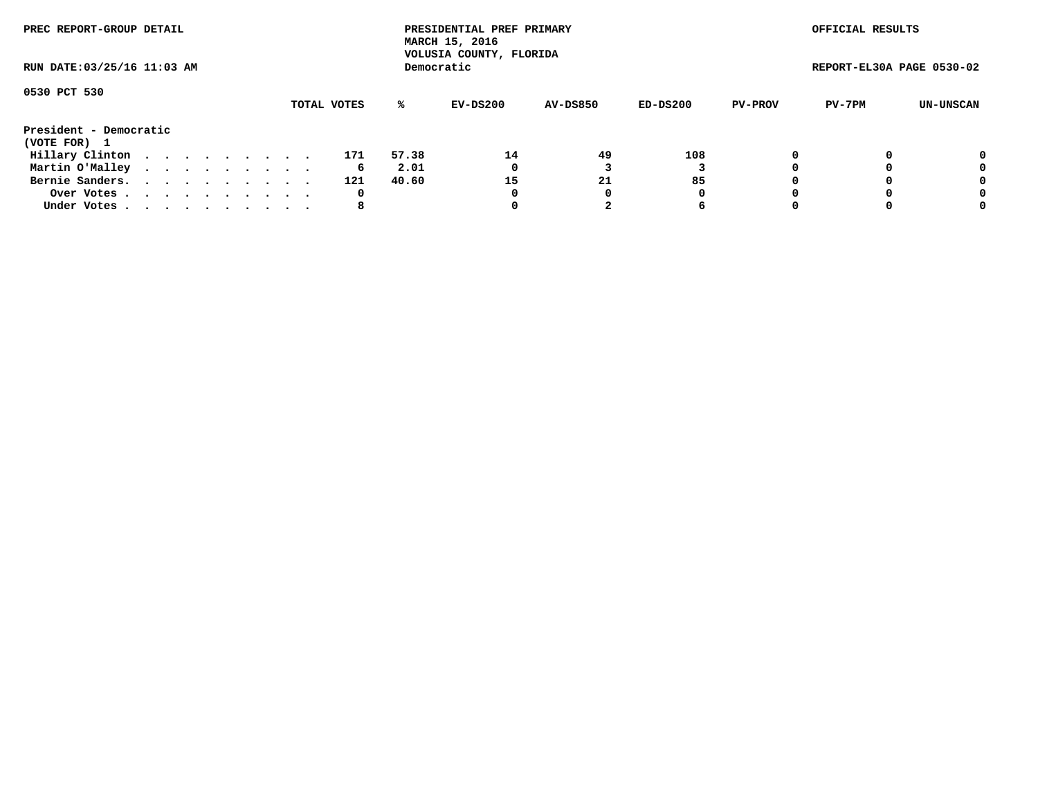| PREC REPORT-GROUP DETAIL    |  |  |  |  |             |       | PRESIDENTIAL PREF PRIMARY<br>MARCH 15, 2016<br>VOLUSIA COUNTY, FLORIDA |                 |          |                | OFFICIAL RESULTS          |           |
|-----------------------------|--|--|--|--|-------------|-------|------------------------------------------------------------------------|-----------------|----------|----------------|---------------------------|-----------|
| RUN DATE: 03/25/16 11:03 AM |  |  |  |  |             |       | Democratic                                                             |                 |          |                | REPORT-EL30A PAGE 0530-02 |           |
| 0530 PCT 530                |  |  |  |  |             |       |                                                                        |                 |          |                |                           |           |
|                             |  |  |  |  | TOTAL VOTES | ℁     | EV-DS200                                                               | <b>AV-DS850</b> | ED-DS200 | <b>PV-PROV</b> | PV-7PM                    | UN-UNSCAN |
| President - Democratic      |  |  |  |  |             |       |                                                                        |                 |          |                |                           |           |
| (VOTE FOR) 1                |  |  |  |  |             |       |                                                                        |                 |          |                |                           |           |
| Hillary Clinton             |  |  |  |  | 171         | 57.38 | 14                                                                     | 49              | 108      | $\Omega$       |                           | 0         |
| Martin O'Malley             |  |  |  |  | 6           | 2.01  | 0                                                                      |                 |          |                |                           | 0         |
| Bernie Sanders.             |  |  |  |  | 121         | 40.60 | 15                                                                     | 21              | 85       |                |                           | 0         |
| Over Votes                  |  |  |  |  | 0           |       | 0                                                                      | 0               | 0        |                |                           | 0         |
| Under Votes.                |  |  |  |  | 8           |       |                                                                        |                 | 6        |                |                           | 0         |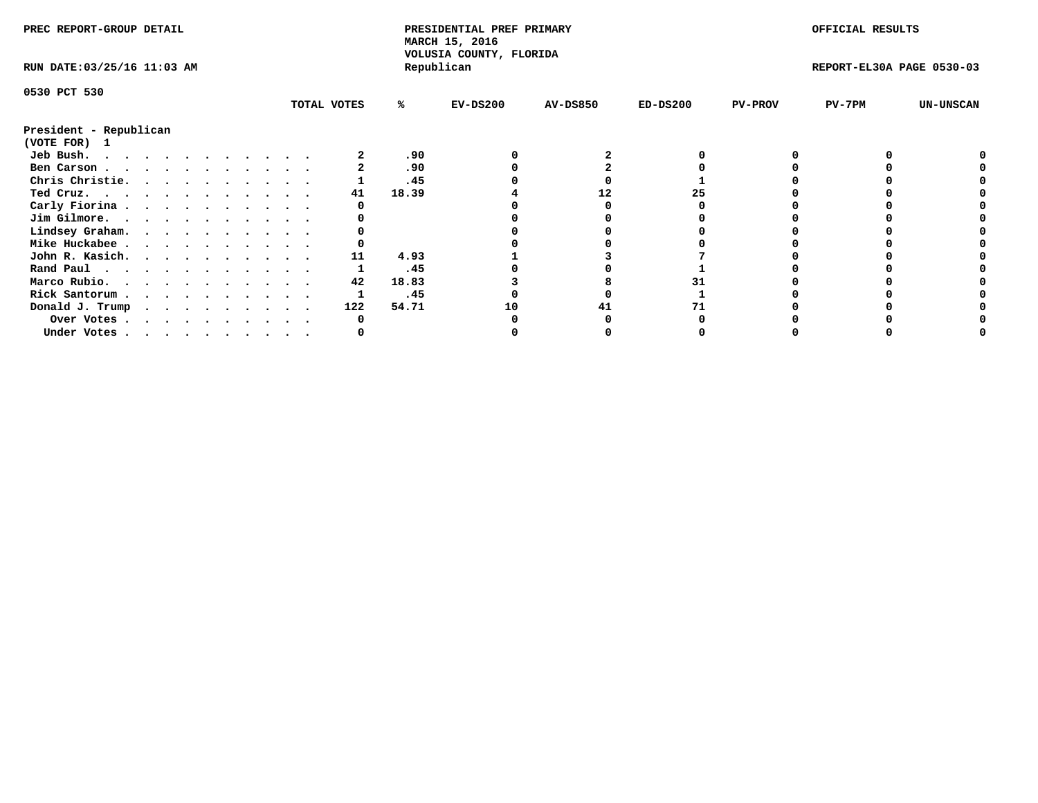| PREC REPORT-GROUP DETAIL    |  |  |  |  |  |             |       | PRESIDENTIAL PREF PRIMARY<br>MARCH 15, 2016<br>VOLUSIA COUNTY, FLORIDA |                 |            |                | OFFICIAL RESULTS          |                  |
|-----------------------------|--|--|--|--|--|-------------|-------|------------------------------------------------------------------------|-----------------|------------|----------------|---------------------------|------------------|
| RUN DATE: 03/25/16 11:03 AM |  |  |  |  |  |             |       | Republican                                                             |                 |            |                | REPORT-EL30A PAGE 0530-03 |                  |
| 0530 PCT 530                |  |  |  |  |  |             |       |                                                                        |                 |            |                |                           |                  |
|                             |  |  |  |  |  | TOTAL VOTES | %ะ    | $EV-DS200$                                                             | <b>AV-DS850</b> | $ED-DS200$ | <b>PV-PROV</b> | PV-7PM                    | <b>UN-UNSCAN</b> |
| President - Republican      |  |  |  |  |  |             |       |                                                                        |                 |            |                |                           |                  |
| (VOTE FOR) 1                |  |  |  |  |  |             |       |                                                                        |                 |            |                |                           |                  |
| Jeb Bush.                   |  |  |  |  |  |             | .90   |                                                                        |                 |            |                |                           |                  |
| Ben Carson                  |  |  |  |  |  |             | .90   |                                                                        |                 |            |                |                           |                  |
| Chris Christie.             |  |  |  |  |  |             | .45   |                                                                        |                 |            |                |                           |                  |
| Ted Cruz.                   |  |  |  |  |  | 41          | 18.39 |                                                                        |                 |            |                |                           |                  |
| Carly Fiorina               |  |  |  |  |  |             |       |                                                                        |                 |            |                |                           |                  |
| Jim Gilmore.                |  |  |  |  |  |             |       |                                                                        |                 |            |                |                           |                  |
| Lindsey Graham.             |  |  |  |  |  |             |       |                                                                        |                 |            |                |                           |                  |
| Mike Huckabee               |  |  |  |  |  |             |       |                                                                        |                 |            |                |                           |                  |
| John R. Kasich.             |  |  |  |  |  | 11          | 4.93  |                                                                        |                 |            |                |                           |                  |
| Rand Paul                   |  |  |  |  |  |             | .45   |                                                                        |                 |            |                |                           |                  |
| Marco Rubio.                |  |  |  |  |  | 42          | 18.83 |                                                                        |                 |            |                |                           |                  |
| Rick Santorum               |  |  |  |  |  |             | .45   |                                                                        |                 |            |                |                           |                  |
| Donald J. Trump             |  |  |  |  |  | 122         | 54.71 | 10                                                                     |                 |            |                |                           |                  |
| Over Votes                  |  |  |  |  |  |             |       |                                                                        |                 |            |                |                           |                  |
| Under Votes                 |  |  |  |  |  |             |       |                                                                        |                 |            |                |                           |                  |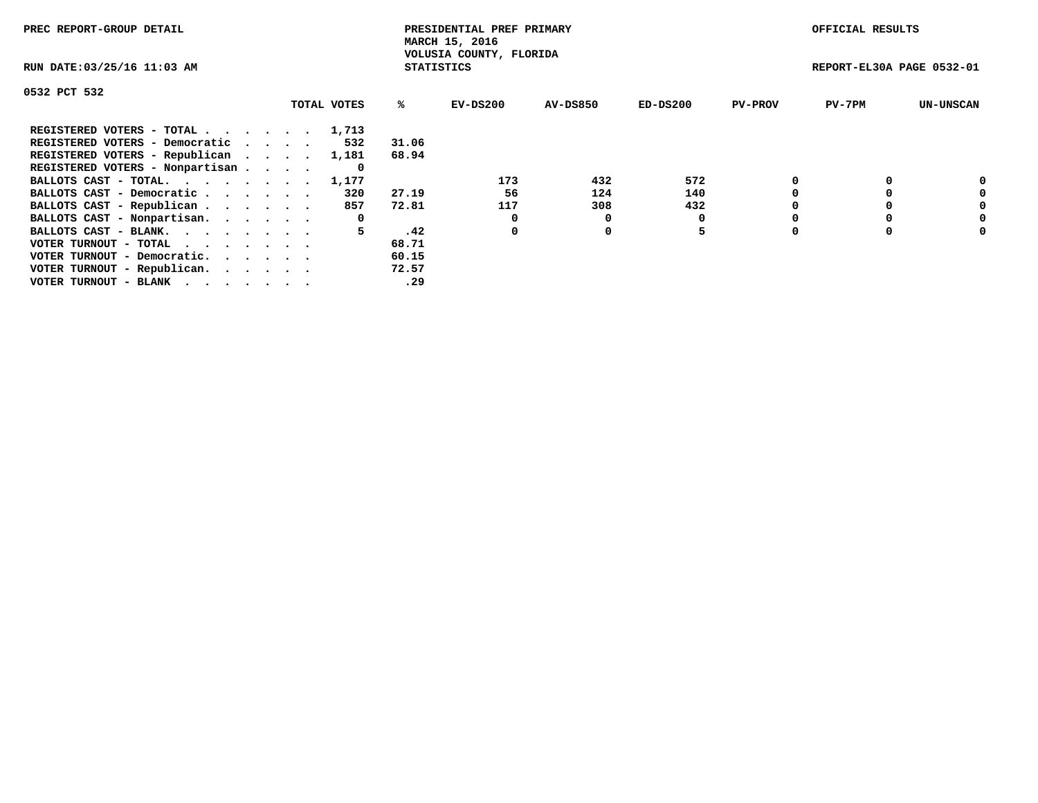| PREC REPORT-GROUP DETAIL                                    |             |                   | PRESIDENTIAL PREF PRIMARY<br>MARCH 15, 2016 |          |            |                | OFFICIAL RESULTS          |                  |
|-------------------------------------------------------------|-------------|-------------------|---------------------------------------------|----------|------------|----------------|---------------------------|------------------|
| RUN DATE: 03/25/16 11:03 AM                                 |             | <b>STATISTICS</b> | VOLUSIA COUNTY, FLORIDA                     |          |            |                | REPORT-EL30A PAGE 0532-01 |                  |
| 0532 PCT 532                                                |             |                   |                                             |          |            |                |                           |                  |
|                                                             | TOTAL VOTES | ℁                 | EV-DS200                                    | AV-DS850 | $ED-DS200$ | <b>PV-PROV</b> | $PV-7PM$                  | <b>UN-UNSCAN</b> |
| REGISTERED VOTERS - TOTAL 1,713                             |             |                   |                                             |          |            |                |                           |                  |
| REGISTERED VOTERS - Democratic                              | 532         | 31.06             |                                             |          |            |                |                           |                  |
| REGISTERED VOTERS - Republican                              | 1,181       | 68.94             |                                             |          |            |                |                           |                  |
| REGISTERED VOTERS - Nonpartisan                             | 0           |                   |                                             |          |            |                |                           |                  |
| BALLOTS CAST - TOTAL.                                       | 1,177       |                   | 173                                         | 432      | 572        |                |                           | 0                |
| BALLOTS CAST - Democratic                                   | 320         | 27.19             | 56                                          | 124      | 140        |                |                           | 0                |
| BALLOTS CAST - Republican                                   | 857         | 72.81             | 117                                         | 308      | 432        |                |                           | 0                |
| BALLOTS CAST - Nonpartisan.                                 | 0           |                   | 0                                           | 0        |            |                |                           | 0                |
| BALLOTS CAST - BLANK.                                       | 5.          | .42               | 0                                           | 0        | 5          |                |                           | 0                |
| VOTER TURNOUT - TOTAL $\cdot \cdot \cdot \cdot \cdot \cdot$ |             | 68.71             |                                             |          |            |                |                           |                  |
| VOTER TURNOUT - Democratic.                                 |             | 60.15             |                                             |          |            |                |                           |                  |
| VOTER TURNOUT - Republican.                                 |             | 72.57             |                                             |          |            |                |                           |                  |
| VOTER TURNOUT - BLANK                                       |             | .29               |                                             |          |            |                |                           |                  |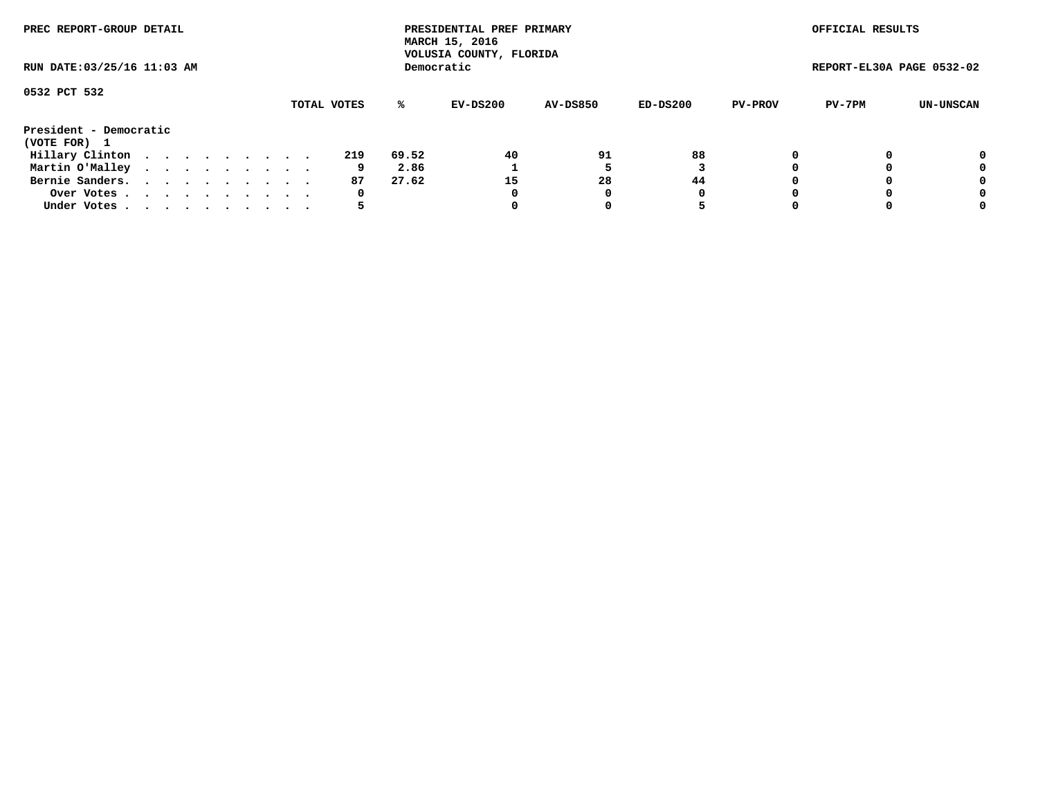| PREC REPORT-GROUP DETAIL               |  |  |  |  |             |       | PRESIDENTIAL PREF PRIMARY<br>MARCH 15, 2016<br>VOLUSIA COUNTY, FLORIDA |                 |          |                | OFFICIAL RESULTS          |           |
|----------------------------------------|--|--|--|--|-------------|-------|------------------------------------------------------------------------|-----------------|----------|----------------|---------------------------|-----------|
| RUN DATE: 03/25/16 11:03 AM            |  |  |  |  |             |       | Democratic                                                             |                 |          |                | REPORT-EL30A PAGE 0532-02 |           |
| 0532 PCT 532                           |  |  |  |  | TOTAL VOTES | ℁     | EV-DS200                                                               | <b>AV-DS850</b> | ED-DS200 | <b>PV-PROV</b> | PV-7PM                    | UN-UNSCAN |
| President - Democratic<br>(VOTE FOR) 1 |  |  |  |  |             |       |                                                                        |                 |          |                |                           |           |
| Hillary Clinton                        |  |  |  |  | 219         | 69.52 | 40                                                                     | 91              | 88       |                |                           | 0         |
| Martin O'Malley                        |  |  |  |  | 9           | 2.86  |                                                                        |                 |          |                |                           | 0         |
| Bernie Sanders.                        |  |  |  |  | 87          | 27.62 | 15                                                                     | 28              | 44       |                |                           | 0         |
| Over Votes.                            |  |  |  |  | 0           |       | 0                                                                      | 0               | 0        |                |                           | 0         |
| Under Votes                            |  |  |  |  | כ           |       |                                                                        |                 | 5        |                |                           | 0         |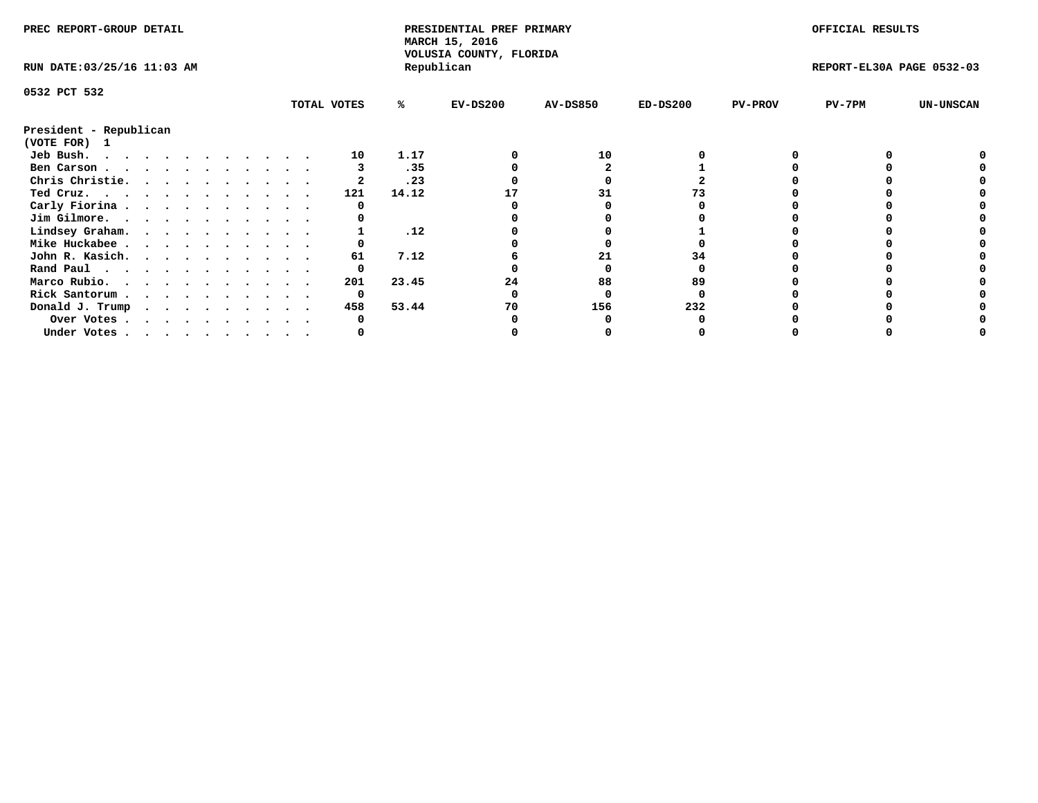| PREC REPORT-GROUP DETAIL    |  |  |  |  |  |             |       | PRESIDENTIAL PREF PRIMARY<br>MARCH 15, 2016<br>VOLUSIA COUNTY, FLORIDA |                 |            |                | OFFICIAL RESULTS          |                  |
|-----------------------------|--|--|--|--|--|-------------|-------|------------------------------------------------------------------------|-----------------|------------|----------------|---------------------------|------------------|
| RUN DATE: 03/25/16 11:03 AM |  |  |  |  |  |             |       | Republican                                                             |                 |            |                | REPORT-EL30A PAGE 0532-03 |                  |
| 0532 PCT 532                |  |  |  |  |  |             |       |                                                                        |                 |            |                |                           |                  |
|                             |  |  |  |  |  | TOTAL VOTES | ℁     | $EV-DS200$                                                             | <b>AV-DS850</b> | $ED-DS200$ | <b>PV-PROV</b> | $PV-7PM$                  | <b>UN-UNSCAN</b> |
| President - Republican      |  |  |  |  |  |             |       |                                                                        |                 |            |                |                           |                  |
| (VOTE FOR) 1                |  |  |  |  |  |             |       |                                                                        |                 |            |                |                           |                  |
| Jeb Bush.                   |  |  |  |  |  | 10          | 1.17  |                                                                        | 10              |            |                |                           |                  |
| Ben Carson                  |  |  |  |  |  |             | .35   |                                                                        |                 |            |                |                           |                  |
| Chris Christie.             |  |  |  |  |  |             | .23   |                                                                        |                 |            |                |                           |                  |
| Ted Cruz.                   |  |  |  |  |  | 121         | 14.12 |                                                                        |                 |            |                |                           |                  |
| Carly Fiorina               |  |  |  |  |  |             |       |                                                                        |                 |            |                |                           |                  |
| Jim Gilmore.                |  |  |  |  |  |             |       |                                                                        |                 |            |                |                           |                  |
| Lindsey Graham.             |  |  |  |  |  |             | .12   |                                                                        |                 |            |                |                           |                  |
| Mike Huckabee               |  |  |  |  |  |             |       |                                                                        |                 |            |                |                           |                  |
| John R. Kasich.             |  |  |  |  |  | 61          | 7.12  |                                                                        | 21              |            |                |                           |                  |
| Rand Paul                   |  |  |  |  |  | 0           |       |                                                                        |                 |            |                |                           |                  |
| Marco Rubio.                |  |  |  |  |  | 201         | 23.45 | 24                                                                     | 88              | 89         |                |                           |                  |
| Rick Santorum               |  |  |  |  |  | 0           |       |                                                                        |                 |            |                |                           |                  |
| Donald J. Trump             |  |  |  |  |  | 458         | 53.44 | 70                                                                     | 156             | 232        |                |                           |                  |
| Over Votes                  |  |  |  |  |  |             |       |                                                                        |                 |            |                |                           |                  |
| Under Votes                 |  |  |  |  |  |             |       |                                                                        |                 |            |                |                           |                  |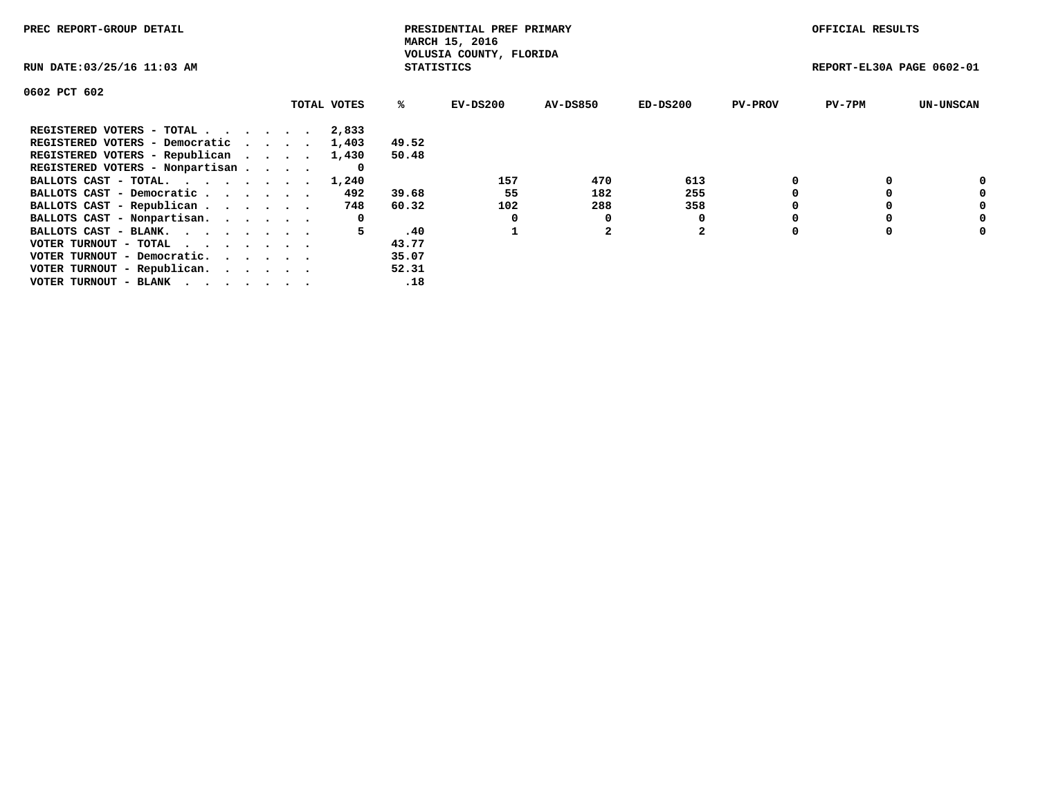| PREC REPORT-GROUP DETAIL                                    |             |                   | PRESIDENTIAL PREF PRIMARY<br>MARCH 15, 2016 |                 |            |                | OFFICIAL RESULTS          |                  |
|-------------------------------------------------------------|-------------|-------------------|---------------------------------------------|-----------------|------------|----------------|---------------------------|------------------|
| RUN DATE: 03/25/16 11:03 AM                                 |             | <b>STATISTICS</b> | VOLUSIA COUNTY, FLORIDA                     |                 |            |                | REPORT-EL30A PAGE 0602-01 |                  |
| 0602 PCT 602                                                |             |                   |                                             |                 |            |                |                           |                  |
|                                                             | TOTAL VOTES | ℁                 | EV-DS200                                    | <b>AV-DS850</b> | $ED-DS200$ | <b>PV-PROV</b> | $PV-7PM$                  | <b>UN-UNSCAN</b> |
| REGISTERED VOTERS - TOTAL                                   | 2,833       |                   |                                             |                 |            |                |                           |                  |
| REGISTERED VOTERS - Democratic                              | 1,403       | 49.52             |                                             |                 |            |                |                           |                  |
| REGISTERED VOTERS - Republican                              | 1,430       | 50.48             |                                             |                 |            |                |                           |                  |
| REGISTERED VOTERS - Nonpartisan                             | 0           |                   |                                             |                 |            |                |                           |                  |
| BALLOTS CAST - TOTAL. 1,240                                 |             |                   | 157                                         | 470             | 613        |                |                           | 0                |
| BALLOTS CAST - Democratic                                   | 492         | 39.68             | 55                                          | 182             | 255        |                |                           | 0                |
| BALLOTS CAST - Republican                                   | 748         | 60.32             | 102                                         | 288             | 358        |                |                           | 0                |
| BALLOTS CAST - Nonpartisan.                                 | 0           |                   |                                             | 0               |            |                |                           | 0                |
| BALLOTS CAST - BLANK.                                       | 5.          | .40               |                                             |                 | 2          |                |                           | 0                |
| VOTER TURNOUT - TOTAL $\cdot \cdot \cdot \cdot \cdot \cdot$ |             | 43.77             |                                             |                 |            |                |                           |                  |
| VOTER TURNOUT - Democratic.                                 |             | 35.07             |                                             |                 |            |                |                           |                  |
| VOTER TURNOUT - Republican.                                 |             | 52.31             |                                             |                 |            |                |                           |                  |
| VOTER TURNOUT - BLANK                                       |             | .18               |                                             |                 |            |                |                           |                  |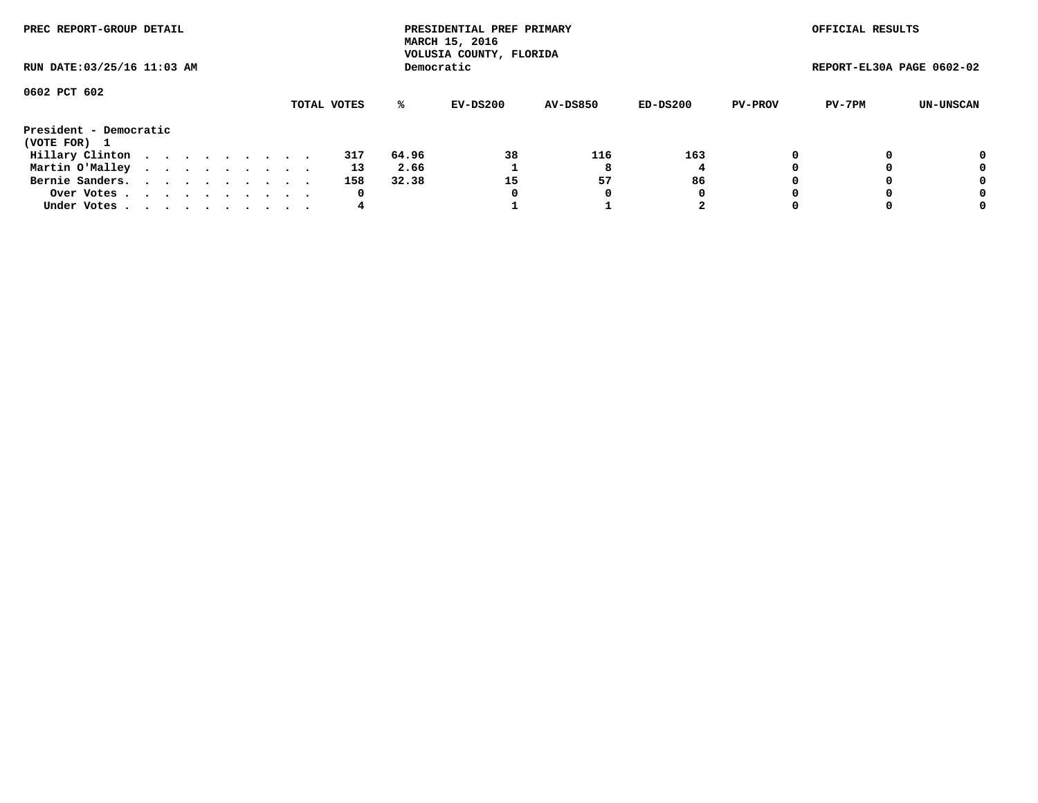| PREC REPORT-GROUP DETAIL               |  |  |  |  |             |       | PRESIDENTIAL PREF PRIMARY<br>MARCH 15, 2016<br>VOLUSIA COUNTY, FLORIDA |                 |            |                | OFFICIAL RESULTS          |           |
|----------------------------------------|--|--|--|--|-------------|-------|------------------------------------------------------------------------|-----------------|------------|----------------|---------------------------|-----------|
| RUN DATE: 03/25/16 11:03 AM            |  |  |  |  |             |       | Democratic                                                             |                 |            |                | REPORT-EL30A PAGE 0602-02 |           |
| 0602 PCT 602                           |  |  |  |  | TOTAL VOTES | %ะ    | EV-DS200                                                               | <b>AV-DS850</b> | $ED-DS200$ | <b>PV-PROV</b> | PV-7PM                    | UN-UNSCAN |
| President - Democratic<br>(VOTE FOR) 1 |  |  |  |  |             |       |                                                                        |                 |            |                |                           |           |
| Hillary Clinton                        |  |  |  |  | 317         | 64.96 | 38                                                                     | 116             | 163        | 0              |                           | 0         |
| Martin O'Malley                        |  |  |  |  | 13          | 2.66  |                                                                        | 8               |            |                |                           | 0         |
| Bernie Sanders.                        |  |  |  |  | 158         | 32.38 | 15                                                                     | 57              | 86         |                |                           | 0         |
| Over Votes                             |  |  |  |  | 0           |       | 0                                                                      | 0               | 0          |                |                           | 0         |
| Under Votes.                           |  |  |  |  | 4           |       |                                                                        |                 | 2          |                |                           | 0         |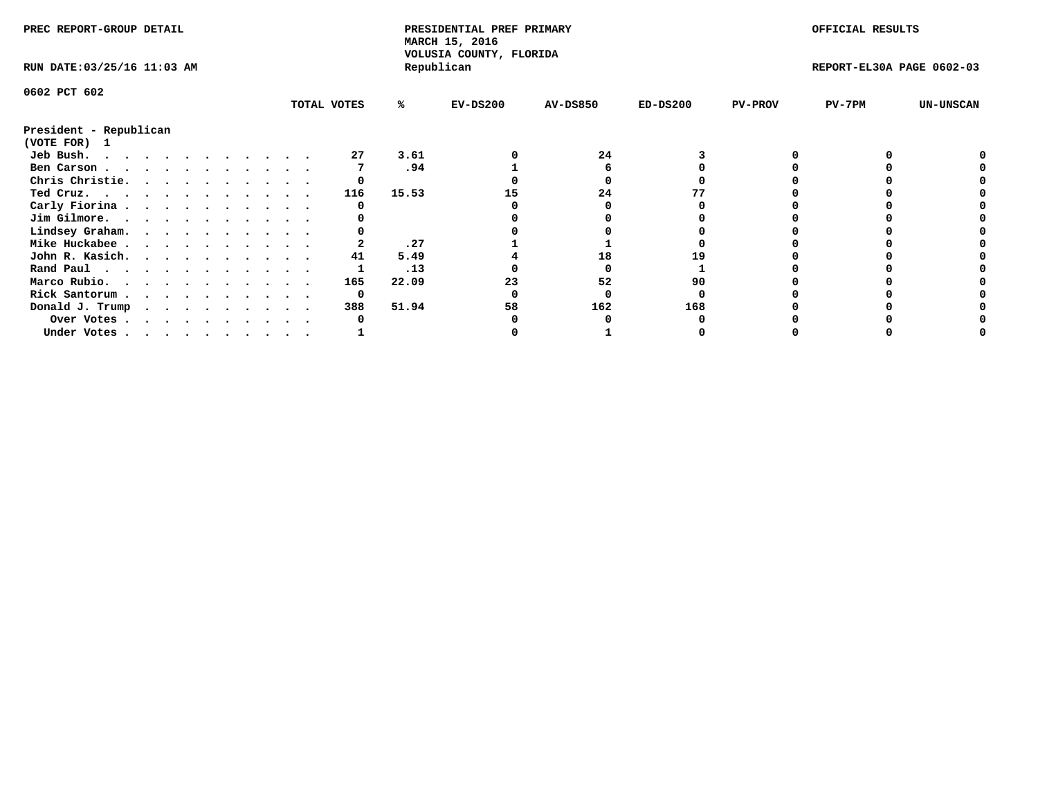| PREC REPORT-GROUP DETAIL    |             |       | PRESIDENTIAL PREF PRIMARY<br>MARCH 15, 2016<br>VOLUSIA COUNTY, FLORIDA |                 |            |                | OFFICIAL RESULTS          |                  |
|-----------------------------|-------------|-------|------------------------------------------------------------------------|-----------------|------------|----------------|---------------------------|------------------|
| RUN DATE: 03/25/16 11:03 AM |             |       | Republican                                                             |                 |            |                | REPORT-EL30A PAGE 0602-03 |                  |
| 0602 PCT 602                |             |       |                                                                        |                 |            |                |                           |                  |
|                             | TOTAL VOTES | %ะ    | $EV-DS200$                                                             | <b>AV-DS850</b> | $ED-DS200$ | <b>PV-PROV</b> | PV-7PM                    | <b>UN-UNSCAN</b> |
| President - Republican      |             |       |                                                                        |                 |            |                |                           |                  |
| (VOTE FOR) 1                |             |       |                                                                        |                 |            |                |                           |                  |
| Jeb Bush.                   | 27          | 3.61  |                                                                        | 24              |            |                |                           |                  |
| Ben Carson                  |             | .94   |                                                                        |                 |            |                |                           |                  |
| Chris Christie.             |             |       |                                                                        |                 |            |                |                           |                  |
| Ted Cruz.                   | 116         | 15.53 |                                                                        | 24              |            |                |                           |                  |
| Carly Fiorina               |             |       |                                                                        |                 |            |                |                           |                  |
| Jim Gilmore.                |             |       |                                                                        |                 |            |                |                           |                  |
| Lindsey Graham.             |             |       |                                                                        |                 |            |                |                           |                  |
| Mike Huckabee               |             | .27   |                                                                        |                 |            |                |                           |                  |
| John R. Kasich.             | 41          | 5.49  |                                                                        | 18              |            |                |                           |                  |
| Rand Paul                   |             | .13   |                                                                        |                 |            |                |                           |                  |
| Marco Rubio.                | 165         | 22.09 |                                                                        | 52              | 90         |                |                           |                  |
| Rick Santorum               | 0           |       |                                                                        |                 |            |                |                           |                  |
| Donald J. Trump             | 388         | 51.94 | 58                                                                     | 162             | 168        |                |                           |                  |
| Over Votes                  |             |       |                                                                        |                 |            |                |                           |                  |
| Under Votes                 |             |       |                                                                        |                 |            |                |                           |                  |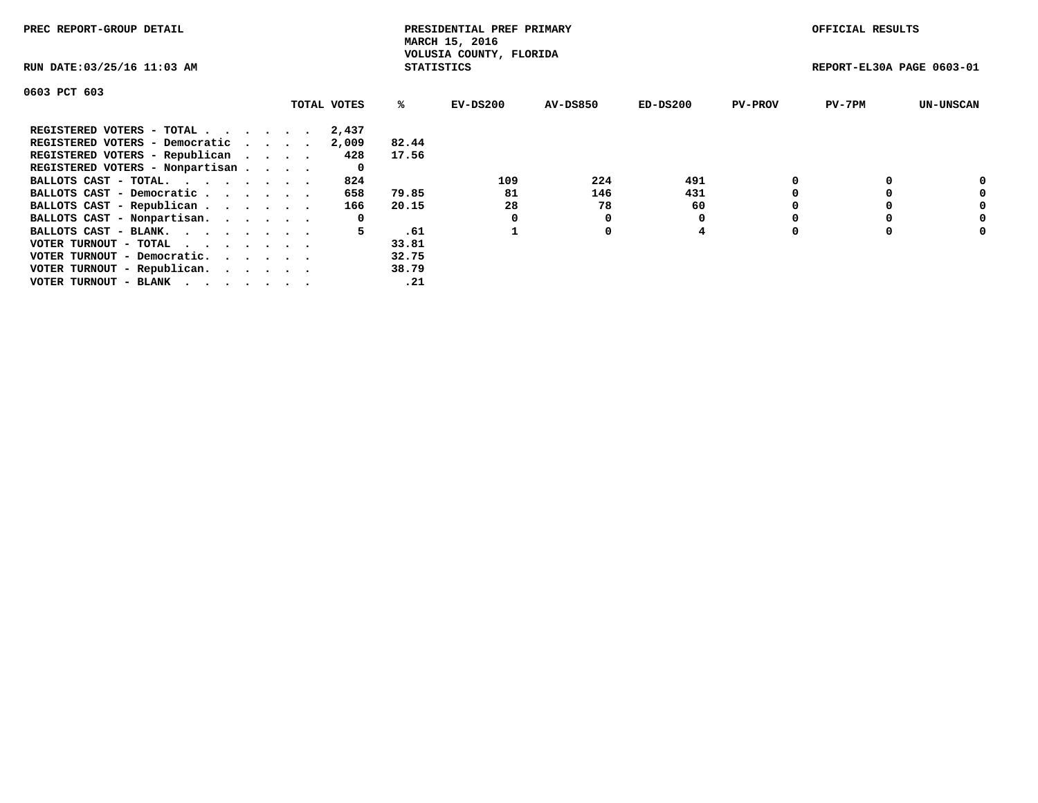| PREC REPORT-GROUP DETAIL                                    |             |                   | PRESIDENTIAL PREF PRIMARY<br>MARCH 15, 2016 |                 |            |                | OFFICIAL RESULTS          |                  |
|-------------------------------------------------------------|-------------|-------------------|---------------------------------------------|-----------------|------------|----------------|---------------------------|------------------|
| RUN DATE: 03/25/16 11:03 AM                                 |             | <b>STATISTICS</b> | VOLUSIA COUNTY, FLORIDA                     |                 |            |                | REPORT-EL30A PAGE 0603-01 |                  |
| 0603 PCT 603                                                |             |                   |                                             |                 |            |                |                           |                  |
|                                                             | TOTAL VOTES | ℁                 | EV-DS200                                    | <b>AV-DS850</b> | $ED-DS200$ | <b>PV-PROV</b> | $PV-7PM$                  | <b>UN-UNSCAN</b> |
| REGISTERED VOTERS - TOTAL                                   | 2,437       |                   |                                             |                 |            |                |                           |                  |
| REGISTERED VOTERS - Democratic                              | 2,009       | 82.44             |                                             |                 |            |                |                           |                  |
| REGISTERED VOTERS - Republican                              | 428         | 17.56             |                                             |                 |            |                |                           |                  |
| REGISTERED VOTERS - Nonpartisan                             | 0           |                   |                                             |                 |            |                |                           |                  |
| BALLOTS CAST - TOTAL.                                       | 824         |                   | 109                                         | 224             | 491        |                |                           | 0                |
| BALLOTS CAST - Democratic                                   | 658         | 79.85             | 81                                          | 146             | 431        |                |                           | 0                |
| BALLOTS CAST - Republican                                   | 166         | 20.15             | 28                                          | 78              | 60         |                |                           | 0                |
| BALLOTS CAST - Nonpartisan.                                 | 0           |                   |                                             |                 |            |                |                           | 0                |
| BALLOTS CAST - BLANK.                                       | 5.          | .61               |                                             | 0               | 4          |                |                           | 0                |
| VOTER TURNOUT - TOTAL $\cdot \cdot \cdot \cdot \cdot \cdot$ |             | 33.81             |                                             |                 |            |                |                           |                  |
| VOTER TURNOUT - Democratic.                                 |             | 32.75             |                                             |                 |            |                |                           |                  |
| VOTER TURNOUT - Republican.                                 |             | 38.79             |                                             |                 |            |                |                           |                  |
| VOTER TURNOUT - BLANK                                       |             | .21               |                                             |                 |            |                |                           |                  |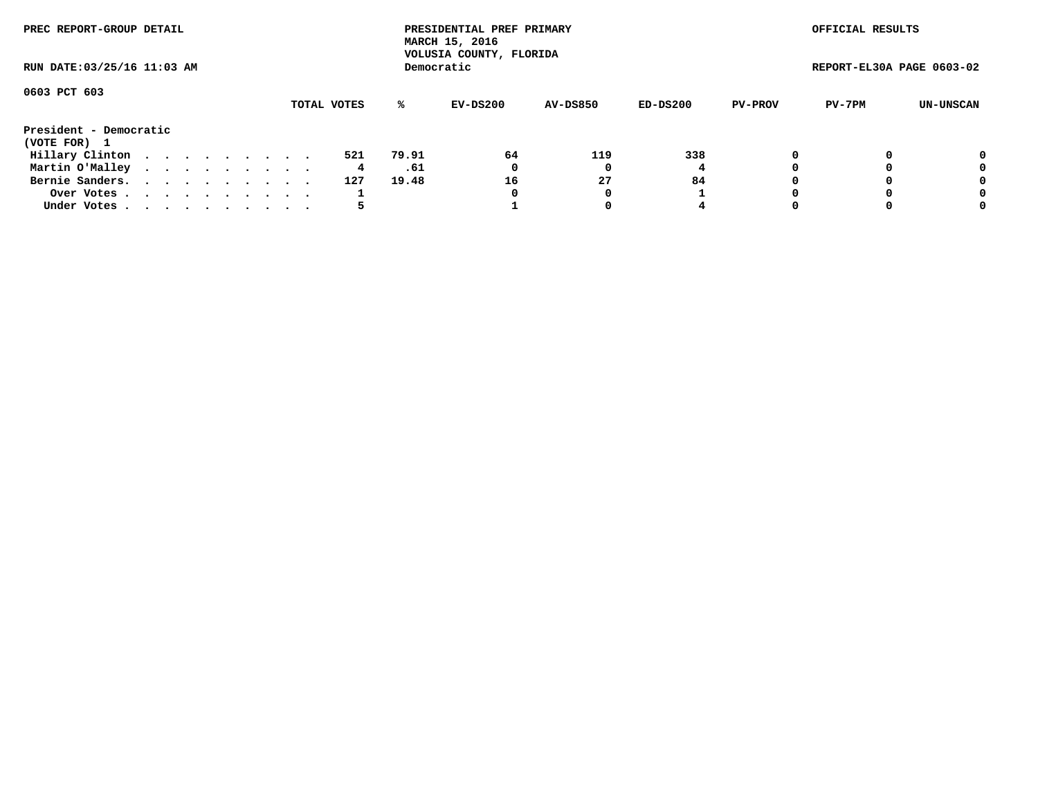| PREC REPORT-GROUP DETAIL               |  |  |  |  |             |       | PRESIDENTIAL PREF PRIMARY<br>MARCH 15, 2016<br>VOLUSIA COUNTY, FLORIDA |                 |            |                | OFFICIAL RESULTS          |           |
|----------------------------------------|--|--|--|--|-------------|-------|------------------------------------------------------------------------|-----------------|------------|----------------|---------------------------|-----------|
| RUN DATE: 03/25/16 11:03 AM            |  |  |  |  |             |       | Democratic                                                             |                 |            |                | REPORT-EL30A PAGE 0603-02 |           |
| 0603 PCT 603                           |  |  |  |  | TOTAL VOTES | %ะ    | EV-DS200                                                               | <b>AV-DS850</b> | $ED-DS200$ | <b>PV-PROV</b> | PV-7PM                    | UN-UNSCAN |
| President - Democratic<br>(VOTE FOR) 1 |  |  |  |  |             |       |                                                                        |                 |            |                |                           |           |
| Hillary Clinton                        |  |  |  |  | 521         | 79.91 | 64                                                                     | 119             | 338        | 0              |                           | 0         |
| Martin O'Malley                        |  |  |  |  | 4           | .61   | 0                                                                      |                 |            |                |                           | 0         |
| Bernie Sanders.                        |  |  |  |  | 127         | 19.48 | 16                                                                     | 27              | 84         |                |                           | 0         |
| Over Votes                             |  |  |  |  |             |       | 0                                                                      | 0               |            |                |                           | 0         |
| Under Votes.                           |  |  |  |  |             |       |                                                                        |                 | 4          |                |                           | 0         |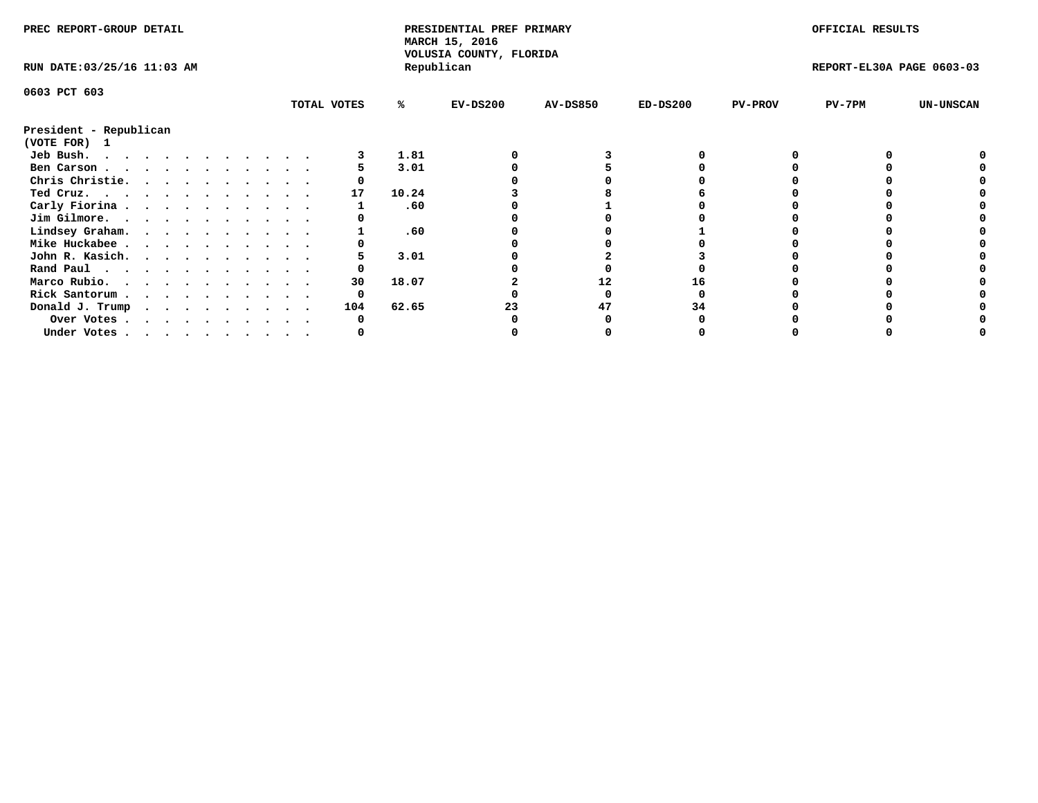| PREC REPORT-GROUP DETAIL               |  |  |  |  |  |             |       | PRESIDENTIAL PREF PRIMARY<br>MARCH 15, 2016<br>VOLUSIA COUNTY, FLORIDA |                 |            |                | OFFICIAL RESULTS          |                  |
|----------------------------------------|--|--|--|--|--|-------------|-------|------------------------------------------------------------------------|-----------------|------------|----------------|---------------------------|------------------|
| RUN DATE: 03/25/16 11:03 AM            |  |  |  |  |  |             |       | Republican                                                             |                 |            |                | REPORT-EL30A PAGE 0603-03 |                  |
| 0603 PCT 603                           |  |  |  |  |  |             |       |                                                                        |                 |            |                |                           |                  |
|                                        |  |  |  |  |  | TOTAL VOTES | %ะ    | $EV-DS200$                                                             | <b>AV-DS850</b> | $ED-DS200$ | <b>PV-PROV</b> | $PV-7PM$                  | <b>UN-UNSCAN</b> |
| President - Republican<br>(VOTE FOR) 1 |  |  |  |  |  |             |       |                                                                        |                 |            |                |                           |                  |
| Jeb Bush.                              |  |  |  |  |  |             | 1.81  |                                                                        |                 |            |                |                           |                  |
| Ben Carson                             |  |  |  |  |  |             | 3.01  |                                                                        |                 |            |                |                           |                  |
| Chris Christie.                        |  |  |  |  |  |             |       |                                                                        |                 |            |                |                           |                  |
| Ted Cruz.                              |  |  |  |  |  | 17          | 10.24 |                                                                        |                 |            |                |                           |                  |
| Carly Fiorina                          |  |  |  |  |  |             | .60   |                                                                        |                 |            |                |                           |                  |
| Jim Gilmore.                           |  |  |  |  |  |             |       |                                                                        |                 |            |                |                           |                  |
| Lindsey Graham.                        |  |  |  |  |  |             | .60   |                                                                        |                 |            |                |                           |                  |
| Mike Huckabee                          |  |  |  |  |  |             |       |                                                                        |                 |            |                |                           |                  |
| John R. Kasich.                        |  |  |  |  |  |             | 3.01  |                                                                        |                 |            |                |                           |                  |
| Rand Paul                              |  |  |  |  |  |             |       |                                                                        |                 |            |                |                           |                  |
| Marco Rubio.                           |  |  |  |  |  | 30          | 18.07 |                                                                        | 12              |            |                |                           |                  |
|                                        |  |  |  |  |  |             |       |                                                                        |                 |            |                |                           |                  |
| Rick Santorum                          |  |  |  |  |  | 0           |       |                                                                        |                 |            |                |                           |                  |
| Donald J. Trump                        |  |  |  |  |  | 104         | 62.65 |                                                                        | 47              | 34         |                |                           |                  |
| Over Votes                             |  |  |  |  |  |             |       |                                                                        |                 |            |                |                           |                  |
| Under Votes                            |  |  |  |  |  |             |       |                                                                        |                 |            |                |                           |                  |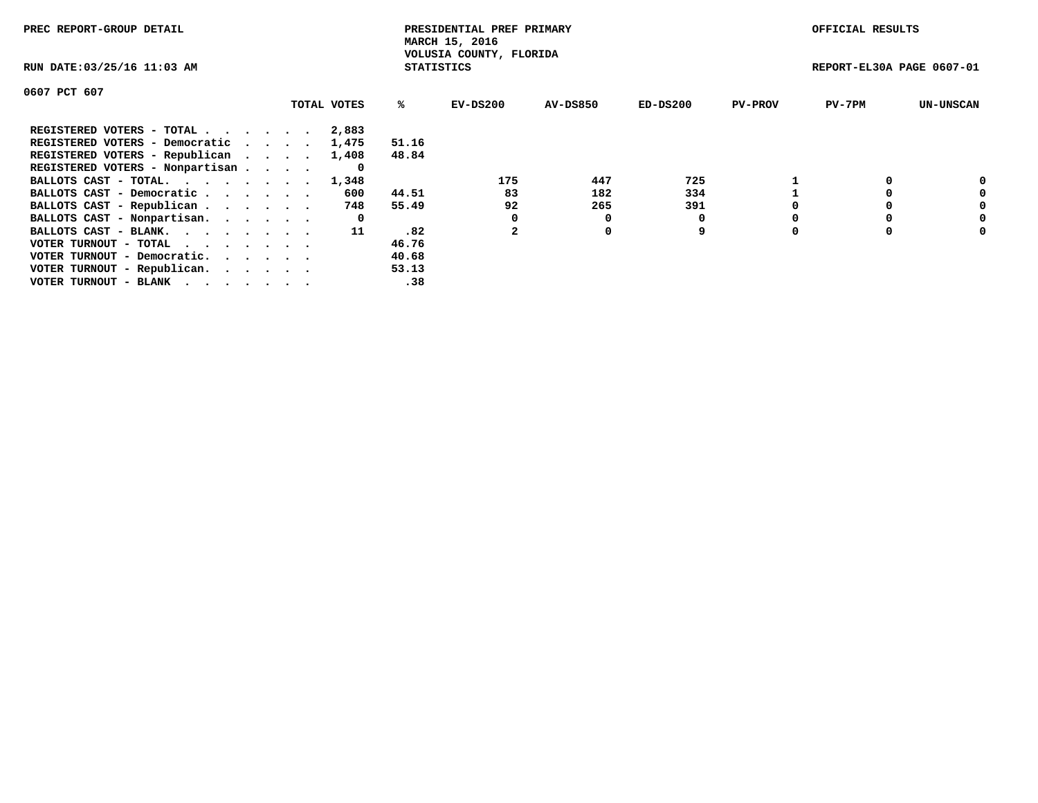| PREC REPORT-GROUP DETAIL                                    |             |                   | PRESIDENTIAL PREF PRIMARY<br>MARCH 15, 2016 |                 |            |                | OFFICIAL RESULTS          |                  |
|-------------------------------------------------------------|-------------|-------------------|---------------------------------------------|-----------------|------------|----------------|---------------------------|------------------|
| RUN DATE: 03/25/16 11:03 AM                                 |             | <b>STATISTICS</b> | VOLUSIA COUNTY, FLORIDA                     |                 |            |                | REPORT-EL30A PAGE 0607-01 |                  |
| 0607 PCT 607                                                |             |                   |                                             |                 |            |                |                           |                  |
|                                                             | TOTAL VOTES | ℁                 | EV-DS200                                    | <b>AV-DS850</b> | $ED-DS200$ | <b>PV-PROV</b> | $PV-7PM$                  | <b>UN-UNSCAN</b> |
| REGISTERED VOTERS - TOTAL                                   | 2,883       |                   |                                             |                 |            |                |                           |                  |
| REGISTERED VOTERS - Democratic                              | 1,475       | 51.16             |                                             |                 |            |                |                           |                  |
| REGISTERED VOTERS - Republican                              | 1,408       | 48.84             |                                             |                 |            |                |                           |                  |
| REGISTERED VOTERS - Nonpartisan                             | 0           |                   |                                             |                 |            |                |                           |                  |
| BALLOTS CAST - TOTAL. 1,348                                 |             |                   | 175                                         | 447             | 725        |                |                           | 0                |
| BALLOTS CAST - Democratic                                   | 600         | 44.51             | 83                                          | 182             | 334        |                |                           | 0                |
| BALLOTS CAST - Republican                                   | 748         | 55.49             | 92                                          | 265             | 391        |                |                           | 0                |
| BALLOTS CAST - Nonpartisan.                                 | 0           |                   |                                             | 0               |            |                |                           | 0                |
| BALLOTS CAST - BLANK.                                       | 11          | .82               |                                             | 0               | 9          |                |                           | 0                |
| VOTER TURNOUT - TOTAL $\cdot \cdot \cdot \cdot \cdot \cdot$ |             | 46.76             |                                             |                 |            |                |                           |                  |
| VOTER TURNOUT - Democratic.                                 |             | 40.68             |                                             |                 |            |                |                           |                  |
| VOTER TURNOUT - Republican.                                 |             | 53.13             |                                             |                 |            |                |                           |                  |
| VOTER TURNOUT - BLANK                                       |             | .38               |                                             |                 |            |                |                           |                  |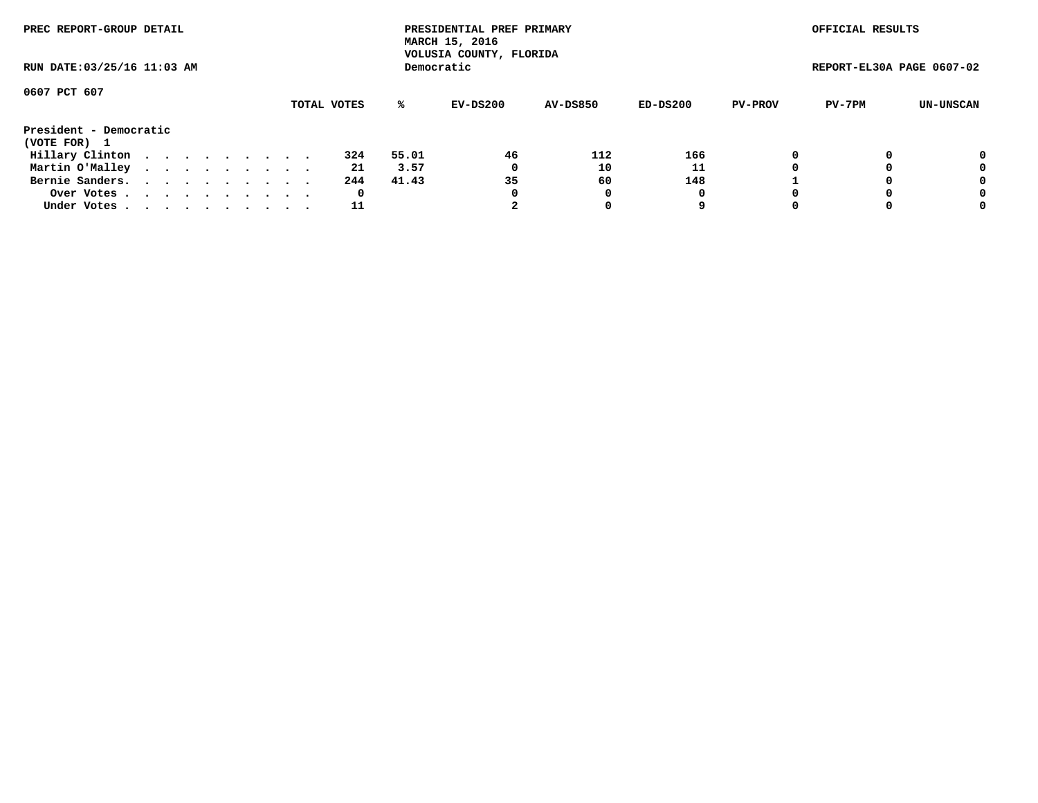| PREC REPORT-GROUP DETAIL               | RUN DATE: 03/25/16 11:03 AM |  |  |  |  |  |  |             |       | PRESIDENTIAL PREF PRIMARY<br>MARCH 15, 2016<br>VOLUSIA COUNTY, FLORIDA |                 |          |                | OFFICIAL RESULTS          |           |
|----------------------------------------|-----------------------------|--|--|--|--|--|--|-------------|-------|------------------------------------------------------------------------|-----------------|----------|----------------|---------------------------|-----------|
|                                        |                             |  |  |  |  |  |  |             |       | Democratic                                                             |                 |          |                | REPORT-EL30A PAGE 0607-02 |           |
| 0607 PCT 607                           |                             |  |  |  |  |  |  | TOTAL VOTES | ℁     | EV-DS200                                                               | <b>AV-DS850</b> | ED-DS200 | <b>PV-PROV</b> | PV-7PM                    | UN-UNSCAN |
| President - Democratic<br>(VOTE FOR) 1 |                             |  |  |  |  |  |  |             |       |                                                                        |                 |          |                |                           |           |
| Hillary Clinton                        |                             |  |  |  |  |  |  | 324         | 55.01 | 46                                                                     | 112             | 166      | 0              |                           | 0         |
| Martin O'Malley                        |                             |  |  |  |  |  |  | 21          | 3.57  | 0                                                                      | 10              | 11       |                |                           | 0         |
| Bernie Sanders.                        |                             |  |  |  |  |  |  | 244         | 41.43 | 35                                                                     | 60              | 148      |                |                           | 0         |
| Over Votes.                            |                             |  |  |  |  |  |  | 0           |       | 0                                                                      | 0               | 0        |                |                           | 0         |
| Under Votes                            |                             |  |  |  |  |  |  | 11          |       |                                                                        |                 | 9        |                |                           | 0         |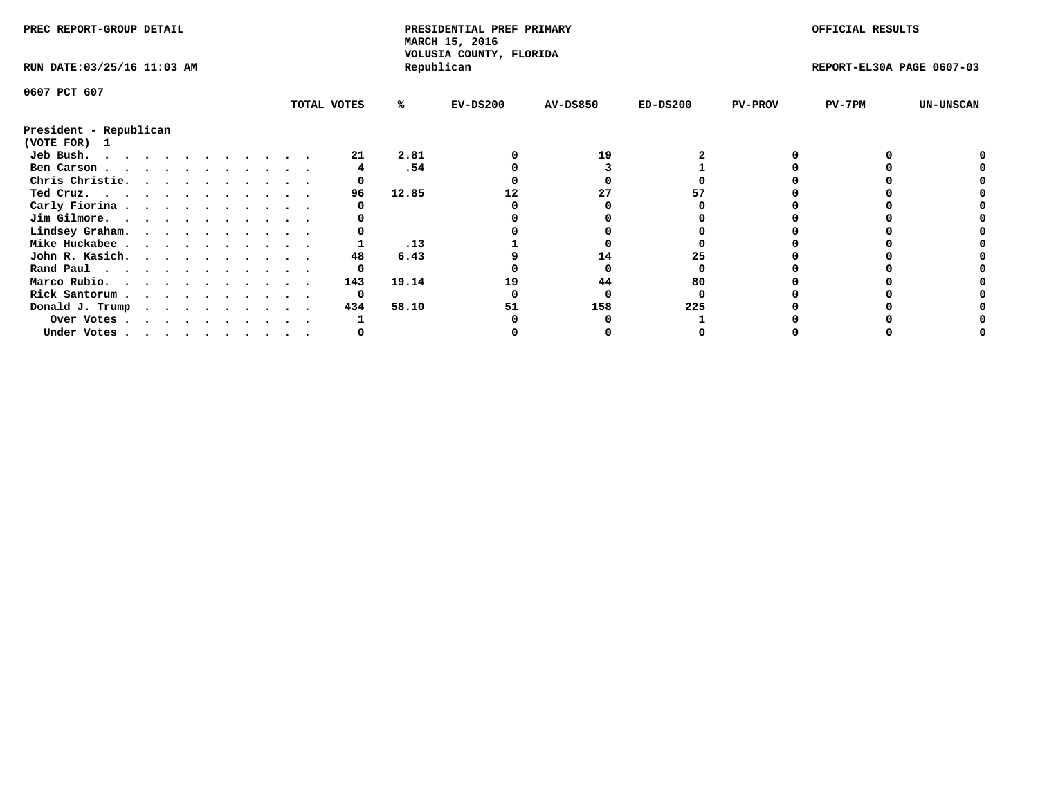| VOLUSIA COUNTY, FLORIDA<br>Republican<br>RUN DATE: 03/25/16 11:03 AM<br>REPORT-EL30A PAGE 0607-03<br>0607 PCT 607<br>TOTAL VOTES<br>$EV-DS200$<br><b>AV-DS850</b><br>$ED-DS200$<br><b>PV-PROV</b><br>$PV-7PM$<br><b>UN-UNSCAN</b><br>℁<br>President - Republican<br>(VOTE FOR) 1<br>2.81<br>19<br>Jeb Bush.<br>21<br>.54<br>Ben Carson<br>Chris Christie.<br>12.85<br>Ted Cruz.<br>96<br>27<br>Carly Fiorina<br>Jim Gilmore.<br>Lindsey Graham. |
|-------------------------------------------------------------------------------------------------------------------------------------------------------------------------------------------------------------------------------------------------------------------------------------------------------------------------------------------------------------------------------------------------------------------------------------------------|
|                                                                                                                                                                                                                                                                                                                                                                                                                                                 |
|                                                                                                                                                                                                                                                                                                                                                                                                                                                 |
|                                                                                                                                                                                                                                                                                                                                                                                                                                                 |
|                                                                                                                                                                                                                                                                                                                                                                                                                                                 |
|                                                                                                                                                                                                                                                                                                                                                                                                                                                 |
|                                                                                                                                                                                                                                                                                                                                                                                                                                                 |
|                                                                                                                                                                                                                                                                                                                                                                                                                                                 |
|                                                                                                                                                                                                                                                                                                                                                                                                                                                 |
|                                                                                                                                                                                                                                                                                                                                                                                                                                                 |
|                                                                                                                                                                                                                                                                                                                                                                                                                                                 |
|                                                                                                                                                                                                                                                                                                                                                                                                                                                 |
| .13<br>Mike Huckabee                                                                                                                                                                                                                                                                                                                                                                                                                            |
| John R. Kasich.<br>6.43<br>14<br>48<br>25                                                                                                                                                                                                                                                                                                                                                                                                       |
| Rand Paul                                                                                                                                                                                                                                                                                                                                                                                                                                       |
| Marco Rubio.<br>143<br>19.14<br>80<br>19<br>44                                                                                                                                                                                                                                                                                                                                                                                                  |
| Rick Santorum<br>0                                                                                                                                                                                                                                                                                                                                                                                                                              |
| 58.10<br>158<br>225<br>434<br>51<br>Donald J. Trump                                                                                                                                                                                                                                                                                                                                                                                             |
| Over Votes                                                                                                                                                                                                                                                                                                                                                                                                                                      |
| Under Votes                                                                                                                                                                                                                                                                                                                                                                                                                                     |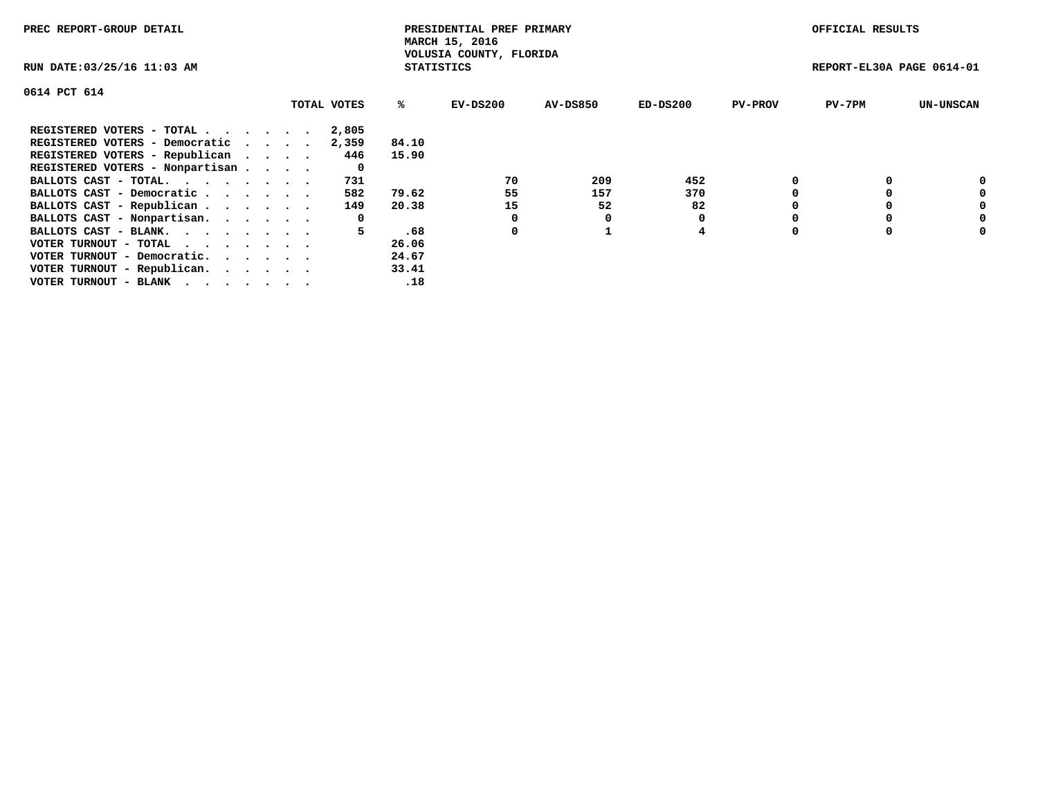| PREC REPORT-GROUP DETAIL                                    |             |                   | PRESIDENTIAL PREF PRIMARY<br>MARCH 15, 2016 |                 |            |                | OFFICIAL RESULTS          |                  |
|-------------------------------------------------------------|-------------|-------------------|---------------------------------------------|-----------------|------------|----------------|---------------------------|------------------|
| RUN DATE: 03/25/16 11:03 AM                                 |             | <b>STATISTICS</b> | VOLUSIA COUNTY, FLORIDA                     |                 |            |                | REPORT-EL30A PAGE 0614-01 |                  |
| 0614 PCT 614                                                |             |                   |                                             |                 |            |                |                           |                  |
|                                                             | TOTAL VOTES | ℁                 | EV-DS200                                    | <b>AV-DS850</b> | $ED-DS200$ | <b>PV-PROV</b> | $PV-7PM$                  | <b>UN-UNSCAN</b> |
| REGISTERED VOTERS - TOTAL                                   | 2,805       |                   |                                             |                 |            |                |                           |                  |
| REGISTERED VOTERS - Democratic                              | 2,359       | 84.10             |                                             |                 |            |                |                           |                  |
| REGISTERED VOTERS - Republican                              | 446         | 15.90             |                                             |                 |            |                |                           |                  |
| REGISTERED VOTERS - Nonpartisan                             | 0           |                   |                                             |                 |            |                |                           |                  |
| BALLOTS CAST - TOTAL.                                       | 731         |                   | 70                                          | 209             | 452        |                |                           | 0                |
| BALLOTS CAST - Democratic                                   | 582         | 79.62             | 55                                          | 157             | 370        |                |                           | 0                |
| BALLOTS CAST - Republican                                   | 149         | 20.38             | 15                                          | 52              | 82         |                |                           | 0                |
| BALLOTS CAST - Nonpartisan.                                 | 0           |                   |                                             |                 |            |                |                           | 0                |
| BALLOTS CAST - BLANK.                                       | 5           | .68               | 0                                           |                 | 4          |                |                           | 0                |
| VOTER TURNOUT - TOTAL $\cdot \cdot \cdot \cdot \cdot \cdot$ |             | 26.06             |                                             |                 |            |                |                           |                  |
| VOTER TURNOUT - Democratic.                                 |             | 24.67             |                                             |                 |            |                |                           |                  |
| VOTER TURNOUT - Republican.                                 |             | 33.41             |                                             |                 |            |                |                           |                  |
| VOTER TURNOUT - BLANK                                       |             | .18               |                                             |                 |            |                |                           |                  |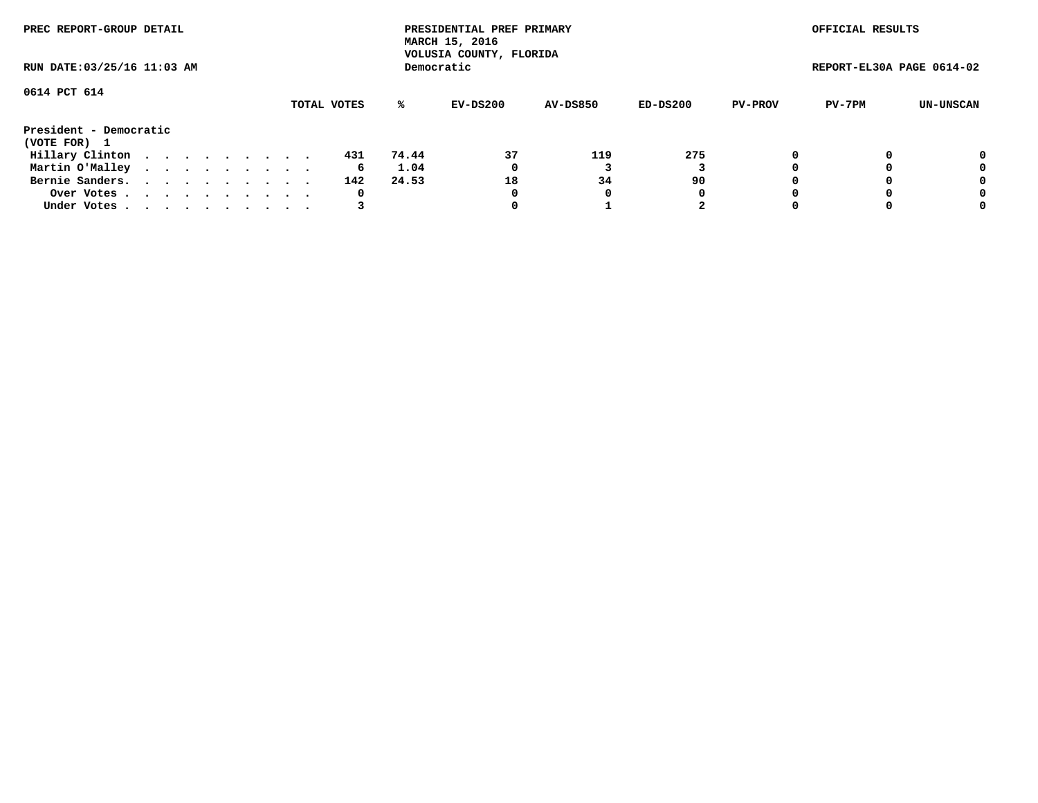|                                        | PREC REPORT-GROUP DETAIL<br>RUN DATE: 03/25/16 11:03 AM |  |  |  |  |  |  |  |             |       | PRESIDENTIAL PREF PRIMARY<br>MARCH 15, 2016<br>VOLUSIA COUNTY, FLORIDA |                 |          |                | OFFICIAL RESULTS          |           |
|----------------------------------------|---------------------------------------------------------|--|--|--|--|--|--|--|-------------|-------|------------------------------------------------------------------------|-----------------|----------|----------------|---------------------------|-----------|
|                                        |                                                         |  |  |  |  |  |  |  |             |       | Democratic                                                             |                 |          |                | REPORT-EL30A PAGE 0614-02 |           |
| 0614 PCT 614                           |                                                         |  |  |  |  |  |  |  | TOTAL VOTES | ℁     | EV-DS200                                                               | <b>AV-DS850</b> | ED-DS200 | <b>PV-PROV</b> | PV-7PM                    | UN-UNSCAN |
| President - Democratic<br>(VOTE FOR) 1 |                                                         |  |  |  |  |  |  |  |             |       |                                                                        |                 |          |                |                           |           |
| Hillary Clinton                        |                                                         |  |  |  |  |  |  |  | 431         | 74.44 | 37                                                                     | 119             | 275      | 0              |                           | 0         |
| Martin O'Malley                        |                                                         |  |  |  |  |  |  |  | 6           | 1.04  | 0                                                                      |                 |          |                |                           | 0         |
| Bernie Sanders.                        |                                                         |  |  |  |  |  |  |  | 142         | 24.53 | 18                                                                     | 34              | 90       |                |                           | 0         |
| Over Votes.                            |                                                         |  |  |  |  |  |  |  | 0           |       | 0                                                                      | 0               | 0        |                |                           | 0         |
| Under Votes.                           |                                                         |  |  |  |  |  |  |  |             |       |                                                                        |                 | 2        |                |                           | 0         |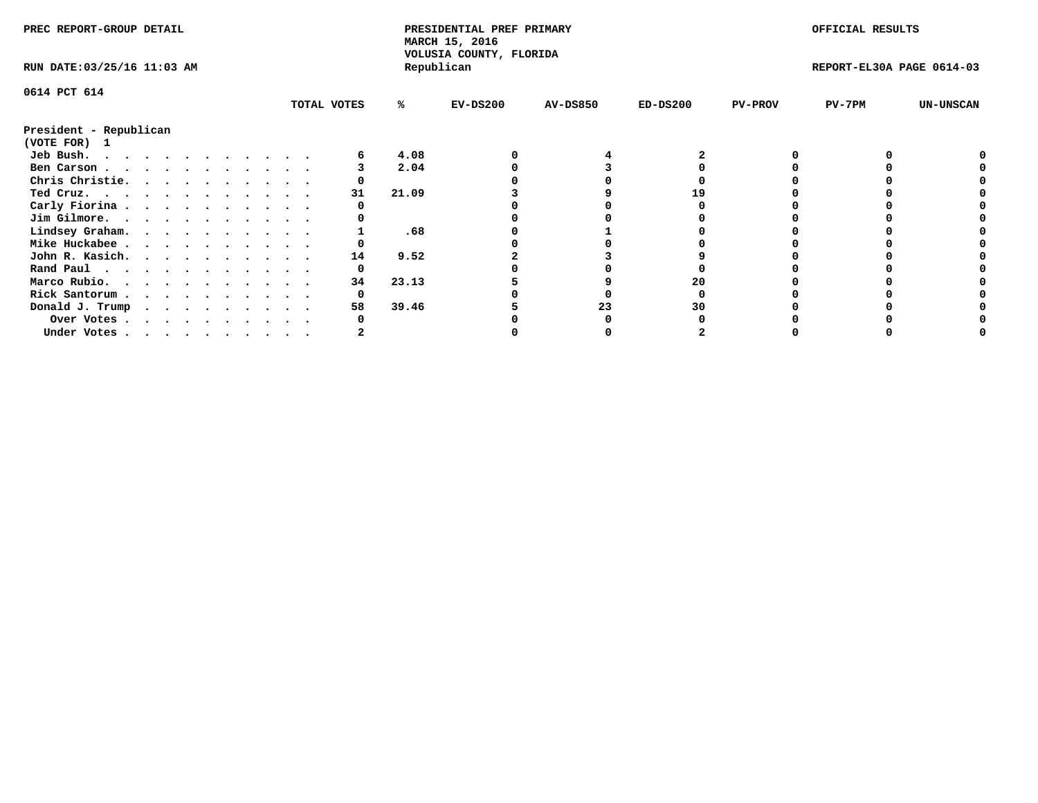| PREC REPORT-GROUP DETAIL<br>RUN DATE: 03/25/16 11:03 AM                                                                                                                                                                                    |  |  |   |  |  |  | PRESIDENTIAL PREF PRIMARY<br>MARCH 15, 2016<br>VOLUSIA COUNTY, FLORIDA |       |            |                 | OFFICIAL RESULTS |                |                           |                  |
|--------------------------------------------------------------------------------------------------------------------------------------------------------------------------------------------------------------------------------------------|--|--|---|--|--|--|------------------------------------------------------------------------|-------|------------|-----------------|------------------|----------------|---------------------------|------------------|
|                                                                                                                                                                                                                                            |  |  |   |  |  |  |                                                                        |       | Republican |                 |                  |                | REPORT-EL30A PAGE 0614-03 |                  |
| 0614 PCT 614                                                                                                                                                                                                                               |  |  |   |  |  |  |                                                                        |       |            |                 |                  |                |                           |                  |
|                                                                                                                                                                                                                                            |  |  |   |  |  |  | TOTAL VOTES                                                            | ℁     | $EV-DS200$ | <b>AV-DS850</b> | $ED-DS200$       | <b>PV-PROV</b> | PV-7PM                    | <b>UN-UNSCAN</b> |
| President - Republican<br>(VOTE FOR) 1                                                                                                                                                                                                     |  |  |   |  |  |  |                                                                        |       |            |                 |                  |                |                           |                  |
| Jeb Bush.<br>. The contract of the contract of the contract of the contract of the contract of the contract of the contract of the contract of the contract of the contract of the contract of the contract of the contract of the contrac |  |  |   |  |  |  |                                                                        | 4.08  |            |                 |                  |                |                           |                  |
| Ben Carson                                                                                                                                                                                                                                 |  |  |   |  |  |  |                                                                        | 2.04  |            |                 |                  |                |                           |                  |
| Chris Christie.                                                                                                                                                                                                                            |  |  |   |  |  |  |                                                                        |       |            |                 |                  |                |                           |                  |
| Ted Cruz.                                                                                                                                                                                                                                  |  |  |   |  |  |  | 31                                                                     | 21.09 |            |                 | 19               |                |                           |                  |
| Carly Fiorina                                                                                                                                                                                                                              |  |  |   |  |  |  |                                                                        |       |            |                 |                  |                |                           |                  |
| Jim Gilmore.                                                                                                                                                                                                                               |  |  |   |  |  |  |                                                                        |       |            |                 |                  |                |                           |                  |
| Lindsey Graham.                                                                                                                                                                                                                            |  |  |   |  |  |  |                                                                        | .68   |            |                 |                  |                |                           |                  |
| Mike Huckabee                                                                                                                                                                                                                              |  |  |   |  |  |  |                                                                        |       |            |                 |                  |                |                           |                  |
| John R. Kasich.                                                                                                                                                                                                                            |  |  |   |  |  |  | 14                                                                     | 9.52  |            |                 |                  |                |                           |                  |
| Rand Paul                                                                                                                                                                                                                                  |  |  |   |  |  |  | 0                                                                      |       |            |                 |                  |                |                           |                  |
| Marco Rubio.                                                                                                                                                                                                                               |  |  |   |  |  |  | 34                                                                     | 23.13 |            |                 | 20               |                |                           |                  |
|                                                                                                                                                                                                                                            |  |  | . |  |  |  |                                                                        |       |            |                 |                  |                |                           |                  |
| Rick Santorum                                                                                                                                                                                                                              |  |  |   |  |  |  |                                                                        |       |            |                 |                  |                |                           |                  |
| Donald J. Trump                                                                                                                                                                                                                            |  |  |   |  |  |  | 58                                                                     | 39.46 |            | 23              | 30               |                |                           |                  |
| Over Votes                                                                                                                                                                                                                                 |  |  |   |  |  |  |                                                                        |       |            |                 |                  |                |                           |                  |
| Under Votes, , , , , , , , , , ,                                                                                                                                                                                                           |  |  |   |  |  |  |                                                                        |       |            |                 |                  |                |                           |                  |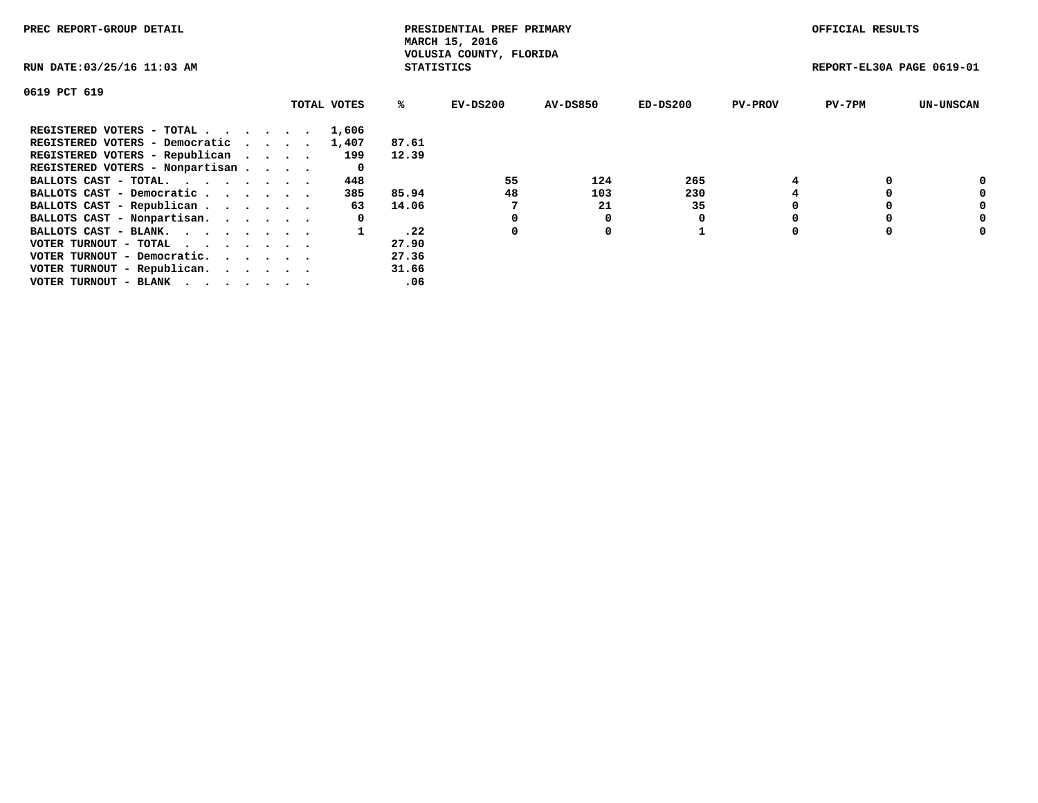| PREC REPORT-GROUP DETAIL        |             |                   | PRESIDENTIAL PREF PRIMARY<br>MARCH 15, 2016 |                 |          |                | OFFICIAL RESULTS          |                  |
|---------------------------------|-------------|-------------------|---------------------------------------------|-----------------|----------|----------------|---------------------------|------------------|
| RUN DATE: 03/25/16 11:03 AM     |             | <b>STATISTICS</b> | VOLUSIA COUNTY, FLORIDA                     |                 |          |                | REPORT-EL30A PAGE 0619-01 |                  |
| 0619 PCT 619                    |             |                   |                                             |                 |          |                |                           |                  |
|                                 | TOTAL VOTES | %ະ                | EV-DS200                                    | <b>AV-DS850</b> | ED-DS200 | <b>PV-PROV</b> | $PV-7PM$                  | <b>UN-UNSCAN</b> |
| REGISTERED VOTERS - TOTAL       | 1,606       |                   |                                             |                 |          |                |                           |                  |
| REGISTERED VOTERS - Democratic  | 1,407       | 87.61             |                                             |                 |          |                |                           |                  |
| REGISTERED VOTERS - Republican  | 199         | 12.39             |                                             |                 |          |                |                           |                  |
| REGISTERED VOTERS - Nonpartisan | 0           |                   |                                             |                 |          |                |                           |                  |
| BALLOTS CAST - TOTAL.           | 448         |                   | 55                                          | 124             | 265      |                |                           |                  |
| BALLOTS CAST - Democratic       | 385         | 85.94             | 48                                          | 103             | 230      |                |                           | 0                |
| BALLOTS CAST - Republican       | 63          | 14.06             |                                             | 21              | 35       |                |                           | 0                |
| BALLOTS CAST - Nonpartisan.     | 0           |                   |                                             |                 |          |                |                           | 0                |
| BALLOTS CAST - BLANK.           |             | .22               | 0                                           | 0               |          |                |                           | 0                |
| VOTER TURNOUT - TOTAL           |             | 27.90             |                                             |                 |          |                |                           |                  |
| VOTER TURNOUT - Democratic.     |             | 27.36             |                                             |                 |          |                |                           |                  |
| VOTER TURNOUT - Republican.     |             | 31.66             |                                             |                 |          |                |                           |                  |
| VOTER TURNOUT - BLANK           |             | .06               |                                             |                 |          |                |                           |                  |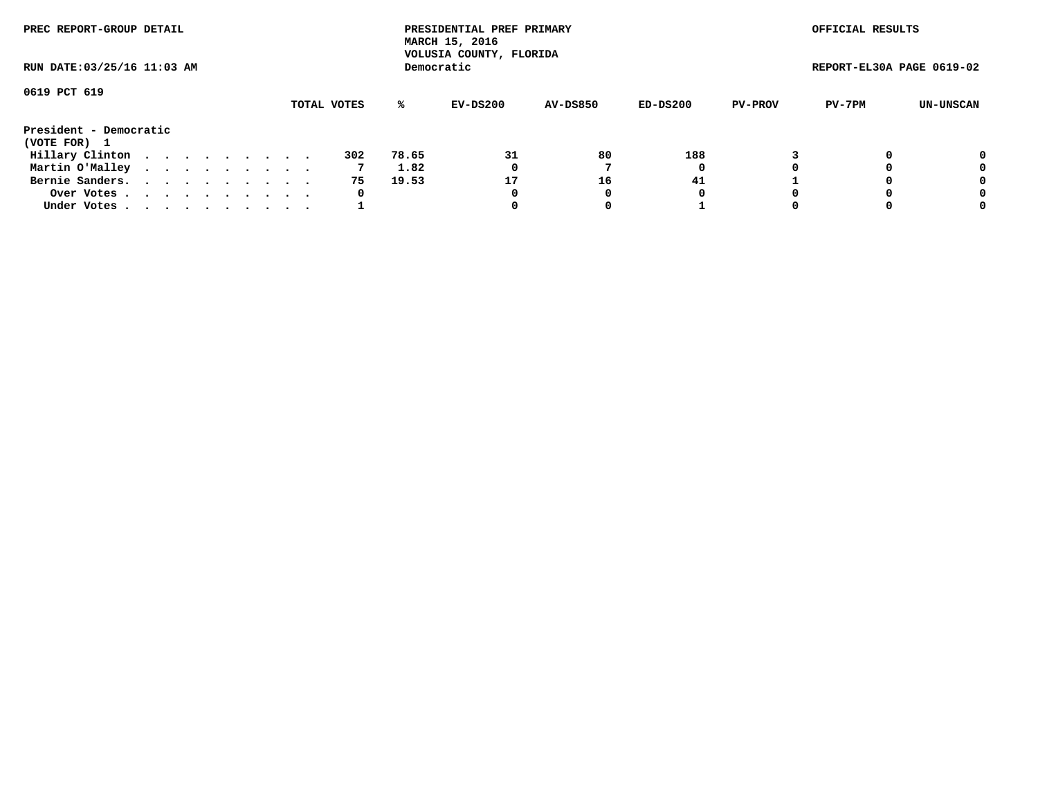|                                        | PREC REPORT-GROUP DETAIL<br>RUN DATE: 03/25/16 11:03 AM |  |  |  |  |  |  |  |             |       | PRESIDENTIAL PREF PRIMARY<br>MARCH 15, 2016<br>VOLUSIA COUNTY, FLORIDA |                 |          |                | OFFICIAL RESULTS          |           |
|----------------------------------------|---------------------------------------------------------|--|--|--|--|--|--|--|-------------|-------|------------------------------------------------------------------------|-----------------|----------|----------------|---------------------------|-----------|
|                                        |                                                         |  |  |  |  |  |  |  |             |       | Democratic                                                             |                 |          |                | REPORT-EL30A PAGE 0619-02 |           |
| 0619 PCT 619                           |                                                         |  |  |  |  |  |  |  | TOTAL VOTES | %ะ    | EV-DS200                                                               | <b>AV-DS850</b> | ED-DS200 | <b>PV-PROV</b> | PV-7PM                    | UN-UNSCAN |
| President - Democratic<br>(VOTE FOR) 1 |                                                         |  |  |  |  |  |  |  |             |       |                                                                        |                 |          |                |                           |           |
| Hillary Clinton                        |                                                         |  |  |  |  |  |  |  | 302         | 78.65 | 31                                                                     | 80              | 188      |                |                           | 0         |
| Martin O'Malley                        |                                                         |  |  |  |  |  |  |  |             | 1.82  | 0                                                                      |                 | 0        |                |                           | 0         |
| Bernie Sanders.                        |                                                         |  |  |  |  |  |  |  | 75          | 19.53 | 17                                                                     | 16              | 41       |                |                           | 0         |
| Over Votes.                            |                                                         |  |  |  |  |  |  |  | 0           |       | 0                                                                      |                 | O        |                |                           | 0         |
| Under Votes.                           |                                                         |  |  |  |  |  |  |  |             |       |                                                                        |                 |          |                |                           | 0         |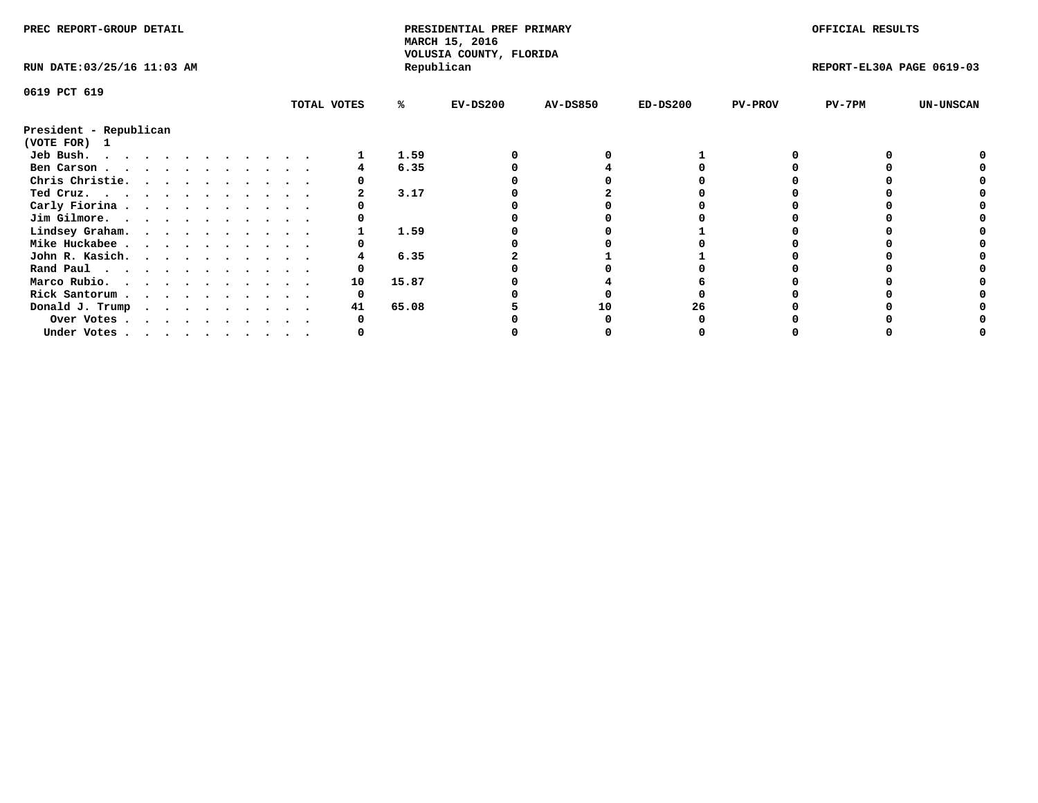| PREC REPORT-GROUP DETAIL               |  |  |  |  |  |  | PRESIDENTIAL PREF PRIMARY<br>MARCH 15, 2016 |             |       |                                       | OFFICIAL RESULTS |            |                |                           |                  |
|----------------------------------------|--|--|--|--|--|--|---------------------------------------------|-------------|-------|---------------------------------------|------------------|------------|----------------|---------------------------|------------------|
| RUN DATE: 03/25/16 11:03 AM            |  |  |  |  |  |  |                                             |             |       | VOLUSIA COUNTY, FLORIDA<br>Republican |                  |            |                | REPORT-EL30A PAGE 0619-03 |                  |
| 0619 PCT 619                           |  |  |  |  |  |  |                                             |             |       |                                       |                  |            |                |                           |                  |
|                                        |  |  |  |  |  |  |                                             | TOTAL VOTES | ℁     | $EV-DS200$                            | <b>AV-DS850</b>  | $ED-DS200$ | <b>PV-PROV</b> | $PV-7PM$                  | <b>UN-UNSCAN</b> |
| President - Republican<br>(VOTE FOR) 1 |  |  |  |  |  |  |                                             |             |       |                                       |                  |            |                |                           |                  |
| Jeb Bush.                              |  |  |  |  |  |  |                                             |             | 1.59  |                                       |                  |            |                |                           |                  |
| Ben Carson                             |  |  |  |  |  |  |                                             |             | 6.35  |                                       |                  |            |                |                           |                  |
| Chris Christie.                        |  |  |  |  |  |  |                                             |             |       |                                       |                  |            |                |                           |                  |
| Ted Cruz.                              |  |  |  |  |  |  |                                             |             | 3.17  |                                       |                  |            |                |                           |                  |
| Carly Fiorina                          |  |  |  |  |  |  |                                             |             |       |                                       |                  |            |                |                           |                  |
| Jim Gilmore.                           |  |  |  |  |  |  |                                             |             |       |                                       |                  |            |                |                           |                  |
| Lindsey Graham.                        |  |  |  |  |  |  |                                             |             | 1.59  |                                       |                  |            |                |                           |                  |
| Mike Huckabee                          |  |  |  |  |  |  |                                             |             |       |                                       |                  |            |                |                           |                  |
| John R. Kasich.                        |  |  |  |  |  |  |                                             |             | 6.35  |                                       |                  |            |                |                           |                  |
| Rand Paul                              |  |  |  |  |  |  |                                             |             |       |                                       |                  |            |                |                           |                  |
| Marco Rubio.                           |  |  |  |  |  |  |                                             | 10          | 15.87 |                                       |                  |            |                |                           |                  |
|                                        |  |  |  |  |  |  |                                             |             |       |                                       |                  |            |                |                           |                  |
| Rick Santorum                          |  |  |  |  |  |  |                                             |             |       |                                       |                  |            |                |                           |                  |
| Donald J. Trump                        |  |  |  |  |  |  |                                             | 41          | 65.08 |                                       | 10               |            |                |                           |                  |
| Over Votes                             |  |  |  |  |  |  |                                             |             |       |                                       |                  |            |                |                           |                  |
| Under Votes, , , , , , , , , , ,       |  |  |  |  |  |  |                                             |             |       |                                       |                  |            |                |                           |                  |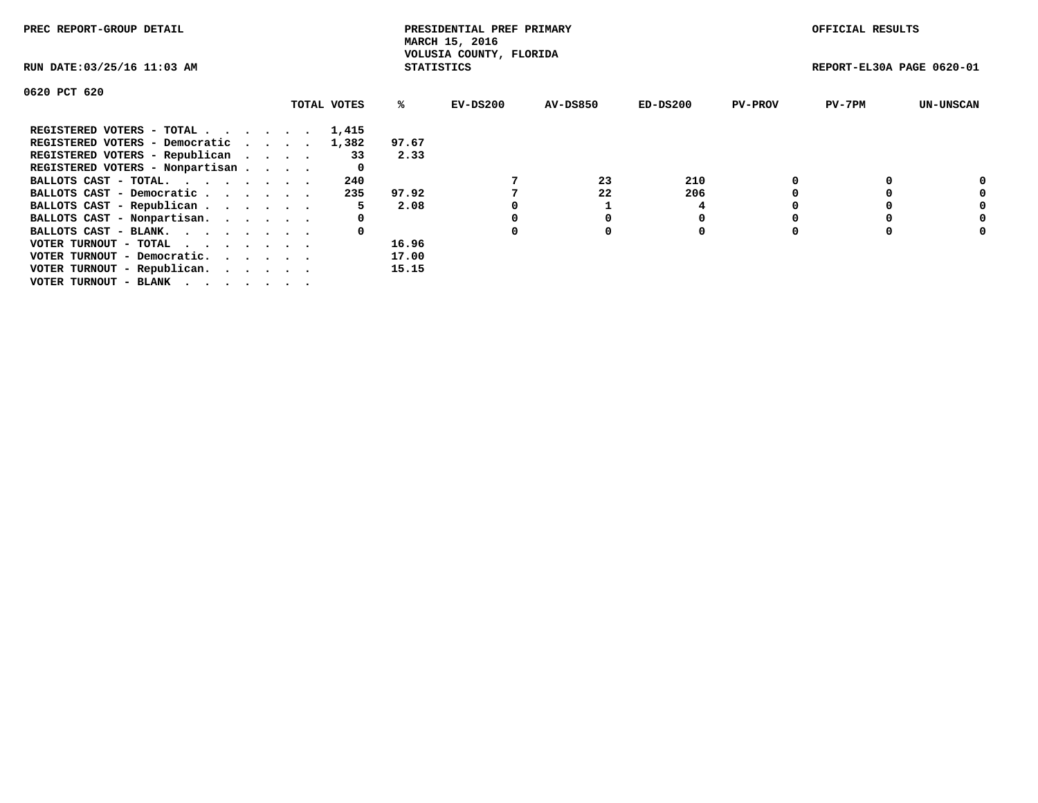| PREC REPORT-GROUP DETAIL                                    |  |             |                   | PRESIDENTIAL PREF PRIMARY<br>MARCH 15, 2016<br>VOLUSIA COUNTY, FLORIDA |                 |            |                | OFFICIAL RESULTS          |                  |
|-------------------------------------------------------------|--|-------------|-------------------|------------------------------------------------------------------------|-----------------|------------|----------------|---------------------------|------------------|
| RUN DATE: 03/25/16 11:03 AM                                 |  |             | <b>STATISTICS</b> |                                                                        |                 |            |                | REPORT-EL30A PAGE 0620-01 |                  |
| 0620 PCT 620                                                |  |             |                   |                                                                        |                 |            |                |                           |                  |
|                                                             |  | TOTAL VOTES | %ร                | EV-DS200                                                               | <b>AV-DS850</b> | $ED-DS200$ | <b>PV-PROV</b> | $PV-7PM$                  | <b>UN-UNSCAN</b> |
| REGISTERED VOTERS - TOTAL                                   |  | 1,415       |                   |                                                                        |                 |            |                |                           |                  |
| REGISTERED VOTERS - Democratic                              |  | 1,382       | 97.67             |                                                                        |                 |            |                |                           |                  |
| REGISTERED VOTERS - Republican                              |  | 33          | 2.33              |                                                                        |                 |            |                |                           |                  |
| REGISTERED VOTERS - Nonpartisan                             |  |             |                   |                                                                        |                 |            |                |                           |                  |
| BALLOTS CAST - TOTAL.                                       |  | 240         |                   |                                                                        | 23              | 210        |                |                           |                  |
| BALLOTS CAST - Democratic                                   |  | 235         | 97.92             |                                                                        | 22              | 206        |                |                           | 0                |
| BALLOTS CAST - Republican                                   |  | 5           | 2.08              |                                                                        |                 | 4          |                |                           |                  |
| BALLOTS CAST - Nonpartisan.                                 |  | 0           |                   |                                                                        |                 |            |                |                           | 0                |
| BALLOTS CAST - BLANK.                                       |  |             |                   | 0                                                                      | $\Omega$        | 0          |                |                           | 0                |
| VOTER TURNOUT - TOTAL $\cdot \cdot \cdot \cdot \cdot \cdot$ |  |             | 16.96             |                                                                        |                 |            |                |                           |                  |
| VOTER TURNOUT - Democratic.                                 |  |             | 17.00             |                                                                        |                 |            |                |                           |                  |
| VOTER TURNOUT - Republican.                                 |  |             | 15.15             |                                                                        |                 |            |                |                           |                  |
| VOTER TURNOUT - BLANK                                       |  |             |                   |                                                                        |                 |            |                |                           |                  |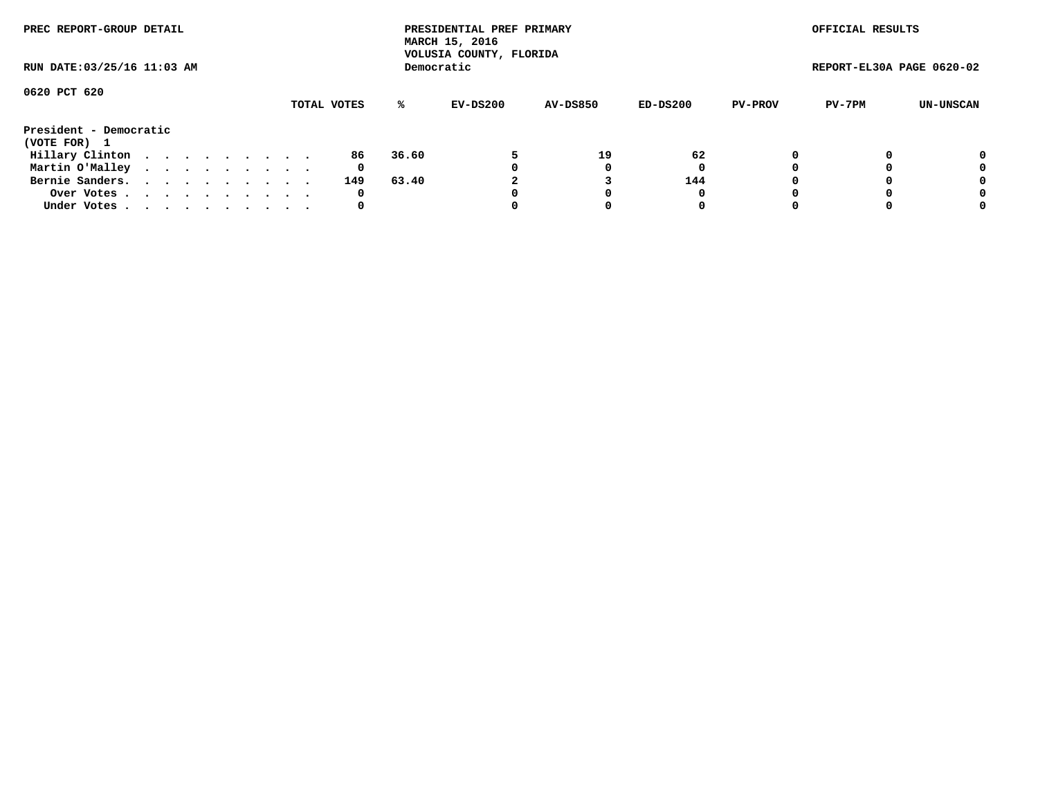|                                        | PREC REPORT-GROUP DETAIL<br>RUN DATE: 03/25/16 11:03 AM |  |  |  |  |  |  |  |             |       | PRESIDENTIAL PREF PRIMARY<br>MARCH 15, 2016<br>VOLUSIA COUNTY, FLORIDA |                 |            |                | OFFICIAL RESULTS          |           |
|----------------------------------------|---------------------------------------------------------|--|--|--|--|--|--|--|-------------|-------|------------------------------------------------------------------------|-----------------|------------|----------------|---------------------------|-----------|
|                                        |                                                         |  |  |  |  |  |  |  |             |       | Democratic                                                             |                 |            |                | REPORT-EL30A PAGE 0620-02 |           |
| 0620 PCT 620                           |                                                         |  |  |  |  |  |  |  | TOTAL VOTES | %ะ    | EV-DS200                                                               | <b>AV-DS850</b> | $ED-DS200$ | <b>PV-PROV</b> | PV-7PM                    | UN-UNSCAN |
| President - Democratic<br>(VOTE FOR) 1 |                                                         |  |  |  |  |  |  |  |             |       |                                                                        |                 |            |                |                           |           |
| Hillary Clinton                        |                                                         |  |  |  |  |  |  |  | 86          | 36.60 |                                                                        | 19              | 62         | 0              |                           | 0         |
| Martin O'Malley                        |                                                         |  |  |  |  |  |  |  | 0           |       |                                                                        |                 | 0          |                |                           | 0         |
| Bernie Sanders.                        |                                                         |  |  |  |  |  |  |  | 149         | 63.40 |                                                                        |                 | 144        |                |                           | 0         |
| Over Votes                             |                                                         |  |  |  |  |  |  |  | 0           |       |                                                                        |                 | 0          |                |                           | 0         |
| Under Votes.                           |                                                         |  |  |  |  |  |  |  | 0           |       |                                                                        |                 | 0          |                |                           | 0         |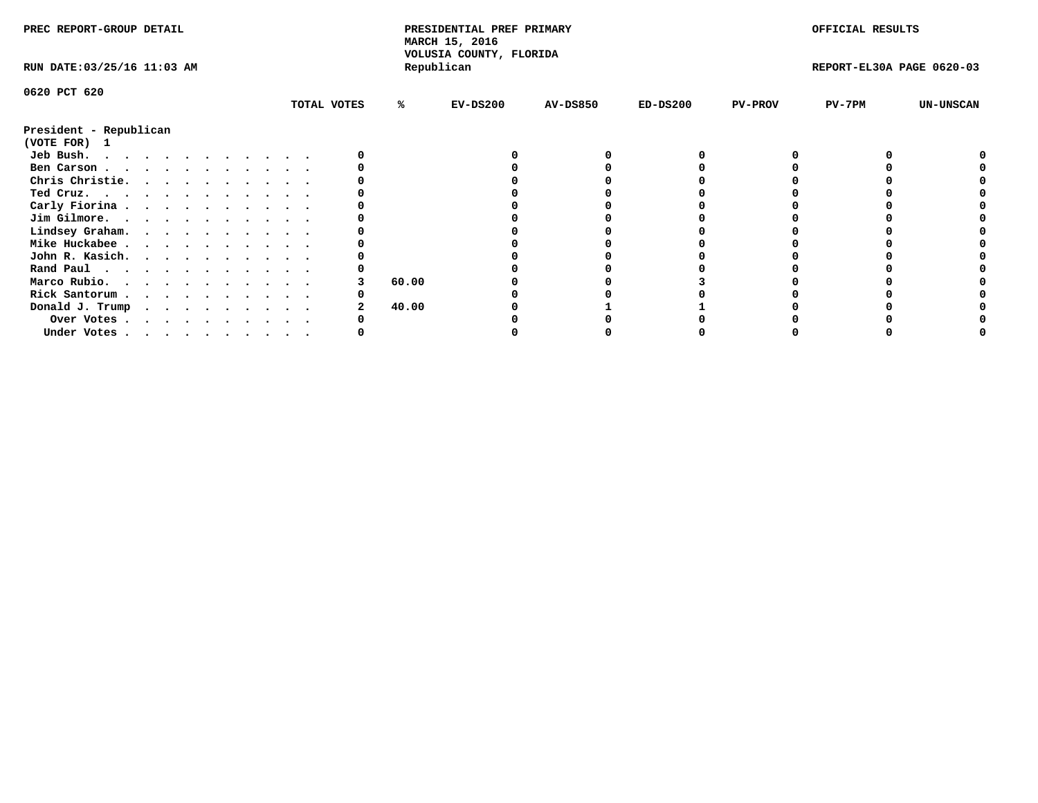| PREC REPORT-GROUP DETAIL<br>PRESIDENTIAL PREF PRIMARY<br>MARCH 15, 2016<br>VOLUSIA COUNTY, FLORIDA |            |                          | OFFICIAL RESULTS          |                  |
|----------------------------------------------------------------------------------------------------|------------|--------------------------|---------------------------|------------------|
| Republican<br>RUN DATE: 03/25/16 11:03 AM                                                          |            |                          | REPORT-EL30A PAGE 0620-03 |                  |
| 0620 PCT 620                                                                                       |            |                          |                           |                  |
| TOTAL VOTES<br>%ะ<br>$EV-DS200$<br><b>AV-DS850</b>                                                 | $ED-DS200$ | PV-7PM<br><b>PV-PROV</b> |                           | <b>UN-UNSCAN</b> |
| President - Republican                                                                             |            |                          |                           |                  |
| (VOTE FOR) 1                                                                                       |            |                          |                           |                  |
| Jeb Bush.                                                                                          |            |                          |                           |                  |
| Ben Carson.                                                                                        |            |                          |                           |                  |
| Chris Christie.                                                                                    |            |                          |                           |                  |
| Ted Cruz.                                                                                          |            |                          |                           |                  |
| Carly Fiorina                                                                                      |            |                          |                           |                  |
| Jim Gilmore.                                                                                       |            |                          |                           |                  |
| Lindsey Graham.                                                                                    |            |                          |                           |                  |
| Mike Huckabee                                                                                      |            |                          |                           |                  |
| John R. Kasich.                                                                                    |            |                          |                           |                  |
| Rand Paul                                                                                          |            |                          |                           |                  |
| 60.00<br>Marco Rubio.                                                                              |            |                          |                           |                  |
| Rick Santorum                                                                                      |            |                          |                           |                  |
| Donald J. Trump<br>40.00                                                                           |            |                          |                           |                  |
| Over Votes                                                                                         |            |                          |                           |                  |
| Under Votes                                                                                        |            |                          |                           |                  |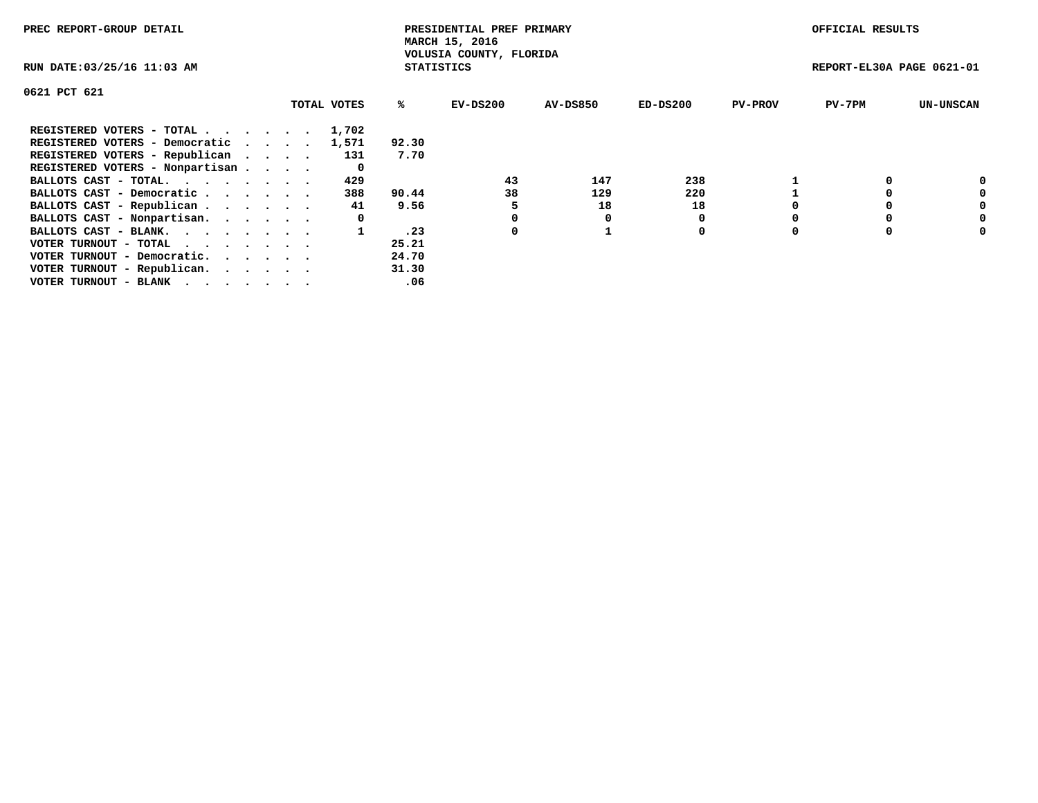| PREC REPORT-GROUP DETAIL        |             |                   | PRESIDENTIAL PREF PRIMARY<br>MARCH 15, 2016 |                 |          |                | OFFICIAL RESULTS          |                  |
|---------------------------------|-------------|-------------------|---------------------------------------------|-----------------|----------|----------------|---------------------------|------------------|
| RUN DATE: 03/25/16 11:03 AM     |             | <b>STATISTICS</b> | VOLUSIA COUNTY, FLORIDA                     |                 |          |                | REPORT-EL30A PAGE 0621-01 |                  |
| 0621 PCT 621                    |             |                   |                                             |                 |          |                |                           |                  |
|                                 | TOTAL VOTES | %ະ                | EV-DS200                                    | <b>AV-DS850</b> | ED-DS200 | <b>PV-PROV</b> | $PV-7PM$                  | <b>UN-UNSCAN</b> |
| REGISTERED VOTERS - TOTAL       | 1,702       |                   |                                             |                 |          |                |                           |                  |
| REGISTERED VOTERS - Democratic  | 1,571       | 92.30             |                                             |                 |          |                |                           |                  |
| REGISTERED VOTERS - Republican  | 131         | 7.70              |                                             |                 |          |                |                           |                  |
| REGISTERED VOTERS - Nonpartisan | 0           |                   |                                             |                 |          |                |                           |                  |
| BALLOTS CAST - TOTAL.           | 429         |                   | 43                                          | 147             | 238      |                |                           |                  |
| BALLOTS CAST - Democratic       | 388         | 90.44             | 38                                          | 129             | 220      |                |                           | 0                |
| BALLOTS CAST - Republican       | 41          | 9.56              |                                             | 18              | 18       |                |                           | 0                |
| BALLOTS CAST - Nonpartisan.     | 0           |                   |                                             |                 | 0        |                |                           | 0                |
| BALLOTS CAST - BLANK.           |             | .23               | 0                                           |                 | 0        |                |                           | 0                |
| VOTER TURNOUT - TOTAL           |             | 25.21             |                                             |                 |          |                |                           |                  |
| VOTER TURNOUT - Democratic.     |             | 24.70             |                                             |                 |          |                |                           |                  |
| VOTER TURNOUT - Republican.     |             | 31.30             |                                             |                 |          |                |                           |                  |
| VOTER TURNOUT - BLANK           |             | .06               |                                             |                 |          |                |                           |                  |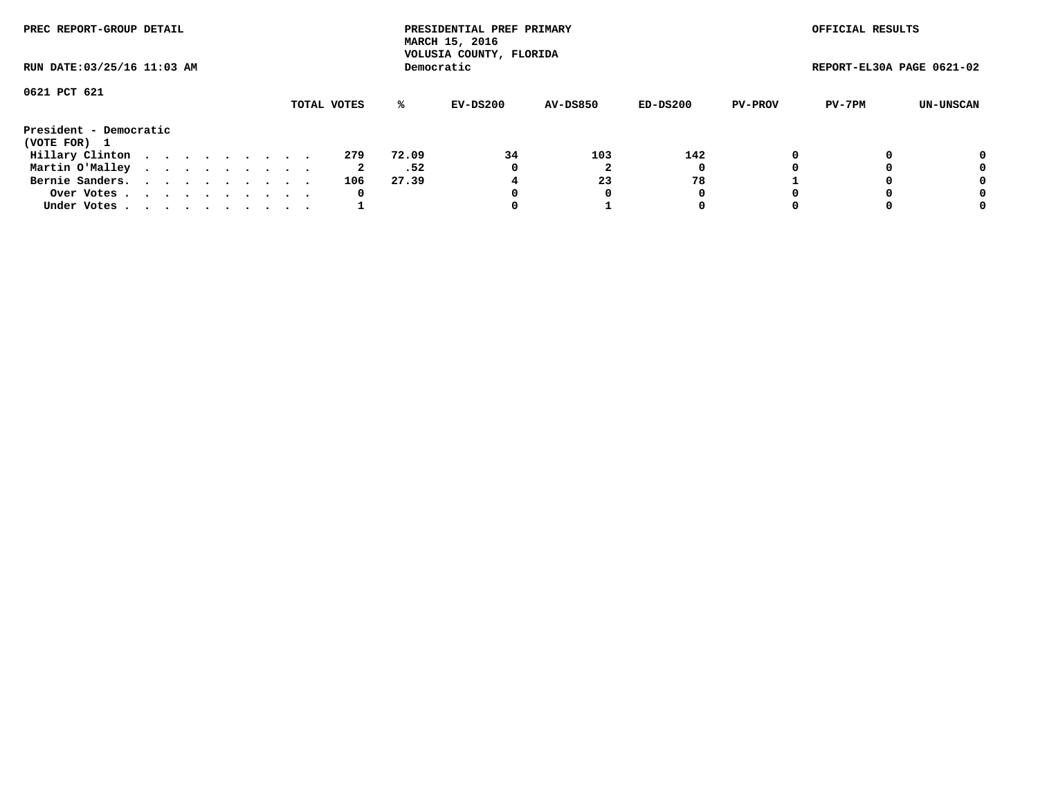| PREC REPORT-GROUP DETAIL               |  |  |  |  |             |       | PRESIDENTIAL PREF PRIMARY<br>MARCH 15, 2016<br>VOLUSIA COUNTY, FLORIDA |                 |            |                | OFFICIAL RESULTS          |           |
|----------------------------------------|--|--|--|--|-------------|-------|------------------------------------------------------------------------|-----------------|------------|----------------|---------------------------|-----------|
| RUN DATE: 03/25/16 11:03 AM            |  |  |  |  |             |       | Democratic                                                             |                 |            |                | REPORT-EL30A PAGE 0621-02 |           |
| 0621 PCT 621                           |  |  |  |  | TOTAL VOTES | %ะ    | EV-DS200                                                               | <b>AV-DS850</b> | $ED-DS200$ | <b>PV-PROV</b> | PV-7PM                    | UN-UNSCAN |
| President - Democratic<br>(VOTE FOR) 1 |  |  |  |  |             |       |                                                                        |                 |            |                |                           |           |
| Hillary Clinton                        |  |  |  |  | 279         | 72.09 | 34                                                                     | 103             | 142        | 0              |                           | 0         |
| Martin O'Malley                        |  |  |  |  | 2           | .52   | 0                                                                      |                 | 0          |                |                           | 0         |
| Bernie Sanders.                        |  |  |  |  | 106         | 27.39 |                                                                        | 23              | 78         |                |                           | 0         |
| Over Votes                             |  |  |  |  | 0           |       |                                                                        | 0               | 0          |                |                           | 0         |
| Under Votes.                           |  |  |  |  |             |       |                                                                        |                 | 0          |                |                           | 0         |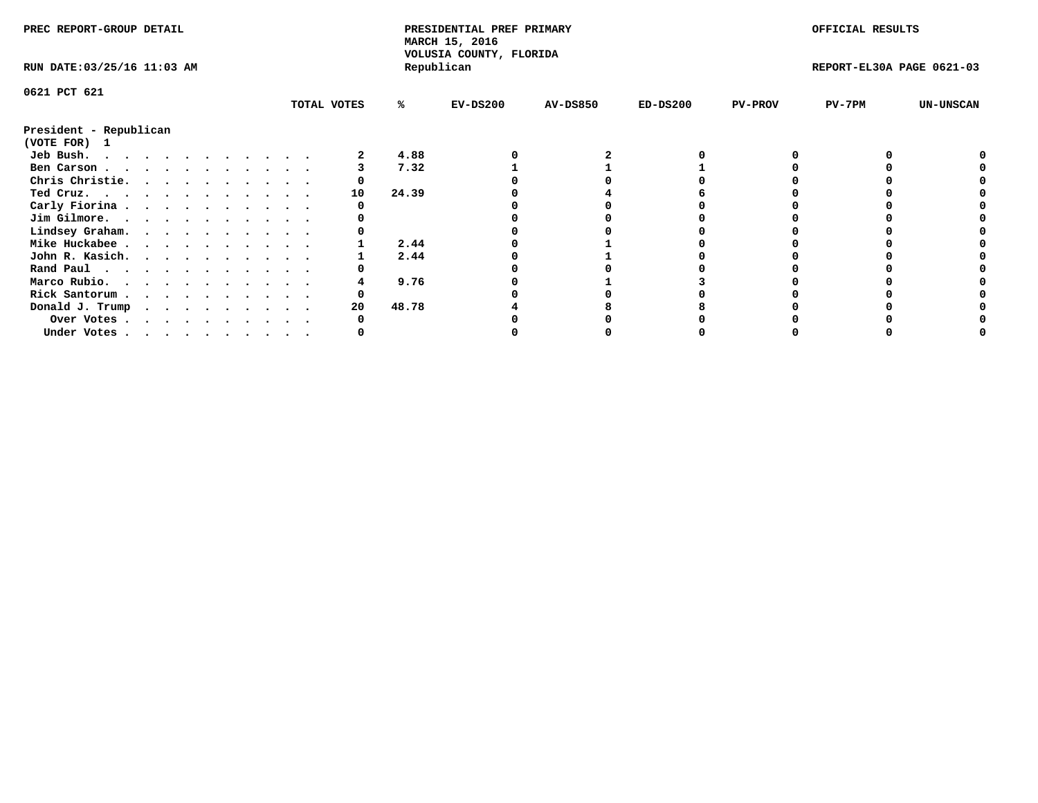| PREC REPORT-GROUP DETAIL    |  |  |  |  |  |  |  |  |             |       | PRESIDENTIAL PREF PRIMARY<br>MARCH 15, 2016<br>VOLUSIA COUNTY, FLORIDA |                 |            |                | OFFICIAL RESULTS          |                  |
|-----------------------------|--|--|--|--|--|--|--|--|-------------|-------|------------------------------------------------------------------------|-----------------|------------|----------------|---------------------------|------------------|
| RUN DATE: 03/25/16 11:03 AM |  |  |  |  |  |  |  |  |             |       | Republican                                                             |                 |            |                | REPORT-EL30A PAGE 0621-03 |                  |
| 0621 PCT 621                |  |  |  |  |  |  |  |  |             |       |                                                                        |                 |            |                |                           |                  |
|                             |  |  |  |  |  |  |  |  | TOTAL VOTES | %     | $EV-DS200$                                                             | <b>AV-DS850</b> | $ED-DS200$ | <b>PV-PROV</b> | PV-7PM                    | <b>UN-UNSCAN</b> |
| President - Republican      |  |  |  |  |  |  |  |  |             |       |                                                                        |                 |            |                |                           |                  |
| (VOTE FOR) 1                |  |  |  |  |  |  |  |  |             |       |                                                                        |                 |            |                |                           |                  |
| Jeb Bush.                   |  |  |  |  |  |  |  |  |             | 4.88  |                                                                        |                 |            |                |                           |                  |
| Ben Carson                  |  |  |  |  |  |  |  |  |             | 7.32  |                                                                        |                 |            |                |                           |                  |
| Chris Christie.             |  |  |  |  |  |  |  |  |             |       |                                                                        |                 |            |                |                           |                  |
| $Ted$ Cruz.                 |  |  |  |  |  |  |  |  | 10          | 24.39 |                                                                        |                 |            |                |                           |                  |
| Carly Fiorina               |  |  |  |  |  |  |  |  |             |       |                                                                        |                 |            |                |                           |                  |
| Jim Gilmore.                |  |  |  |  |  |  |  |  |             |       |                                                                        |                 |            |                |                           |                  |
| Lindsey Graham.             |  |  |  |  |  |  |  |  |             |       |                                                                        |                 |            |                |                           |                  |
| Mike Huckabee               |  |  |  |  |  |  |  |  |             | 2.44  |                                                                        |                 |            |                |                           |                  |
| John R. Kasich.             |  |  |  |  |  |  |  |  |             | 2.44  |                                                                        |                 |            |                |                           |                  |
| Rand Paul                   |  |  |  |  |  |  |  |  |             |       |                                                                        |                 |            |                |                           |                  |
| Marco Rubio.                |  |  |  |  |  |  |  |  |             | 9.76  |                                                                        |                 |            |                |                           |                  |
| Rick Santorum               |  |  |  |  |  |  |  |  |             |       |                                                                        |                 |            |                |                           |                  |
| Donald J. Trump             |  |  |  |  |  |  |  |  | 20          | 48.78 |                                                                        |                 |            |                |                           |                  |
| Over Votes                  |  |  |  |  |  |  |  |  |             |       |                                                                        |                 |            |                |                           |                  |
| Under Votes                 |  |  |  |  |  |  |  |  |             |       |                                                                        |                 |            |                |                           |                  |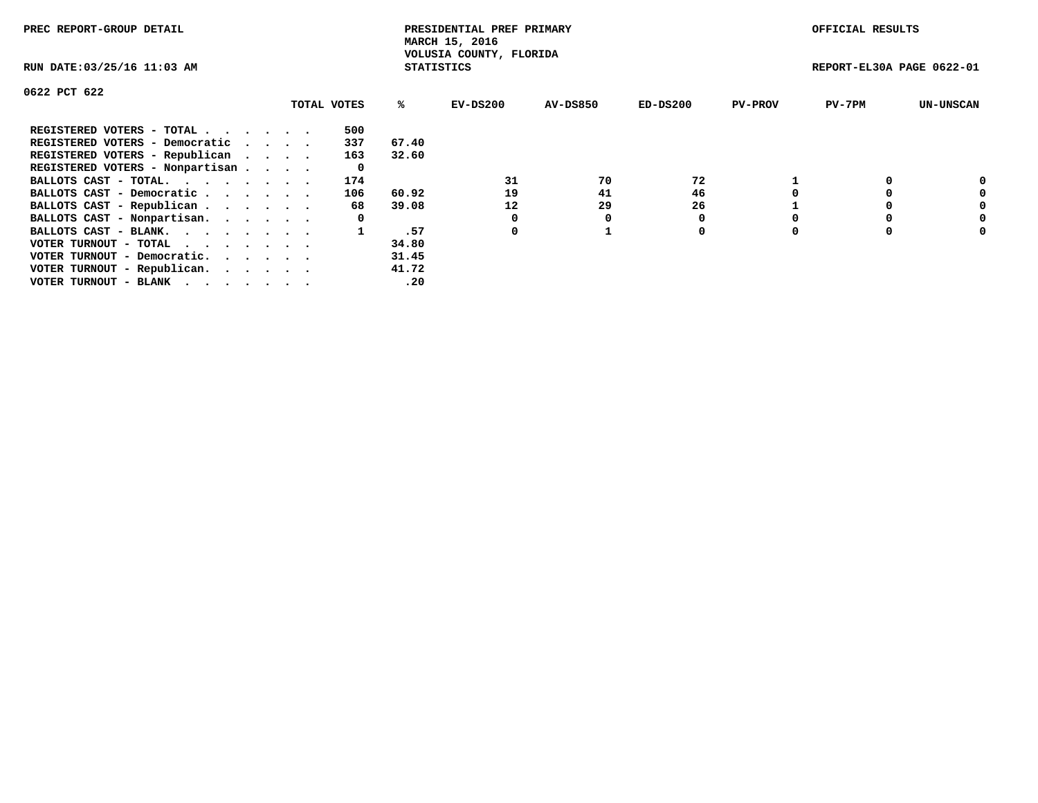| PREC REPORT-GROUP DETAIL                                    |  |             |                   | PRESIDENTIAL PREF PRIMARY<br>MARCH 15, 2016 |          |            |                | OFFICIAL RESULTS |                           |  |
|-------------------------------------------------------------|--|-------------|-------------------|---------------------------------------------|----------|------------|----------------|------------------|---------------------------|--|
| RUN DATE: 03/25/16 11:03 AM                                 |  |             | <b>STATISTICS</b> | VOLUSIA COUNTY, FLORIDA                     |          |            |                |                  | REPORT-EL30A PAGE 0622-01 |  |
| 0622 PCT 622                                                |  |             |                   |                                             |          |            |                |                  |                           |  |
|                                                             |  | TOTAL VOTES | %ร                | EV-DS200                                    | AV-DS850 | $ED-DS200$ | <b>PV-PROV</b> | $PV-7PM$         | <b>UN-UNSCAN</b>          |  |
| REGISTERED VOTERS - TOTAL                                   |  | 500         |                   |                                             |          |            |                |                  |                           |  |
| REGISTERED VOTERS - Democratic                              |  | 337         | 67.40             |                                             |          |            |                |                  |                           |  |
| REGISTERED VOTERS - Republican                              |  | 163         | 32.60             |                                             |          |            |                |                  |                           |  |
| REGISTERED VOTERS - Nonpartisan                             |  | 0           |                   |                                             |          |            |                |                  |                           |  |
| BALLOTS CAST - TOTAL.                                       |  | 174         |                   | 31                                          | 70       | 72         |                |                  |                           |  |
| BALLOTS CAST - Democratic                                   |  | 106         | 60.92             | 19                                          | 41       | 46         |                |                  | 0                         |  |
| BALLOTS CAST - Republican                                   |  | 68          | 39.08             | 12                                          | 29       | 26         |                |                  | 0                         |  |
| BALLOTS CAST - Nonpartisan.                                 |  | 0           |                   | 0                                           | O        |            |                |                  | 0                         |  |
| BALLOTS CAST - BLANK.                                       |  |             | .57               | 0                                           |          | 0          |                |                  | 0                         |  |
| VOTER TURNOUT - TOTAL $\cdot \cdot \cdot \cdot \cdot \cdot$ |  |             | 34.80             |                                             |          |            |                |                  |                           |  |
| VOTER TURNOUT - Democratic.                                 |  |             | 31.45             |                                             |          |            |                |                  |                           |  |
| VOTER TURNOUT - Republican.                                 |  |             | 41.72             |                                             |          |            |                |                  |                           |  |
| VOTER TURNOUT - BLANK                                       |  |             | .20               |                                             |          |            |                |                  |                           |  |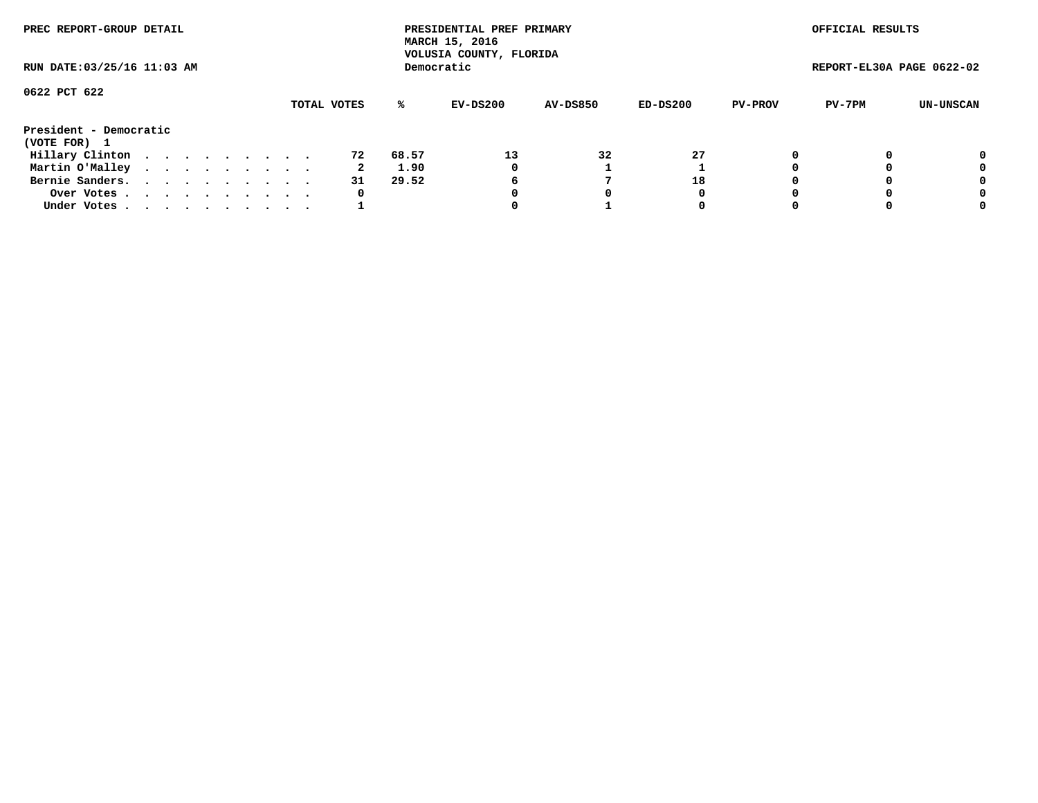| PREC REPORT-GROUP DETAIL               |  |  |  |  |             |       | PRESIDENTIAL PREF PRIMARY<br>MARCH 15, 2016<br>VOLUSIA COUNTY, FLORIDA |                 |          |                | OFFICIAL RESULTS          |           |
|----------------------------------------|--|--|--|--|-------------|-------|------------------------------------------------------------------------|-----------------|----------|----------------|---------------------------|-----------|
| RUN DATE: 03/25/16 11:03 AM            |  |  |  |  |             |       | Democratic                                                             |                 |          |                | REPORT-EL30A PAGE 0622-02 |           |
| 0622 PCT 622                           |  |  |  |  | TOTAL VOTES | %ะ    | EV-DS200                                                               | <b>AV-DS850</b> | ED-DS200 | <b>PV-PROV</b> | PV-7PM                    | UN-UNSCAN |
| President - Democratic<br>(VOTE FOR) 1 |  |  |  |  |             |       |                                                                        |                 |          |                |                           |           |
| Hillary Clinton                        |  |  |  |  | 72          | 68.57 | 13                                                                     | 32              | 27       |                |                           | 0         |
| Martin O'Malley                        |  |  |  |  | 2           | 1.90  | 0                                                                      |                 |          |                |                           | 0         |
| Bernie Sanders.                        |  |  |  |  | 31          | 29.52 | 6                                                                      |                 | 18       |                |                           | 0         |
| Over Votes.                            |  |  |  |  | 0           |       |                                                                        | 0               | 0        |                |                           | 0         |
| Under Votes.                           |  |  |  |  |             |       |                                                                        |                 | 0        |                |                           | 0         |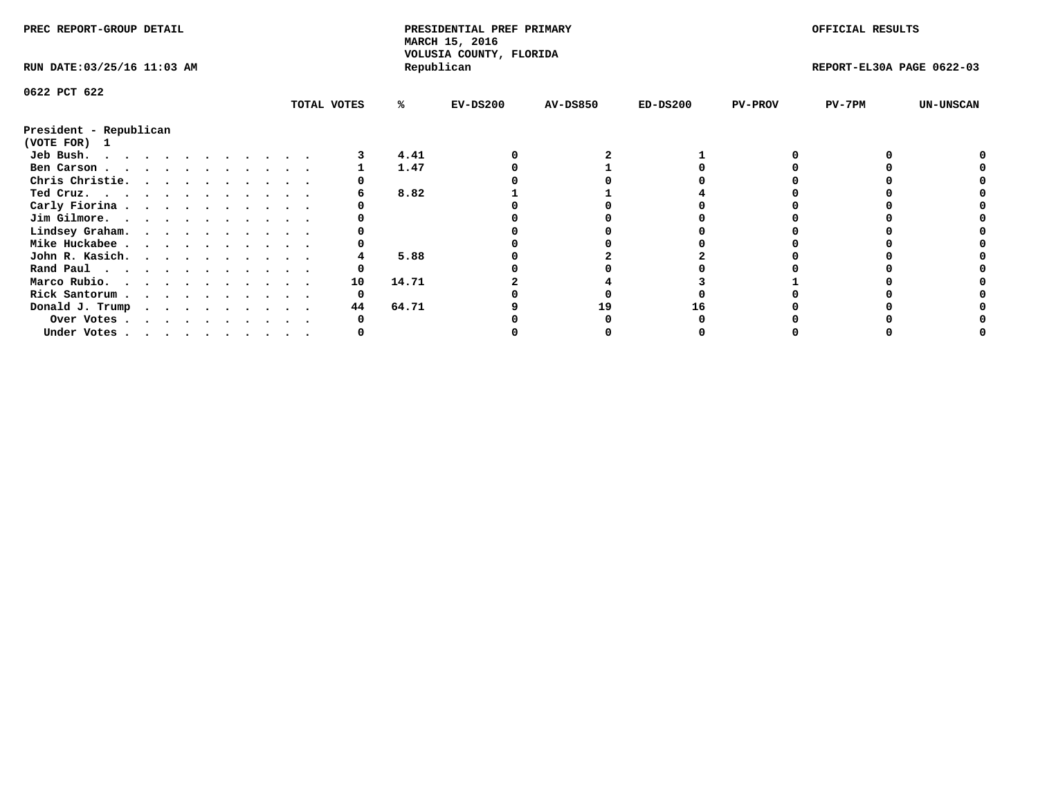| PREC REPORT-GROUP DETAIL               |  |  |  |  |  |             |       | PRESIDENTIAL PREF PRIMARY<br>MARCH 15, 2016 |                 |            |                | OFFICIAL RESULTS          |                  |
|----------------------------------------|--|--|--|--|--|-------------|-------|---------------------------------------------|-----------------|------------|----------------|---------------------------|------------------|
| RUN DATE: 03/25/16 11:03 AM            |  |  |  |  |  |             |       | VOLUSIA COUNTY, FLORIDA<br>Republican       |                 |            |                | REPORT-EL30A PAGE 0622-03 |                  |
| 0622 PCT 622                           |  |  |  |  |  |             |       |                                             |                 |            |                |                           |                  |
|                                        |  |  |  |  |  | TOTAL VOTES | ℁     | $EV-DS200$                                  | <b>AV-DS850</b> | $ED-DS200$ | <b>PV-PROV</b> | $PV-7PM$                  | <b>UN-UNSCAN</b> |
| President - Republican<br>(VOTE FOR) 1 |  |  |  |  |  |             |       |                                             |                 |            |                |                           |                  |
| Jeb Bush.                              |  |  |  |  |  |             | 4.41  |                                             |                 |            |                |                           |                  |
| Ben Carson                             |  |  |  |  |  |             | 1.47  |                                             |                 |            |                |                           |                  |
| Chris Christie.                        |  |  |  |  |  |             |       |                                             |                 |            |                |                           |                  |
| Ted Cruz.                              |  |  |  |  |  |             | 8.82  |                                             |                 |            |                |                           |                  |
| Carly Fiorina                          |  |  |  |  |  |             |       |                                             |                 |            |                |                           |                  |
| Jim Gilmore.                           |  |  |  |  |  |             |       |                                             |                 |            |                |                           |                  |
| Lindsey Graham.                        |  |  |  |  |  |             |       |                                             |                 |            |                |                           |                  |
| Mike Huckabee                          |  |  |  |  |  |             |       |                                             |                 |            |                |                           |                  |
| John R. Kasich.                        |  |  |  |  |  |             | 5.88  |                                             |                 |            |                |                           |                  |
| Rand Paul                              |  |  |  |  |  |             |       |                                             |                 |            |                |                           |                  |
| Marco Rubio.                           |  |  |  |  |  | 10          | 14.71 |                                             |                 |            |                |                           |                  |
|                                        |  |  |  |  |  |             |       |                                             |                 |            |                |                           |                  |
| Rick Santorum                          |  |  |  |  |  |             |       |                                             |                 |            |                |                           |                  |
| Donald J. Trump                        |  |  |  |  |  | 44          | 64.71 |                                             | 19              |            |                |                           |                  |
| Over Votes                             |  |  |  |  |  |             |       |                                             |                 |            |                |                           |                  |
| Under Votes, , , , , , , , , , ,       |  |  |  |  |  |             |       |                                             |                 |            |                |                           |                  |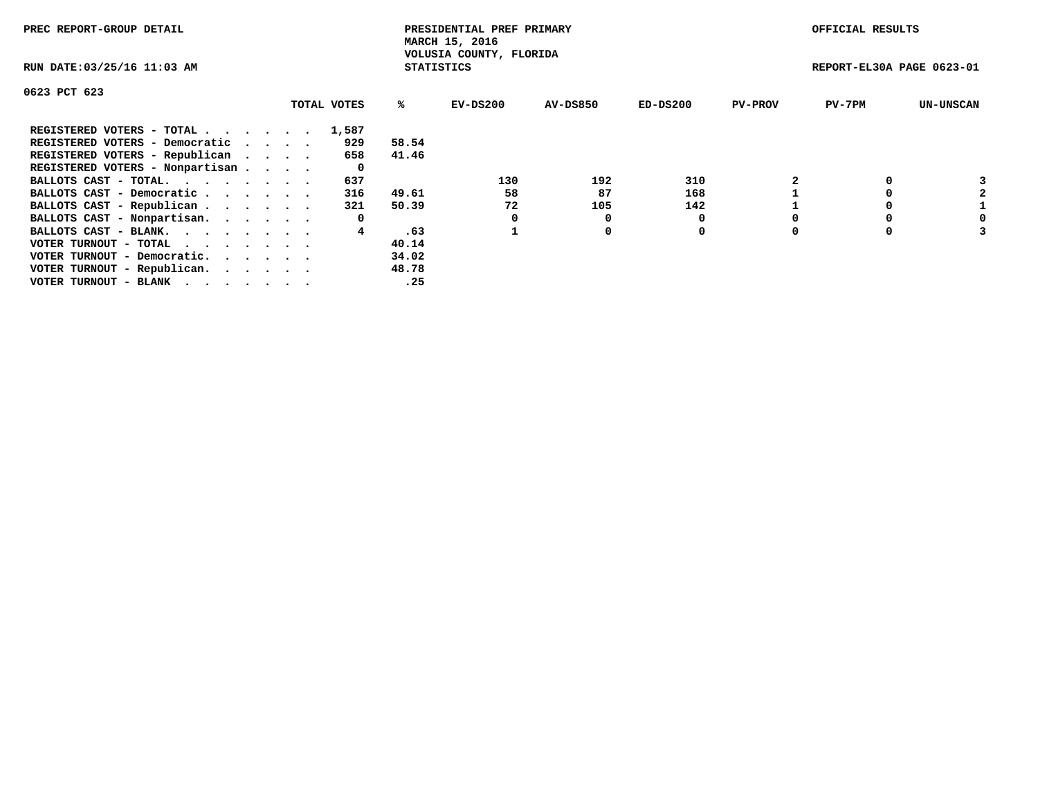| PREC REPORT-GROUP DETAIL                                    |  |             |                   | PRESIDENTIAL PREF PRIMARY<br>MARCH 15, 2016 |          |            |                | OFFICIAL RESULTS          |                  |
|-------------------------------------------------------------|--|-------------|-------------------|---------------------------------------------|----------|------------|----------------|---------------------------|------------------|
| RUN DATE: 03/25/16 11:03 AM                                 |  |             | <b>STATISTICS</b> | VOLUSIA COUNTY, FLORIDA                     |          |            |                | REPORT-EL30A PAGE 0623-01 |                  |
| 0623 PCT 623                                                |  |             |                   |                                             |          |            |                |                           |                  |
|                                                             |  | TOTAL VOTES | ℁                 | $EV-DS200$                                  | AV-DS850 | $ED-DS200$ | <b>PV-PROV</b> | $PV-7PM$                  | <b>UN-UNSCAN</b> |
| REGISTERED VOTERS - TOTAL                                   |  | 1,587       |                   |                                             |          |            |                |                           |                  |
| REGISTERED VOTERS - Democratic                              |  | 929         | 58.54             |                                             |          |            |                |                           |                  |
| REGISTERED VOTERS - Republican                              |  | 658         | 41.46             |                                             |          |            |                |                           |                  |
| REGISTERED VOTERS - Nonpartisan                             |  | 0           |                   |                                             |          |            |                |                           |                  |
| BALLOTS CAST - TOTAL.                                       |  | 637         |                   | 130                                         | 192      | 310        |                |                           |                  |
| BALLOTS CAST - Democratic                                   |  | 316         | 49.61             | 58                                          | 87       | 168        |                |                           |                  |
| BALLOTS CAST - Republican                                   |  | 321         | 50.39             | 72                                          | 105      | 142        |                |                           |                  |
| BALLOTS CAST - Nonpartisan.                                 |  | 0           |                   |                                             | 0        |            |                |                           | 0                |
| BALLOTS CAST - BLANK.                                       |  |             | .63               |                                             | 0        | 0          |                |                           |                  |
| VOTER TURNOUT - TOTAL $\cdot \cdot \cdot \cdot \cdot \cdot$ |  |             | 40.14             |                                             |          |            |                |                           |                  |
| VOTER TURNOUT - Democratic.                                 |  |             | 34.02             |                                             |          |            |                |                           |                  |
| VOTER TURNOUT - Republican.                                 |  |             | 48.78             |                                             |          |            |                |                           |                  |
| VOTER TURNOUT - BLANK                                       |  |             | .25               |                                             |          |            |                |                           |                  |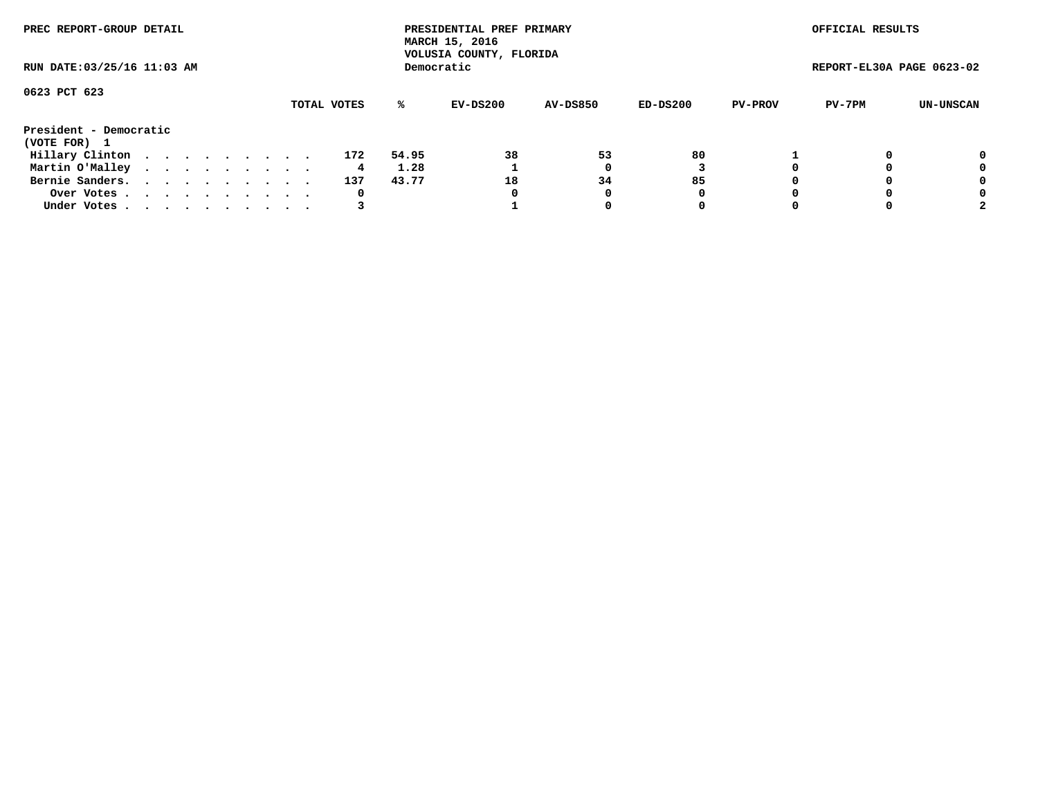| PREC REPORT-GROUP DETAIL               |  |  |  |  |             |       | PRESIDENTIAL PREF PRIMARY<br>MARCH 15, 2016<br>VOLUSIA COUNTY, FLORIDA |                 |          |                | OFFICIAL RESULTS          |           |
|----------------------------------------|--|--|--|--|-------------|-------|------------------------------------------------------------------------|-----------------|----------|----------------|---------------------------|-----------|
| RUN DATE: 03/25/16 11:03 AM            |  |  |  |  |             |       | Democratic                                                             |                 |          |                | REPORT-EL30A PAGE 0623-02 |           |
| 0623 PCT 623                           |  |  |  |  |             |       |                                                                        |                 |          |                |                           |           |
|                                        |  |  |  |  | TOTAL VOTES | ℁     | EV-DS200                                                               | <b>AV-DS850</b> | ED-DS200 | <b>PV-PROV</b> | PV-7PM                    | UN-UNSCAN |
| President - Democratic<br>(VOTE FOR) 1 |  |  |  |  |             |       |                                                                        |                 |          |                |                           |           |
| Hillary Clinton                        |  |  |  |  | 172         | 54.95 | 38                                                                     | 53              | 80       |                |                           | 0         |
| Martin O'Malley                        |  |  |  |  | 4           | 1.28  |                                                                        |                 |          |                |                           | 0         |
| Bernie Sanders.                        |  |  |  |  | 137         | 43.77 | 18                                                                     | 34              | 85       |                |                           | 0         |
| Over Votes.                            |  |  |  |  | 0           |       | 0                                                                      | 0               | 0        |                |                           | 0         |
| Under Votes                            |  |  |  |  |             |       |                                                                        |                 | 0        |                |                           |           |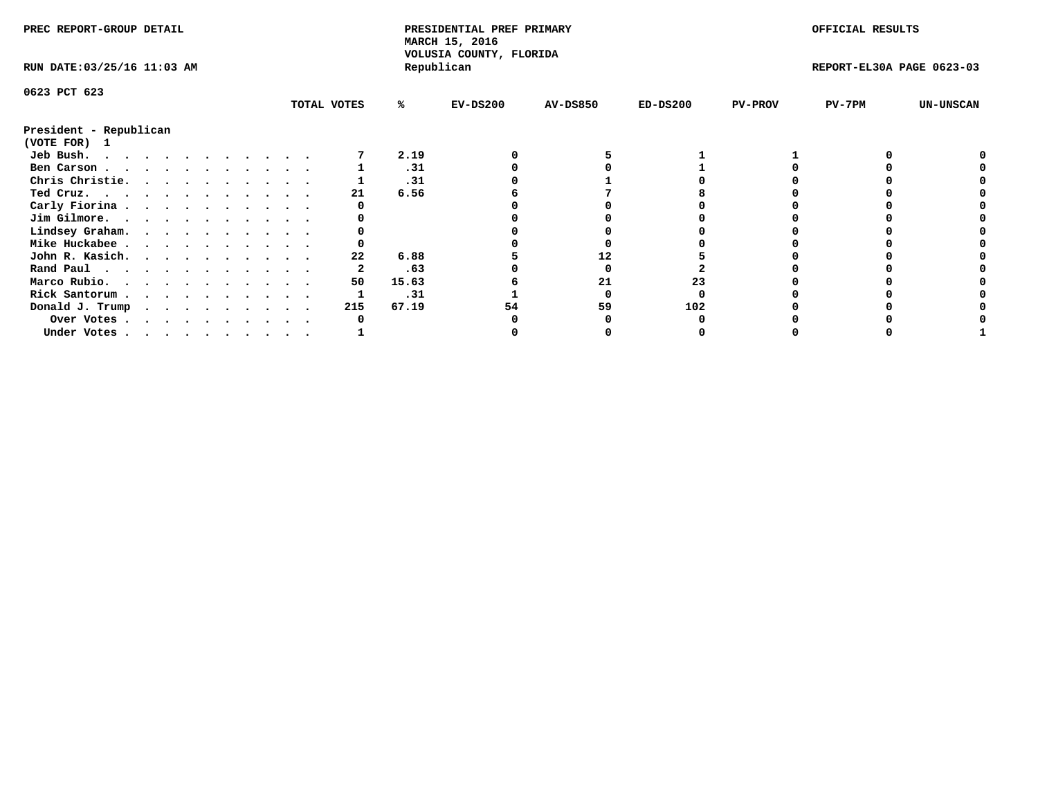| PREC REPORT-GROUP DETAIL               |  |  |  |  |  |             |       | PRESIDENTIAL PREF PRIMARY<br>MARCH 15, 2016<br>VOLUSIA COUNTY, FLORIDA |                 |            |                | OFFICIAL RESULTS          |                  |
|----------------------------------------|--|--|--|--|--|-------------|-------|------------------------------------------------------------------------|-----------------|------------|----------------|---------------------------|------------------|
| RUN DATE: 03/25/16 11:03 AM            |  |  |  |  |  |             |       | Republican                                                             |                 |            |                | REPORT-EL30A PAGE 0623-03 |                  |
| 0623 PCT 623                           |  |  |  |  |  |             |       |                                                                        |                 |            |                |                           |                  |
|                                        |  |  |  |  |  | TOTAL VOTES | ℁     | $EV-DS200$                                                             | <b>AV-DS850</b> | $ED-DS200$ | <b>PV-PROV</b> | $PV-7PM$                  | <b>UN-UNSCAN</b> |
| President - Republican<br>(VOTE FOR) 1 |  |  |  |  |  |             |       |                                                                        |                 |            |                |                           |                  |
| Jeb Bush.<br>.                         |  |  |  |  |  |             | 2.19  |                                                                        |                 |            |                |                           |                  |
| Ben Carson                             |  |  |  |  |  |             | .31   |                                                                        |                 |            |                |                           |                  |
| Chris Christie.                        |  |  |  |  |  |             | .31   |                                                                        |                 |            |                |                           |                  |
| Ted Cruz.                              |  |  |  |  |  | 21          | 6.56  |                                                                        |                 |            |                |                           |                  |
| Carly Fiorina                          |  |  |  |  |  |             |       |                                                                        |                 |            |                |                           |                  |
| Jim Gilmore.                           |  |  |  |  |  |             |       |                                                                        |                 |            |                |                           |                  |
| Lindsey Graham.                        |  |  |  |  |  |             |       |                                                                        |                 |            |                |                           |                  |
| Mike Huckabee                          |  |  |  |  |  |             |       |                                                                        |                 |            |                |                           |                  |
| John R. Kasich.                        |  |  |  |  |  | 22          | 6.88  |                                                                        | 12              |            |                |                           |                  |
| Rand Paul                              |  |  |  |  |  |             | .63   |                                                                        |                 |            |                |                           |                  |
| Marco Rubio.                           |  |  |  |  |  | 50          | 15.63 |                                                                        | 21              | 23         |                |                           |                  |
| Rick Santorum                          |  |  |  |  |  |             | .31   |                                                                        |                 |            |                |                           |                  |
|                                        |  |  |  |  |  | 215         | 67.19 |                                                                        | 59              | 102        |                |                           |                  |
| Donald J. Trump                        |  |  |  |  |  |             |       |                                                                        |                 |            |                |                           |                  |
| Over Votes                             |  |  |  |  |  |             |       |                                                                        |                 |            |                |                           |                  |
| Under Votes                            |  |  |  |  |  |             |       |                                                                        |                 |            |                |                           |                  |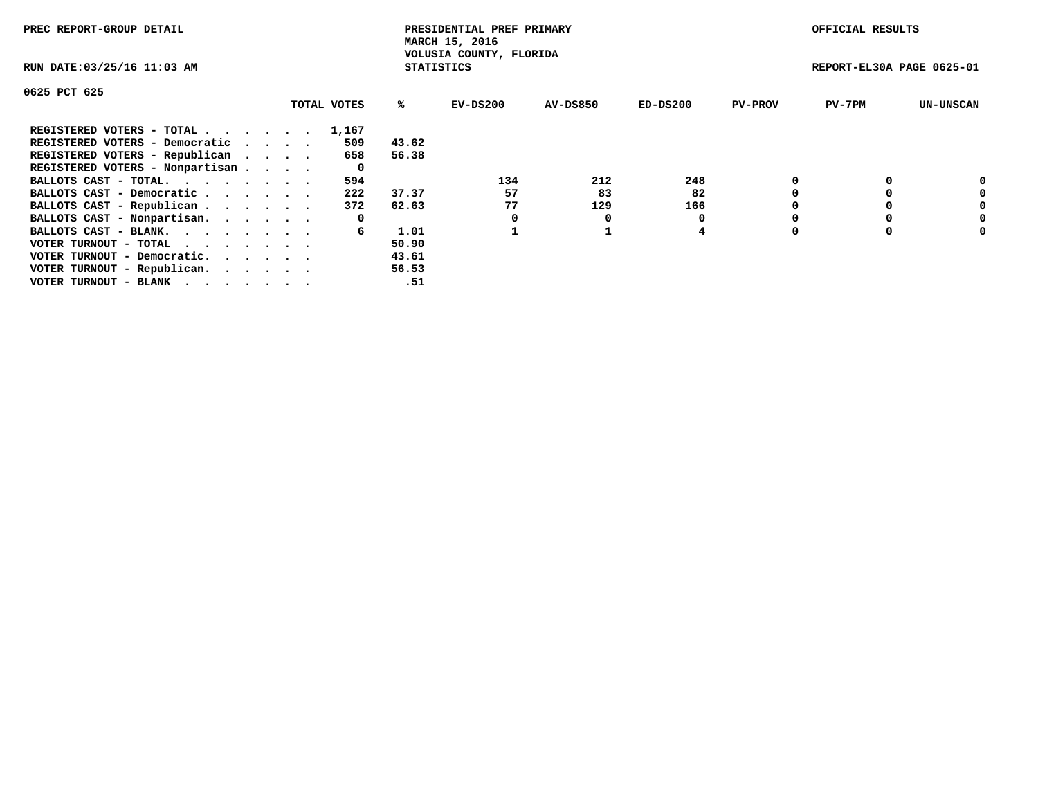| PREC REPORT-GROUP DETAIL                                                                                                                 |             |                   | PRESIDENTIAL PREF PRIMARY<br>MARCH 15, 2016 |          |            |                | OFFICIAL RESULTS          |                  |
|------------------------------------------------------------------------------------------------------------------------------------------|-------------|-------------------|---------------------------------------------|----------|------------|----------------|---------------------------|------------------|
| RUN DATE: 03/25/16 11:03 AM                                                                                                              |             | <b>STATISTICS</b> | VOLUSIA COUNTY, FLORIDA                     |          |            |                | REPORT-EL30A PAGE 0625-01 |                  |
| 0625 PCT 625                                                                                                                             |             |                   |                                             |          |            |                |                           |                  |
|                                                                                                                                          | TOTAL VOTES | %ะ                | $EV-DS200$                                  | AV-DS850 | $ED-DS200$ | <b>PV-PROV</b> | $PV-7PM$                  | <b>UN-UNSCAN</b> |
| REGISTERED VOTERS - TOTAL                                                                                                                | 1,167       |                   |                                             |          |            |                |                           |                  |
| REGISTERED VOTERS - Democratic                                                                                                           | 509         | 43.62             |                                             |          |            |                |                           |                  |
| REGISTERED VOTERS - Republican                                                                                                           | 658         | 56.38             |                                             |          |            |                |                           |                  |
| REGISTERED VOTERS - Nonpartisan                                                                                                          | 0           |                   |                                             |          |            |                |                           |                  |
| BALLOTS CAST - TOTAL.                                                                                                                    | 594         |                   | 134                                         | 212      | 248        |                |                           | 0                |
| BALLOTS CAST - Democratic                                                                                                                | 222         | 37.37             | 57                                          | 83       | 82         |                |                           | 0                |
| BALLOTS CAST - Republican                                                                                                                | 372         | 62.63             | 77                                          | 129      | 166        |                |                           | 0                |
| BALLOTS CAST - Nonpartisan.                                                                                                              | 0           |                   | 0                                           | O        |            |                |                           | 0                |
| BALLOTS CAST - BLANK.                                                                                                                    | 6           | 1.01              |                                             |          | 4          |                |                           | 0                |
| VOTER TURNOUT - TOTAL                                                                                                                    |             | 50.90             |                                             |          |            |                |                           |                  |
| VOTER TURNOUT - Democratic.                                                                                                              |             | 43.61             |                                             |          |            |                |                           |                  |
| VOTER TURNOUT - Republican.                                                                                                              |             | 56.53             |                                             |          |            |                |                           |                  |
| VOTER TURNOUT - BLANK<br>the contract of the contract of the contract of the contract of the contract of the contract of the contract of |             | .51               |                                             |          |            |                |                           |                  |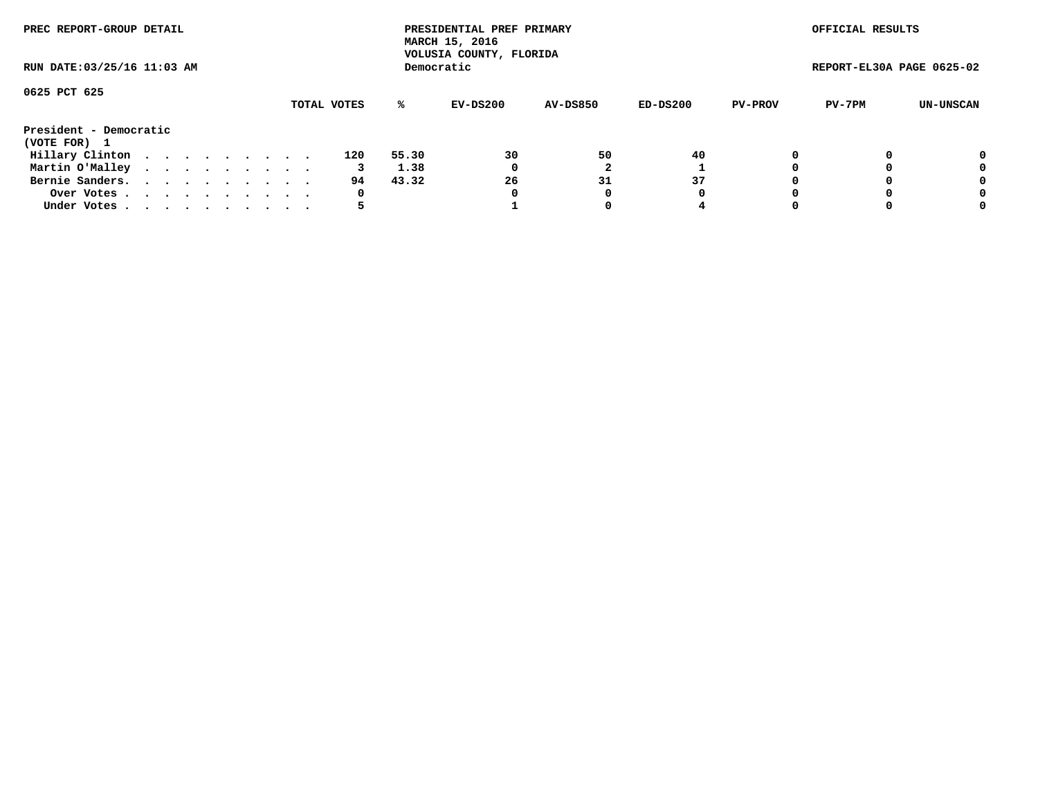| PREC REPORT-GROUP DETAIL               |  |  |  |  |             |       | PRESIDENTIAL PREF PRIMARY<br>MARCH 15, 2016<br>VOLUSIA COUNTY, FLORIDA |                 |          |                | OFFICIAL RESULTS          |           |
|----------------------------------------|--|--|--|--|-------------|-------|------------------------------------------------------------------------|-----------------|----------|----------------|---------------------------|-----------|
| RUN DATE: 03/25/16 11:03 AM            |  |  |  |  |             |       | Democratic                                                             |                 |          |                | REPORT-EL30A PAGE 0625-02 |           |
| 0625 PCT 625                           |  |  |  |  | TOTAL VOTES | %ะ    | EV-DS200                                                               | <b>AV-DS850</b> | ED-DS200 | <b>PV-PROV</b> | PV-7PM                    | UN-UNSCAN |
| President - Democratic<br>(VOTE FOR) 1 |  |  |  |  |             |       |                                                                        |                 |          |                |                           |           |
| Hillary Clinton                        |  |  |  |  | 120         | 55.30 | 30                                                                     | 50              | 40       |                |                           | 0         |
| Martin O'Malley                        |  |  |  |  |             | 1.38  | 0                                                                      |                 |          |                |                           | 0         |
| Bernie Sanders.                        |  |  |  |  | 94.         | 43.32 | 26                                                                     | 31              | 37       |                |                           | 0         |
| Over Votes.                            |  |  |  |  | 0           |       | 0                                                                      | 0               | 0        |                |                           | 0         |
| Under Votes.                           |  |  |  |  |             |       |                                                                        |                 | 4        |                |                           | 0         |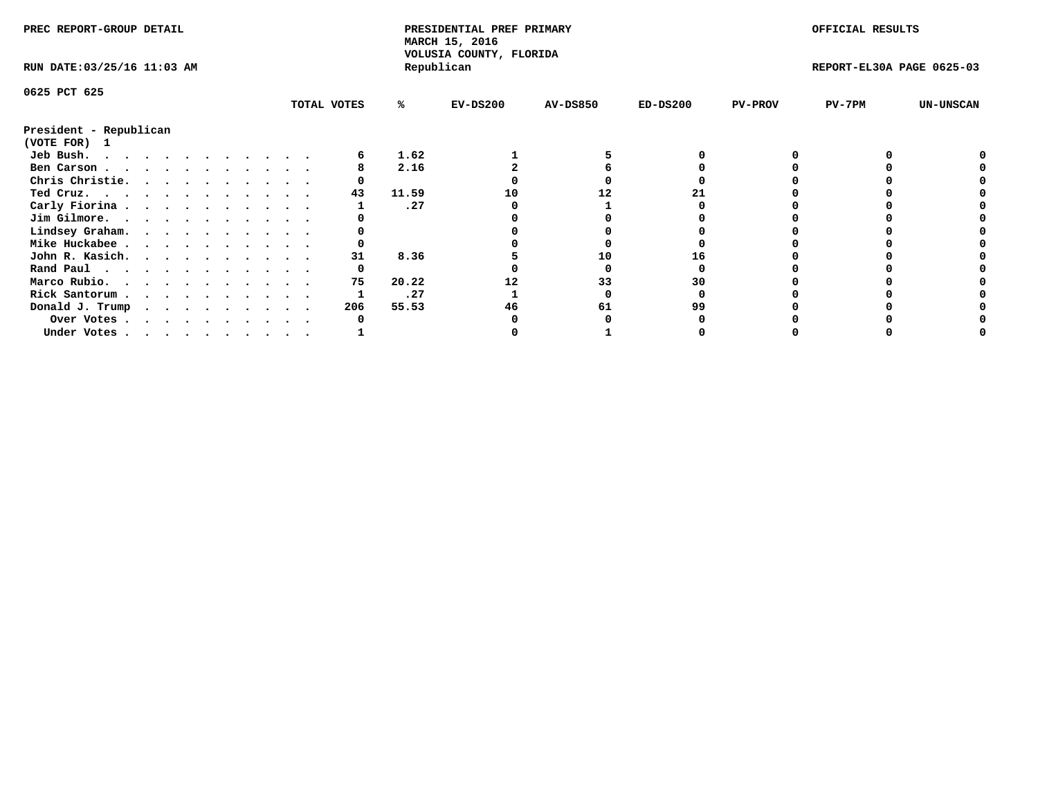| PREC REPORT-GROUP DETAIL    |  |  |  |  |  |             |       | PRESIDENTIAL PREF PRIMARY<br>MARCH 15, 2016<br>VOLUSIA COUNTY, FLORIDA |                 |            |                | OFFICIAL RESULTS          |                  |
|-----------------------------|--|--|--|--|--|-------------|-------|------------------------------------------------------------------------|-----------------|------------|----------------|---------------------------|------------------|
| RUN DATE: 03/25/16 11:03 AM |  |  |  |  |  |             |       | Republican                                                             |                 |            |                | REPORT-EL30A PAGE 0625-03 |                  |
| 0625 PCT 625                |  |  |  |  |  |             |       |                                                                        |                 |            |                |                           |                  |
|                             |  |  |  |  |  | TOTAL VOTES | %ะ    | $EV-DS200$                                                             | <b>AV-DS850</b> | $ED-DS200$ | <b>PV-PROV</b> | $PV-7PM$                  | <b>UN-UNSCAN</b> |
| President - Republican      |  |  |  |  |  |             |       |                                                                        |                 |            |                |                           |                  |
| (VOTE FOR) 1                |  |  |  |  |  |             |       |                                                                        |                 |            |                |                           |                  |
| Jeb Bush.                   |  |  |  |  |  |             | 1.62  |                                                                        |                 |            |                |                           |                  |
| Ben Carson                  |  |  |  |  |  |             | 2.16  |                                                                        |                 |            |                |                           |                  |
| Chris Christie.             |  |  |  |  |  |             |       |                                                                        |                 |            |                |                           |                  |
| Ted Cruz.                   |  |  |  |  |  | 43          | 11.59 | 10                                                                     | 12              |            |                |                           |                  |
| Carly Fiorina               |  |  |  |  |  |             | .27   |                                                                        |                 |            |                |                           |                  |
| Jim Gilmore.                |  |  |  |  |  |             |       |                                                                        |                 |            |                |                           |                  |
| Lindsey Graham.             |  |  |  |  |  |             |       |                                                                        |                 |            |                |                           |                  |
| Mike Huckabee               |  |  |  |  |  |             |       |                                                                        |                 |            |                |                           |                  |
| John R. Kasich.             |  |  |  |  |  | 31          | 8.36  |                                                                        | 10              |            |                |                           |                  |
| Rand Paul                   |  |  |  |  |  |             |       |                                                                        |                 |            |                |                           |                  |
| Marco Rubio.                |  |  |  |  |  | 75          | 20.22 |                                                                        | 33              | 30         |                |                           |                  |
| Rick Santorum               |  |  |  |  |  |             | .27   |                                                                        |                 |            |                |                           |                  |
| Donald J. Trump             |  |  |  |  |  | 206         | 55.53 | 46                                                                     | 61              | 99         |                |                           |                  |
| Over Votes                  |  |  |  |  |  |             |       |                                                                        |                 |            |                |                           |                  |
| Under Votes                 |  |  |  |  |  |             |       |                                                                        |                 |            |                |                           |                  |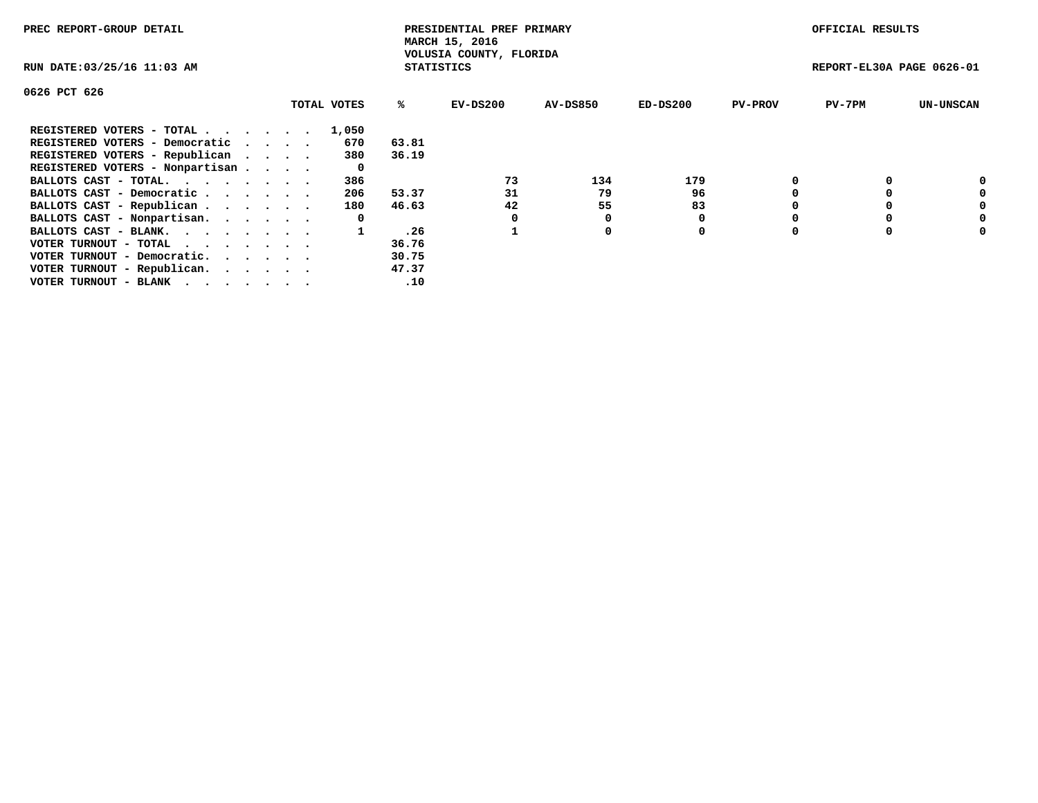| PREC REPORT-GROUP DETAIL                                    |             |                   | PRESIDENTIAL PREF PRIMARY<br>MARCH 15, 2016 |          |            |                | OFFICIAL RESULTS          |                  |
|-------------------------------------------------------------|-------------|-------------------|---------------------------------------------|----------|------------|----------------|---------------------------|------------------|
| RUN DATE: 03/25/16 11:03 AM                                 |             | <b>STATISTICS</b> | VOLUSIA COUNTY, FLORIDA                     |          |            |                | REPORT-EL30A PAGE 0626-01 |                  |
| 0626 PCT 626                                                |             |                   |                                             |          |            |                |                           |                  |
|                                                             | TOTAL VOTES | %ะ                | EV-DS200                                    | AV-DS850 | $ED-DS200$ | <b>PV-PROV</b> | $PV-7PM$                  | <b>UN-UNSCAN</b> |
| REGISTERED VOTERS - TOTAL                                   | 1,050       |                   |                                             |          |            |                |                           |                  |
| REGISTERED VOTERS - Democratic                              | 670         | 63.81             |                                             |          |            |                |                           |                  |
| REGISTERED VOTERS - Republican                              | 380         | 36.19             |                                             |          |            |                |                           |                  |
| REGISTERED VOTERS - Nonpartisan                             | 0           |                   |                                             |          |            |                |                           |                  |
| BALLOTS CAST - TOTAL.                                       | 386         |                   | 73                                          | 134      | 179        |                |                           | 0                |
| BALLOTS CAST - Democratic                                   | 206         | 53.37             | 31                                          | 79       | 96         |                |                           | 0                |
| BALLOTS CAST - Republican                                   | 180         | 46.63             | 42                                          | 55       | 83         |                |                           | 0                |
| BALLOTS CAST - Nonpartisan.                                 | 0           |                   |                                             | O        |            |                |                           | 0                |
| BALLOTS CAST - BLANK.                                       |             | .26               |                                             | 0        | 0          |                |                           | 0                |
| VOTER TURNOUT - TOTAL $\cdot \cdot \cdot \cdot \cdot \cdot$ |             | 36.76             |                                             |          |            |                |                           |                  |
| VOTER TURNOUT - Democratic.                                 |             | 30.75             |                                             |          |            |                |                           |                  |
| VOTER TURNOUT - Republican.                                 |             | 47.37             |                                             |          |            |                |                           |                  |
| VOTER TURNOUT - BLANK                                       |             | .10               |                                             |          |            |                |                           |                  |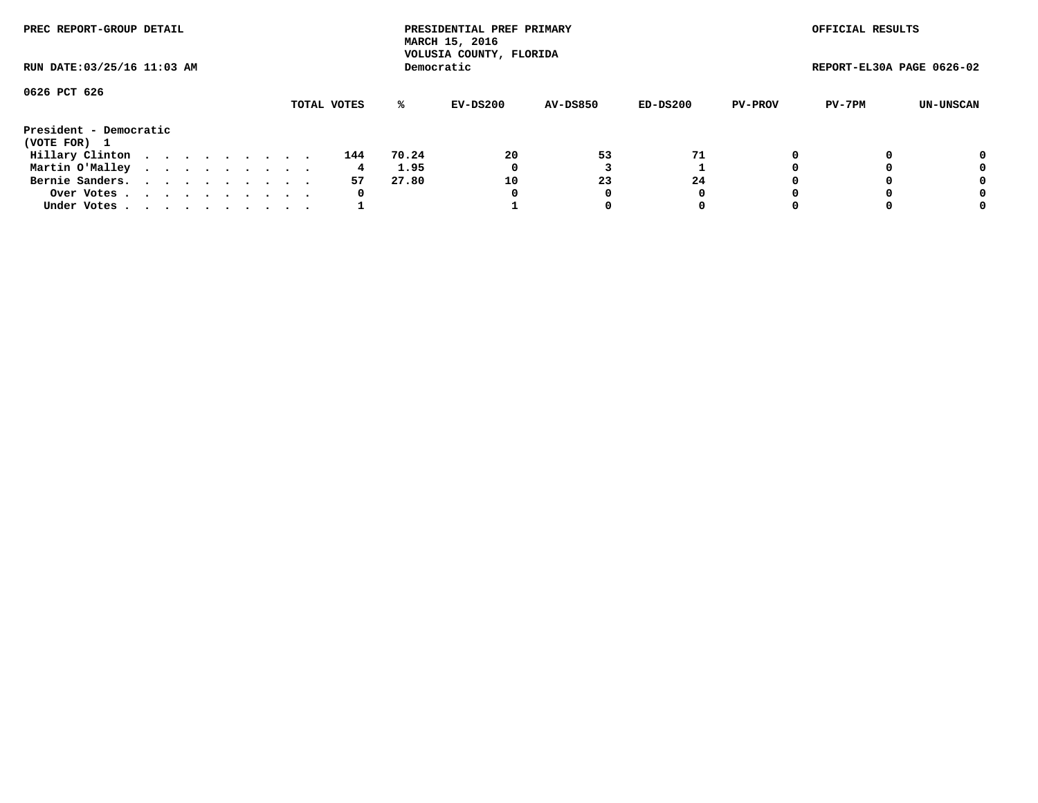| PREC REPORT-GROUP DETAIL<br>RUN DATE: 03/25/16 11:03 AM |  |  |  |  |  |  |  |  |             |       | PRESIDENTIAL PREF PRIMARY<br>MARCH 15, 2016<br>VOLUSIA COUNTY, FLORIDA |                 |          |                | OFFICIAL RESULTS          |           |
|---------------------------------------------------------|--|--|--|--|--|--|--|--|-------------|-------|------------------------------------------------------------------------|-----------------|----------|----------------|---------------------------|-----------|
|                                                         |  |  |  |  |  |  |  |  |             |       | Democratic                                                             |                 |          |                | REPORT-EL30A PAGE 0626-02 |           |
| 0626 PCT 626                                            |  |  |  |  |  |  |  |  |             |       |                                                                        |                 |          |                |                           |           |
|                                                         |  |  |  |  |  |  |  |  | TOTAL VOTES | ℁     | EV-DS200                                                               | <b>AV-DS850</b> | ED-DS200 | <b>PV-PROV</b> | PV-7PM                    | UN-UNSCAN |
| President - Democratic<br>(VOTE FOR) 1                  |  |  |  |  |  |  |  |  |             |       |                                                                        |                 |          |                |                           |           |
| Hillary Clinton                                         |  |  |  |  |  |  |  |  | 144         | 70.24 | 20                                                                     | 53              | 71       |                |                           | 0         |
| Martin O'Malley                                         |  |  |  |  |  |  |  |  | 4           | 1.95  | 0                                                                      |                 |          |                |                           | 0         |
| Bernie Sanders.                                         |  |  |  |  |  |  |  |  | 57          | 27.80 | 10                                                                     | 23              | 24       |                |                           | 0         |
| Over Votes.                                             |  |  |  |  |  |  |  |  | $\mathbf 0$ |       | 0                                                                      | 0               | 0        |                |                           | 0         |
| Under Votes                                             |  |  |  |  |  |  |  |  |             |       |                                                                        |                 | 0        |                |                           | 0         |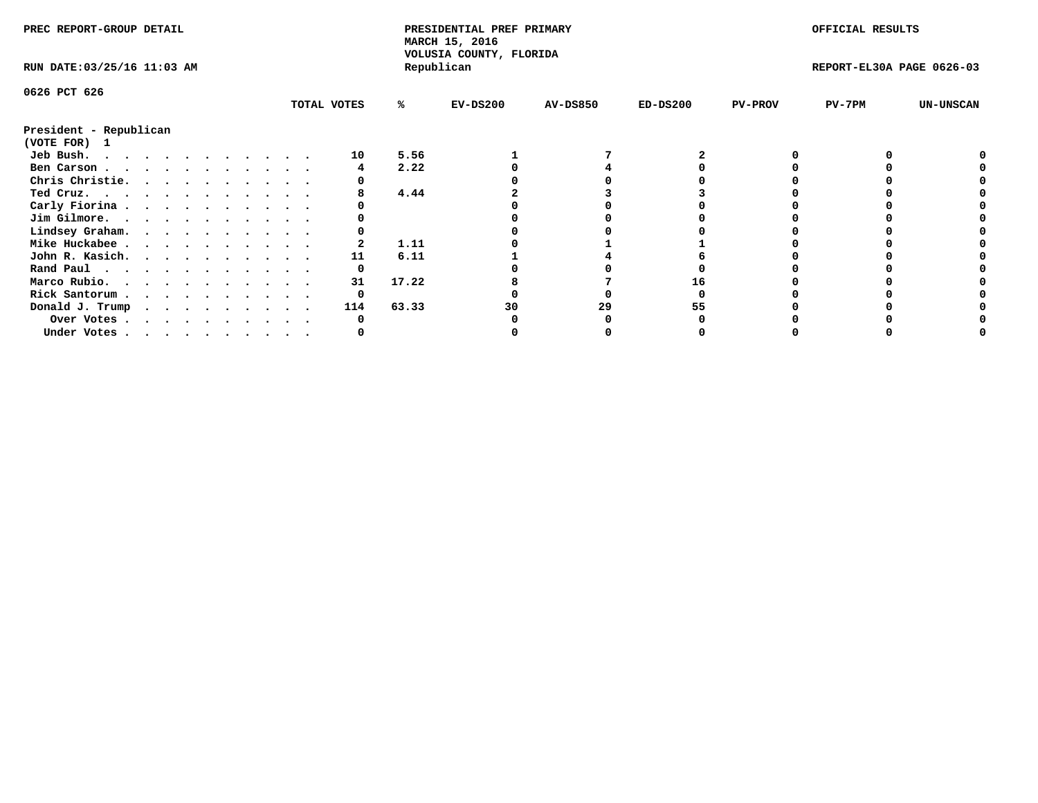| MARCH 15, 2016<br>VOLUSIA COUNTY, FLORIDA                                          |                              |  |
|------------------------------------------------------------------------------------|------------------------------|--|
| Republican<br>RUN DATE: 03/25/16 11:03 AM                                          | REPORT-EL30A PAGE 0626-03    |  |
| 0626 PCT 626                                                                       |                              |  |
| TOTAL VOTES<br>$EV-DS200$<br><b>AV-DS850</b><br>$ED-DS200$<br>%ะ<br><b>PV-PROV</b> | $PV-7PM$<br><b>UN-UNSCAN</b> |  |
| President - Republican<br>(VOTE FOR) 1                                             |                              |  |
| 5.56<br>Jeb Bush.<br>10                                                            |                              |  |
| 2.22<br>Ben Carson                                                                 |                              |  |
| Chris Christie.                                                                    |                              |  |
| 4.44<br>Ted Cruz.                                                                  |                              |  |
| Carly Fiorina                                                                      |                              |  |
| Jim Gilmore.                                                                       |                              |  |
| Lindsey Graham.                                                                    |                              |  |
| 1.11<br>Mike Huckabee                                                              |                              |  |
| John R. Kasich.<br>6.11<br>11                                                      |                              |  |
| Rand Paul                                                                          |                              |  |
| 17.22<br>Marco Rubio.<br>31                                                        |                              |  |
| Rick Santorum                                                                      |                              |  |
| 63.33<br>Donald J. Trump<br>114<br>29<br>30                                        |                              |  |
| Over Votes                                                                         |                              |  |
| Under Votes                                                                        |                              |  |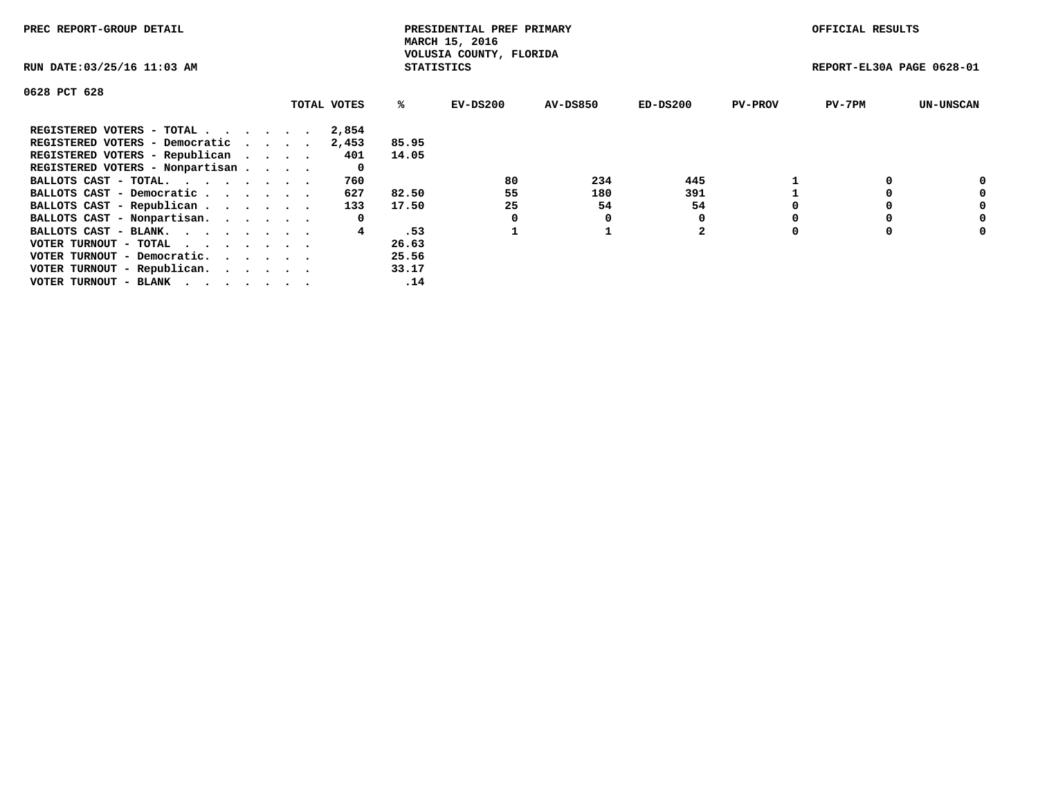| PREC REPORT-GROUP DETAIL                                    |             |                   | PRESIDENTIAL PREF PRIMARY<br>MARCH 15, 2016 |                 |            |                | OFFICIAL RESULTS          |                  |
|-------------------------------------------------------------|-------------|-------------------|---------------------------------------------|-----------------|------------|----------------|---------------------------|------------------|
| RUN DATE: 03/25/16 11:03 AM                                 |             | <b>STATISTICS</b> | VOLUSIA COUNTY, FLORIDA                     |                 |            |                | REPORT-EL30A PAGE 0628-01 |                  |
| 0628 PCT 628                                                |             |                   |                                             |                 |            |                |                           |                  |
|                                                             | TOTAL VOTES | ℁                 | EV-DS200                                    | <b>AV-DS850</b> | $ED-DS200$ | <b>PV-PROV</b> | $PV-7PM$                  | <b>UN-UNSCAN</b> |
| REGISTERED VOTERS - TOTAL                                   | 2,854       |                   |                                             |                 |            |                |                           |                  |
| REGISTERED VOTERS - Democratic                              | 2,453       | 85.95             |                                             |                 |            |                |                           |                  |
| REGISTERED VOTERS - Republican                              | 401         | 14.05             |                                             |                 |            |                |                           |                  |
| REGISTERED VOTERS - Nonpartisan                             | 0           |                   |                                             |                 |            |                |                           |                  |
| BALLOTS CAST - TOTAL.                                       | 760         |                   | 80                                          | 234             | 445        |                |                           | 0                |
| BALLOTS CAST - Democratic                                   | 627         | 82.50             | 55                                          | 180             | 391        |                |                           | 0                |
| BALLOTS CAST - Republican                                   | 133         | 17.50             | 25                                          | 54              | 54         |                |                           | 0                |
| BALLOTS CAST - Nonpartisan.                                 | 0           |                   |                                             |                 |            |                |                           | 0                |
| BALLOTS CAST - BLANK.                                       |             | .53               |                                             |                 | 2          |                |                           | 0                |
| VOTER TURNOUT - TOTAL $\cdot \cdot \cdot \cdot \cdot \cdot$ |             | 26.63             |                                             |                 |            |                |                           |                  |
| VOTER TURNOUT - Democratic.                                 |             | 25.56             |                                             |                 |            |                |                           |                  |
| VOTER TURNOUT - Republican.                                 |             | 33.17             |                                             |                 |            |                |                           |                  |
| VOTER TURNOUT - BLANK                                       |             | .14               |                                             |                 |            |                |                           |                  |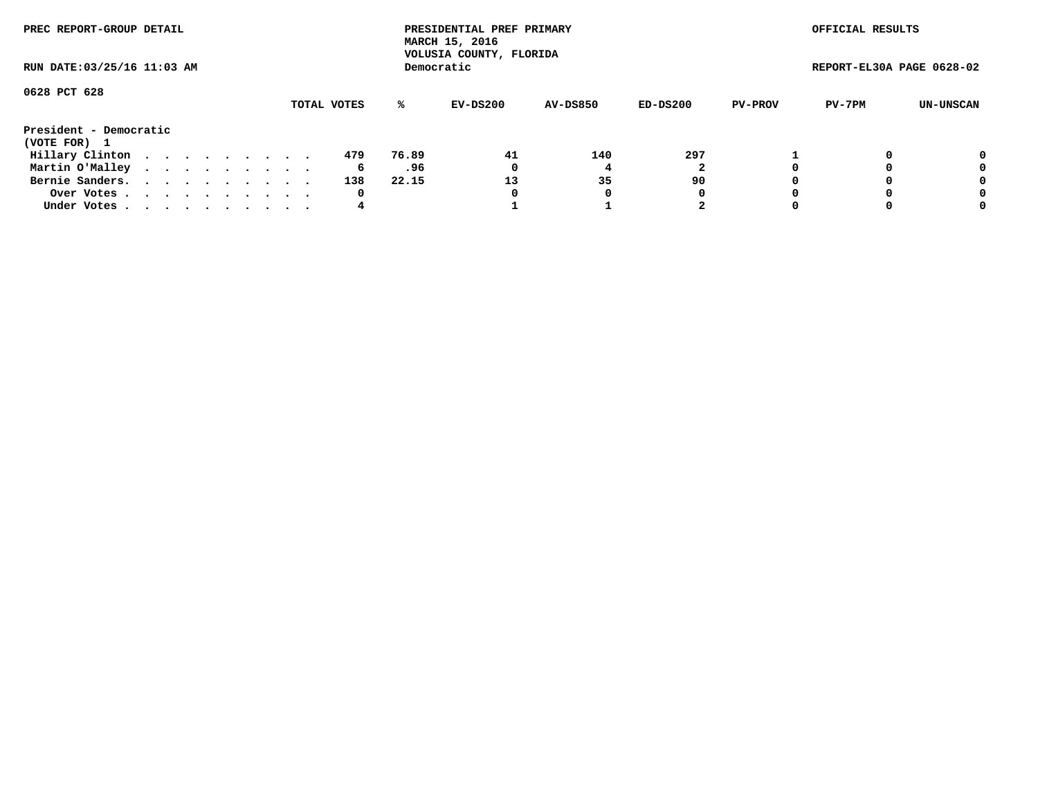| PREC REPORT-GROUP DETAIL               |  |  |  |  |  |             |       | PRESIDENTIAL PREF PRIMARY<br>MARCH 15, 2016<br>VOLUSIA COUNTY, FLORIDA |                 |            |                | OFFICIAL RESULTS          |           |
|----------------------------------------|--|--|--|--|--|-------------|-------|------------------------------------------------------------------------|-----------------|------------|----------------|---------------------------|-----------|
| RUN DATE: 03/25/16 11:03 AM            |  |  |  |  |  |             |       | Democratic                                                             |                 |            |                | REPORT-EL30A PAGE 0628-02 |           |
| 0628 PCT 628                           |  |  |  |  |  | TOTAL VOTES | %ะ    | EV-DS200                                                               | <b>AV-DS850</b> | $ED-DS200$ | <b>PV-PROV</b> | PV-7PM                    | UN-UNSCAN |
| President - Democratic<br>(VOTE FOR) 1 |  |  |  |  |  |             |       |                                                                        |                 |            |                |                           |           |
| Hillary Clinton                        |  |  |  |  |  | 479         | 76.89 | 41                                                                     | 140             | 297        |                |                           | 0         |
| Martin O'Malley                        |  |  |  |  |  | 6           | .96   | 0                                                                      |                 |            |                |                           | 0         |
| Bernie Sanders.                        |  |  |  |  |  | 138         | 22.15 | 13                                                                     | 35              | 90         |                |                           | 0         |
| Over Votes                             |  |  |  |  |  | 0           |       | 0                                                                      | 0               | 0          |                |                           | 0         |
| Under Votes.                           |  |  |  |  |  | 4           |       |                                                                        |                 | 2          |                |                           | 0         |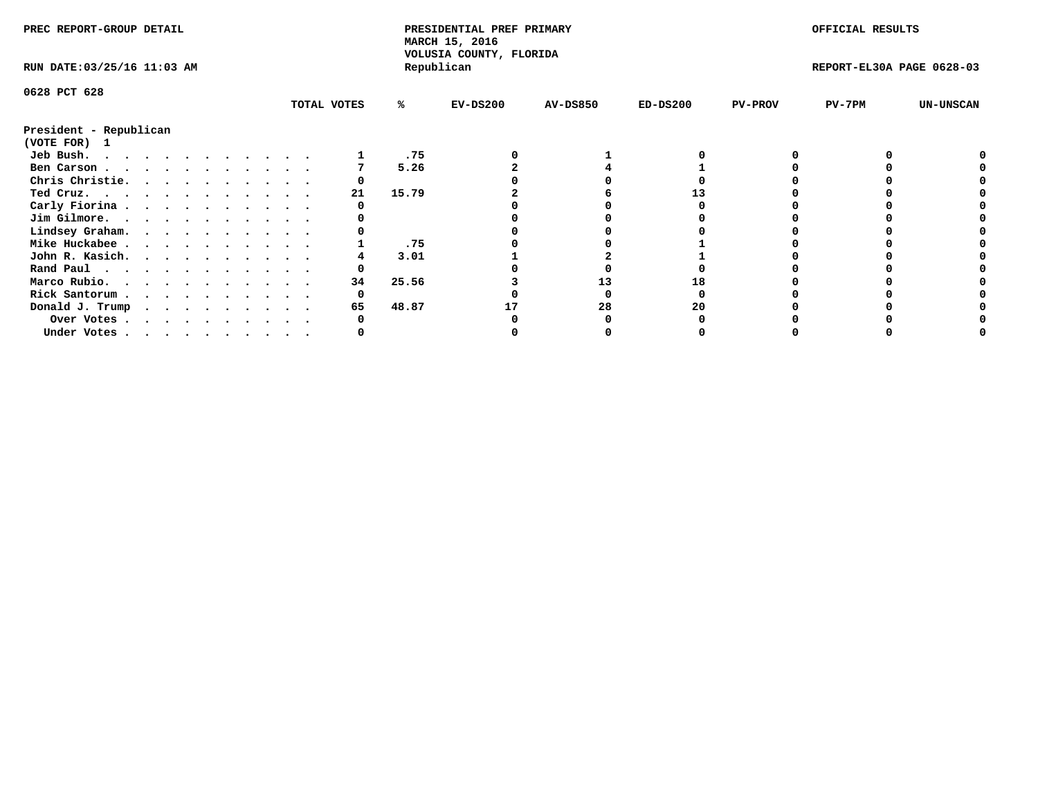| PREC REPORT-GROUP DETAIL                                                                                                                                                                                                                   |             |       | PRESIDENTIAL PREF PRIMARY<br>MARCH 15, 2016<br>VOLUSIA COUNTY, FLORIDA |                 |            |                | OFFICIAL RESULTS          |                  |
|--------------------------------------------------------------------------------------------------------------------------------------------------------------------------------------------------------------------------------------------|-------------|-------|------------------------------------------------------------------------|-----------------|------------|----------------|---------------------------|------------------|
| RUN DATE: 03/25/16 11:03 AM                                                                                                                                                                                                                |             |       | Republican                                                             |                 |            |                | REPORT-EL30A PAGE 0628-03 |                  |
| 0628 PCT 628                                                                                                                                                                                                                               |             |       |                                                                        |                 |            |                |                           |                  |
|                                                                                                                                                                                                                                            | TOTAL VOTES | ℁     | $EV-DS200$                                                             | <b>AV-DS850</b> | $ED-DS200$ | <b>PV-PROV</b> | PV-7PM                    | <b>UN-UNSCAN</b> |
| President - Republican<br>(VOTE FOR) 1                                                                                                                                                                                                     |             |       |                                                                        |                 |            |                |                           |                  |
| Jeb Bush.<br>. The contract of the contract of the contract of the contract of the contract of the contract of the contract of the contract of the contract of the contract of the contract of the contract of the contract of the contrac |             | .75   |                                                                        |                 |            |                |                           |                  |
| Ben Carson                                                                                                                                                                                                                                 |             | 5.26  |                                                                        |                 |            |                |                           |                  |
| Chris Christie.                                                                                                                                                                                                                            |             |       |                                                                        |                 |            |                |                           |                  |
| Ted Cruz.                                                                                                                                                                                                                                  | 21          | 15.79 |                                                                        |                 |            |                |                           |                  |
| Carly Fiorina                                                                                                                                                                                                                              |             |       |                                                                        |                 |            |                |                           |                  |
| Jim Gilmore.                                                                                                                                                                                                                               |             |       |                                                                        |                 |            |                |                           |                  |
| Lindsey Graham.                                                                                                                                                                                                                            |             |       |                                                                        |                 |            |                |                           |                  |
| Mike Huckabee                                                                                                                                                                                                                              |             | .75   |                                                                        |                 |            |                |                           |                  |
| John R. Kasich.                                                                                                                                                                                                                            |             | 3.01  |                                                                        |                 |            |                |                           |                  |
| Rand Paul                                                                                                                                                                                                                                  |             |       |                                                                        |                 |            |                |                           |                  |
| Marco Rubio.                                                                                                                                                                                                                               | 34          | 25.56 |                                                                        | 13              |            |                |                           |                  |
| Rick Santorum                                                                                                                                                                                                                              |             |       |                                                                        |                 |            |                |                           |                  |
| Donald J. Trump                                                                                                                                                                                                                            | 65          | 48.87 |                                                                        | 28              | 20         |                |                           |                  |
| Over Votes                                                                                                                                                                                                                                 |             |       |                                                                        |                 |            |                |                           |                  |
| Under Votes                                                                                                                                                                                                                                |             |       |                                                                        |                 |            |                |                           |                  |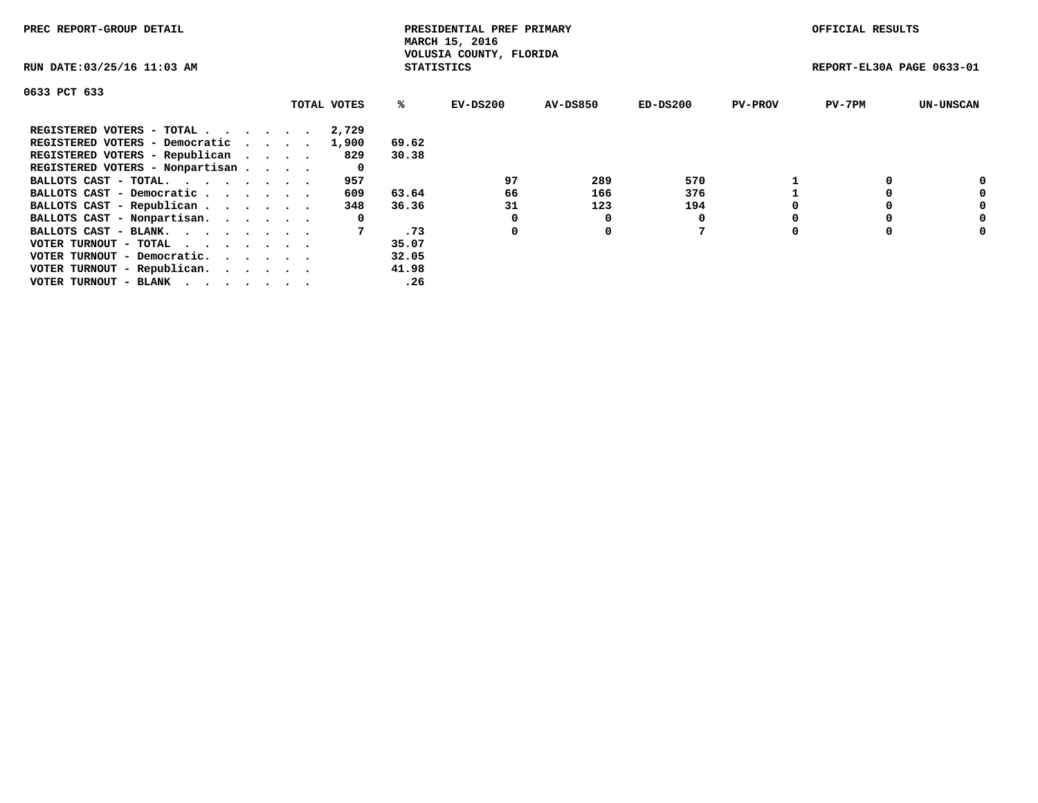| PREC REPORT-GROUP DETAIL                                    |             |                   | PRESIDENTIAL PREF PRIMARY<br>MARCH 15, 2016 |                 |            |                | OFFICIAL RESULTS          |                  |
|-------------------------------------------------------------|-------------|-------------------|---------------------------------------------|-----------------|------------|----------------|---------------------------|------------------|
| RUN DATE: 03/25/16 11:03 AM                                 |             | <b>STATISTICS</b> | VOLUSIA COUNTY, FLORIDA                     |                 |            |                | REPORT-EL30A PAGE 0633-01 |                  |
| 0633 PCT 633                                                |             |                   |                                             |                 |            |                |                           |                  |
|                                                             | TOTAL VOTES | ℁                 | EV-DS200                                    | <b>AV-DS850</b> | $ED-DS200$ | <b>PV-PROV</b> | $PV-7PM$                  | <b>UN-UNSCAN</b> |
| REGISTERED VOTERS - TOTAL                                   | 2,729       |                   |                                             |                 |            |                |                           |                  |
| REGISTERED VOTERS - Democratic                              | 1,900       | 69.62             |                                             |                 |            |                |                           |                  |
| REGISTERED VOTERS - Republican                              | 829         | 30.38             |                                             |                 |            |                |                           |                  |
| REGISTERED VOTERS - Nonpartisan                             | 0           |                   |                                             |                 |            |                |                           |                  |
| BALLOTS CAST - TOTAL.                                       | 957         |                   | 97                                          | 289             | 570        |                |                           | 0                |
| BALLOTS CAST - Democratic                                   | 609         | 63.64             | 66                                          | 166             | 376        |                |                           | 0                |
| BALLOTS CAST - Republican                                   | 348         | 36.36             | 31                                          | 123             | 194        |                |                           | 0                |
| BALLOTS CAST - Nonpartisan.                                 | 0           |                   |                                             | 0               |            |                |                           | 0                |
| BALLOTS CAST - BLANK.                                       |             | .73               | 0                                           | 0               |            |                |                           | 0                |
| VOTER TURNOUT - TOTAL $\cdot \cdot \cdot \cdot \cdot \cdot$ |             | 35.07             |                                             |                 |            |                |                           |                  |
| VOTER TURNOUT - Democratic.                                 |             | 32.05             |                                             |                 |            |                |                           |                  |
| VOTER TURNOUT - Republican.                                 |             | 41.98             |                                             |                 |            |                |                           |                  |
| VOTER TURNOUT - BLANK                                       |             | .26               |                                             |                 |            |                |                           |                  |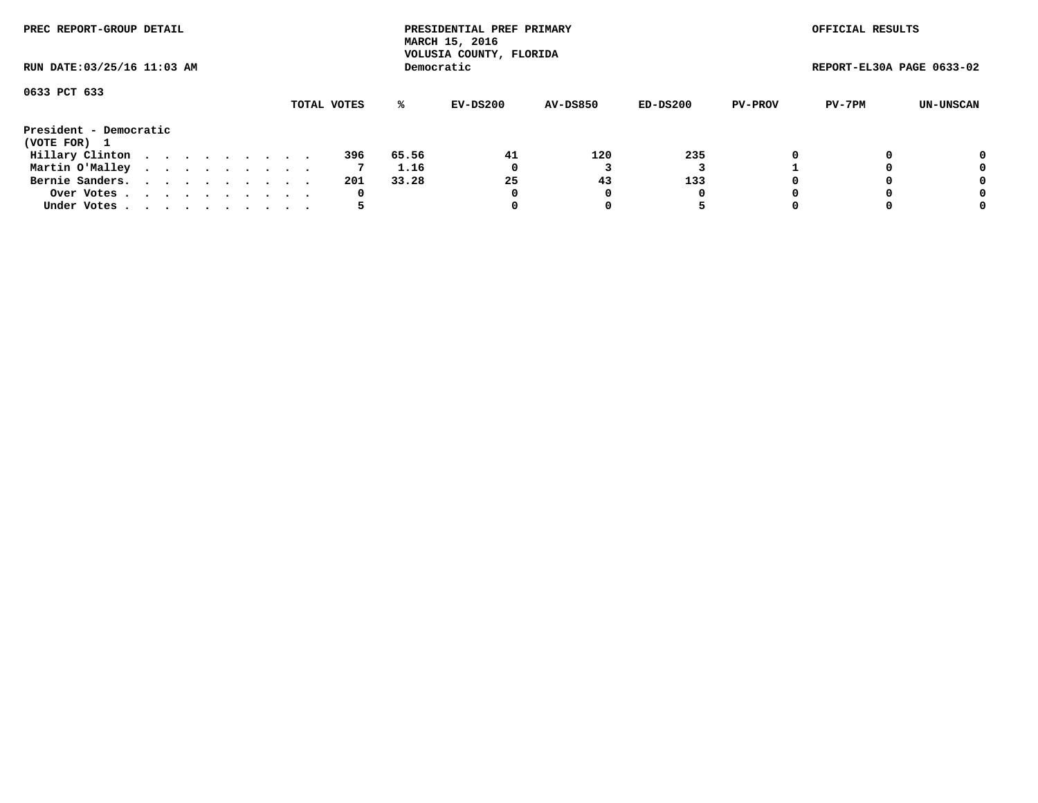| PREC REPORT-GROUP DETAIL               |  |  |  |  |             |       | PRESIDENTIAL PREF PRIMARY<br>MARCH 15, 2016<br>VOLUSIA COUNTY, FLORIDA |                 |          |                | OFFICIAL RESULTS          |           |
|----------------------------------------|--|--|--|--|-------------|-------|------------------------------------------------------------------------|-----------------|----------|----------------|---------------------------|-----------|
| RUN DATE: 03/25/16 11:03 AM            |  |  |  |  |             |       | Democratic                                                             |                 |          |                | REPORT-EL30A PAGE 0633-02 |           |
| 0633 PCT 633                           |  |  |  |  | TOTAL VOTES | ℁     | EV-DS200                                                               | <b>AV-DS850</b> | ED-DS200 | <b>PV-PROV</b> | PV-7PM                    | UN-UNSCAN |
|                                        |  |  |  |  |             |       |                                                                        |                 |          |                |                           |           |
| President - Democratic<br>(VOTE FOR) 1 |  |  |  |  |             |       |                                                                        |                 |          |                |                           |           |
| Hillary Clinton                        |  |  |  |  | 396         | 65.56 | 41                                                                     | 120             | 235      |                |                           | 0         |
| Martin O'Malley                        |  |  |  |  | 7           | 1.16  | 0                                                                      |                 |          |                |                           | 0         |
| Bernie Sanders.                        |  |  |  |  | 201         | 33.28 | 25                                                                     | 43              | 133      |                |                           | 0         |
| Over Votes.                            |  |  |  |  | 0           |       | 0                                                                      | 0               | 0        |                |                           | 0         |
| Under Votes                            |  |  |  |  | כ           |       |                                                                        |                 | 5        |                |                           | 0         |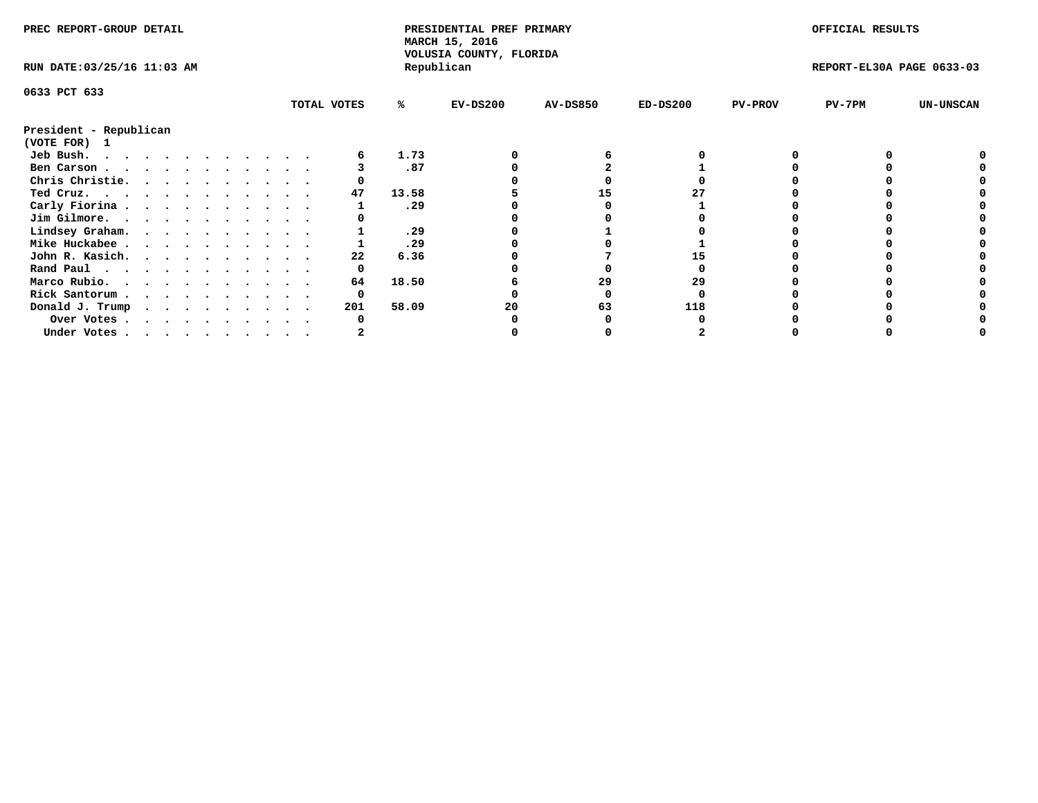| PREC REPORT-GROUP DETAIL               |  |  |  |  |  |  |  |  |             |       | PRESIDENTIAL PREF PRIMARY<br>MARCH 15, 2016<br>VOLUSIA COUNTY, FLORIDA |                 |            |                | OFFICIAL RESULTS          |                  |
|----------------------------------------|--|--|--|--|--|--|--|--|-------------|-------|------------------------------------------------------------------------|-----------------|------------|----------------|---------------------------|------------------|
| RUN DATE: 03/25/16 11:03 AM            |  |  |  |  |  |  |  |  |             |       | Republican                                                             |                 |            |                | REPORT-EL30A PAGE 0633-03 |                  |
| 0633 PCT 633                           |  |  |  |  |  |  |  |  |             |       |                                                                        |                 |            |                |                           |                  |
|                                        |  |  |  |  |  |  |  |  | TOTAL VOTES | %ะ    | $EV-DS200$                                                             | <b>AV-DS850</b> | $ED-DS200$ | <b>PV-PROV</b> | $PV-7PM$                  | <b>UN-UNSCAN</b> |
| President - Republican<br>(VOTE FOR) 1 |  |  |  |  |  |  |  |  |             |       |                                                                        |                 |            |                |                           |                  |
| Jeb Bush.                              |  |  |  |  |  |  |  |  |             | 1.73  |                                                                        |                 |            |                |                           |                  |
| Ben Carson                             |  |  |  |  |  |  |  |  |             | .87   |                                                                        |                 |            |                |                           |                  |
| Chris Christie.                        |  |  |  |  |  |  |  |  |             |       |                                                                        |                 |            |                |                           |                  |
| Ted Cruz.                              |  |  |  |  |  |  |  |  | 47          | 13.58 |                                                                        | 15              |            |                |                           |                  |
| Carly Fiorina                          |  |  |  |  |  |  |  |  |             | .29   |                                                                        |                 |            |                |                           |                  |
| Jim Gilmore.                           |  |  |  |  |  |  |  |  |             |       |                                                                        |                 |            |                |                           |                  |
| Lindsey Graham.                        |  |  |  |  |  |  |  |  |             | .29   |                                                                        |                 |            |                |                           |                  |
| Mike Huckabee                          |  |  |  |  |  |  |  |  |             | .29   |                                                                        |                 |            |                |                           |                  |
| John R. Kasich.                        |  |  |  |  |  |  |  |  | 22          | 6.36  |                                                                        |                 |            |                |                           |                  |
| Rand Paul                              |  |  |  |  |  |  |  |  | 0           |       |                                                                        |                 |            |                |                           |                  |
| Marco Rubio.                           |  |  |  |  |  |  |  |  | 64          | 18.50 |                                                                        | 29              | 29         |                |                           |                  |
| Rick Santorum                          |  |  |  |  |  |  |  |  | 0           |       |                                                                        |                 |            |                |                           |                  |
|                                        |  |  |  |  |  |  |  |  |             | 58.09 |                                                                        |                 | 118        |                |                           |                  |
| Donald J. Trump                        |  |  |  |  |  |  |  |  | 201         |       | 20                                                                     | 63              |            |                |                           |                  |
| Over Votes                             |  |  |  |  |  |  |  |  |             |       |                                                                        |                 |            |                |                           |                  |
| Under Votes, , , , , , , , , , ,       |  |  |  |  |  |  |  |  |             |       |                                                                        |                 |            |                |                           |                  |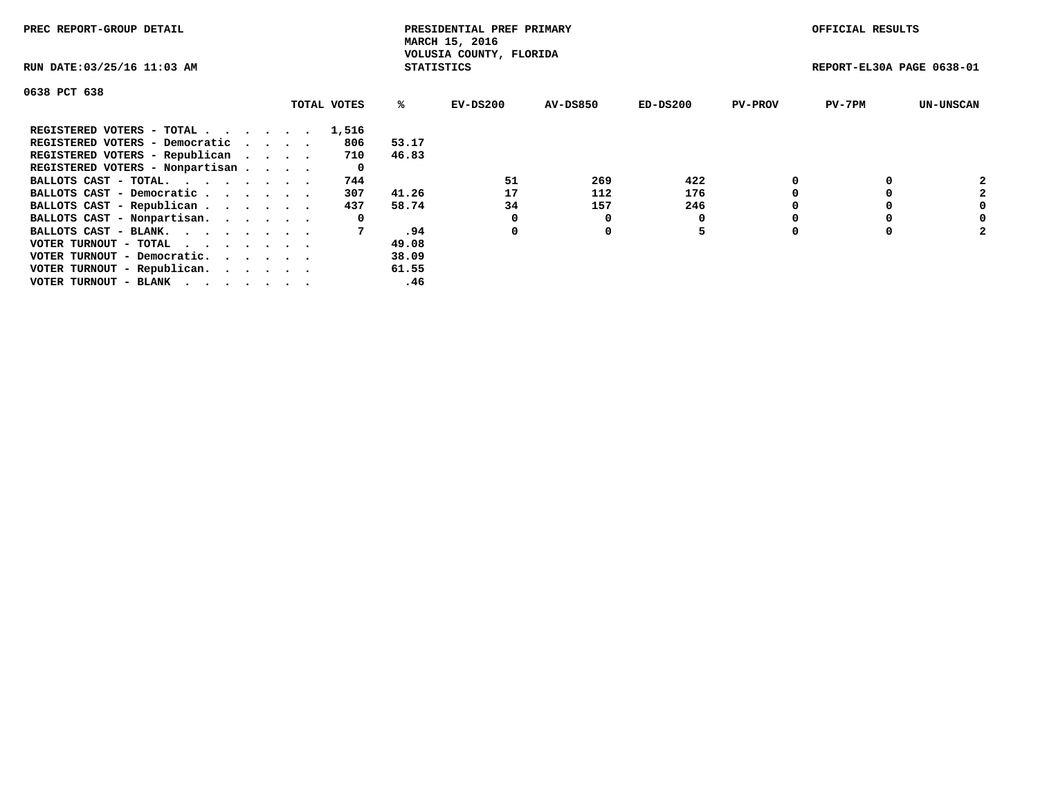| PREC REPORT-GROUP DETAIL        |             |                   | PRESIDENTIAL PREF PRIMARY<br>MARCH 15, 2016 |                 |            |                | OFFICIAL RESULTS          |                  |
|---------------------------------|-------------|-------------------|---------------------------------------------|-----------------|------------|----------------|---------------------------|------------------|
| RUN DATE: 03/25/16 11:03 AM     |             | <b>STATISTICS</b> | VOLUSIA COUNTY, FLORIDA                     |                 |            |                | REPORT-EL30A PAGE 0638-01 |                  |
| 0638 PCT 638                    |             |                   |                                             |                 |            |                |                           |                  |
|                                 | TOTAL VOTES | %ะ                | EV-DS200                                    | <b>AV-DS850</b> | $ED-DS200$ | <b>PV-PROV</b> | $PV-7PM$                  | <b>UN-UNSCAN</b> |
| REGISTERED VOTERS - TOTAL       | 1,516       |                   |                                             |                 |            |                |                           |                  |
| REGISTERED VOTERS - Democratic  | 806         | 53.17             |                                             |                 |            |                |                           |                  |
| REGISTERED VOTERS - Republican  | 710         | 46.83             |                                             |                 |            |                |                           |                  |
| REGISTERED VOTERS - Nonpartisan | 0           |                   |                                             |                 |            |                |                           |                  |
| BALLOTS CAST - TOTAL.           | 744         |                   | 51                                          | 269             | 422        |                |                           |                  |
| BALLOTS CAST - Democratic       | 307         | 41.26             | 17                                          | 112             | 176        |                |                           | $\mathbf{2}$     |
| BALLOTS CAST - Republican       | 437         | 58.74             | 34                                          | 157             | 246        |                |                           | 0                |
| BALLOTS CAST - Nonpartisan.     | 0           |                   | 0                                           |                 |            |                |                           | 0                |
| BALLOTS CAST - BLANK.           |             | .94               | 0                                           | 0               | 5          |                |                           | 2                |
| VOTER TURNOUT - TOTAL<br>.      |             | 49.08             |                                             |                 |            |                |                           |                  |
| VOTER TURNOUT - Democratic.     |             | 38.09             |                                             |                 |            |                |                           |                  |
| VOTER TURNOUT - Republican.     |             | 61.55             |                                             |                 |            |                |                           |                  |
| VOTER TURNOUT - BLANK           |             | .46               |                                             |                 |            |                |                           |                  |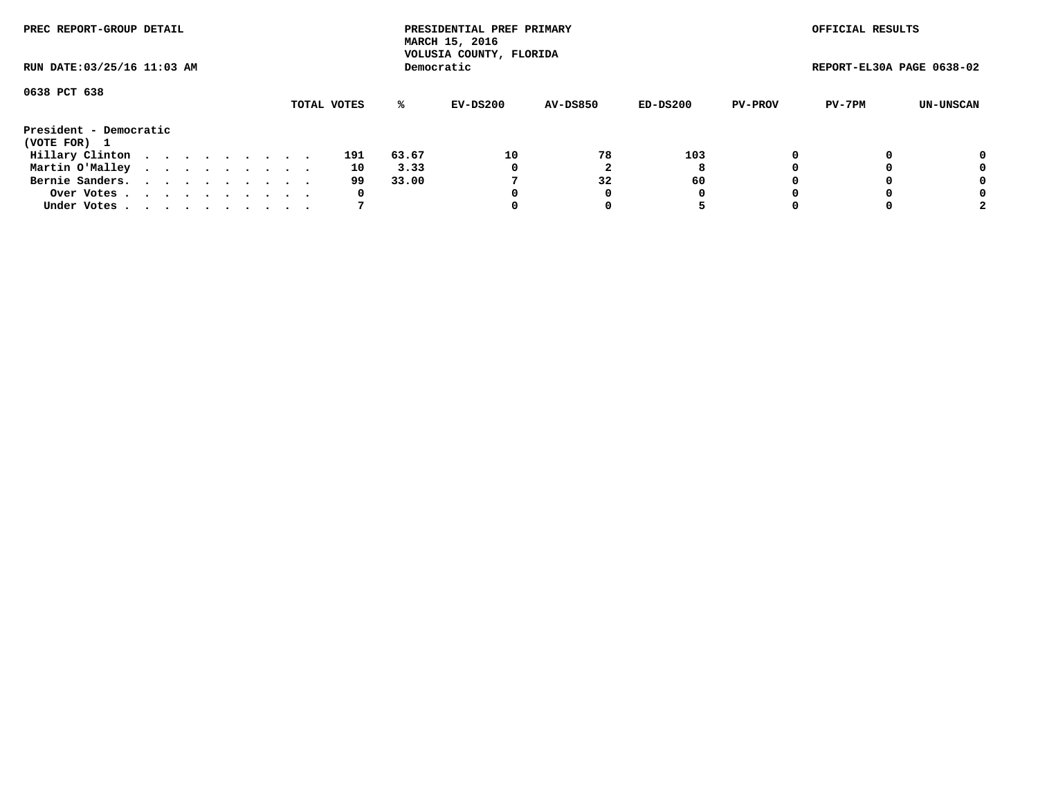| PREC REPORT-GROUP DETAIL    |  |  |  |  |             |       | PRESIDENTIAL PREF PRIMARY<br>MARCH 15, 2016<br>VOLUSIA COUNTY, FLORIDA |                 |          |                | OFFICIAL RESULTS          |           |
|-----------------------------|--|--|--|--|-------------|-------|------------------------------------------------------------------------|-----------------|----------|----------------|---------------------------|-----------|
| RUN DATE: 03/25/16 11:03 AM |  |  |  |  |             |       | Democratic                                                             |                 |          |                | REPORT-EL30A PAGE 0638-02 |           |
| 0638 PCT 638                |  |  |  |  |             |       |                                                                        |                 |          |                |                           |           |
|                             |  |  |  |  | TOTAL VOTES | %ะ    | EV-DS200                                                               | <b>AV-DS850</b> | ED-DS200 | <b>PV-PROV</b> | PV-7PM                    | UN-UNSCAN |
| President - Democratic      |  |  |  |  |             |       |                                                                        |                 |          |                |                           |           |
| (VOTE FOR) 1                |  |  |  |  |             |       |                                                                        |                 |          |                |                           |           |
| Hillary Clinton             |  |  |  |  | 191         | 63.67 | 10                                                                     | 78              | 103      | 0              |                           | 0         |
| Martin O'Malley             |  |  |  |  | 10          | 3.33  | 0                                                                      |                 | 8        |                |                           | 0         |
| Bernie Sanders.             |  |  |  |  | 99          | 33.00 |                                                                        | 32              | 60       |                |                           | 0         |
| Over Votes.                 |  |  |  |  | 0           |       | 0                                                                      | 0               | 0        |                |                           | 0         |
| Under Votes.                |  |  |  |  |             |       |                                                                        |                 |          |                |                           |           |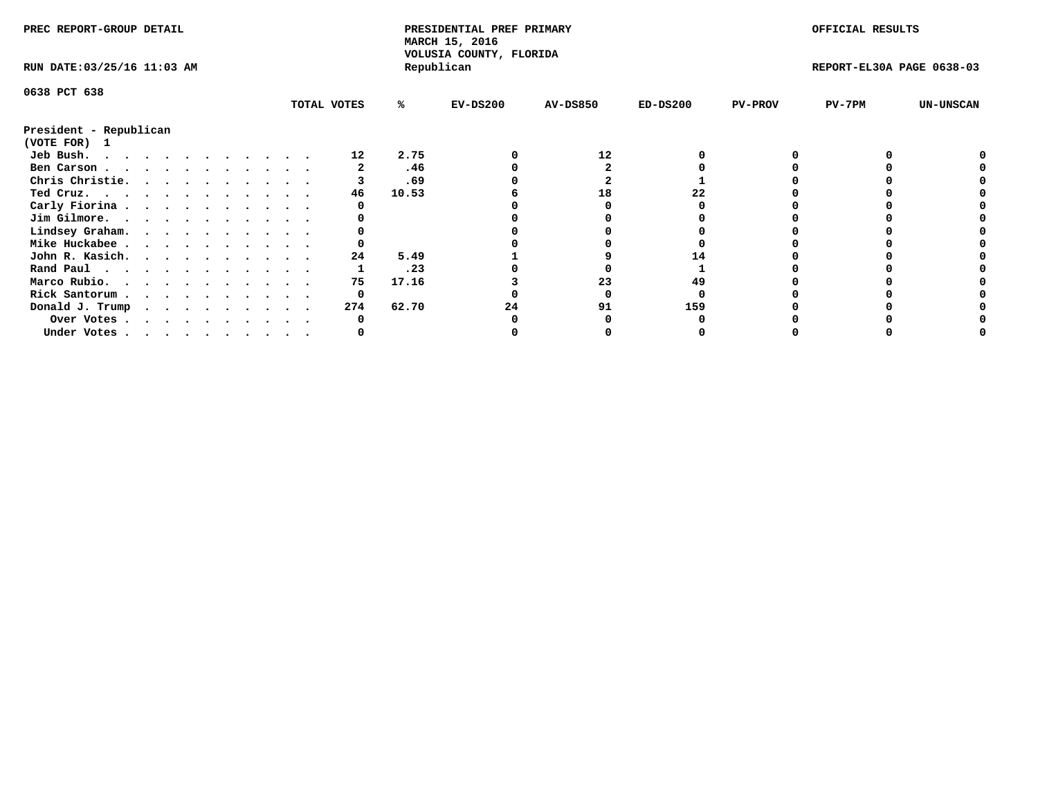| PREC REPORT-GROUP DETAIL    |  |  |  |  |  |  |  |  |             | PRESIDENTIAL PREF PRIMARY<br>MARCH 15, 2016<br>VOLUSIA COUNTY, FLORIDA |            |                 |            | OFFICIAL RESULTS |                           |                  |
|-----------------------------|--|--|--|--|--|--|--|--|-------------|------------------------------------------------------------------------|------------|-----------------|------------|------------------|---------------------------|------------------|
| RUN DATE: 03/25/16 11:03 AM |  |  |  |  |  |  |  |  |             |                                                                        | Republican |                 |            |                  | REPORT-EL30A PAGE 0638-03 |                  |
| 0638 PCT 638                |  |  |  |  |  |  |  |  |             |                                                                        |            |                 |            |                  |                           |                  |
|                             |  |  |  |  |  |  |  |  | TOTAL VOTES | %ะ                                                                     | $EV-DS200$ | <b>AV-DS850</b> | $ED-DS200$ | <b>PV-PROV</b>   | $PV-7PM$                  | <b>UN-UNSCAN</b> |
| President - Republican      |  |  |  |  |  |  |  |  |             |                                                                        |            |                 |            |                  |                           |                  |
| (VOTE FOR) 1                |  |  |  |  |  |  |  |  |             |                                                                        |            |                 |            |                  |                           |                  |
| Jeb Bush.                   |  |  |  |  |  |  |  |  | 12          | 2.75                                                                   |            | 12              |            |                  |                           |                  |
| Ben Carson                  |  |  |  |  |  |  |  |  |             | .46                                                                    |            |                 |            |                  |                           |                  |
| Chris Christie.             |  |  |  |  |  |  |  |  |             | .69                                                                    |            |                 |            |                  |                           |                  |
| Ted Cruz.                   |  |  |  |  |  |  |  |  | 46          | 10.53                                                                  |            | 18              |            |                  |                           |                  |
| Carly Fiorina               |  |  |  |  |  |  |  |  |             |                                                                        |            |                 |            |                  |                           |                  |
| Jim Gilmore.                |  |  |  |  |  |  |  |  |             |                                                                        |            |                 |            |                  |                           |                  |
| Lindsey Graham.             |  |  |  |  |  |  |  |  |             |                                                                        |            |                 |            |                  |                           |                  |
| Mike Huckabee               |  |  |  |  |  |  |  |  |             |                                                                        |            |                 |            |                  |                           |                  |
| John R. Kasich.             |  |  |  |  |  |  |  |  | 24          | 5.49                                                                   |            |                 |            |                  |                           |                  |
| Rand Paul                   |  |  |  |  |  |  |  |  |             | .23                                                                    |            |                 |            |                  |                           |                  |
| Marco Rubio.                |  |  |  |  |  |  |  |  | 75          | 17.16                                                                  |            | 23              | 49         |                  |                           |                  |
| Rick Santorum               |  |  |  |  |  |  |  |  | 0           |                                                                        |            |                 |            |                  |                           |                  |
| Donald J. Trump             |  |  |  |  |  |  |  |  | 274         | 62.70                                                                  |            | 91              | 159        |                  |                           |                  |
| Over Votes                  |  |  |  |  |  |  |  |  |             |                                                                        |            |                 |            |                  |                           |                  |
| Under Votes                 |  |  |  |  |  |  |  |  |             |                                                                        |            |                 |            |                  |                           |                  |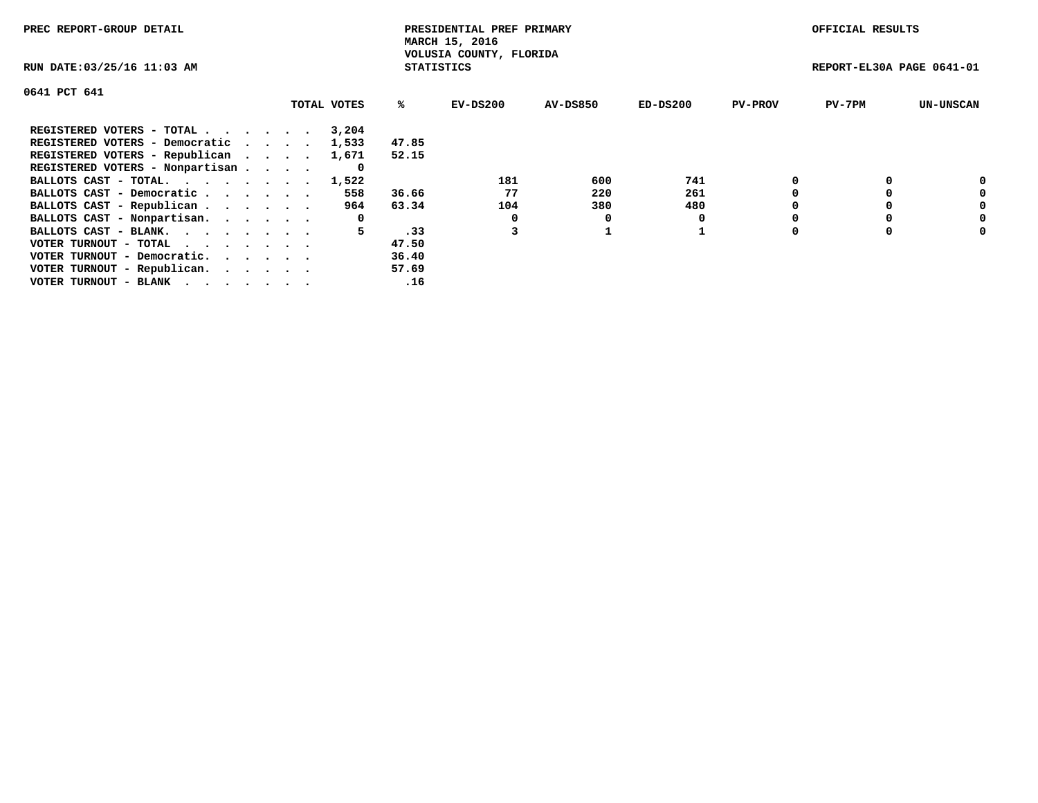| PREC REPORT-GROUP DETAIL                                    |             |                   | PRESIDENTIAL PREF PRIMARY<br>MARCH 15, 2016 |          |            |                | OFFICIAL RESULTS          |                  |
|-------------------------------------------------------------|-------------|-------------------|---------------------------------------------|----------|------------|----------------|---------------------------|------------------|
| RUN DATE: 03/25/16 11:03 AM                                 |             | <b>STATISTICS</b> | VOLUSIA COUNTY, FLORIDA                     |          |            |                | REPORT-EL30A PAGE 0641-01 |                  |
| 0641 PCT 641                                                |             |                   |                                             |          |            |                |                           |                  |
|                                                             | TOTAL VOTES | ℁                 | $EV-DS200$                                  | AV-DS850 | $ED-DS200$ | <b>PV-PROV</b> | $PV-7PM$                  | <b>UN-UNSCAN</b> |
| REGISTERED VOTERS - TOTAL                                   | 3,204       |                   |                                             |          |            |                |                           |                  |
| REGISTERED VOTERS - Democratic                              | 1,533       | 47.85             |                                             |          |            |                |                           |                  |
| REGISTERED VOTERS - Republican                              | 1,671       | 52.15             |                                             |          |            |                |                           |                  |
| REGISTERED VOTERS - Nonpartisan                             | 0           |                   |                                             |          |            |                |                           |                  |
| BALLOTS CAST - TOTAL. 1,522                                 |             |                   | 181                                         | 600      | 741        |                |                           | 0                |
| BALLOTS CAST - Democratic                                   | 558         | 36.66             | 77                                          | 220      | 261        |                |                           | 0                |
| BALLOTS CAST - Republican                                   | 964         | 63.34             | 104                                         | 380      | 480        |                |                           | 0                |
| BALLOTS CAST - Nonpartisan.                                 | 0           |                   |                                             | 0        |            |                |                           | 0                |
| BALLOTS CAST - BLANK.                                       | 5.          | .33               |                                             |          |            |                |                           | 0                |
| VOTER TURNOUT - TOTAL $\cdot \cdot \cdot \cdot \cdot \cdot$ |             | 47.50             |                                             |          |            |                |                           |                  |
| VOTER TURNOUT - Democratic.                                 |             | 36.40             |                                             |          |            |                |                           |                  |
| VOTER TURNOUT - Republican.                                 |             | 57.69             |                                             |          |            |                |                           |                  |
| VOTER TURNOUT - BLANK                                       |             | .16               |                                             |          |            |                |                           |                  |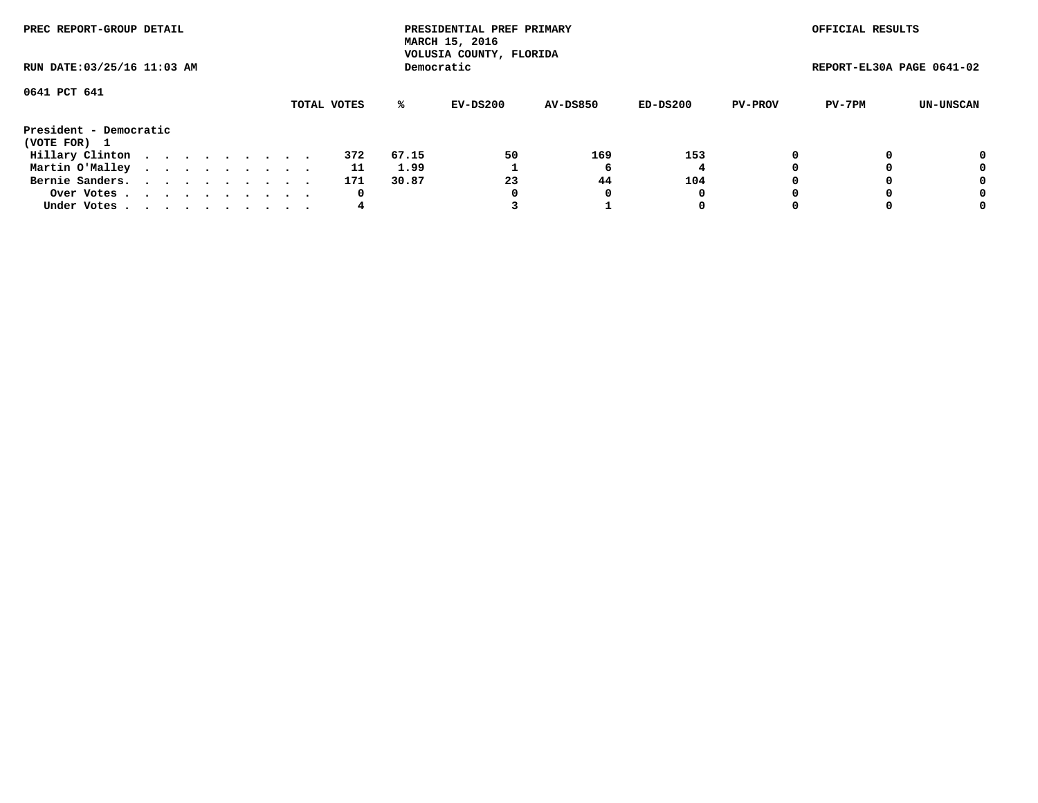| PREC REPORT-GROUP DETAIL<br>RUN DATE: 03/25/16 11:03 AM |  |  |  |  |  |  |  |             |       | PRESIDENTIAL PREF PRIMARY<br>MARCH 15, 2016<br>VOLUSIA COUNTY, FLORIDA |                 |          |                | OFFICIAL RESULTS          |           |
|---------------------------------------------------------|--|--|--|--|--|--|--|-------------|-------|------------------------------------------------------------------------|-----------------|----------|----------------|---------------------------|-----------|
|                                                         |  |  |  |  |  |  |  |             |       | Democratic                                                             |                 |          |                | REPORT-EL30A PAGE 0641-02 |           |
| 0641 PCT 641                                            |  |  |  |  |  |  |  |             |       |                                                                        |                 |          |                |                           |           |
|                                                         |  |  |  |  |  |  |  | TOTAL VOTES | ℁     | EV-DS200                                                               | <b>AV-DS850</b> | ED-DS200 | <b>PV-PROV</b> | PV-7PM                    | UN-UNSCAN |
| President - Democratic<br>(VOTE FOR) 1                  |  |  |  |  |  |  |  |             |       |                                                                        |                 |          |                |                           |           |
| Hillary Clinton                                         |  |  |  |  |  |  |  | 372         | 67.15 | 50                                                                     | 169             | 153      |                |                           | 0         |
| Martin O'Malley                                         |  |  |  |  |  |  |  | 11          | 1.99  |                                                                        | 'n              | 4        |                |                           | 0         |
| Bernie Sanders.                                         |  |  |  |  |  |  |  | 171         | 30.87 | 23                                                                     | 44              | 104      |                |                           | 0         |
| Over Votes.                                             |  |  |  |  |  |  |  | 0           |       |                                                                        |                 | 0        |                |                           | 0         |
| Under Votes                                             |  |  |  |  |  |  |  | 4           |       |                                                                        |                 | 0        |                |                           | 0         |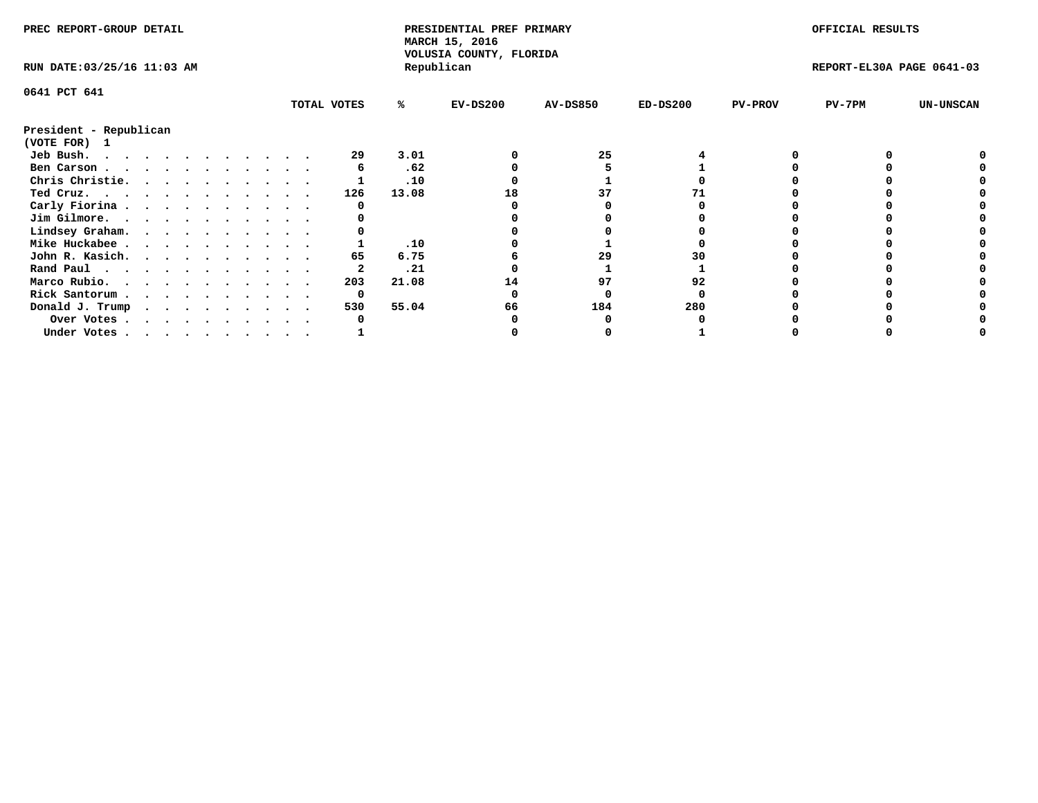| PREC REPORT-GROUP DETAIL    |  |  |  |  |  |  |  |             | PRESIDENTIAL PREF PRIMARY<br>MARCH 15, 2016<br>VOLUSIA COUNTY, FLORIDA |            |                 |            | OFFICIAL RESULTS |                           |                  |
|-----------------------------|--|--|--|--|--|--|--|-------------|------------------------------------------------------------------------|------------|-----------------|------------|------------------|---------------------------|------------------|
| RUN DATE: 03/25/16 11:03 AM |  |  |  |  |  |  |  |             |                                                                        | Republican |                 |            |                  | REPORT-EL30A PAGE 0641-03 |                  |
| 0641 PCT 641                |  |  |  |  |  |  |  |             |                                                                        |            |                 |            |                  |                           |                  |
|                             |  |  |  |  |  |  |  | TOTAL VOTES | %ะ                                                                     | $EV-DS200$ | <b>AV-DS850</b> | $ED-DS200$ | <b>PV-PROV</b>   | $PV-7PM$                  | <b>UN-UNSCAN</b> |
| President - Republican      |  |  |  |  |  |  |  |             |                                                                        |            |                 |            |                  |                           |                  |
| (VOTE FOR)<br>$\mathbf{1}$  |  |  |  |  |  |  |  |             |                                                                        |            |                 |            |                  |                           |                  |
| Jeb Bush.                   |  |  |  |  |  |  |  | 29          | 3.01                                                                   |            | 25              |            |                  |                           |                  |
| Ben Carson                  |  |  |  |  |  |  |  |             | .62                                                                    |            |                 |            |                  |                           |                  |
| Chris Christie.             |  |  |  |  |  |  |  |             | .10                                                                    |            |                 |            |                  |                           |                  |
| Ted Cruz.                   |  |  |  |  |  |  |  | 126         | 13.08                                                                  | 18         |                 |            |                  |                           |                  |
| Carly Fiorina               |  |  |  |  |  |  |  |             |                                                                        |            |                 |            |                  |                           |                  |
| Jim Gilmore.                |  |  |  |  |  |  |  |             |                                                                        |            |                 |            |                  |                           |                  |
| Lindsey Graham.             |  |  |  |  |  |  |  |             |                                                                        |            |                 |            |                  |                           |                  |
| Mike Huckabee               |  |  |  |  |  |  |  |             | .10                                                                    |            |                 |            |                  |                           |                  |
| John R. Kasich.             |  |  |  |  |  |  |  | 65          | 6.75                                                                   |            | 29              |            |                  |                           |                  |
| Rand Paul                   |  |  |  |  |  |  |  |             | .21                                                                    |            |                 |            |                  |                           |                  |
| Marco Rubio.                |  |  |  |  |  |  |  | 203         | 21.08                                                                  | 14         | 97              | 92         |                  |                           |                  |
| Rick Santorum               |  |  |  |  |  |  |  | 0           |                                                                        |            |                 |            |                  |                           |                  |
| Donald J. Trump             |  |  |  |  |  |  |  | 530         | 55.04                                                                  | 66         | 184             | 280        |                  |                           |                  |
| Over Votes                  |  |  |  |  |  |  |  |             |                                                                        |            |                 |            |                  |                           |                  |
| Under Votes                 |  |  |  |  |  |  |  |             |                                                                        |            |                 |            |                  |                           |                  |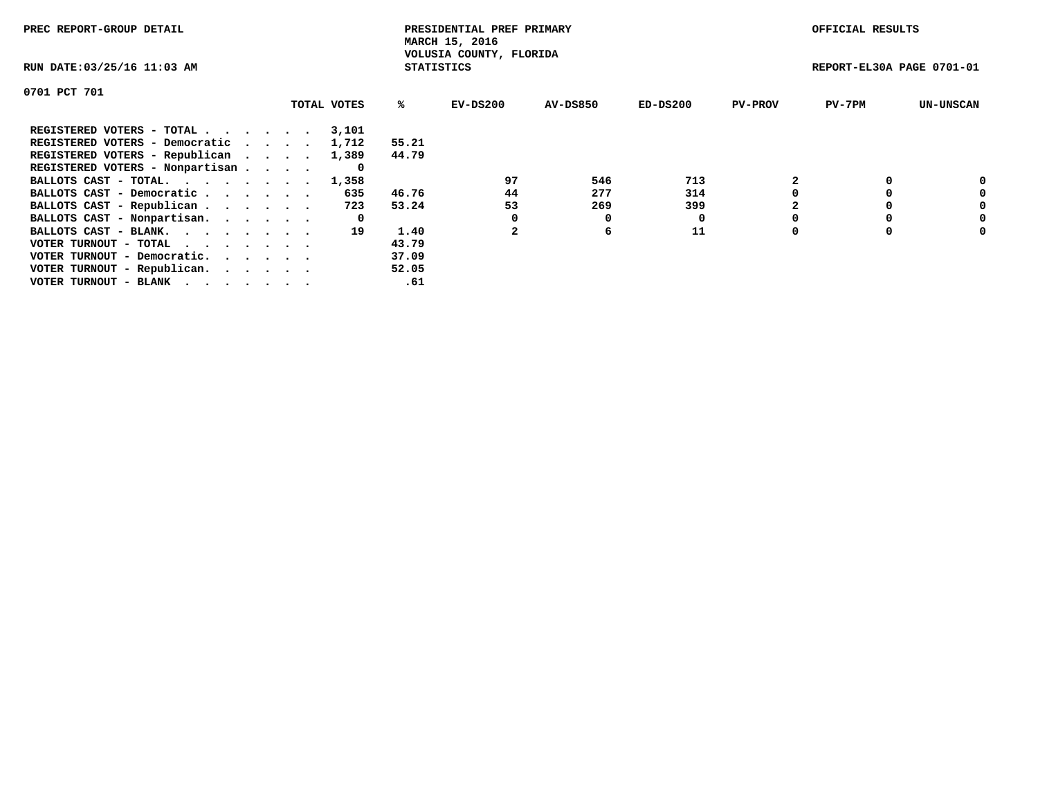| PREC REPORT-GROUP DETAIL                                    |             |                   | PRESIDENTIAL PREF PRIMARY<br>MARCH 15, 2016 |          |            |                | OFFICIAL RESULTS          |                  |
|-------------------------------------------------------------|-------------|-------------------|---------------------------------------------|----------|------------|----------------|---------------------------|------------------|
| RUN DATE: 03/25/16 11:03 AM                                 |             | <b>STATISTICS</b> | VOLUSIA COUNTY, FLORIDA                     |          |            |                | REPORT-EL30A PAGE 0701-01 |                  |
| 0701 PCT 701                                                |             |                   |                                             |          |            |                |                           |                  |
|                                                             | TOTAL VOTES | ℁                 | $EV-DS200$                                  | AV-DS850 | $ED-DS200$ | <b>PV-PROV</b> | $PV-7PM$                  | <b>UN-UNSCAN</b> |
| REGISTERED VOTERS - TOTAL                                   | 3,101       |                   |                                             |          |            |                |                           |                  |
| REGISTERED VOTERS - Democratic                              | 1,712       | 55.21             |                                             |          |            |                |                           |                  |
| REGISTERED VOTERS - Republican                              | 1,389       | 44.79             |                                             |          |            |                |                           |                  |
| REGISTERED VOTERS - Nonpartisan                             | 0           |                   |                                             |          |            |                |                           |                  |
| BALLOTS CAST - TOTAL. 1,358                                 |             |                   | 97                                          | 546      | 713        |                |                           | 0                |
| BALLOTS CAST - Democratic                                   | 635         | 46.76             | 44                                          | 277      | 314        |                |                           | 0                |
| BALLOTS CAST - Republican                                   | 723         | 53.24             | 53                                          | 269      | 399        |                |                           | 0                |
| BALLOTS CAST - Nonpartisan.                                 | 0           |                   |                                             | 0        |            |                |                           | 0                |
| BALLOTS CAST - BLANK.                                       | 19          | 1.40              |                                             | 6        | 11         |                |                           | 0                |
| VOTER TURNOUT - TOTAL $\cdot \cdot \cdot \cdot \cdot \cdot$ |             | 43.79             |                                             |          |            |                |                           |                  |
| VOTER TURNOUT - Democratic.                                 |             | 37.09             |                                             |          |            |                |                           |                  |
| VOTER TURNOUT - Republican.                                 |             | 52.05             |                                             |          |            |                |                           |                  |
| VOTER TURNOUT - BLANK                                       |             | .61               |                                             |          |            |                |                           |                  |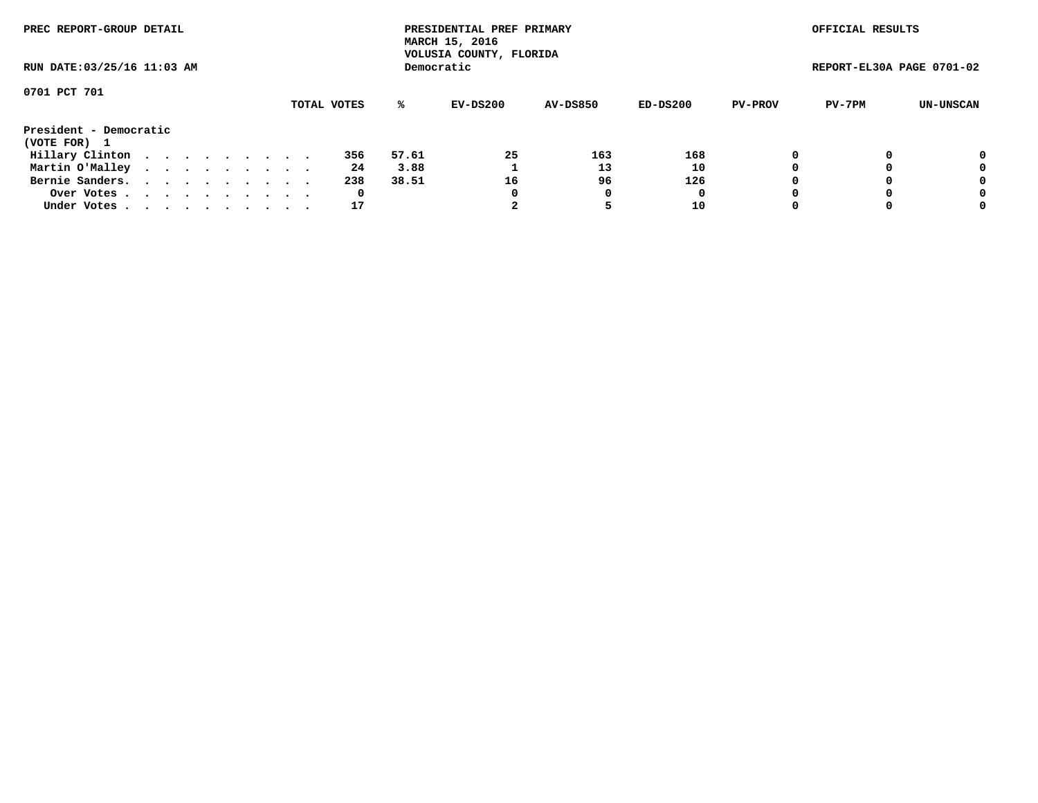| PREC REPORT-GROUP DETAIL<br>RUN DATE: 03/25/16 11:03 AM |  |  |  |  |  |  |  |  |             |       | PRESIDENTIAL PREF PRIMARY<br>MARCH 15, 2016<br>VOLUSIA COUNTY, FLORIDA |                 |          |                | OFFICIAL RESULTS          |           |
|---------------------------------------------------------|--|--|--|--|--|--|--|--|-------------|-------|------------------------------------------------------------------------|-----------------|----------|----------------|---------------------------|-----------|
|                                                         |  |  |  |  |  |  |  |  |             |       | Democratic                                                             |                 |          |                | REPORT-EL30A PAGE 0701-02 |           |
| 0701 PCT 701                                            |  |  |  |  |  |  |  |  | TOTAL VOTES | %ะ    | EV-DS200                                                               | <b>AV-DS850</b> | ED-DS200 | <b>PV-PROV</b> | PV-7PM                    | UN-UNSCAN |
| President - Democratic                                  |  |  |  |  |  |  |  |  |             |       |                                                                        |                 |          |                |                           |           |
| (VOTE FOR) 1                                            |  |  |  |  |  |  |  |  |             |       |                                                                        |                 |          |                |                           |           |
| Hillary Clinton                                         |  |  |  |  |  |  |  |  | 356         | 57.61 | 25                                                                     | 163             | 168      | 0              |                           | 0         |
| Martin O'Malley                                         |  |  |  |  |  |  |  |  | 24          | 3.88  |                                                                        | 13              | 10       |                |                           | 0         |
| Bernie Sanders.                                         |  |  |  |  |  |  |  |  | 238         | 38.51 | 16                                                                     | 96              | 126      |                |                           | 0         |
| Over Votes.                                             |  |  |  |  |  |  |  |  | 0           |       | 0                                                                      | 0               | 0        |                |                           | 0         |
| Under Votes.                                            |  |  |  |  |  |  |  |  | 17          |       |                                                                        |                 | 10       |                |                           | 0         |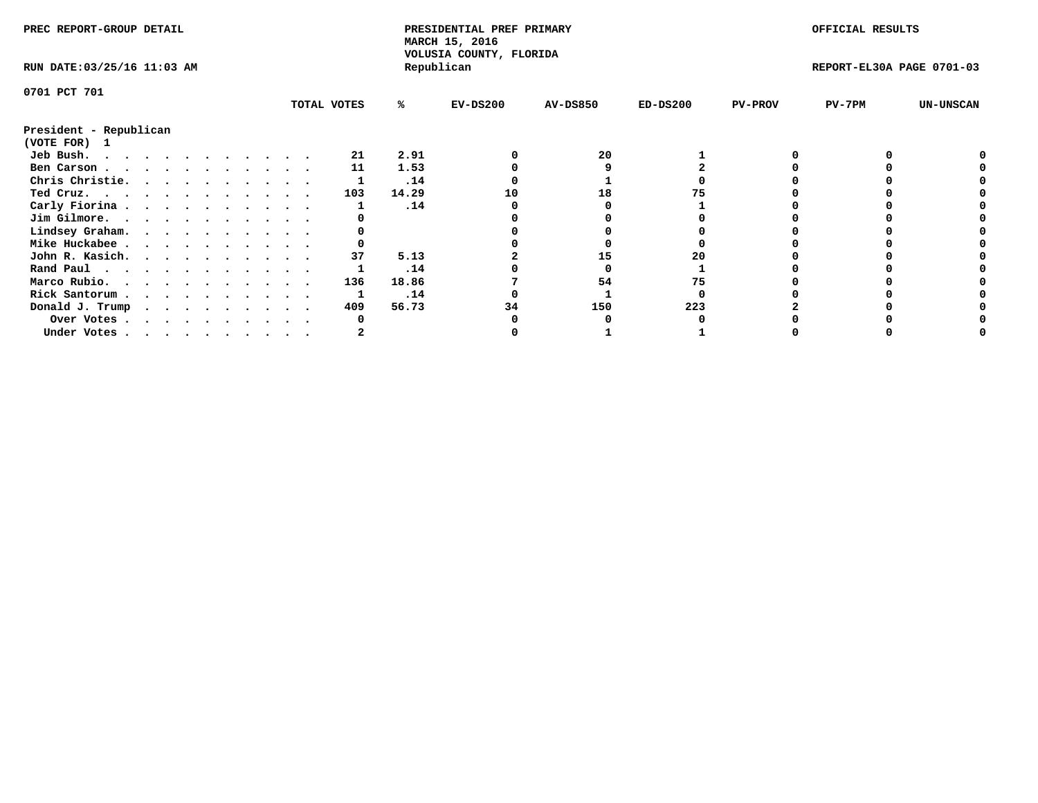| PREC REPORT-GROUP DETAIL    |  |  |  |  |  |  |  |             | PRESIDENTIAL PREF PRIMARY<br>MARCH 15, 2016<br>VOLUSIA COUNTY, FLORIDA |            |                 |            | OFFICIAL RESULTS |                           |                  |
|-----------------------------|--|--|--|--|--|--|--|-------------|------------------------------------------------------------------------|------------|-----------------|------------|------------------|---------------------------|------------------|
| RUN DATE: 03/25/16 11:03 AM |  |  |  |  |  |  |  |             |                                                                        | Republican |                 |            |                  | REPORT-EL30A PAGE 0701-03 |                  |
| 0701 PCT 701                |  |  |  |  |  |  |  |             |                                                                        |            |                 |            |                  |                           |                  |
|                             |  |  |  |  |  |  |  | TOTAL VOTES | %ะ                                                                     | $EV-DS200$ | <b>AV-DS850</b> | $ED-DS200$ | <b>PV-PROV</b>   | $PV-7PM$                  | <b>UN-UNSCAN</b> |
| President - Republican      |  |  |  |  |  |  |  |             |                                                                        |            |                 |            |                  |                           |                  |
| (VOTE FOR) 1                |  |  |  |  |  |  |  |             |                                                                        |            |                 |            |                  |                           |                  |
| Jeb Bush.                   |  |  |  |  |  |  |  | 21          | 2.91                                                                   |            | 20              |            |                  |                           |                  |
| Ben Carson                  |  |  |  |  |  |  |  | 11          | 1.53                                                                   |            |                 |            |                  |                           |                  |
| Chris Christie.             |  |  |  |  |  |  |  |             | .14                                                                    |            |                 |            |                  |                           |                  |
| Ted Cruz.                   |  |  |  |  |  |  |  | 103         | 14.29                                                                  | 10         | 18              |            |                  |                           |                  |
| Carly Fiorina               |  |  |  |  |  |  |  |             | .14                                                                    |            |                 |            |                  |                           |                  |
| Jim Gilmore.                |  |  |  |  |  |  |  |             |                                                                        |            |                 |            |                  |                           |                  |
| Lindsey Graham.             |  |  |  |  |  |  |  |             |                                                                        |            |                 |            |                  |                           |                  |
| Mike Huckabee               |  |  |  |  |  |  |  |             |                                                                        |            |                 |            |                  |                           |                  |
| John R. Kasich.             |  |  |  |  |  |  |  | 37          | 5.13                                                                   |            | 15              | 20         |                  |                           |                  |
| Rand Paul                   |  |  |  |  |  |  |  |             | .14                                                                    |            |                 |            |                  |                           |                  |
| Marco Rubio.                |  |  |  |  |  |  |  | 136         | 18.86                                                                  |            | 54              | 75         |                  |                           |                  |
| Rick Santorum               |  |  |  |  |  |  |  |             | .14                                                                    |            |                 |            |                  |                           |                  |
| Donald J. Trump             |  |  |  |  |  |  |  | 409         | 56.73                                                                  |            | 150             | 223        |                  |                           |                  |
| Over Votes                  |  |  |  |  |  |  |  |             |                                                                        |            |                 |            |                  |                           |                  |
| Under Votes                 |  |  |  |  |  |  |  |             |                                                                        |            |                 |            |                  |                           |                  |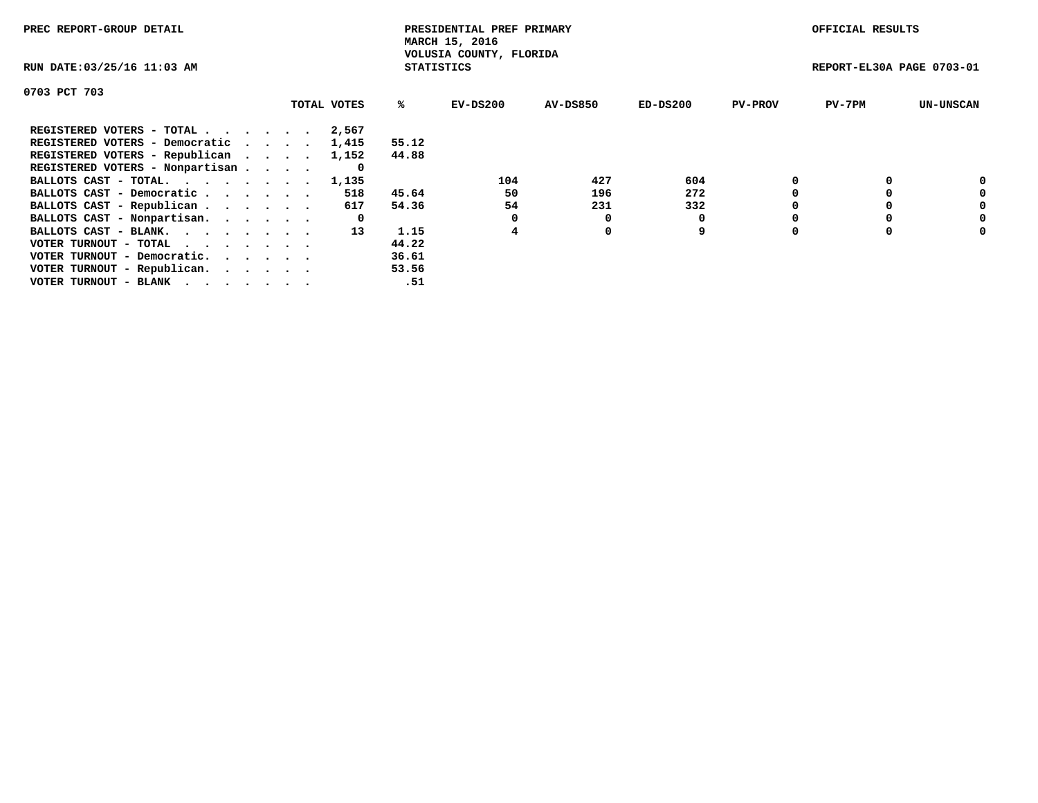| PREC REPORT-GROUP DETAIL        |             |                   | PRESIDENTIAL PREF PRIMARY<br>MARCH 15, 2016 |          |            |                | OFFICIAL RESULTS          |                  |
|---------------------------------|-------------|-------------------|---------------------------------------------|----------|------------|----------------|---------------------------|------------------|
| RUN DATE: 03/25/16 11:03 AM     |             | <b>STATISTICS</b> | VOLUSIA COUNTY, FLORIDA                     |          |            |                | REPORT-EL30A PAGE 0703-01 |                  |
| 0703 PCT 703                    |             |                   |                                             |          |            |                |                           |                  |
|                                 | TOTAL VOTES | ℁                 | EV-DS200                                    | AV-DS850 | $ED-DS200$ | <b>PV-PROV</b> | $PV-7PM$                  | <b>UN-UNSCAN</b> |
| REGISTERED VOTERS - TOTAL       | 2,567       |                   |                                             |          |            |                |                           |                  |
| REGISTERED VOTERS - Democratic  | 1,415       | 55.12             |                                             |          |            |                |                           |                  |
| REGISTERED VOTERS - Republican  | 1,152       | 44.88             |                                             |          |            |                |                           |                  |
| REGISTERED VOTERS - Nonpartisan | 0           |                   |                                             |          |            |                |                           |                  |
| BALLOTS CAST - TOTAL. 1,135     |             |                   | 104                                         | 427      | 604        |                |                           | 0                |
| BALLOTS CAST - Democratic       | 518         | 45.64             | 50                                          | 196      | 272        |                |                           | 0                |
| BALLOTS CAST - Republican       | 617         | 54.36             | 54                                          | 231      | 332        |                |                           | 0                |
| BALLOTS CAST - Nonpartisan.     | 0           |                   |                                             | 0        |            |                |                           | 0                |
| BALLOTS CAST - BLANK.           | 13          | 1.15              | 4                                           | 0        | 9          |                |                           | 0                |
| VOTER TURNOUT - TOTAL           |             | 44.22             |                                             |          |            |                |                           |                  |
| VOTER TURNOUT - Democratic.     |             | 36.61             |                                             |          |            |                |                           |                  |
| VOTER TURNOUT - Republican.     |             | 53.56             |                                             |          |            |                |                           |                  |
| VOTER TURNOUT - BLANK           |             | .51               |                                             |          |            |                |                           |                  |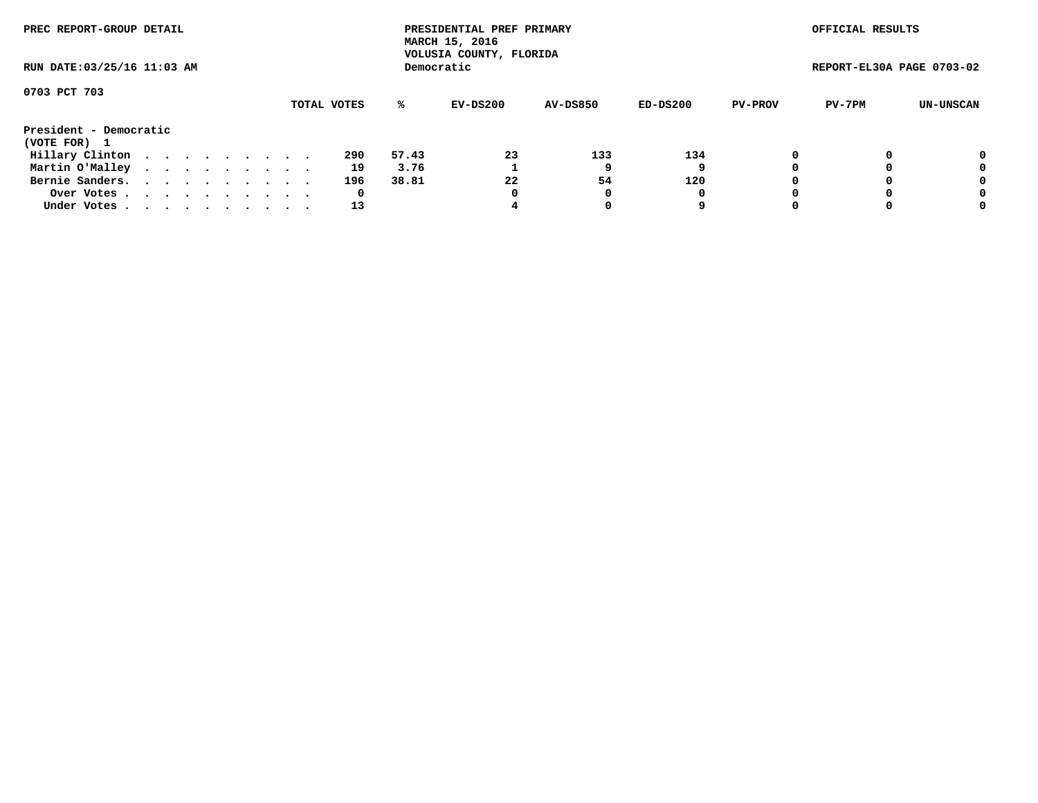| PREC REPORT-GROUP DETAIL<br>RUN DATE: 03/25/16 11:03 AM |  |  |  |  |  |  |  |  |             |       | PRESIDENTIAL PREF PRIMARY<br>MARCH 15, 2016<br>VOLUSIA COUNTY, FLORIDA |                 |          |                | OFFICIAL RESULTS          |           |
|---------------------------------------------------------|--|--|--|--|--|--|--|--|-------------|-------|------------------------------------------------------------------------|-----------------|----------|----------------|---------------------------|-----------|
|                                                         |  |  |  |  |  |  |  |  |             |       | Democratic                                                             |                 |          |                | REPORT-EL30A PAGE 0703-02 |           |
| 0703 PCT 703                                            |  |  |  |  |  |  |  |  | TOTAL VOTES | %ะ    | EV-DS200                                                               | <b>AV-DS850</b> | ED-DS200 | <b>PV-PROV</b> | PV-7PM                    | UN-UNSCAN |
| President - Democratic<br>(VOTE FOR) 1                  |  |  |  |  |  |  |  |  |             |       |                                                                        |                 |          |                |                           |           |
| Hillary Clinton                                         |  |  |  |  |  |  |  |  | 290         | 57.43 | 23                                                                     | 133             | 134      | 0              |                           | 0         |
| Martin O'Malley                                         |  |  |  |  |  |  |  |  | 19          | 3.76  |                                                                        |                 |          |                |                           | 0         |
| Bernie Sanders.                                         |  |  |  |  |  |  |  |  | 196         | 38.81 | 22                                                                     | 54              | 120      |                |                           | 0         |
| Over Votes                                              |  |  |  |  |  |  |  |  | 0           |       | 0                                                                      |                 | 0        |                |                           | 0         |
| Under Votes.                                            |  |  |  |  |  |  |  |  | 13          |       |                                                                        |                 | 9        |                |                           | 0         |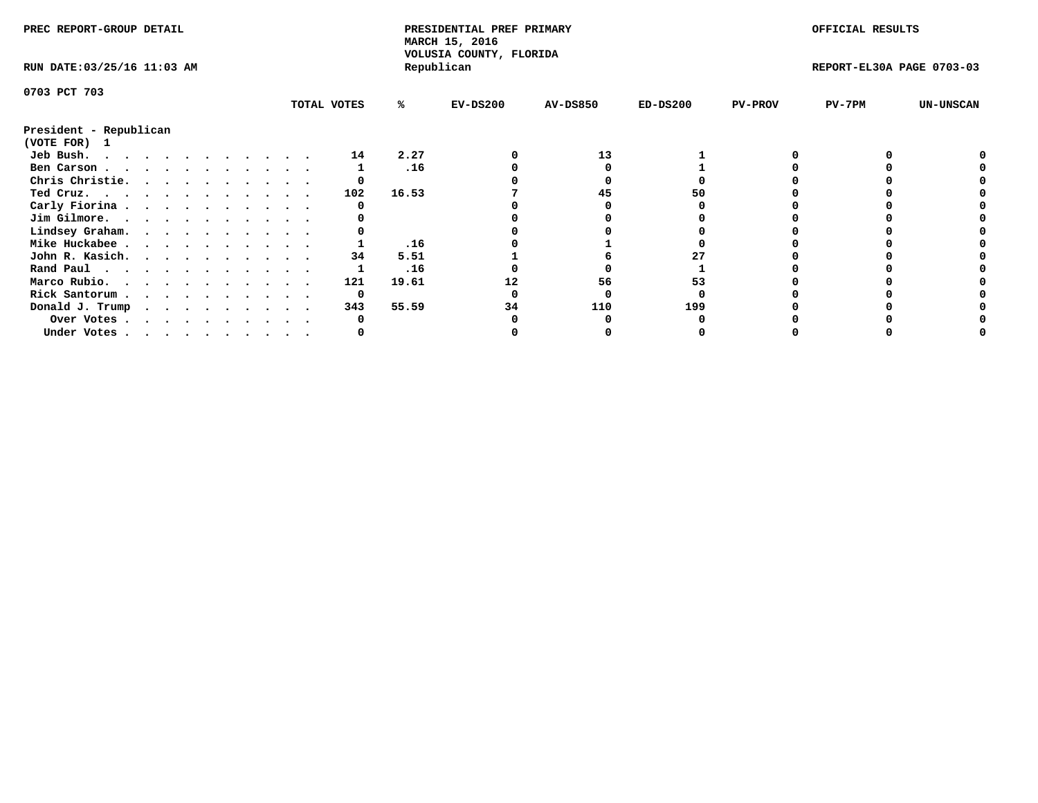| PREC REPORT-GROUP DETAIL               |  |  |  |  |  |  |  |             | PRESIDENTIAL PREF PRIMARY<br>MARCH 15, 2016 |                                       |                 |            | OFFICIAL RESULTS |                           |                  |
|----------------------------------------|--|--|--|--|--|--|--|-------------|---------------------------------------------|---------------------------------------|-----------------|------------|------------------|---------------------------|------------------|
| RUN DATE: 03/25/16 11:03 AM            |  |  |  |  |  |  |  |             |                                             | VOLUSIA COUNTY, FLORIDA<br>Republican |                 |            |                  | REPORT-EL30A PAGE 0703-03 |                  |
| 0703 PCT 703                           |  |  |  |  |  |  |  |             |                                             |                                       |                 |            |                  |                           |                  |
|                                        |  |  |  |  |  |  |  | TOTAL VOTES | ℁                                           | $EV-DS200$                            | <b>AV-DS850</b> | $ED-DS200$ | <b>PV-PROV</b>   | $PV-7PM$                  | <b>UN-UNSCAN</b> |
| President - Republican<br>(VOTE FOR) 1 |  |  |  |  |  |  |  |             |                                             |                                       |                 |            |                  |                           |                  |
| Jeb Bush.<br>.                         |  |  |  |  |  |  |  | 14          | 2.27                                        |                                       | 13              |            |                  |                           |                  |
| Ben Carson                             |  |  |  |  |  |  |  |             | .16                                         |                                       |                 |            |                  |                           |                  |
| Chris Christie.                        |  |  |  |  |  |  |  |             |                                             |                                       |                 |            |                  |                           |                  |
| Ted Cruz.                              |  |  |  |  |  |  |  | 102         | 16.53                                       |                                       | 45              | 50         |                  |                           |                  |
| Carly Fiorina                          |  |  |  |  |  |  |  |             |                                             |                                       |                 |            |                  |                           |                  |
| Jim Gilmore.                           |  |  |  |  |  |  |  |             |                                             |                                       |                 |            |                  |                           |                  |
| Lindsey Graham.                        |  |  |  |  |  |  |  |             |                                             |                                       |                 |            |                  |                           |                  |
| Mike Huckabee                          |  |  |  |  |  |  |  |             | .16                                         |                                       |                 |            |                  |                           |                  |
| John R. Kasich.                        |  |  |  |  |  |  |  | 34          | 5.51                                        |                                       |                 |            |                  |                           |                  |
| Rand Paul                              |  |  |  |  |  |  |  |             | .16                                         |                                       |                 |            |                  |                           |                  |
| Marco Rubio.                           |  |  |  |  |  |  |  | 121         | 19.61                                       | 12                                    | 56              | 53         |                  |                           |                  |
| Rick Santorum                          |  |  |  |  |  |  |  | 0           |                                             |                                       |                 |            |                  |                           |                  |
|                                        |  |  |  |  |  |  |  | 343         | 55.59                                       | 34                                    | 110             | 199        |                  |                           |                  |
| Donald J. Trump                        |  |  |  |  |  |  |  |             |                                             |                                       |                 |            |                  |                           |                  |
| Over Votes                             |  |  |  |  |  |  |  |             |                                             |                                       |                 |            |                  |                           |                  |
| Under Votes                            |  |  |  |  |  |  |  |             |                                             |                                       |                 |            |                  |                           |                  |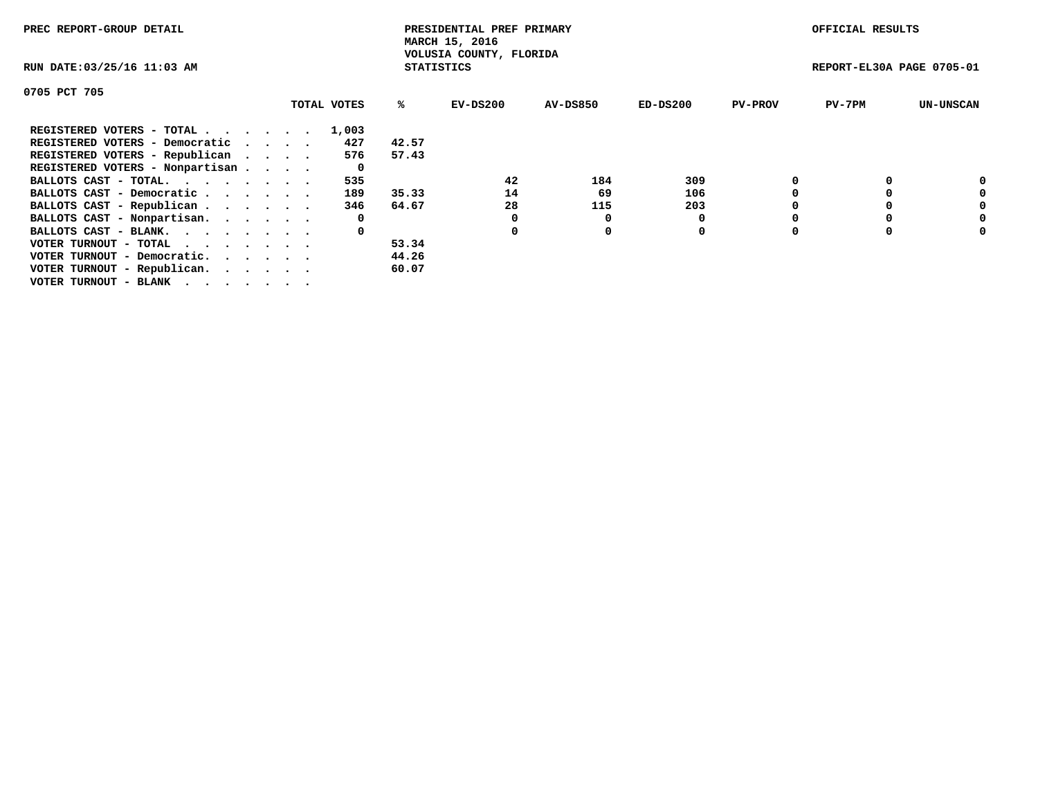| PREC REPORT-GROUP DETAIL                                    |             |       | PRESIDENTIAL PREF PRIMARY<br>MARCH 15, 2016  |          |            |                | OFFICIAL RESULTS          |                  |
|-------------------------------------------------------------|-------------|-------|----------------------------------------------|----------|------------|----------------|---------------------------|------------------|
| RUN DATE: 03/25/16 11:03 AM                                 |             |       | VOLUSIA COUNTY, FLORIDA<br><b>STATISTICS</b> |          |            |                | REPORT-EL30A PAGE 0705-01 |                  |
| 0705 PCT 705                                                |             |       |                                              |          |            |                |                           |                  |
|                                                             | TOTAL VOTES | ℁     | $EV-DS200$                                   | AV-DS850 | $ED-DS200$ | <b>PV-PROV</b> | $PV-7PM$                  | <b>UN-UNSCAN</b> |
| REGISTERED VOTERS - TOTAL                                   | 1,003       |       |                                              |          |            |                |                           |                  |
| REGISTERED VOTERS - Democratic                              | 427         | 42.57 |                                              |          |            |                |                           |                  |
| REGISTERED VOTERS - Republican                              | 576         | 57.43 |                                              |          |            |                |                           |                  |
| REGISTERED VOTERS - Nonpartisan                             | 0           |       |                                              |          |            |                |                           |                  |
| BALLOTS CAST - TOTAL.                                       | 535         |       | 42                                           | 184      | 309        |                |                           | 0                |
| BALLOTS CAST - Democratic                                   | 189         | 35.33 | 14                                           | 69       | 106        |                |                           | 0                |
| BALLOTS CAST - Republican                                   | 346         | 64.67 | 28                                           | 115      | 203        |                |                           | 0                |
| BALLOTS CAST - Nonpartisan.                                 | 0           |       | 0                                            | 0        |            |                |                           | 0                |
| BALLOTS CAST - BLANK.                                       | 0           |       | 0                                            | 0        | 0          |                |                           | 0                |
| VOTER TURNOUT - TOTAL $\cdot \cdot \cdot \cdot \cdot \cdot$ |             | 53.34 |                                              |          |            |                |                           |                  |
| VOTER TURNOUT - Democratic.                                 |             | 44.26 |                                              |          |            |                |                           |                  |
| VOTER TURNOUT - Republican.                                 |             | 60.07 |                                              |          |            |                |                           |                  |
| VOTER TURNOUT - BLANK                                       |             |       |                                              |          |            |                |                           |                  |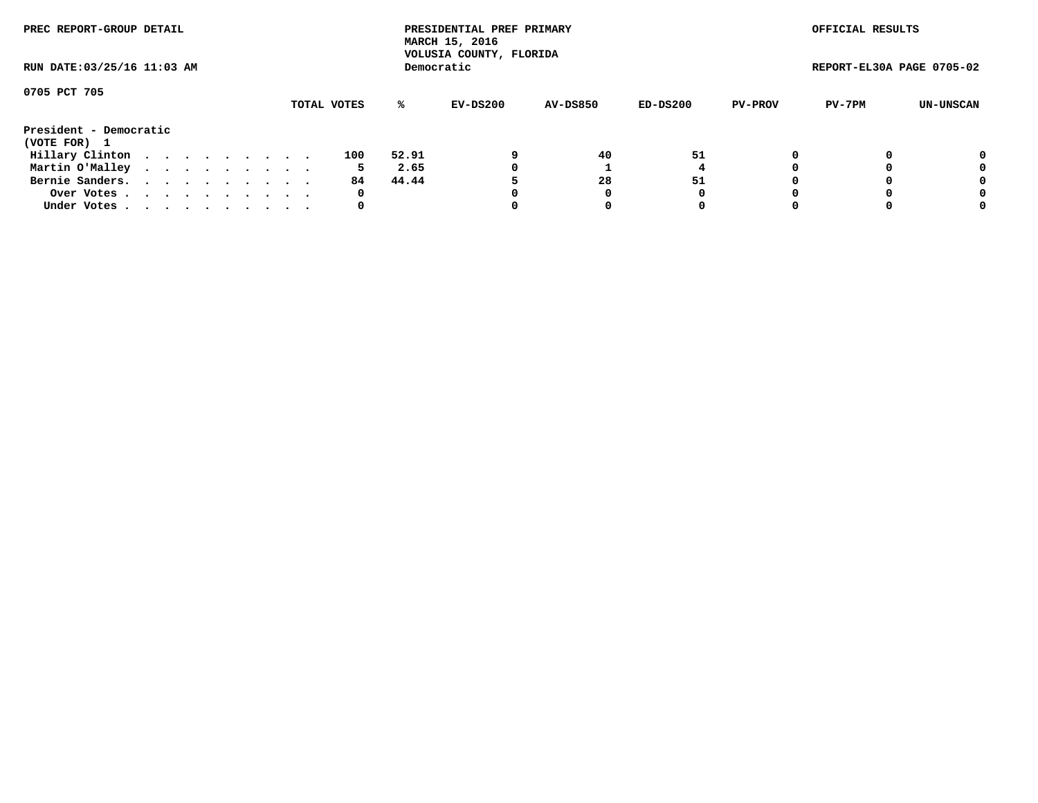| PREC REPORT-GROUP DETAIL<br>RUN DATE: 03/25/16 11:03 AM |             |  |  |  |  |  |  |  |  |     |       | PRESIDENTIAL PREF PRIMARY<br>MARCH 15, 2016<br>VOLUSIA COUNTY, FLORIDA |                 |          |                | OFFICIAL RESULTS          |           |
|---------------------------------------------------------|-------------|--|--|--|--|--|--|--|--|-----|-------|------------------------------------------------------------------------|-----------------|----------|----------------|---------------------------|-----------|
|                                                         |             |  |  |  |  |  |  |  |  |     |       | Democratic                                                             |                 |          |                | REPORT-EL30A PAGE 0705-02 |           |
| 0705 PCT 705                                            | TOTAL VOTES |  |  |  |  |  |  |  |  |     |       |                                                                        |                 |          |                |                           |           |
|                                                         |             |  |  |  |  |  |  |  |  |     | ℁     | EV-DS200                                                               | <b>AV-DS850</b> | ED-DS200 | <b>PV-PROV</b> | PV-7PM                    | UN-UNSCAN |
| President - Democratic                                  |             |  |  |  |  |  |  |  |  |     |       |                                                                        |                 |          |                |                           |           |
| (VOTE FOR) 1                                            |             |  |  |  |  |  |  |  |  |     |       |                                                                        |                 |          |                |                           |           |
| Hillary Clinton                                         |             |  |  |  |  |  |  |  |  | 100 | 52.91 |                                                                        | 40              | 51       | 0              |                           | 0         |
| Martin O'Malley                                         |             |  |  |  |  |  |  |  |  | 5   | 2.65  | 0                                                                      |                 |          |                |                           | 0         |
| Bernie Sanders.                                         |             |  |  |  |  |  |  |  |  | 84. | 44.44 |                                                                        | 28              | 51       |                |                           | 0         |
| Over Votes                                              |             |  |  |  |  |  |  |  |  | 0   |       | 0                                                                      | 0               | 0        |                |                           | 0         |
| Under Votes.                                            |             |  |  |  |  |  |  |  |  | 0   |       |                                                                        | 0               |          |                |                           | 0         |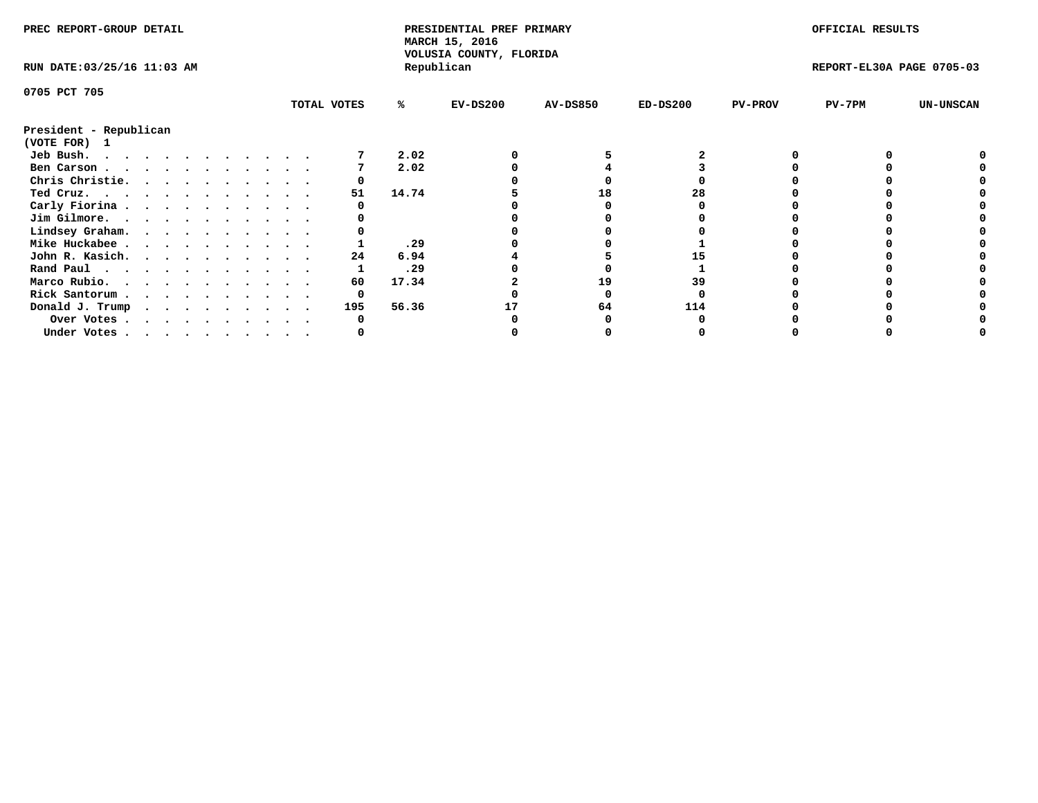| PREC REPORT-GROUP DETAIL               |  |  |  |  |  |  |  |             | PRESIDENTIAL PREF PRIMARY<br>MARCH 15, 2016<br>VOLUSIA COUNTY, FLORIDA |            |                 |            | OFFICIAL RESULTS |                           |                  |
|----------------------------------------|--|--|--|--|--|--|--|-------------|------------------------------------------------------------------------|------------|-----------------|------------|------------------|---------------------------|------------------|
| RUN DATE: 03/25/16 11:03 AM            |  |  |  |  |  |  |  |             |                                                                        | Republican |                 |            |                  | REPORT-EL30A PAGE 0705-03 |                  |
| 0705 PCT 705                           |  |  |  |  |  |  |  |             |                                                                        |            |                 |            |                  |                           |                  |
|                                        |  |  |  |  |  |  |  | TOTAL VOTES | %ะ                                                                     | $EV-DS200$ | <b>AV-DS850</b> | $ED-DS200$ | <b>PV-PROV</b>   | PV-7PM                    | <b>UN-UNSCAN</b> |
| President - Republican<br>(VOTE FOR) 1 |  |  |  |  |  |  |  |             |                                                                        |            |                 |            |                  |                           |                  |
| Jeb Bush.                              |  |  |  |  |  |  |  |             | 2.02                                                                   |            |                 |            |                  |                           |                  |
| Ben Carson                             |  |  |  |  |  |  |  |             | 2.02                                                                   |            |                 |            |                  |                           |                  |
| Chris Christie.                        |  |  |  |  |  |  |  |             |                                                                        |            |                 |            |                  |                           |                  |
| Ted Cruz.                              |  |  |  |  |  |  |  | 51          | 14.74                                                                  |            | 18              | 28         |                  |                           |                  |
| Carly Fiorina                          |  |  |  |  |  |  |  |             |                                                                        |            |                 |            |                  |                           |                  |
| Jim Gilmore.                           |  |  |  |  |  |  |  |             |                                                                        |            |                 |            |                  |                           |                  |
| Lindsey Graham.                        |  |  |  |  |  |  |  |             |                                                                        |            |                 |            |                  |                           |                  |
| Mike Huckabee                          |  |  |  |  |  |  |  |             | .29                                                                    |            |                 |            |                  |                           |                  |
| John R. Kasich.                        |  |  |  |  |  |  |  | 24          | 6.94                                                                   |            |                 |            |                  |                           |                  |
| Rand Paul                              |  |  |  |  |  |  |  |             | .29                                                                    |            |                 |            |                  |                           |                  |
|                                        |  |  |  |  |  |  |  | 60          | 17.34                                                                  |            | 19              | 39         |                  |                           |                  |
| Marco Rubio.                           |  |  |  |  |  |  |  |             |                                                                        |            |                 |            |                  |                           |                  |
| Rick Santorum                          |  |  |  |  |  |  |  |             |                                                                        |            |                 |            |                  |                           |                  |
| Donald J. Trump                        |  |  |  |  |  |  |  | 195         | 56.36                                                                  |            | 64              | 114        |                  |                           |                  |
| Over Votes                             |  |  |  |  |  |  |  |             |                                                                        |            |                 |            |                  |                           |                  |
| Under Votes                            |  |  |  |  |  |  |  |             |                                                                        |            |                 |            |                  |                           |                  |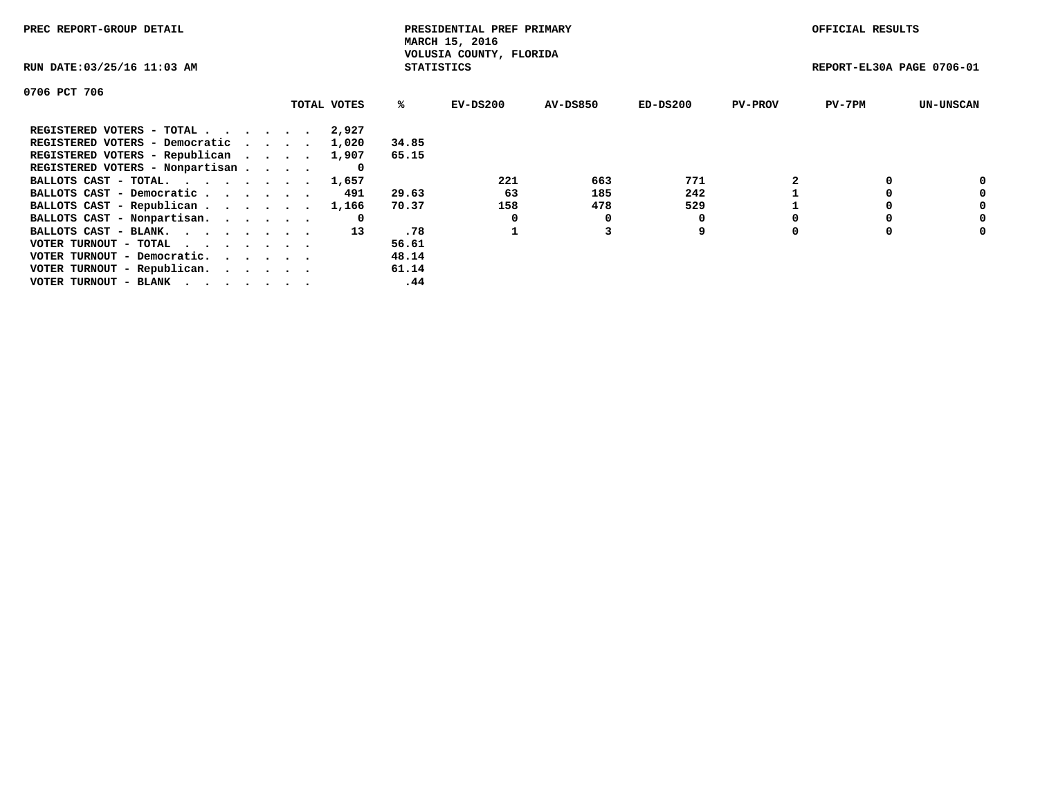| PREC REPORT-GROUP DETAIL                                    |             |                   | PRESIDENTIAL PREF PRIMARY<br>MARCH 15, 2016 |                 |            |                | OFFICIAL RESULTS          |                  |
|-------------------------------------------------------------|-------------|-------------------|---------------------------------------------|-----------------|------------|----------------|---------------------------|------------------|
| RUN DATE: 03/25/16 11:03 AM                                 |             | <b>STATISTICS</b> | VOLUSIA COUNTY, FLORIDA                     |                 |            |                | REPORT-EL30A PAGE 0706-01 |                  |
| 0706 PCT 706                                                |             |                   |                                             |                 |            |                |                           |                  |
|                                                             | TOTAL VOTES | ℁                 | $EV-DS200$                                  | <b>AV-DS850</b> | $ED-DS200$ | <b>PV-PROV</b> | $PV-7PM$                  | <b>UN-UNSCAN</b> |
| REGISTERED VOTERS - TOTAL                                   | 2,927       |                   |                                             |                 |            |                |                           |                  |
| REGISTERED VOTERS - Democratic                              | 1,020       | 34.85             |                                             |                 |            |                |                           |                  |
| REGISTERED VOTERS - Republican                              | 1,907       | 65.15             |                                             |                 |            |                |                           |                  |
| REGISTERED VOTERS - Nonpartisan                             |             |                   |                                             |                 |            |                |                           |                  |
| BALLOTS CAST - TOTAL.                                       | 1,657       |                   | 221                                         | 663             | 771        |                |                           | 0                |
| BALLOTS CAST - Democratic                                   | 491         | 29.63             | 63                                          | 185             | 242        |                |                           | 0                |
| BALLOTS CAST - Republican                                   | 1,166       | 70.37             | 158                                         | 478             | 529        |                |                           | 0                |
| BALLOTS CAST - Nonpartisan.                                 | 0           |                   |                                             | 0               |            |                |                           | 0                |
| BALLOTS CAST - BLANK.                                       | 13          | .78               |                                             |                 | 9          |                |                           | 0                |
| VOTER TURNOUT - TOTAL $\cdot \cdot \cdot \cdot \cdot \cdot$ |             | 56.61             |                                             |                 |            |                |                           |                  |
| VOTER TURNOUT - Democratic.                                 |             | 48.14             |                                             |                 |            |                |                           |                  |
| VOTER TURNOUT - Republican.                                 |             | 61.14             |                                             |                 |            |                |                           |                  |
| VOTER TURNOUT - BLANK                                       |             | .44               |                                             |                 |            |                |                           |                  |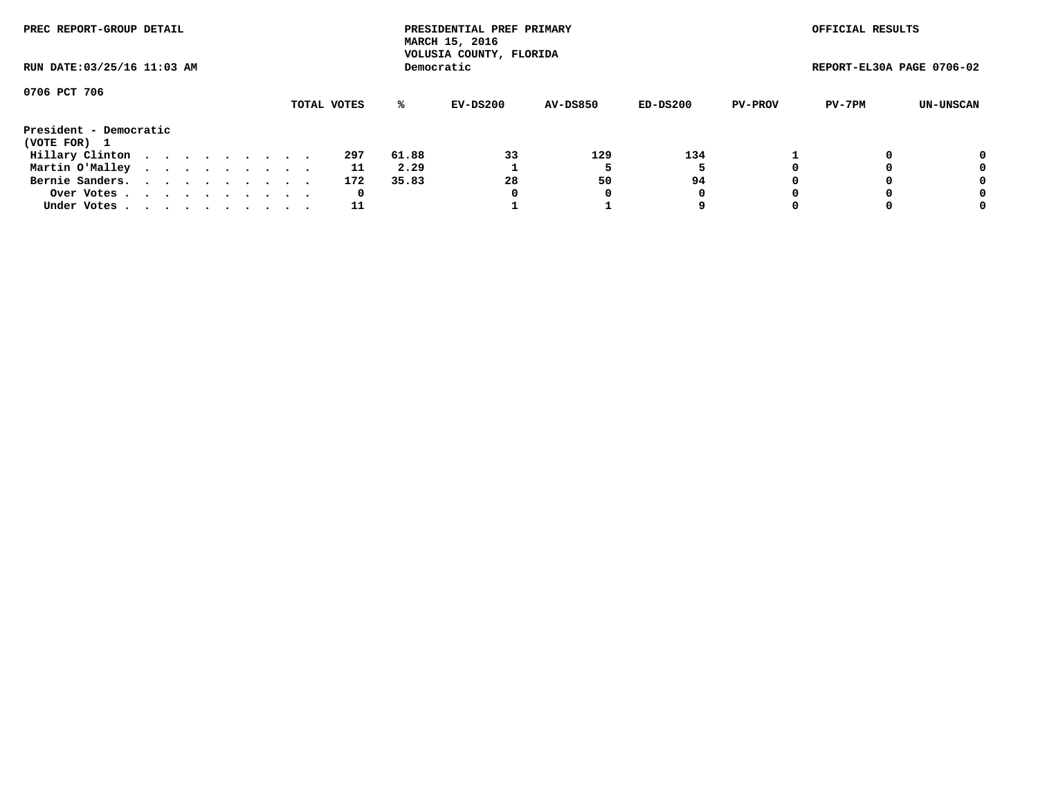| PREC REPORT-GROUP DETAIL<br>RUN DATE: 03/25/16 11:03 AM |  |  |  |  |  |  |  |  |     |       | PRESIDENTIAL PREF PRIMARY<br>MARCH 15, 2016<br>VOLUSIA COUNTY, FLORIDA |                 |          |                | OFFICIAL RESULTS          |           |
|---------------------------------------------------------|--|--|--|--|--|--|--|--|-----|-------|------------------------------------------------------------------------|-----------------|----------|----------------|---------------------------|-----------|
|                                                         |  |  |  |  |  |  |  |  |     |       | Democratic                                                             |                 |          |                | REPORT-EL30A PAGE 0706-02 |           |
| 0706 PCT 706<br>TOTAL VOTES                             |  |  |  |  |  |  |  |  |     | %ะ    | EV-DS200                                                               | <b>AV-DS850</b> | ED-DS200 | <b>PV-PROV</b> | PV-7PM                    | UN-UNSCAN |
| President - Democratic<br>(VOTE FOR) 1                  |  |  |  |  |  |  |  |  |     |       |                                                                        |                 |          |                |                           |           |
| Hillary Clinton                                         |  |  |  |  |  |  |  |  | 297 | 61.88 | 33                                                                     | 129             | 134      |                |                           | 0         |
| Martin O'Malley                                         |  |  |  |  |  |  |  |  | 11  | 2.29  |                                                                        |                 |          |                |                           | 0         |
| Bernie Sanders.                                         |  |  |  |  |  |  |  |  | 172 | 35.83 | 28                                                                     | 50              | 94       |                |                           | 0         |
| Over Votes                                              |  |  |  |  |  |  |  |  | 0   |       | 0                                                                      | 0               | 0        |                |                           | 0         |
| Under Votes.                                            |  |  |  |  |  |  |  |  | 11  |       |                                                                        |                 | 9        |                |                           | 0         |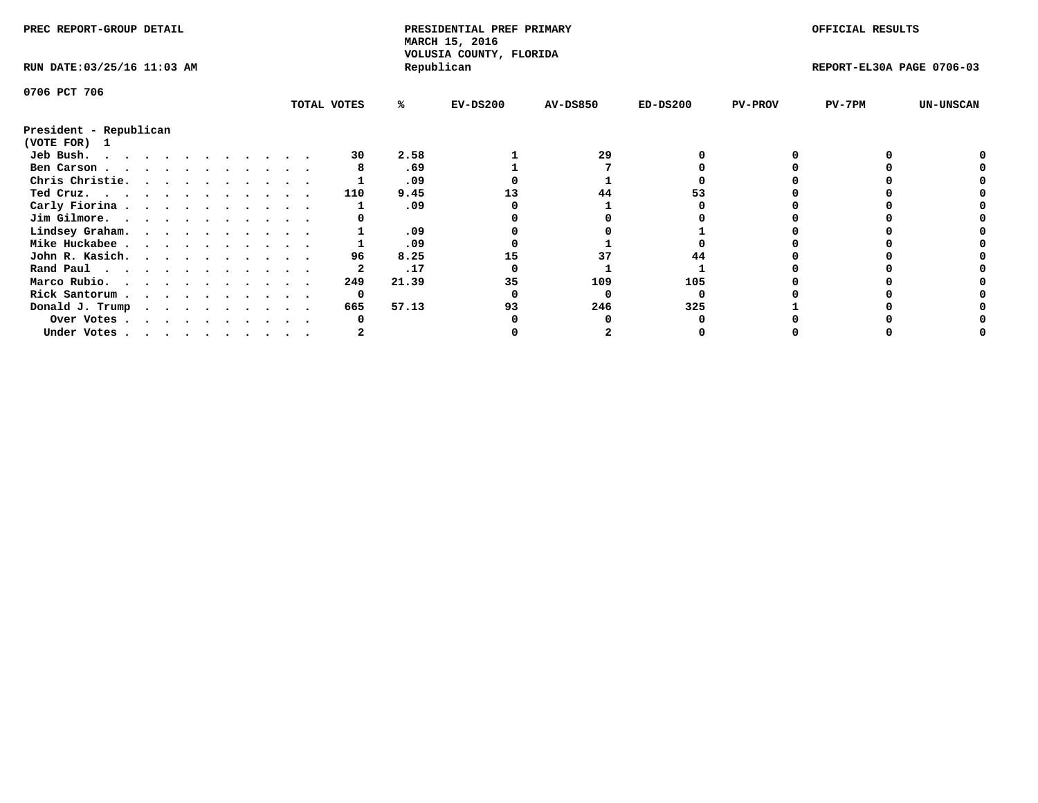| PREC REPORT-GROUP DETAIL    |  |  |  |  |  |  |   |             | PRESIDENTIAL PREF PRIMARY<br>MARCH 15, 2016<br>VOLUSIA COUNTY, FLORIDA |       |            |                 | OFFICIAL RESULTS |                |                           |                  |
|-----------------------------|--|--|--|--|--|--|---|-------------|------------------------------------------------------------------------|-------|------------|-----------------|------------------|----------------|---------------------------|------------------|
| RUN DATE: 03/25/16 11:03 AM |  |  |  |  |  |  |   |             |                                                                        |       | Republican |                 |                  |                | REPORT-EL30A PAGE 0706-03 |                  |
| 0706 PCT 706                |  |  |  |  |  |  |   |             |                                                                        |       |            |                 |                  |                |                           |                  |
|                             |  |  |  |  |  |  |   | TOTAL VOTES |                                                                        | %ะ    | $EV-DS200$ | <b>AV-DS850</b> | $ED-DS200$       | <b>PV-PROV</b> | PV-7PM                    | <b>UN-UNSCAN</b> |
| President - Republican      |  |  |  |  |  |  |   |             |                                                                        |       |            |                 |                  |                |                           |                  |
| (VOTE FOR) 1                |  |  |  |  |  |  |   |             |                                                                        |       |            |                 |                  |                |                           |                  |
| Jeb Bush.<br>.              |  |  |  |  |  |  |   |             | 30                                                                     | 2.58  |            | 29              |                  |                |                           |                  |
| Ben Carson                  |  |  |  |  |  |  |   |             |                                                                        | .69   |            |                 |                  |                |                           |                  |
| Chris Christie.             |  |  |  |  |  |  |   |             |                                                                        | .09   |            |                 |                  |                |                           |                  |
| Ted Cruz.                   |  |  |  |  |  |  |   |             | 110                                                                    | 9.45  |            | 44              | 53               |                |                           |                  |
| Carly Fiorina               |  |  |  |  |  |  |   |             |                                                                        | .09   |            |                 |                  |                |                           |                  |
| Jim Gilmore.                |  |  |  |  |  |  |   |             |                                                                        |       |            |                 |                  |                |                           |                  |
| Lindsey Graham.             |  |  |  |  |  |  |   |             |                                                                        | .09   |            |                 |                  |                |                           |                  |
| Mike Huckabee               |  |  |  |  |  |  |   |             |                                                                        | .09   |            |                 |                  |                |                           |                  |
| John R. Kasich.             |  |  |  |  |  |  |   |             | 96                                                                     | 8.25  | 15         | 37              |                  |                |                           |                  |
| Rand Paul                   |  |  |  |  |  |  |   |             |                                                                        | .17   |            |                 |                  |                |                           |                  |
| Marco Rubio.                |  |  |  |  |  |  |   |             | 249                                                                    | 21.39 | 35         | 109             | 105              |                |                           |                  |
| Rick Santorum               |  |  |  |  |  |  |   |             | 0                                                                      |       |            |                 |                  |                |                           |                  |
| Donald J. Trump             |  |  |  |  |  |  | . |             | 665                                                                    | 57.13 | 93         | 246             | 325              |                |                           |                  |
| Over Votes                  |  |  |  |  |  |  |   |             |                                                                        |       |            |                 |                  |                |                           |                  |
| Under Votes                 |  |  |  |  |  |  |   |             |                                                                        |       |            |                 |                  |                |                           |                  |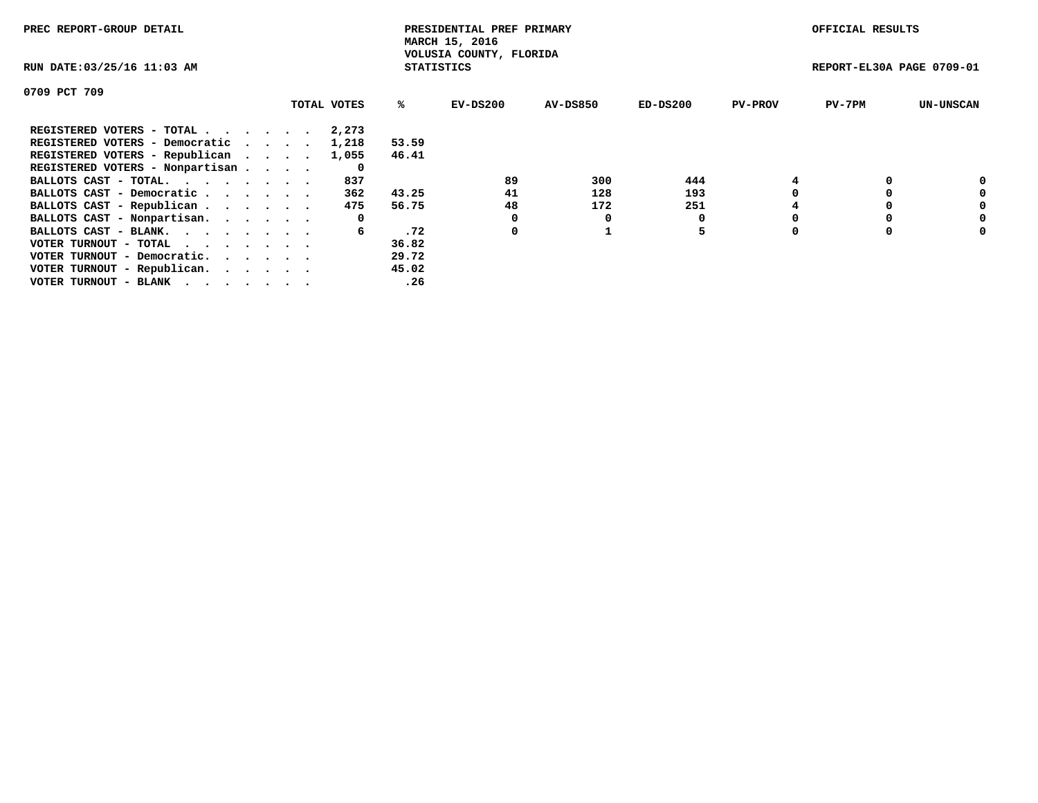| PREC REPORT-GROUP DETAIL                                    |             |                   | PRESIDENTIAL PREF PRIMARY<br>MARCH 15, 2016 |          |            |                | OFFICIAL RESULTS          |                  |
|-------------------------------------------------------------|-------------|-------------------|---------------------------------------------|----------|------------|----------------|---------------------------|------------------|
| RUN DATE: 03/25/16 11:03 AM                                 |             | <b>STATISTICS</b> | VOLUSIA COUNTY, FLORIDA                     |          |            |                | REPORT-EL30A PAGE 0709-01 |                  |
| 0709 PCT 709                                                |             |                   |                                             |          |            |                |                           |                  |
|                                                             | TOTAL VOTES | ℁                 | $EV-DS200$                                  | AV-DS850 | $ED-DS200$ | <b>PV-PROV</b> | $PV-7PM$                  | <b>UN-UNSCAN</b> |
| REGISTERED VOTERS - TOTAL                                   | 2,273       |                   |                                             |          |            |                |                           |                  |
| REGISTERED VOTERS - Democratic                              | 1,218       | 53.59             |                                             |          |            |                |                           |                  |
| REGISTERED VOTERS - Republican                              | 1,055       | 46.41             |                                             |          |            |                |                           |                  |
| REGISTERED VOTERS - Nonpartisan                             | 0           |                   |                                             |          |            |                |                           |                  |
| BALLOTS CAST - TOTAL.                                       | 837         |                   | 89                                          | 300      | 444        |                |                           | 0                |
| BALLOTS CAST - Democratic                                   | 362         | 43.25             | 41                                          | 128      | 193        |                |                           | 0                |
| BALLOTS CAST - Republican                                   | 475         | 56.75             | 48                                          | 172      | 251        |                |                           | 0                |
| BALLOTS CAST - Nonpartisan.                                 | 0           |                   |                                             | 0        |            |                |                           | 0                |
| BALLOTS CAST - BLANK.                                       | 6           | .72               | 0                                           |          | 5          |                |                           | 0                |
| VOTER TURNOUT - TOTAL $\cdot \cdot \cdot \cdot \cdot \cdot$ |             | 36.82             |                                             |          |            |                |                           |                  |
| VOTER TURNOUT - Democratic.                                 |             | 29.72             |                                             |          |            |                |                           |                  |
| VOTER TURNOUT - Republican.                                 |             | 45.02             |                                             |          |            |                |                           |                  |
| VOTER TURNOUT - BLANK                                       |             | .26               |                                             |          |            |                |                           |                  |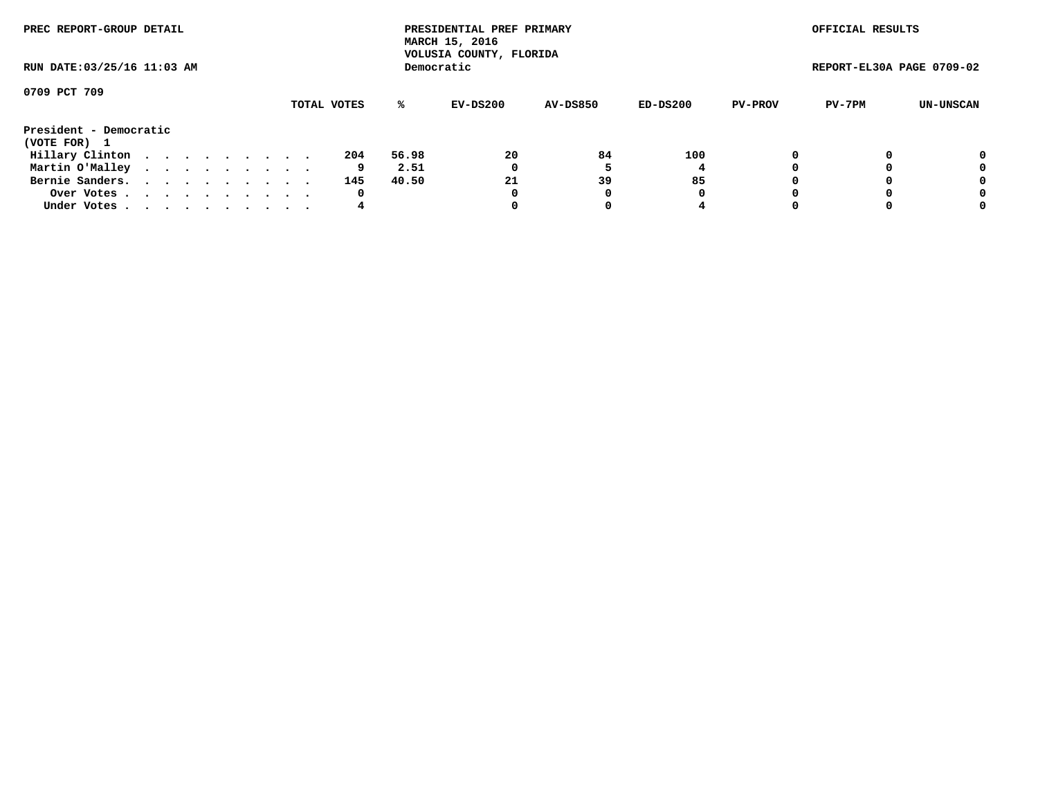| PREC REPORT-GROUP DETAIL<br>RUN DATE: 03/25/16 11:03 AM |  |  |  |  |  |  |  |  |             |       | PRESIDENTIAL PREF PRIMARY<br>MARCH 15, 2016<br>VOLUSIA COUNTY, FLORIDA |                 |          |                | OFFICIAL RESULTS          |                  |
|---------------------------------------------------------|--|--|--|--|--|--|--|--|-------------|-------|------------------------------------------------------------------------|-----------------|----------|----------------|---------------------------|------------------|
|                                                         |  |  |  |  |  |  |  |  |             |       | Democratic                                                             |                 |          |                | REPORT-EL30A PAGE 0709-02 |                  |
| 0709 PCT 709                                            |  |  |  |  |  |  |  |  |             |       |                                                                        |                 |          |                |                           |                  |
|                                                         |  |  |  |  |  |  |  |  | TOTAL VOTES | %ะ    | EV-DS200                                                               | <b>AV-DS850</b> | ED-DS200 | <b>PV-PROV</b> | PV-7PM                    | <b>UN-UNSCAN</b> |
| President - Democratic<br>(VOTE FOR) 1                  |  |  |  |  |  |  |  |  |             |       |                                                                        |                 |          |                |                           |                  |
| Hillary Clinton                                         |  |  |  |  |  |  |  |  | 204         | 56.98 | 20                                                                     | 84              | 100      |                |                           | 0                |
| Martin O'Malley                                         |  |  |  |  |  |  |  |  | 9           | 2.51  | 0                                                                      |                 |          |                |                           | 0                |
| Bernie Sanders.                                         |  |  |  |  |  |  |  |  | 145         | 40.50 | 21                                                                     | 39              | 85       |                |                           | 0                |
| Over Votes.                                             |  |  |  |  |  |  |  |  | 0           |       | 0                                                                      | 0               | 0        | $\Omega$       |                           | 0                |
| Under Votes                                             |  |  |  |  |  |  |  |  | 4           |       |                                                                        | 0               |          |                |                           | 0                |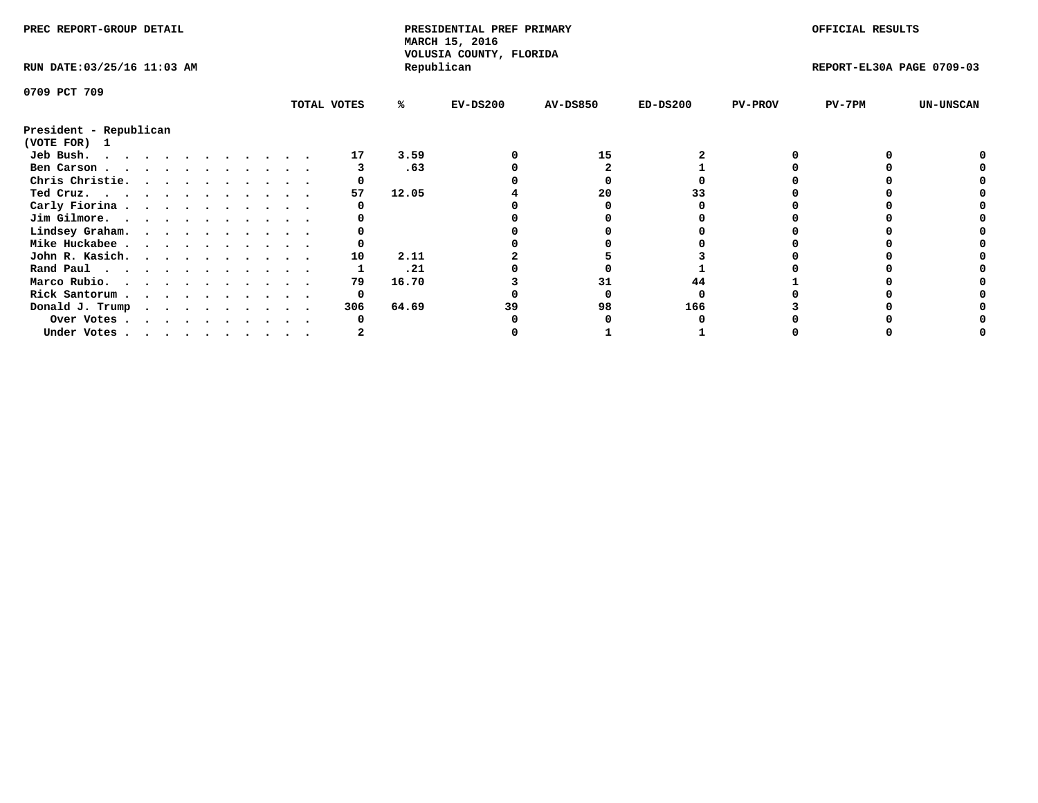| PREC REPORT-GROUP DETAIL               |  |  |  |  |  |  |  | PRESIDENTIAL PREF PRIMARY<br>MARCH 15, 2016<br>VOLUSIA COUNTY, FLORIDA |       |            |                 | OFFICIAL RESULTS |                |                           |                  |
|----------------------------------------|--|--|--|--|--|--|--|------------------------------------------------------------------------|-------|------------|-----------------|------------------|----------------|---------------------------|------------------|
| RUN DATE: 03/25/16 11:03 AM            |  |  |  |  |  |  |  |                                                                        |       | Republican |                 |                  |                | REPORT-EL30A PAGE 0709-03 |                  |
| 0709 PCT 709                           |  |  |  |  |  |  |  |                                                                        |       |            |                 |                  |                |                           |                  |
|                                        |  |  |  |  |  |  |  | TOTAL VOTES                                                            | %ะ    | $EV-DS200$ | <b>AV-DS850</b> | $ED-DS200$       | <b>PV-PROV</b> | PV-7PM                    | <b>UN-UNSCAN</b> |
| President - Republican<br>(VOTE FOR) 1 |  |  |  |  |  |  |  |                                                                        |       |            |                 |                  |                |                           |                  |
| Jeb Bush.                              |  |  |  |  |  |  |  | 17                                                                     | 3.59  |            | 15              |                  |                |                           |                  |
| Ben Carson                             |  |  |  |  |  |  |  |                                                                        | .63   |            |                 |                  |                |                           |                  |
| Chris Christie.                        |  |  |  |  |  |  |  |                                                                        |       |            |                 |                  |                |                           |                  |
| Ted Cruz.                              |  |  |  |  |  |  |  | 57                                                                     | 12.05 |            | 20              |                  |                |                           |                  |
| Carly Fiorina                          |  |  |  |  |  |  |  |                                                                        |       |            |                 |                  |                |                           |                  |
| Jim Gilmore.                           |  |  |  |  |  |  |  |                                                                        |       |            |                 |                  |                |                           |                  |
|                                        |  |  |  |  |  |  |  |                                                                        |       |            |                 |                  |                |                           |                  |
| Lindsey Graham.                        |  |  |  |  |  |  |  |                                                                        |       |            |                 |                  |                |                           |                  |
| Mike Huckabee                          |  |  |  |  |  |  |  |                                                                        |       |            |                 |                  |                |                           |                  |
| John R. Kasich.                        |  |  |  |  |  |  |  | 10                                                                     | 2.11  |            |                 |                  |                |                           |                  |
| Rand Paul                              |  |  |  |  |  |  |  |                                                                        | .21   |            |                 |                  |                |                           |                  |
| Marco Rubio.                           |  |  |  |  |  |  |  | 79                                                                     | 16.70 |            |                 |                  |                |                           |                  |
| Rick Santorum                          |  |  |  |  |  |  |  |                                                                        |       |            |                 |                  |                |                           |                  |
| Donald J. Trump                        |  |  |  |  |  |  |  | 306                                                                    | 64.69 |            | 98              | 166              |                |                           |                  |
| Over Votes                             |  |  |  |  |  |  |  |                                                                        |       |            |                 |                  |                |                           |                  |
| Under Votes                            |  |  |  |  |  |  |  |                                                                        |       |            |                 |                  |                |                           |                  |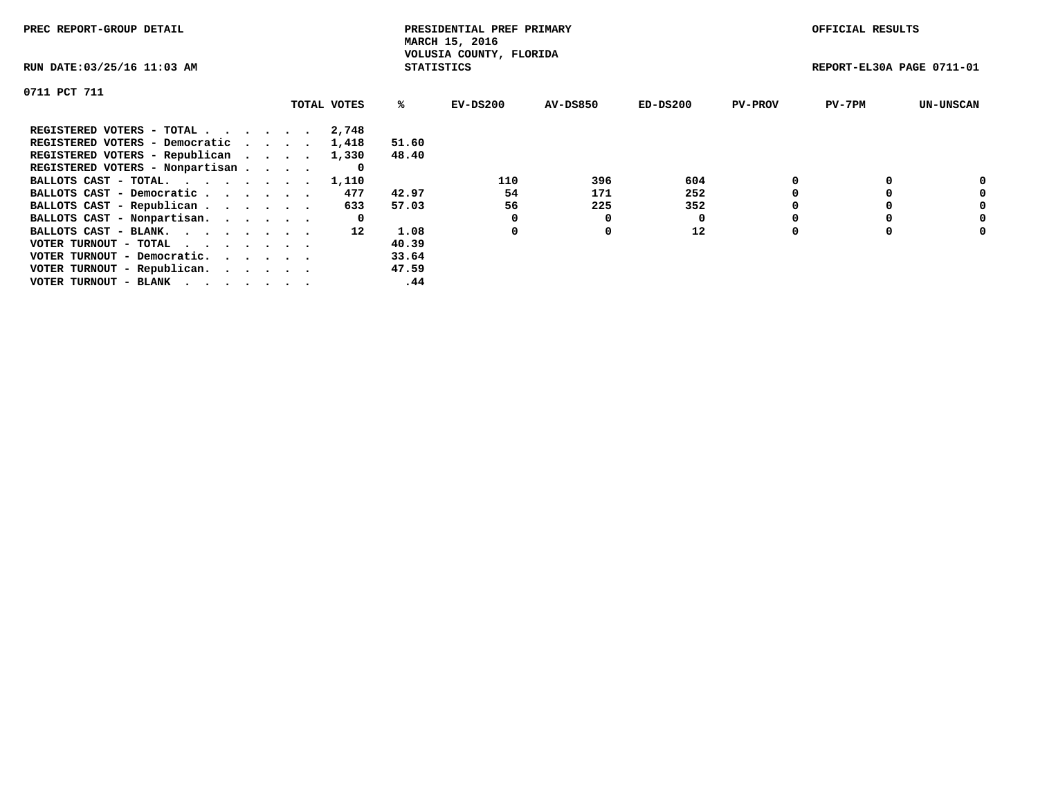| PREC REPORT-GROUP DETAIL                                    |             |                   | PRESIDENTIAL PREF PRIMARY<br>MARCH 15, 2016 |          |            |                | OFFICIAL RESULTS          |                  |
|-------------------------------------------------------------|-------------|-------------------|---------------------------------------------|----------|------------|----------------|---------------------------|------------------|
| RUN DATE: 03/25/16 11:03 AM                                 |             | <b>STATISTICS</b> | VOLUSIA COUNTY, FLORIDA                     |          |            |                | REPORT-EL30A PAGE 0711-01 |                  |
| 0711 PCT 711                                                |             |                   |                                             |          |            |                |                           |                  |
|                                                             | TOTAL VOTES | ℁                 | $EV-DS200$                                  | AV-DS850 | $ED-DS200$ | <b>PV-PROV</b> | $PV-7PM$                  | <b>UN-UNSCAN</b> |
| REGISTERED VOTERS - TOTAL                                   | 2,748       |                   |                                             |          |            |                |                           |                  |
| REGISTERED VOTERS - Democratic                              | 1,418       | 51.60             |                                             |          |            |                |                           |                  |
| REGISTERED VOTERS - Republican                              | 1,330       | 48.40             |                                             |          |            |                |                           |                  |
| REGISTERED VOTERS - Nonpartisan                             | 0           |                   |                                             |          |            |                |                           |                  |
| BALLOTS CAST - TOTAL.                                       | 1,110       |                   | 110                                         | 396      | 604        |                |                           | 0                |
| BALLOTS CAST - Democratic                                   | 477         | 42.97             | 54                                          | 171      | 252        |                |                           | 0                |
| BALLOTS CAST - Republican                                   | 633         | 57.03             | 56                                          | 225      | 352        |                |                           | 0                |
| BALLOTS CAST - Nonpartisan.                                 | 0           |                   |                                             | 0        |            |                |                           | 0                |
| BALLOTS CAST - BLANK.                                       | 12          | 1.08              | 0                                           | 0        | 12         |                |                           | 0                |
| VOTER TURNOUT - TOTAL $\cdot \cdot \cdot \cdot \cdot \cdot$ |             | 40.39             |                                             |          |            |                |                           |                  |
| VOTER TURNOUT - Democratic.                                 |             | 33.64             |                                             |          |            |                |                           |                  |
| VOTER TURNOUT - Republican.                                 |             | 47.59             |                                             |          |            |                |                           |                  |
| VOTER TURNOUT - BLANK                                       |             | .44               |                                             |          |            |                |                           |                  |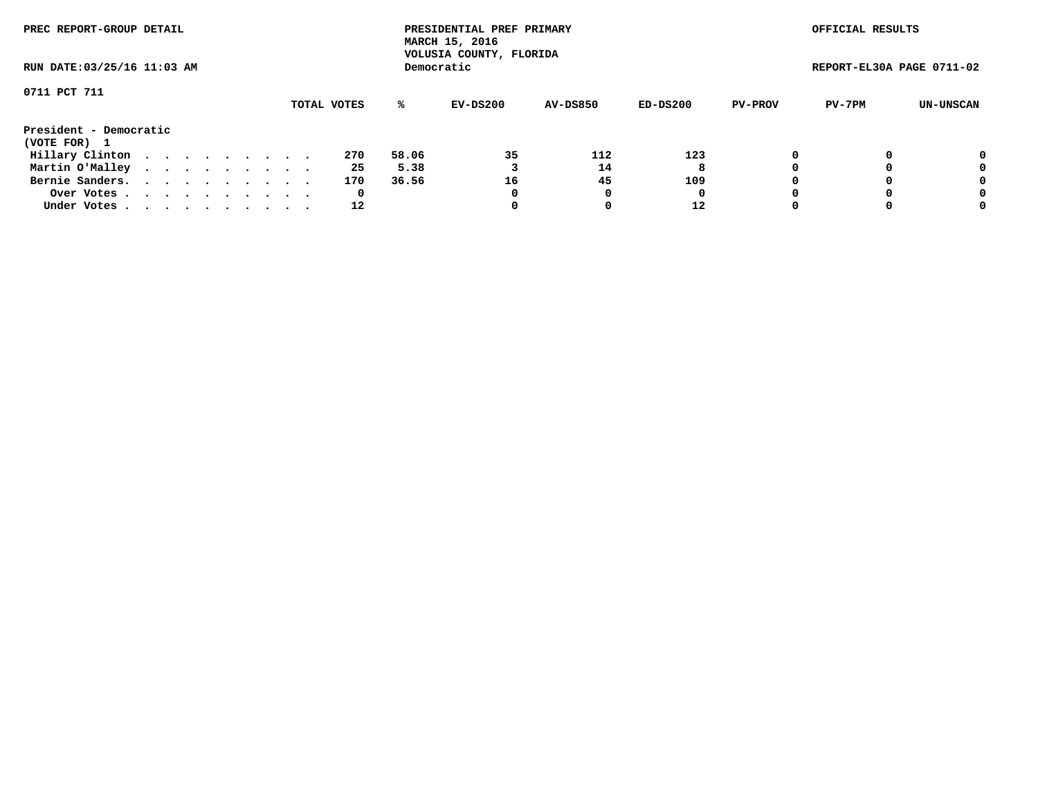| PREC REPORT-GROUP DETAIL<br>RUN DATE: 03/25/16 11:03 AM |  |  |  |  |  |  |  |  |             |       | PRESIDENTIAL PREF PRIMARY<br>MARCH 15, 2016<br>VOLUSIA COUNTY, FLORIDA |                 |          |                | OFFICIAL RESULTS          |           |
|---------------------------------------------------------|--|--|--|--|--|--|--|--|-------------|-------|------------------------------------------------------------------------|-----------------|----------|----------------|---------------------------|-----------|
|                                                         |  |  |  |  |  |  |  |  |             |       | Democratic                                                             |                 |          |                | REPORT-EL30A PAGE 0711-02 |           |
| 0711 PCT 711                                            |  |  |  |  |  |  |  |  | TOTAL VOTES | %ะ    | EV-DS200                                                               | <b>AV-DS850</b> | ED-DS200 | <b>PV-PROV</b> | PV-7PM                    | UN-UNSCAN |
| President - Democratic<br>(VOTE FOR) 1                  |  |  |  |  |  |  |  |  |             |       |                                                                        |                 |          |                |                           |           |
| Hillary Clinton                                         |  |  |  |  |  |  |  |  | 270         | 58.06 | 35                                                                     | 112             | 123      | 0              |                           | 0         |
| Martin O'Malley                                         |  |  |  |  |  |  |  |  | 25          | 5.38  |                                                                        | 14              | 8        |                |                           | 0         |
| Bernie Sanders.                                         |  |  |  |  |  |  |  |  | 170         | 36.56 | 16                                                                     | 45              | 109      |                |                           | 0         |
| Over Votes.                                             |  |  |  |  |  |  |  |  | 0           |       | 0                                                                      |                 | 0        |                |                           | 0         |
| Under Votes.                                            |  |  |  |  |  |  |  |  | 12          |       |                                                                        |                 | 12       |                |                           | 0         |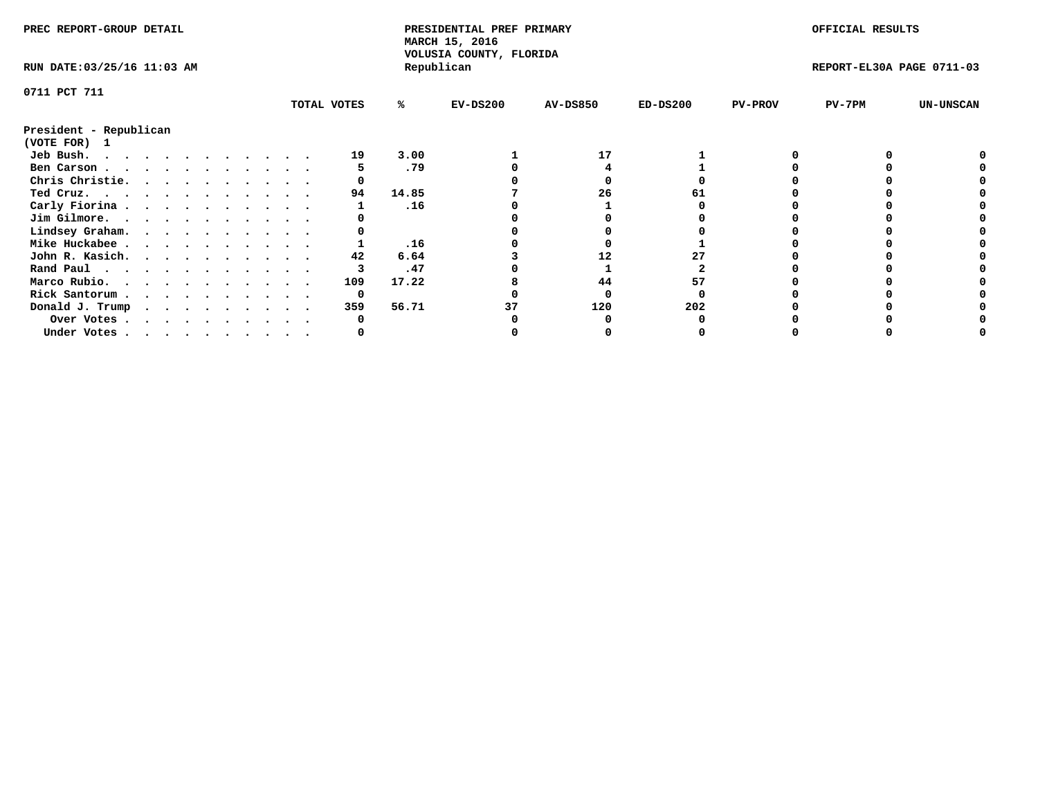| PREC REPORT-GROUP DETAIL    |  |  |  |  |  |  |  | PRESIDENTIAL PREF PRIMARY<br>MARCH 15, 2016<br>VOLUSIA COUNTY, FLORIDA |       |            |                 | OFFICIAL RESULTS |                |                           |                  |
|-----------------------------|--|--|--|--|--|--|--|------------------------------------------------------------------------|-------|------------|-----------------|------------------|----------------|---------------------------|------------------|
| RUN DATE: 03/25/16 11:03 AM |  |  |  |  |  |  |  |                                                                        |       | Republican |                 |                  |                | REPORT-EL30A PAGE 0711-03 |                  |
| 0711 PCT 711                |  |  |  |  |  |  |  |                                                                        |       |            |                 |                  |                |                           |                  |
|                             |  |  |  |  |  |  |  | TOTAL VOTES                                                            | %ะ    | $EV-DS200$ | <b>AV-DS850</b> | $ED-DS200$       | <b>PV-PROV</b> | $PV-7PM$                  | <b>UN-UNSCAN</b> |
| President - Republican      |  |  |  |  |  |  |  |                                                                        |       |            |                 |                  |                |                           |                  |
| (VOTE FOR) 1                |  |  |  |  |  |  |  |                                                                        |       |            |                 |                  |                |                           |                  |
| Jeb Bush.                   |  |  |  |  |  |  |  | 19                                                                     | 3.00  |            | 17              |                  |                |                           |                  |
| Ben Carson                  |  |  |  |  |  |  |  |                                                                        | .79   |            |                 |                  |                |                           |                  |
| Chris Christie.             |  |  |  |  |  |  |  |                                                                        |       |            |                 |                  |                |                           |                  |
| Ted Cruz.                   |  |  |  |  |  |  |  | 94                                                                     | 14.85 |            | 26              |                  |                |                           |                  |
| Carly Fiorina               |  |  |  |  |  |  |  |                                                                        | .16   |            |                 |                  |                |                           |                  |
| Jim Gilmore.                |  |  |  |  |  |  |  |                                                                        |       |            |                 |                  |                |                           |                  |
| Lindsey Graham.             |  |  |  |  |  |  |  |                                                                        |       |            |                 |                  |                |                           |                  |
| Mike Huckabee               |  |  |  |  |  |  |  |                                                                        | .16   |            |                 |                  |                |                           |                  |
| John R. Kasich.             |  |  |  |  |  |  |  | 42                                                                     | 6.64  |            | 12              |                  |                |                           |                  |
| Rand Paul                   |  |  |  |  |  |  |  |                                                                        | .47   |            |                 |                  |                |                           |                  |
| Marco Rubio.                |  |  |  |  |  |  |  | 109                                                                    | 17.22 |            | 44              | 57               |                |                           |                  |
| Rick Santorum               |  |  |  |  |  |  |  | 0                                                                      |       |            |                 |                  |                |                           |                  |
| Donald J. Trump             |  |  |  |  |  |  |  | 359                                                                    | 56.71 |            | 120             | 202              |                |                           |                  |
| Over Votes                  |  |  |  |  |  |  |  |                                                                        |       |            |                 |                  |                |                           |                  |
| Under Votes                 |  |  |  |  |  |  |  |                                                                        |       |            |                 |                  |                |                           |                  |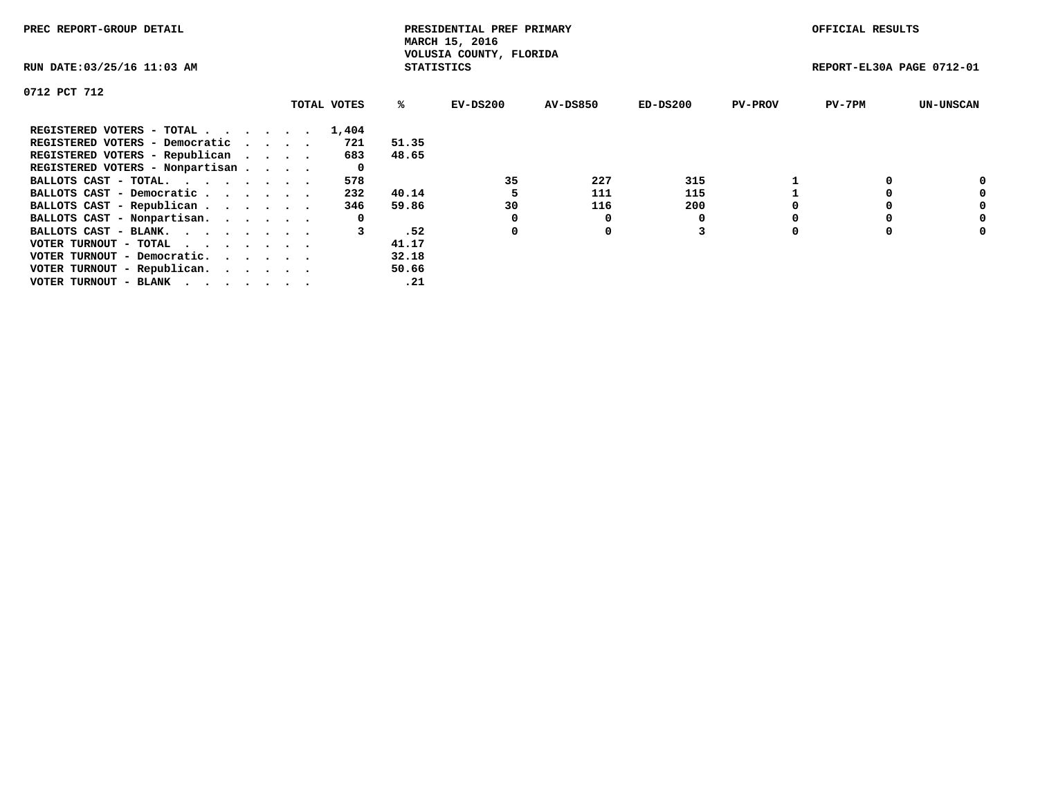| PREC REPORT-GROUP DETAIL        |  |             |                   | PRESIDENTIAL PREF PRIMARY<br>MARCH 15, 2016 |          |            |                | OFFICIAL RESULTS          |                  |
|---------------------------------|--|-------------|-------------------|---------------------------------------------|----------|------------|----------------|---------------------------|------------------|
| RUN DATE: 03/25/16 11:03 AM     |  |             | <b>STATISTICS</b> | VOLUSIA COUNTY, FLORIDA                     |          |            |                | REPORT-EL30A PAGE 0712-01 |                  |
| 0712 PCT 712                    |  |             |                   |                                             |          |            |                |                           |                  |
|                                 |  | TOTAL VOTES | %ร                | EV-DS200                                    | AV-DS850 | $ED-DS200$ | <b>PV-PROV</b> | $PV-7PM$                  | <b>UN-UNSCAN</b> |
| REGISTERED VOTERS - TOTAL       |  | 1,404       |                   |                                             |          |            |                |                           |                  |
| REGISTERED VOTERS - Democratic  |  | 721         | 51.35             |                                             |          |            |                |                           |                  |
| REGISTERED VOTERS - Republican  |  | 683         | 48.65             |                                             |          |            |                |                           |                  |
| REGISTERED VOTERS - Nonpartisan |  |             |                   |                                             |          |            |                |                           |                  |
| BALLOTS CAST - TOTAL.           |  | 578         |                   | 35                                          | 227      | 315        |                |                           |                  |
| BALLOTS CAST - Democratic       |  | 232         | 40.14             |                                             | 111      | 115        |                |                           | 0                |
| BALLOTS CAST - Republican       |  | 346         | 59.86             | 30                                          | 116      | 200        |                |                           | 0                |
| BALLOTS CAST - Nonpartisan.     |  | 0           |                   |                                             | O        |            |                |                           | 0                |
| BALLOTS CAST - BLANK.           |  |             | .52               | 0                                           | 0        |            |                |                           | 0                |
| VOTER TURNOUT - TOTAL           |  |             | 41.17             |                                             |          |            |                |                           |                  |
| VOTER TURNOUT - Democratic.     |  |             | 32.18             |                                             |          |            |                |                           |                  |
| VOTER TURNOUT - Republican.     |  |             | 50.66             |                                             |          |            |                |                           |                  |
| VOTER TURNOUT - BLANK           |  |             | .21               |                                             |          |            |                |                           |                  |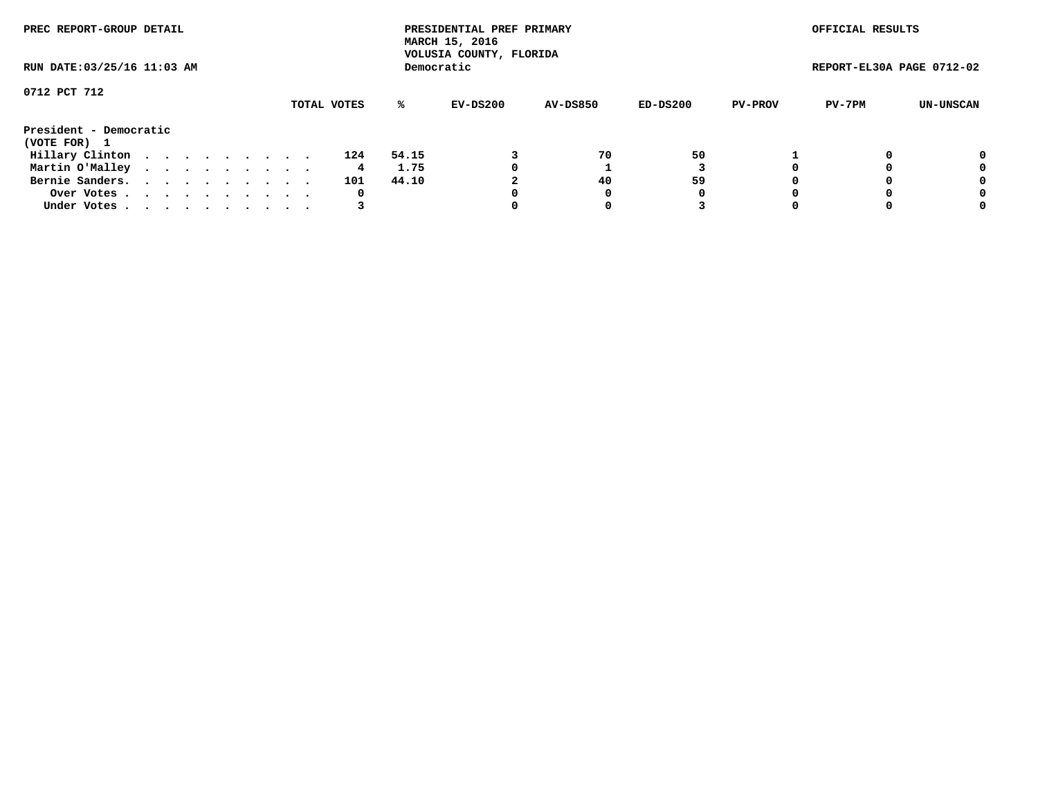| PREC REPORT-GROUP DETAIL<br>RUN DATE: 03/25/16 11:03 AM |  |  |  |  |  |  |  |  |             |       | PRESIDENTIAL PREF PRIMARY<br>MARCH 15, 2016<br>VOLUSIA COUNTY, FLORIDA |                 |          |                | OFFICIAL RESULTS          |                  |
|---------------------------------------------------------|--|--|--|--|--|--|--|--|-------------|-------|------------------------------------------------------------------------|-----------------|----------|----------------|---------------------------|------------------|
|                                                         |  |  |  |  |  |  |  |  |             |       | Democratic                                                             |                 |          |                | REPORT-EL30A PAGE 0712-02 |                  |
| 0712 PCT 712                                            |  |  |  |  |  |  |  |  | TOTAL VOTES | ℁     | EV-DS200                                                               | <b>AV-DS850</b> | ED-DS200 | <b>PV-PROV</b> | PV-7PM                    | <b>UN-UNSCAN</b> |
|                                                         |  |  |  |  |  |  |  |  |             |       |                                                                        |                 |          |                |                           |                  |
| President - Democratic                                  |  |  |  |  |  |  |  |  |             |       |                                                                        |                 |          |                |                           |                  |
| (VOTE FOR) 1                                            |  |  |  |  |  |  |  |  |             |       |                                                                        |                 |          |                |                           |                  |
| Hillary Clinton                                         |  |  |  |  |  |  |  |  | 124         | 54.15 |                                                                        | 70              | 50       |                |                           | 0                |
| Martin O'Malley                                         |  |  |  |  |  |  |  |  | 4           | 1.75  | 0                                                                      |                 |          |                |                           | 0                |
| Bernie Sanders.                                         |  |  |  |  |  |  |  |  | 101         | 44.10 |                                                                        | 40              | 59       |                |                           | 0                |
| Over Votes                                              |  |  |  |  |  |  |  |  | 0           |       | 0                                                                      | 0               | O        |                |                           | 0                |
| Under Votes.                                            |  |  |  |  |  |  |  |  |             |       |                                                                        | 0               |          |                |                           | 0                |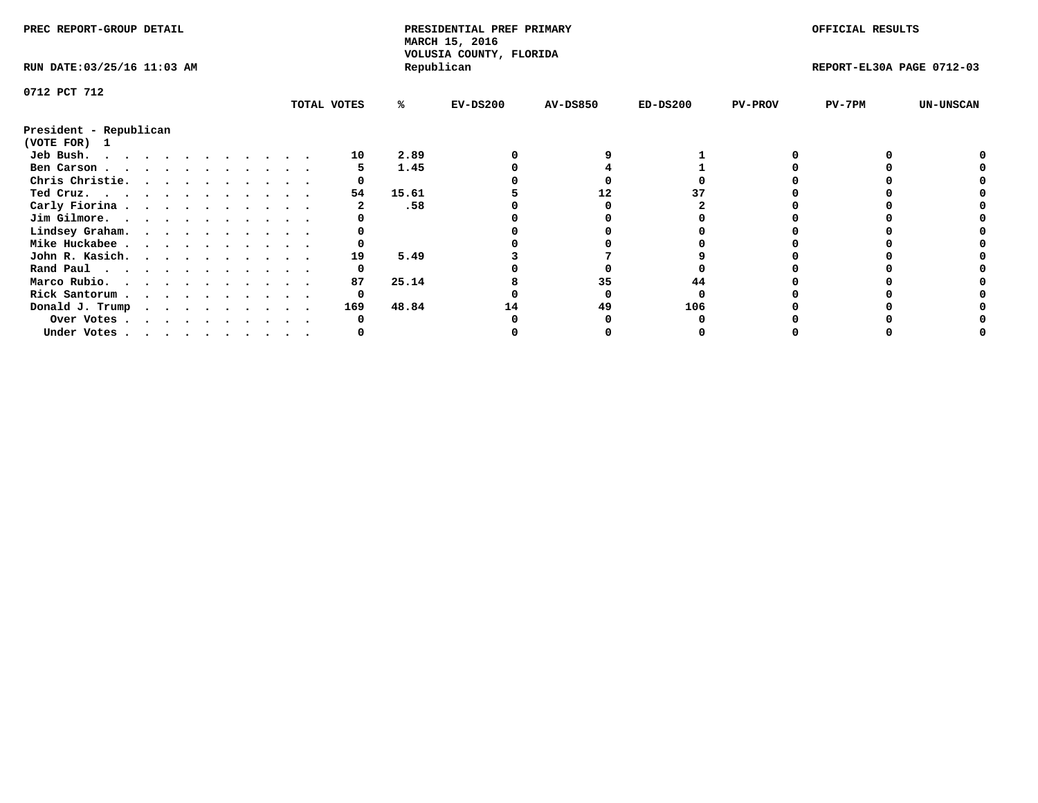| PREC REPORT-GROUP DETAIL                            |  |  |  |  |  |  |  | PRESIDENTIAL PREF PRIMARY<br>MARCH 15, 2016<br>VOLUSIA COUNTY, FLORIDA |       |            |                 | OFFICIAL RESULTS |                |                           |                  |
|-----------------------------------------------------|--|--|--|--|--|--|--|------------------------------------------------------------------------|-------|------------|-----------------|------------------|----------------|---------------------------|------------------|
| RUN DATE: 03/25/16 11:03 AM                         |  |  |  |  |  |  |  |                                                                        |       | Republican |                 |                  |                | REPORT-EL30A PAGE 0712-03 |                  |
| 0712 PCT 712                                        |  |  |  |  |  |  |  |                                                                        |       |            |                 |                  |                |                           |                  |
|                                                     |  |  |  |  |  |  |  | TOTAL VOTES                                                            | ℁     | $EV-DS200$ | <b>AV-DS850</b> | $ED-DS200$       | <b>PV-PROV</b> | $PV-7PM$                  | <b>UN-UNSCAN</b> |
| President - Republican<br>(VOTE FOR) 1              |  |  |  |  |  |  |  |                                                                        |       |            |                 |                  |                |                           |                  |
| Jeb Bush.                                           |  |  |  |  |  |  |  | 10                                                                     | 2.89  |            |                 |                  |                |                           |                  |
| Ben Carson                                          |  |  |  |  |  |  |  |                                                                        | 1.45  |            |                 |                  |                |                           |                  |
| Chris Christie.                                     |  |  |  |  |  |  |  |                                                                        |       |            |                 |                  |                |                           |                  |
| Ted Cruz.                                           |  |  |  |  |  |  |  | 54                                                                     | 15.61 |            | 12              |                  |                |                           |                  |
| Carly Fiorina                                       |  |  |  |  |  |  |  |                                                                        | .58   |            |                 |                  |                |                           |                  |
| Jim Gilmore.                                        |  |  |  |  |  |  |  |                                                                        |       |            |                 |                  |                |                           |                  |
| Lindsey Graham.                                     |  |  |  |  |  |  |  |                                                                        |       |            |                 |                  |                |                           |                  |
| Mike Huckabee                                       |  |  |  |  |  |  |  |                                                                        |       |            |                 |                  |                |                           |                  |
| John R. Kasich.                                     |  |  |  |  |  |  |  | 19                                                                     | 5.49  |            |                 |                  |                |                           |                  |
| Rand Paul                                           |  |  |  |  |  |  |  |                                                                        |       |            |                 |                  |                |                           |                  |
| Marco Rubio.                                        |  |  |  |  |  |  |  | 87                                                                     | 25.14 |            | 35              |                  |                |                           |                  |
|                                                     |  |  |  |  |  |  |  |                                                                        |       |            |                 |                  |                |                           |                  |
| Rick Santorum                                       |  |  |  |  |  |  |  | 0                                                                      |       |            |                 |                  |                |                           |                  |
| Donald J. Trump $\cdots$ $\cdots$ $\cdots$ $\cdots$ |  |  |  |  |  |  |  | 169                                                                    | 48.84 | 14         | 49              | 106              |                |                           |                  |
| Over Votes                                          |  |  |  |  |  |  |  |                                                                        |       |            |                 |                  |                |                           |                  |
| Under Votes                                         |  |  |  |  |  |  |  |                                                                        |       |            |                 |                  |                |                           |                  |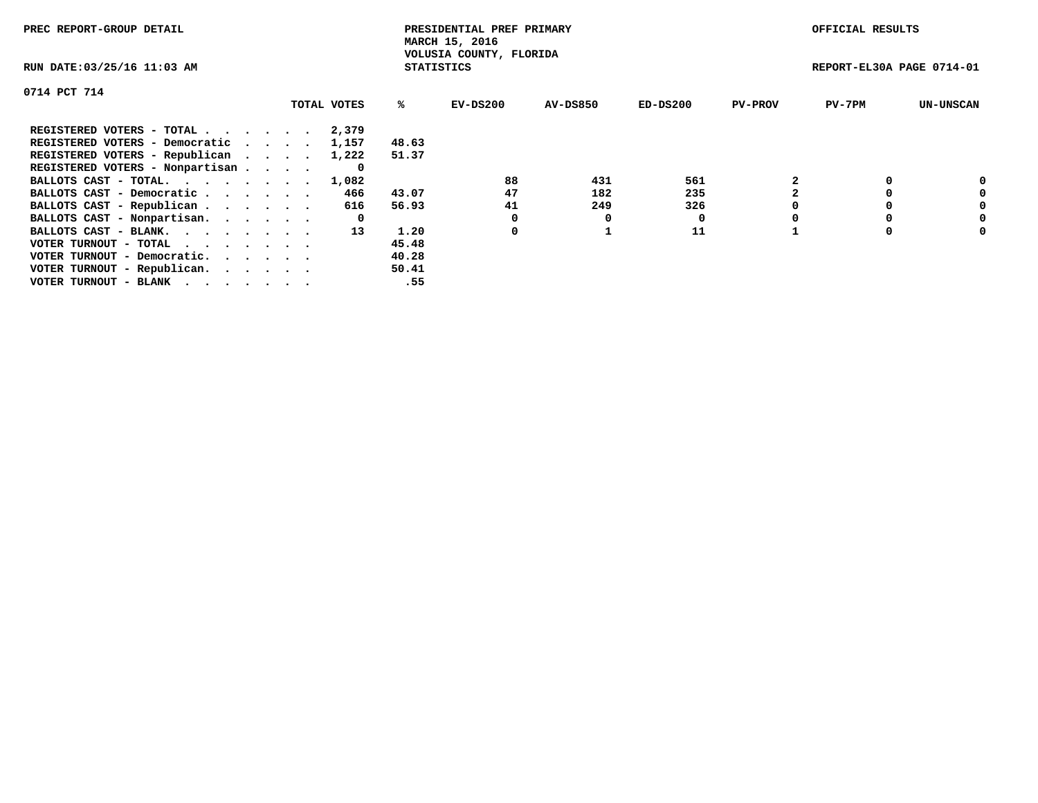| PREC REPORT-GROUP DETAIL                                    |             |                   | PRESIDENTIAL PREF PRIMARY<br>MARCH 15, 2016 |          |            |                | OFFICIAL RESULTS          |                  |
|-------------------------------------------------------------|-------------|-------------------|---------------------------------------------|----------|------------|----------------|---------------------------|------------------|
| RUN DATE: 03/25/16 11:03 AM                                 |             | <b>STATISTICS</b> | VOLUSIA COUNTY, FLORIDA                     |          |            |                | REPORT-EL30A PAGE 0714-01 |                  |
| 0714 PCT 714                                                |             |                   |                                             |          |            |                |                           |                  |
|                                                             | TOTAL VOTES | ℁                 | $EV-DS200$                                  | AV-DS850 | $ED-DS200$ | <b>PV-PROV</b> | $PV-7PM$                  | <b>UN-UNSCAN</b> |
| REGISTERED VOTERS - TOTAL                                   | 2,379       |                   |                                             |          |            |                |                           |                  |
| REGISTERED VOTERS - Democratic                              | 1,157       | 48.63             |                                             |          |            |                |                           |                  |
| REGISTERED VOTERS - Republican                              | 1,222       | 51.37             |                                             |          |            |                |                           |                  |
| REGISTERED VOTERS - Nonpartisan                             | O           |                   |                                             |          |            |                |                           |                  |
| BALLOTS CAST - TOTAL.                                       | 1,082       |                   | 88                                          | 431      | 561        |                |                           | 0                |
| BALLOTS CAST - Democratic                                   | 466         | 43.07             | 47                                          | 182      | 235        |                |                           | 0                |
| BALLOTS CAST - Republican                                   | 616         | 56.93             | 41                                          | 249      | 326        |                |                           | 0                |
| BALLOTS CAST - Nonpartisan.                                 | 0           |                   |                                             | 0        |            |                |                           | 0                |
| BALLOTS CAST - BLANK.                                       | 13          | 1.20              | 0                                           |          | 11         |                |                           | 0                |
| VOTER TURNOUT - TOTAL $\cdot \cdot \cdot \cdot \cdot \cdot$ |             | 45.48             |                                             |          |            |                |                           |                  |
| VOTER TURNOUT - Democratic.                                 |             | 40.28             |                                             |          |            |                |                           |                  |
| VOTER TURNOUT - Republican.                                 |             | 50.41             |                                             |          |            |                |                           |                  |
| VOTER TURNOUT - BLANK                                       |             | .55               |                                             |          |            |                |                           |                  |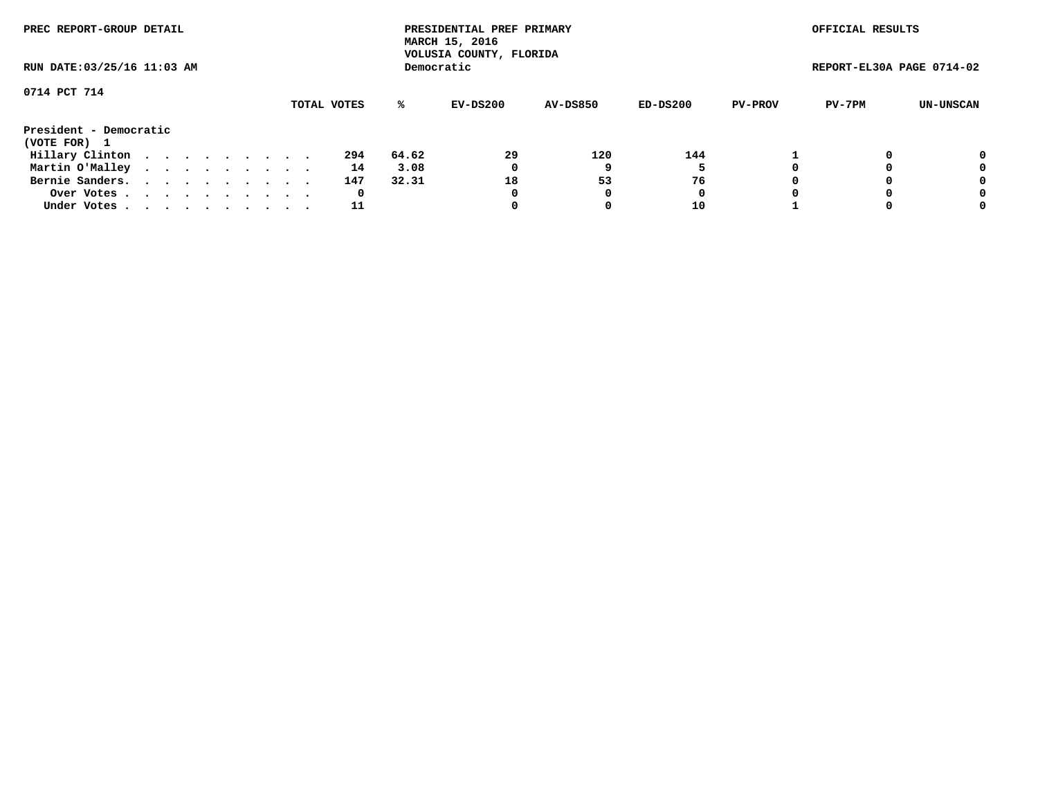| PREC REPORT-GROUP DETAIL<br>RUN DATE: 03/25/16 11:03 AM |  |  |  |  |  |  |  |  |             | PRESIDENTIAL PREF PRIMARY<br>MARCH 15, 2016<br>VOLUSIA COUNTY, FLORIDA |            |                 |          | OFFICIAL RESULTS |                           |           |
|---------------------------------------------------------|--|--|--|--|--|--|--|--|-------------|------------------------------------------------------------------------|------------|-----------------|----------|------------------|---------------------------|-----------|
|                                                         |  |  |  |  |  |  |  |  |             |                                                                        | Democratic |                 |          |                  | REPORT-EL30A PAGE 0714-02 |           |
| 0714 PCT 714                                            |  |  |  |  |  |  |  |  | TOTAL VOTES | ℁                                                                      | EV-DS200   | <b>AV-DS850</b> | ED-DS200 | <b>PV-PROV</b>   | PV-7PM                    | UN-UNSCAN |
| President - Democratic<br>(VOTE FOR) 1                  |  |  |  |  |  |  |  |  |             |                                                                        |            |                 |          |                  |                           |           |
| Hillary Clinton                                         |  |  |  |  |  |  |  |  | 294         | 64.62                                                                  | 29         | 120             | 144      |                  |                           | 0         |
| Martin O'Malley                                         |  |  |  |  |  |  |  |  | 14          | 3.08                                                                   | 0          |                 |          |                  |                           | 0         |
| Bernie Sanders.                                         |  |  |  |  |  |  |  |  | 147         | 32.31                                                                  | 18         | 53              | 76       |                  |                           | 0         |
| Over Votes.                                             |  |  |  |  |  |  |  |  | 0           |                                                                        | 0          |                 | 0        |                  |                           | 0         |
| Under Votes.                                            |  |  |  |  |  |  |  |  | 11          |                                                                        |            |                 | 10       |                  |                           | 0         |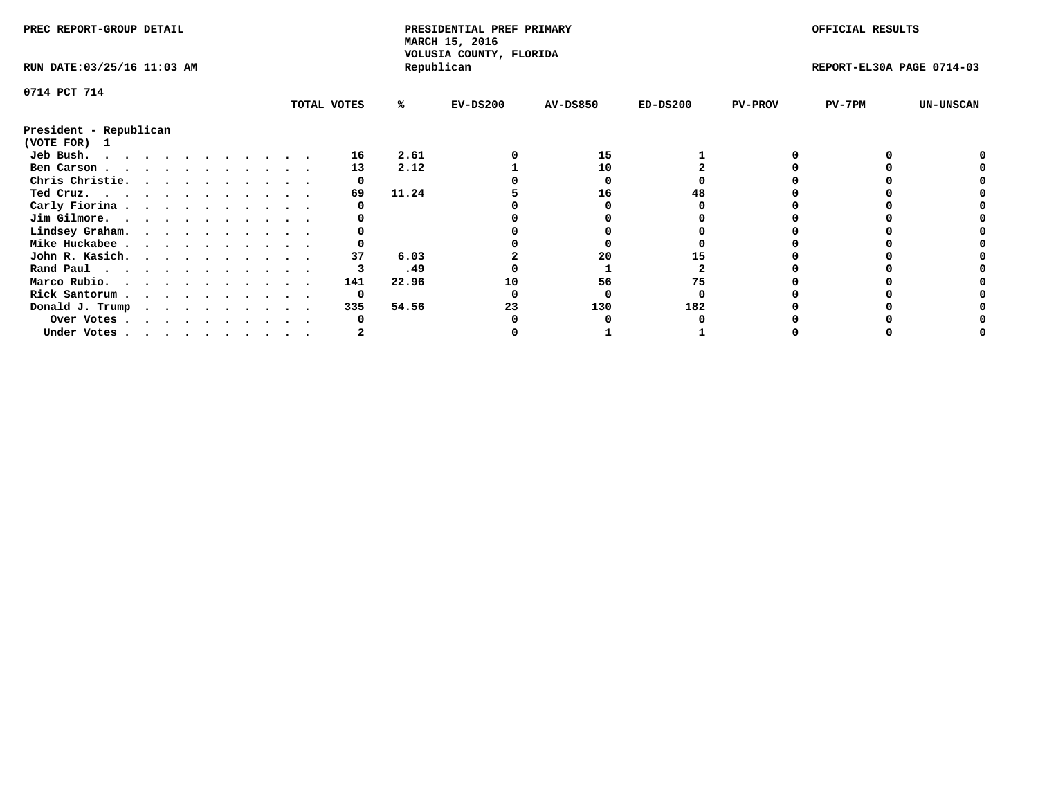| PREC REPORT-GROUP DETAIL    |  |  |  |  |  |  |  |             | PRESIDENTIAL PREF PRIMARY<br>MARCH 15, 2016<br>VOLUSIA COUNTY, FLORIDA |            |                 |            | OFFICIAL RESULTS |                           |                  |
|-----------------------------|--|--|--|--|--|--|--|-------------|------------------------------------------------------------------------|------------|-----------------|------------|------------------|---------------------------|------------------|
| RUN DATE: 03/25/16 11:03 AM |  |  |  |  |  |  |  |             |                                                                        | Republican |                 |            |                  | REPORT-EL30A PAGE 0714-03 |                  |
| 0714 PCT 714                |  |  |  |  |  |  |  |             |                                                                        |            |                 |            |                  |                           |                  |
|                             |  |  |  |  |  |  |  | TOTAL VOTES | %ะ                                                                     | $EV-DS200$ | <b>AV-DS850</b> | $ED-DS200$ | <b>PV-PROV</b>   | $PV-7PM$                  | <b>UN-UNSCAN</b> |
| President - Republican      |  |  |  |  |  |  |  |             |                                                                        |            |                 |            |                  |                           |                  |
| (VOTE FOR) 1                |  |  |  |  |  |  |  |             |                                                                        |            |                 |            |                  |                           |                  |
| Jeb Bush.                   |  |  |  |  |  |  |  | 16          | 2.61                                                                   |            | 15              |            |                  |                           |                  |
| Ben Carson                  |  |  |  |  |  |  |  | 13          | 2.12                                                                   |            | 10              |            |                  |                           |                  |
| Chris Christie.             |  |  |  |  |  |  |  |             |                                                                        |            |                 |            |                  |                           |                  |
| Ted Cruz.                   |  |  |  |  |  |  |  | 69          | 11.24                                                                  |            | 16              |            |                  |                           |                  |
| Carly Fiorina               |  |  |  |  |  |  |  |             |                                                                        |            |                 |            |                  |                           |                  |
| Jim Gilmore.                |  |  |  |  |  |  |  |             |                                                                        |            |                 |            |                  |                           |                  |
| Lindsey Graham.             |  |  |  |  |  |  |  |             |                                                                        |            |                 |            |                  |                           |                  |
| Mike Huckabee               |  |  |  |  |  |  |  |             |                                                                        |            |                 |            |                  |                           |                  |
| John R. Kasich.             |  |  |  |  |  |  |  | 37          | 6.03                                                                   |            | 20              |            |                  |                           |                  |
| Rand Paul                   |  |  |  |  |  |  |  |             | .49                                                                    |            |                 |            |                  |                           |                  |
| Marco Rubio.                |  |  |  |  |  |  |  | 141         | 22.96                                                                  | 10         | 56              | 75         |                  |                           |                  |
| Rick Santorum               |  |  |  |  |  |  |  | 0           |                                                                        |            |                 |            |                  |                           |                  |
|                             |  |  |  |  |  |  |  | 335         | 54.56                                                                  | 23         | 130             | 182        |                  |                           |                  |
| Donald J. Trump             |  |  |  |  |  |  |  |             |                                                                        |            |                 |            |                  |                           |                  |
| Over Votes                  |  |  |  |  |  |  |  |             |                                                                        |            |                 |            |                  |                           |                  |
| Under Votes                 |  |  |  |  |  |  |  |             |                                                                        |            |                 |            |                  |                           |                  |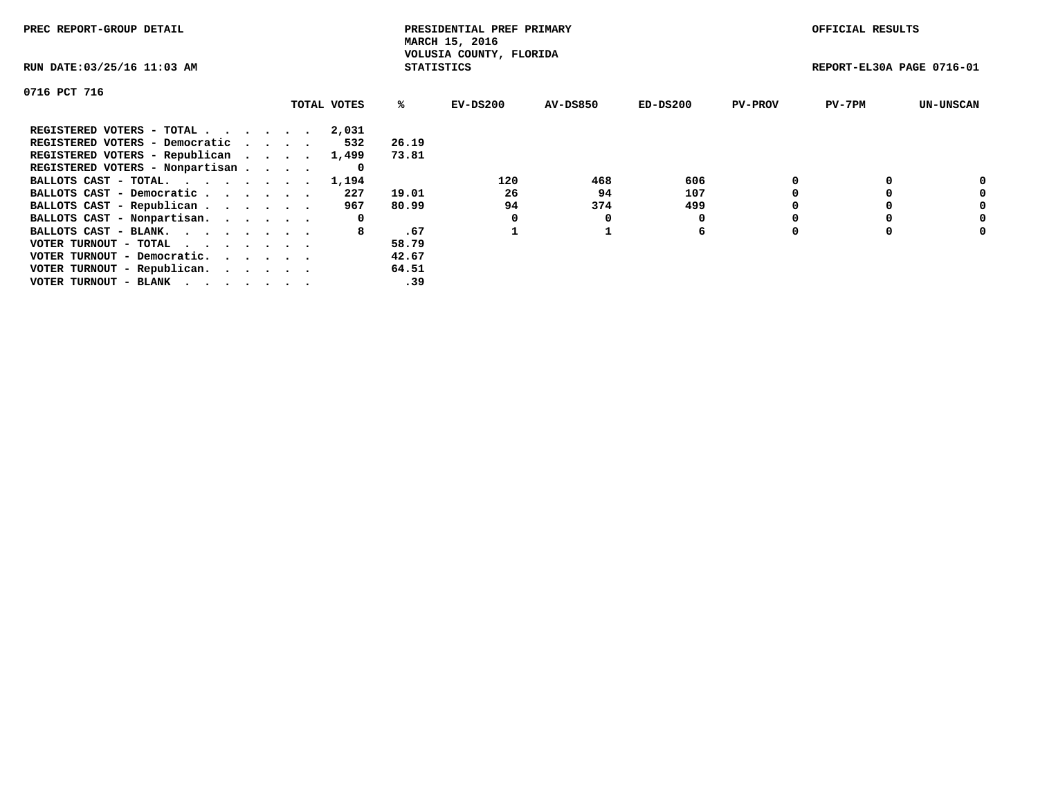| PREC REPORT-GROUP DETAIL        |             |                   | PRESIDENTIAL PREF PRIMARY<br>MARCH 15, 2016 |          |            |                | OFFICIAL RESULTS          |                  |
|---------------------------------|-------------|-------------------|---------------------------------------------|----------|------------|----------------|---------------------------|------------------|
| RUN DATE: 03/25/16 11:03 AM     |             | <b>STATISTICS</b> | VOLUSIA COUNTY, FLORIDA                     |          |            |                | REPORT-EL30A PAGE 0716-01 |                  |
| 0716 PCT 716                    |             |                   |                                             |          |            |                |                           |                  |
|                                 | TOTAL VOTES | ℁                 | EV-DS200                                    | AV-DS850 | $ED-DS200$ | <b>PV-PROV</b> | $PV-7PM$                  | <b>UN-UNSCAN</b> |
| REGISTERED VOTERS - TOTAL       | 2,031       |                   |                                             |          |            |                |                           |                  |
| REGISTERED VOTERS - Democratic  | 532         | 26.19             |                                             |          |            |                |                           |                  |
| REGISTERED VOTERS - Republican  | 1,499       | 73.81             |                                             |          |            |                |                           |                  |
| REGISTERED VOTERS - Nonpartisan | 0           |                   |                                             |          |            |                |                           |                  |
| BALLOTS CAST - TOTAL.           | 1,194       |                   | 120                                         | 468      | 606        |                |                           | 0                |
| BALLOTS CAST - Democratic       | 227         | 19.01             | 26                                          | 94       | 107        |                |                           | 0                |
| BALLOTS CAST - Republican       | 967         | 80.99             | 94                                          | 374      | 499        |                |                           | 0                |
| BALLOTS CAST - Nonpartisan.     | 0           |                   | 0                                           | 0        |            |                |                           | 0                |
| BALLOTS CAST - BLANK.           | 8           | .67               |                                             |          | 6          |                |                           | 0                |
| VOTER TURNOUT - TOTAL           |             | 58.79             |                                             |          |            |                |                           |                  |
| VOTER TURNOUT - Democratic.     |             | 42.67             |                                             |          |            |                |                           |                  |
| VOTER TURNOUT - Republican.     |             | 64.51             |                                             |          |            |                |                           |                  |
| VOTER TURNOUT - BLANK           |             | .39               |                                             |          |            |                |                           |                  |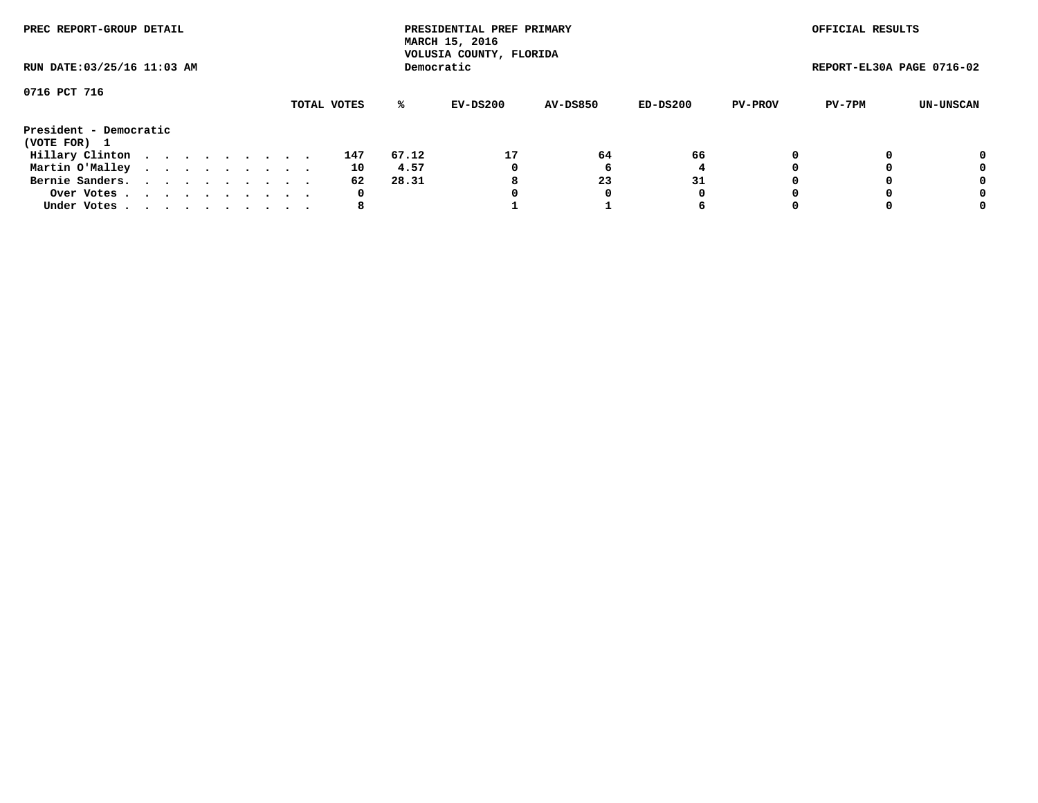| PREC REPORT-GROUP DETAIL<br>RUN DATE: 03/25/16 11:03 AM |  |  |  |  |  |  |  |  |             |       | PRESIDENTIAL PREF PRIMARY<br>MARCH 15, 2016<br>VOLUSIA COUNTY, FLORIDA |                 |          |                | OFFICIAL RESULTS          |           |
|---------------------------------------------------------|--|--|--|--|--|--|--|--|-------------|-------|------------------------------------------------------------------------|-----------------|----------|----------------|---------------------------|-----------|
|                                                         |  |  |  |  |  |  |  |  |             |       | Democratic                                                             |                 |          |                | REPORT-EL30A PAGE 0716-02 |           |
| 0716 PCT 716                                            |  |  |  |  |  |  |  |  | TOTAL VOTES | %ะ    | EV-DS200                                                               | <b>AV-DS850</b> | ED-DS200 | <b>PV-PROV</b> | PV-7PM                    | UN-UNSCAN |
| President - Democratic                                  |  |  |  |  |  |  |  |  |             |       |                                                                        |                 |          |                |                           |           |
| (VOTE FOR) 1                                            |  |  |  |  |  |  |  |  |             |       |                                                                        |                 |          |                |                           |           |
| Hillary Clinton                                         |  |  |  |  |  |  |  |  | 147         | 67.12 | 17                                                                     | 64              | 66       |                |                           | 0         |
| Martin O'Malley                                         |  |  |  |  |  |  |  |  | 10          | 4.57  | 0                                                                      |                 |          |                |                           | 0         |
| Bernie Sanders.                                         |  |  |  |  |  |  |  |  | 62          | 28.31 | 8                                                                      | 23              | 31       |                |                           | 0         |
| Over Votes                                              |  |  |  |  |  |  |  |  | 0           |       |                                                                        | 0               | 0        |                |                           | 0         |
| Under Votes.                                            |  |  |  |  |  |  |  |  | 8           |       |                                                                        |                 | 6        |                |                           | 0         |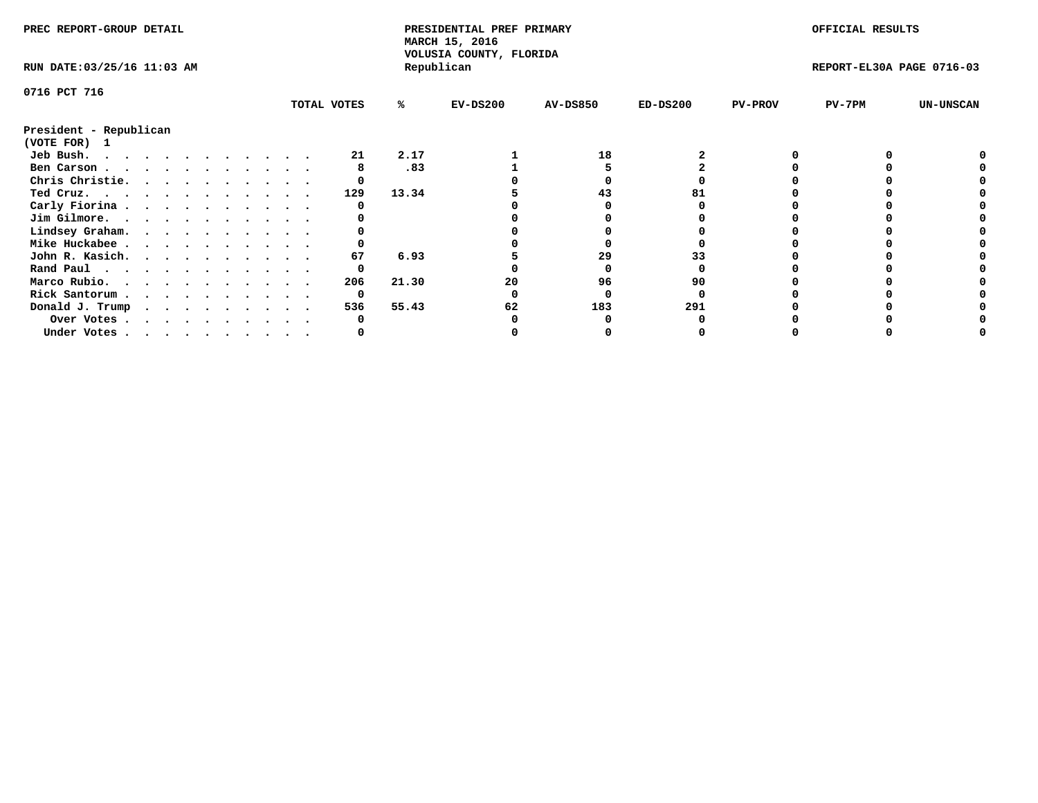| PREC REPORT-GROUP DETAIL               |  |  |  |  |  |  |  |             | PRESIDENTIAL PREF PRIMARY<br>MARCH 15, 2016<br>VOLUSIA COUNTY, FLORIDA |            |                 |            | OFFICIAL RESULTS |                           |                  |
|----------------------------------------|--|--|--|--|--|--|--|-------------|------------------------------------------------------------------------|------------|-----------------|------------|------------------|---------------------------|------------------|
| RUN DATE: 03/25/16 11:03 AM            |  |  |  |  |  |  |  |             |                                                                        | Republican |                 |            |                  | REPORT-EL30A PAGE 0716-03 |                  |
| 0716 PCT 716                           |  |  |  |  |  |  |  |             |                                                                        |            |                 |            |                  |                           |                  |
|                                        |  |  |  |  |  |  |  | TOTAL VOTES | %ะ                                                                     | $EV-DS200$ | <b>AV-DS850</b> | $ED-DS200$ | <b>PV-PROV</b>   | PV-7PM                    | <b>UN-UNSCAN</b> |
| President - Republican<br>(VOTE FOR) 1 |  |  |  |  |  |  |  |             |                                                                        |            |                 |            |                  |                           |                  |
| Jeb Bush.<br>.                         |  |  |  |  |  |  |  | 21          | 2.17                                                                   |            | 18              |            |                  |                           |                  |
| Ben Carson                             |  |  |  |  |  |  |  |             | .83                                                                    |            |                 |            |                  |                           |                  |
| Chris Christie.                        |  |  |  |  |  |  |  |             |                                                                        |            |                 |            |                  |                           |                  |
| Ted Cruz.                              |  |  |  |  |  |  |  | 129         | 13.34                                                                  |            | 43              |            |                  |                           |                  |
| Carly Fiorina                          |  |  |  |  |  |  |  |             |                                                                        |            |                 |            |                  |                           |                  |
| Jim Gilmore.                           |  |  |  |  |  |  |  |             |                                                                        |            |                 |            |                  |                           |                  |
| Lindsey Graham.                        |  |  |  |  |  |  |  |             |                                                                        |            |                 |            |                  |                           |                  |
| Mike Huckabee                          |  |  |  |  |  |  |  |             |                                                                        |            |                 |            |                  |                           |                  |
| John R. Kasich.                        |  |  |  |  |  |  |  | 67          | 6.93                                                                   |            | 29              |            |                  |                           |                  |
| Rand Paul                              |  |  |  |  |  |  |  | 0           |                                                                        |            |                 |            |                  |                           |                  |
|                                        |  |  |  |  |  |  |  | 206         | 21.30                                                                  | 20         | 96              | 90         |                  |                           |                  |
| Marco Rubio.                           |  |  |  |  |  |  |  |             |                                                                        |            |                 |            |                  |                           |                  |
| Rick Santorum                          |  |  |  |  |  |  |  | 0           |                                                                        |            |                 |            |                  |                           |                  |
| Donald J. Trump                        |  |  |  |  |  |  |  | 536         | 55.43                                                                  | 62         | 183             | 291        |                  |                           |                  |
| Over Votes                             |  |  |  |  |  |  |  |             |                                                                        |            |                 |            |                  |                           |                  |
| Under Votes                            |  |  |  |  |  |  |  |             |                                                                        |            |                 |            |                  |                           |                  |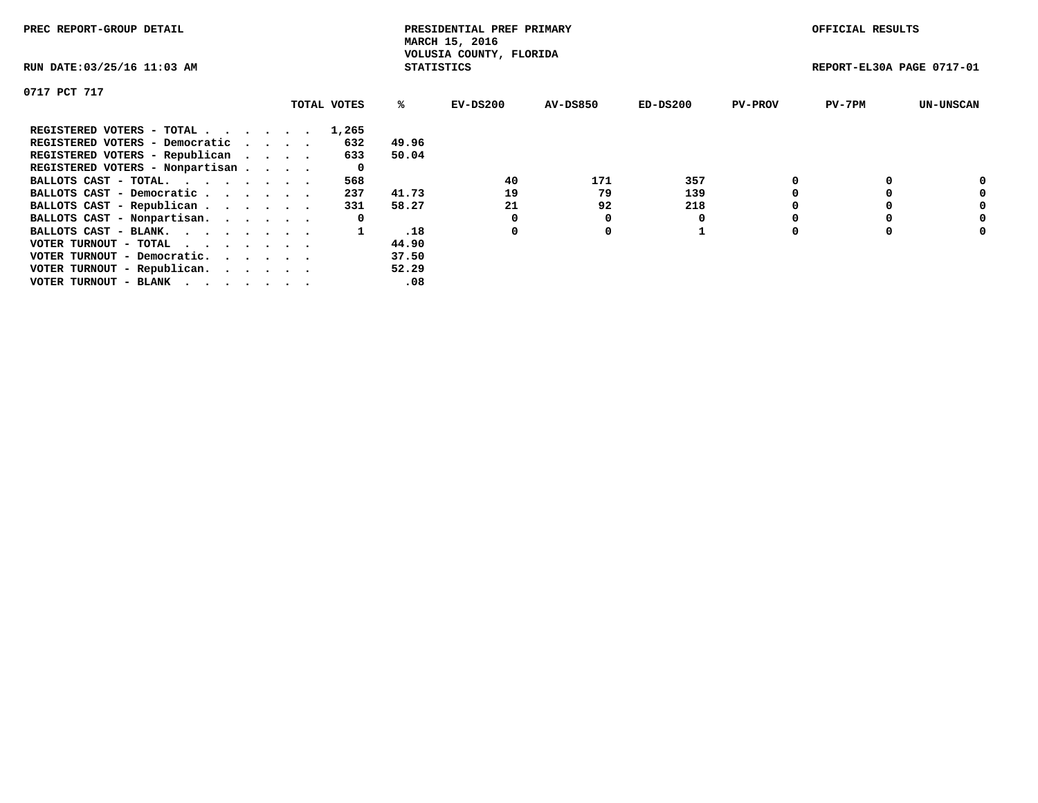| PREC REPORT-GROUP DETAIL        |  |             |                   | PRESIDENTIAL PREF PRIMARY<br>MARCH 15, 2016 |          |            |                | OFFICIAL RESULTS          |                  |
|---------------------------------|--|-------------|-------------------|---------------------------------------------|----------|------------|----------------|---------------------------|------------------|
| RUN DATE: 03/25/16 11:03 AM     |  |             | <b>STATISTICS</b> | VOLUSIA COUNTY, FLORIDA                     |          |            |                | REPORT-EL30A PAGE 0717-01 |                  |
| 0717 PCT 717                    |  |             |                   |                                             |          |            |                |                           |                  |
|                                 |  | TOTAL VOTES | %ร                | EV-DS200                                    | AV-DS850 | $ED-DS200$ | <b>PV-PROV</b> | $PV-7PM$                  | <b>UN-UNSCAN</b> |
| REGISTERED VOTERS - TOTAL       |  | 1,265       |                   |                                             |          |            |                |                           |                  |
| REGISTERED VOTERS - Democratic  |  | 632         | 49.96             |                                             |          |            |                |                           |                  |
| REGISTERED VOTERS - Republican  |  | 633         | 50.04             |                                             |          |            |                |                           |                  |
| REGISTERED VOTERS - Nonpartisan |  |             |                   |                                             |          |            |                |                           |                  |
| BALLOTS CAST - TOTAL.           |  | 568         |                   | 40                                          | 171      | 357        |                |                           | 0                |
| BALLOTS CAST - Democratic       |  | 237         | 41.73             | 19                                          | 79       | 139        |                |                           | 0                |
| BALLOTS CAST - Republican       |  | 331         | 58.27             | 21                                          | 92       | 218        |                |                           | 0                |
| BALLOTS CAST - Nonpartisan.     |  | 0           |                   | 0                                           | 0        |            |                |                           | 0                |
| BALLOTS CAST - BLANK.           |  |             | .18               | 0                                           | 0        |            | $\Omega$       |                           | 0                |
| VOTER TURNOUT - TOTAL           |  |             | 44.90             |                                             |          |            |                |                           |                  |
| VOTER TURNOUT - Democratic.     |  |             | 37.50             |                                             |          |            |                |                           |                  |
| VOTER TURNOUT - Republican.     |  |             | 52.29             |                                             |          |            |                |                           |                  |
| VOTER TURNOUT - BLANK           |  |             | .08               |                                             |          |            |                |                           |                  |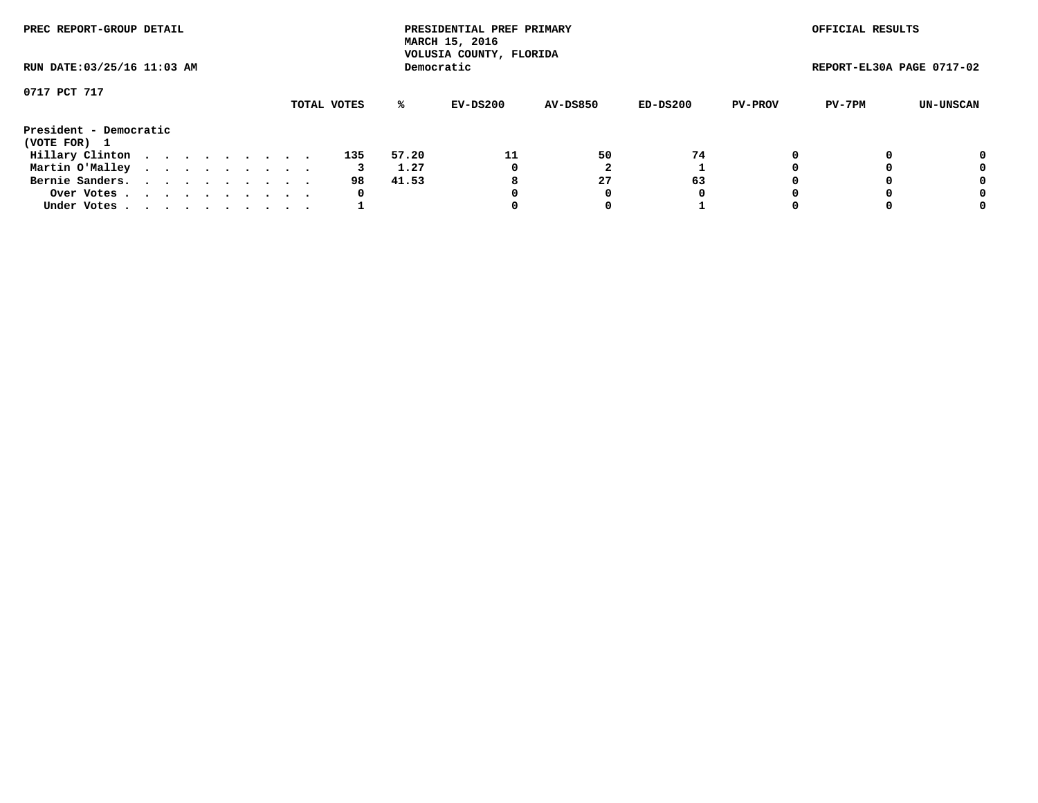| PREC REPORT-GROUP DETAIL<br>RUN DATE: 03/25/16 11:03 AM |  |  |  |  |  |  |  |  |             |       | PRESIDENTIAL PREF PRIMARY<br>MARCH 15, 2016<br>VOLUSIA COUNTY, FLORIDA |                 |          |                | OFFICIAL RESULTS          |                  |
|---------------------------------------------------------|--|--|--|--|--|--|--|--|-------------|-------|------------------------------------------------------------------------|-----------------|----------|----------------|---------------------------|------------------|
|                                                         |  |  |  |  |  |  |  |  |             |       | Democratic                                                             |                 |          |                | REPORT-EL30A PAGE 0717-02 |                  |
| 0717 PCT 717                                            |  |  |  |  |  |  |  |  |             |       |                                                                        |                 |          |                |                           |                  |
|                                                         |  |  |  |  |  |  |  |  | TOTAL VOTES | ℁     | EV-DS200                                                               | <b>AV-DS850</b> | ED-DS200 | <b>PV-PROV</b> | PV-7PM                    | <b>UN-UNSCAN</b> |
| President - Democratic<br>(VOTE FOR) 1                  |  |  |  |  |  |  |  |  |             |       |                                                                        |                 |          |                |                           |                  |
| Hillary Clinton                                         |  |  |  |  |  |  |  |  | 135         | 57.20 | 11                                                                     | 50              | 74       | 0              |                           | 0                |
| Martin O'Malley                                         |  |  |  |  |  |  |  |  |             | 1.27  | 0                                                                      |                 |          |                |                           | 0                |
| Bernie Sanders.                                         |  |  |  |  |  |  |  |  | 98          | 41.53 | 8                                                                      | 27              | 63       |                |                           | 0                |
| Over Votes                                              |  |  |  |  |  |  |  |  | 0           |       | 0                                                                      | 0               | O        |                |                           | 0                |
| Under Votes.                                            |  |  |  |  |  |  |  |  |             |       |                                                                        | 0               |          |                |                           | 0                |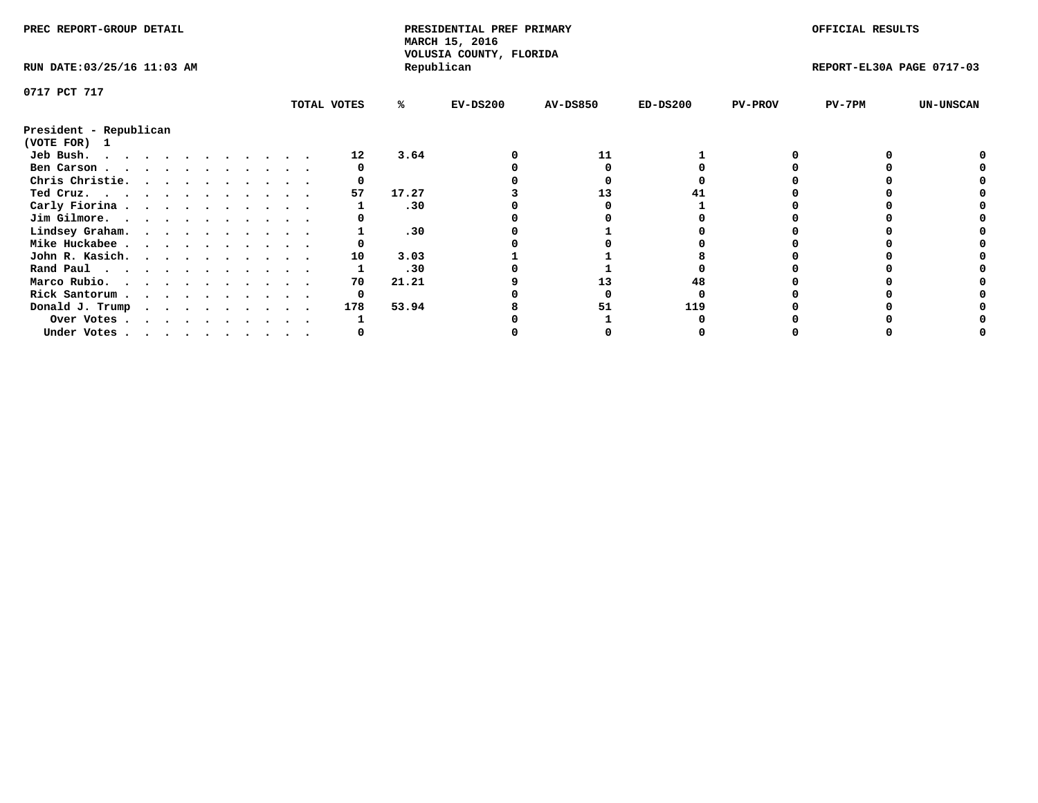| PREC REPORT-GROUP DETAIL                            |  |  |  |  |  |  |  |             | PRESIDENTIAL PREF PRIMARY<br>MARCH 15, 2016<br>VOLUSIA COUNTY, FLORIDA |            |                 |            | OFFICIAL RESULTS |                           |                  |
|-----------------------------------------------------|--|--|--|--|--|--|--|-------------|------------------------------------------------------------------------|------------|-----------------|------------|------------------|---------------------------|------------------|
| RUN DATE: 03/25/16 11:03 AM                         |  |  |  |  |  |  |  |             |                                                                        | Republican |                 |            |                  | REPORT-EL30A PAGE 0717-03 |                  |
| 0717 PCT 717                                        |  |  |  |  |  |  |  |             |                                                                        |            |                 |            |                  |                           |                  |
|                                                     |  |  |  |  |  |  |  | TOTAL VOTES | ℁                                                                      | $EV-DS200$ | <b>AV-DS850</b> | $ED-DS200$ | <b>PV-PROV</b>   | PV-7PM                    | <b>UN-UNSCAN</b> |
| President - Republican<br>(VOTE FOR) 1              |  |  |  |  |  |  |  |             |                                                                        |            |                 |            |                  |                           |                  |
| Jeb Bush.                                           |  |  |  |  |  |  |  | 12          | 3.64                                                                   |            | 11              |            |                  |                           |                  |
| Ben Carson                                          |  |  |  |  |  |  |  |             |                                                                        |            |                 |            |                  |                           |                  |
| Chris Christie.                                     |  |  |  |  |  |  |  |             |                                                                        |            |                 |            |                  |                           |                  |
| Ted Cruz.                                           |  |  |  |  |  |  |  | 57          | 17.27                                                                  |            | 13              |            |                  |                           |                  |
| Carly Fiorina                                       |  |  |  |  |  |  |  |             | .30                                                                    |            |                 |            |                  |                           |                  |
| Jim Gilmore.                                        |  |  |  |  |  |  |  |             |                                                                        |            |                 |            |                  |                           |                  |
| Lindsey Graham.                                     |  |  |  |  |  |  |  |             | .30                                                                    |            |                 |            |                  |                           |                  |
| Mike Huckabee                                       |  |  |  |  |  |  |  |             |                                                                        |            |                 |            |                  |                           |                  |
| John R. Kasich.                                     |  |  |  |  |  |  |  | 10          | 3.03                                                                   |            |                 |            |                  |                           |                  |
| Rand Paul                                           |  |  |  |  |  |  |  |             | .30                                                                    |            |                 |            |                  |                           |                  |
|                                                     |  |  |  |  |  |  |  | 70          | 21.21                                                                  |            | 13              |            |                  |                           |                  |
| Marco Rubio.                                        |  |  |  |  |  |  |  |             |                                                                        |            |                 |            |                  |                           |                  |
| Rick Santorum                                       |  |  |  |  |  |  |  |             |                                                                        |            |                 |            |                  |                           |                  |
| Donald J. Trump $\cdots$ $\cdots$ $\cdots$ $\cdots$ |  |  |  |  |  |  |  | 178         | 53.94                                                                  |            |                 | 119        |                  |                           |                  |
| Over Votes                                          |  |  |  |  |  |  |  |             |                                                                        |            |                 |            |                  |                           |                  |
| Under Votes                                         |  |  |  |  |  |  |  |             |                                                                        |            |                 |            |                  |                           |                  |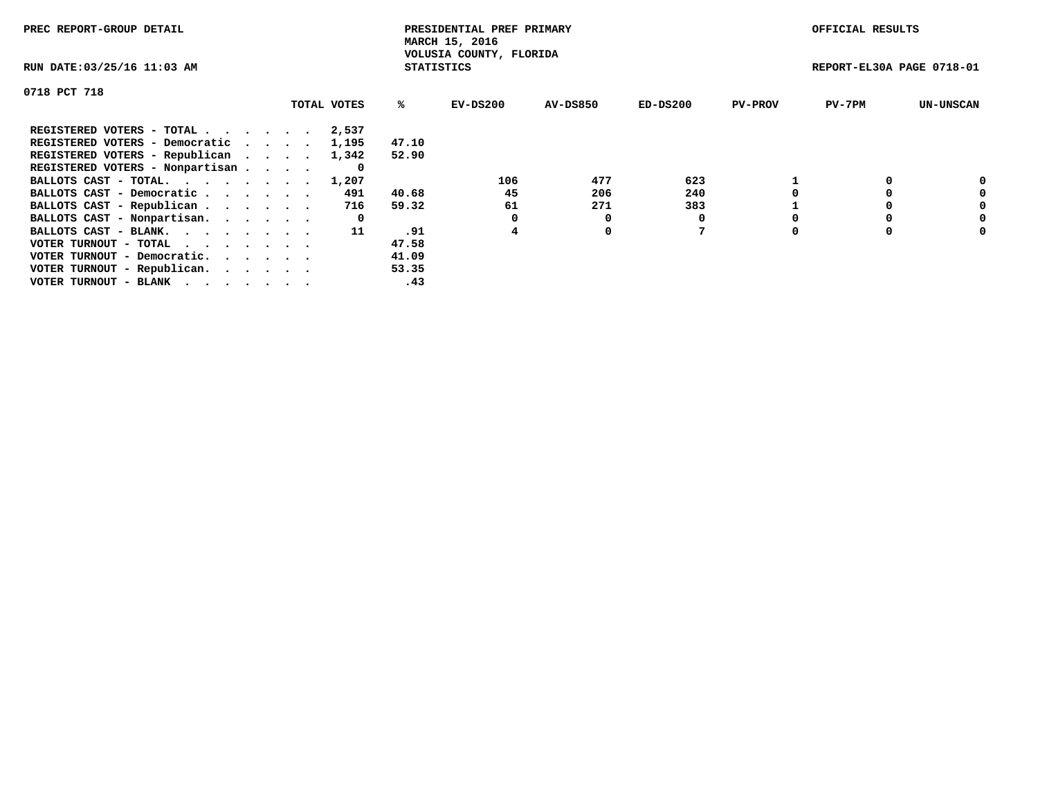| PREC REPORT-GROUP DETAIL                                    |             |                   | PRESIDENTIAL PREF PRIMARY<br>MARCH 15, 2016 |          |            |                | OFFICIAL RESULTS          |                  |
|-------------------------------------------------------------|-------------|-------------------|---------------------------------------------|----------|------------|----------------|---------------------------|------------------|
| RUN DATE: 03/25/16 11:03 AM                                 |             | <b>STATISTICS</b> | VOLUSIA COUNTY, FLORIDA                     |          |            |                | REPORT-EL30A PAGE 0718-01 |                  |
| 0718 PCT 718                                                |             |                   |                                             |          |            |                |                           |                  |
|                                                             | TOTAL VOTES | ℁                 | $EV-DS200$                                  | AV-DS850 | $ED-DS200$ | <b>PV-PROV</b> | $PV-7PM$                  | <b>UN-UNSCAN</b> |
| REGISTERED VOTERS - TOTAL                                   | 2,537       |                   |                                             |          |            |                |                           |                  |
| REGISTERED VOTERS - Democratic                              | 1,195       | 47.10             |                                             |          |            |                |                           |                  |
| REGISTERED VOTERS - Republican                              | 1,342       | 52.90             |                                             |          |            |                |                           |                  |
| REGISTERED VOTERS - Nonpartisan                             | O           |                   |                                             |          |            |                |                           |                  |
| BALLOTS CAST - TOTAL.                                       | 1,207       |                   | 106                                         | 477      | 623        |                |                           | 0                |
| BALLOTS CAST - Democratic                                   | 491         | 40.68             | 45                                          | 206      | 240        |                |                           | 0                |
| BALLOTS CAST - Republican                                   | 716         | 59.32             | 61                                          | 271      | 383        |                |                           | 0                |
| BALLOTS CAST - Nonpartisan.                                 | 0           |                   |                                             | 0        |            |                |                           | 0                |
| BALLOTS CAST - BLANK.                                       | -11         | .91               | 4                                           | 0        |            |                |                           | 0                |
| VOTER TURNOUT - TOTAL $\cdot \cdot \cdot \cdot \cdot \cdot$ |             | 47.58             |                                             |          |            |                |                           |                  |
| VOTER TURNOUT - Democratic.                                 |             | 41.09             |                                             |          |            |                |                           |                  |
| VOTER TURNOUT - Republican.                                 |             | 53.35             |                                             |          |            |                |                           |                  |
| VOTER TURNOUT - BLANK                                       |             | .43               |                                             |          |            |                |                           |                  |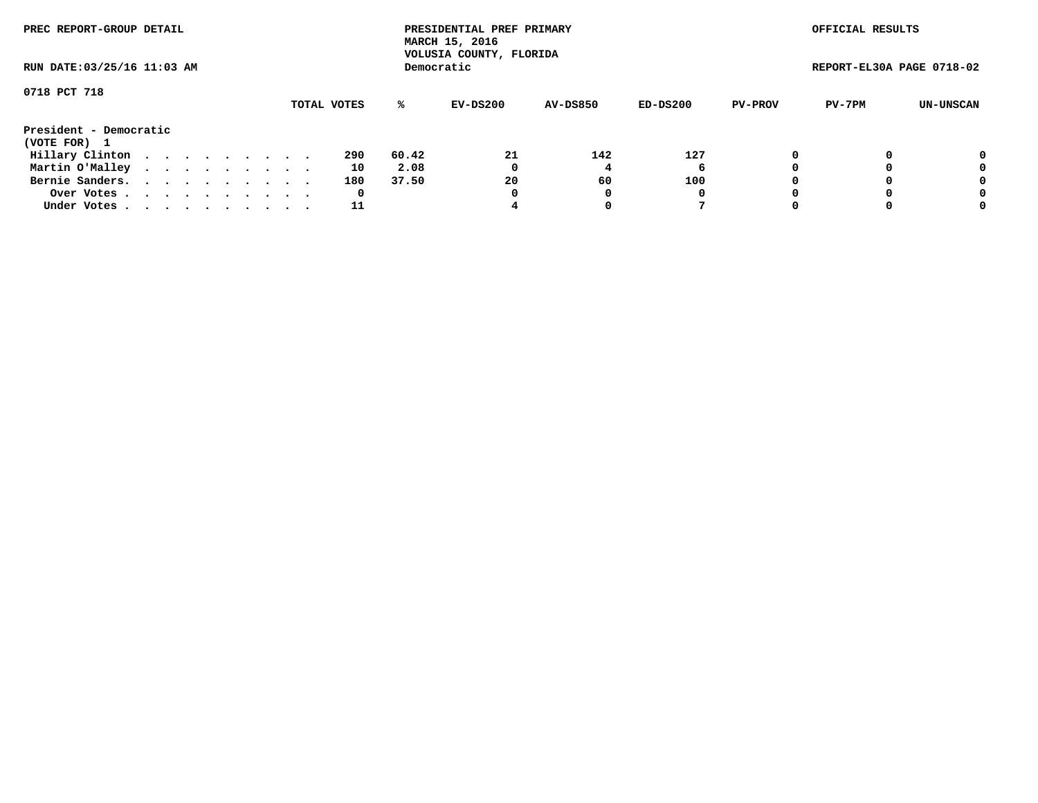| PREC REPORT-GROUP DETAIL<br>RUN DATE: 03/25/16 11:03 AM |  |  |  |  |  |  |  |  |             |       | PRESIDENTIAL PREF PRIMARY<br>MARCH 15, 2016<br>VOLUSIA COUNTY, FLORIDA |                 |          |                | OFFICIAL RESULTS          |           |
|---------------------------------------------------------|--|--|--|--|--|--|--|--|-------------|-------|------------------------------------------------------------------------|-----------------|----------|----------------|---------------------------|-----------|
|                                                         |  |  |  |  |  |  |  |  |             |       | Democratic                                                             |                 |          |                | REPORT-EL30A PAGE 0718-02 |           |
| 0718 PCT 718                                            |  |  |  |  |  |  |  |  |             |       |                                                                        |                 |          |                |                           |           |
|                                                         |  |  |  |  |  |  |  |  | TOTAL VOTES | %ะ    | EV-DS200                                                               | <b>AV-DS850</b> | ED-DS200 | <b>PV-PROV</b> | PV-7PM                    | UN-UNSCAN |
| President - Democratic                                  |  |  |  |  |  |  |  |  |             |       |                                                                        |                 |          |                |                           |           |
| (VOTE FOR) 1                                            |  |  |  |  |  |  |  |  |             |       |                                                                        |                 |          |                |                           |           |
| Hillary Clinton                                         |  |  |  |  |  |  |  |  | 290         | 60.42 | 21                                                                     | 142             | 127      | 0              |                           | 0         |
| Martin O'Malley                                         |  |  |  |  |  |  |  |  | 10          | 2.08  | 0                                                                      |                 | 6        |                |                           | 0         |
| Bernie Sanders.                                         |  |  |  |  |  |  |  |  | 180         | 37.50 | 20                                                                     | 60              | 100      |                |                           | 0         |
| Over Votes.                                             |  |  |  |  |  |  |  |  | 0           |       | 0                                                                      |                 | 0        |                |                           | 0         |
| Under Votes.                                            |  |  |  |  |  |  |  |  | 11          |       |                                                                        |                 |          |                |                           | 0         |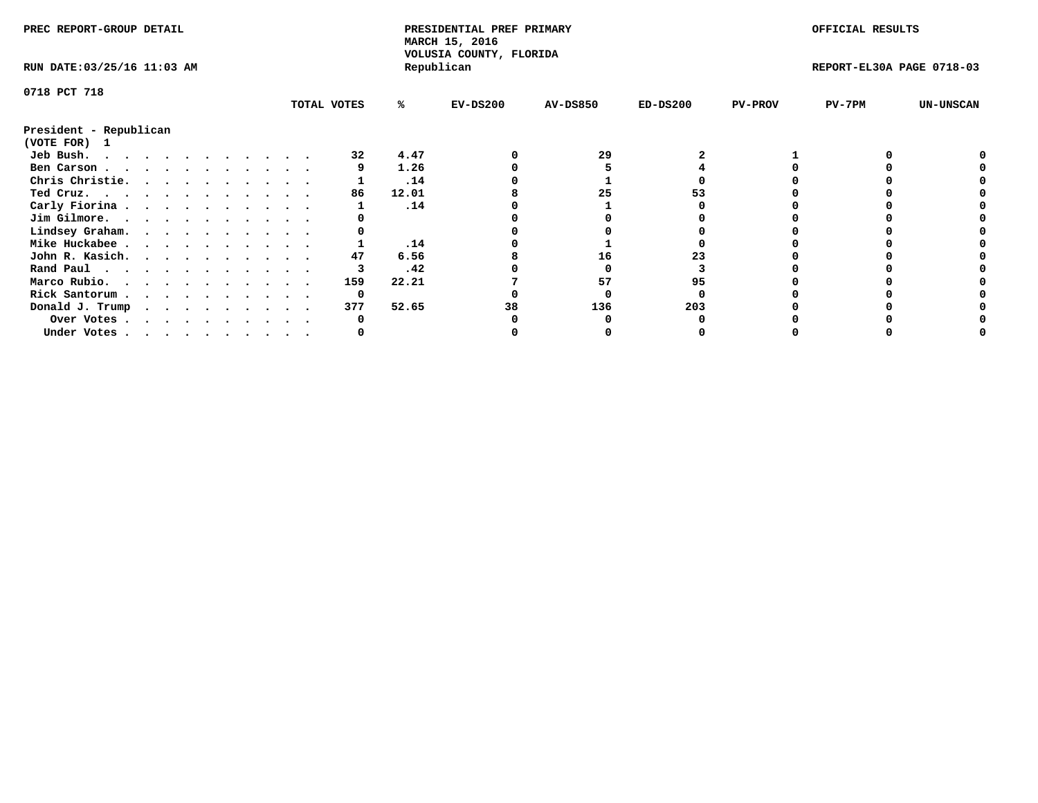| PREC REPORT-GROUP DETAIL    |  |  |   |  |  |  |  | PRESIDENTIAL PREF PRIMARY<br>MARCH 15, 2016<br>VOLUSIA COUNTY, FLORIDA |       |            |                 | OFFICIAL RESULTS |                |                           |                  |
|-----------------------------|--|--|---|--|--|--|--|------------------------------------------------------------------------|-------|------------|-----------------|------------------|----------------|---------------------------|------------------|
| RUN DATE: 03/25/16 11:03 AM |  |  |   |  |  |  |  |                                                                        |       | Republican |                 |                  |                | REPORT-EL30A PAGE 0718-03 |                  |
| 0718 PCT 718                |  |  |   |  |  |  |  |                                                                        |       |            |                 |                  |                |                           |                  |
|                             |  |  |   |  |  |  |  | TOTAL VOTES                                                            | ℁     | $EV-DS200$ | <b>AV-DS850</b> | $ED-DS200$       | <b>PV-PROV</b> | PV-7PM                    | <b>UN-UNSCAN</b> |
| President - Republican      |  |  |   |  |  |  |  |                                                                        |       |            |                 |                  |                |                           |                  |
| (VOTE FOR) 1                |  |  |   |  |  |  |  |                                                                        |       |            |                 |                  |                |                           |                  |
| Jeb Bush.<br>.              |  |  |   |  |  |  |  | 32                                                                     | 4.47  |            | 29              |                  |                |                           |                  |
| Ben Carson                  |  |  |   |  |  |  |  |                                                                        | 1.26  |            |                 |                  |                |                           |                  |
| Chris Christie.             |  |  |   |  |  |  |  |                                                                        | .14   |            |                 |                  |                |                           |                  |
| Ted Cruz.                   |  |  |   |  |  |  |  | 86                                                                     | 12.01 |            | 25              | 53               |                |                           |                  |
| Carly Fiorina               |  |  |   |  |  |  |  |                                                                        | .14   |            |                 |                  |                |                           |                  |
| Jim Gilmore.                |  |  |   |  |  |  |  |                                                                        |       |            |                 |                  |                |                           |                  |
| Lindsey Graham.             |  |  |   |  |  |  |  |                                                                        |       |            |                 |                  |                |                           |                  |
| Mike Huckabee               |  |  |   |  |  |  |  |                                                                        | .14   |            |                 |                  |                |                           |                  |
| John R. Kasich.             |  |  |   |  |  |  |  | 47                                                                     | 6.56  |            | 16              |                  |                |                           |                  |
| Rand Paul                   |  |  |   |  |  |  |  |                                                                        | .42   |            |                 |                  |                |                           |                  |
| Marco Rubio.                |  |  |   |  |  |  |  | 159                                                                    | 22.21 |            | 57              | 95               |                |                           |                  |
| Rick Santorum               |  |  |   |  |  |  |  | 0                                                                      |       |            |                 |                  |                |                           |                  |
| Donald J. Trump             |  |  | . |  |  |  |  | 377                                                                    | 52.65 | 38         | 136             | 203              |                |                           |                  |
| Over Votes                  |  |  |   |  |  |  |  |                                                                        |       |            |                 |                  |                |                           |                  |
| Under Votes                 |  |  |   |  |  |  |  |                                                                        |       |            |                 |                  |                |                           |                  |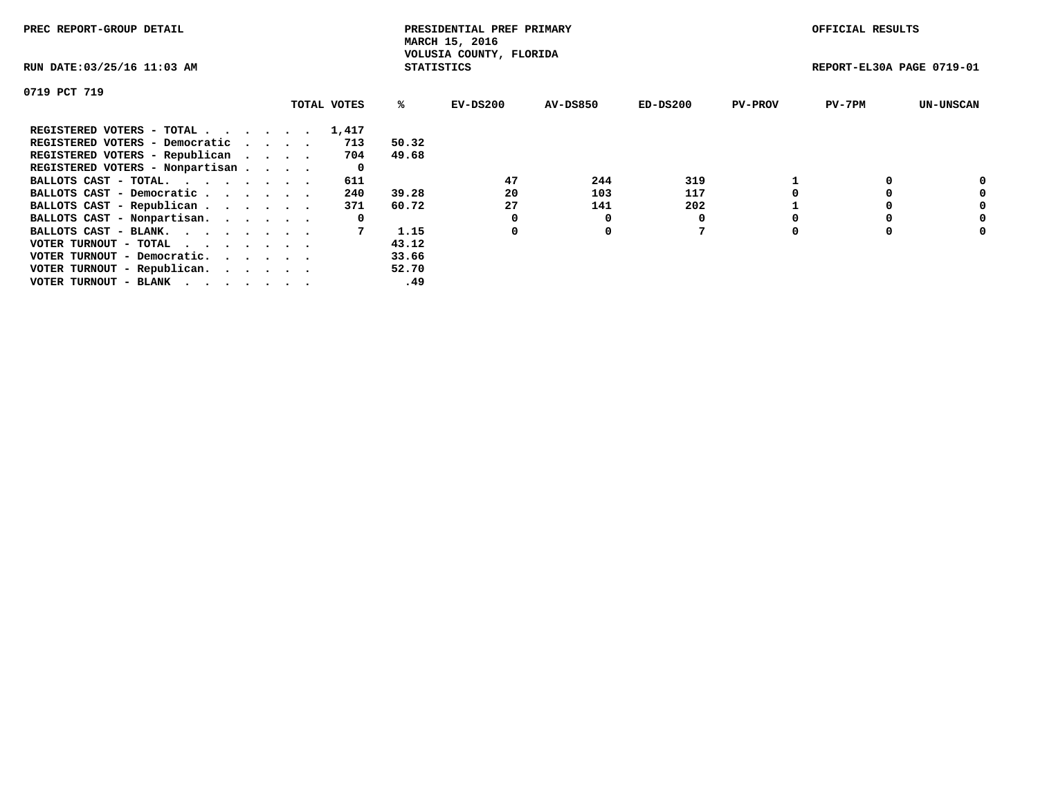| PREC REPORT-GROUP DETAIL                                    |  |             |                   | PRESIDENTIAL PREF PRIMARY<br>MARCH 15, 2016 |          |            |                | OFFICIAL RESULTS          |                  |
|-------------------------------------------------------------|--|-------------|-------------------|---------------------------------------------|----------|------------|----------------|---------------------------|------------------|
| RUN DATE: 03/25/16 11:03 AM                                 |  |             | <b>STATISTICS</b> | VOLUSIA COUNTY, FLORIDA                     |          |            |                | REPORT-EL30A PAGE 0719-01 |                  |
| 0719 PCT 719                                                |  |             |                   |                                             |          |            |                |                           |                  |
|                                                             |  | TOTAL VOTES | %ะ                | EV-DS200                                    | AV-DS850 | $ED-DS200$ | <b>PV-PROV</b> | $PV-7PM$                  | <b>UN-UNSCAN</b> |
| REGISTERED VOTERS - TOTAL                                   |  | 1,417       |                   |                                             |          |            |                |                           |                  |
| REGISTERED VOTERS - Democratic                              |  | 713         | 50.32             |                                             |          |            |                |                           |                  |
| REGISTERED VOTERS - Republican                              |  | 704         | 49.68             |                                             |          |            |                |                           |                  |
| REGISTERED VOTERS - Nonpartisan                             |  | 0           |                   |                                             |          |            |                |                           |                  |
| BALLOTS CAST - TOTAL.                                       |  | 611         |                   | 47                                          | 244      | 319        |                |                           | 0                |
| BALLOTS CAST - Democratic                                   |  | 240         | 39.28             | 20                                          | 103      | 117        |                |                           | 0                |
| BALLOTS CAST - Republican                                   |  | 371         | 60.72             | 27                                          | 141      | 202        |                |                           | 0                |
| BALLOTS CAST - Nonpartisan.                                 |  | 0           |                   | 0                                           | O        |            |                |                           | 0                |
| BALLOTS CAST - BLANK.                                       |  |             | 1.15              | 0                                           | 0        |            |                |                           | 0                |
| VOTER TURNOUT - TOTAL $\cdot \cdot \cdot \cdot \cdot \cdot$ |  |             | 43.12             |                                             |          |            |                |                           |                  |
| VOTER TURNOUT - Democratic.                                 |  |             | 33.66             |                                             |          |            |                |                           |                  |
| VOTER TURNOUT - Republican.                                 |  |             | 52.70             |                                             |          |            |                |                           |                  |
| VOTER TURNOUT - BLANK                                       |  |             | .49               |                                             |          |            |                |                           |                  |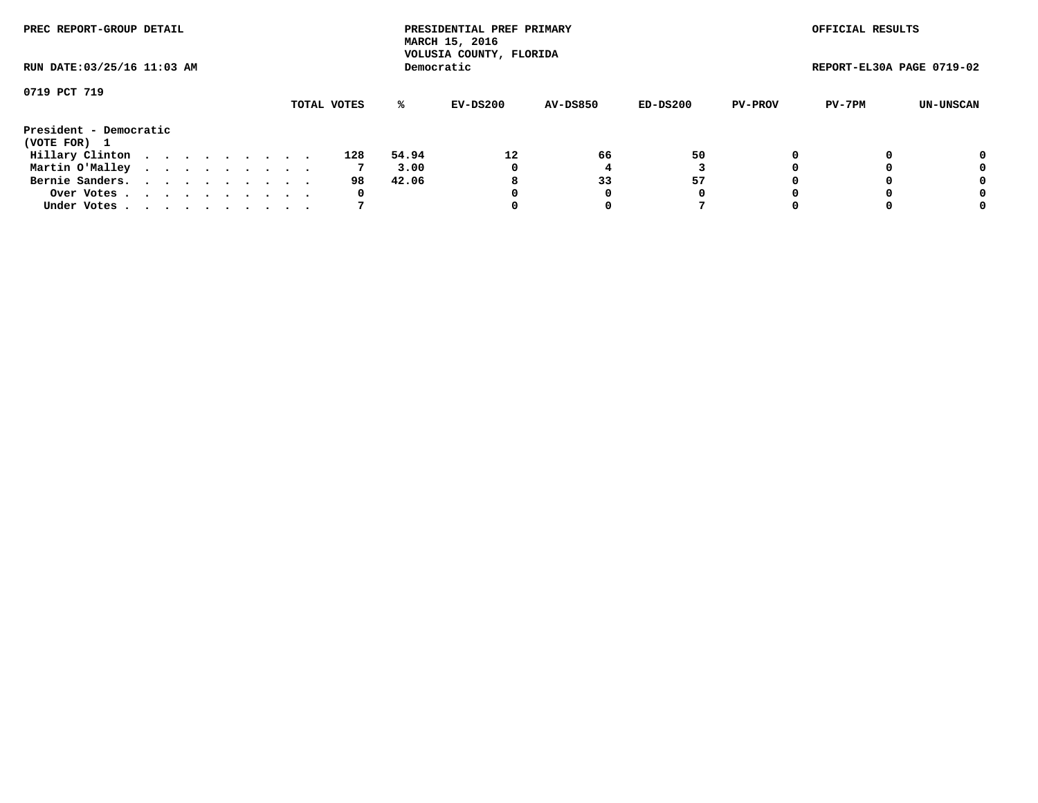| PREC REPORT-GROUP DETAIL<br>RUN DATE: 03/25/16 11:03 AM |  |  |  |  |  |  |  |  |             |       | PRESIDENTIAL PREF PRIMARY<br>MARCH 15, 2016<br>VOLUSIA COUNTY, FLORIDA |                 |          |                | OFFICIAL RESULTS          |           |
|---------------------------------------------------------|--|--|--|--|--|--|--|--|-------------|-------|------------------------------------------------------------------------|-----------------|----------|----------------|---------------------------|-----------|
|                                                         |  |  |  |  |  |  |  |  |             |       | Democratic                                                             |                 |          |                | REPORT-EL30A PAGE 0719-02 |           |
| 0719 PCT 719                                            |  |  |  |  |  |  |  |  |             |       |                                                                        |                 |          |                |                           |           |
|                                                         |  |  |  |  |  |  |  |  | TOTAL VOTES | ℁     | EV-DS200                                                               | <b>AV-DS850</b> | ED-DS200 | <b>PV-PROV</b> | PV-7PM                    | UN-UNSCAN |
| President - Democratic<br>(VOTE FOR) 1                  |  |  |  |  |  |  |  |  |             |       |                                                                        |                 |          |                |                           |           |
|                                                         |  |  |  |  |  |  |  |  |             |       |                                                                        |                 |          |                |                           |           |
| Hillary Clinton                                         |  |  |  |  |  |  |  |  | 128         | 54.94 | 12                                                                     | 66              | 50       | 0              |                           | 0         |
| Martin O'Malley                                         |  |  |  |  |  |  |  |  |             | 3.00  | 0                                                                      |                 |          |                |                           | 0         |
| Bernie Sanders.                                         |  |  |  |  |  |  |  |  | 98          | 42.06 | 8                                                                      | 33              | 57       |                |                           | 0         |
| Over Votes                                              |  |  |  |  |  |  |  |  | 0           |       | 0                                                                      | 0               | 0        |                |                           | 0         |
| Under Votes.                                            |  |  |  |  |  |  |  |  |             |       |                                                                        | 0               |          |                |                           | 0         |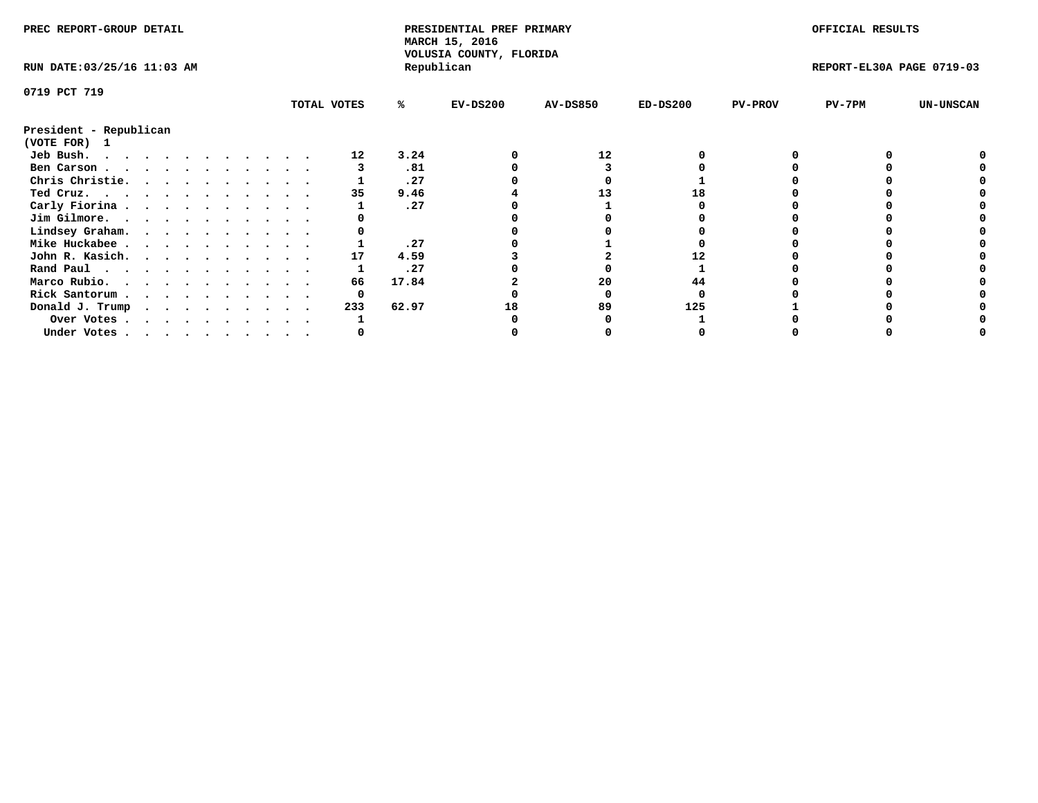| PREC REPORT-GROUP DETAIL    |  |  |  |  |  |  | PRESIDENTIAL PREF PRIMARY<br>MARCH 15, 2016<br>VOLUSIA COUNTY, FLORIDA |             |       |            | OFFICIAL RESULTS |            |                |                           |                  |
|-----------------------------|--|--|--|--|--|--|------------------------------------------------------------------------|-------------|-------|------------|------------------|------------|----------------|---------------------------|------------------|
| RUN DATE: 03/25/16 11:03 AM |  |  |  |  |  |  |                                                                        |             |       | Republican |                  |            |                | REPORT-EL30A PAGE 0719-03 |                  |
| 0719 PCT 719                |  |  |  |  |  |  |                                                                        |             |       |            |                  |            |                |                           |                  |
|                             |  |  |  |  |  |  |                                                                        | TOTAL VOTES | %ะ    | $EV-DS200$ | <b>AV-DS850</b>  | $ED-DS200$ | <b>PV-PROV</b> | $PV-7PM$                  | <b>UN-UNSCAN</b> |
| President - Republican      |  |  |  |  |  |  |                                                                        |             |       |            |                  |            |                |                           |                  |
| (VOTE FOR) 1                |  |  |  |  |  |  |                                                                        |             |       |            |                  |            |                |                           |                  |
| Jeb Bush.                   |  |  |  |  |  |  |                                                                        | 12          | 3.24  |            | 12               |            |                |                           |                  |
| Ben Carson                  |  |  |  |  |  |  |                                                                        |             | .81   |            |                  |            |                |                           |                  |
| Chris Christie.             |  |  |  |  |  |  |                                                                        |             | .27   |            |                  |            |                |                           |                  |
| Ted Cruz.                   |  |  |  |  |  |  |                                                                        | 35          | 9.46  |            | 13               |            |                |                           |                  |
| Carly Fiorina               |  |  |  |  |  |  |                                                                        |             | .27   |            |                  |            |                |                           |                  |
| Jim Gilmore.                |  |  |  |  |  |  |                                                                        |             |       |            |                  |            |                |                           |                  |
| Lindsey Graham.             |  |  |  |  |  |  |                                                                        |             |       |            |                  |            |                |                           |                  |
| Mike Huckabee               |  |  |  |  |  |  |                                                                        |             | .27   |            |                  |            |                |                           |                  |
| John R. Kasich.             |  |  |  |  |  |  |                                                                        | 17          | 4.59  |            |                  |            |                |                           |                  |
| Rand Paul                   |  |  |  |  |  |  |                                                                        |             | .27   |            |                  |            |                |                           |                  |
| Marco Rubio.                |  |  |  |  |  |  |                                                                        | 66          | 17.84 |            | 20               | 44         |                |                           |                  |
| Rick Santorum               |  |  |  |  |  |  |                                                                        |             |       |            |                  |            |                |                           |                  |
|                             |  |  |  |  |  |  |                                                                        | 233         | 62.97 |            | 89               | 125        |                |                           |                  |
| Donald J. Trump             |  |  |  |  |  |  |                                                                        |             |       |            |                  |            |                |                           |                  |
| Over Votes                  |  |  |  |  |  |  |                                                                        |             |       |            |                  |            |                |                           |                  |
| Under Votes                 |  |  |  |  |  |  |                                                                        |             |       |            |                  |            |                |                           |                  |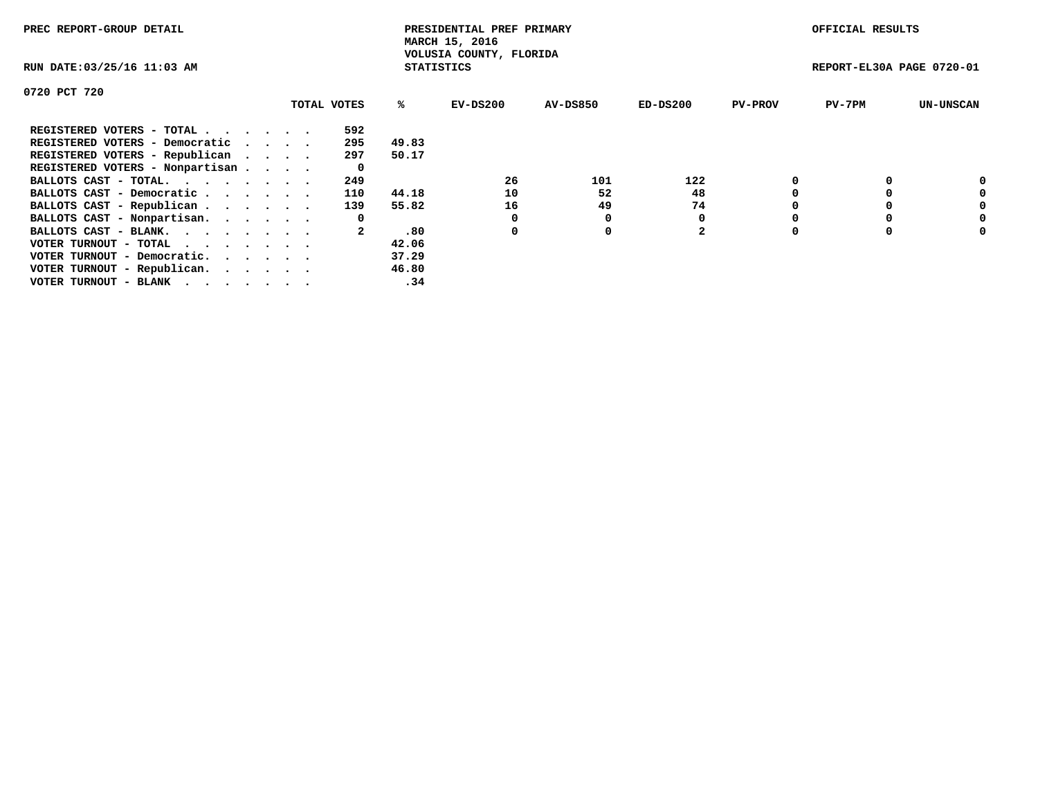| PREC REPORT-GROUP DETAIL                                    |  |             |       | PRESIDENTIAL PREF PRIMARY<br>MARCH 15, 2016<br>VOLUSIA COUNTY, FLORIDA |                 |                |                | OFFICIAL RESULTS          |                  |
|-------------------------------------------------------------|--|-------------|-------|------------------------------------------------------------------------|-----------------|----------------|----------------|---------------------------|------------------|
| RUN DATE: 03/25/16 11:03 AM                                 |  |             |       | <b>STATISTICS</b>                                                      |                 |                |                | REPORT-EL30A PAGE 0720-01 |                  |
| 0720 PCT 720                                                |  |             |       |                                                                        |                 |                |                |                           |                  |
|                                                             |  | TOTAL VOTES | %ร    | EV-DS200                                                               | <b>AV-DS850</b> | $ED-DS200$     | <b>PV-PROV</b> | $PV-7PM$                  | <b>UN-UNSCAN</b> |
| REGISTERED VOTERS - TOTAL                                   |  | 592         |       |                                                                        |                 |                |                |                           |                  |
| REGISTERED VOTERS - Democratic                              |  | 295         | 49.83 |                                                                        |                 |                |                |                           |                  |
| REGISTERED VOTERS - Republican                              |  | 297         | 50.17 |                                                                        |                 |                |                |                           |                  |
| REGISTERED VOTERS - Nonpartisan                             |  | 0           |       |                                                                        |                 |                |                |                           |                  |
| BALLOTS CAST - TOTAL.                                       |  | 249         |       | 26                                                                     | 101             | 122            |                |                           | 0                |
| BALLOTS CAST - Democratic                                   |  | 110         | 44.18 | 10                                                                     | 52              | 48             |                |                           | 0                |
| BALLOTS CAST - Republican                                   |  | 139         | 55.82 | 16                                                                     | 49              | 74             |                |                           | 0                |
| BALLOTS CAST - Nonpartisan.                                 |  | 0           |       |                                                                        | 0               |                |                |                           | 0                |
| BALLOTS CAST - BLANK.                                       |  |             | .80   | 0                                                                      | 0               | $\overline{2}$ |                |                           | 0                |
| VOTER TURNOUT - TOTAL $\cdot \cdot \cdot \cdot \cdot \cdot$ |  |             | 42.06 |                                                                        |                 |                |                |                           |                  |
| VOTER TURNOUT - Democratic.                                 |  |             | 37.29 |                                                                        |                 |                |                |                           |                  |
| VOTER TURNOUT - Republican.                                 |  |             | 46.80 |                                                                        |                 |                |                |                           |                  |
| VOTER TURNOUT - BLANK                                       |  |             | .34   |                                                                        |                 |                |                |                           |                  |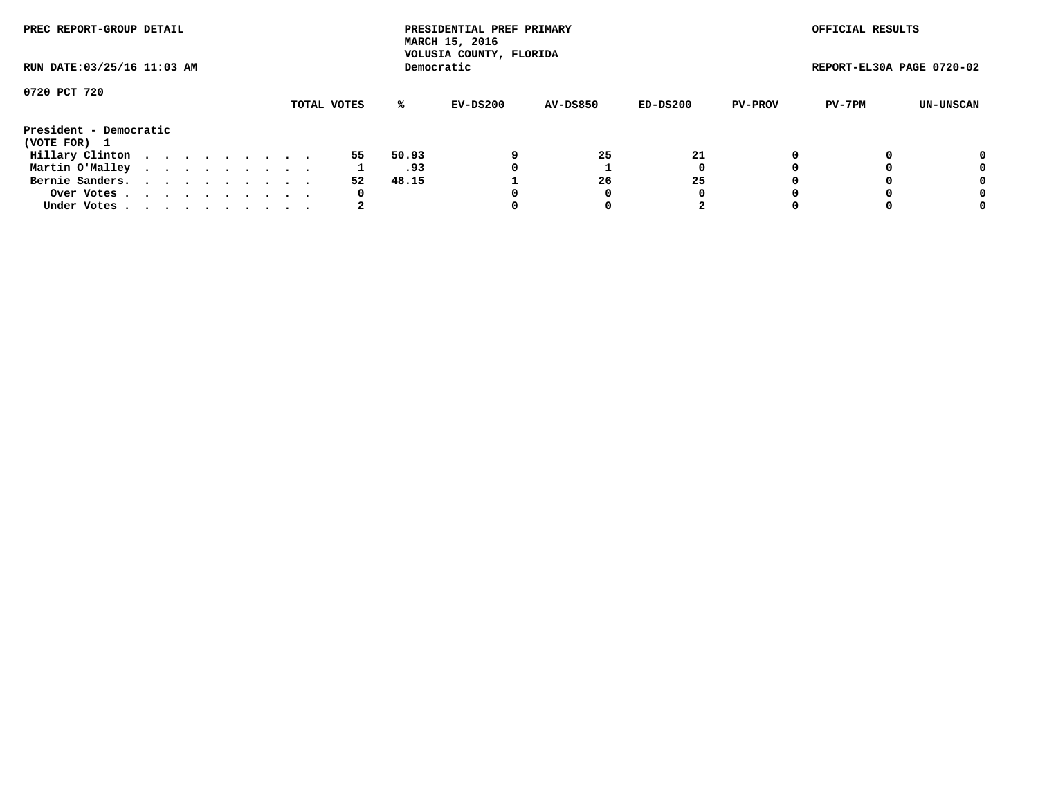| PREC REPORT-GROUP DETAIL<br>RUN DATE: 03/25/16 11:03 AM |  |  |  |  |  |  |  |  |             |       | PRESIDENTIAL PREF PRIMARY<br>MARCH 15, 2016<br>VOLUSIA COUNTY, FLORIDA |                 |          |                | OFFICIAL RESULTS          |           |
|---------------------------------------------------------|--|--|--|--|--|--|--|--|-------------|-------|------------------------------------------------------------------------|-----------------|----------|----------------|---------------------------|-----------|
|                                                         |  |  |  |  |  |  |  |  |             |       | Democratic                                                             |                 |          |                | REPORT-EL30A PAGE 0720-02 |           |
| 0720 PCT 720                                            |  |  |  |  |  |  |  |  |             |       |                                                                        |                 |          |                |                           |           |
|                                                         |  |  |  |  |  |  |  |  | TOTAL VOTES | ℁     | EV-DS200                                                               | <b>AV-DS850</b> | ED-DS200 | <b>PV-PROV</b> | PV-7PM                    | UN-UNSCAN |
| President - Democratic                                  |  |  |  |  |  |  |  |  |             |       |                                                                        |                 |          |                |                           |           |
| (VOTE FOR) 1                                            |  |  |  |  |  |  |  |  |             |       |                                                                        |                 |          |                |                           |           |
| Hillary Clinton                                         |  |  |  |  |  |  |  |  | 55          | 50.93 |                                                                        | 25              | 21       | 0              |                           | 0         |
| Martin O'Malley                                         |  |  |  |  |  |  |  |  |             | .93   | 0                                                                      |                 |          |                |                           | 0         |
| Bernie Sanders.                                         |  |  |  |  |  |  |  |  | 52          | 48.15 |                                                                        | 26              | 25       |                |                           | 0         |
| Over Votes                                              |  |  |  |  |  |  |  |  | 0           |       | 0                                                                      | 0               | O        |                |                           | 0         |
| Under Votes.                                            |  |  |  |  |  |  |  |  | 2           |       |                                                                        | 0               |          |                |                           | 0         |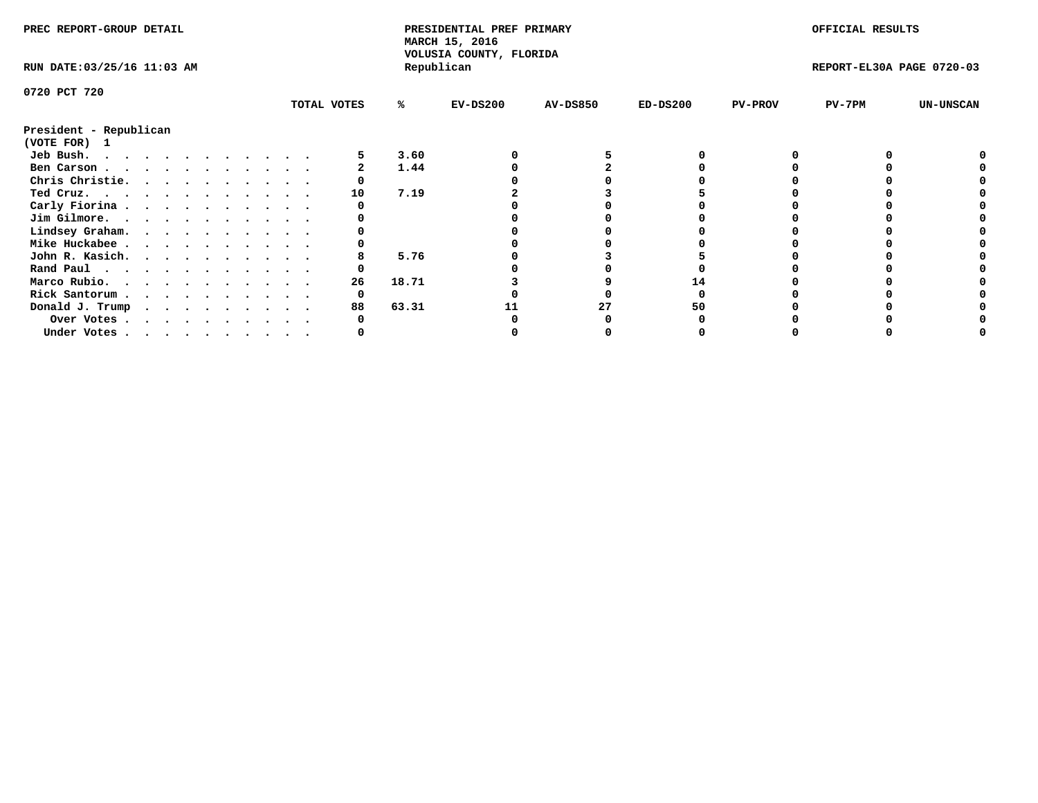| PREC REPORT-GROUP DETAIL               |  |  |  |  |  |  |  | PRESIDENTIAL PREF PRIMARY<br>MARCH 15, 2016 |       |                                       |                 | OFFICIAL RESULTS |                |                           |                  |
|----------------------------------------|--|--|--|--|--|--|--|---------------------------------------------|-------|---------------------------------------|-----------------|------------------|----------------|---------------------------|------------------|
| RUN DATE: 03/25/16 11:03 AM            |  |  |  |  |  |  |  |                                             |       | VOLUSIA COUNTY, FLORIDA<br>Republican |                 |                  |                | REPORT-EL30A PAGE 0720-03 |                  |
| 0720 PCT 720                           |  |  |  |  |  |  |  |                                             |       |                                       |                 |                  |                |                           |                  |
|                                        |  |  |  |  |  |  |  | TOTAL VOTES                                 | ℁     | $EV-DS200$                            | <b>AV-DS850</b> | $ED-DS200$       | <b>PV-PROV</b> | $PV-7PM$                  | <b>UN-UNSCAN</b> |
| President - Republican<br>(VOTE FOR) 1 |  |  |  |  |  |  |  |                                             |       |                                       |                 |                  |                |                           |                  |
| Jeb Bush.                              |  |  |  |  |  |  |  |                                             | 3.60  |                                       |                 |                  |                |                           |                  |
| Ben Carson                             |  |  |  |  |  |  |  |                                             | 1.44  |                                       |                 |                  |                |                           |                  |
| Chris Christie.                        |  |  |  |  |  |  |  |                                             |       |                                       |                 |                  |                |                           |                  |
| Ted Cruz.                              |  |  |  |  |  |  |  | 10                                          | 7.19  |                                       |                 |                  |                |                           |                  |
| Carly Fiorina                          |  |  |  |  |  |  |  |                                             |       |                                       |                 |                  |                |                           |                  |
| Jim Gilmore.                           |  |  |  |  |  |  |  |                                             |       |                                       |                 |                  |                |                           |                  |
| Lindsey Graham.                        |  |  |  |  |  |  |  |                                             |       |                                       |                 |                  |                |                           |                  |
| Mike Huckabee                          |  |  |  |  |  |  |  |                                             |       |                                       |                 |                  |                |                           |                  |
| John R. Kasich.                        |  |  |  |  |  |  |  |                                             | 5.76  |                                       |                 |                  |                |                           |                  |
| Rand Paul                              |  |  |  |  |  |  |  |                                             |       |                                       |                 |                  |                |                           |                  |
| Marco Rubio.                           |  |  |  |  |  |  |  | 26                                          | 18.71 |                                       |                 |                  |                |                           |                  |
|                                        |  |  |  |  |  |  |  |                                             |       |                                       |                 |                  |                |                           |                  |
| Rick Santorum                          |  |  |  |  |  |  |  |                                             |       |                                       |                 |                  |                |                           |                  |
| Donald J. Trump                        |  |  |  |  |  |  |  | 88                                          | 63.31 |                                       | 27              | 50               |                |                           |                  |
| Over Votes                             |  |  |  |  |  |  |  |                                             |       |                                       |                 |                  |                |                           |                  |
| Under Votes, , , , , , , , , , ,       |  |  |  |  |  |  |  |                                             |       |                                       |                 |                  |                |                           |                  |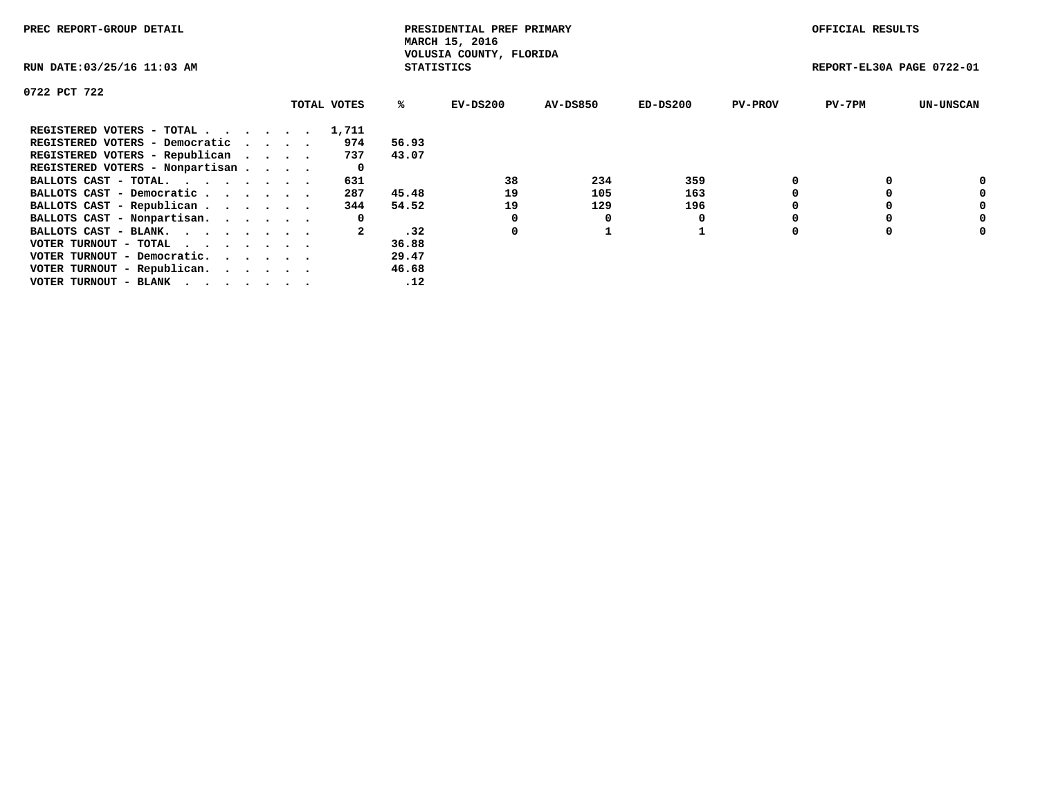| PREC REPORT-GROUP DETAIL                                    |  |             |                   | PRESIDENTIAL PREF PRIMARY<br>MARCH 15, 2016 |          |            |                | OFFICIAL RESULTS          |                  |
|-------------------------------------------------------------|--|-------------|-------------------|---------------------------------------------|----------|------------|----------------|---------------------------|------------------|
| RUN DATE: 03/25/16 11:03 AM                                 |  |             | <b>STATISTICS</b> | VOLUSIA COUNTY, FLORIDA                     |          |            |                | REPORT-EL30A PAGE 0722-01 |                  |
| 0722 PCT 722                                                |  |             |                   |                                             |          |            |                |                           |                  |
|                                                             |  | TOTAL VOTES | %ะ                | EV-DS200                                    | AV-DS850 | $ED-DS200$ | <b>PV-PROV</b> | $PV-7PM$                  | <b>UN-UNSCAN</b> |
| REGISTERED VOTERS - TOTAL                                   |  | 1,711       |                   |                                             |          |            |                |                           |                  |
| REGISTERED VOTERS - Democratic                              |  | 974         | 56.93             |                                             |          |            |                |                           |                  |
| REGISTERED VOTERS - Republican                              |  | 737         | 43.07             |                                             |          |            |                |                           |                  |
| REGISTERED VOTERS - Nonpartisan                             |  | 0           |                   |                                             |          |            |                |                           |                  |
| BALLOTS CAST - TOTAL.                                       |  | 631         |                   | 38                                          | 234      | 359        |                |                           | 0                |
| BALLOTS CAST - Democratic                                   |  | 287         | 45.48             | 19                                          | 105      | 163        |                |                           | 0                |
| BALLOTS CAST - Republican                                   |  | 344         | 54.52             | 19                                          | 129      | 196        |                |                           | 0                |
| BALLOTS CAST - Nonpartisan.                                 |  | 0           |                   | 0                                           | O        |            |                |                           | 0                |
| BALLOTS CAST - BLANK.                                       |  |             | .32               | 0                                           |          |            |                |                           | 0                |
| VOTER TURNOUT - TOTAL $\cdot \cdot \cdot \cdot \cdot \cdot$ |  |             | 36.88             |                                             |          |            |                |                           |                  |
| VOTER TURNOUT - Democratic.                                 |  |             | 29.47             |                                             |          |            |                |                           |                  |
| VOTER TURNOUT - Republican.                                 |  |             | 46.68             |                                             |          |            |                |                           |                  |
| VOTER TURNOUT - BLANK                                       |  |             | .12               |                                             |          |            |                |                           |                  |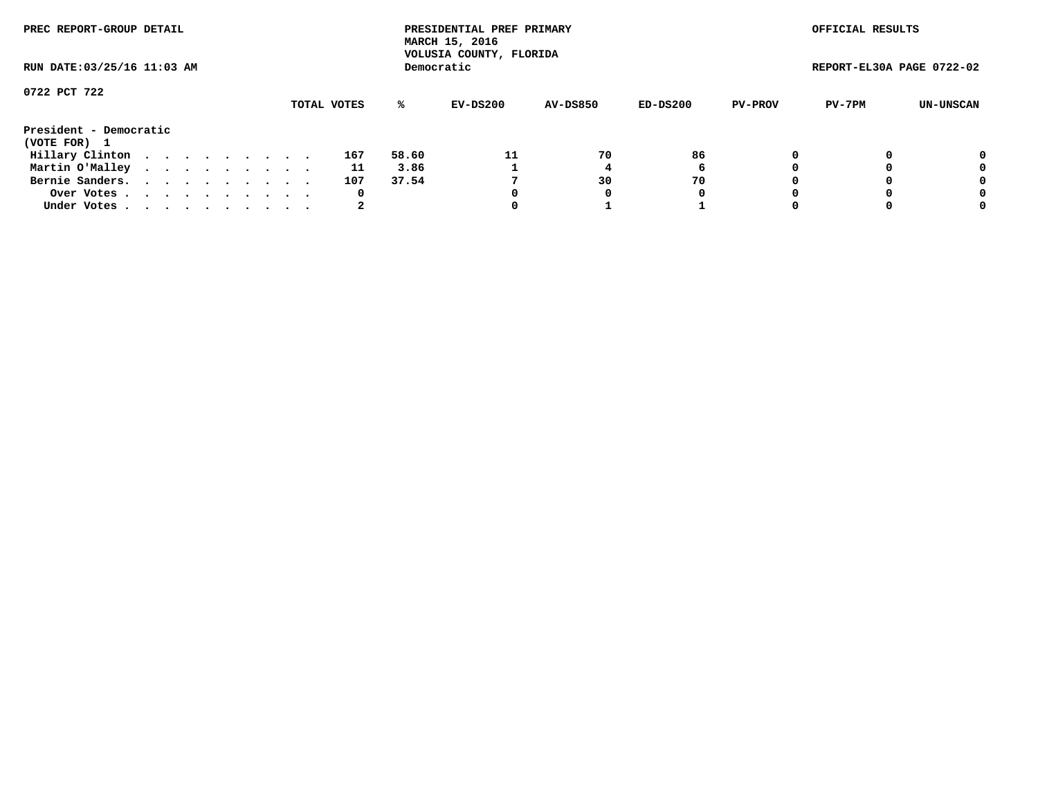| PREC REPORT-GROUP DETAIL<br>RUN DATE: 03/25/16 11:03 AM |  |  |  |  |  |  |  |  |             |       | PRESIDENTIAL PREF PRIMARY<br>MARCH 15, 2016<br>VOLUSIA COUNTY, FLORIDA |                 |          |                | OFFICIAL RESULTS          |           |
|---------------------------------------------------------|--|--|--|--|--|--|--|--|-------------|-------|------------------------------------------------------------------------|-----------------|----------|----------------|---------------------------|-----------|
|                                                         |  |  |  |  |  |  |  |  |             |       | Democratic                                                             |                 |          |                | REPORT-EL30A PAGE 0722-02 |           |
| 0722 PCT 722                                            |  |  |  |  |  |  |  |  |             |       |                                                                        |                 |          |                |                           |           |
|                                                         |  |  |  |  |  |  |  |  | TOTAL VOTES | %ะ    | EV-DS200                                                               | <b>AV-DS850</b> | ED-DS200 | <b>PV-PROV</b> | PV-7PM                    | UN-UNSCAN |
| President - Democratic                                  |  |  |  |  |  |  |  |  |             |       |                                                                        |                 |          |                |                           |           |
| (VOTE FOR) 1                                            |  |  |  |  |  |  |  |  |             |       |                                                                        |                 |          |                |                           |           |
| Hillary Clinton                                         |  |  |  |  |  |  |  |  | 167         | 58.60 | 11                                                                     | 70              | 86       | 0              |                           | 0         |
| Martin O'Malley                                         |  |  |  |  |  |  |  |  | 11          | 3.86  |                                                                        |                 | 6        |                |                           | 0         |
| Bernie Sanders.                                         |  |  |  |  |  |  |  |  | 107         | 37.54 |                                                                        | 30              | 70       |                |                           | 0         |
| Over Votes.                                             |  |  |  |  |  |  |  |  | 0           |       | 0                                                                      | 0               | 0        |                |                           | 0         |
| Under Votes.                                            |  |  |  |  |  |  |  |  |             |       |                                                                        |                 |          |                |                           | 0         |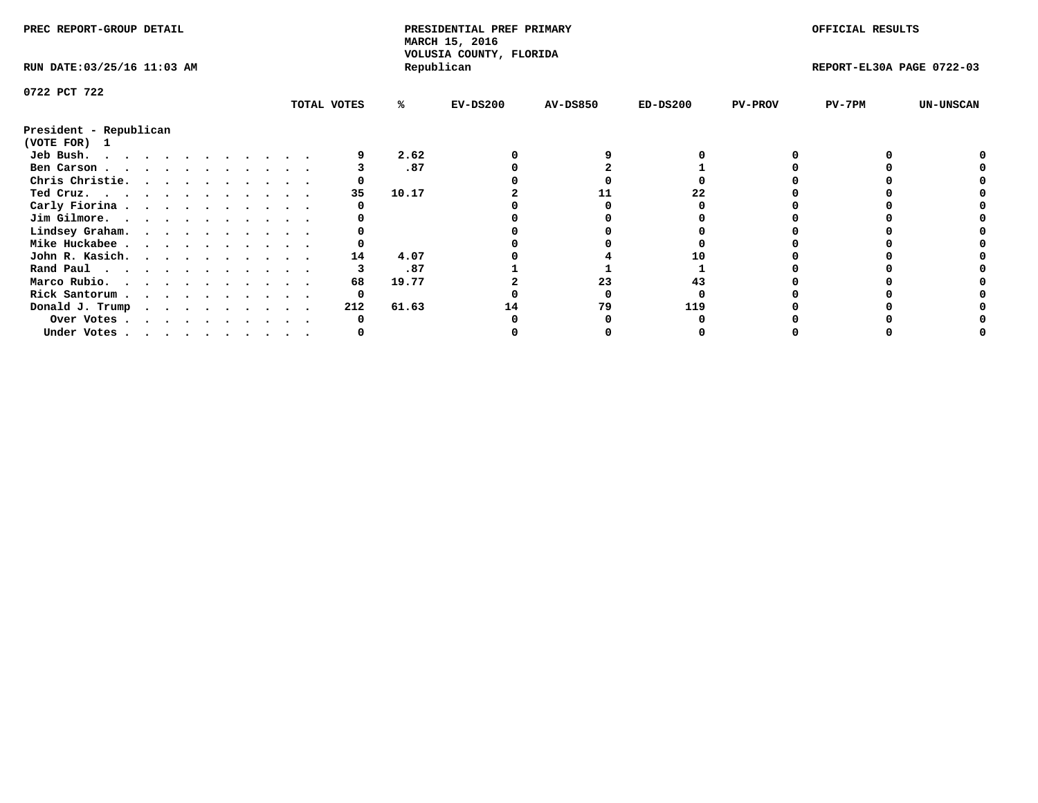| PREC REPORT-GROUP DETAIL               |  |  |  |  |  |  |  |             | PRESIDENTIAL PREF PRIMARY<br>MARCH 15, 2016<br>VOLUSIA COUNTY, FLORIDA |            |                 |            | OFFICIAL RESULTS |                           |                  |
|----------------------------------------|--|--|--|--|--|--|--|-------------|------------------------------------------------------------------------|------------|-----------------|------------|------------------|---------------------------|------------------|
| RUN DATE: 03/25/16 11:03 AM            |  |  |  |  |  |  |  |             |                                                                        | Republican |                 |            |                  | REPORT-EL30A PAGE 0722-03 |                  |
| 0722 PCT 722                           |  |  |  |  |  |  |  |             |                                                                        |            |                 |            |                  |                           |                  |
|                                        |  |  |  |  |  |  |  | TOTAL VOTES | %ะ                                                                     | $EV-DS200$ | <b>AV-DS850</b> | $ED-DS200$ | <b>PV-PROV</b>   | PV-7PM                    | <b>UN-UNSCAN</b> |
| President - Republican<br>(VOTE FOR) 1 |  |  |  |  |  |  |  |             |                                                                        |            |                 |            |                  |                           |                  |
| Jeb Bush.                              |  |  |  |  |  |  |  |             | 2.62                                                                   |            |                 |            |                  |                           |                  |
| Ben Carson                             |  |  |  |  |  |  |  |             | .87                                                                    |            |                 |            |                  |                           |                  |
| Chris Christie.                        |  |  |  |  |  |  |  |             |                                                                        |            |                 |            |                  |                           |                  |
| Ted Cruz.                              |  |  |  |  |  |  |  | 35          | 10.17                                                                  |            |                 | 22         |                  |                           |                  |
| Carly Fiorina                          |  |  |  |  |  |  |  |             |                                                                        |            |                 |            |                  |                           |                  |
| Jim Gilmore.                           |  |  |  |  |  |  |  |             |                                                                        |            |                 |            |                  |                           |                  |
|                                        |  |  |  |  |  |  |  |             |                                                                        |            |                 |            |                  |                           |                  |
| Lindsey Graham.                        |  |  |  |  |  |  |  |             |                                                                        |            |                 |            |                  |                           |                  |
| Mike Huckabee                          |  |  |  |  |  |  |  |             |                                                                        |            |                 |            |                  |                           |                  |
| John R. Kasich.                        |  |  |  |  |  |  |  | 14          | 4.07                                                                   |            |                 |            |                  |                           |                  |
| Rand Paul                              |  |  |  |  |  |  |  |             | .87                                                                    |            |                 |            |                  |                           |                  |
| Marco Rubio.                           |  |  |  |  |  |  |  | 68          | 19.77                                                                  |            | 23              |            |                  |                           |                  |
| Rick Santorum                          |  |  |  |  |  |  |  |             |                                                                        |            |                 |            |                  |                           |                  |
| Donald J. Trump                        |  |  |  |  |  |  |  | 212         | 61.63                                                                  |            | 79              | 119        |                  |                           |                  |
| Over Votes                             |  |  |  |  |  |  |  |             |                                                                        |            |                 |            |                  |                           |                  |
| Under Votes                            |  |  |  |  |  |  |  |             |                                                                        |            |                 |            |                  |                           |                  |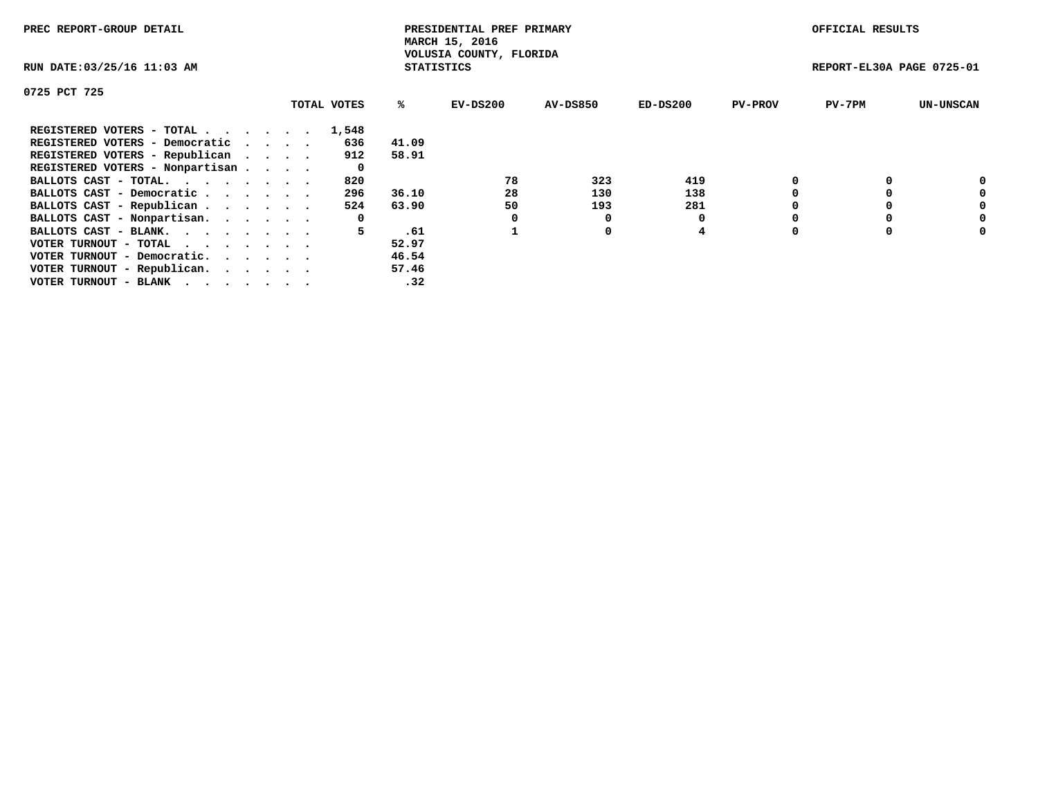| PREC REPORT-GROUP DETAIL                                    |             |                   | PRESIDENTIAL PREF PRIMARY<br>MARCH 15, 2016 |          |            |                | OFFICIAL RESULTS          |                  |
|-------------------------------------------------------------|-------------|-------------------|---------------------------------------------|----------|------------|----------------|---------------------------|------------------|
| RUN DATE: 03/25/16 11:03 AM                                 |             | <b>STATISTICS</b> | VOLUSIA COUNTY, FLORIDA                     |          |            |                | REPORT-EL30A PAGE 0725-01 |                  |
| 0725 PCT 725                                                |             |                   |                                             |          |            |                |                           |                  |
|                                                             | TOTAL VOTES | %ร                | EV-DS200                                    | AV-DS850 | $ED-DS200$ | <b>PV-PROV</b> | $PV-7PM$                  | <b>UN-UNSCAN</b> |
| REGISTERED VOTERS - TOTAL                                   | 1,548       |                   |                                             |          |            |                |                           |                  |
| REGISTERED VOTERS - Democratic                              | 636         | 41.09             |                                             |          |            |                |                           |                  |
| REGISTERED VOTERS - Republican                              | 912         | 58.91             |                                             |          |            |                |                           |                  |
| REGISTERED VOTERS - Nonpartisan                             | 0           |                   |                                             |          |            |                |                           |                  |
| BALLOTS CAST - TOTAL.                                       | 820         |                   | 78                                          | 323      | 419        |                |                           | 0                |
| BALLOTS CAST - Democratic                                   | 296         | 36.10             | 28                                          | 130      | 138        |                |                           | 0                |
| BALLOTS CAST - Republican                                   | 524         | 63.90             | 50                                          | 193      | 281        |                |                           | 0                |
| BALLOTS CAST - Nonpartisan.                                 | 0           |                   | 0                                           | 0        |            |                |                           | 0                |
| BALLOTS CAST - BLANK.                                       | 5.          | .61               |                                             | 0        | 4          |                |                           | 0                |
| VOTER TURNOUT - TOTAL $\cdot \cdot \cdot \cdot \cdot \cdot$ |             | 52.97             |                                             |          |            |                |                           |                  |
| VOTER TURNOUT - Democratic.                                 |             | 46.54             |                                             |          |            |                |                           |                  |
| VOTER TURNOUT - Republican.                                 |             | 57.46             |                                             |          |            |                |                           |                  |
| VOTER TURNOUT - BLANK                                       |             | .32               |                                             |          |            |                |                           |                  |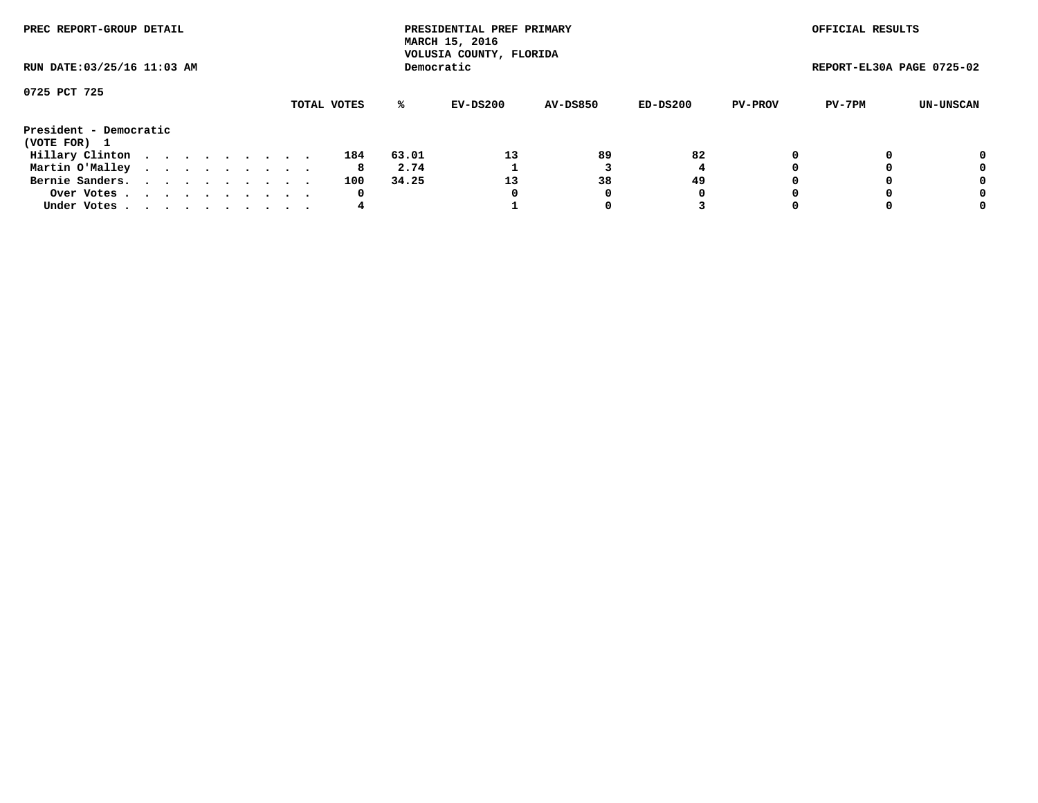| PREC REPORT-GROUP DETAIL<br>RUN DATE: 03/25/16 11:03 AM |  |  |  |  |  |  |  |  |             |       | PRESIDENTIAL PREF PRIMARY<br>MARCH 15, 2016<br>VOLUSIA COUNTY, FLORIDA |                 |          |                | OFFICIAL RESULTS          |           |
|---------------------------------------------------------|--|--|--|--|--|--|--|--|-------------|-------|------------------------------------------------------------------------|-----------------|----------|----------------|---------------------------|-----------|
|                                                         |  |  |  |  |  |  |  |  |             |       | Democratic                                                             |                 |          |                | REPORT-EL30A PAGE 0725-02 |           |
| 0725 PCT 725                                            |  |  |  |  |  |  |  |  |             |       |                                                                        |                 |          |                |                           |           |
|                                                         |  |  |  |  |  |  |  |  | TOTAL VOTES | ℁     | EV-DS200                                                               | <b>AV-DS850</b> | ED-DS200 | <b>PV-PROV</b> | PV-7PM                    | UN-UNSCAN |
| President - Democratic<br>(VOTE FOR) 1                  |  |  |  |  |  |  |  |  |             |       |                                                                        |                 |          |                |                           |           |
| Hillary Clinton                                         |  |  |  |  |  |  |  |  | 184         | 63.01 | 13                                                                     | 89              | 82       |                |                           | 0         |
| Martin O'Malley                                         |  |  |  |  |  |  |  |  | 8           | 2.74  |                                                                        |                 |          |                |                           | 0         |
| Bernie Sanders.                                         |  |  |  |  |  |  |  |  | 100         | 34.25 | 13                                                                     | 38              | 49       |                |                           | 0         |
| Over Votes.                                             |  |  |  |  |  |  |  |  | 0           |       | 0                                                                      | 0               | 0        |                |                           | 0         |
| Under Votes                                             |  |  |  |  |  |  |  |  | 4           |       |                                                                        |                 |          |                |                           | 0         |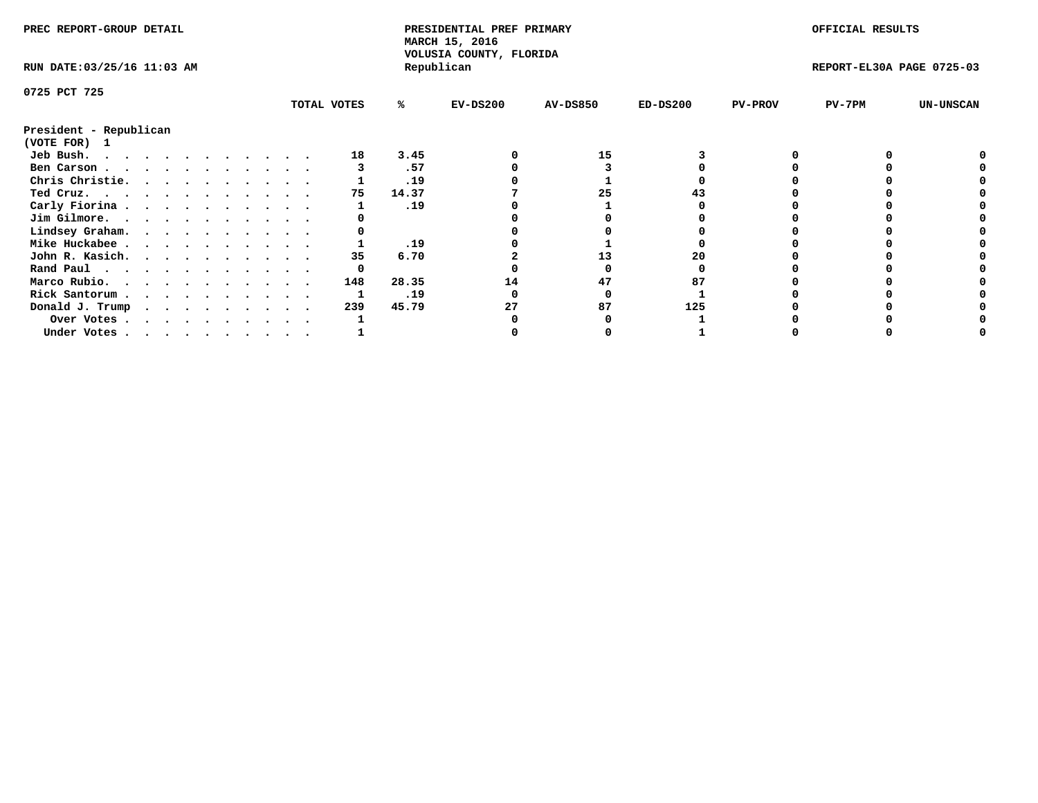| PREC REPORT-GROUP DETAIL    |  |  |  |  |  |  |  |             | PRESIDENTIAL PREF PRIMARY<br>MARCH 15, 2016<br>VOLUSIA COUNTY, FLORIDA |            |                 |            | OFFICIAL RESULTS |                           |                  |
|-----------------------------|--|--|--|--|--|--|--|-------------|------------------------------------------------------------------------|------------|-----------------|------------|------------------|---------------------------|------------------|
| RUN DATE: 03/25/16 11:03 AM |  |  |  |  |  |  |  |             |                                                                        | Republican |                 |            |                  | REPORT-EL30A PAGE 0725-03 |                  |
| 0725 PCT 725                |  |  |  |  |  |  |  |             |                                                                        |            |                 |            |                  |                           |                  |
|                             |  |  |  |  |  |  |  | TOTAL VOTES | ℁                                                                      | $EV-DS200$ | <b>AV-DS850</b> | $ED-DS200$ | <b>PV-PROV</b>   | $PV-7PM$                  | <b>UN-UNSCAN</b> |
| President - Republican      |  |  |  |  |  |  |  |             |                                                                        |            |                 |            |                  |                           |                  |
| (VOTE FOR) 1                |  |  |  |  |  |  |  |             |                                                                        |            |                 |            |                  |                           |                  |
| Jeb Bush.                   |  |  |  |  |  |  |  | 18          | 3.45                                                                   |            | 15              |            |                  |                           |                  |
| Ben Carson                  |  |  |  |  |  |  |  |             | .57                                                                    |            |                 |            |                  |                           |                  |
| Chris Christie.             |  |  |  |  |  |  |  |             | .19                                                                    |            |                 |            |                  |                           |                  |
| Ted Cruz.                   |  |  |  |  |  |  |  | 75          | 14.37                                                                  |            | 25              |            |                  |                           |                  |
| Carly Fiorina               |  |  |  |  |  |  |  |             | .19                                                                    |            |                 |            |                  |                           |                  |
| Jim Gilmore.                |  |  |  |  |  |  |  |             |                                                                        |            |                 |            |                  |                           |                  |
| Lindsey Graham.             |  |  |  |  |  |  |  |             |                                                                        |            |                 |            |                  |                           |                  |
| Mike Huckabee               |  |  |  |  |  |  |  |             | .19                                                                    |            |                 |            |                  |                           |                  |
| John R. Kasich.             |  |  |  |  |  |  |  | 35          | 6.70                                                                   |            | 13              | 20         |                  |                           |                  |
| Rand Paul                   |  |  |  |  |  |  |  |             |                                                                        |            |                 |            |                  |                           |                  |
| Marco Rubio.                |  |  |  |  |  |  |  | 148         | 28.35                                                                  | 14         | 47              |            |                  |                           |                  |
| Rick Santorum               |  |  |  |  |  |  |  |             | .19                                                                    |            |                 |            |                  |                           |                  |
| Donald J. Trump             |  |  |  |  |  |  |  | 239         | 45.79                                                                  |            | 87              | 125        |                  |                           |                  |
| Over Votes                  |  |  |  |  |  |  |  |             |                                                                        |            |                 |            |                  |                           |                  |
| Under Votes                 |  |  |  |  |  |  |  |             |                                                                        |            |                 |            |                  |                           |                  |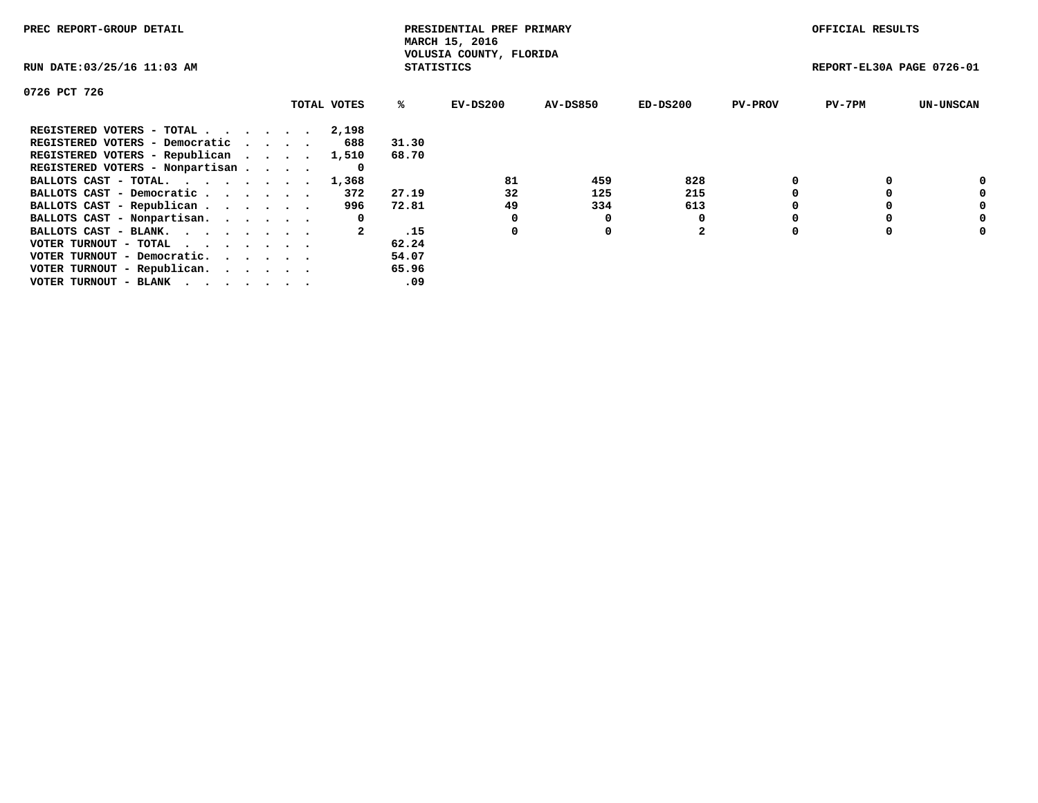| PREC REPORT-GROUP DETAIL                                    |             |                   | PRESIDENTIAL PREF PRIMARY<br>MARCH 15, 2016 |          |                |                | OFFICIAL RESULTS          |                  |
|-------------------------------------------------------------|-------------|-------------------|---------------------------------------------|----------|----------------|----------------|---------------------------|------------------|
| RUN DATE: 03/25/16 11:03 AM                                 |             | <b>STATISTICS</b> | VOLUSIA COUNTY, FLORIDA                     |          |                |                | REPORT-EL30A PAGE 0726-01 |                  |
| 0726 PCT 726                                                |             |                   |                                             |          |                |                |                           |                  |
|                                                             | TOTAL VOTES | ℁                 | $EV-DS200$                                  | AV-DS850 | $ED-DS200$     | <b>PV-PROV</b> | $PV-7PM$                  | <b>UN-UNSCAN</b> |
| REGISTERED VOTERS - TOTAL                                   | 2,198       |                   |                                             |          |                |                |                           |                  |
| REGISTERED VOTERS - Democratic                              | 688         | 31.30             |                                             |          |                |                |                           |                  |
| REGISTERED VOTERS - Republican                              | 1,510       | 68.70             |                                             |          |                |                |                           |                  |
| REGISTERED VOTERS - Nonpartisan                             | 0           |                   |                                             |          |                |                |                           |                  |
| BALLOTS CAST - TOTAL.                                       | 1,368       |                   | 81                                          | 459      | 828            |                |                           | 0                |
| BALLOTS CAST - Democratic                                   | 372         | 27.19             | 32                                          | 125      | 215            |                |                           | 0                |
| BALLOTS CAST - Republican                                   | 996         | 72.81             | 49                                          | 334      | 613            |                |                           | 0                |
| BALLOTS CAST - Nonpartisan.                                 | 0           |                   |                                             | 0        |                |                |                           | 0                |
| BALLOTS CAST - BLANK.                                       |             | .15               | 0                                           | 0        | $\overline{2}$ |                |                           | 0                |
| VOTER TURNOUT - TOTAL $\cdot \cdot \cdot \cdot \cdot \cdot$ |             | 62.24             |                                             |          |                |                |                           |                  |
| VOTER TURNOUT - Democratic.                                 |             | 54.07             |                                             |          |                |                |                           |                  |
| VOTER TURNOUT - Republican.                                 |             | 65.96             |                                             |          |                |                |                           |                  |
| VOTER TURNOUT - BLANK                                       |             | .09               |                                             |          |                |                |                           |                  |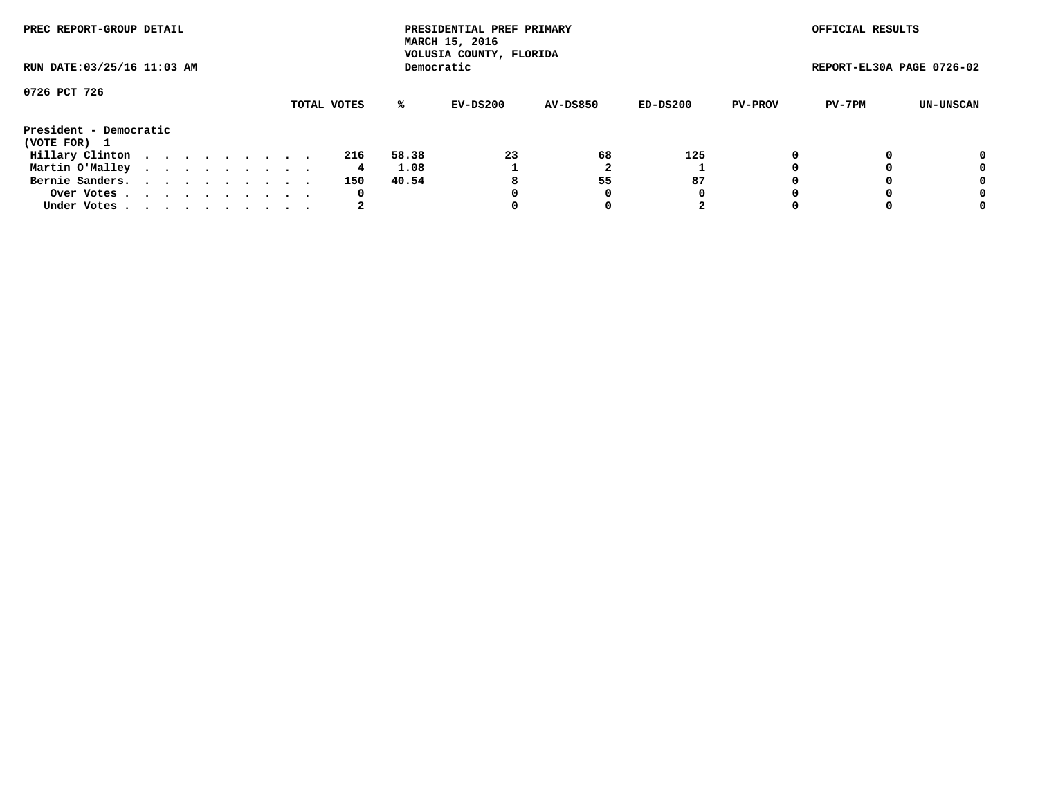| PREC REPORT-GROUP DETAIL    |  |  |  |  |             |       | PRESIDENTIAL PREF PRIMARY<br>MARCH 15, 2016<br>VOLUSIA COUNTY, FLORIDA |          |          |                | OFFICIAL RESULTS          |           |
|-----------------------------|--|--|--|--|-------------|-------|------------------------------------------------------------------------|----------|----------|----------------|---------------------------|-----------|
| RUN DATE: 03/25/16 11:03 AM |  |  |  |  |             |       | Democratic                                                             |          |          |                | REPORT-EL30A PAGE 0726-02 |           |
| 0726 PCT 726                |  |  |  |  |             |       |                                                                        |          |          |                |                           |           |
|                             |  |  |  |  | TOTAL VOTES | ℁     | EV-DS200                                                               | AV-DS850 | ED-DS200 | <b>PV-PROV</b> | PV-7PM                    | UN-UNSCAN |
| President - Democratic      |  |  |  |  |             |       |                                                                        |          |          |                |                           |           |
| (VOTE FOR) 1                |  |  |  |  |             |       |                                                                        |          |          |                |                           |           |
| Hillary Clinton             |  |  |  |  | 216         | 58.38 | 23                                                                     | 68       | 125      | 0              |                           | 0         |
| Martin O'Malley             |  |  |  |  | 4           | 1.08  |                                                                        |          |          |                |                           | 0         |
| Bernie Sanders.             |  |  |  |  | 150         | 40.54 | 8                                                                      | 55       | 87       |                |                           | 0         |
| Over Votes                  |  |  |  |  | 0           |       | 0                                                                      | 0        | 0        |                |                           | 0         |
| Under Votes.                |  |  |  |  | 2           |       |                                                                        | 0        | 2        |                |                           | 0         |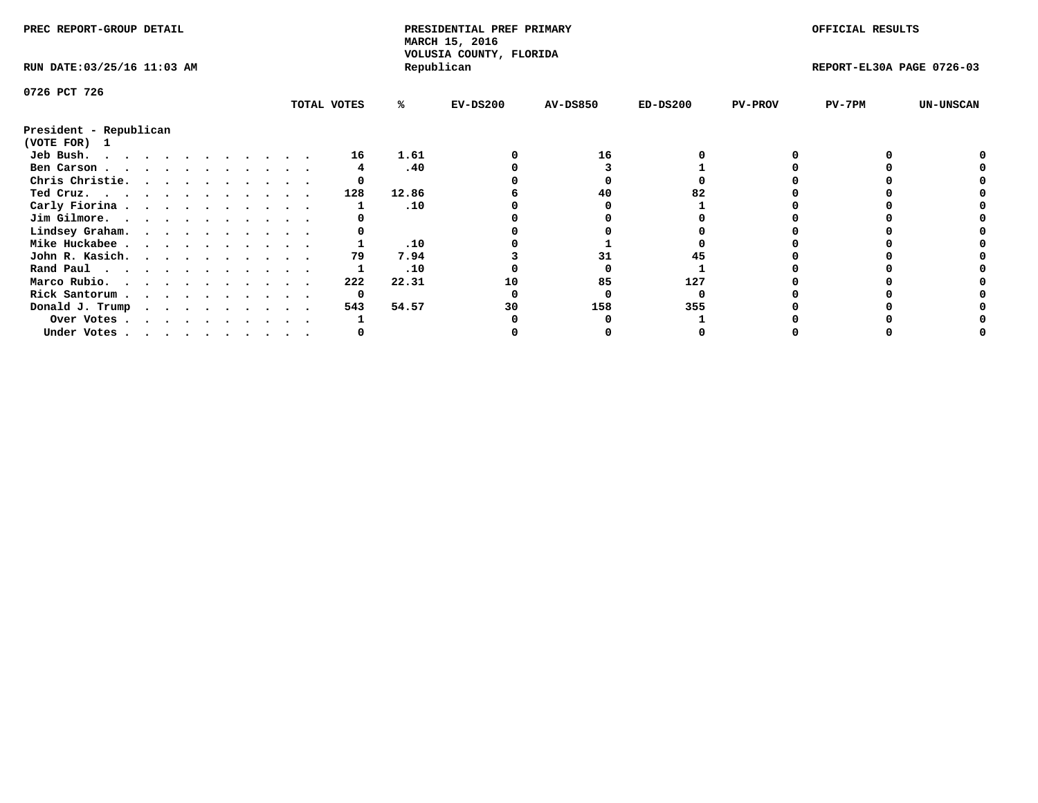| PREC REPORT-GROUP DETAIL    |  |  |  |  |  |             |       | PRESIDENTIAL PREF PRIMARY<br>MARCH 15, 2016<br>VOLUSIA COUNTY, FLORIDA |                 |            |                | OFFICIAL RESULTS          |                  |
|-----------------------------|--|--|--|--|--|-------------|-------|------------------------------------------------------------------------|-----------------|------------|----------------|---------------------------|------------------|
| RUN DATE: 03/25/16 11:03 AM |  |  |  |  |  |             |       | Republican                                                             |                 |            |                | REPORT-EL30A PAGE 0726-03 |                  |
| 0726 PCT 726                |  |  |  |  |  |             |       |                                                                        |                 |            |                |                           |                  |
|                             |  |  |  |  |  | TOTAL VOTES | %ะ    | $EV-DS200$                                                             | <b>AV-DS850</b> | $ED-DS200$ | <b>PV-PROV</b> | $PV-7PM$                  | <b>UN-UNSCAN</b> |
| President - Republican      |  |  |  |  |  |             |       |                                                                        |                 |            |                |                           |                  |
| (VOTE FOR) 1                |  |  |  |  |  |             |       |                                                                        |                 |            |                |                           |                  |
| Jeb Bush.                   |  |  |  |  |  | 16          | 1.61  |                                                                        | 16              |            |                |                           |                  |
| Ben Carson                  |  |  |  |  |  |             | .40   |                                                                        |                 |            |                |                           |                  |
| Chris Christie.             |  |  |  |  |  |             |       |                                                                        |                 |            |                |                           |                  |
| Ted Cruz.                   |  |  |  |  |  | 128         | 12.86 |                                                                        | 40              |            |                |                           |                  |
| Carly Fiorina               |  |  |  |  |  |             | .10   |                                                                        |                 |            |                |                           |                  |
| Jim Gilmore.                |  |  |  |  |  |             |       |                                                                        |                 |            |                |                           |                  |
| Lindsey Graham.             |  |  |  |  |  |             |       |                                                                        |                 |            |                |                           |                  |
| Mike Huckabee               |  |  |  |  |  |             | .10   |                                                                        |                 |            |                |                           |                  |
| John R. Kasich.             |  |  |  |  |  | 79          | 7.94  |                                                                        | 31              |            |                |                           |                  |
| Rand Paul                   |  |  |  |  |  |             | .10   |                                                                        |                 |            |                |                           |                  |
| Marco Rubio.                |  |  |  |  |  | 222         | 22.31 | 10                                                                     | 85              | 127        |                |                           |                  |
| Rick Santorum               |  |  |  |  |  | 0           |       |                                                                        |                 |            |                |                           |                  |
| Donald J. Trump             |  |  |  |  |  | 543         | 54.57 | 30                                                                     | 158             | 355        |                |                           |                  |
| Over Votes                  |  |  |  |  |  |             |       |                                                                        |                 |            |                |                           |                  |
| Under Votes                 |  |  |  |  |  |             |       |                                                                        |                 |            |                |                           |                  |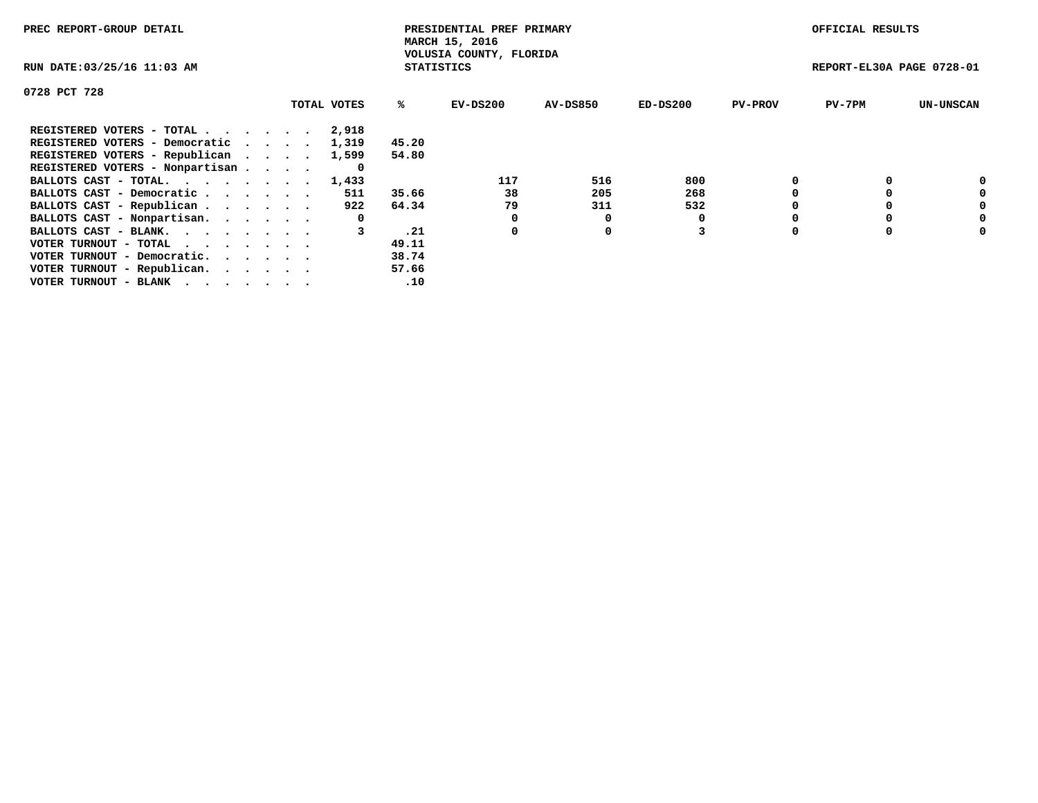| PREC REPORT-GROUP DETAIL                                    |             |                   | PRESIDENTIAL PREF PRIMARY<br>MARCH 15, 2016 |          |            |                | OFFICIAL RESULTS          |                  |
|-------------------------------------------------------------|-------------|-------------------|---------------------------------------------|----------|------------|----------------|---------------------------|------------------|
| RUN DATE: 03/25/16 11:03 AM                                 |             | <b>STATISTICS</b> | VOLUSIA COUNTY, FLORIDA                     |          |            |                | REPORT-EL30A PAGE 0728-01 |                  |
| 0728 PCT 728                                                |             |                   |                                             |          |            |                |                           |                  |
|                                                             | TOTAL VOTES | %ะ                | EV-DS200                                    | AV-DS850 | $ED-DS200$ | <b>PV-PROV</b> | $PV-7PM$                  | <b>UN-UNSCAN</b> |
| REGISTERED VOTERS - TOTAL                                   | 2,918       |                   |                                             |          |            |                |                           |                  |
| REGISTERED VOTERS - Democratic                              | 1,319       | 45.20             |                                             |          |            |                |                           |                  |
| REGISTERED VOTERS - Republican                              | 1,599       | 54.80             |                                             |          |            |                |                           |                  |
| REGISTERED VOTERS - Nonpartisan                             | 0           |                   |                                             |          |            |                |                           |                  |
| BALLOTS CAST - TOTAL. 1,433                                 |             |                   | 117                                         | 516      | 800        |                |                           | 0                |
| BALLOTS CAST - Democratic                                   | 511         | 35.66             | 38                                          | 205      | 268        |                |                           | 0                |
| BALLOTS CAST - Republican                                   | 922         | 64.34             | 79                                          | 311      | 532        |                |                           | 0                |
| BALLOTS CAST - Nonpartisan.                                 | 0           |                   | 0                                           | O        |            |                |                           | 0                |
| BALLOTS CAST - BLANK.                                       |             | .21               | 0                                           | 0        |            |                |                           | 0                |
| VOTER TURNOUT - TOTAL $\cdot \cdot \cdot \cdot \cdot \cdot$ |             | 49.11             |                                             |          |            |                |                           |                  |
| VOTER TURNOUT - Democratic.                                 |             | 38.74             |                                             |          |            |                |                           |                  |
| VOTER TURNOUT - Republican.                                 |             | 57.66             |                                             |          |            |                |                           |                  |
| VOTER TURNOUT - BLANK                                       |             | .10               |                                             |          |            |                |                           |                  |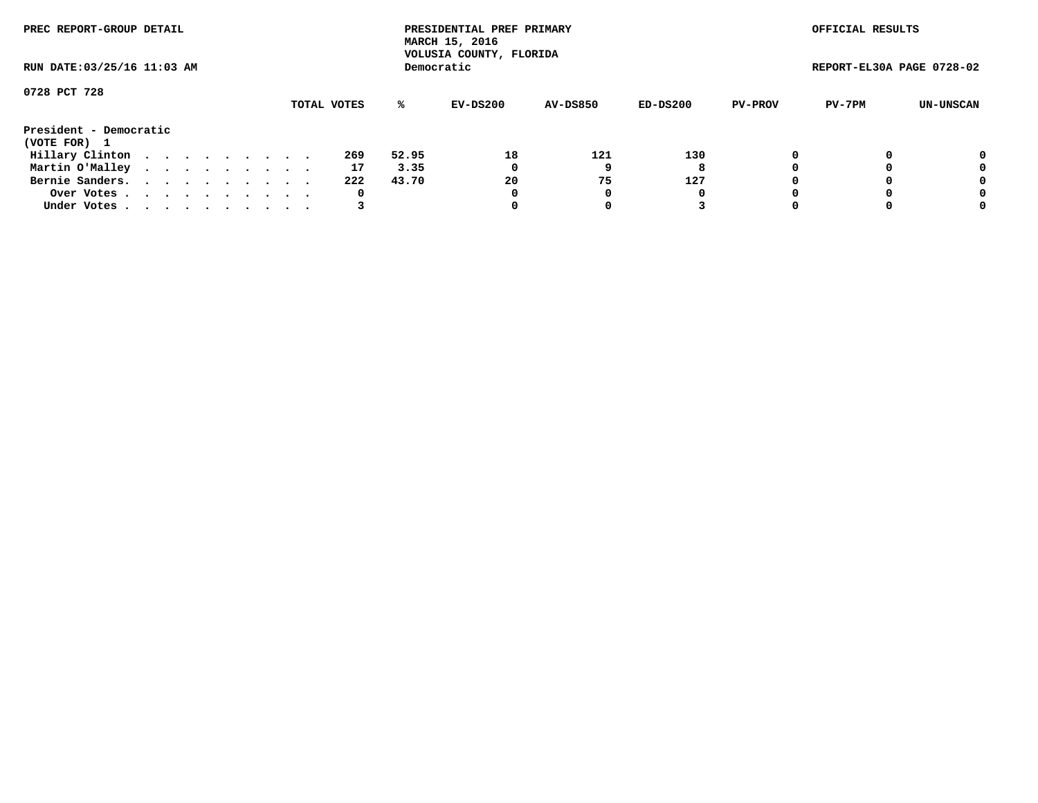| PREC REPORT-GROUP DETAIL    |  |  |  |  |             |       | PRESIDENTIAL PREF PRIMARY<br>MARCH 15, 2016<br>VOLUSIA COUNTY, FLORIDA |                 |          |                | OFFICIAL RESULTS          |           |
|-----------------------------|--|--|--|--|-------------|-------|------------------------------------------------------------------------|-----------------|----------|----------------|---------------------------|-----------|
| RUN DATE: 03/25/16 11:03 AM |  |  |  |  |             |       | Democratic                                                             |                 |          |                | REPORT-EL30A PAGE 0728-02 |           |
| 0728 PCT 728                |  |  |  |  | TOTAL VOTES | ℁     | EV-DS200                                                               | <b>AV-DS850</b> | ED-DS200 | <b>PV-PROV</b> | PV-7PM                    | UN-UNSCAN |
| President - Democratic      |  |  |  |  |             |       |                                                                        |                 |          |                |                           |           |
| (VOTE FOR) 1                |  |  |  |  |             |       |                                                                        |                 |          |                |                           |           |
| Hillary Clinton             |  |  |  |  | 269         | 52.95 | 18                                                                     | 121             | 130      |                |                           | 0         |
| Martin O'Malley             |  |  |  |  | 17          | 3.35  | 0                                                                      |                 | 8        |                |                           | 0         |
| Bernie Sanders.             |  |  |  |  | 222         | 43.70 | 20                                                                     | 75              | 127      |                |                           | 0         |
| Over Votes.                 |  |  |  |  | 0           |       | 0                                                                      | 0               | 0        |                |                           | 0         |
| Under Votes                 |  |  |  |  |             |       |                                                                        |                 |          |                |                           | 0         |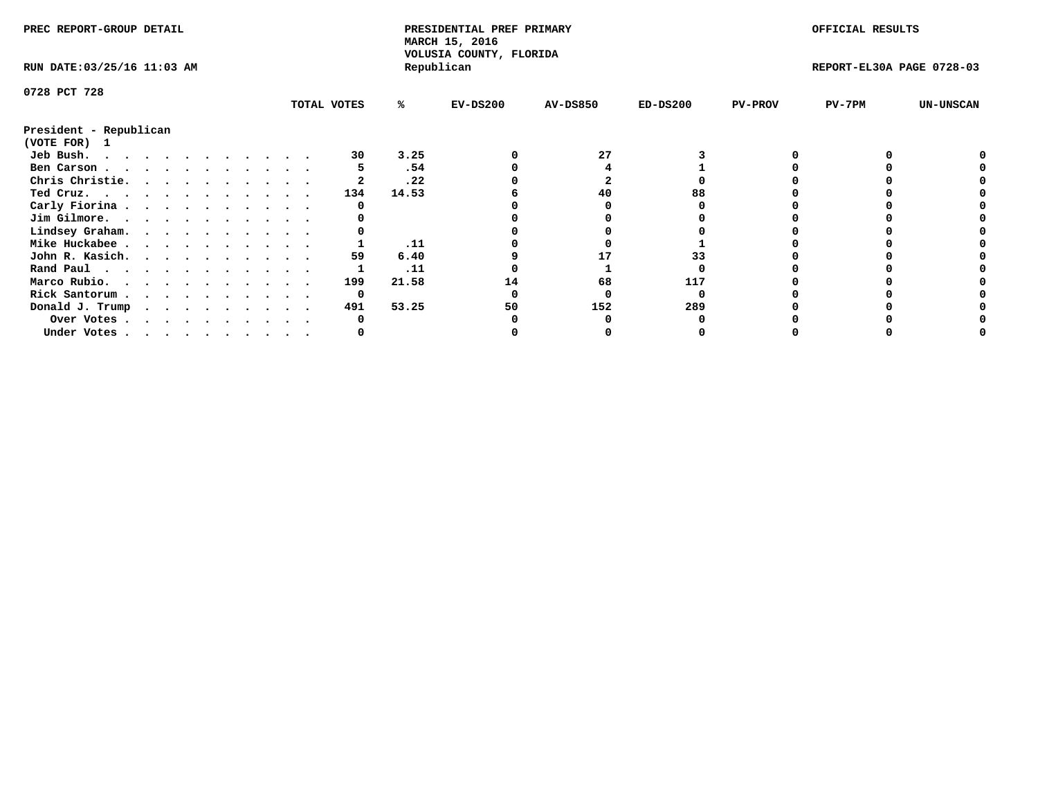| PREC REPORT-GROUP DETAIL    |  |  |  |  |  |             |       | PRESIDENTIAL PREF PRIMARY<br>MARCH 15, 2016<br>VOLUSIA COUNTY, FLORIDA |                 |            |                | OFFICIAL RESULTS          |                  |
|-----------------------------|--|--|--|--|--|-------------|-------|------------------------------------------------------------------------|-----------------|------------|----------------|---------------------------|------------------|
| RUN DATE: 03/25/16 11:03 AM |  |  |  |  |  |             |       | Republican                                                             |                 |            |                | REPORT-EL30A PAGE 0728-03 |                  |
| 0728 PCT 728                |  |  |  |  |  |             |       |                                                                        |                 |            |                |                           |                  |
|                             |  |  |  |  |  | TOTAL VOTES | %ะ    | $EV-DS200$                                                             | <b>AV-DS850</b> | $ED-DS200$ | <b>PV-PROV</b> | $PV-7PM$                  | <b>UN-UNSCAN</b> |
| President - Republican      |  |  |  |  |  |             |       |                                                                        |                 |            |                |                           |                  |
| (VOTE FOR) 1                |  |  |  |  |  |             |       |                                                                        |                 |            |                |                           |                  |
| Jeb Bush.                   |  |  |  |  |  | 30          | 3.25  |                                                                        | 27              |            |                |                           |                  |
| Ben Carson                  |  |  |  |  |  |             | .54   |                                                                        |                 |            |                |                           |                  |
| Chris Christie.             |  |  |  |  |  |             | .22   |                                                                        |                 |            |                |                           |                  |
| Ted Cruz.                   |  |  |  |  |  | 134         | 14.53 |                                                                        | 40              |            |                |                           |                  |
| Carly Fiorina               |  |  |  |  |  |             |       |                                                                        |                 |            |                |                           |                  |
| Jim Gilmore.                |  |  |  |  |  |             |       |                                                                        |                 |            |                |                           |                  |
| Lindsey Graham.             |  |  |  |  |  |             |       |                                                                        |                 |            |                |                           |                  |
| Mike Huckabee               |  |  |  |  |  |             | .11   |                                                                        |                 |            |                |                           |                  |
| John R. Kasich.             |  |  |  |  |  | 59          | 6.40  |                                                                        |                 | 33         |                |                           |                  |
| Rand Paul                   |  |  |  |  |  |             | .11   |                                                                        |                 |            |                |                           |                  |
| Marco Rubio.                |  |  |  |  |  | 199         | 21.58 | 14                                                                     | 68              | 117        |                |                           |                  |
| Rick Santorum               |  |  |  |  |  | 0           |       |                                                                        |                 |            |                |                           |                  |
| Donald J. Trump             |  |  |  |  |  | 491         | 53.25 | 50                                                                     | 152             | 289        |                |                           |                  |
| Over Votes                  |  |  |  |  |  |             |       |                                                                        |                 |            |                |                           |                  |
| Under Votes                 |  |  |  |  |  |             |       |                                                                        |                 |            |                |                           |                  |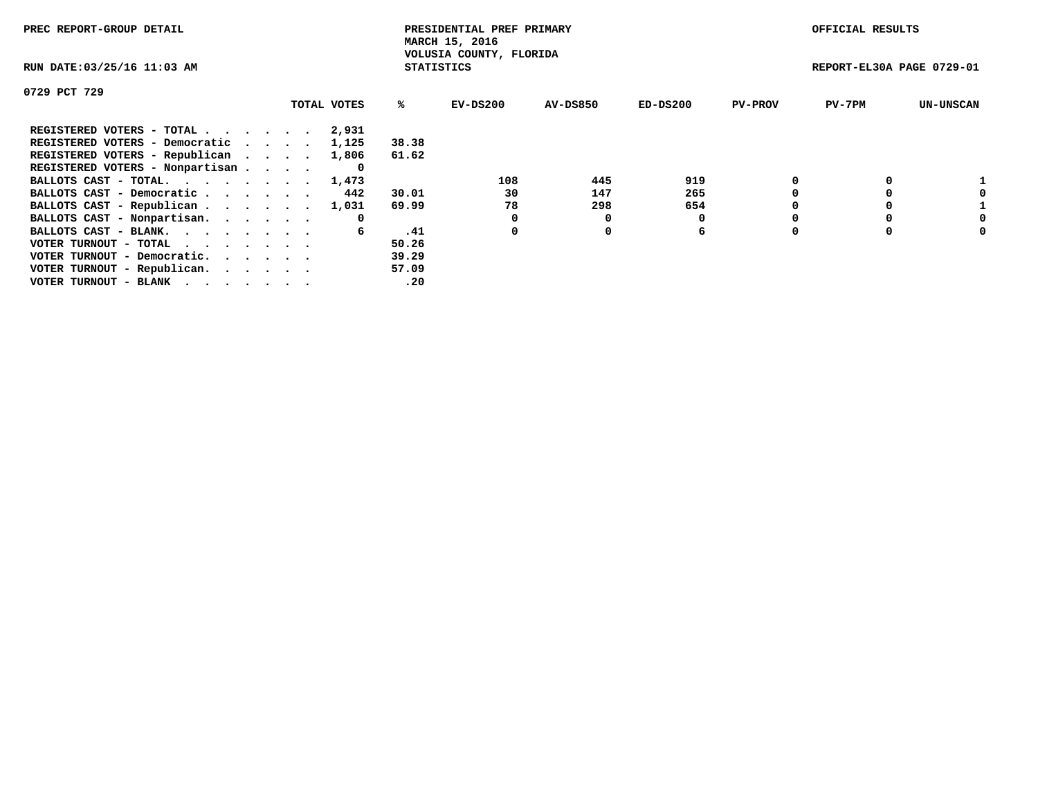| PREC REPORT-GROUP DETAIL                                    |             |                   | PRESIDENTIAL PREF PRIMARY<br>MARCH 15, 2016 |          |            |                | OFFICIAL RESULTS          |                  |
|-------------------------------------------------------------|-------------|-------------------|---------------------------------------------|----------|------------|----------------|---------------------------|------------------|
| RUN DATE: 03/25/16 11:03 AM                                 |             | <b>STATISTICS</b> | VOLUSIA COUNTY, FLORIDA                     |          |            |                | REPORT-EL30A PAGE 0729-01 |                  |
| 0729 PCT 729                                                |             |                   |                                             |          |            |                |                           |                  |
|                                                             | TOTAL VOTES | %ะ                | EV-DS200                                    | AV-DS850 | $ED-DS200$ | <b>PV-PROV</b> | $PV-7PM$                  | <b>UN-UNSCAN</b> |
| REGISTERED VOTERS - TOTAL                                   | 2,931       |                   |                                             |          |            |                |                           |                  |
| REGISTERED VOTERS - Democratic                              | 1,125       | 38.38             |                                             |          |            |                |                           |                  |
| REGISTERED VOTERS - Republican                              | 1,806       | 61.62             |                                             |          |            |                |                           |                  |
| REGISTERED VOTERS - Nonpartisan                             |             |                   |                                             |          |            |                |                           |                  |
| BALLOTS CAST - TOTAL.                                       | 1,473       |                   | 108                                         | 445      | 919        |                |                           |                  |
| BALLOTS CAST - Democratic                                   | 442         | 30.01             | 30                                          | 147      | 265        |                |                           |                  |
| BALLOTS CAST - Republican                                   | 1,031       | 69.99             | 78                                          | 298      | 654        |                |                           |                  |
| BALLOTS CAST - Nonpartisan.                                 | 0           |                   |                                             | O        |            |                |                           | 0                |
| BALLOTS CAST - BLANK.                                       | 6           | .41               | 0                                           | 0        | 6          |                |                           | 0                |
| VOTER TURNOUT - TOTAL $\cdot \cdot \cdot \cdot \cdot \cdot$ |             | 50.26             |                                             |          |            |                |                           |                  |
| VOTER TURNOUT - Democratic.                                 |             | 39.29             |                                             |          |            |                |                           |                  |
| VOTER TURNOUT - Republican.                                 |             | 57.09             |                                             |          |            |                |                           |                  |
| VOTER TURNOUT - BLANK                                       |             | .20               |                                             |          |            |                |                           |                  |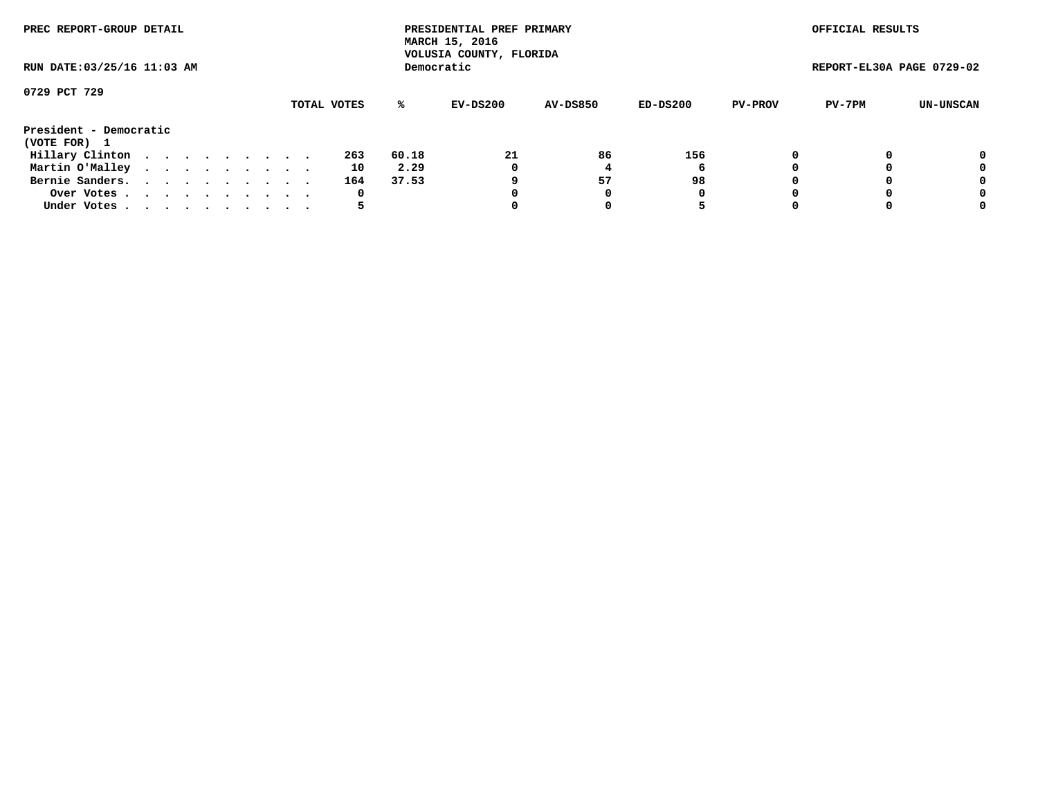| PREC REPORT-GROUP DETAIL               |  |  |  |  |             |       | PRESIDENTIAL PREF PRIMARY<br>MARCH 15, 2016<br>VOLUSIA COUNTY, FLORIDA |                 |          |                | OFFICIAL RESULTS          |           |
|----------------------------------------|--|--|--|--|-------------|-------|------------------------------------------------------------------------|-----------------|----------|----------------|---------------------------|-----------|
| RUN DATE: 03/25/16 11:03 AM            |  |  |  |  |             |       | Democratic                                                             |                 |          |                | REPORT-EL30A PAGE 0729-02 |           |
| 0729 PCT 729                           |  |  |  |  |             |       |                                                                        |                 |          |                |                           |           |
|                                        |  |  |  |  | TOTAL VOTES | ℁     | EV-DS200                                                               | <b>AV-DS850</b> | ED-DS200 | <b>PV-PROV</b> | PV-7PM                    | UN-UNSCAN |
| President - Democratic<br>(VOTE FOR) 1 |  |  |  |  |             |       |                                                                        |                 |          |                |                           |           |
| Hillary Clinton                        |  |  |  |  | 263         | 60.18 | 21                                                                     | 86              | 156      |                |                           | 0         |
| Martin O'Malley                        |  |  |  |  | 10          | 2.29  | 0                                                                      |                 | 6        |                |                           | 0         |
| Bernie Sanders.                        |  |  |  |  | 164         | 37.53 |                                                                        | 57              | 98       |                |                           | 0         |
| Over Votes.                            |  |  |  |  | 0           |       | 0                                                                      | 0               | 0        |                |                           | 0         |
| Under Votes                            |  |  |  |  |             |       |                                                                        |                 | 5        |                |                           | 0         |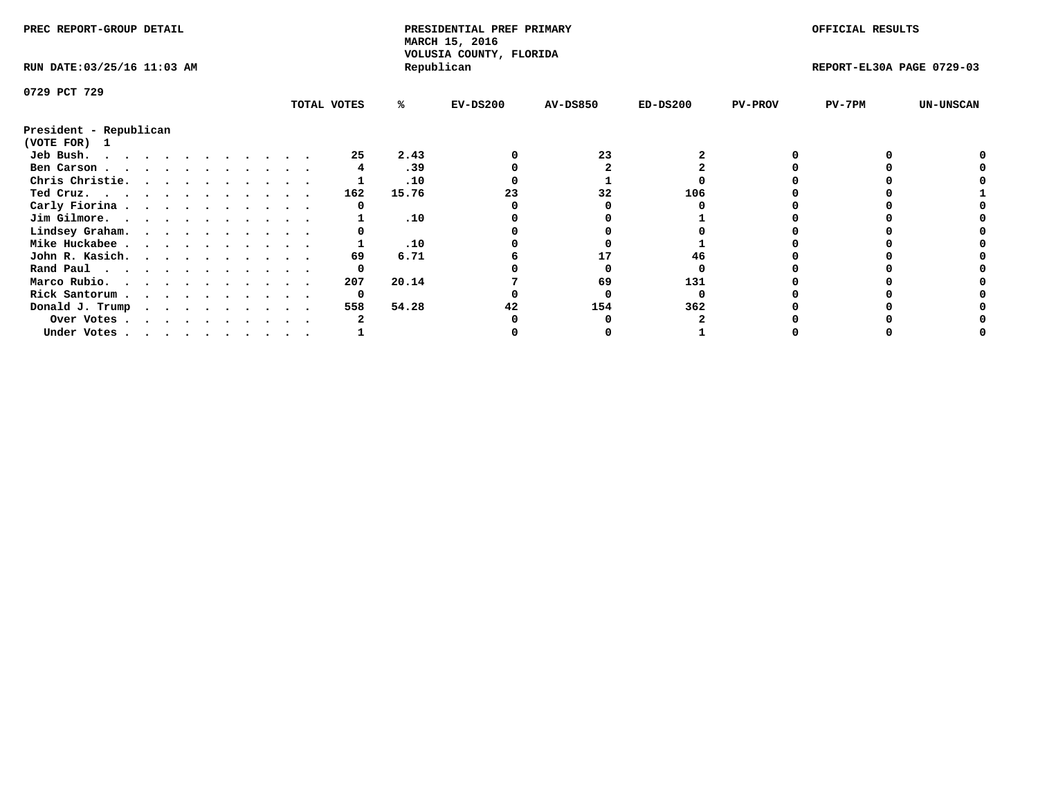| PREC REPORT-GROUP DETAIL    |             |       | PRESIDENTIAL PREF PRIMARY<br>MARCH 15, 2016<br>VOLUSIA COUNTY, FLORIDA |                 |            |                | OFFICIAL RESULTS          |                  |
|-----------------------------|-------------|-------|------------------------------------------------------------------------|-----------------|------------|----------------|---------------------------|------------------|
| RUN DATE: 03/25/16 11:03 AM |             |       | Republican                                                             |                 |            |                | REPORT-EL30A PAGE 0729-03 |                  |
| 0729 PCT 729                |             |       |                                                                        |                 |            |                |                           |                  |
|                             | TOTAL VOTES | %ะ    | $EV-DS200$                                                             | <b>AV-DS850</b> | $ED-DS200$ | <b>PV-PROV</b> | $PV-7PM$                  | <b>UN-UNSCAN</b> |
| President - Republican      |             |       |                                                                        |                 |            |                |                           |                  |
| (VOTE FOR) 1                |             |       |                                                                        |                 |            |                |                           |                  |
| Jeb Bush.                   | 25          | 2.43  |                                                                        | 23              |            |                |                           |                  |
| Ben Carson                  |             | .39   |                                                                        |                 |            |                |                           |                  |
| Chris Christie.             |             | .10   |                                                                        |                 |            |                |                           |                  |
| Ted Cruz.                   | 162         | 15.76 |                                                                        | 32              | 106        |                |                           |                  |
| Carly Fiorina               |             |       |                                                                        |                 |            |                |                           |                  |
| Jim Gilmore.                |             | .10   |                                                                        |                 |            |                |                           |                  |
| Lindsey Graham.             |             |       |                                                                        |                 |            |                |                           |                  |
| Mike Huckabee               |             | .10   |                                                                        |                 |            |                |                           |                  |
| John R. Kasich.             | 69          | 6.71  |                                                                        | 17              | 46         |                |                           |                  |
| Rand Paul                   |             |       |                                                                        |                 |            |                |                           |                  |
| Marco Rubio.                | 207         | 20.14 |                                                                        | 69              | 131        |                |                           |                  |
| Rick Santorum               | 0           |       |                                                                        |                 |            |                |                           |                  |
| Donald J. Trump             | 558         | 54.28 |                                                                        | 154             | 362        |                |                           |                  |
| Over Votes                  |             |       |                                                                        |                 |            |                |                           |                  |
| Under Votes                 |             |       |                                                                        |                 |            |                |                           |                  |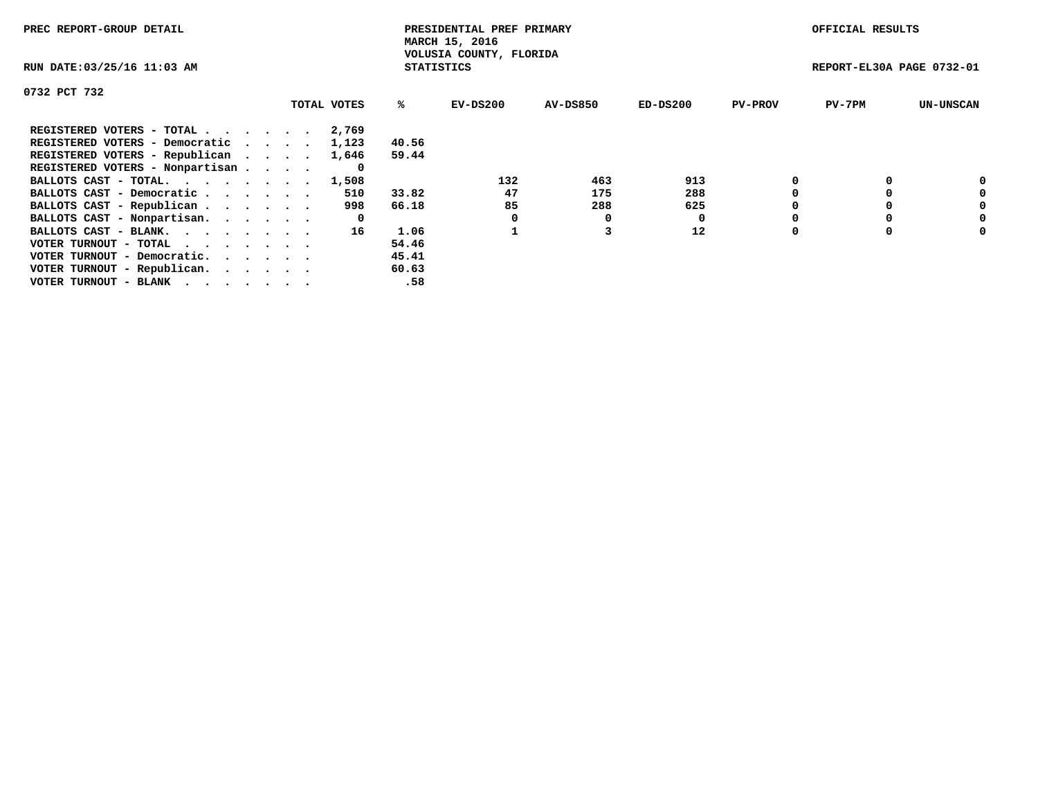| PREC REPORT-GROUP DETAIL                                    |             |                   | PRESIDENTIAL PREF PRIMARY<br>MARCH 15, 2016 |          |            |                | OFFICIAL RESULTS          |                  |
|-------------------------------------------------------------|-------------|-------------------|---------------------------------------------|----------|------------|----------------|---------------------------|------------------|
| RUN DATE: 03/25/16 11:03 AM                                 |             | <b>STATISTICS</b> | VOLUSIA COUNTY, FLORIDA                     |          |            |                | REPORT-EL30A PAGE 0732-01 |                  |
| 0732 PCT 732                                                |             |                   |                                             |          |            |                |                           |                  |
|                                                             | TOTAL VOTES | %ร                | EV-DS200                                    | AV-DS850 | $ED-DS200$ | <b>PV-PROV</b> | $PV-7PM$                  | <b>UN-UNSCAN</b> |
| REGISTERED VOTERS - TOTAL                                   | 2,769       |                   |                                             |          |            |                |                           |                  |
| REGISTERED VOTERS - Democratic                              | 1,123       | 40.56             |                                             |          |            |                |                           |                  |
| REGISTERED VOTERS - Republican                              | 1,646       | 59.44             |                                             |          |            |                |                           |                  |
| REGISTERED VOTERS - Nonpartisan                             |             |                   |                                             |          |            |                |                           |                  |
| BALLOTS CAST - TOTAL. 1,508                                 |             |                   | 132                                         | 463      | 913        |                |                           | 0                |
| BALLOTS CAST - Democratic                                   | 510         | 33.82             | 47                                          | 175      | 288        |                |                           | 0                |
| BALLOTS CAST - Republican                                   | 998         | 66.18             | 85                                          | 288      | 625        |                |                           | 0                |
| BALLOTS CAST - Nonpartisan.                                 | 0           |                   |                                             | 0        | 0          |                |                           | 0                |
| BALLOTS CAST - BLANK.                                       | 16          | 1.06              |                                             |          | 12         | $\Omega$       |                           | 0                |
| VOTER TURNOUT - TOTAL $\cdot \cdot \cdot \cdot \cdot \cdot$ |             | 54.46             |                                             |          |            |                |                           |                  |
| VOTER TURNOUT - Democratic.                                 |             | 45.41             |                                             |          |            |                |                           |                  |
| VOTER TURNOUT - Republican.                                 |             | 60.63             |                                             |          |            |                |                           |                  |
| VOTER TURNOUT - BLANK                                       |             | .58               |                                             |          |            |                |                           |                  |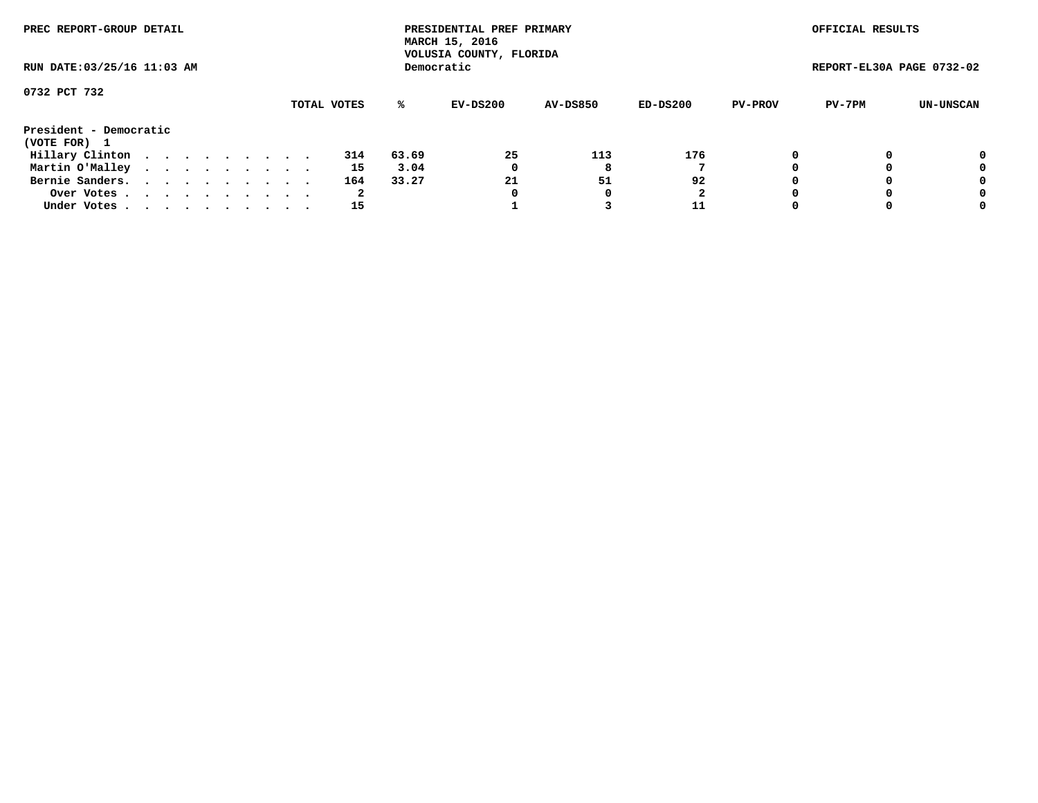| PREC REPORT-GROUP DETAIL    |  |  |  |  |             |       | PRESIDENTIAL PREF PRIMARY<br>MARCH 15, 2016<br>VOLUSIA COUNTY, FLORIDA |                 |          |                | OFFICIAL RESULTS          |           |
|-----------------------------|--|--|--|--|-------------|-------|------------------------------------------------------------------------|-----------------|----------|----------------|---------------------------|-----------|
| RUN DATE: 03/25/16 11:03 AM |  |  |  |  |             |       | Democratic                                                             |                 |          |                | REPORT-EL30A PAGE 0732-02 |           |
| 0732 PCT 732                |  |  |  |  |             |       |                                                                        |                 |          |                |                           |           |
|                             |  |  |  |  | TOTAL VOTES | ℁     | EV-DS200                                                               | <b>AV-DS850</b> | ED-DS200 | <b>PV-PROV</b> | PV-7PM                    | UN-UNSCAN |
| President - Democratic      |  |  |  |  |             |       |                                                                        |                 |          |                |                           |           |
| (VOTE FOR) 1                |  |  |  |  |             |       |                                                                        |                 |          |                |                           |           |
| Hillary Clinton             |  |  |  |  | 314         | 63.69 | 25                                                                     | 113             | 176      | 0              |                           | 0         |
| Martin O'Malley             |  |  |  |  | 15          | 3.04  | 0                                                                      | 8               |          |                |                           | 0         |
| Bernie Sanders.             |  |  |  |  | 164         | 33.27 | 21                                                                     | 51              | 92       |                |                           | 0         |
| Over Votes                  |  |  |  |  | 2           |       | 0                                                                      |                 | 2        |                |                           | 0         |
| Under Votes.                |  |  |  |  | 15          |       |                                                                        |                 | 11       |                |                           | 0         |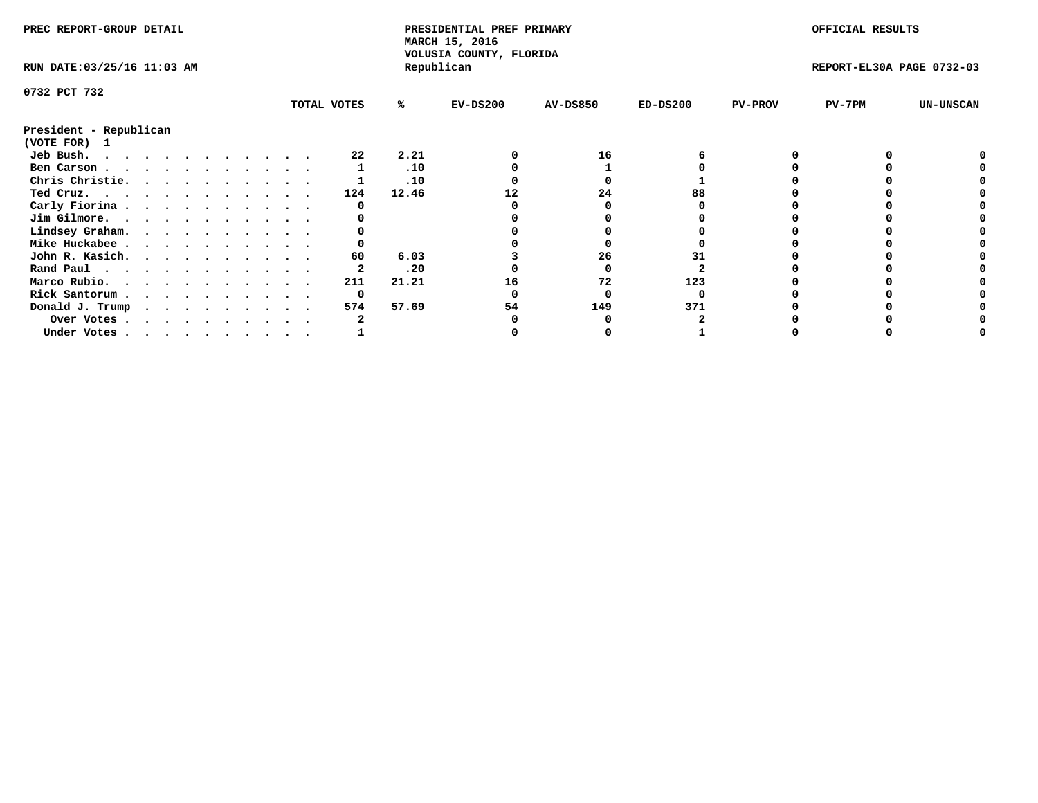| PREC REPORT-GROUP DETAIL    |  |  |  |  |  |             |       | PRESIDENTIAL PREF PRIMARY<br>MARCH 15, 2016<br>VOLUSIA COUNTY, FLORIDA |                 |            |                | OFFICIAL RESULTS          |                  |
|-----------------------------|--|--|--|--|--|-------------|-------|------------------------------------------------------------------------|-----------------|------------|----------------|---------------------------|------------------|
| RUN DATE: 03/25/16 11:03 AM |  |  |  |  |  |             |       | Republican                                                             |                 |            |                | REPORT-EL30A PAGE 0732-03 |                  |
| 0732 PCT 732                |  |  |  |  |  |             |       |                                                                        |                 |            |                |                           |                  |
|                             |  |  |  |  |  | TOTAL VOTES | %ะ    | $EV-DS200$                                                             | <b>AV-DS850</b> | $ED-DS200$ | <b>PV-PROV</b> | $PV-7PM$                  | <b>UN-UNSCAN</b> |
| President - Republican      |  |  |  |  |  |             |       |                                                                        |                 |            |                |                           |                  |
| (VOTE FOR) 1                |  |  |  |  |  |             |       |                                                                        |                 |            |                |                           |                  |
| Jeb Bush.                   |  |  |  |  |  | 22          | 2.21  |                                                                        | 16              |            |                |                           |                  |
| Ben Carson                  |  |  |  |  |  |             | .10   |                                                                        |                 |            |                |                           |                  |
| Chris Christie.             |  |  |  |  |  |             | .10   |                                                                        |                 |            |                |                           |                  |
| Ted Cruz.                   |  |  |  |  |  | 124         | 12.46 |                                                                        | 24              |            |                |                           |                  |
| Carly Fiorina               |  |  |  |  |  |             |       |                                                                        |                 |            |                |                           |                  |
| Jim Gilmore.                |  |  |  |  |  |             |       |                                                                        |                 |            |                |                           |                  |
| Lindsey Graham.             |  |  |  |  |  |             |       |                                                                        |                 |            |                |                           |                  |
| Mike Huckabee               |  |  |  |  |  |             |       |                                                                        |                 |            |                |                           |                  |
| John R. Kasich.             |  |  |  |  |  | 60          | 6.03  |                                                                        | 26              |            |                |                           |                  |
| Rand Paul                   |  |  |  |  |  |             | .20   |                                                                        |                 |            |                |                           |                  |
| Marco Rubio.                |  |  |  |  |  | 211         | 21.21 | 16                                                                     | 72              | 123        |                |                           |                  |
| Rick Santorum               |  |  |  |  |  | 0           |       |                                                                        |                 |            |                |                           |                  |
| Donald J. Trump             |  |  |  |  |  | 574         | 57.69 | 54                                                                     | 149             | 371        |                |                           |                  |
| Over Votes                  |  |  |  |  |  |             |       |                                                                        |                 |            |                |                           |                  |
| Under Votes                 |  |  |  |  |  |             |       |                                                                        |                 |            |                |                           |                  |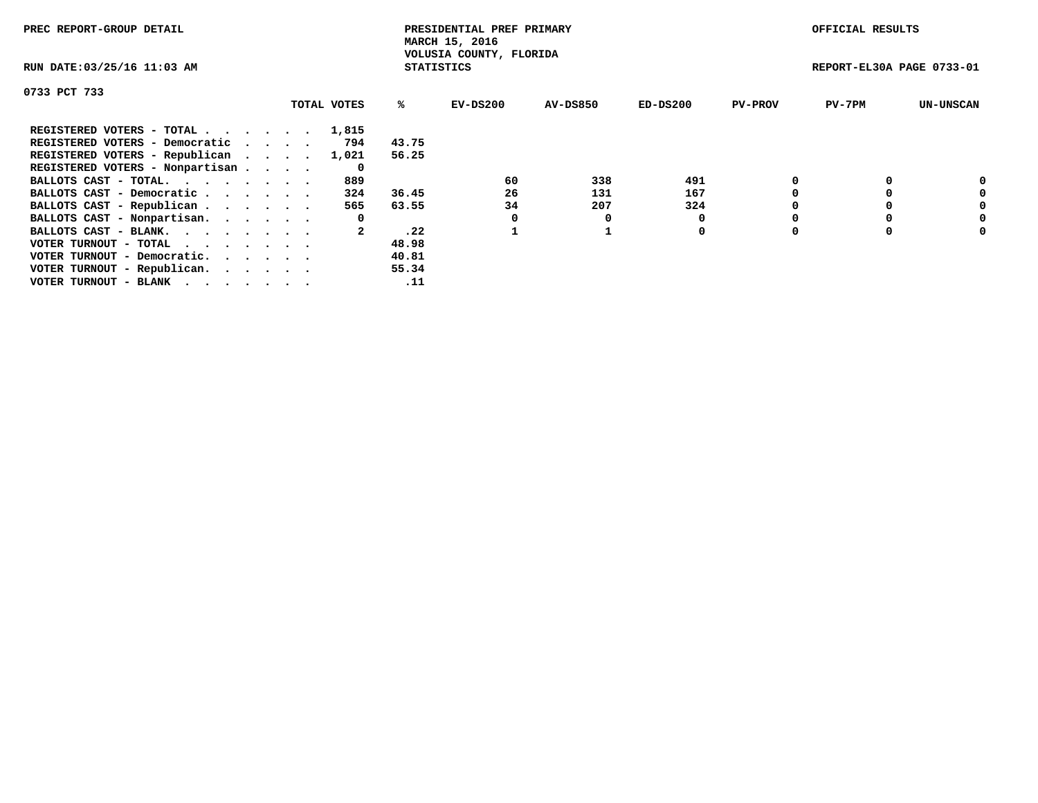| PREC REPORT-GROUP DETAIL                                    |             |                   | PRESIDENTIAL PREF PRIMARY<br>MARCH 15, 2016 |          |            |                | OFFICIAL RESULTS          |                  |
|-------------------------------------------------------------|-------------|-------------------|---------------------------------------------|----------|------------|----------------|---------------------------|------------------|
| RUN DATE: 03/25/16 11:03 AM                                 |             | <b>STATISTICS</b> | VOLUSIA COUNTY, FLORIDA                     |          |            |                | REPORT-EL30A PAGE 0733-01 |                  |
| 0733 PCT 733                                                |             |                   |                                             |          |            |                |                           |                  |
|                                                             | TOTAL VOTES | %ะ                | EV-DS200                                    | AV-DS850 | $ED-DS200$ | <b>PV-PROV</b> | $PV-7PM$                  | <b>UN-UNSCAN</b> |
| REGISTERED VOTERS - TOTAL                                   | 1,815       |                   |                                             |          |            |                |                           |                  |
| REGISTERED VOTERS - Democratic                              | 794         | 43.75             |                                             |          |            |                |                           |                  |
| REGISTERED VOTERS - Republican                              | 1,021       | 56.25             |                                             |          |            |                |                           |                  |
| REGISTERED VOTERS - Nonpartisan                             | 0           |                   |                                             |          |            |                |                           |                  |
| BALLOTS CAST - TOTAL.                                       | 889         |                   | 60                                          | 338      | 491        |                |                           | 0                |
| BALLOTS CAST - Democratic                                   | 324         | 36.45             | 26                                          | 131      | 167        |                |                           | 0                |
| BALLOTS CAST - Republican                                   | 565         | 63.55             | 34                                          | 207      | 324        |                |                           | 0                |
| BALLOTS CAST - Nonpartisan.                                 | 0           |                   |                                             | O        |            |                |                           | 0                |
| BALLOTS CAST - BLANK.                                       |             | .22               |                                             |          | 0          |                |                           | 0                |
| VOTER TURNOUT - TOTAL $\cdot \cdot \cdot \cdot \cdot \cdot$ |             | 48.98             |                                             |          |            |                |                           |                  |
| VOTER TURNOUT - Democratic.                                 |             | 40.81             |                                             |          |            |                |                           |                  |
| VOTER TURNOUT - Republican.                                 |             | 55.34             |                                             |          |            |                |                           |                  |
| VOTER TURNOUT - BLANK                                       |             | .11               |                                             |          |            |                |                           |                  |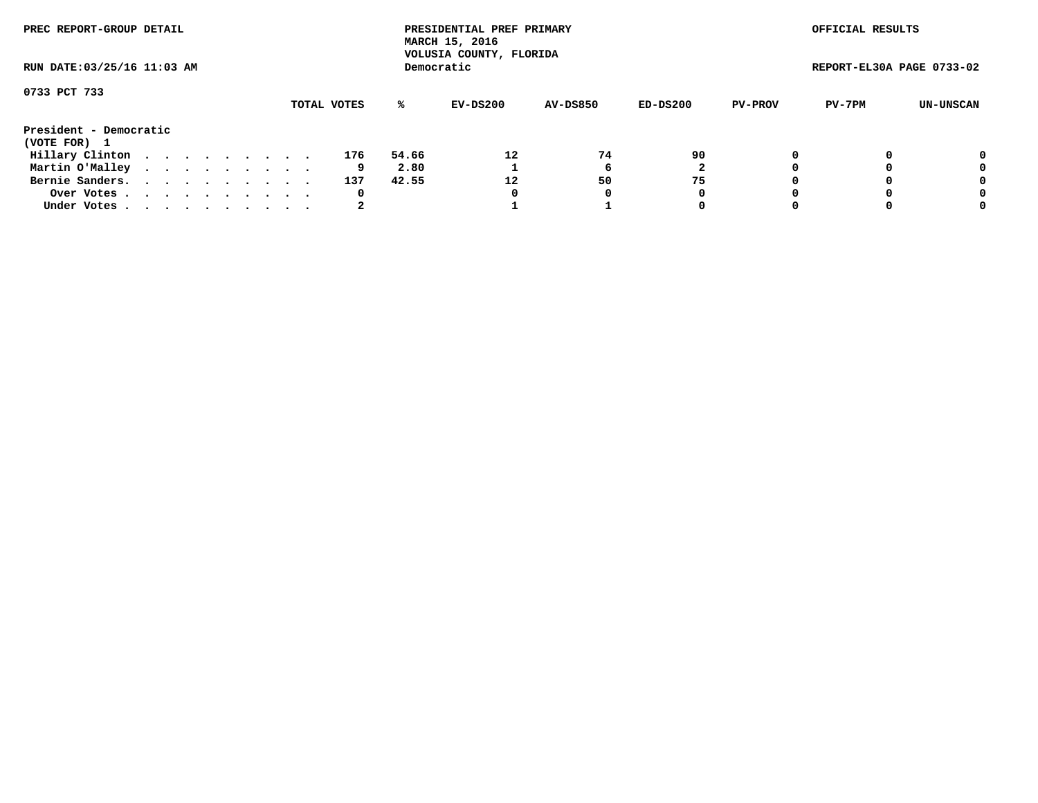| PREC REPORT-GROUP DETAIL<br>RUN DATE: 03/25/16 11:03 AM |  |  |  |  |  |  |  |  |             |       | PRESIDENTIAL PREF PRIMARY<br>MARCH 15, 2016<br>VOLUSIA COUNTY, FLORIDA |                 |          |                | OFFICIAL RESULTS          |           |
|---------------------------------------------------------|--|--|--|--|--|--|--|--|-------------|-------|------------------------------------------------------------------------|-----------------|----------|----------------|---------------------------|-----------|
|                                                         |  |  |  |  |  |  |  |  |             |       | Democratic                                                             |                 |          |                | REPORT-EL30A PAGE 0733-02 |           |
| 0733 PCT 733                                            |  |  |  |  |  |  |  |  | TOTAL VOTES | %ะ    | EV-DS200                                                               | <b>AV-DS850</b> | ED-DS200 | <b>PV-PROV</b> | PV-7PM                    | UN-UNSCAN |
|                                                         |  |  |  |  |  |  |  |  |             |       |                                                                        |                 |          |                |                           |           |
| President - Democratic<br>(VOTE FOR) 1                  |  |  |  |  |  |  |  |  |             |       |                                                                        |                 |          |                |                           |           |
| Hillary Clinton                                         |  |  |  |  |  |  |  |  | 176         | 54.66 | 12                                                                     | 74              | 90       |                |                           | 0         |
| Martin O'Malley                                         |  |  |  |  |  |  |  |  | 9           | 2.80  |                                                                        |                 |          |                |                           | 0         |
| Bernie Sanders.                                         |  |  |  |  |  |  |  |  | 137         | 42.55 | 12                                                                     | 50              | 75       |                |                           | 0         |
| Over Votes.                                             |  |  |  |  |  |  |  |  | 0           |       | 0                                                                      | 0               | 0        |                |                           | 0         |
| Under Votes.                                            |  |  |  |  |  |  |  |  |             |       |                                                                        |                 | 0        |                |                           | 0         |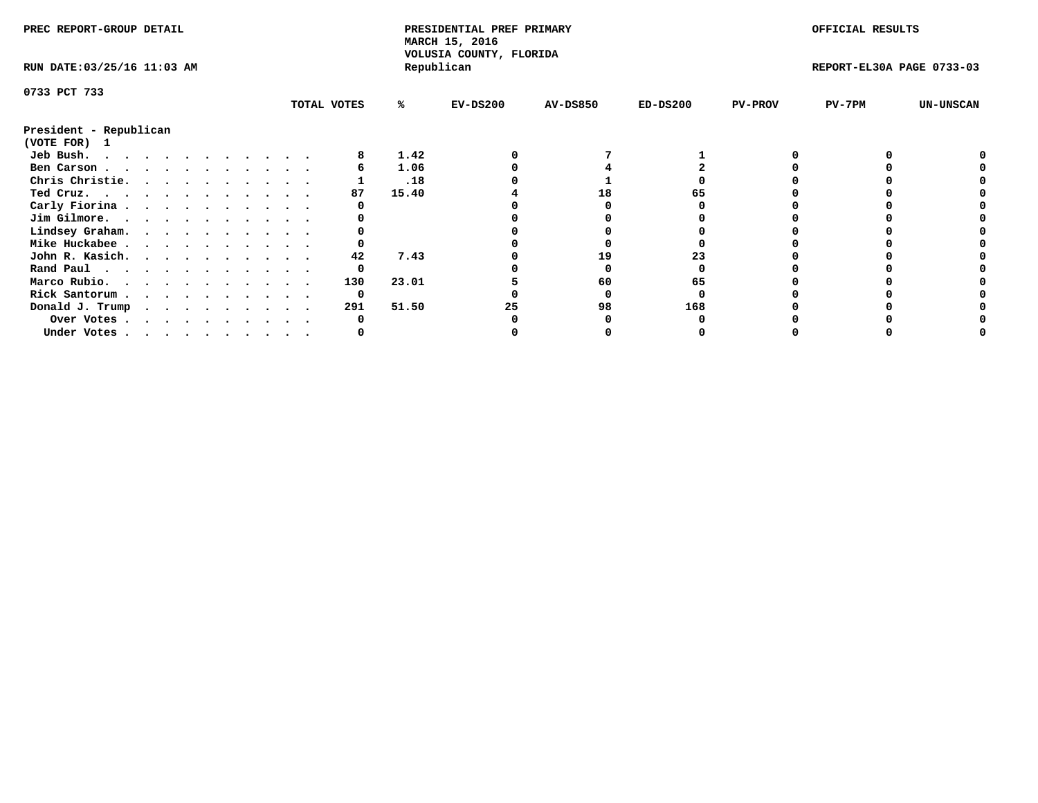| PREC REPORT-GROUP DETAIL                            |  |  |  |  |  |  |  | PRESIDENTIAL PREF PRIMARY<br>MARCH 15, 2016<br>VOLUSIA COUNTY, FLORIDA |       |            |                 | OFFICIAL RESULTS |                |                           |                  |
|-----------------------------------------------------|--|--|--|--|--|--|--|------------------------------------------------------------------------|-------|------------|-----------------|------------------|----------------|---------------------------|------------------|
| RUN DATE: 03/25/16 11:03 AM                         |  |  |  |  |  |  |  |                                                                        |       | Republican |                 |                  |                | REPORT-EL30A PAGE 0733-03 |                  |
| 0733 PCT 733                                        |  |  |  |  |  |  |  |                                                                        |       |            |                 |                  |                |                           |                  |
|                                                     |  |  |  |  |  |  |  | TOTAL VOTES                                                            | ℁     | $EV-DS200$ | <b>AV-DS850</b> | $ED-DS200$       | <b>PV-PROV</b> | $PV-7PM$                  | <b>UN-UNSCAN</b> |
| President - Republican<br>(VOTE FOR) 1              |  |  |  |  |  |  |  |                                                                        |       |            |                 |                  |                |                           |                  |
| Jeb Bush.                                           |  |  |  |  |  |  |  |                                                                        | 1.42  |            |                 |                  |                |                           |                  |
| Ben Carson                                          |  |  |  |  |  |  |  |                                                                        | 1.06  |            |                 |                  |                |                           |                  |
| Chris Christie.                                     |  |  |  |  |  |  |  |                                                                        | .18   |            |                 |                  |                |                           |                  |
| Ted Cruz.                                           |  |  |  |  |  |  |  | 87                                                                     | 15.40 |            | 18              |                  |                |                           |                  |
| Carly Fiorina                                       |  |  |  |  |  |  |  |                                                                        |       |            |                 |                  |                |                           |                  |
| Jim Gilmore.                                        |  |  |  |  |  |  |  |                                                                        |       |            |                 |                  |                |                           |                  |
| Lindsey Graham.                                     |  |  |  |  |  |  |  |                                                                        |       |            |                 |                  |                |                           |                  |
| Mike Huckabee                                       |  |  |  |  |  |  |  |                                                                        |       |            |                 |                  |                |                           |                  |
| John R. Kasich.                                     |  |  |  |  |  |  |  | 42                                                                     | 7.43  |            | 19              |                  |                |                           |                  |
| Rand Paul                                           |  |  |  |  |  |  |  | 0                                                                      |       |            |                 |                  |                |                           |                  |
| Marco Rubio.                                        |  |  |  |  |  |  |  | 130                                                                    | 23.01 |            | 60              | 65               |                |                           |                  |
|                                                     |  |  |  |  |  |  |  |                                                                        |       |            |                 |                  |                |                           |                  |
| Rick Santorum                                       |  |  |  |  |  |  |  | 0                                                                      |       |            |                 |                  |                |                           |                  |
| Donald J. Trump $\cdots$ $\cdots$ $\cdots$ $\cdots$ |  |  |  |  |  |  |  | 291                                                                    | 51.50 | 25         | 98              | 168              |                |                           |                  |
| Over Votes                                          |  |  |  |  |  |  |  |                                                                        |       |            |                 |                  |                |                           |                  |
| Under Votes                                         |  |  |  |  |  |  |  |                                                                        |       |            |                 |                  |                |                           |                  |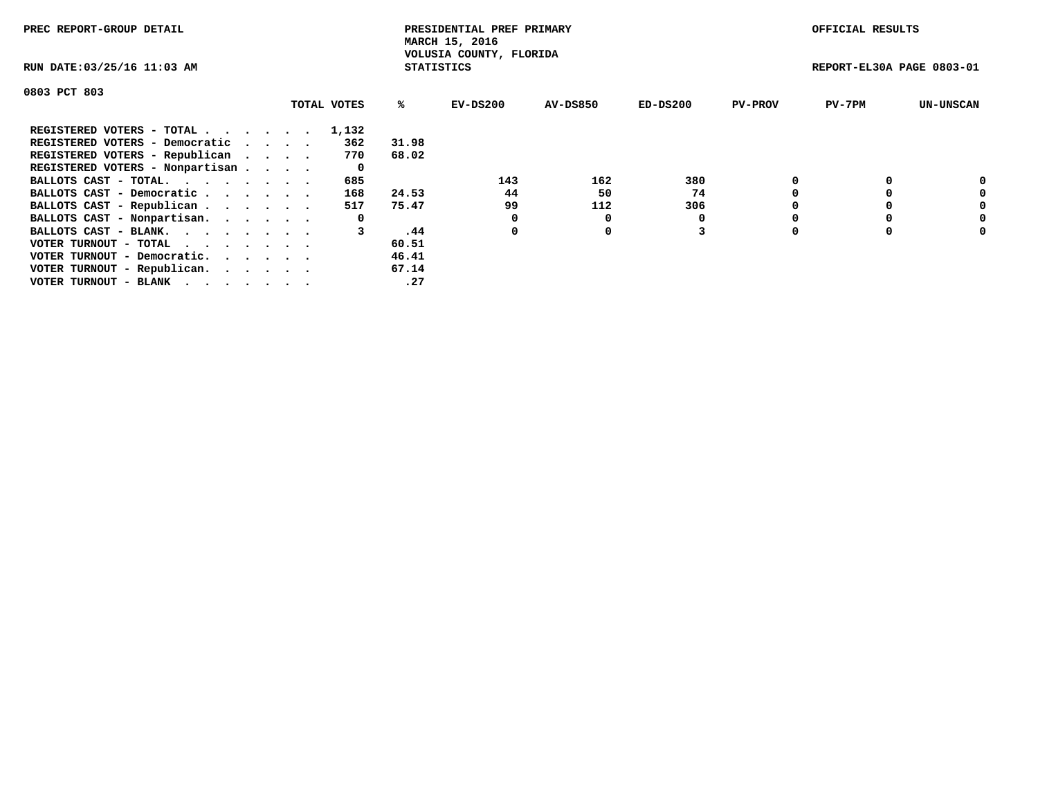| PREC REPORT-GROUP DETAIL                  |             |                   | PRESIDENTIAL PREF PRIMARY<br>MARCH 15, 2016 |          |            |                | OFFICIAL RESULTS          |                  |
|-------------------------------------------|-------------|-------------------|---------------------------------------------|----------|------------|----------------|---------------------------|------------------|
| RUN DATE: 03/25/16 11:03 AM               |             | <b>STATISTICS</b> | VOLUSIA COUNTY, FLORIDA                     |          |            |                | REPORT-EL30A PAGE 0803-01 |                  |
| 0803 PCT 803                              |             |                   |                                             |          |            |                |                           |                  |
|                                           | TOTAL VOTES | ℁                 | EV-DS200                                    | AV-DS850 | $ED-DS200$ | <b>PV-PROV</b> | $PV-7PM$                  | <b>UN-UNSCAN</b> |
| REGISTERED VOTERS - TOTAL                 | 1,132       |                   |                                             |          |            |                |                           |                  |
| REGISTERED VOTERS - Democratic<br>$\cdot$ | 362         | 31.98             |                                             |          |            |                |                           |                  |
| REGISTERED VOTERS - Republican            | 770         | 68.02             |                                             |          |            |                |                           |                  |
| REGISTERED VOTERS - Nonpartisan           | 0           |                   |                                             |          |            |                |                           |                  |
| BALLOTS CAST - TOTAL.                     | 685         |                   | 143                                         | 162      | 380        |                |                           | 0                |
| BALLOTS CAST - Democratic                 | 168         | 24.53             | 44                                          | 50       | 74         |                |                           | 0                |
| BALLOTS CAST - Republican                 | 517         | 75.47             | 99                                          | 112      | 306        |                |                           | 0                |
| BALLOTS CAST - Nonpartisan.               | 0           |                   | 0                                           | 0        |            |                |                           | 0                |
| BALLOTS CAST - BLANK.                     |             | .44               | 0                                           | 0        |            |                |                           | 0                |
| VOTER TURNOUT - TOTAL                     |             | 60.51             |                                             |          |            |                |                           |                  |
| VOTER TURNOUT - Democratic.               |             | 46.41             |                                             |          |            |                |                           |                  |
| VOTER TURNOUT - Republican.               |             | 67.14             |                                             |          |            |                |                           |                  |
| VOTER TURNOUT - BLANK                     |             | .27               |                                             |          |            |                |                           |                  |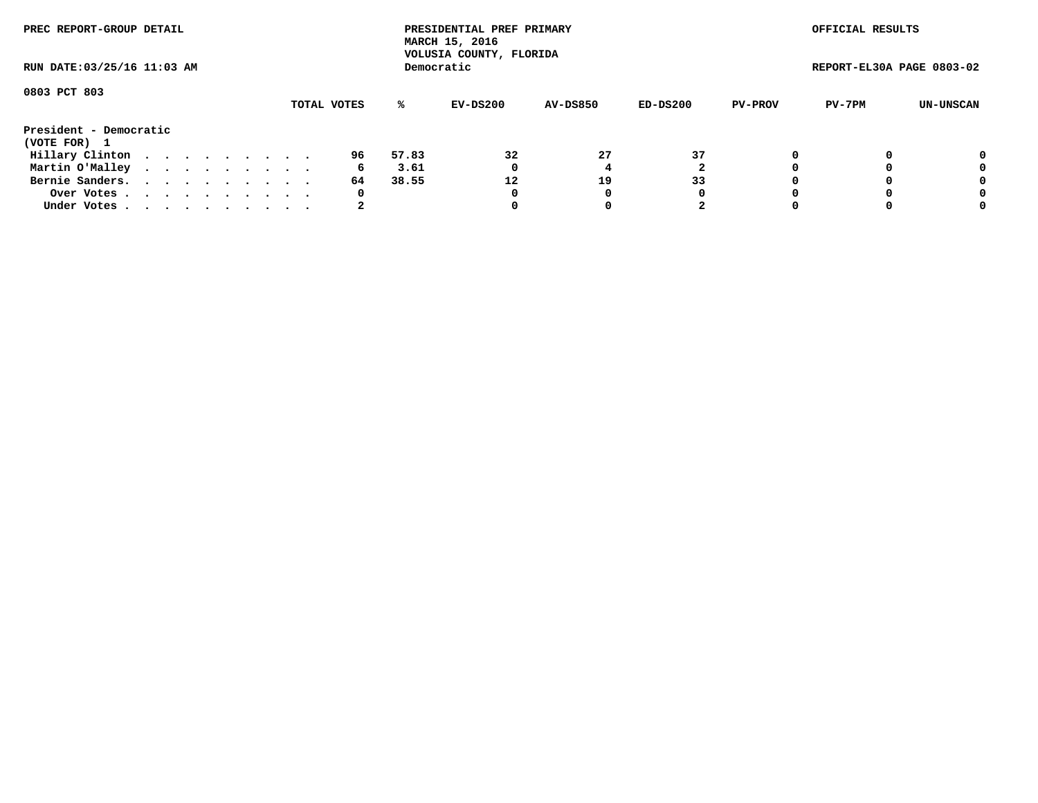| PREC REPORT-GROUP DETAIL<br>RUN DATE: 03/25/16 11:03 AM |  |  |  |  |  |  |  |  |    |       | PRESIDENTIAL PREF PRIMARY<br>MARCH 15, 2016<br>VOLUSIA COUNTY, FLORIDA |                 |            |                | OFFICIAL RESULTS          |           |
|---------------------------------------------------------|--|--|--|--|--|--|--|--|----|-------|------------------------------------------------------------------------|-----------------|------------|----------------|---------------------------|-----------|
|                                                         |  |  |  |  |  |  |  |  |    |       | Democratic                                                             |                 |            |                | REPORT-EL30A PAGE 0803-02 |           |
| 0803 PCT 803<br>TOTAL VOTES                             |  |  |  |  |  |  |  |  |    | %ะ    | EV-DS200                                                               | <b>AV-DS850</b> | $ED-DS200$ | <b>PV-PROV</b> | PV-7PM                    | UN-UNSCAN |
| President - Democratic<br>(VOTE FOR) 1                  |  |  |  |  |  |  |  |  |    |       |                                                                        |                 |            |                |                           |           |
| Hillary Clinton                                         |  |  |  |  |  |  |  |  | 96 | 57.83 | 32                                                                     | 27              | 37         | 0              |                           | 0         |
| Martin O'Malley                                         |  |  |  |  |  |  |  |  | 6  | 3.61  | 0                                                                      |                 |            |                |                           | 0         |
| Bernie Sanders.                                         |  |  |  |  |  |  |  |  | 64 | 38.55 | 12                                                                     | 19              | 33         |                |                           | 0         |
| Over Votes                                              |  |  |  |  |  |  |  |  | 0  |       | 0                                                                      | 0               | 0          |                |                           | 0         |
| Under Votes.                                            |  |  |  |  |  |  |  |  | 2  |       |                                                                        |                 | 2          |                |                           | 0         |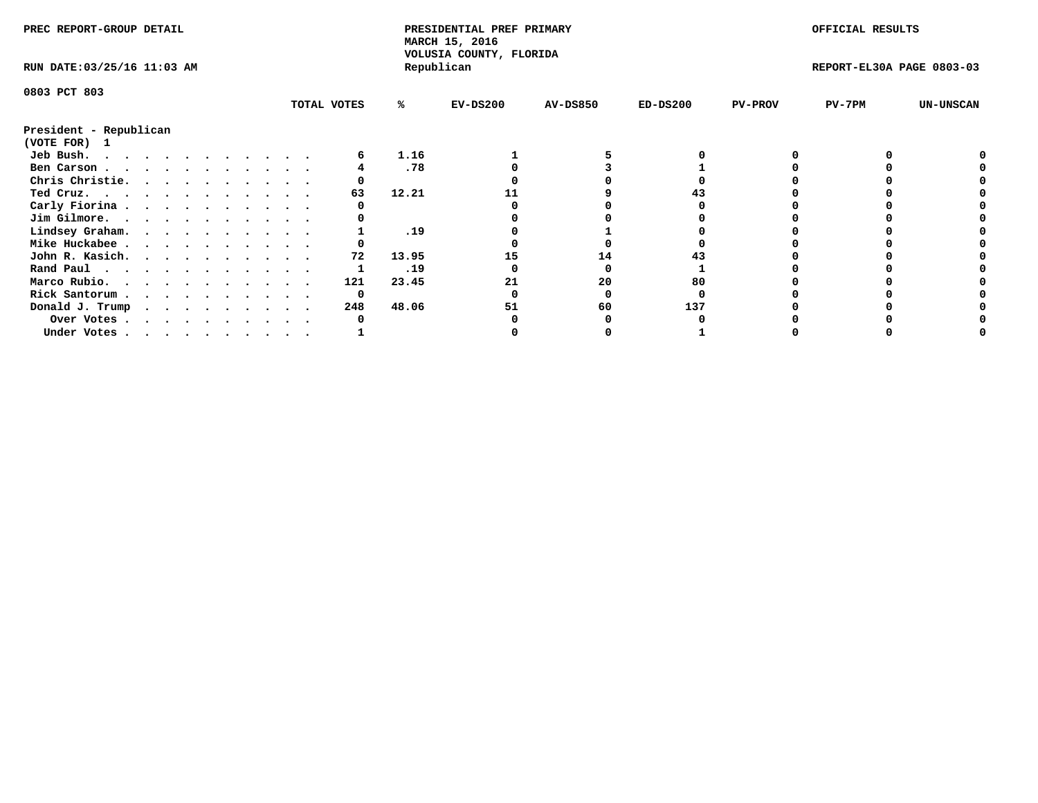| PREC REPORT-GROUP DETAIL               |  |  |  |  |  |  |  |             | PRESIDENTIAL PREF PRIMARY<br>MARCH 15, 2016 |                                       |                 |            | OFFICIAL RESULTS |                           |                  |
|----------------------------------------|--|--|--|--|--|--|--|-------------|---------------------------------------------|---------------------------------------|-----------------|------------|------------------|---------------------------|------------------|
| RUN DATE: 03/25/16 11:03 AM            |  |  |  |  |  |  |  |             |                                             | VOLUSIA COUNTY, FLORIDA<br>Republican |                 |            |                  | REPORT-EL30A PAGE 0803-03 |                  |
| 0803 PCT 803                           |  |  |  |  |  |  |  |             |                                             |                                       |                 |            |                  |                           |                  |
|                                        |  |  |  |  |  |  |  | TOTAL VOTES | ℁                                           | $EV-DS200$                            | <b>AV-DS850</b> | $ED-DS200$ | <b>PV-PROV</b>   | $PV-7PM$                  | <b>UN-UNSCAN</b> |
| President - Republican<br>(VOTE FOR) 1 |  |  |  |  |  |  |  |             |                                             |                                       |                 |            |                  |                           |                  |
| Jeb Bush.                              |  |  |  |  |  |  |  |             | 1.16                                        |                                       |                 |            |                  |                           |                  |
| Ben Carson                             |  |  |  |  |  |  |  |             | .78                                         |                                       |                 |            |                  |                           |                  |
| Chris Christie.                        |  |  |  |  |  |  |  |             |                                             |                                       |                 |            |                  |                           |                  |
| Ted Cruz.                              |  |  |  |  |  |  |  | 63          | 12.21                                       |                                       |                 |            |                  |                           |                  |
| Carly Fiorina                          |  |  |  |  |  |  |  |             |                                             |                                       |                 |            |                  |                           |                  |
| Jim Gilmore.                           |  |  |  |  |  |  |  |             |                                             |                                       |                 |            |                  |                           |                  |
| Lindsey Graham.                        |  |  |  |  |  |  |  |             | .19                                         |                                       |                 |            |                  |                           |                  |
| Mike Huckabee                          |  |  |  |  |  |  |  |             |                                             |                                       |                 |            |                  |                           |                  |
| John R. Kasich.                        |  |  |  |  |  |  |  | 72          | 13.95                                       | 15                                    | 14              |            |                  |                           |                  |
| Rand Paul                              |  |  |  |  |  |  |  |             | .19                                         |                                       |                 |            |                  |                           |                  |
| Marco Rubio.                           |  |  |  |  |  |  |  | 121         | 23.45                                       | 21                                    | 20              | 80         |                  |                           |                  |
| Rick Santorum                          |  |  |  |  |  |  |  | 0           |                                             |                                       |                 |            |                  |                           |                  |
| Donald J. Trump                        |  |  |  |  |  |  |  | 248         | 48.06                                       | 51                                    | 60              | 137        |                  |                           |                  |
|                                        |  |  |  |  |  |  |  |             |                                             |                                       |                 |            |                  |                           |                  |
| Over Votes                             |  |  |  |  |  |  |  |             |                                             |                                       |                 |            |                  |                           |                  |
| Under Votes                            |  |  |  |  |  |  |  |             |                                             |                                       |                 |            |                  |                           |                  |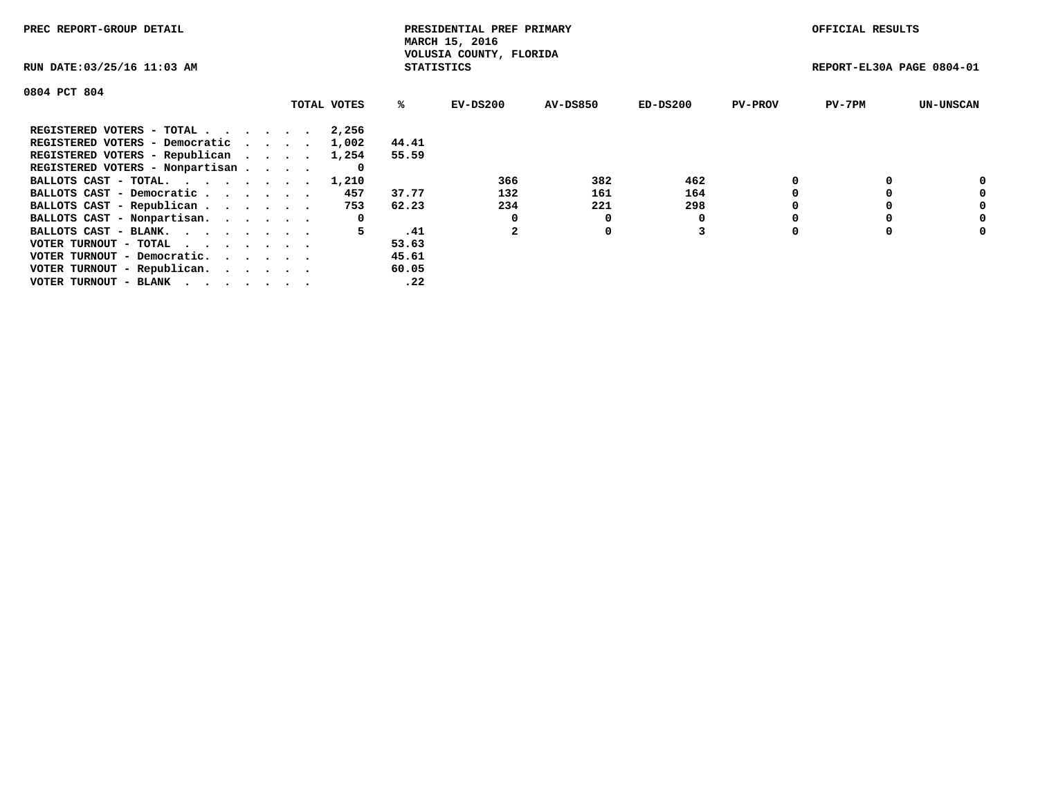| PREC REPORT-GROUP DETAIL                                    |             |                   | PRESIDENTIAL PREF PRIMARY<br>MARCH 15, 2016 |                 |          |                | OFFICIAL RESULTS          |                  |
|-------------------------------------------------------------|-------------|-------------------|---------------------------------------------|-----------------|----------|----------------|---------------------------|------------------|
| RUN DATE: 03/25/16 11:03 AM                                 |             | <b>STATISTICS</b> | VOLUSIA COUNTY, FLORIDA                     |                 |          |                | REPORT-EL30A PAGE 0804-01 |                  |
| 0804 PCT 804                                                |             |                   |                                             |                 |          |                |                           |                  |
|                                                             | TOTAL VOTES | %ະ                | EV-DS200                                    | <b>AV-DS850</b> | ED-DS200 | <b>PV-PROV</b> | $PV-7PM$                  | <b>UN-UNSCAN</b> |
| REGISTERED VOTERS - TOTAL                                   | 2,256       |                   |                                             |                 |          |                |                           |                  |
| REGISTERED VOTERS - Democratic                              | 1,002       | 44.41             |                                             |                 |          |                |                           |                  |
| REGISTERED VOTERS - Republican                              | 1,254       | 55.59             |                                             |                 |          |                |                           |                  |
| REGISTERED VOTERS - Nonpartisan                             |             |                   |                                             |                 |          |                |                           |                  |
| BALLOTS CAST - TOTAL. 1,210                                 |             |                   | 366                                         | 382             | 462      |                |                           | 0                |
| BALLOTS CAST - Democratic                                   | 457         | 37.77             | 132                                         | 161             | 164      |                |                           | 0                |
| BALLOTS CAST - Republican                                   | 753         | 62.23             | 234                                         | 221             | 298      |                |                           | 0                |
| BALLOTS CAST - Nonpartisan.                                 | 0           |                   |                                             |                 | 0        |                |                           | 0                |
| BALLOTS CAST - BLANK.                                       | 5.          | .41               |                                             | 0               |          |                |                           | 0                |
| VOTER TURNOUT - TOTAL $\cdot \cdot \cdot \cdot \cdot \cdot$ |             | 53.63             |                                             |                 |          |                |                           |                  |
| VOTER TURNOUT - Democratic.                                 |             | 45.61             |                                             |                 |          |                |                           |                  |
| VOTER TURNOUT - Republican.                                 |             | 60.05             |                                             |                 |          |                |                           |                  |
| VOTER TURNOUT - BLANK                                       |             | .22               |                                             |                 |          |                |                           |                  |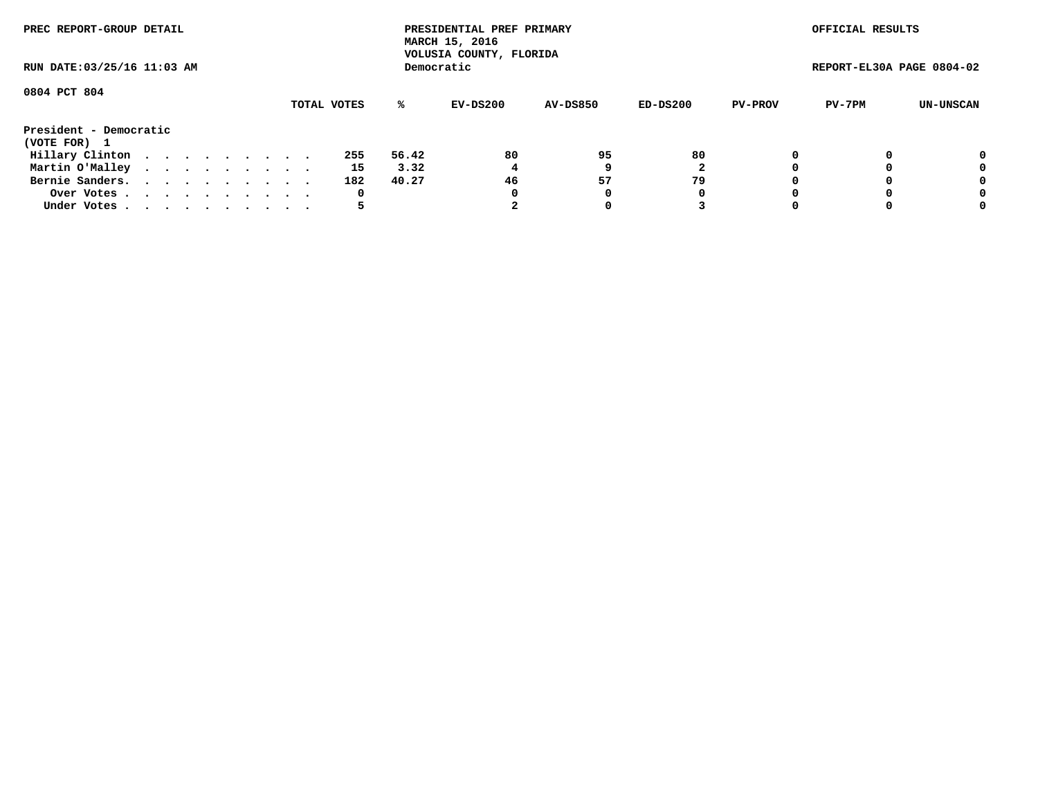| PREC REPORT-GROUP DETAIL<br>RUN DATE: 03/25/16 11:03 AM |  |  |  |  |  |  |  |  |  |     |       | PRESIDENTIAL PREF PRIMARY<br>MARCH 15, 2016<br>VOLUSIA COUNTY, FLORIDA |                 |          |                | OFFICIAL RESULTS          |           |
|---------------------------------------------------------|--|--|--|--|--|--|--|--|--|-----|-------|------------------------------------------------------------------------|-----------------|----------|----------------|---------------------------|-----------|
|                                                         |  |  |  |  |  |  |  |  |  |     |       | Democratic                                                             |                 |          |                | REPORT-EL30A PAGE 0804-02 |           |
| 0804 PCT 804<br>TOTAL VOTES                             |  |  |  |  |  |  |  |  |  |     | ℁     | EV-DS200                                                               | <b>AV-DS850</b> | ED-DS200 | <b>PV-PROV</b> | PV-7PM                    | UN-UNSCAN |
| President - Democratic<br>(VOTE FOR) 1                  |  |  |  |  |  |  |  |  |  |     |       |                                                                        |                 |          |                |                           |           |
| Hillary Clinton                                         |  |  |  |  |  |  |  |  |  | 255 | 56.42 | 80                                                                     | 95              | 80       |                |                           | 0         |
| Martin O'Malley                                         |  |  |  |  |  |  |  |  |  | 15  | 3.32  |                                                                        |                 |          |                |                           | 0         |
| Bernie Sanders.                                         |  |  |  |  |  |  |  |  |  | 182 | 40.27 | 46                                                                     | 57              | 79       |                |                           | 0         |
| Over Votes                                              |  |  |  |  |  |  |  |  |  | 0   |       |                                                                        |                 | 0        |                |                           | 0         |
| Under Votes                                             |  |  |  |  |  |  |  |  |  |     |       |                                                                        |                 |          |                |                           | 0         |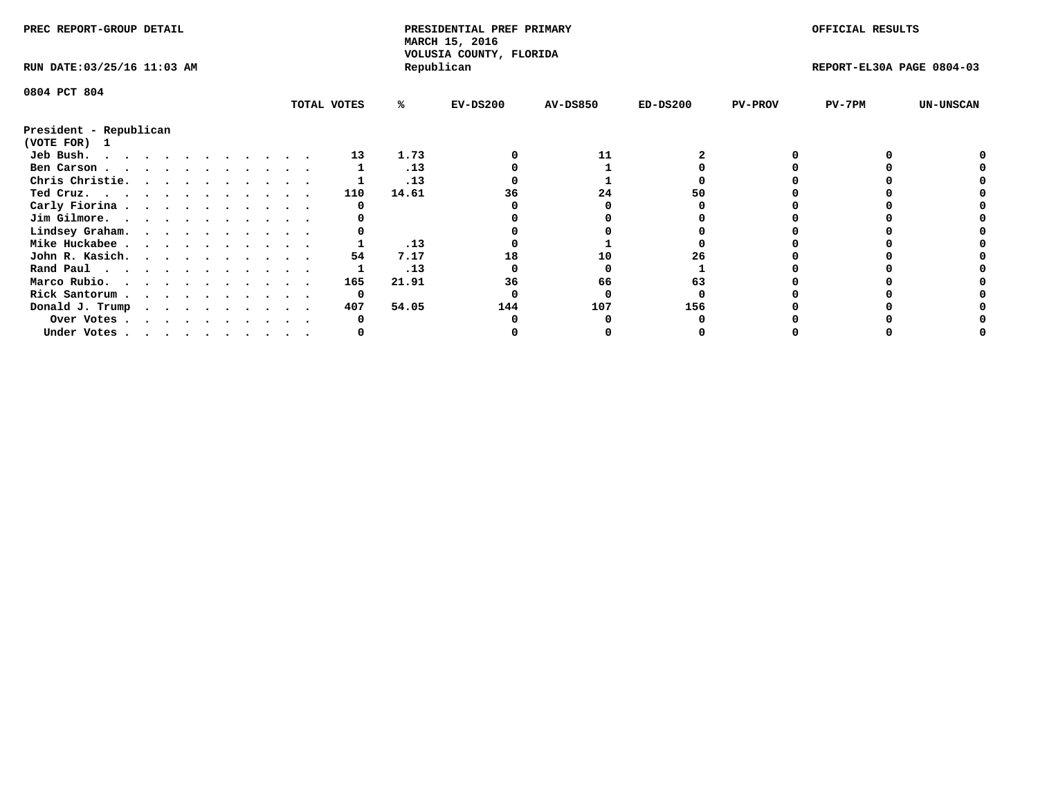| PREC REPORT-GROUP DETAIL    |  |  |  |  |  |  |  |             | PRESIDENTIAL PREF PRIMARY<br>MARCH 15, 2016<br>VOLUSIA COUNTY, FLORIDA |            |                 |            | OFFICIAL RESULTS |                           |                  |
|-----------------------------|--|--|--|--|--|--|--|-------------|------------------------------------------------------------------------|------------|-----------------|------------|------------------|---------------------------|------------------|
| RUN DATE: 03/25/16 11:03 AM |  |  |  |  |  |  |  |             |                                                                        | Republican |                 |            |                  | REPORT-EL30A PAGE 0804-03 |                  |
| 0804 PCT 804                |  |  |  |  |  |  |  |             |                                                                        |            |                 |            |                  |                           |                  |
|                             |  |  |  |  |  |  |  | TOTAL VOTES | ℁                                                                      | $EV-DS200$ | <b>AV-DS850</b> | $ED-DS200$ | <b>PV-PROV</b>   | $PV-7PM$                  | <b>UN-UNSCAN</b> |
| President - Republican      |  |  |  |  |  |  |  |             |                                                                        |            |                 |            |                  |                           |                  |
| (VOTE FOR)<br>$\mathbf{1}$  |  |  |  |  |  |  |  |             |                                                                        |            |                 |            |                  |                           |                  |
| Jeb Bush.                   |  |  |  |  |  |  |  | 13          | 1.73                                                                   |            | 11              |            |                  |                           |                  |
| Ben Carson                  |  |  |  |  |  |  |  |             | .13                                                                    |            |                 |            |                  |                           |                  |
| Chris Christie.             |  |  |  |  |  |  |  |             | .13                                                                    |            |                 |            |                  |                           |                  |
| Ted Cruz.                   |  |  |  |  |  |  |  | 110         | 14.61                                                                  | 36         | 24              |            |                  |                           |                  |
| Carly Fiorina               |  |  |  |  |  |  |  |             |                                                                        |            |                 |            |                  |                           |                  |
| Jim Gilmore.                |  |  |  |  |  |  |  |             |                                                                        |            |                 |            |                  |                           |                  |
| Lindsey Graham.             |  |  |  |  |  |  |  |             |                                                                        |            |                 |            |                  |                           |                  |
| Mike Huckabee               |  |  |  |  |  |  |  |             | .13                                                                    |            |                 |            |                  |                           |                  |
| John R. Kasich.             |  |  |  |  |  |  |  | 54          | 7.17                                                                   | 18         | 10              | 26         |                  |                           |                  |
| Rand Paul                   |  |  |  |  |  |  |  |             | .13                                                                    |            |                 |            |                  |                           |                  |
| Marco Rubio.                |  |  |  |  |  |  |  | 165         | 21.91                                                                  | 36         | 66              | 63         |                  |                           |                  |
| Rick Santorum               |  |  |  |  |  |  |  | 0           |                                                                        |            |                 |            |                  |                           |                  |
| Donald J. Trump             |  |  |  |  |  |  |  | 407         | 54.05                                                                  | 144        | 107             | 156        |                  |                           |                  |
| Over Votes                  |  |  |  |  |  |  |  |             |                                                                        |            |                 |            |                  |                           |                  |
| Under Votes                 |  |  |  |  |  |  |  |             |                                                                        |            |                 |            |                  |                           |                  |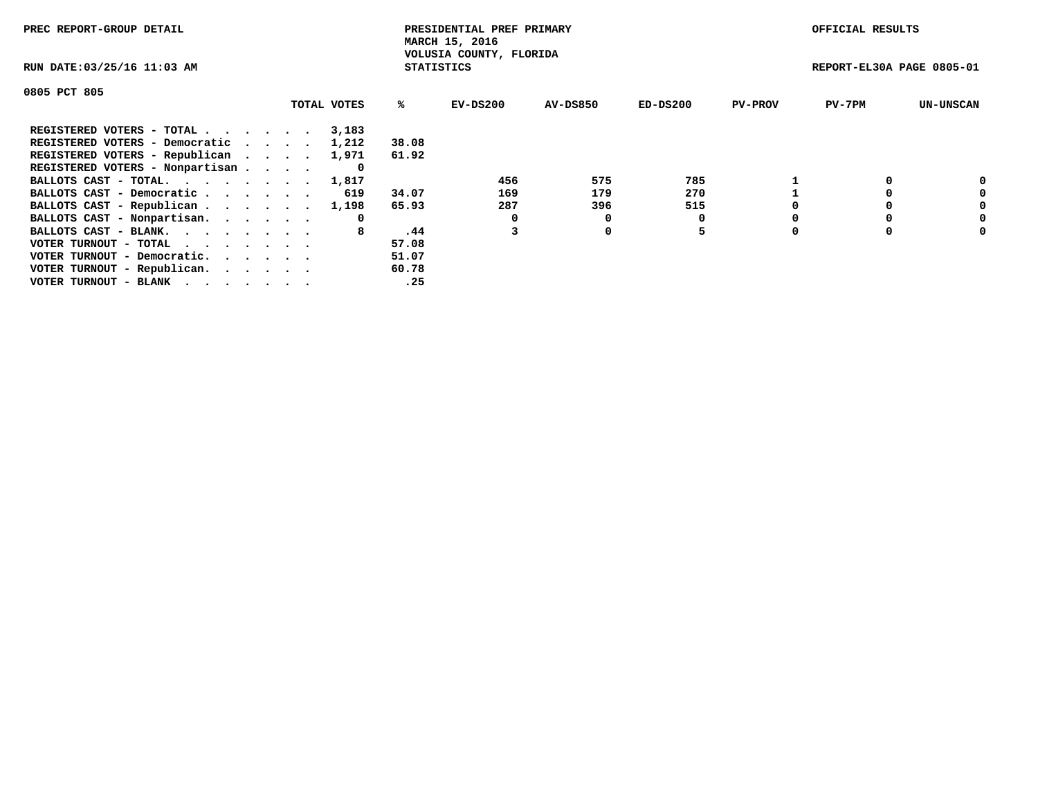| PREC REPORT-GROUP DETAIL                                    |             |                   | PRESIDENTIAL PREF PRIMARY<br>MARCH 15, 2016 |          |            |                | OFFICIAL RESULTS          |                  |
|-------------------------------------------------------------|-------------|-------------------|---------------------------------------------|----------|------------|----------------|---------------------------|------------------|
| RUN DATE: 03/25/16 11:03 AM                                 |             | <b>STATISTICS</b> | VOLUSIA COUNTY, FLORIDA                     |          |            |                | REPORT-EL30A PAGE 0805-01 |                  |
| 0805 PCT 805                                                |             |                   |                                             |          |            |                |                           |                  |
|                                                             | TOTAL VOTES | ℁                 | $EV-DS200$                                  | AV-DS850 | $ED-DS200$ | <b>PV-PROV</b> | $PV-7PM$                  | <b>UN-UNSCAN</b> |
| REGISTERED VOTERS - TOTAL                                   | 3,183       |                   |                                             |          |            |                |                           |                  |
| REGISTERED VOTERS - Democratic                              | 1,212       | 38.08             |                                             |          |            |                |                           |                  |
| REGISTERED VOTERS - Republican                              | 1,971       | 61.92             |                                             |          |            |                |                           |                  |
| REGISTERED VOTERS - Nonpartisan                             |             |                   |                                             |          |            |                |                           |                  |
| BALLOTS CAST - TOTAL.                                       | 1,817       |                   | 456                                         | 575      | 785        |                |                           | 0                |
| BALLOTS CAST - Democratic                                   | 619         | 34.07             | 169                                         | 179      | 270        |                |                           | 0                |
| BALLOTS CAST - Republican                                   | 1,198       | 65.93             | 287                                         | 396      | 515        |                |                           | 0                |
| BALLOTS CAST - Nonpartisan.                                 | 0           |                   |                                             | 0        |            |                |                           | 0                |
| BALLOTS CAST - BLANK.                                       | 8           | .44               |                                             | 0        | 5          |                |                           | 0                |
| VOTER TURNOUT - TOTAL $\cdot \cdot \cdot \cdot \cdot \cdot$ |             | 57.08             |                                             |          |            |                |                           |                  |
| VOTER TURNOUT - Democratic.                                 |             | 51.07             |                                             |          |            |                |                           |                  |
| VOTER TURNOUT - Republican.                                 |             | 60.78             |                                             |          |            |                |                           |                  |
| VOTER TURNOUT - BLANK                                       |             | .25               |                                             |          |            |                |                           |                  |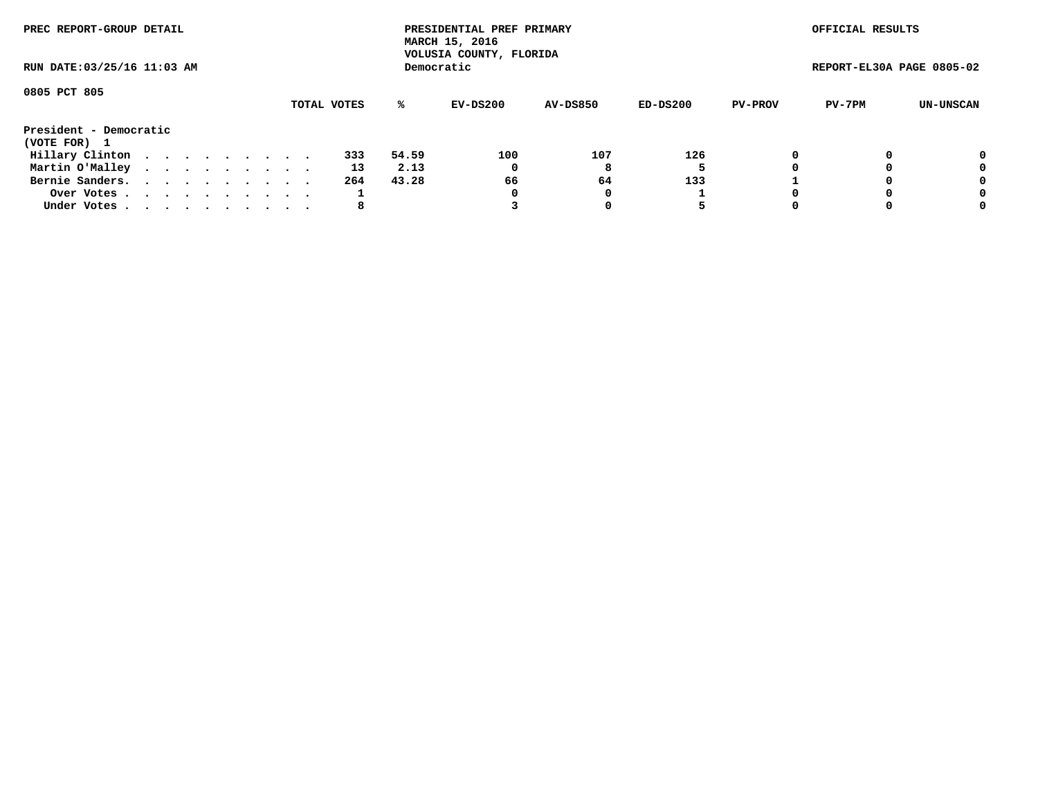| PREC REPORT-GROUP DETAIL<br>RUN DATE: 03/25/16 11:03 AM |             |  |  |  |  |  |  |  |  |     |       | PRESIDENTIAL PREF PRIMARY<br>MARCH 15, 2016<br>VOLUSIA COUNTY, FLORIDA |                 |          |                | OFFICIAL RESULTS          |           |
|---------------------------------------------------------|-------------|--|--|--|--|--|--|--|--|-----|-------|------------------------------------------------------------------------|-----------------|----------|----------------|---------------------------|-----------|
|                                                         |             |  |  |  |  |  |  |  |  |     |       | Democratic                                                             |                 |          |                | REPORT-EL30A PAGE 0805-02 |           |
| 0805 PCT 805                                            | TOTAL VOTES |  |  |  |  |  |  |  |  |     |       |                                                                        |                 |          |                |                           |           |
|                                                         |             |  |  |  |  |  |  |  |  |     | ℁     | EV-DS200                                                               | <b>AV-DS850</b> | ED-DS200 | <b>PV-PROV</b> | PV-7PM                    | UN-UNSCAN |
| President - Democratic<br>(VOTE FOR) 1                  |             |  |  |  |  |  |  |  |  |     |       |                                                                        |                 |          |                |                           |           |
| Hillary Clinton                                         |             |  |  |  |  |  |  |  |  | 333 | 54.59 | 100                                                                    | 107             | 126      |                |                           | 0         |
| Martin O'Malley                                         |             |  |  |  |  |  |  |  |  | 13  | 2.13  | 0                                                                      | 8               |          |                |                           | 0         |
| Bernie Sanders.                                         |             |  |  |  |  |  |  |  |  | 264 | 43.28 | 66                                                                     | 64              | 133      |                |                           | 0         |
| Over Votes                                              |             |  |  |  |  |  |  |  |  |     |       |                                                                        |                 |          |                |                           | 0         |
| Under Votes                                             |             |  |  |  |  |  |  |  |  | 8   |       |                                                                        |                 | 5        |                |                           | 0         |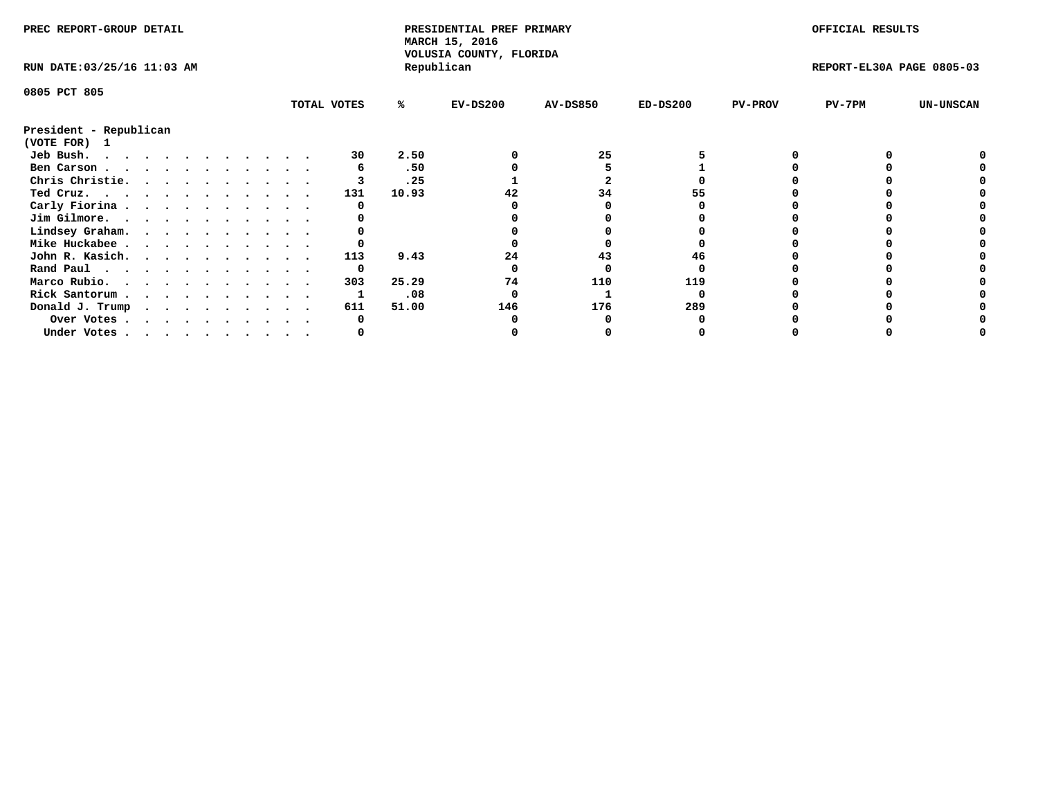| PREC REPORT-GROUP DETAIL    |  |  |  |  |  |  |  |             | PRESIDENTIAL PREF PRIMARY<br>MARCH 15, 2016<br>VOLUSIA COUNTY, FLORIDA |            |                 |            | OFFICIAL RESULTS |                           |                  |
|-----------------------------|--|--|--|--|--|--|--|-------------|------------------------------------------------------------------------|------------|-----------------|------------|------------------|---------------------------|------------------|
| RUN DATE: 03/25/16 11:03 AM |  |  |  |  |  |  |  |             |                                                                        | Republican |                 |            |                  | REPORT-EL30A PAGE 0805-03 |                  |
| 0805 PCT 805                |  |  |  |  |  |  |  |             |                                                                        |            |                 |            |                  |                           |                  |
|                             |  |  |  |  |  |  |  | TOTAL VOTES | %ะ                                                                     | $EV-DS200$ | <b>AV-DS850</b> | $ED-DS200$ | <b>PV-PROV</b>   | PV-7PM                    | <b>UN-UNSCAN</b> |
| President - Republican      |  |  |  |  |  |  |  |             |                                                                        |            |                 |            |                  |                           |                  |
| (VOTE FOR) 1                |  |  |  |  |  |  |  |             |                                                                        |            |                 |            |                  |                           |                  |
| Jeb Bush.                   |  |  |  |  |  |  |  | 30          | 2.50                                                                   |            | 25              |            |                  |                           |                  |
| Ben Carson                  |  |  |  |  |  |  |  |             | .50                                                                    |            |                 |            |                  |                           |                  |
| Chris Christie.             |  |  |  |  |  |  |  |             | .25                                                                    |            |                 |            |                  |                           |                  |
| Ted Cruz.                   |  |  |  |  |  |  |  | 131         | 10.93                                                                  |            | 34              |            |                  |                           |                  |
| Carly Fiorina               |  |  |  |  |  |  |  |             |                                                                        |            |                 |            |                  |                           |                  |
| Jim Gilmore.                |  |  |  |  |  |  |  |             |                                                                        |            |                 |            |                  |                           |                  |
| Lindsey Graham.             |  |  |  |  |  |  |  |             |                                                                        |            |                 |            |                  |                           |                  |
| Mike Huckabee               |  |  |  |  |  |  |  |             |                                                                        |            |                 |            |                  |                           |                  |
| John R. Kasich.             |  |  |  |  |  |  |  | 113         | 9.43                                                                   | 24         | 43              | 46         |                  |                           |                  |
|                             |  |  |  |  |  |  |  | 0           |                                                                        |            |                 |            |                  |                           |                  |
| Rand Paul                   |  |  |  |  |  |  |  | 303         |                                                                        |            |                 | 119        |                  |                           |                  |
| Marco Rubio.                |  |  |  |  |  |  |  |             | 25.29                                                                  | 74         | 110             |            |                  |                           |                  |
| Rick Santorum               |  |  |  |  |  |  |  |             | .08                                                                    |            |                 |            |                  |                           |                  |
| Donald J. Trump             |  |  |  |  |  |  |  | 611         | 51.00                                                                  | 146        | 176             | 289        |                  |                           |                  |
| Over Votes                  |  |  |  |  |  |  |  |             |                                                                        |            |                 |            |                  |                           |                  |
| Under Votes                 |  |  |  |  |  |  |  |             |                                                                        |            |                 |            |                  |                           |                  |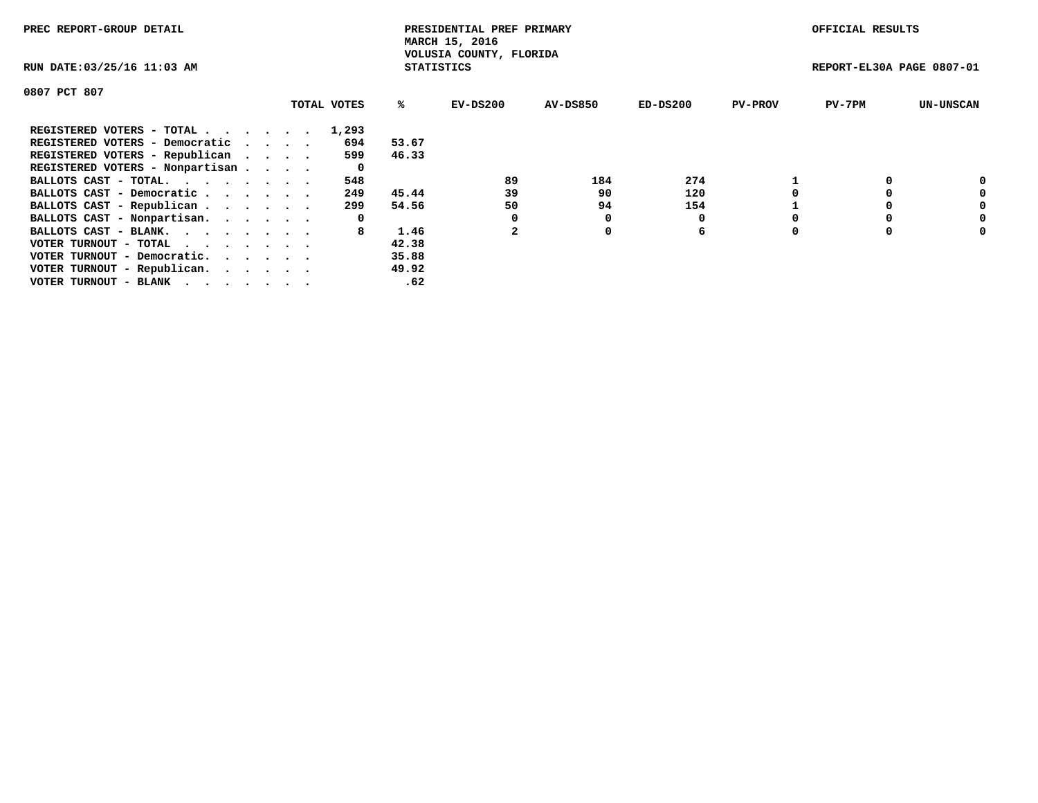| PREC REPORT-GROUP DETAIL                                    |             |                   | PRESIDENTIAL PREF PRIMARY<br>MARCH 15, 2016 |                 |            |                | OFFICIAL RESULTS          |                  |
|-------------------------------------------------------------|-------------|-------------------|---------------------------------------------|-----------------|------------|----------------|---------------------------|------------------|
| RUN DATE: 03/25/16 11:03 AM                                 |             | <b>STATISTICS</b> | VOLUSIA COUNTY, FLORIDA                     |                 |            |                | REPORT-EL30A PAGE 0807-01 |                  |
| 0807 PCT 807                                                |             |                   |                                             |                 |            |                |                           |                  |
|                                                             | TOTAL VOTES | ℁                 | EV-DS200                                    | <b>AV-DS850</b> | $ED-DS200$ | <b>PV-PROV</b> | $PV-7PM$                  | <b>UN-UNSCAN</b> |
| REGISTERED VOTERS - TOTAL                                   | 1,293       |                   |                                             |                 |            |                |                           |                  |
| REGISTERED VOTERS - Democratic                              | 694         | 53.67             |                                             |                 |            |                |                           |                  |
| REGISTERED VOTERS - Republican                              | 599         | 46.33             |                                             |                 |            |                |                           |                  |
| REGISTERED VOTERS - Nonpartisan                             | 0           |                   |                                             |                 |            |                |                           |                  |
| BALLOTS CAST - TOTAL.                                       | 548         |                   | 89                                          | 184             | 274        |                |                           | 0                |
| BALLOTS CAST - Democratic                                   | 249         | 45.44             | 39                                          | 90              | 120        |                |                           | 0                |
| BALLOTS CAST - Republican                                   | 299         | 54.56             | 50                                          | 94              | 154        |                |                           | 0                |
| BALLOTS CAST - Nonpartisan.                                 | 0           |                   |                                             |                 |            |                |                           | 0                |
| BALLOTS CAST - BLANK.                                       | 8           | 1.46              |                                             | 0               | 6          |                |                           | 0                |
| VOTER TURNOUT - TOTAL $\cdot \cdot \cdot \cdot \cdot \cdot$ |             | 42.38             |                                             |                 |            |                |                           |                  |
| VOTER TURNOUT - Democratic.                                 |             | 35.88             |                                             |                 |            |                |                           |                  |
| VOTER TURNOUT - Republican.                                 |             | 49.92             |                                             |                 |            |                |                           |                  |
| VOTER TURNOUT - BLANK                                       |             | .62               |                                             |                 |            |                |                           |                  |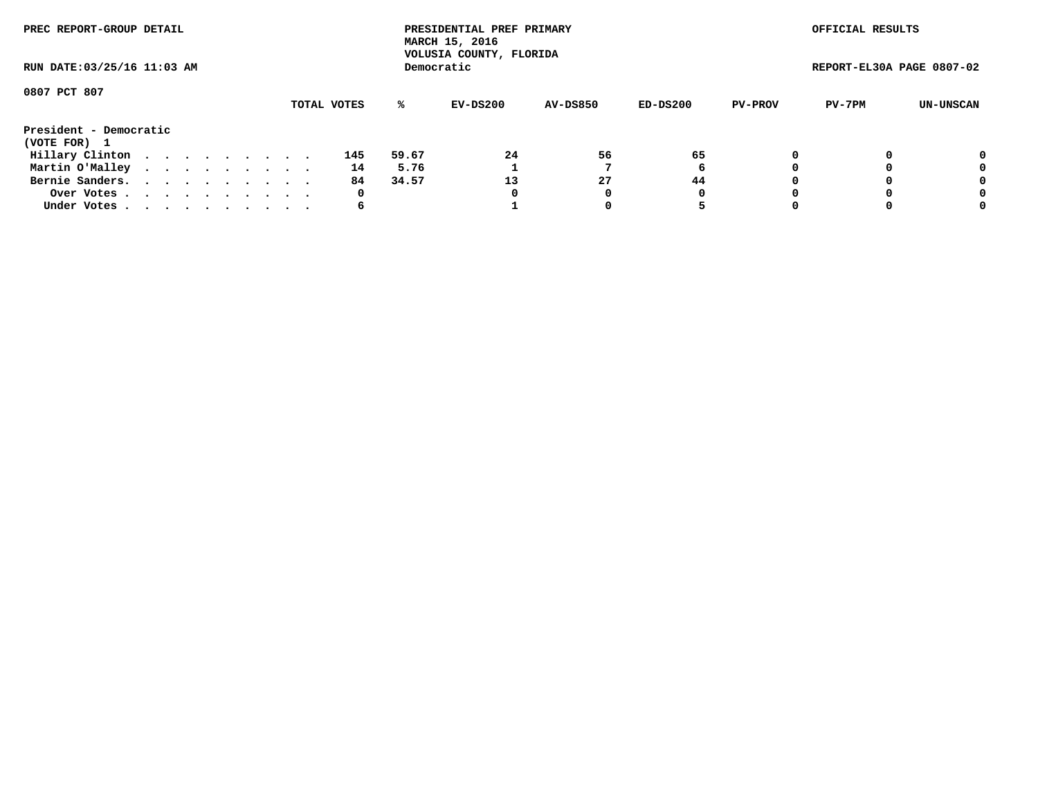| PREC REPORT-GROUP DETAIL<br>RUN DATE: 03/25/16 11:03 AM |  |  |  |  |  |  |  |  |             |       | PRESIDENTIAL PREF PRIMARY<br>MARCH 15, 2016<br>VOLUSIA COUNTY, FLORIDA |                 |          |                | OFFICIAL RESULTS          |           |
|---------------------------------------------------------|--|--|--|--|--|--|--|--|-------------|-------|------------------------------------------------------------------------|-----------------|----------|----------------|---------------------------|-----------|
|                                                         |  |  |  |  |  |  |  |  |             |       | Democratic                                                             |                 |          |                | REPORT-EL30A PAGE 0807-02 |           |
| 0807 PCT 807                                            |  |  |  |  |  |  |  |  | TOTAL VOTES | %ะ    | EV-DS200                                                               | <b>AV-DS850</b> | ED-DS200 | <b>PV-PROV</b> | PV-7PM                    | UN-UNSCAN |
| President - Democratic<br>(VOTE FOR) 1                  |  |  |  |  |  |  |  |  |             |       |                                                                        |                 |          |                |                           |           |
| Hillary Clinton                                         |  |  |  |  |  |  |  |  | 145         | 59.67 | 24                                                                     | 56              | 65       |                |                           | 0         |
| Martin O'Malley                                         |  |  |  |  |  |  |  |  | 14          | 5.76  |                                                                        |                 | 6        |                |                           | 0         |
| Bernie Sanders.                                         |  |  |  |  |  |  |  |  | 84          | 34.57 | 13                                                                     | 27              | 44       |                |                           | 0         |
| Over Votes.                                             |  |  |  |  |  |  |  |  | 0           |       | 0                                                                      | 0               | 0        |                |                           | 0         |
| Under Votes.                                            |  |  |  |  |  |  |  |  | 6           |       |                                                                        |                 |          |                |                           | 0         |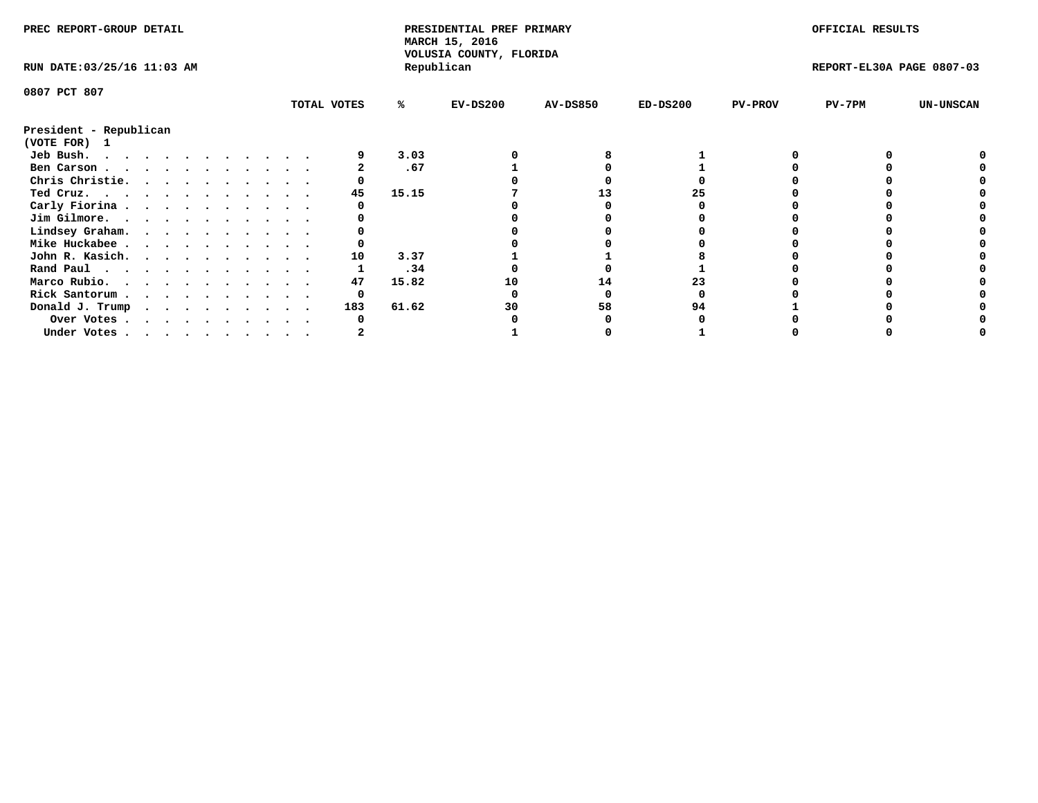| PREC REPORT-GROUP DETAIL               |  |  |  |  |  |  |  |             | PRESIDENTIAL PREF PRIMARY<br>MARCH 15, 2016<br>VOLUSIA COUNTY, FLORIDA |            |                 |            | OFFICIAL RESULTS |                           |                  |
|----------------------------------------|--|--|--|--|--|--|--|-------------|------------------------------------------------------------------------|------------|-----------------|------------|------------------|---------------------------|------------------|
| RUN DATE: 03/25/16 11:03 AM            |  |  |  |  |  |  |  |             |                                                                        | Republican |                 |            |                  | REPORT-EL30A PAGE 0807-03 |                  |
| 0807 PCT 807                           |  |  |  |  |  |  |  |             |                                                                        |            |                 |            |                  |                           |                  |
|                                        |  |  |  |  |  |  |  | TOTAL VOTES | %ะ                                                                     | $EV-DS200$ | <b>AV-DS850</b> | $ED-DS200$ | <b>PV-PROV</b>   | $PV-7PM$                  | <b>UN-UNSCAN</b> |
| President - Republican<br>(VOTE FOR) 1 |  |  |  |  |  |  |  |             |                                                                        |            |                 |            |                  |                           |                  |
| Jeb Bush.                              |  |  |  |  |  |  |  |             | 3.03                                                                   |            |                 |            |                  |                           |                  |
| Ben Carson                             |  |  |  |  |  |  |  |             | .67                                                                    |            |                 |            |                  |                           |                  |
| Chris Christie.                        |  |  |  |  |  |  |  |             |                                                                        |            |                 |            |                  |                           |                  |
| Ted Cruz.                              |  |  |  |  |  |  |  | 45          | 15.15                                                                  |            | 13              | 25         |                  |                           |                  |
| Carly Fiorina                          |  |  |  |  |  |  |  |             |                                                                        |            |                 |            |                  |                           |                  |
| Jim Gilmore.                           |  |  |  |  |  |  |  |             |                                                                        |            |                 |            |                  |                           |                  |
| Lindsey Graham.                        |  |  |  |  |  |  |  |             |                                                                        |            |                 |            |                  |                           |                  |
| Mike Huckabee                          |  |  |  |  |  |  |  |             |                                                                        |            |                 |            |                  |                           |                  |
| John R. Kasich.                        |  |  |  |  |  |  |  | 10          | 3.37                                                                   |            |                 |            |                  |                           |                  |
| Rand Paul                              |  |  |  |  |  |  |  |             | .34                                                                    |            |                 |            |                  |                           |                  |
| Marco Rubio.                           |  |  |  |  |  |  |  | 47          | 15.82                                                                  | 10         | 14              |            |                  |                           |                  |
|                                        |  |  |  |  |  |  |  |             |                                                                        |            |                 |            |                  |                           |                  |
| Rick Santorum                          |  |  |  |  |  |  |  | 0           |                                                                        |            |                 |            |                  |                           |                  |
| Donald J. Trump                        |  |  |  |  |  |  |  | 183         | 61.62                                                                  | 30         | 58              | 94         |                  |                           |                  |
| Over Votes                             |  |  |  |  |  |  |  |             |                                                                        |            |                 |            |                  |                           |                  |
| Under Votes                            |  |  |  |  |  |  |  |             |                                                                        |            |                 |            |                  |                           |                  |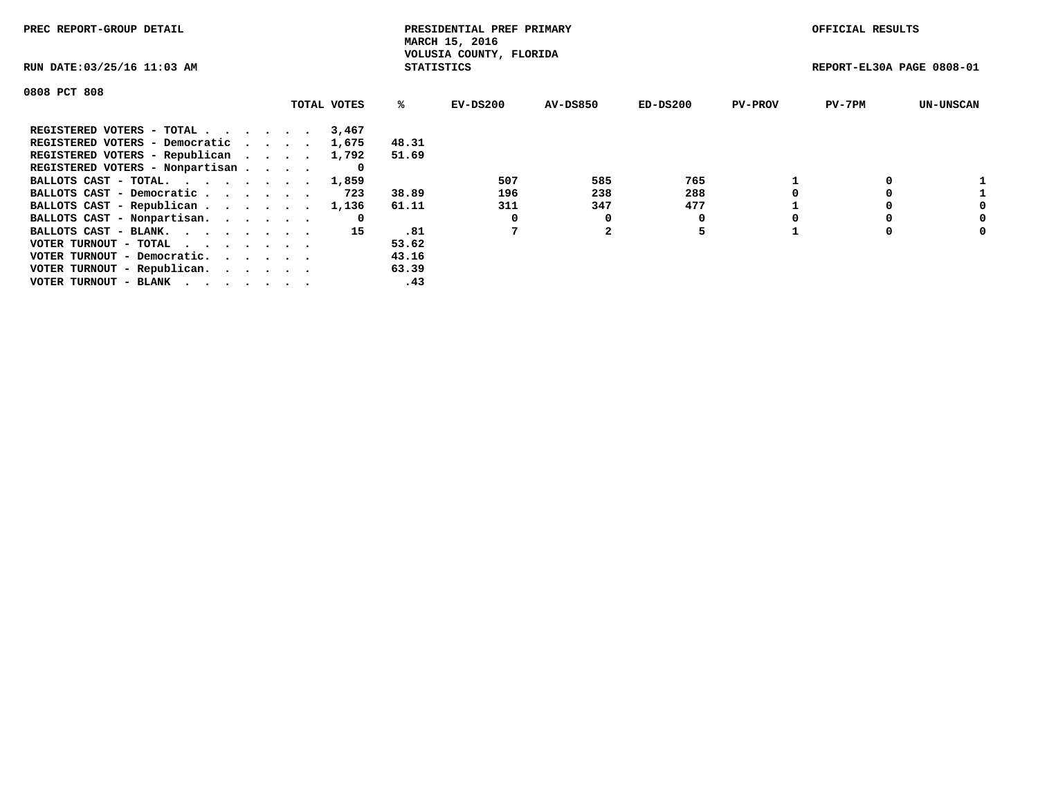| PREC REPORT-GROUP DETAIL                                    |             |                   | PRESIDENTIAL PREF PRIMARY<br>MARCH 15, 2016 |                 |          |                | OFFICIAL RESULTS          |                  |
|-------------------------------------------------------------|-------------|-------------------|---------------------------------------------|-----------------|----------|----------------|---------------------------|------------------|
| RUN DATE: 03/25/16 11:03 AM                                 |             | <b>STATISTICS</b> | VOLUSIA COUNTY, FLORIDA                     |                 |          |                | REPORT-EL30A PAGE 0808-01 |                  |
| 0808 PCT 808                                                |             |                   |                                             |                 |          |                |                           |                  |
|                                                             | TOTAL VOTES | ℁                 | EV-DS200                                    | <b>AV-DS850</b> | ED-DS200 | <b>PV-PROV</b> | $PV-7PM$                  | <b>UN-UNSCAN</b> |
| REGISTERED VOTERS - TOTAL                                   | 3,467       |                   |                                             |                 |          |                |                           |                  |
| REGISTERED VOTERS - Democratic                              | 1,675       | 48.31             |                                             |                 |          |                |                           |                  |
| REGISTERED VOTERS - Republican                              | 1,792       | 51.69             |                                             |                 |          |                |                           |                  |
| REGISTERED VOTERS - Nonpartisan                             |             |                   |                                             |                 |          |                |                           |                  |
| BALLOTS CAST - TOTAL. 1,859                                 |             |                   | 507                                         | 585             | 765      |                |                           |                  |
| BALLOTS CAST - Democratic                                   | 723         | 38.89             | 196                                         | 238             | 288      |                |                           |                  |
| BALLOTS CAST - Republican                                   | 1,136       | 61.11             | 311                                         | 347             | 477      |                |                           |                  |
| BALLOTS CAST - Nonpartisan.                                 | 0           |                   |                                             | 0               |          |                |                           | 0                |
| BALLOTS CAST - BLANK.                                       | 15          | .81               |                                             |                 | 5        |                |                           | 0                |
| VOTER TURNOUT - TOTAL $\cdot \cdot \cdot \cdot \cdot \cdot$ |             | 53.62             |                                             |                 |          |                |                           |                  |
| VOTER TURNOUT - Democratic.                                 |             | 43.16             |                                             |                 |          |                |                           |                  |
| VOTER TURNOUT - Republican.                                 |             | 63.39             |                                             |                 |          |                |                           |                  |
| VOTER TURNOUT - BLANK                                       |             | .43               |                                             |                 |          |                |                           |                  |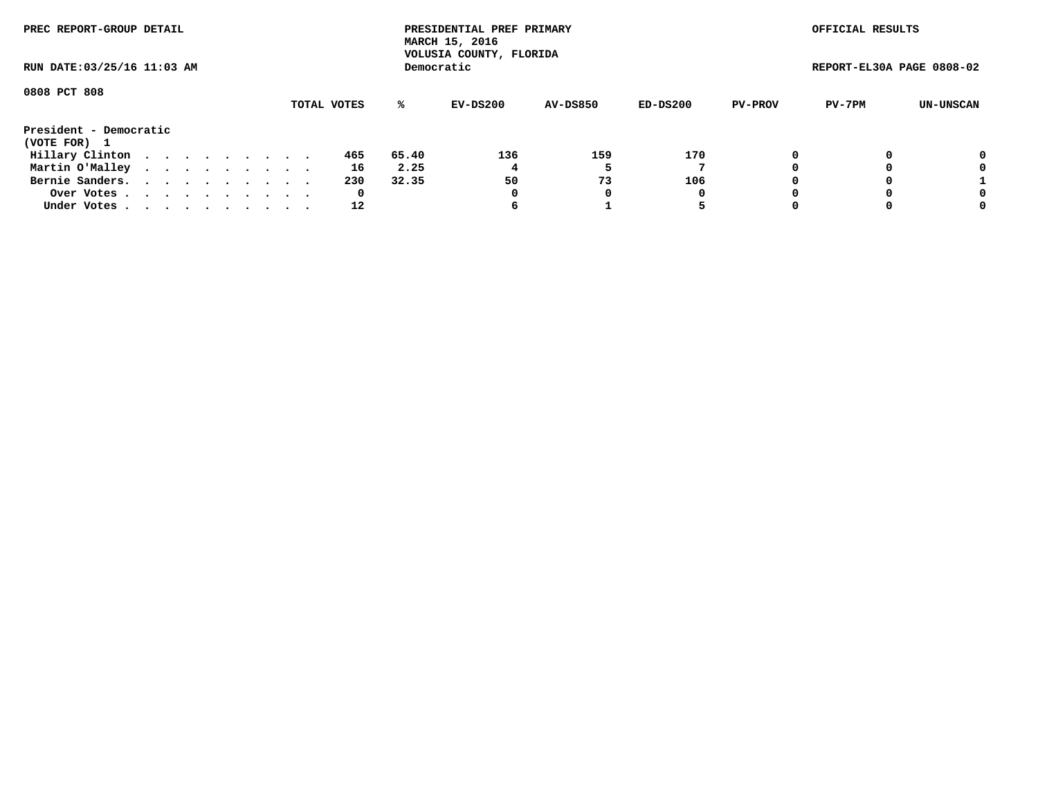| PREC REPORT-GROUP DETAIL<br>RUN DATE: 03/25/16 11:03 AM |  |  |  |  |  |  |  |  |             |     |       | PRESIDENTIAL PREF PRIMARY<br>MARCH 15, 2016<br>VOLUSIA COUNTY, FLORIDA |                 |            |                | OFFICIAL RESULTS          |           |
|---------------------------------------------------------|--|--|--|--|--|--|--|--|-------------|-----|-------|------------------------------------------------------------------------|-----------------|------------|----------------|---------------------------|-----------|
|                                                         |  |  |  |  |  |  |  |  |             |     |       | Democratic                                                             |                 |            |                | REPORT-EL30A PAGE 0808-02 |           |
| 0808 PCT 808                                            |  |  |  |  |  |  |  |  | TOTAL VOTES |     | %ะ    | EV-DS200                                                               | <b>AV-DS850</b> | $ED-DS200$ | <b>PV-PROV</b> | PV-7PM                    | UN-UNSCAN |
| President - Democratic<br>(VOTE FOR) 1                  |  |  |  |  |  |  |  |  |             |     |       |                                                                        |                 |            |                |                           |           |
| Hillary Clinton                                         |  |  |  |  |  |  |  |  |             | 465 | 65.40 | 136                                                                    | 159             | 170        | 0              |                           | 0         |
| Martin O'Malley                                         |  |  |  |  |  |  |  |  |             | 16  | 2.25  |                                                                        |                 |            |                |                           | 0         |
| Bernie Sanders.                                         |  |  |  |  |  |  |  |  |             | 230 | 32.35 | 50                                                                     | 73              | 106        |                |                           |           |
| Over Votes                                              |  |  |  |  |  |  |  |  |             | 0   |       | 0                                                                      | 0               | 0          |                |                           | 0         |
| Under Votes.                                            |  |  |  |  |  |  |  |  |             | 12  |       | ь                                                                      |                 |            |                |                           | 0         |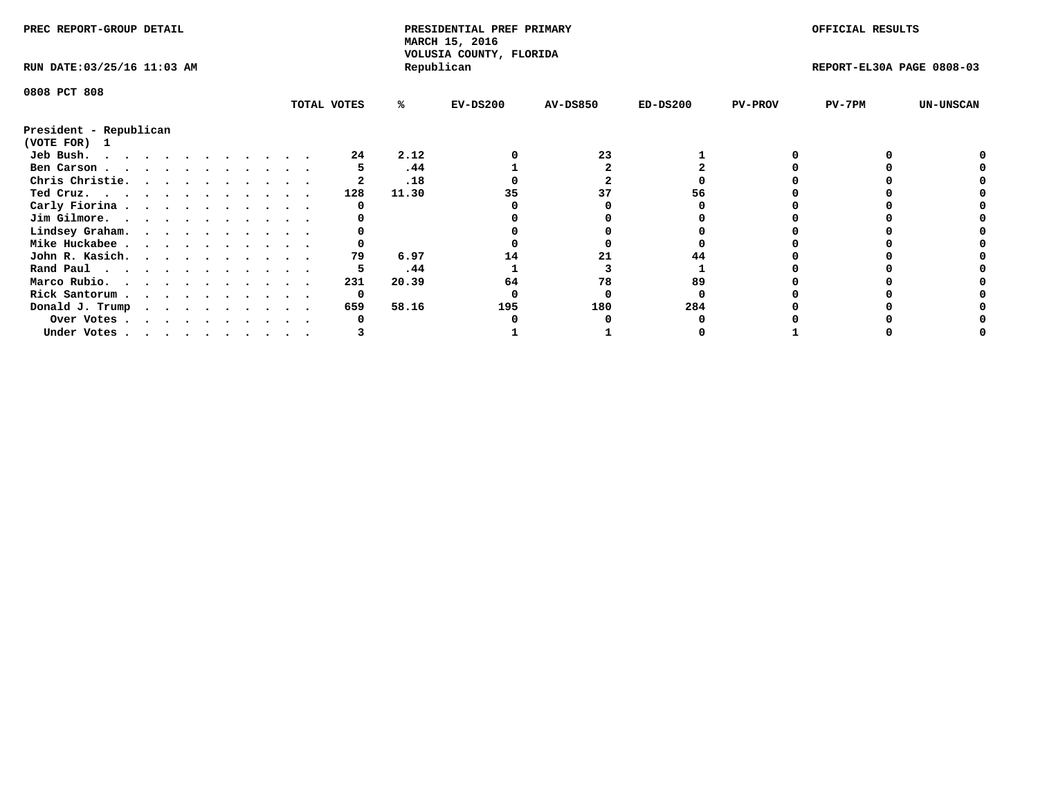| PREC REPORT-GROUP DETAIL    |  |  |  |  |  |  |  |  |             | PRESIDENTIAL PREF PRIMARY<br>MARCH 15, 2016<br>VOLUSIA COUNTY, FLORIDA |            |                 |            | OFFICIAL RESULTS |                           |                  |
|-----------------------------|--|--|--|--|--|--|--|--|-------------|------------------------------------------------------------------------|------------|-----------------|------------|------------------|---------------------------|------------------|
| RUN DATE: 03/25/16 11:03 AM |  |  |  |  |  |  |  |  |             |                                                                        | Republican |                 |            |                  | REPORT-EL30A PAGE 0808-03 |                  |
| 0808 PCT 808                |  |  |  |  |  |  |  |  |             |                                                                        |            |                 |            |                  |                           |                  |
|                             |  |  |  |  |  |  |  |  | TOTAL VOTES | %ะ                                                                     | $EV-DS200$ | <b>AV-DS850</b> | $ED-DS200$ | <b>PV-PROV</b>   | $PV-7PM$                  | <b>UN-UNSCAN</b> |
| President - Republican      |  |  |  |  |  |  |  |  |             |                                                                        |            |                 |            |                  |                           |                  |
| (VOTE FOR)<br>$\mathbf{1}$  |  |  |  |  |  |  |  |  |             |                                                                        |            |                 |            |                  |                           |                  |
| Jeb Bush.                   |  |  |  |  |  |  |  |  | 24          | 2.12                                                                   |            | 23              |            |                  |                           |                  |
| Ben Carson                  |  |  |  |  |  |  |  |  |             | .44                                                                    |            |                 |            |                  |                           |                  |
| Chris Christie.             |  |  |  |  |  |  |  |  |             | .18                                                                    |            |                 |            |                  |                           |                  |
| Ted Cruz.                   |  |  |  |  |  |  |  |  | 128         | 11.30                                                                  |            | 37              | 56         |                  |                           |                  |
| Carly Fiorina               |  |  |  |  |  |  |  |  |             |                                                                        |            |                 |            |                  |                           |                  |
| Jim Gilmore.                |  |  |  |  |  |  |  |  |             |                                                                        |            |                 |            |                  |                           |                  |
| Lindsey Graham.             |  |  |  |  |  |  |  |  |             |                                                                        |            |                 |            |                  |                           |                  |
| Mike Huckabee               |  |  |  |  |  |  |  |  |             |                                                                        |            |                 |            |                  |                           |                  |
| John R. Kasich.             |  |  |  |  |  |  |  |  | 79          | 6.97                                                                   | 14         | 21              |            |                  |                           |                  |
| Rand Paul                   |  |  |  |  |  |  |  |  |             | .44                                                                    |            |                 |            |                  |                           |                  |
| Marco Rubio.                |  |  |  |  |  |  |  |  | 231         | 20.39                                                                  | 64         | 78              | 89         |                  |                           |                  |
| Rick Santorum               |  |  |  |  |  |  |  |  | 0           |                                                                        |            |                 |            |                  |                           |                  |
| Donald J. Trump             |  |  |  |  |  |  |  |  | 659         | 58.16                                                                  | 195        | 180             | 284        |                  |                           |                  |
| Over Votes                  |  |  |  |  |  |  |  |  | 0           |                                                                        |            |                 |            |                  |                           |                  |
| Under Votes                 |  |  |  |  |  |  |  |  |             |                                                                        |            |                 |            |                  |                           |                  |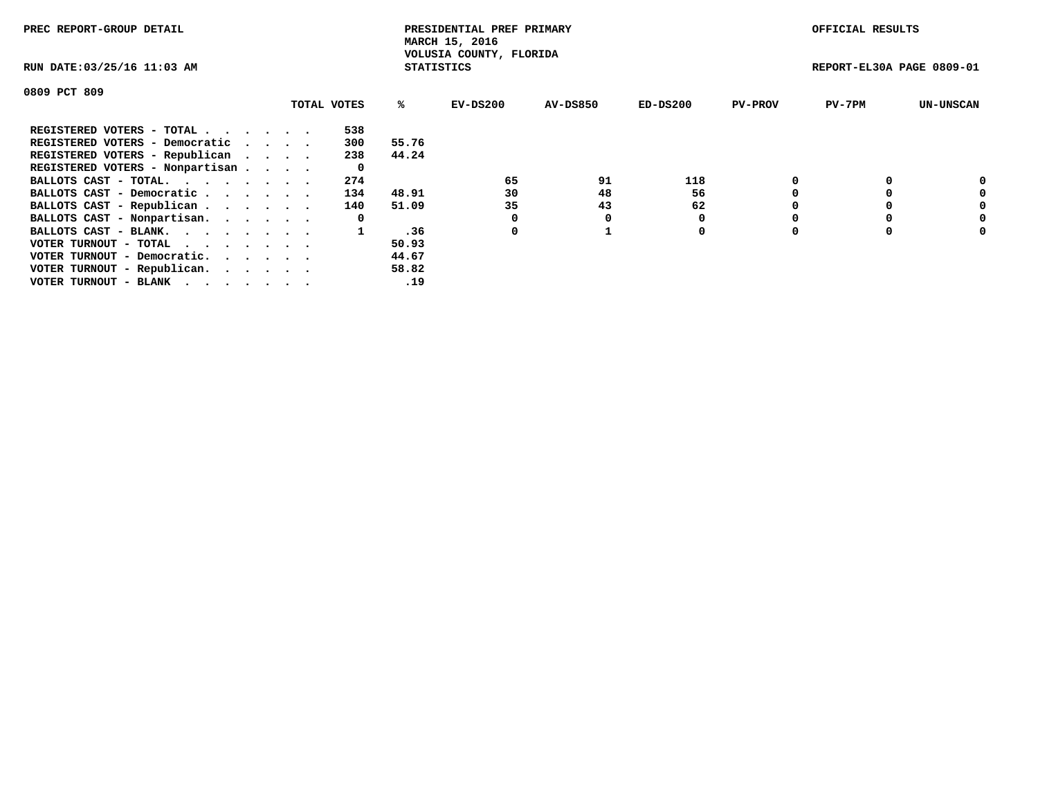| PREC REPORT-GROUP DETAIL                                    |             |       | PRESIDENTIAL PREF PRIMARY<br>MARCH 15, 2016  |          |            |                | OFFICIAL RESULTS          |                  |
|-------------------------------------------------------------|-------------|-------|----------------------------------------------|----------|------------|----------------|---------------------------|------------------|
| RUN DATE: 03/25/16 11:03 AM                                 |             |       | VOLUSIA COUNTY, FLORIDA<br><b>STATISTICS</b> |          |            |                | REPORT-EL30A PAGE 0809-01 |                  |
| 0809 PCT 809                                                |             |       |                                              |          |            |                |                           |                  |
|                                                             | TOTAL VOTES | %ร    | EV-DS200                                     | AV-DS850 | $ED-DS200$ | <b>PV-PROV</b> | $PV-7PM$                  | <b>UN-UNSCAN</b> |
| REGISTERED VOTERS - TOTAL                                   | 538         |       |                                              |          |            |                |                           |                  |
| REGISTERED VOTERS - Democratic                              | 300         | 55.76 |                                              |          |            |                |                           |                  |
| REGISTERED VOTERS - Republican                              | 238         | 44.24 |                                              |          |            |                |                           |                  |
| REGISTERED VOTERS - Nonpartisan                             | 0           |       |                                              |          |            |                |                           |                  |
| BALLOTS CAST - TOTAL.                                       | 274         |       | 65                                           | 91       | 118        |                |                           | 0                |
| BALLOTS CAST - Democratic                                   | 134         | 48.91 | 30                                           | 48       | 56         |                |                           | 0                |
| BALLOTS CAST - Republican                                   | 140         | 51.09 | 35                                           | 43       | 62         |                |                           | 0                |
| BALLOTS CAST - Nonpartisan.                                 | 0           |       |                                              | 0        |            |                |                           | 0                |
| BALLOTS CAST - BLANK.                                       |             | .36   | 0                                            |          | 0          |                |                           | 0                |
| VOTER TURNOUT - TOTAL $\cdot \cdot \cdot \cdot \cdot \cdot$ |             | 50.93 |                                              |          |            |                |                           |                  |
| VOTER TURNOUT - Democratic.                                 |             | 44.67 |                                              |          |            |                |                           |                  |
| VOTER TURNOUT - Republican.                                 |             | 58.82 |                                              |          |            |                |                           |                  |
| VOTER TURNOUT - BLANK                                       |             | .19   |                                              |          |            |                |                           |                  |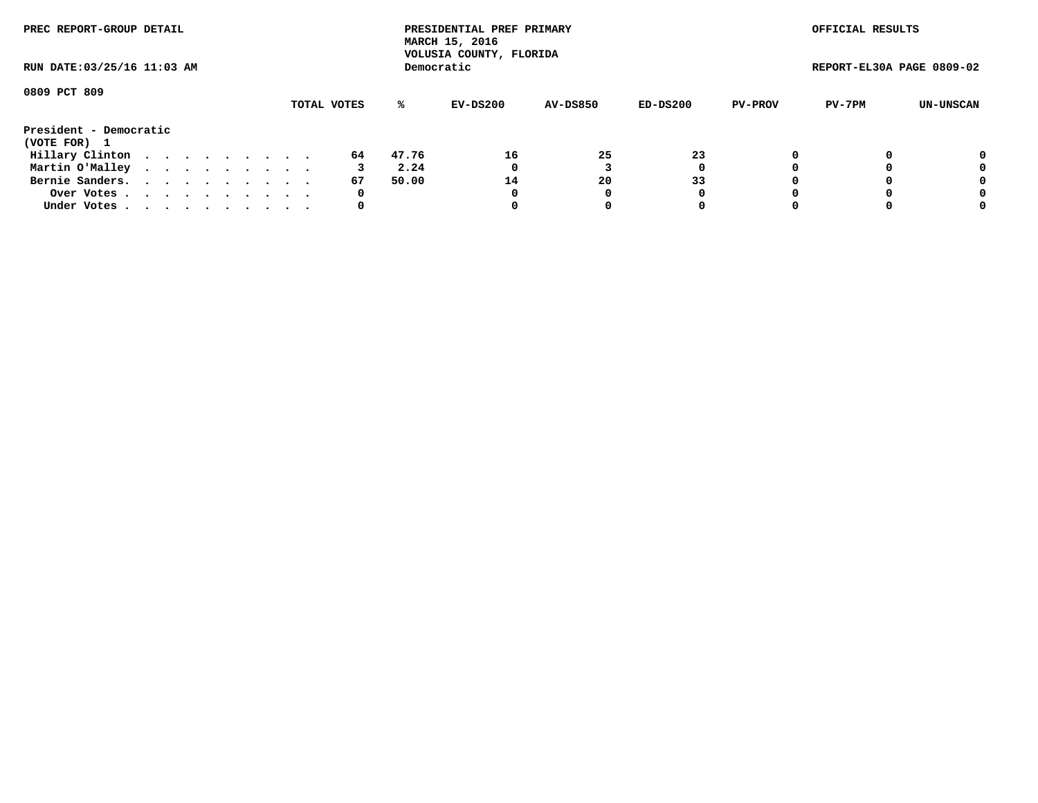| PREC REPORT-GROUP DETAIL<br>RUN DATE: 03/25/16 11:03 AM |  |  |  |  |  |  |  |  |             |       | PRESIDENTIAL PREF PRIMARY<br>MARCH 15, 2016<br>VOLUSIA COUNTY, FLORIDA |                 |            |                | OFFICIAL RESULTS          |           |
|---------------------------------------------------------|--|--|--|--|--|--|--|--|-------------|-------|------------------------------------------------------------------------|-----------------|------------|----------------|---------------------------|-----------|
|                                                         |  |  |  |  |  |  |  |  |             |       | Democratic                                                             |                 |            |                | REPORT-EL30A PAGE 0809-02 |           |
| 0809 PCT 809                                            |  |  |  |  |  |  |  |  | TOTAL VOTES | %ะ    | EV-DS200                                                               | <b>AV-DS850</b> | $ED-DS200$ | <b>PV-PROV</b> | PV-7PM                    | UN-UNSCAN |
| President - Democratic<br>(VOTE FOR) 1                  |  |  |  |  |  |  |  |  |             |       |                                                                        |                 |            |                |                           |           |
| Hillary Clinton                                         |  |  |  |  |  |  |  |  | 64          | 47.76 | 16                                                                     | 25              | 23         | 0              |                           | 0         |
| Martin O'Malley                                         |  |  |  |  |  |  |  |  |             | 2.24  | 0                                                                      |                 | 0          |                |                           | 0         |
| Bernie Sanders.                                         |  |  |  |  |  |  |  |  | 67          | 50.00 | 14                                                                     | 20              | 33         |                |                           | 0         |
| Over Votes                                              |  |  |  |  |  |  |  |  | 0           |       | 0                                                                      | 0               | 0          |                |                           | 0         |
| Under Votes.                                            |  |  |  |  |  |  |  |  | 0           |       |                                                                        |                 | 0          |                |                           | 0         |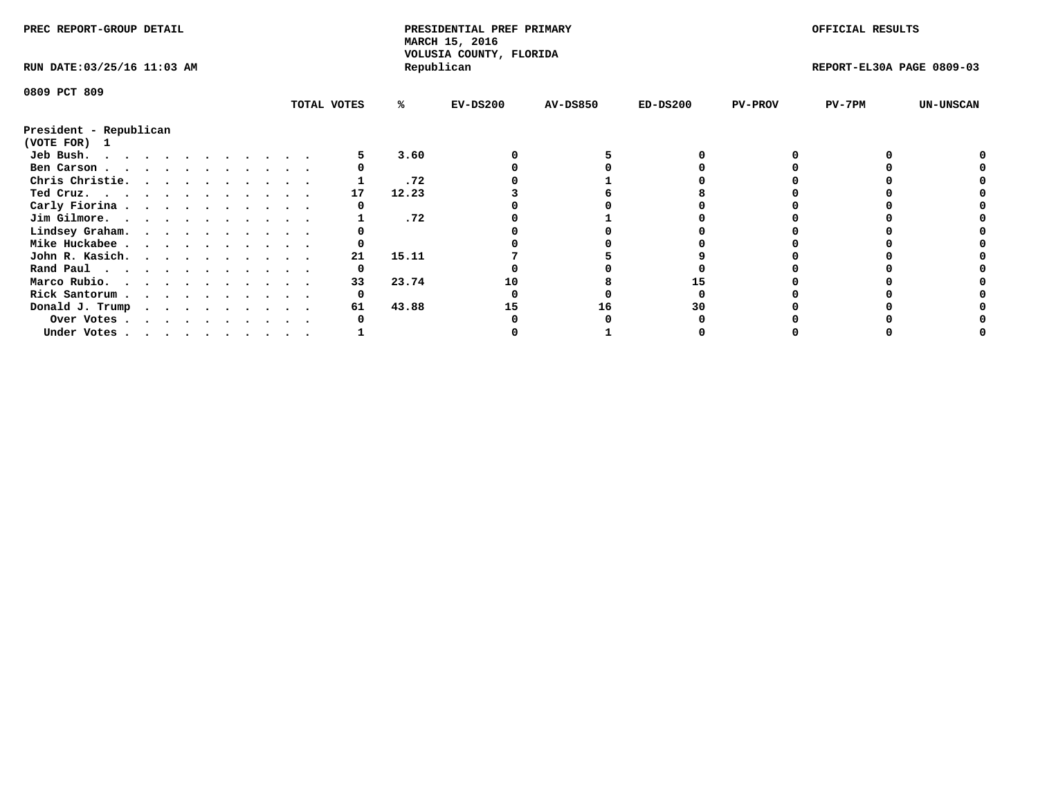| PREC REPORT-GROUP DETAIL               |  |  |  |  |  |  |  |  |             | PRESIDENTIAL PREF PRIMARY<br>MARCH 15, 2016 |                                       |                 |            | OFFICIAL RESULTS |                           |                  |
|----------------------------------------|--|--|--|--|--|--|--|--|-------------|---------------------------------------------|---------------------------------------|-----------------|------------|------------------|---------------------------|------------------|
| RUN DATE: 03/25/16 11:03 AM            |  |  |  |  |  |  |  |  |             |                                             | VOLUSIA COUNTY, FLORIDA<br>Republican |                 |            |                  | REPORT-EL30A PAGE 0809-03 |                  |
| 0809 PCT 809                           |  |  |  |  |  |  |  |  |             |                                             |                                       |                 |            |                  |                           |                  |
|                                        |  |  |  |  |  |  |  |  | TOTAL VOTES | ℁                                           | $EV-DS200$                            | <b>AV-DS850</b> | $ED-DS200$ | <b>PV-PROV</b>   | $PV-7PM$                  | <b>UN-UNSCAN</b> |
| President - Republican<br>(VOTE FOR) 1 |  |  |  |  |  |  |  |  |             |                                             |                                       |                 |            |                  |                           |                  |
| Jeb Bush.<br>.                         |  |  |  |  |  |  |  |  |             | 3.60                                        |                                       |                 |            |                  |                           |                  |
| Ben Carson                             |  |  |  |  |  |  |  |  |             |                                             |                                       |                 |            |                  |                           |                  |
| Chris Christie.                        |  |  |  |  |  |  |  |  |             | .72                                         |                                       |                 |            |                  |                           |                  |
| Ted Cruz.                              |  |  |  |  |  |  |  |  | 17          | 12.23                                       |                                       |                 |            |                  |                           |                  |
| Carly Fiorina                          |  |  |  |  |  |  |  |  |             |                                             |                                       |                 |            |                  |                           |                  |
| Jim Gilmore.                           |  |  |  |  |  |  |  |  |             | .72                                         |                                       |                 |            |                  |                           |                  |
| Lindsey Graham.                        |  |  |  |  |  |  |  |  |             |                                             |                                       |                 |            |                  |                           |                  |
| Mike Huckabee                          |  |  |  |  |  |  |  |  |             |                                             |                                       |                 |            |                  |                           |                  |
| John R. Kasich.                        |  |  |  |  |  |  |  |  | 21          | 15.11                                       |                                       |                 |            |                  |                           |                  |
| Rand Paul                              |  |  |  |  |  |  |  |  | 0           |                                             |                                       |                 |            |                  |                           |                  |
| Marco Rubio.                           |  |  |  |  |  |  |  |  | 33          | 23.74                                       | 10                                    |                 |            |                  |                           |                  |
| Rick Santorum                          |  |  |  |  |  |  |  |  |             |                                             |                                       |                 |            |                  |                           |                  |
|                                        |  |  |  |  |  |  |  |  |             | 43.88                                       |                                       |                 | 30         |                  |                           |                  |
| Donald J. Trump                        |  |  |  |  |  |  |  |  | 61          |                                             | 15                                    | 16              |            |                  |                           |                  |
| Over Votes                             |  |  |  |  |  |  |  |  |             |                                             |                                       |                 |            |                  |                           |                  |
| Under Votes, , , , , , , , , , ,       |  |  |  |  |  |  |  |  |             |                                             |                                       |                 |            |                  |                           |                  |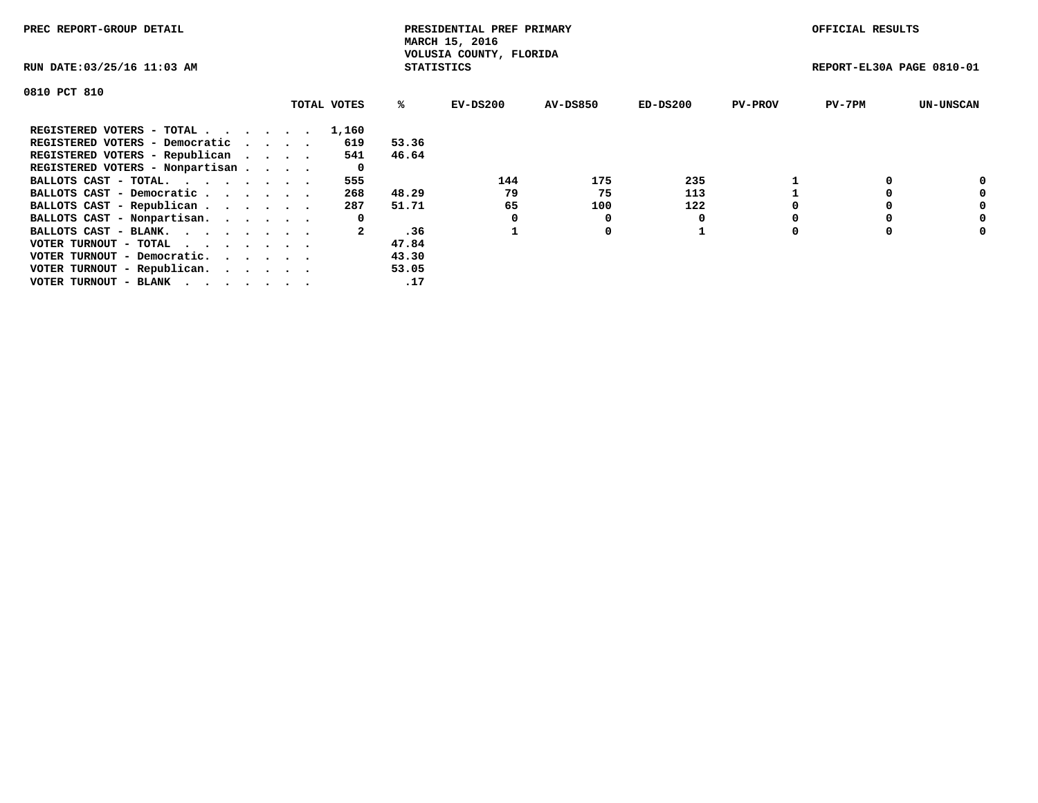| PREC REPORT-GROUP DETAIL        |             |                   | PRESIDENTIAL PREF PRIMARY<br>MARCH 15, 2016 |          |            |                | OFFICIAL RESULTS          |                  |
|---------------------------------|-------------|-------------------|---------------------------------------------|----------|------------|----------------|---------------------------|------------------|
| RUN DATE: 03/25/16 11:03 AM     |             | <b>STATISTICS</b> | VOLUSIA COUNTY, FLORIDA                     |          |            |                | REPORT-EL30A PAGE 0810-01 |                  |
| 0810 PCT 810                    |             |                   |                                             |          |            |                |                           |                  |
|                                 | TOTAL VOTES | ℁                 | EV-DS200                                    | AV-DS850 | $ED-DS200$ | <b>PV-PROV</b> | $PV-7PM$                  | <b>UN-UNSCAN</b> |
| REGISTERED VOTERS - TOTAL       | 1,160       |                   |                                             |          |            |                |                           |                  |
| REGISTERED VOTERS - Democratic  | 619         | 53.36             |                                             |          |            |                |                           |                  |
| REGISTERED VOTERS - Republican  | 541         | 46.64             |                                             |          |            |                |                           |                  |
| REGISTERED VOTERS - Nonpartisan | 0           |                   |                                             |          |            |                |                           |                  |
| BALLOTS CAST - TOTAL.           | 555         |                   | 144                                         | 175      | 235        |                |                           | 0                |
| BALLOTS CAST - Democratic       | 268         | 48.29             | 79                                          | 75       | 113        |                |                           | 0                |
| BALLOTS CAST - Republican       | 287         | 51.71             | 65                                          | 100      | 122        |                |                           | 0                |
| BALLOTS CAST - Nonpartisan.     | 0           |                   |                                             | 0        |            |                |                           | 0                |
| BALLOTS CAST - BLANK.           |             | .36               |                                             | 0        |            |                |                           | 0                |
| VOTER TURNOUT - TOTAL           |             | 47.84             |                                             |          |            |                |                           |                  |
| VOTER TURNOUT - Democratic.     |             | 43.30             |                                             |          |            |                |                           |                  |
| VOTER TURNOUT - Republican.     |             | 53.05             |                                             |          |            |                |                           |                  |
| VOTER TURNOUT - BLANK           |             | .17               |                                             |          |            |                |                           |                  |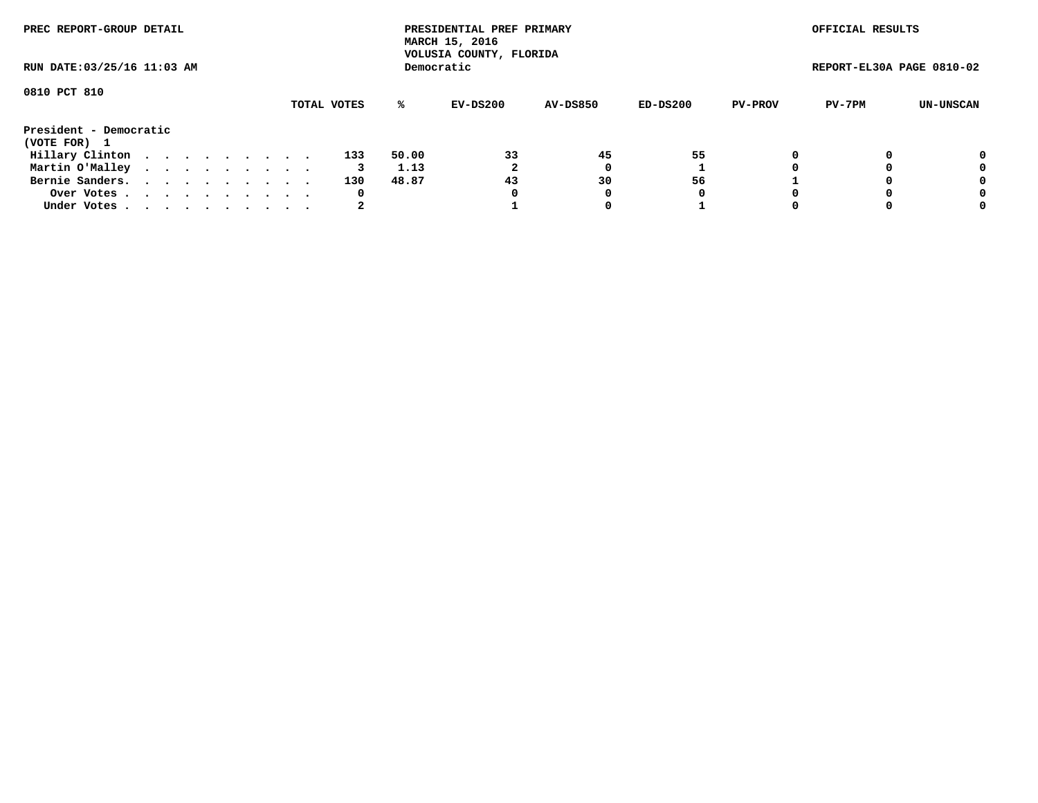| PREC REPORT-GROUP DETAIL<br>RUN DATE: 03/25/16 11:03 AM |  |  |  |  |  |  |  |  |             |       | PRESIDENTIAL PREF PRIMARY<br>MARCH 15, 2016<br>VOLUSIA COUNTY, FLORIDA |                 |          |                | OFFICIAL RESULTS          |           |
|---------------------------------------------------------|--|--|--|--|--|--|--|--|-------------|-------|------------------------------------------------------------------------|-----------------|----------|----------------|---------------------------|-----------|
|                                                         |  |  |  |  |  |  |  |  |             |       | Democratic                                                             |                 |          |                | REPORT-EL30A PAGE 0810-02 |           |
| 0810 PCT 810                                            |  |  |  |  |  |  |  |  |             |       |                                                                        |                 |          |                |                           |           |
|                                                         |  |  |  |  |  |  |  |  | TOTAL VOTES | ℁     | EV-DS200                                                               | <b>AV-DS850</b> | ED-DS200 | <b>PV-PROV</b> | PV-7PM                    | UN-UNSCAN |
| President - Democratic<br>(VOTE FOR) 1                  |  |  |  |  |  |  |  |  |             |       |                                                                        |                 |          |                |                           |           |
| Hillary Clinton                                         |  |  |  |  |  |  |  |  | 133         | 50.00 | 33                                                                     | 45              | 55       |                |                           | 0         |
| Martin O'Malley                                         |  |  |  |  |  |  |  |  | 3           | 1.13  |                                                                        |                 |          |                |                           | 0         |
| Bernie Sanders.                                         |  |  |  |  |  |  |  |  | 130         | 48.87 | 43                                                                     | 30              | 56       |                |                           | 0         |
| Over Votes.                                             |  |  |  |  |  |  |  |  | 0           |       | 0                                                                      | 0               | 0        |                |                           | 0         |
| Under Votes                                             |  |  |  |  |  |  |  |  | 2           |       |                                                                        |                 |          |                |                           | 0         |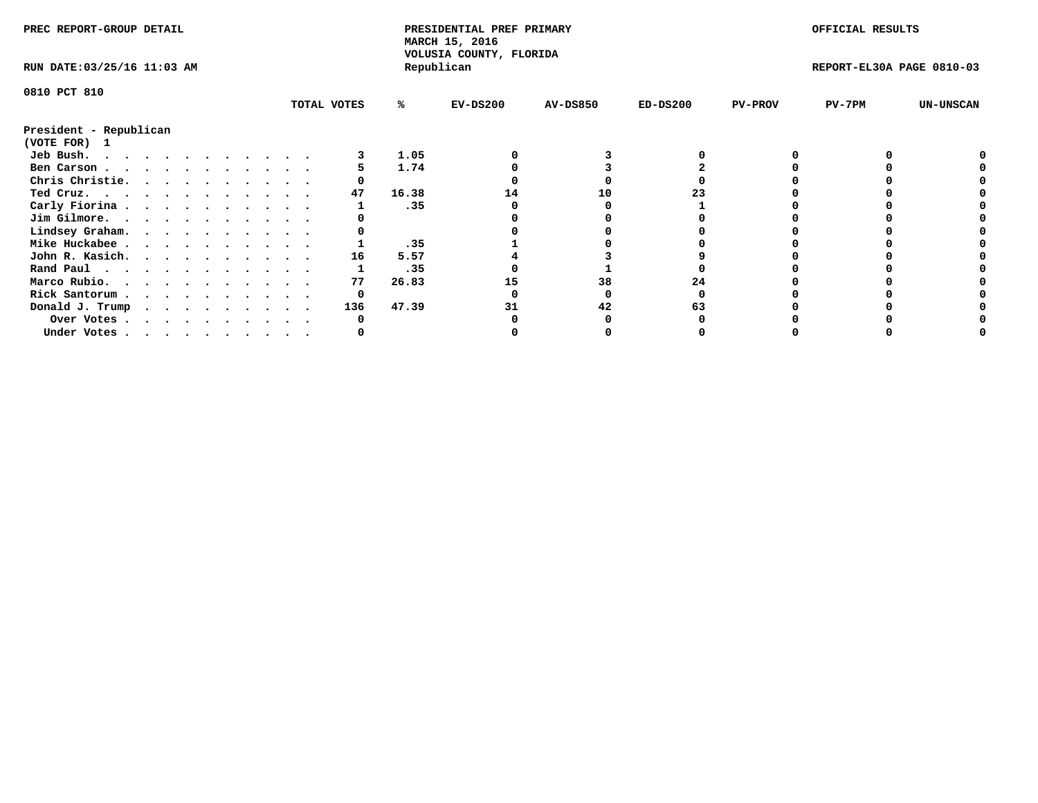| PREC REPORT-GROUP DETAIL               |  |  |  |  |  |  |  |  |             | PRESIDENTIAL PREF PRIMARY<br>MARCH 15, 2016<br>VOLUSIA COUNTY, FLORIDA |            |                 |            | OFFICIAL RESULTS |                           |                  |
|----------------------------------------|--|--|--|--|--|--|--|--|-------------|------------------------------------------------------------------------|------------|-----------------|------------|------------------|---------------------------|------------------|
| RUN DATE: 03/25/16 11:03 AM            |  |  |  |  |  |  |  |  |             |                                                                        | Republican |                 |            |                  | REPORT-EL30A PAGE 0810-03 |                  |
| 0810 PCT 810                           |  |  |  |  |  |  |  |  |             |                                                                        |            |                 |            |                  |                           |                  |
|                                        |  |  |  |  |  |  |  |  | TOTAL VOTES | %ะ                                                                     | EV-DS200   | <b>AV-DS850</b> | $ED-DS200$ | <b>PV-PROV</b>   | $PV-7PM$                  | <b>UN-UNSCAN</b> |
| President - Republican<br>(VOTE FOR) 1 |  |  |  |  |  |  |  |  |             |                                                                        |            |                 |            |                  |                           |                  |
| Jeb Bush.                              |  |  |  |  |  |  |  |  |             | 1.05                                                                   |            |                 |            |                  |                           |                  |
| Ben Carson                             |  |  |  |  |  |  |  |  |             | 1.74                                                                   |            |                 |            |                  |                           |                  |
| Chris Christie.                        |  |  |  |  |  |  |  |  |             |                                                                        |            |                 |            |                  |                           |                  |
| Ted Cruz.                              |  |  |  |  |  |  |  |  | 47          | 16.38                                                                  | 14         | 10              |            |                  |                           |                  |
| Carly Fiorina                          |  |  |  |  |  |  |  |  |             | .35                                                                    |            |                 |            |                  |                           |                  |
| Jim Gilmore.                           |  |  |  |  |  |  |  |  |             |                                                                        |            |                 |            |                  |                           |                  |
| Lindsey Graham.                        |  |  |  |  |  |  |  |  |             |                                                                        |            |                 |            |                  |                           |                  |
| Mike Huckabee                          |  |  |  |  |  |  |  |  |             | .35                                                                    |            |                 |            |                  |                           |                  |
| John R. Kasich.                        |  |  |  |  |  |  |  |  | 16          | 5.57                                                                   |            |                 |            |                  |                           |                  |
| Rand Paul                              |  |  |  |  |  |  |  |  |             | .35                                                                    |            |                 |            |                  |                           |                  |
| Marco Rubio.                           |  |  |  |  |  |  |  |  | 77          | 26.83                                                                  |            | 38              | 24         |                  |                           |                  |
| Rick Santorum                          |  |  |  |  |  |  |  |  | 0           |                                                                        |            |                 |            |                  |                           |                  |
| Donald J. Trump                        |  |  |  |  |  |  |  |  | 136         | 47.39                                                                  |            | 42              |            |                  |                           |                  |
| Over Votes                             |  |  |  |  |  |  |  |  |             |                                                                        |            |                 |            |                  |                           |                  |
| Under Votes                            |  |  |  |  |  |  |  |  |             |                                                                        |            |                 |            |                  |                           |                  |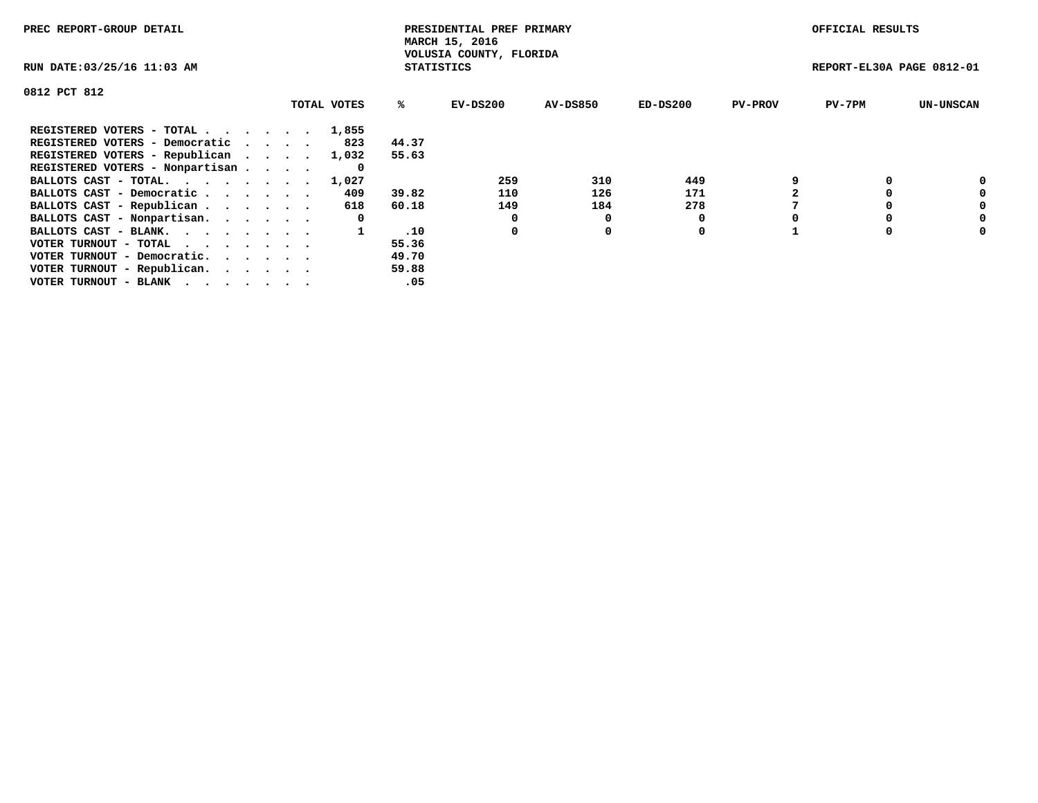| PREC REPORT-GROUP DETAIL                                    |             |                   | PRESIDENTIAL PREF PRIMARY<br>MARCH 15, 2016 |          |            |                | OFFICIAL RESULTS          |                  |
|-------------------------------------------------------------|-------------|-------------------|---------------------------------------------|----------|------------|----------------|---------------------------|------------------|
| RUN DATE: 03/25/16 11:03 AM                                 |             | <b>STATISTICS</b> | VOLUSIA COUNTY, FLORIDA                     |          |            |                | REPORT-EL30A PAGE 0812-01 |                  |
| 0812 PCT 812                                                |             |                   |                                             |          |            |                |                           |                  |
|                                                             | TOTAL VOTES | %ะ                | EV-DS200                                    | AV-DS850 | $ED-DS200$ | <b>PV-PROV</b> | $PV-7PM$                  | <b>UN-UNSCAN</b> |
| REGISTERED VOTERS - TOTAL                                   | 1,855       |                   |                                             |          |            |                |                           |                  |
| REGISTERED VOTERS - Democratic                              | 823         | 44.37             |                                             |          |            |                |                           |                  |
| REGISTERED VOTERS - Republican                              | 1,032       | 55.63             |                                             |          |            |                |                           |                  |
| REGISTERED VOTERS - Nonpartisan                             | 0           |                   |                                             |          |            |                |                           |                  |
| BALLOTS CAST - TOTAL.                                       | 1,027       |                   | 259                                         | 310      | 449        |                |                           | 0                |
| BALLOTS CAST - Democratic                                   | 409         | 39.82             | 110                                         | 126      | 171        |                |                           | 0                |
| BALLOTS CAST - Republican                                   | 618         | 60.18             | 149                                         | 184      | 278        |                |                           | 0                |
| BALLOTS CAST - Nonpartisan.                                 | 0           |                   | 0                                           | O        |            |                |                           | 0                |
| BALLOTS CAST - BLANK.                                       |             | .10               | 0                                           | 0        | 0          |                |                           | 0                |
| VOTER TURNOUT - TOTAL $\cdot \cdot \cdot \cdot \cdot \cdot$ |             | 55.36             |                                             |          |            |                |                           |                  |
| VOTER TURNOUT - Democratic.                                 |             | 49.70             |                                             |          |            |                |                           |                  |
| VOTER TURNOUT - Republican.                                 |             | 59.88             |                                             |          |            |                |                           |                  |
| VOTER TURNOUT - BLANK                                       |             | .05               |                                             |          |            |                |                           |                  |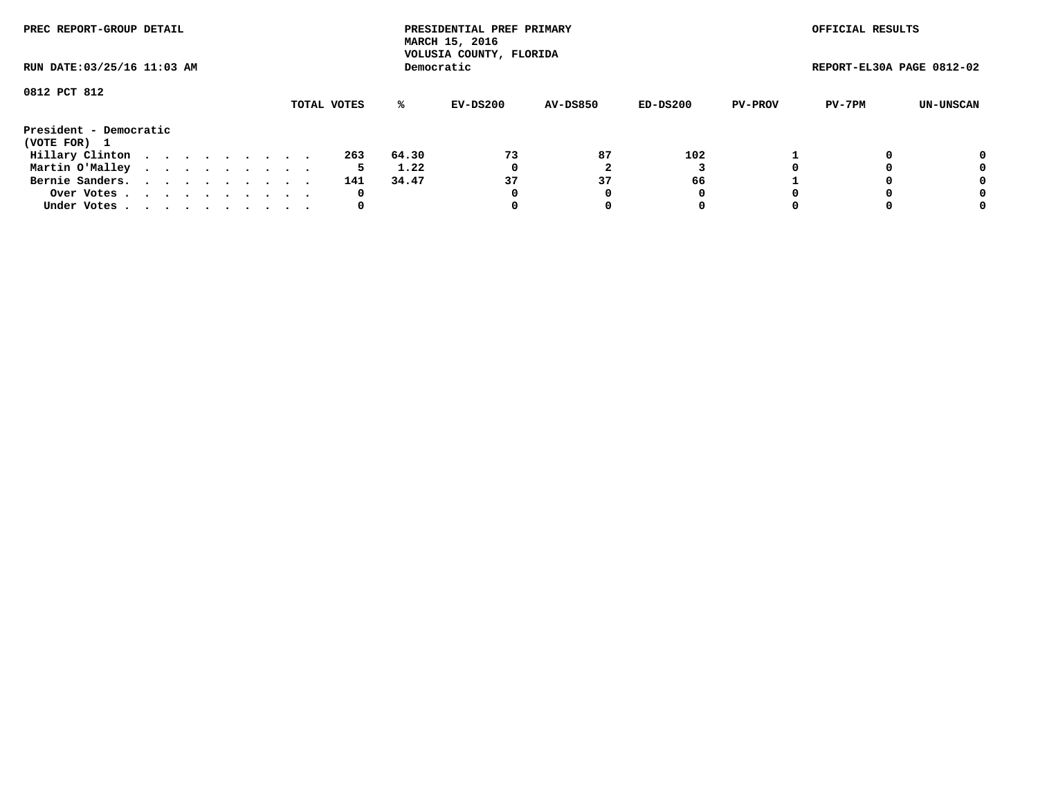| PREC REPORT-GROUP DETAIL<br>RUN DATE: 03/25/16 11:03 AM |  |  |  |  |  |  |  |  |             |       | PRESIDENTIAL PREF PRIMARY<br>MARCH 15, 2016<br>VOLUSIA COUNTY, FLORIDA |                 |          |                | OFFICIAL RESULTS          |           |
|---------------------------------------------------------|--|--|--|--|--|--|--|--|-------------|-------|------------------------------------------------------------------------|-----------------|----------|----------------|---------------------------|-----------|
|                                                         |  |  |  |  |  |  |  |  |             |       | Democratic                                                             |                 |          |                | REPORT-EL30A PAGE 0812-02 |           |
| 0812 PCT 812                                            |  |  |  |  |  |  |  |  |             |       |                                                                        |                 |          |                |                           |           |
|                                                         |  |  |  |  |  |  |  |  | TOTAL VOTES | ℁     | EV-DS200                                                               | <b>AV-DS850</b> | ED-DS200 | <b>PV-PROV</b> | PV-7PM                    | UN-UNSCAN |
| President - Democratic                                  |  |  |  |  |  |  |  |  |             |       |                                                                        |                 |          |                |                           |           |
| (VOTE FOR) 1                                            |  |  |  |  |  |  |  |  |             |       |                                                                        |                 |          |                |                           |           |
| Hillary Clinton                                         |  |  |  |  |  |  |  |  | 263         | 64.30 | 73                                                                     | 87              | 102      |                |                           | 0         |
| Martin O'Malley                                         |  |  |  |  |  |  |  |  | 5           | 1.22  | 0                                                                      |                 |          |                |                           | 0         |
| Bernie Sanders.                                         |  |  |  |  |  |  |  |  | 141         | 34.47 | 37                                                                     | 37              | 66       |                |                           | 0         |
| Over Votes.                                             |  |  |  |  |  |  |  |  | 0           |       | 0                                                                      | 0               | 0        |                |                           | 0         |
| Under Votes                                             |  |  |  |  |  |  |  |  | 0           |       |                                                                        |                 | 0        |                |                           | 0         |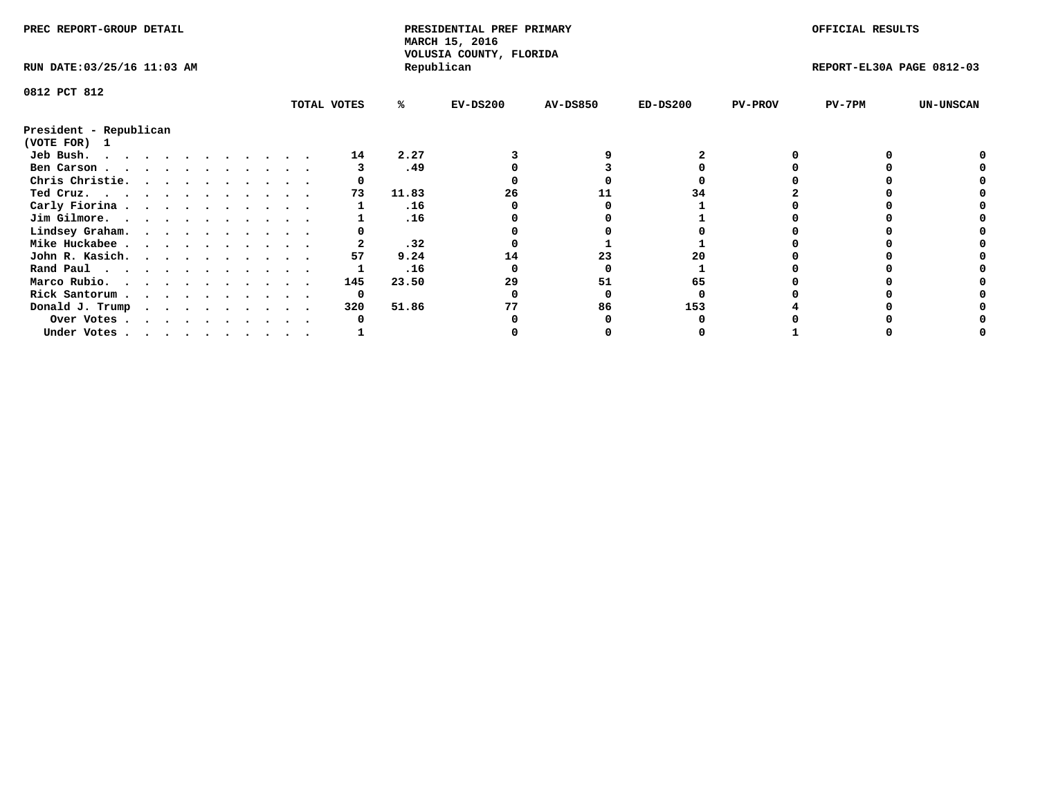| PREC REPORT-GROUP DETAIL    |  |  |  |  |  |  |  |             | PRESIDENTIAL PREF PRIMARY<br>MARCH 15, 2016<br>VOLUSIA COUNTY, FLORIDA |            |                 |            | OFFICIAL RESULTS |                           |                  |
|-----------------------------|--|--|--|--|--|--|--|-------------|------------------------------------------------------------------------|------------|-----------------|------------|------------------|---------------------------|------------------|
| RUN DATE: 03/25/16 11:03 AM |  |  |  |  |  |  |  |             |                                                                        | Republican |                 |            |                  | REPORT-EL30A PAGE 0812-03 |                  |
| 0812 PCT 812                |  |  |  |  |  |  |  |             |                                                                        |            |                 |            |                  |                           |                  |
|                             |  |  |  |  |  |  |  | TOTAL VOTES | %ะ                                                                     | $EV-DS200$ | <b>AV-DS850</b> | $ED-DS200$ | <b>PV-PROV</b>   | $PV-7PM$                  | <b>UN-UNSCAN</b> |
| President - Republican      |  |  |  |  |  |  |  |             |                                                                        |            |                 |            |                  |                           |                  |
| (VOTE FOR) 1                |  |  |  |  |  |  |  |             |                                                                        |            |                 |            |                  |                           |                  |
| Jeb Bush.                   |  |  |  |  |  |  |  | 14          | 2.27                                                                   |            |                 |            |                  |                           |                  |
| Ben Carson                  |  |  |  |  |  |  |  |             | .49                                                                    |            |                 |            |                  |                           |                  |
| Chris Christie.             |  |  |  |  |  |  |  |             |                                                                        |            |                 |            |                  |                           |                  |
| Ted Cruz.                   |  |  |  |  |  |  |  | 73          | 11.83                                                                  | 26         |                 | 34         |                  |                           |                  |
| Carly Fiorina               |  |  |  |  |  |  |  |             | .16                                                                    |            |                 |            |                  |                           |                  |
| Jim Gilmore.                |  |  |  |  |  |  |  |             | .16                                                                    |            |                 |            |                  |                           |                  |
| Lindsey Graham.             |  |  |  |  |  |  |  |             |                                                                        |            |                 |            |                  |                           |                  |
| Mike Huckabee               |  |  |  |  |  |  |  |             | .32                                                                    |            |                 |            |                  |                           |                  |
| John R. Kasich.             |  |  |  |  |  |  |  | 57          | 9.24                                                                   | 14         | 23              |            |                  |                           |                  |
| Rand Paul                   |  |  |  |  |  |  |  |             | .16                                                                    |            |                 |            |                  |                           |                  |
| Marco Rubio.                |  |  |  |  |  |  |  | 145         | 23.50                                                                  | 29         | 51              | 65         |                  |                           |                  |
| Rick Santorum               |  |  |  |  |  |  |  | 0           |                                                                        |            |                 |            |                  |                           |                  |
| Donald J. Trump             |  |  |  |  |  |  |  | 320         | 51.86                                                                  |            | 86              | 153        |                  |                           |                  |
| Over Votes                  |  |  |  |  |  |  |  |             |                                                                        |            |                 |            |                  |                           |                  |
| Under Votes                 |  |  |  |  |  |  |  |             |                                                                        |            |                 |            |                  |                           |                  |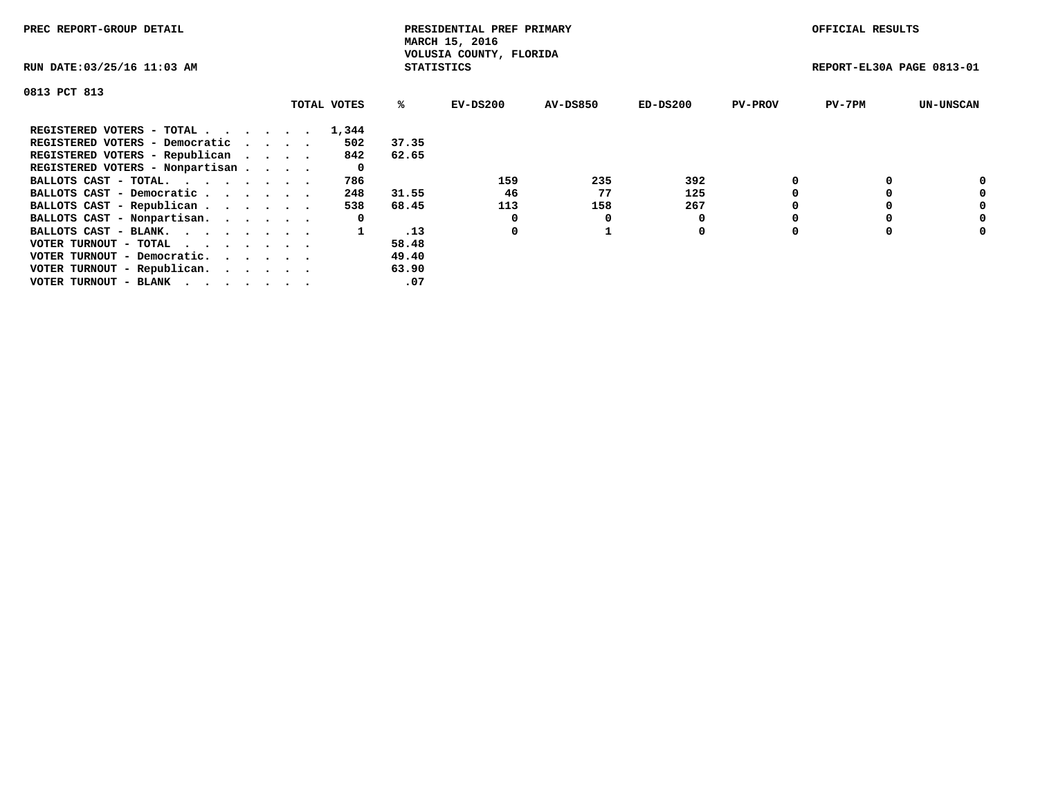| PREC REPORT-GROUP DETAIL                                    |             |                   | PRESIDENTIAL PREF PRIMARY<br>MARCH 15, 2016 |                 |            |                | OFFICIAL RESULTS          |                  |
|-------------------------------------------------------------|-------------|-------------------|---------------------------------------------|-----------------|------------|----------------|---------------------------|------------------|
| RUN DATE: 03/25/16 11:03 AM                                 |             | <b>STATISTICS</b> | VOLUSIA COUNTY, FLORIDA                     |                 |            |                | REPORT-EL30A PAGE 0813-01 |                  |
| 0813 PCT 813                                                |             |                   |                                             |                 |            |                |                           |                  |
|                                                             | TOTAL VOTES | ℁                 | EV-DS200                                    | <b>AV-DS850</b> | $ED-DS200$ | <b>PV-PROV</b> | $PV-7PM$                  | <b>UN-UNSCAN</b> |
| REGISTERED VOTERS - TOTAL                                   | 1,344       |                   |                                             |                 |            |                |                           |                  |
| REGISTERED VOTERS - Democratic                              | 502         | 37.35             |                                             |                 |            |                |                           |                  |
| REGISTERED VOTERS - Republican                              | 842         | 62.65             |                                             |                 |            |                |                           |                  |
| REGISTERED VOTERS - Nonpartisan                             | 0           |                   |                                             |                 |            |                |                           |                  |
| BALLOTS CAST - TOTAL.                                       | 786         |                   | 159                                         | 235             | 392        |                |                           | 0                |
| BALLOTS CAST - Democratic                                   | 248         | 31.55             | 46                                          | 77              | 125        |                |                           | 0                |
| BALLOTS CAST - Republican                                   | 538         | 68.45             | 113                                         | 158             | 267        |                |                           | 0                |
| BALLOTS CAST - Nonpartisan.                                 | 0           |                   |                                             |                 |            |                |                           | 0                |
| BALLOTS CAST - BLANK.                                       |             | .13               | 0                                           |                 | 0          |                |                           | 0                |
| VOTER TURNOUT - TOTAL $\cdot \cdot \cdot \cdot \cdot \cdot$ |             | 58.48             |                                             |                 |            |                |                           |                  |
| VOTER TURNOUT - Democratic.                                 |             | 49.40             |                                             |                 |            |                |                           |                  |
| VOTER TURNOUT - Republican.                                 |             | 63.90             |                                             |                 |            |                |                           |                  |
| VOTER TURNOUT - BLANK                                       |             | .07               |                                             |                 |            |                |                           |                  |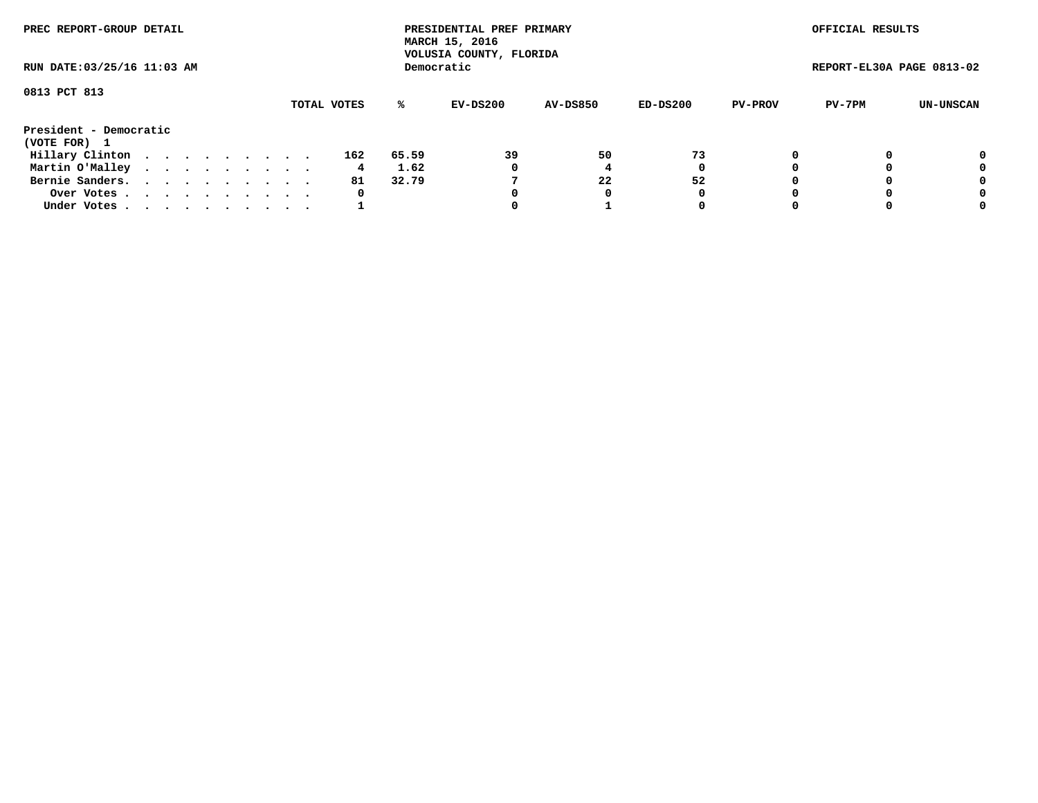| PREC REPORT-GROUP DETAIL<br>RUN DATE: 03/25/16 11:03 AM |  |  |  |  |  |  |  |  |             |       | PRESIDENTIAL PREF PRIMARY<br>MARCH 15, 2016<br>VOLUSIA COUNTY, FLORIDA |                 |          |                | OFFICIAL RESULTS          |           |
|---------------------------------------------------------|--|--|--|--|--|--|--|--|-------------|-------|------------------------------------------------------------------------|-----------------|----------|----------------|---------------------------|-----------|
|                                                         |  |  |  |  |  |  |  |  |             |       | Democratic                                                             |                 |          |                | REPORT-EL30A PAGE 0813-02 |           |
| 0813 PCT 813                                            |  |  |  |  |  |  |  |  | TOTAL VOTES | %ะ    | EV-DS200                                                               | <b>AV-DS850</b> | ED-DS200 | <b>PV-PROV</b> | PV-7PM                    | UN-UNSCAN |
| President - Democratic<br>(VOTE FOR) 1                  |  |  |  |  |  |  |  |  |             |       |                                                                        |                 |          |                |                           |           |
| Hillary Clinton                                         |  |  |  |  |  |  |  |  | 162         | 65.59 | 39                                                                     | 50              | 73       |                |                           | 0         |
| Martin O'Malley                                         |  |  |  |  |  |  |  |  | 4.          | 1.62  | 0                                                                      |                 | 0        |                |                           | 0         |
| Bernie Sanders.                                         |  |  |  |  |  |  |  |  | 81          | 32.79 |                                                                        | 22              | 52       |                |                           | 0         |
| Over Votes.                                             |  |  |  |  |  |  |  |  | 0           |       | 0                                                                      | 0               | 0        |                |                           | 0         |
| Under Votes.                                            |  |  |  |  |  |  |  |  |             |       |                                                                        |                 | 0        |                |                           | 0         |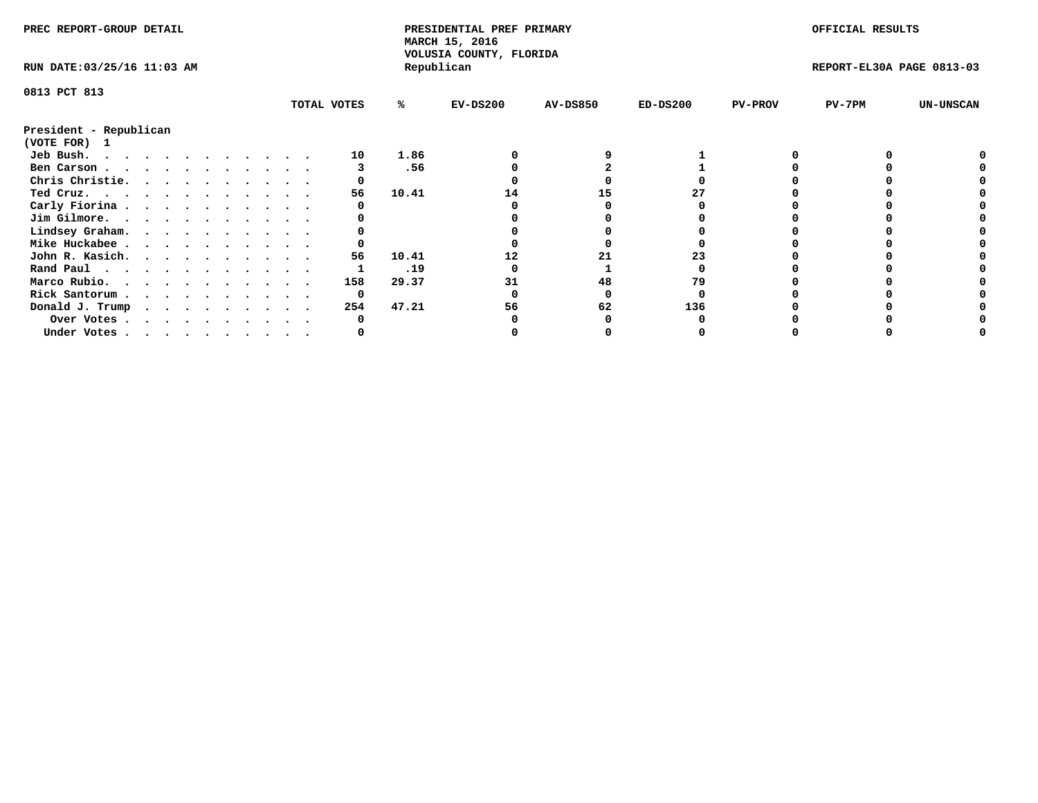| PREC REPORT-GROUP DETAIL    |  |  |  |  |  |  |  |             | PRESIDENTIAL PREF PRIMARY<br>MARCH 15, 2016<br>VOLUSIA COUNTY, FLORIDA |            |                 |            | OFFICIAL RESULTS |                           |                  |
|-----------------------------|--|--|--|--|--|--|--|-------------|------------------------------------------------------------------------|------------|-----------------|------------|------------------|---------------------------|------------------|
| RUN DATE: 03/25/16 11:03 AM |  |  |  |  |  |  |  |             |                                                                        | Republican |                 |            |                  | REPORT-EL30A PAGE 0813-03 |                  |
| 0813 PCT 813                |  |  |  |  |  |  |  |             |                                                                        |            |                 |            |                  |                           |                  |
|                             |  |  |  |  |  |  |  | TOTAL VOTES | %ะ                                                                     | $EV-DS200$ | <b>AV-DS850</b> | $ED-DS200$ | <b>PV-PROV</b>   | $PV-7PM$                  | <b>UN-UNSCAN</b> |
| President - Republican      |  |  |  |  |  |  |  |             |                                                                        |            |                 |            |                  |                           |                  |
| (VOTE FOR) 1                |  |  |  |  |  |  |  |             |                                                                        |            |                 |            |                  |                           |                  |
| Jeb Bush.                   |  |  |  |  |  |  |  | 10          | 1.86                                                                   |            |                 |            |                  |                           |                  |
| Ben Carson                  |  |  |  |  |  |  |  |             | .56                                                                    |            |                 |            |                  |                           |                  |
| Chris Christie.             |  |  |  |  |  |  |  |             |                                                                        |            |                 |            |                  |                           |                  |
| Ted Cruz.                   |  |  |  |  |  |  |  | 56          | 10.41                                                                  | 14         | 15              |            |                  |                           |                  |
| Carly Fiorina               |  |  |  |  |  |  |  |             |                                                                        |            |                 |            |                  |                           |                  |
| Jim Gilmore.                |  |  |  |  |  |  |  |             |                                                                        |            |                 |            |                  |                           |                  |
| Lindsey Graham.             |  |  |  |  |  |  |  |             |                                                                        |            |                 |            |                  |                           |                  |
| Mike Huckabee               |  |  |  |  |  |  |  |             |                                                                        |            |                 |            |                  |                           |                  |
| John R. Kasich.             |  |  |  |  |  |  |  | 56          | 10.41                                                                  |            |                 | 23         |                  |                           |                  |
| Rand Paul                   |  |  |  |  |  |  |  |             | .19                                                                    |            |                 |            |                  |                           |                  |
| Marco Rubio.                |  |  |  |  |  |  |  | 158         | 29.37                                                                  |            | 48              | 79         |                  |                           |                  |
| Rick Santorum               |  |  |  |  |  |  |  | 0           |                                                                        |            |                 |            |                  |                           |                  |
| Donald J. Trump             |  |  |  |  |  |  |  | 254         | 47.21                                                                  | 56         | 62              | 136        |                  |                           |                  |
| Over Votes                  |  |  |  |  |  |  |  |             |                                                                        |            |                 |            |                  |                           |                  |
| Under Votes                 |  |  |  |  |  |  |  |             |                                                                        |            |                 |            |                  |                           |                  |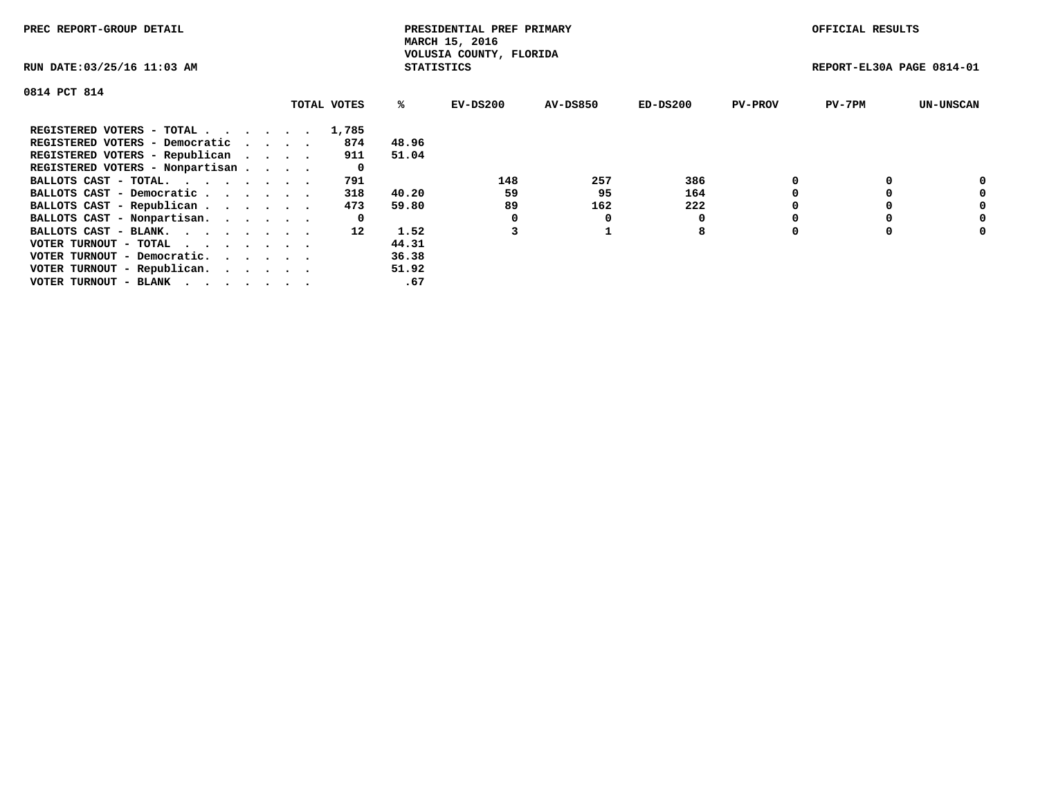| PREC REPORT-GROUP DETAIL        |             |                   | PRESIDENTIAL PREF PRIMARY<br>MARCH 15, 2016 |                 |          |                | OFFICIAL RESULTS          |                  |
|---------------------------------|-------------|-------------------|---------------------------------------------|-----------------|----------|----------------|---------------------------|------------------|
| RUN DATE: 03/25/16 11:03 AM     |             | <b>STATISTICS</b> | VOLUSIA COUNTY, FLORIDA                     |                 |          |                | REPORT-EL30A PAGE 0814-01 |                  |
| 0814 PCT 814                    |             |                   |                                             |                 |          |                |                           |                  |
|                                 | TOTAL VOTES | %ະ                | EV-DS200                                    | <b>AV-DS850</b> | ED-DS200 | <b>PV-PROV</b> | $PV-7PM$                  | <b>UN-UNSCAN</b> |
| REGISTERED VOTERS - TOTAL       | 1,785       |                   |                                             |                 |          |                |                           |                  |
| REGISTERED VOTERS - Democratic  | 874         | 48.96             |                                             |                 |          |                |                           |                  |
| REGISTERED VOTERS - Republican  | 911         | 51.04             |                                             |                 |          |                |                           |                  |
| REGISTERED VOTERS - Nonpartisan | 0           |                   |                                             |                 |          |                |                           |                  |
| BALLOTS CAST - TOTAL.           | 791         |                   | 148                                         | 257             | 386      |                |                           | 0                |
| BALLOTS CAST - Democratic       | 318         | 40.20             | 59                                          | 95              | 164      |                |                           | 0                |
| BALLOTS CAST - Republican       | 473         | 59.80             | 89                                          | 162             | 222      |                |                           | 0                |
| BALLOTS CAST - Nonpartisan.     | 0           |                   |                                             |                 | 0        |                |                           | 0                |
| BALLOTS CAST - BLANK.           | 12          | 1.52              |                                             |                 | 8        | $\Omega$       |                           | 0                |
| VOTER TURNOUT - TOTAL           |             | 44.31             |                                             |                 |          |                |                           |                  |
| VOTER TURNOUT - Democratic.     |             | 36.38             |                                             |                 |          |                |                           |                  |
| VOTER TURNOUT - Republican.     |             | 51.92             |                                             |                 |          |                |                           |                  |
| VOTER TURNOUT - BLANK           |             | .67               |                                             |                 |          |                |                           |                  |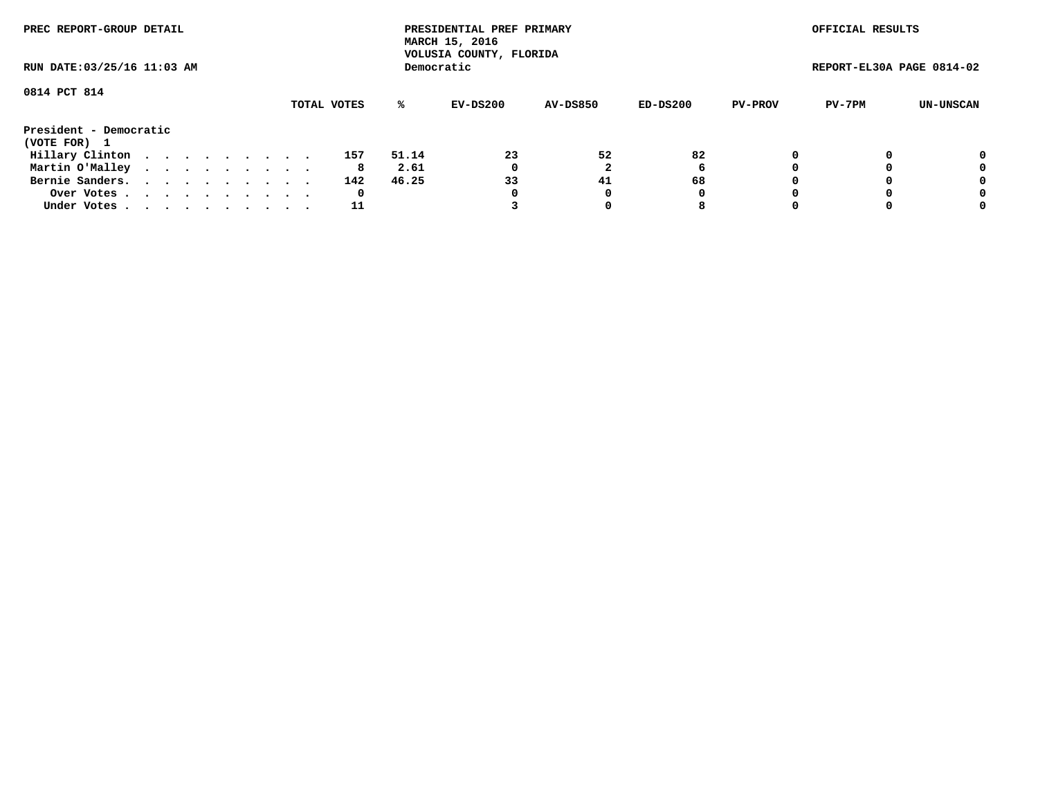| PREC REPORT-GROUP DETAIL<br>RUN DATE: 03/25/16 11:03 AM |  |  |  |  |  |  |  |  |             | PRESIDENTIAL PREF PRIMARY<br>MARCH 15, 2016<br>VOLUSIA COUNTY, FLORIDA |            |                 |          | OFFICIAL RESULTS |                           |           |
|---------------------------------------------------------|--|--|--|--|--|--|--|--|-------------|------------------------------------------------------------------------|------------|-----------------|----------|------------------|---------------------------|-----------|
|                                                         |  |  |  |  |  |  |  |  |             |                                                                        | Democratic |                 |          |                  | REPORT-EL30A PAGE 0814-02 |           |
| 0814 PCT 814                                            |  |  |  |  |  |  |  |  |             |                                                                        |            |                 |          |                  |                           |           |
|                                                         |  |  |  |  |  |  |  |  | TOTAL VOTES | ℁                                                                      | EV-DS200   | <b>AV-DS850</b> | ED-DS200 | <b>PV-PROV</b>   | PV-7PM                    | UN-UNSCAN |
| President - Democratic                                  |  |  |  |  |  |  |  |  |             |                                                                        |            |                 |          |                  |                           |           |
| (VOTE FOR) 1                                            |  |  |  |  |  |  |  |  |             |                                                                        |            |                 |          |                  |                           |           |
| Hillary Clinton                                         |  |  |  |  |  |  |  |  | 157         | 51.14                                                                  | 23         | 52              | 82       |                  |                           | 0         |
| Martin O'Malley                                         |  |  |  |  |  |  |  |  | 8           | 2.61                                                                   | 0          |                 | 6        |                  |                           | 0         |
| Bernie Sanders.                                         |  |  |  |  |  |  |  |  | 142         | 46.25                                                                  | 33         | 41              | 68       |                  |                           | 0         |
| Over Votes.                                             |  |  |  |  |  |  |  |  | 0           |                                                                        | 0          | 0               | 0        |                  |                           | 0         |
| Under Votes                                             |  |  |  |  |  |  |  |  | 11          |                                                                        |            |                 | 8        |                  |                           | 0         |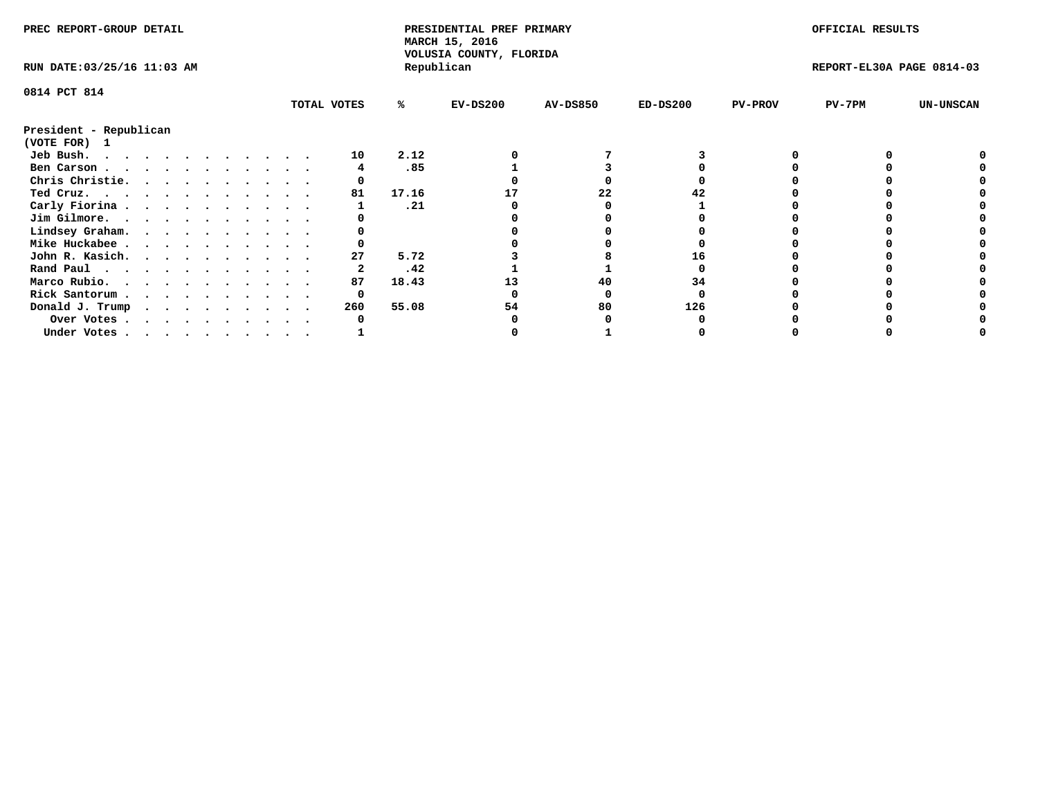| PREC REPORT-GROUP DETAIL    |  |  |  |  |  |  |  | PRESIDENTIAL PREF PRIMARY<br>MARCH 15, 2016<br>VOLUSIA COUNTY, FLORIDA |       |            |                 | OFFICIAL RESULTS |                |                           |                  |
|-----------------------------|--|--|--|--|--|--|--|------------------------------------------------------------------------|-------|------------|-----------------|------------------|----------------|---------------------------|------------------|
| RUN DATE: 03/25/16 11:03 AM |  |  |  |  |  |  |  |                                                                        |       | Republican |                 |                  |                | REPORT-EL30A PAGE 0814-03 |                  |
| 0814 PCT 814                |  |  |  |  |  |  |  |                                                                        |       |            |                 |                  |                |                           |                  |
|                             |  |  |  |  |  |  |  | TOTAL VOTES                                                            | %ะ    | $EV-DS200$ | <b>AV-DS850</b> | $ED-DS200$       | <b>PV-PROV</b> | $PV-7PM$                  | <b>UN-UNSCAN</b> |
| President - Republican      |  |  |  |  |  |  |  |                                                                        |       |            |                 |                  |                |                           |                  |
| (VOTE FOR) 1                |  |  |  |  |  |  |  |                                                                        |       |            |                 |                  |                |                           |                  |
| Jeb Bush.                   |  |  |  |  |  |  |  | 10                                                                     | 2.12  |            |                 |                  |                |                           |                  |
| Ben Carson                  |  |  |  |  |  |  |  |                                                                        | .85   |            |                 |                  |                |                           |                  |
| Chris Christie.             |  |  |  |  |  |  |  |                                                                        |       |            |                 |                  |                |                           |                  |
| Ted Cruz.                   |  |  |  |  |  |  |  | 81                                                                     | 17.16 |            | 22              |                  |                |                           |                  |
| Carly Fiorina               |  |  |  |  |  |  |  |                                                                        | .21   |            |                 |                  |                |                           |                  |
| Jim Gilmore.                |  |  |  |  |  |  |  |                                                                        |       |            |                 |                  |                |                           |                  |
| Lindsey Graham.             |  |  |  |  |  |  |  |                                                                        |       |            |                 |                  |                |                           |                  |
| Mike Huckabee               |  |  |  |  |  |  |  |                                                                        |       |            |                 |                  |                |                           |                  |
| John R. Kasich.             |  |  |  |  |  |  |  | 27                                                                     | 5.72  |            |                 |                  |                |                           |                  |
| Rand Paul                   |  |  |  |  |  |  |  |                                                                        | .42   |            |                 |                  |                |                           |                  |
| Marco Rubio.                |  |  |  |  |  |  |  | 87                                                                     | 18.43 |            | 40              | 34               |                |                           |                  |
| Rick Santorum               |  |  |  |  |  |  |  | 0                                                                      |       |            |                 |                  |                |                           |                  |
| Donald J. Trump             |  |  |  |  |  |  |  | 260                                                                    | 55.08 | 54         | 80              | 126              |                |                           |                  |
| Over Votes                  |  |  |  |  |  |  |  |                                                                        |       |            |                 |                  |                |                           |                  |
| Under Votes                 |  |  |  |  |  |  |  |                                                                        |       |            |                 |                  |                |                           |                  |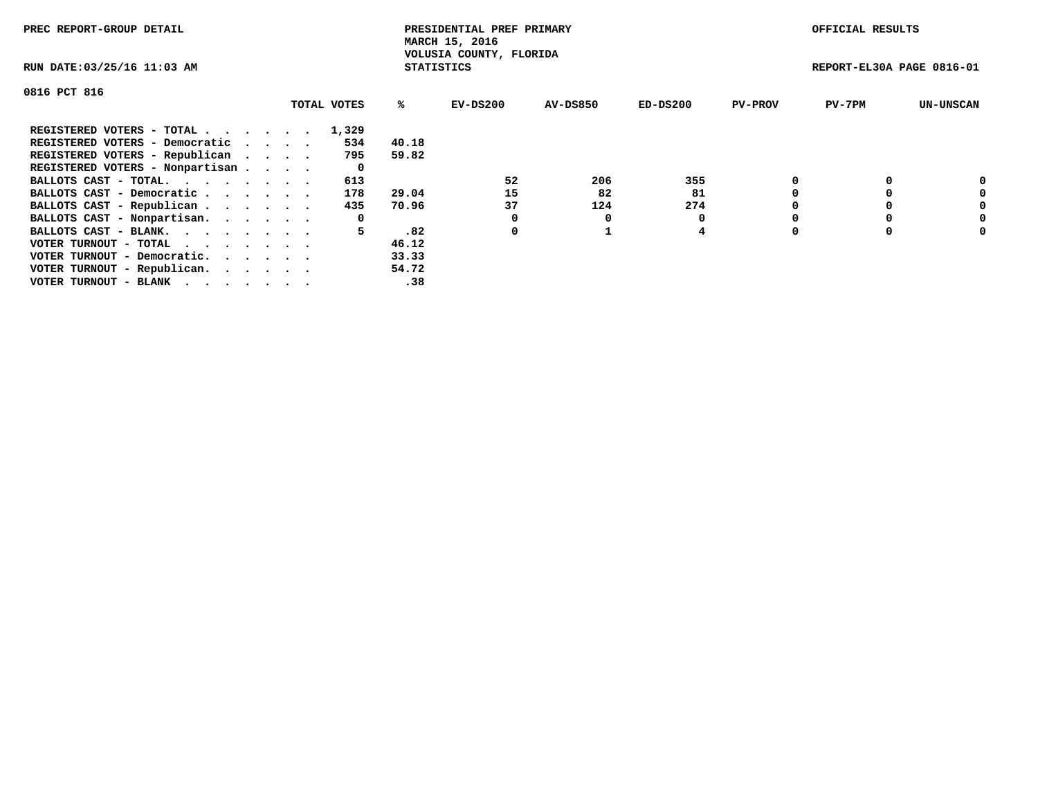| PREC REPORT-GROUP DETAIL                                    |  |             |                   | PRESIDENTIAL PREF PRIMARY<br>MARCH 15, 2016 |          |            |                | OFFICIAL RESULTS          |                  |
|-------------------------------------------------------------|--|-------------|-------------------|---------------------------------------------|----------|------------|----------------|---------------------------|------------------|
| RUN DATE: 03/25/16 11:03 AM                                 |  |             | <b>STATISTICS</b> | VOLUSIA COUNTY, FLORIDA                     |          |            |                | REPORT-EL30A PAGE 0816-01 |                  |
| 0816 PCT 816                                                |  |             |                   |                                             |          |            |                |                           |                  |
|                                                             |  | TOTAL VOTES | ℁                 | $EV-DS200$                                  | AV-DS850 | $ED-DS200$ | <b>PV-PROV</b> | $PV-7PM$                  | <b>UN-UNSCAN</b> |
| REGISTERED VOTERS - TOTAL                                   |  | 1,329       |                   |                                             |          |            |                |                           |                  |
| REGISTERED VOTERS - Democratic                              |  | 534         | 40.18             |                                             |          |            |                |                           |                  |
| REGISTERED VOTERS - Republican                              |  | 795         | 59.82             |                                             |          |            |                |                           |                  |
| REGISTERED VOTERS - Nonpartisan                             |  | 0           |                   |                                             |          |            |                |                           |                  |
| BALLOTS CAST - TOTAL.                                       |  | 613         |                   | 52                                          | 206      | 355        |                |                           | 0                |
| BALLOTS CAST - Democratic                                   |  | 178         | 29.04             | 15                                          | 82       | 81         |                |                           | 0                |
| BALLOTS CAST - Republican                                   |  | 435         | 70.96             | 37                                          | 124      | 274        |                |                           | 0                |
| BALLOTS CAST - Nonpartisan.                                 |  | 0           |                   |                                             | 0        |            |                |                           | 0                |
| BALLOTS CAST - BLANK.                                       |  | 5.          | .82               | 0                                           |          | 4          |                |                           | 0                |
| VOTER TURNOUT - TOTAL $\cdot \cdot \cdot \cdot \cdot \cdot$ |  |             | 46.12             |                                             |          |            |                |                           |                  |
| VOTER TURNOUT - Democratic.                                 |  |             | 33.33             |                                             |          |            |                |                           |                  |
| VOTER TURNOUT - Republican.                                 |  |             | 54.72             |                                             |          |            |                |                           |                  |
| VOTER TURNOUT - BLANK                                       |  |             | .38               |                                             |          |            |                |                           |                  |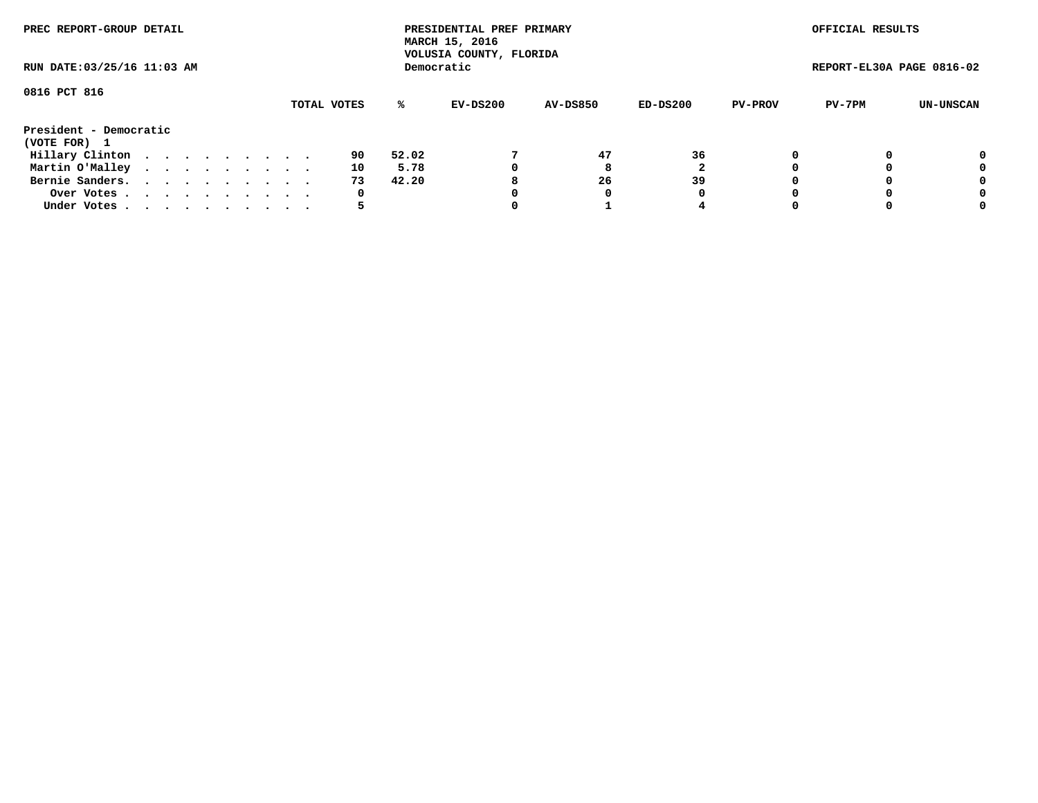| PREC REPORT-GROUP DETAIL<br>RUN DATE: 03/25/16 11:03 AM |  |  |  |  |  |  |  |  |             |       | PRESIDENTIAL PREF PRIMARY<br>MARCH 15, 2016<br>VOLUSIA COUNTY, FLORIDA |                 |          |                | OFFICIAL RESULTS          |           |
|---------------------------------------------------------|--|--|--|--|--|--|--|--|-------------|-------|------------------------------------------------------------------------|-----------------|----------|----------------|---------------------------|-----------|
|                                                         |  |  |  |  |  |  |  |  |             |       | Democratic                                                             |                 |          |                | REPORT-EL30A PAGE 0816-02 |           |
| 0816 PCT 816                                            |  |  |  |  |  |  |  |  | TOTAL VOTES | %ะ    | EV-DS200                                                               | <b>AV-DS850</b> | ED-DS200 | <b>PV-PROV</b> | PV-7PM                    | UN-UNSCAN |
| President - Democratic<br>(VOTE FOR) 1                  |  |  |  |  |  |  |  |  |             |       |                                                                        |                 |          |                |                           |           |
| Hillary Clinton                                         |  |  |  |  |  |  |  |  | 90          | 52.02 |                                                                        | 47              | 36       | 0              |                           | 0         |
| Martin O'Malley                                         |  |  |  |  |  |  |  |  | 10          | 5.78  |                                                                        | 8               |          |                |                           | 0         |
| Bernie Sanders.                                         |  |  |  |  |  |  |  |  | 73          | 42.20 |                                                                        | 26              | 39       |                |                           | 0         |
| Over Votes.                                             |  |  |  |  |  |  |  |  | 0           |       |                                                                        |                 | 0        |                |                           | 0         |
| Under Votes.                                            |  |  |  |  |  |  |  |  |             |       |                                                                        |                 |          |                |                           | 0         |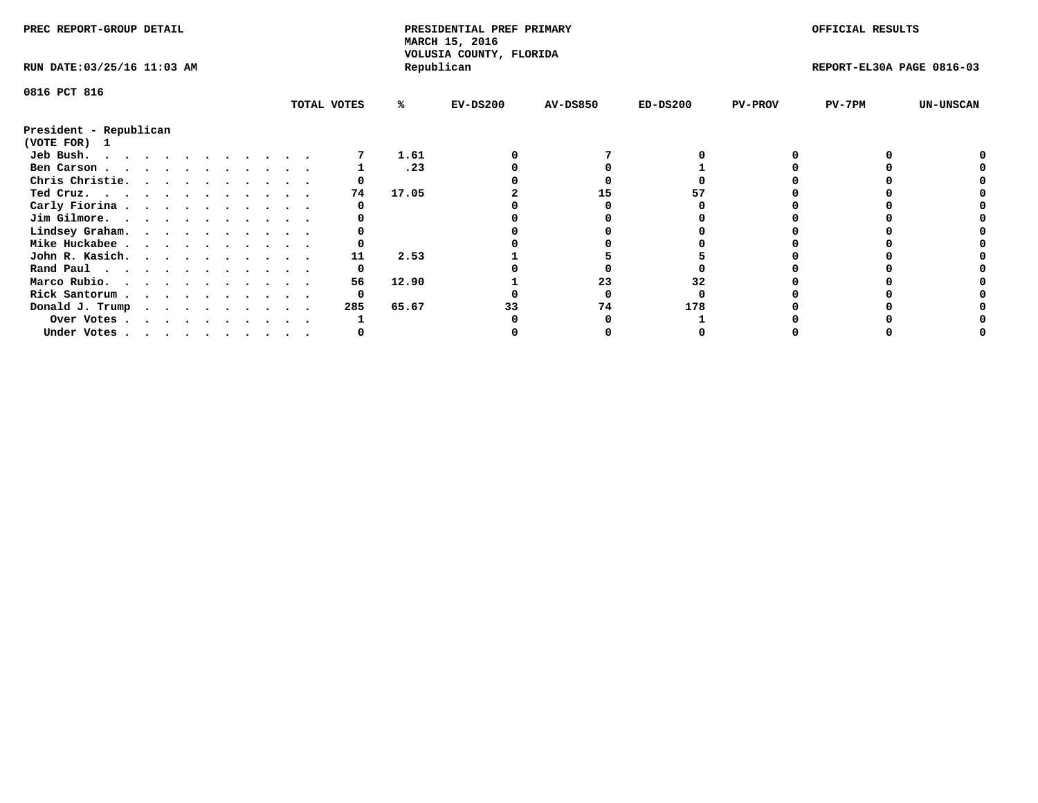| PREC REPORT-GROUP DETAIL    |  |  |  |  |  |  |  |             | PRESIDENTIAL PREF PRIMARY<br>MARCH 15, 2016<br>VOLUSIA COUNTY, FLORIDA |            |                 |            | OFFICIAL RESULTS |                           |                  |
|-----------------------------|--|--|--|--|--|--|--|-------------|------------------------------------------------------------------------|------------|-----------------|------------|------------------|---------------------------|------------------|
| RUN DATE: 03/25/16 11:03 AM |  |  |  |  |  |  |  |             |                                                                        | Republican |                 |            |                  | REPORT-EL30A PAGE 0816-03 |                  |
| 0816 PCT 816                |  |  |  |  |  |  |  |             |                                                                        |            |                 |            |                  |                           |                  |
|                             |  |  |  |  |  |  |  | TOTAL VOTES | %ะ                                                                     | EV-DS200   | <b>AV-DS850</b> | $ED-DS200$ | <b>PV-PROV</b>   | $PV-7PM$                  | <b>UN-UNSCAN</b> |
| President - Republican      |  |  |  |  |  |  |  |             |                                                                        |            |                 |            |                  |                           |                  |
| (VOTE FOR) 1                |  |  |  |  |  |  |  |             |                                                                        |            |                 |            |                  |                           |                  |
| Jeb Bush.                   |  |  |  |  |  |  |  |             | 1.61                                                                   |            |                 |            |                  |                           |                  |
| Ben Carson                  |  |  |  |  |  |  |  |             | .23                                                                    |            |                 |            |                  |                           |                  |
| Chris Christie.             |  |  |  |  |  |  |  |             |                                                                        |            |                 |            |                  |                           |                  |
| Ted Cruz.                   |  |  |  |  |  |  |  | 74          | 17.05                                                                  |            | 15              |            |                  |                           |                  |
| Carly Fiorina               |  |  |  |  |  |  |  |             |                                                                        |            |                 |            |                  |                           |                  |
| Jim Gilmore.                |  |  |  |  |  |  |  |             |                                                                        |            |                 |            |                  |                           |                  |
| Lindsey Graham.             |  |  |  |  |  |  |  |             |                                                                        |            |                 |            |                  |                           |                  |
| Mike Huckabee               |  |  |  |  |  |  |  |             |                                                                        |            |                 |            |                  |                           |                  |
| John R. Kasich.             |  |  |  |  |  |  |  | 11          | 2.53                                                                   |            |                 |            |                  |                           |                  |
|                             |  |  |  |  |  |  |  | 0           |                                                                        |            |                 |            |                  |                           |                  |
| Rand Paul                   |  |  |  |  |  |  |  | 56          |                                                                        |            | 23              |            |                  |                           |                  |
| Marco Rubio.                |  |  |  |  |  |  |  |             | 12.90                                                                  |            |                 | 32         |                  |                           |                  |
| Rick Santorum               |  |  |  |  |  |  |  | 0           |                                                                        |            |                 |            |                  |                           |                  |
| Donald J. Trump             |  |  |  |  |  |  |  | 285         | 65.67                                                                  |            | 74              | 178        |                  |                           |                  |
| Over Votes                  |  |  |  |  |  |  |  |             |                                                                        |            |                 |            |                  |                           |                  |
| Under Votes                 |  |  |  |  |  |  |  |             |                                                                        |            |                 |            |                  |                           |                  |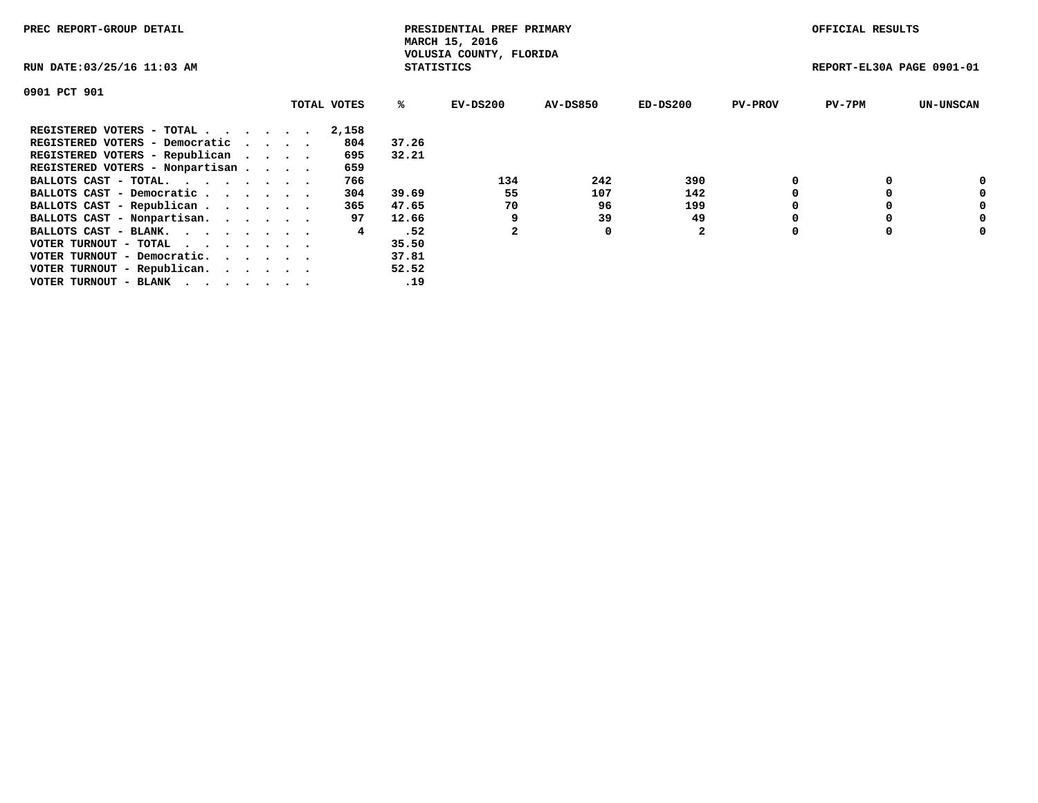| PREC REPORT-GROUP DETAIL        |             |                   | PRESIDENTIAL PREF PRIMARY<br>MARCH 15, 2016 |                 |              |                | OFFICIAL RESULTS          |                  |
|---------------------------------|-------------|-------------------|---------------------------------------------|-----------------|--------------|----------------|---------------------------|------------------|
| RUN DATE: 03/25/16 11:03 AM     |             | <b>STATISTICS</b> | VOLUSIA COUNTY, FLORIDA                     |                 |              |                | REPORT-EL30A PAGE 0901-01 |                  |
| 0901 PCT 901                    |             |                   |                                             |                 |              |                |                           |                  |
|                                 | TOTAL VOTES | %ร                | EV-DS200                                    | <b>AV-DS850</b> | $ED-DS200$   | <b>PV-PROV</b> | $PV-7PM$                  | <b>UN-UNSCAN</b> |
| REGISTERED VOTERS - TOTAL       | 2,158       |                   |                                             |                 |              |                |                           |                  |
| REGISTERED VOTERS - Democratic  | 804         | 37.26             |                                             |                 |              |                |                           |                  |
| REGISTERED VOTERS - Republican  | 695         | 32.21             |                                             |                 |              |                |                           |                  |
| REGISTERED VOTERS - Nonpartisan | 659         |                   |                                             |                 |              |                |                           |                  |
| BALLOTS CAST - TOTAL.           | 766         |                   | 134                                         | 242             | 390          |                |                           | 0                |
| BALLOTS CAST - Democratic       | 304         | 39.69             | 55                                          | 107             | 142          |                |                           | 0                |
| BALLOTS CAST - Republican       | 365         | 47.65             | 70                                          | 96              | 199          |                |                           | 0                |
| BALLOTS CAST - Nonpartisan.     | 97          | 12.66             | 9                                           | 39              | 49           |                |                           | 0                |
| BALLOTS CAST - BLANK.           | 4           | .52               |                                             | 0               | $\mathbf{2}$ | $\Omega$       |                           | 0                |
| VOTER TURNOUT - TOTAL           |             | 35.50             |                                             |                 |              |                |                           |                  |
| VOTER TURNOUT - Democratic.     |             | 37.81             |                                             |                 |              |                |                           |                  |
| VOTER TURNOUT - Republican.     |             | 52.52             |                                             |                 |              |                |                           |                  |
| VOTER TURNOUT - BLANK           |             | .19               |                                             |                 |              |                |                           |                  |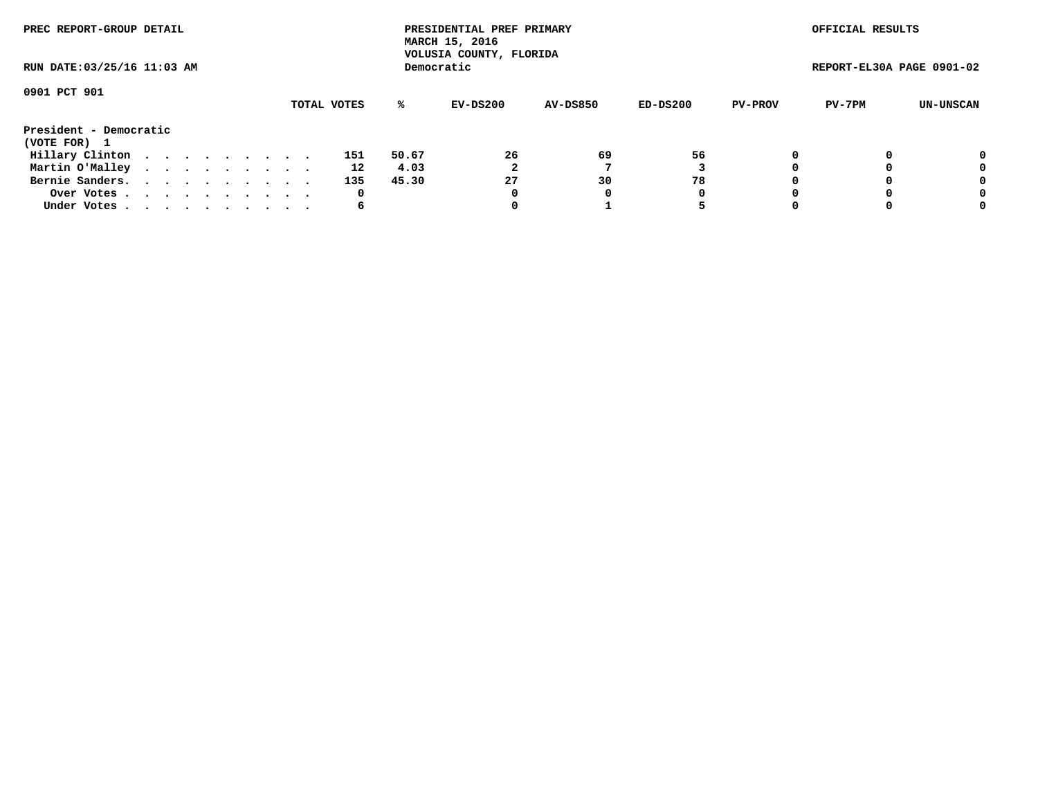| PREC REPORT-GROUP DETAIL               |  |  |  |  |  |  |  |  |             | PRESIDENTIAL PREF PRIMARY<br>MARCH 15, 2016<br>VOLUSIA COUNTY, FLORIDA |            |                 |          | OFFICIAL RESULTS |                           |           |
|----------------------------------------|--|--|--|--|--|--|--|--|-------------|------------------------------------------------------------------------|------------|-----------------|----------|------------------|---------------------------|-----------|
| RUN DATE: 03/25/16 11:03 AM            |  |  |  |  |  |  |  |  |             |                                                                        | Democratic |                 |          |                  | REPORT-EL30A PAGE 0901-02 |           |
| 0901 PCT 901                           |  |  |  |  |  |  |  |  | TOTAL VOTES | %ะ                                                                     | EV-DS200   | <b>AV-DS850</b> | ED-DS200 | <b>PV-PROV</b>   | PV-7PM                    | UN-UNSCAN |
| President - Democratic<br>(VOTE FOR) 1 |  |  |  |  |  |  |  |  |             |                                                                        |            |                 |          |                  |                           |           |
| Hillary Clinton                        |  |  |  |  |  |  |  |  | 151         | 50.67                                                                  | 26         | 69              | 56       | 0                |                           | 0         |
| Martin O'Malley                        |  |  |  |  |  |  |  |  | 12          | 4.03                                                                   | 2          |                 |          |                  |                           | 0         |
| Bernie Sanders.                        |  |  |  |  |  |  |  |  | 135         | 45.30                                                                  | 27         | 30              | 78       |                  |                           | 0         |
| Over Votes.                            |  |  |  |  |  |  |  |  | 0           |                                                                        | 0          | 0               | 0        |                  |                           | 0         |
| Under Votes.                           |  |  |  |  |  |  |  |  | 6           |                                                                        |            |                 |          |                  |                           | 0         |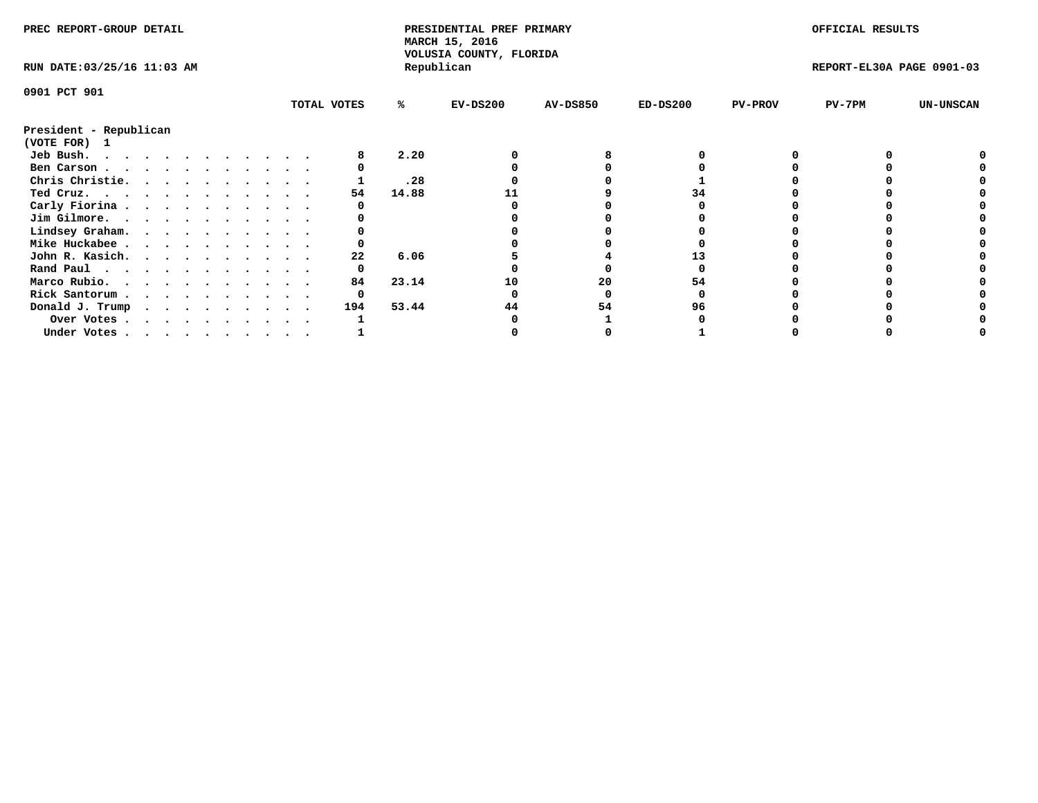| PREC REPORT-GROUP DETAIL               |  |  |  |  |  |  |  | PRESIDENTIAL PREF PRIMARY<br>MARCH 15, 2016 |       |                                       |                 | OFFICIAL RESULTS |                |                           |                  |
|----------------------------------------|--|--|--|--|--|--|--|---------------------------------------------|-------|---------------------------------------|-----------------|------------------|----------------|---------------------------|------------------|
| RUN DATE: 03/25/16 11:03 AM            |  |  |  |  |  |  |  |                                             |       | VOLUSIA COUNTY, FLORIDA<br>Republican |                 |                  |                | REPORT-EL30A PAGE 0901-03 |                  |
| 0901 PCT 901                           |  |  |  |  |  |  |  |                                             |       |                                       |                 |                  |                |                           |                  |
|                                        |  |  |  |  |  |  |  | TOTAL VOTES                                 | %ะ    | $EV-DS200$                            | <b>AV-DS850</b> | $ED-DS200$       | <b>PV-PROV</b> | $PV-7PM$                  | <b>UN-UNSCAN</b> |
| President - Republican<br>(VOTE FOR) 1 |  |  |  |  |  |  |  |                                             |       |                                       |                 |                  |                |                           |                  |
| Jeb Bush.                              |  |  |  |  |  |  |  |                                             | 2.20  |                                       |                 |                  |                |                           |                  |
| Ben Carson                             |  |  |  |  |  |  |  |                                             |       |                                       |                 |                  |                |                           |                  |
| Chris Christie.                        |  |  |  |  |  |  |  |                                             | .28   |                                       |                 |                  |                |                           |                  |
| Ted Cruz.                              |  |  |  |  |  |  |  | 54                                          | 14.88 |                                       |                 | 34               |                |                           |                  |
| Carly Fiorina                          |  |  |  |  |  |  |  |                                             |       |                                       |                 |                  |                |                           |                  |
| Jim Gilmore.                           |  |  |  |  |  |  |  |                                             |       |                                       |                 |                  |                |                           |                  |
| Lindsey Graham.                        |  |  |  |  |  |  |  |                                             |       |                                       |                 |                  |                |                           |                  |
| Mike Huckabee                          |  |  |  |  |  |  |  |                                             |       |                                       |                 |                  |                |                           |                  |
| John R. Kasich.                        |  |  |  |  |  |  |  | 22                                          | 6.06  |                                       |                 |                  |                |                           |                  |
| Rand Paul                              |  |  |  |  |  |  |  | 0                                           |       |                                       |                 |                  |                |                           |                  |
| Marco Rubio.                           |  |  |  |  |  |  |  | 84                                          | 23.14 | 10                                    | 20              | 54               |                |                           |                  |
| Rick Santorum                          |  |  |  |  |  |  |  |                                             |       |                                       |                 |                  |                |                           |                  |
| Donald J. Trump                        |  |  |  |  |  |  |  | 194                                         | 53.44 | 44                                    | 54              | 96               |                |                           |                  |
|                                        |  |  |  |  |  |  |  |                                             |       |                                       |                 |                  |                |                           |                  |
| Over Votes                             |  |  |  |  |  |  |  |                                             |       |                                       |                 |                  |                |                           |                  |
| Under Votes                            |  |  |  |  |  |  |  |                                             |       |                                       |                 |                  |                |                           |                  |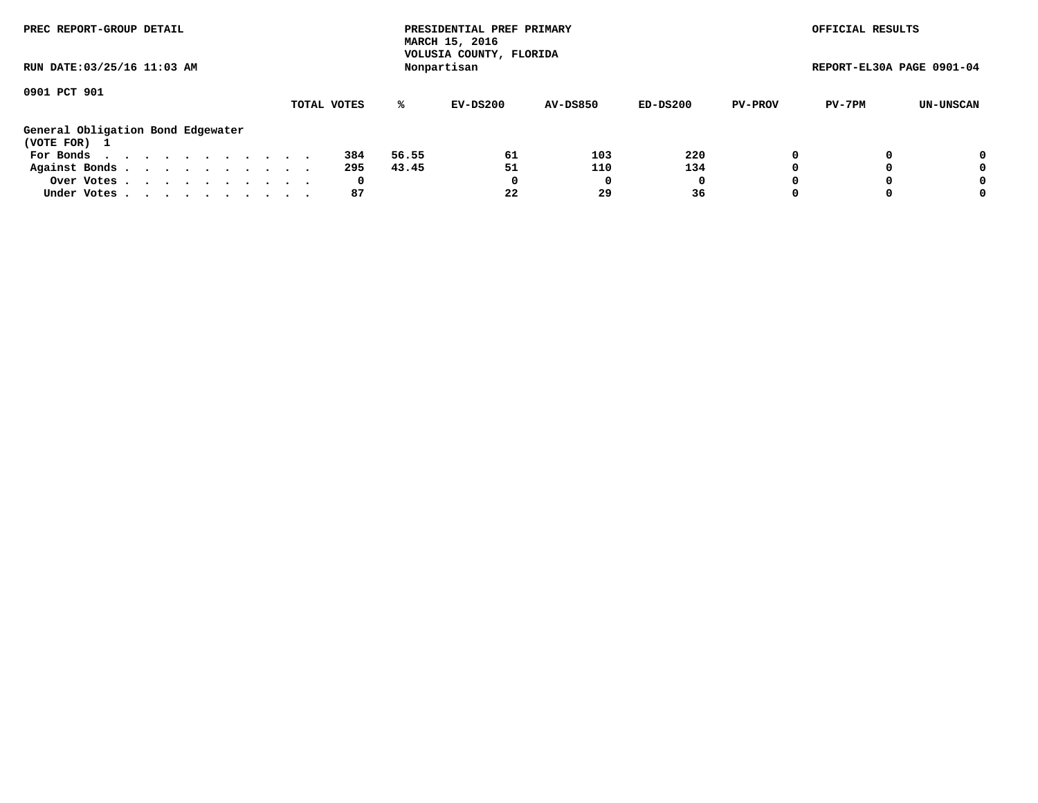| PREC REPORT-GROUP DETAIL<br>RUN DATE: 03/25/16 11:03 AM                                                                                                     |                       | PRESIDENTIAL PREF PRIMARY<br>MARCH 15, 2016<br>VOLUSIA COUNTY, FLORIDA<br>Nonpartisan |                  |                       |                           | OFFICIAL RESULTS<br>REPORT-EL30A PAGE 0901-04 |                  |
|-------------------------------------------------------------------------------------------------------------------------------------------------------------|-----------------------|---------------------------------------------------------------------------------------|------------------|-----------------------|---------------------------|-----------------------------------------------|------------------|
| 0901 PCT 901                                                                                                                                                | TOTAL VOTES           | ℁<br>$EV-DS200$                                                                       | <b>AV-DS850</b>  | $ED-DS200$            | <b>PV-PROV</b>            | PV-7PM                                        | UN-UNSCAN        |
| General Obligation Bond Edgewater<br>(VOTE FOR) 1<br>For Bonds $\cdots$ $\cdots$ $\cdots$ $\cdots$ $\cdots$<br>Against Bonds.<br>Over Votes.<br>Under Votes | 384<br>295<br>0<br>87 | 61<br>56.55<br>51<br>43.45<br>0<br>22                                                 | 103<br>110<br>29 | 220<br>134<br>0<br>36 | 0<br>$\Omega$<br>$\Omega$ |                                               | 0<br>0<br>0<br>0 |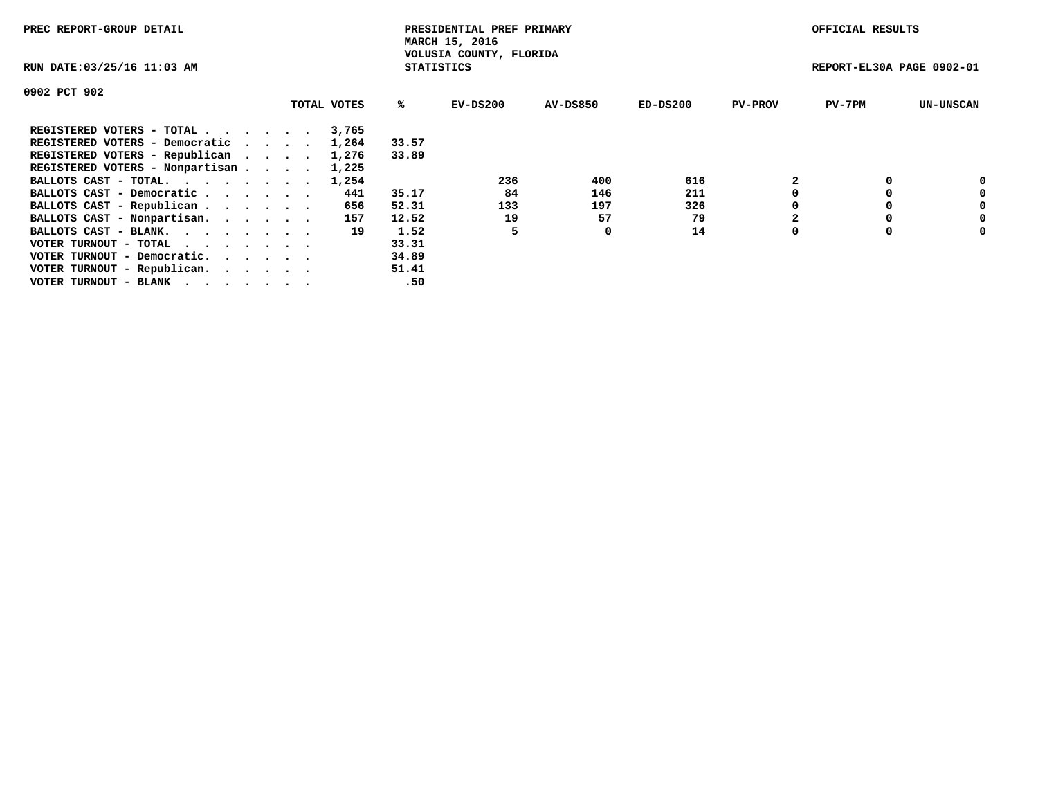| PREC REPORT-GROUP DETAIL                                    |             |                   | PRESIDENTIAL PREF PRIMARY<br>MARCH 15, 2016 |                 |            |                | OFFICIAL RESULTS          |                  |
|-------------------------------------------------------------|-------------|-------------------|---------------------------------------------|-----------------|------------|----------------|---------------------------|------------------|
| RUN DATE: 03/25/16 11:03 AM                                 |             | <b>STATISTICS</b> | VOLUSIA COUNTY, FLORIDA                     |                 |            |                | REPORT-EL30A PAGE 0902-01 |                  |
| 0902 PCT 902                                                |             |                   |                                             |                 |            |                |                           |                  |
|                                                             | TOTAL VOTES | ℁                 | EV-DS200                                    | <b>AV-DS850</b> | $ED-DS200$ | <b>PV-PROV</b> | $PV-7PM$                  | <b>UN-UNSCAN</b> |
| REGISTERED VOTERS - TOTAL                                   | 3,765       |                   |                                             |                 |            |                |                           |                  |
| REGISTERED VOTERS - Democratic                              | 1,264       | 33.57             |                                             |                 |            |                |                           |                  |
| REGISTERED VOTERS - Republican                              | 1,276       | 33.89             |                                             |                 |            |                |                           |                  |
| REGISTERED VOTERS - Nonpartisan                             | 1,225       |                   |                                             |                 |            |                |                           |                  |
| BALLOTS CAST - TOTAL.                                       | 1,254       |                   | 236                                         | 400             | 616        |                |                           | 0                |
| BALLOTS CAST - Democratic                                   | 441         | 35.17             | 84                                          | 146             | 211        |                |                           | 0                |
| BALLOTS CAST - Republican                                   | 656         | 52.31             | 133                                         | 197             | 326        |                |                           | 0                |
| BALLOTS CAST - Nonpartisan.                                 | 157         | 12.52             | 19                                          | 57              | 79         |                |                           | 0                |
| BALLOTS CAST - BLANK.                                       | 19          | 1.52              |                                             | 0               | 14         | $\Omega$       |                           | 0                |
| VOTER TURNOUT - TOTAL $\cdot \cdot \cdot \cdot \cdot \cdot$ |             | 33.31             |                                             |                 |            |                |                           |                  |
| VOTER TURNOUT - Democratic.                                 |             | 34.89             |                                             |                 |            |                |                           |                  |
| VOTER TURNOUT - Republican.                                 |             | 51.41             |                                             |                 |            |                |                           |                  |
| VOTER TURNOUT - BLANK                                       |             | .50               |                                             |                 |            |                |                           |                  |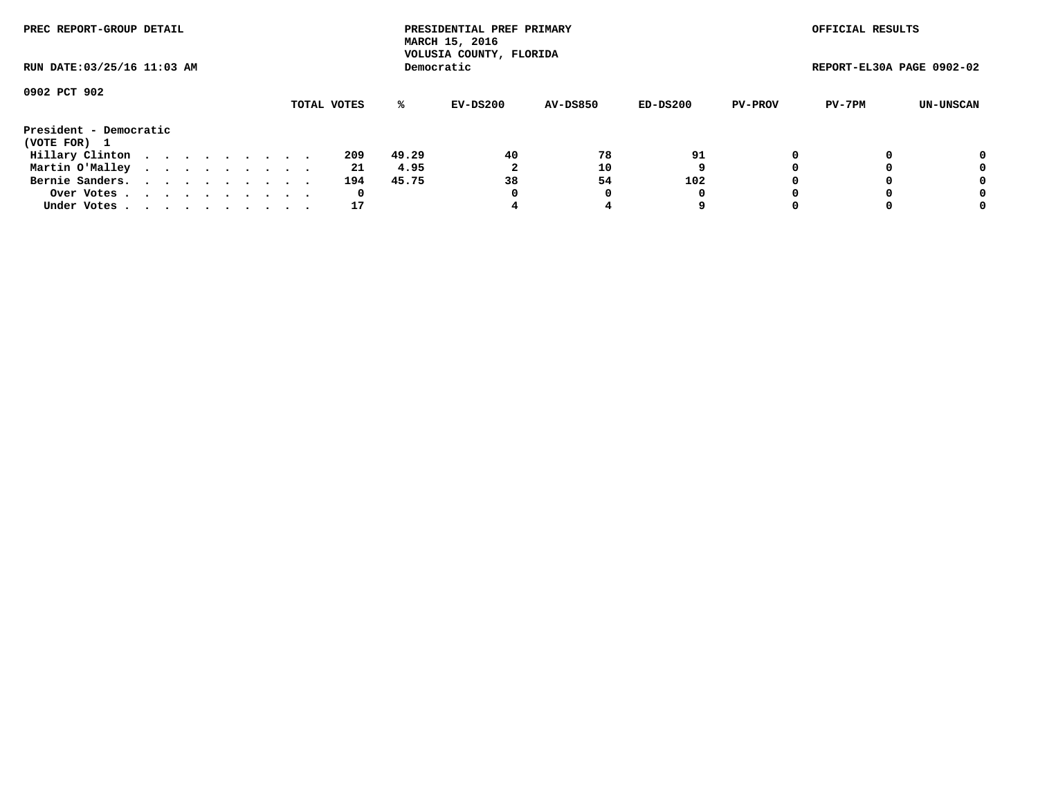| PREC REPORT-GROUP DETAIL               |             | PRESIDENTIAL PREF PRIMARY<br>MARCH 15, 2016<br>VOLUSIA COUNTY, FLORIDA |                               | OFFICIAL RESULTS         |                           |
|----------------------------------------|-------------|------------------------------------------------------------------------|-------------------------------|--------------------------|---------------------------|
| RUN DATE: 03/25/16 11:03 AM            |             | Democratic                                                             |                               |                          | REPORT-EL30A PAGE 0902-02 |
| 0902 PCT 902                           | TOTAL VOTES | ℁<br>EV-DS200                                                          | $ED-DS200$<br><b>AV-DS850</b> | PV-7PM<br><b>PV-PROV</b> | UN-UNSCAN                 |
| President - Democratic<br>(VOTE FOR) 1 |             |                                                                        |                               |                          |                           |
| Hillary Clinton                        | 209         | 40<br>49.29                                                            | 78<br>91                      |                          | 0                         |
| Martin O'Malley                        | 21          | າ<br>4.95                                                              | 10<br>9                       |                          | 0                         |
| Bernie Sanders.                        | 194         | 38<br>45.75                                                            | 102<br>54                     |                          | 0                         |
| Over Votes                             | 0           | 0                                                                      | 0                             |                          | 0                         |
| Under Votes                            | 17          |                                                                        | 9                             |                          | 0                         |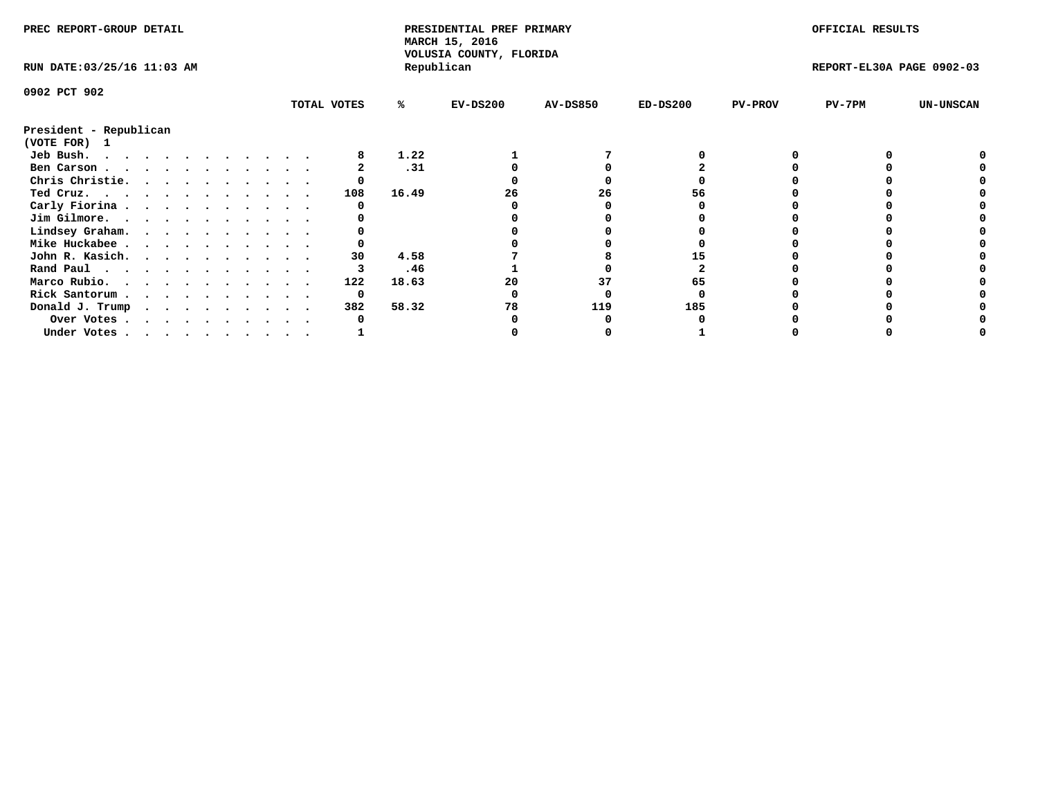| PREC REPORT-GROUP DETAIL               |  |  |  |  |  |             |       | PRESIDENTIAL PREF PRIMARY<br>MARCH 15, 2016<br>VOLUSIA COUNTY, FLORIDA |                 |            |                | OFFICIAL RESULTS          |                  |
|----------------------------------------|--|--|--|--|--|-------------|-------|------------------------------------------------------------------------|-----------------|------------|----------------|---------------------------|------------------|
| RUN DATE: 03/25/16 11:03 AM            |  |  |  |  |  |             |       | Republican                                                             |                 |            |                | REPORT-EL30A PAGE 0902-03 |                  |
| 0902 PCT 902                           |  |  |  |  |  |             |       |                                                                        |                 |            |                |                           |                  |
|                                        |  |  |  |  |  | TOTAL VOTES | ℁     | $EV-DS200$                                                             | <b>AV-DS850</b> | $ED-DS200$ | <b>PV-PROV</b> | $PV-7PM$                  | <b>UN-UNSCAN</b> |
| President - Republican<br>(VOTE FOR) 1 |  |  |  |  |  |             |       |                                                                        |                 |            |                |                           |                  |
| Jeb Bush.<br>.                         |  |  |  |  |  |             | 1.22  |                                                                        |                 |            |                |                           |                  |
| Ben Carson                             |  |  |  |  |  |             | .31   |                                                                        |                 |            |                |                           |                  |
| Chris Christie.                        |  |  |  |  |  |             |       |                                                                        |                 |            |                |                           |                  |
| Ted Cruz.                              |  |  |  |  |  | 108         | 16.49 | 26                                                                     | 26              | 56         |                |                           |                  |
| Carly Fiorina                          |  |  |  |  |  |             |       |                                                                        |                 |            |                |                           |                  |
| Jim Gilmore.                           |  |  |  |  |  |             |       |                                                                        |                 |            |                |                           |                  |
| Lindsey Graham.                        |  |  |  |  |  |             |       |                                                                        |                 |            |                |                           |                  |
| Mike Huckabee                          |  |  |  |  |  |             |       |                                                                        |                 |            |                |                           |                  |
| John R. Kasich.                        |  |  |  |  |  | 30          | 4.58  |                                                                        |                 |            |                |                           |                  |
| Rand Paul                              |  |  |  |  |  |             | .46   |                                                                        |                 |            |                |                           |                  |
| Marco Rubio.                           |  |  |  |  |  | 122         | 18.63 | 20                                                                     | 37              | 65         |                |                           |                  |
| Rick Santorum                          |  |  |  |  |  | 0           |       |                                                                        |                 |            |                |                           |                  |
| Donald J. Trump                        |  |  |  |  |  | 382         | 58.32 | 78                                                                     | 119             | 185        |                |                           |                  |
| Over Votes                             |  |  |  |  |  |             |       |                                                                        |                 |            |                |                           |                  |
| Under Votes                            |  |  |  |  |  |             |       |                                                                        |                 |            |                |                           |                  |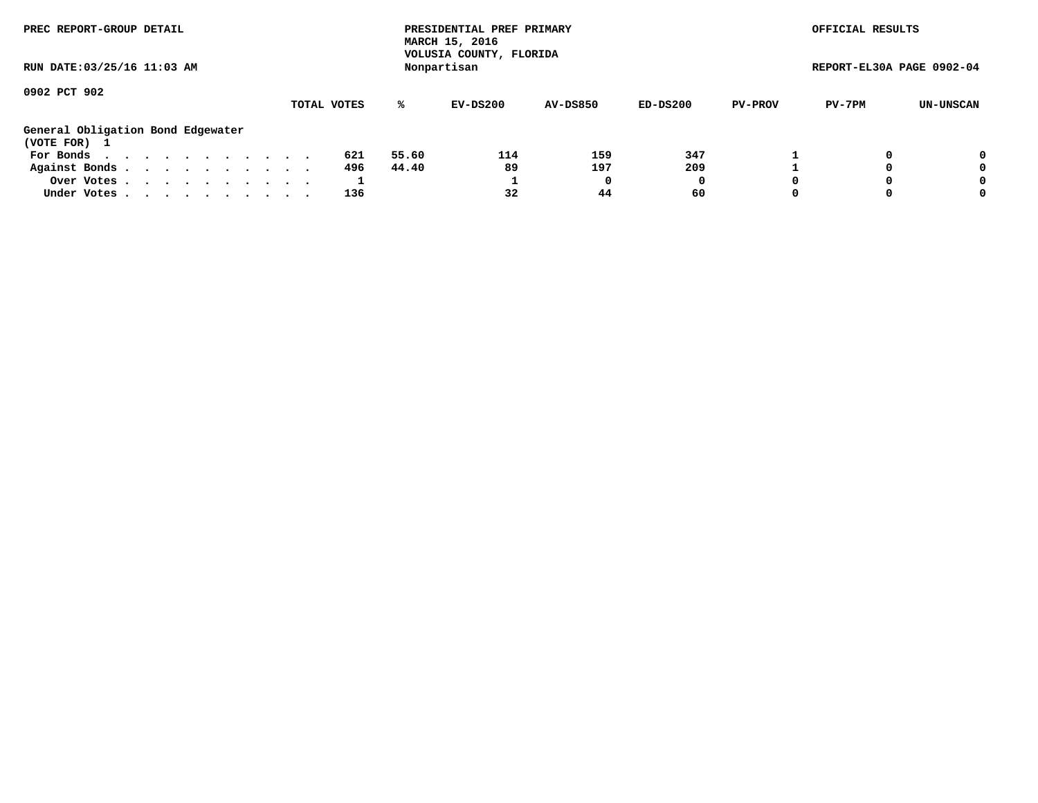| PREC REPORT-GROUP DETAIL<br>RUN DATE: 03/25/16 11:03 AM |             | PRESIDENTIAL PREF PRIMARY<br>MARCH 15, 2016<br>VOLUSIA COUNTY, FLORIDA<br>Nonpartisan |                 |          |                | OFFICIAL RESULTS<br>REPORT-EL30A PAGE 0902-04 |           |
|---------------------------------------------------------|-------------|---------------------------------------------------------------------------------------|-----------------|----------|----------------|-----------------------------------------------|-----------|
| 0902 PCT 902                                            | TOTAL VOTES | %ะ<br>EV-DS200                                                                        | <b>AV-DS850</b> | ED-DS200 | <b>PV-PROV</b> | PV-7PM                                        | UN-UNSCAN |
| General Obligation Bond Edgewater<br>(VOTE FOR) 1       |             |                                                                                       |                 |          |                |                                               |           |
| For Bonds $\cdots$ $\cdots$ $\cdots$ $\cdots$ $\cdots$  | 621         | 55.60<br>114                                                                          | 159             | 347      |                |                                               | 0         |
| Against Bonds.                                          | 496         | 89<br>44.40                                                                           | 197             | 209      |                |                                               | 0         |
| Over Votes                                              |             |                                                                                       | 0               | 0        | $\Omega$       |                                               | 0         |
| Under Votes                                             | 136         | 32                                                                                    | 44              | 60       | $\Omega$       |                                               | 0         |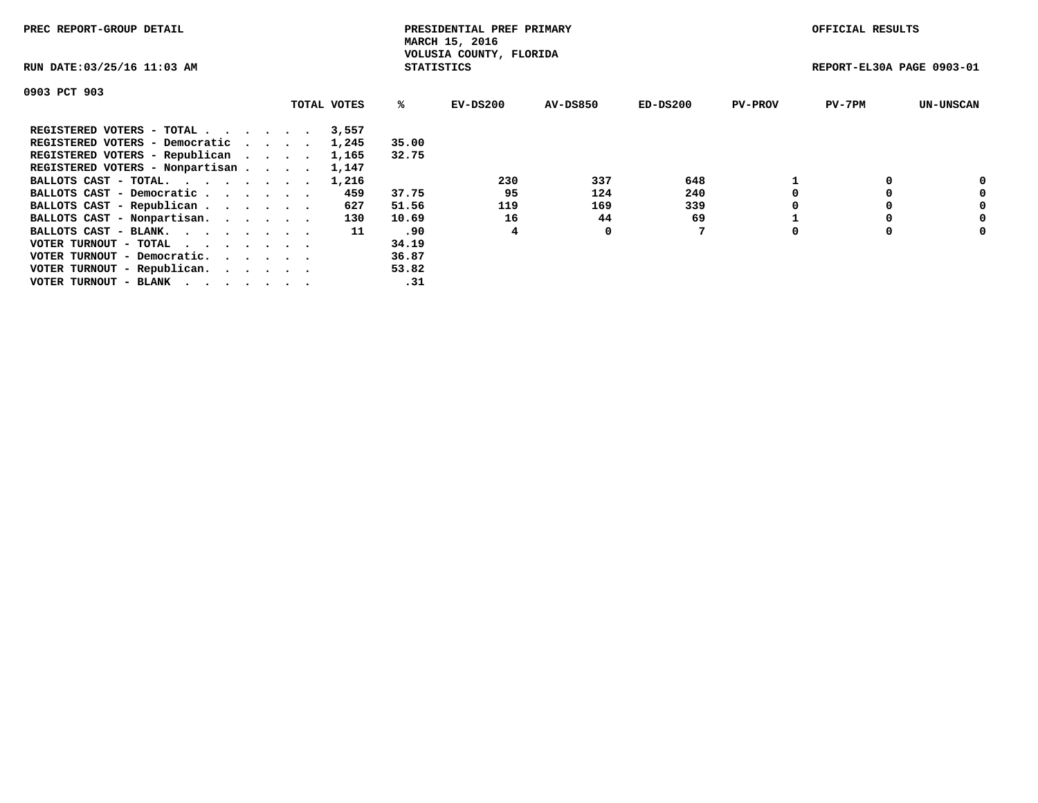| PREC REPORT-GROUP DETAIL                                    |             |                   | PRESIDENTIAL PREF PRIMARY<br>MARCH 15, 2016 |                 |            |                | OFFICIAL RESULTS          |                  |
|-------------------------------------------------------------|-------------|-------------------|---------------------------------------------|-----------------|------------|----------------|---------------------------|------------------|
| RUN DATE: 03/25/16 11:03 AM                                 |             | <b>STATISTICS</b> | VOLUSIA COUNTY, FLORIDA                     |                 |            |                | REPORT-EL30A PAGE 0903-01 |                  |
| 0903 PCT 903                                                |             |                   |                                             |                 |            |                |                           |                  |
|                                                             | TOTAL VOTES | ℁                 | EV-DS200                                    | <b>AV-DS850</b> | $ED-DS200$ | <b>PV-PROV</b> | $PV-7PM$                  | <b>UN-UNSCAN</b> |
| REGISTERED VOTERS - TOTAL                                   | 3,557       |                   |                                             |                 |            |                |                           |                  |
| REGISTERED VOTERS - Democratic                              | 1,245       | 35.00             |                                             |                 |            |                |                           |                  |
| REGISTERED VOTERS - Republican                              | 1,165       | 32.75             |                                             |                 |            |                |                           |                  |
| REGISTERED VOTERS - Nonpartisan                             | 1,147       |                   |                                             |                 |            |                |                           |                  |
| BALLOTS CAST - TOTAL.                                       | 1,216       |                   | 230                                         | 337             | 648        |                |                           | 0                |
| BALLOTS CAST - Democratic                                   | 459         | 37.75             | 95                                          | 124             | 240        |                |                           | 0                |
| BALLOTS CAST - Republican                                   | 627         | 51.56             | 119                                         | 169             | 339        |                |                           | 0                |
| BALLOTS CAST - Nonpartisan.                                 | 130         | 10.69             | 16                                          | 44              | 69         |                |                           | 0                |
| BALLOTS CAST - BLANK.                                       | 11          | .90               |                                             | 0               |            | $\Omega$       |                           | 0                |
| VOTER TURNOUT - TOTAL $\cdot \cdot \cdot \cdot \cdot \cdot$ |             | 34.19             |                                             |                 |            |                |                           |                  |
| VOTER TURNOUT - Democratic.                                 |             | 36.87             |                                             |                 |            |                |                           |                  |
| VOTER TURNOUT - Republican.                                 |             | 53.82             |                                             |                 |            |                |                           |                  |
| VOTER TURNOUT - BLANK                                       |             | .31               |                                             |                 |            |                |                           |                  |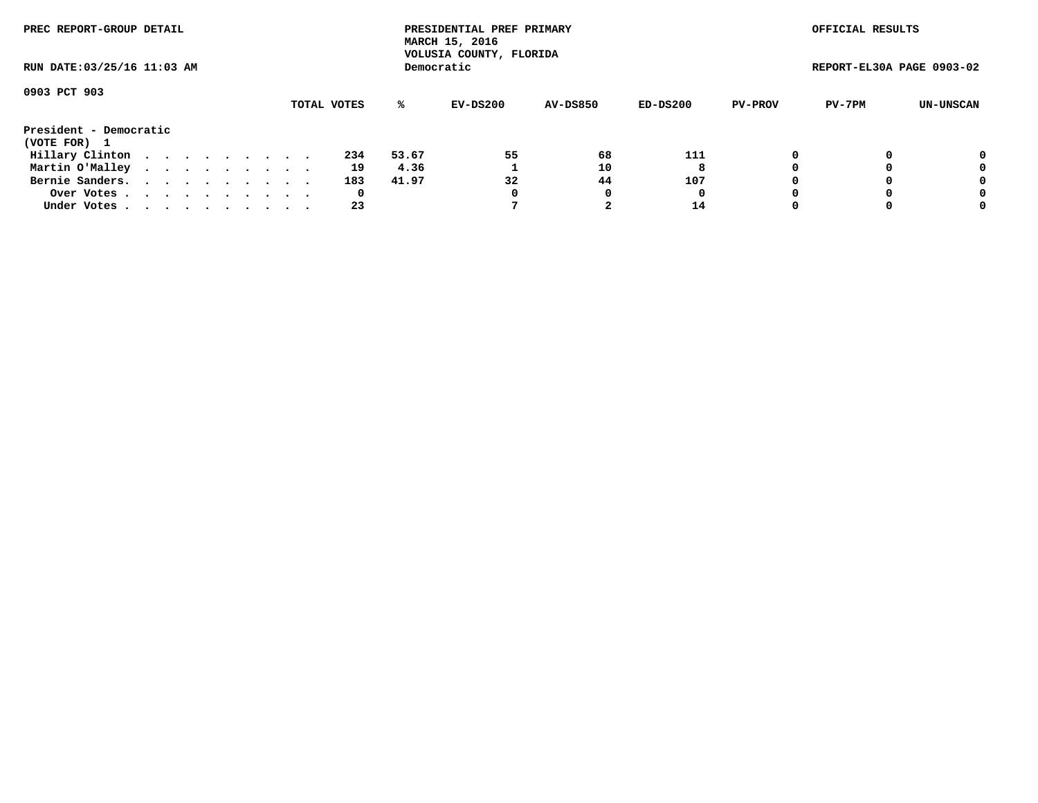| PREC REPORT-GROUP DETAIL               |  |  |  |  |  |  |  |  |             | PRESIDENTIAL PREF PRIMARY<br>MARCH 15, 2016<br>VOLUSIA COUNTY, FLORIDA |            |                 |            | OFFICIAL RESULTS |                           |           |
|----------------------------------------|--|--|--|--|--|--|--|--|-------------|------------------------------------------------------------------------|------------|-----------------|------------|------------------|---------------------------|-----------|
| RUN DATE: 03/25/16 11:03 AM            |  |  |  |  |  |  |  |  |             |                                                                        | Democratic |                 |            |                  | REPORT-EL30A PAGE 0903-02 |           |
| 0903 PCT 903                           |  |  |  |  |  |  |  |  | TOTAL VOTES | %ะ                                                                     | EV-DS200   | <b>AV-DS850</b> | $ED-DS200$ | <b>PV-PROV</b>   | PV-7PM                    | UN-UNSCAN |
| President - Democratic<br>(VOTE FOR) 1 |  |  |  |  |  |  |  |  |             |                                                                        |            |                 |            |                  |                           |           |
| Hillary Clinton                        |  |  |  |  |  |  |  |  | 234         | 53.67                                                                  | 55         | 68              | 111        | 0                |                           | 0         |
| Martin O'Malley                        |  |  |  |  |  |  |  |  | 19          | 4.36                                                                   |            | 10              | 8          |                  |                           | 0         |
| Bernie Sanders.                        |  |  |  |  |  |  |  |  | 183         | 41.97                                                                  | 32         | 44              | 107        |                  |                           | 0         |
| Over Votes                             |  |  |  |  |  |  |  |  | 0           |                                                                        | 0          | 0               | O          |                  |                           | 0         |
| Under Votes.                           |  |  |  |  |  |  |  |  | 23          |                                                                        |            |                 | 14         |                  |                           | 0         |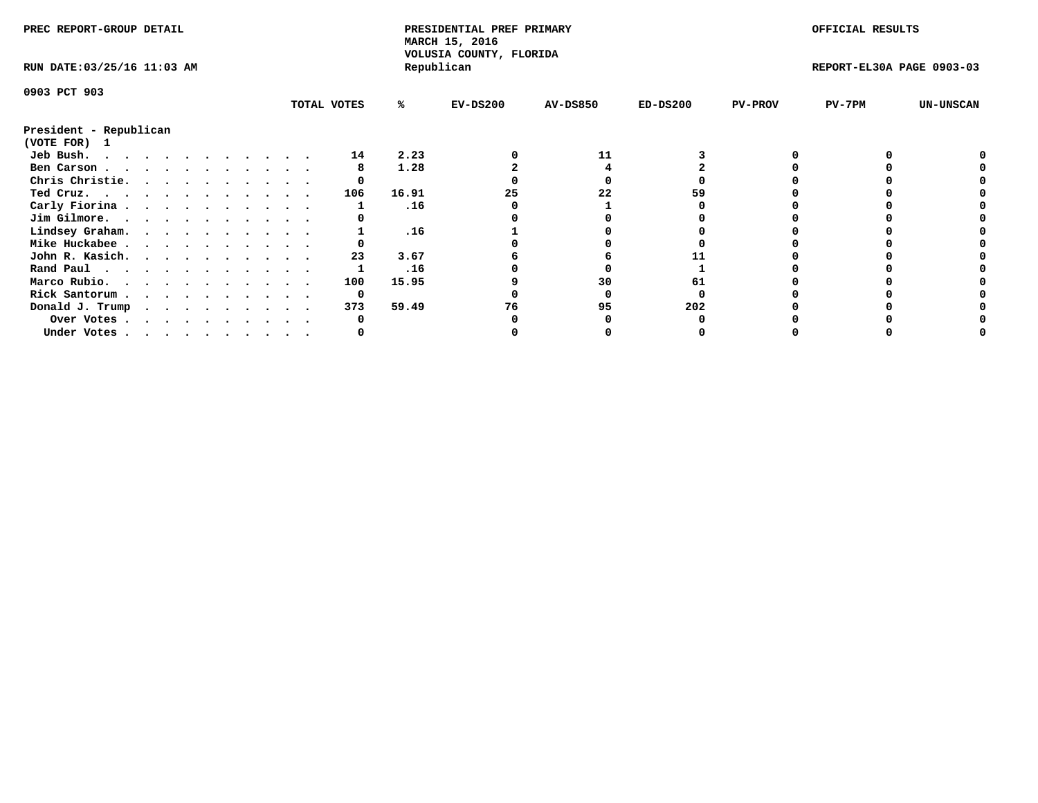| PREC REPORT-GROUP DETAIL               |  |  |  |  |  |  |             | PRESIDENTIAL PREF PRIMARY<br>MARCH 15, 2016<br>VOLUSIA COUNTY, FLORIDA |            |                 |            | OFFICIAL RESULTS |                           |                  |
|----------------------------------------|--|--|--|--|--|--|-------------|------------------------------------------------------------------------|------------|-----------------|------------|------------------|---------------------------|------------------|
| RUN DATE: 03/25/16 11:03 AM            |  |  |  |  |  |  |             |                                                                        | Republican |                 |            |                  | REPORT-EL30A PAGE 0903-03 |                  |
| 0903 PCT 903                           |  |  |  |  |  |  |             |                                                                        |            |                 |            |                  |                           |                  |
|                                        |  |  |  |  |  |  | TOTAL VOTES | ℁                                                                      | $EV-DS200$ | <b>AV-DS850</b> | $ED-DS200$ | <b>PV-PROV</b>   | $PV-7PM$                  | <b>UN-UNSCAN</b> |
| President - Republican<br>(VOTE FOR) 1 |  |  |  |  |  |  |             |                                                                        |            |                 |            |                  |                           |                  |
| Jeb Bush.<br>.                         |  |  |  |  |  |  | 14          | 2.23                                                                   |            | 11              |            |                  |                           |                  |
| Ben Carson                             |  |  |  |  |  |  |             | 1.28                                                                   |            |                 |            |                  |                           |                  |
| Chris Christie.                        |  |  |  |  |  |  |             |                                                                        |            |                 |            |                  |                           |                  |
| Ted Cruz.                              |  |  |  |  |  |  | 106         | 16.91                                                                  | 25         | 22              |            |                  |                           |                  |
| Carly Fiorina                          |  |  |  |  |  |  |             | .16                                                                    |            |                 |            |                  |                           |                  |
| Jim Gilmore.                           |  |  |  |  |  |  |             |                                                                        |            |                 |            |                  |                           |                  |
| Lindsey Graham.                        |  |  |  |  |  |  |             | .16                                                                    |            |                 |            |                  |                           |                  |
| Mike Huckabee                          |  |  |  |  |  |  |             |                                                                        |            |                 |            |                  |                           |                  |
| John R. Kasich.                        |  |  |  |  |  |  | 23          | 3.67                                                                   |            |                 |            |                  |                           |                  |
| Rand Paul                              |  |  |  |  |  |  |             | .16                                                                    |            |                 |            |                  |                           |                  |
| Marco Rubio.                           |  |  |  |  |  |  | 100         | 15.95                                                                  |            | 30              |            |                  |                           |                  |
| Rick Santorum                          |  |  |  |  |  |  | 0           |                                                                        |            |                 |            |                  |                           |                  |
| Donald J. Trump                        |  |  |  |  |  |  | 373         | 59.49                                                                  | 76         | 95              | 202        |                  |                           |                  |
| Over Votes                             |  |  |  |  |  |  |             |                                                                        |            |                 |            |                  |                           |                  |
| Under Votes                            |  |  |  |  |  |  |             |                                                                        |            |                 |            |                  |                           |                  |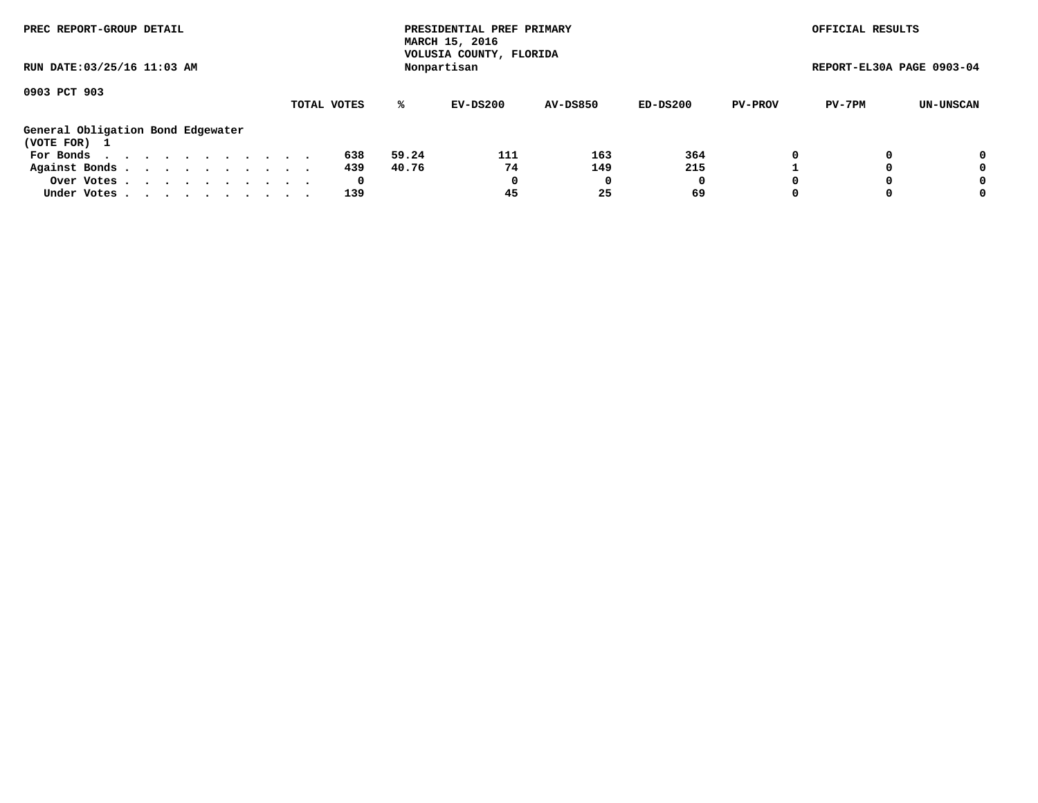| PREC REPORT-GROUP DETAIL<br>RUN DATE: 03/25/16 11:03 AM |             | PRESIDENTIAL PREF PRIMARY<br>MARCH 15, 2016<br>VOLUSIA COUNTY, FLORIDA<br>Nonpartisan |                 |          |                          | OFFICIAL RESULTS<br>REPORT-EL30A PAGE 0903-04 |
|---------------------------------------------------------|-------------|---------------------------------------------------------------------------------------|-----------------|----------|--------------------------|-----------------------------------------------|
| 0903 PCT 903                                            | TOTAL VOTES | %ะ<br>EV-DS200                                                                        | <b>AV-DS850</b> | ED-DS200 | PV-7PM<br><b>PV-PROV</b> | UN-UNSCAN                                     |
| General Obligation Bond Edgewater<br>(VOTE FOR) 1       |             |                                                                                       |                 |          |                          |                                               |
| For Bonds $\ldots$ $\ldots$ $\ldots$ $\ldots$ $\ldots$  | 638         | 111<br>59.24                                                                          | 163             | 364      | 0                        | 0                                             |
| Against Bonds.                                          | 439         | 74<br>40.76                                                                           | 149             | 215      |                          | 0                                             |
| Over Votes                                              | 0           | 0                                                                                     |                 | 0        | $\Omega$                 | 0                                             |
| Under Votes                                             | 139         | 45                                                                                    | 25              | 69       | $\Omega$                 | 0                                             |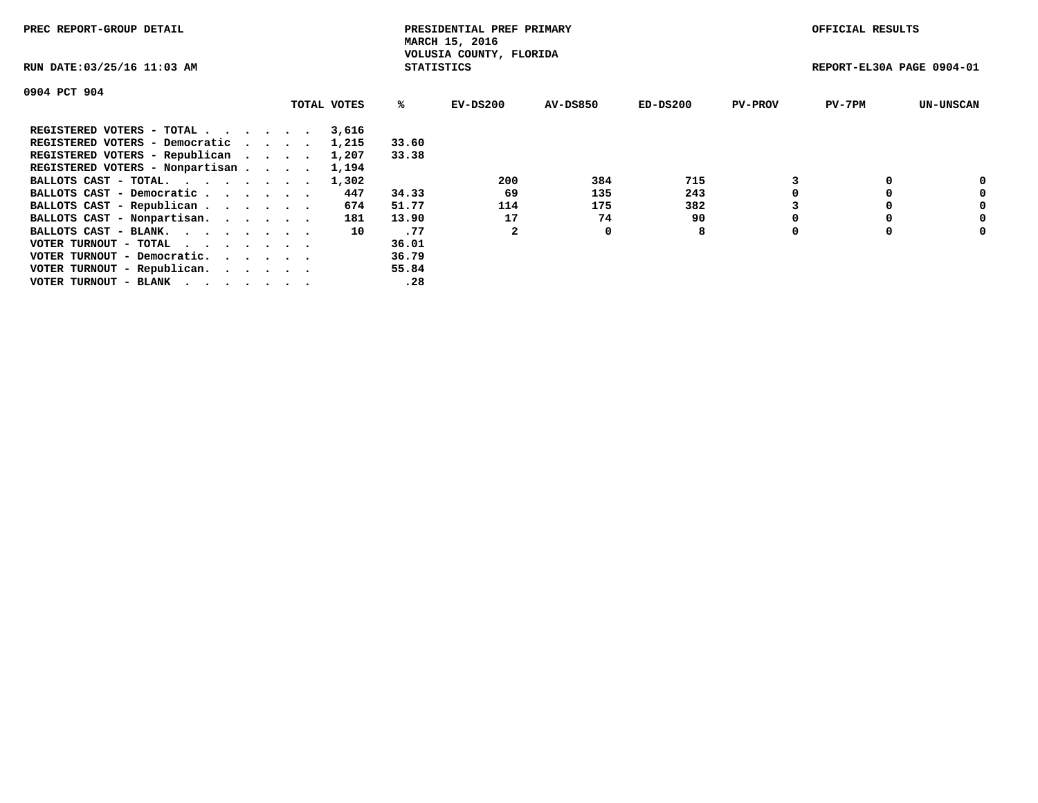| PREC REPORT-GROUP DETAIL                                    |             |                   | PRESIDENTIAL PREF PRIMARY<br>MARCH 15, 2016 |                 |            |                | OFFICIAL RESULTS          |                  |
|-------------------------------------------------------------|-------------|-------------------|---------------------------------------------|-----------------|------------|----------------|---------------------------|------------------|
| RUN DATE: 03/25/16 11:03 AM                                 |             | <b>STATISTICS</b> | VOLUSIA COUNTY, FLORIDA                     |                 |            |                | REPORT-EL30A PAGE 0904-01 |                  |
| 0904 PCT 904                                                |             |                   |                                             |                 |            |                |                           |                  |
|                                                             | TOTAL VOTES | ℁                 | EV-DS200                                    | <b>AV-DS850</b> | $ED-DS200$ | <b>PV-PROV</b> | $PV-7PM$                  | <b>UN-UNSCAN</b> |
| REGISTERED VOTERS - TOTAL                                   | 3,616       |                   |                                             |                 |            |                |                           |                  |
| REGISTERED VOTERS - Democratic                              | 1,215       | 33.60             |                                             |                 |            |                |                           |                  |
| REGISTERED VOTERS - Republican                              | 1,207       | 33.38             |                                             |                 |            |                |                           |                  |
| REGISTERED VOTERS - Nonpartisan                             | 1,194       |                   |                                             |                 |            |                |                           |                  |
| BALLOTS CAST - TOTAL.                                       | 1,302       |                   | 200                                         | 384             | 715        |                |                           | 0                |
| BALLOTS CAST - Democratic                                   | 447         | 34.33             | 69                                          | 135             | 243        |                |                           | 0                |
| BALLOTS CAST - Republican                                   | 674         | 51.77             | 114                                         | 175             | 382        |                |                           | 0                |
| BALLOTS CAST - Nonpartisan.                                 | 181         | 13.90             | 17                                          | 74              | 90         |                |                           | 0                |
| BALLOTS CAST - BLANK.                                       | 10          | .77               |                                             | 0               | 8          | $\Omega$       |                           | 0                |
| VOTER TURNOUT - TOTAL $\cdot \cdot \cdot \cdot \cdot \cdot$ |             | 36.01             |                                             |                 |            |                |                           |                  |
| VOTER TURNOUT - Democratic.                                 |             | 36.79             |                                             |                 |            |                |                           |                  |
| VOTER TURNOUT - Republican.                                 |             | 55.84             |                                             |                 |            |                |                           |                  |
| VOTER TURNOUT - BLANK                                       |             | .28               |                                             |                 |            |                |                           |                  |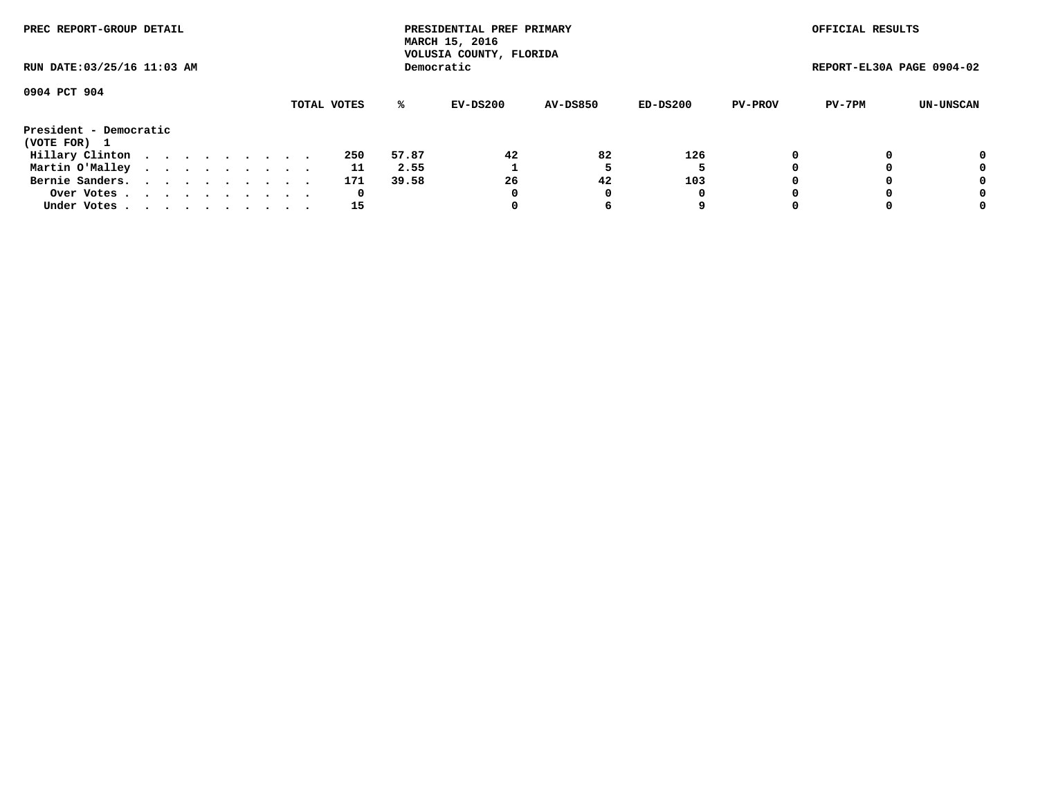| PREC REPORT-GROUP DETAIL    |  |  |  |  |  |             |       | PRESIDENTIAL PREF PRIMARY<br>MARCH 15, 2016<br>VOLUSIA COUNTY, FLORIDA |                 |          |                | OFFICIAL RESULTS          |           |
|-----------------------------|--|--|--|--|--|-------------|-------|------------------------------------------------------------------------|-----------------|----------|----------------|---------------------------|-----------|
| RUN DATE: 03/25/16 11:03 AM |  |  |  |  |  |             |       | Democratic                                                             |                 |          |                | REPORT-EL30A PAGE 0904-02 |           |
| 0904 PCT 904                |  |  |  |  |  |             |       |                                                                        |                 |          |                |                           |           |
|                             |  |  |  |  |  | TOTAL VOTES | ℁     | EV-DS200                                                               | <b>AV-DS850</b> | ED-DS200 | <b>PV-PROV</b> | PV-7PM                    | UN-UNSCAN |
| President - Democratic      |  |  |  |  |  |             |       |                                                                        |                 |          |                |                           |           |
| (VOTE FOR) 1                |  |  |  |  |  |             |       |                                                                        |                 |          |                |                           |           |
| Hillary Clinton             |  |  |  |  |  | 250         | 57.87 | 42                                                                     | 82              | 126      |                |                           | 0         |
| Martin O'Malley             |  |  |  |  |  | 11          | 2.55  |                                                                        |                 |          |                |                           | 0         |
| Bernie Sanders.             |  |  |  |  |  | 171         | 39.58 | 26                                                                     | 42              | 103      |                |                           | 0         |
| Over Votes                  |  |  |  |  |  | 0           |       |                                                                        |                 | 0        |                |                           | 0         |
| Under Votes                 |  |  |  |  |  | 15          |       |                                                                        |                 | 9        |                |                           | 0         |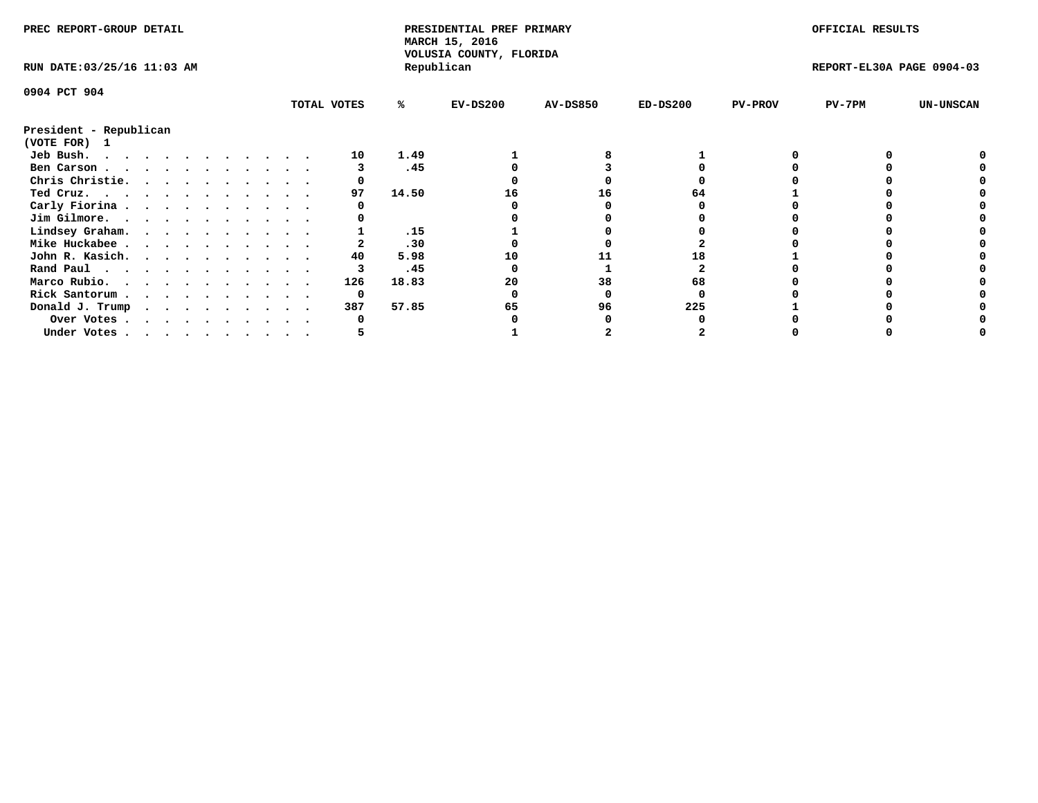| PREC REPORT-GROUP DETAIL    |  |  |  |  |  |  |  |  |             | PRESIDENTIAL PREF PRIMARY<br>MARCH 15, 2016<br>VOLUSIA COUNTY, FLORIDA |            |                 |            | OFFICIAL RESULTS |                           |                  |
|-----------------------------|--|--|--|--|--|--|--|--|-------------|------------------------------------------------------------------------|------------|-----------------|------------|------------------|---------------------------|------------------|
| RUN DATE: 03/25/16 11:03 AM |  |  |  |  |  |  |  |  |             |                                                                        | Republican |                 |            |                  | REPORT-EL30A PAGE 0904-03 |                  |
| 0904 PCT 904                |  |  |  |  |  |  |  |  |             |                                                                        |            |                 |            |                  |                           |                  |
|                             |  |  |  |  |  |  |  |  | TOTAL VOTES | %ะ                                                                     | $EV-DS200$ | <b>AV-DS850</b> | $ED-DS200$ | <b>PV-PROV</b>   | $PV-7PM$                  | <b>UN-UNSCAN</b> |
| President - Republican      |  |  |  |  |  |  |  |  |             |                                                                        |            |                 |            |                  |                           |                  |
| (VOTE FOR) 1                |  |  |  |  |  |  |  |  |             |                                                                        |            |                 |            |                  |                           |                  |
| Jeb Bush.                   |  |  |  |  |  |  |  |  | 10          | 1.49                                                                   |            |                 |            |                  |                           |                  |
| Ben Carson                  |  |  |  |  |  |  |  |  |             | .45                                                                    |            |                 |            |                  |                           |                  |
| Chris Christie.             |  |  |  |  |  |  |  |  |             |                                                                        |            |                 |            |                  |                           |                  |
| Ted Cruz.                   |  |  |  |  |  |  |  |  | 97          | 14.50                                                                  | 16         | 16              | 64.        |                  |                           |                  |
| Carly Fiorina               |  |  |  |  |  |  |  |  |             |                                                                        |            |                 |            |                  |                           |                  |
| Jim Gilmore.                |  |  |  |  |  |  |  |  |             |                                                                        |            |                 |            |                  |                           |                  |
| Lindsey Graham.             |  |  |  |  |  |  |  |  |             | .15                                                                    |            |                 |            |                  |                           |                  |
| Mike Huckabee               |  |  |  |  |  |  |  |  |             | .30                                                                    |            |                 |            |                  |                           |                  |
| John R. Kasich.             |  |  |  |  |  |  |  |  | 40          | 5.98                                                                   | 10         |                 |            |                  |                           |                  |
| Rand Paul                   |  |  |  |  |  |  |  |  |             | .45                                                                    |            |                 |            |                  |                           |                  |
| Marco Rubio.                |  |  |  |  |  |  |  |  | 126         | 18.83                                                                  | 20         | 38              | 68         |                  |                           |                  |
| Rick Santorum               |  |  |  |  |  |  |  |  | 0           |                                                                        |            |                 |            |                  |                           |                  |
| Donald J. Trump             |  |  |  |  |  |  |  |  | 387         | 57.85                                                                  | 65         | 96              | 225        |                  |                           |                  |
| Over Votes                  |  |  |  |  |  |  |  |  |             |                                                                        |            |                 |            |                  |                           |                  |
| Under Votes                 |  |  |  |  |  |  |  |  |             |                                                                        |            |                 |            |                  |                           |                  |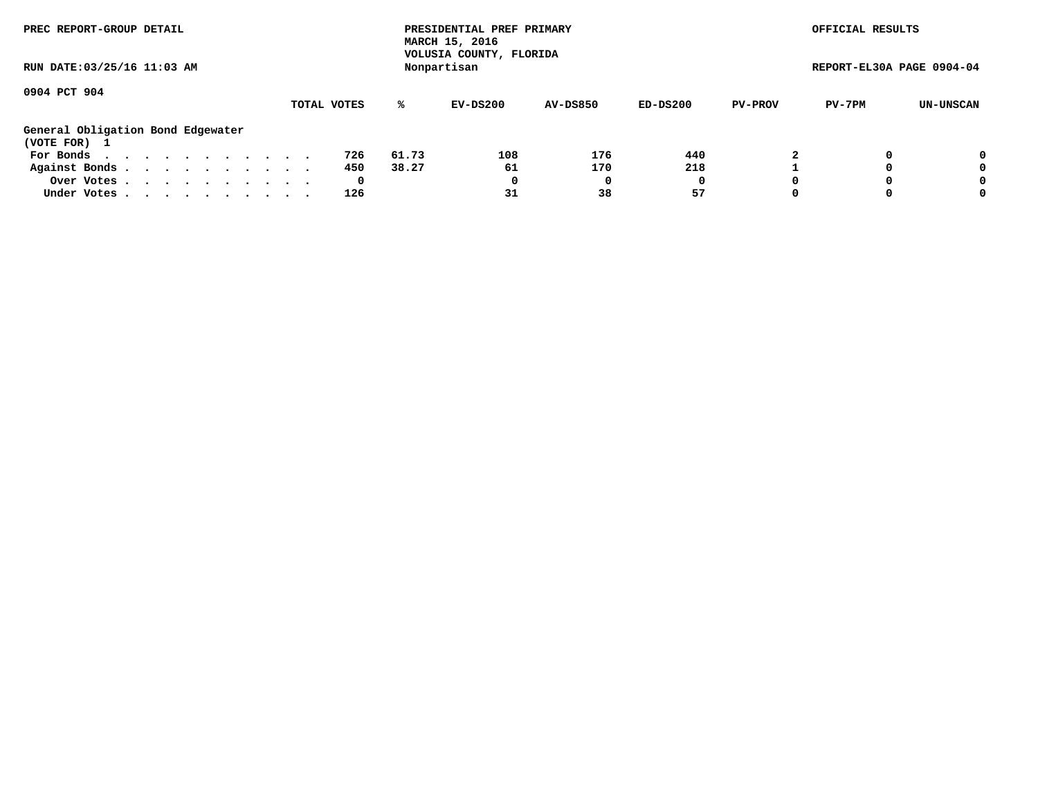| PREC REPORT-GROUP DETAIL<br>RUN DATE: 03/25/16 11:03 AM                 |             |       | PRESIDENTIAL PREF PRIMARY<br>MARCH 15, 2016<br>VOLUSIA COUNTY, FLORIDA<br>Nonpartisan |                 |          |                | OFFICIAL RESULTS<br>REPORT-EL30A PAGE 0904-04 |           |
|-------------------------------------------------------------------------|-------------|-------|---------------------------------------------------------------------------------------|-----------------|----------|----------------|-----------------------------------------------|-----------|
| 0904 PCT 904                                                            | TOTAL VOTES | %ะ    | EV-DS200                                                                              | <b>AV-DS850</b> | ED-DS200 | <b>PV-PROV</b> | PV-7PM                                        | UN-UNSCAN |
| General Obligation Bond Edgewater<br>(VOTE FOR) 1                       |             |       |                                                                                       |                 |          |                |                                               |           |
| For Bonds $\cdot \cdot \cdot \cdot \cdot \cdot \cdot \cdot \cdot \cdot$ | 726         | 61.73 | 108                                                                                   | 176             | 440      |                |                                               | 0         |
| Against Bonds.                                                          | 450         | 38.27 | 61                                                                                    | 170             | 218      |                |                                               | 0         |
| Over Votes                                                              | 0           |       | 0                                                                                     |                 | 0        | $\Omega$       |                                               | 0         |
| Under Votes                                                             | 126         |       | 31                                                                                    | 38              | 57       | $\Omega$       |                                               | 0         |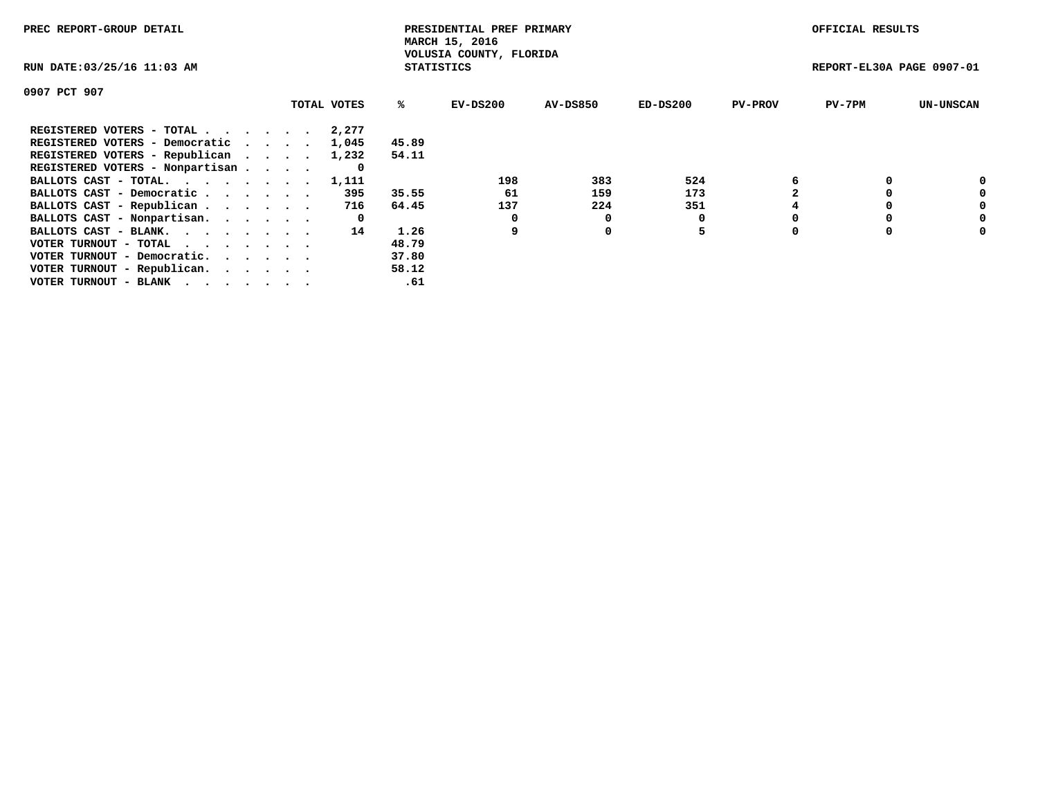| PREC REPORT-GROUP DETAIL                                    |             |                   | PRESIDENTIAL PREF PRIMARY<br>MARCH 15, 2016 |          |            |                | OFFICIAL RESULTS          |                  |
|-------------------------------------------------------------|-------------|-------------------|---------------------------------------------|----------|------------|----------------|---------------------------|------------------|
| RUN DATE: 03/25/16 11:03 AM                                 |             | <b>STATISTICS</b> | VOLUSIA COUNTY, FLORIDA                     |          |            |                | REPORT-EL30A PAGE 0907-01 |                  |
| 0907 PCT 907                                                |             |                   |                                             |          |            |                |                           |                  |
|                                                             | TOTAL VOTES | ℁                 | $EV-DS200$                                  | AV-DS850 | $ED-DS200$ | <b>PV-PROV</b> | $PV-7PM$                  | <b>UN-UNSCAN</b> |
| REGISTERED VOTERS - TOTAL                                   | 2,277       |                   |                                             |          |            |                |                           |                  |
| REGISTERED VOTERS - Democratic                              | 1,045       | 45.89             |                                             |          |            |                |                           |                  |
| REGISTERED VOTERS - Republican                              | 1,232       | 54.11             |                                             |          |            |                |                           |                  |
| REGISTERED VOTERS - Nonpartisan                             | O           |                   |                                             |          |            |                |                           |                  |
| BALLOTS CAST - TOTAL.                                       | 1,111       |                   | 198                                         | 383      | 524        |                |                           | 0                |
| BALLOTS CAST - Democratic                                   | 395         | 35.55             | 61                                          | 159      | 173        |                |                           | 0                |
| BALLOTS CAST - Republican                                   | 716         | 64.45             | 137                                         | 224      | 351        |                |                           | 0                |
| BALLOTS CAST - Nonpartisan.                                 | 0           |                   | 0                                           | 0        |            |                |                           | 0                |
| BALLOTS CAST - BLANK.                                       | 14          | 1.26              | 9                                           | 0        | 5          |                |                           | 0                |
| VOTER TURNOUT - TOTAL $\cdot \cdot \cdot \cdot \cdot \cdot$ |             | 48.79             |                                             |          |            |                |                           |                  |
| VOTER TURNOUT - Democratic.                                 |             | 37.80             |                                             |          |            |                |                           |                  |
| VOTER TURNOUT - Republican.                                 |             | 58.12             |                                             |          |            |                |                           |                  |
| VOTER TURNOUT - BLANK                                       |             | .61               |                                             |          |            |                |                           |                  |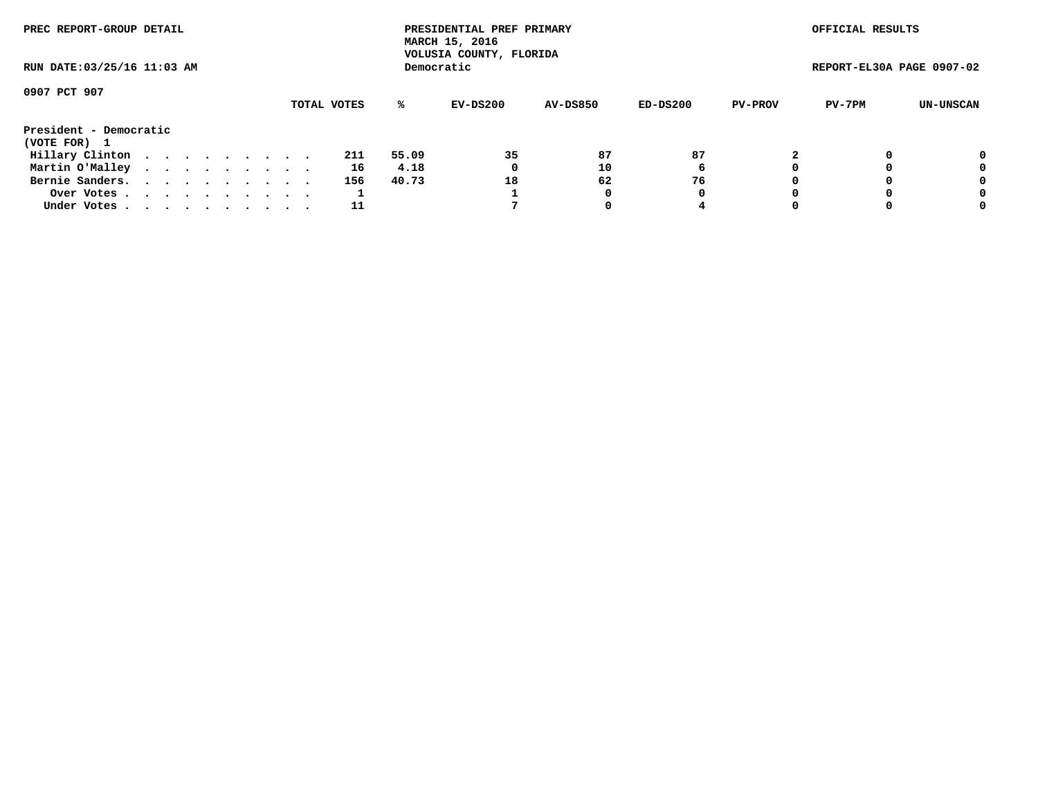| PREC REPORT-GROUP DETAIL    |  |  |  |  |             |       | PRESIDENTIAL PREF PRIMARY<br>MARCH 15, 2016<br>VOLUSIA COUNTY, FLORIDA |                 |          |                | OFFICIAL RESULTS          |           |
|-----------------------------|--|--|--|--|-------------|-------|------------------------------------------------------------------------|-----------------|----------|----------------|---------------------------|-----------|
| RUN DATE: 03/25/16 11:03 AM |  |  |  |  |             |       | Democratic                                                             |                 |          |                | REPORT-EL30A PAGE 0907-02 |           |
| 0907 PCT 907                |  |  |  |  |             |       |                                                                        |                 |          |                |                           |           |
|                             |  |  |  |  | TOTAL VOTES | %ะ    | EV-DS200                                                               | <b>AV-DS850</b> | ED-DS200 | <b>PV-PROV</b> | PV-7PM                    | UN-UNSCAN |
| President - Democratic      |  |  |  |  |             |       |                                                                        |                 |          |                |                           |           |
| (VOTE FOR) 1                |  |  |  |  |             |       |                                                                        |                 |          |                |                           |           |
| Hillary Clinton             |  |  |  |  | 211         | 55.09 | 35                                                                     | 87              | 87       |                |                           | 0         |
| Martin O'Malley             |  |  |  |  | 16          | 4.18  | 0                                                                      | 10              | 6        |                |                           | 0         |
| Bernie Sanders.             |  |  |  |  | 156         | 40.73 | 18                                                                     | 62              | 76       |                |                           | 0         |
| Over Votes.                 |  |  |  |  |             |       |                                                                        | 0               | 0        |                |                           | 0         |
| Under Votes.                |  |  |  |  | 11          |       |                                                                        |                 | 4        |                |                           | 0         |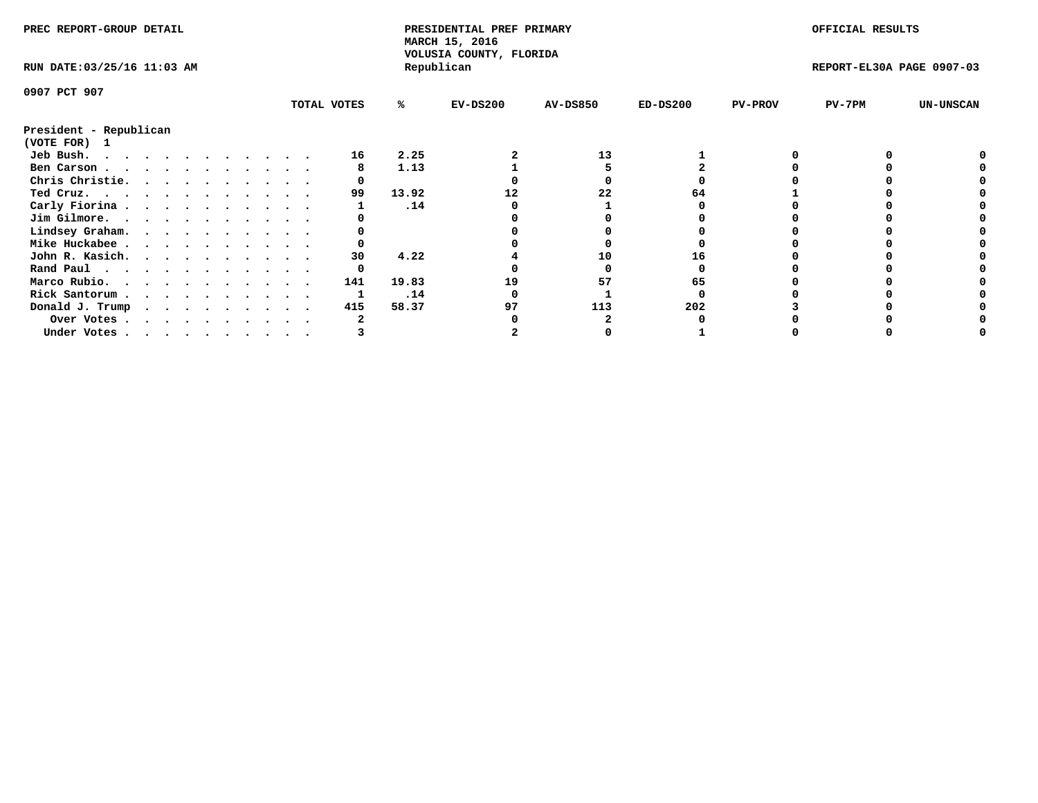| PREC REPORT-GROUP DETAIL               |  |  |  |  |  |  |  |  | PRESIDENTIAL PREF PRIMARY<br>MARCH 15, 2016<br>VOLUSIA COUNTY, FLORIDA |       |            |                 | OFFICIAL RESULTS |                |                           |                  |
|----------------------------------------|--|--|--|--|--|--|--|--|------------------------------------------------------------------------|-------|------------|-----------------|------------------|----------------|---------------------------|------------------|
| RUN DATE: 03/25/16 11:03 AM            |  |  |  |  |  |  |  |  |                                                                        |       | Republican |                 |                  |                | REPORT-EL30A PAGE 0907-03 |                  |
| 0907 PCT 907                           |  |  |  |  |  |  |  |  |                                                                        |       |            |                 |                  |                |                           |                  |
|                                        |  |  |  |  |  |  |  |  | TOTAL VOTES                                                            | %ะ    | $EV-DS200$ | <b>AV-DS850</b> | $ED-DS200$       | <b>PV-PROV</b> | PV-7PM                    | <b>UN-UNSCAN</b> |
| President - Republican<br>(VOTE FOR) 1 |  |  |  |  |  |  |  |  |                                                                        |       |            |                 |                  |                |                           |                  |
| Jeb Bush.                              |  |  |  |  |  |  |  |  | 16                                                                     | 2.25  |            | 13              |                  |                |                           |                  |
| Ben Carson                             |  |  |  |  |  |  |  |  |                                                                        | 1.13  |            |                 |                  |                |                           |                  |
| Chris Christie.                        |  |  |  |  |  |  |  |  |                                                                        |       |            |                 |                  |                |                           |                  |
| Ted Cruz.                              |  |  |  |  |  |  |  |  | 99                                                                     | 13.92 | 12         | 22              |                  |                |                           |                  |
| Carly Fiorina                          |  |  |  |  |  |  |  |  |                                                                        | .14   |            |                 |                  |                |                           |                  |
| Jim Gilmore.                           |  |  |  |  |  |  |  |  |                                                                        |       |            |                 |                  |                |                           |                  |
| Lindsey Graham.                        |  |  |  |  |  |  |  |  |                                                                        |       |            |                 |                  |                |                           |                  |
|                                        |  |  |  |  |  |  |  |  |                                                                        |       |            |                 |                  |                |                           |                  |
| Mike Huckabee                          |  |  |  |  |  |  |  |  | 30                                                                     |       |            | 10              |                  |                |                           |                  |
| John R. Kasich.                        |  |  |  |  |  |  |  |  |                                                                        | 4.22  |            |                 |                  |                |                           |                  |
| Rand Paul                              |  |  |  |  |  |  |  |  |                                                                        |       |            |                 |                  |                |                           |                  |
| Marco Rubio.                           |  |  |  |  |  |  |  |  | 141                                                                    | 19.83 | 19         | 57              | 65               |                |                           |                  |
| Rick Santorum                          |  |  |  |  |  |  |  |  |                                                                        | .14   |            |                 |                  |                |                           |                  |
| Donald J. Trump                        |  |  |  |  |  |  |  |  | 415                                                                    | 58.37 | 97         | 113             | 202              |                |                           |                  |
| Over Votes                             |  |  |  |  |  |  |  |  |                                                                        |       |            |                 |                  |                |                           |                  |
| Under Votes                            |  |  |  |  |  |  |  |  |                                                                        |       |            |                 |                  |                |                           |                  |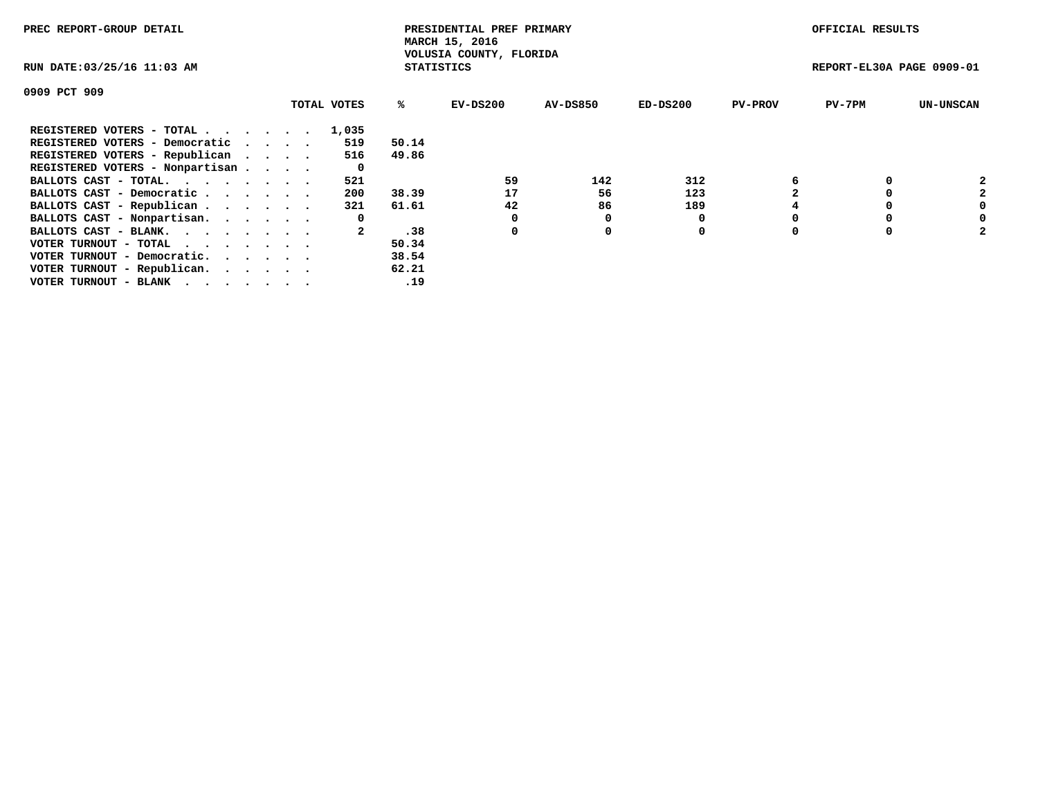| PREC REPORT-GROUP DETAIL                                    |  |             |       | PRESIDENTIAL PREF PRIMARY<br>MARCH 15, 2016  |          |            |                | OFFICIAL RESULTS          |                  |
|-------------------------------------------------------------|--|-------------|-------|----------------------------------------------|----------|------------|----------------|---------------------------|------------------|
| RUN DATE: 03/25/16 11:03 AM                                 |  |             |       | VOLUSIA COUNTY, FLORIDA<br><b>STATISTICS</b> |          |            |                | REPORT-EL30A PAGE 0909-01 |                  |
| 0909 PCT 909                                                |  |             |       |                                              |          |            |                |                           |                  |
|                                                             |  | TOTAL VOTES | %ร    | EV-DS200                                     | AV-DS850 | $ED-DS200$ | <b>PV-PROV</b> | $PV-7PM$                  | <b>UN-UNSCAN</b> |
| REGISTERED VOTERS - TOTAL                                   |  | 1,035       |       |                                              |          |            |                |                           |                  |
| REGISTERED VOTERS - Democratic                              |  | 519         | 50.14 |                                              |          |            |                |                           |                  |
| REGISTERED VOTERS - Republican                              |  | 516         | 49.86 |                                              |          |            |                |                           |                  |
| REGISTERED VOTERS - Nonpartisan                             |  | 0           |       |                                              |          |            |                |                           |                  |
| BALLOTS CAST - TOTAL.                                       |  | 521         |       | 59                                           | 142      | 312        |                |                           |                  |
| BALLOTS CAST - Democratic                                   |  | 200         | 38.39 | 17                                           | 56       | 123        |                |                           | 2                |
| BALLOTS CAST - Republican                                   |  | 321         | 61.61 | 42                                           | 86       | 189        |                |                           |                  |
| BALLOTS CAST - Nonpartisan.                                 |  | 0           |       | 0                                            | 0        |            |                |                           | 0                |
| BALLOTS CAST - BLANK.                                       |  |             | .38   | 0                                            | 0        | 0          |                |                           | 2                |
| VOTER TURNOUT - TOTAL $\cdot \cdot \cdot \cdot \cdot \cdot$ |  |             | 50.34 |                                              |          |            |                |                           |                  |
| VOTER TURNOUT - Democratic.                                 |  |             | 38.54 |                                              |          |            |                |                           |                  |
| VOTER TURNOUT - Republican.                                 |  |             | 62.21 |                                              |          |            |                |                           |                  |
| VOTER TURNOUT - BLANK                                       |  |             | .19   |                                              |          |            |                |                           |                  |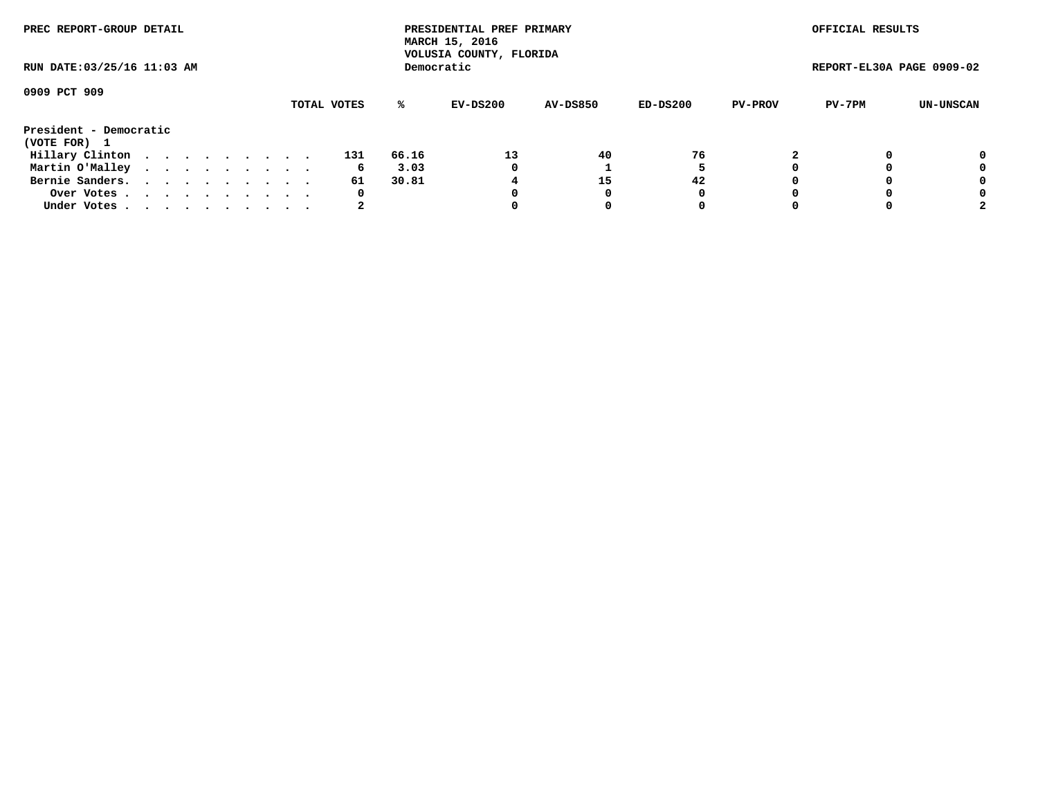| PREC REPORT-GROUP DETAIL    |  |  |  |  |             |       | PRESIDENTIAL PREF PRIMARY<br>MARCH 15, 2016<br>VOLUSIA COUNTY, FLORIDA |                 |          |                | OFFICIAL RESULTS          |           |
|-----------------------------|--|--|--|--|-------------|-------|------------------------------------------------------------------------|-----------------|----------|----------------|---------------------------|-----------|
| RUN DATE: 03/25/16 11:03 AM |  |  |  |  |             |       | Democratic                                                             |                 |          |                | REPORT-EL30A PAGE 0909-02 |           |
| 0909 PCT 909                |  |  |  |  |             |       |                                                                        |                 |          |                |                           |           |
|                             |  |  |  |  | TOTAL VOTES | %ะ    | EV-DS200                                                               | <b>AV-DS850</b> | ED-DS200 | <b>PV-PROV</b> | PV-7PM                    | UN-UNSCAN |
| President - Democratic      |  |  |  |  |             |       |                                                                        |                 |          |                |                           |           |
| (VOTE FOR) 1                |  |  |  |  |             |       |                                                                        |                 |          |                |                           |           |
| Hillary Clinton             |  |  |  |  | 131         | 66.16 | 13                                                                     | 40              | 76       |                |                           | 0         |
| Martin O'Malley             |  |  |  |  | 6           | 3.03  | 0                                                                      |                 |          |                |                           | 0         |
| Bernie Sanders.             |  |  |  |  | 61          | 30.81 |                                                                        | 15              | 42       |                |                           | 0         |
| Over Votes.                 |  |  |  |  | 0           |       |                                                                        |                 | 0        |                |                           | 0         |
| Under Votes.                |  |  |  |  |             |       |                                                                        |                 | 0        |                |                           |           |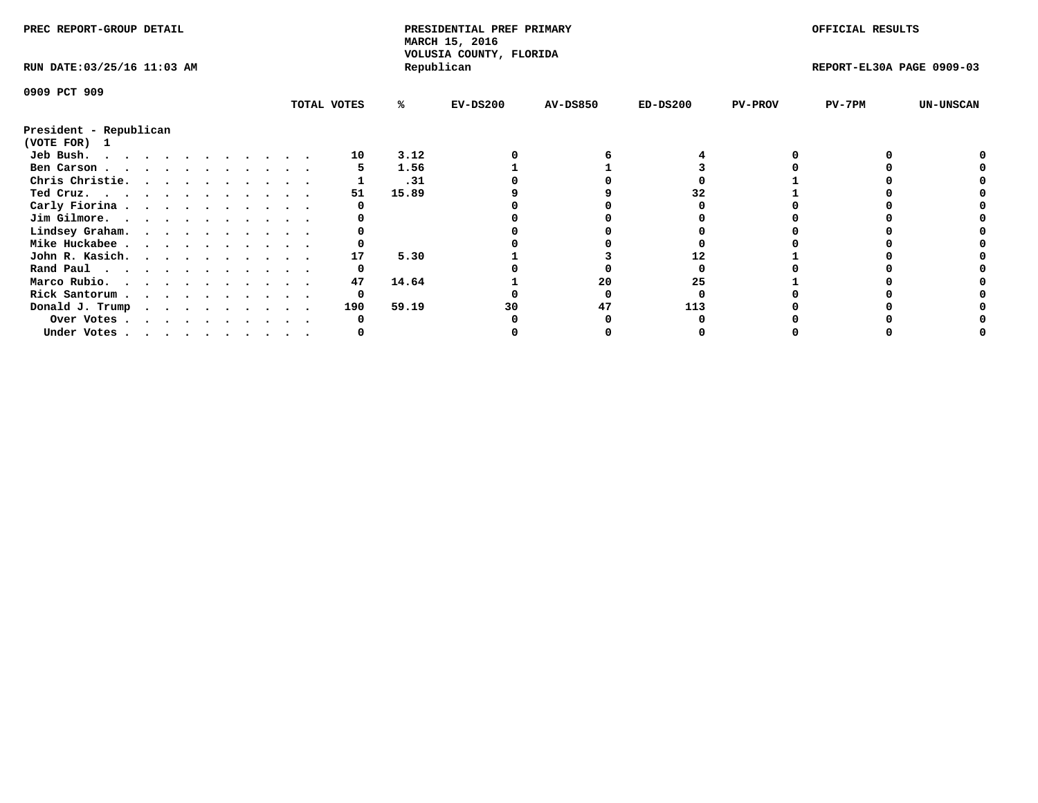| PREC REPORT-GROUP DETAIL                                                                                                                                                                                                                    |  |  |  |  |  |  |  |  |             | PRESIDENTIAL PREF PRIMARY<br>MARCH 15, 2016<br>VOLUSIA COUNTY, FLORIDA |            |                 |            | OFFICIAL RESULTS |                           |                  |
|---------------------------------------------------------------------------------------------------------------------------------------------------------------------------------------------------------------------------------------------|--|--|--|--|--|--|--|--|-------------|------------------------------------------------------------------------|------------|-----------------|------------|------------------|---------------------------|------------------|
| RUN DATE: 03/25/16 11:03 AM                                                                                                                                                                                                                 |  |  |  |  |  |  |  |  |             |                                                                        | Republican |                 |            |                  | REPORT-EL30A PAGE 0909-03 |                  |
| 0909 PCT 909                                                                                                                                                                                                                                |  |  |  |  |  |  |  |  |             |                                                                        |            |                 |            |                  |                           |                  |
|                                                                                                                                                                                                                                             |  |  |  |  |  |  |  |  | TOTAL VOTES | ℁                                                                      | $EV-DS200$ | <b>AV-DS850</b> | $ED-DS200$ | <b>PV-PROV</b>   | $PV-7PM$                  | <b>UN-UNSCAN</b> |
| President - Republican                                                                                                                                                                                                                      |  |  |  |  |  |  |  |  |             |                                                                        |            |                 |            |                  |                           |                  |
| (VOTE FOR) 1                                                                                                                                                                                                                                |  |  |  |  |  |  |  |  |             |                                                                        |            |                 |            |                  |                           |                  |
| Jeb Bush.<br>the contract of the contract of the contract of the contract of the contract of the contract of the contract of the contract of the contract of the contract of the contract of the contract of the contract of the contract o |  |  |  |  |  |  |  |  | 10          | 3.12                                                                   |            |                 |            |                  |                           |                  |
| Ben Carson                                                                                                                                                                                                                                  |  |  |  |  |  |  |  |  |             | 1.56                                                                   |            |                 |            |                  |                           |                  |
| Chris Christie.                                                                                                                                                                                                                             |  |  |  |  |  |  |  |  |             | .31                                                                    |            |                 |            |                  |                           |                  |
| Ted Cruz.                                                                                                                                                                                                                                   |  |  |  |  |  |  |  |  | 51          | 15.89                                                                  |            |                 |            |                  |                           |                  |
| Carly Fiorina                                                                                                                                                                                                                               |  |  |  |  |  |  |  |  |             |                                                                        |            |                 |            |                  |                           |                  |
| Jim Gilmore.                                                                                                                                                                                                                                |  |  |  |  |  |  |  |  |             |                                                                        |            |                 |            |                  |                           |                  |
| Lindsey Graham.                                                                                                                                                                                                                             |  |  |  |  |  |  |  |  |             |                                                                        |            |                 |            |                  |                           |                  |
| Mike Huckabee                                                                                                                                                                                                                               |  |  |  |  |  |  |  |  |             |                                                                        |            |                 |            |                  |                           |                  |
| John R. Kasich.                                                                                                                                                                                                                             |  |  |  |  |  |  |  |  | 17          | 5.30                                                                   |            |                 |            |                  |                           |                  |
| Rand Paul                                                                                                                                                                                                                                   |  |  |  |  |  |  |  |  | 0           |                                                                        |            |                 |            |                  |                           |                  |
| Marco Rubio.                                                                                                                                                                                                                                |  |  |  |  |  |  |  |  | 47          | 14.64                                                                  |            | 20              | 25         |                  |                           |                  |
| Rick Santorum                                                                                                                                                                                                                               |  |  |  |  |  |  |  |  | 0           |                                                                        |            |                 |            |                  |                           |                  |
| Donald J. Trump                                                                                                                                                                                                                             |  |  |  |  |  |  |  |  | 190         | 59.19                                                                  | 30         | 47              | 113        |                  |                           |                  |
| Over Votes                                                                                                                                                                                                                                  |  |  |  |  |  |  |  |  |             |                                                                        |            |                 |            |                  |                           |                  |
| Under Votes                                                                                                                                                                                                                                 |  |  |  |  |  |  |  |  |             |                                                                        |            |                 |            |                  |                           |                  |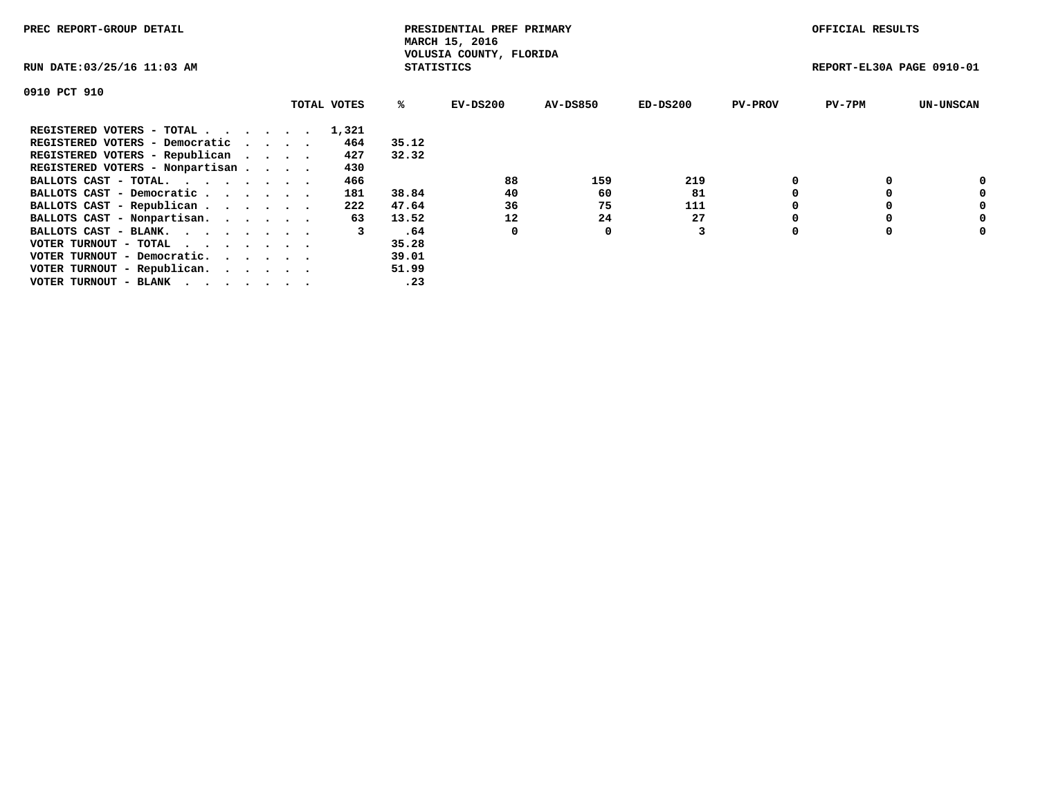| PREC REPORT-GROUP DETAIL                                    |             |                   | PRESIDENTIAL PREF PRIMARY<br>MARCH 15, 2016 |                 |            |                | OFFICIAL RESULTS          |                  |
|-------------------------------------------------------------|-------------|-------------------|---------------------------------------------|-----------------|------------|----------------|---------------------------|------------------|
| RUN DATE: 03/25/16 11:03 AM                                 |             | <b>STATISTICS</b> | VOLUSIA COUNTY, FLORIDA                     |                 |            |                | REPORT-EL30A PAGE 0910-01 |                  |
| 0910 PCT 910                                                |             |                   |                                             |                 |            |                |                           |                  |
|                                                             | TOTAL VOTES | ℁                 | EV-DS200                                    | <b>AV-DS850</b> | $ED-DS200$ | <b>PV-PROV</b> | $PV-7PM$                  | <b>UN-UNSCAN</b> |
| REGISTERED VOTERS - TOTAL                                   | 1,321       |                   |                                             |                 |            |                |                           |                  |
| REGISTERED VOTERS - Democratic                              | 464         | 35.12             |                                             |                 |            |                |                           |                  |
| REGISTERED VOTERS - Republican                              | 427         | 32.32             |                                             |                 |            |                |                           |                  |
| REGISTERED VOTERS - Nonpartisan                             | 430         |                   |                                             |                 |            |                |                           |                  |
| BALLOTS CAST - TOTAL.                                       | 466         |                   | 88                                          | 159             | 219        |                |                           | 0                |
| BALLOTS CAST - Democratic                                   | 181         | 38.84             | 40                                          | 60              | 81         |                |                           | 0                |
| BALLOTS CAST - Republican                                   | 222         | 47.64             | 36                                          | 75              | 111        |                |                           | 0                |
| BALLOTS CAST - Nonpartisan.                                 | 63          | 13.52             | 12                                          | 24              | 27         |                |                           | 0                |
| BALLOTS CAST - BLANK.                                       | 3           | .64               | 0                                           | 0               |            | $\Omega$       |                           | 0                |
| VOTER TURNOUT - TOTAL $\cdot \cdot \cdot \cdot \cdot \cdot$ |             | 35.28             |                                             |                 |            |                |                           |                  |
| VOTER TURNOUT - Democratic.                                 |             | 39.01             |                                             |                 |            |                |                           |                  |
| VOTER TURNOUT - Republican.                                 |             | 51.99             |                                             |                 |            |                |                           |                  |
| VOTER TURNOUT - BLANK                                       |             | .23               |                                             |                 |            |                |                           |                  |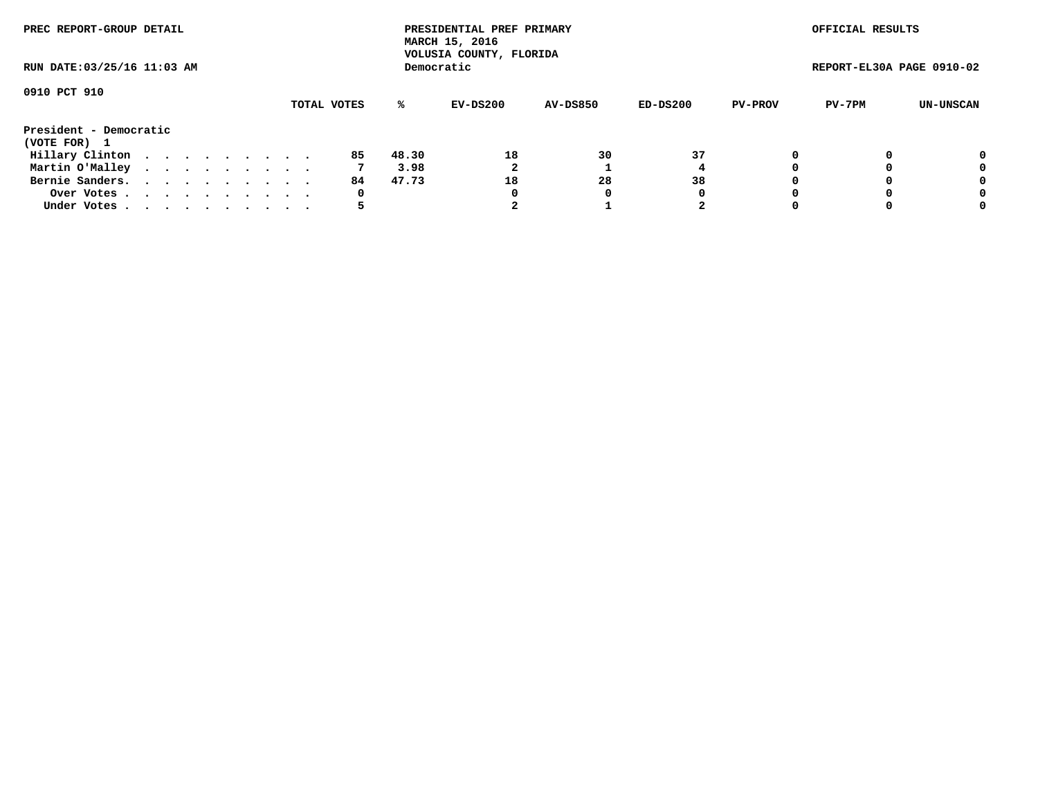| PREC REPORT-GROUP DETAIL               |  |  |  |  |             |       | PRESIDENTIAL PREF PRIMARY<br>MARCH 15, 2016<br>VOLUSIA COUNTY, FLORIDA |                 |          |                | OFFICIAL RESULTS          |           |
|----------------------------------------|--|--|--|--|-------------|-------|------------------------------------------------------------------------|-----------------|----------|----------------|---------------------------|-----------|
| RUN DATE: 03/25/16 11:03 AM            |  |  |  |  |             |       | Democratic                                                             |                 |          |                | REPORT-EL30A PAGE 0910-02 |           |
| 0910 PCT 910                           |  |  |  |  | TOTAL VOTES | %ะ    | EV-DS200                                                               | <b>AV-DS850</b> | ED-DS200 | <b>PV-PROV</b> | PV-7PM                    | UN-UNSCAN |
| President - Democratic<br>(VOTE FOR) 1 |  |  |  |  |             |       |                                                                        |                 |          |                |                           |           |
| Hillary Clinton                        |  |  |  |  | 85          | 48.30 | 18                                                                     | 30              | 37       |                |                           | 0         |
| Martin O'Malley                        |  |  |  |  |             | 3.98  |                                                                        |                 |          |                |                           | 0         |
| Bernie Sanders.                        |  |  |  |  | 84.         | 47.73 | 18                                                                     | 28              | 38       |                |                           | 0         |
| Over Votes.                            |  |  |  |  | 0           |       | 0                                                                      | 0               | 0        |                |                           | 0         |
| Under Votes.                           |  |  |  |  |             |       |                                                                        |                 | 2        |                |                           | 0         |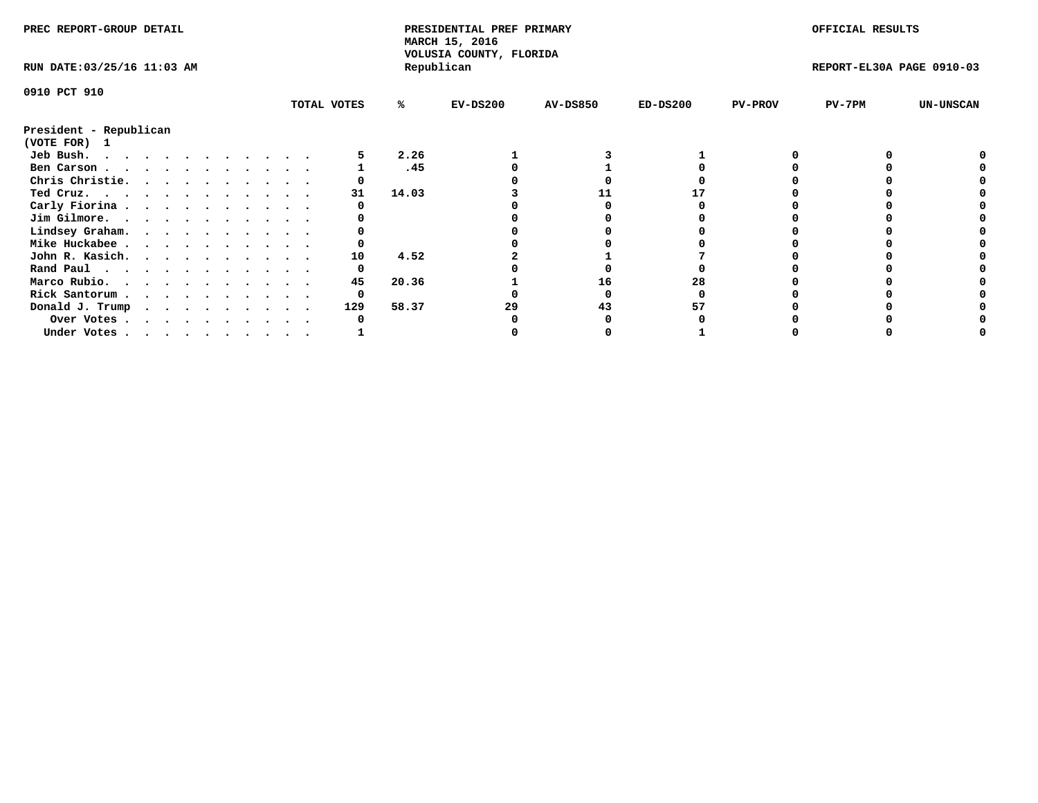| PREC REPORT-GROUP DETAIL               |  |  |  |  |  |  |  |  |            |                           | PRESIDENTIAL PREF PRIMARY<br>MARCH 15, 2016<br>VOLUSIA COUNTY, FLORIDA |            |                 |            |                | OFFICIAL RESULTS |                  |  |
|----------------------------------------|--|--|--|--|--|--|--|--|------------|---------------------------|------------------------------------------------------------------------|------------|-----------------|------------|----------------|------------------|------------------|--|
| RUN DATE: 03/25/16 11:03 AM            |  |  |  |  |  |  |  |  | Republican | REPORT-EL30A PAGE 0910-03 |                                                                        |            |                 |            |                |                  |                  |  |
| 0910 PCT 910                           |  |  |  |  |  |  |  |  |            |                           |                                                                        |            |                 |            |                |                  |                  |  |
|                                        |  |  |  |  |  |  |  |  |            | TOTAL VOTES               | ℁                                                                      | $EV-DS200$ | <b>AV-DS850</b> | $ED-DS200$ | <b>PV-PROV</b> | PV-7PM           | <b>UN-UNSCAN</b> |  |
| President - Republican<br>(VOTE FOR) 1 |  |  |  |  |  |  |  |  |            |                           |                                                                        |            |                 |            |                |                  |                  |  |
| Jeb Bush.                              |  |  |  |  |  |  |  |  |            |                           | 2.26                                                                   |            |                 |            |                |                  |                  |  |
| Ben Carson                             |  |  |  |  |  |  |  |  |            |                           | .45                                                                    |            |                 |            |                |                  |                  |  |
| Chris Christie.                        |  |  |  |  |  |  |  |  |            |                           |                                                                        |            |                 |            |                |                  |                  |  |
| Ted Cruz.                              |  |  |  |  |  |  |  |  |            | 31                        | 14.03                                                                  |            |                 |            |                |                  |                  |  |
| Carly Fiorina                          |  |  |  |  |  |  |  |  |            |                           |                                                                        |            |                 |            |                |                  |                  |  |
| Jim Gilmore.                           |  |  |  |  |  |  |  |  |            |                           |                                                                        |            |                 |            |                |                  |                  |  |
| Lindsey Graham.                        |  |  |  |  |  |  |  |  |            |                           |                                                                        |            |                 |            |                |                  |                  |  |
| Mike Huckabee                          |  |  |  |  |  |  |  |  |            |                           |                                                                        |            |                 |            |                |                  |                  |  |
| John R. Kasich.                        |  |  |  |  |  |  |  |  |            | 10                        | 4.52                                                                   |            |                 |            |                |                  |                  |  |
| Rand Paul                              |  |  |  |  |  |  |  |  |            | O                         |                                                                        |            |                 |            |                |                  |                  |  |
| Marco Rubio.                           |  |  |  |  |  |  |  |  |            | 45                        | 20.36                                                                  |            | 16              | 28         |                |                  |                  |  |
|                                        |  |  |  |  |  |  |  |  |            |                           |                                                                        |            |                 |            |                |                  |                  |  |
| Rick Santorum                          |  |  |  |  |  |  |  |  |            |                           |                                                                        |            |                 |            |                |                  |                  |  |
| Donald J. Trump                        |  |  |  |  |  |  |  |  |            | 129                       | 58.37                                                                  | 29         | 43              |            |                |                  |                  |  |
| Over Votes                             |  |  |  |  |  |  |  |  |            |                           |                                                                        |            |                 |            |                |                  |                  |  |
| Under Votes, , , , , , , , , , ,       |  |  |  |  |  |  |  |  |            |                           |                                                                        |            |                 |            |                |                  |                  |  |